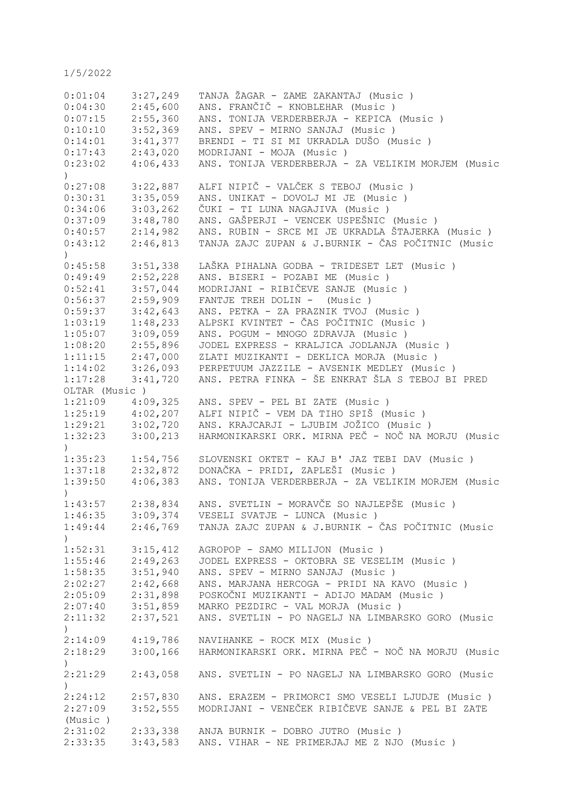| 0:01:04                     | 3:27,249 | TANJA ŽAGAR - ZAME ZAKANTAJ (Music )                               |
|-----------------------------|----------|--------------------------------------------------------------------|
| 0:04:30                     | 2:45,600 | ANS. FRANČIČ - KNOBLEHAR (Music)                                   |
| 0:07:15                     | 2:55,360 | ANS. TONIJA VERDERBERJA - KEPICA (Music)                           |
| 0:10:10                     | 3:52,369 | ANS. SPEV - MIRNO SANJAJ (Music)                                   |
| 0:14:01                     | 3:41,377 | BRENDI - TI SI MI UKRADLA DUŠO (Music)                             |
| 0:17:43                     | 2:43,020 | MODRIJANI - MOJA (Music)                                           |
| 0:23:02                     | 4:06,433 | ANS. TONIJA VERDERBERJA - ZA VELIKIM MORJEM (Music                 |
| $\mathcal{L}$               |          |                                                                    |
| 0:27:08                     | 3:22,887 | ALFI NIPIČ - VALČEK S TEBOJ (Music )                               |
| 0:30:31                     | 3:35,059 | ANS. UNIKAT - DOVOLJ MI JE (Music)                                 |
| 0:34:06                     | 3:03,262 | ČUKI - TI LUNA NAGAJIVA (Music )                                   |
| 0:37:09                     | 3:48,780 | ANS. GAŠPERJI - VENCEK USPEŠNIC (Music)                            |
| 0:40:57                     | 2:14,982 | ANS. RUBIN - SRCE MI JE UKRADLA ŠTAJERKA (Music)                   |
|                             |          |                                                                    |
| 0:43:12<br>$\left( \right)$ | 2:46,813 | TANJA ZAJC ZUPAN & J.BURNIK - ČAS POČITNIC (Music                  |
| 0:45:58                     | 3:51,338 | LAŠKA PIHALNA GODBA - TRIDESET LET (Music )                        |
| 0:49:49                     | 2:52,228 | ANS. BISERI - POZABI ME (Music)                                    |
| 0:52:41                     |          | MODRIJANI - RIBIČEVE SANJE (Music)                                 |
|                             | 3:57,044 |                                                                    |
| 0:56:37                     | 2:59,909 | FANTJE TREH DOLIN - (Music)                                        |
| 0:59:37                     | 3:42,643 | ANS. PETKA - ZA PRAZNIK TVOJ (Music )                              |
| 1:03:19                     | 1:48,233 | ALPSKI KVINTET - ČAS POČITNIC (Music )                             |
| 1:05:07                     | 3:09,059 | ANS. POGUM - MNOGO ZDRAVJA (Music)                                 |
| 1:08:20                     | 2:55,896 | JODEL EXPRESS - KRALJICA JODLANJA (Music)                          |
| 1:11:15                     | 2:47,000 | ZLATI MUZIKANTI - DEKLICA MORJA (Music)                            |
| 1:14:02                     | 3:26,093 | PERPETUUM JAZZILE - AVSENIK MEDLEY (Music)                         |
| 1:17:28                     | 3:41,720 | ANS. PETRA FINKA - ŠE ENKRAT ŠLA S TEBOJ BI PRED                   |
| OLTAR (Music)               |          |                                                                    |
| 1:21:09                     | 4:09,325 | ANS. SPEV - PEL BI ZATE (Music)                                    |
| 1:25:19                     | 4:02,207 | ALFI NIPIČ - VEM DA TIHO SPIŠ (Music )                             |
| 1:29:21                     | 3:02,720 | ANS. KRAJCARJI - LJUBIM JOŽICO (Music )                            |
| 1:32:23                     | 3:00,213 | HARMONIKARSKI ORK. MIRNA PEČ - NOČ NA MORJU (Music                 |
| $\lambda$                   |          |                                                                    |
| 1:35:23                     | 1:54,756 | SLOVENSKI OKTET - KAJ B' JAZ TEBI DAV (Music )                     |
| 1:37:18                     | 2:32,872 | DONAČKA - PRIDI, ZAPLEŠI (Music )                                  |
| 1:39:50                     | 4:06,383 | ANS. TONIJA VERDERBERJA - ZA VELIKIM MORJEM (Music                 |
| $\lambda$                   |          |                                                                    |
| 1:43:57                     | 2:38,834 | ANS. SVETLIN - MORAVČE SO NAJLEPŠE (Music)                         |
| 1:46:35                     | 3:09,374 | VESELI SVATJE - LUNCA (Music)                                      |
|                             |          | 1:49:44 2:46,769 TANJA ZAJC ZUPAN & J.BURNIK - ČAS POČITNIC (Music |
| $\lambda$                   |          |                                                                    |
| $1:52:31$ $3:15,412$        |          | AGROPOP - SAMO MILIJON (Music)                                     |
| $1:55:46$ $2:49,263$        |          | JODEL EXPRESS - OKTOBRA SE VESELIM (Music)                         |
| 1:58:35                     | 3:51,940 | ANS. SPEV - MIRNO SANJAJ (Music)                                   |
| 2:02:27                     | 2:42,668 | ANS. MARJANA HERCOGA - PRIDI NA KAVO (Music)                       |
|                             |          |                                                                    |
| 2:05:09                     |          | 2:31,898 POSKOČNI MUZIKANTI - ADIJO MADAM (Music)                  |
| 2:07:40                     | 3:51,859 | MARKO PEZDIRC - VAL MORJA (Music )                                 |
| 2:11:32                     | 2:37,521 | ANS. SVETLIN - PO NAGELJ NA LIMBARSKO GORO (Music                  |
| $\left( \right)$            |          |                                                                    |
| 2:14:09                     | 4:19,786 | NAVIHANKE - ROCK MIX (Music )                                      |
| 2:18:29                     |          | 3:00,166 HARMONIKARSKI ORK. MIRNA PEČ - NOČ NA MORJU (Music        |
| $\left( \right)$            |          |                                                                    |
| 2:21:29                     |          | 2:43,058 ANS. SVETLIN - PO NAGELJ NA LIMBARSKO GORO (Music         |
| $\left( \right)$            |          |                                                                    |
| 2:24:12                     |          | 2:57,830 ANS. ERAZEM - PRIMORCI SMO VESELI LJUDJE (Music )         |
| 2:27:09                     |          | 3:52,555 MODRIJANI - VENEČEK RIBIČEVE SANJE & PEL BI ZATE          |
| (Music)                     |          |                                                                    |
| 2:31:02                     | 2:33,338 | ANJA BURNIK - DOBRO JUTRO (Music )                                 |
| 2:33:35                     | 3:43,583 | ANS. VIHAR - NE PRIMERJAJ ME Z NJO (Music)                         |
|                             |          |                                                                    |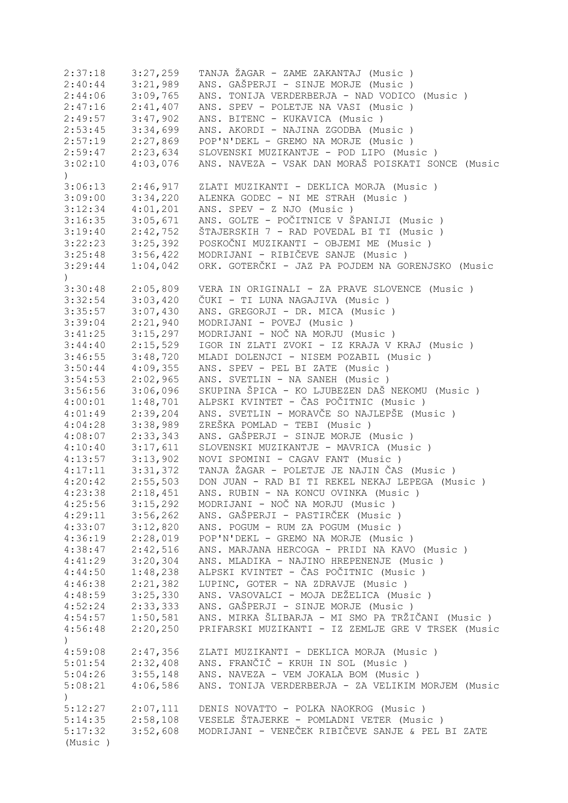| 2:37:18                  | 3:27,259 | TANJA ŽAGAR - ZAME ZAKANTAJ (Music )               |
|--------------------------|----------|----------------------------------------------------|
| 2:40:44                  | 3:21,989 | ANS. GAŠPERJI - SINJE MORJE (Music )               |
| 2:44:06                  | 3:09,765 | ANS. TONIJA VERDERBERJA - NAD VODICO (Music)       |
| 2:47:16                  | 2:41,407 | ANS. SPEV - POLETJE NA VASI (Music)                |
| 2:49:57                  | 3:47,902 | ANS. BITENC - KUKAVICA (Music)                     |
| 2:53:45                  | 3:34,699 | ANS. AKORDI - NAJINA ZGODBA (Music)                |
| 2:57:19                  | 2:27,869 | POP'N'DEKL - GREMO NA MORJE (Music)                |
| 2:59:47                  | 2:23,634 | SLOVENSKI MUZIKANTJE - POD LIPO (Music)            |
| 3:02:10                  | 4:03,076 | ANS. NAVEZA - VSAK DAN MORAŠ POISKATI SONCE (Music |
| $\lambda$                |          |                                                    |
| 3:06:13                  | 2:46,917 | ZLATI MUZIKANTI - DEKLICA MORJA (Music)            |
| 3:09:00                  | 3:34,220 | ALENKA GODEC - NI ME STRAH (Music)                 |
| 3:12:34                  | 4:01,201 | ANS. SPEV - Z NJO (Music)                          |
| 3:16:35                  | 3:05,671 | ANS. GOLTE - POČITNICE V ŠPANIJI (Music )          |
| 3:19:40                  | 2:42,752 | ŠTAJERSKIH 7 - RAD POVEDAL BI TI (Music)           |
| 3:22:23                  | 3:25,392 | POSKOČNI MUZIKANTI - OBJEMI ME (Music)             |
| 3:25:48                  | 3:56,422 | MODRIJANI - RIBIČEVE SANJE (Music)                 |
| 3:29:44<br>$\mathcal{L}$ | 1:04,042 | ORK. GOTERČKI - JAZ PA POJDEM NA GORENJSKO (Music  |
| 3:30:48                  | 2:05,809 | VERA IN ORIGINALI - ZA PRAVE SLOVENCE (Music )     |
| 3:32:54                  | 3:03,420 | ČUKI - TI LUNA NAGAJIVA (Music)                    |
| 3:35:57                  | 3:07,430 | ANS. GREGORJI - DR. MICA (Music)                   |
|                          | 2:21,940 | MODRIJANI - POVEJ (Music)                          |
| 3:39:04                  |          |                                                    |
| 3:41:25                  | 3:15,297 | MODRIJANI - NOČ NA MORJU (Music)                   |
| 3:44:40                  | 2:15,529 | IGOR IN ZLATI ZVOKI - IZ KRAJA V KRAJ (Music )     |
| 3:46:55                  | 3:48,720 | MLADI DOLENJCI - NISEM POZABIL (Music)             |
| 3:50:44                  | 4:09,355 | ANS. SPEV - PEL BI ZATE (Music)                    |
| 3:54:53                  | 2:02,965 | ANS. SVETLIN - NA SANEH (Music)                    |
| 3:56:56                  | 3:06,096 | SKUPINA ŠPICA - KO LJUBEZEN DAŠ NEKOMU (Music)     |
| 4:00:01                  | 1:48,701 | ALPSKI KVINTET - ČAS POČITNIC (Music )             |
| 4:01:49                  | 2:39,204 | ANS. SVETLIN - MORAVČE SO NAJLEPŠE (Music)         |
| 4:04:28                  | 3:38,989 | ZREŠKA POMLAD - TEBI (Music)                       |
| 4:08:07                  | 2:33,343 | ANS. GAŠPERJI - SINJE MORJE (Music)                |
| 4:10:40                  | 3:17,611 | SLOVENSKI MUZIKANTJE - MAVRICA (Music)             |
| 4:13:57                  | 3:13,902 | NOVI SPOMINI - CAGAV FANT (Music )                 |
| 4:17:11                  | 3:31,372 | TANJA ŽAGAR - POLETJE JE NAJIN ČAS (Music)         |
| 4:20:42                  | 2:55,503 | DON JUAN - RAD BI TI REKEL NEKAJ LEPEGA (Music)    |
| 4:23:38                  | 2:18,451 | ANS. RUBIN - NA KONCU OVINKA (Music )              |
| 4:25:56                  | 3:15,292 | MODRIJANI - NOČ NA MORJU (Music)                   |
| 4:29:11                  | 3:56,262 | ANS. GAŠPERJI - PASTIRČEK (Music )                 |
| 4:33:07                  | 3:12,820 | ANS. POGUM - RUM ZA POGUM (Music )                 |
| 4:36:19                  | 2:28,019 | POP'N'DEKL - GREMO NA MORJE (Music)                |
| 4:38:47                  | 2:42,516 | ANS. MARJANA HERCOGA - PRIDI NA KAVO (Music)       |
| 4:41:29                  | 3:20,304 | ANS. MLADIKA - NAJINO HREPENENJE (Music)           |
| 4:44:50                  | 1:48,238 | ALPSKI KVINTET - ČAS POČITNIC (Music )             |
| 4:46:38                  | 2:21,382 | LUPINC, GOTER - NA ZDRAVJE (Music)                 |
| 4:48:59                  | 3:25,330 | ANS. VASOVALCI - MOJA DEŽELICA (Music)             |
| 4:52:24                  | 2:33,333 | ANS. GAŠPERJI - SINJE MORJE (Music )               |
| 4:54:57                  | 1:50,581 | ANS. MIRKA ŠLIBARJA - MI SMO PA TRŽIČANI (Music )  |
| 4:56:48<br>$\mathcal{C}$ | 2:20,250 | PRIFARSKI MUZIKANTI - IZ ZEMLJE GRE V TRSEK (Music |
| 4:59:08                  | 2:47,356 | ZLATI MUZIKANTI - DEKLICA MORJA (Music)            |
| 5:01:54                  | 2:32,408 | ANS. FRANČIČ - KRUH IN SOL (Music)                 |
| 5:04:26                  | 3:55,148 | ANS. NAVEZA - VEM JOKALA BOM (Music)               |
| 5:08:21                  | 4:06,586 | ANS. TONIJA VERDERBERJA - ZA VELIKIM MORJEM (Music |
| $\mathcal{L}$            |          |                                                    |
| 5:12:27                  | 2:07,111 | DENIS NOVATTO - POLKA NAOKROG (Music)              |
| 5:14:35                  | 2:58,108 | VESELE ŠTAJERKE - POMLADNI VETER (Music)           |
| 5:17:32                  | 3:52,608 | MODRIJANI - VENEČEK RIBIČEVE SANJE & PEL BI ZATE   |
| (Music)                  |          |                                                    |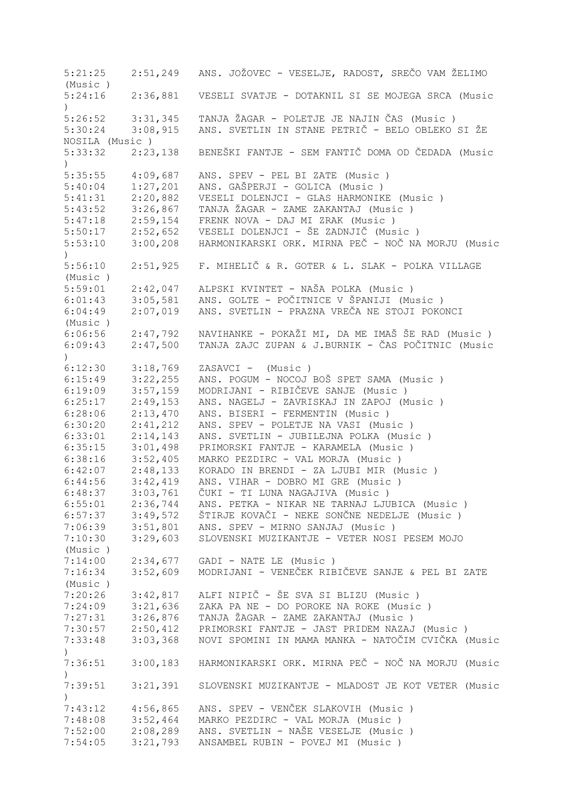5:21:25 2:51,249 ANS. JOŽOVEC - VESELJE, RADOST, SREČO VAM ŽELIMO (Music ) 5:24:16 2:36,881 VESELI SVATJE - DOTAKNIL SI SE MOJEGA SRCA (Music ) 5:26:52 3:31,345 TANJA ŽAGAR - POLETJE JE NAJIN ČAS (Music ) 5:30:24 3:08,915 ANS. SVETLIN IN STANE PETRIČ - BELO OBLEKO SI ŽE NOSILA (Music ) 5:33:32 2:23,138 BENEŠKI FANTJE - SEM FANTIČ DOMA OD ČEDADA (Music  $\lambda$ 5:35:55 4:09,687 ANS. SPEV - PEL BI ZATE (Music ) 5:40:04 1:27,201 ANS. GAŠPERJI - GOLICA (Music )<br>5:41:31 2:20,882 VESELI DOLENJCI - GLAS HARMONIK 5:41:31 2:20,882 VESELI DOLENJCI - GLAS HARMONIKE (Music ) 5:43:52 3:26,867 TANJA ŽAGAR - ZAME ZAKANTAJ (Music)<br>5:47:18 2:59,154 FRENK NOVA - DAJ MI ZRAK (Music) 2:59,154 FRENK NOVA - DAJ MI ZRAK (Music ) 5:50:17 2:52,652 VESELI DOLENJCI - ŠE ZADNJIČ (Music ) 5:53:10 3:00,208 HARMONIKARSKI ORK. MIRNA PEČ - NOČ NA MORJU (Music  $\lambda$ 5:56:10 2:51,925 F. MIHELIČ & R. GOTER & L. SLAK - POLKA VILLAGE (Music ) 5:59:01 2:42,047 ALPSKI KVINTET - NAŠA POLKA (Music)<br>6:01:43 3:05,581 ANS. GOLTE - POČITNICE V ŠPANIJI (Mu 6:01:43 3:05,581 ANS. GOLTE - POČITNICE V ŠPANIJI (Music ) 6:04:49 2:07,019 ANS. SVETLIN - PRAZNA VREČA NE STOJI POKONCI (Music ) 6:06:56 2:47,792 NAVIHANKE - POKAŽI MI, DA ME IMAŠ ŠE RAD (Music ) 6:09:43 2:47,500 TANJA ZAJC ZUPAN & J.BURNIK - ČAS POČITNIC (Music  $\lambda$ 6:12:30 3:18,769 ZASAVCI - (Music ) 6:15:49 3:22,255 ANS. POGUM - NOCOJ BOŠ SPET SAMA (Music ) MODRIJANI - RIBIČEVE SANJE (Music ) 6:25:17 2:49,153 ANS. NAGELJ - ZAVRISKAJ IN ZAPOJ (Music ) 6:28:06 2:13,470 ANS. BISERI - FERMENTIN (Music ) 6:30:20 2:41,212 ANS. SPEV - POLETJE NA VASI (Music ) 6:33:01 2:14,143 ANS. SVETLIN - JUBILEJNA POLKA (Music ) 6:35:15 3:01,498 PRIMORSKI FANTJE - KARAMELA (Music ) 6:38:16 3:52,405 MARKO PEZDIRC - VAL MORJA (Music ) 6:42:07 2:48,133 KORADO IN BRENDI - ZA LJUBI MIR (Music)<br>6:44:56 3:42,419 ANS. VIHAR - DOBRO MI GRE (Music) 6:44:56 3:42,419 ANS. VIHAR - DOBRO MI GRE (Music ) 6:48:37 3:03,761 ČUKI - TI LUNA NAGAJIVA (Music ) 6:55:01 2:36,744 ANS. PETKA - NIKAR NE TARNAJ LJUBICA (Music ) 6:57:37 3:49,572 ŠTIRJE KOVAČI - NEKE SONČNE NEDELJE (Music ) 3:51,801 ANS. SPEV - MIRNO SANJAJ (Music ) 7:10:30 3:29,603 SLOVENSKI MUZIKANTJE - VETER NOSI PESEM MOJO (Music ) 7:14:00 2:34,677 GADI - NATE LE (Music ) 7:16:34 3:52,609 MODRIJANI - VENEČEK RIBIČEVE SANJE & PEL BI ZATE (Music ) 7:20:26 3:42,817 ALFI NIPIČ - ŠE SVA SI BLIZU (Music ) 7:24:09 3:21,636 ZAKA PA NE - DO POROKE NA ROKE (Music ) 7:27:31 3:26,876 TANJA ŽAGAR - ZAME ZAKANTAJ (Music ) 7:30:57 2:50,412 PRIMORSKI FANTJE - JAST PRIDEM NAZAJ (Music ) 7:33:48 3:03,368 NOVI SPOMINI IN MAMA MANKA - NATOČIM CVIČKA (Music ) 7:36:51 3:00,183 HARMONIKARSKI ORK. MIRNA PEČ - NOČ NA MORJU (Music ) 7:39:51 3:21,391 SLOVENSKI MUZIKANTJE - MLADOST JE KOT VETER (Music  $\lambda$ 7:43:12 4:56,865 ANS. SPEV - VENČEK SLAKOVIH (Music ) 7:48:08 3:52,464 MARKO PEZDIRC - VAL MORJA (Music ) 7:52:00 2:08,289 ANS. SVETLIN - NAŠE VESELJE (Music ) 3:21,793 ANSAMBEL RUBIN - POVEJ MI (Music )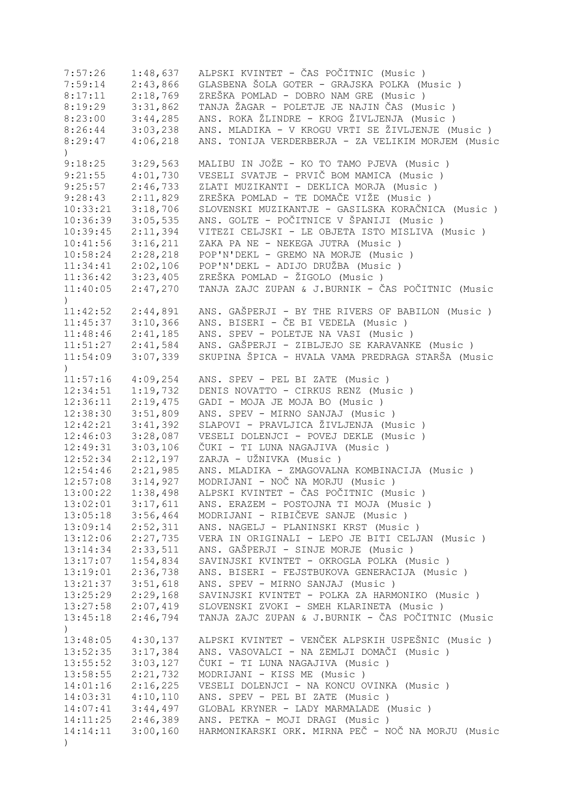| 7:57:26                   | 1:48,637 | ALPSKI KVINTET - ČAS POČITNIC (Music )             |
|---------------------------|----------|----------------------------------------------------|
| 7:59:14                   | 2:43,866 | GLASBENA ŠOLA GOTER - GRAJSKA POLKA (Music)        |
| 8:17:11                   | 2:18,769 | ZREŠKA POMLAD - DOBRO NAM GRE (Music)              |
| 8:19:29                   | 3:31,862 | TANJA ŽAGAR - POLETJE JE NAJIN ČAS (Music)         |
| 8:23:00                   | 3:44,285 | ANS. ROKA ŽLINDRE - KROG ŽIVLJENJA (Music)         |
| 8:26:44                   | 3:03,238 | ANS. MLADIKA - V KROGU VRTI SE ŽIVLJENJE (Music)   |
| 8:29:47                   | 4:06,218 | ANS. TONIJA VERDERBERJA - ZA VELIKIM MORJEM (Music |
| $\left( \right)$          |          |                                                    |
| 9:18:25                   | 3:29,563 | MALIBU IN JOŽE - KO TO TAMO PJEVA (Music)          |
| 9:21:55                   | 4:01,730 | VESELI SVATJE - PRVIČ BOM MAMICA (Music )          |
| 9:25:57                   | 2:46,733 | ZLATI MUZIKANTI - DEKLICA MORJA (Music)            |
| 9:28:43                   | 2:11,829 | ZREŠKA POMLAD - TE DOMAČE VIŽE (Music)             |
| 10:33:21                  | 3:18,706 | SLOVENSKI MUZIKANTJE - GASILSKA KORAČNICA (Music)  |
| 10:36:39                  | 3:05,535 | ANS. GOLTE - POČITNICE V ŠPANIJI (Music )          |
| 10:39:45                  | 2:11,394 | VITEZI CELJSKI - LE OBJETA ISTO MISLIVA (Music )   |
| 10:41:56                  | 3:16,211 | ZAKA PA NE - NEKEGA JUTRA (Music)                  |
| 10:58:24                  | 2:28,218 | POP'N'DEKL - GREMO NA MORJE (Music)                |
| 11:34:41                  | 2:02,106 | POP'N'DEKL - ADIJO DRUŽBA (Music)                  |
|                           |          | ZREŠKA POMLAD - ŽIGOLO (Music)                     |
| 11:36:42                  | 3:23,405 |                                                    |
| 11:40:05<br>$\mathcal{L}$ | 2:47,270 | TANJA ZAJC ZUPAN & J.BURNIK - ČAS POČITNIC (Music  |
| 11:42:52                  | 2:44,891 | ANS. GAŠPERJI - BY THE RIVERS OF BABILON (Music)   |
| 11:45:37                  | 3:10,366 | ANS. BISERI - ČE BI VEDELA (Music)                 |
| 11:48:46                  | 2:41,185 | ANS. SPEV - POLETJE NA VASI (Music )               |
| 11:51:27                  | 2:41,584 | ANS. GAŠPERJI - ZIBLJEJO SE KARAVANKE (Music)      |
| 11:54:09                  | 3:07,339 | SKUPINA ŠPICA - HVALA VAMA PREDRAGA STARŠA (Music  |
| $\lambda$                 |          |                                                    |
| 11:57:16                  | 4:09,254 | ANS. SPEV - PEL BI ZATE (Music)                    |
| 12:34:51                  | 1:19,732 | DENIS NOVATTO - CIRKUS RENZ (Music )               |
| 12:36:11                  | 2:19,475 | GADI - MOJA JE MOJA BO (Music)                     |
| 12:38:30                  | 3:51,809 | ANS. SPEV - MIRNO SANJAJ (Music)                   |
| 12:42:21                  | 3:41,392 | SLAPOVI - PRAVLJICA ŽIVLJENJA (Music)              |
| 12:46:03                  | 3:28,087 | VESELI DOLENJCI - POVEJ DEKLE (Music)              |
| 12:49:31                  | 3:03,106 | ČUKI - TI LUNA NAGAJIVA (Music )                   |
| 12:52:34                  | 2:12,197 | ZARJA - UŽNIVKA (Music)                            |
| 12:54:46                  | 2:21,985 | ANS. MLADIKA - ZMAGOVALNA KOMBINACIJA (Music)      |
| 12:57:08                  | 3:14,927 | MODRIJANI - NOČ NA MORJU (Music)                   |
| 13:00:22                  | 1:38,498 | ALPSKI KVINTET - ČAS POČITNIC (Music )             |
| 13:02:01                  | 3:17,611 | ANS. ERAZEM - POSTOJNA TI MOJA (Music)             |
| 13:05:18                  | 3:56,464 | MODRIJANI - RIBIČEVE SANJE (Music)                 |
| 13:09:14                  | 2:52,311 | ANS. NAGELJ - PLANINSKI KRST (Music)               |
| 13:12:06                  | 2:27,735 | VERA IN ORIGINALI - LEPO JE BITI CELJAN (Music )   |
| 13:14:34                  | 2:33,511 | ANS. GAŠPERJI - SINJE MORJE (Music)                |
| 13:17:07                  | 1:54,834 | SAVINJSKI KVINTET - OKROGLA POLKA (Music)          |
| 13:19:01                  | 2:36,738 | ANS. BISERI - FEJSTBUKOVA GENERACIJA (Music)       |
| 13:21:37                  | 3:51,618 | ANS. SPEV - MIRNO SANJAJ (Music)                   |
| 13:25:29                  | 2:29,168 | SAVINJSKI KVINTET - POLKA ZA HARMONIKO (Music)     |
| 13:27:58                  | 2:07,419 | SLOVENSKI ZVOKI - SMEH KLARINETA (Music )          |
| 13:45:18                  | 2:46,794 | TANJA ZAJC ZUPAN & J.BURNIK - ČAS POČITNIC (Music  |
| $\mathcal{C}$             |          |                                                    |
| 13:48:05                  | 4:30,137 | ALPSKI KVINTET - VENČEK ALPSKIH USPEŠNIC (Music )  |
| 13:52:35                  | 3:17,384 | ANS. VASOVALCI - NA ZEMLJI DOMAČI (Music )         |
| 13:55:52                  | 3:03,127 | ČUKI - TI LUNA NAGAJIVA (Music )                   |
| 13:58:55                  | 2:21,732 | MODRIJANI - KISS ME (Music)                        |
| 14:01:16                  | 2:16,225 | VESELI DOLENJCI - NA KONCU OVINKA (Music)          |
| 14:03:31                  | 4:10,110 | ANS. SPEV - PEL BI ZATE (Music)                    |
| 14:07:41                  | 3:44,497 | GLOBAL KRYNER - LADY MARMALADE (Music)             |
| 14:11:25                  | 2:46,389 | ANS. PETKA - MOJI DRAGI (Music)                    |
| 14:14:11                  | 3:00,160 | HARMONIKARSKI ORK. MIRNA PEČ - NOČ NA MORJU (Music |
| $\left( \right)$          |          |                                                    |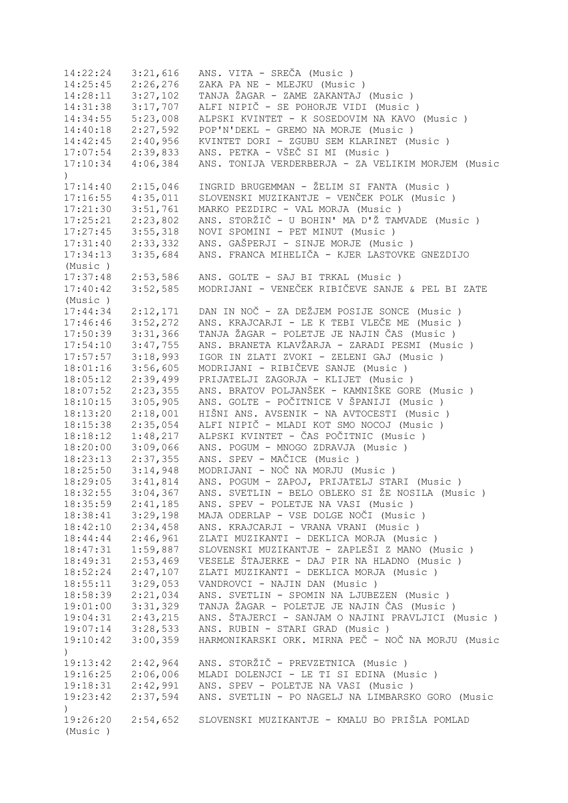14:22:24 3:21,616 ANS. VITA - SREČA (Music ) 14:25:45 2:26,276 ZAKA PA NE - MLEJKU (Music ) 14:28:11 3:27,102 TANJA ŽAGAR - ZAME ZAKANTAJ (Music ) 14:31:38 3:17,707 ALFI NIPIČ - SE POHORJE VIDI (Music ) 14:34:55 5:23,008 ALPSKI KVINTET - K SOSEDOVIM NA KAVO (Music ) 14:40:18 2:27,592 POP'N'DEKL - GREMO NA MORJE (Music ) 14:42:45 2:40,956 KVINTET DORI - ZGUBU SEM KLARINET (Music ) 17:07:54 2:39,833 ANS. PETKA - VŠEČ SI MI (Music ) 17:10:34 4:06,384 ANS. TONIJA VERDERBERJA - ZA VELIKIM MORJEM (Music  $\lambda$ 17:14:40 2:15,046 INGRID BRUGEMMAN - ŽELIM SI FANTA (Music)<br>17:16:55 4:35,011 SLOVENSKI MUZIKANTJE - VENČEK POLK (Music) 17:16:55 4:35,011 SLOVENSKI MUZIKANTJE - VENČEK POLK (Music ) 17:21:30 3:51,761 MARKO PEZDIRC - VAL MORJA (Music ) 17:25:21 2:23,802 ANS. STORŽIČ - U BOHIN' MA D'Ž TAMVADE (Music ) 17:27:45 3:55,318 NOVI SPOMINI - PET MINUT (Music ) 17:31:40 2:33,332 ANS. GAŠPERJI - SINJE MORJE (Music ) 17:34:13 3:35,684 ANS. FRANCA MIHELIČA - KJER LASTOVKE GNEZDIJO (Music ) 17:37:48 2:53,586 ANS. GOLTE - SAJ BI TRKAL (Music ) 17:40:42 3:52,585 MODRIJANI - VENEČEK RIBIČEVE SANJE & PEL BI ZATE (Music ) 17:44:34 2:12,171 DAN IN NOČ - ZA DEŽJEM POSIJE SONCE (Music ) 17:46:46 3:52,272 ANS. KRAJCARJI - LE K TEBI VLEČE ME (Music ) 17:50:39 3:31,366 TANJA ŽAGAR - POLETJE JE NAJIN ČAS (Music ) 17:54:10 3:47,755 ANS. BRANETA KLAVŽARJA - ZARADI PESMI (Music ) 17:57:57 3:18,993 IGOR IN ZLATI ZVOKI - ZELENI GAJ (Music ) 18:01:16 3:56,605 MODRIJANI - RIBIČEVE SANJE (Music ) 18:05:12 2:39,499 PRIJATELJI ZAGORJA - KLIJET (Music ) 18:07:52 2:23,355 ANS. BRATOV POLJANŠEK - KAMNIŠKE GORE (Music ) 18:10:15 3:05,905 ANS. GOLTE - POČITNICE V ŠPANIJI (Music ) 18:13:20 2:18,001 HIŠNI ANS. AVSENIK - NA AVTOCESTI (Music ) 18:15:38 2:35,054 ALFI NIPIČ - MLADI KOT SMO NOCOJ (Music ) 18:18:12 1:48,217 ALPSKI KVINTET - ČAS POČITNIC (Music ) 18:20:00 3:09,066 ANS. POGUM - MNOGO ZDRAVJA (Music ) 18:23:13 2:37,355 ANS. SPEV - MAČICE (Music ) 18:25:50 3:14,948 MODRIJANI - NOČ NA MORJU (Music ) 18:29:05 3:41,814 ANS. POGUM - ZAPOJ, PRIJATELJ STARI (Music ) 18:32:55 3:04,367 ANS. SVETLIN - BELO OBLEKO SI ŽE NOSILA (Music ) 18:35:59 2:41,185 ANS. SPEV - POLETJE NA VASI (Music ) 18:38:41 3:29,198 MAJA ODERLAP - VSE DOLGE NOČI (Music ) 18:42:10 2:34,458 ANS. KRAJCARJI - VRANA VRANI (Music ) 18:44:44 2:46,961 ZLATI MUZIKANTI - DEKLICA MORJA (Music ) 18:47:31 1:59,887 SLOVENSKI MUZIKANTJE - ZAPLEŠI Z MANO (Music ) 18:49:31 2:53,469 VESELE ŠTAJERKE - DAJ PIR NA HLADNO (Music ) 18:52:24 2:47,107 ZLATI MUZIKANTI - DEKLICA MORJA (Music)<br>18:55:11 3:29,053 VANDROVCI - NAJIN DAN (Music)  $3:29,053$  VANDROVCI - NAJIN DAN (Music ) 18:58:39 2:21,034 ANS. SVETLIN - SPOMIN NA LJUBEZEN (Music ) 19:01:00 3:31,329 TANJA ŽAGAR - POLETJE JE NAJIN ČAS (Music ) 19:04:31 2:43,215 ANS. ŠTAJERCI - SANJAM O NAJINI PRAVLJICI (Music ) 19:07:14 3:28,533 ANS. RUBIN - STARI GRAD (Music ) 19:10:42 3:00,359 HARMONIKARSKI ORK. MIRNA PEČ - NOČ NA MORJU (Music ) 19:13:42 2:42,964 ANS. STORŽIČ - PREVZETNICA (Music ) 19:16:25 2:06,006 MLADI DOLENJCI - LE TI SI EDINA (Music ) 19:18:31 2:42,991 ANS. SPEV - POLETJE NA VASI (Music ) 19:23:42 2:37,594 ANS. SVETLIN - PO NAGELJ NA LIMBARSKO GORO (Music  $\lambda$ 19:26:20 2:54,652 SLOVENSKI MUZIKANTJE - KMALU BO PRIŠLA POMLAD (Music )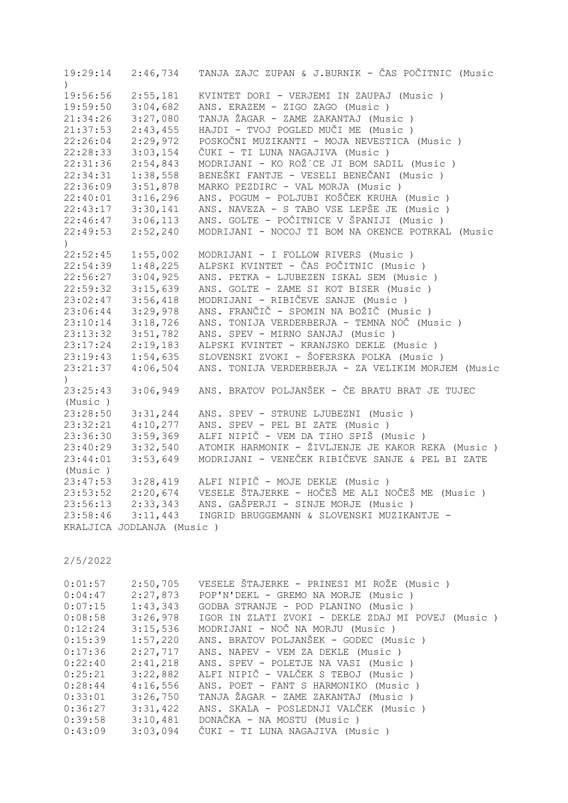| 19:29:14<br>$\lambda$ | 2:46,734                  | TANJA ZAJC ZUPAN & J.BURNIK - ČAS POČITNIC (Music  |
|-----------------------|---------------------------|----------------------------------------------------|
| 19:56:56              | 2:55,181                  | KVINTET DORI - VERJEMI IN ZAUPAJ (Music)           |
| 19:59:50              | 3:04,682                  | ANS. ERAZEM - ZIGO ZAGO (Music)                    |
| 21:34:26              | 3:27,080                  | TANJA ŽAGAR - ZAME ZAKANTAJ (Music )               |
| 21:37:53              | 2:43,455                  | HAJDI - TVOJ POGLED MUČI ME (Music)                |
| 22:26:04              | 2:29,972                  | POSKOČNI MUZIKANTI - MOJA NEVESTICA (Music)        |
| 22:28:33              | 3:03,154                  | ČUKI - TI LUNA NAGAJIVA (Music )                   |
| 22:31:36              | 2:54,843                  | MODRIJANI - KO ROŽ´CE JI BOM SADIL (Music)         |
| 22:34:31              | 1:38,558                  | BENEŠKI FANTJE - VESELI BENEČANI (Music )          |
| 22:36:09              | 3:51,878                  | MARKO PEZDIRC - VAL MORJA (Music)                  |
| 22:40:01              | 3:16,296                  | ANS. POGUM - POLJUBI KOŠČEK KRUHA (Music)          |
| 22:43:17              | 3:30,141                  | ANS. NAVEZA - S TABO VSE LEPŠE JE (Music)          |
| 22:46:47              | 3:06,113                  | ANS. GOLTE - POČITNICE V ŠPANIJI (Music )          |
| 22:49:53              | 2:52,240                  | MODRIJANI - NOCOJ TI BOM NA OKENCE POTRKAL (Music  |
| $\left( \right)$      |                           |                                                    |
| 22:52:45              | 1:55,002                  | MODRIJANI - I FOLLOW RIVERS (Music)                |
| 22:54:39              | 1:48,225                  | ALPSKI KVINTET - ČAS POČITNIC (Music )             |
| 22:56:27              | 3:04,925                  | ANS. PETKA - LJUBEZEN ISKAL SEM (Music )           |
| 22:59:32              | 3:15,639                  | ANS. GOLTE - ZAME SI KOT BISER (Music)             |
| 23:02:47              | 3:56,418                  | MODRIJANI - RIBIČEVE SANJE (Music)                 |
| 23:06:44              | 3:29,978                  | ANS. FRANČIČ - SPOMIN NA BOŽIČ (Music )            |
| 23:10:14              | 3:18,726                  | ANS. TONIJA VERDERBERJA - TEMNA NOČ (Music)        |
| 23:13:32              | 3:51,782                  | ANS. SPEV - MIRNO SANJAJ (Music)                   |
| 23:17:24              | 2:19,183                  | ALPSKI KVINTET - KRANJSKO DEKLE (Music)            |
| 23:19:43              | 1:54,635                  | SLOVENSKI ZVOKI - ŠOFERSKA POLKA (Music )          |
| 23:21:37              | 4:06,504                  | ANS. TONIJA VERDERBERJA - ZA VELIKIM MORJEM (Music |
| $\left( \right)$      |                           |                                                    |
| 23:25:43              | 3:06,949                  | ANS. BRATOV POLJANŠEK - ČE BRATU BRAT JE TUJEC     |
| (Music)               |                           |                                                    |
| 23:28:50              | 3:31,244                  | ANS. SPEV - STRUNE LJUBEZNI (Music )               |
| 23:32:21              | 4:10,277                  | ANS. SPEV - PEL BI ZATE (Music)                    |
| 23:36:30              | 3:59,369                  | ALFI NIPIČ - VEM DA TIHO SPIŠ (Music )             |
| 23:40:29              | 3:32,540                  | ATOMIK HARMONIK - ŽIVLJENJE JE KAKOR REKA (Music)  |
| 23:44:01              | 3:53,649                  | MODRIJANI - VENEČEK RIBIČEVE SANJE & PEL BI ZATE   |
| (Music)               |                           |                                                    |
| 23:47:53              | 3:28,419                  | ALFI NIPIČ - MOJE DEKLE (Music)                    |
| 23:53:52              | 2:20,674                  | VESELE ŠTAJERKE - HOČEŠ ME ALI NOČEŠ ME (Music )   |
| 23:56:13              | 2:33,343                  | ANS. GAŠPERJI - SINJE MORJE (Music)                |
| 23:58:46              | 3:11,443                  | INGRID BRUGGEMANN & SLOVENSKI MUZIKANTJE -         |
|                       | KRALJICA JODLANJA (Music) |                                                    |

| 0:01:57 | 2:50,705 | VESELE ŠTAJERKE - PRINESI MI ROŽE (Music)         |
|---------|----------|---------------------------------------------------|
| 0:04:47 | 2:27,873 | POP'N'DEKL - GREMO NA MORJE (Music)               |
| 0:07:15 | 1:43,343 | GODBA STRANJE - POD PLANINO (Music)               |
| 0:08:58 | 3:26,978 | IGOR IN ZLATI ZVOKI - DEKLE ZDAJ MI POVEJ (Music) |
| 0:12:24 | 3:15,536 | MODRIJANI - NOČ NA MORJU (Music )                 |
| 0:15:39 | 1:57,220 | ANS. BRATOV POLJANŠEK - GODEC (Music)             |
| 0:17:36 | 2:27,717 | ANS. NAPEV - VEM ZA DEKLE (Music)                 |
| 0:22:40 | 2:41,218 | ANS. SPEV - POLETJE NA VASI (Music)               |
| 0:25:21 | 3:22,882 | ALFI NIPIČ - VALČEK S TEBOJ (Music)               |
| 0:28:44 | 4:16,556 | ANS. POET - FANT S HARMONIKO (Music)              |
| 0:33:01 | 3:26,750 | TANJA ŽAGAR - ZAME ZAKANTAJ (Music )              |
| 0:36:27 | 3:31,422 | ANS. SKALA - POSLEDNJI VALČEK (Music)             |
| 0:39:58 |          | 3:10,481 DONAČKA - NA MOSTU (Music)               |
| 0:43:09 | 3:03,094 | ČUKI - TI LUNA NAGAJIVA (Music )                  |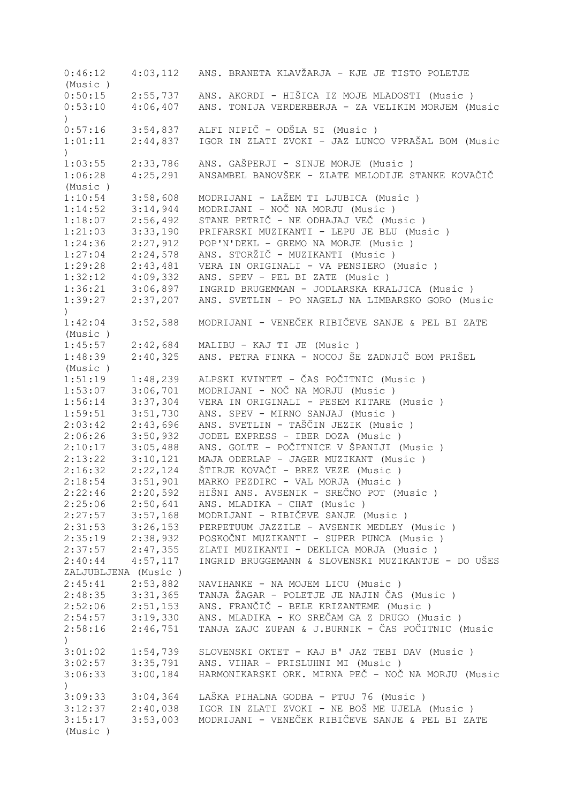| 0:46:12             |                      | 4:03,112 ANS. BRANETA KLAVŽARJA - KJE JE TISTO POLETJE                                  |
|---------------------|----------------------|-----------------------------------------------------------------------------------------|
| (Music)             |                      |                                                                                         |
| 0:50:15             | 2:55,737             | ANS. AKORDI - HIŠICA IZ MOJE MLADOSTI (Music )                                          |
| 0:53:10             | 4:06,407             | ANS. TONIJA VERDERBERJA - ZA VELIKIM MORJEM (Music                                      |
| $\mathcal{L}$       |                      |                                                                                         |
| 0:57:16             | 3:54,837             | ALFI NIPIČ - ODŠLA SI (Music )                                                          |
| 1:01:11             | 2:44,837             | IGOR IN ZLATI ZVOKI - JAZ LUNCO VPRAŠAL BOM (Music                                      |
| $\lambda$           |                      |                                                                                         |
| 1:03:55             | 2:33,786             | ANS. GAŠPERJI - SINJE MORJE (Music)                                                     |
| 1:06:28             | 4:25,291             | ANSAMBEL BANOVŠEK - ZLATE MELODIJE STANKE KOVAČIČ                                       |
| (Music)             |                      |                                                                                         |
| 1:10:54             | 3:58,608             | MODRIJANI - LAŽEM TI LJUBICA (Music)                                                    |
| 1:14:52             | 3:14,944             | MODRIJANI - NOČ NA MORJU (Music)                                                        |
| 1:18:07             | 2:56,492             | STANE PETRIČ - NE ODHAJAJ VEČ (Music)                                                   |
| 1:21:03             | 3:33,190             | PRIFARSKI MUZIKANTI - LEPU JE BLU (Music)                                               |
| 1:24:36             | 2:27,912             | POP'N'DEKL - GREMO NA MORJE (Music)                                                     |
| 1:27:04             | 2:24,578             | ANS. STORŽIČ - MUZIKANTI (Music)                                                        |
| 1:29:28             | 2:43,481             | VERA IN ORIGINALI - VA PENSIERO (Music)                                                 |
| 1:32:12             | 4:09,332             | ANS. SPEV - PEL BI ZATE (Music)                                                         |
| 1:36:21             | 3:06,897             | INGRID BRUGEMMAN - JODLARSKA KRALJICA (Music)                                           |
| 1:39:27             | 2:37,207             | ANS. SVETLIN - PO NAGELJ NA LIMBARSKO GORO (Music                                       |
| $\mathcal{E}$       |                      |                                                                                         |
| 1:42:04             | 3:52,588             | MODRIJANI - VENEČEK RIBIČEVE SANJE & PEL BI ZATE                                        |
| (Music)             |                      |                                                                                         |
| 1:45:57             | 2:42,684             | MALIBU - KAJ TI JE (Music)                                                              |
| 1:48:39             | 2:40,325             | ANS. PETRA FINKA - NOCOJ ŠE ZADNJIČ BOM PRIŠEL                                          |
| (Music)             |                      |                                                                                         |
| 1:51:19             | 1:48,239             | ALPSKI KVINTET - ČAS POČITNIC (Music )                                                  |
| 1:53:07             | 3:06,701             | MODRIJANI - NOČ NA MORJU (Music )                                                       |
| 1:56:14             | 3:37,304             | VERA IN ORIGINALI - PESEM KITARE (Music )                                               |
| 1:59:51             | 3:51,730             | ANS. SPEV - MIRNO SANJAJ (Music)                                                        |
| 2:03:42             | 2:43,696             | ANS. SVETLIN - TAŠČIN JEZIK (Music )                                                    |
| 2:06:26             | 3:50,932             | JODEL EXPRESS - IBER DOZA (Music )                                                      |
| 2:10:17             | 3:05,488             | ANS. GOLTE - POČITNICE V ŠPANIJI (Music )                                               |
| 2:13:22             | 3:10,121             | MAJA ODERLAP - JAGER MUZIKANT (Music)                                                   |
| 2:16:32             | 2:22,124             | ŠTIRJE KOVAČI - BREZ VEZE (Music )                                                      |
| 2:18:54             | 3:51,901             | MARKO PEZDIRC - VAL MORJA (Music)                                                       |
| 2:22:46             | 2:20,592             | HIŠNI ANS. AVSENIK - SREČNO POT (Music )                                                |
| 2:25:06             | 2:50,641<br>3:57,168 | ANS. MLADIKA - CHAT (Music)                                                             |
| 2:27:57<br>2:31:53  | 3:26,153             | MODRIJANI - RIBIČEVE SANJE (Music)                                                      |
|                     | 2:38,932             | PERPETUUM JAZZILE - AVSENIK MEDLEY (Music)<br>POSKOČNI MUZIKANTI - SUPER PUNCA (Music ) |
| 2:35:19<br>2:37:57  | 2:47,355             | ZLATI MUZIKANTI - DEKLICA MORJA (Music)                                                 |
| 2:40:44             | 4:57,117             | INGRID BRUGGEMANN & SLOVENSKI MUZIKANTJE - DO UŠES                                      |
| ZALJUBLJENA (Music) |                      |                                                                                         |
| 2:45:41             | 2:53,882             | NAVIHANKE - NA MOJEM LICU (Music)                                                       |
| 2:48:35             | 3:31,365             | TANJA ŽAGAR - POLETJE JE NAJIN ČAS (Music)                                              |
| 2:52:06             | 2:51,153             | ANS. FRANČIČ - BELE KRIZANTEME (Music)                                                  |
| 2:54:57             | 3:19,330             | ANS. MLADIKA - KO SREČAM GA Z DRUGO (Music)                                             |
| 2:58:16             | 2:46,751             | TANJA ZAJC ZUPAN & J.BURNIK - ČAS POČITNIC (Music                                       |
| $\mathcal{L}$       |                      |                                                                                         |
| 3:01:02             | 1:54,739             | SLOVENSKI OKTET - KAJ B' JAZ TEBI DAV (Music)                                           |
| 3:02:57             | 3:35,791             | ANS. VIHAR - PRISLUHNI MI (Music)                                                       |
| 3:06:33             | 3:00,184             | HARMONIKARSKI ORK. MIRNA PEČ - NOČ NA MORJU (Music                                      |
| $\lambda$           |                      |                                                                                         |
| 3:09:33             | 3:04,364             | LAŠKA PIHALNA GODBA - PTUJ 76 (Music)                                                   |
| 3:12:37             | 2:40,038             | IGOR IN ZLATI ZVOKI - NE BOŠ ME UJELA (Music)                                           |
| 3:15:17             | 3:53,003             | MODRIJANI - VENEČEK RIBIČEVE SANJE & PEL BI ZATE                                        |
| (Music)             |                      |                                                                                         |
|                     |                      |                                                                                         |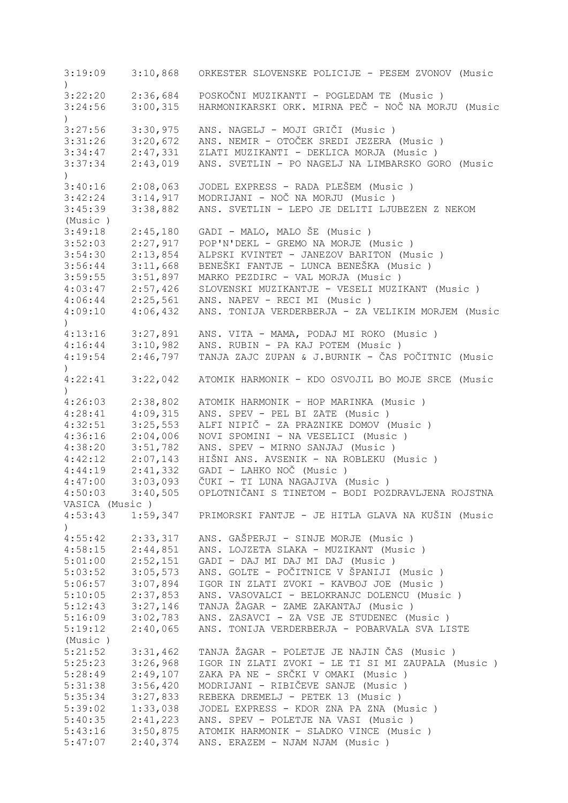| 3:19:09                     | 3:10,868             | ORKESTER SLOVENSKE POLICIJE - PESEM ZVONOV (Music                                              |
|-----------------------------|----------------------|------------------------------------------------------------------------------------------------|
|                             |                      |                                                                                                |
| 3:22:20<br>3:24:56          | 2:36,684<br>3:00,315 | POSKOČNI MUZIKANTI - POGLEDAM TE (Music)<br>HARMONIKARSKI ORK. MIRNA PEČ - NOČ NA MORJU (Music |
| $\mathcal{L}$               |                      |                                                                                                |
| 3:27:56                     | 3:30,975             | ANS. NAGELJ - MOJI GRIČI (Music)                                                               |
| 3:31:26                     | 3:20,672             | ANS. NEMIR - OTOČEK SREDI JEZERA (Music)                                                       |
| 3:34:47                     | 2:47,331             | ZLATI MUZIKANTI - DEKLICA MORJA (Music)                                                        |
| 3:37:34<br>$\left( \right)$ | 2:43,019             | ANS. SVETLIN - PO NAGELJ NA LIMBARSKO GORO (Music                                              |
| 3:40:16                     | 2:08,063             | JODEL EXPRESS - RADA PLEŠEM (Music)                                                            |
| 3:42:24                     | 3:14,917             | MODRIJANI - NOČ NA MORJU (Music)                                                               |
| 3:45:39                     | 3:38,882             | ANS. SVETLIN - LEPO JE DELITI LJUBEZEN Z NEKOM                                                 |
| (Music)                     |                      |                                                                                                |
| 3:49:18                     | 2:45,180             | GADI - MALO, MALO ŠE (Music)                                                                   |
| 3:52:03                     | 2:27,917             | POP'N'DEKL - GREMO NA MORJE (Music)                                                            |
| 3:54:30                     | 2:13,854             | ALPSKI KVINTET - JANEZOV BARITON (Music )                                                      |
| 3:56:44                     | 3:11,668             | BENEŠKI FANTJE - LUNCA BENEŠKA (Music )                                                        |
| 3:59:55                     | 3:51,897             | MARKO PEZDIRC - VAL MORJA (Music)                                                              |
| 4:03:47                     | 2:57,426             | SLOVENSKI MUZIKANTJE - VESELI MUZIKANT (Music )                                                |
| 4:06:44                     | 2:25,561             | ANS. NAPEV - RECI MI (Music)                                                                   |
| 4:09:10                     | 4:06,432             | ANS. TONIJA VERDERBERJA - ZA VELIKIM MORJEM (Music                                             |
| $\mathcal{L}$               |                      |                                                                                                |
| 4:13:16                     | 3:27,891             | ANS. VITA - MAMA, PODAJ MI ROKO (Music)                                                        |
| 4:16:44                     | 3:10,982             | ANS. RUBIN - PA KAJ POTEM (Music)                                                              |
| 4:19:54                     | 2:46,797             | TANJA ZAJC ZUPAN & J.BURNIK - ČAS POČITNIC (Music                                              |
| $\mathcal{L}$               |                      |                                                                                                |
| 4:22:41                     | 3:22,042             | ATOMIK HARMONIK - KDO OSVOJIL BO MOJE SRCE (Music                                              |
| $\mathcal{L}$               |                      |                                                                                                |
| 4:26:03                     | 2:38,802             | ATOMIK HARMONIK - HOP MARINKA (Music)                                                          |
| 4:28:41                     | 4:09,315             | ANS. SPEV - PEL BI ZATE (Music)                                                                |
| 4:32:51                     | 3:25,553             | ALFI NIPIČ - ZA PRAZNIKE DOMOV (Music )                                                        |
| 4:36:16                     | 2:04,006             | NOVI SPOMINI - NA VESELICI (Music)                                                             |
| 4:38:20                     | 3:51,782             | ANS. SPEV - MIRNO SANJAJ (Music)                                                               |
| 4:42:12                     | 2:07,143             | HIŠNI ANS. AVSENIK - NA ROBLEKU (Music)                                                        |
| 4:44:19                     | 2:41,332             | GADI - LAHKO NOČ (Music)                                                                       |
| 4:47:00                     | 3:03,093             | ČUKI - TI LUNA NAGAJIVA (Music )                                                               |
| 4:50:03                     | 3:40,505             | OPLOTNIČANI S TINETOM - BODI POZDRAVLJENA ROJSTNA                                              |
| VASICA (Music)              |                      |                                                                                                |
| 4:53:43<br>$\left( \right)$ |                      | 1:59,347 PRIMORSKI FANTJE - JE HITLA GLAVA NA KUŠIN (Music                                     |
| 4:55:42                     | 2:33,317             | ANS. GAŠPERJI - SINJE MORJE (Music)                                                            |
| 4:58:15                     | 2:44,851             | ANS. LOJZETA SLAKA - MUZIKANT (Music)                                                          |
| 5:01:00                     | 2:52,151             | GADI - DAJ MI DAJ MI DAJ (Music)                                                               |
| 5:03:52                     | 3:05,573             | ANS. GOLTE - POČITNICE V ŠPANIJI (Music)                                                       |
| 5:06:57                     | 3:07,894             | IGOR IN ZLATI ZVOKI - KAVBOJ JOE (Music)                                                       |
| 5:10:05                     | 2:37,853             | ANS. VASOVALCI - BELOKRANJC DOLENCU (Music)                                                    |
| 5:12:43                     | 3:27,146             | TANJA ŽAGAR - ZAME ZAKANTAJ (Music )                                                           |
| 5:16:09                     | 3:02,783             | ANS. ZASAVCI - ZA VSE JE STUDENEC (Music)                                                      |
|                             | 2:40,065             | ANS. TONIJA VERDERBERJA - POBARVALA SVA LISTE                                                  |
| 5:19:12                     |                      |                                                                                                |
| (Music)<br>5:21:52          |                      | TANJA ŽAGAR - POLETJE JE NAJIN ČAS (Music)                                                     |
|                             | 3:31,462             | IGOR IN ZLATI ZVOKI - LE TI SI MI ZAUPALA (Music)                                              |
| 5:25:23                     | 3:26,968             | ZAKA PA NE - SRČKI V OMAKI (Music )                                                            |
| 5:28:49                     | 2:49,107             |                                                                                                |
| 5:31:38                     | 3:56,420             | MODRIJANI - RIBIČEVE SANJE (Music)                                                             |
| 5:35:34                     | 3:27,833             | REBEKA DREMELJ - PETEK 13 (Music)                                                              |
| 5:39:02                     | 1:33,038             | JODEL EXPRESS - KDOR ZNA PA ZNA (Music)                                                        |
| 5:40:35                     | 2:41,223             | ANS. SPEV - POLETJE NA VASI (Music)                                                            |
| 5:43:16                     | 3:50,875             | ATOMIK HARMONIK - SLADKO VINCE (Music)                                                         |
| 5:47:07                     | 2:40,374             | ANS. ERAZEM - NJAM NJAM (Music)                                                                |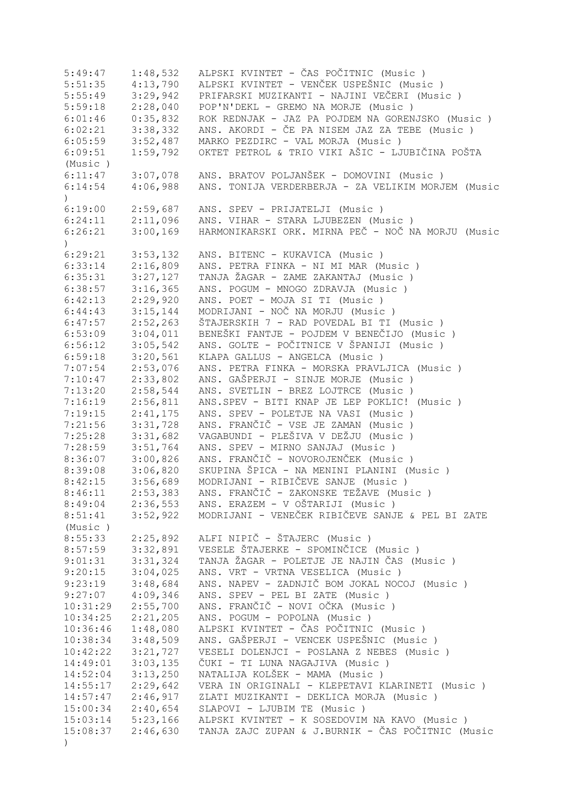| 5:49:47          | 1:48,532 | ALPSKI KVINTET - ČAS POČITNIC (Music )             |
|------------------|----------|----------------------------------------------------|
| 5:51:35          | 4:13,790 | ALPSKI KVINTET - VENČEK USPEŠNIC (Music)           |
| 5:55:49          | 3:29,942 | PRIFARSKI MUZIKANTI - NAJINI VEČERI (Music)        |
| 5:59:18          | 2:28,040 | POP'N'DEKL - GREMO NA MORJE (Music)                |
| 6:01:46          | 0:35,832 | ROK REDNJAK - JAZ PA POJDEM NA GORENJSKO (Music)   |
| 6:02:21          | 3:38,332 | ANS. AKORDI - ČE PA NISEM JAZ ZA TEBE (Music)      |
| 6:05:59          | 3:52,487 | MARKO PEZDIRC - VAL MORJA (Music)                  |
|                  |          | OKTET PETROL & TRIO VIKI AŠIC - LJUBIČINA POŠTA    |
| 6:09:51          | 1:59,792 |                                                    |
| (Music)          |          |                                                    |
| 6:11:47          |          | 3:07,078 ANS. BRATOV POLJANŠEK - DOMOVINI (Music)  |
| 6:14:54          | 4:06,988 | ANS. TONIJA VERDERBERJA - ZA VELIKIM MORJEM (Music |
| $\left( \right)$ |          |                                                    |
| 6:19:00          | 2:59,687 | ANS. SPEV - PRIJATELJI (Music)                     |
| 6:24:11          |          | 2:11,096 ANS. VIHAR - STARA LJUBEZEN (Music)       |
| 6:26:21          | 3:00,169 | HARMONIKARSKI ORK. MIRNA PEČ - NOČ NA MORJU (Music |
| $\mathcal{L}$    |          |                                                    |
| 6:29:21          | 3:53,132 | ANS. BITENC - KUKAVICA (Music)                     |
| 6:33:14          | 2:16,809 | ANS. PETRA FINKA - NI MI MAR (Music)               |
| 6:35:31          | 3:27,127 | TANJA ŽAGAR - ZAME ZAKANTAJ (Music )               |
|                  |          |                                                    |
| 6:38:57          | 3:16,365 | ANS. POGUM - MNOGO ZDRAVJA (Music)                 |
| 6:42:13          | 2:29,920 | ANS. POET - MOJA SI TI (Music)                     |
| 6:44:43          | 3:15,144 | MODRIJANI - NOČ NA MORJU (Music)                   |
| 6:47:57          | 2:52,263 | ŠTAJERSKIH 7 - RAD POVEDAL BI TI (Music )          |
| 6:53:09          | 3:04,011 | BENEŠKI FANTJE - POJDEM V BENEČIJO (Music)         |
| 6:56:12          | 3:05,542 | ANS. GOLTE - POČITNICE V ŠPANIJI (Music )          |
| 6:59:18          | 3:20,561 | KLAPA GALLUS - ANGELCA (Music)                     |
| 7:07:54          | 2:53,076 | ANS. PETRA FINKA - MORSKA PRAVLJICA (Music )       |
| 7:10:47          | 2:33,802 | ANS. GAŠPERJI - SINJE MORJE (Music)                |
| 7:13:20          | 2:58,544 | ANS. SVETLIN - BREZ LOJTRCE (Music)                |
| 7:16:19          | 2:56,811 | ANS.SPEV - BITI KNAP JE LEP POKLIC! (Music)        |
| 7:19:15          | 2:41,175 | ANS. SPEV - POLETJE NA VASI (Music)                |
|                  | 3:31,728 | ANS. FRANČIČ - VSE JE ZAMAN (Music)                |
| 7:21:56          |          |                                                    |
| 7:25:28          | 3:31,682 | VAGABUNDI - PLEŠIVA V DEŽJU (Music )               |
| 7:28:59          | 3:51,764 | ANS. SPEV - MIRNO SANJAJ (Music)                   |
| 8:36:07          | 3:00,826 | ANS. FRANČIČ - NOVOROJENČEK (Music)                |
| 8:39:08          | 3:06,820 | SKUPINA ŠPICA - NA MENINI PLANINI (Music )         |
| 8:42:15          | 3:56,689 | MODRIJANI - RIBIČEVE SANJE (Music)                 |
| 8:46:11          | 2:53,383 | ANS. FRANČIČ - ZAKONSKE TEŽAVE (Music )            |
| 8:49:04          | 2:36,553 | ANS. ERAZEM - V OŠTARIJI (Music )                  |
| 8:51:41          | 3:52,922 | MODRIJANI - VENEČEK RIBIČEVE SANJE & PEL BI ZATE   |
| (Music)          |          |                                                    |
| 8:55:33          | 2:25,892 | ALFI NIPIČ - ŠTAJERC (Music)                       |
| 8:57:59          | 3:32,891 | VESELE ŠTAJERKE - SPOMINČICE (Music)               |
| 9:01:31          | 3:31,324 | TANJA ŽAGAR - POLETJE JE NAJIN ČAS (Music)         |
| 9:20:15          | 3:04,025 | ANS. VRT - VRTNA VESELICA (Music)                  |
| 9:23:19          | 3:48,684 | ANS. NAPEV - ZADNJIČ BOM JOKAL NOCOJ (Music )      |
|                  |          | ANS. SPEV - PEL BI ZATE (Music)                    |
| 9:27:07          | 4:09,346 |                                                    |
| 10:31:29         | 2:55,700 | ANS. FRANČIČ - NOVI OČKA (Music )                  |
| 10:34:25         | 2:21,205 | ANS. POGUM - POPOLNA (Music)                       |
| 10:36:46         | 1:48,080 | ALPSKI KVINTET - ČAS POČITNIC (Music )             |
| 10:38:34         | 3:48,509 | ANS. GAŠPERJI - VENCEK USPEŠNIC (Music)            |
| 10:42:22         | 3:21,727 | VESELI DOLENJCI - POSLANA Z NEBES (Music)          |
| 14:49:01         | 3:03,135 | ČUKI - TI LUNA NAGAJIVA (Music )                   |
| 14:52:04         | 3:13,250 | NATALIJA KOLŠEK - MAMA (Music)                     |
| 14:55:17         | 2:29,642 | VERA IN ORIGINALI - KLEPETAVI KLARINETI (Music )   |
| 14:57:47         | 2:46,917 | ZLATI MUZIKANTI - DEKLICA MORJA (Music)            |
| 15:00:34         | 2:40,654 | SLAPOVI - LJUBIM TE (Music)                        |
| 15:03:14         | 5:23,166 | ALPSKI KVINTET - K SOSEDOVIM NA KAVO (Music)       |
| 15:08:37         | 2:46,630 | TANJA ZAJC ZUPAN & J.BURNIK - ČAS POČITNIC (Music  |
|                  |          |                                                    |
| $\big)$          |          |                                                    |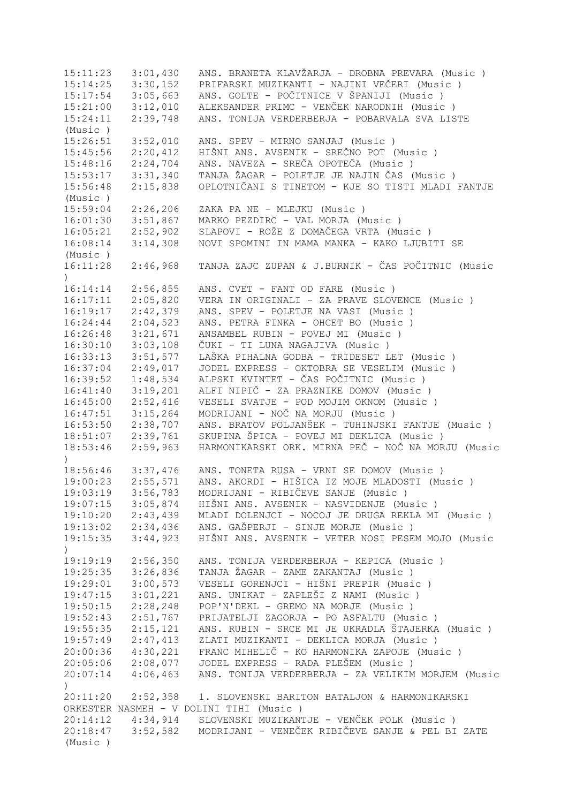15:11:23 3:01,430 ANS. BRANETA KLAVŽARJA - DROBNA PREVARA (Music ) 15:14:25 3:30,152 PRIFARSKI MUZIKANTI - NAJINI VEČERI (Music ) 15:17:54 3:05,663 ANS. GOLTE - POČITNICE V ŠPANIJI (Music ) 15:21:00 3:12,010 ALEKSANDER PRIMC - VENČEK NARODNIH (Music ) 15:24:11 2:39,748 ANS. TONIJA VERDERBERJA - POBARVALA SVA LISTE (Music ) 15:26:51 3:52,010 ANS. SPEV - MIRNO SANJAJ (Music ) 15:45:56 2:20,412 HIŠNI ANS. AVSENIK - SREČNO POT (Music ) 15:48:16 2:24,704 ANS. NAVEZA - SREČA OPOTEČA (Music ) 15:53:17 3:31,340 TANJA ŽAGAR - POLETJE JE NAJIN ČAS (Music ) 15:56:48 2:15,838 OPLOTNIČANI S TINETOM - KJE SO TISTI MLADI FANTJE (Music ) 15:59:04 2:26,206 ZAKA PA NE - MLEJKU (Music ) 16:01:30 3:51,867 MARKO PEZDIRC - VAL MORJA (Music ) 16:05:21 2:52,902 SLAPOVI - ROŽE Z DOMAČEGA VRTA (Music ) 16:08:14 3:14,308 NOVI SPOMINI IN MAMA MANKA - KAKO LJUBITI SE (Music ) 16:11:28 2:46,968 TANJA ZAJC ZUPAN & J.BURNIK - ČAS POČITNIC (Music ) 16:14:14 2:56,855 ANS. CVET - FANT OD FARE (Music ) 16:17:11 2:05,820 VERA IN ORIGINALI - ZA PRAVE SLOVENCE (Music ) 16:19:17 2:42,379 ANS. SPEV - POLETJE NA VASI (Music ) 16:24:44 2:04,523 ANS. PETRA FINKA - OHCET BO (Music ) 16:26:48 3:21,671 ANSAMBEL RUBIN - POVEJ MI (Music ) 16:30:10 3:03,108 ČUKI - TI LUNA NAGAJIVA (Music ) 16:33:13 3:51,577 LAŠKA PIHALNA GODBA - TRIDESET LET (Music ) 16:37:04 2:49,017 JODEL EXPRESS - OKTOBRA SE VESELIM (Music ) 16:39:52 1:48,534 ALPSKI KVINTET - ČAS POČITNIC (Music ) 16:41:40 3:19,201 ALFI NIPIČ - ZA PRAZNIKE DOMOV (Music ) 16:45:00 2:52,416 VESELI SVATJE - POD MOJIM OKNOM (Music ) 16:47:51 3:15,264 MODRIJANI - NOČ NA MORJU (Music ) 16:53:50 2:38,707 ANS. BRATOV POLJANŠEK - TUHINJSKI FANTJE (Music ) 18:51:07 2:39,761 SKUPINA ŠPICA - POVEJ MI DEKLICA (Music ) 18:53:46 2:59,963 HARMONIKARSKI ORK. MIRNA PEČ - NOČ NA MORJU (Music ) 18:56:46 3:37,476 ANS. TONETA RUSA - VRNI SE DOMOV (Music ) 19:00:23 2:55,571 ANS. AKORDI - HIŠICA IZ MOJE MLADOSTI (Music ) 19:03:19 3:56,783 MODRIJANI - RIBIČEVE SANJE (Music ) 19:07:15 3:05,874 HIŠNI ANS. AVSENIK - NASVIDENJE (Music ) 19:10:20 2:43,439 MLADI DOLENJCI - NOCOJ JE DRUGA REKLA MI (Music ) 19:13:02 2:34,436 ANS. GAŠPERJI - SINJE MORJE (Music ) 19:15:35 3:44,923 HIŠNI ANS. AVSENIK - VETER NOSI PESEM MOJO (Music  $\lambda$ 19:19:19 2:56,350 ANS. TONIJA VERDERBERJA - KEPICA (Music ) 19:25:35 3:26,836 TANJA ŽAGAR - ZAME ZAKANTAJ (Music ) 19:29:01 3:00,573 VESELI GORENJCI - HIŠNI PREPIR (Music ) 19:47:15 3:01,221 ANS. UNIKAT - ZAPLEŠI Z NAMI (Music ) 19:50:15 2:28,248 POP'N'DEKL - GREMO NA MORJE (Music ) 19:52:43 2:51,767 PRIJATELJI ZAGORJA - PO ASFALTU (Music ) 19:55:35 2:15,121 ANS. RUBIN - SRCE MI JE UKRADLA ŠTAJERKA (Music ) 19:57:49 2:47,413 ZLATI MUZIKANTI - DEKLICA MORJA (Music ) 20:00:36 4:30,221 FRANC MIHELIČ - KO HARMONIKA ZAPOJE (Music ) 20:05:06 2:08,077 JODEL EXPRESS - RADA PLEŠEM (Music ) 20:07:14 4:06,463 ANS. TONIJA VERDERBERJA - ZA VELIKIM MORJEM (Music ) 20:11:20 2:52,358 1. SLOVENSKI BARITON BATALJON & HARMONIKARSKI ORKESTER NASMEH - V DOLINI TIHI (Music ) 20:14:12 4:34,914 SLOVENSKI MUZIKANTJE - VENČEK POLK (Music ) 20:18:47 3:52,582 MODRIJANI - VENEČEK RIBIČEVE SANJE & PEL BI ZATE (Music )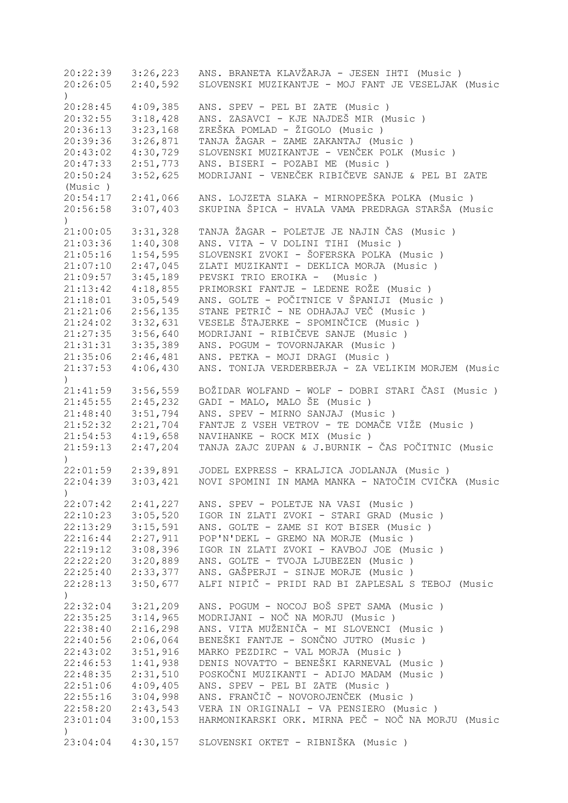20:22:39 3:26,223 ANS. BRANETA KLAVŽARJA - JESEN IHTI (Music ) 20:26:05 2:40,592 SLOVENSKI MUZIKANTJE - MOJ FANT JE VESELJAK (Music ) 20:28:45 4:09,385 ANS. SPEV - PEL BI ZATE (Music ) 20:32:55 3:18,428 ANS. ZASAVCI - KJE NAJDEŠ MIR (Music ) 20:36:13 3:23,168 ZREŠKA POMLAD - ŽIGOLO (Music ) 20:39:36 3:26,871 TANJA ŽAGAR - ZAME ZAKANTAJ (Music ) 20:43:02 4:30,729 SLOVENSKI MUZIKANTJE - VENČEK POLK (Music ) 20:47:33 2:51,773 ANS. BISERI - POZABI ME (Music ) 20:50:24 3:52,625 MODRIJANI - VENEČEK RIBIČEVE SANJE & PEL BI ZATE (Music ) 20:54:17 2:41,066 ANS. LOJZETA SLAKA - MIRNOPEŠKA POLKA (Music ) 20:56:58 3:07,403 SKUPINA ŠPICA - HVALA VAMA PREDRAGA STARŠA (Music ) 21:00:05 3:31,328 TANJA ŽAGAR - POLETJE JE NAJIN ČAS (Music ) 21:03:36 1:40,308 ANS. VITA - V DOLINI TIHI (Music ) 21:05:16 1:54,595 SLOVENSKI ZVOKI - ŠOFERSKA POLKA (Music ) 21:07:10 2:47,045 ZLATI MUZIKANTI - DEKLICA MORJA (Music ) 21:09:57 3:45,189 PEVSKI TRIO EROIKA - (Music ) 21:13:42 4:18,855 PRIMORSKI FANTJE - LEDENE ROŽE (Music ) 21:18:01 3:05,549 ANS. GOLTE - POČITNICE V ŠPANIJI (Music ) 21:21:06 2:56,135 STANE PETRIČ - NE ODHAJAJ VEČ (Music ) 21:24:02 3:32,631 VESELE ŠTAJERKE - SPOMINČICE (Music ) 21:27:35 3:56,640 MODRIJANI - RIBIČEVE SANJE (Music ) 21:31:31 3:35,389 ANS. POGUM - TOVORNJAKAR (Music ) 21:35:06 2:46,481 ANS. PETKA - MOJI DRAGI (Music ) 21:37:53 4:06,430 ANS. TONIJA VERDERBERJA - ZA VELIKIM MORJEM (Music ) 21:41:59 3:56,559 BOŽIDAR WOLFAND - WOLF - DOBRI STARI ČASI (Music ) 21:45:55 2:45,232 GADI - MALO, MALO ŠE (Music ) 21:48:40 3:51,794 ANS. SPEV - MIRNO SANJAJ (Music ) 21:52:32 2:21,704 FANTJE Z VSEH VETROV - TE DOMAČE VIŽE (Music ) 21:54:53 4:19,658 NAVIHANKE - ROCK MIX (Music ) 21:59:13 2:47,204 TANJA ZAJC ZUPAN & J.BURNIK - ČAS POČITNIC (Music ) 22:01:59 2:39,891 JODEL EXPRESS - KRALJICA JODLANJA (Music ) 22:04:39 3:03,421 NOVI SPOMINI IN MAMA MANKA - NATOČIM CVIČKA (Music ) 22:07:42 2:41,227 ANS. SPEV - POLETJE NA VASI (Music ) 22:10:23 3:05,520 IGOR IN ZLATI ZVOKI - STARI GRAD (Music ) 22:13:29 3:15,591 ANS. GOLTE - ZAME SI KOT BISER (Music ) 22:16:44 2:27,911 POP'N'DEKL - GREMO NA MORJE (Music ) 22:19:12 3:08,396 IGOR IN ZLATI ZVOKI - KAVBOJ JOE (Music ) 22:22:20 3:20,889 ANS. GOLTE - TVOJA LJUBEZEN (Music ) 22:25:40 2:33,377 ANS. GAŠPERJI - SINJE MORJE (Music )<br>22:28:13 3:50,677 ALFI NIPIČ - PRIDI RAD BI ZAPLESAL S 22:28:13 3:50,677 ALFI NIPIČ - PRIDI RAD BI ZAPLESAL S TEBOJ (Music  $\lambda$ 22:32:04 3:21,209 ANS. POGUM - NOCOJ BOŠ SPET SAMA (Music ) 22:35:25 3:14,965 MODRIJANI - NOČ NA MORJU (Music ) 22:38:40 2:16,298 ANS. VITA MUŽENIČA - MI SLOVENCI (Music ) 22:40:56 2:06,064 BENEŠKI FANTJE - SONČNO JUTRO (Music)<br>22:43:02 3:51,916 MARKO PEZDIRC - VAL MORJA (Music) 3:51,916 MARKO PEZDIRC - VAL MORJA (Music ) 22:46:53 1:41,938 DENIS NOVATTO - BENEŠKI KARNEVAL (Music ) 22:48:35 2:31,510 POSKOČNI MUZIKANTI - ADIJO MADAM (Music ) 22:51:06 4:09,405 ANS. SPEV - PEL BI ZATE (Music ) 22:55:16 3:04,998 ANS. FRANČIČ - NOVOROJENČEK (Music ) 22:58:20 2:43,543 VERA IN ORIGINALI - VA PENSIERO (Music ) 23:01:04 3:00,153 HARMONIKARSKI ORK. MIRNA PEČ - NOČ NA MORJU (Music  $\lambda$ 23:04:04 4:30,157 SLOVENSKI OKTET - RIBNIŠKA (Music )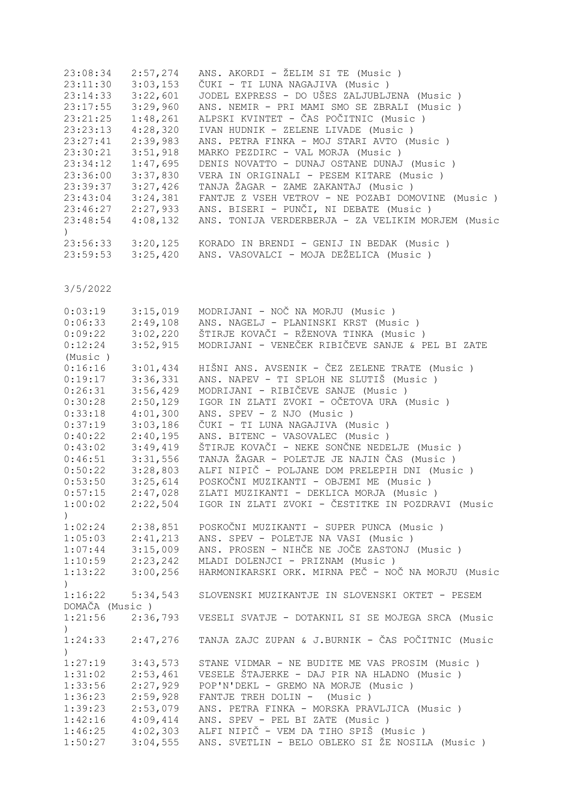| 23:08:34 | 2:57,274              | ANS. AKORDI - ŽELIM SI TE (Music)                  |
|----------|-----------------------|----------------------------------------------------|
| 23:11:30 | 3:03,153              | ČUKI - TI LUNA NAGAJIVA (Music)                    |
|          | $23:14:33$ $3:22,601$ | JODEL EXPRESS - DO UŠES ZALJUBLJENA (Music )       |
| 23:17:55 | 3:29,960              | ANS. NEMIR - PRI MAMI SMO SE ZBRALI (Music)        |
| 23:21:25 | 1:48,261              | ALPSKI KVINTET - ČAS POČITNIC (Music)              |
| 23:23:13 | 4:28,320              | IVAN HUDNIK - ZELENE LIVADE (Music)                |
| 23:27:41 | 2:39,983              | ANS. PETRA FINKA - MOJ STARI AVTO (Music)          |
|          | $23:30:21$ $3:51,918$ | MARKO PEZDIRC - VAL MORJA (Music)                  |
| 23:34:12 | 1:47,695              | DENIS NOVATTO - DUNAJ OSTANE DUNAJ (Music)         |
| 23:36:00 | 3:37,830              | VERA IN ORIGINALI - PESEM KITARE (Music)           |
| 23:39:37 | 3:27,426              | TANJA ŽAGAR - ZAME ZAKANTAJ (Music)                |
| 23:43:04 | 3:24,381              | FANTJE Z VSEH VETROV - NE POZABI DOMOVINE (Music)  |
|          | $23:46:27$ $2:27,933$ | ANS. BISERI - PUNČI, NI DEBATE (Music)             |
| 23:48:54 | 4:08,132              | ANS. TONIJA VERDERBERJA - ZA VELIKIM MORJEM (Music |
|          |                       |                                                    |
|          | $23:56:33$ $3:20,125$ | KORADO IN BRENDI - GENIJ IN BEDAK (Music )         |
| 23:59:53 | 3:25,420              | ANS. VASOVALCI - MOJA DEŽELICA (Music)             |

| 0:03:19          | 3:15,019 | MODRIJANI - NOČ NA MORJU (Music)                   |
|------------------|----------|----------------------------------------------------|
| 0:06:33          | 2:49,108 | ANS. NAGELJ - PLANINSKI KRST (Music)               |
| 0:09:22          | 3:02,220 | ŠTIRJE KOVAČI - RŽENOVA TINKA (Music )             |
| 0:12:24          | 3:52,915 | MODRIJANI - VENEČEK RIBIČEVE SANJE & PEL BI ZATE   |
| (Music)          |          |                                                    |
| 0:16:16          | 3:01,434 | HIŠNI ANS. AVSENIK - ČEZ ZELENE TRATE (Music )     |
| 0:19:17          | 3:36,331 | ANS. NAPEV - TI SPLOH NE SLUTIŠ (Music)            |
| 0:26:31          | 3:56,429 | MODRIJANI - RIBIČEVE SANJE (Music)                 |
| 0:30:28          | 2:50,129 | IGOR IN ZLATI ZVOKI - OČETOVA URA (Music )         |
| 0:33:18          | 4:01,300 | ANS. SPEV - Z NJO (Music)                          |
| 0:37:19          | 3:03,186 | ČUKI - TI LUNA NAGAJIVA (Music )                   |
| 0:40:22          | 2:40,195 | ANS. BITENC - VASOVALEC (Music)                    |
| 0:43:02          | 3:49,419 | ŠTIRJE KOVAČI - NEKE SONČNE NEDELJE (Music )       |
| 0:46:51          | 3:31,556 | TANJA ŽAGAR - POLETJE JE NAJIN ČAS (Music)         |
| 0:50:22          | 3:28,803 | ALFI NIPIČ - POLJANE DOM PRELEPIH DNI (Music)      |
| 0:53:50          | 3:25,614 | POSKOČNI MUZIKANTI - OBJEMI ME (Music )            |
| 0:57:15          | 2:47,028 | ZLATI MUZIKANTI - DEKLICA MORJA (Music)            |
| 1:00:02          | 2:22,504 | IGOR IN ZLATI ZVOKI - ČESTITKE IN POZDRAVI (Music  |
| $\left( \right)$ |          |                                                    |
| 1:02:24          | 2:38,851 | POSKOČNI MUZIKANTI - SUPER PUNCA (Music)           |
| 1:05:03          | 2:41,213 | ANS. SPEV - POLETJE NA VASI (Music)                |
| 1:07:44          | 3:15,009 | ANS. PROSEN - NIHČE NE JOČE ZASTONJ (Music )       |
| 1:10:59          | 2:23,242 | MLADI DOLENJCI - PRIZNAM (Music)                   |
| 1:13:22          | 3:00,256 | HARMONIKARSKI ORK. MIRNA PEČ - NOČ NA MORJU (Music |
| $\left( \right)$ |          |                                                    |
| 1:16:22          | 5:34,543 | SLOVENSKI MUZIKANTJE IN SLOVENSKI OKTET - PESEM    |
| DOMAČA (Music)   |          |                                                    |
| 1:21:56          | 2:36,793 | VESELI SVATJE - DOTAKNIL SI SE MOJEGA SRCA (Music  |
| $\lambda$        |          |                                                    |
| 1:24:33          | 2:47,276 | TANJA ZAJC ZUPAN & J.BURNIK - ČAS POČITNIC (Music  |
| $\lambda$        |          |                                                    |
| 1:27:19          | 3:43,573 | STANE VIDMAR - NE BUDITE ME VAS PROSIM (Music)     |
| 1:31:02          | 2:53,461 | VESELE ŠTAJERKE - DAJ PIR NA HLADNO (Music)        |
| 1:33:56          | 2:27,929 | POP'N'DEKL - GREMO NA MORJE (Music)                |
| 1:36:23          | 2:59,928 | FANTJE TREH DOLIN - (Music)                        |
| 1:39:23          | 2:53,079 | ANS. PETRA FINKA - MORSKA PRAVLJICA (Music )       |
| 1:42:16          | 4:09,414 | ANS. SPEV - PEL BI ZATE (Music)                    |
| 1:46:25          | 4:02,303 | ALFI NIPIČ - VEM DA TIHO SPIŠ (Music)              |
| 1:50:27          | 3:04,555 | ANS. SVETLIN - BELO OBLEKO SI ŽE NOSILA (Music )   |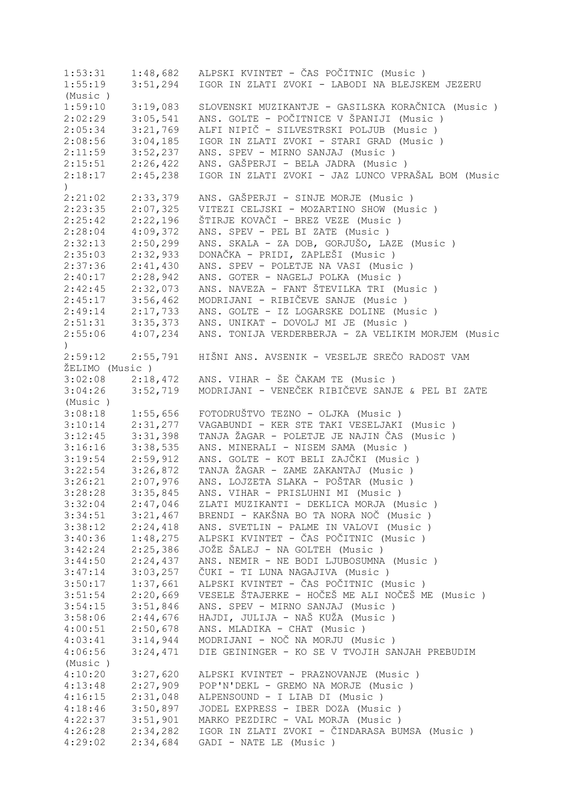1:53:31 1:48,682 ALPSKI KVINTET - ČAS POČITNIC (Music)<br>1:55:19 3:51,294 IGOR IN ZLATI ZVOKI - LABODI NA BLEJSK 1:55:19 3:51,294 IGOR IN ZLATI ZVOKI - LABODI NA BLEJSKEM JEZERU (Music )<br>1:59:10 3:19,083 1:59:10 3:19,083 SLOVENSKI MUZIKANTJE - GASILSKA KORAČNICA (Music)<br>2:02:29 3:05,541 ANS. GOLTE - POČITNICE V ŠPANIJI (Music) 2:02:29 3:05,541 ANS. GOLTE - POČITNICE V ŠPANIJI (Music ) 2:05:34 3:21,769 ALFI NIPIČ - SILVESTRSKI POLJUB (Music ) 2:08:56 3:04,185 IGOR IN ZLATI ZVOKI - STARI GRAD (Music ) 2:11:59 3:52,237 ANS. SPEV - MIRNO SANJAJ (Music ) 2:15:51 2:26,422 ANS. GAŠPERJI - BELA JADRA (Music ) 2:18:17 2:45,238 IGOR IN ZLATI ZVOKI - JAZ LUNCO VPRAŠAL BOM (Music ) 2:21:02 2:33,379 ANS. GAŠPERJI - SINJE MORJE (Music ) 2:23:35 2:07,325 VITEZI CELJSKI - MOZARTINO SHOW (Music ) 2:21:02 2:33,379 ANS. GAŠPERJI - SINJE MORJE (Music 2:23:35 2:07,325 VITEZI CELJSKI - MOZARTINO SHOW (M<br>2:25:42 2:22,196 ŠTIRJE KOVAČI - BREZ VEZE (Music )<br>2:28:04 4:09,372 ANS. SPEV - PEL BI ZATE (Music ) 2:28:04 4:09,372 ANS. SPEV - PEL BI ZATE (Music ) 2:32:13 2:50,299 ANS. SKALA - ZA DOB, GORJUŠO, LAZE (Music ) 2:35:03 2:32,933 DONAČKA - PRIDI, ZAPLEŠI (Music ) 2:37:36 2:41,430 ANS. SPEV - POLETJE NA VASI (Music ) 2:40:17 2:28,942 ANS. GOTER - NAGELJ POLKA (Music ) 2:42:45 2:32,073 ANS. NAVEZA - FANT ŠTEVILKA TRI (Music)<br>2:45:17 3:56,462 MODRIJANI - RIBIČEVE SANJE (Music) 2:45:17 3:56,462 MODRIJANI - RIBIČEVE SANJE (Music)<br>2:49:14 2:17,733 ANS. GOLTE - IZ LOGARSKE DOLINE (Mu 2:49:14 2:17,733 ANS. GOLTE - IZ LOGARSKE DOLINE (Music ) 2:51:31 3:35,373 ANS. UNIKAT - DOVOLJ MI JE (Music ) 2:55:06 4:07,234 ANS. TONIJA VERDERBERJA - ZA VELIKIM MORJEM (Music  $\lambda$ 2:59:12 2:55,791 HIŠNI ANS. AVSENIK - VESELJE SREČO RADOST VAM ŽELIMO (Music )<br>3:02:08 2:18,472 3:02:08 2:18,472 ANS. VIHAR - ŠE ČAKAM TE (Music ) 3:04:26 3:52,719 MODRIJANI - VENEČEK RIBIČEVE SANJE & PEL BI ZATE (Music ) 3:08:18 1:55,656 FOTODRUŠTVO TEZNO - OLJKA (Music ) 3:10:14 2:31,277 VAGABUNDI - KER STE TAKI VESELJAKI (Music ) 3:12:45 3:31,398 TANJA ŽAGAR - POLETJE JE NAJIN ČAS (Music ) 3:16:16 3:38,535 ANS. MINERALI - NISEM SAMA (Music ) 3:19:54 2:59,912 ANS. GOLTE - KOT BELI ZAJČKI (Music ) 3:22:54 3:26,872 TANJA ŽAGAR - ZAME ZAKANTAJ (Music ) 3:26:21 2:07,976 ANS. LOJZETA SLAKA - POŠTAR (Music ) ANS. VIHAR - PRISLUHNI MI (Music ) 3:32:04 2:47,046 ZLATI MUZIKANTI - DEKLICA MORJA (Music ) 3:34:51 3:21,467 BRENDI - KAKŠNA BO TA NORA NOČ (Music ) 3:38:12 2:24,418 ANS. SVETLIN - PALME IN VALOVI (Music ) 3:40:36 1:48,275 ALPSKI KVINTET - ČAS POČITNIC (Music ) 3:42:24 2:25,386 JOŽE ŠALEJ - NA GOLTEH (Music ) ANS. NEMIR - NE BODI LJUBOSUMNA (Music ) 3:47:14 3:03,257 ČUKI - TI LUNA NAGAJIVA (Music ) 3:50:17 1:37,661 ALPSKI KVINTET - ČAS POČITNIC (Music ) 3:51:54 2:20,669 VESELE ŠTAJERKE - HOČEŠ ME ALI NOČEŠ ME (Music ) 3:54:15 3:51,846 ANS. SPEV - MIRNO SANJAJ (Music ) 3:58:06 2:44,676 HAJDI, JULIJA - NAŠ KUŽA (Music ) 4:00:51 2:50,678 ANS. MLADIKA - CHAT (Music ) 4:03:41 3:14,944 MODRIJANI - NOČ NA MORJU (Music ) 4:06:56 3:24,471 DIE GEININGER - KO SE V TVOJIH SANJAH PREBUDIM (Music ) 4:10:20 3:27,620 ALPSKI KVINTET - PRAZNOVANJE (Music ) 4:13:48 2:27,909 POP'N'DEKL - GREMO NA MORJE (Music ) 4:16:15 2:31,048 ALPENSOUND - I LIAB DI (Music ) 4:18:46 3:50,897 JODEL EXPRESS - IBER DOZA (Music ) 4:22:37 3:51,901 MARKO PEZDIRC - VAL MORJA (Music ) 4:26:28 2:34,282 IGOR IN ZLATI ZVOKI - ČINDARASA BUMSA (Music ) 4:29:02 2:34,684 GADI - NATE LE (Music )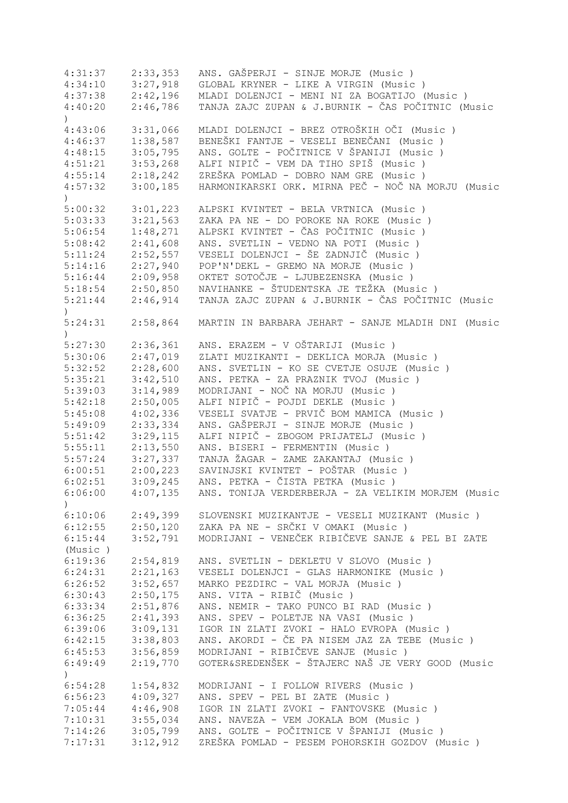| 4:31:37          | 2:33,353 | ANS. GAŠPERJI - SINJE MORJE (Music )               |
|------------------|----------|----------------------------------------------------|
| 4:34:10          | 3:27,918 | GLOBAL KRYNER - LIKE A VIRGIN (Music )             |
| 4:37:38          | 2:42,196 | MLADI DOLENJCI - MENI NI ZA BOGATIJO (Music)       |
| 4:40:20          | 2:46,786 | TANJA ZAJC ZUPAN & J.BURNIK - ČAS POČITNIC (Music  |
| $\left( \right)$ |          |                                                    |
| 4:43:06          | 3:31,066 | MLADI DOLENJCI - BREZ OTROŠKIH OČI (Music )        |
| 4:46:37          | 1:38,587 | BENEŠKI FANTJE - VESELI BENEČANI (Music )          |
| 4:48:15          | 3:05,795 | ANS. GOLTE - POČITNICE V ŠPANIJI (Music )          |
| 4:51:21          | 3:53,268 | ALFI NIPIČ - VEM DA TIHO SPIŠ (Music)              |
| 4:55:14          | 2:18,242 | ZREŠKA POMLAD - DOBRO NAM GRE (Music)              |
|                  |          | HARMONIKARSKI ORK. MIRNA PEČ - NOČ NA MORJU (Music |
| 4:57:32          | 3:00,185 |                                                    |
| $\mathcal{L}$    |          |                                                    |
| 5:00:32          | 3:01,223 | ALPSKI KVINTET - BELA VRTNICA (Music)              |
| 5:03:33          | 3:21,563 | ZAKA PA NE - DO POROKE NA ROKE (Music)             |
| 5:06:54          | 1:48,271 | ALPSKI KVINTET - ČAS POČITNIC (Music )             |
| 5:08:42          | 2:41,608 | ANS. SVETLIN - VEDNO NA POTI (Music)               |
| 5:11:24          | 2:52,557 | VESELI DOLENJCI - ŠE ZADNJIČ (Music )              |
| 5:14:16          | 2:27,940 | POP'N'DEKL - GREMO NA MORJE (Music)                |
| 5:16:44          | 2:09,958 | OKTET SOTOČJE - LJUBEZENSKA (Music )               |
| 5:18:54          | 2:50,850 | NAVIHANKE - ŠTUDENTSKA JE TEŽKA (Music)            |
| 5:21:44          | 2:46,914 | TANJA ZAJC ZUPAN & J.BURNIK - ČAS POČITNIC (Music  |
| $\mathcal{L}$    |          |                                                    |
| 5:24:31          | 2:58,864 | MARTIN IN BARBARA JEHART - SANJE MLADIH DNI (Music |
| $\lambda$        |          |                                                    |
| 5:27:30          | 2:36,361 | ANS. ERAZEM - V OŠTARIJI (Music )                  |
| 5:30:06          | 2:47,019 | ZLATI MUZIKANTI - DEKLICA MORJA (Music)            |
| 5:32:52          | 2:28,600 | ANS. SVETLIN - KO SE CVETJE OSUJE (Music)          |
| 5:35:21          | 3:42,510 | ANS. PETKA - ZA PRAZNIK TVOJ (Music)               |
|                  |          | MODRIJANI - NOČ NA MORJU (Music)                   |
| 5:39:03          | 3:14,989 |                                                    |
| 5:42:18          | 2:50,005 | ALFI NIPIČ - POJDI DEKLE (Music)                   |
| 5:45:08          | 4:02,336 | VESELI SVATJE - PRVIČ BOM MAMICA (Music)           |
| 5:49:09          | 2:33,334 | ANS. GAŠPERJI - SINJE MORJE (Music)                |
| 5:51:42          | 3:29,115 | ALFI NIPIČ - ZBOGOM PRIJATELJ (Music)              |
| 5:55:11          | 2:13,550 | ANS. BISERI - FERMENTIN (Music)                    |
| 5:57:24          | 3:27,337 | TANJA ŽAGAR - ZAME ZAKANTAJ (Music)                |
| 6:00:51          | 2:00,223 | SAVINJSKI KVINTET - POŠTAR (Music )                |
| 6:02:51          | 3:09,245 | ANS. PETKA - ČISTA PETKA (Music)                   |
| 6:06:00          | 4:07,135 | ANS. TONIJA VERDERBERJA - ZA VELIKIM MORJEM (Music |
| $\mathcal{C}$    |          |                                                    |
| 6:10:06          | 2:49,399 | SLOVENSKI MUZIKANTJE - VESELI MUZIKANT (Music)     |
| 6:12:55          | 2:50,120 | ZAKA PA NE - SRČKI V OMAKI (Music )                |
| 6:15:44          | 3:52,791 | MODRIJANI - VENEČEK RIBIČEVE SANJE & PEL BI ZATE   |
| (Music)          |          |                                                    |
| 6:19:36          | 2:54,819 | ANS. SVETLIN - DEKLETU V SLOVO (Music)             |
| 6:24:31          | 2:21,163 | VESELI DOLENJCI - GLAS HARMONIKE (Music)           |
| 6:26:52          | 3:52,657 | MARKO PEZDIRC - VAL MORJA (Music)                  |
| 6:30:43          | 2:50,175 | ANS. VITA - RIBIČ (Music)                          |
|                  |          | ANS. NEMIR - TAKO PUNCO BI RAD (Music)             |
| 6:33:34          | 2:51,876 |                                                    |
| 6:36:25          | 2:41,393 | ANS. SPEV - POLETJE NA VASI (Music )               |
| 6:39:06          | 3:09,131 | IGOR IN ZLATI ZVOKI - HALO EVROPA (Music )         |
| 6:42:15          | 3:38,803 | ANS. AKORDI - ČE PA NISEM JAZ ZA TEBE (Music)      |
| 6:45:53          | 3:56,859 | MODRIJANI - RIBIČEVE SANJE (Music)                 |
| 6:49:49          | 2:19,770 | GOTER&SREDENŠEK - ŠTAJERC NAŠ JE VERY GOOD (Music  |
| $\left( \right)$ |          |                                                    |
| 6:54:28          | 1:54,832 | MODRIJANI - I FOLLOW RIVERS (Music )               |
| 6:56:23          | 4:09,327 | ANS. SPEV - PEL BI ZATE (Music)                    |
| 7:05:44          | 4:46,908 | IGOR IN ZLATI ZVOKI - FANTOVSKE (Music)            |
| 7:10:31          | 3:55,034 | ANS. NAVEZA - VEM JOKALA BOM (Music)               |
| 7:14:26          | 3:05,799 | ANS. GOLTE - POČITNICE V ŠPANIJI (Music )          |
| 7:17:31          | 3:12,912 | ZREŠKA POMLAD - PESEM POHORSKIH GOZDOV (Music )    |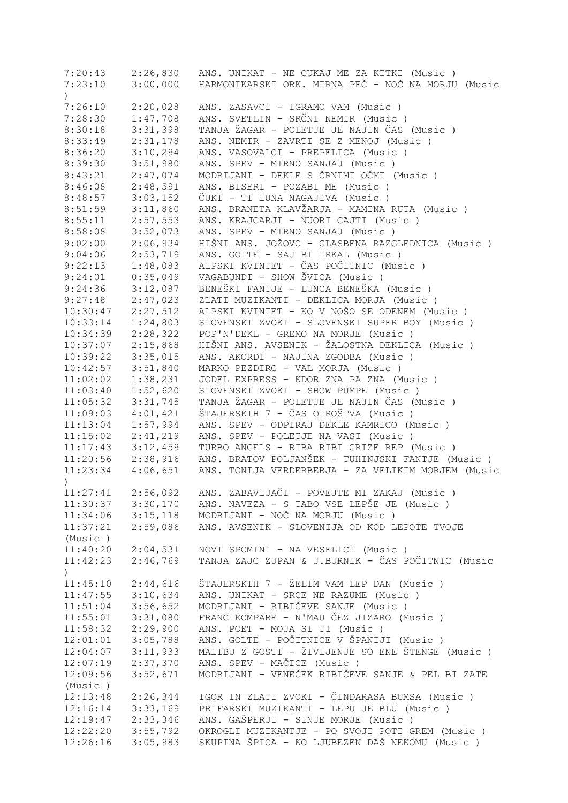|                  | $7:20:43$ $2:26,830$  | ANS. UNIKAT - NE CUKAJ ME ZA KITKI (Music )                  |
|------------------|-----------------------|--------------------------------------------------------------|
| 7:23:10          | 3:00,000              | HARMONIKARSKI ORK. MIRNA PEČ - NOČ NA MORJU (Music           |
| $\left( \right)$ |                       |                                                              |
| 7:26:10          | 2:20,028              | ANS. ZASAVCI - IGRAMO VAM (Music )                           |
| 7:28:30          | 1:47,708              | ANS. SVETLIN - SRČNI NEMIR (Music)                           |
| 8:30:18          | 3:31,398              | TANJA ŽAGAR - POLETJE JE NAJIN ČAS (Music)                   |
| 8:33:49          | 2:31,178              | ANS. NEMIR - ZAVRTI SE Z MENOJ (Music)                       |
|                  |                       |                                                              |
| 8:36:20          | 3:10,294              | ANS. VASOVALCI - PREPELICA (Music)                           |
| 8:39:30          | 3:51,980              | ANS. SPEV - MIRNO SANJAJ (Music)                             |
| 8:43:21          | 2:47,074              | MODRIJANI - DEKLE S ČRNIMI OČMI (Music)                      |
| 8:46:08          | 2:48,591              | ANS. BISERI - POZABI ME (Music)                              |
| 8:48:57          | 3:03,152              | ČUKI - TI LUNA NAGAJIVA (Music )                             |
| 8:51:59          | 3:11,860              | ANS. BRANETA KLAVŽARJA - MAMINA RUTA (Music)                 |
| 8:55:11          | 2:57,553              | ANS. KRAJCARJI - NUORI CAJTI (Music)                         |
| 8:58:08          | 3:52,073              | ANS. SPEV - MIRNO SANJAJ (Music)                             |
| 9:02:00          | 2:06,934              | HIŠNI ANS. JOŽOVC - GLASBENA RAZGLEDNICA (Music )            |
| 9:04:06          | 2:53,719              | ANS. GOLTE - SAJ BI TRKAL (Music)                            |
| 9:22:13          | 1:48,083              | ALPSKI KVINTET - ČAS POČITNIC (Music )                       |
| 9:24:01          | 0:35,049              | VAGABUNDI - SHOW ŠVICA (Music)                               |
| 9:24:36          | 3:12,087              | BENEŠKI FANTJE - LUNCA BENEŠKA (Music )                      |
| 9:27:48          | 2:47,023              | ZLATI MUZIKANTI - DEKLICA MORJA (Music)                      |
|                  | 2:27,512              | ALPSKI KVINTET - KO V NOŠO SE ODENEM (Music )                |
| 10:30:47         |                       |                                                              |
| 10:33:14         | 1:24,803              | SLOVENSKI ZVOKI - SLOVENSKI SUPER BOY (Music )               |
| 10:34:39         | 2:28,322              | POP'N'DEKL - GREMO NA MORJE (Music)                          |
| 10:37:07         | 2:15,868              | HIŠNI ANS. AVSENIK - ŽALOSTNA DEKLICA (Music )               |
| 10:39:22         | 3:35,015              | ANS. AKORDI - NAJINA ZGODBA (Music)                          |
| 10:42:57         | 3:51,840              | MARKO PEZDIRC - VAL MORJA (Music)                            |
| 11:02:02         | 1:38,231              | JODEL EXPRESS - KDOR ZNA PA ZNA (Music)                      |
| 11:03:40         | 1:52,620              | SLOVENSKI ZVOKI - SHOW PUMPE (Music )                        |
| 11:05:32         | 3:31,745              | TANJA ŽAGAR - POLETJE JE NAJIN ČAS (Music)                   |
| 11:09:03         | 4:01,421              | ŠTAJERSKIH 7 - ČAS OTROŠTVA (Music )                         |
| 11:13:04         | 1:57,994              | ANS. SPEV - ODPIRAJ DEKLE KAMRICO (Music)                    |
| 11:15:02         | 2:41,219              | ANS. SPEV - POLETJE NA VASI (Music)                          |
| 11:17:43         | 3:12,459              | TURBO ANGELS - RIBA RIBI GRIZE REP (Music)                   |
|                  | $11:20:56$ $2:38,916$ | ANS. BRATOV POLJANŠEK - TUHINJSKI FANTJE (Music)             |
| 11:23:34         | 4:06,651              | ANS. TONIJA VERDERBERJA - ZA VELIKIM MORJEM (Music           |
| $\mathcal{L}$    |                       |                                                              |
|                  |                       | 11:27:41 2:56,092 ANS. ZABAVLJAČI - POVEJTE MI ZAKAJ (Music) |
| 11:30:37         | 3:30,170              | ANS. NAVEZA - S TABO VSE LEPŠE JE (Music)                    |
| 11:34:06         | 3:15,118              | MODRIJANI - NOČ NA MORJU (Music)                             |
| 11:37:21         | 2:59,086              | ANS. AVSENIK - SLOVENIJA OD KOD LEPOTE TVOJE                 |
| (Music)          |                       |                                                              |
| 11:40:20         | 2:04,531              | NOVI SPOMINI - NA VESELICI (Music)                           |
| 11:42:23         | 2:46,769              | TANJA ZAJC ZUPAN & J.BURNIK - ČAS POČITNIC (Music            |
|                  |                       |                                                              |
| $\mathcal{C}$    |                       |                                                              |
| 11:45:10         | 2:44,616              | ŠTAJERSKIH 7 - ŽELIM VAM LEP DAN (Music)                     |
| 11:47:55         | 3:10,634              | ANS. UNIKAT - SRCE NE RAZUME (Music)                         |
| 11:51:04         | 3:56,652              | MODRIJANI - RIBIČEVE SANJE (Music)                           |
| 11:55:01         | 3:31,080              | FRANC KOMPARE - N'MAU ČEZ JIZARO (Music)                     |
| 11:58:32         | 2:29,900              | ANS. POET - MOJA SI TI (Music)                               |
| 12:01:01         | 3:05,788              | ANS. GOLTE - POČITNICE V ŠPANIJI (Music )                    |
| 12:04:07         | 3:11,933              | MALIBU Z GOSTI - ŽIVLJENJE SO ENE ŠTENGE (Music)             |
| 12:07:19         | 2:37,370              | ANS. SPEV - MAČICE (Music)                                   |
| 12:09:56         | 3:52,671              | MODRIJANI - VENEČEK RIBIČEVE SANJE & PEL BI ZATE             |
| (Music)          |                       |                                                              |
| 12:13:48         | 2:26,344              | IGOR IN ZLATI ZVOKI - ČINDARASA BUMSA (Music )               |
| 12:16:14         | 3:33,169              | PRIFARSKI MUZIKANTI - LEPU JE BLU (Music)                    |
| 12:19:47         | 2:33,346              | ANS. GAŠPERJI - SINJE MORJE (Music)                          |
| 12:22:20         | 3:55,792              | OKROGLI MUZIKANTJE - PO SVOJI POTI GREM (Music)              |
| 12:26:16         | 3:05,983              | SKUPINA ŠPICA - KO LJUBEZEN DAŠ NEKOMU (Music )              |
|                  |                       |                                                              |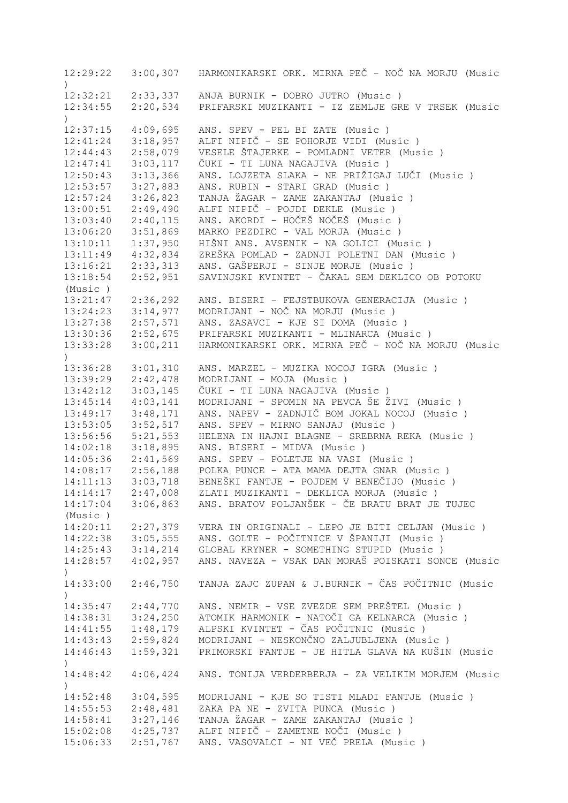| 12:29:22<br>$\lambda$     |          | 3:00,307 HARMONIKARSKI ORK. MIRNA PEČ - NOČ NA MORJU (Music |
|---------------------------|----------|-------------------------------------------------------------|
| 12:32:21                  | 2:33,337 | ANJA BURNIK - DOBRO JUTRO (Music)                           |
| 12:34:55                  | 2:20,534 | PRIFARSKI MUZIKANTI - IZ ZEMLJE GRE V TRSEK (Music          |
| $\mathcal{C}$             |          |                                                             |
| 12:37:15                  | 4:09,695 | ANS. SPEV - PEL BI ZATE (Music)                             |
| 12:41:24                  | 3:18,957 | ALFI NIPIČ - SE POHORJE VIDI (Music)                        |
| 12:44:43                  | 2:58,079 | VESELE ŠTAJERKE - POMLADNI VETER (Music)                    |
| 12:47:41                  | 3:03,117 | ČUKI - TI LUNA NAGAJIVA (Music )                            |
| 12:50:43                  | 3:13,366 | ANS. LOJZETA SLAKA - NE PRIŽIGAJ LUČI (Music )              |
| 12:53:57                  | 3:27,883 | ANS. RUBIN - STARI GRAD (Music)                             |
| 12:57:24                  | 3:26,823 | TANJA ŽAGAR - ZAME ZAKANTAJ (Music )                        |
| 13:00:51                  | 2:49,490 | ALFI NIPIČ - POJDI DEKLE (Music)                            |
| 13:03:40                  | 2:40,115 | ANS. AKORDI - HOČEŠ NOČEŠ (Music )                          |
| 13:06:20                  | 3:51,869 | MARKO PEZDIRC - VAL MORJA (Music)                           |
| 13:10:11                  | 1:37,950 | HIŠNI ANS. AVSENIK - NA GOLICI (Music )                     |
| 13:11:49                  | 4:32,834 | ZREŠKA POMLAD - ZADNJI POLETNI DAN (Music)                  |
| 13:16:21                  | 2:33,313 | ANS. GAŠPERJI - SINJE MORJE (Music)                         |
| 13:18:54                  | 2:52,951 | SAVINJSKI KVINTET - ČAKAL SEM DEKLICO OB POTOKU             |
| (Music)                   |          |                                                             |
| 13:21:47                  | 2:36,292 | ANS. BISERI - FEJSTBUKOVA GENERACIJA (Music )               |
| 13:24:23                  | 3:14,977 | MODRIJANI - NOČ NA MORJU (Music)                            |
| 13:27:38                  | 2:57,571 | ANS. ZASAVCI - KJE SI DOMA (Music)                          |
| 13:30:36                  | 2:52,675 | PRIFARSKI MUZIKANTI - MLINARCA (Music)                      |
| 13:33:28                  | 3:00,211 | HARMONIKARSKI ORK. MIRNA PEČ - NOČ NA MORJU (Music          |
| $\lambda$                 |          |                                                             |
| 13:36:28                  | 3:01,310 | ANS. MARZEL - MUZIKA NOCOJ IGRA (Music)                     |
| 13:39:29                  | 2:42,478 | MODRIJANI - MOJA (Music)                                    |
| 13:42:12                  | 3:03,145 | ČUKI - TI LUNA NAGAJIVA (Music)                             |
| 13:45:14                  | 4:03,141 | MODRIJANI - SPOMIN NA PEVCA ŠE ŽIVI (Music )                |
| 13:49:17                  | 3:48,171 | ANS. NAPEV - ZADNJIČ BOM JOKAL NOCOJ (Music)                |
| 13:53:05                  | 3:52,517 | ANS. SPEV - MIRNO SANJAJ (Music)                            |
| 13:56:56                  | 5:21,553 | HELENA IN HAJNI BLAGNE - SREBRNA REKA (Music)               |
| 14:02:18                  | 3:18,895 | ANS. BISERI - MIDVA (Music)                                 |
| 14:05:36                  | 2:41,569 | ANS. SPEV - POLETJE NA VASI (Music)                         |
| 14:08:17                  | 2:56,188 | POLKA PUNCE - ATA MAMA DEJTA GNAR (Music)                   |
| 14:11:13                  | 3:03,718 | BENEŠKI FANTJE - POJDEM V BENEČIJO (Music )                 |
| 14:14:17                  | 2:47,008 | ZLATI MUZIKANTI - DEKLICA MORJA (Music)                     |
| 14:17:04                  |          | 3:06,863 ANS. BRATOV POLJANŠEK - ČE BRATU BRAT JE TUJEC     |
| (Music)                   |          |                                                             |
| 14:20:11                  | 2:27,379 | VERA IN ORIGINALI - LEPO JE BITI CELJAN (Music )            |
| 14:22:38                  | 3:05,555 | ANS. GOLTE - POČITNICE V ŠPANIJI (Music )                   |
| 14:25:43                  | 3:14,214 | GLOBAL KRYNER - SOMETHING STUPID (Music)                    |
| 14:28:57                  | 4:02,957 | ANS. NAVEZA - VSAK DAN MORAŠ POISKATI SONCE (Music          |
| $\mathcal{C}$<br>14:33:00 | 2:46,750 | TANJA ZAJC ZUPAN & J.BURNIK - ČAS POČITNIC (Music           |
|                           |          |                                                             |
| $14:35:47$ $2:44,770$     |          | ANS. NEMIR - VSE ZVEZDE SEM PREŠTEL (Music)                 |
| 14:38:31                  | 3:24,250 | ATOMIK HARMONIK - NATOČI GA KELNARCA (Music)                |
| 14:41:55                  | 1:48,179 | ALPSKI KVINTET - ČAS POČITNIC (Music )                      |
| 14:43:43                  | 2:59,824 | MODRIJANI - NESKONČNO ZALJUBLJENA (Music)                   |
| 14:46:43                  | 1:59,321 | PRIMORSKI FANTJE - JE HITLA GLAVA NA KUŠIN (Music           |
| $\mathcal{L}$             |          |                                                             |
| 14:48:42                  | 4:06,424 | ANS. TONIJA VERDERBERJA - ZA VELIKIM MORJEM (Music          |
| 14:52:48                  | 3:04,595 | MODRIJANI - KJE SO TISTI MLADI FANTJE (Music)               |
| 14:55:53                  | 2:48,481 | ZAKA PA NE - ZVITA PUNCA (Music)                            |
| 14:58:41                  | 3:27,146 | TANJA ŽAGAR - ZAME ZAKANTAJ (Music)                         |
| 15:02:08                  | 4:25,737 | ALFI NIPIČ - ZAMETNE NOČI (Music)                           |
| 15:06:33                  | 2:51,767 | ANS. VASOVALCI - NI VEČ PRELA (Music)                       |
|                           |          |                                                             |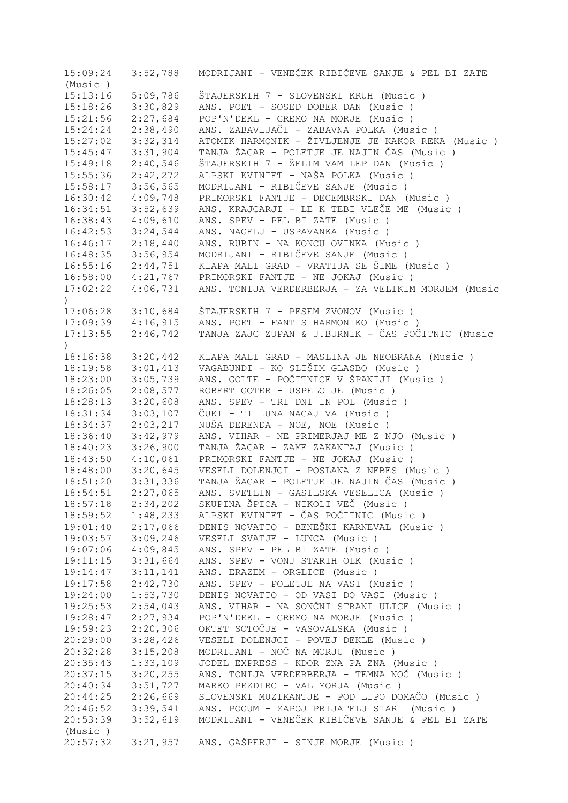| 15:09:24              | 3:52,788 | MODRIJANI - VENEČEK RIBIČEVE SANJE & PEL BI ZATE   |
|-----------------------|----------|----------------------------------------------------|
| (Music)               |          |                                                    |
| 15:13:16              | 5:09,786 | ŠTAJERSKIH 7 - SLOVENSKI KRUH (Music)              |
| 15:18:26              | 3:30,829 | ANS. POET - SOSED DOBER DAN (Music)                |
| 15:21:56              | 2:27,684 | POP'N'DEKL - GREMO NA MORJE (Music)                |
| 15:24:24              | 2:38,490 | ANS. ZABAVLJAČI - ZABAVNA POLKA (Music)            |
| 15:27:02              | 3:32,314 | ATOMIK HARMONIK - ŽIVLJENJE JE KAKOR REKA (Music)  |
| 15:45:47              | 3:31,904 | TANJA ŽAGAR - POLETJE JE NAJIN ČAS (Music)         |
| 15:49:18              | 2:40,546 | ŠTAJERSKIH 7 - ŽELIM VAM LEP DAN (Music)           |
| 15:55:36              | 2:42,272 | ALPSKI KVINTET - NAŠA POLKA (Music )               |
| 15:58:17              | 3:56,565 | MODRIJANI - RIBIČEVE SANJE (Music )                |
| 16:30:42              | 4:09,748 | PRIMORSKI FANTJE - DECEMBRSKI DAN (Music)          |
|                       | 3:52,639 | ANS. KRAJCARJI - LE K TEBI VLEČE ME (Music)        |
| 16:34:51              |          |                                                    |
| 16:38:43              | 4:09,610 | ANS. SPEV - PEL BI ZATE (Music)                    |
| 16:42:53              | 3:24,544 | ANS. NAGELJ - USPAVANKA (Music)                    |
| 16:46:17              | 2:18,440 | ANS. RUBIN - NA KONCU OVINKA (Music)               |
| 16:48:35              | 3:56,954 | MODRIJANI - RIBIČEVE SANJE (Music)                 |
| 16:55:16              | 2:44,751 | KLAPA MALI GRAD - VRATIJA SE ŠIME (Music )         |
| $16:58:00$ $4:21,767$ |          | PRIMORSKI FANTJE - NE JOKAJ (Music)                |
| 17:02:22<br>$\lambda$ | 4:06,731 | ANS. TONIJA VERDERBERJA - ZA VELIKIM MORJEM (Music |
| 17:06:28              | 3:10,684 | ŠTAJERSKIH 7 - PESEM ZVONOV (Music)                |
| $17:09:39$ $4:16,915$ |          | ANS. POET - FANT S HARMONIKO (Music)               |
| 17:13:55              | 2:46,742 | TANJA ZAJC ZUPAN & J.BURNIK - ČAS POČITNIC (Music  |
| $\lambda$<br>18:16:38 | 3:20,442 | KLAPA MALI GRAD - MASLINA JE NEOBRANA (Music)      |
| 18:19:58              | 3:01,413 | VAGABUNDI - KO SLIŠIM GLASBO (Music )              |
| 18:23:00              | 3:05,739 | ANS. GOLTE - POČITNICE V ŠPANIJI (Music )          |
| 18:26:05              | 2:08,577 | ROBERT GOTER - USPELO JE (Music)                   |
| 18:28:13              | 3:20,608 | ANS. SPEV - TRI DNI IN POL (Music)                 |
|                       |          |                                                    |
| 18:31:34              | 3:03,107 | ČUKI - TI LUNA NAGAJIVA (Music )                   |
| 18:34:37              | 2:03,217 | NUŠA DERENDA - NOE, NOE (Music)                    |
| 18:36:40              | 3:42,979 | ANS. VIHAR - NE PRIMERJAJ ME Z NJO (Music)         |
| 18:40:23              | 3:26,900 | TANJA ŽAGAR - ZAME ZAKANTAJ (Music)                |
| 18:43:50              | 4:10,061 | PRIMORSKI FANTJE - NE JOKAJ (Music)                |
| 18:48:00              | 3:20,645 | VESELI DOLENJCI - POSLANA Z NEBES (Music)          |
| 18:51:20              | 3:31,336 | TANJA ŽAGAR - POLETJE JE NAJIN ČAS (Music)         |
| 18:54:51              | 2:27,065 | ANS. SVETLIN - GASILSKA VESELICA (Music)           |
| 18:57:18              | 2:34,202 | SKUPINA ŠPICA - NIKOLI VEČ (Music )                |
| 18:59:52              | 1:48,233 | ALPSKI KVINTET - ČAS POČITNIC (Music )             |
| 19:01:40              | 2:17,066 | DENIS NOVATTO - BENEŠKI KARNEVAL (Music )          |
| 19:03:57              | 3:09,246 | VESELI SVATJE - LUNCA (Music)                      |
| 19:07:06              | 4:09,845 | ANS. SPEV - PEL BI ZATE (Music)                    |
| 19:11:15              | 3:31,664 | ANS. SPEV - VONJ STARIH OLK (Music)                |
| 19:14:47              | 3:11,141 | ANS. ERAZEM - ORGLICE (Music)                      |
| 19:17:58              | 2:42,730 | ANS. SPEV - POLETJE NA VASI (Music)                |
| 19:24:00              | 1:53,730 | DENIS NOVATTO - OD VASI DO VASI (Music)            |
| 19:25:53              | 2:54,043 | ANS. VIHAR - NA SONČNI STRANI ULICE (Music )       |
| 19:28:47              | 2:27,934 | POP'N'DEKL - GREMO NA MORJE (Music)                |
| 19:59:23              | 2:20,306 | OKTET SOTOČJE - VASOVALSKA (Music )                |
| 20:29:00              | 3:28,426 | VESELI DOLENJCI - POVEJ DEKLE (Music)              |
| 20:32:28              | 3:15,208 | MODRIJANI - NOČ NA MORJU (Music)                   |
| 20:35:43              | 1:33,109 | JODEL EXPRESS - KDOR ZNA PA ZNA (Music)            |
| 20:37:15              | 3:20,255 | ANS. TONIJA VERDERBERJA - TEMNA NOČ (Music)        |
| 20:40:34              | 3:51,727 | MARKO PEZDIRC - VAL MORJA (Music)                  |
| 20:44:25              | 2:26,669 | SLOVENSKI MUZIKANTJE - POD LIPO DOMAČO (Music )    |
|                       | 3:39,541 | ANS. POGUM - ZAPOJ PRIJATELJ STARI (Music )        |
| 20:46:52              |          |                                                    |
| 20:53:39              | 3:52,619 | MODRIJANI - VENEČEK RIBIČEVE SANJE & PEL BI ZATE   |
| (Music)               |          |                                                    |
| 20:57:32              | 3:21,957 | ANS. GAŠPERJI - SINJE MORJE (Music)                |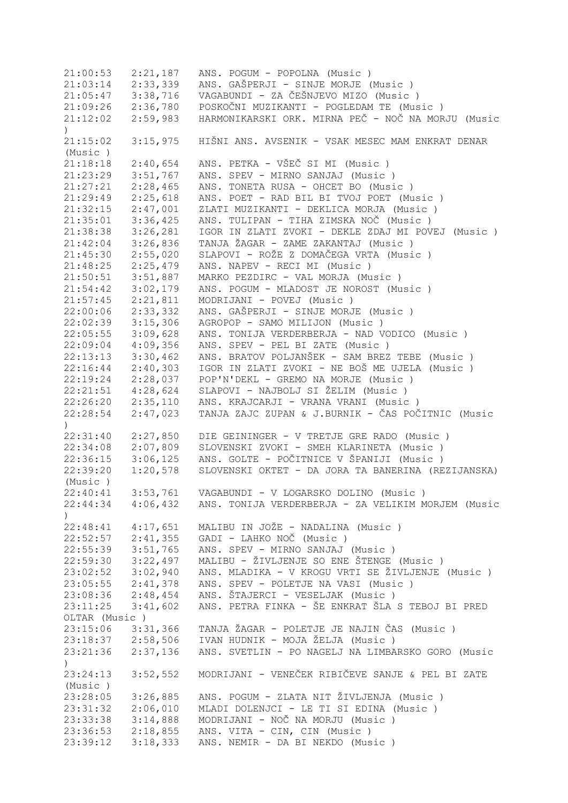21:00:53 2:21,187 ANS. POGUM - POPOLNA (Music ) 21:03:14 2:33,339 ANS. GAŠPERJI - SINJE MORJE (Music ) 21:05:47 3:38,716 VAGABUNDI - ZA ČEŠNJEVO MIZO (Music ) 21:09:26 2:36,780 POSKOČNI MUZIKANTI - POGLEDAM TE (Music ) 21:12:02 2:59,983 HARMONIKARSKI ORK. MIRNA PEČ - NOČ NA MORJU (Music  $\lambda$ 21:15:02 3:15,975 HIŠNI ANS. AVSENIK - VSAK MESEC MAM ENKRAT DENAR (Music ) 21:18:18 2:40,654 ANS. PETKA - VŠEČ SI MI (Music ) 21:23:29 3:51,767 ANS. SPEV - MIRNO SANJAJ (Music ) 21:27:21 2:28,465 ANS. TONETA RUSA - OHCET BO (Music ) 21:29:49 2:25,618 ANS. POET - RAD BIL BI TVOJ POET (Music ) 21:32:15 2:47,001 ZLATI MUZIKANTI - DEKLICA MORJA (Music ) 21:35:01 3:36,425 ANS. TULIPAN - TIHA ZIMSKA NOČ (Music ) 21:38:38 3:26,281 IGOR IN ZLATI ZVOKI - DEKLE ZDAJ MI POVEJ (Music ) 21:42:04 3:26,836 TANJA ŽAGAR - ZAME ZAKANTAJ (Music ) 21:45:30 2:55,020 SLAPOVI - ROŽE Z DOMAČEGA VRTA (Music ) 21:48:25 2:25,479 ANS. NAPEV - RECI MI (Music ) 21:50:51 3:51,887 MARKO PEZDIRC - VAL MORJA (Music ) 21:54:42 3:02,179 ANS. POGUM - MLADOST JE NOROST (Music ) 21:57:45 2:21,811 MODRIJANI - POVEJ (Music ) 22:00:06 2:33,332 ANS. GAŠPERJI - SINJE MORJE (Music ) 22:02:39 3:15,306 AGROPOP - SAMO MILIJON (Music ) 22:05:55 3:09,628 ANS. TONIJA VERDERBERJA - NAD VODICO (Music ) 22:09:04 4:09,356 ANS. SPEV - PEL BI ZATE (Music ) 22:13:13 3:30,462 ANS. BRATOV POLJANŠEK - SAM BREZ TEBE (Music ) 22:16:44 2:40,303 IGOR IN ZLATI ZVOKI - NE BOŠ ME UJELA (Music ) 22:19:24 2:28,037 POP'N'DEKL - GREMO NA MORJE (Music ) 22:21:51 4:28,624 SLAPOVI - NAJBOLJ SI ŽELIM (Music ) 22:26:20 2:35,110 ANS. KRAJCARJI - VRANA VRANI (Music ) 22:28:54 2:47,023 TANJA ZAJC ZUPAN & J.BURNIK - ČAS POČITNIC (Music  $\rightarrow$ 22:31:40 2:27,850 DIE GEININGER - V TRETJE GRE RADO (Music ) 22:34:08 2:07,809 SLOVENSKI ZVOKI - SMEH KLARINETA (Music ) 22:36:15 3:06,125 ANS. GOLTE - POČITNICE V ŠPANIJI (Music ) 22:39:20 1:20,578 SLOVENSKI OKTET - DA JORA TA BANERINA (REZIJANSKA) (Music ) 22:40:41 3:53,761 VAGABUNDI - V LOGARSKO DOLINO (Music ) 22:44:34 4:06,432 ANS. TONIJA VERDERBERJA - ZA VELIKIM MORJEM (Music  $\lambda$ 22:48:41 4:17,651 MALIBU IN JOŽE - NADALINA (Music ) 22:52:57 2:41,355 GADI - LAHKO NOČ (Music ) 22:55:39 3:51,765 ANS. SPEV - MIRNO SANJAJ (Music ) 22:59:30 3:22,497 MALIBU - ŽIVLJENJE SO ENE ŠTENGE (Music )  $23:02:52$   $3:02,940$  ANS. MLADIKA - V KROGU VRTI SE ŽIVLJENJE (Music)<br> $23:05:55$   $2:41,378$  ANS. SPEV - POLETJE NA VASI (Music) 2:41,378 ANS. SPEV - POLETJE NA VASI (Music ) 23:08:36 2:48,454 ANS. ŠTAJERCI - VESELJAK (Music ) 23:11:25 3:41,602 ANS. PETRA FINKA - ŠE ENKRAT ŠLA S TEBOJ BI PRED OLTAR (Music ) 23:15:06 3:31,366 TANJA ŽAGAR - POLETJE JE NAJIN ČAS (Music ) 23:18:37 2:58,506 IVAN HUDNIK - MOJA ŽELJA (Music ) 23:21:36 2:37,136 ANS. SVETLIN - PO NAGELJ NA LIMBARSKO GORO (Music ) 23:24:13 3:52,552 MODRIJANI - VENEČEK RIBIČEVE SANJE & PEL BI ZATE (Music ) 23:28:05 3:26,885 ANS. POGUM - ZLATA NIT ŽIVLJENJA (Music ) 23:31:32 2:06,010 MLADI DOLENJCI - LE TI SI EDINA (Music ) 23:33:38 3:14,888 MODRIJANI - NOČ NA MORJU (Music ) 23:36:53 2:18,855 ANS. VITA - CIN, CIN (Music ) 23:39:12 3:18,333 ANS. NEMIR - DA BI NEKDO (Music )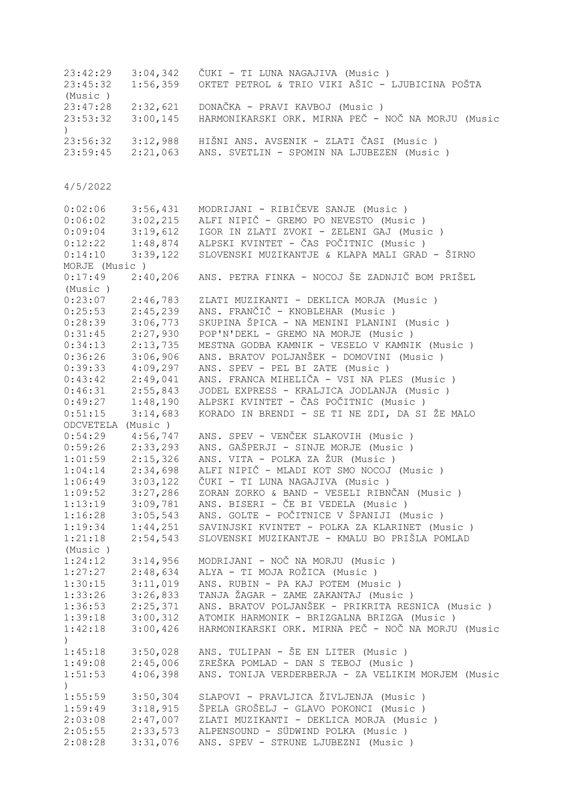| 23:42:29                 | 3:04,342             | ČUKI - TI LUNA NAGAJIVA (Music )                                           |
|--------------------------|----------------------|----------------------------------------------------------------------------|
| 23:45:32                 | 1:56,359             | OKTET PETROL & TRIO VIKI AŠIC - LJUBICINA POŠTA                            |
| (Music)                  |                      |                                                                            |
| 23:47:28                 | 2:32,621             | DONAČKA – PRAVI KAVBOJ (Music )                                            |
| 23:53:32                 | 3:00,145             | HARMONIKARSKI ORK. MIRNA PEČ - NOČ NA MORJU (Music                         |
| $\left( \right)$         |                      |                                                                            |
| 23:56:32                 |                      | 3:12,988 HIŠNI ANS. AVSENIK - ZLATI ČASI (Music)                           |
| 23:59:45                 |                      | 2:21,063 ANS. SVETLIN - SPOMIN NA LJUBEZEN (Music)                         |
|                          |                      |                                                                            |
|                          |                      |                                                                            |
| 4/5/2022                 |                      |                                                                            |
|                          |                      |                                                                            |
| 0:02:06                  | 3:56,431             | MODRIJANI - RIBIČEVE SANJE (Music )                                        |
| 0:06:02                  | 3:02,215             | ALFI NIPIČ - GREMO PO NEVESTO (Music)                                      |
| 0:09:04                  | 3:19,612             | IGOR IN ZLATI ZVOKI - ZELENI GAJ (Music)                                   |
| 0:12:22                  | 1:48,874             | ALPSKI KVINTET - ČAS POČITNIC (Music )                                     |
| 0:14:10                  | 3:39,122             | SLOVENSKI MUZIKANTJE & KLAPA MALI GRAD - ŠIRNO                             |
| MORJE (Music)            |                      |                                                                            |
| 0:17:49                  | 2:40,206             | ANS. PETRA FINKA - NOCOJ ŠE ZADNJIČ BOM PRIŠEL                             |
| (Music)                  |                      |                                                                            |
| 0:23:07                  | 2:46,783             | ZLATI MUZIKANTI - DEKLICA MORJA (Music)                                    |
| 0:25:53                  | 2:45,239             | ANS. FRANČIČ - KNOBLEHAR (Music)                                           |
| 0:28:39                  | 3:06,773             | SKUPINA ŠPICA - NA MENINI PLANINI (Music)                                  |
| 0:31:45                  | 2:27,930             | POP'N'DEKL - GREMO NA MORJE (Music)                                        |
| 0:34:13                  | 2:13,735             | MESTNA GODBA KAMNIK - VESELO V KAMNIK (Music )                             |
| 0:36:26                  | 3:06,906             | ANS. BRATOV POLJANŠEK - DOMOVINI (Music )                                  |
| 0:39:33                  | 4:09,297             | ANS. SPEV - PEL BI ZATE (Music)                                            |
| 0:43:42                  | 2:49,041             | ANS. FRANCA MIHELIČA - VSI NA PLES (Music)                                 |
| 0:46:31                  | 2:55,843             | JODEL EXPRESS - KRALJICA JODLANJA (Music)                                  |
| 0:49:27                  | 1:48,190             | ALPSKI KVINTET - ČAS POČITNIC (Music )                                     |
| 0:51:15                  | 3:14,683             | KORADO IN BRENDI - SE TI NE ZDI, DA SI ŽE MALO                             |
| ODCVETELA (Music)        |                      |                                                                            |
| 0:54:29                  | 4:56,747             | ANS. SPEV - VENČEK SLAKOVIH (Music)                                        |
| $0:59:26$ 2:33,293       |                      | ANS. GAŠPERJI - SINJE MORJE (Music)                                        |
| $1:01:59$ $2:15,326$     |                      | ANS. VITA - POLKA ZA ŽUR (Music)                                           |
| 1:04:14                  | 2:34,698             | ALFI NIPIČ - MLADI KOT SMO NOCOJ (Music)                                   |
| 1:06:49                  | 3:03,122             | ČUKI - TI LUNA NAGAJIVA (Music)                                            |
| 1:09:52                  | 3:27,286             | ZORAN ZORKO & BAND - VESELI RIBNČAN (Music )                               |
| 1:13:19                  | 3:09,781             | ANS. BISERI - ČE BI VEDELA (Music)                                         |
|                          | $1:16:28$ $3:05,543$ | ANS. GOLTE - POČITNICE V ŠPANIJI (Music)                                   |
| 1:19:34                  | 1:44,251             | SAVINJSKI KVINTET - POLKA ZA KLARINET (Music )                             |
| 1:21:18                  | 2:54,543             | SLOVENSKI MUZIKANTJE - KMALU BO PRIŠLA POMLAD                              |
| (Music)                  |                      |                                                                            |
| 1:24:12                  | 3:14,956             | MODRIJANI - NOČ NA MORJU (Music)                                           |
| 1:27:27                  | 2:48,634             | ALYA - TI MOJA ROŽICA (Music)                                              |
|                          | 3:11,019             | ANS. RUBIN - PA KAJ POTEM (Music)                                          |
| 1:30:15                  | 3:26,833             | TANJA ŽAGAR - ZAME ZAKANTAJ (Music )                                       |
| 1:33:26                  |                      | ANS. BRATOV POLJANŠEK - PRIKRITA RESNICA (Music )                          |
| 1:36:53                  | 2:25,371<br>3:00,312 | ATOMIK HARMONIK - BRIZGALNA BRIZGA (Music )                                |
| 1:39:18                  | 3:00,426             | HARMONIKARSKI ORK. MIRNA PEČ - NOČ NA MORJU (Music                         |
| 1:42:18                  |                      |                                                                            |
| $\mathcal{L}$            | 3:50,028             | ANS. TULIPAN - ŠE EN LITER (Music )                                        |
| 1:45:18<br>1:49:08       | 2:45,006             | ZREŠKA POMLAD - DAN S TEBOJ (Music )                                       |
| 1:51:53                  | 4:06,398             | ANS. TONIJA VERDERBERJA - ZA VELIKIM MORJEM (Music                         |
|                          |                      |                                                                            |
| $\mathcal{C}$<br>1:55:59 | 3:50,304             | SLAPOVI - PRAVLJICA ŽIVLJENJA (Music)                                      |
|                          |                      |                                                                            |
|                          |                      |                                                                            |
| 1:59:49                  | 3:18,915             | ŠPELA GROŠELJ - GLAVO POKONCI (Music )                                     |
| 2:03:08                  | 2:47,007             | ZLATI MUZIKANTI - DEKLICA MORJA (Music)                                    |
| 2:05:55<br>2:08:28       | 2:33,573<br>3:31,076 | ALPENSOUND - SÜDWIND POLKA (Music)<br>ANS. SPEV - STRUNE LJUBEZNI (Music ) |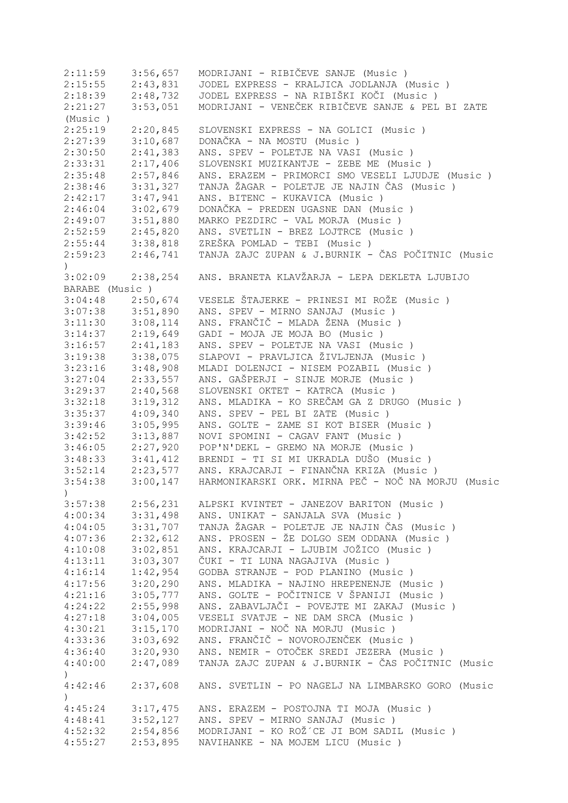| 2:11:59                                                    | 3:56,657 | MODRIJANI - RIBIČEVE SANJE (Music)                 |
|------------------------------------------------------------|----------|----------------------------------------------------|
| 2:15:55                                                    | 2:43,831 | JODEL EXPRESS - KRALJICA JODLANJA (Music)          |
| 2:18:39                                                    | 2:48,732 | JODEL EXPRESS - NA RIBIŠKI KOČI (Music)            |
| 2:21:27                                                    | 3:53,051 | MODRIJANI - VENEČEK RIBIČEVE SANJE & PEL BI ZATE   |
| (Music)                                                    |          |                                                    |
| 2:25:19                                                    | 2:20,845 | SLOVENSKI EXPRESS - NA GOLICI (Music )             |
| 2:27:39                                                    | 3:10,687 | DONAČKA - NA MOSTU (Music)                         |
| 2:30:50                                                    | 2:41,383 | ANS. SPEV - POLETJE NA VASI (Music)                |
| 2:33:31                                                    | 2:17,406 | SLOVENSKI MUZIKANTJE - ZEBE ME (Music)             |
| 2:35:48                                                    | 2:57,846 | ANS. ERAZEM - PRIMORCI SMO VESELI LJUDJE (Music)   |
| 2:38:46                                                    | 3:31,327 | TANJA ŽAGAR - POLETJE JE NAJIN ČAS (Music )        |
| 2:42:17                                                    | 3:47,941 | ANS. BITENC - KUKAVICA (Music)                     |
| 2:46:04                                                    | 3:02,679 | DONAČKA - PREDEN UGASNE DAN (Music)                |
| 2:49:07                                                    | 3:51,880 | MARKO PEZDIRC - VAL MORJA (Music)                  |
| 2:52:59                                                    | 2:45,820 | ANS. SVETLIN - BREZ LOJTRCE (Music)                |
| 2:55:44                                                    | 3:38,818 | ZREŠKA POMLAD - TEBI (Music)                       |
| 2:59:23<br>$\left( \right)$                                | 2:46,741 | TANJA ZAJC ZUPAN & J.BURNIK - ČAS POČITNIC (Music  |
| 3:02:09                                                    | 2:38,254 | ANS. BRANETA KLAVŽARJA - LEPA DEKLETA LJUBIJO      |
| BARABE (Music)                                             |          |                                                    |
| $3:04:48$ 2:50,674                                         |          | VESELE ŠTAJERKE - PRINESI MI ROŽE (Music)          |
| $3:07:38$ $3:51,890$                                       |          | ANS. SPEV - MIRNO SANJAJ (Music)                   |
| 3:11:30                                                    | 3:08,114 | ANS. FRANČIČ - MLADA ŽENA (Music )                 |
| $3:14:37$ 2:19,649                                         |          | GADI - MOJA JE MOJA BO (Music)                     |
| 3:16:57                                                    | 2:41,183 | ANS. SPEV - POLETJE NA VASI (Music)                |
| 3:19:38                                                    | 3:38,075 | SLAPOVI - PRAVLJICA ŽIVLJENJA (Music)              |
| 3:23:16                                                    | 3:48,908 | MLADI DOLENJCI - NISEM POZABIL (Music)             |
| 3:27:04                                                    | 2:33,557 | ANS. GAŠPERJI - SINJE MORJE (Music)                |
| 3:29:37                                                    | 2:40,568 | SLOVENSKI OKTET - KATRCA (Music)                   |
| 3:32:18                                                    | 3:19,312 | ANS. MLADIKA - KO SREČAM GA Z DRUGO (Music )       |
| 3:35:37                                                    | 4:09,340 | ANS. SPEV - PEL BI ZATE (Music)                    |
| 3:39:46                                                    | 3:05,995 | ANS. GOLTE - ZAME SI KOT BISER (Music)             |
| 3:42:52                                                    | 3:13,887 | NOVI SPOMINI - CAGAV FANT (Music)                  |
| 3:46:05                                                    | 2:27,920 | POP'N'DEKL - GREMO NA MORJE (Music)                |
| 3:48:33                                                    | 3:41,412 | BRENDI - TI SI MI UKRADLA DUŠO (Music)             |
| 3:52:14                                                    | 2:23,577 | ANS. KRAJCARJI - FINANČNA KRIZA (Music)            |
| 3:54:38<br>$\left( \begin{array}{c} 1 \end{array} \right)$ | 3:00,147 | HARMONIKARSKI ORK. MIRNA PEČ - NOČ NA MORJU (Music |
| 3:57:38                                                    | 2:56,231 | ALPSKI KVINTET - JANEZOV BARITON (Music)           |
| 4:00:34                                                    | 3:31,498 | ANS. UNIKAT - SANJALA SVA (Music)                  |
| 4:04:05                                                    | 3:31,707 | TANJA ŽAGAR - POLETJE JE NAJIN ČAS (Music)         |
| 4:07:36                                                    | 2:32,612 | ANS. PROSEN - ŽE DOLGO SEM ODDANA (Music )         |
| 4:10:08                                                    | 3:02,851 | ANS. KRAJCARJI - LJUBIM JOŽICO (Music)             |
| 4:13:11                                                    | 3:03,307 | ČUKI - TI LUNA NAGAJIVA (Music)                    |
| 4:16:14                                                    | 1:42,954 | GODBA STRANJE - POD PLANINO (Music)                |
| 4:17:56                                                    | 3:20,290 | ANS. MLADIKA - NAJINO HREPENENJE (Music)           |
| 4:21:16                                                    | 3:05,777 | ANS. GOLTE - POČITNICE V ŠPANIJI (Music )          |
| 4:24:22                                                    | 2:55,998 | ANS. ZABAVLJAČI - POVEJTE MI ZAKAJ (Music)         |
| 4:27:18                                                    | 3:04,005 | VESELI SVATJE - NE DAM SRCA (Music)                |
| 4:30:21                                                    | 3:15,170 | MODRIJANI - NOČ NA MORJU (Music)                   |
| 4:33:36                                                    | 3:03,692 | ANS. FRANČIČ - NOVOROJENČEK (Music)                |
| 4:36:40                                                    | 3:20,930 | ANS. NEMIR - OTOČEK SREDI JEZERA (Music)           |
| 4:40:00<br>$\left( \right)$                                | 2:47,089 | TANJA ZAJC ZUPAN & J.BURNIK - ČAS POČITNIC (Music  |
| 4:42:46                                                    | 2:37,608 | ANS. SVETLIN - PO NAGELJ NA LIMBARSKO GORO (Music  |
| $\left( \right)$<br>4:45:24                                | 3:17,475 | ANS. ERAZEM - POSTOJNA TI MOJA (Music)             |
| 4:48:41                                                    | 3:52,127 | ANS. SPEV - MIRNO SANJAJ (Music)                   |
| 4:52:32                                                    | 2:54,856 | MODRIJANI - KO ROŽ´CE JI BOM SADIL (Music )        |
| 4:55:27                                                    | 2:53,895 | NAVIHANKE - NA MOJEM LICU (Music)                  |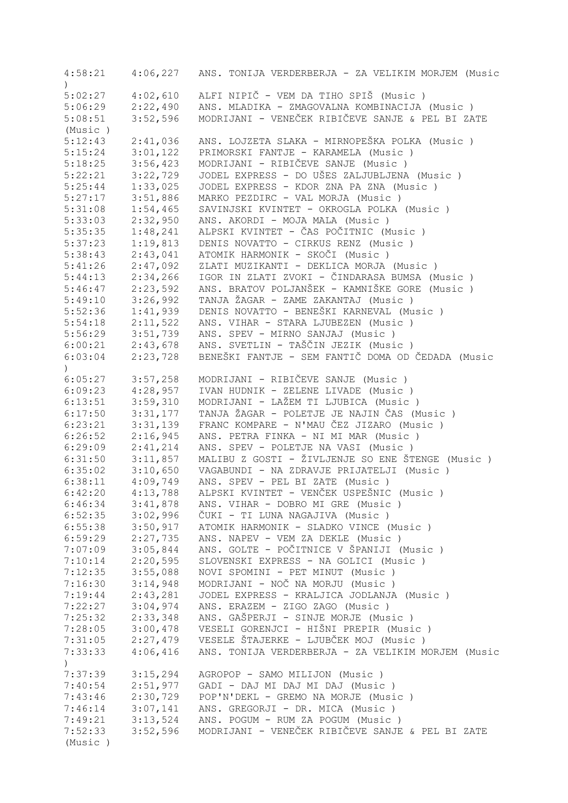| 4:58:21          | 4:06,227 | ANS. TONIJA VERDERBERJA - ZA VELIKIM MORJEM (Music |
|------------------|----------|----------------------------------------------------|
|                  |          |                                                    |
| 5:02:27          | 4:02,610 | ALFI NIPIČ - VEM DA TIHO SPIŠ (Music )             |
| 5:06:29          | 2:22,490 | ANS. MLADIKA - ZMAGOVALNA KOMBINACIJA (Music)      |
| 5:08:51          | 3:52,596 | MODRIJANI - VENEČEK RIBIČEVE SANJE & PEL BI ZATE   |
| (Music)          |          |                                                    |
| 5:12:43          | 2:41,036 | ANS. LOJZETA SLAKA - MIRNOPEŠKA POLKA (Music )     |
| 5:15:24          | 3:01,122 | PRIMORSKI FANTJE - KARAMELA (Music)                |
| 5:18:25          | 3:56,423 | MODRIJANI - RIBIČEVE SANJE (Music)                 |
| 5:22:21          | 3:22,729 | JODEL EXPRESS - DO UŠES ZALJUBLJENA (Music)        |
| 5:25:44          | 1:33,025 | JODEL EXPRESS - KDOR ZNA PA ZNA (Music)            |
| 5:27:17          | 3:51,886 | MARKO PEZDIRC - VAL MORJA (Music)                  |
| 5:31:08          | 1:54,465 | SAVINJSKI KVINTET - OKROGLA POLKA (Music)          |
| 5:33:03          | 2:32,950 | ANS. AKORDI - MOJA MALA (Music)                    |
| 5:35:35          | 1:48,241 | ALPSKI KVINTET - ČAS POČITNIC (Music )             |
| 5:37:23          | 1:19,813 | DENIS NOVATTO - CIRKUS RENZ (Music )               |
| 5:38:43          | 2:43,041 | ATOMIK HARMONIK - SKOČI (Music)                    |
| 5:41:26          | 2:47,092 | ZLATI MUZIKANTI - DEKLICA MORJA (Music)            |
| 5:44:13          | 2:34,266 | IGOR IN ZLATI ZVOKI - ČINDARASA BUMSA (Music )     |
| 5:46:47          | 2:23,592 | ANS. BRATOV POLJANŠEK - KAMNIŠKE GORE (Music)      |
| 5:49:10          | 3:26,992 | TANJA ŽAGAR - ZAME ZAKANTAJ (Music)                |
| 5:52:36          | 1:41,939 | DENIS NOVATTO - BENEŠKI KARNEVAL (Music)           |
| 5:54:18          |          | ANS. VIHAR - STARA LJUBEZEN (Music)                |
|                  | 2:11,522 |                                                    |
| 5:56:29          | 3:51,739 | ANS. SPEV - MIRNO SANJAJ (Music)                   |
| 6:00:21          | 2:43,678 | ANS. SVETLIN - TAŠČIN JEZIK (Music )               |
| 6:03:04          | 2:23,728 | BENEŠKI FANTJE - SEM FANTIČ DOMA OD ČEDADA (Music  |
| $\mathcal{L}$    |          |                                                    |
| 6:05:27          | 3:57,258 | MODRIJANI - RIBIČEVE SANJE (Music)                 |
| 6:09:23          | 4:28,957 | IVAN HUDNIK - ZELENE LIVADE (Music)                |
| 6:13:51          | 3:59,310 | MODRIJANI - LAŽEM TI LJUBICA (Music )              |
| 6:17:50          | 3:31,177 | TANJA ŽAGAR - POLETJE JE NAJIN ČAS (Music)         |
| 6:23:21          | 3:31,139 | FRANC KOMPARE - N'MAU ČEZ JIZARO (Music)           |
| 6:26:52          | 2:16,945 | ANS. PETRA FINKA - NI MI MAR (Music)               |
| 6:29:09          | 2:41,214 | ANS. SPEV - POLETJE NA VASI (Music)                |
| 6:31:50          | 3:11,857 | MALIBU Z GOSTI - ŽIVLJENJE SO ENE ŠTENGE (Music)   |
| 6:35:02          | 3:10,650 | VAGABUNDI - NA ZDRAVJE PRIJATELJI (Music)          |
| 6:38:11          | 4:09,749 | ANS. SPEV - PEL BI ZATE (Music)                    |
| 6:42:20          | 4:13,788 | ALPSKI KVINTET - VENČEK USPEŠNIC (Music )          |
| 6:46:34          | 3:41,878 | ANS. VIHAR - DOBRO MI GRE (Music)                  |
| 6:52:35          | 3:02,996 | ČUKI - TI LUNA NAGAJIVA (Music )                   |
| 6:55:38          | 3:50,917 | ATOMIK HARMONIK - SLADKO VINCE (Music)             |
| 6:59:29          | 2:27,735 | ANS. NAPEV - VEM ZA DEKLE (Music)                  |
| 7:07:09          | 3:05,844 | ANS. GOLTE - POČITNICE V ŠPANIJI (Music )          |
| 7:10:14          | 2:20,595 | SLOVENSKI EXPRESS - NA GOLICI (Music )             |
| 7:12:35          | 3:55,088 | NOVI SPOMINI - PET MINUT (Music)                   |
| 7:16:30          | 3:14,948 | MODRIJANI - NOČ NA MORJU (Music)                   |
| 7:19:44          | 2:43,281 | JODEL EXPRESS - KRALJICA JODLANJA (Music)          |
| 7:22:27          | 3:04,974 | ANS. ERAZEM - ZIGO ZAGO (Music)                    |
| 7:25:32          | 2:33,348 | ANS. GAŠPERJI - SINJE MORJE (Music)                |
| 7:28:05          | 3:00,478 | VESELI GORENJCI - HIŠNI PREPIR (Music )            |
| 7:31:05          | 2:27,479 | VESELE ŠTAJERKE - LJUBČEK MOJ (Music)              |
| 7:33:33          | 4:06,416 | ANS. TONIJA VERDERBERJA - ZA VELIKIM MORJEM (Music |
| $\left( \right)$ |          |                                                    |
| 7:37:39          | 3:15,294 | AGROPOP - SAMO MILIJON (Music)                     |
| 7:40:54          | 2:51,977 | GADI - DAJ MI DAJ MI DAJ (Music)                   |
| 7:43:46          | 2:30,729 | POP'N'DEKL - GREMO NA MORJE (Music)                |
| 7:46:14          | 3:07,141 | ANS. GREGORJI - DR. MICA (Music)                   |
| 7:49:21          | 3:13,524 | ANS. POGUM - RUM ZA POGUM (Music )                 |
| 7:52:33          | 3:52,596 | MODRIJANI - VENEČEK RIBIČEVE SANJE & PEL BI ZATE   |
| (Music)          |          |                                                    |
|                  |          |                                                    |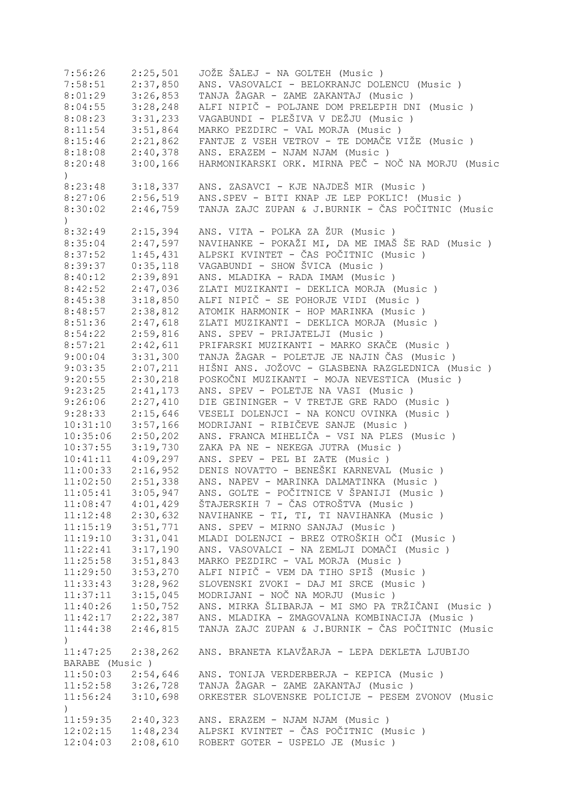| 7:56:26               | 2:25,501 | JOŽE ŠALEJ - NA GOLTEH (Music )                    |
|-----------------------|----------|----------------------------------------------------|
| 7:58:51               | 2:37,850 | ANS. VASOVALCI - BELOKRANJC DOLENCU (Music )       |
| 8:01:29               | 3:26,853 | TANJA ŽAGAR - ZAME ZAKANTAJ (Music )               |
| 8:04:55               | 3:28,248 | ALFI NIPIČ - POLJANE DOM PRELEPIH DNI (Music )     |
| 8:08:23               | 3:31,233 | VAGABUNDI - PLEŠIVA V DEŽJU (Music )               |
| 8:11:54               | 3:51,864 | MARKO PEZDIRC - VAL MORJA (Music)                  |
| 8:15:46               | 2:21,862 | FANTJE Z VSEH VETROV - TE DOMAČE VIŽE (Music )     |
| 8:18:08               | 2:40,378 | ANS. ERAZEM - NJAM NJAM (Music)                    |
| 8:20:48               | 3:00,166 | HARMONIKARSKI ORK. MIRNA PEČ - NOČ NA MORJU (Music |
| $\mathcal{L}$         |          |                                                    |
| 8:23:48               | 3:18,337 | ANS. ZASAVCI - KJE NAJDEŠ MIR (Music)              |
| 8:27:06               | 2:56,519 | ANS.SPEV - BITI KNAP JE LEP POKLIC! (Music)        |
| 8:30:02               | 2:46,759 | TANJA ZAJC ZUPAN & J.BURNIK - ČAS POČITNIC (Music  |
| $\mathcal{L}$         |          |                                                    |
| 8:32:49               | 2:15,394 | ANS. VITA - POLKA ZA ŽUR (Music )                  |
| 8:35:04               | 2:47,597 | NAVIHANKE - POKAŽI MI, DA ME IMAŠ ŠE RAD (Music)   |
| 8:37:52               | 1:45,431 | ALPSKI KVINTET - ČAS POČITNIC (Music )             |
|                       |          | VAGABUNDI - SHOW ŠVICA (Music)                     |
| 8:39:37               | 0:35,118 |                                                    |
| 8:40:12               | 2:39,891 | ANS. MLADIKA - RADA IMAM (Music)                   |
| 8:42:52               | 2:47,036 | ZLATI MUZIKANTI - DEKLICA MORJA (Music)            |
| 8:45:38               | 3:18,850 | ALFI NIPIČ - SE POHORJE VIDI (Music)               |
| 8:48:57               | 2:38,812 | ATOMIK HARMONIK - HOP MARINKA (Music)              |
| 8:51:36               | 2:47,618 | ZLATI MUZIKANTI - DEKLICA MORJA (Music)            |
| 8:54:22               | 2:59,816 | ANS. SPEV - PRIJATELJI (Music)                     |
| 8:57:21               | 2:42,611 | PRIFARSKI MUZIKANTI - MARKO SKAČE (Music)          |
| 9:00:04               | 3:31,300 | TANJA ŽAGAR - POLETJE JE NAJIN ČAS (Music)         |
| 9:03:35               | 2:07,211 | HIŠNI ANS. JOŽOVC - GLASBENA RAZGLEDNICA (Music)   |
| 9:20:55               | 2:30,218 | POSKOČNI MUZIKANTI - MOJA NEVESTICA (Music)        |
| 9:23:25               | 2:41,173 | ANS. SPEV - POLETJE NA VASI (Music)                |
| 9:26:06               | 2:27,410 | DIE GEININGER - V TRETJE GRE RADO (Music)          |
| 9:28:33               | 2:15,646 | VESELI DOLENJCI - NA KONCU OVINKA (Music)          |
| 10:31:10              | 3:57,166 | MODRIJANI - RIBIČEVE SANJE (Music)                 |
| 10:35:06              | 2:50,202 | ANS. FRANCA MIHELIČA - VSI NA PLES (Music)         |
| 10:37:55              | 3:19,730 | ZAKA PA NE - NEKEGA JUTRA (Music)                  |
| 10:41:11              | 4:09,297 | ANS. SPEV - PEL BI ZATE (Music)                    |
| 11:00:33              | 2:16,952 | DENIS NOVATTO - BENEŠKI KARNEVAL (Music)           |
| 11:02:50              | 2:51,338 | ANS. NAPEV - MARINKA DALMATINKA (Music)            |
| 11:05:41              | 3:05,947 | ANS. GOLTE - POČITNICE V ŠPANIJI (Music )          |
| 11:08:47              | 4:01,429 | ŠTAJERSKIH 7 - ČAS OTROŠTVA (Music )               |
| 11:12:48              | 2:30,632 | NAVIHANKE - TI, TI, TI NAVIHANKA (Music)           |
| 11:15:19              | 3:51,771 | ANS. SPEV - MIRNO SANJAJ (Music)                   |
| 11:19:10              | 3:31,041 | MLADI DOLENJCI - BREZ OTROŠKIH OČI (Music )        |
| 11:22:41              | 3:17,190 | ANS. VASOVALCI - NA ZEMLJI DOMAČI (Music )         |
| 11:25:58              | 3:51,843 | MARKO PEZDIRC - VAL MORJA (Music)                  |
|                       | 3:53,270 | ALFI NIPIČ - VEM DA TIHO SPIŠ (Music )             |
| 11:29:50              |          |                                                    |
| 11:33:43              | 3:28,962 | SLOVENSKI ZVOKI - DAJ MI SRCE (Music)              |
| 11:37:11              | 3:15,045 | MODRIJANI - NOČ NA MORJU (Music)                   |
| 11:40:26              | 1:50,752 | ANS. MIRKA ŠLIBARJA - MI SMO PA TRŽIČANI (Music )  |
| 11:42:17              | 2:22,387 | ANS. MLADIKA - ZMAGOVALNA KOMBINACIJA (Music )     |
| 11:44:38              | 2:46,815 | TANJA ZAJC ZUPAN & J.BURNIK - ČAS POČITNIC (Music  |
| $\left( \right)$      |          |                                                    |
| 11:47:25              | 2:38,262 | ANS. BRANETA KLAVŽARJA - LEPA DEKLETA LJUBIJO      |
| BARABE (Music)        |          |                                                    |
| 11:50:03              | 2:54,646 | ANS. TONIJA VERDERBERJA - KEPICA (Music )          |
| $11:52:58$ $3:26,728$ |          | TANJA ŽAGAR - ZAME ZAKANTAJ (Music )               |
| 11:56:24              | 3:10,698 | ORKESTER SLOVENSKE POLICIJE - PESEM ZVONOV (Music  |
| $\left( \right)$      |          |                                                    |
| 11:59:35              | 2:40,323 | ANS. ERAZEM - NJAM NJAM (Music)                    |
| 12:02:15              | 1:48,234 | ALPSKI KVINTET - ČAS POČITNIC (Music )             |
| 12:04:03              | 2:08,610 | ROBERT GOTER - USPELO JE (Music)                   |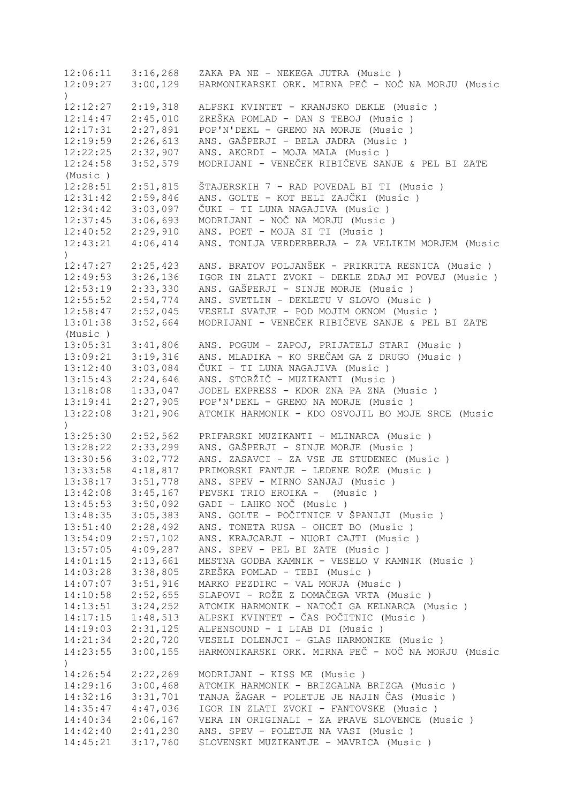12:06:11 3:16,268 ZAKA PA NE - NEKEGA JUTRA (Music ) 12:09:27 3:00,129 HARMONIKARSKI ORK. MIRNA PEČ - NOČ NA MORJU (Music ) 12:12:27 2:19,318 ALPSKI KVINTET - KRANJSKO DEKLE (Music ) 12:14:47 2:45,010 ZREŠKA POMLAD - DAN S TEBOJ (Music ) 12:17:31 2:27,891 POP'N'DEKL - GREMO NA MORJE (Music ) 12:19:59 2:26,613 ANS. GAŠPERJI - BELA JADRA (Music ) 12:22:25 2:32,907 ANS. AKORDI - MOJA MALA (Music ) 12:24:58 3:52,579 MODRIJANI - VENEČEK RIBIČEVE SANJE & PEL BI ZATE<br>(Music) (Music ) 12:28:51 2:51,815 ŠTAJERSKIH 7 - RAD POVEDAL BI TI (Music ) 12:31:42 2:59,846 ANS. GOLTE - KOT BELI ZAJČKI (Music ) 12:34:42 3:03,097 ČUKI - TI LUNA NAGAJIVA (Music ) 12:37:45 3:06,693 MODRIJANI - NOČ NA MORJU (Music ) 12:40:52 2:29,910 ANS. POET - MOJA SI TI (Music ) 12:43:21 4:06,414 ANS. TONIJA VERDERBERJA - ZA VELIKIM MORJEM (Music  $\lambda$ 12:47:27 2:25,423 ANS. BRATOV POLJANŠEK - PRIKRITA RESNICA (Music)<br>12:49:53 3:26,136 IGOR IN ZLATI ZVOKI - DEKLE ZDAJ MI POVEJ (Music 12:49:53 3:26,136 IGOR IN ZLATI ZVOKI - DEKLE ZDAJ MI POVEJ (Music ) 12:53:19 2:33,330 ANS. GAŠPERJI - SINJE MORJE (Music ) 12:55:52 2:54,774 ANS. SVETLIN - DEKLETU V SLOVO (Music ) 12:58:47 2:52,045 VESELI SVATJE - POD MOJIM OKNOM (Music ) 13:01:38 3:52,664 MODRIJANI - VENEČEK RIBIČEVE SANJE & PEL BI ZATE (Music ) 13:05:31 3:41,806 ANS. POGUM - ZAPOJ, PRIJATELJ STARI (Music ) 13:09:21 3:19,316 ANS. MLADIKA - KO SREČAM GA Z DRUGO (Music ) 13:12:40 3:03,084 ČUKI - TI LUNA NAGAJIVA (Music ) 13:15:43 2:24,646 ANS. STORŽIČ - MUZIKANTI (Music ) 13:18:08 1:33,047 JODEL EXPRESS - KDOR ZNA PA ZNA (Music ) 13:19:41 2:27,905 POP'N'DEKL - GREMO NA MORJE (Music ) 13:22:08 3:21,906 ATOMIK HARMONIK - KDO OSVOJIL BO MOJE SRCE (Music  $\rightarrow$ 13:25:30 2:52,562 PRIFARSKI MUZIKANTI - MLINARCA (Music ) 13:28:22 2:33,299 ANS. GAŠPERJI - SINJE MORJE (Music ) 13:30:56 3:02,772 ANS. ZASAVCI - ZA VSE JE STUDENEC (Music ) 13:33:58 4:18,817 PRIMORSKI FANTJE - LEDENE ROŽE (Music ) 13:38:17 3:51,778 ANS. SPEV - MIRNO SANJAJ (Music ) 13:42:08 3:45,167 PEVSKI TRIO EROIKA - (Music ) 13:45:53 3:50,092 GADI - LAHKO NOČ (Music ) 13:48:35 3:05,383 ANS. GOLTE - POČITNICE V ŠPANIJI (Music ) 13:51:40 2:28,492 ANS. TONETA RUSA - OHCET BO (Music ) 13:54:09 2:57,102 ANS. KRAJCARJI - NUORI CAJTI (Music ) 13:57:05 4:09,287 ANS. SPEV - PEL BI ZATE (Music ) 14:01:15 2:13,661 MESTNA GODBA KAMNIK - VESELO V KAMNIK (Music )<br>14:03:28 3:38,805 ZREŠKA POMLAD - TEBI (Music ) 14:03:28 3:38,805 ZREŠKA POMLAD - TEBI (Music ) 14:07:07 3:51,916 MARKO PEZDIRC - VAL MORJA (Music ) 14:10:58 2:52,655 SLAPOVI - ROŽE Z DOMAČEGA VRTA (Music ) 14:13:51 3:24,252 ATOMIK HARMONIK - NATOČI GA KELNARCA (Music ) 14:17:15 1:48,513 ALPSKI KVINTET - ČAS POČITNIC (Music ) 14:19:03 2:31,125 ALPENSOUND - I LIAB DI (Music ) 14:21:34 2:20,720 VESELI DOLENJCI - GLAS HARMONIKE (Music ) 14:23:55 3:00,155 HARMONIKARSKI ORK. MIRNA PEČ - NOČ NA MORJU (Music ) 14:26:54 2:22,269 MODRIJANI - KISS ME (Music ) 14:29:16 3:00,468 ATOMIK HARMONIK - BRIZGALNA BRIZGA (Music ) 14:32:16 3:31,701 TANJA ŽAGAR - POLETJE JE NAJIN ČAS (Music ) 14:35:47 4:47,036 IGOR IN ZLATI ZVOKI - FANTOVSKE (Music ) 14:40:34 2:06,167 VERA IN ORIGINALI - ZA PRAVE SLOVENCE (Music ) 14:42:40 2:41,230 ANS. SPEV - POLETJE NA VASI (Music ) 14:45:21 3:17,760 SLOVENSKI MUZIKANTJE - MAVRICA (Music )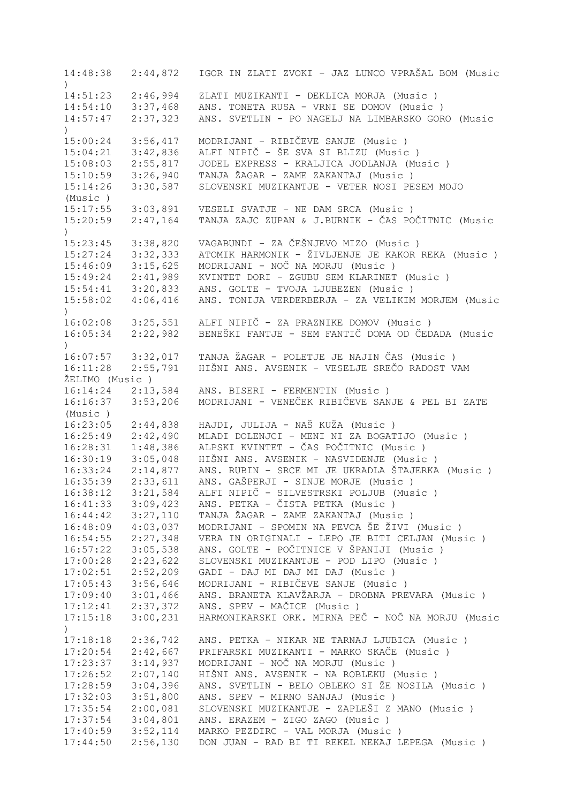14:48:38 2:44,872 IGOR IN ZLATI ZVOKI - JAZ LUNCO VPRAŠAL BOM (Music ) 14:51:23 2:46,994 ZLATI MUZIKANTI - DEKLICA MORJA (Music ) 14:54:10 3:37,468 ANS. TONETA RUSA - VRNI SE DOMOV (Music ) 14:57:47 2:37,323 ANS. SVETLIN - PO NAGELJ NA LIMBARSKO GORO (Music  $\lambda$ 15:00:24 3:56,417 MODRIJANI - RIBIČEVE SANJE (Music ) 15:04:21 3:42,836 ALFI NIPIČ - ŠE SVA SI BLIZU (Music ) 15:08:03 2:55,817 JODEL EXPRESS - KRALJICA JODLANJA (Music ) 15:10:59 3:26,940 TANJA ŽAGAR - ZAME ZAKANTAJ (Music ) 15:14:26 3:30,587 SLOVENSKI MUZIKANTJE - VETER NOSI PESEM MOJO (Music ) 15:17:55 3:03,891 VESELI SVATJE - NE DAM SRCA (Music ) 15:20:59 2:47,164 TANJA ZAJC ZUPAN & J.BURNIK - ČAS POČITNIC (Music  $\lambda$ 15:23:45 3:38,820 VAGABUNDI - ZA ČEŠNJEVO MIZO (Music ) 15:27:24 3:32,333 ATOMIK HARMONIK - ŽIVLJENJE JE KAKOR REKA (Music ) 15:46:09 3:15,625 MODRIJANI - NOČ NA MORJU (Music ) 15:49:24 2:41,989 KVINTET DORI - ZGUBU SEM KLARINET (Music ) 15:54:41 3:20,833 ANS. GOLTE - TVOJA LJUBEZEN (Music ) 15:58:02 4:06,416 ANS. TONIJA VERDERBERJA - ZA VELIKIM MORJEM (Music ) 16:02:08 3:25,551 ALFI NIPIČ - ZA PRAZNIKE DOMOV (Music ) 16:05:34 2:22,982 BENEŠKI FANTJE - SEM FANTIČ DOMA OD ČEDADA (Music  $\lambda$ 16:07:57 3:32,017 TANJA ŽAGAR - POLETJE JE NAJIN ČAS (Music ) 16:11:28 2:55,791 HIŠNI ANS. AVSENIK - VESELJE SREČO RADOST VAM ŽELIMO (Music ) 16:14:24 2:13,584 ANS. BISERI - FERMENTIN (Music ) 16:16:37 3:53,206 MODRIJANI - VENEČEK RIBIČEVE SANJE & PEL BI ZATE (Music ) 16:23:05 2:44,838 HAJDI, JULIJA - NAŠ KUŽA (Music ) 16:25:49 2:42,490 MLADI DOLENJCI - MENI NI ZA BOGATIJO (Music ) 16:28:31 1:48,386 ALPSKI KVINTET - ČAS POČITNIC (Music ) 16:30:19 3:05,048 HIŠNI ANS. AVSENIK - NASVIDENJE (Music ) 16:33:24 2:14,877 ANS. RUBIN - SRCE MI JE UKRADLA ŠTAJERKA (Music ) 16:35:39 2:33,611 ANS. GAŠPERJI - SINJE MORJE (Music ) 16:38:12 3:21,584 ALFI NIPIČ - SILVESTRSKI POLJUB (Music ) 16:41:33 3:09,423 ANS. PETKA - ČISTA PETKA (Music ) 16:44:42 3:27,110 TANJA ŽAGAR - ZAME ZAKANTAJ (Music ) 16:48:09 4:03,037 MODRIJANI - SPOMIN NA PEVCA ŠE ŽIVI (Music ) 16:54:55 2:27,348 VERA IN ORIGINALI - LEPO JE BITI CELJAN (Music ) 16:57:22 3:05,538 ANS. GOLTE - POČITNICE V ŠPANIJI (Music ) 17:00:28 2:23,622 SLOVENSKI MUZIKANTJE - POD LIPO (Music ) 17:02:51 2:52,209 GADI - DAJ MI DAJ MI DAJ (Music ) 17:05:43 3:56,646 MODRIJANI - RIBIČEVE SANJE (Music ) 17:09:40 3:01,466 ANS. BRANETA KLAVŽARJA - DROBNA PREVARA (Music ) 17:12:41 2:37,372 ANS. SPEV - MAČICE (Music ) 17:15:18 3:00,231 HARMONIKARSKI ORK. MIRNA PEČ - NOČ NA MORJU (Music  $\lambda$ 17:18:18 2:36,742 ANS. PETKA - NIKAR NE TARNAJ LJUBICA (Music ) 17:20:54 2:42,667 PRIFARSKI MUZIKANTI - MARKO SKAČE (Music)<br>17:23:37 3:14,937 MODRIJANI - NOČ NA MORJU (Music) 17:23:37 3:14,937 MODRIJANI - NOČ NA MORJU (Music ) 17:26:52 2:07,140 HIŠNI ANS. AVSENIK - NA ROBLEKU (Music ) 17:28:59 3:04,396 ANS. SVETLIN - BELO OBLEKO SI ŽE NOSILA (Music ) 17:32:03 3:51,800 ANS. SPEV - MIRNO SANJAJ (Music ) 17:35:54 2:00,081 SLOVENSKI MUZIKANTJE - ZAPLEŠI Z MANO (Music ) 17:37:54 3:04,801 ANS. ERAZEM - ZIGO ZAGO (Music ) 17:40:59 3:52,114 MARKO PEZDIRC - VAL MORJA (Music ) 17:44:50 2:56,130 DON JUAN - RAD BI TI REKEL NEKAJ LEPEGA (Music )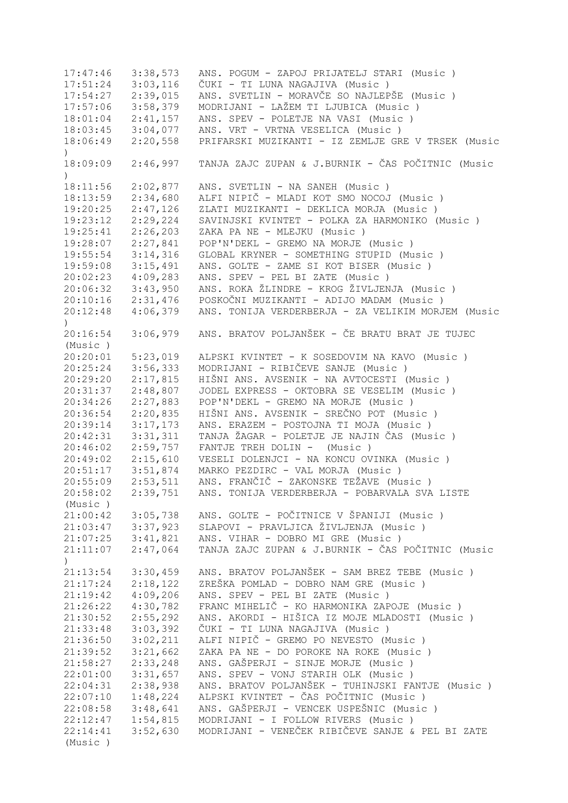17:47:46 3:38,573 ANS. POGUM - ZAPOJ PRIJATELJ STARI (Music ) 17:51:24 3:03,116 ČUKI - TI LUNA NAGAJIVA (Music ) 17:54:27 2:39,015 ANS. SVETLIN - MORAVČE SO NAJLEPŠE (Music ) 17:57:06 3:58,379 MODRIJANI - LAŽEM TI LJUBICA (Music ) 18:01:04 2:41,157 ANS. SPEV - POLETJE NA VASI (Music ) 18:03:45 3:04,077 ANS. VRT - VRTNA VESELICA (Music ) 18:06:49 2:20,558 PRIFARSKI MUZIKANTI - IZ ZEMLJE GRE V TRSEK (Music  $\lambda$ 18:09:09 2:46,997 TANJA ZAJC ZUPAN & J.BURNIK - ČAS POČITNIC (Music  $\lambda$ 18:11:56 2:02,877 ANS. SVETLIN - NA SANEH (Music ) 18:13:59 2:34,680 ALFI NIPIČ - MLADI KOT SMO NOCOJ (Music ) 19:20:25 2:47,126 ZLATI MUZIKANTI - DEKLICA MORJA (Music ) 19:23:12 2:29,224 SAVINJSKI KVINTET - POLKA ZA HARMONIKO (Music ) 19:25:41 2:26,203 ZAKA PA NE - MLEJKU (Music ) 19:28:07 2:27,841 POP'N'DEKL - GREMO NA MORJE (Music ) 19:55:54 3:14,316 GLOBAL KRYNER - SOMETHING STUPID (Music ) 19:59:08 3:15,491 ANS. GOLTE - ZAME SI KOT BISER (Music ) 20:02:23 4:09,283 ANS. SPEV - PEL BI ZATE (Music ) 20:06:32 3:43,950 ANS. ROKA ŽLINDRE - KROG ŽIVLJENJA (Music ) 20:10:16 2:31,476 POSKOČNI MUZIKANTI - ADIJO MADAM (Music ) 20:12:48 4:06,379 ANS. TONIJA VERDERBERJA - ZA VELIKIM MORJEM (Music ) 20:16:54 3:06,979 ANS. BRATOV POLJANŠEK - ČE BRATU BRAT JE TUJEC (Music ) 20:20:01 5:23,019 ALPSKI KVINTET - K SOSEDOVIM NA KAVO (Music ) 20:25:24 3:56,333 MODRIJANI - RIBIČEVE SANJE (Music ) 20:29:20 2:17,815 HIŠNI ANS. AVSENIK - NA AVTOCESTI (Music ) 20:31:37 2:48,807 JODEL EXPRESS - OKTOBRA SE VESELIM (Music ) 20:34:26 2:27,883 POP'N'DEKL - GREMO NA MORJE (Music ) 20:36:54 2:20,835 HIŠNI ANS. AVSENIK - SREČNO POT (Music ) 20:39:14 3:17,173 ANS. ERAZEM - POSTOJNA TI MOJA (Music ) 20:42:31 3:31,311 TANJA ŽAGAR - POLETJE JE NAJIN ČAS (Music ) 20:46:02 2:59,757 FANTJE TREH DOLIN - (Music ) 20:49:02 2:15,610 VESELI DOLENJCI - NA KONCU OVINKA (Music ) 20:51:17 3:51,874 MARKO PEZDIRC - VAL MORJA (Music ) 20:55:09 2:53,511 ANS. FRANČIČ - ZAKONSKE TEŽAVE (Music ) 20:58:02 2:39,751 ANS. TONIJA VERDERBERJA - POBARVALA SVA LISTE (Music ) 21:00:42 3:05,738 ANS. GOLTE - POČITNICE V ŠPANIJI (Music ) 21:03:47 3:37,923 SLAPOVI - PRAVLJICA ŽIVLJENJA (Music ) 21:07:25 3:41,821 ANS. VIHAR - DOBRO MI GRE (Music ) 21:11:07 2:47,064 TANJA ZAJC ZUPAN & J.BURNIK - ČAS POČITNIC (Music  $\lambda$ 21:13:54 3:30,459 ANS. BRATOV POLJANŠEK - SAM BREZ TEBE (Music ) ZREŠKA POMLAD - DOBRO NAM GRE (Music ) 21:19:42 4:09,206 ANS. SPEV - PEL BI ZATE (Music ) 21:26:22 4:30,782 FRANC MIHELIČ - KO HARMONIKA ZAPOJE (Music ) 21:30:52 2:55,292 ANS. AKORDI - HIŠICA IZ MOJE MLADOSTI (Music ) 21:33:48 3:03,392 ČUKI - TI LUNA NAGAJIVA (Music ) 21:36:50 3:02,211 ALFI NIPIČ - GREMO PO NEVESTO (Music ) ZAKA PA NE - DO POROKE NA ROKE (Music ) 21:58:27 2:33,248 ANS. GAŠPERJI - SINJE MORJE (Music ) ANS. SPEV - VONJ STARIH OLK (Music ) 22:04:31 2:38,938 ANS. BRATOV POLJANŠEK - TUHINJSKI FANTJE (Music ) 22:07:10 1:48,224 ALPSKI KVINTET - ČAS POČITNIC (Music ) 22:08:58 3:48,641 ANS. GAŠPERJI - VENCEK USPEŠNIC (Music ) 22:12:47 1:54,815 MODRIJANI - I FOLLOW RIVERS (Music ) 22:14:41 3:52,630 MODRIJANI - VENEČEK RIBIČEVE SANJE & PEL BI ZATE (Music )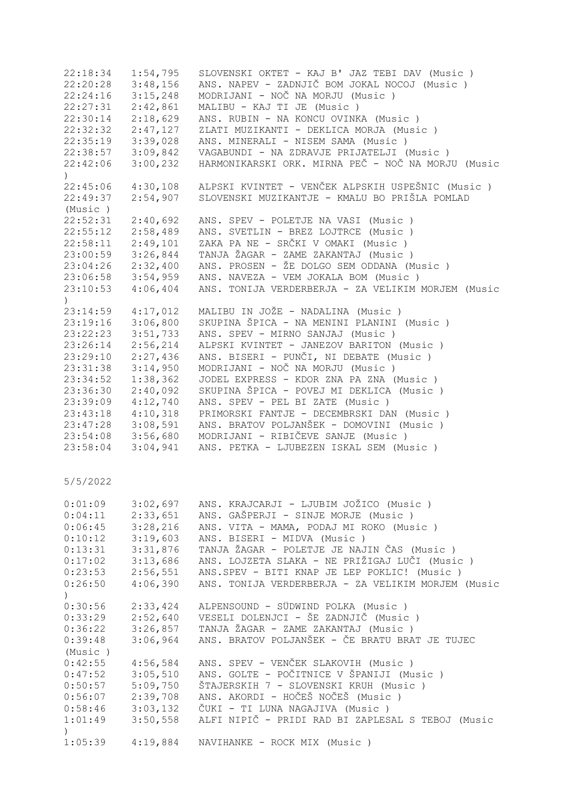| 22:18:34                  | 1:54,795 | SLOVENSKI OKTET - KAJ B' JAZ TEBI DAV (Music)      |
|---------------------------|----------|----------------------------------------------------|
| 22:20:28                  | 3:48,156 | ANS. NAPEV - ZADNJIČ BOM JOKAL NOCOJ (Music )      |
| 22:24:16                  | 3:15,248 | MODRIJANI - NOČ NA MORJU (Music)                   |
| 22:27:31                  | 2:42,861 | MALIBU - KAJ TI JE (Music)                         |
| 22:30:14                  | 2:18,629 | ANS. RUBIN - NA KONCU OVINKA (Music)               |
| 22:32:32                  | 2:47,127 | ZLATI MUZIKANTI - DEKLICA MORJA (Music)            |
| 22:35:19                  | 3:39,028 | ANS. MINERALI - NISEM SAMA (Music)                 |
| 22:38:57                  | 3:09,842 | VAGABUNDI - NA ZDRAVJE PRIJATELJI (Music)          |
| 22:42:06                  | 3:00,232 | HARMONIKARSKI ORK. MIRNA PEČ - NOČ NA MORJU (Music |
| $\left( \right)$          |          |                                                    |
| 22:45:06                  | 4:30,108 | ALPSKI KVINTET - VENČEK ALPSKIH USPEŠNIC (Music)   |
| 22:49:37                  | 2:54,907 | SLOVENSKI MUZIKANTJE - KMALU BO PRIŠLA POMLAD      |
| (Music)                   |          |                                                    |
| 22:52:31                  | 2:40,692 | ANS. SPEV - POLETJE NA VASI (Music )               |
| 22:55:12                  | 2:58,489 | ANS. SVETLIN - BREZ LOJTRCE (Music)                |
| 22:58:11                  | 2:49,101 | ZAKA PA NE - SRČKI V OMAKI (Music )                |
| 23:00:59                  | 3:26,844 | TANJA ŽAGAR - ZAME ZAKANTAJ (Music)                |
| 23:04:26                  | 2:32,400 | ANS. PROSEN - ŽE DOLGO SEM ODDANA (Music )         |
| 23:06:58                  | 3:54,959 | ANS. NAVEZA - VEM JOKALA BOM (Music)               |
|                           |          |                                                    |
| 23:10:53<br>$\mathcal{L}$ | 4:06,404 | ANS. TONIJA VERDERBERJA - ZA VELIKIM MORJEM (Music |
| 23:14:59                  | 4:17,012 | MALIBU IN JOŽE - NADALINA (Music)                  |
| 23:19:16                  | 3:06,800 | SKUPINA ŠPICA - NA MENINI PLANINI (Music )         |
| 23:22:23                  | 3:51,733 | ANS. SPEV - MIRNO SANJAJ (Music)                   |
| 23:26:14                  | 2:56,214 | ALPSKI KVINTET - JANEZOV BARITON (Music )          |
| 23:29:10                  | 2:27,436 | ANS. BISERI - PUNČI, NI DEBATE (Music )            |
| 23:31:38                  | 3:14,950 | MODRIJANI - NOČ NA MORJU (Music)                   |
| 23:34:52                  | 1:38,362 | JODEL EXPRESS - KDOR ZNA PA ZNA (Music)            |
| 23:36:30                  | 2:40,092 | SKUPINA ŠPICA - POVEJ MI DEKLICA (Music )          |
| 23:39:09                  | 4:12,740 | ANS. SPEV - PEL BI ZATE (Music)                    |
| 23:43:18                  | 4:10,318 | PRIMORSKI FANTJE - DECEMBRSKI DAN (Music)          |
| 23:47:28                  | 3:08,591 | ANS. BRATOV POLJANŠEK - DOMOVINI (Music )          |
| 23:54:08                  | 3:56,680 | MODRIJANI - RIBIČEVE SANJE (Music)                 |
| 23:58:04                  | 3:04,941 | ANS. PETKA - LJUBEZEN ISKAL SEM (Music)            |
|                           |          |                                                    |
| 5/5/2022                  |          |                                                    |
|                           |          |                                                    |
| 0:01:09                   | 3:02,697 | ANS. KRAJCARJI - LJUBIM JOŽICO (Music)             |
| 0:04:11                   | 2:33,651 | ANS. GAŠPERJI - SINJE MORJE (Music)                |
| 0:06:45                   | 3:28,216 | ANS. VITA - MAMA, PODAJ MI ROKO (Music)            |
| 0:10:12                   | 3:19,603 | ANS. BISERI - MIDVA (Music)                        |
| 0:13:31                   | 3:31,876 | TANJA ŽAGAR - POLETJE JE NAJIN ČAS (Music)         |
| 0:17:02                   | 3:13,686 | ANS. LOJZETA SLAKA - NE PRIŽIGAJ LUČI (Music )     |
| 0:23:53                   | 2:56,551 | ANS.SPEV - BITI KNAP JE LEP POKLIC! (Music)        |
| 0:26:50                   | 4:06,390 | ANS. TONIJA VERDERBERJA - ZA VELIKIM MORJEM (Music |
| $\left( \right)$          |          |                                                    |
| 0:30:56                   |          | 2:33,424 ALPENSOUND - SÜDWIND POLKA (Music )       |
| 0:33:29                   |          | 2:52,640 VESELI DOLENJCI - ŠE ZADNJIČ (Music)      |
| 0:36:22                   |          | 3:26,857 TANJA ŽAGAR - ZAME ZAKANTAJ (Music)       |
| 0:39:48                   | 3:06,964 | ANS. BRATOV POLJANŠEK - ČE BRATU BRAT JE TUJEC     |
| (Music)                   |          |                                                    |
| 0:42:55                   | 4:56,584 | ANS. SPEV - VENČEK SLAKOVIH (Music)                |
| 0:47:52                   | 3:05,510 | ANS. GOLTE - POČITNICE V ŠPANIJI (Music)           |
| 0:50:57                   | 5:09,750 | ŠTAJERSKIH 7 - SLOVENSKI KRUH (Music )             |
| 0:56:07                   | 2:39,708 | ANS. AKORDI - HOČEŠ NOČEŠ (Music )                 |
| 0:58:46                   |          | 3:03,132 ČUKI - TI LUNA NAGAJIVA (Music)           |
| 1:01:49                   | 3:50,558 | ALFI NIPIČ - PRIDI RAD BI ZAPLESAL S TEBOJ (Music  |
| $\left( \right)$          |          |                                                    |
| 1:05:39                   | 4:19,884 | NAVIHANKE - ROCK MIX (Music)                       |
|                           |          |                                                    |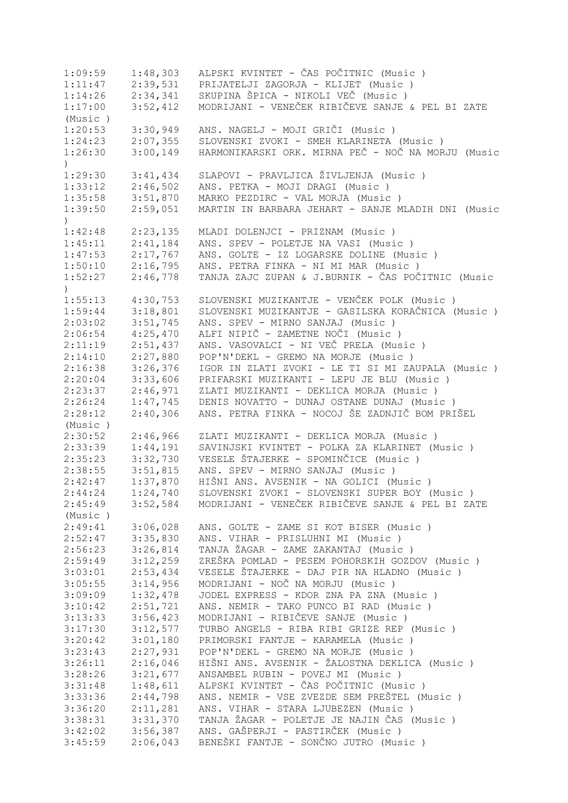1:09:59 1:48,303 ALPSKI KVINTET - ČAS POČITNIC (Music ) 1:11:47 2:39,531 PRIJATELJI ZAGORJA - KLIJET (Music ) 1:14:26 2:34,341 SKUPINA ŠPICA - NIKOLI VEČ (Music)<br>1:17:00 3:52,412 MODRIJANI - VENEČEK RIBIČEVE SANJE 1:17:00 3:52,412 MODRIJANI - VENEČEK RIBIČEVE SANJE & PEL BI ZATE (Music ) 1:20:53 3:30,949 ANS. NAGELJ - MOJI GRIČI (Music ) 1:24:23 2:07,355 SLOVENSKI ZVOKI - SMEH KLARINETA (Music ) 1:26:30 3:00,149 HARMONIKARSKI ORK. MIRNA PEČ - NOČ NA MORJU (Music  $\lambda$ 1:29:30 3:41,434 SLAPOVI - PRAVLJICA ŽIVLJENJA (Music ) 1:33:12 2:46,502 ANS. PETKA - MOJI DRAGI (Music ) 1:35:58 3:51,870 MARKO PEZDIRC - VAL MORJA (Music ) 1:39:50 2:59,051 MARTIN IN BARBARA JEHART - SANJE MLADIH DNI (Music ) 1:42:48 2:23,135 MLADI DOLENJCI - PRIZNAM (Music ) 1:45:11 2:41,184 ANS. SPEV - POLETJE NA VASI (Music ) 1:47:53 2:17,767 ANS. GOLTE - IZ LOGARSKE DOLINE (Music ) 1:50:10 2:16,795 ANS. PETRA FINKA - NI MI MAR (Music ) 1:52:27 2:46,778 TANJA ZAJC ZUPAN & J.BURNIK - ČAS POČITNIC (Music ) 1:55:13 4:30,753 SLOVENSKI MUZIKANTJE - VENČEK POLK (Music)<br>1:59:44 3:18,801 SLOVENSKI MUZIKANTJE - GASILSKA KORAČNICA ( 1:59:44 3:18,801 SLOVENSKI MUZIKANTJE - GASILSKA KORAČNICA (Music)<br>2:03:02 3:51,745 ANS. SPEV - MIRNO SANJAJ (Music) 2:03:02 3:51,745 ANS. SPEV - MIRNO SANJAJ (Music ) 2:06:54 4:25,470 ALFI NIPIČ - ZAMETNE NOČI (Music ) 2:11:19 2:51,437 ANS. VASOVALCI - NI VEČ PRELA (Music ) 2:14:10 2:27,880 POP'N'DEKL - GREMO NA MORJE (Music ) 2:16:38 3:26,376 IGOR IN ZLATI ZVOKI - LE TI SI MI ZAUPALA (Music ) 2:20:04 3:33,606 PRIFARSKI MUZIKANTI - LEPU JE BLU (Music ) 2:23:37 2:46,971 ZLATI MUZIKANTI - DEKLICA MORJA (Music ) 2:26:24 1:47,745 DENIS NOVATTO - DUNAJ OSTANE DUNAJ (Music ) 2:28:12 2:40,306 ANS. PETRA FINKA - NOCOJ ŠE ZADNJIČ BOM PRIŠEL (Music ) 2:30:52 2:46,966 ZLATI MUZIKANTI - DEKLICA MORJA (Music ) 2:33:39 1:44,191 SAVINJSKI KVINTET - POLKA ZA KLARINET (Music ) 2:35:23 3:32,730 VESELE ŠTAJERKE - SPOMINČICE (Music ) 2:38:55 3:51,815 ANS. SPEV - MIRNO SANJAJ (Music ) 2:42:47 1:37,870 HIŠNI ANS. AVSENIK - NA GOLICI (Music ) 2:44:24 1:24,740 SLOVENSKI ZVOKI - SLOVENSKI SUPER BOY (Music) 2:45:49 3:52,584 MODRIJANI - VENEČEK RIBIČEVE SANJE & PEL BI ZATE (Music ) 2:49:41 3:06,028 ANS. GOLTE - ZAME SI KOT BISER (Music ) 2:52:47 3:35,830 ANS. VIHAR - PRISLUHNI MI (Music)<br>2:56:23 3:26,814 TANJA ŽAGAR - ZAME ZAKANTAJ (Music 2:56:23 3:26,814 TANJA ŽAGAR - ZAME ZAKANTAJ (Music ) 2:59:49 3:12,259 ZREŠKA POMLAD - PESEM POHORSKIH GOZDOV (Music ) 3:03:01 2:53,434 VESELE ŠTAJERKE - DAJ PIR NA HLADNO (Music ) 3:05:55 3:14,956 MODRIJANI - NOČ NA MORJU (Music ) 3:09:09 1:32,478 JODEL EXPRESS - KDOR ZNA PA ZNA (Music ) 3:10:42 2:51,721 ANS. NEMIR - TAKO PUNCO BI RAD (Music ) 3:13:33 3:56,423 MODRIJANI - RIBIČEVE SANJE (Music ) 3:17:30 3:12,577 TURBO ANGELS - RIBA RIBI GRIZE REP (Music ) 3:20:42 3:01,180 PRIMORSKI FANTJE - KARAMELA (Music ) 3:23:43 2:27,931 POP'N'DEKL - GREMO NA MORJE (Music ) 3:26:11 2:16,046 HIŠNI ANS. AVSENIK - ŽALOSTNA DEKLICA (Music)<br>3:28:26 3:21,677 ANSAMBEL RUBIN - POVEJ MI (Music) 3:28:26 3:21,677 ANSAMBEL RUBIN - POVEJ MI (Music ) 3:31:48 1:48,611 ALPSKI KVINTET - ČAS POČITNIC (Music )<br>3:33:36 2:44,798 ANS. NEMIR - VSE ZVEZDE SEM PREŠTEL (M 3:33:36 2:44,798 ANS. NEMIR - VSE ZVEZDE SEM PREŠTEL (Music ) 3:36:20 2:11,281 ANS. VIHAR - STARA LJUBEZEN (Music ) 3:38:31 3:31,370 TANJA ŽAGAR - POLETJE JE NAJIN ČAS (Music ) 3:42:02 3:56,387 ANS. GAŠPERJI - PASTIRČEK (Music ) 3:45:59 2:06,043 BENEŠKI FANTJE - SONČNO JUTRO (Music )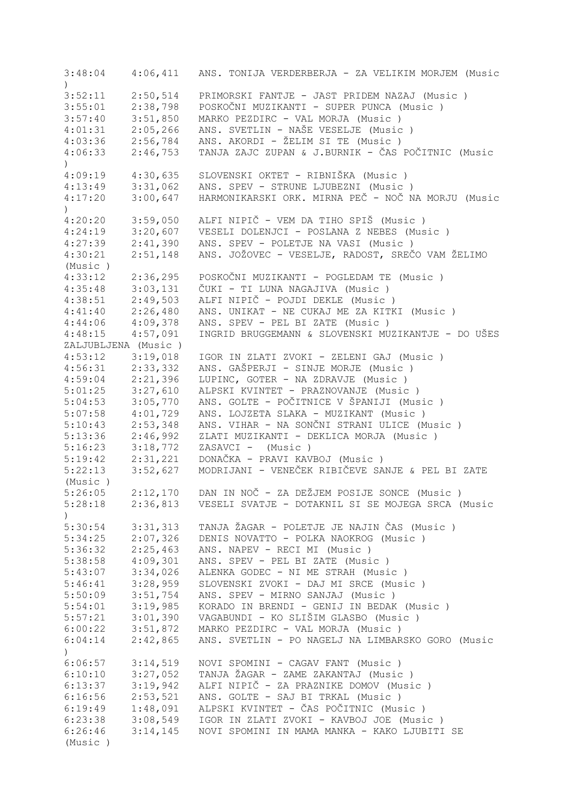3:48:04 4:06,411 ANS. TONIJA VERDERBERJA - ZA VELIKIM MORJEM (Music ) 3:52:11 2:50,514 PRIMORSKI FANTJE - JAST PRIDEM NAZAJ (Music ) 3:55:01 2:38,798 POSKOČNI MUZIKANTI - SUPER PUNCA (Music ) MARKO PEZDIRC - VAL MORJA (Music ) 4:01:31 2:05,266 ANS. SVETLIN - NAŠE VESELJE (Music ) 4:03:36 2:56,784 ANS. AKORDI - ŽELIM SI TE (Music ) 4:06:33 2:46,753 TANJA ZAJC ZUPAN & J.BURNIK - ČAS POČITNIC (Music  $\lambda$ 4:09:19 4:30,635 SLOVENSKI OKTET - RIBNIŠKA (Music ) 4:13:49 3:31,062 ANS. SPEV - STRUNE LJUBEZNI (Music ) 4:17:20 3:00,647 HARMONIKARSKI ORK. MIRNA PEČ - NOČ NA MORJU (Music  $\lambda$ 4:20:20 3:59,050 ALFI NIPIČ - VEM DA TIHO SPIŠ (Music ) 4:24:19 3:20,607 VESELI DOLENJCI - POSLANA Z NEBES (Music ) 4:27:39 2:41,390 ANS. SPEV - POLETJE NA VASI (Music ) 4:30:21 2:51,148 ANS. JOŽOVEC - VESELJE, RADOST, SREČO VAM ŽELIMO (Music ) 4:33:12 2:36,295 POSKOČNI MUZIKANTI - POGLEDAM TE (Music)<br>4:35:48 3:03,131 ČUKI - TI LUNA NAGAJIVA (Music) 4:35:48 3:03,131 ČUKI - TI LUNA NAGAJIVA (Music ) 4:38:51 2:49,503 ALFI NIPIČ - POJDI DEKLE (Music ) 4:41:40 2:26,480 ANS. UNIKAT - NE CUKAJ ME ZA KITKI (Music ) 4:44:06 4:09,378 ANS. SPEV - PEL BI ZATE (Music ) 4:48:15 4:57,091 INGRID BRUGGEMANN & SLOVENSKI MUZIKANTJE - DO UŠES ZALJUBLJENA (Music ) 4:53:12 3:19,018 IGOR IN ZLATI ZVOKI - ZELENI GAJ (Music ) 4:56:31 2:33,332 ANS. GAŠPERJI - SINJE MORJE (Music)<br>4:59:04 2:21,396 LUPINC, GOTER - NA ZDRAVJE (Music) 4:59:04 2:21,396 LUPINC, GOTER - NA ZDRAVJE (Music)<br>5:01:25 3:27,610 ALPSKI KVINTET - PRAZNOVANJE (Music 5:01:25 3:27,610 ALPSKI KVINTET - PRAZNOVANJE (Music ) 5:04:53 3:05,770 ANS. GOLTE - POČITNICE V ŠPANIJI (Music ) 5:07:58 4:01,729 ANS. LOJZETA SLAKA - MUZIKANT (Music ) 5:10:43 2:53,348 ANS. VIHAR - NA SONČNI STRANI ULICE (Music)<br>5:13:36 2:46.992 ZLATI MUZIKANTI - DEKLICA MORJA (Music) 5:13:36 2:46,992 ZLATI MUZIKANTI - DEKLICA MORJA (Music ) 5:16:23 3:18,772 ZASAVCI - (Music ) 5:19:42 2:31,221 DONAČKA - PRAVI KAVBOJ (Music ) 5:22:13 3:52,627 MODRIJANI - VENEČEK RIBIČEVE SANJE & PEL BI ZATE (Music ) 5:26:05 2:12,170 DAN IN NOČ - ZA DEŽJEM POSIJE SONCE (Music ) 5:28:18 2:36,813 VESELI SVATJE - DOTAKNIL SI SE MOJEGA SRCA (Music ) 5:30:54 3:31,313 TANJA ŽAGAR - POLETJE JE NAJIN ČAS (Music ) 5:34:25 2:07,326 DENIS NOVATTO - POLKA NAOKROG (Music ) 5:36:32 2:25,463 ANS. NAPEV - RECI MI (Music ) 5:38:58 4:09,301 ANS. SPEV - PEL BI ZATE (Music ) 5:43:07 3:34,026 ALENKA GODEC - NI ME STRAH (Music)<br>5:46:41 3:28,959 SLOVENSKI ZVOKI - DAJ MI SRCE (Musi 5:46:41 3:28,959 SLOVENSKI ZVOKI - DAJ MI SRCE (Music ) 5:50:09 3:51,754 ANS. SPEV - MIRNO SANJAJ (Music ) 5:54:01 3:19,985 KORADO IN BRENDI - GENIJ IN BEDAK (Music ) 5:57:21 3:01,390 VAGABUNDI - KO SLIŠIM GLASBO (Music ) 6:00:22 3:51,872 MARKO PEZDIRC - VAL MORJA (Music ) 6:04:14 2:42,865 ANS. SVETLIN - PO NAGELJ NA LIMBARSKO GORO (Music ) 6:06:57 3:14,519 NOVI SPOMINI - CAGAV FANT (Music ) 6:10:10 3:27,052 TANJA ŽAGAR - ZAME ZAKANTAJ (Music ) 6:13:37 3:19,942 ALFI NIPIČ - ZA PRAZNIKE DOMOV (Music ) 6:16:56 2:53,521 ANS. GOLTE - SAJ BI TRKAL (Music ) 6:19:49 1:48,091 ALPSKI KVINTET - ČAS POČITNIC (Music ) 6:23:38 3:08,549 IGOR IN ZLATI ZVOKI - KAVBOJ JOE (Music ) 6:26:46 3:14,145 NOVI SPOMINI IN MAMA MANKA - KAKO LJUBITI SE (Music )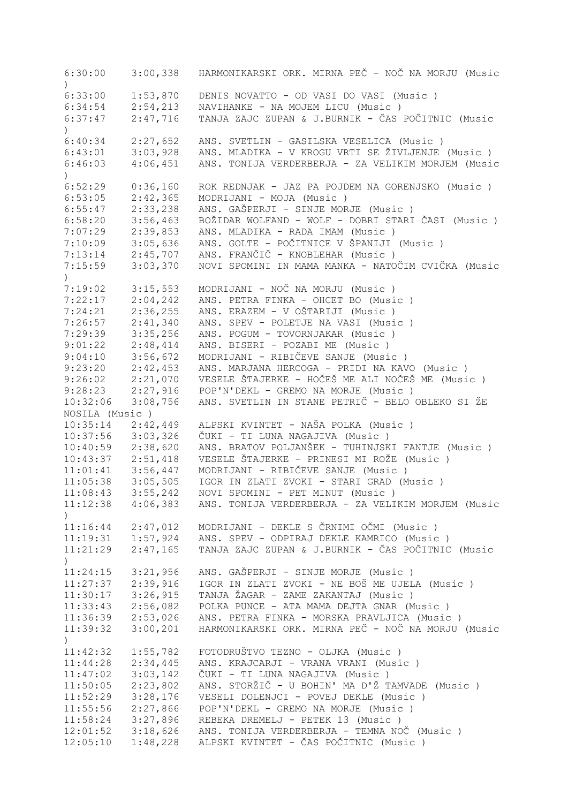6:30:00 3:00,338 HARMONIKARSKI ORK. MIRNA PEČ - NOČ NA MORJU (Music ) 6:33:00 1:53,870 DENIS NOVATTO - OD VASI DO VASI (Music )<br>6:34:54 2:54,213 NAVIHANKE - NA MOJEM LICU (Music ) 6:34:54 2:54,213 NAVIHANKE - NA MOJEM LICU (Music ) 6:37:47 2:47,716 TANJA ZAJC ZUPAN & J.BURNIK - ČAS POČITNIC (Music  $\lambda$ 6:40:34 2:27,652 ANS. SVETLIN - GASILSKA VESELICA (Music ) 6:43:01 3:03,928 ANS. MLADIKA - V KROGU VRTI SE ŽIVLJENJE (Music ) 6:46:03 4:06,451 ANS. TONIJA VERDERBERJA - ZA VELIKIM MORJEM (Music  $\lambda$ 6:52:29 0:36,160 ROK REDNJAK - JAZ PA POJDEM NA GORENJSKO (Music ) 6:53:05 2:42,365 MODRIJANI - MOJA (Music ) 6:55:47 2:33,238 ANS. GAŠPERJI - SINJE MORJE (Music ) 6:58:20 3:56,463 BOŽIDAR WOLFAND - WOLF - DOBRI STARI ČASI (Music ) 2:39,853 ANS. MLADIKA - RADA IMAM (Music ) 7:10:09 3:05,636 ANS. GOLTE - POČITNICE V ŠPANIJI (Music ) 7:13:14 2:45,707 ANS. FRANČIČ - KNOBLEHAR (Music ) 7:15:59 3:03,370 NOVI SPOMINI IN MAMA MANKA - NATOČIM CVIČKA (Music ) 7:19:02 3:15,553 MODRIJANI - NOČ NA MORJU (Music ) 2:04,242 ANS. PETRA FINKA - OHCET BO (Music ) 7:24:21 2:36,255 ANS. ERAZEM - V OŠTARIJI (Music ) 2:41,340 ANS. SPEV - POLETJE NA VASI (Music ) 7:29:39 3:35,256 ANS. POGUM - TOVORNJAKAR (Music ) 9:01:22 2:48,414 ANS. BISERI - POZABI ME (Music ) 9:04:10 3:56,672 MODRIJANI - RIBIČEVE SANJE (Music)<br>9:23:20 2:42,453 ANS. MARJANA HERCOGA - PRIDI NA KAV 9:42,453 ANS. MARJANA HERCOGA - PRIDI NA KAVO (Music )<br>2:21,070 VESELE ŠTAJERKE - HOČEŠ ME ALI NOČEŠ ME (Music )<br>2:27,916 POP'N'DEKL - GREMO NA MORJE (Music ) 9:26:02 2:21,070 VESELE ŠTAJERKE - HOČEŠ ME ALI NOČEŠ ME (Music ) 9:28:23 2:27,916 POP'N'DEKL - GREMO NA MORJE (Music ) 10:32:06 3:08,756 ANS. SVETLIN IN STANE PETRIČ - BELO OBLEKO SI ŽE NOSILA (Music ) 10:35:14 2:42,449 ALPSKI KVINTET - NAŠA POLKA (Music ) 10:37:56 3:03,326 ČUKI - TI LUNA NAGAJIVA (Music ) 10:40:59 2:38,620 ANS. BRATOV POLJANŠEK - TUHINJSKI FANTJE (Music ) 10:43:37 2:51,418 VESELE ŠTAJERKE - PRINESI MI ROŽE (Music )<br>11:01:41 3:56,447 MODRIJANI - RIBIČEVE SANJE (Music )<br>11:05:38 3:05,505 IGOR IN ZLATI ZVOKI - STARI GRAD (Music ) 11:01:41 3:56,447 MODRIJANI - RIBIČEVE SANJE (Music ) IGOR IN ZLATI ZVOKI - STARI GRAD (Music ) 11:08:43 3:55,242 NOVI SPOMINI - PET MINUT (Music ) 11:12:38 4:06,383 ANS. TONIJA VERDERBERJA - ZA VELIKIM MORJEM (Music  $\lambda$ 11:16:44 2:47,012 MODRIJANI - DEKLE S ČRNIMI OČMI (Music ) 11:19:31 1:57,924 ANS. SPEV - ODPIRAJ DEKLE KAMRICO (Music ) 11:21:29 2:47,165 TANJA ZAJC ZUPAN & J.BURNIK - ČAS POČITNIC (Music  $\left( \right)$ 11:24:15 3:21,956 ANS. GAŠPERJI - SINJE MORJE (Music ) 11:27:37 2:39,916 IGOR IN ZLATI ZVOKI - NE BOŠ ME UJELA (Music ) 11:30:17 3:26,915 TANJA ŽAGAR - ZAME ZAKANTAJ (Music ) 11:33:43 2:56,082 POLKA PUNCE - ATA MAMA DEJTA GNAR (Music ) 11:36:39 2:53,026 ANS. PETRA FINKA - MORSKA PRAVLJICA (Music ) 11:39:32 3:00,201 HARMONIKARSKI ORK. MIRNA PEČ - NOČ NA MORJU (Music  $\lambda$ 11:42:32 1:55,782 FOTODRUŠTVO TEZNO - OLJKA (Music ) ANS. KRAJCARJI - VRANA VRANI (Music ) 11:47:02 3:03,142 ČUKI - TI LUNA NAGAJIVA (Music ) 11:50:05 2:23,802 ANS. STORŽIČ - U BOHIN' MA D'Ž TAMVADE (Music ) 11:52:29 3:28,176 VESELI DOLENJCI - POVEJ DEKLE (Music ) 11:55:56 2:27,866 POP'N'DEKL - GREMO NA MORJE (Music ) 11:58:24 3:27,896 REBEKA DREMELJ - PETEK 13 (Music ) 12:01:52 3:18,626 ANS. TONIJA VERDERBERJA - TEMNA NOČ (Music ) 12:05:10 1:48,228 ALPSKI KVINTET - ČAS POČITNIC (Music )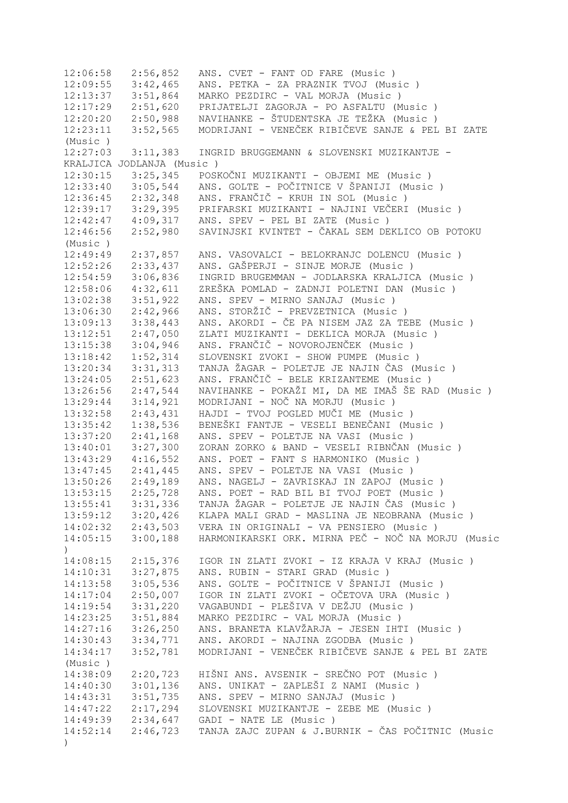12:06:58 2:56,852 ANS. CVET - FANT OD FARE (Music ) 12:09:55 3:42,465 ANS. PETKA - ZA PRAZNIK TVOJ (Music ) 12:13:37 3:51,864 MARKO PEZDIRC - VAL MORJA (Music ) 12:17:29 2:51,620 PRIJATELJI ZAGORJA - PO ASFALTU (Music ) 12:20:20 2:50,988 NAVIHANKE - ŠTUDENTSKA JE TEŽKA (Music ) 12:23:11 3:52,565 MODRIJANI - VENEČEK RIBIČEVE SANJE & PEL BI ZATE (Music ) 12:27:03 3:11,383 INGRID BRUGGEMANN & SLOVENSKI MUZIKANTJE - KRALJICA JODLANJA (Music ) 12:30:15 3:25,345 POSKOČNI MUZIKANTI - OBJEMI ME (Music )<br>12:33:40 3:05,544 ANS. GOLTE - POČITNICE V ŠPANIJI (Music 3:05,544 ANS. GOLTE - POČITNICE V ŠPANIJI (Music )<br>2:32,348 ANS. FRANČIČ - KRUH IN SOL (Music ) 12:36:45 2:32,348 ANS. FRANČIČ - KRUH IN SOL (Music ) 12:39:17 3:29,395 PRIFARSKI MUZIKANTI - NAJINI VEČERI (Music ) 12:42:47 4:09,317 ANS. SPEV - PEL BI ZATE (Music ) 12:46:56 2:52,980 SAVINJSKI KVINTET - ČAKAL SEM DEKLICO OB POTOKU (Music ) 12:49:49 2:37,857 ANS. VASOVALCI - BELOKRANJC DOLENCU (Music ) 12:52:26 2:33,437 ANS. GAŠPERJI - SINJE MORJE (Music )<br>12:54:59 3:06,836 INGRID BRUGEMMAN - JODLARSKA KRALJIC 12:54:59 3:06,836 INGRID BRUGEMMAN - JODLARSKA KRALJICA (Music ) 12:58:06 4:32,611 ZREŠKA POMLAD - ZADNJI POLETNI DAN (Music ) 13:02:38 3:51,922 ANS. SPEV - MIRNO SANJAJ (Music ) 13:06:30 2:42,966 ANS. STORŽIČ - PREVZETNICA (Music ) 13:09:13 3:38,443 ANS. AKORDI - ČE PA NISEM JAZ ZA TEBE (Music ) 13:12:51 2:47,050 ZLATI MUZIKANTI - DEKLICA MORJA (Music ) 13:15:38 3:04,946 ANS. FRANČIČ - NOVOROJENČEK (Music ) 13:18:42 1:52,314 SLOVENSKI ZVOKI - SHOW PUMPE (Music ) 13:20:34 3:31,313 TANJA ŽAGAR - POLETJE JE NAJIN ČAS (Music ) 13:24:05 2:51,623 ANS. FRANČIČ - BELE KRIZANTEME (Music ) 13:26:56 2:47,544 NAVIHANKE - POKAŽI MI, DA ME IMAŠ ŠE RAD (Music ) 13:29:44 3:14,921 MODRIJANI - NOČ NA MORJU (Music ) 13:32:58 2:43,431 HAJDI - TVOJ POGLED MUČI ME (Music ) 13:35:42 1:38,536 BENEŠKI FANTJE - VESELI BENEČANI (Music ) 13:37:20 2:41,168 ANS. SPEV - POLETJE NA VASI (Music ) 13:40:01 3:27,300 ZORAN ZORKO & BAND - VESELI RIBNČAN (Music ) 13:43:29 4:16,552 ANS. POET - FANT S HARMONIKO (Music ) 13:47:45 2:41,445 ANS. SPEV - POLETJE NA VASI (Music ) 13:50:26 2:49,189 ANS. NAGELJ - ZAVRISKAJ IN ZAPOJ (Music ) 13:53:15 2:25,728 ANS. POET - RAD BIL BI TVOJ POET (Music ) 13:55:41 3:31,336 TANJA ŽAGAR - POLETJE JE NAJIN ČAS (Music ) 13:59:12 3:20,426 KLAPA MALI GRAD - MASLINA JE NEOBRANA (Music ) 14:02:32 2:43,503 VERA IN ORIGINALI - VA PENSIERO (Music ) 14:05:15 3:00,188 HARMONIKARSKI ORK. MIRNA PEČ - NOČ NA MORJU (Music  $\lambda$ 14:08:15 2:15,376 IGOR IN ZLATI ZVOKI - IZ KRAJA V KRAJ (Music ) 14:10:31 3:27,875 ANS. RUBIN - STARI GRAD (Music ) 14:13:58 3:05,536 ANS. GOLTE - POČITNICE V ŠPANIJI (Music ) 14:17:04 2:50,007 IGOR IN ZLATI ZVOKI - OČETOVA URA (Music ) 14:19:54 3:31,220 VAGABUNDI - PLEŠIVA V DEŽJU (Music ) 14:23:25 3:51,884 MARKO PEZDIRC - VAL MORJA (Music ) 14:27:16 3:26,250 ANS. BRANETA KLAVŽARJA - JESEN IHTI (Music)<br>14:30:43 3:34,771 ANS. AKORDI - NAJINA ZGODBA (Music) 14:30:43 3:34,771 ANS. AKORDI - NAJINA ZGODBA (Music ) 14:34:17 3:52,781 MODRIJANI - VENEČEK RIBIČEVE SANJE & PEL BI ZATE (Music ) 14:38:09 2:20,723 HIŠNI ANS. AVSENIK - SREČNO POT (Music)<br>14:40:30 3:01,136 ANS. UNIKAT - ZAPLEŠI Z NAMI (Music) 14:40:30 3:01,136 ANS. UNIKAT - ZAPLEŠI Z NAMI (Music)<br>14:43:31 3:51,735 ANS. SPEV - MIRNO SANJAJ (Music) ANS. SPEV - MIRNO SANJAJ (Music ) 14:47:22 2:17,294 SLOVENSKI MUZIKANTJE - ZEBE ME (Music ) 14:49:39 2:34,647 GADI - NATE LE (Music ) 14:52:14 2:46,723 TANJA ZAJC ZUPAN & J.BURNIK - ČAS POČITNIC (Music )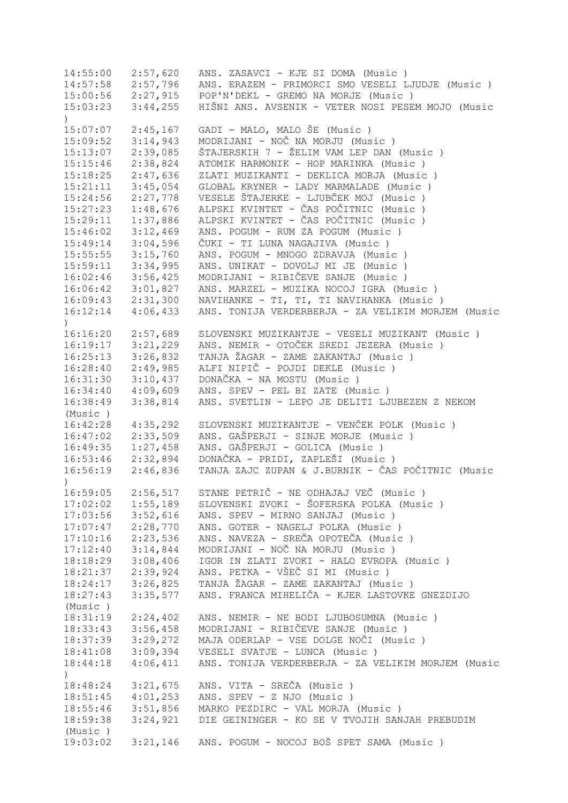| 14:55:00              | 2:57,620 | ANS. ZASAVCI - KJE SI DOMA (Music)                 |
|-----------------------|----------|----------------------------------------------------|
| 14:57:58              | 2:57,796 | ANS. ERAZEM - PRIMORCI SMO VESELI LJUDJE (Music)   |
| $15:00:56$ $2:27,915$ |          | POP'N'DEKL - GREMO NA MORJE (Music)                |
| 15:03:23              | 3:44,255 | HIŠNI ANS. AVSENIK - VETER NOSI PESEM MOJO (Music  |
| $\left( \right)$      |          |                                                    |
| 15:07:07              | 2:45,167 | GADI - MALO, MALO ŠE (Music)                       |
| 15:09:52              | 3:14,943 | MODRIJANI - NOČ NA MORJU (Music)                   |
| 15:13:07              | 2:39,085 | ŠTAJERSKIH 7 - ŽELIM VAM LEP DAN (Music)           |
| 15:15:46              | 2:38,824 | ATOMIK HARMONIK - HOP MARINKA (Music)              |
| 15:18:25              | 2:47,636 | ZLATI MUZIKANTI - DEKLICA MORJA (Music)            |
| 15:21:11              | 3:45,054 | GLOBAL KRYNER - LADY MARMALADE (Music)             |
| 15:24:56              | 2:27,778 | VESELE ŠTAJERKE - LJUBČEK MOJ (Music)              |
| 15:27:23              | 1:48,676 | ALPSKI KVINTET - ČAS POČITNIC (Music )             |
| 15:29:11              | 1:37,886 | ALPSKI KVINTET - ČAS POČITNIC (Music )             |
| 15:46:02              | 3:12,469 | ANS. POGUM - RUM ZA POGUM (Music )                 |
| 15:49:14              | 3:04,596 | ČUKI - TI LUNA NAGAJIVA (Music )                   |
| 15:55:55              | 3:15,760 | ANS. POGUM - MNOGO ZDRAVJA (Music)                 |
| 15:59:11              | 3:34,995 | ANS. UNIKAT - DOVOLJ MI JE (Music)                 |
| 16:02:46              | 3:56,425 | MODRIJANI - RIBIČEVE SANJE (Music)                 |
| 16:06:42              | 3:01,827 | ANS. MARZEL - MUZIKA NOCOJ IGRA (Music)            |
| 16:09:43              | 2:31,300 | NAVIHANKE - TI, TI, TI NAVIHANKA (Music)           |
| 16:12:14              | 4:06,433 | ANS. TONIJA VERDERBERJA - ZA VELIKIM MORJEM (Music |
| $\lambda$             |          |                                                    |
| 16:16:20              | 2:57,689 | SLOVENSKI MUZIKANTJE - VESELI MUZIKANT (Music )    |
| 16:19:17              | 3:21,229 | ANS. NEMIR - OTOČEK SREDI JEZERA (Music)           |
| 16:25:13              | 3:26,832 | TANJA ŽAGAR - ZAME ZAKANTAJ (Music )               |
| 16:28:40              | 2:49,985 | ALFI NIPIČ - POJDI DEKLE (Music)                   |
| 16:31:30              | 3:10,437 | DONAČKA - NA MOSTU (Music)                         |
| 16:34:40              | 4:09,609 | ANS. SPEV - PEL BI ZATE (Music)                    |
| 16:38:49              | 3:38,814 | ANS. SVETLIN - LEPO JE DELITI LJUBEZEN Z NEKOM     |
| (Music)               |          |                                                    |
| 16:42:28              | 4:35,292 | SLOVENSKI MUZIKANTJE - VENČEK POLK (Music)         |
| 16:47:02              | 2:33,509 | ANS. GAŠPERJI - SINJE MORJE (Music)                |
| 16:49:35              | 1:27,458 | ANS. GAŠPERJI - GOLICA (Music)                     |
| 16:53:46              | 2:32,894 | DONAČKA - PRIDI, ZAPLEŠI (Music)                   |
| 16:56:19              | 2:46,836 | TANJA ZAJC ZUPAN & J.BURNIK - ČAS POČITNIC (Music  |
| $\mathcal{L}$         |          |                                                    |
| 16:59:05              |          | 2:56,517 STANE PETRIČ - NE ODHAJAJ VEČ (Music)     |
| 17:02:02              | 1:55,189 | SLOVENSKI ZVOKI - ŠOFERSKA POLKA (Music)           |
| 17:03:56              | 3:52,616 | ANS. SPEV - MIRNO SANJAJ (Music)                   |
| 17:07:47              | 2:28,770 | ANS. GOTER - NAGELJ POLKA (Music)                  |
| 17:10:16              | 2:23,536 | ANS. NAVEZA - SREČA OPOTEČA (Music)                |
| 17:12:40              | 3:14,844 | MODRIJANI - NOČ NA MORJU (Music)                   |
| 18:18:29              | 3:08,406 | IGOR IN ZLATI ZVOKI - HALO EVROPA (Music)          |
| 18:21:37              | 2:39,924 | ANS. PETKA - VŠEČ SI MI (Music )                   |
| 18:24:17              | 3:26,825 | TANJA ŽAGAR - ZAME ZAKANTAJ (Music)                |
| 18:27:43              | 3:35,577 | ANS. FRANCA MIHELIČA - KJER LASTOVKE GNEZDIJO      |
| (Music)               |          |                                                    |
| 18:31:19              | 2:24,402 | ANS. NEMIR - NE BODI LJUBOSUMNA (Music)            |
| 18:33:43              | 3:56,458 | MODRIJANI - RIBIČEVE SANJE (Music )                |
| 18:37:39              | 3:29,272 | MAJA ODERLAP - VSE DOLGE NOČI (Music)              |
| 18:41:08              | 3:09,394 | VESELI SVATJE - LUNCA (Music)                      |
| 18:44:18              | 4:06,411 | ANS. TONIJA VERDERBERJA - ZA VELIKIM MORJEM (Music |
| $\left( \right)$      |          |                                                    |
| 18:48:24              | 3:21,675 | ANS. VITA - SREČA (Music)                          |
| 18:51:45              | 4:01,253 | ANS. SPEV - Z NJO (Music)                          |
| 18:55:46              | 3:51,856 | MARKO PEZDIRC - VAL MORJA (Music)                  |
| 18:59:38              | 3:24,921 | DIE GEININGER - KO SE V TVOJIH SANJAH PREBUDIM     |
| (Music)               |          |                                                    |
| 19:03:02              | 3:21,146 | ANS. POGUM - NOCOJ BOŠ SPET SAMA (Music)           |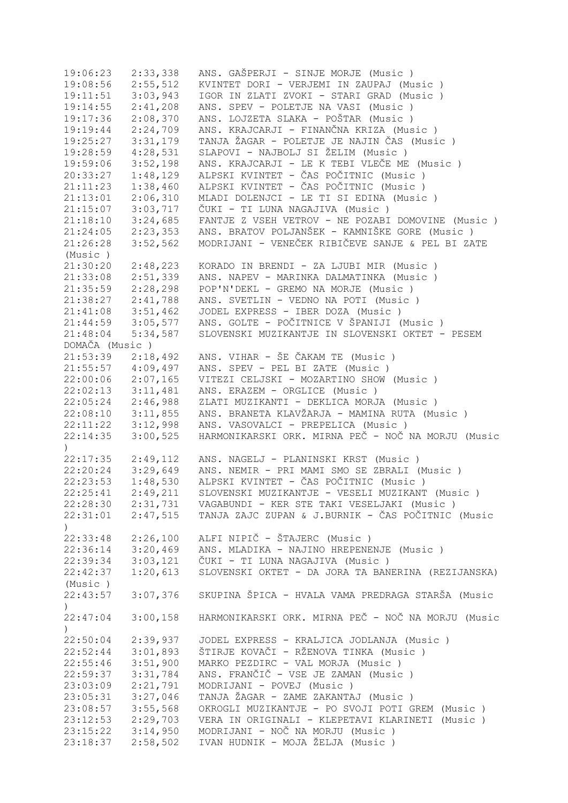19:06:23 2:33,338 ANS. GAŠPERJI - SINJE MORJE (Music ) 19:08:56 2:55,512 KVINTET DORI - VERJEMI IN ZAUPAJ (Music ) 19:11:51 3:03,943 IGOR IN ZLATI ZVOKI - STARI GRAD (Music ) 19:14:55 2:41,208 ANS. SPEV - POLETJE NA VASI (Music ) 19:17:36 2:08,370 ANS. LOJZETA SLAKA - POŠTAR (Music ) 19:19:44 2:24,709 ANS. KRAJCARJI - FINANČNA KRIZA (Music ) 19:25:27 3:31,179 TANJA ŽAGAR - POLETJE JE NAJIN ČAS (Music ) 19:28:59 4:28,531 SLAPOVI - NAJBOLJ SI ŽELIM (Music ) 19:59:06 3:52,198 ANS. KRAJCARJI - LE K TEBI VLEČE ME (Music ) 20:33:27 1:48,129 ALPSKI KVINTET - ČAS POČITNIC (Music ) 21:11:23 1:38,460 ALPSKI KVINTET - ČAS POČITNIC (Music ) 21:13:01 2:06,310 MLADI DOLENJCI - LE TI SI EDINA (Music ) 21:15:07 3:03,717 ČUKI - TI LUNA NAGAJIVA (Music ) 21:18:10 3:24,685 FANTJE Z VSEH VETROV - NE POZABI DOMOVINE (Music ) 21:24:05 2:23,353 ANS. BRATOV POLJANŠEK - KAMNIŠKE GORE (Music ) 21:26:28 3:52,562 MODRIJANI - VENEČEK RIBIČEVE SANJE & PEL BI ZATE (Music ) 21:30:20 2:48,223 KORADO IN BRENDI - ZA LJUBI MIR (Music ) 21:33:08 2:51,339 ANS. NAPEV - MARINKA DALMATINKA (Music ) 21:35:59 2:28,298 POP'N'DEKL - GREMO NA MORJE (Music ) 21:38:27 2:41,788 ANS. SVETLIN - VEDNO NA POTI (Music ) 21:41:08 3:51,462 JODEL EXPRESS - IBER DOZA (Music ) 21:44:59 3:05,577 ANS. GOLTE - POČITNICE V ŠPANIJI (Music ) 21:48:04 5:34,587 SLOVENSKI MUZIKANTJE IN SLOVENSKI OKTET - PESEM DOMAČA (Music ) 21:53:39 2:18,492 ANS. VIHAR - ŠE ČAKAM TE (Music ) 21:55:57 4:09,497 ANS. SPEV - PEL BI ZATE (Music ) 22:00:06 2:07,165 VITEZI CELJSKI - MOZARTINO SHOW (Music ) 22:02:13 3:11,481 ANS. ERAZEM - ORGLICE (Music ) 22:05:24 2:46,988 ZLATI MUZIKANTI - DEKLICA MORJA (Music ) 22:08:10 3:11,855 ANS. BRANETA KLAVŽARJA - MAMINA RUTA (Music ) 22:11:22 3:12,998 ANS. VASOVALCI - PREPELICA (Music ) 22:14:35 3:00,525 HARMONIKARSKI ORK. MIRNA PEČ - NOČ NA MORJU (Music  $\lambda$ 22:17:35 2:49,112 ANS. NAGELJ - PLANINSKI KRST (Music ) 22:20:24 3:29,649 ANS. NEMIR - PRI MAMI SMO SE ZBRALI (Music ) 22:23:53 1:48,530 ALPSKI KVINTET - ČAS POČITNIC (Music ) 22:25:41 2:49,211 SLOVENSKI MUZIKANTJE - VESELI MUZIKANT (Music ) 22:28:30 2:31,731 VAGABUNDI - KER STE TAKI VESELJAKI (Music ) 22:31:01 2:47,515 TANJA ZAJC ZUPAN & J.BURNIK - ČAS POČITNIC (Music ) 22:33:48 2:26,100 ALFI NIPIČ - ŠTAJERC (Music ) 22:36:14 3:20,469 ANS. MLADIKA - NAJINO HREPENENJE (Music ) 22:39:34 3:03,121 ČUKI - TI LUNA NAGAJIVA (Music ) SLOVENSKI OKTET - DA JORA TA BANERINA (REZIJANSKA) (Music ) 22:43:57 3:07,376 SKUPINA ŠPICA - HVALA VAMA PREDRAGA STARŠA (Music  $\lambda$ 22:47:04 3:00,158 HARMONIKARSKI ORK. MIRNA PEČ - NOČ NA MORJU (Music  $\lambda$ 22:50:04 2:39,937 JODEL EXPRESS - KRALJICA JODLANJA (Music ) 22:52:44 3:01,893 ŠTIRJE KOVAČI - RŽENOVA TINKA (Music ) MARKO PEZDIRC - VAL MORJA (Music ) 22:59:37 3:31,784 ANS. FRANČIČ - VSE JE ZAMAN (Music ) 23:03:09 2:21,791 MODRIJANI - POVEJ (Music ) 23:05:31 3:27,046 TANJA ŽAGAR - ZAME ZAKANTAJ (Music ) 23:08:57 3:55,568 OKROGLI MUZIKANTJE - PO SVOJI POTI GREM (Music ) 23:12:53 2:29,703 VERA IN ORIGINALI - KLEPETAVI KLARINETI (Music ) 23:15:22 3:14,950 MODRIJANI - NOČ NA MORJU (Music ) 23:18:37 2:58,502 IVAN HUDNIK - MOJA ŽELJA (Music )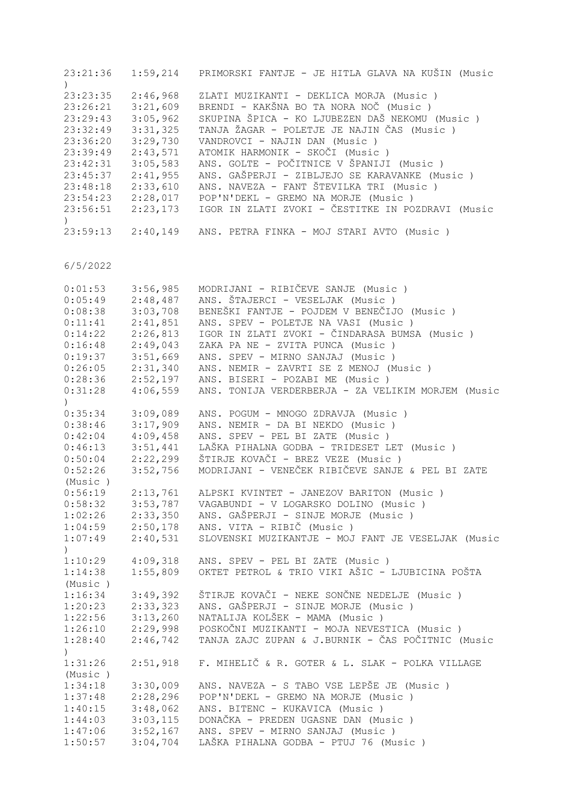| 23:21:36              | 1:59,214             | PRIMORSKI FANTJE - JE HITLA GLAVA NA KUŠIN (Music                                        |
|-----------------------|----------------------|------------------------------------------------------------------------------------------|
| 23:23:35              | 2:46,968             | ZLATI MUZIKANTI - DEKLICA MORJA (Music)                                                  |
| 23:26:21<br>23:29:43  | 3:21,609<br>3:05,962 | BRENDI - KAKŠNA BO TA NORA NOČ (Music)<br>SKUPINA ŠPICA - KO LJUBEZEN DAŠ NEKOMU (Music) |
| 23:32:49<br>23:36:20  | 3:31,325<br>3:29,730 | TANJA ŽAGAR - POLETJE JE NAJIN ČAS (Music)<br>VANDROVCI - NAJIN DAN (Music)              |
| 23:39:49              | 2:43,571             | ATOMIK HARMONIK - SKOČI (Music)<br>ANS. GOLTE - POČITNICE V ŠPANIJI (Music )             |
| 23:42:31<br>23:45:37  | 3:05,583<br>2:41,955 | ANS. GAŠPERJI - ZIBLJEJO SE KARAVANKE (Music )                                           |
| 23:48:18<br>23:54:23  | 2:33,610<br>2:28,017 | ANS. NAVEZA - FANT ŠTEVILKA TRI (Music)<br>POP'N'DEKL - GREMO NA MORJE (Music)           |
| 23:56:51              | 2:23,173             | IGOR IN ZLATI ZVOKI - ČESTITKE IN POZDRAVI (Music                                        |
| $23:59:13$ $2:40,149$ |                      | ANS. PETRA FINKA - MOJ STARI AVTO (Music )                                               |

| 0:01:53          | 3:56,985 | MODRIJANI - RIBIČEVE SANJE (Music)                 |
|------------------|----------|----------------------------------------------------|
| 0:05:49          | 2:48,487 | ANS. ŠTAJERCI - VESELJAK (Music)                   |
| 0:08:38          | 3:03,708 | BENEŠKI FANTJE - POJDEM V BENEČIJO (Music)         |
| 0:11:41          | 2:41,851 | ANS. SPEV - POLETJE NA VASI (Music )               |
| 0:14:22          | 2:26,813 | IGOR IN ZLATI ZVOKI - ČINDARASA BUMSA (Music )     |
| 0:16:48          | 2:49,043 | ZAKA PA NE - ZVITA PUNCA (Music)                   |
| 0:19:37          | 3:51,669 | ANS. SPEV - MIRNO SANJAJ (Music)                   |
| 0:26:05          | 2:31,340 | ANS. NEMIR - ZAVRTI SE Z MENOJ (Music)             |
| 0:28:36          | 2:52,197 | ANS. BISERI - POZABI ME (Music)                    |
| 0:31:28          | 4:06,559 | ANS. TONIJA VERDERBERJA - ZA VELIKIM MORJEM (Music |
| $\left( \right)$ |          |                                                    |
| 0:35:34          | 3:09,089 | ANS. POGUM - MNOGO ZDRAVJA (Music)                 |
| 0:38:46          | 3:17,909 | ANS. NEMIR - DA BI NEKDO (Music)                   |
| 0:42:04          | 4:09,458 | ANS. SPEV - PEL BI ZATE (Music)                    |
| 0:46:13          | 3:51,441 | LAŠKA PIHALNA GODBA - TRIDESET LET (Music)         |
| 0:50:04          | 2:22,299 | ŠTIRJE KOVAČI - BREZ VEZE (Music )                 |
| 0:52:26          | 3:52,756 | MODRIJANI - VENEČEK RIBIČEVE SANJE & PEL BI ZATE   |
| (Music)          |          |                                                    |
| 0:56:19          | 2:13,761 | ALPSKI KVINTET - JANEZOV BARITON (Music )          |
| 0:58:32          | 3:53,787 | VAGABUNDI - V LOGARSKO DOLINO (Music)              |
| 1:02:26          | 2:33,350 | ANS. GAŠPERJI - SINJE MORJE (Music)                |
| 1:04:59          | 2:50,178 | ANS. VITA - RIBIČ (Music)                          |
| 1:07:49          | 2:40,531 | SLOVENSKI MUZIKANTJE - MOJ FANT JE VESELJAK (Music |
| $\left( \right)$ |          |                                                    |
| 1:10:29          | 4:09,318 | ANS. SPEV - PEL BI ZATE (Music)                    |
| 1:14:38          | 1:55,809 | OKTET PETROL & TRIO VIKI AŠIC - LJUBICINA POŠTA    |
| (Music)          |          |                                                    |
| 1:16:34          | 3:49,392 | ŠTIRJE KOVAČI - NEKE SONČNE NEDELJE (Music )       |
| 1:20:23          | 2:33,323 | ANS. GAŠPERJI - SINJE MORJE (Music)                |
| 1:22:56          | 3:13,260 | NATALIJA KOLŠEK - MAMA (Music)                     |
| 1:26:10          | 2:29,998 | POSKOČNI MUZIKANTI - MOJA NEVESTICA (Music)        |
| 1:28:40          | 2:46,742 | TANJA ZAJC ZUPAN & J.BURNIK - ČAS POČITNIC (Music  |
| $\lambda$        |          |                                                    |
| 1:31:26          | 2:51,918 | F. MIHELIČ & R. GOTER & L. SLAK - POLKA VILLAGE    |
| (Music)          |          |                                                    |
| 1:34:18          | 3:30,009 | ANS. NAVEZA - S TABO VSE LEPŠE JE (Music)          |
| 1:37:48          | 2:28,296 | POP'N'DEKL - GREMO NA MORJE (Music)                |
| 1:40:15          | 3:48,062 | ANS. BITENC - KUKAVICA (Music)                     |
| 1:44:03          | 3:03,115 | DONAČKA - PREDEN UGASNE DAN (Music)                |
| 1:47:06          | 3:52,167 | ANS. SPEV - MIRNO SANJAJ (Music)                   |
| 1:50:57          | 3:04,704 | LAŠKA PIHALNA GODBA - PTUJ 76 (Music)              |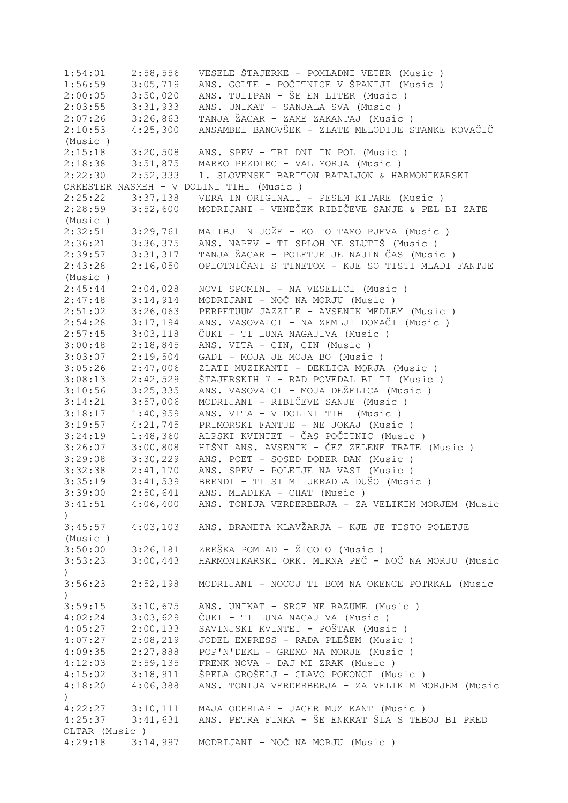1:54:01 2:58,556 VESELE ŠTAJERKE - POMLADNI VETER (Music ) 1:56:59 3:05,719 ANS. GOLTE - POČITNICE V ŠPANIJI (Music ) 2:00:05 3:50,020 ANS. TULIPAN - ŠE EN LITER (Music)<br>2:03:55 3:31,933 ANS. UNIKAT - SANJALA SVA (Music) ANS. UNIKAT - SANJALA SVA (Music ) 2:07:26 3:26,863 TANJA ŽAGAR - ZAME ZAKANTAJ (Music ) 2:10:53 4:25,300 ANSAMBEL BANOVŠEK - ZLATE MELODIJE STANKE KOVAČIČ (Music ) 2:15:18 3:20,508 ANS. SPEV - TRI DNI IN POL (Music ) 2:18:38 3:51,875 MARKO PEZDIRC - VAL MORJA (Music ) 2:10:00 0:01/070 111100 1111101<br>2:22:30 2:52,333 1. SLOVENSKI BARITON BATALJON & HARMONIKARSKI ORKESTER NASMEH - V DOLINI TIHI (Music ) 2:25:22 3:37,138 VERA IN ORIGINALI - PESEM KITARE (Music ) 2:28:59 3:52,600 MODRIJANI - VENEČEK RIBIČEVE SANJE & PEL BI ZATE (Music ) 2:32:51 3:29,761 MALIBU IN JOŽE - KO TO TAMO PJEVA (Music ) 2:36:21 3:36,375 ANS. NAPEV - TI SPLOH NE SLUTIŠ (Music)<br>2:39:57 3:31,317 TANJA ŽAGAR - POLETJE JE NAJIN ČAS (Musi 2:39:57 3:31,317 TANJA ŽAGAR - POLETJE JE NAJIN ČAS (Music ) 2:43:28 2:16,050 OPLOTNIČANI S TINETOM - KJE SO TISTI MLADI FANTJE (Music ) 2:45:44 2:04,028 NOVI SPOMINI - NA VESELICI (Music )<br>2:47:48 3:14,914 MODRIJANI - NOČ NA MORJU (Music ) 2:47:48 3:14,914 MODRIJANI - NOČ NA MORJU (Music)<br>2:51:02 3:26,063 PERPETUUM JAZZILE - AVSENIK MEDLE 3:26,063 PERPETUUM JAZZILE - AVSENIK MEDLEY (Music ) 2:54:28 3:17,194 ANS. VASOVALCI - NA ZEMLJI DOMAČI (Music ) 2:57:45 3:03,118 ČUKI - TI LUNA NAGAJIVA (Music ) 3:00:48 2:18,845 ANS. VITA - CIN, CIN (Music ) 3:03:07 2:19,504 GADI - MOJA JE MOJA BO (Music ) 3:05:26 2:47,006 ZLATI MUZIKANTI - DEKLICA MORJA (Music ) 3:08:13 2:42,529 ŠTAJERSKIH 7 - RAD POVEDAL BI TI (Music ) 3:10:56 3:25,335 ANS. VASOVALCI - MOJA DEŽELICA (Music ) 3:14:21 3:57,006 MODRIJANI - RIBIČEVE SANJE (Music ) 3:18:17 1:40,959 ANS. VITA - V DOLINI TIHI (Music ) 3:19:57 4:21,745 PRIMORSKI FANTJE - NE JOKAJ (Music ) 3:24:19 1:48,360 ALPSKI KVINTET - ČAS POČITNIC (Music ) 3:26:07 3:00,808 HIŠNI ANS. AVSENIK - ČEZ ZELENE TRATE (Music ) 3:29:08 3:30,229 ANS. POET - SOSED DOBER DAN (Music ) 3:32:38 2:41,170 ANS. SPEV - POLETJE NA VASI (Music ) 3:35:19 3:41,539 BRENDI - TI SI MI UKRADLA DUŠO (Music ) 3:39:00 2:50,641 ANS. MLADIKA - CHAT (Music )<br>3:41:51 4:06,400 ANS. TONIJA VERDERBERJA - ZA 3:41:51 4:06,400 ANS. TONIJA VERDERBERJA - ZA VELIKIM MORJEM (Music  $\lambda$ 3:45:57 4:03,103 ANS. BRANETA KLAVŽARJA - KJE JE TISTO POLETJE (Music ) 3:50:00 3:26,181 ZREŠKA POMLAD - ŽIGOLO (Music ) 3:53:23 3:00,443 HARMONIKARSKI ORK. MIRNA PEČ - NOČ NA MORJU (Music  $\lambda$ 3:56:23 2:52,198 MODRIJANI - NOCOJ TI BOM NA OKENCE POTRKAL (Music  $\lambda$ 3:59:15 3:10,675 ANS. UNIKAT - SRCE NE RAZUME (Music ) 4:02:24 3:03,629 ČUKI - TI LUNA NAGAJIVA (Music ) 4:05:27 2:00,133 SAVINJSKI KVINTET - POŠTAR (Music ) 4:07:27 2:08,219 JODEL EXPRESS - RADA PLEŠEM (Music ) 4:09:35 2:27,888 POP'N'DEKL - GREMO NA MORJE (Music ) 4:12:03 2:59,135 FRENK NOVA - DAJ MI ZRAK (Music ) 4:15:02 3:18,911 ŠPELA GROŠELJ - GLAVO POKONCI (Music ) 4:18:20 4:06,388 ANS. TONIJA VERDERBERJA - ZA VELIKIM MORJEM (Music ) 4:22:27 3:10,111 MAJA ODERLAP - JAGER MUZIKANT (Music ) 4:25:37 3:41,631 ANS. PETRA FINKA - ŠE ENKRAT ŠLA S TEBOJ BI PRED OLTAR (Music ) 4:29:18 3:14,997 MODRIJANI - NOČ NA MORJU (Music )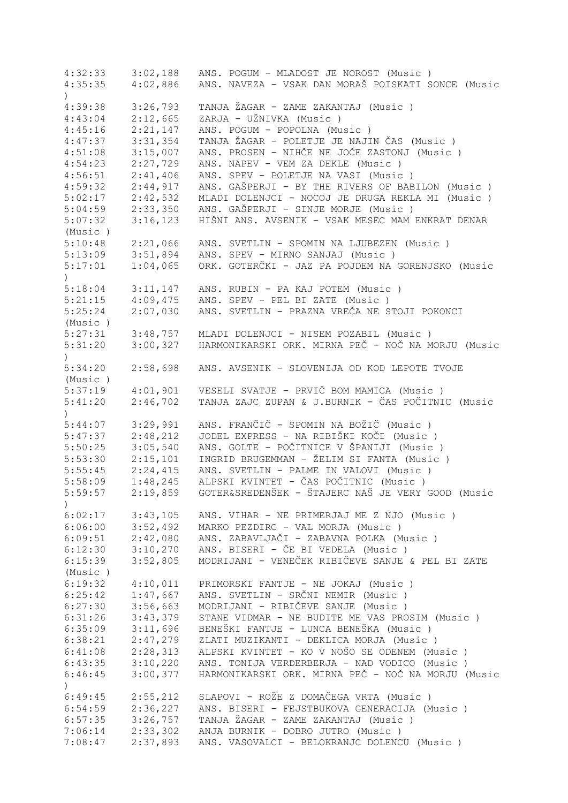| 4:32:33          | 3:02,188             | ANS. POGUM - MLADOST JE NOROST (Music)             |
|------------------|----------------------|----------------------------------------------------|
| 4:35:35          | 4:02,886             | ANS. NAVEZA - VSAK DAN MORAŠ POISKATI SONCE (Music |
| $\left( \right)$ |                      |                                                    |
| 4:39:38          | 3:26,793             | TANJA ŽAGAR - ZAME ZAKANTAJ (Music )               |
| 4:43:04          | 2:12,665             | ZARJA - UŽNIVKA (Music)                            |
| 4:45:16          | 2:21,147             | ANS. POGUM - POPOLNA (Music)                       |
| 4:47:37          | 3:31,354             | TANJA ŽAGAR - POLETJE JE NAJIN ČAS (Music)         |
| 4:51:08          | 3:15,007             | ANS. PROSEN - NIHČE NE JOČE ZASTONJ (Music )       |
| 4:54:23          | 2:27,729             | ANS. NAPEV - VEM ZA DEKLE (Music)                  |
| 4:56:51          | 2:41,406             | ANS. SPEV - POLETJE NA VASI (Music)                |
| 4:59:32          | 2:44,917             | ANS. GAŠPERJI - BY THE RIVERS OF BABILON (Music)   |
| 5:02:17          | 2:42,532             | MLADI DOLENJCI - NOCOJ JE DRUGA REKLA MI (Music)   |
|                  | 2:33,350             | ANS. GAŠPERJI - SINJE MORJE (Music)                |
| 5:04:59          |                      |                                                    |
| 5:07:32          | 3:16,123             | HIŠNI ANS. AVSENIK - VSAK MESEC MAM ENKRAT DENAR   |
| (Music)          |                      |                                                    |
| 5:10:48          | 2:21,066             | ANS. SVETLIN - SPOMIN NA LJUBEZEN (Music)          |
| 5:13:09          | 3:51,894             | ANS. SPEV - MIRNO SANJAJ (Music)                   |
| 5:17:01          | 1:04,065             | ORK. GOTERČKI - JAZ PA POJDEM NA GORENJSKO (Music  |
| $\mathcal{L}$    |                      |                                                    |
| 5:18:04          | 3:11,147             | ANS. RUBIN - PA KAJ POTEM (Music)                  |
| 5:21:15          | 4:09,475             | ANS. SPEV - PEL BI ZATE (Music)                    |
| 5:25:24          | 2:07,030             | ANS. SVETLIN - PRAZNA VREČA NE STOJI POKONCI       |
| (Music)          |                      |                                                    |
| 5:27:31          | 3:48,757             | MLADI DOLENJCI - NISEM POZABIL (Music)             |
| 5:31:20          | 3:00,327             | HARMONIKARSKI ORK. MIRNA PEČ - NOČ NA MORJU (Music |
| $\mathcal{E}$    |                      |                                                    |
| 5:34:20          | 2:58,698             | ANS. AVSENIK - SLOVENIJA OD KOD LEPOTE TVOJE       |
| (Music)          |                      |                                                    |
| 5:37:19          | 4:01,901             | VESELI SVATJE - PRVIČ BOM MAMICA (Music)           |
| 5:41:20          | 2:46,702             | TANJA ZAJC ZUPAN & J.BURNIK - ČAS POČITNIC (Music  |
|                  |                      |                                                    |
| 5:44:07          | 3:29,991             | ANS. FRANČIČ - SPOMIN NA BOŽIČ (Music )            |
| 5:47:37          | 2:48,212             | JODEL EXPRESS - NA RIBIŠKI KOČI (Music )           |
| 5:50:25          | 3:05,540             | ANS. GOLTE - POČITNICE V ŠPANIJI (Music )          |
| 5:53:30          | 2:15,101             | INGRID BRUGEMMAN - ŽELIM SI FANTA (Music)          |
|                  | 2:24,415             |                                                    |
| 5:55:45          |                      | ANS. SVETLIN - PALME IN VALOVI (Music)             |
| 5:58:09          | 1:48,245             | ALPSKI KVINTET - ČAS POČITNIC (Music )             |
| 5:59:57          | 2:19,859             | GOTER&SREDENŠEK - ŠTAJERC NAŠ JE VERY GOOD (Music  |
| $\mathcal{E}$    |                      |                                                    |
|                  | $6:02:17$ $3:43,105$ | ANS. VIHAR - NE PRIMERJAJ ME Z NJO (Music)         |
| 6:06:00          | 3:52,492             | MARKO PEZDIRC - VAL MORJA (Music)                  |
| 6:09:51          | 2:42,080             | ANS. ZABAVLJAČI - ZABAVNA POLKA (Music)            |
| 6:12:30          | 3:10,270             | ANS. BISERI - ČE BI VEDELA (Music)                 |
| 6:15:39          | 3:52,805             | MODRIJANI - VENEČEK RIBIČEVE SANJE & PEL BI ZATE   |
| (Music)          |                      |                                                    |
| 6:19:32          | 4:10,011             | PRIMORSKI FANTJE - NE JOKAJ (Music)                |
| 6:25:42          | 1:47,667             | ANS. SVETLIN - SRČNI NEMIR (Music)                 |
| 6:27:30          | 3:56,663             | MODRIJANI - RIBIČEVE SANJE (Music)                 |
| 6:31:26          | 3:43,379             | STANE VIDMAR - NE BUDITE ME VAS PROSIM (Music)     |
| 6:35:09          | 3:11,696             | BENEŠKI FANTJE - LUNCA BENEŠKA (Music )            |
| 6:38:21          | 2:47,279             | ZLATI MUZIKANTI - DEKLICA MORJA (Music)            |
| 6:41:08          | 2:28,313             | ALPSKI KVINTET - KO V NOŠO SE ODENEM (Music)       |
| 6:43:35          | 3:10,220             | ANS. TONIJA VERDERBERJA - NAD VODICO (Music)       |
| 6:46:45          | 3:00,377             | HARMONIKARSKI ORK. MIRNA PEČ - NOČ NA MORJU (Music |
|                  |                      |                                                    |
| $\left( \right)$ |                      |                                                    |
| 6:49:45          | 2:55,212             | SLAPOVI - ROŽE Z DOMAČEGA VRTA (Music )            |
| 6:54:59          | 2:36,227             | ANS. BISERI - FEJSTBUKOVA GENERACIJA (Music)       |
| 6:57:35          | 3:26,757             | TANJA ŽAGAR - ZAME ZAKANTAJ (Music )               |
| 7:06:14          | 2:33,302             | ANJA BURNIK - DOBRO JUTRO (Music)                  |
| 7:08:47          | 2:37,893             | ANS. VASOVALCI - BELOKRANJC DOLENCU (Music)        |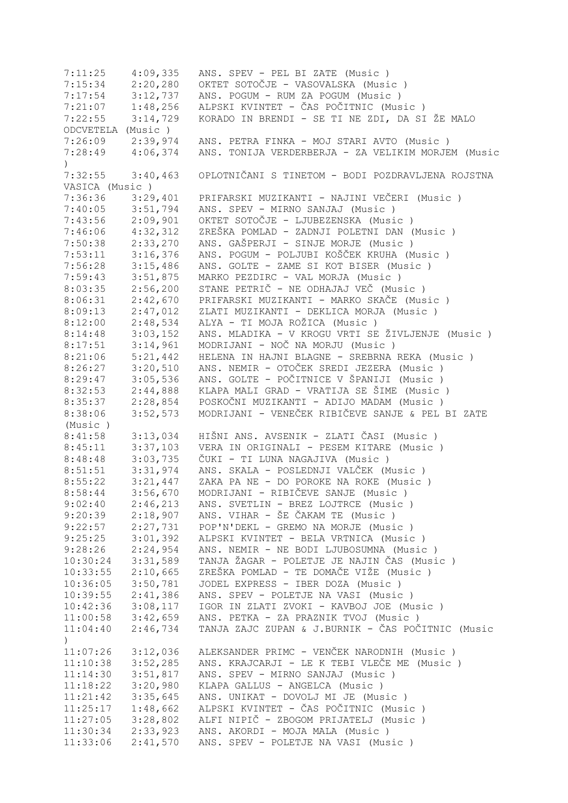| 7:11:25              | 4:09,335             | ANS. SPEV - PEL BI ZATE (Music)                    |
|----------------------|----------------------|----------------------------------------------------|
| 7:15:34              | 2:20,280             | OKTET SOTOČJE - VASOVALSKA (Music)                 |
| 7:17:54              | 3:12,737             | ANS. POGUM - RUM ZA POGUM (Music)                  |
| $7:21:07$ $1:48,256$ |                      | ALPSKI KVINTET - ČAS POČITNIC (Music)              |
| 7:22:55              | 3:14,729             | KORADO IN BRENDI - SE TI NE ZDI, DA SI ŽE MALO     |
| ODCVETELA (Music)    |                      |                                                    |
|                      | $7:26:09$ $2:39,974$ | ANS. PETRA FINKA - MOJ STARI AVTO (Music)          |
| 7:28:49              | 4:06,374             | ANS. TONIJA VERDERBERJA - ZA VELIKIM MORJEM (Music |
| $\lambda$            |                      |                                                    |
| 7:32:55              | 3:40,463             | OPLOTNIČANI S TINETOM - BODI POZDRAVLJENA ROJSTNA  |
| VASICA (Music)       |                      |                                                    |
| 7:36:36              | 3:29,401             | PRIFARSKI MUZIKANTI - NAJINI VEČERI (Music)        |
| $7:40:05$ $3:51,794$ |                      | ANS. SPEV - MIRNO SANJAJ (Music)                   |
| 7:43:56              | 2:09,901             | OKTET SOTOČJE - LJUBEZENSKA (Music)                |
| 7:46:06              | 4:32,312             | ZREŠKA POMLAD - ZADNJI POLETNI DAN (Music)         |
| 7:50:38              | 2:33,270             | ANS. GAŠPERJI - SINJE MORJE (Music)                |
| 7:53:11              | 3:16,376             | ANS. POGUM - POLJUBI KOŠČEK KRUHA (Music)          |
| 7:56:28              | 3:15,486             | ANS. GOLTE - ZAME SI KOT BISER (Music)             |
| 7:59:43              | 3:51,875             | MARKO PEZDIRC - VAL MORJA (Music)                  |
| 8:03:35              | 2:56,200             | STANE PETRIČ - NE ODHAJAJ VEČ (Music)              |
| 8:06:31              | 2:42,670             | PRIFARSKI MUZIKANTI - MARKO SKAČE (Music)          |
|                      |                      |                                                    |
| 8:09:13              | 2:47,012             | ZLATI MUZIKANTI - DEKLICA MORJA (Music)            |
| 8:12:00              | 2:48,534             | ALYA - TI MOJA ROŽICA (Music )                     |
| 8:14:48              | 3:03,152             | ANS. MLADIKA - V KROGU VRTI SE ŽIVLJENJE (Music)   |
| 8:17:51              | 3:14,961             | MODRIJANI - NOČ NA MORJU (Music)                   |
| 8:21:06              | 5:21,442             | HELENA IN HAJNI BLAGNE - SREBRNA REKA (Music)      |
| 8:26:27              | 3:20,510             | ANS. NEMIR - OTOČEK SREDI JEZERA (Music)           |
| 8:29:47              | 3:05,536             | ANS. GOLTE - POČITNICE V ŠPANIJI (Music )          |
| 8:32:53              | 2:44,888             | KLAPA MALI GRAD - VRATIJA SE ŠIME (Music )         |
| 8:35:37              | 2:28,854             | POSKOČNI MUZIKANTI - ADIJO MADAM (Music)           |
| 8:38:06              | 3:52,573             | MODRIJANI - VENEČEK RIBIČEVE SANJE & PEL BI ZATE   |
| (Music)              |                      |                                                    |
| 8:41:58              | 3:13,034             | HIŠNI ANS. AVSENIK - ZLATI ČASI (Music )           |
| 8:45:11              | 3:37,103             | VERA IN ORIGINALI - PESEM KITARE (Music )          |
| 8:48:48              | 3:03,735             | ČUKI - TI LUNA NAGAJIVA (Music )                   |
| 8:51:51              | 3:31,974             | ANS. SKALA - POSLEDNJI VALČEK (Music )             |
| 8:55:22              | 3:21,447             | ZAKA PA NE - DO POROKE NA ROKE (Music)             |
| 8:58:44              | 3:56,670             | MODRIJANI - RIBIČEVE SANJE (Music )                |
| 9:02:40              | 2:46,213             | ANS. SVETLIN - BREZ LOJTRCE (Music)                |
| 9:20:39              | 2:18,907             | ANS. VIHAR - ŠE ČAKAM TE (Music )                  |
| 9:22:57              | 2:27,731             | POP'N'DEKL - GREMO NA MORJE (Music)                |
| 9:25:25              | 3:01,392             | ALPSKI KVINTET - BELA VRTNICA (Music)              |
| 9:28:26              | 2:24,954             | ANS. NEMIR - NE BODI LJUBOSUMNA (Music)            |
| 10:30:24             | 3:31,589             | TANJA ŽAGAR - POLETJE JE NAJIN ČAS (Music)         |
| 10:33:55             | 2:10,665             | ZREŠKA POMLAD - TE DOMAČE VIŽE (Music )            |
| 10:36:05             | 3:50,781             | JODEL EXPRESS - IBER DOZA (Music )                 |
| 10:39:55             | 2:41,386             | ANS. SPEV - POLETJE NA VASI (Music)                |
| 10:42:36             | 3:08,117             | IGOR IN ZLATI ZVOKI - KAVBOJ JOE (Music)           |
| 11:00:58             | 3:42,659             | ANS. PETKA - ZA PRAZNIK TVOJ (Music)               |
| 11:04:40             | 2:46,734             | TANJA ZAJC ZUPAN & J.BURNIK - ČAS POČITNIC (Music  |
| $\left( \right)$     |                      |                                                    |
| 11:07:26             | 3:12,036             | ALEKSANDER PRIMC - VENČEK NARODNIH (Music)         |
| 11:10:38             | 3:52,285             | ANS. KRAJCARJI - LE K TEBI VLEČE ME (Music)        |
| 11:14:30             | 3:51,817             | ANS. SPEV - MIRNO SANJAJ (Music)                   |
| 11:18:22             | 3:20,980             | KLAPA GALLUS - ANGELCA (Music)                     |
| 11:21:42             | 3:35,645             | ANS. UNIKAT - DOVOLJ MI JE (Music)                 |
| 11:25:17             | 1:48,662             | ALPSKI KVINTET - ČAS POČITNIC (Music )             |
| 11:27:05             | 3:28,802             | ALFI NIPIČ - ZBOGOM PRIJATELJ (Music)              |
| 11:30:34             | 2:33,923             | ANS. AKORDI - MOJA MALA (Music)                    |
| 11:33:06             | 2:41,570             | ANS. SPEV - POLETJE NA VASI (Music)                |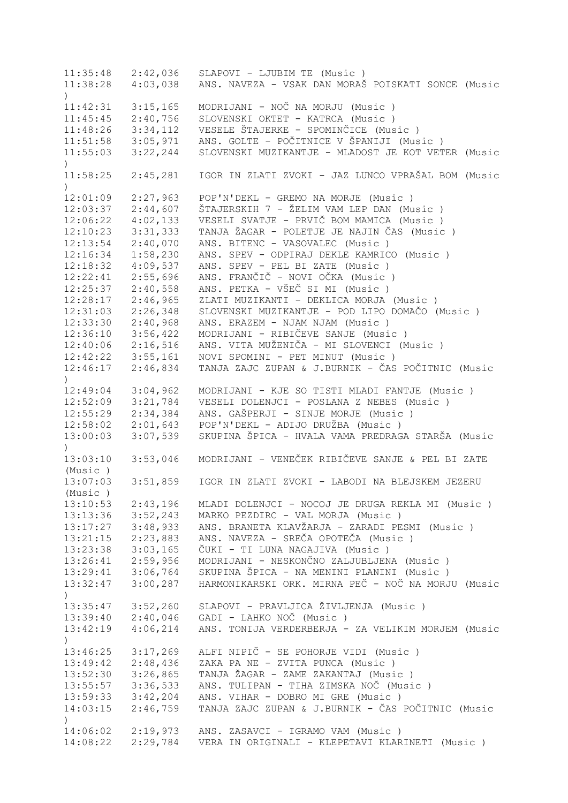11:35:48 2:42,036 SLAPOVI - LJUBIM TE (Music ) 11:38:28 4:03,038 ANS. NAVEZA - VSAK DAN MORAŠ POISKATI SONCE (Music ) 11:42:31 3:15,165 MODRIJANI - NOČ NA MORJU (Music ) 11:45:45 2:40,756 SLOVENSKI OKTET - KATRCA (Music ) 11:48:26 3:34,112 VESELE ŠTAJERKE - SPOMINČICE (Music ) 11:51:58 3:05,971 ANS. GOLTE - POČITNICE V ŠPANIJI (Music ) 11:55:03 3:22,244 SLOVENSKI MUZIKANTJE - MLADOST JE KOT VETER (Music  $\lambda$ 11:58:25 2:45,281 IGOR IN ZLATI ZVOKI - JAZ LUNCO VPRAŠAL BOM (Music  $\lambda$ 12:01:09 2:27,963 POP'N'DEKL - GREMO NA MORJE (Music ) 12:03:37 2:44,607 ŠTAJERSKIH 7 - ŽELIM VAM LEP DAN (Music ) 12:06:22 4:02,133 VESELI SVATJE - PRVIČ BOM MAMICA (Music ) 12:10:23 3:31,333 TANJA ŽAGAR - POLETJE JE NAJIN ČAS (Music ) 12:13:54 2:40,070 ANS. BITENC - VASOVALEC (Music ) 12:16:34 1:58,230 ANS. SPEV - ODPIRAJ DEKLE KAMRICO (Music ) 12:18:32 4:09,537 ANS. SPEV - PEL BI ZATE (Music ) 12:22:41 2:55,696 ANS. FRANČIČ - NOVI OČKA (Music ) 12:25:37 2:40,558 ANS. PETKA - VŠEČ SI MI (Music ) 12:28:17 2:46,965 ZLATI MUZIKANTI - DEKLICA MORJA (Music ) 12:31:03 2:26,348 SLOVENSKI MUZIKANTJE - POD LIPO DOMAČO (Music ) 12:33:30 2:40,968 ANS. ERAZEM - NJAM NJAM (Music ) 12:36:10 3:56,422 MODRIJANI - RIBIČEVE SANJE (Music ) 12:40:06 2:16,516 ANS. VITA MUŽENIČA - MI SLOVENCI (Music ) 12:42:22 3:55,161 NOVI SPOMINI - PET MINUT (Music ) 12:46:17 2:46,834 TANJA ZAJC ZUPAN & J.BURNIK - ČAS POČITNIC (Music  $\lambda$ 12:49:04 3:04,962 MODRIJANI - KJE SO TISTI MLADI FANTJE (Music ) 12:52:09 3:21,784 VESELI DOLENJCI - POSLANA Z NEBES (Music ) 12:55:29 2:34,384 ANS. GAŠPERJI - SINJE MORJE (Music ) 12:58:02 2:01,643 POP'N'DEKL - ADIJO DRUŽBA (Music ) 13:00:03 3:07,539 SKUPINA ŠPICA - HVALA VAMA PREDRAGA STARŠA (Music  $\lambda$ 13:03:10 3:53,046 MODRIJANI - VENEČEK RIBIČEVE SANJE & PEL BI ZATE (Music ) 13:07:03 3:51,859 IGOR IN ZLATI ZVOKI - LABODI NA BLEJSKEM JEZERU (Music ) 13:10:53 2:43,196 MLADI DOLENJCI - NOCOJ JE DRUGA REKLA MI (Music ) 13:13:36 3:52,243 MARKO PEZDIRC - VAL MORJA (Music ) 13:17:27 3:48,933 ANS. BRANETA KLAVŽARJA - ZARADI PESMI (Music ) 13:21:15 2:23,883 ANS. NAVEZA - SREČA OPOTEČA (Music ) 13:23:38 3:03,165 ČUKI - TI LUNA NAGAJIVA (Music ) 13:26:41 2:59,956 MODRIJANI - NESKONČNO ZALJUBLJENA (Music ) 13:29:41 3:06,764 SKUPINA ŠPICA - NA MENINI PLANINI (Music ) 13:32:47 3:00,287 HARMONIKARSKI ORK. MIRNA PEČ - NOČ NA MORJU (Music  $\rightarrow$ 13:35:47 3:52,260 SLAPOVI - PRAVLJICA ŽIVLJENJA (Music ) 13:39:40 2:40,046 GADI - LAHKO NOČ (Music ) 13:42:19 4:06,214 ANS. TONIJA VERDERBERJA - ZA VELIKIM MORJEM (Music  $\lambda$ 13:46:25 3:17,269 ALFI NIPIČ - SE POHORJE VIDI (Music ) ZAKA PA NE - ZVITA PUNCA (Music ) 13:52:30 3:26,865 TANJA ŽAGAR - ZAME ZAKANTAJ (Music ) 13:55:57 3:36,533 ANS. TULIPAN - TIHA ZIMSKA NOČ (Music ) 13:59:33 3:42,204 ANS. VIHAR - DOBRO MI GRE (Music ) 14:03:15 2:46,759 TANJA ZAJC ZUPAN & J.BURNIK - ČAS POČITNIC (Music ) 14:06:02 2:19,973 ANS. ZASAVCI - IGRAMO VAM (Music ) 14:08:22 2:29,784 VERA IN ORIGINALI - KLEPETAVI KLARINETI (Music )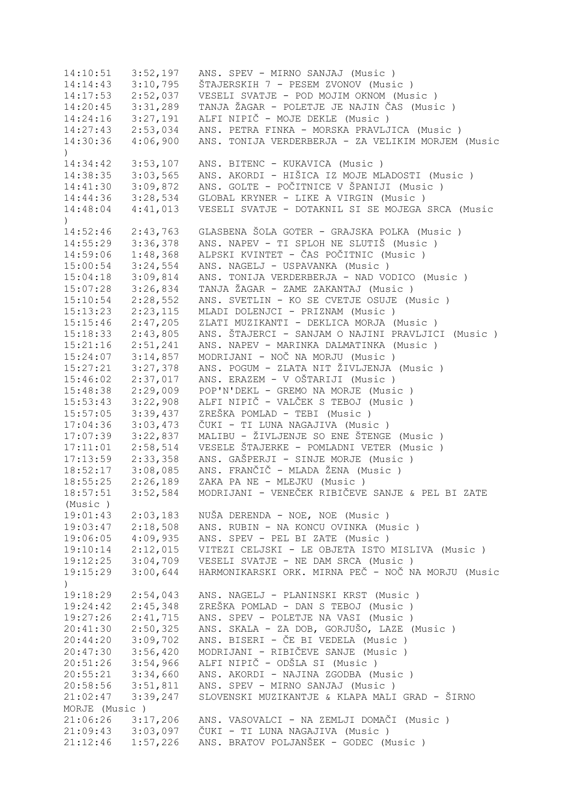14:10:51 3:52,197 ANS. SPEV - MIRNO SANJAJ (Music ) 14:14:43 3:10,795 ŠTAJERSKIH 7 - PESEM ZVONOV (Music ) 14:17:53 2:52,037 VESELI SVATJE - POD MOJIM OKNOM (Music ) 14:20:45 3:31,289 TANJA ŽAGAR - POLETJE JE NAJIN ČAS (Music ) 14:24:16 3:27,191 ALFI NIPIČ - MOJE DEKLE (Music ) 14:27:43 2:53,034 ANS. PETRA FINKA - MORSKA PRAVLJICA (Music ) 14:30:36 4:06,900 ANS. TONIJA VERDERBERJA - ZA VELIKIM MORJEM (Music  $\lambda$ 14:34:42 3:53,107 ANS. BITENC - KUKAVICA (Music ) 14:38:35 3:03,565 ANS. AKORDI - HIŠICA IZ MOJE MLADOSTI (Music ) 14:41:30 3:09,872 ANS. GOLTE - POČITNICE V ŠPANIJI (Music ) 14:44:36 3:28,534 GLOBAL KRYNER - LIKE A VIRGIN (Music ) 14:48:04 4:41,013 VESELI SVATJE - DOTAKNIL SI SE MOJEGA SRCA (Music ) 14:52:46 2:43,763 GLASBENA ŠOLA GOTER - GRAJSKA POLKA (Music ) 14:55:29 3:36,378 ANS. NAPEV - TI SPLOH NE SLUTIŠ (Music ) 14:59:06 1:48,368 ALPSKI KVINTET - ČAS POČITNIC (Music)<br>15:00:54 3:24,554 ANS. NAGELJ - USPAVANKA (Music) 15:00:54 3:24,554 ANS. NAGELJ - USPAVANKA (Music ) 15:04:18 3:09,814 ANS. TONIJA VERDERBERJA - NAD VODICO (Music ) 15:07:28 3:26,834 TANJA ŽAGAR - ZAME ZAKANTAJ (Music ) 15:10:54 2:28,552 ANS. SVETLIN - KO SE CVETJE OSUJE (Music ) 15:13:23 2:23,115 MLADI DOLENJCI - PRIZNAM (Music ) 15:15:46 2:47,205 ZLATI MUZIKANTI - DEKLICA MORJA (Music ) 15:18:33 2:43,805 ANS. ŠTAJERCI - SANJAM O NAJINI PRAVLJICI (Music ) 15:21:16 2:51,241 ANS. NAPEV - MARINKA DALMATINKA (Music ) 15:24:07 3:14,857 MODRIJANI - NOČ NA MORJU (Music ) 15:27:21 3:27,378 ANS. POGUM - ZLATA NIT ŽIVLJENJA (Music ) 15:46:02 2:37,017 ANS. ERAZEM - V OŠTARIJI (Music ) 15:48:38 2:29,009 POP'N'DEKL - GREMO NA MORJE (Music ) 15:53:43 3:22,908 ALFI NIPIČ - VALČEK S TEBOJ (Music ) 15:57:05 3:39,437 ZREŠKA POMLAD - TEBI (Music ) 17:04:36 3:03,473 ČUKI - TI LUNA NAGAJIVA (Music ) 17:07:39 3:22,837 MALIBU - ŽIVLJENJE SO ENE ŠTENGE (Music ) 17:11:01 2:58,514 VESELE ŠTAJERKE - POMLADNI VETER (Music ) 17:13:59 2:33,358 ANS. GAŠPERJI - SINJE MORJE (Music ) 18:52:17 3:08,085 ANS. FRANČIČ - MLADA ŽENA (Music ) 18:55:25 2:26,189 ZAKA PA NE - MLEJKU (Music ) 18:57:51 3:52,584 MODRIJANI - VENEČEK RIBIČEVE SANJE & PEL BI ZATE (Music ) 19:01:43 2:03,183 NUŠA DERENDA - NOE, NOE (Music ) 19:03:47 2:18,508 ANS. RUBIN - NA KONCU OVINKA (Music ) 19:06:05 4:09,935 ANS. SPEV - PEL BI ZATE (Music ) 19:10:14 2:12,015 VITEZI CELJSKI - LE OBJETA ISTO MISLIVA (Music ) 19:12:25 3:04,709 VESELI SVATJE - NE DAM SRCA (Music ) 19:15:29 3:00,644 HARMONIKARSKI ORK. MIRNA PEČ - NOČ NA MORJU (Music ) 19:18:29 2:54,043 ANS. NAGELJ - PLANINSKI KRST (Music ) 19:24:42 2:45,348 ZREŠKA POMLAD - DAN S TEBOJ (Music ) 19:27:26 2:41,715 ANS. SPEV - POLETJE NA VASI (Music ) 20:41:30 2:50,325 ANS. SKALA - ZA DOB, GORJUŠO, LAZE (Music ) 20:44:20 3:09,702 ANS. BISERI - ČE BI VEDELA (Music ) 20:47:30 3:56,420 MODRIJANI - RIBIČEVE SANJE (Music ) 20:51:26 3:54,966 ALFI NIPIČ - ODŠLA SI (Music )<br>20:55:21 3:34,660 ANS. AKORDI - NAJINA ZGODBA (M 20:55:21 3:34,660 ANS. AKORDI - NAJINA ZGODBA (Music ) 3:51,811 ANS. SPEV - MIRNO SANJAJ (Music ) 21:02:47 3:39,247 SLOVENSKI MUZIKANTJE & KLAPA MALI GRAD - ŠIRNO MORJE (Music ) 21:06:26 3:17,206 ANS. VASOVALCI - NA ZEMLJI DOMAČI (Music ) 21:09:43 3:03,097 ČUKI - TI LUNA NAGAJIVA (Music ) 21:12:46 1:57,226 ANS. BRATOV POLJANŠEK - GODEC (Music )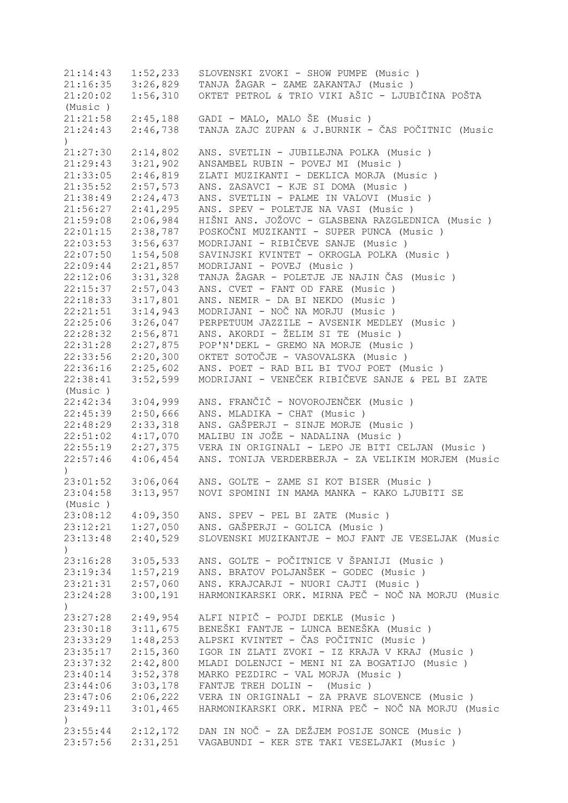21:14:43 1:52,233 SLOVENSKI ZVOKI - SHOW PUMPE (Music ) 21:16:35 3:26,829 TANJA ŽAGAR - ZAME ZAKANTAJ (Music ) 21:20:02 1:56,310 OKTET PETROL & TRIO VIKI AŠIC - LJUBIČINA POŠTA (Music ) 21:21:58 2:45,188 GADI - MALO, MALO ŠE (Music ) 21:24:43 2:46,738 TANJA ZAJC ZUPAN & J.BURNIK - ČAS POČITNIC (Music ) 21:27:30 2:14,802 ANS. SVETLIN - JUBILEJNA POLKA (Music ) 21:29:43 3:21,902 ANSAMBEL RUBIN - POVEJ MI (Music ) 21:33:05 2:46,819 ZLATI MUZIKANTI - DEKLICA MORJA (Music ) 21:35:52 2:57,573 ANS. ZASAVCI - KJE SI DOMA (Music ) 21:38:49 2:24,473 ANS. SVETLIN - PALME IN VALOVI (Music ) 21:56:27 2:41,295 ANS. SPEV - POLETJE NA VASI (Music ) 21:59:08 2:06,984 HIŠNI ANS. JOŽOVC - GLASBENA RAZGLEDNICA (Music ) 22:01:15 2:38,787 POSKOČNI MUZIKANTI - SUPER PUNCA (Music ) 22:03:53 3:56,637 MODRIJANI - RIBIČEVE SANJE (Music ) 22:07:50 1:54,508 SAVINJSKI KVINTET - OKROGLA POLKA (Music ) 22:09:44 2:21,857 MODRIJANI - POVEJ (Music ) 22:12:06 3:31,328 TANJA ŽAGAR - POLETJE JE NAJIN ČAS (Music ) 22:15:37 2:57,043 ANS. CVET - FANT OD FARE (Music ) 22:18:33 3:17,801 ANS. NEMIR - DA BI NEKDO (Music ) 22:21:51 3:14,943 MODRIJANI - NOČ NA MORJU (Music ) 22:25:06 3:26,047 PERPETUUM JAZZILE - AVSENIK MEDLEY (Music ) 22:28:32 2:56,871 ANS. AKORDI - ŽELIM SI TE (Music ) 22:31:28 2:27,875 POP'N'DEKL - GREMO NA MORJE (Music ) 22:33:56 2:20,300 OKTET SOTOČJE - VASOVALSKA (Music ) 22:36:16 2:25,602 ANS. POET - RAD BIL BI TVOJ POET (Music ) 22:38:41 3:52,599 MODRIJANI - VENEČEK RIBIČEVE SANJE & PEL BI ZATE (Music ) 22:42:34 3:04,999 ANS. FRANČIČ - NOVOROJENČEK (Music ) 22:45:39 2:50,666 ANS. MLADIKA - CHAT (Music ) 22:48:29 2:33,318 ANS. GAŠPERJI - SINJE MORJE (Music ) 22:51:02 4:17,070 MALIBU IN JOŽE - NADALINA (Music ) 22:55:19 2:27,375 VERA IN ORIGINALI - LEPO JE BITI CELJAN (Music ) 22:57:46 4:06,454 ANS. TONIJA VERDERBERJA - ZA VELIKIM MORJEM (Music ) 23:01:52 3:06,064 ANS. GOLTE - ZAME SI KOT BISER (Music ) 23:04:58 3:13,957 NOVI SPOMINI IN MAMA MANKA - KAKO LJUBITI SE (Music ) 23:08:12 4:09,350 ANS. SPEV - PEL BI ZATE (Music ) 23:12:21 1:27,050 ANS. GAŠPERJI - GOLICA (Music ) 23:13:48 2:40,529 SLOVENSKI MUZIKANTJE - MOJ FANT JE VESELJAK (Music  $\lambda$ 23:16:28 3:05,533 ANS. GOLTE - POČITNICE V ŠPANIJI (Music ) 23:19:34 1:57,219 ANS. BRATOV POLJANŠEK - GODEC (Music ) 23:21:31 2:57,060 ANS. KRAJCARJI - NUORI CAJTI (Music ) 23:24:28 3:00,191 HARMONIKARSKI ORK. MIRNA PEČ - NOČ NA MORJU (Music  $\lambda$ 23:27:28 2:49,954 ALFI NIPIČ - POJDI DEKLE (Music ) 23:30:18 3:11,675 BENEŠKI FANTJE - LUNCA BENEŠKA (Music ) 23:33:29 1:48,253 ALPSKI KVINTET - ČAS POČITNIC (Music ) IGOR IN ZLATI ZVOKI - IZ KRAJA V KRAJ (Music ) 23:37:32 2:42,800 MLADI DOLENJCI - MENI NI ZA BOGATIJO (Music ) 23:40:14 3:52,378 MARKO PEZDIRC - VAL MORJA (Music ) 23:44:06 3:03,178 FANTJE TREH DOLIN - (Music ) 23:47:06 2:06,222 VERA IN ORIGINALI - ZA PRAVE SLOVENCE (Music ) 23:49:11 3:01,465 HARMONIKARSKI ORK. MIRNA PEČ - NOČ NA MORJU (Music ) 23:55:44 2:12,172 DAN IN NOČ - ZA DEŽJEM POSIJE SONCE (Music ) 23:57:56 2:31,251 VAGABUNDI - KER STE TAKI VESELJAKI (Music )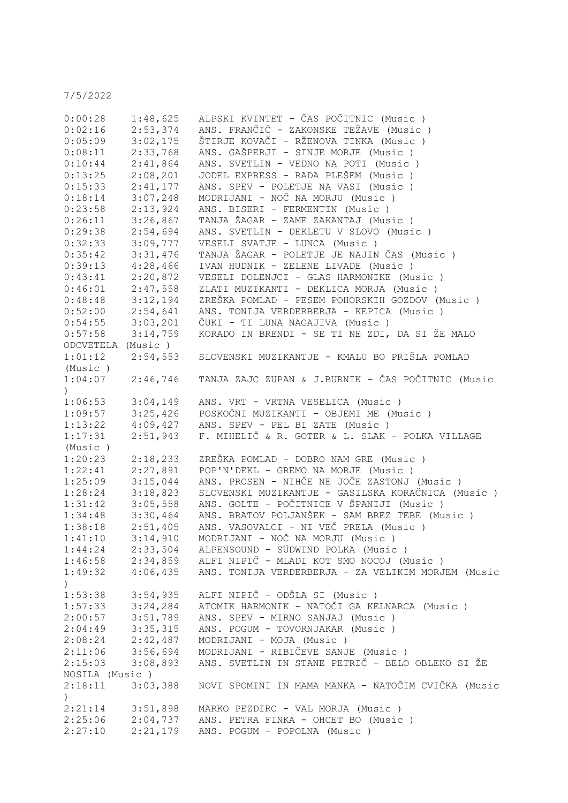7/5/2022

| 0:00:28                                                  | 1:48,625             | ALPSKI KVINTET - ČAS POČITNIC (Music )                                                                          |
|----------------------------------------------------------|----------------------|-----------------------------------------------------------------------------------------------------------------|
| 0:02:16                                                  | 2:53,374             | ANS. FRANČIČ - ZAKONSKE TEŽAVE (Music )                                                                         |
| 0:05:09                                                  | 3:02,175             | ŠTIRJE KOVAČI - RŽENOVA TINKA (Music )                                                                          |
| 0:08:11                                                  | 2:33,768             | ANS. GAŠPERJI - SINJE MORJE (Music )                                                                            |
| 0:10:44                                                  | 2:41,864             | ANS. SVETLIN - VEDNO NA POTI (Music)                                                                            |
| 0:13:25                                                  | 2:08,201             | JODEL EXPRESS - RADA PLEŠEM (Music)                                                                             |
| 0:15:33                                                  | 2:41,177             | ANS. SPEV - POLETJE NA VASI (Music )                                                                            |
|                                                          |                      |                                                                                                                 |
| 0:18:14                                                  | 3:07,248             | MODRIJANI - NOČ NA MORJU (Music)                                                                                |
| 0:23:58                                                  | 2:13,924             | ANS. BISERI - FERMENTIN (Music)                                                                                 |
| 0:26:11                                                  | 3:26,867             | TANJA ŽAGAR - ZAME ZAKANTAJ (Music )                                                                            |
| 0:29:38                                                  | 2:54,694             | ANS. SVETLIN - DEKLETU V SLOVO (Music)                                                                          |
| 0:32:33                                                  | 3:09,777             | VESELI SVATJE - LUNCA (Music)                                                                                   |
| 0:35:42                                                  | 3:31,476             | TANJA ŽAGAR - POLETJE JE NAJIN ČAS (Music)                                                                      |
| 0:39:13                                                  | 4:28,466             | IVAN HUDNIK - ZELENE LIVADE (Music)                                                                             |
| 0:43:41                                                  | 2:20,872             | VESELI DOLENJCI - GLAS HARMONIKE (Music)                                                                        |
| 0:46:01                                                  | 2:47,558             | ZLATI MUZIKANTI - DEKLICA MORJA (Music)                                                                         |
| 0:48:48                                                  | 3:12,194             | ZREŠKA POMLAD - PESEM POHORSKIH GOZDOV (Music )                                                                 |
| 0:52:00                                                  | 2:54,641             | ANS. TONIJA VERDERBERJA - KEPICA (Music)                                                                        |
| 0:54:55                                                  | 3:03,201             | ČUKI - TI LUNA NAGAJIVA (Music)                                                                                 |
| 0:57:58                                                  | 3:14,759             | KORADO IN BRENDI - SE TI NE ZDI, DA SI ŽE MALO                                                                  |
| ODCVETELA (Music)                                        |                      |                                                                                                                 |
| 1:01:12                                                  | 2:54,553             | SLOVENSKI MUZIKANTJE - KMALU BO PRIŠLA POMLAD                                                                   |
|                                                          |                      |                                                                                                                 |
| (Music )                                                 |                      |                                                                                                                 |
| 1:04:07                                                  | 2:46,746             | TANJA ZAJC ZUPAN & J.BURNIK - ČAS POČITNIC (Music                                                               |
|                                                          |                      |                                                                                                                 |
| 1:06:53                                                  | 3:04,149             | ANS. VRT - VRTNA VESELICA (Music)                                                                               |
| 1:09:57                                                  | 3:25,426             | POSKOČNI MUZIKANTI - OBJEMI ME (Music)                                                                          |
| 1:13:22                                                  | 4:09,427             | ANS. SPEV - PEL BI ZATE (Music)                                                                                 |
| 1:17:31                                                  | 2:51,943             | F. MIHELIČ & R. GOTER & L. SLAK - POLKA VILLAGE                                                                 |
| (Music)                                                  |                      |                                                                                                                 |
| 1:20:23                                                  | 2:18,233             | ZREŠKA POMLAD - DOBRO NAM GRE (Music)                                                                           |
| 1:22:41                                                  | 2:27,891             | POP'N'DEKL - GREMO NA MORJE (Music)                                                                             |
| 1:25:09                                                  | 3:15,044             | ANS. PROSEN - NIHČE NE JOČE ZASTONJ (Music)                                                                     |
| 1:28:24                                                  | 3:18,823             | SLOVENSKI MUZIKANTJE - GASILSKA KORAČNICA (Music )                                                              |
| 1:31:42                                                  | 3:05,558             | ANS. GOLTE - POČITNICE V ŠPANIJI (Music )                                                                       |
| 1:34:48                                                  | 3:30,464             | ANS. BRATOV POLJANŠEK - SAM BREZ TEBE (Music)                                                                   |
| 1:38:18                                                  | 2:51,405             | ANS. VASOVALCI - NI VEČ PRELA (Music)                                                                           |
| 1:41:10                                                  |                      | 3:14,910 MODRIJANI - NOČ NA MORJU (Music)                                                                       |
| 1:44:24                                                  | 2:33,504             | ALPENSOUND - SÜDWIND POLKA (Music)                                                                              |
|                                                          |                      |                                                                                                                 |
|                                                          |                      | 1:46:58 2:34,859 ALFI NIPIČ - MLADI KOT SMO NOCOJ (Music)<br>ANS. TONIJA VERDERBERJA - ZA VELIKIM MORJEM (Music |
|                                                          | $1:49:32$ $4:06,435$ |                                                                                                                 |
| )                                                        |                      |                                                                                                                 |
|                                                          | $1:53:38$ $3:54,935$ | ALFI NIPIČ - ODŠLA SI (Music )                                                                                  |
|                                                          | 1:57:33 3:24,284     | ATOMIK HARMONIK - NATOČI GA KELNARCA (Music)                                                                    |
|                                                          | 3:51,789             | ANS. SPEV - MIRNO SANJAJ (Music)                                                                                |
| 2:00:57 3:51,789<br>2:04:49 3:35,315<br>2:08:24 2:42,487 |                      | ANS. POGUM - TOVORNJAKAR (Music)                                                                                |
|                                                          |                      | MODRIJANI - MOJA (Music)                                                                                        |
| 2:11:06                                                  | 3:56,694             | MODRIJANI - RIBIČEVE SANJE (Music )                                                                             |
| 2:15:03                                                  | 3:08,893             | ANS. SVETLIN IN STANE PETRIČ - BELO OBLEKO SI ŽE                                                                |
| NOSILA (Music)                                           |                      |                                                                                                                 |
| 2:18:11                                                  | 3:03,388             | NOVI SPOMINI IN MAMA MANKA - NATOČIM CVIČKA (Music                                                              |
| $\left( \right)$                                         |                      |                                                                                                                 |
| 2:21:14                                                  | 3:51,898             | MARKO PEZDIRC - VAL MORJA (Music)                                                                               |
|                                                          |                      | 2:25:06 2:04,737 ANS. PETRA FINKA - OHCET BO (Music)                                                            |
| 2:27:10                                                  | 2:21,179             | ANS. POGUM - POPOLNA (Music)                                                                                    |
|                                                          |                      |                                                                                                                 |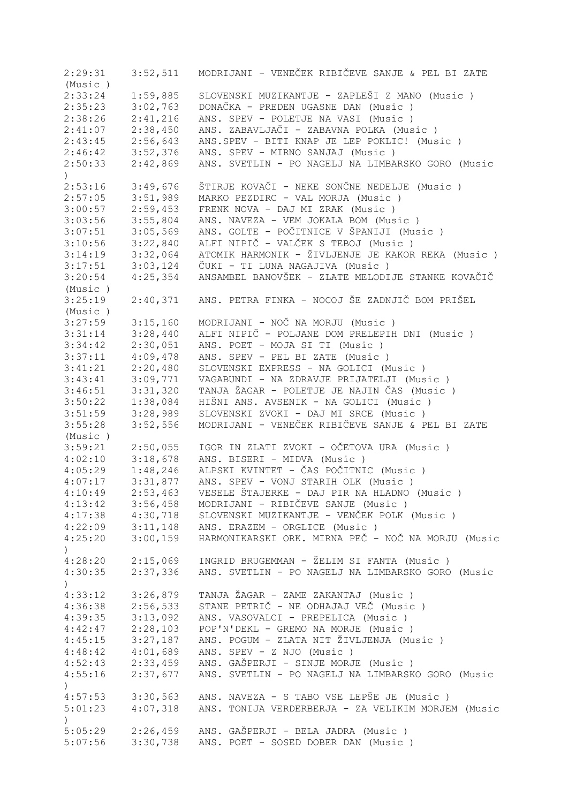2:29:31 3:52,511 MODRIJANI - VENEČEK RIBIČEVE SANJE & PEL BI ZATE (Music ) 2:33:24 1:59,885 SLOVENSKI MUZIKANTJE - ZAPLEŠI Z MANO (Music)<br>2:35:23 3:02,763 DONAČKA - PREDEN UGASNE DAN (Music) 2:35:23 3:02,763 DONAČKA - PREDEN UGASNE DAN (Music ) ANS. SPEV - POLETJE NA VASI (Music ) 2:41:07 2:38,450 ANS. ZABAVLJAČI - ZABAVNA POLKA (Music ) 2:56,643 ANS.SPEV - BITI KNAP JE LEP POKLIC! (Music ) 2:46:42 3:52,376 ANS. SPEV - MIRNO SANJAJ (Music ) 2:50:33 2:42,869 ANS. SVETLIN - PO NAGELJ NA LIMBARSKO GORO (Music )<br>2:53:16 3:49,676<br>2:57:05 3:51,989 2:53:16 3:49,676 ŠTIRJE KOVAČI - NEKE SONČNE NEDELJE (Music ) 2:57:05 3:51,989 MARKO PEZDIRC - VAL MORJA (Music ) 3:00:57 2:59,453 FRENK NOVA - DAJ MI ZRAK (Music ) 3:03:56 3:55,804 ANS. NAVEZA - VEM JOKALA BOM (Music ) 3:07:51 3:05,569 ANS. GOLTE - POČITNICE V ŠPANIJI (Music ) 3:10:56 3:22,840 ALFI NIPIČ - VALČEK S TEBOJ (Music ) 3:14:19 3:32,064 ATOMIK HARMONIK - ŽIVLJENJE JE KAKOR REKA (Music ) 3:17:51 3:03,124 ČUKI - TI LUNA NAGAJIVA (Music ) 3:20:54 4:25,354 ANSAMBEL BANOVŠEK - ZLATE MELODIJE STANKE KOVAČIČ (Music ) 3:25:19 2:40,371 ANS. PETRA FINKA - NOCOJ ŠE ZADNJIČ BOM PRIŠEL (Music ) 3:27:59 3:15,160 MODRIJANI - NOČ NA MORJU (Music ) 3:31:14 3:28,440 ALFI NIPIČ - POLJANE DOM PRELEPIH DNI (Music ) 3:34:42 2:30,051 ANS. POET - MOJA SI TI (Music ) 3:37:11 4:09,478 ANS. SPEV - PEL BI ZATE (Music ) 3:41:21 2:20,480 SLOVENSKI EXPRESS - NA GOLICI (Music ) 3:43:41 3:09,771 VAGABUNDI - NA ZDRAVJE PRIJATELJI (Music ) 3:46:51 3:31,320 TANJA ŽAGAR - POLETJE JE NAJIN ČAS (Music ) 3:50:22 1:38,084 HIŠNI ANS. AVSENIK - NA GOLICI (Music ) 3:51:59 3:28,989 SLOVENSKI ZVOKI - DAJ MI SRCE (Music ) 3:55:28 3:52,556 MODRIJANI - VENEČEK RIBIČEVE SANJE & PEL BI ZATE (Music ) 3:59:21 2:50,055 IGOR IN ZLATI ZVOKI - OČETOVA URA (Music)<br>4:02:10 3:18,678 ANS. BISERI - MIDVA (Music) 4:02:10 3:18,678 ANS. BISERI - MIDVA (Music ) 4:05:29 1:48,246 ALPSKI KVINTET - ČAS POČITNIC (Music ) ANS. SPEV - VONJ STARIH OLK (Music ) 4:10:49 2:53,463 VESELE ŠTAJERKE - DAJ PIR NA HLADNO (Music ) 4:13:42 3:56,458 MODRIJANI - RIBIČEVE SANJE (Music ) 4:17:38 4:30,718 SLOVENSKI MUZIKANTJE - VENČEK POLK (Music ) 4:22:09 3:11,148 ANS. ERAZEM - ORGLICE (Music ) 4:25:20 3:00,159 HARMONIKARSKI ORK. MIRNA PEČ - NOČ NA MORJU (Music  $\lambda$ 4:28:20 2:15,069 INGRID BRUGEMMAN - ŽELIM SI FANTA (Music ) 4:30:35 2:37,336 ANS. SVETLIN - PO NAGELJ NA LIMBARSKO GORO (Music  $\lambda$ 4:33:12 3:26,879 TANJA ŽAGAR - ZAME ZAKANTAJ (Music ) 4:36:38 2:56,533 STANE PETRIČ - NE ODHAJAJ VEČ (Music ) 4:39:35 3:13,092 ANS. VASOVALCI - PREPELICA (Music ) 4:42:47 2:28,103 POP'N'DEKL - GREMO NA MORJE (Music ) 4:45:15 3:27,187 ANS. POGUM - ZLATA NIT ŽIVLJENJA (Music ) 4:01,689 ANS. SPEV - Z NJO (Music ) 4:52:43 2:33,459 ANS. GAŠPERJI - SINJE MORJE (Music ) ANS. SVETLIN - PO NAGELJ NA LIMBARSKO GORO (Music  $\lambda$ 4:57:53 3:30,563 ANS. NAVEZA - S TABO VSE LEPŠE JE (Music ) 5:01:23 4:07,318 ANS. TONIJA VERDERBERJA - ZA VELIKIM MORJEM (Music ) 5:05:29 2:26,459 ANS. GAŠPERJI - BELA JADRA (Music ) 5:07:56 3:30,738 ANS. POET - SOSED DOBER DAN (Music )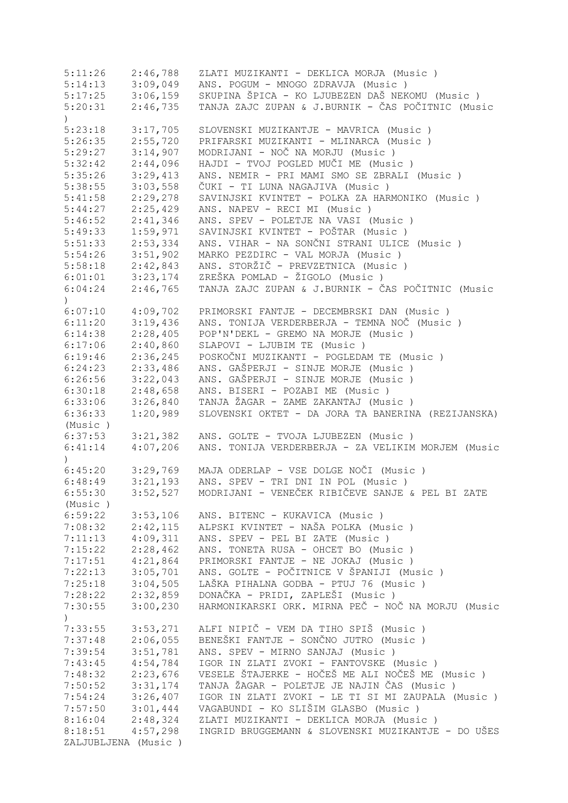| 5:11:26                     | 2:46,788 | ZLATI MUZIKANTI - DEKLICA MORJA (Music)            |
|-----------------------------|----------|----------------------------------------------------|
| 5:14:13                     | 3:09,049 | ANS. POGUM - MNOGO ZDRAVJA (Music)                 |
| 5:17:25                     | 3:06,159 | SKUPINA ŠPICA - KO LJUBEZEN DAŠ NEKOMU (Music)     |
| 5:20:31<br>$\left( \right)$ | 2:46,735 | TANJA ZAJC ZUPAN & J.BURNIK - ČAS POČITNIC (Music  |
| 5:23:18                     | 3:17,705 | SLOVENSKI MUZIKANTJE - MAVRICA (Music)             |
| 5:26:35                     | 2:55,720 | PRIFARSKI MUZIKANTI - MLINARCA (Music)             |
| 5:29:27                     | 3:14,907 | MODRIJANI - NOČ NA MORJU (Music)                   |
| 5:32:42                     | 2:44,096 | HAJDI - TVOJ POGLED MUČI ME (Music)                |
| 5:35:26                     | 3:29,413 | ANS. NEMIR - PRI MAMI SMO SE ZBRALI (Music)        |
| 5:38:55                     | 3:03,558 | ČUKI - TI LUNA NAGAJIVA (Music )                   |
|                             |          | SAVINJSKI KVINTET - POLKA ZA HARMONIKO (Music)     |
| 5:41:58                     | 2:29,278 |                                                    |
| 5:44:27                     | 2:25,429 | ANS. NAPEV - RECI MI (Music)                       |
| 5:46:52                     | 2:41,346 | ANS. SPEV - POLETJE NA VASI (Music)                |
| 5:49:33                     | 1:59,971 | SAVINJSKI KVINTET - POŠTAR (Music )                |
| 5:51:33                     | 2:53,334 | ANS. VIHAR - NA SONČNI STRANI ULICE (Music )       |
| 5:54:26                     | 3:51,902 | MARKO PEZDIRC - VAL MORJA (Music)                  |
| 5:58:18                     | 2:42,843 | ANS. STORŽIČ - PREVZETNICA (Music)                 |
| 6:01:01                     | 3:23,174 | ZREŠKA POMLAD - ŽIGOLO (Music)                     |
| 6:04:24<br>$\left( \right)$ | 2:46,765 | TANJA ZAJC ZUPAN & J.BURNIK - ČAS POČITNIC (Music  |
| 6:07:10                     | 4:09,702 | PRIMORSKI FANTJE - DECEMBRSKI DAN (Music)          |
| 6:11:20                     | 3:19,436 | ANS. TONIJA VERDERBERJA - TEMNA NOČ (Music)        |
| 6:14:38                     | 2:28,405 | POP'N'DEKL - GREMO NA MORJE (Music)                |
| 6:17:06                     | 2:40,860 | SLAPOVI - LJUBIM TE (Music)                        |
| 6:19:46                     | 2:36,245 | POSKOČNI MUZIKANTI - POGLEDAM TE (Music)           |
| 6:24:23                     | 2:33,486 | ANS. GAŠPERJI - SINJE MORJE (Music)                |
|                             |          | ANS. GAŠPERJI - SINJE MORJE (Music)                |
| 6:26:56                     | 3:22,043 |                                                    |
| 6:30:18                     | 2:48,658 | ANS. BISERI - POZABI ME (Music)                    |
| 6:33:06                     | 3:26,840 | TANJA ŽAGAR - ZAME ZAKANTAJ (Music )               |
| 6:36:33                     | 1:20,989 | SLOVENSKI OKTET - DA JORA TA BANERINA (REZIJANSKA) |
| (Music)                     |          |                                                    |
| 6:37:53                     | 3:21,382 | ANS. GOLTE - TVOJA LJUBEZEN (Music)                |
| 6:41:14<br>$\mathcal{L}$    | 4:07,206 | ANS. TONIJA VERDERBERJA - ZA VELIKIM MORJEM (Music |
| 6:45:20                     | 3:29,769 | MAJA ODERLAP - VSE DOLGE NOČI (Music)              |
| 6:48:49                     | 3:21,193 | ANS. SPEV - TRI DNI IN POL (Music)                 |
| 6:55:30                     | 3:52,527 | MODRIJANI - VENEČEK RIBIČEVE SANJE & PEL BI ZATE   |
| (Music)                     |          |                                                    |
| 6:59:22                     | 3:53,106 | ANS. BITENC - KUKAVICA (Music)                     |
| 7:08:32                     | 2:42,115 | ALPSKI KVINTET - NAŠA POLKA (Music )               |
| 7:11:13                     | 4:09,311 | ANS. SPEV - PEL BI ZATE (Music)                    |
| 7:15:22                     | 2:28,462 | ANS. TONETA RUSA - OHCET BO (Music )               |
|                             | 4:21,864 |                                                    |
| 7:17:51                     |          | PRIMORSKI FANTJE - NE JOKAJ (Music)                |
| 7:22:13                     | 3:05,701 | ANS. GOLTE - POČITNICE V ŠPANIJI (Music )          |
| 7:25:18                     | 3:04,505 | LAŠKA PIHALNA GODBA - PTUJ 76 (Music)              |
| 7:28:22                     | 2:32,859 | DONAČKA - PRIDI, ZAPLEŠI (Music )                  |
| 7:30:55<br>$\mathcal{L}$    | 3:00,230 | HARMONIKARSKI ORK. MIRNA PEČ - NOČ NA MORJU (Music |
| 7:33:55                     | 3:53,271 | ALFI NIPIČ - VEM DA TIHO SPIŠ (Music)              |
| 7:37:48                     | 2:06,055 | BENEŠKI FANTJE - SONČNO JUTRO (Music )             |
| 7:39:54                     | 3:51,781 | ANS. SPEV - MIRNO SANJAJ (Music)                   |
| 7:43:45                     | 4:54,784 | IGOR IN ZLATI ZVOKI - FANTOVSKE (Music)            |
| 7:48:32                     | 2:23,676 | VESELE ŠTAJERKE - HOČEŠ ME ALI NOČEŠ ME (Music )   |
|                             | 3:31,174 | TANJA ŽAGAR - POLETJE JE NAJIN ČAS (Music)         |
| 7:50:52                     |          |                                                    |
| 7:54:24                     | 3:26,407 | IGOR IN ZLATI ZVOKI - LE TI SI MI ZAUPALA (Music)  |
| 7:57:50                     | 3:01,444 | VAGABUNDI - KO SLIŠIM GLASBO (Music )              |
| 8:16:04                     | 2:48,324 | ZLATI MUZIKANTI - DEKLICA MORJA (Music)            |
| 8:18:51                     | 4:57,298 | INGRID BRUGGEMANN & SLOVENSKI MUZIKANTJE - DO UŠES |
| ZALJUBLJENA (Music)         |          |                                                    |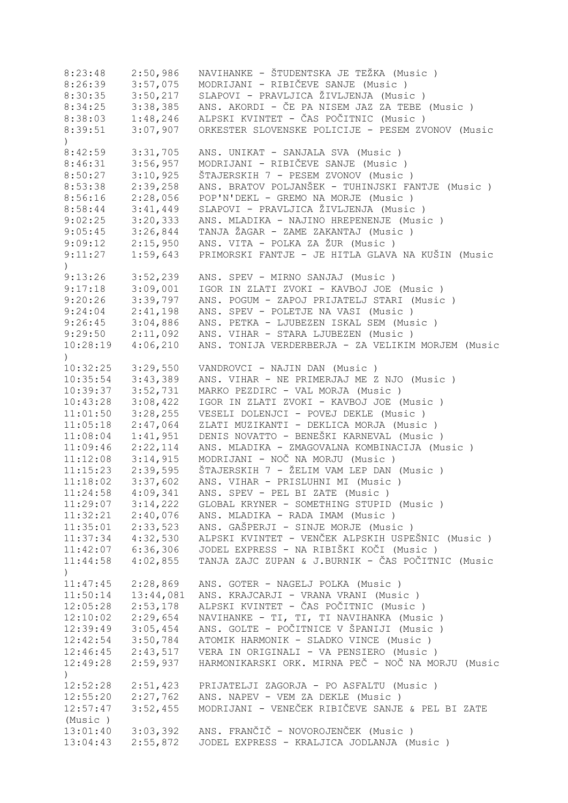| 8:23:48                      | 2:50,986  | NAVIHANKE - ŠTUDENTSKA JE TEŽKA (Music)            |
|------------------------------|-----------|----------------------------------------------------|
| 8:26:39                      | 3:57,075  | MODRIJANI - RIBIČEVE SANJE (Music)                 |
| 8:30:35                      | 3:50,217  | SLAPOVI - PRAVLJICA ŽIVLJENJA (Music)              |
| 8:34:25                      | 3:38,385  | ANS. AKORDI - ČE PA NISEM JAZ ZA TEBE (Music )     |
| 8:38:03                      | 1:48,246  | ALPSKI KVINTET - ČAS POČITNIC (Music )             |
| 8:39:51                      | 3:07,907  | ORKESTER SLOVENSKE POLICIJE - PESEM ZVONOV (Music  |
| $\left( \right)$             |           |                                                    |
| 8:42:59                      | 3:31,705  | ANS. UNIKAT - SANJALA SVA (Music )                 |
| 8:46:31                      | 3:56,957  | MODRIJANI - RIBIČEVE SANJE (Music )                |
| 8:50:27                      | 3:10,925  | ŠTAJERSKIH 7 - PESEM ZVONOV (Music )               |
| 8:53:38                      | 2:39,258  | ANS. BRATOV POLJANŠEK - TUHINJSKI FANTJE (Music)   |
| 8:56:16                      | 2:28,056  | POP'N'DEKL - GREMO NA MORJE (Music)                |
| 8:58:44                      | 3:41,449  | SLAPOVI - PRAVLJICA ŽIVLJENJA (Music )             |
| 9:02:25                      | 3:20,333  | ANS. MLADIKA - NAJINO HREPENENJE (Music)           |
|                              |           |                                                    |
| 9:05:45                      | 3:26,844  | TANJA ŽAGAR - ZAME ZAKANTAJ (Music )               |
| 9:09:12                      | 2:15,950  | ANS. VITA - POLKA ZA ŽUR (Music )                  |
| 9:11:27                      | 1:59,643  | PRIMORSKI FANTJE - JE HITLA GLAVA NA KUŠIN (Music  |
| $\mathcal{L}$                |           |                                                    |
| 9:13:26                      | 3:52,239  | ANS. SPEV - MIRNO SANJAJ (Music)                   |
| 9:17:18                      | 3:09,001  | IGOR IN ZLATI ZVOKI - KAVBOJ JOE (Music)           |
| 9:20:26                      | 3:39,797  | ANS. POGUM - ZAPOJ PRIJATELJ STARI (Music)         |
| 9:24:04                      | 2:41,198  | ANS. SPEV - POLETJE NA VASI (Music)                |
| 9:26:45                      | 3:04,886  | ANS. PETKA - LJUBEZEN ISKAL SEM (Music)            |
| 9:29:50                      | 2:11,092  | ANS. VIHAR - STARA LJUBEZEN (Music)                |
| 10:28:19<br>$\mathcal{L}$    | 4:06,210  | ANS. TONIJA VERDERBERJA - ZA VELIKIM MORJEM (Music |
| 10:32:25                     | 3:29,550  | VANDROVCI - NAJIN DAN (Music)                      |
| 10:35:54                     | 3:43,389  | ANS. VIHAR - NE PRIMERJAJ ME Z NJO (Music)         |
| 10:39:37                     | 3:52,731  | MARKO PEZDIRC - VAL MORJA (Music)                  |
| 10:43:28                     | 3:08,422  | IGOR IN ZLATI ZVOKI - KAVBOJ JOE (Music)           |
| 11:01:50                     | 3:28,255  | VESELI DOLENJCI - POVEJ DEKLE (Music)              |
| 11:05:18                     | 2:47,064  | ZLATI MUZIKANTI - DEKLICA MORJA (Music)            |
| 11:08:04                     | 1:41,951  | DENIS NOVATTO - BENEŠKI KARNEVAL (Music )          |
| 11:09:46                     | 2:22,114  | ANS. MLADIKA - ZMAGOVALNA KOMBINACIJA (Music)      |
|                              |           | MODRIJANI - NOČ NA MORJU (Music)                   |
| 11:12:08                     | 3:14,915  |                                                    |
| 11:15:23                     | 2:39,595  | ŠTAJERSKIH 7 - ŽELIM VAM LEP DAN (Music)           |
| 11:18:02                     | 3:37,602  | ANS. VIHAR - PRISLUHNI MI (Music)                  |
| 11:24:58                     | 4:09,341  | ANS. SPEV - PEL BI ZATE (Music)                    |
| 11:29:07                     | 3:14,222  | GLOBAL KRYNER - SOMETHING STUPID (Music)           |
| 11:32:21                     | 2:40,076  | ANS. MLADIKA - RADA IMAM (Music)                   |
| 11:35:01                     | 2:33,523  | ANS. GAŠPERJI - SINJE MORJE (Music)                |
| 11:37:34                     | 4:32,530  | ALPSKI KVINTET - VENČEK ALPSKIH USPEŠNIC (Music)   |
| 11:42:07                     | 6:36,306  | JODEL EXPRESS - NA RIBIŠKI KOČI (Music )           |
| 11:44:58<br>$\left( \right)$ | 4:02,855  | TANJA ZAJC ZUPAN & J.BURNIK - ČAS POČITNIC (Music  |
| 11:47:45                     | 2:28,869  | ANS. GOTER - NAGELJ POLKA (Music)                  |
| 11:50:14                     | 13:44,081 | ANS. KRAJCARJI - VRANA VRANI (Music )              |
| 12:05:28                     | 2:53,178  | ALPSKI KVINTET - ČAS POČITNIC (Music )             |
| 12:10:02                     | 2:29,654  | NAVIHANKE - TI, TI, TI NAVIHANKA (Music)           |
| 12:39:49                     | 3:05,454  | ANS. GOLTE - POČITNICE V ŠPANIJI (Music )          |
|                              |           |                                                    |
| 12:42:54                     | 3:50,784  | ATOMIK HARMONIK - SLADKO VINCE (Music)             |
| 12:46:45                     | 2:43,517  | VERA IN ORIGINALI - VA PENSIERO (Music)            |
| 12:49:28<br>)                | 2:59,937  | HARMONIKARSKI ORK. MIRNA PEČ - NOČ NA MORJU (Music |
| 12:52:28                     | 2:51,423  | PRIJATELJI ZAGORJA - PO ASFALTU (Music)            |
| 12:55:20                     | 2:27,762  | ANS. NAPEV - VEM ZA DEKLE (Music)                  |
| 12:57:47                     | 3:52,455  | MODRIJANI - VENEČEK RIBIČEVE SANJE & PEL BI ZATE   |
| (Music)                      |           |                                                    |
| 13:01:40                     | 3:03,392  | ANS. FRANČIČ - NOVOROJENČEK (Music)                |
| 13:04:43                     | 2:55,872  | JODEL EXPRESS - KRALJICA JODLANJA (Music)          |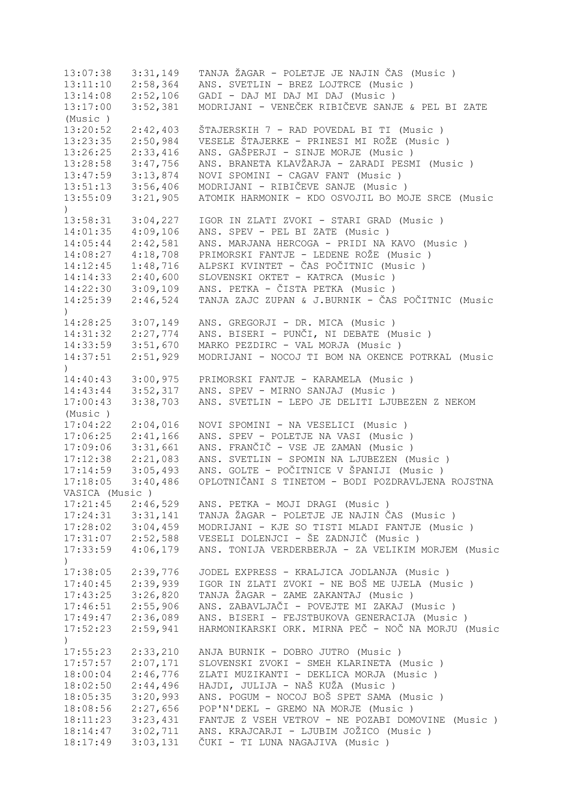13:07:38 3:31,149 TANJA ŽAGAR - POLETJE JE NAJIN ČAS (Music ) 13:11:10 2:58,364 ANS. SVETLIN - BREZ LOJTRCE (Music ) 13:14:08 2:52,106 GADI - DAJ MI DAJ MI DAJ (Music ) 13:17:00 3:52,381 MODRIJANI - VENEČEK RIBIČEVE SANJE & PEL BI ZATE (Music ) 13:20:52 2:42,403 ŠTAJERSKIH 7 - RAD POVEDAL BI TI (Music ) 13:23:35 2:50,984 VESELE ŠTAJERKE - PRINESI MI ROŽE (Music ) 13:26:25 2:33,416 ANS. GAŠPERJI - SINJE MORJE (Music ) 13:28:58 3:47,756 ANS. BRANETA KLAVŽARJA - ZARADI PESMI (Music ) 13:47:59 3:13,874 NOVI SPOMINI - CAGAV FANT (Music ) 13:51:13 3:56,406 MODRIJANI - RIBIČEVE SANJE (Music ) 13:55:09 3:21,905 ATOMIK HARMONIK - KDO OSVOJIL BO MOJE SRCE (Music  $\lambda$ 13:58:31 3:04,227 IGOR IN ZLATI ZVOKI - STARI GRAD (Music ) 14:01:35 4:09,106 ANS. SPEV - PEL BI ZATE (Music ) 14:05:44 2:42,581 ANS. MARJANA HERCOGA - PRIDI NA KAVO (Music ) 14:08:27 4:18,708 PRIMORSKI FANTJE - LEDENE ROŽE (Music ) 14:12:45 1:48,716 ALPSKI KVINTET - ČAS POČITNIC (Music ) 14:14:33 2:40,600 SLOVENSKI OKTET - KATRCA (Music ) 14:22:30 3:09,109 ANS. PETKA - ČISTA PETKA (Music ) 14:25:39 2:46,524 TANJA ZAJC ZUPAN & J.BURNIK - ČAS POČITNIC (Music ) 14:28:25 3:07,149 ANS. GREGORJI - DR. MICA (Music ) 14:31:32 2:27,774 ANS. BISERI - PUNČI, NI DEBATE (Music ) 14:33:59 3:51,670 MARKO PEZDIRC - VAL MORJA (Music ) 14:37:51 2:51,929 MODRIJANI - NOCOJ TI BOM NA OKENCE POTRKAL (Music  $\lambda$ 14:40:43 3:00,975 PRIMORSKI FANTJE - KARAMELA (Music ) 14:43:44 3:52,317 ANS. SPEV - MIRNO SANJAJ (Music ) 17:00:43 3:38,703 ANS. SVETLIN - LEPO JE DELITI LJUBEZEN Z NEKOM (Music ) 17:04:22 2:04,016 NOVI SPOMINI - NA VESELICI (Music ) 17:06:25 2:41,166 ANS. SPEV - POLETJE NA VASI (Music ) 17:09:06 3:31,661 ANS. FRANČIČ - VSE JE ZAMAN (Music ) 17:12:38 2:21,083 ANS. SVETLIN - SPOMIN NA LJUBEZEN (Music ) 17:14:59 3:05,493 ANS. GOLTE - POČITNICE V ŠPANIJI (Music ) 17:18:05 3:40,486 OPLOTNIČANI S TINETOM - BODI POZDRAVLJENA ROJSTNA VASICA (Music ) 17:21:45 2:46,529 ANS. PETKA - MOJI DRAGI (Music ) 17:24:31 3:31,141 TANJA ŽAGAR - POLETJE JE NAJIN ČAS (Music ) 17:28:02 3:04,459 MODRIJANI - KJE SO TISTI MLADI FANTJE (Music ) 17:31:07 2:52,588 VESELI DOLENJCI - ŠE ZADNJIČ (Music ) 17:33:59 4:06,179 ANS. TONIJA VERDERBERJA - ZA VELIKIM MORJEM (Music  $\lambda$ 17:38:05 2:39,776 JODEL EXPRESS - KRALJICA JODLANJA (Music ) 17:40:45 2:39,939 IGOR IN ZLATI ZVOKI - NE BOŠ ME UJELA (Music ) 17:43:25 3:26,820 TANJA ŽAGAR - ZAME ZAKANTAJ (Music ) 17:46:51 2:55,906 ANS. ZABAVLJAČI - POVEJTE MI ZAKAJ (Music ) 17:49:47 2:36,089 ANS. BISERI - FEJSTBUKOVA GENERACIJA (Music ) 17:52:23 2:59,941 HARMONIKARSKI ORK. MIRNA PEČ - NOČ NA MORJU (Music  $\lambda$ 17:55:23 2:33,210 ANJA BURNIK - DOBRO JUTRO (Music ) 17:57:57 2:07,171 SLOVENSKI ZVOKI - SMEH KLARINETA (Music ) 18:00:04 2:46,776 ZLATI MUZIKANTI - DEKLICA MORJA (Music ) 18:02:50 2:44,496 HAJDI, JULIJA - NAŠ KUŽA (Music ) 18:05:35 3:20,993 ANS. POGUM - NOCOJ BOŠ SPET SAMA (Music ) 18:08:56 2:27,656 POP'N'DEKL - GREMO NA MORJE (Music ) 18:11:23 3:23,431 FANTJE Z VSEH VETROV - NE POZABI DOMOVINE (Music ) 18:14:47 3:02,711 ANS. KRAJCARJI - LJUBIM JOŽICO (Music ) 18:17:49 3:03,131 ČUKI - TI LUNA NAGAJIVA (Music )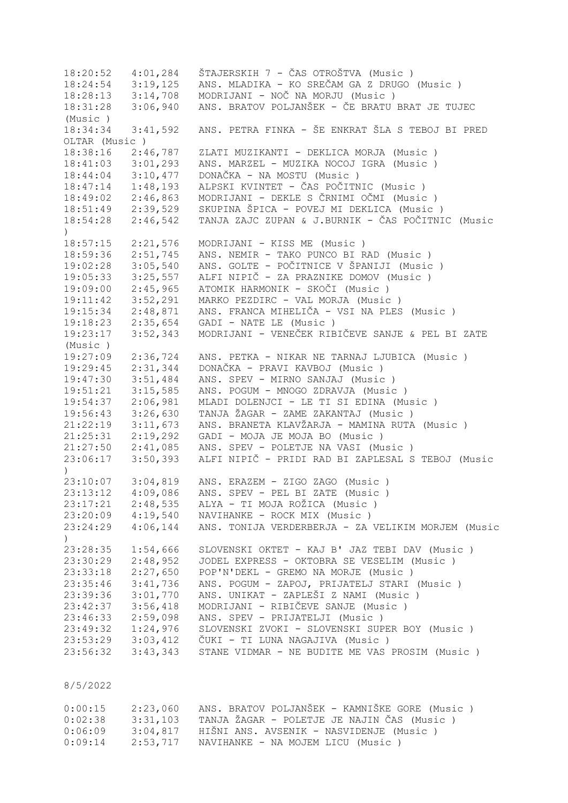18:20:52 4:01,284 ŠTAJERSKIH 7 - ČAS OTROŠTVA (Music ) 18:24:54 3:19,125 ANS. MLADIKA - KO SREČAM GA Z DRUGO (Music)<br>18:28:13 3:14,708 MODRIJANI - NOČ NA MORJU (Music) 18:28:13 3:14,708 MODRIJANI - NOČ NA MORJU (Music ) 18:31:28 3:06,940 ANS. BRATOV POLJANŠEK - ČE BRATU BRAT JE TUJEC (Music ) 18:34:34 3:41,592 ANS. PETRA FINKA - ŠE ENKRAT ŠLA S TEBOJ BI PRED OLTAR (Music ) 18:38:16 2:46,787 ZLATI MUZIKANTI - DEKLICA MORJA (Music ) 18:41:03 3:01,293 ANS. MARZEL - MUZIKA NOCOJ IGRA (Music ) 18:44:04 3:10,477 DONAČKA - NA MOSTU (Music ) 18:47:14 1:48,193 ALPSKI KVINTET - ČAS POČITNIC (Music ) 18:49:02 2:46,863 MODRIJANI - DEKLE S ČRNIMI OČMI (Music ) 18:51:49 2:39,529 SKUPINA ŠPICA - POVEJ MI DEKLICA (Music ) 18:54:28 2:46,542 TANJA ZAJC ZUPAN & J.BURNIK - ČAS POČITNIC (Music ) 18:57:15 2:21,576 MODRIJANI - KISS ME (Music ) 18:59:36 2:51,745 ANS. NEMIR - TAKO PUNCO BI RAD (Music ) 19:02:28 3:05,540 ANS. GOLTE - POČITNICE V ŠPANIJI (Music ) 19:05:33 3:25,557 ALFI NIPIČ - ZA PRAZNIKE DOMOV (Music ) 19:09:00 2:45,965 ATOMIK HARMONIK - SKOČI (Music ) 19:11:42 3:52,291 MARKO PEZDIRC - VAL MORJA (Music ) 19:15:34 2:48,871 ANS. FRANCA MIHELIČA - VSI NA PLES (Music ) 19:18:23 2:35,654 GADI - NATE LE (Music ) 19:23:17 3:52,343 MODRIJANI - VENEČEK RIBIČEVE SANJE & PEL BI ZATE (Music ) 19:27:09 2:36,724 ANS. PETKA - NIKAR NE TARNAJ LJUBICA (Music ) 19:29:45 2:31,344 DONAČKA - PRAVI KAVBOJ (Music ) 19:47:30 3:51,484 ANS. SPEV - MIRNO SANJAJ (Music ) 19:51:21 3:15,585 ANS. POGUM - MNOGO ZDRAVJA (Music ) 19:54:37 2:06,981 MLADI DOLENJCI - LE TI SI EDINA (Music ) 19:56:43 3:26,630 TANJA ŽAGAR - ZAME ZAKANTAJ (Music ) 21:22:19 3:11,673 ANS. BRANETA KLAVŽARJA - MAMINA RUTA (Music ) 21:25:31 2:19,292 GADI - MOJA JE MOJA BO (Music ) 21:27:50 2:41,085 ANS. SPEV - POLETJE NA VASI (Music ) 23:06:17 3:50,393 ALFI NIPIČ - PRIDI RAD BI ZAPLESAL S TEBOJ (Music ) 23:10:07 3:04,819 ANS. ERAZEM - ZIGO ZAGO (Music ) 23:13:12 4:09,086 ANS. SPEV - PEL BI ZATE (Music ) 23:17:21 2:48,535 ALYA - TI MOJA ROŽICA (Music ) 23:20:09 4:19,540 NAVIHANKE - ROCK MIX (Music ) 23:24:29 4:06,144 ANS. TONIJA VERDERBERJA - ZA VELIKIM MORJEM (Music  $\rightarrow$ 23:28:35 1:54,666 SLOVENSKI OKTET - KAJ B' JAZ TEBI DAV (Music)<br>23:30:29 2:48,952 JODEL EXPRESS - OKTOBRA SE VESELIM (Music) 23:30:29 2:48,952 JODEL EXPRESS - OKTOBRA SE VESELIM (Music ) 23:33:18 2:27,650 POP'N'DEKL - GREMO NA MORJE (Music ) 23:35:46 3:41,736 ANS. POGUM - ZAPOJ, PRIJATELJ STARI (Music ) 23:39:36 3:01,770 ANS. UNIKAT - ZAPLEŠI Z NAMI (Music)<br>23:42:37 3:56,418 MODRIJANI - RIBIČEVE SANJE (Music) 23:42:37 3:56,418 MODRIJANI - RIBIČEVE SANJE (Music ) 23:46:33 2:59,098 ANS. SPEV - PRIJATELJI (Music ) 23:49:32 1:24,976 SLOVENSKI ZVOKI - SLOVENSKI SUPER BOY (Music ) 23:53:29 3:03,412 ČUKI - TI LUNA NAGAJIVA (Music ) 23:56:32 3:43,343 STANE VIDMAR - NE BUDITE ME VAS PROSIM (Music )

## 8/5/2022

| 0:00:15 | 2:23,060 | ANS. BRATOV POLJANŠEK - KAMNIŠKE GORE (Music) |
|---------|----------|-----------------------------------------------|
| 0:02:38 | 3:31,103 | TANJA ŽAGAR - POLETJE JE NAJIN ČAS (Music)    |
| 0:06:09 | 3:04.817 | HIŠNI ANS. AVSENIK - NASVIDENJE (Music )      |
| 0:09:14 | 2:53,717 | NAVIHANKE - NA MOJEM LICU (Music )            |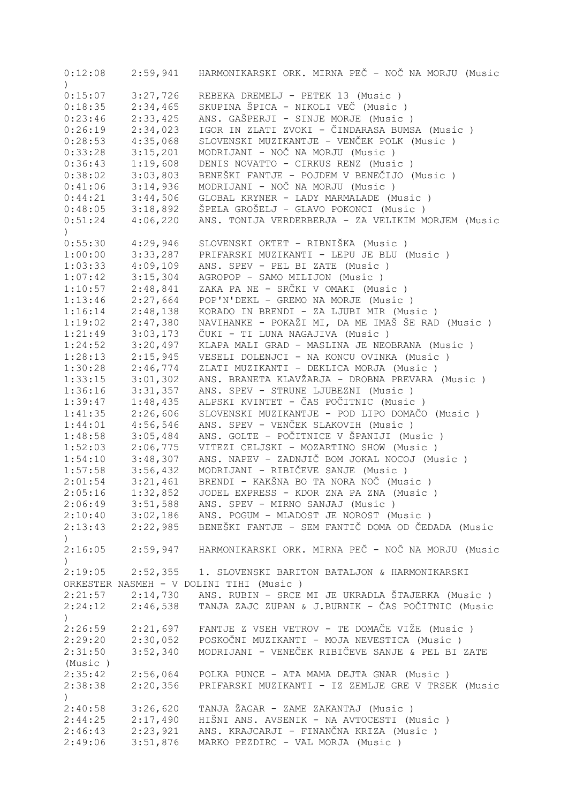| 0:12:08          |                      | 2:59,941 HARMONIKARSKI ORK. MIRNA PEČ - NOČ NA MORJU (Music  |
|------------------|----------------------|--------------------------------------------------------------|
| $\left( \right)$ |                      |                                                              |
| 0:15:07          | 3:27,726             | REBEKA DREMELJ - PETEK 13 (Music)                            |
| 0:18:35          | 2:34,465             | SKUPINA ŠPICA - NIKOLI VEČ (Music )                          |
| 0:23:46          | 2:33,425             | ANS. GAŠPERJI - SINJE MORJE (Music)                          |
| 0:26:19          | 2:34,023             | IGOR IN ZLATI ZVOKI - ČINDARASA BUMSA (Music )               |
| 0:28:53          | 4:35,068             | SLOVENSKI MUZIKANTJE - VENČEK POLK (Music)                   |
| 0:33:28          | 3:15,201             | MODRIJANI - NOČ NA MORJU (Music)                             |
| 0:36:43          | 1:19,608             | DENIS NOVATTO - CIRKUS RENZ (Music )                         |
| 0:38:02          | 3:03,803             | BENEŠKI FANTJE - POJDEM V BENEČIJO (Music)                   |
| 0:41:06          | 3:14,936             | MODRIJANI - NOČ NA MORJU (Music)                             |
| 0:44:21          | 3:44,506             | GLOBAL KRYNER - LADY MARMALADE (Music)                       |
| 0:48:05          | 3:18,892             | ŠPELA GROŠELJ - GLAVO POKONCI (Music )                       |
| 0:51:24          | 4:06,220             | ANS. TONIJA VERDERBERJA - ZA VELIKIM MORJEM (Music           |
| $\left( \right)$ |                      |                                                              |
| 0:55:30          | 4:29,946             | SLOVENSKI OKTET - RIBNIŠKA (Music )                          |
| 1:00:00          | 3:33,287             | PRIFARSKI MUZIKANTI - LEPU JE BLU (Music)                    |
| 1:03:33          | 4:09,109             | ANS. SPEV - PEL BI ZATE (Music)                              |
| 1:07:42          | 3:15,304             | AGROPOP - SAMO MILIJON (Music)                               |
| 1:10:57          | 2:48,841             | ZAKA PA NE - SRČKI V OMAKI (Music )                          |
| 1:13:46          | 2:27,664             | POP'N'DEKL - GREMO NA MORJE (Music)                          |
| 1:16:14          | 2:48,138             | KORADO IN BRENDI - ZA LJUBI MIR (Music)                      |
| 1:19:02          | 2:47,380             | NAVIHANKE - POKAŽI MI, DA ME IMAŠ ŠE RAD (Music)             |
| 1:21:49          | 3:03,173             | ČUKI - TI LUNA NAGAJIVA (Music )                             |
| 1:24:52          | 3:20,497             | KLAPA MALI GRAD - MASLINA JE NEOBRANA (Music)                |
| 1:28:13          | 2:15,945             | VESELI DOLENJCI - NA KONCU OVINKA (Music)                    |
| 1:30:28          | 2:46,774             | ZLATI MUZIKANTI - DEKLICA MORJA (Music)                      |
| 1:33:15          | 3:01,302             | ANS. BRANETA KLAVŽARJA - DROBNA PREVARA (Music)              |
|                  |                      |                                                              |
| 1:36:16          | 3:31,357             | ANS. SPEV - STRUNE LJUBEZNI (Music)                          |
| 1:39:47          | 1:48,435             | ALPSKI KVINTET - ČAS POČITNIC (Music )                       |
| 1:41:35          | 2:26,606             | SLOVENSKI MUZIKANTJE - POD LIPO DOMAČO (Music )              |
| 1:44:01          | 4:56,546             | ANS. SPEV - VENČEK SLAKOVIH (Music)                          |
| 1:48:58          | 3:05,484             | ANS. GOLTE - POČITNICE V ŠPANIJI (Music )                    |
| 1:52:03          | 2:06,775             | VITEZI CELJSKI - MOZARTINO SHOW (Music )                     |
| 1:54:10          | 3:48,307             | ANS. NAPEV - ZADNJIČ BOM JOKAL NOCOJ (Music)                 |
| 1:57:58          | 3:56,432             | MODRIJANI - RIBIČEVE SANJE (Music)                           |
| 2:01:54          | 3:21,461             | BRENDI - KAKŠNA BO TA NORA NOČ (Music)                       |
| 2:05:16          | 1:32,852             | JODEL EXPRESS - KDOR ZNA PA ZNA (Music)                      |
| 2:06:49          | 3:51,588             | ANS. SPEV - MIRNO SANJAJ (Music)                             |
|                  | $2:10:40$ $3:02,186$ | ANS. POGUM - MLADOST JE NOROST (Music)                       |
| 2:13:43          |                      | 2:22,985 BENEŠKI FANTJE - SEM FANTIČ DOMA OD ČEDADA (Music   |
| $\lambda$        |                      |                                                              |
| 2:16:05          |                      | 2:59,947 HARMONIKARSKI ORK. MIRNA PEČ - NOČ NA MORJU (Music  |
|                  |                      |                                                              |
| 2:19:05          |                      | 2:52,355 1. SLOVENSKI BARITON BATALJON & HARMONIKARSKI       |
|                  |                      | ORKESTER NASMEH - V DOLINI TIHI (Music)                      |
| 2:21:57          | 2:14,730             | ANS. RUBIN - SRCE MI JE UKRADLA ŠTAJERKA (Music)             |
| 2:24:12          |                      | 2:46,538   TANJA ZAJC ZUPAN & J.BURNIK - ČAS POČITNIC (Music |
|                  |                      |                                                              |
|                  |                      | FANTJE Z VSEH VETROV - TE DOMAČE VIŽE (Music)                |
| 2:26:59          | 2:21,697             |                                                              |
| 2:29:20          | 2:30,052             | POSKOČNI MUZIKANTI - MOJA NEVESTICA (Music )                 |
| 2:31:50          | 3:52,340             | MODRIJANI - VENEČEK RIBIČEVE SANJE & PEL BI ZATE             |
| (Music )         |                      |                                                              |
| 2:35:42          | 2:56,064             | POLKA PUNCE - ATA MAMA DEJTA GNAR (Music )                   |
| 2:38:38          | 2:20,356             | PRIFARSKI MUZIKANTI - IZ ZEMLJE GRE V TRSEK (Music           |
| $\lambda$        |                      |                                                              |
| 2:40:58          | 3:26,620             | TANJA ŽAGAR - ZAME ZAKANTAJ (Music)                          |
| 2:44:25          | 2:17,490             | HIŠNI ANS. AVSENIK - NA AVTOCESTI (Music)                    |
| 2:46:43          | 2:23,921             | ANS. KRAJCARJI - FINANČNA KRIZA (Music )                     |
| 2:49:06          | 3:51,876             | MARKO PEZDIRC - VAL MORJA (Music)                            |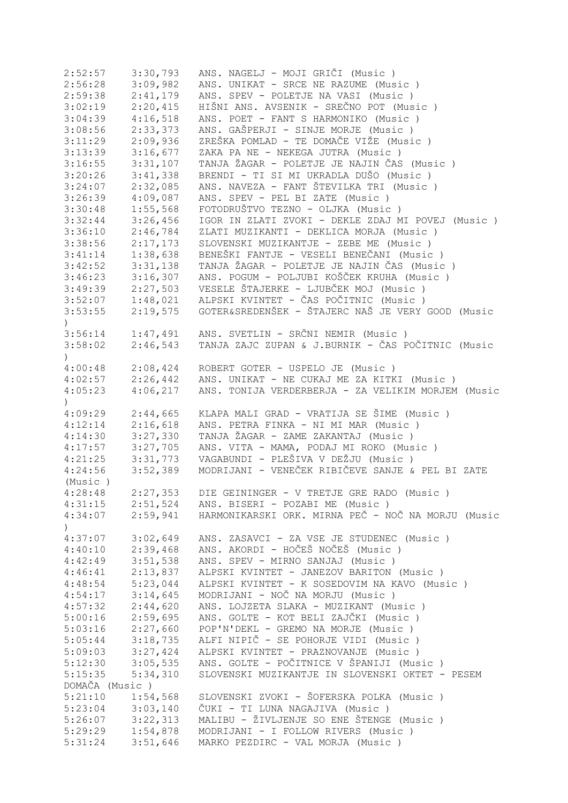| 2:52:57                     | 3:30,793 | ANS. NAGELJ - MOJI GRIČI (Music )                                   |
|-----------------------------|----------|---------------------------------------------------------------------|
| 2:56:28                     | 3:09,982 | ANS. UNIKAT - SRCE NE RAZUME (Music)                                |
| 2:59:38                     | 2:41,179 | ANS. SPEV - POLETJE NA VASI (Music )                                |
| 3:02:19                     | 2:20,415 | HIŠNI ANS. AVSENIK - SREČNO POT (Music )                            |
| 3:04:39                     | 4:16,518 | ANS. POET - FANT S HARMONIKO (Music)                                |
| 3:08:56                     | 2:33,373 | ANS. GAŠPERJI - SINJE MORJE (Music )                                |
| 3:11:29                     | 2:09,936 | ZREŠKA POMLAD - TE DOMAČE VIŽE (Music)                              |
| 3:13:39                     | 3:16,677 | ZAKA PA NE - NEKEGA JUTRA (Music)                                   |
| 3:16:55                     | 3:31,107 | TANJA ŽAGAR - POLETJE JE NAJIN ČAS (Music)                          |
| 3:20:26                     | 3:41,338 | BRENDI - TI SI MI UKRADLA DUŠO (Music)                              |
| 3:24:07                     | 2:32,085 | ANS. NAVEZA - FANT ŠTEVILKA TRI (Music)                             |
| 3:26:39                     | 4:09,087 | ANS. SPEV - PEL BI ZATE (Music)                                     |
| 3:30:48                     | 1:55,568 | FOTODRUŠTVO TEZNO - OLJKA (Music)                                   |
| 3:32:44                     | 3:26,456 | IGOR IN ZLATI ZVOKI - DEKLE ZDAJ MI POVEJ (Music)                   |
| 3:36:10                     | 2:46,784 | ZLATI MUZIKANTI - DEKLICA MORJA (Music)                             |
|                             |          |                                                                     |
| 3:38:56                     | 2:17,173 | SLOVENSKI MUZIKANTJE - ZEBE ME (Music)                              |
| 3:41:14                     | 1:38,638 | BENEŠKI FANTJE - VESELI BENEČANI (Music )                           |
| 3:42:52                     | 3:31,138 | TANJA ŽAGAR - POLETJE JE NAJIN ČAS (Music)                          |
| 3:46:23                     | 3:16,307 | ANS. POGUM - POLJUBI KOŠČEK KRUHA (Music )                          |
| 3:49:39                     | 2:27,503 | VESELE ŠTAJERKE - LJUBČEK MOJ (Music)                               |
| 3:52:07                     | 1:48,021 | ALPSKI KVINTET - ČAS POČITNIC (Music )                              |
| 3:53:55                     | 2:19,575 | GOTER&SREDENŠEK - ŠTAJERC NAŠ JE VERY GOOD (Music                   |
| $\left( \right)$            |          |                                                                     |
| 3:56:14                     | 1:47,491 | ANS. SVETLIN - SRČNI NEMIR (Music)                                  |
| 3:58:02                     | 2:46,543 | TANJA ZAJC ZUPAN & J.BURNIK - ČAS POČITNIC (Music                   |
| $\mathcal{L}$               |          |                                                                     |
| 4:00:48                     | 2:08,424 | ROBERT GOTER - USPELO JE (Music)                                    |
| 4:02:57                     | 2:26,442 | ANS. UNIKAT - NE CUKAJ ME ZA KITKI (Music )                         |
| 4:05:23                     | 4:06,217 | ANS. TONIJA VERDERBERJA - ZA VELIKIM MORJEM (Music                  |
| $\mathcal{L}$               |          |                                                                     |
| 4:09:29                     | 2:44,665 | KLAPA MALI GRAD - VRATIJA SE ŠIME (Music )                          |
| 4:12:14                     | 2:16,618 | ANS. PETRA FINKA - NI MI MAR (Music)                                |
| 4:14:30                     | 3:27,330 | TANJA ŽAGAR - ZAME ZAKANTAJ (Music )                                |
| 4:17:57                     | 3:27,705 | ANS. VITA - MAMA, PODAJ MI ROKO (Music)                             |
| 4:21:25                     | 3:31,773 | VAGABUNDI - PLEŠIVA V DEŽJU (Music)                                 |
| 4:24:56                     | 3:52,389 | MODRIJANI - VENEČEK RIBIČEVE SANJE & PEL BI ZATE                    |
| (Music)                     |          |                                                                     |
| 4:28:48                     | 2:27,353 | DIE GEININGER - V TRETJE GRE RADO (Music)                           |
|                             |          | 4:31:15  2:51,524  ANS. BISERI - POZABI ME (Music)                  |
|                             |          | 4:34:07 2:59,941 HARMONIKARSKI ORK. MIRNA PEČ - NOČ NA MORJU (Music |
|                             |          |                                                                     |
| $\left( \right)$<br>4:37:07 |          | ANS. ZASAVCI - ZA VSE JE STUDENEC (Music)                           |
|                             | 3:02,649 | ANS. AKORDI - HOČEŠ NOČEŠ (Music )                                  |
| 4:40:10                     | 2:39,468 |                                                                     |
| 4:42:49                     | 3:51,538 | ANS. SPEV - MIRNO SANJAJ (Music)                                    |
| 4:46:41                     | 2:13,837 | ALPSKI KVINTET - JANEZOV BARITON (Music)                            |
| 4:48:54                     | 5:23,044 | ALPSKI KVINTET - K SOSEDOVIM NA KAVO (Music)                        |
| 4:54:17                     | 3:14,645 | MODRIJANI - NOČ NA MORJU (Music)                                    |
| 4:57:32                     | 2:44,620 | ANS. LOJZETA SLAKA - MUZIKANT (Music)                               |
| 5:00:16                     | 2:59,695 | ANS. GOLTE - KOT BELI ZAJČKI (Music )                               |
| 5:03:16                     | 2:27,660 | POP'N'DEKL - GREMO NA MORJE (Music)                                 |
| 5:05:44                     | 3:18,735 | ALFI NIPIČ - SE POHORJE VIDI (Music )                               |
| 5:09:03                     | 3:27,424 | ALPSKI KVINTET - PRAZNOVANJE (Music)                                |
| 5:12:30                     | 3:05,535 | ANS. GOLTE - POČITNICE V ŠPANIJI (Music )                           |
| 5:15:35                     | 5:34,310 | SLOVENSKI MUZIKANTJE IN SLOVENSKI OKTET - PESEM                     |
| DOMAČA (Music)              |          |                                                                     |
| 5:21:10                     | 1:54,568 | SLOVENSKI ZVOKI - ŠOFERSKA POLKA (Music)                            |
| 5:23:04                     | 3:03,140 | ČUKI - TI LUNA NAGAJIVA (Music )                                    |
| 5:26:07                     | 3:22,313 | MALIBU - ŽIVLJENJE SO ENE ŠTENGE (Music)                            |
| 5:29:29                     | 1:54,878 | MODRIJANI - I FOLLOW RIVERS (Music )                                |
| 5:31:24                     | 3:51,646 | MARKO PEZDIRC - VAL MORJA (Music)                                   |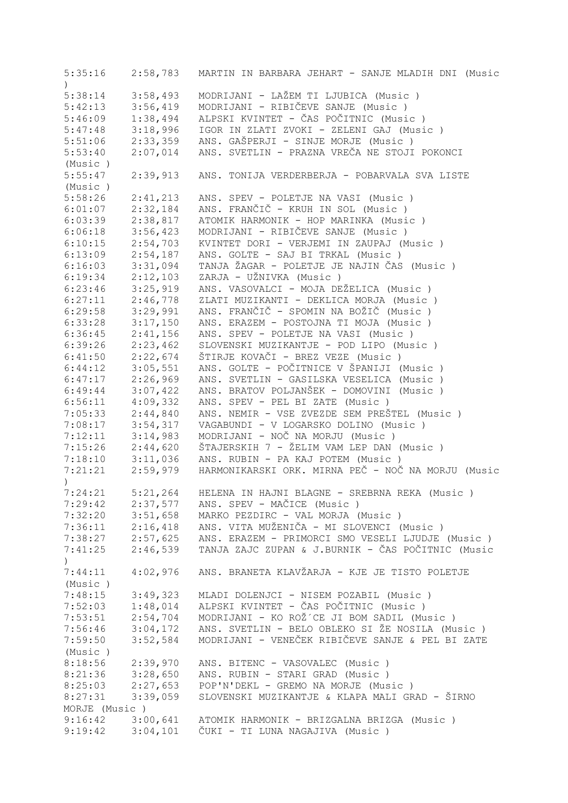5:35:16 2:58,783 MARTIN IN BARBARA JEHART - SANJE MLADIH DNI (Music ) 5:38:14 3:58,493 MODRIJANI - LAŽEM TI LJUBICA (Music ) 5:42:13 3:56,419 MODRIJANI - RIBIČEVE SANJE (Music)<br>5:46:09 1:38,494 ALPSKI KVINTET - ČAS POČITNIC (Musi 5:46:09 1:38,494 ALPSKI KVINTET - ČAS POČITNIC (Music ) 5:47:48 3:18,996 IGOR IN ZLATI ZVOKI - ZELENI GAJ (Music ) 5:51:06 2:33,359 ANS. GAŠPERJI - SINJE MORJE (Music )<br>5:53:40 2:07,014 ANS. SVETLIN - PRAZNA VREČA NE STOJI 5:53:40 2:07,014 ANS. SVETLIN - PRAZNA VREČA NE STOJI POKONCI (Music ) 5:55:47 2:39,913 ANS. TONIJA VERDERBERJA - POBARVALA SVA LISTE (Music ) 5:58:26 2:41,213 ANS. SPEV - POLETJE NA VASI (Music ) 6:01:07 2:32,184 ANS. FRANČIČ - KRUH IN SOL (Music ) 6:03:39 2:38,817 ATOMIK HARMONIK - HOP MARINKA (Music ) 6:06:18 3:56,423 MODRIJANI - RIBIČEVE SANJE (Music ) 6:10:15 2:54,703 KVINTET DORI - VERJEMI IN ZAUPAJ (Music ) 6:13:09 2:54,187 ANS. GOLTE - SAJ BI TRKAL (Music ) 6:16:03 3:31,094 TANJA ŽAGAR - POLETJE JE NAJIN ČAS (Music ) 6:19:34 2:12,103 ZARJA - UŽNIVKA (Music ) 6:23:46 3:25,919 ANS. VASOVALCI - MOJA DEŽELICA (Music)<br>6:27:11 2:46,778 ZLATI MUZIKANTI - DEKLICA MORJA (Music 6:27:11 2:46,778 ZLATI MUZIKANTI - DEKLICA MORJA (Music ) 6:29:58 3:29,991 ANS. FRANČIČ - SPOMIN NA BOŽIČ (Music ) 6:33:28 3:17,150 ANS. ERAZEM - POSTOJNA TI MOJA (Music ) 6:36:45 2:41,156 ANS. SPEV - POLETJE NA VASI (Music ) 6:39:26 2:23,462 SLOVENSKI MUZIKANTJE - POD LIPO (Music ) 6:41:50 2:22,674 ŠTIRJE KOVAČI - BREZ VEZE (Music ) 6:44:12 3:05,551 ANS. GOLTE - POČITNICE V ŠPANIJI (Music ) 6:47:17 2:26,969 ANS. SVETLIN - GASILSKA VESELICA (Music ) 6:49:44 3:07,422 ANS. BRATOV POLJANŠEK - DOMOVINI (Music ) 6:56:11 4:09,332 ANS. SPEV - PEL BI ZATE (Music ) 7:05:33 2:44,840 ANS. NEMIR - VSE ZVEZDE SEM PREŠTEL (Music ) 7:08:17 3:54,317 VAGABUNDI - V LOGARSKO DOLINO (Music ) 7:12:11 3:14,983 MODRIJANI - NOČ NA MORJU (Music)<br>7:15:26 2:44,620 ŠTAJERSKIH 7 - ŽELIM VAM LEP DAN 7:15:26 2:44,620 ŠTAJERSKIH 7 - ŽELIM VAM LEP DAN (Music ) 7:18:10 3:11,036 ANS. RUBIN - PA KAJ POTEM (Music ) 7:21:21 2:59,979 HARMONIKARSKI ORK. MIRNA PEČ - NOČ NA MORJU (Music ) 7:24:21 5:21,264 HELENA IN HAJNI BLAGNE - SREBRNA REKA (Music ) 7:29:42 2:37,577 ANS. SPEV - MAČICE (Music ) 3:51,658 MARKO PEZDIRC - VAL MORJA (Music ) 7:36:11 2:16,418 ANS. VITA MUŽENIČA - MI SLOVENCI (Music ) 7:38:27 2:57,625 ANS. ERAZEM - PRIMORCI SMO VESELI LJUDJE (Music ) 7:41:25 2:46,539 TANJA ZAJC ZUPAN & J.BURNIK - ČAS POČITNIC (Music  $\left( \right)$ 7:44:11 4:02,976 ANS. BRANETA KLAVŽARJA - KJE JE TISTO POLETJE (Music ) 7:48:15 3:49,323 MLADI DOLENJCI - NISEM POZABIL (Music ) 7:52:03 1:48,014 ALPSKI KVINTET - ČAS POČITNIC (Music ) 7:53:51 2:54,704 MODRIJANI - KO ROŽ´CE JI BOM SADIL (Music ) 7:56:46 3:04,172 ANS. SVETLIN - BELO OBLEKO SI ŽE NOSILA (Music ) 7:59:50 3:52,584 MODRIJANI - VENEČEK RIBIČEVE SANJE & PEL BI ZATE (Music ) 8:18:56 2:39,970 ANS. BITENC - VASOVALEC (Music ) 8:21:36 3:28,650 ANS. RUBIN - STARI GRAD (Music)<br>8:25:03 2:27,653 POP'N'DEKL - GREMO NA MORJE (Mus<br>8:27:31 3:39,059 SLOVENSKI MUZIKANTJE & KLAPA MAL 8:25:03 2:27,653 POP'N'DEKL - GREMO NA MORJE (Music ) 8:27:31 3:39,059 SLOVENSKI MUZIKANTJE & KLAPA MALI GRAD - ŠIRNO MORJE (Music ) 9:16:42 3:00,641 ATOMIK HARMONIK - BRIZGALNA BRIZGA (Music ) 9:19:42 3:04,101 ČUKI - TI LUNA NAGAJIVA (Music )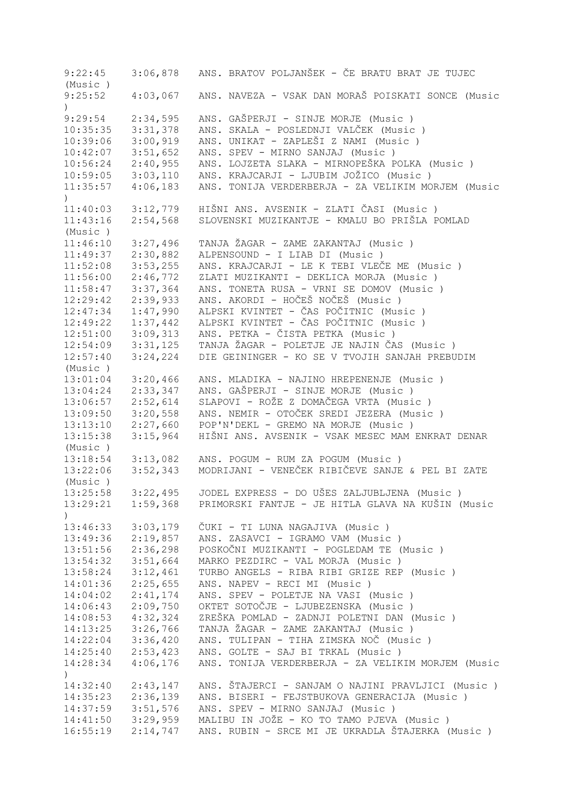9:22:45 3:06,878 ANS. BRATOV POLJANŠEK - ČE BRATU BRAT JE TUJEC (Music ) 9:25:52 4:03,067 ANS. NAVEZA - VSAK DAN MORAŠ POISKATI SONCE (Music ) 9:29:54 2:34,595 ANS. GAŠPERJI - SINJE MORJE (Music ) 10:35:35 3:31,378 ANS. SKALA - POSLEDNJI VALČEK (Music ) 10:39:06 3:00,919 ANS. UNIKAT - ZAPLEŠI Z NAMI (Music ) 10:42:07 3:51,652 ANS. SPEV - MIRNO SANJAJ (Music ) 10:56:24 2:40,955 ANS. LOJZETA SLAKA - MIRNOPEŠKA POLKA (Music ) 10:59:05 3:03,110 ANS. KRAJCARJI - LJUBIM JOŽICO (Music ) 11:35:57 4:06,183 ANS. TONIJA VERDERBERJA - ZA VELIKIM MORJEM (Music  $\rightarrow$ 11:40:03 3:12,779 HIŠNI ANS. AVSENIK - ZLATI ČASI (Music ) 11:43:16 2:54,568 SLOVENSKI MUZIKANTJE - KMALU BO PRIŠLA POMLAD (Music ) 11:46:10 3:27,496 TANJA ŽAGAR - ZAME ZAKANTAJ (Music ) 11:49:37 2:30,882 ALPENSOUND - I LIAB DI (Music ) 11:52:08 3:53,255 ANS. KRAJCARJI - LE K TEBI VLEČE ME (Music ) 11:56:00 2:46,772 ZLATI MUZIKANTI - DEKLICA MORJA (Music ) 11:58:47 3:37,364 ANS. TONETA RUSA - VRNI SE DOMOV (Music ) 12:29:42 2:39,933 ANS. AKORDI - HOČEŠ NOČEŠ (Music ) 12:47:34 1:47,990 ALPSKI KVINTET - ČAS POČITNIC (Music ) 12:49:22 1:37,442 ALPSKI KVINTET - ČAS POČITNIC (Music ) 12:51:00 3:09,313 ANS. PETKA - ČISTA PETKA (Music ) 12:54:09 3:31,125 TANJA ŽAGAR - POLETJE JE NAJIN ČAS (Music ) 12:57:40 3:24,224 DIE GEININGER - KO SE V TVOJIH SANJAH PREBUDIM (Music ) 13:01:04 3:20,466 ANS. MLADIKA - NAJINO HREPENENJE (Music ) 13:04:24 2:33,347 ANS. GAŠPERJI - SINJE MORJE (Music ) 13:06:57 2:52,614 SLAPOVI - ROŽE Z DOMAČEGA VRTA (Music ) 13:09:50 3:20,558 ANS. NEMIR - OTOČEK SREDI JEZERA (Music ) 13:13:10 2:27,660 POP'N'DEKL - GREMO NA MORJE (Music ) 13:15:38 3:15,964 HIŠNI ANS. AVSENIK - VSAK MESEC MAM ENKRAT DENAR (Music ) 13:18:54 3:13,082 ANS. POGUM - RUM ZA POGUM (Music ) 13:22:06 3:52,343 MODRIJANI - VENEČEK RIBIČEVE SANJE & PEL BI ZATE (Music ) 13:25:58 3:22,495 JODEL EXPRESS - DO UŠES ZALJUBLJENA (Music ) 13:29:21 1:59,368 PRIMORSKI FANTJE - JE HITLA GLAVA NA KUŠIN (Music  $\lambda$ 13:46:33 3:03,179 ČUKI - TI LUNA NAGAJIVA (Music ) 13:49:36 2:19,857 ANS. ZASAVCI - IGRAMO VAM (Music ) 13:51:56 2:36,298 POSKOČNI MUZIKANTI - POGLEDAM TE (Music ) MARKO PEZDIRC - VAL MORJA (Music ) 13:58:24 3:12,461 TURBO ANGELS - RIBA RIBI GRIZE REP (Music ) 14:01:36 2:25,655 ANS. NAPEV - RECI MI (Music ) 14:04:02 2:41,174 ANS. SPEV - POLETJE NA VASI (Music ) 14:06:43 2:09,750 OKTET SOTOČJE - LJUBEZENSKA (Music ) 14:08:53 4:32,324 ZREŠKA POMLAD - ZADNJI POLETNI DAN (Music ) 14:13:25 3:26,766 TANJA ŽAGAR - ZAME ZAKANTAJ (Music ) 14:22:04 3:36,420 ANS. TULIPAN - TIHA ZIMSKA NOČ (Music ) 14:25:40 2:53,423 ANS. GOLTE - SAJ BI TRKAL (Music ) ANS. TONIJA VERDERBERJA - ZA VELIKIM MORJEM (Music ) 14:32:40 2:43,147 ANS. ŠTAJERCI - SANJAM O NAJINI PRAVLJICI (Music ) 14:35:23 2:36,139 ANS. BISERI - FEJSTBUKOVA GENERACIJA (Music ) 14:37:59 3:51,576 ANS. SPEV - MIRNO SANJAJ (Music ) 14:41:50 3:29,959 MALIBU IN JOŽE - KO TO TAMO PJEVA (Music ) 16:55:19 2:14,747 ANS. RUBIN - SRCE MI JE UKRADLA ŠTAJERKA (Music )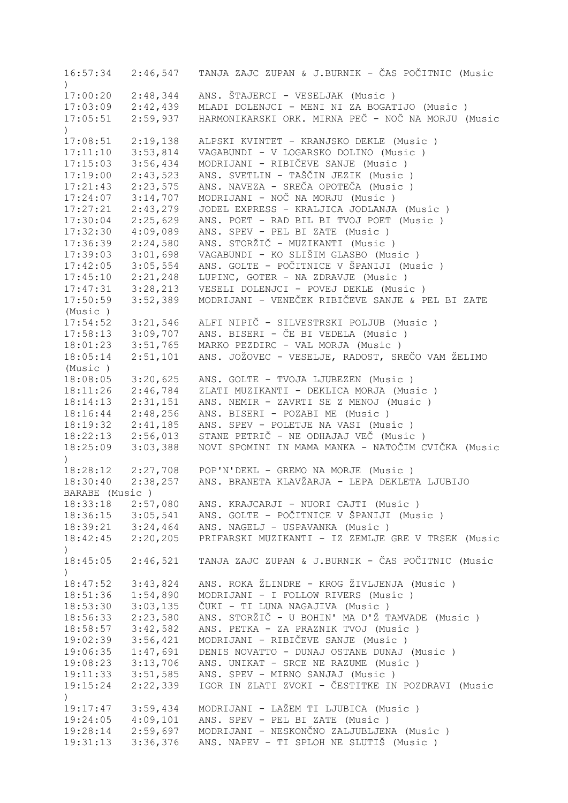16:57:34 2:46,547 TANJA ZAJC ZUPAN & J.BURNIK - ČAS POČITNIC (Music ) 17:00:20 2:48,344 ANS. ŠTAJERCI - VESELJAK (Music ) 17:03:09 2:42,439 MLADI DOLENJCI - MENI NI ZA BOGATIJO (Music ) 17:05:51 2:59,937 HARMONIKARSKI ORK. MIRNA PEČ - NOČ NA MORJU (Music  $\lambda$ 17:08:51 2:19,138 ALPSKI KVINTET - KRANJSKO DEKLE (Music ) 17:11:10 3:53,814 VAGABUNDI - V LOGARSKO DOLINO (Music ) 17:15:03 3:56,434 MODRIJANI - RIBIČEVE SANJE (Music ) 17:19:00 2:43,523 ANS. SVETLIN - TAŠČIN JEZIK (Music ) 17:21:43 2:23,575 ANS. NAVEZA - SREČA OPOTEČA (Music ) 17:24:07 3:14,707 MODRIJANI - NOČ NA MORJU (Music ) 17:27:21 2:43,279 JODEL EXPRESS - KRALJICA JODLANJA (Music ) 17:30:04 2:25,629 ANS. POET - RAD BIL BI TVOJ POET (Music ) 17:32:30 4:09,089 ANS. SPEV - PEL BI ZATE (Music ) 17:36:39 2:24,580 ANS. STORŽIČ - MUZIKANTI (Music ) 17:39:03 3:01,698 VAGABUNDI - KO SLIŠIM GLASBO (Music ) 17:42:05 3:05,554 ANS. GOLTE - POČITNICE V ŠPANIJI (Music ) 17:45:10 2:21,248 LUPINC, GOTER - NA ZDRAVJE (Music )<br>17:47:31 3:28,213 VESELI DOLENJCI - POVEJ DEKLE (Musi VESELI DOLENJCI - POVEJ DEKLE (Music ) 17:50:59 3:52,389 MODRIJANI - VENEČEK RIBIČEVE SANJE & PEL BI ZATE (Music ) 17:54:52 3:21,546 ALFI NIPIČ - SILVESTRSKI POLJUB (Music ) 17:58:13 3:09,707 ANS. BISERI - ČE BI VEDELA (Music ) 18:01:23 3:51,765 MARKO PEZDIRC - VAL MORJA (Music ) 18:05:14 2:51,101 ANS. JOŽOVEC - VESELJE, RADOST, SREČO VAM ŽELIMO (Music ) 18:08:05 3:20,625 ANS. GOLTE - TVOJA LJUBEZEN (Music ) 18:11:26 2:46,784 ZLATI MUZIKANTI - DEKLICA MORJA (Music ) 18:14:13 2:31,151 ANS. NEMIR - ZAVRTI SE Z MENOJ (Music ) 18:16:44 2:48,256 ANS. BISERI - POZABI ME (Music ) 18:19:32 2:41,185 ANS. SPEV - POLETJE NA VASI (Music ) 18:22:13 2:56,013 STANE PETRIČ - NE ODHAJAJ VEČ (Music ) 18:25:09 3:03,388 NOVI SPOMINI IN MAMA MANKA - NATOČIM CVIČKA (Music ) 18:28:12 2:27,708 POP'N'DEKL - GREMO NA MORJE (Music ) 18:30:40 2:38,257 ANS. BRANETA KLAVŽARJA - LEPA DEKLETA LJUBIJO BARABE (Music ) 18:33:18 2:57,080 ANS. KRAJCARJI - NUORI CAJTI (Music ) 18:36:15 3:05,541 ANS. GOLTE - POČITNICE V ŠPANIJI (Music ) 18:39:21 3:24,464 ANS. NAGELJ - USPAVANKA (Music ) 18:42:45 2:20,205 PRIFARSKI MUZIKANTI - IZ ZEMLJE GRE V TRSEK (Music  $\lambda$ 18:45:05 2:46,521 TANJA ZAJC ZUPAN & J.BURNIK - ČAS POČITNIC (Music ) 18:47:52 3:43,824 ANS. ROKA ŽLINDRE - KROG ŽIVLJENJA (Music)<br>18:51:36 1:54,890 MODRIJANI - I FOLLOW RIVERS (Music) 18:51:36 1:54,890 MODRIJANI - I FOLLOW RIVERS (Music ) 18:53:30 3:03,135 ČUKI - TI LUNA NAGAJIVA (Music ) 18:56:33 2:23,580 ANS. STORŽIČ - U BOHIN' MA D'Ž TAMVADE (Music ) 18:58:57 3:42,582 ANS. PETKA - ZA PRAZNIK TVOJ (Music ) 19:02:39 3:56,421 MODRIJANI - RIBIČEVE SANJE (Music ) 19:06:35 1:47,691 DENIS NOVATTO - DUNAJ OSTANE DUNAJ (Music ) 19:08:23 3:13,706 ANS. UNIKAT - SRCE NE RAZUME (Music ) 19:11:33 3:51,585 ANS. SPEV - MIRNO SANJAJ (Music ) 19:15:24 2:22,339 IGOR IN ZLATI ZVOKI - ČESTITKE IN POZDRAVI (Music ) 19:17:47 3:59,434 MODRIJANI - LAŽEM TI LJUBICA (Music ) 19:24:05 4:09,101 ANS. SPEV - PEL BI ZATE (Music ) 19:28:14 2:59,697 MODRIJANI - NESKONČNO ZALJUBLJENA (Music ) 19:31:13 3:36,376 ANS. NAPEV - TI SPLOH NE SLUTIŠ (Music )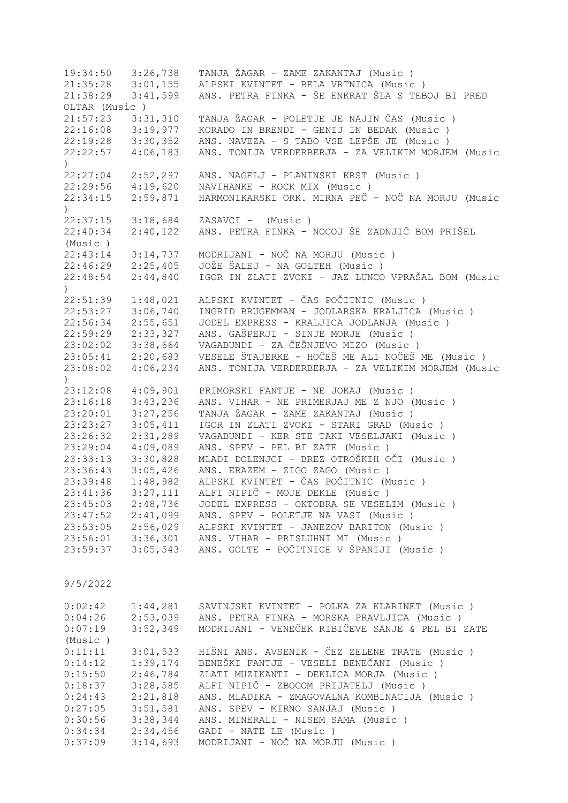19:34:50 3:26,738 TANJA ŽAGAR - ZAME ZAKANTAJ (Music ) 21:35:28 3:01,155 ALPSKI KVINTET - BELA VRTNICA (Music )<br>21:38:29 3:41,599 ANS. PETRA FINKA - ŠE ENKRAT ŠLA S TEB 21:38:29 3:41,599 ANS. PETRA FINKA - ŠE ENKRAT ŠLA S TEBOJ BI PRED OLTAR (Music ) 21:57:23 3:31,310 TANJA ŽAGAR - POLETJE JE NAJIN ČAS (Music ) 22:16:08 3:19,977 KORADO IN BRENDI - GENIJ IN BEDAK (Music ) 22:19:28 3:30,352 ANS. NAVEZA - S TABO VSE LEPŠE JE (Music ) 22:22:57 4:06,183 ANS. TONIJA VERDERBERJA - ZA VELIKIM MORJEM (Music  $\lambda$ 22:27:04 2:52,297 ANS. NAGELJ - PLANINSKI KRST (Music ) 22:29:56 4:19,620 NAVIHANKE - ROCK MIX (Music ) 22:34:15 2:59,871 HARMONIKARSKI ORK. MIRNA PEČ - NOČ NA MORJU (Music  $\lambda$ 22:37:15 3:18,684 ZASAVCI - (Music ) 22:40:34 2:40,122 ANS. PETRA FINKA - NOCOJ ŠE ZADNJIČ BOM PRIŠEL (Music ) 22:43:14 3:14,737 MODRIJANI - NOČ NA MORJU (Music ) 22:46:29 2:25,405 JOŽE ŠALEJ - NA GOLTEH (Music ) IGOR IN ZLATI ZVOKI - JAZ LUNCO VPRAŠAL BOM (Music ) 22:51:39 1:48,021 ALPSKI KVINTET - ČAS POČITNIC (Music ) 22:53:27 3:06,740 INGRID BRUGEMMAN - JODLARSKA KRALJICA (Music ) 22:56:34 2:55,651 JODEL EXPRESS - KRALJICA JODLANJA (Music ) 22:59:29 2:33,327 ANS. GAŠPERJI - SINJE MORJE (Music ) 23:02:02 3:38,664 VAGABUNDI - ZA ČEŠNJEVO MIZO (Music ) 23:05:41 2:20,683 VESELE ŠTAJERKE - HOČEŠ ME ALI NOČEŠ ME (Music ) 23:08:02 4:06,234 ANS. TONIJA VERDERBERJA - ZA VELIKIM MORJEM (Music ) 23:12:08 4:09,901 PRIMORSKI FANTJE - NE JOKAJ (Music ) 23:16:18 3:43,236 ANS. VIHAR - NE PRIMERJAJ ME Z NJO (Music ) 23:20:01 3:27,256 TANJA ŽAGAR - ZAME ZAKANTAJ (Music ) 23:23:27 3:05,411 IGOR IN ZLATI ZVOKI - STARI GRAD (Music ) 23:26:32 2:31,289 VAGABUNDI - KER STE TAKI VESELJAKI (Music ) 23:29:04 4:09,089 ANS. SPEV - PEL BI ZATE (Music ) 23:33:13 3:30,828 MLADI DOLENJCI - BREZ OTROŠKIH OČI (Music ) 23:36:43 3:05,426 ANS. ERAZEM - ZIGO ZAGO (Music ) 23:39:48 1:48,982 ALPSKI KVINTET - ČAS POČITNIC (Music ) 23:41:36 3:27,111 ALFI NIPIČ - MOJE DEKLE (Music ) 23:45:03 2:48,736 JODEL EXPRESS - OKTOBRA SE VESELIM (Music ) 23:47:52 2:41,099 ANS. SPEV - POLETJE NA VASI (Music ) 23:53:05 2:56,029 ALPSKI KVINTET - JANEZOV BARITON (Music ) 23:56:01 3:36,301 ANS. VIHAR - PRISLUHNI MI (Music ) 23:59:37 3:05,543 ANS. GOLTE - POČITNICE V ŠPANIJI (Music ) 9/5/2022 0:02:42 1:44,281 SAVINJSKI KVINTET - POLKA ZA KLARINET (Music ) 0:04:26 2:53,039 ANS. PETRA FINKA - MORSKA PRAVLJICA (Music ) 0:07:19 3:52,349 MODRIJANI - VENEČEK RIBIČEVE SANJE & PEL BI ZATE (Music )  $0:11:11$   $3:01,533$  HIŠNI ANS. AVSENIK - ČEZ ZELENE TRATE (Music)<br> $0:14:12$   $1:39,174$  BENEŠKI FANTJE - VESELI BENEČANI (Music) 0:14:12 1:39,174 BENEŠKI FANTJE - VESELI BENEČANI (Music)<br>0:15:50 2:46,784 ZLATI MUZIKANTI - DEKLICA MORJA (Music) 0:15:50 2:46,784 ZLATI MUZIKANTI - DEKLICA MORJA (Music ) 0:18:37 3:28,585 ALFI NIPIČ - ZBOGOM PRIJATELJ (Music)<br>0:24:43 2:21,818 ANS. MLADIKA - ZMAGOVALNA KOMBINACIJA 0:24:43 2:21,818 ANS. MLADIKA - ZMAGOVALNA KOMBINACIJA (Music ) 0:27:05 3:51,581 ANS. SPEV - MIRNO SANJAJ (Music ) 0:30:56 3:38,344 ANS. MINERALI - NISEM SAMA (Music) 0:34:34 2:34,456 GADI - NATE LE (Music ) 0:37:09 3:14,693 MODRIJANI - NOČ NA MORJU (Music )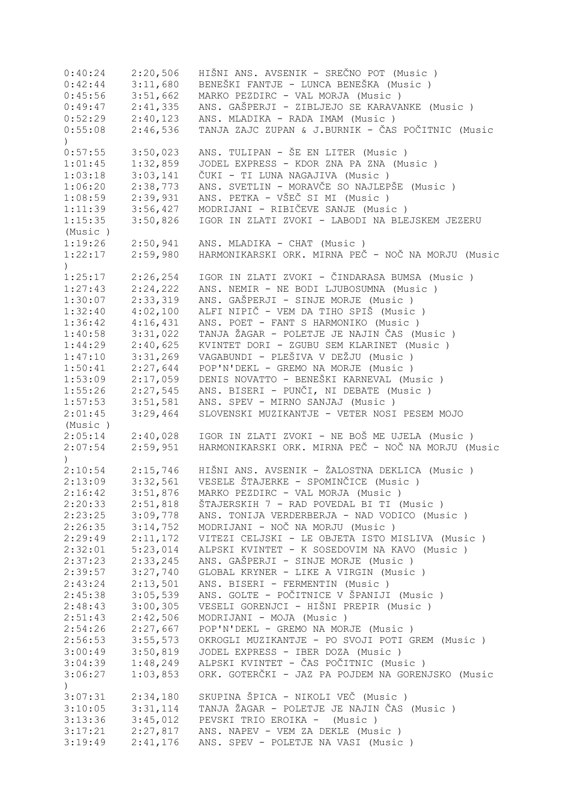| 0:40:24          | 2:20,506 | HIŠNI ANS. AVSENIK - SREČNO POT (Music )           |
|------------------|----------|----------------------------------------------------|
| 0:42:44          | 3:11,680 | BENEŠKI FANTJE - LUNCA BENEŠKA (Music )            |
| 0:45:56          | 3:51,662 | MARKO PEZDIRC - VAL MORJA (Music)                  |
| 0:49:47          | 2:41,335 | ANS. GAŠPERJI - ZIBLJEJO SE KARAVANKE (Music)      |
| 0:52:29          | 2:40,123 | ANS. MLADIKA - RADA IMAM (Music)                   |
| 0:55:08          | 2:46,536 | TANJA ZAJC ZUPAN & J.BURNIK - ČAS POČITNIC (Music  |
| $\left( \right)$ |          |                                                    |
| 0:57:55          | 3:50,023 | ANS. TULIPAN - ŠE EN LITER (Music )                |
| 1:01:45          | 1:32,859 | JODEL EXPRESS - KDOR ZNA PA ZNA (Music)            |
| 1:03:18          | 3:03,141 | ČUKI - TI LUNA NAGAJIVA (Music )                   |
| 1:06:20          | 2:38,773 | ANS. SVETLIN - MORAVČE SO NAJLEPŠE (Music)         |
| 1:08:59          | 2:39,931 | ANS. PETKA - VŠEČ SI MI (Music )                   |
| 1:11:39          | 3:56,427 | MODRIJANI - RIBIČEVE SANJE (Music)                 |
| 1:15:35          | 3:50,826 | IGOR IN ZLATI ZVOKI - LABODI NA BLEJSKEM JEZERU    |
| (Music)          |          |                                                    |
| 1:19:26          | 2:50,941 | ANS. MLADIKA - CHAT (Music)                        |
|                  |          | HARMONIKARSKI ORK. MIRNA PEČ - NOČ NA MORJU (Music |
| 1:22:17          | 2:59,980 |                                                    |
| $\left( \right)$ |          |                                                    |
| 1:25:17          | 2:26,254 | IGOR IN ZLATI ZVOKI - ČINDARASA BUMSA (Music )     |
| 1:27:43          | 2:24,222 | ANS. NEMIR - NE BODI LJUBOSUMNA (Music)            |
| 1:30:07          | 2:33,319 | ANS. GAŠPERJI - SINJE MORJE (Music)                |
| 1:32:40          | 4:02,100 | ALFI NIPIČ - VEM DA TIHO SPIŠ (Music )             |
| 1:36:42          | 4:16,431 | ANS. POET - FANT S HARMONIKO (Music)               |
| 1:40:58          | 3:31,022 | TANJA ŽAGAR - POLETJE JE NAJIN ČAS (Music)         |
| 1:44:29          | 2:40,625 | KVINTET DORI - ZGUBU SEM KLARINET (Music)          |
| 1:47:10          | 3:31,269 | VAGABUNDI - PLEŠIVA V DEŽJU (Music )               |
| 1:50:41          | 2:27,644 | POP'N'DEKL - GREMO NA MORJE (Music)                |
| 1:53:09          | 2:17,059 | DENIS NOVATTO - BENEŠKI KARNEVAL (Music )          |
| 1:55:26          | 2:27,545 | ANS. BISERI - PUNČI, NI DEBATE (Music)             |
| 1:57:53          | 3:51,581 | ANS. SPEV - MIRNO SANJAJ (Music)                   |
| 2:01:45          | 3:29,464 | SLOVENSKI MUZIKANTJE - VETER NOSI PESEM MOJO       |
| (Music)          |          |                                                    |
| 2:05:14          | 2:40,028 | IGOR IN ZLATI ZVOKI - NE BOŠ ME UJELA (Music)      |
| 2:07:54          | 2:59,951 | HARMONIKARSKI ORK. MIRNA PEČ - NOČ NA MORJU (Music |
| $\lambda$        |          |                                                    |
| 2:10:54          | 2:15,746 | HIŠNI ANS. AVSENIK - ŽALOSTNA DEKLICA (Music )     |
| 2:13:09          | 3:32,561 | VESELE ŠTAJERKE - SPOMINČICE (Music)               |
| 2:16:42          | 3:51,876 | MARKO PEZDIRC - VAL MORJA (Music)                  |
| 2:20:33          | 2:51,818 | ŠTAJERSKIH 7 - RAD POVEDAL BI TI (Music )          |
| 2:23:25          | 3:09,778 | ANS. TONIJA VERDERBERJA - NAD VODICO (Music)       |
| 2:26:35          | 3:14,752 | MODRIJANI - NOČ NA MORJU (Music)                   |
| 2:29:49          | 2:11,172 | VITEZI CELJSKI - LE OBJETA ISTO MISLIVA (Music )   |
| 2:32:01          | 5:23,014 | ALPSKI KVINTET - K SOSEDOVIM NA KAVO (Music)       |
| 2:37:23          | 2:33,245 | ANS. GAŠPERJI - SINJE MORJE (Music)                |
| 2:39:57          | 3:27,740 | GLOBAL KRYNER - LIKE A VIRGIN (Music)              |
| 2:43:24          | 2:13,501 | ANS. BISERI - FERMENTIN (Music)                    |
| 2:45:38          | 3:05,539 | ANS. GOLTE - POČITNICE V ŠPANIJI (Music )          |
| 2:48:43          | 3:00,305 | VESELI GORENJCI - HIŠNI PREPIR (Music )            |
| 2:51:43          | 2:42,506 | MODRIJANI - MOJA (Music)                           |
| 2:54:26          | 2:27,667 | POP'N'DEKL - GREMO NA MORJE (Music)                |
|                  |          | OKROGLI MUZIKANTJE - PO SVOJI POTI GREM (Music )   |
| 2:56:53          | 3:55,573 |                                                    |
| 3:00:49          | 3:50,819 | JODEL EXPRESS - IBER DOZA (Music)                  |
| 3:04:39          | 1:48,249 | ALPSKI KVINTET - ČAS POČITNIC (Music )             |
| 3:06:27          | 1:03,853 | ORK. GOTERČKI - JAZ PA POJDEM NA GORENJSKO (Music  |
| $\left( \right)$ |          |                                                    |
| 3:07:31          | 2:34,180 | SKUPINA ŠPICA - NIKOLI VEČ (Music )                |
| 3:10:05          | 3:31,114 | TANJA ŽAGAR - POLETJE JE NAJIN ČAS (Music)         |
| 3:13:36          | 3:45,012 | PEVSKI TRIO EROIKA - (Music)                       |
| 3:17:21          | 2:27,817 | ANS. NAPEV - VEM ZA DEKLE (Music)                  |
| 3:19:49          | 2:41,176 | ANS. SPEV - POLETJE NA VASI (Music)                |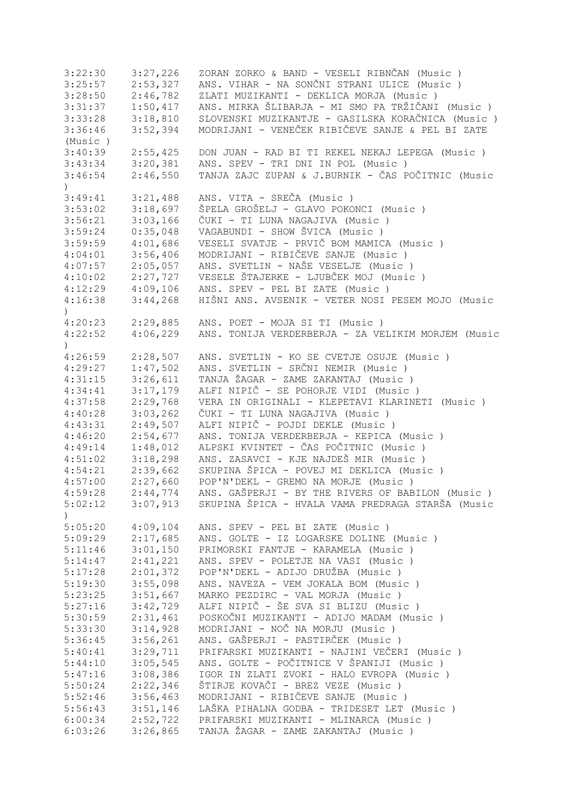3:22:30 3:27,226 ZORAN ZORKO & BAND - VESELI RIBNČAN (Music)<br>3:25:57 2:53,327 ANS. VIHAR - NA SONČNI STRANI ULICE (Music) 3:25:57 2:53,327 ANS. VIHAR - NA SONČNI STRANI ULICE (Music)<br>3:28:50 2:46,782 ZLATI MUZIKANTI - DEKLICA MORJA (Music) 2:46,782 ZLATI MUZIKANTI - DEKLICA MORJA (Music )<br>1:50,417 ANS. MIRKA ŠLIBARJA - MI SMO PA TRŽIČANI 3:31:37 1:50,417 ANS. MIRKA ŠLIBARJA - MI SMO PA TRŽIČANI (Music ) 3:33:28 3:18,810 SLOVENSKI MUZIKANTJE - GASILSKA KORAČNICA (Music)<br>3:36:46 3:52,394 MODRIJANI - VENEČEK RIBIČEVE SANJE & PEL BI ZATE 3:36:46 3:52,394 MODRIJANI - VENEČEK RIBIČEVE SANJE & PEL BI ZATE (Music ) 3:40:39 2:55,425 DON JUAN - RAD BI TI REKEL NEKAJ LEPEGA (Music ) 3:43:34 3:20,381 ANS. SPEV - TRI DNI IN POL (Music ) 3:46:54 2:46,550 TANJA ZAJC ZUPAN & J.BURNIK - ČAS POČITNIC (Music ) 3:49:41 3:21,488 ANS. VITA - SREČA (Music ) 3:53:02 3:18,697 ŠPELA GROŠELJ - GLAVO POKONCI (Music ) 3:56:21 3:03,166 ČUKI - TI LUNA NAGAJIVA (Music ) 3:59:24 0:35,048 VAGABUNDI - SHOW ŠVICA (Music ) 3:59:59 4:01,686 VESELI SVATJE - PRVIČ BOM MAMICA (Music ) 4:04:01 3:56,406 MODRIJANI - RIBIČEVE SANJE (Music ) 4:07:57 2:05,057 ANS. SVETLIN - NAŠE VESELJE (Music)<br>4:10:02 2:27,727 VESELE ŠTAJERKE - LJUBČEK MOJ (Music 4:10:02 2:27,727 VESELE ŠTAJERKE - LJUBČEK MOJ (Music)<br>4:12:29 4:09,106 ANS. SPEV - PEL BI ZATE (Music) ANS. SPEV - PEL BI ZATE (Music ) 4:16:38 3:44,268 HIŠNI ANS. AVSENIK - VETER NOSI PESEM MOJO (Music  $\lambda$ 4:20:23 2:29,885 ANS. POET - MOJA SI TI (Music ) 4:22:52 4:06,229 ANS. TONIJA VERDERBERJA - ZA VELIKIM MORJEM (Music ) 4:26:59 2:28,507 ANS. SVETLIN - KO SE CVETJE OSUJE (Music ) 4:29:27 1:47,502 ANS. SVETLIN - SRČNI NEMIR (Music ) 4:31:15 3:26,611 TANJA ŽAGAR - ZAME ZAKANTAJ (Music ) 4:34:41 3:17,179 ALFI NIPIČ - SE POHORJE VIDI (Music ) 4:37:58 2:29,768 VERA IN ORIGINALI - KLEPETAVI KLARINETI (Music ) 4:40:28 3:03,262 ČUKI - TI LUNA NAGAJIVA (Music ) 4:43:31 2:49,507 ALFI NIPIČ - POJDI DEKLE (Music ) 4:46:20 2:54,677 ANS. TONIJA VERDERBERJA - KEPICA (Music ) 4:49:14 1:48,012 ALPSKI KVINTET - ČAS POČITNIC (Music)<br>4:51:02 3:18,298 ANS. ZASAVCI - KJE NAJDEŠ MIR (Music) 4:51:02 3:18,298 ANS. ZASAVCI - KJE NAJDEŠ MIR (Music ) 4:54:21 2:39,662 SKUPINA ŠPICA - POVEJ MI DEKLICA (Music)<br>4:57:00 2:27,660 POP'N'DEKL - GREMO NA MORJE (Music) 4:57:00 2:27,660 POP'N'DEKL - GREMO NA MORJE (Music ) 4:59:28 2:44,774 ANS. GAŠPERJI - BY THE RIVERS OF BABILON (Music ) 5:02:12 3:07,913 SKUPINA ŠPICA - HVALA VAMA PREDRAGA STARŠA (Music  $\lambda$ 5:05:20 4:09,104 ANS. SPEV - PEL BI ZATE (Music ) 5:09:29 2:17,685 ANS. GOLTE - IZ LOGARSKE DOLINE (Music ) 5:11:46 3:01,150 PRIMORSKI FANTJE - KARAMELA (Music)<br>5:14:47 2:41,221 ANS. SPEV - POLETJE NA VASI (Music) 5:14:47 2:41,221 ANS. SPEV - POLETJE NA VASI (Music ) 5:17:28 2:01,372 POP'N'DEKL - ADIJO DRUŽBA (Music)<br>5:19:30 3:55,098 ANS. NAVEZA - VEM JOKALA BOM (Musi 5:19:30 3:55,098 ANS. NAVEZA - VEM JOKALA BOM (Music ) 5:23:25 3:51,667 MARKO PEZDIRC - VAL MORJA (Music ) 5:27:16 3:42,729 ALFI NIPIČ - ŠE SVA SI BLIZU (Music ) 5:30:59 2:31,461 POSKOČNI MUZIKANTI - ADIJO MADAM (Music ) 5:33:30 3:14,928 MODRIJANI - NOČ NA MORJU (Music)<br>5:36:45 3:56,261 ANS. GAŠPERJI - PASTIRČEK (Music 5:36:45 3:56,261 ANS. GAŠPERJI - PASTIRČEK (Music ) 5:40:41 3:29,711 PRIFARSKI MUZIKANTI - NAJINI VEČERI (Music)<br>5:44:10 3:05,545 ANS. GOLTE - POČITNICE V ŠPANIJI (Music) 5:44:10 3:05,545 ANS. GOLTE - POČITNICE V ŠPANIJI (Music ) 5:47:16 3:08,386 IGOR IN ZLATI ZVOKI - HALO EVROPA (Music ) 5:50:24 2:22,346 ŠTIRJE KOVAČI - BREZ VEZE (Music ) 5:52:46 3:56,463 MODRIJANI - RIBIČEVE SANJE (Music)<br>5:56:43 3:51,146 LAŠKA PIHALNA GODBA - TRIDESET LET 5:56:43 3:51,146 LAŠKA PIHALNA GODBA - TRIDESET LET (Music )<br>6:00:34 2:52,722 PRIFARSKI MUZIKANTI - MLINARCA (Music ) 6:00:34 2:52,722 PRIFARSKI MUZIKANTI - MLINARCA (Music ) 6:03:26 3:26,865 TANJA ŽAGAR - ZAME ZAKANTAJ (Music )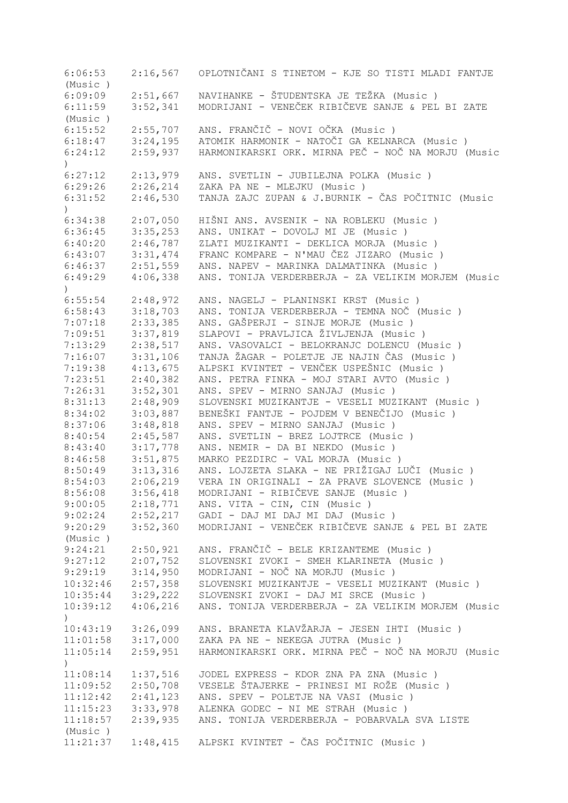6:06:53 2:16,567 OPLOTNIČANI S TINETOM - KJE SO TISTI MLADI FANTJE (Music ) 6:09:09 2:51,667 NAVIHANKE - ŠTUDENTSKA JE TEŽKA (Music ) 6:11:59 3:52,341 MODRIJANI - VENEČEK RIBIČEVE SANJE & PEL BI ZATE (Music ) 6:15:52 2:55,707 ANS. FRANČIČ - NOVI OČKA (Music ) 6:18:47 3:24,195 ATOMIK HARMONIK - NATOČI GA KELNARCA (Music ) 6:24:12 2:59,937 HARMONIKARSKI ORK. MIRNA PEČ - NOČ NA MORJU (Music  $\lambda$ 6:27:12 2:13,979 ANS. SVETLIN - JUBILEJNA POLKA (Music ) 6:29:26 2:26,214 ZAKA PA NE - MLEJKU (Music ) 6:31:52 2:46,530 TANJA ZAJC ZUPAN & J.BURNIK - ČAS POČITNIC (Music ) 6:34:38 2:07,050 HIŠNI ANS. AVSENIK - NA ROBLEKU (Music ) 6:36:45 3:35,253 ANS. UNIKAT - DOVOLJ MI JE (Music ) 6:40:20 2:46,787 ZLATI MUZIKANTI - DEKLICA MORJA (Music ) 6:43:07 3:31,474 FRANC KOMPARE - N'MAU ČEZ JIZARO (Music ) 6:46:37 2:51,559 ANS. NAPEV - MARINKA DALMATINKA (Music ) 6:49:29 4:06,338 ANS. TONIJA VERDERBERJA - ZA VELIKIM MORJEM (Music ) 6:55:54 2:48,972 ANS. NAGELJ - PLANINSKI KRST (Music ) 6:58:43 3:18,703 ANS. TONIJA VERDERBERJA - TEMNA NOČ (Music)<br>7:07:18 2:33,385 ANS. GAŠPERJI - SINJE MORJE (Music) 7:07:18 2:33,385 ANS. GAŠPERJI - SINJE MORJE (Music ) 7:09:51 3:37,819 SLAPOVI - PRAVLJICA ŽIVLJENJA (Music)<br>7:13:29 2:38,517 ANS. VASOVALCI - BELOKRANJC DOLENCU (Music) 7:13:29 2:38,517 ANS. VASOVALCI - BELOKRANJC DOLENCU (Music ) 7:16:07 3:31,106 TANJA ŽAGAR - POLETJE JE NAJIN ČAS (Music ) 7:19:38 4:13,675 ALPSKI KVINTET - VENČEK USPEŠNIC (Music ) 7:23:51 2:40,382 ANS. PETRA FINKA - MOJ STARI AVTO (Music ) 7:26:31 3:52,301 ANS. SPEV - MIRNO SANJAJ (Music ) 8:31:13 2:48,909 SLOVENSKI MUZIKANTJE - VESELI MUZIKANT (Music ) 8:34:02 3:03,887 BENEŠKI FANTJE - POJDEM V BENEČIJO (Music)<br>8:37:06 3:48,818 ANS. SPEV - MIRNO SANJAJ (Music) 8:37:06 3:48,818 ANS. SPEV - MIRNO SANJAJ (Music ) 8:40:54 2:45,587 ANS. SVETLIN - BREZ LOJTRCE (Music ) 8:43:40 3:17,778 ANS. NEMIR - DA BI NEKDO (Music ) 8:46:58 3:51,875 MARKO PEZDIRC - VAL MORJA (Music ) 8:50:49 3:13,316 ANS. LOJZETA SLAKA - NE PRIŽIGAJ LUČI (Music ) 8:54:03 2:06,219 VERA IN ORIGINALI - ZA PRAVE SLOVENCE (Music ) 8:56:08 3:56,418 MODRIJANI - RIBIČEVE SANJE (Music ) 9:00:05 2:18,771 ANS. VITA - CIN, CIN (Music ) 9:02:24 2:52,217 GADI - DAJ MI DAJ MI DAJ (Music ) 9:20:29 3:52,360 MODRIJANI - VENEČEK RIBIČEVE SANJE & PEL BI ZATE (Music ) 9:24:21 2:50,921 ANS. FRANČIČ - BELE KRIZANTEME (Music ) 9:27:12 2:07,752 SLOVENSKI ZVOKI - SMEH KLARINETA (Music ) 9:29:19 3:14,950 MODRIJANI - NOČ NA MORJU (Music ) 10:32:46 2:57,358 SLOVENSKI MUZIKANTJE - VESELI MUZIKANT (Music ) 10:35:44 3:29,222 SLOVENSKI ZVOKI - DAJ MI SRCE (Music ) 10:39:12 4:06,216 ANS. TONIJA VERDERBERJA - ZA VELIKIM MORJEM (Music ) 10:43:19 3:26,099 ANS. BRANETA KLAVŽARJA - JESEN IHTI (Music ) 11:01:58 3:17,000 ZAKA PA NE - NEKEGA JUTRA (Music ) 11:05:14 2:59,951 HARMONIKARSKI ORK. MIRNA PEČ - NOČ NA MORJU (Music ) 11:08:14 1:37,516 JODEL EXPRESS - KDOR ZNA PA ZNA (Music ) 11:09:52 2:50,708 VESELE ŠTAJERKE - PRINESI MI ROŽE (Music ) 11:12:42 2:41,123 ANS. SPEV - POLETJE NA VASI (Music ) 11:15:23 3:33,978 ALENKA GODEC - NI ME STRAH (Music ) 11:18:57 2:39,935 ANS. TONIJA VERDERBERJA - POBARVALA SVA LISTE (Music ) 11:21:37 1:48,415 ALPSKI KVINTET - ČAS POČITNIC (Music )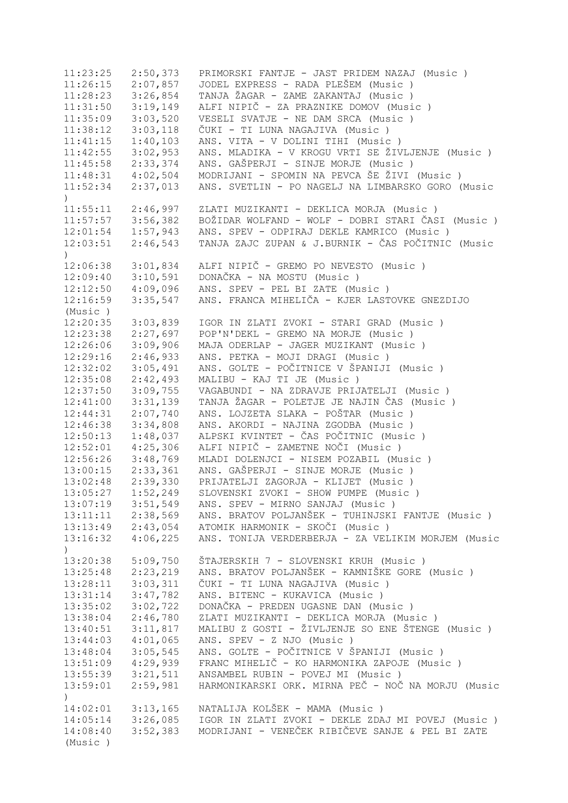11:23:25 2:50,373 PRIMORSKI FANTJE - JAST PRIDEM NAZAJ (Music ) 11:26:15 2:07,857 JODEL EXPRESS - RADA PLEŠEM (Music ) 11:28:23 3:26,854 TANJA ŽAGAR - ZAME ZAKANTAJ (Music ) 11:31:50 3:19,149 ALFI NIPIČ - ZA PRAZNIKE DOMOV (Music ) 11:35:09 3:03,520 VESELI SVATJE - NE DAM SRCA (Music ) 11:38:12 3:03,118 ČUKI - TI LUNA NAGAJIVA (Music ) 11:41:15 1:40,103 ANS. VITA - V DOLINI TIHI (Music ) 11:42:55 3:02,953 ANS. MLADIKA - V KROGU VRTI SE ŽIVLJENJE (Music ) 11:45:58 2:33,374 ANS. GAŠPERJI - SINJE MORJE (Music ) 11:48:31 4:02,504 MODRIJANI - SPOMIN NA PEVCA ŠE ŽIVI (Music ) 11:52:34 2:37,013 ANS. SVETLIN - PO NAGELJ NA LIMBARSKO GORO (Music  $\lambda$ 11:55:11 2:46,997 ZLATI MUZIKANTI - DEKLICA MORJA (Music ) 11:57:57 3:56,382 BOŽIDAR WOLFAND - WOLF - DOBRI STARI ČASI (Music ) 12:01:54 1:57,943 ANS. SPEV - ODPIRAJ DEKLE KAMRICO (Music ) 12:03:51 2:46,543 TANJA ZAJC ZUPAN & J.BURNIK - ČAS POČITNIC (Music  $\lambda$ 12:06:38 3:01,834 ALFI NIPIČ - GREMO PO NEVESTO (Music ) 12:09:40 3:10,591 DONAČKA - NA MOSTU (Music ) ANS. SPEV - PEL BI ZATE (Music ) 12:16:59 3:35,547 ANS. FRANCA MIHELIČA - KJER LASTOVKE GNEZDIJO (Music ) 12:20:35 3:03,839 IGOR IN ZLATI ZVOKI - STARI GRAD (Music ) 12:23:38 2:27,697 POP'N'DEKL - GREMO NA MORJE (Music ) 12:26:06 3:09,906 MAJA ODERLAP - JAGER MUZIKANT (Music ) 12:29:16 2:46,933 ANS. PETKA - MOJI DRAGI (Music ) 12:32:02 3:05,491 ANS. GOLTE - POČITNICE V ŠPANIJI (Music ) 12:35:08 2:42,493 MALIBU - KAJ TI JE (Music ) 12:37:50 3:09,755 VAGABUNDI - NA ZDRAVJE PRIJATELJI (Music ) 12:41:00 3:31,139 TANJA ŽAGAR - POLETJE JE NAJIN ČAS (Music ) 12:44:31 2:07,740 ANS. LOJZETA SLAKA - POŠTAR (Music ) 12:46:38 3:34,808 ANS. AKORDI - NAJINA ZGODBA (Music ) 12:50:13 1:48,037 ALPSKI KVINTET - ČAS POČITNIC (Music ) 12:52:01 4:25,306 ALFI NIPIČ - ZAMETNE NOČI (Music ) 12:56:26 3:48,769 MLADI DOLENJCI - NISEM POZABIL (Music ) 13:00:15 2:33,361 ANS. GAŠPERJI - SINJE MORJE (Music ) 13:02:48 2:39,330 PRIJATELJI ZAGORJA - KLIJET (Music ) 13:05:27 1:52,249 SLOVENSKI ZVOKI - SHOW PUMPE (Music ) 13:07:19 3:51,549 ANS. SPEV - MIRNO SANJAJ (Music ) 13:11:11 2:38,569 ANS. BRATOV POLJANŠEK - TUHINJSKI FANTJE (Music ) 13:13:49 2:43,054 ATOMIK HARMONIK - SKOČI (Music ) 13:16:32 4:06,225 ANS. TONIJA VERDERBERJA - ZA VELIKIM MORJEM (Music  $\lambda$ 13:20:38 5:09,750 ŠTAJERSKIH 7 - SLOVENSKI KRUH (Music )<br>13:25:48 2:23,219 ANS. BRATOV POLJANŠEK - KAMNIŠKE GORE 13:25:48 2:23,219 ANS. BRATOV POLJANŠEK - KAMNIŠKE GORE (Music ) 13:28:11 3:03,311 ČUKI - TI LUNA NAGAJIVA (Music ) 13:31:14 3:47,782 ANS. BITENC - KUKAVICA (Music ) 13:35:02 3:02,722 DONAČKA - PREDEN UGASNE DAN (Music ) 13:38:04 2:46,780 ZLATI MUZIKANTI - DEKLICA MORJA (Music ) 13:40:51 3:11,817 MALIBU Z GOSTI - ŽIVLJENJE SO ENE ŠTENGE (Music ) 13:44:03 4:01,065 ANS. SPEV - Z NJO (Music ) 13:48:04 3:05,545 ANS. GOLTE - POČITNICE V ŠPANIJI (Music ) 13:51:09 4:29,939 FRANC MIHELIČ - KO HARMONIKA ZAPOJE (Music )<br>13:55:39 3:21,511 ANSAMBEL RUBIN - POVEJ MI (Music ) 13:55:39 3:21,511 ANSAMBEL RUBIN - POVEJ MI (Music ) 13:59:01 2:59,981 HARMONIKARSKI ORK. MIRNA PEČ - NOČ NA MORJU (Music ) 14:02:01 3:13,165 NATALIJA KOLŠEK - MAMA (Music ) 14:05:14 3:26,085 IGOR IN ZLATI ZVOKI - DEKLE ZDAJ MI POVEJ (Music ) 14:08:40 3:52,383 MODRIJANI - VENEČEK RIBIČEVE SANJE & PEL BI ZATE (Music )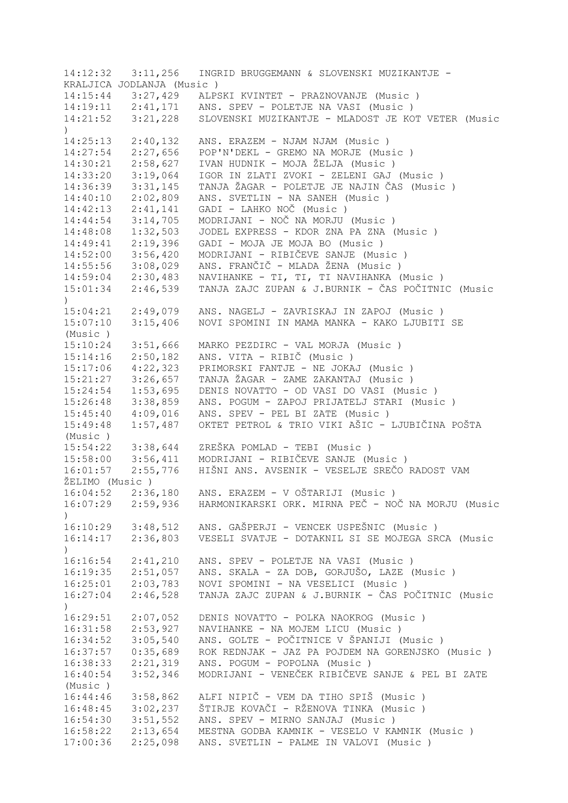| 14:12:32                     | 3:11,256                  | INGRID BRUGGEMANN & SLOVENSKI MUZIKANTJE -              |
|------------------------------|---------------------------|---------------------------------------------------------|
|                              | KRALJICA JODLANJA (Music) |                                                         |
|                              |                           | 14:15:44 3:27,429 ALPSKI KVINTET - PRAZNOVANJE (Music)  |
|                              |                           | 14:19:11  2:41,171  ANS. SPEV - POLETJE NA VASI (Music) |
| 14:21:52                     | 3:21,228                  | SLOVENSKI MUZIKANTJE - MLADOST JE KOT VETER (Music      |
| $\left( \right)$             |                           |                                                         |
| 14:25:13                     | 2:40,132                  | ANS. ERAZEM - NJAM NJAM (Music)                         |
| 14:27:54                     | 2:27,656                  | POP'N'DEKL - GREMO NA MORJE (Music)                     |
| 14:30:21                     | 2:58,627                  | IVAN HUDNIK - MOJA ŽELJA (Music)                        |
| 14:33:20                     | 3:19,064                  | IGOR IN ZLATI ZVOKI - ZELENI GAJ (Music)                |
| 14:36:39                     | 3:31,145                  | TANJA ŽAGAR - POLETJE JE NAJIN ČAS (Music)              |
| 14:40:10                     | 2:02,809                  | ANS. SVETLIN - NA SANEH (Music)                         |
| 14:42:13                     | 2:41,141                  | GADI - LAHKO NOČ (Music)                                |
| 14:44:54                     | 3:14,705                  | MODRIJANI - NOČ NA MORJU (Music)                        |
| 14:48:08                     | 1:32,503                  | JODEL EXPRESS - KDOR ZNA PA ZNA (Music)                 |
|                              |                           |                                                         |
| 14:49:41                     | 2:19,396                  | GADI - MOJA JE MOJA BO (Music)                          |
| 14:52:00                     | 3:56,420                  | MODRIJANI - RIBIČEVE SANJE (Music)                      |
| 14:55:56                     | 3:08,029                  | ANS. FRANČIČ - MLADA ŽENA (Music)                       |
| 14:59:04                     | 2:30,483                  | NAVIHANKE - TI, TI, TI NAVIHANKA (Music)                |
| 15:01:34<br>$\left( \right)$ | 2:46,539                  | TANJA ZAJC ZUPAN & J.BURNIK - ČAS POČITNIC (Music       |
| 15:04:21                     | 2:49,079                  | ANS. NAGELJ - ZAVRISKAJ IN ZAPOJ (Music)                |
| 15:07:10                     | 3:15,406                  | NOVI SPOMINI IN MAMA MANKA - KAKO LJUBITI SE            |
| (Music)                      |                           |                                                         |
| 15:10:24                     | 3:51,666                  | MARKO PEZDIRC - VAL MORJA (Music)                       |
| 15:14:16                     | 2:50,182                  | ANS. VITA - RIBIČ (Music)                               |
| 15:17:06                     | 4:22,323                  | PRIMORSKI FANTJE - NE JOKAJ (Music)                     |
| 15:21:27                     | 3:26,657                  | TANJA ŽAGAR - ZAME ZAKANTAJ (Music )                    |
| 15:24:54                     | 1:53,695                  | DENIS NOVATTO - OD VASI DO VASI (Music)                 |
| 15:26:48                     | 3:38,859                  | ANS. POGUM - ZAPOJ PRIJATELJ STARI (Music )             |
| 15:45:40                     | 4:09,016                  | ANS. SPEV - PEL BI ZATE (Music)                         |
| 15:49:48                     | 1:57,487                  | OKTET PETROL & TRIO VIKI AŠIC - LJUBIČINA POŠTA         |
| (Music )                     |                           |                                                         |
| 15:54:22                     | 3:38,644                  | ZREŠKA POMLAD - TEBI (Music )                           |
| 15:58:00                     | 3:56,411                  | MODRIJANI - RIBIČEVE SANJE (Music)                      |
| 16:01:57                     | 2:55,776                  | HIŠNI ANS. AVSENIK - VESELJE SREČO RADOST VAM           |
| ŽELIMO (Music)               |                           |                                                         |
| 16:04:52                     | 2:36,180                  | ANS. ERAZEM - V OŠTARIJI (Music )                       |
|                              | $16:07:29$ $2:59,936$     | HARMONIKARSKI ORK. MIRNA PEČ - NOČ NA MORJU (Music      |
| $\mathcal{C}$                |                           |                                                         |
|                              | $16:10:29$ $3:48,512$     | ANS. GAŠPERJI - VENCEK USPEŠNIC (Music )                |
| 16:14:17<br>$\lambda$        | 2:36,803                  | VESELI SVATJE - DOTAKNIL SI SE MOJEGA SRCA (Music       |
|                              | $16:16:54$ $2:41,210$     | ANS. SPEV - POLETJE NA VASI (Music)                     |
|                              | $16:19:35$ $2:51,057$     | ANS. SKALA - ZA DOB, GORJUŠO, LAZE (Music)              |
| 16:25:01                     | 2:03,783                  | NOVI SPOMINI - NA VESELICI (Music)                      |
| 16:27:04                     | 2:46,528                  | TANJA ZAJC ZUPAN & J.BURNIK - ČAS POČITNIC (Music       |
| $\mathcal{C}$                |                           |                                                         |
| 16:29:51                     | 2:07,052                  | DENIS NOVATTO - POLKA NAOKROG (Music)                   |
| 16:31:58                     | 2:53,927                  | NAVIHANKE - NA MOJEM LICU (Music)                       |
| 16:34:52                     | 3:05,540                  | ANS. GOLTE - POČITNICE V ŠPANIJI (Music )               |
| 16:37:57                     | 0:35,689                  | ROK REDNJAK - JAZ PA POJDEM NA GORENJSKO (Music)        |
| 16:38:33                     | 2:21,319                  | ANS. POGUM - POPOLNA (Music)                            |
| 16:40:54                     | 3:52,346                  | MODRIJANI - VENEČEK RIBIČEVE SANJE & PEL BI ZATE        |
| (Music )                     |                           |                                                         |
| 16:44:46                     | 3:58,862                  | ALFI NIPIČ - VEM DA TIHO SPIŠ (Music )                  |
| 16:48:45                     | 3:02,237                  | ŠTIRJE KOVAČI - RŽENOVA TINKA (Music )                  |
| 16:54:30                     | 3:51,552                  | ANS. SPEV - MIRNO SANJAJ (Music)                        |
| 16:58:22                     | 2:13,654                  | MESTNA GODBA KAMNIK - VESELO V KAMNIK (Music )          |
| 17:00:36                     | 2:25,098                  | ANS. SVETLIN - PALME IN VALOVI (Music)                  |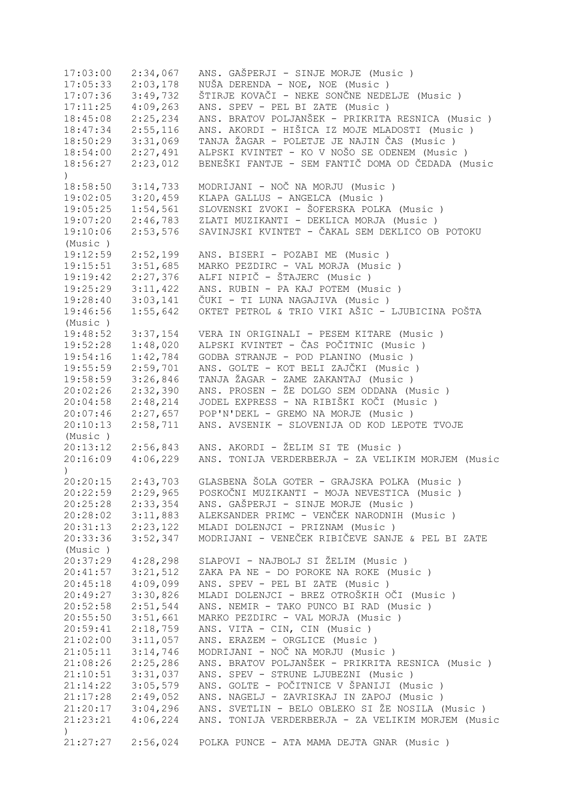17:03:00 2:34,067 ANS. GAŠPERJI - SINJE MORJE (Music ) 17:05:33 2:03,178 NUŠA DERENDA - NOE, NOE (Music ) 17:07:36 3:49,732 ŠTIRJE KOVAČI - NEKE SONČNE NEDELJE (Music )<br>17:11:25 4:09,263 ANS. SPEV - PEL BI ZATE (Music ) ANS. SPEV - PEL BI ZATE (Music ) 18:45:08 2:25,234 ANS. BRATOV POLJANŠEK - PRIKRITA RESNICA (Music ) 18:47:34 2:55,116 ANS. AKORDI - HIŠICA IZ MOJE MLADOSTI (Music ) 18:50:29 3:31,069 TANJA ŽAGAR - POLETJE JE NAJIN ČAS (Music ) 18:54:00 2:27,491 ALPSKI KVINTET - KO V NOŠO SE ODENEM (Music ) 18:56:27 2:23,012 BENEŠKI FANTJE - SEM FANTIČ DOMA OD ČEDADA (Music  $\lambda$ 18:58:50 3:14,733 MODRIJANI - NOČ NA MORJU (Music ) 19:02:05 3:20,459 KLAPA GALLUS - ANGELCA (Music ) 19:05:25 1:54,561 SLOVENSKI ZVOKI - ŠOFERSKA POLKA (Music ) 19:07:20 2:46,783 ZLATI MUZIKANTI - DEKLICA MORJA (Music ) 19:10:06 2:53,576 SAVINJSKI KVINTET - ČAKAL SEM DEKLICO OB POTOKU (Music ) 19:12:59 2:52,199 ANS. BISERI - POZABI ME (Music ) 19:15:51 3:51,685 MARKO PEZDIRC - VAL MORJA (Music ) 19:19:42 2:27,376 ALFI NIPIČ - ŠTAJERC (Music ) 19:25:29 3:11,422 ANS. RUBIN - PA KAJ POTEM (Music ) 19:28:40 3:03,141 ČUKI - TI LUNA NAGAJIVA (Music ) 19:46:56 1:55,642 OKTET PETROL & TRIO VIKI AŠIC - LJUBICINA POŠTA (Music ) 19:48:52 3:37,154 VERA IN ORIGINALI - PESEM KITARE (Music ) 19:52:28 1:48,020 ALPSKI KVINTET - ČAS POČITNIC (Music ) 19:54:16 1:42,784 GODBA STRANJE - POD PLANINO (Music ) 19:55:59 2:59,701 ANS. GOLTE - KOT BELI ZAJČKI (Music ) 19:58:59 3:26,846 TANJA ŽAGAR - ZAME ZAKANTAJ (Music ) 20:02:26 2:32,390 ANS. PROSEN - ŽE DOLGO SEM ODDANA (Music ) 20:04:58 2:48,214 JODEL EXPRESS - NA RIBIŠKI KOČI (Music ) 20:07:46 2:27,657 POP'N'DEKL - GREMO NA MORJE (Music ) 20:10:13 2:58,711 ANS. AVSENIK - SLOVENIJA OD KOD LEPOTE TVOJE (Music ) 20:13:12 2:56,843 ANS. AKORDI - ŽELIM SI TE (Music ) 20:16:09 4:06,229 ANS. TONIJA VERDERBERJA - ZA VELIKIM MORJEM (Music ) 20:20:15 2:43,703 GLASBENA ŠOLA GOTER - GRAJSKA POLKA (Music ) 20:22:59 2:29,965 POSKOČNI MUZIKANTI - MOJA NEVESTICA (Music ) 20:25:28 2:33,354 ANS. GAŠPERJI - SINJE MORJE (Music ) 20:28:02 3:11,883 ALEKSANDER PRIMC - VENČEK NARODNIH (Music ) 20:31:13 2:23,122 MLADI DOLENJCI - PRIZNAM (Music ) 20:33:36 3:52,347 MODRIJANI - VENEČEK RIBIČEVE SANJE & PEL BI ZATE (Music ) 20:37:29 4:28,298 SLAPOVI - NAJBOLJ SI ŽELIM (Music ) 21:11:11<br>ZAKA PA NE - DO POROKE NA ROKE (Music ) 20:45:18 4:09,099 ANS. SPEV - PEL BI ZATE (Music ) 20:49:27 3:30,826 MLADI DOLENJCI - BREZ OTROŠKIH OČI (Music ) 20:52:58 2:51,544 ANS. NEMIR - TAKO PUNCO BI RAD (Music ) 20:55:50 3:51,661 MARKO PEZDIRC - VAL MORJA (Music ) 20:59:41 2:18,759 ANS. VITA - CIN, CIN (Music ) 21:02:00 3:11,057 ANS. ERAZEM - ORGLICE (Music ) 21:05:11 3:14,746 MODRIJANI - NOČ NA MORJU (Music ) 21:08:26 2:25,286 ANS. BRATOV POLJANŠEK - PRIKRITA RESNICA (Music )<br>21:10:51 3:31,037 ANS. SPEV - STRUNE LJUBEZNI (Music )<br>21:14:22 3:05,579 ANS. GOLTE - POČITNICE V ŠPANIJI (Music ) ANS. SPEV - STRUNE LJUBEZNI (Music ) 21:14:22 3:05,579 ANS. GOLTE - POČITNICE V ŠPANIJI (Music ) 21:17:28 2:49,052 ANS. NAGELJ - ZAVRISKAJ IN ZAPOJ (Music ) 21:20:17 3:04,296 ANS. SVETLIN - BELO OBLEKO SI ŽE NOSILA (Music ) 21:23:21 4:06,224 ANS. TONIJA VERDERBERJA - ZA VELIKIM MORJEM (Music  $\lambda$ 21:27:27 2:56,024 POLKA PUNCE - ATA MAMA DEJTA GNAR (Music )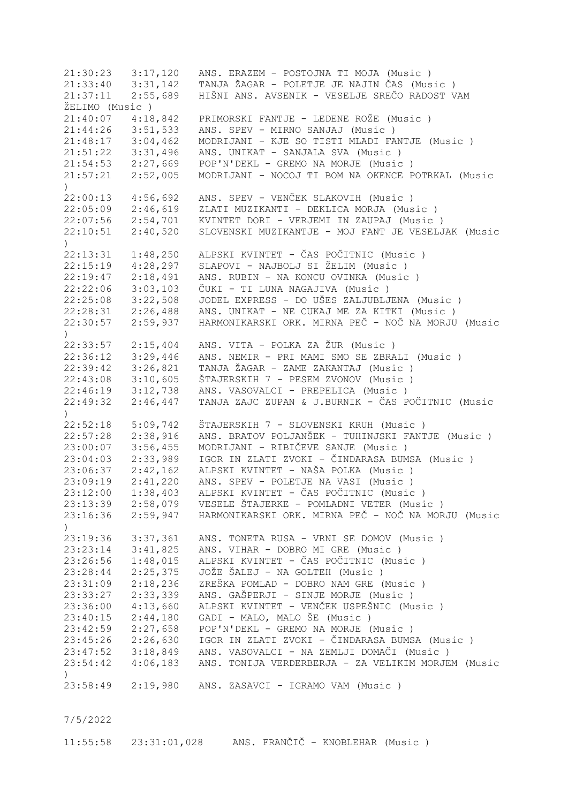21:30:23 3:17,120 ANS. ERAZEM - POSTOJNA TI MOJA (Music ) 21:33:40 3:31,142 TANJA ŽAGAR - POLETJE JE NAJIN ČAS (Music ) 21:37:11 2:55,689 HIŠNI ANS. AVSENIK - VESELJE SREČO RADOST VAM ŽELIMO (Music ) 21:40:07 4:18,842 PRIMORSKI FANTJE - LEDENE ROŽE (Music ) 21:44:26 3:51,533 ANS. SPEV - MIRNO SANJAJ (Music ) 21:48:17 3:04,462 MODRIJANI - KJE SO TISTI MLADI FANTJE (Music ) 21:51:22 3:31,496 ANS. UNIKAT - SANJALA SVA (Music ) 21:54:53 2:27,669 POP'N'DEKL - GREMO NA MORJE (Music ) 21:57:21 2:52,005 MODRIJANI - NOCOJ TI BOM NA OKENCE POTRKAL (Music ) 22:00:13 4:56,692 ANS. SPEV - VENČEK SLAKOVIH (Music ) 22:05:09 2:46,619 ZLATI MUZIKANTI - DEKLICA MORJA (Music ) 22:07:56 2:54,701 KVINTET DORI - VERJEMI IN ZAUPAJ (Music ) 22:10:51 2:40,520 SLOVENSKI MUZIKANTJE - MOJ FANT JE VESELJAK (Music ) 22:13:31 1:48,250 ALPSKI KVINTET - ČAS POČITNIC (Music ) 22:15:19 4:28,297 SLAPOVI - NAJBOLJ SI ŽELIM (Music ) 22:19:47 2:18,491 ANS. RUBIN - NA KONCU OVINKA (Music ) 22:22:06 3:03,103 ČUKI - TI LUNA NAGAJIVA (Music ) 22:25:08 3:22,508 JODEL EXPRESS - DO UŠES ZALJUBLJENA (Music ) 22:28:31 2:26,488 ANS. UNIKAT - NE CUKAJ ME ZA KITKI (Music ) 22:30:57 2:59,937 HARMONIKARSKI ORK. MIRNA PEČ - NOČ NA MORJU (Music  $\lambda$ 22:33:57 2:15,404 ANS. VITA - POLKA ZA ŽUR (Music ) 22:36:12 3:29,446 ANS. NEMIR - PRI MAMI SMO SE ZBRALI (Music ) 22:39:42 3:26,821 TANJA ŽAGAR - ZAME ZAKANTAJ (Music ) 22:43:08 3:10,605 ŠTAJERSKIH 7 - PESEM ZVONOV (Music ) 22:46:19 3:12,738 ANS. VASOVALCI - PREPELICA (Music ) 22:49:32 2:46,447 TANJA ZAJC ZUPAN & J.BURNIK - ČAS POČITNIC (Music ) 22:52:18 5:09,742 ŠTAJERSKIH 7 - SLOVENSKI KRUH (Music ) 22:57:28 2:38,916 ANS. BRATOV POLJANŠEK - TUHINJSKI FANTJE (Music ) 23:00:07 3:56,455 MODRIJANI - RIBIČEVE SANJE (Music ) 23:04:03 2:33,989 IGOR IN ZLATI ZVOKI - ČINDARASA BUMSA (Music ) 23:06:37 2:42,162 ALPSKI KVINTET - NAŠA POLKA (Music ) 23:09:19 2:41,220 ANS. SPEV - POLETJE NA VASI (Music ) 23:12:00 1:38,403 ALPSKI KVINTET - ČAS POČITNIC (Music ) 23:13:39 2:58,079 VESELE ŠTAJERKE - POMLADNI VETER (Music ) 23:16:36 2:59,947 HARMONIKARSKI ORK. MIRNA PEČ - NOČ NA MORJU (Music ) 23:19:36 3:37,361 ANS. TONETA RUSA - VRNI SE DOMOV (Music ) 23:23:14 3:41,825 ANS. VIHAR - DOBRO MI GRE (Music ) 23:26:56 1:48,015 ALPSKI KVINTET - ČAS POČITNIC (Music ) 23:28:44 2:25,375 JOŽE ŠALEJ - NA GOLTEH (Music ) 23:31:09 2:18,236 ZREŠKA POMLAD - DOBRO NAM GRE (Music ) 23:33:27 2:33,339 ANS. GAŠPERJI - SINJE MORJE (Music ) 23:36:00 4:13,660 ALPSKI KVINTET - VENČEK USPEŠNIC (Music ) 23:40:15 2:44,180 GADI - MALO, MALO ŠE (Music ) 23:42:59 2:27,658 POP'N'DEKL - GREMO NA MORJE (Music ) 23:45:26 2:26,630 IGOR IN ZLATI ZVOKI - ČINDARASA BUMSA (Music ) 23:47:52 3:18,849 ANS. VASOVALCI - NA ZEMLJI DOMAČI (Music)<br>23:54:42 4:06,183 ANS. TONIJA VERDERBERJA - ZA VELIKIM MORJE 23:54:42 4:06,183 ANS. TONIJA VERDERBERJA - ZA VELIKIM MORJEM (Music ) 23:58:49 2:19,980 ANS. ZASAVCI - IGRAMO VAM (Music )

7/5/2022

11:55:58 23:31:01,028 ANS. FRANČIČ - KNOBLEHAR (Music )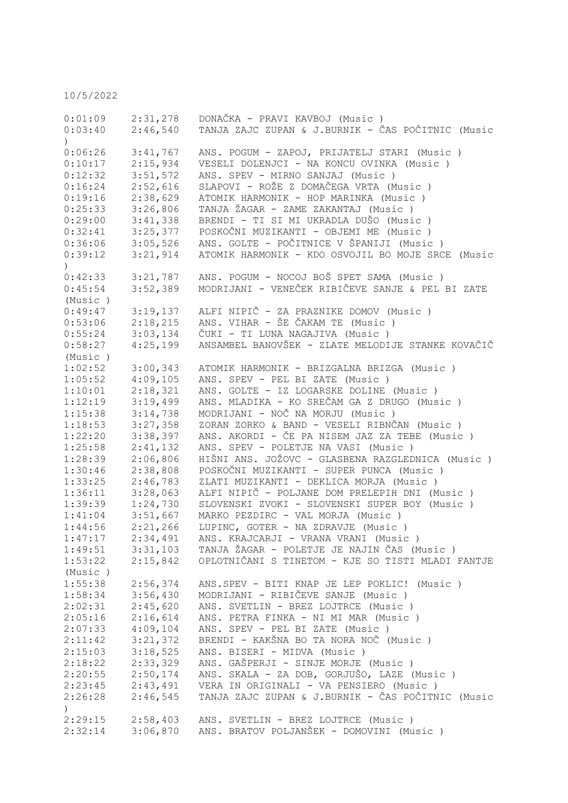10/5/2022

| 0:01:09          | 2:31,278 | DONAČKA - PRAVI KAVBOJ (Music)                      |
|------------------|----------|-----------------------------------------------------|
| 0:03:40          | 2:46,540 | TANJA ZAJC ZUPAN & J.BURNIK - ČAS POČITNIC (Music   |
| $\left( \right)$ |          |                                                     |
| 0:06:26          | 3:41,767 | ANS. POGUM - ZAPOJ, PRIJATELJ STARI (Music)         |
| 0:10:17          | 2:15,934 | VESELI DOLENJCI - NA KONCU OVINKA (Music)           |
| 0:12:32          | 3:51,572 | ANS. SPEV - MIRNO SANJAJ (Music)                    |
| 0:16:24          | 2:52,616 | SLAPOVI - ROŽE Z DOMAČEGA VRTA (Music )             |
| 0:19:16          | 2:38,629 | ATOMIK HARMONIK - HOP MARINKA (Music)               |
| 0:25:33          | 3:26,806 | TANJA ŽAGAR - ZAME ZAKANTAJ (Music )                |
| 0:29:00          | 3:41,338 | BRENDI - TI SI MI UKRADLA DUŠO (Music)              |
| 0:32:41          | 3:25,377 | POSKOČNI MUZIKANTI - OBJEMI ME (Music )             |
| 0:36:06          | 3:05,526 | ANS. GOLTE - POČITNICE V ŠPANIJI (Music )           |
| 0:39:12          | 3:21,914 | ATOMIK HARMONIK - KDO OSVOJIL BO MOJE SRCE (Music   |
| $\mathcal{L}$    |          |                                                     |
| 0:42:33          | 3:21,787 | ANS. POGUM - NOCOJ BOŠ SPET SAMA (Music)            |
| 0:45:54          | 3:52,389 | MODRIJANI - VENEČEK RIBIČEVE SANJE & PEL BI ZATE    |
| (Music)          |          |                                                     |
| 0:49:47          | 3:19,137 | ALFI NIPIČ - ZA PRAZNIKE DOMOV (Music )             |
| 0:53:06          | 2:18,215 | ANS. VIHAR - ŠE ČAKAM TE (Music)                    |
| 0:55:24          | 3:03,134 | ČUKI - TI LUNA NAGAJIVA (Music)                     |
| 0:58:27          | 4:25,199 | ANSAMBEL BANOVŠEK - ZLATE MELODIJE STANKE KOVAČIČ   |
| (Music)          |          |                                                     |
| 1:02:52          | 3:00,343 | ATOMIK HARMONIK - BRIZGALNA BRIZGA (Music)          |
| 1:05:52          | 4:09,105 | ANS. SPEV - PEL BI ZATE (Music)                     |
| 1:10:01          | 2:18,321 | ANS. GOLTE - IZ LOGARSKE DOLINE (Music)             |
| 1:12:19          | 3:19,499 | ANS. MLADIKA - KO SREČAM GA Z DRUGO (Music)         |
| 1:15:38          | 3:14,738 | MODRIJANI - NOČ NA MORJU (Music)                    |
| 1:18:53          | 3:27,358 | ZORAN ZORKO & BAND - VESELI RIBNČAN (Music)         |
| 1:22:20          | 3:38,397 | ANS. AKORDI - ČE PA NISEM JAZ ZA TEBE (Music)       |
| 1:25:58          | 2:41,132 | ANS. SPEV - POLETJE NA VASI (Music)                 |
| 1:28:39          | 2:06,806 | HIŠNI ANS. JOŽOVC - GLASBENA RAZGLEDNICA (Music )   |
| 1:30:46          | 2:38,808 | POSKOČNI MUZIKANTI - SUPER PUNCA (Music)            |
| 1:33:25          | 2:46,783 | ZLATI MUZIKANTI - DEKLICA MORJA (Music)             |
| 1:36:11          | 3:28,063 | ALFI NIPIČ - POLJANE DOM PRELEPIH DNI (Music )      |
| 1:39:39          | 1:24,730 | SLOVENSKI ZVOKI - SLOVENSKI SUPER BOY (Music )      |
| 1:41:04          | 3:51,667 | MARKO PEZDIRC - VAL MORJA (Music)                   |
| 1:44:56          | 2:21,266 | LUPINC, GOTER - NA ZDRAVJE (Music)                  |
| 1:47:17          | 2:34,491 | ANS. KRAJCARJI - VRANA VRANI (Music)                |
| 1:49:51          |          | 3:31,103 TANJA ŽAGAR - POLETJE JE NAJIN ČAS (Music) |
| 1:53:22          | 2:15,842 | OPLOTNIČANI S TINETOM - KJE SO TISTI MLADI FANTJE   |
| (Music)          |          |                                                     |
| 1:55:38          | 2:56,374 | ANS.SPEV - BITI KNAP JE LEP POKLIC! (Music)         |
| 1:58:34          | 3:56,430 | MODRIJANI - RIBIČEVE SANJE (Music )                 |
| 2:02:31          | 2:45,620 | ANS. SVETLIN - BREZ LOJTRCE (Music )                |
| 2:05:16          | 2:16,614 | ANS. PETRA FINKA - NI MI MAR (Music)                |
| 2:07:33          | 4:09,104 | ANS. SPEV - PEL BI ZATE (Music)                     |
| 2:11:42          | 3:21,372 | BRENDI - KAKŠNA BO TA NORA NOČ (Music)              |
| 2:15:03          | 3:18,525 | ANS. BISERI - MIDVA (Music)                         |
| 2:18:22          | 2:33,329 | ANS. GAŠPERJI - SINJE MORJE (Music)                 |
| 2:20:55          | 2:50,174 | ANS. SKALA - ZA DOB, GORJUŠO, LAZE (Music)          |
| 2:23:45          | 2:43,491 | VERA IN ORIGINALI - VA PENSIERO (Music)             |
| 2:26:28          | 2:46,545 | TANJA ZAJC ZUPAN & J.BURNIK - ČAS POČITNIC (Music   |
| $\left( \right)$ |          |                                                     |
| 2:29:15          | 2:58,403 | ANS. SVETLIN - BREZ LOJTRCE (Music)                 |
| 2:32:14          | 3:06,870 | ANS. BRATOV POLJANŠEK - DOMOVINI (Music )           |
|                  |          |                                                     |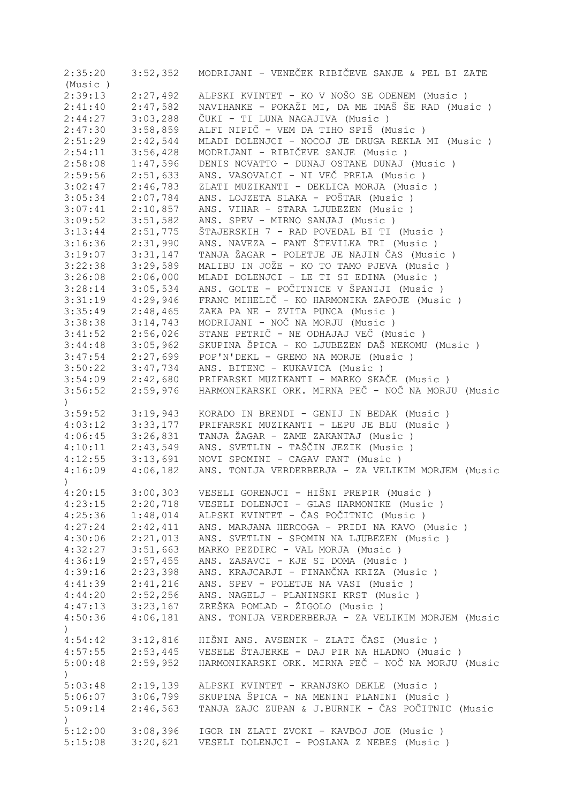| 2:35:20                  | 3:52,352 | MODRIJANI - VENEČEK RIBIČEVE SANJE & PEL BI ZATE     |
|--------------------------|----------|------------------------------------------------------|
| (Music)                  |          |                                                      |
| 2:39:13                  | 2:27,492 | ALPSKI KVINTET - KO V NOŠO SE ODENEM (Music)         |
| 2:41:40                  | 2:47,582 | NAVIHANKE - POKAŽI MI, DA ME IMAŠ ŠE RAD (Music )    |
| 2:44:27                  | 3:03,288 | ČUKI - TI LUNA NAGAJIVA (Music )                     |
| 2:47:30                  | 3:58,859 | ALFI NIPIČ - VEM DA TIHO SPIŠ (Music )               |
| 2:51:29                  | 2:42,544 | MLADI DOLENJCI - NOCOJ JE DRUGA REKLA MI (Music)     |
| 2:54:11                  | 3:56,428 | MODRIJANI - RIBIČEVE SANJE (Music )                  |
|                          |          |                                                      |
| 2:58:08                  | 1:47,596 | DENIS NOVATTO - DUNAJ OSTANE DUNAJ (Music)           |
| 2:59:56                  | 2:51,633 | ANS. VASOVALCI - NI VEČ PRELA (Music)                |
| 3:02:47                  | 2:46,783 | ZLATI MUZIKANTI - DEKLICA MORJA (Music)              |
| 3:05:34                  | 2:07,784 | ANS. LOJZETA SLAKA - POŠTAR (Music )                 |
| 3:07:41                  | 2:10,857 | ANS. VIHAR - STARA LJUBEZEN (Music)                  |
| 3:09:52                  | 3:51,582 | ANS. SPEV - MIRNO SANJAJ (Music)                     |
| 3:13:44                  | 2:51,775 | ŠTAJERSKIH 7 - RAD POVEDAL BI TI (Music)             |
| 3:16:36                  | 2:31,990 | ANS. NAVEZA - FANT ŠTEVILKA TRI (Music)              |
| 3:19:07                  | 3:31,147 | TANJA ŽAGAR - POLETJE JE NAJIN ČAS (Music)           |
| 3:22:38                  | 3:29,589 | MALIBU IN JOŽE - KO TO TAMO PJEVA (Music)            |
| 3:26:08                  | 2:06,000 | MLADI DOLENJCI - LE TI SI EDINA (Music)              |
| 3:28:14                  | 3:05,534 | ANS. GOLTE - POČITNICE V ŠPANIJI (Music )            |
| 3:31:19                  | 4:29,946 | FRANC MIHELIČ - KO HARMONIKA ZAPOJE (Music)          |
| 3:35:49                  | 2:48,465 | ZAKA PA NE - ZVITA PUNCA (Music)                     |
|                          |          |                                                      |
| 3:38:38                  | 3:14,743 | MODRIJANI - NOČ NA MORJU (Music)                     |
| 3:41:52                  | 2:56,026 | STANE PETRIČ - NE ODHAJAJ VEČ (Music)                |
| 3:44:48                  | 3:05,962 | SKUPINA ŠPICA - KO LJUBEZEN DAŠ NEKOMU (Music )      |
| 3:47:54                  | 2:27,699 | POP'N'DEKL - GREMO NA MORJE (Music)                  |
| 3:50:22                  | 3:47,734 | ANS. BITENC - KUKAVICA (Music)                       |
| 3:54:09                  | 2:42,680 | PRIFARSKI MUZIKANTI - MARKO SKAČE (Music)            |
| 3:56:52<br>$\mathcal{L}$ | 2:59,976 | HARMONIKARSKI ORK. MIRNA PEČ - NOČ NA MORJU (Music   |
| 3:59:52                  | 3:19,943 | KORADO IN BRENDI - GENIJ IN BEDAK (Music)            |
| 4:03:12                  | 3:33,177 | PRIFARSKI MUZIKANTI - LEPU JE BLU (Music)            |
| 4:06:45                  | 3:26,831 | TANJA ŽAGAR - ZAME ZAKANTAJ (Music )                 |
| 4:10:11                  | 2:43,549 | ANS. SVETLIN - TAŠČIN JEZIK (Music )                 |
| 4:12:55                  | 3:13,691 | NOVI SPOMINI - CAGAV FANT (Music)                    |
|                          |          |                                                      |
| 4:16:09                  | 4:06,182 | ANS. TONIJA VERDERBERJA - ZA VELIKIM MORJEM (Music   |
| $\mathcal{L}$            |          |                                                      |
| 4:20:15                  | 3:00,303 | VESELI GORENJCI - HIŠNI PREPIR (Music )              |
| 4:23:15                  | 2:20,718 | VESELI DOLENJCI - GLAS HARMONIKE (Music )            |
| 4:25:36                  | 1:48,014 | ALPSKI KVINTET - ČAS POČITNIC (Music )               |
| 4:27:24                  | 2:42,411 | ANS. MARJANA HERCOGA - PRIDI NA KAVO (Music)         |
| 4:30:06                  | 2:21,013 | ANS. SVETLIN - SPOMIN NA LJUBEZEN (Music)            |
| 4:32:27                  | 3:51,663 | MARKO PEZDIRC - VAL MORJA (Music)                    |
| 4:36:19                  | 2:57,455 | ANS. ZASAVCI - KJE SI DOMA (Music)                   |
| 4:39:16                  | 2:23,398 | ANS. KRAJCARJI - FINANČNA KRIZA (Music)              |
| 4:41:39                  | 2:41,216 | ANS. SPEV - POLETJE NA VASI (Music)                  |
| 4:44:20                  | 2:52,256 | ANS. NAGELJ - PLANINSKI KRST (Music)                 |
| 4:47:13                  | 3:23,167 | ZREŠKA POMLAD - ŽIGOLO (Music)                       |
| 4:50:36                  | 4:06,181 | ANS. TONIJA VERDERBERJA - ZA VELIKIM MORJEM (Music   |
| $\left( \right)$         |          |                                                      |
| 4:54:42                  | 3:12,816 | HIŠNI ANS. AVSENIK - ZLATI ČASI (Music )             |
| 4:57:55                  |          | 2:53,445 VESELE ŠTAJERKE - DAJ PIR NA HLADNO (Music) |
| 5:00:48                  | 2:59,952 | HARMONIKARSKI ORK. MIRNA PEČ - NOČ NA MORJU (Music   |
| $\left( \right)$         |          |                                                      |
| 5:03:48                  | 2:19,139 | ALPSKI KVINTET - KRANJSKO DEKLE (Music)              |
| 5:06:07                  | 3:06,799 | SKUPINA ŠPICA - NA MENINI PLANINI (Music )           |
| 5:09:14                  | 2:46,563 | TANJA ZAJC ZUPAN & J.BURNIK - ČAS POČITNIC (Music    |
| $\mathcal{L}$            |          |                                                      |
| 5:12:00                  | 3:08,396 | IGOR IN ZLATI ZVOKI - KAVBOJ JOE (Music)             |
| 5:15:08                  | 3:20,621 | VESELI DOLENJCI - POSLANA Z NEBES (Music)            |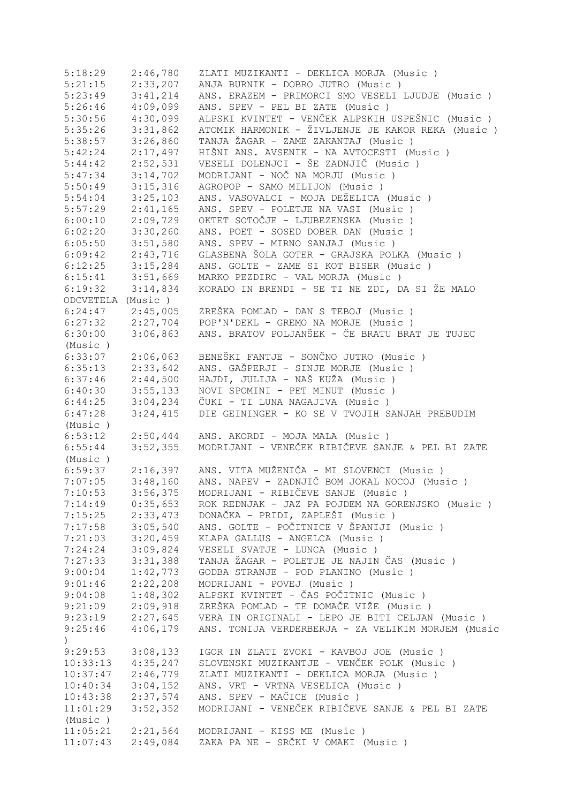| 5:18:29           | 2:46,780 | ZLATI MUZIKANTI - DEKLICA MORJA (Music)            |
|-------------------|----------|----------------------------------------------------|
| 5:21:15           | 2:33,207 | ANJA BURNIK - DOBRO JUTRO (Music)                  |
| 5:23:49           | 3:41,214 | ANS. ERAZEM - PRIMORCI SMO VESELI LJUDJE (Music)   |
| 5:26:46           | 4:09,099 | ANS. SPEV - PEL BI ZATE (Music)                    |
| 5:30:56           | 4:30,099 | ALPSKI KVINTET - VENČEK ALPSKIH USPEŠNIC (Music )  |
| 5:35:26           | 3:31,862 | ATOMIK HARMONIK - ŽIVLJENJE JE KAKOR REKA (Music ) |
| 5:38:57           | 3:26,860 | TANJA ŽAGAR - ZAME ZAKANTAJ (Music)                |
| 5:42:24           | 2:17,497 | HIŠNI ANS. AVSENIK - NA AVTOCESTI (Music)          |
| 5:44:42           | 2:52,531 | VESELI DOLENJCI - ŠE ZADNJIČ (Music )              |
| 5:47:34           | 3:14,702 | MODRIJANI - NOČ NA MORJU (Music)                   |
| 5:50:49           | 3:15,316 | AGROPOP - SAMO MILIJON (Music)                     |
| 5:54:04           | 3:25,103 | ANS. VASOVALCI - MOJA DEŽELICA (Music)             |
| 5:57:29           | 2:41,165 | ANS. SPEV - POLETJE NA VASI (Music)                |
| 6:00:10           | 2:09,729 | OKTET SOTOČJE - LJUBEZENSKA (Music)                |
| 6:02:20           | 3:30,260 | ANS. POET - SOSED DOBER DAN (Music)                |
| 6:05:50           | 3:51,580 | ANS. SPEV - MIRNO SANJAJ (Music)                   |
| 6:09:42           | 2:43,716 | GLASBENA ŠOLA GOTER - GRAJSKA POLKA (Music)        |
| 6:12:25           | 3:15,284 | ANS. GOLTE - ZAME SI KOT BISER (Music)             |
| 6:15:41           | 3:51,669 | MARKO PEZDIRC - VAL MORJA (Music)                  |
| 6:19:32           | 3:14,834 | KORADO IN BRENDI - SE TI NE ZDI, DA SI ŽE MALO     |
| ODCVETELA (Music) |          |                                                    |
| 6:24:47           | 2:45,005 | ZREŠKA POMLAD - DAN S TEBOJ (Music )               |
| 6:27:32           | 2:27,704 | POP'N'DEKL - GREMO NA MORJE (Music)                |
| 6:30:00           | 3:06,863 | ANS. BRATOV POLJANŠEK - ČE BRATU BRAT JE TUJEC     |
| (Music)           |          |                                                    |
| 6:33:07           | 2:06,063 | BENEŠKI FANTJE - SONČNO JUTRO (Music )             |
| 6:35:13           | 2:33,642 | ANS. GAŠPERJI - SINJE MORJE (Music)                |
| 6:37:46           | 2:44,500 | HAJDI, JULIJA - NAŠ KUŽA (Music)                   |
| 6:40:30           | 3:55,133 | NOVI SPOMINI - PET MINUT (Music)                   |
| 6:44:25           | 3:04,234 | ČUKI - TI LUNA NAGAJIVA (Music )                   |
| 6:47:28           | 3:24,415 | DIE GEININGER - KO SE V TVOJIH SANJAH PREBUDIM     |
| (Music)           |          |                                                    |
| 6:53:12           | 2:50,444 | ANS. AKORDI - MOJA MALA (Music)                    |
| 6:55:44           | 3:52,355 | MODRIJANI - VENEČEK RIBIČEVE SANJE & PEL BI ZATE   |
| (Music)           |          |                                                    |
| 6:59:37           | 2:16,397 | ANS. VITA MUŽENIČA - MI SLOVENCI (Music )          |
| 7:07:05           | 3:48,160 | ANS. NAPEV - ZADNJIČ BOM JOKAL NOCOJ (Music)       |
| 7:10:53           | 3:56,375 | MODRIJANI - RIBIČEVE SANJE (Music )                |
| 7:14:49           | 0:35,653 | ROK REDNJAK - JAZ PA POJDEM NA GORENJSKO (Music)   |
| 7:15:25           | 2:33,473 | DONAČKA - PRIDI, ZAPLEŠI (Music )                  |
| 7:17:58           | 3:05,540 | ANS. GOLTE - POČITNICE V ŠPANIJI (Music )          |
| 7:21:03           | 3:20,459 | KLAPA GALLUS - ANGELCA (Music)                     |
| 7:24:24           | 3:09,824 | VESELI SVATJE - LUNCA (Music)                      |
| 7:27:33           | 3:31,388 | TANJA ŽAGAR - POLETJE JE NAJIN ČAS (Music)         |
| 9:00:04           | 1:42,773 | GODBA STRANJE - POD PLANINO (Music)                |
| 9:01:46           | 2:22,208 | MODRIJANI - POVEJ (Music)                          |
| 9:04:08           | 1:48,302 | ALPSKI KVINTET - ČAS POČITNIC (Music )             |
| 9:21:09           | 2:09,918 | ZREŠKA POMLAD - TE DOMAČE VIŽE (Music )            |
| 9:23:19           | 2:27,645 | VERA IN ORIGINALI - LEPO JE BITI CELJAN (Music )   |
| 9:25:46           | 4:06,179 | ANS. TONIJA VERDERBERJA - ZA VELIKIM MORJEM (Music |
| $\left( \right)$  |          |                                                    |
| 9:29:53           | 3:08,133 | IGOR IN ZLATI ZVOKI - KAVBOJ JOE (Music)           |
| 10:33:13          | 4:35,247 | SLOVENSKI MUZIKANTJE - VENČEK POLK (Music)         |
| 10:37:47          | 2:46,779 | ZLATI MUZIKANTI - DEKLICA MORJA (Music)            |
| 10:40:34          | 3:04,152 | ANS. VRT - VRTNA VESELICA (Music)                  |
| 10:43:38          | 2:37,574 | ANS. SPEV - MAČICE (Music)                         |
| 11:01:29          | 3:52,352 | MODRIJANI - VENEČEK RIBIČEVE SANJE & PEL BI ZATE   |
| (Music)           |          |                                                    |
| 11:05:21          | 2:21,564 | MODRIJANI - KISS ME (Music)                        |
| 11:07:43          | 2:49,084 | ZAKA PA NE - SRČKI V OMAKI (Music )                |
|                   |          |                                                    |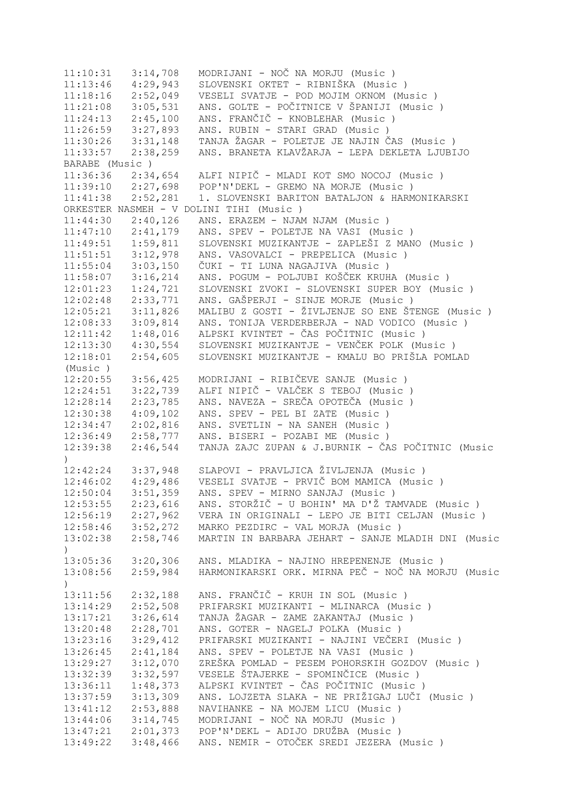11:10:31 3:14,708 MODRIJANI - NOČ NA MORJU (Music ) 11:13:46 4:29,943 SLOVENSKI OKTET - RIBNIŠKA (Music ) 11:18:16 2:52,049 VESELI SVATJE - POD MOJIM OKNOM (Music ) 11:21:08 3:05,531 ANS. GOLTE - POČITNICE V ŠPANIJI (Music ) 11:24:13 2:45,100 ANS. FRANČIČ - KNOBLEHAR (Music ) 11:26:59 3:27,893 ANS. RUBIN - STARI GRAD (Music ) 11:30:26 3:31,148 TANJA ŽAGAR - POLETJE JE NAJIN ČAS (Music ) 11:33:57 2:38,259 ANS. BRANETA KLAVŽARJA - LEPA DEKLETA LJUBIJO BARABE (Music ) 11:36:36 2:34,654 ALFI NIPIČ - MLADI KOT SMO NOCOJ (Music ) 11:39:10 2:27,698 POP'N'DEKL - GREMO NA MORJE (Music ) 11:41:38 2:52,281 1. SLOVENSKI BARITON BATALJON & HARMONIKARSKI ORKESTER NASMEH - V DOLINI TIHI (Music ) 11:44:30 2:40,126 ANS. ERAZEM - NJAM NJAM (Music ) 11:47:10 2:41,179 ANS. SPEV - POLETJE NA VASI (Music ) 11:49:51 1:59,811 SLOVENSKI MUZIKANTJE - ZAPLEŠI Z MANO (Music ) 11:51:51 3:12,978 ANS. VASOVALCI - PREPELICA (Music ) 11:55:04 3:03,150 ČUKI - TI LUNA NAGAJIVA (Music ) 11:58:07 3:16,214 ANS. POGUM - POLJUBI KOŠČEK KRUHA (Music ) 12:01:23 1:24,721 SLOVENSKI ZVOKI - SLOVENSKI SUPER BOY (Music ) 12:02:48 2:33,771 ANS. GAŠPERJI - SINJE MORJE (Music ) 12:05:21 3:11,826 MALIBU Z GOSTI - ŽIVLJENJE SO ENE ŠTENGE (Music ) 12:08:33 3:09,814 ANS. TONIJA VERDERBERJA - NAD VODICO (Music ) 12:11:42 1:48,016 ALPSKI KVINTET - ČAS POČITNIC (Music ) 12:13:30 4:30,554 SLOVENSKI MUZIKANTJE - VENČEK POLK (Music ) 12:18:01 2:54,605 SLOVENSKI MUZIKANTJE - KMALU BO PRIŠLA POMLAD (Music ) 12:20:55 3:56,425 MODRIJANI - RIBIČEVE SANJE (Music ) 12:24:51 3:22,739 ALFI NIPIČ - VALČEK S TEBOJ (Music ) 12:28:14 2:23,785 ANS. NAVEZA - SREČA OPOTEČA (Music ) 12:30:38 4:09,102 ANS. SPEV - PEL BI ZATE (Music ) 12:34:47 2:02,816 ANS. SVETLIN - NA SANEH (Music ) 12:36:49 2:58,777 ANS. BISERI - POZABI ME (Music ) 12:39:38 2:46,544 TANJA ZAJC ZUPAN & J.BURNIK - ČAS POČITNIC (Music ) 12:42:24 3:37,948 SLAPOVI - PRAVLJICA ŽIVLJENJA (Music ) 12:46:02 4:29,486 VESELI SVATJE - PRVIČ BOM MAMICA (Music ) 12:50:04 3:51,359 ANS. SPEV - MIRNO SANJAJ (Music ) 12:53:55 2:23,616 ANS. STORŽIČ - U BOHIN' MA D'Ž TAMVADE (Music ) 12:56:19 2:27,962 VERA IN ORIGINALI - LEPO JE BITI CELJAN (Music ) 12:58:46 3:52,272 MARKO PEZDIRC - VAL MORJA (Music ) 13:02:38 2:58,746 MARTIN IN BARBARA JEHART - SANJE MLADIH DNI (Music )<br>13:05:36 3:20,306<br>13:08:56 2:59,984 13:05:36 3:20,306 ANS. MLADIKA - NAJINO HREPENENJE (Music ) 13:08:56 2:59,984 HARMONIKARSKI ORK. MIRNA PEČ - NOČ NA MORJU (Music ) 13:11:56 2:32,188 ANS. FRANČIČ - KRUH IN SOL (Music ) 13:14:29 2:52,508 PRIFARSKI MUZIKANTI - MLINARCA (Music ) 13:17:21 3:26,614 TANJA ŽAGAR - ZAME ZAKANTAJ (Music ) 13:20:48 2:28,701 ANS. GOTER - NAGELJ POLKA (Music ) 13:23:16 3:29,412 PRIFARSKI MUZIKANTI - NAJINI VEČERI (Music ) 13:26:45 2:41,184 ANS. SPEV - POLETJE NA VASI (Music ) 13:29:27 3:12,070 ZREŠKA POMLAD - PESEM POHORSKIH GOZDOV (Music ) 13:32:39 3:32,597 VESELE ŠTAJERKE - SPOMINČICE (Music ) 13:36:11 1:48,373 ALPSKI KVINTET - ČAS POČITNIC (Music ) 13:37:59 3:13,309 ANS. LOJZETA SLAKA - NE PRIŽIGAJ LUČI (Music ) 13:41:12 2:53,888 NAVIHANKE - NA MOJEM LICU (Music ) 13:44:06 3:14,745 MODRIJANI - NOČ NA MORJU (Music ) 13:47:21 2:01,373 POP'N'DEKL - ADIJO DRUŽBA (Music ) 13:49:22 3:48,466 ANS. NEMIR - OTOČEK SREDI JEZERA (Music )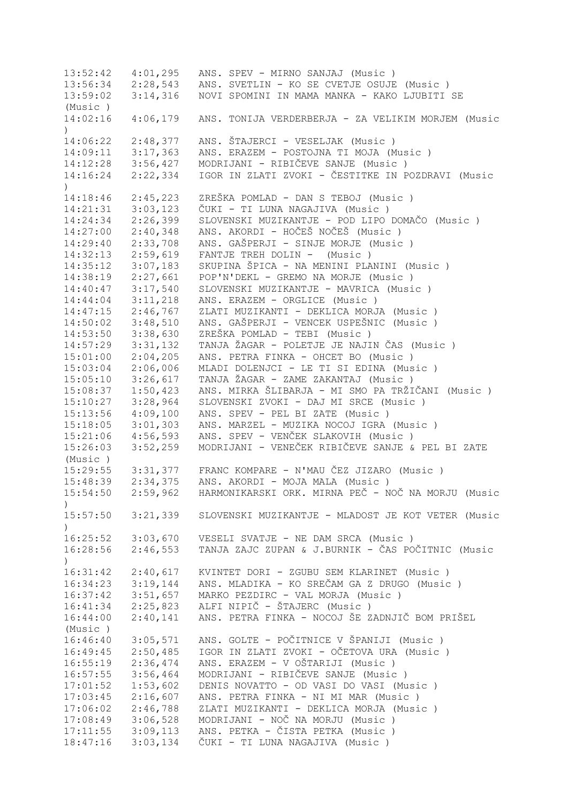13:52:42 4:01,295 ANS. SPEV - MIRNO SANJAJ (Music ) 13:56:34 2:28,543 ANS. SVETLIN - KO SE CVETJE OSUJE (Music ) 13:59:02 3:14,316 NOVI SPOMINI IN MAMA MANKA - KAKO LJUBITI SE (Music ) 14:02:16 4:06,179 ANS. TONIJA VERDERBERJA - ZA VELIKIM MORJEM (Music  $\lambda$ 14:06:22 2:48,377 ANS. ŠTAJERCI - VESELJAK (Music ) 14:09:11 3:17,363 ANS. ERAZEM - POSTOJNA TI MOJA (Music ) 14:12:28 3:56,427 MODRIJANI - RIBIČEVE SANJE (Music ) 14:16:24 2:22,334 IGOR IN ZLATI ZVOKI - ČESTITKE IN POZDRAVI (Music ) 14:18:46 2:45,223 ZREŠKA POMLAD - DAN S TEBOJ (Music ) 14:21:31 3:03,123 ČUKI - TI LUNA NAGAJIVA (Music ) 14:24:34 2:26,399 SLOVENSKI MUZIKANTJE - POD LIPO DOMAČO (Music ) 14:27:00 2:40,348 ANS. AKORDI - HOČEŠ NOČEŠ (Music ) 14:29:40 2:33,708 ANS. GAŠPERJI - SINJE MORJE (Music ) 14:32:13 2:59,619 FANTJE TREH DOLIN - (Music ) 14:35:12 3:07,183 SKUPINA ŠPICA - NA MENINI PLANINI (Music ) 14:38:19 2:27,661 POP'N'DEKL - GREMO NA MORJE (Music )<br>14:40:47 3:17,540 SLOVENSKI MUZIKANTJE - MAVRICA (Musi 3:17,540 SLOVENSKI MUZIKANTJE - MAVRICA (Music ) 14:44:04 3:11,218 ANS. ERAZEM - ORGLICE (Music ) 14:47:15 2:46,767 ZLATI MUZIKANTI - DEKLICA MORJA (Music ) 14:50:02 3:48,510 ANS. GAŠPERJI - VENCEK USPEŠNIC (Music ) 14:53:50 3:38,630 ZREŠKA POMLAD - TEBI (Music ) 14:57:29 3:31,132 TANJA ŽAGAR - POLETJE JE NAJIN ČAS (Music ) 15:01:00 2:04,205 ANS. PETRA FINKA - OHCET BO (Music ) 15:03:04 2:06,006 MLADI DOLENJCI - LE TI SI EDINA (Music ) 15:05:10 3:26,617 TANJA ŽAGAR - ZAME ZAKANTAJ (Music ) 15:08:37 1:50,423 ANS. MIRKA ŠLIBARJA - MI SMO PA TRŽIČANI (Music ) 15:10:27 3:28,964 SLOVENSKI ZVOKI - DAJ MI SRCE (Music ) 15:13:56 4:09,100 ANS. SPEV - PEL BI ZATE (Music ) 15:18:05 3:01,303 ANS. MARZEL - MUZIKA NOCOJ IGRA (Music ) 15:21:06 4:56,593 ANS. SPEV - VENČEK SLAKOVIH (Music ) 15:26:03 3:52,259 MODRIJANI - VENEČEK RIBIČEVE SANJE & PEL BI ZATE (Music ) 15:29:55 3:31,377 FRANC KOMPARE - N'MAU ČEZ JIZARO (Music ) ANS. AKORDI - MOJA MALA (Music ) 15:54:50 2:59,962 HARMONIKARSKI ORK. MIRNA PEČ - NOČ NA MORJU (Music  $\lambda$ 15:57:50 3:21,339 SLOVENSKI MUZIKANTJE - MLADOST JE KOT VETER (Music  $\lambda$ 16:25:52 3:03,670 VESELI SVATJE - NE DAM SRCA (Music ) 16:28:56 2:46,553 TANJA ZAJC ZUPAN & J.BURNIK - ČAS POČITNIC (Music  $\lambda$ 16:31:42 2:40,617 KVINTET DORI - ZGUBU SEM KLARINET (Music ) 16:34:23 3:19,144 ANS. MLADIKA - KO SREČAM GA Z DRUGO (Music ) 16:37:42 3:51,657 MARKO PEZDIRC - VAL MORJA (Music ) 16:41:34 2:25,823 ALFI NIPIČ - ŠTAJERC (Music ) 16:44:00 2:40,141 ANS. PETRA FINKA - NOCOJ ŠE ZADNJIČ BOM PRIŠEL (Music ) 16:46:40 3:05,571 ANS. GOLTE - POČITNICE V ŠPANIJI (Music ) 16:49:45 2:50,485 IGOR IN ZLATI ZVOKI - OČETOVA URA (Music)<br>16:55:19 2:36,474 ANS. ERAZEM - V OŠTARIJI (Music) 16:55:19 2:36,474 ANS. ERAZEM - V OŠTARIJI (Music ) 16:57:55 3:56,464 MODRIJANI - RIBIČEVE SANJE (Music ) DENIS NOVATTO - OD VASI DO VASI (Music ) 17:03:45 2:16,607 ANS. PETRA FINKA - NI MI MAR (Music ) 17:06:02 2:46,788 ZLATI MUZIKANTI - DEKLICA MORJA (Music ) 17:08:49 3:06,528 MODRIJANI - NOČ NA MORJU (Music ) 17:11:55 3:09,113 ANS. PETKA - ČISTA PETKA (Music ) 18:47:16 3:03,134 ČUKI - TI LUNA NAGAJIVA (Music )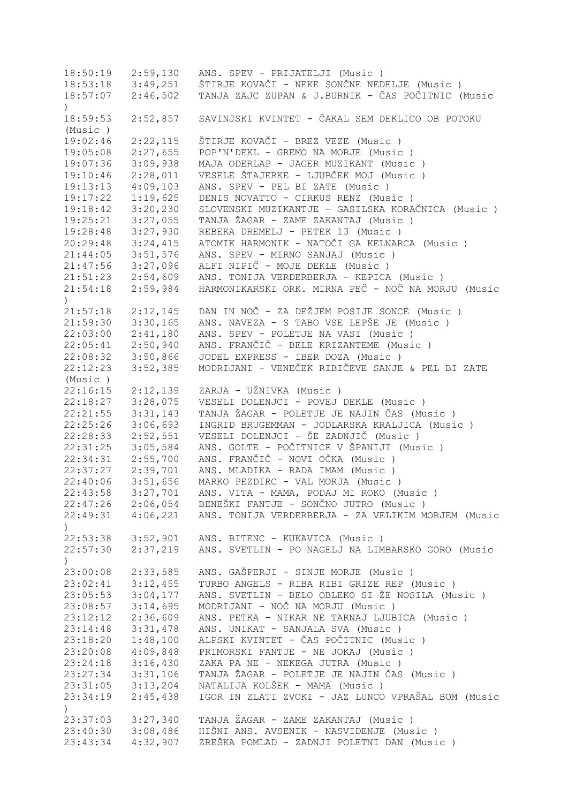18:50:19 2:59,130 ANS. SPEV - PRIJATELJI (Music ) 18:53:18 3:49,251 ŠTIRJE KOVAČI - NEKE SONČNE NEDELJE (Music ) 18:57:07 2:46,502 TANJA ZAJC ZUPAN & J.BURNIK - ČAS POČITNIC (Music  $\lambda$ 18:59:53 2:52,857 SAVINJSKI KVINTET - ČAKAL SEM DEKLICO OB POTOKU (Music ) 19:02:46 2:22,115 ŠTIRJE KOVAČI - BREZ VEZE (Music ) 19:05:08 2:27,655 POP'N'DEKL - GREMO NA MORJE (Music ) 19:07:36 3:09,938 MAJA ODERLAP - JAGER MUZIKANT (Music ) 19:10:46 2:28,011 VESELE ŠTAJERKE - LJUBČEK MOJ (Music ) 19:13:13 4:09,103 ANS. SPEV - PEL BI ZATE (Music ) 19:17:22 1:19,625 DENIS NOVATTO - CIRKUS RENZ (Music ) 19:18:42 3:20,230 SLOVENSKI MUZIKANTJE - GASILSKA KORAČNICA (Music ) 19:25:21 3:27,055 TANJA ŽAGAR - ZAME ZAKANTAJ (Music ) 19:28:48 3:27,930 REBEKA DREMELJ - PETEK 13 (Music ) 20:29:48 3:24,415 ATOMIK HARMONIK - NATOČI GA KELNARCA (Music ) 21:44:05 3:51,576 ANS. SPEV - MIRNO SANJAJ (Music ) 21:47:56 3:27,096 ALFI NIPIČ - MOJE DEKLE (Music ) 21:51:23 2:54,609 ANS. TONIJA VERDERBERJA - KEPICA (Music ) 21:54:18 2:59,984 HARMONIKARSKI ORK. MIRNA PEČ - NOČ NA MORJU (Music ) 21:57:18 2:12,145 DAN IN NOČ - ZA DEŽJEM POSIJE SONCE (Music ) 21:59:30 3:30,165 ANS. NAVEZA - S TABO VSE LEPŠE JE (Music ) 22:03:00 2:41,180 ANS. SPEV - POLETJE NA VASI (Music ) 22:05:41 2:50,940 ANS. FRANČIČ - BELE KRIZANTEME (Music ) 22:08:32 3:50,866 JODEL EXPRESS - IBER DOZA (Music ) 22:12:23 3:52,385 MODRIJANI - VENEČEK RIBIČEVE SANJE & PEL BI ZATE (Music ) 22:16:15 2:12,139 ZARJA - UŽNIVKA (Music ) 22:18:27 3:28,075 VESELI DOLENJCI - POVEJ DEKLE (Music ) 22:21:55 3:31,143 TANJA ŽAGAR - POLETJE JE NAJIN ČAS (Music ) 22:25:26 3:06,693 INGRID BRUGEMMAN - JODLARSKA KRALJICA (Music ) 22:28:33 2:52,551 VESELI DOLENJCI - ŠE ZADNJIČ (Music ) 22:31:25 3:05,584 ANS. GOLTE - POČITNICE V ŠPANIJI (Music ) 22:34:31 2:55,700 ANS. FRANČIČ - NOVI OČKA (Music ) 22:37:27 2:39,701 ANS. MLADIKA - RADA IMAM (Music ) 22:40:06 3:51,656 MARKO PEZDIRC - VAL MORJA (Music ) 22:43:58 3:27,701 ANS. VITA - MAMA, PODAJ MI ROKO (Music ) 22:47:26 2:06,054 BENEŠKI FANTJE - SONČNO JUTRO (Music ) 22:49:31 4:06,221 ANS. TONIJA VERDERBERJA - ZA VELIKIM MORJEM (Music ) 22:53:38 3:52,901 ANS. BITENC - KUKAVICA (Music ) 22:57:30 2:37,219 ANS. SVETLIN - PO NAGELJ NA LIMBARSKO GORO (Music  $\lambda$ 23:00:08 2:33,585 ANS. GAŠPERJI - SINJE MORJE (Music ) 23:02:41 3:12,455 TURBO ANGELS - RIBA RIBI GRIZE REP (Music ) 23:02:41 3:12,455 TURBO ANGELS - RIBA RIBI GRIZE REP (Music )<br>23:05:53 3:04,177 ANS. SVETLIN - BELO OBLEKO SI ŽE NOSILA (Music )<br>23:08:57 3:14,695 MODRIJANI - NOČ NA MORJU (Music ) 23:08:57 3:14,695 MODRIJANI - NOČ NA MORJU (Music ) 23:12:12 2:36,609 ANS. PETKA - NIKAR NE TARNAJ LJUBICA (Music ) 23:14:48 3:31,478 ANS. UNIKAT - SANJALA SVA (Music ) 23:18:20 1:48,100 ALPSKI KVINTET - ČAS POČITNIC (Music ) 23:20:08 4:09,848 PRIMORSKI FANTJE - NE JOKAJ (Music ) 23:24:18 3:16,430 ZAKA PA NE - NEKEGA JUTRA (Music ) 23:27:34 3:31,106 TANJA ŽAGAR - POLETJE JE NAJIN ČAS (Music ) 23:31:05 3:13,204 NATALIJA KOLŠEK - MAMA (Music ) 23:34:19 2:45,438 IGOR IN ZLATI ZVOKI - JAZ LUNCO VPRAŠAL BOM (Music  $\lambda$ 23:37:03 3:27,340 TANJA ŽAGAR - ZAME ZAKANTAJ (Music ) 23:40:30 3:08,486 HIŠNI ANS. AVSENIK - NASVIDENJE (Music ) 23:43:34 4:32,907 ZREŠKA POMLAD - ZADNJI POLETNI DAN (Music )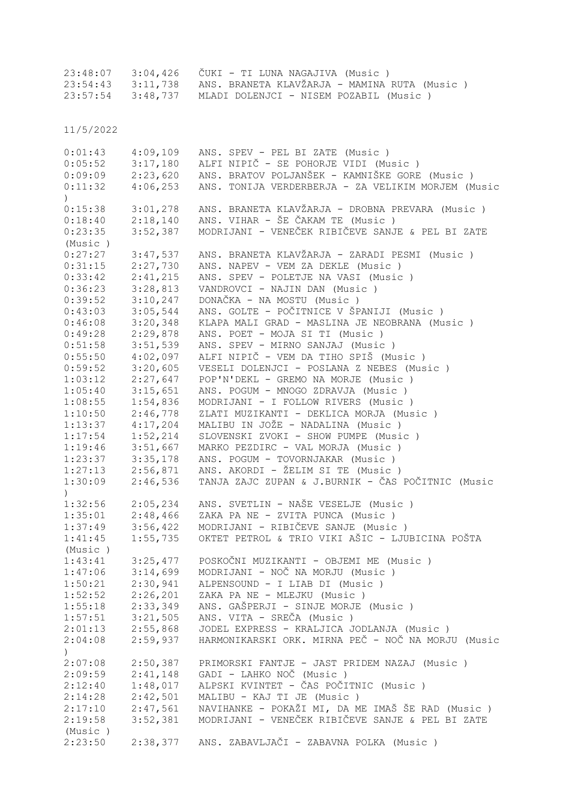|  | 23:48:07 3:04,426 ČUKI - TI LUNA NAGAJIVA (Music)              |  |
|--|----------------------------------------------------------------|--|
|  | 23:54:43 3:11,738 ANS. BRANETA KLAVŽARJA - MAMINA RUTA (Music) |  |
|  | $23:57:54$ $3:48.737$ MLADI DOLENJCI - NISEM POZABIL (Music)   |  |

11/5/2022

| 0:01:43                     | 4:09,109 | ANS. SPEV - PEL BI ZATE (Music)                    |
|-----------------------------|----------|----------------------------------------------------|
| 0:05:52                     | 3:17,180 | ALFI NIPIČ - SE POHORJE VIDI (Music)               |
| 0:09:09                     | 2:23,620 | ANS. BRATOV POLJANŠEK - KAMNIŠKE GORE (Music)      |
| 0:11:32<br>$\left( \right)$ | 4:06,253 | ANS. TONIJA VERDERBERJA - ZA VELIKIM MORJEM (Music |
| 0:15:38                     | 3:01,278 | ANS. BRANETA KLAVŽARJA - DROBNA PREVARA (Music)    |
| 0:18:40                     | 2:18,140 | ANS. VIHAR - ŠE ČAKAM TE (Music)                   |
| 0:23:35                     | 3:52,387 | MODRIJANI - VENEČEK RIBIČEVE SANJE & PEL BI ZATE   |
| (Music)                     |          |                                                    |
| 0:27:27                     | 3:47,537 | ANS. BRANETA KLAVŽARJA - ZARADI PESMI (Music )     |
| 0:31:15                     | 2:27,730 | ANS. NAPEV - VEM ZA DEKLE (Music)                  |
| 0:33:42                     | 2:41,215 | ANS. SPEV - POLETJE NA VASI (Music)                |
| 0:36:23                     | 3:28,813 | VANDROVCI - NAJIN DAN (Music)                      |
| 0:39:52                     | 3:10,247 | DONAČKA - NA MOSTU (Music)                         |
| 0:43:03                     | 3:05,544 | ANS. GOLTE - POČITNICE V ŠPANIJI (Music )          |
| 0:46:08                     | 3:20,348 | KLAPA MALI GRAD - MASLINA JE NEOBRANA (Music)      |
| 0:49:28                     | 2:29,878 | ANS. POET - MOJA SI TI (Music)                     |
| 0:51:58                     | 3:51,539 | ANS. SPEV - MIRNO SANJAJ (Music)                   |
| 0:55:50                     | 4:02,097 | ALFI NIPIČ - VEM DA TIHO SPIŠ (Music )             |
| 0:59:52                     | 3:20,605 | VESELI DOLENJCI - POSLANA Z NEBES (Music )         |
| 1:03:12                     | 2:27,647 | POP'N'DEKL - GREMO NA MORJE (Music)                |
| 1:05:40                     | 3:15,651 | ANS. POGUM - MNOGO ZDRAVJA (Music)                 |
| 1:08:55                     | 1:54,836 | MODRIJANI - I FOLLOW RIVERS (Music)                |
| 1:10:50                     | 2:46,778 | ZLATI MUZIKANTI - DEKLICA MORJA (Music)            |
| 1:13:37                     | 4:17,204 | MALIBU IN JOŽE - NADALINA (Music)                  |
| 1:17:54                     | 1:52,214 | SLOVENSKI ZVOKI - SHOW PUMPE (Music )              |
| 1:19:46                     | 3:51,667 | MARKO PEZDIRC - VAL MORJA (Music)                  |
| 1:23:37                     | 3:35,178 | ANS. POGUM - TOVORNJAKAR (Music)                   |
| 1:27:13                     | 2:56,871 | ANS. AKORDI - ŽELIM SI TE (Music)                  |
| 1:30:09                     | 2:46,536 | TANJA ZAJC ZUPAN & J.BURNIK - ČAS POČITNIC (Music  |
| $\lambda$                   |          |                                                    |
| 1:32:56                     | 2:05,234 | ANS. SVETLIN - NAŠE VESELJE (Music)                |
| 1:35:01                     | 2:48,466 | ZAKA PA NE - ZVITA PUNCA (Music)                   |
| 1:37:49                     | 3:56,422 | MODRIJANI - RIBIČEVE SANJE (Music)                 |
| 1:41:45                     | 1:55,735 | OKTET PETROL & TRIO VIKI AŠIC - LJUBICINA POŠTA    |
| (Music)                     |          |                                                    |
| 1:43:41                     | 3:25,477 | POSKOČNI MUZIKANTI - OBJEMI ME (Music)             |
| 1:47:06                     | 3:14,699 | MODRIJANI - NOČ NA MORJU (Music)                   |
| 1:50:21                     | 2:30,941 | ALPENSOUND - I LIAB DI (Music)                     |
| 1:52:52                     | 2:26,201 | ZAKA PA NE - MLEJKU (Music)                        |
| 1:55:18                     | 2:33,349 | ANS. GAŠPERJI - SINJE MORJE (Music)                |
| 1:57:51                     | 3:21,505 | ANS. VITA - SREČA (Music)                          |
| 2:01:13                     | 2:55,868 | JODEL EXPRESS - KRALJICA JODLANJA (Music)          |
| 2:04:08                     | 2:59,937 | HARMONIKARSKI ORK. MIRNA PEČ - NOČ NA MORJU (Music |
| $\mathcal{L}$               |          |                                                    |
| 2:07:08                     | 2:50,387 | PRIMORSKI FANTJE - JAST PRIDEM NAZAJ (Music)       |
| 2:09:59                     | 2:41,148 | GADI - LAHKO NOČ (Music)                           |
| 2:12:40                     | 1:48,017 | ALPSKI KVINTET - ČAS POČITNIC (Music )             |
| 2:14:28                     | 2:42,501 | MALIBU - KAJ TI JE (Music)                         |
| 2:17:10                     | 2:47,561 | NAVIHANKE - POKAŽI MI, DA ME IMAŠ ŠE RAD (Music)   |
| 2:19:58                     | 3:52,381 | MODRIJANI - VENEČEK RIBIČEVE SANJE & PEL BI ZATE   |
| (Music)                     |          |                                                    |
| 2:23:50                     |          | 2:38,377 ANS. ZABAVLJAČI - ZABAVNA POLKA (Music)   |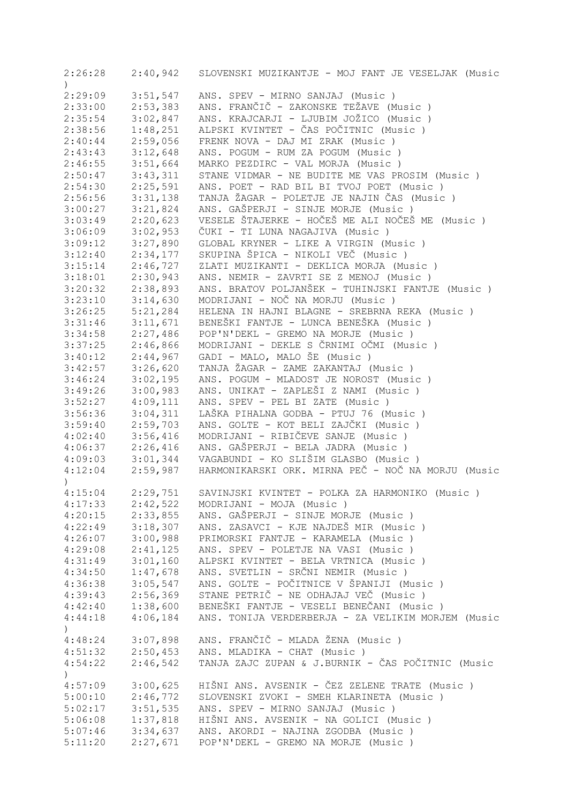| 2:26:28          |          | 2:40,942 SLOVENSKI MUZIKANTJE - MOJ FANT JE VESELJAK (Music |
|------------------|----------|-------------------------------------------------------------|
| $\mathcal{C}$    |          |                                                             |
| 2:29:09          | 3:51,547 | ANS. SPEV - MIRNO SANJAJ (Music)                            |
| 2:33:00          | 2:53,383 | ANS. FRANČIČ - ZAKONSKE TEŽAVE (Music)                      |
| 2:35:54          | 3:02,847 | ANS. KRAJCARJI - LJUBIM JOŽICO (Music )                     |
| 2:38:56          | 1:48,251 | ALPSKI KVINTET - ČAS POČITNIC (Music )                      |
| 2:40:44          | 2:59,056 | FRENK NOVA - DAJ MI ZRAK (Music)                            |
| 2:43:43          | 3:12,648 | ANS. POGUM - RUM ZA POGUM (Music)                           |
| 2:46:55          | 3:51,664 | MARKO PEZDIRC - VAL MORJA (Music)                           |
| 2:50:47          | 3:43,311 | STANE VIDMAR - NE BUDITE ME VAS PROSIM (Music)              |
| 2:54:30          | 2:25,591 | ANS. POET - RAD BIL BI TVOJ POET (Music)                    |
| 2:56:56          | 3:31,138 | TANJA ŽAGAR - POLETJE JE NAJIN ČAS (Music)                  |
| 3:00:27          | 3:21,824 | ANS. GAŠPERJI - SINJE MORJE (Music)                         |
| 3:03:49          | 2:20,623 | VESELE ŠTAJERKE - HOČEŠ ME ALI NOČEŠ ME (Music)             |
| 3:06:09          | 3:02,953 | ČUKI - TI LUNA NAGAJIVA (Music)                             |
| 3:09:12          | 3:27,890 | GLOBAL KRYNER - LIKE A VIRGIN (Music )                      |
| 3:12:40          | 2:34,177 | SKUPINA ŠPICA - NIKOLI VEČ (Music )                         |
| 3:15:14          | 2:46,727 | ZLATI MUZIKANTI - DEKLICA MORJA (Music)                     |
|                  |          |                                                             |
| 3:18:01          | 2:30,943 | ANS. NEMIR - ZAVRTI SE Z MENOJ (Music)                      |
| 3:20:32          | 2:38,893 | ANS. BRATOV POLJANŠEK - TUHINJSKI FANTJE (Music)            |
| 3:23:10          | 3:14,630 | MODRIJANI - NOČ NA MORJU (Music)                            |
| 3:26:25          | 5:21,284 | HELENA IN HAJNI BLAGNE - SREBRNA REKA (Music)               |
| 3:31:46          | 3:11,671 | BENEŠKI FANTJE - LUNCA BENEŠKA (Music )                     |
| 3:34:58          | 2:27,486 | POP'N'DEKL - GREMO NA MORJE (Music)                         |
| 3:37:25          | 2:46,866 | MODRIJANI - DEKLE S ČRNIMI OČMI (Music)                     |
| 3:40:12          | 2:44,967 | GADI - MALO, MALO ŠE (Music)                                |
| 3:42:57          | 3:26,620 | TANJA ŽAGAR - ZAME ZAKANTAJ (Music )                        |
| 3:46:24          | 3:02,195 | ANS. POGUM - MLADOST JE NOROST (Music)                      |
| 3:49:26          | 3:00,983 | ANS. UNIKAT - ZAPLEŠI Z NAMI (Music )                       |
| 3:52:27          | 4:09,111 | ANS. SPEV - PEL BI ZATE (Music)                             |
| 3:56:36          | 3:04,311 | LAŠKA PIHALNA GODBA - PTUJ 76 (Music)                       |
| 3:59:40          | 2:59,703 | ANS. GOLTE - KOT BELI ZAJČKI (Music )                       |
| 4:02:40          | 3:56,416 | MODRIJANI - RIBIČEVE SANJE (Music)                          |
| 4:06:37          | 2:26,416 | ANS. GAŠPERJI - BELA JADRA (Music )                         |
| 4:09:03          | 3:01,344 | VAGABUNDI - KO SLIŠIM GLASBO (Music )                       |
| 4:12:04          | 2:59,987 | HARMONIKARSKI ORK. MIRNA PEČ - NOČ NA MORJU (Music          |
| $\left( \right)$ |          |                                                             |
| 4:15:04          |          | 2:29,751 SAVINJSKI KVINTET - POLKA ZA HARMONIKO (Music)     |
| 4:17:33          | 2:42,522 | MODRIJANI - MOJA (Music)                                    |
| 4:20:15          | 2:33,855 | ANS. GAŠPERJI - SINJE MORJE (Music)                         |
| 4:22:49          | 3:18,307 | ANS. ZASAVCI - KJE NAJDEŠ MIR (Music)                       |
| 4:26:07          | 3:00,988 | PRIMORSKI FANTJE - KARAMELA (Music)                         |
| 4:29:08          | 2:41,125 | ANS. SPEV - POLETJE NA VASI (Music)                         |
| 4:31:49          | 3:01,160 | ALPSKI KVINTET - BELA VRTNICA (Music)                       |
| 4:34:50          | 1:47,678 | ANS. SVETLIN - SRČNI NEMIR (Music)                          |
| 4:36:38          | 3:05,547 | ANS. GOLTE - POČITNICE V ŠPANIJI (Music)                    |
| 4:39:43          | 2:56,369 | STANE PETRIČ - NE ODHAJAJ VEČ (Music)                       |
| 4:42:40          | 1:38,600 | BENEŠKI FANTJE - VESELI BENEČANI (Music )                   |
|                  | 4:06,184 | ANS. TONIJA VERDERBERJA - ZA VELIKIM MORJEM (Music          |
| 4:44:18          |          |                                                             |
|                  |          |                                                             |
| 4:48:24          | 3:07,898 | ANS. FRANČIČ - MLADA ŽENA (Music)                           |
| 4:51:32          | 2:50,453 | ANS. MLADIKA - CHAT (Music)                                 |
| 4:54:22          | 2:46,542 | TANJA ZAJC ZUPAN & J.BURNIK - ČAS POČITNIC (Music           |
|                  |          |                                                             |
| 4:57:09          | 3:00,625 | HIŠNI ANS. AVSENIK - ČEZ ZELENE TRATE (Music)               |
| 5:00:10          | 2:46,772 | SLOVENSKI ZVOKI - SMEH KLARINETA (Music)                    |
| 5:02:17          | 3:51,535 | ANS. SPEV - MIRNO SANJAJ (Music)                            |
| 5:06:08          | 1:37,818 | HIŠNI ANS. AVSENIK - NA GOLICI (Music )                     |
| 5:07:46          | 3:34,637 | ANS. AKORDI - NAJINA ZGODBA (Music)                         |
| 5:11:20          | 2:27,671 | POP'N'DEKL - GREMO NA MORJE (Music)                         |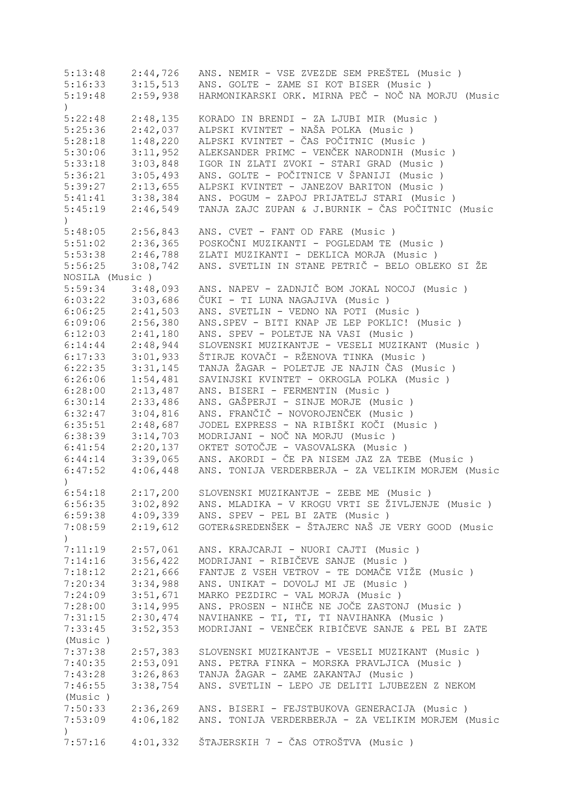| 5:13:48              | 2:44,726 | ANS. NEMIR - VSE ZVEZDE SEM PREŠTEL (Music)                |
|----------------------|----------|------------------------------------------------------------|
| 5:16:33              | 3:15,513 | ANS. GOLTE - ZAME SI KOT BISER (Music)                     |
| 5:19:48              | 2:59,938 | HARMONIKARSKI ORK. MIRNA PEČ - NOČ NA MORJU (Music         |
| $\left( \right)$     |          |                                                            |
| 5:22:48              | 2:48,135 | KORADO IN BRENDI - ZA LJUBI MIR (Music)                    |
| 5:25:36              | 2:42,037 | ALPSKI KVINTET - NAŠA POLKA (Music)                        |
| 5:28:18              | 1:48,220 | ALPSKI KVINTET - ČAS POČITNIC (Music )                     |
| 5:30:06              | 3:11,952 | ALEKSANDER PRIMC - VENČEK NARODNIH (Music)                 |
| 5:33:18              | 3:03,848 | IGOR IN ZLATI ZVOKI - STARI GRAD (Music )                  |
| 5:36:21              | 3:05,493 | ANS. GOLTE - POČITNICE V ŠPANIJI (Music )                  |
| 5:39:27              | 2:13,655 | ALPSKI KVINTET - JANEZOV BARITON (Music )                  |
| 5:41:41              | 3:38,384 | ANS. POGUM - ZAPOJ PRIJATELJ STARI (Music)                 |
| 5:45:19              | 2:46,549 | TANJA ZAJC ZUPAN & J.BURNIK - ČAS POČITNIC (Music          |
| $\mathcal{L}$        |          |                                                            |
| 5:48:05              | 2:56,843 | ANS. CVET - FANT OD FARE (Music)                           |
| 5:51:02              | 2:36,365 | POSKOČNI MUZIKANTI - POGLEDAM TE (Music)                   |
| 5:53:38              | 2:46,788 | ZLATI MUZIKANTI - DEKLICA MORJA (Music)                    |
| 5:56:25              | 3:08,742 | ANS. SVETLIN IN STANE PETRIČ - BELO OBLEKO SI ŽE           |
| NOSILA (Music)       |          |                                                            |
| 5:59:34              | 3:48,093 | ANS. NAPEV - ZADNJIČ BOM JOKAL NOCOJ (Music)               |
| 6:03:22              | 3:03,686 | ČUKI - TI LUNA NAGAJIVA (Music )                           |
| 6:06:25              | 2:41,503 | ANS. SVETLIN - VEDNO NA POTI (Music)                       |
| 6:09:06              | 2:56,380 | ANS.SPEV - BITI KNAP JE LEP POKLIC! (Music)                |
| 6:12:03              | 2:41,180 | ANS. SPEV - POLETJE NA VASI (Music)                        |
| 6:14:44              | 2:48,944 | SLOVENSKI MUZIKANTJE - VESELI MUZIKANT (Music )            |
| 6:17:33              | 3:01,933 | ŠTIRJE KOVAČI - RŽENOVA TINKA (Music )                     |
|                      |          | TANJA ŽAGAR - POLETJE JE NAJIN ČAS (Music)                 |
| 6:22:35              | 3:31,145 |                                                            |
| 6:26:06              | 1:54,481 | SAVINJSKI KVINTET - OKROGLA POLKA (Music )                 |
| 6:28:00              | 2:13,487 | ANS. BISERI - FERMENTIN (Music)                            |
| 6:30:14              | 2:33,486 | ANS. GAŠPERJI - SINJE MORJE (Music)                        |
| 6:32:47              | 3:04,816 | ANS. FRANČIČ - NOVOROJENČEK (Music)                        |
| 6:35:51              | 2:48,687 | JODEL EXPRESS - NA RIBIŠKI KOČI (Music )                   |
| 6:38:39              | 3:14,703 | MODRIJANI - NOČ NA MORJU (Music)                           |
| 6:41:54              | 2:20,137 | OKTET SOTOČJE - VASOVALSKA (Music )                        |
| 6:44:14              | 3:39,065 | ANS. AKORDI - ČE PA NISEM JAZ ZA TEBE (Music)              |
| 6:47:52              | 4:06,448 | ANS. TONIJA VERDERBERJA - ZA VELIKIM MORJEM (Music         |
| $\left( \right)$     |          |                                                            |
| 6:54:18              | 2:17,200 | SLOVENSKI MUZIKANTJE - ZEBE ME (Music )                    |
| 6:56:35              | 3:02,892 | ANS. MLADIKA - V KROGU VRTI SE ŽIVLJENJE (Music)           |
| $6:59:38$ $4:09,339$ |          | ANS. SPEV - PEL BI ZATE (Music)                            |
| 7:08:59              |          | 2:19,612 GOTER&SREDENŠEK - ŠTAJERC NAŠ JE VERY GOOD (Music |
| $\mathcal{C}$        |          |                                                            |
| 7:11:19              | 2:57,061 | ANS. KRAJCARJI - NUORI CAJTI (Music)                       |
| 7:14:16              | 3:56,422 | MODRIJANI - RIBIČEVE SANJE (Music )                        |
| 7:18:12              | 2:21,666 | FANTJE Z VSEH VETROV - TE DOMAČE VIŽE (Music )             |
| 7:20:34              | 3:34,988 | ANS. UNIKAT - DOVOLJ MI JE (Music)                         |
| 7:24:09              | 3:51,671 | MARKO PEZDIRC - VAL MORJA (Music)                          |
| 7:28:00              | 3:14,995 | ANS. PROSEN - NIHČE NE JOČE ZASTONJ (Music)                |
| 7:31:15              | 2:30,474 | NAVIHANKE - TI, TI, TI NAVIHANKA (Music )                  |
| 7:33:45              | 3:52,353 | MODRIJANI - VENEČEK RIBIČEVE SANJE & PEL BI ZATE           |
| (Music)              |          |                                                            |
| 7:37:38              | 2:57,383 | SLOVENSKI MUZIKANTJE - VESELI MUZIKANT (Music)             |
| 7:40:35              | 2:53,091 | ANS. PETRA FINKA - MORSKA PRAVLJICA (Music )               |
| 7:43:28              | 3:26,863 | TANJA ŽAGAR - ZAME ZAKANTAJ (Music )                       |
| 7:46:55              | 3:38,754 | ANS. SVETLIN - LEPO JE DELITI LJUBEZEN Z NEKOM             |
| (Music)              |          |                                                            |
| 7:50:33              | 2:36,269 | ANS. BISERI - FEJSTBUKOVA GENERACIJA (Music)               |
| 7:53:09              | 4:06,182 | ANS. TONIJA VERDERBERJA - ZA VELIKIM MORJEM (Music         |
| $\left( \right)$     |          |                                                            |
| 7:57:16              | 4:01,332 | ŠTAJERSKIH 7 - ČAS OTROŠTVA (Music )                       |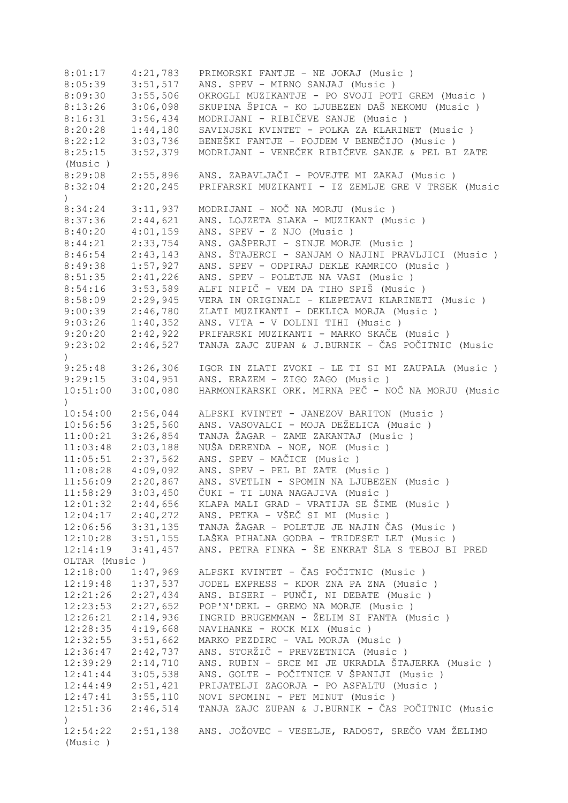8:01:17 4:21,783 PRIMORSKI FANTJE - NE JOKAJ (Music ) 8:05:39 3:51,517 ANS. SPEV - MIRNO SANJAJ (Music ) 8:09:30 3:55,506 OKROGLI MUZIKANTJE - PO SVOJI POTI GREM (Music ) 8:13:26 3:06,098 SKUPINA ŠPICA - KO LJUBEZEN DAŠ NEKOMU (Music ) 8:16:31 3:56,434 MODRIJANI - RIBIČEVE SANJE (Music)<br>8:20:28 1:44,180 SAVINJSKI KVINTET - POLKA ZA KLARIN 8:20:28 1:44,180 SAVINJSKI KVINTET - POLKA ZA KLARINET (Music ) 8:22:12 3:03,736 BENEŠKI FANTJE - POJDEM V BENEČIJO (Music ) 8:25:15 3:52,379 MODRIJANI - VENEČEK RIBIČEVE SANJE & PEL BI ZATE (Music ) 8:29:08 2:55,896 ANS. ZABAVLJAČI - POVEJTE MI ZAKAJ (Music ) 8:32:04 2:20,245 PRIFARSKI MUZIKANTI - IZ ZEMLJE GRE V TRSEK (Music  $\lambda$ 8:34:24 3:11,937 MODRIJANI - NOČ NA MORJU (Music ) 8:37:36 2:44,621 ANS. LOJZETA SLAKA - MUZIKANT (Music ) 8:40:20 4:01,159 ANS. SPEV - Z NJO (Music ) 8:44:21 2:33,754 ANS. GAŠPERJI - SINJE MORJE (Music ) 8:46:54 2:43,143 ANS. ŠTAJERCI - SANJAM O NAJINI PRAVLJICI (Music)<br>8:49:38 1:57,927 ANS. SPEV - ODPIRAJ DEKLE KAMRICO (Music) 8:49:38 1:57,927 ANS. SPEV - ODPIRAJ DEKLE KAMRICO (Music ) 8:51:35 2:41,226 ANS. SPEV - POLETJE NA VASI (Music ) 8:54:16 3:53,589 ALFI NIPIČ - VEM DA TIHO SPIŠ (Music ) 8:58:09 2:29,945 VERA IN ORIGINALI - KLEPETAVI KLARINETI (Music ) 9:00:39 2:46,780 ZLATI MUZIKANTI - DEKLICA MORJA (Music ) 9:03:26 1:40,352 ANS. VITA - V DOLINI TIHI (Music ) 9:20:20 2:42,922 PRIFARSKI MUZIKANTI - MARKO SKAČE (Music)<br>9:23:02 2:46,527 TANJA ZAJC ZUPAN & J.BURNIK - ČAS POČITNIC 9:23:02 2:46,527 TANJA ZAJC ZUPAN & J.BURNIK - ČAS POČITNIC (Music ) 9:25:48 3:26,306 IGOR IN ZLATI ZVOKI - LE TI SI MI ZAUPALA (Music ) 9:29:15 3:04,951 ANS. ERAZEM - ZIGO ZAGO (Music ) 10:51:00 3:00,080 HARMONIKARSKI ORK. MIRNA PEČ - NOČ NA MORJU (Music  $\left( \right)$ 10:54:00 2:56,044 ALPSKI KVINTET - JANEZOV BARITON (Music ) 10:56:56 3:25,560 ANS. VASOVALCI - MOJA DEŽELICA (Music)<br>11:00:21 3:26,854 TANJA ŽAGAR - ZAME ZAKANTAJ (Music) 11:00:21 3:26,854 TANJA ŽAGAR - ZAME ZAKANTAJ (Music ) 11:03:48 2:03,188 NUŠA DERENDA - NOE, NOE (Music)<br>11:05:51 2:37,562 ANS. SPEV - MAČICE (Music) 2:37,562 ANS. SPEV - MAČICE (Music )<br>4:09,092 ANS. SPEV - PEL BI ZATE (Mu 11:08:28 4:09,092 ANS. SPEV - PEL BI ZATE (Music ) 11:56:09 2:20,867 ANS. SVETLIN - SPOMIN NA LJUBEZEN (Music ) 11:58:29 3:03,450 ČUKI - TI LUNA NAGAJIVA (Music ) 12:01:32 2:44,656 KLAPA MALI GRAD - VRATIJA SE ŠIME (Music ) 12:04:17 2:40,272 ANS. PETKA - VŠEČ SI MI (Music ) 12:06:56 3:31,135 TANJA ŽAGAR - POLETJE JE NAJIN ČAS (Music ) 12:10:28 3:51,155 LAŠKA PIHALNA GODBA - TRIDESET LET (Music ) 12:14:19 3:41,457 ANS. PETRA FINKA - ŠE ENKRAT ŠLA S TEBOJ BI PRED OLTAR (Music ) 12:18:00 1:47,969 ALPSKI KVINTET - ČAS POČITNIC (Music)<br>12:19:48 1:37,537 JODEL EXPRESS - KDOR ZNA PA ZNA (Music 12:19:48 1:37,537 JODEL EXPRESS - KDOR ZNA PA ZNA (Music ) 12:21:26 2:27,434 ANS. BISERI - PUNČI, NI DEBATE (Music ) 12:23:53 2:27,652 POP'N'DEKL - GREMO NA MORJE (Music ) 12:26:21 2:14,936 INGRID BRUGEMMAN - ŽELIM SI FANTA (Music ) 12:28:35 4:19,668 NAVIHANKE - ROCK MIX (Music ) 12:32:55 3:51,662 MARKO PEZDIRC - VAL MORJA (Music ) 12:36:47 2:42,737 ANS. STORŽIČ - PREVZETNICA (Music ) 12:39:29 2:14,710 ANS. RUBIN - SRCE MI JE UKRADLA ŠTAJERKA (Music ) 12:41:44 3:05,538 ANS. GOLTE - POČITNICE V ŠPANIJI (Music ) 12:44:49 2:51,421 PRIJATELJI ZAGORJA - PO ASFALTU (Music ) 12:47:41 3:55,110 NOVI SPOMINI - PET MINUT (Music ) 12:51:36 2:46,514 TANJA ZAJC ZUPAN & J.BURNIK - ČAS POČITNIC (Music ) 12:54:22 2:51,138 ANS. JOŽOVEC - VESELJE, RADOST, SREČO VAM ŽELIMO (Music )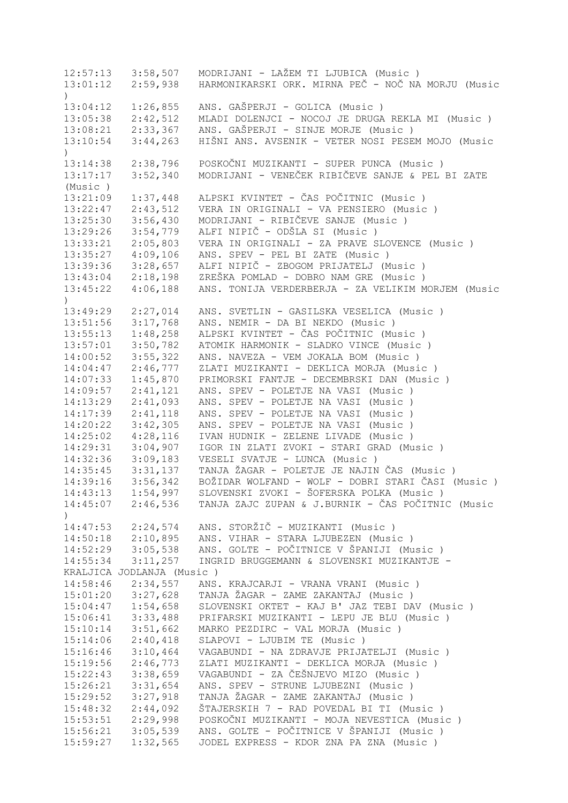12:57:13 3:58,507 MODRIJANI - LAŽEM TI LJUBICA (Music ) 13:01:12 2:59,938 HARMONIKARSKI ORK. MIRNA PEČ - NOČ NA MORJU (Music ) 13:04:12 1:26,855 ANS. GAŠPERJI - GOLICA (Music ) 13:05:38 2:42,512 MLADI DOLENJCI - NOCOJ JE DRUGA REKLA MI (Music ) 13:08:21 2:33,367 ANS. GAŠPERJI - SINJE MORJE (Music ) 13:10:54 3:44,263 HIŠNI ANS. AVSENIK - VETER NOSI PESEM MOJO (Music  $\lambda$ 13:14:38 2:38,796 POSKOČNI MUZIKANTI - SUPER PUNCA (Music ) 13:17:17 3:52,340 MODRIJANI - VENEČEK RIBIČEVE SANJE & PEL BI ZATE (Music ) 13:21:09 1:37,448 ALPSKI KVINTET - ČAS POČITNIC (Music ) 13:22:47 2:43,512 VERA IN ORIGINALI - VA PENSIERO (Music ) 13:25:30 3:56,430 MODRIJANI - RIBIČEVE SANJE (Music ) 13:29:26 3:54,779 ALFI NIPIČ - ODŠLA SI (Music ) 13:33:21 2:05,803 VERA IN ORIGINALI - ZA PRAVE SLOVENCE (Music ) 13:35:27 4:09,106 ANS. SPEV - PEL BI ZATE (Music ) 13:39:36 3:28,657 ALFI NIPIČ - ZBOGOM PRIJATELJ (Music ) 13:43:04 2:18,198 ZREŠKA POMLAD - DOBRO NAM GRE (Music ) 13:45:22 4:06,188 ANS. TONIJA VERDERBERJA - ZA VELIKIM MORJEM (Music  $\lambda$ 13:49:29 2:27,014 ANS. SVETLIN - GASILSKA VESELICA (Music ) 13:51:56 3:17,768 ANS. NEMIR - DA BI NEKDO (Music ) 13:55:13 1:48,258 ALPSKI KVINTET - ČAS POČITNIC (Music ) 13:57:01 3:50,782 ATOMIK HARMONIK - SLADKO VINCE (Music ) 14:00:52 3:55,322 ANS. NAVEZA - VEM JOKALA BOM (Music ) 14:04:47 2:46,777 ZLATI MUZIKANTI - DEKLICA MORJA (Music ) 14:07:33 1:45,870 PRIMORSKI FANTJE - DECEMBRSKI DAN (Music ) 14:09:57 2:41,121 ANS. SPEV - POLETJE NA VASI (Music ) 14:13:29 2:41,093 ANS. SPEV - POLETJE NA VASI (Music ) 14:17:39 2:41,118 ANS. SPEV - POLETJE NA VASI (Music ) 14:20:22 3:42,305 ANS. SPEV - POLETJE NA VASI (Music ) 14:25:02 4:28,116 IVAN HUDNIK - ZELENE LIVADE (Music ) 14:29:31 3:04,907 IGOR IN ZLATI ZVOKI - STARI GRAD (Music ) 14:32:36 3:09,183 VESELI SVATJE - LUNCA (Music ) 14:35:45 3:31,137 TANJA ŽAGAR - POLETJE JE NAJIN ČAS (Music ) 14:39:16 3:56,342 BOŽIDAR WOLFAND - WOLF - DOBRI STARI ČASI (Music ) 14:43:13 1:54,997 SLOVENSKI ZVOKI - ŠOFERSKA POLKA (Music ) 14:45:07 2:46,536 TANJA ZAJC ZUPAN & J.BURNIK - ČAS POČITNIC (Music  $\lambda$ 14:47:53 2:24,574 ANS. STORŽIČ - MUZIKANTI (Music ) 14:50:18 2:10,895 ANS. VIHAR - STARA LJUBEZEN (Music ) 14:52:29 3:05,538 ANS. GOLTE - POČITNICE V ŠPANIJI (Music ) 14:55:34 3:11,257 INGRID BRUGGEMANN & SLOVENSKI MUZIKANTJE - KRALJICA JODLANJA (Music ) 14:58:46 2:34,557 ANS. KRAJCARJI - VRANA VRANI (Music ) 15:01:20 3:27,628 TANJA ŽAGAR - ZAME ZAKANTAJ (Music ) 15:04:47 1:54,658 SLOVENSKI OKTET - KAJ B' JAZ TEBI DAV (Music ) 15:06:41 3:33,488 PRIFARSKI MUZIKANTI - LEPU JE BLU (Music ) 15:10:14 3:51,662 MARKO PEZDIRC - VAL MORJA (Music ) 15:14:06 2:40,418 SLAPOVI - LJUBIM TE (Music ) 15:16:46 3:10,464 VAGABUNDI - NA ZDRAVJE PRIJATELJI (Music ) 15:19:56 2:46,773 ZLATI MUZIKANTI - DEKLICA MORJA (Music ) 15:22:43 3:38,659 VAGABUNDI - ZA ČEŠNJEVO MIZO (Music ) 15:26:21 3:31,654 ANS. SPEV - STRUNE LJUBEZNI (Music ) 15:29:52 3:27,918 TANJA ŽAGAR - ZAME ZAKANTAJ (Music ) 15:48:32 2:44,092 ŠTAJERSKIH 7 - RAD POVEDAL BI TI (Music ) 15:53:51 2:29,998 POSKOČNI MUZIKANTI - MOJA NEVESTICA (Music ) 15:56:21 3:05,539 ANS. GOLTE - POČITNICE V ŠPANIJI (Music ) 15:59:27 1:32,565 JODEL EXPRESS - KDOR ZNA PA ZNA (Music )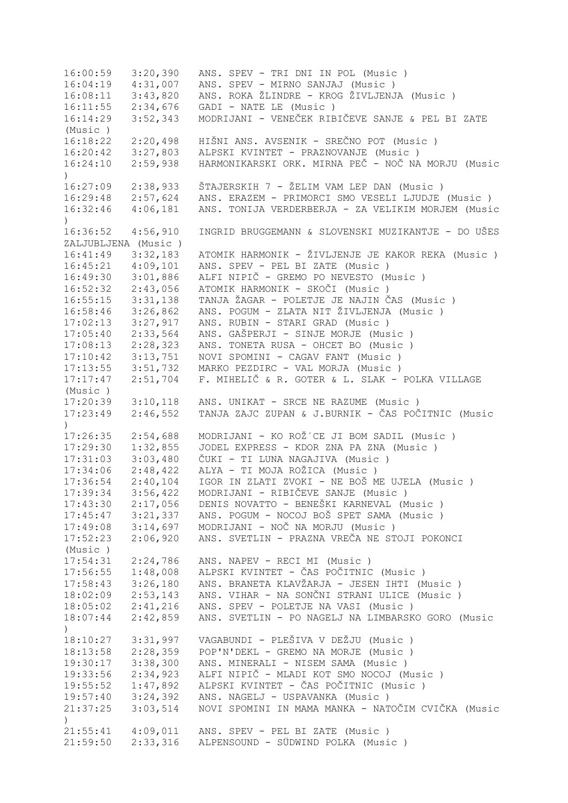16:00:59 3:20,390 ANS. SPEV - TRI DNI IN POL (Music ) 16:04:19 4:31,007 ANS. SPEV - MIRNO SANJAJ (Music ) 16:08:11 3:43,820 ANS. ROKA ŽLINDRE - KROG ŽIVLJENJA (Music ) 16:11:55 2:34,676 GADI - NATE LE (Music ) 16:14:29 3:52,343 MODRIJANI - VENEČEK RIBIČEVE SANJE & PEL BI ZATE (Music ) 16:18:22 2:20,498 HIŠNI ANS. AVSENIK - SREČNO POT (Music ) 16:20:42 3:27,803 ALPSKI KVINTET - PRAZNOVANJE (Music ) 16:24:10 2:59,938 HARMONIKARSKI ORK. MIRNA PEČ - NOČ NA MORJU (Music  $\lambda$ 16:27:09 2:38,933 ŠTAJERSKIH 7 - ŽELIM VAM LEP DAN (Music ) 16:29:48 2:57,624 ANS. ERAZEM - PRIMORCI SMO VESELI LJUDJE (Music ) 16:32:46 4:06,181 ANS. TONIJA VERDERBERJA - ZA VELIKIM MORJEM (Music ) 16:36:52 4:56,910 INGRID BRUGGEMANN & SLOVENSKI MUZIKANTJE - DO UŠES ZALJUBLJENA (Music ) 16:41:49 3:32,183 ATOMIK HARMONIK - ŽIVLJENJE JE KAKOR REKA (Music)<br>16:45:21 4:09,101 ANS. SPEV - PEL BI ZATE (Music) 16:45:21 4:09,101 ANS. SPEV - PEL BI ZATE (Music ) 16:49:30 3:01,886 ALFI NIPIČ - GREMO PO NEVESTO (Music ) 16:52:32 2:43,056 ATOMIK HARMONIK - SKOČI (Music ) 16:55:15 3:31,138 TANJA ŽAGAR - POLETJE JE NAJIN ČAS (Music ) 16:58:46 3:26,862 ANS. POGUM - ZLATA NIT ŽIVLJENJA (Music ) 17:02:13 3:27,917 ANS. RUBIN - STARI GRAD (Music ) 17:05:40 2:33,564 ANS. GAŠPERJI - SINJE MORJE (Music ) 17:08:13 2:28,323 ANS. TONETA RUSA - OHCET BO (Music ) 17:10:42 3:13,751 NOVI SPOMINI - CAGAV FANT (Music ) 17:13:55 3:51,732 MARKO PEZDIRC - VAL MORJA (Music ) 17:17:47 2:51,704 F. MIHELIČ & R. GOTER & L. SLAK - POLKA VILLAGE (Music ) 17:20:39 3:10,118 ANS. UNIKAT - SRCE NE RAZUME (Music ) 17:23:49 2:46,552 TANJA ZAJC ZUPAN & J.BURNIK - ČAS POČITNIC (Music  $\lambda$ 17:26:35 2:54,688 MODRIJANI - KO ROŽ´CE JI BOM SADIL (Music ) 17:29:30 1:32,855 JODEL EXPRESS - KDOR ZNA PA ZNA (Music ) 17:31:03 3:03,480 ČUKI - TI LUNA NAGAJIVA (Music ) 17:34:06 2:48,422 ALYA - TI MOJA ROŽICA (Music ) 17:36:54 2:40,104 IGOR IN ZLATI ZVOKI - NE BOŠ ME UJELA (Music ) 17:39:34 3:56,422 MODRIJANI - RIBIČEVE SANJE (Music ) 17:43:30 2:17,056 DENIS NOVATTO - BENEŠKI KARNEVAL (Music ) 17:45:47 3:21,337 ANS. POGUM - NOCOJ BOŠ SPET SAMA (Music ) 17:49:08 3:14,697 MODRIJANI - NOČ NA MORJU (Music ) 17:52:23 2:06,920 ANS. SVETLIN - PRAZNA VREČA NE STOJI POKONCI (Music ) 17:54:31 2:24,786 ANS. NAPEV - RECI MI (Music ) 17:56:55 1:48,008 ALPSKI KVINTET - ČAS POČITNIC (Music ) 17:58:43 3:26,180 ANS. BRANETA KLAVŽARJA - JESEN IHTI (Music ) 18:02:09 2:53,143 ANS. VIHAR - NA SONČNI STRANI ULICE (Music ) 18:05:02 2:41,216 ANS. SPEV - POLETJE NA VASI (Music ) 18:07:44 2:42,859 ANS. SVETLIN - PO NAGELJ NA LIMBARSKO GORO (Music ) 18:10:27 3:31,997 VAGABUNDI - PLEŠIVA V DEŽJU (Music ) 18:13:58 2:28,359 POP'N'DEKL - GREMO NA MORJE (Music ) 19:30:17 3:38,300 ANS. MINERALI - NISEM SAMA (Music ) 19:33:56 2:34,923 ALFI NIPIČ - MLADI KOT SMO NOCOJ (Music ) 19:55:52 1:47,892 ALPSKI KVINTET - ČAS POČITNIC (Music ) 19:57:40 3:24,392 ANS. NAGELJ - USPAVANKA (Music ) 21:37:25 3:03,514 NOVI SPOMINI IN MAMA MANKA - NATOČIM CVIČKA (Music ) 21:55:41 4:09,011 ANS. SPEV - PEL BI ZATE (Music ) 21:59:50 2:33,316 ALPENSOUND - SÜDWIND POLKA (Music )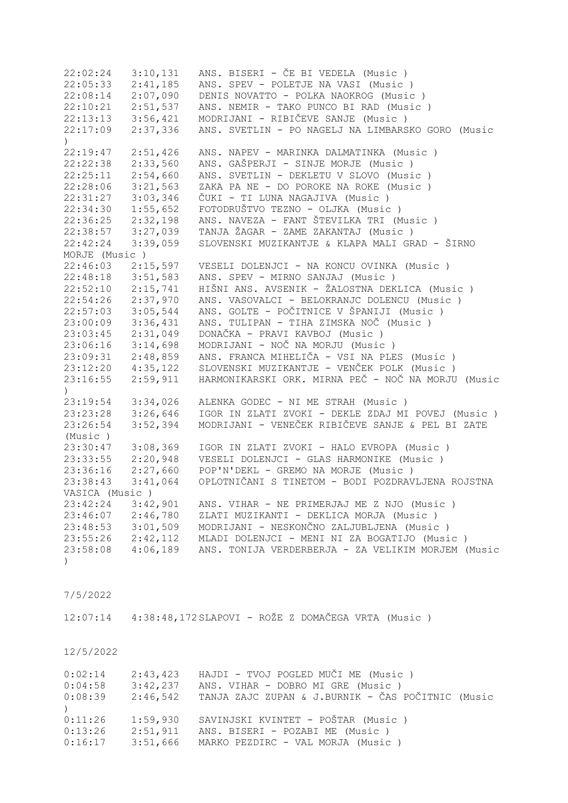| 22:02:24                                                             | 3:10,131 | ANS. BISERI - ČE BI VEDELA (Music)                           |
|----------------------------------------------------------------------|----------|--------------------------------------------------------------|
| 22:05:33                                                             | 2:41,185 | ANS. SPEV - POLETJE NA VASI (Music)                          |
| 22:08:14                                                             | 2:07,090 | DENIS NOVATTO - POLKA NAOKROG (Music)                        |
| $22:10:21$ $2:51,537$                                                |          | ANS. NEMIR - TAKO PUNCO BI RAD (Music)                       |
| $22:13:13$ $3:56,421$                                                |          | MODRIJANI - RIBIČEVE SANJE (Music)                           |
| 22:17:09                                                             | 2:37,336 | ANS. SVETLIN - PO NAGELJ NA LIMBARSKO GORO (Music            |
| $\mathcal{L}$                                                        |          |                                                              |
| 22:19:47                                                             | 2:51,426 | ANS. NAPEV - MARINKA DALMATINKA (Music)                      |
| 22:22:38                                                             | 2:33,560 | ANS. GAŠPERJI - SINJE MORJE (Music)                          |
| 22:25:11                                                             | 2:54,660 | ANS. SVETLIN - DEKLETU V SLOVO (Music)                       |
| 22:28:06                                                             | 3:21,563 | ZAKA PA NE - DO POROKE NA ROKE (Music)                       |
| 22:31:27                                                             | 3:03,346 | ČUKI - TI LUNA NAGAJIVA (Music )                             |
| 22:34:30                                                             | 1:55,652 | FOTODRUŠTVO TEZNO - OLJKA (Music)                            |
| 22:36:25                                                             | 2:32,198 | ANS. NAVEZA - FANT ŠTEVILKA TRI (Music)                      |
| 22:38:57                                                             | 3:27,039 | TANJA ŽAGAR - ZAME ZAKANTAJ (Music )                         |
| 22:42:24                                                             | 3:39,059 | SLOVENSKI MUZIKANTJE & KLAPA MALI GRAD - ŠIRNO               |
| MORJE (Music)                                                        |          |                                                              |
| 22:46:03                                                             | 2:15,597 | VESELI DOLENJCI - NA KONCU OVINKA (Music)                    |
| 22:48:18                                                             | 3:51,583 | ANS. SPEV - MIRNO SANJAJ (Music)                             |
| 22:52:10                                                             | 2:15,741 | HIŠNI ANS. AVSENIK - ŽALOSTNA DEKLICA (Music )               |
| 22:54:26                                                             | 2:37,970 | ANS. VASOVALCI - BELOKRANJC DOLENCU (Music)                  |
| 22:57:03                                                             | 3:05,544 | ANS. GOLTE - POČITNICE V ŠPANIJI (Music )                    |
| 23:00:09                                                             | 3:36,431 | ANS. TULIPAN - TIHA ZIMSKA NOČ (Music )                      |
| 23:03:45                                                             | 2:31,049 | DONAČKA - PRAVI KAVBOJ (Music)                               |
| 23:06:16                                                             | 3:14,698 | MODRIJANI - NOČ NA MORJU (Music)                             |
| 23:09:31                                                             | 2:48,859 | ANS. FRANCA MIHELIČA - VSI NA PLES (Music)                   |
| 23:12:20                                                             | 4:35,122 | SLOVENSKI MUZIKANTJE - VENČEK POLK (Music )                  |
| 23:16:55                                                             | 2:59,911 | HARMONIKARSKI ORK. MIRNA PEČ - NOČ NA MORJU (Music           |
| $\mathcal{C}$                                                        |          |                                                              |
| 23:19:54                                                             | 3:34,026 | ALENKA GODEC - NI ME STRAH (Music)                           |
| 23:23:28                                                             | 3:26,646 | IGOR IN ZLATI ZVOKI - DEKLE ZDAJ MI POVEJ (Music)            |
| 23:26:54                                                             | 3:52,394 | MODRIJANI - VENEČEK RIBIČEVE SANJE & PEL BI ZATE             |
| (Music)                                                              |          |                                                              |
| 23:30:47                                                             | 3:08,369 | IGOR IN ZLATI ZVOKI - HALO EVROPA (Music )                   |
| 23:33:55                                                             | 2:20,948 | VESELI DOLENJCI - GLAS HARMONIKE (Music )                    |
| 23:36:16                                                             | 2:27,660 | POP'N'DEKL - GREMO NA MORJE (Music)                          |
| 23:38:43                                                             | 3:41,064 | OPLOTNIČANI S TINETOM - BODI POZDRAVLJENA ROJSTNA            |
| VASICA (Music)                                                       |          |                                                              |
| 23:42:24 3:42,901                                                    |          | ANS. VIHAR - NE PRIMERJAJ ME Z NJO (Music)                   |
|                                                                      |          | ZLATI MUZIKANTI - DEKLICA MORJA (Music)                      |
| 23:46:07<br>23:48:53<br>23:55:26<br>2:42,112<br>23:58:09<br>4:06:199 |          | MODRIJANI - NESKONČNO ZALJUBLJENA (Music)                    |
|                                                                      |          | MLADI DOLENJCI - MENI NI ZA BOGATIJO (Music )                |
| 23:58:08 4:06,189                                                    |          | ANS. TONIJA VERDERBERJA - ZA VELIKIM MORJEM (Music           |
| $\left( \right)$                                                     |          |                                                              |
|                                                                      |          |                                                              |
|                                                                      |          |                                                              |
| 7/5/2022                                                             |          |                                                              |
|                                                                      |          |                                                              |
|                                                                      |          | 12:07:14  4:38:48,172 SLAPOVI - ROŽE Z DOMAČEGA VRTA (Music) |
|                                                                      |          |                                                              |
|                                                                      |          |                                                              |
| 12/5/2022                                                            |          |                                                              |

| 0:02:14 | 2:43,423 | HAJDI - TVOJ POGLED MUČI ME (Music )              |
|---------|----------|---------------------------------------------------|
| 0:04:58 | 3:42,237 | ANS. VIHAR - DOBRO MI GRE (Music)                 |
| 0:08:39 | 2:46,542 | TANJA ZAJC ZUPAN & J.BURNIK - ČAS POČITNIC (Music |
|         |          |                                                   |
| 0:11:26 | 1:59,930 | SAVINJSKI KVINTET - POŠTAR (Music )               |
| 0:13:26 | 2:51,911 | ANS. BISERI - POZABI ME (Music)                   |
| 0:16:17 | 3:51,666 | MARKO PEZDIRC - VAL MORJA (Music)                 |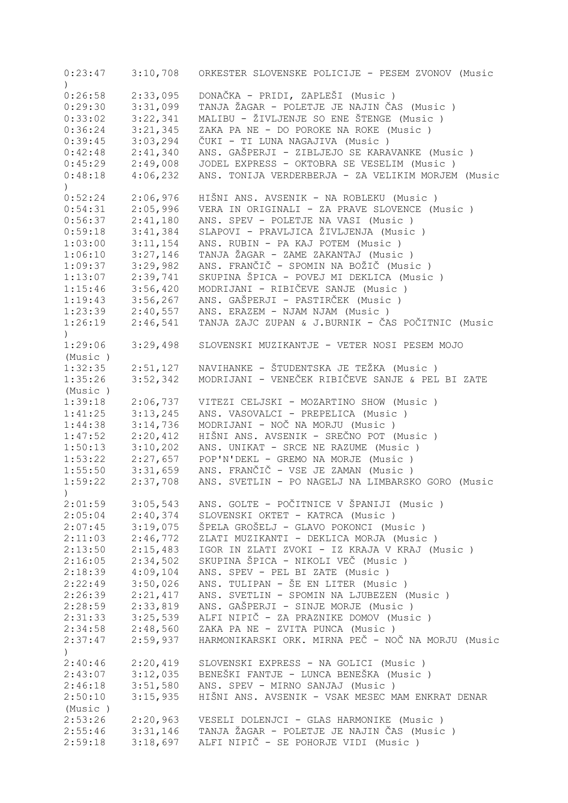| 0:23:47                     | 3:10,708 | ORKESTER SLOVENSKE POLICIJE - PESEM ZVONOV (Music  |
|-----------------------------|----------|----------------------------------------------------|
| $\mathcal{L}$<br>0:26:58    | 2:33,095 | DONAČKA - PRIDI, ZAPLEŠI (Music )                  |
| 0:29:30                     | 3:31,099 | TANJA ŽAGAR - POLETJE JE NAJIN ČAS (Music)         |
| 0:33:02                     | 3:22,341 | MALIBU - ŽIVLJENJE SO ENE ŠTENGE (Music )          |
| 0:36:24                     | 3:21,345 | ZAKA PA NE - DO POROKE NA ROKE (Music)             |
| 0:39:45                     | 3:03,294 | ČUKI - TI LUNA NAGAJIVA (Music )                   |
|                             |          | ANS. GAŠPERJI - ZIBLJEJO SE KARAVANKE (Music)      |
| 0:42:48                     | 2:41,340 |                                                    |
| 0:45:29                     | 2:49,008 | JODEL EXPRESS - OKTOBRA SE VESELIM (Music)         |
| 0:48:18<br>$\left( \right)$ | 4:06,232 | ANS. TONIJA VERDERBERJA - ZA VELIKIM MORJEM (Music |
| 0:52:24                     | 2:06,976 | HIŠNI ANS. AVSENIK - NA ROBLEKU (Music )           |
| 0:54:31                     | 2:05,996 | VERA IN ORIGINALI - ZA PRAVE SLOVENCE (Music)      |
| 0:56:37                     | 2:41,180 | ANS. SPEV - POLETJE NA VASI (Music)                |
| 0:59:18                     | 3:41,384 | SLAPOVI - PRAVLJICA ŽIVLJENJA (Music)              |
| 1:03:00                     | 3:11,154 | ANS. RUBIN - PA KAJ POTEM (Music)                  |
| 1:06:10                     | 3:27,146 | TANJA ŽAGAR - ZAME ZAKANTAJ (Music)                |
| 1:09:37                     | 3:29,982 | ANS. FRANČIČ - SPOMIN NA BOŽIČ (Music )            |
| 1:13:07                     | 2:39,741 | SKUPINA ŠPICA - POVEJ MI DEKLICA (Music)           |
| 1:15:46                     | 3:56,420 | MODRIJANI - RIBIČEVE SANJE (Music)                 |
| 1:19:43                     | 3:56,267 | ANS. GAŠPERJI - PASTIRČEK (Music )                 |
| 1:23:39                     | 2:40,557 | ANS. ERAZEM - NJAM NJAM (Music)                    |
| 1:26:19                     | 2:46,541 | TANJA ZAJC ZUPAN & J.BURNIK - ČAS POČITNIC (Music  |
| $\mathcal{L}$               |          |                                                    |
| 1:29:06                     | 3:29,498 | SLOVENSKI MUZIKANTJE - VETER NOSI PESEM MOJO       |
| (Music)                     |          |                                                    |
| 1:32:35                     | 2:51,127 | NAVIHANKE - ŠTUDENTSKA JE TEŽKA (Music)            |
| 1:35:26                     | 3:52,342 | MODRIJANI - VENEČEK RIBIČEVE SANJE & PEL BI ZATE   |
| (Music)                     |          |                                                    |
| 1:39:18                     | 2:06,737 | VITEZI CELJSKI - MOZARTINO SHOW (Music)            |
| 1:41:25                     | 3:13,245 | ANS. VASOVALCI - PREPELICA (Music)                 |
| 1:44:38                     | 3:14,736 | MODRIJANI - NOČ NA MORJU (Music)                   |
| 1:47:52                     | 2:20,412 | HIŠNI ANS. AVSENIK - SREČNO POT (Music )           |
| 1:50:13                     | 3:10,202 | ANS. UNIKAT - SRCE NE RAZUME (Music)               |
| 1:53:22                     | 2:27,657 | POP'N'DEKL - GREMO NA MORJE (Music)                |
| 1:55:50                     | 3:31,659 | ANS. FRANČIČ - VSE JE ZAMAN (Music)                |
| 1:59:22                     | 2:37,708 | ANS. SVETLIN - PO NAGELJ NA LIMBARSKO GORO (Music  |
| $\left( \right)$            |          |                                                    |
| 2:01:59                     | 3:05,543 | ANS. GOLTE - POČITNICE V ŠPANIJI (Music )          |
| 2:05:04                     | 2:40,374 | SLOVENSKI OKTET - KATRCA (Music)                   |
| 2:07:45                     | 3:19,075 | ŠPELA GROŠELJ - GLAVO POKONCI (Music )             |
| 2:11:03                     | 2:46,772 | ZLATI MUZIKANTI - DEKLICA MORJA (Music)            |
| 2:13:50                     | 2:15,483 | IGOR IN ZLATI ZVOKI - IZ KRAJA V KRAJ (Music )     |
| 2:16:05                     | 2:34,502 | SKUPINA ŠPICA - NIKOLI VEČ (Music )                |
| 2:18:39                     | 4:09,104 | ANS. SPEV - PEL BI ZATE (Music)                    |
| 2:22:49                     | 3:50,026 | ANS. TULIPAN - ŠE EN LITER (Music)                 |
| 2:26:39                     | 2:21,417 |                                                    |
|                             | 2:33,819 | ANS. SVETLIN - SPOMIN NA LJUBEZEN (Music)          |
| 2:28:59                     |          | ANS. GAŠPERJI - SINJE MORJE (Music)                |
| 2:31:33                     | 3:25,539 | ALFI NIPIČ - ZA PRAZNIKE DOMOV (Music)             |
| 2:34:58                     | 2:48,560 | ZAKA PA NE - ZVITA PUNCA (Music)                   |
| 2:37:47                     | 2:59,937 | HARMONIKARSKI ORK. MIRNA PEČ - NOČ NA MORJU (Music |
| $\left( \right)$            |          |                                                    |
| 2:40:46                     | 2:20,419 | SLOVENSKI EXPRESS - NA GOLICI (Music )             |
| 2:43:07                     | 3:12,035 | BENEŠKI FANTJE - LUNCA BENEŠKA (Music )            |
| 2:46:18                     | 3:51,580 | ANS. SPEV - MIRNO SANJAJ (Music)                   |
| 2:50:10                     | 3:15,935 | HIŠNI ANS. AVSENIK - VSAK MESEC MAM ENKRAT DENAR   |
| (Music)                     |          |                                                    |
| 2:53:26                     | 2:20,963 | VESELI DOLENJCI - GLAS HARMONIKE (Music)           |
| 2:55:46                     | 3:31,146 | TANJA ŽAGAR - POLETJE JE NAJIN ČAS (Music)         |
| 2:59:18                     | 3:18,697 | ALFI NIPIČ - SE POHORJE VIDI (Music )              |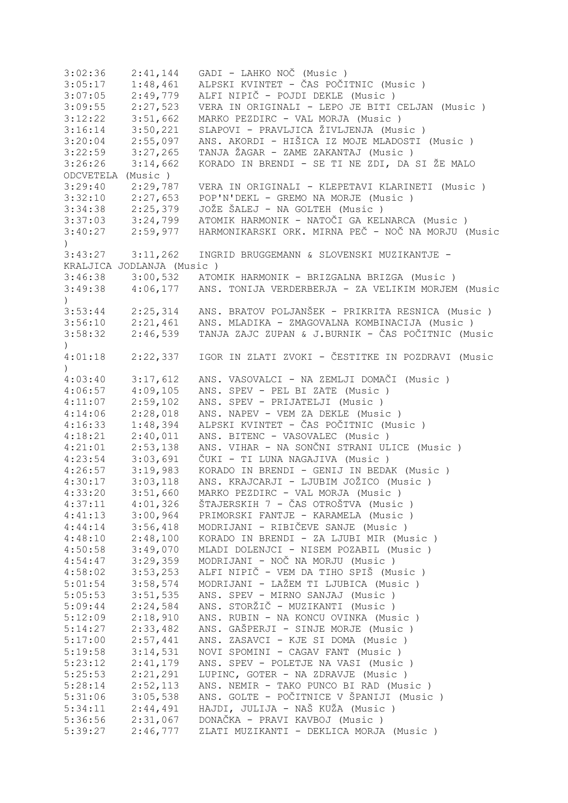| 3:02:36          | 2:41,144                  | GADI - LAHKO NOČ (Music)                            |
|------------------|---------------------------|-----------------------------------------------------|
| 3:05:17          | 1:48,461                  | ALPSKI KVINTET - ČAS POČITNIC (Music )              |
| 3:07:05          | 2:49,779                  | ALFI NIPIČ - POJDI DEKLE (Music)                    |
| 3:09:55          | 2:27,523                  | VERA IN ORIGINALI - LEPO JE BITI CELJAN (Music )    |
| 3:12:22          | 3:51,662                  | MARKO PEZDIRC - VAL MORJA (Music)                   |
| 3:16:14          | 3:50,221                  | SLAPOVI - PRAVLJICA ŽIVLJENJA (Music)               |
| 3:20:04          | 2:55,097                  | ANS. AKORDI - HIŠICA IZ MOJE MLADOSTI (Music )      |
| 3:22:59          | 3:27,265                  | TANJA ŽAGAR - ZAME ZAKANTAJ (Music )                |
| 3:26:26          | 3:14,662                  | KORADO IN BRENDI - SE TI NE ZDI, DA SI ŽE MALO      |
| ODCVETELA        | (Music)                   |                                                     |
| 3:29:40          | 2:29,787                  | VERA IN ORIGINALI - KLEPETAVI KLARINETI (Music )    |
| 3:32:10          | 2:27,653                  | POP'N'DEKL - GREMO NA MORJE (Music)                 |
| 3:34:38          | 2:25,379                  | JOŽE ŠALEJ - NA GOLTEH (Music)                      |
| 3:37:03          | 3:24,799                  | ATOMIK HARMONIK - NATOČI GA KELNARCA (Music)        |
| 3:40:27          | 2:59,977                  | HARMONIKARSKI ORK. MIRNA PEČ - NOČ NA MORJU (Music  |
| $\left( \right)$ |                           |                                                     |
| 3:43:27          | 3:11,262                  | INGRID BRUGGEMANN & SLOVENSKI MUZIKANTJE -          |
|                  | KRALJICA JODLANJA (Music) |                                                     |
| 3:46:38          |                           | 3:00,532 ATOMIK HARMONIK - BRIZGALNA BRIZGA (Music) |
|                  | 4:06,177                  |                                                     |
| 3:49:38          |                           | ANS. TONIJA VERDERBERJA - ZA VELIKIM MORJEM (Music  |
| $\left( \right)$ |                           |                                                     |
| 3:53:44          | 2:25,314                  | ANS. BRATOV POLJANŠEK - PRIKRITA RESNICA (Music)    |
| 3:56:10          | 2:21,461                  | ANS. MLADIKA - ZMAGOVALNA KOMBINACIJA (Music)       |
| 3:58:32          | 2:46,539                  | TANJA ZAJC ZUPAN & J.BURNIK - ČAS POČITNIC (Music   |
| $\left( \right)$ |                           |                                                     |
| 4:01:18          | 2:22,337                  | IGOR IN ZLATI ZVOKI - ČESTITKE IN POZDRAVI (Music   |
| $\left( \right)$ |                           |                                                     |
| 4:03:40          | 3:17,612                  | ANS. VASOVALCI - NA ZEMLJI DOMAČI (Music )          |
| 4:06:57          | 4:09,105                  | ANS. SPEV - PEL BI ZATE (Music)                     |
| 4:11:07          | 2:59,102                  | ANS. SPEV - PRIJATELJI (Music)                      |
| 4:14:06          | 2:28,018                  | ANS. NAPEV - VEM ZA DEKLE (Music)                   |
| 4:16:33          | 1:48,394                  | ALPSKI KVINTET - ČAS POČITNIC (Music )              |
| 4:18:21          | 2:40,011                  | ANS. BITENC - VASOVALEC (Music)                     |
| 4:21:01          | 2:53,138                  | ANS. VIHAR - NA SONČNI STRANI ULICE (Music )        |
| 4:23:54          | 3:03,691                  | ČUKI - TI LUNA NAGAJIVA (Music )                    |
| 4:26:57          | 3:19,983                  | KORADO IN BRENDI - GENIJ IN BEDAK (Music)           |
| 4:30:17          | 3:03,118                  | ANS. KRAJCARJI - LJUBIM JOŽICO (Music)              |
| 4:33:20          | 3:51,660                  | MARKO PEZDIRC - VAL MORJA (Music)                   |
| 4:37:11          | 4:01,326                  | ŠTAJERSKIH 7 - ČAS OTROŠTVA (Music )                |
| 4:41:13          | 3:00,964                  | PRIMORSKI FANTJE - KARAMELA (Music)                 |
| 4:44:14          | 3:56,418                  | MODRIJANI - RIBIČEVE SANJE (Music)                  |
| 4:48:10          | 2:48,100                  | KORADO IN BRENDI - ZA LJUBI MIR (Music)             |
| 4:50:58          | 3:49,070                  | MLADI DOLENJCI - NISEM POZABIL (Music )             |
| 4:54:47          | 3:29,359                  | MODRIJANI - NOČ NA MORJU (Music)                    |
| 4:58:02          | 3:53,253                  | ALFI NIPIČ - VEM DA TIHO SPIŠ (Music )              |
| 5:01:54          | 3:58,574                  | MODRIJANI - LAŽEM TI LJUBICA (Music )               |
| 5:05:53          | 3:51,535                  | ANS. SPEV - MIRNO SANJAJ (Music)                    |
| 5:09:44          | 2:24,584                  | ANS. STORŽIČ - MUZIKANTI (Music)                    |
| 5:12:09          | 2:18,910                  | ANS. RUBIN - NA KONCU OVINKA (Music)                |
| 5:14:27          | 2:33,482                  | ANS. GAŠPERJI - SINJE MORJE (Music)                 |
| 5:17:00          | 2:57,441                  | ANS. ZASAVCI - KJE SI DOMA (Music)                  |
| 5:19:58          | 3:14,531                  | NOVI SPOMINI - CAGAV FANT (Music )                  |
| 5:23:12          | 2:41,179                  | ANS. SPEV - POLETJE NA VASI (Music)                 |
| 5:25:53          | 2:21,291                  | LUPINC, GOTER - NA ZDRAVJE (Music)                  |
| 5:28:14          |                           | ANS. NEMIR - TAKO PUNCO BI RAD (Music)              |
|                  | 2:52,113                  |                                                     |
| 5:31:06          | 3:05,538                  | ANS. GOLTE - POČITNICE V ŠPANIJI (Music )           |
| 5:34:11          | 2:44,491                  | HAJDI, JULIJA - NAŠ KUŽA (Music )                   |
| 5:36:56          | 2:31,067                  | DONAČKA - PRAVI KAVBOJ (Music)                      |
| 5:39:27          | 2:46,777                  | ZLATI MUZIKANTI - DEKLICA MORJA (Music)             |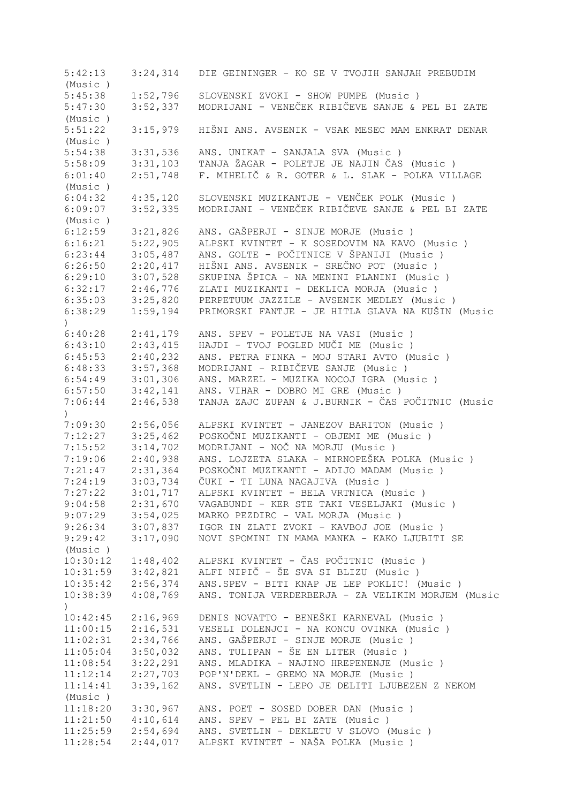5:42:13 3:24,314 DIE GEININGER - KO SE V TVOJIH SANJAH PREBUDIM (Music ) 5:45:38 1:52,796 SLOVENSKI ZVOKI - SHOW PUMPE (Music ) 5:47:30 3:52,337 MODRIJANI - VENEČEK RIBIČEVE SANJE & PEL BI ZATE (Music ) 5:51:22 3:15,979 HIŠNI ANS. AVSENIK - VSAK MESEC MAM ENKRAT DENAR (Music ) 5:54:38 3:31,536 ANS. UNIKAT - SANJALA SVA (Music ) 5:58:09 3:31,103 TANJA ŽAGAR - POLETJE JE NAJIN ČAS (Music ) 6:01:40 2:51,748 F. MIHELIČ & R. GOTER & L. SLAK - POLKA VILLAGE (Music ) 6:04:32 4:35,120 SLOVENSKI MUZIKANTJE - VENČEK POLK (Music ) 6:09:07 3:52,335 MODRIJANI - VENEČEK RIBIČEVE SANJE & PEL BI ZATE (Music ) 6:12:59 3:21,826 ANS. GAŠPERJI - SINJE MORJE (Music)<br>6:16:21 5:22.905 ALPSKI KVINTET - K SOSEDOVIM NA KAVO 6:16:21 5:22,905 ALPSKI KVINTET - K SOSEDOVIM NA KAVO (Music ) 6:23:44 3:05,487 ANS. GOLTE - POČITNICE V ŠPANIJI (Music ) 6:26:50 2:20,417 HIŠNI ANS. AVSENIK - SREČNO POT (Music)<br>6:29:10 3:07,528 SKUPINA ŠPICA - NA MENINI PLANINI (Music 6:29:10 3:07,528 SKUPINA ŠPICA - NA MENINI PLANINI (Music ) 6:32:17 2:46,776 ZLATI MUZIKANTI - DEKLICA MORJA (Music ) 6:35:03 3:25,820 PERPETUUM JAZZILE - AVSENIK MEDLEY (Music ) 6:38:29 1:59,194 PRIMORSKI FANTJE - JE HITLA GLAVA NA KUŠIN (Music  $\lambda$ 6:40:28 2:41,179 ANS. SPEV - POLETJE NA VASI (Music ) 6:43:10 2:43,415 HAJDI - TVOJ POGLED MUČI ME (Music ) 6:45:53 2:40,232 ANS. PETRA FINKA - MOJ STARI AVTO (Music ) 6:48:33 3:57,368 MODRIJANI - RIBIČEVE SANJE (Music ) 6:54:49 3:01,306 ANS. MARZEL - MUZIKA NOCOJ IGRA (Music ) 6:57:50 3:42,141 ANS. VIHAR - DOBRO MI GRE (Music ) 7:06:44 2:46,538 TANJA ZAJC ZUPAN & J.BURNIK - ČAS POČITNIC (Music  $\lambda$ 7:09:30 2:56,056 ALPSKI KVINTET - JANEZOV BARITON (Music ) 7:12:27 3:25,462 POSKOČNI MUZIKANTI - OBJEMI ME (Music )<br>7:15:52 3:14,702 MODRIJANI - NOČ NA MORJU (Music ) 7:15:52 3:14,702 MODRIJANI - NOČ NA MORJU (Music ) 7:19:06 2:40,938 ANS. LOJZETA SLAKA - MIRNOPEŠKA POLKA (Music ) 7:21:47 2:31,364 POSKOČNI MUZIKANTI - ADIJO MADAM (Music ) 7:24:19 3:03,734 ČUKI - TI LUNA NAGAJIVA (Music)<br>7:27:22 3:01,717 ALPSKI KVINTET - BELA VRTNICA (M 3:01,717 ALPSKI KVINTET - BELA VRTNICA (Music ) 9:04:58 2:31,670 VAGABUNDI - KER STE TAKI VESELJAKI (Music ) 9:07:29 3:54,025 MARKO PEZDIRC - VAL MORJA (Music ) 9:26:34 3:07,837 IGOR IN ZLATI ZVOKI - KAVBOJ JOE (Music ) 9:29:42 3:17,090 NOVI SPOMINI IN MAMA MANKA - KAKO LJUBITI SE (Music ) 10:30:12 1:48,402 ALPSKI KVINTET - ČAS POČITNIC (Music ) 10:31:59 3:42,821 ALFI NIPIČ - ŠE SVA SI BLIZU (Music ) 10:35:42 2:56,374 ANS.SPEV - BITI KNAP JE LEP POKLIC! (Music ) 10:38:39 4:08,769 ANS. TONIJA VERDERBERJA - ZA VELIKIM MORJEM (Music ) 10:42:45 2:16,969 DENIS NOVATTO - BENEŠKI KARNEVAL (Music ) 11:00:15 2:16,531 VESELI DOLENJCI - NA KONCU OVINKA (Music ) 11:02:31 2:34,766 ANS. GAŠPERJI - SINJE MORJE (Music)<br>11:05:04 3:50,032 ANS. TULIPAN - ŠE EN LITER (Music) 11:05:04 3:50,032 ANS. TULIPAN - ŠE EN LITER (Music )<br>11:08:54 3:22,291 ANS. MLADIKA - NAJINO HREPENENJE (M<br>11:12:14 2:27,703 POP'N'DEKL - GREMO NA MORJE (Music ANS. MLADIKA - NAJINO HREPENENJE (Music ) 11:12:14 2:27,703 POP'N'DEKL - GREMO NA MORJE (Music ) 11:14:41 3:39,162 ANS. SVETLIN - LEPO JE DELITI LJUBEZEN Z NEKOM (Music ) 11:18:20 3:30,967 ANS. POET - SOSED DOBER DAN (Music ) 11:21:50 4:10,614 ANS. SPEV - PEL BI ZATE (Music ) 11:25:59 2:54,694 ANS. SVETLIN - DEKLETU V SLOVO (Music ) 11:28:54 2:44,017 ALPSKI KVINTET - NAŠA POLKA (Music )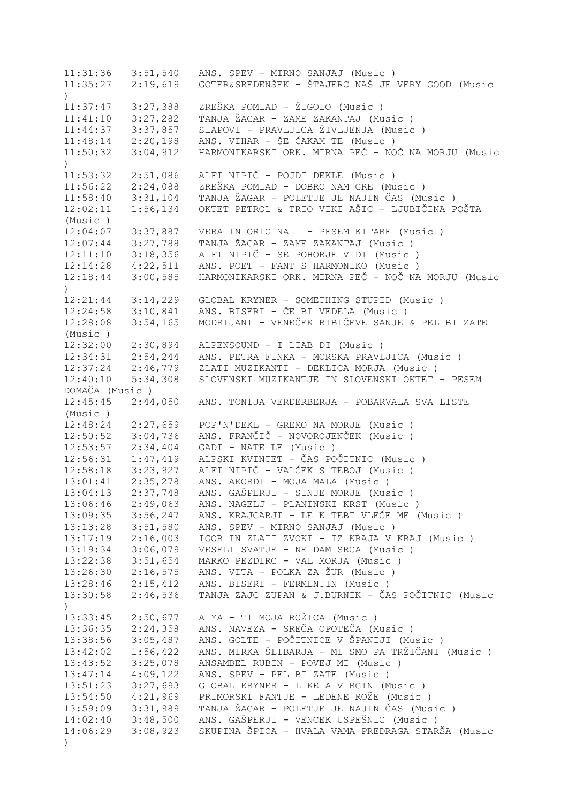11:31:36 3:51,540 ANS. SPEV - MIRNO SANJAJ (Music ) 11:35:27 2:19,619 GOTER&SREDENŠEK - ŠTAJERC NAŠ JE VERY GOOD (Music ) 11:37:47 3:27,388 ZREŠKA POMLAD - ŽIGOLO (Music ) 11:41:10 3:27,282 TANJA ŽAGAR - ZAME ZAKANTAJ (Music ) 11:44:37 3:37,857 SLAPOVI - PRAVLJICA ŽIVLJENJA (Music ) 11:48:14 2:20,198 ANS. VIHAR - ŠE ČAKAM TE (Music ) 11:50:32 3:04,912 HARMONIKARSKI ORK. MIRNA PEČ - NOČ NA MORJU (Music  $\lambda$ 11:53:32 2:51,086 ALFI NIPIČ - POJDI DEKLE (Music ) 11:56:22 2:24,088 ZREŠKA POMLAD - DOBRO NAM GRE (Music ) 11:58:40 3:31,104 TANJA ŽAGAR - POLETJE JE NAJIN ČAS (Music ) 12:02:11 1:56,134 OKTET PETROL & TRIO VIKI AŠIC - LJUBIČINA POŠTA (Music ) 12:04:07 3:37,887 VERA IN ORIGINALI - PESEM KITARE (Music ) 12:07:44 3:27,788 TANJA ŽAGAR - ZAME ZAKANTAJ (Music ) 12:11:10 3:18,356 ALFI NIPIČ - SE POHORJE VIDI (Music ) 12:14:28 4:22,511 ANS. POET - FANT S HARMONIKO (Music ) 12:18:44 3:00,585 HARMONIKARSKI ORK. MIRNA PEČ - NOČ NA MORJU (Music ) 12:21:44 3:14,229 GLOBAL KRYNER - SOMETHING STUPID (Music ) 12:24:58 3:10,841 ANS. BISERI - ČE BI VEDELA (Music ) 12:28:08 3:54,165 MODRIJANI - VENEČEK RIBIČEVE SANJE & PEL BI ZATE (Music ) 12:32:00 2:30,894 ALPENSOUND - I LIAB DI (Music ) 12:34:31 2:54,244 ANS. PETRA FINKA - MORSKA PRAVLJICA (Music ) 12:37:24 2:46,779 ZLATI MUZIKANTI - DEKLICA MORJA (Music ) 12:40:10 5:34,308 SLOVENSKI MUZIKANTJE IN SLOVENSKI OKTET - PESEM DOMAČA (Music ) 12:45:45 2:44,050 ANS. TONIJA VERDERBERJA - POBARVALA SVA LISTE (Music ) 12:48:24 2:27,659 POP'N'DEKL - GREMO NA MORJE (Music ) 12:50:52 3:04,736 ANS. FRANČIČ - NOVOROJENČEK (Music ) 12:53:57 2:34,404 GADI - NATE LE (Music ) 12:56:31 1:47,419 ALPSKI KVINTET - ČAS POČITNIC (Music ) 12:58:18 3:23,927 ALFI NIPIČ - VALČEK S TEBOJ (Music ) 13:01:41 2:35,278 ANS. AKORDI - MOJA MALA (Music ) 13:04:13 2:37,748 ANS. GAŠPERJI - SINJE MORJE (Music ) 13:06:46 2:49,063 ANS. NAGELJ - PLANINSKI KRST (Music ) 13:09:35 3:56,247 ANS. KRAJCARJI - LE K TEBI VLEČE ME (Music ) 13:13:28 3:51,580 ANS. SPEV - MIRNO SANJAJ (Music ) 13:17:19 2:16,003 IGOR IN ZLATI ZVOKI - IZ KRAJA V KRAJ (Music ) 13:19:34 3:06,079 VESELI SVATJE - NE DAM SRCA (Music ) 13:22:38 3:51,654 MARKO PEZDIRC - VAL MORJA (Music ) 13:26:30 2:16,575 ANS. VITA - POLKA ZA ŽUR (Music ) 13:28:46 2:15,412 ANS. BISERI - FERMENTIN (Music ) 13:30:58 2:46,536 TANJA ZAJC ZUPAN & J.BURNIK - ČAS POČITNIC (Music ) 13:33:45 2:50,677 ALYA - TI MOJA ROŽICA (Music ) 13:36:35 2:24,358 ANS. NAVEZA - SREČA OPOTEČA (Music ) 13:38:56 3:05,487 ANS. GOLTE - POČITNICE V ŠPANIJI (Music ) 13:42:02 1:56,422 ANS. MIRKA ŠLIBARJA - MI SMO PA TRŽIČANI (Music ) 13:43:52 3:25,078 ANSAMBEL RUBIN - POVEJ MI (Music ) 13:47:14 4:09,122 ANS. SPEV - PEL BI ZATE (Music ) 13:51:23 3:27,693 GLOBAL KRYNER - LIKE A VIRGIN (Music ) 13:54:50 4:21,969 PRIMORSKI FANTJE - LEDENE ROŽE (Music ) 13:59:09 3:31,989 TANJA ŽAGAR - POLETJE JE NAJIN ČAS (Music ) 14:02:40 3:48,500 ANS. GAŠPERJI - VENCEK USPEŠNIC (Music ) 14:06:29 3:08,923 SKUPINA ŠPICA - HVALA VAMA PREDRAGA STARŠA (Music )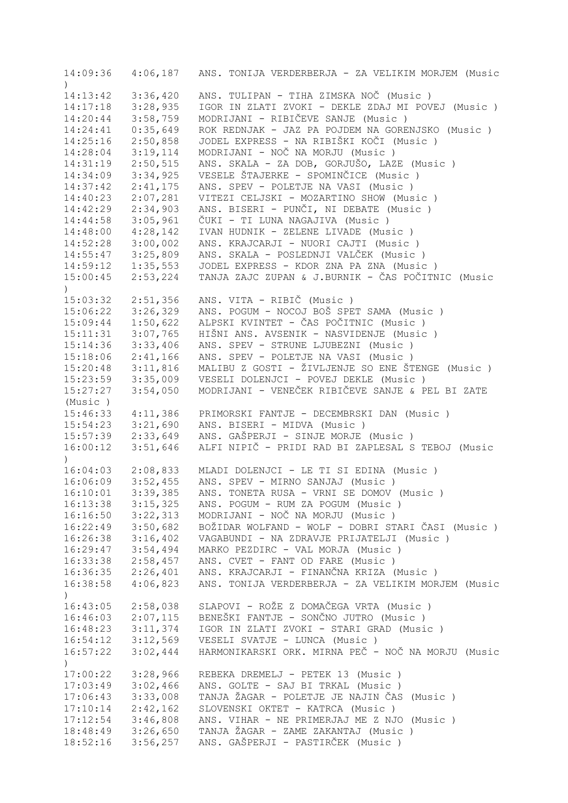14:09:36 4:06,187 ANS. TONIJA VERDERBERJA - ZA VELIKIM MORJEM (Music ) 14:13:42 3:36,420 ANS. TULIPAN - TIHA ZIMSKA NOČ (Music ) IGOR IN ZLATI ZVOKI - DEKLE ZDAJ MI POVEJ (Music ) 14:20:44 3:58,759 MODRIJANI - RIBIČEVE SANJE (Music ) 14:24:41 0:35,649 ROK REDNJAK - JAZ PA POJDEM NA GORENJSKO (Music ) 14:25:16 2:50,858 JODEL EXPRESS - NA RIBIŠKI KOČI (Music ) 14:28:04 3:19,114 MODRIJANI - NOČ NA MORJU (Music ) 14:31:19 2:50,515 ANS. SKALA - ZA DOB, GORJUŠO, LAZE (Music ) 14:34:09 3:34,925 VESELE ŠTAJERKE - SPOMINČICE (Music ) 2:41,175 ANS. SPEV - POLETJE NA VASI (Music ) 14:40:23 2:07,281 VITEZI CELJSKI - MOZARTINO SHOW (Music ) 14:42:29 2:34,903 ANS. BISERI - PUNČI, NI DEBATE (Music ) 14:44:58 3:05,961 ČUKI - TI LUNA NAGAJIVA (Music ) 14:48:00 4:28,142 IVAN HUDNIK - ZELENE LIVADE (Music ) 14:52:28 3:00,002 ANS. KRAJCARJI - NUORI CAJTI (Music ) 14:55:47 3:25,809 ANS. SKALA - POSLEDNJI VALČEK (Music ) 14:59:12 1:35,553 JODEL EXPRESS - KDOR ZNA PA ZNA (Music ) 15:00:45 2:53,224 TANJA ZAJC ZUPAN & J.BURNIK - ČAS POČITNIC (Music ) 15:03:32 2:51,356 ANS. VITA - RIBIČ (Music ) 15:06:22 3:26,329 ANS. POGUM - NOCOJ BOŠ SPET SAMA (Music ) 15:09:44 1:50,622 ALPSKI KVINTET - ČAS POČITNIC (Music ) 15:11:31 3:07,765 HIŠNI ANS. AVSENIK - NASVIDENJE (Music ) 15:14:36 3:33,406 ANS. SPEV - STRUNE LJUBEZNI (Music ) 15:18:06 2:41,166 ANS. SPEV - POLETJE NA VASI (Music ) 15:20:48 3:11,816 MALIBU Z GOSTI - ŽIVLJENJE SO ENE ŠTENGE (Music)<br>15:23:59 3:35,009 VESELI DOLENJCI - POVEJ DEKLE (Music) 15:23:59 3:35,009 VESELI DOLENJCI - POVEJ DEKLE (Music ) 15:27:27 3:54,050 MODRIJANI - VENEČEK RIBIČEVE SANJE & PEL BI ZATE (Music ) 15:46:33 4:11,386 PRIMORSKI FANTJE - DECEMBRSKI DAN (Music ) 15:54:23 3:21,690 ANS. BISERI - MIDVA (Music ) 15:57:39 2:33,649 ANS. GAŠPERJI - SINJE MORJE (Music ) 16:00:12 3:51,646 ALFI NIPIČ - PRIDI RAD BI ZAPLESAL S TEBOJ (Music ) 16:04:03 2:08,833 MLADI DOLENJCI - LE TI SI EDINA (Music ) 16:06:09 3:52,455 ANS. SPEV - MIRNO SANJAJ (Music ) 16:10:01 3:39,385 ANS. TONETA RUSA - VRNI SE DOMOV (Music ) 16:13:38 3:15,325 ANS. POGUM - RUM ZA POGUM (Music ) 16:16:50 3:22,313 MODRIJANI - NOČ NA MORJU (Music ) 16:22:49 3:50,682 BOŽIDAR WOLFAND - WOLF - DOBRI STARI ČASI (Music ) 16:26:38 3:16,402 VAGABUNDI - NA ZDRAVJE PRIJATELJI (Music ) 16:29:47 3:54,494 MARKO PEZDIRC - VAL MORJA (Music ) 16:33:38 2:58,457 ANS. CVET - FANT OD FARE (Music ) 16:36:35 2:26,401 ANS. KRAJCARJI - FINANČNA KRIZA (Music ) 16:38:58 4:06,823 ANS. TONIJA VERDERBERJA - ZA VELIKIM MORJEM (Music ) 16:43:05 2:58,038 SLAPOVI - ROŽE Z DOMAČEGA VRTA (Music ) 16:46:03 2:07,115 BENEŠKI FANTJE - SONČNO JUTRO (Music ) 16:48:23 3:11,374 IGOR IN ZLATI ZVOKI - STARI GRAD (Music ) 16:54:12 3:12,569 VESELI SVATJE - LUNCA (Music ) 16:57:22 3:02,444 HARMONIKARSKI ORK. MIRNA PEČ - NOČ NA MORJU (Music  $\lambda$ 17:00:22 3:28,966 REBEKA DREMELJ - PETEK 13 (Music ) 17:03:49 3:02,466 ANS. GOLTE - SAJ BI TRKAL (Music ) 17:06:43 3:33,008 TANJA ŽAGAR - POLETJE JE NAJIN ČAS (Music ) 17:10:14 2:42,162 SLOVENSKI OKTET - KATRCA (Music ) 17:12:54 3:46,808 ANS. VIHAR - NE PRIMERJAJ ME Z NJO (Music ) 18:48:49 3:26,650 TANJA ŽAGAR - ZAME ZAKANTAJ (Music ) 18:52:16 3:56,257 ANS. GAŠPERJI - PASTIRČEK (Music )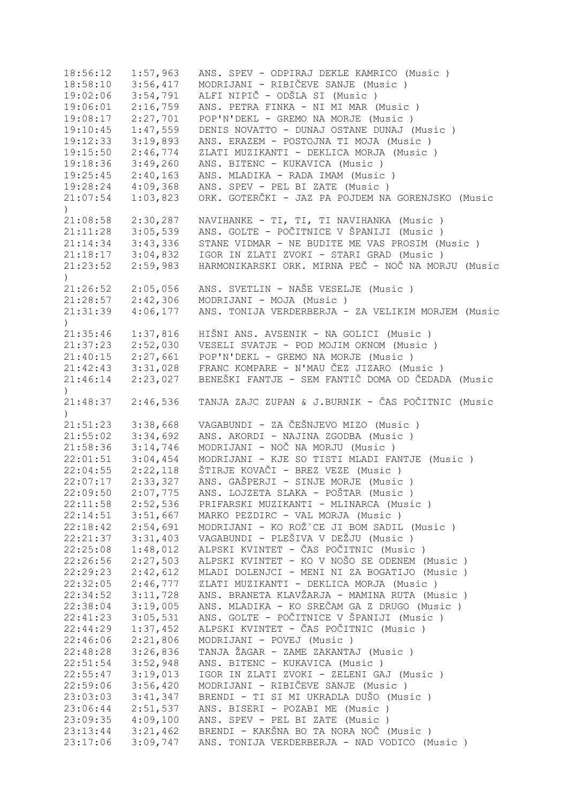| 18:56:12      | 1:57,963 | ANS. SPEV - ODPIRAJ DEKLE KAMRICO (Music)          |
|---------------|----------|----------------------------------------------------|
| 18:58:10      | 3:56,417 | MODRIJANI - RIBIČEVE SANJE (Music)                 |
| 19:02:06      | 3:54,791 | ALFI NIPIČ - ODŠLA SI (Music)                      |
| 19:06:01      | 2:16,759 | ANS. PETRA FINKA - NI MI MAR (Music)               |
| 19:08:17      | 2:27,701 | POP'N'DEKL - GREMO NA MORJE (Music)                |
| 19:10:45      | 1:47,559 | DENIS NOVATTO - DUNAJ OSTANE DUNAJ (Music)         |
| 19:12:33      | 3:19,893 | ANS. ERAZEM - POSTOJNA TI MOJA (Music)             |
| 19:15:50      | 2:46,774 | ZLATI MUZIKANTI - DEKLICA MORJA (Music)            |
| 19:18:36      | 3:49,260 | ANS. BITENC - KUKAVICA (Music)                     |
| 19:25:45      | 2:40,163 | ANS. MLADIKA - RADA IMAM (Music)                   |
| 19:28:24      | 4:09,368 | ANS. SPEV - PEL BI ZATE (Music)                    |
| 21:07:54      | 1:03,823 | ORK. GOTERČKI - JAZ PA POJDEM NA GORENJSKO (Music  |
| $\mathcal{L}$ |          |                                                    |
| 21:08:58      | 2:30,287 | NAVIHANKE - TI, TI, TI NAVIHANKA (Music)           |
| 21:11:28      | 3:05,539 | ANS. GOLTE - POČITNICE V ŠPANIJI (Music )          |
| 21:14:34      | 3:43,336 | STANE VIDMAR - NE BUDITE ME VAS PROSIM (Music)     |
| 21:18:17      | 3:04,832 | IGOR IN ZLATI ZVOKI - STARI GRAD (Music)           |
|               |          | HARMONIKARSKI ORK. MIRNA PEČ - NOČ NA MORJU (Music |
| 21:23:52      | 2:59,983 |                                                    |
| $\lambda$     |          |                                                    |
| 21:26:52      | 2:05,056 | ANS. SVETLIN - NAŠE VESELJE (Music)                |
| 21:28:57      | 2:42,306 | MODRIJANI - MOJA (Music)                           |
| 21:31:39      | 4:06,177 | ANS. TONIJA VERDERBERJA - ZA VELIKIM MORJEM (Music |
| $\lambda$     |          |                                                    |
| 21:35:46      | 1:37,816 | HIŠNI ANS. AVSENIK - NA GOLICI (Music )            |
| 21:37:23      | 2:52,030 | VESELI SVATJE - POD MOJIM OKNOM (Music)            |
| 21:40:15      | 2:27,661 | POP'N'DEKL - GREMO NA MORJE (Music)                |
| 21:42:43      | 3:31,028 | FRANC KOMPARE - N'MAU ČEZ JIZARO (Music)           |
| 21:46:14      | 2:23,027 | BENEŠKI FANTJE - SEM FANTIČ DOMA OD ČEDADA (Music  |
| $\lambda$     |          |                                                    |
| 21:48:37      | 2:46,536 | TANJA ZAJC ZUPAN & J.BURNIK - ČAS POČITNIC (Music  |
|               |          |                                                    |
| 21:51:23      | 3:38,668 | VAGABUNDI - ZA ČEŠNJEVO MIZO (Music )              |
| 21:55:02      | 3:34,692 | ANS. AKORDI - NAJINA ZGODBA (Music)                |
| 21:58:36      | 3:14,746 | MODRIJANI - NOČ NA MORJU (Music)                   |
| 22:01:51      | 3:04,454 | MODRIJANI - KJE SO TISTI MLADI FANTJE (Music)      |
| 22:04:55      | 2:22,118 | ŠTIRJE KOVAČI - BREZ VEZE (Music )                 |
| 22:07:17      | 2:33,327 | ANS. GAŠPERJI - SINJE MORJE (Music)                |
| 22:09:50      | 2:07,775 | ANS. LOJZETA SLAKA - POŠTAR (Music )               |
| 22:11:58      | 2:52,536 | PRIFARSKI MUZIKANTI - MLINARCA (Music)             |
| 22:14:51      | 3:51,667 | MARKO PEZDIRC - VAL MORJA (Music)                  |
| 22:18:42      | 2:54,691 | MODRIJANI - KO ROŽ´CE JI BOM SADIL (Music)         |
| 22:21:37      | 3:31,403 | VAGABUNDI - PLEŠIVA V DEŽJU (Music )               |
| 22:25:08      | 1:48,012 | ALPSKI KVINTET - ČAS POČITNIC (Music )             |
| 22:26:56      | 2:27,503 | ALPSKI KVINTET - KO V NOŠO SE ODENEM (Music)       |
| 22:29:23      | 2:42,612 | MLADI DOLENJCI - MENI NI ZA BOGATIJO (Music)       |
| 22:32:05      | 2:46,777 | ZLATI MUZIKANTI - DEKLICA MORJA (Music)            |
| 22:34:52      | 3:11,728 | ANS. BRANETA KLAVŽARJA - MAMINA RUTA (Music)       |
| 22:38:04      | 3:19,005 | ANS. MLADIKA - KO SREČAM GA Z DRUGO (Music)        |
| 22:41:23      | 3:05,531 | ANS. GOLTE - POČITNICE V ŠPANIJI (Music )          |
|               |          | ALPSKI KVINTET - ČAS POČITNIC (Music )             |
| 22:44:29      | 1:37,452 |                                                    |
| 22:46:06      | 2:21,806 | MODRIJANI - POVEJ (Music)                          |
| 22:48:28      | 3:26,836 | TANJA ŽAGAR - ZAME ZAKANTAJ (Music)                |
| 22:51:54      | 3:52,948 | ANS. BITENC - KUKAVICA (Music)                     |
| 22:55:47      | 3:19,013 | IGOR IN ZLATI ZVOKI - ZELENI GAJ (Music)           |
| 22:59:06      | 3:56,420 | MODRIJANI - RIBIČEVE SANJE (Music)                 |
| 23:03:03      | 3:41,347 | BRENDI - TI SI MI UKRADLA DUŠO (Music)             |
| 23:06:44      | 2:51,537 | ANS. BISERI - POZABI ME (Music)                    |
| 23:09:35      | 4:09,100 | ANS. SPEV - PEL BI ZATE (Music)                    |
| 23:13:44      | 3:21,462 | BRENDI - KAKŠNA BO TA NORA NOČ (Music)             |
| 23:17:06      | 3:09,747 | ANS. TONIJA VERDERBERJA - NAD VODICO (Music)       |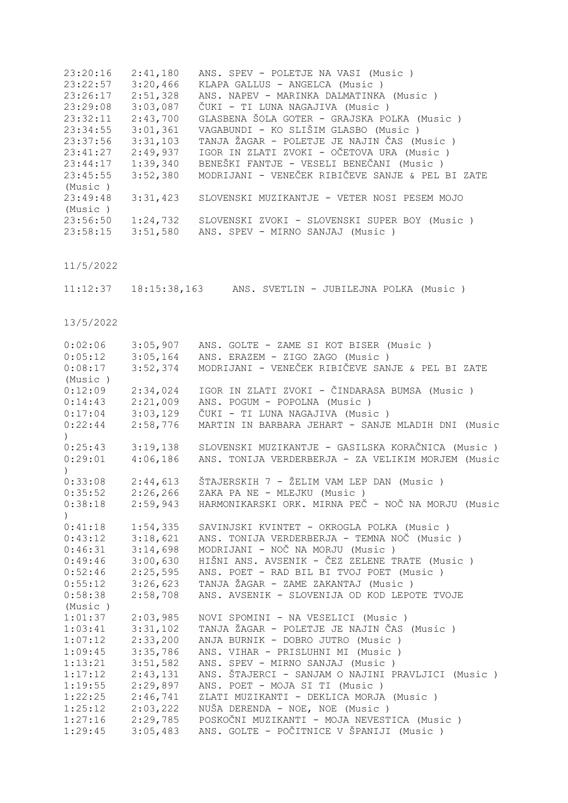| 23:20:16 | 2:41,180 | ANS. SPEV - POLETJE NA VASI (Music)              |
|----------|----------|--------------------------------------------------|
| 23:22:57 | 3:20,466 | KLAPA GALLUS - ANGELCA (Music)                   |
| 23:26:17 | 2:51,328 | ANS. NAPEV - MARINKA DALMATINKA (Music)          |
| 23:29:08 | 3:03,087 | ČUKI - TI LUNA NAGAJIVA (Music )                 |
| 23:32:11 | 2:43,700 | GLASBENA ŠOLA GOTER - GRAJSKA POLKA (Music )     |
| 23:34:55 | 3:01,361 | VAGABUNDI - KO SLIŠIM GLASBO (Music )            |
| 23:37:56 | 3:31,103 | TANJA ŽAGAR - POLETJE JE NAJIN ČAS (Music)       |
| 23:41:27 | 2:49,937 | IGOR IN ZLATI ZVOKI - OČETOVA URA (Music )       |
| 23:44:17 | 1:39,340 | BENEŠKI FANTJE - VESELI BENEČANI (Music )        |
| 23:45:55 | 3:52,380 | MODRIJANI - VENEČEK RIBIČEVE SANJE & PEL BI ZATE |
| (Music)  |          |                                                  |
| 23:49:48 | 3:31,423 | SLOVENSKI MUZIKANTJE - VETER NOSI PESEM MOJO     |
| (Music)  |          |                                                  |
| 23:56:50 | 1:24,732 | SLOVENSKI ZVOKI - SLOVENSKI SUPER BOY (Music)    |
| 23:58:15 | 3:51,580 | ANS. SPEV - MIRNO SANJAJ (Music)                 |

11/5/2022

11:12:37 18:15:38,163 ANS. SVETLIN - JUBILEJNA POLKA (Music )

13/5/2022

| 0:02:06                  | 3:05,907 | ANS. GOLTE - ZAME SI KOT BISER (Music)             |
|--------------------------|----------|----------------------------------------------------|
| 0:05:12                  | 3:05,164 | ANS. ERAZEM - ZIGO ZAGO (Music)                    |
| 0:08:17                  | 3:52,374 | MODRIJANI - VENEČEK RIBIČEVE SANJE & PEL BI ZATE   |
| (Music)                  |          |                                                    |
| 0:12:09                  | 2:34,024 | IGOR IN ZLATI ZVOKI - ČINDARASA BUMSA (Music )     |
| 0:14:43                  | 2:21,009 | ANS. POGUM - POPOLNA (Music)                       |
| 0:17:04                  | 3:03,129 | ČUKI - TI LUNA NAGAJIVA (Music )                   |
| 0:22:44<br>$\mathcal{L}$ | 2:58,776 | MARTIN IN BARBARA JEHART - SANJE MLADIH DNI (Music |
| 0:25:43                  | 3:19,138 | SLOVENSKI MUZIKANTJE - GASILSKA KORAČNICA (Music ) |
| 0:29:01<br>$\lambda$     | 4:06,186 | ANS. TONIJA VERDERBERJA - ZA VELIKIM MORJEM (Music |
| 0:33:08                  | 2:44,613 | ŠTAJERSKIH 7 - ŽELIM VAM LEP DAN (Music)           |
| 0:35:52                  | 2:26,266 | ZAKA PA NE - MLEJKU (Music)                        |
| 0:38:18                  | 2:59,943 | HARMONIKARSKI ORK. MIRNA PEČ - NOČ NA MORJU (Music |
| $\lambda$                |          |                                                    |
| 0:41:18                  | 1:54,335 | SAVINJSKI KVINTET - OKROGLA POLKA (Music )         |
| 0:43:12                  | 3:18,621 | ANS. TONIJA VERDERBERJA - TEMNA NOČ (Music)        |
| 0:46:31                  | 3:14,698 | MODRIJANI - NOČ NA MORJU (Music)                   |
| 0:49:46                  | 3:00,630 | HIŠNI ANS. AVSENIK - ČEZ ZELENE TRATE (Music )     |
| 0:52:46                  | 2:25,595 | ANS. POET - RAD BIL BI TVOJ POET (Music)           |
| 0:55:12                  | 3:26,623 | TANJA ŽAGAR - ZAME ZAKANTAJ (Music )               |
| 0:58:38                  | 2:58,708 | ANS. AVSENIK - SLOVENIJA OD KOD LEPOTE TVOJE       |
| (Music)                  |          |                                                    |
| 1:01:37                  | 2:03,985 | NOVI SPOMINI - NA VESELICI (Music)                 |
| 1:03:41                  | 3:31,102 | TANJA ŽAGAR - POLETJE JE NAJIN ČAS (Music)         |
| 1:07:12                  | 2:33,200 | ANJA BURNIK - DOBRO JUTRO (Music)                  |
| 1:09:45                  | 3:35,786 | ANS. VIHAR - PRISLUHNI MI (Music)                  |
| 1:13:21                  | 3:51,582 | ANS. SPEV - MIRNO SANJAJ (Music)                   |
| 1:17:12                  | 2:43,131 | ANS. ŠTAJERCI - SANJAM O NAJINI PRAVLJICI (Music)  |
| 1:19:55                  | 2:29,897 | ANS. POET - MOJA SI TI (Music)                     |
| 1:22:25                  | 2:46,741 | ZLATI MUZIKANTI - DEKLICA MORJA (Music)            |
| 1:25:12                  | 2:03,222 | NUŠA DERENDA - NOE, NOE (Music)                    |
| 1:27:16                  | 2:29,785 | POSKOČNI MUZIKANTI - MOJA NEVESTICA (Music)        |
| 1:29:45                  | 3:05,483 | ANS. GOLTE - POČITNICE V ŠPANIJI (Music )          |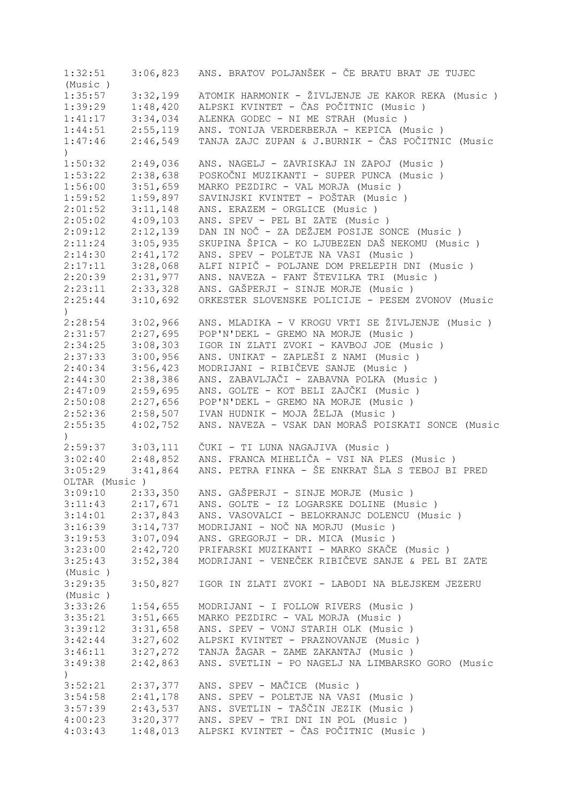| 1:32:51          | 3:06,823             | ANS. BRATOV POLJANŠEK - ČE BRATU BRAT JE TUJEC     |
|------------------|----------------------|----------------------------------------------------|
| (Music)          |                      |                                                    |
| 1:35:57          | 3:32,199             | ATOMIK HARMONIK - ŽIVLJENJE JE KAKOR REKA (Music)  |
| 1:39:29          | 1:48,420             | ALPSKI KVINTET - ČAS POČITNIC (Music )             |
| 1:41:17          | 3:34,034             | ALENKA GODEC - NI ME STRAH (Music)                 |
| 1:44:51          | 2:55,119             | ANS. TONIJA VERDERBERJA - KEPICA (Music)           |
| 1:47:46          | 2:46,549             | TANJA ZAJC ZUPAN & J.BURNIK - ČAS POČITNIC (Music  |
| $\left( \right)$ |                      |                                                    |
| 1:50:32          |                      |                                                    |
|                  | 2:49,036<br>2:38,638 | ANS. NAGELJ - ZAVRISKAJ IN ZAPOJ (Music)           |
| 1:53:22          |                      | POSKOČNI MUZIKANTI - SUPER PUNCA (Music )          |
| 1:56:00          | 3:51,659             | MARKO PEZDIRC - VAL MORJA (Music)                  |
| 1:59:52          | 1:59,897             | SAVINJSKI KVINTET - POŠTAR (Music )                |
| 2:01:52          | 3:11,148             | ANS. ERAZEM - ORGLICE (Music)                      |
| 2:05:02          | 4:09,103             | ANS. SPEV - PEL BI ZATE (Music)                    |
| 2:09:12          | 2:12,139             | DAN IN NOČ - ZA DEŽJEM POSIJE SONCE (Music)        |
| 2:11:24          | 3:05,935             | SKUPINA ŠPICA - KO LJUBEZEN DAŠ NEKOMU (Music)     |
| 2:14:30          | 2:41,172             | ANS. SPEV - POLETJE NA VASI (Music)                |
| 2:17:11          | 3:28,068             | ALFI NIPIČ - POLJANE DOM PRELEPIH DNI (Music)      |
| 2:20:39          | 2:31,977             | ANS. NAVEZA - FANT ŠTEVILKA TRI (Music)            |
| 2:23:11          | 2:33,328             | ANS. GAŠPERJI - SINJE MORJE (Music)                |
| 2:25:44          | 3:10,692             | ORKESTER SLOVENSKE POLICIJE - PESEM ZVONOV (Music  |
| $\mathcal{L}$    |                      |                                                    |
| 2:28:54          | 3:02,966             | ANS. MLADIKA - V KROGU VRTI SE ŽIVLJENJE (Music)   |
| 2:31:57          | 2:27,695             | POP'N'DEKL - GREMO NA MORJE (Music)                |
| 2:34:25          | 3:08,303             | IGOR IN ZLATI ZVOKI - KAVBOJ JOE (Music)           |
| 2:37:33          | 3:00,956             | ANS. UNIKAT - ZAPLEŠI Z NAMI (Music )              |
| 2:40:34          | 3:56,423             | MODRIJANI - RIBIČEVE SANJE (Music)                 |
|                  |                      | ANS. ZABAVLJAČI - ZABAVNA POLKA (Music)            |
| 2:44:30          | 2:38,386             |                                                    |
| 2:47:09          | 2:59,695             | ANS. GOLTE - KOT BELI ZAJČKI (Music )              |
| 2:50:08          | 2:27,656             | POP'N'DEKL - GREMO NA MORJE (Music)                |
| 2:52:36          | 2:58,507             | IVAN HUDNIK - MOJA ŽELJA (Music)                   |
| 2:55:35          | 4:02,752             | ANS. NAVEZA - VSAK DAN MORAŠ POISKATI SONCE (Music |
| $\mathcal{L}$    |                      |                                                    |
| 2:59:37          | 3:03,111             | ČUKI - TI LUNA NAGAJIVA (Music )                   |
| 3:02:40          | 2:48,852             | ANS. FRANCA MIHELIČA - VSI NA PLES (Music)         |
| 3:05:29          | 3:41,864             | ANS. PETRA FINKA - ŠE ENKRAT ŠLA S TEBOJ BI PRED   |
| OLTAR (Music)    |                      |                                                    |
| 3:09:10          | 2:33,350             | ANS. GAŠPERJI - SINJE MORJE (Music)                |
| 3:11:43          | 2:17,671             | ANS. GOLTE - IZ LOGARSKE DOLINE (Music)            |
| 3:14:01          | 2:37,843             | ANS. VASOVALCI - BELOKRANJC DOLENCU (Music)        |
| 3:16:39          | 3:14,737             | MODRIJANI - NOČ NA MORJU (Music)                   |
| 3:19:53          | 3:07,094             | ANS. GREGORJI - DR. MICA (Music)                   |
| 3:23:00          | 2:42,720             | PRIFARSKI MUZIKANTI - MARKO SKAČE (Music)          |
| 3:25:43          | 3:52,384             | MODRIJANI - VENEČEK RIBIČEVE SANJE & PEL BI ZATE   |
| (Music)          |                      |                                                    |
| 3:29:35          | 3:50,827             | IGOR IN ZLATI ZVOKI - LABODI NA BLEJSKEM JEZERU    |
|                  |                      |                                                    |
| (Music)          |                      |                                                    |
| 3:33:26          | 1:54,655             | MODRIJANI - I FOLLOW RIVERS (Music)                |
| 3:35:21          | 3:51,665             | MARKO PEZDIRC - VAL MORJA (Music)                  |
| 3:39:12          | 3:31,658             | ANS. SPEV - VONJ STARIH OLK (Music)                |
| 3:42:44          | 3:27,602             | ALPSKI KVINTET - PRAZNOVANJE (Music)               |
| 3:46:11          | 3:27,272             | TANJA ŽAGAR - ZAME ZAKANTAJ (Music )               |
| 3:49:38          | 2:42,863             | ANS. SVETLIN - PO NAGELJ NA LIMBARSKO GORO (Music  |
| $\left( \right)$ |                      |                                                    |
| 3:52:21          | 2:37,377             | ANS. SPEV - MAČICE (Music)                         |
| 3:54:58          | 2:41,178             | ANS. SPEV - POLETJE NA VASI (Music)                |
| 3:57:39          | 2:43,537             | ANS. SVETLIN - TAŠČIN JEZIK (Music )               |
| 4:00:23          | 3:20,377             | ANS. SPEV - TRI DNI IN POL (Music)                 |
| 4:03:43          | 1:48,013             | ALPSKI KVINTET - ČAS POČITNIC (Music )             |
|                  |                      |                                                    |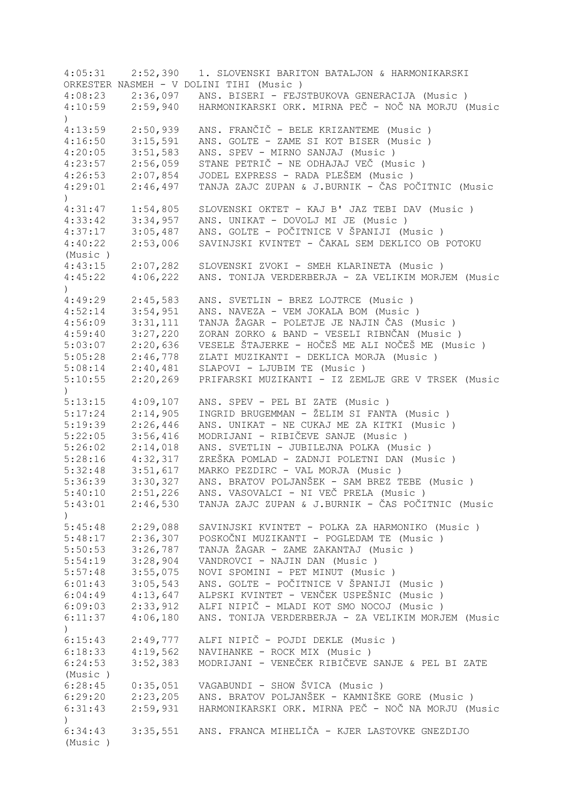| 4:05:31          | 2:52,390 | 1. SLOVENSKI BARITON BATALJON & HARMONIKARSKI              |
|------------------|----------|------------------------------------------------------------|
|                  |          | ORKESTER NASMEH - V DOLINI TIHI (Music)                    |
| 4:08:23          | 2:36,097 | ANS. BISERI - FEJSTBUKOVA GENERACIJA (Music)               |
| 4:10:59          | 2:59,940 | HARMONIKARSKI ORK. MIRNA PEČ - NOČ NA MORJU (Music         |
| $\left( \right)$ |          |                                                            |
| 4:13:59          | 2:50,939 | ANS. FRANČIČ - BELE KRIZANTEME (Music)                     |
| 4:16:50          | 3:15,591 | ANS. GOLTE - ZAME SI KOT BISER (Music)                     |
| 4:20:05          | 3:51,583 | ANS. SPEV - MIRNO SANJAJ (Music)                           |
| 4:23:57          | 2:56,059 | STANE PETRIČ - NE ODHAJAJ VEČ (Music)                      |
| 4:26:53          | 2:07,854 | JODEL EXPRESS - RADA PLEŠEM (Music )                       |
| 4:29:01          | 2:46,497 | TANJA ZAJC ZUPAN & J.BURNIK - ČAS POČITNIC (Music          |
| $\lambda$        |          |                                                            |
| 4:31:47          | 1:54,805 | SLOVENSKI OKTET - KAJ B' JAZ TEBI DAV (Music )             |
| 4:33:42          | 3:34,957 | ANS. UNIKAT - DOVOLJ MI JE (Music)                         |
| 4:37:17          | 3:05,487 | ANS. GOLTE - POČITNICE V ŠPANIJI (Music )                  |
|                  |          | SAVINJSKI KVINTET - ČAKAL SEM DEKLICO OB POTOKU            |
| 4:40:22          | 2:53,006 |                                                            |
| (Music)          |          |                                                            |
| 4:43:15          | 2:07,282 | SLOVENSKI ZVOKI - SMEH KLARINETA (Music)                   |
| 4:45:22          | 4:06,222 | ANS. TONIJA VERDERBERJA - ZA VELIKIM MORJEM (Music         |
| $\mathcal{L}$    |          |                                                            |
| 4:49:29          | 2:45,583 | ANS. SVETLIN - BREZ LOJTRCE (Music)                        |
| 4:52:14          | 3:54,951 | ANS. NAVEZA - VEM JOKALA BOM (Music)                       |
| 4:56:09          | 3:31,111 | TANJA ŽAGAR - POLETJE JE NAJIN ČAS (Music)                 |
| 4:59:40          | 3:27,220 | ZORAN ZORKO & BAND - VESELI RIBNČAN (Music)                |
| 5:03:07          | 2:20,636 | VESELE ŠTAJERKE - HOČEŠ ME ALI NOČEŠ ME (Music )           |
| 5:05:28          | 2:46,778 | ZLATI MUZIKANTI - DEKLICA MORJA (Music)                    |
| 5:08:14          | 2:40,481 | SLAPOVI - LJUBIM TE (Music)                                |
| 5:10:55          | 2:20,269 | PRIFARSKI MUZIKANTI - IZ ZEMLJE GRE V TRSEK (Music         |
| $\mathcal{L}$    |          |                                                            |
| 5:13:15          | 4:09,107 | ANS. SPEV - PEL BI ZATE (Music)                            |
| 5:17:24          | 2:14,905 | INGRID BRUGEMMAN - ŽELIM SI FANTA (Music )                 |
| 5:19:39          | 2:26,446 | ANS. UNIKAT - NE CUKAJ ME ZA KITKI (Music )                |
| 5:22:05          | 3:56,416 | MODRIJANI - RIBIČEVE SANJE (Music)                         |
| 5:26:02          | 2:14,018 | ANS. SVETLIN - JUBILEJNA POLKA (Music)                     |
| 5:28:16          | 4:32,317 | ZREŠKA POMLAD - ZADNJI POLETNI DAN (Music )                |
| 5:32:48          | 3:51,617 | MARKO PEZDIRC - VAL MORJA (Music)                          |
| 5:36:39          | 3:30,327 | ANS. BRATOV POLJANŠEK - SAM BREZ TEBE (Music)              |
| 5:40:10          | 2:51,226 | ANS. VASOVALCI - NI VEČ PRELA (Music)                      |
| 5:43:01          |          | 2:46,530 TANJA ZAJC ZUPAN & J.BURNIK - ČAS POČITNIC (Music |
| $\mathcal{C}$    |          |                                                            |
| 5:45:48          | 2:29,088 | SAVINJSKI KVINTET - POLKA ZA HARMONIKO (Music)             |
| 5:48:17          | 2:36,307 | POSKOČNI MUZIKANTI - POGLEDAM TE (Music)                   |
| 5:50:53          | 3:26,787 | TANJA ŽAGAR - ZAME ZAKANTAJ (Music )                       |
|                  | 3:28,904 |                                                            |
| 5:54:19          |          | VANDROVCI - NAJIN DAN (Music)                              |
| 5:57:48          | 3:55,075 | NOVI SPOMINI - PET MINUT (Music)                           |
| 6:01:43          | 3:05,543 | ANS. GOLTE - POČITNICE V ŠPANIJI (Music)                   |
| 6:04:49          | 4:13,647 | ALPSKI KVINTET - VENČEK USPEŠNIC (Music)                   |
| 6:09:03          | 2:33,912 | ALFI NIPIČ - MLADI KOT SMO NOCOJ (Music)                   |
| 6:11:37          | 4:06,180 | ANS. TONIJA VERDERBERJA - ZA VELIKIM MORJEM (Music         |
| $\left( \right)$ |          |                                                            |
| 6:15:43          | 2:49,777 | ALFI NIPIČ - POJDI DEKLE (Music)                           |
| 6:18:33          | 4:19,562 | NAVIHANKE - ROCK MIX (Music)                               |
| 6:24:53          | 3:52,383 | MODRIJANI - VENEČEK RIBIČEVE SANJE & PEL BI ZATE           |
| (Music)          |          |                                                            |
| 6:28:45          | 0:35,051 | VAGABUNDI - SHOW ŠVICA (Music )                            |
| 6:29:20          |          | 2:23,205 ANS. BRATOV POLJANŠEK - KAMNIŠKE GORE (Music)     |
| 6:31:43          | 2:59,931 | HARMONIKARSKI ORK. MIRNA PEČ - NOČ NA MORJU (Music         |
| $\left( \right)$ |          |                                                            |
| 6:34:43          |          | 3:35,551 ANS. FRANCA MIHELIČA - KJER LASTOVKE GNEZDIJO     |
| (Music)          |          |                                                            |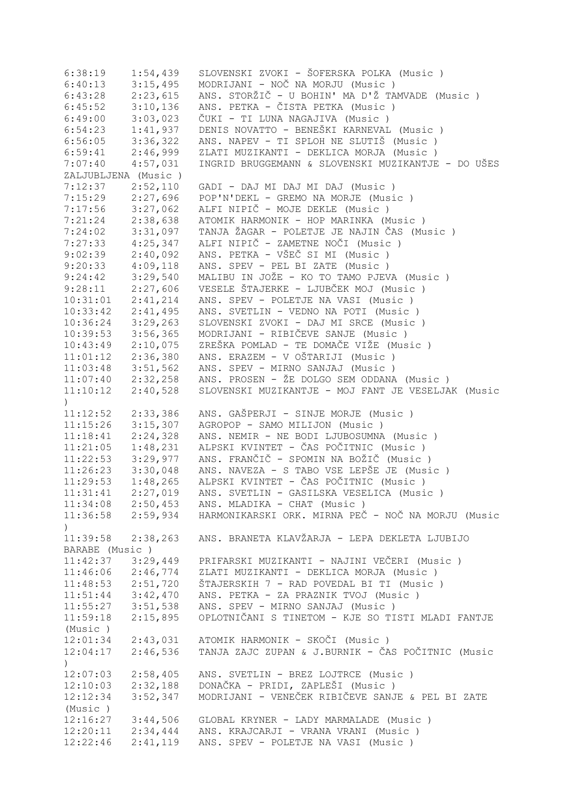| 6:38:19               | 1:54,439 | SLOVENSKI ZVOKI - ŠOFERSKA POLKA (Music )                            |
|-----------------------|----------|----------------------------------------------------------------------|
| 6:40:13               | 3:15,495 | MODRIJANI - NOČ NA MORJU (Music)                                     |
| 6:43:28               | 2:23,615 | ANS. STORŽIČ - U BOHIN' MA D'Ž TAMVADE (Music)                       |
| 6:45:52               | 3:10,136 | ANS. PETKA - ČISTA PETKA (Music)                                     |
| 6:49:00               | 3:03,023 | ČUKI - TI LUNA NAGAJIVA (Music)                                      |
| 6:54:23               | 1:41,937 | DENIS NOVATTO - BENEŠKI KARNEVAL (Music )                            |
| 6:56:05               | 3:36,322 | ANS. NAPEV - TI SPLOH NE SLUTIŠ (Music )                             |
| 6:59:41               | 2:46,999 | ZLATI MUZIKANTI - DEKLICA MORJA (Music)                              |
| 7:07:40               | 4:57,031 | INGRID BRUGGEMANN & SLOVENSKI MUZIKANTJE - DO UŠES                   |
| ZALJUBLJENA (Music)   |          |                                                                      |
| 7:12:37               | 2:52,110 | GADI - DAJ MI DAJ MI DAJ (Music)                                     |
| 7:15:29               | 2:27,696 | POP'N'DEKL - GREMO NA MORJE (Music)                                  |
| 7:17:56               | 3:27,062 | ALFI NIPIČ - MOJE DEKLE (Music)                                      |
| 7:21:24               | 2:38,638 | ATOMIK HARMONIK - HOP MARINKA (Music)                                |
| 7:24:02               | 3:31,097 | TANJA ŽAGAR - POLETJE JE NAJIN ČAS (Music)                           |
| 7:27:33               | 4:25,347 | ALFI NIPIČ - ZAMETNE NOČI (Music)                                    |
| 9:02:39               | 2:40,092 | ANS. PETKA - VŠEČ SI MI (Music)                                      |
|                       | 4:09,118 | ANS. SPEV - PEL BI ZATE (Music)                                      |
| 9:20:33               |          |                                                                      |
| 9:24:42               | 3:29,540 | MALIBU IN JOŽE - KO TO TAMO PJEVA (Music)                            |
| 9:28:11               | 2:27,606 | VESELE ŠTAJERKE - LJUBČEK MOJ (Music)                                |
| 10:31:01              | 2:41,214 | ANS. SPEV - POLETJE NA VASI (Music)                                  |
| 10:33:42              | 2:41,495 | ANS. SVETLIN - VEDNO NA POTI (Music)                                 |
| 10:36:24              | 3:29,263 | SLOVENSKI ZVOKI - DAJ MI SRCE (Music)                                |
| 10:39:53              | 3:56,365 | MODRIJANI - RIBIČEVE SANJE (Music)                                   |
| 10:43:49              | 2:10,075 | ZREŠKA POMLAD - TE DOMAČE VIŽE (Music)                               |
| 11:01:12              | 2:36,380 | ANS. ERAZEM - V OŠTARIJI (Music )                                    |
| 11:03:48              | 3:51,562 | ANS. SPEV - MIRNO SANJAJ (Music)                                     |
| $11:07:40$ $2:32,258$ |          | ANS. PROSEN - ŽE DOLGO SEM ODDANA (Music )                           |
| 11:10:12              | 2:40,528 | SLOVENSKI MUZIKANTJE - MOJ FANT JE VESELJAK (Music                   |
| $\lambda$             |          |                                                                      |
| 11:12:52              | 2:33,386 | ANS. GAŠPERJI - SINJE MORJE (Music )                                 |
| 11:15:26              | 3:15,307 | AGROPOP - SAMO MILIJON (Music)                                       |
| 11:18:41              | 2:24,328 | ANS. NEMIR - NE BODI LJUBOSUMNA (Music)                              |
| 11:21:05              | 1:48,231 | ALPSKI KVINTET - ČAS POČITNIC (Music )                               |
| 11:22:53              | 3:29,977 | ANS. FRANČIČ - SPOMIN NA BOŽIČ (Music )                              |
| 11:26:23              | 3:30,048 | ANS. NAVEZA - S TABO VSE LEPŠE JE (Music)                            |
| 11:29:53              | 1:48,265 | ALPSKI KVINTET - ČAS POČITNIC (Music )                               |
| 11:31:41              | 2:27,019 | ANS. SVETLIN - GASILSKA VESELICA (Music )                            |
|                       |          | 11:34:08  2:50,453  ANS. MLADIKA - CHAT (Music)                      |
|                       |          | 11:36:58 2:59,934 HARMONIKARSKI ORK. MIRNA PEČ - NOČ NA MORJU (Music |
| $\big)$               |          |                                                                      |
| $11:39:58$ $2:38,263$ |          | ANS. BRANETA KLAVŽARJA - LEPA DEKLETA LJUBIJO                        |
| BARABE (Music)        |          |                                                                      |
| 11:42:37              | 3:29,449 | PRIFARSKI MUZIKANTI - NAJINI VEČERI (Music)                          |
| $11:46:06$ $2:46,774$ |          | ZLATI MUZIKANTI - DEKLICA MORJA (Music)                              |
| $11:48:53$ $2:51,720$ |          | ŠTAJERSKIH 7 - RAD POVEDAL BI TI (Music )                            |
| $11:51:44$ $3:42,470$ |          | ANS. PETKA - ZA PRAZNIK TVOJ (Music)                                 |
| $11:55:27$ $3:51,538$ |          | ANS. SPEV - MIRNO SANJAJ (Music)                                     |
| 11:59:18              | 2:15,895 | OPLOTNIČANI S TINETOM - KJE SO TISTI MLADI FANTJE                    |
|                       |          |                                                                      |
| (Music )              |          |                                                                      |
| 12:01:34              |          | 2:43,031 ATOMIK HARMONIK - SKOČI (Music)                             |
| 12:04:17              | 2:46,536 | TANJA ZAJC ZUPAN & J.BURNIK - ČAS POČITNIC (Music                    |
| )                     |          |                                                                      |
| $12:07:03$ $2:58,405$ |          | ANS. SVETLIN - BREZ LOJTRCE (Music)                                  |
| 12:10:03              | 2:32,188 | DONAČKA - PRIDI, ZAPLEŠI (Music )                                    |
| 12:12:34              | 3:52,347 | MODRIJANI - VENEČEK RIBIČEVE SANJE & PEL BI ZATE                     |
| (Music )              |          |                                                                      |
| 12:16:27              | 3:44,506 | GLOBAL KRYNER - LADY MARMALADE (Music)                               |
| 12:20:11              | 2:34,444 | ANS. KRAJCARJI - VRANA VRANI (Music )                                |
| 12:22:46              | 2:41,119 | ANS. SPEV - POLETJE NA VASI (Music )                                 |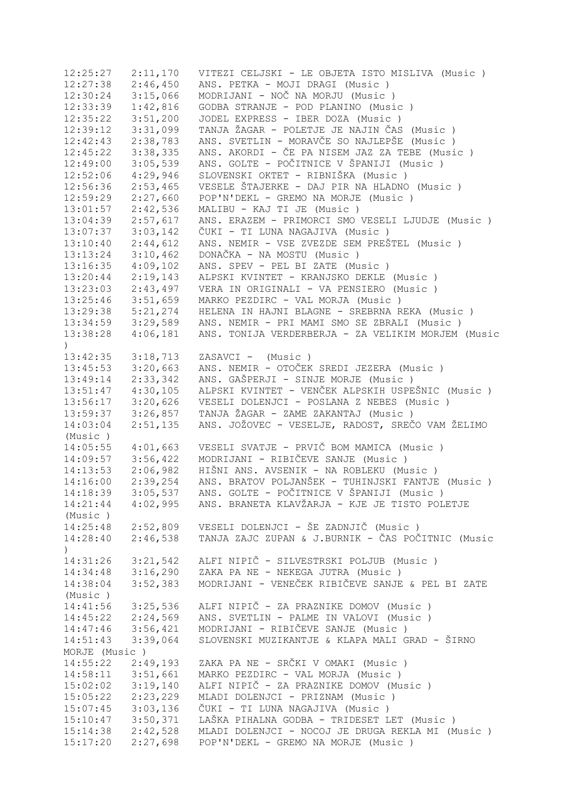| 12:25:27              | 2:11,170 | VITEZI CELJSKI - LE OBJETA ISTO MISLIVA (Music )   |
|-----------------------|----------|----------------------------------------------------|
| 12:27:38              | 2:46,450 | ANS. PETKA - MOJI DRAGI (Music)                    |
| 12:30:24              | 3:15,066 | MODRIJANI - NOČ NA MORJU (Music)                   |
| 12:33:39              | 1:42,816 | GODBA STRANJE - POD PLANINO (Music)                |
| 12:35:22              | 3:51,200 | JODEL EXPRESS - IBER DOZA (Music)                  |
| 12:39:12              | 3:31,099 | TANJA ŽAGAR - POLETJE JE NAJIN ČAS (Music)         |
| 12:42:43              | 2:38,783 | ANS. SVETLIN - MORAVČE SO NAJLEPŠE (Music)         |
| 12:45:22              | 3:38,335 | ANS. AKORDI - ČE PA NISEM JAZ ZA TEBE (Music)      |
| 12:49:00              | 3:05,539 | ANS. GOLTE - POČITNICE V ŠPANIJI (Music )          |
| 12:52:06              | 4:29,946 | SLOVENSKI OKTET - RIBNIŠKA (Music )                |
| 12:56:36              | 2:53,465 | VESELE ŠTAJERKE - DAJ PIR NA HLADNO (Music)        |
|                       |          | POP'N'DEKL - GREMO NA MORJE (Music)                |
| 12:59:29              | 2:27,660 |                                                    |
| 13:01:57              | 2:42,536 | MALIBU - KAJ TI JE (Music)                         |
| 13:04:39              | 2:57,617 | ANS. ERAZEM - PRIMORCI SMO VESELI LJUDJE (Music)   |
| 13:07:37              | 3:03,142 | ČUKI - TI LUNA NAGAJIVA (Music )                   |
| 13:10:40              | 2:44,612 | ANS. NEMIR - VSE ZVEZDE SEM PREŠTEL (Music)        |
| 13:13:24              | 3:10,462 | DONAČKA - NA MOSTU (Music)                         |
| 13:16:35              | 4:09,102 | ANS. SPEV - PEL BI ZATE (Music)                    |
| 13:20:44              | 2:19,143 | ALPSKI KVINTET - KRANJSKO DEKLE (Music)            |
| 13:23:03              | 2:43,497 | VERA IN ORIGINALI - VA PENSIERO (Music)            |
| 13:25:46              | 3:51,659 | MARKO PEZDIRC - VAL MORJA (Music)                  |
| 13:29:38              | 5:21,274 | HELENA IN HAJNI BLAGNE - SREBRNA REKA (Music)      |
| 13:34:59              | 3:29,589 | ANS. NEMIR - PRI MAMI SMO SE ZBRALI (Music)        |
| 13:38:28              | 4:06,181 | ANS. TONIJA VERDERBERJA - ZA VELIKIM MORJEM (Music |
| $\lambda$             |          |                                                    |
| 13:42:35              | 3:18,713 | ZASAVCI - (Music)                                  |
| 13:45:53              | 3:20,663 | ANS. NEMIR - OTOČEK SREDI JEZERA (Music)           |
| 13:49:14              | 2:33,342 | ANS. GAŠPERJI - SINJE MORJE (Music)                |
| 13:51:47              | 4:30,105 | ALPSKI KVINTET - VENČEK ALPSKIH USPEŠNIC (Music)   |
| 13:56:17              | 3:20,626 | VESELI DOLENJCI - POSLANA Z NEBES (Music)          |
|                       | 3:26,857 | TANJA ŽAGAR - ZAME ZAKANTAJ (Music)                |
| 13:59:37              |          |                                                    |
| 14:03:04              | 2:51,135 | ANS. JOŽOVEC - VESELJE, RADOST, SREČO VAM ŽELIMO   |
| (Music)               |          |                                                    |
| 14:05:55              | 4:01,663 | VESELI SVATJE - PRVIČ BOM MAMICA (Music)           |
| 14:09:57              | 3:56,422 | MODRIJANI - RIBIČEVE SANJE (Music)                 |
| 14:13:53              | 2:06,982 | HIŠNI ANS. AVSENIK - NA ROBLEKU (Music )           |
| 14:16:00              | 2:39,254 | ANS. BRATOV POLJANŠEK - TUHINJSKI FANTJE (Music)   |
| 14:18:39              | 3:05,537 | ANS. GOLTE - POČITNICE V ŠPANIJI (Music )          |
| 14:21:44              | 4:02,995 | ANS. BRANETA KLAVŽARJA - KJE JE TISTO POLETJE      |
| (Music )              |          |                                                    |
| 14:25:48              | 2:52,809 | VESELI DOLENJCI - ŠE ZADNJIČ (Music )              |
| 14:28:40              | 2:46,538 | TANJA ZAJC ZUPAN & J.BURNIK - ČAS POČITNIC (Music  |
| $\lambda$             |          |                                                    |
| 14:31:26              | 3:21,542 | ALFI NIPIČ - SILVESTRSKI POLJUB (Music)            |
| 14:34:48              | 3:16,290 | ZAKA PA NE - NEKEGA JUTRA (Music)                  |
| 14:38:04              | 3:52,383 | MODRIJANI - VENEČEK RIBIČEVE SANJE & PEL BI ZATE   |
| (Music)               |          |                                                    |
| 14:41:56              | 3:25,536 | ALFI NIPIČ - ZA PRAZNIKE DOMOV (Music)             |
| $14:45:22$ $2:24,569$ |          | ANS. SVETLIN - PALME IN VALOVI (Music)             |
| 14:47:46              | 3:56,421 | MODRIJANI - RIBIČEVE SANJE (Music)                 |
|                       |          |                                                    |
| 14:51:43              | 3:39,064 | SLOVENSKI MUZIKANTJE & KLAPA MALI GRAD - ŠIRNO     |
| MORJE (Music)         |          |                                                    |
| 14:55:22              | 2:49,193 | ZAKA PA NE - SRČKI V OMAKI (Music )                |
| 14:58:11              | 3:51,661 | MARKO PEZDIRC - VAL MORJA (Music)                  |
| 15:02:02              | 3:19,140 | ALFI NIPIČ - ZA PRAZNIKE DOMOV (Music)             |
| $15:05:22$ $2:23,229$ |          | MLADI DOLENJCI - PRIZNAM (Music)                   |
| $15:07:45$ 3:03,136   |          | ČUKI - TI LUNA NAGAJIVA (Music )                   |
| 15:10:47              | 3:50,371 | LAŠKA PIHALNA GODBA - TRIDESET LET (Music )        |
| 15:14:38              | 2:42,528 | MLADI DOLENJCI - NOCOJ JE DRUGA REKLA MI (Music)   |
| 15:17:20              | 2:27,698 | POP'N'DEKL - GREMO NA MORJE (Music)                |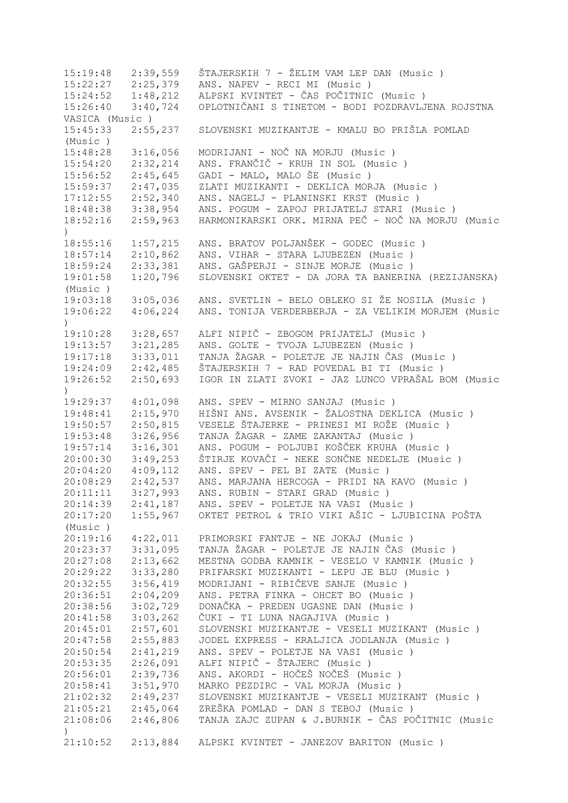15:19:48 2:39,559 ŠTAJERSKIH 7 - ŽELIM VAM LEP DAN (Music ) 15:22:27 2:25,379 ANS. NAPEV - RECI MI (Music ) 15:24:52 1:48,212 ALPSKI KVINTET - ČAS POČITNIC (Music ) 15:26:40 3:40,724 OPLOTNIČANI S TINETOM - BODI POZDRAVLJENA ROJSTNA VASICA (Music ) 15:45:33 2:55,237 SLOVENSKI MUZIKANTJE - KMALU BO PRIŠLA POMLAD (Music ) 15:48:28 3:16,056 MODRIJANI - NOČ NA MORJU (Music ) 15:54:20 2:32,214 ANS. FRANČIČ - KRUH IN SOL (Music ) 15:56:52 2:45,645 GADI - MALO, MALO ŠE (Music ) 15:59:37 2:47,035 ZLATI MUZIKANTI - DEKLICA MORJA (Music ) 2:52,340 ANS. NAGELJ - PLANINSKI KRST (Music ) 18:48:38 3:38,954 ANS. POGUM - ZAPOJ PRIJATELJ STARI (Music ) 18:52:16 2:59,963 HARMONIKARSKI ORK. MIRNA PEČ - NOČ NA MORJU (Music ) 18:55:16 1:57,215 ANS. BRATOV POLJANŠEK - GODEC (Music ) 18:57:14 2:10,862 ANS. VIHAR - STARA LJUBEZEN (Music ) 18:59:24 2:33,381 ANS. GAŠPERJI - SINJE MORJE (Music ) 19:01:58 1:20,796 SLOVENSKI OKTET - DA JORA TA BANERINA (REZIJANSKA) (Music ) 19:03:18 3:05,036 ANS. SVETLIN - BELO OBLEKO SI ŽE NOSILA (Music ) 19:06:22 4:06,224 ANS. TONIJA VERDERBERJA - ZA VELIKIM MORJEM (Music  $\lambda$ 19:10:28 3:28,657 ALFI NIPIČ - ZBOGOM PRIJATELJ (Music ) 19:13:57 3:21,285 ANS. GOLTE - TVOJA LJUBEZEN (Music ) 19:17:18 3:33,011 TANJA ŽAGAR - POLETJE JE NAJIN ČAS (Music ) 19:24:09 2:42,485 ŠTAJERSKIH 7 - RAD POVEDAL BI TI (Music ) 19:26:52 2:50,693 IGOR IN ZLATI ZVOKI - JAZ LUNCO VPRAŠAL BOM (Music ) 19:29:37 4:01,098 ANS. SPEV - MIRNO SANJAJ (Music ) 19:48:41 2:15,970 HIŠNI ANS. AVSENIK - ŽALOSTNA DEKLICA (Music ) 19:50:57 2:50,815 VESELE ŠTAJERKE - PRINESI MI ROŽE (Music ) 19:53:48 3:26,956 TANJA ŽAGAR - ZAME ZAKANTAJ (Music ) 19:57:14 3:16,301 ANS. POGUM - POLJUBI KOŠČEK KRUHA (Music ) 20:00:30 3:49,253 ŠTIRJE KOVAČI - NEKE SONČNE NEDELJE (Music ) 20:04:20 4:09,112 ANS. SPEV - PEL BI ZATE (Music ) 20:08:29 2:42,537 ANS. MARJANA HERCOGA - PRIDI NA KAVO (Music ) 20:11:11 3:27,993 ANS. RUBIN - STARI GRAD (Music ) 20:14:39 2:41,187 ANS. SPEV - POLETJE NA VASI (Music ) 20:17:20 1:55,967 OKTET PETROL & TRIO VIKI AŠIC - LJUBICINA POŠTA (Music ) 20:19:16 4:22,011 PRIMORSKI FANTJE - NE JOKAJ (Music ) 20:23:37 3:31,095 TANJA ŽAGAR - POLETJE JE NAJIN ČAS (Music ) 20:27:08 2:13,662 MESTNA GODBA KAMNIK - VESELO V KAMNIK (Music ) 20:29:22 3:33,280 PRIFARSKI MUZIKANTI - LEPU JE BLU (Music ) 20:32:55 3:56,419 MODRIJANI - RIBIČEVE SANJE (Music ) 20:36:51 2:04,209 ANS. PETRA FINKA - OHCET BO (Music ) 20:38:56 3:02,729 DONAČKA - PREDEN UGASNE DAN (Music ) 20:41:58 3:03,262 ČUKI - TI LUNA NAGAJIVA (Music ) 20:45:01 2:57,601 SLOVENSKI MUZIKANTJE - VESELI MUZIKANT (Music ) 20:47:58 2:55,883 JODEL EXPRESS - KRALJICA JODLANJA (Music ) 20:50:54 2:41,219 ANS. SPEV - POLETJE NA VASI (Music ) 20:53:35 2:26,091 ALFI NIPIČ - ŠTAJERC (Music ) 20:56:01 2:39,736 ANS. AKORDI - HOČEŠ NOČEŠ (Music ) 3:51,970 MARKO PEZDIRC - VAL MORJA (Music ) 21:02:32 2:49,237 SLOVENSKI MUZIKANTJE - VESELI MUZIKANT (Music ) 21:05:21 2:45,064 ZREŠKA POMLAD - DAN S TEBOJ (Music ) 21:08:06 2:46,806 TANJA ZAJC ZUPAN & J.BURNIK - ČAS POČITNIC (Music  $\lambda$ 21:10:52 2:13,884 ALPSKI KVINTET - JANEZOV BARITON (Music )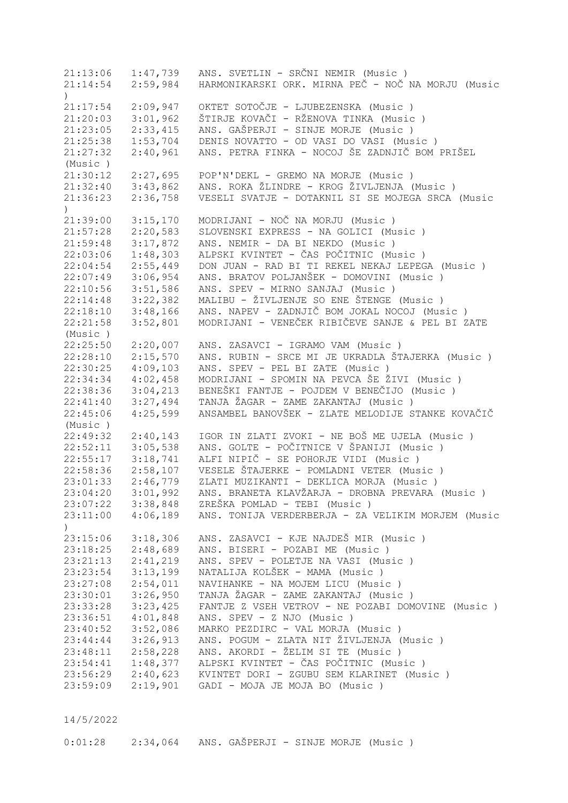21:13:06 1:47,739 ANS. SVETLIN - SRČNI NEMIR (Music ) 21:14:54 2:59,984 HARMONIKARSKI ORK. MIRNA PEČ - NOČ NA MORJU (Music ) 21:17:54 2:09,947 OKTET SOTOČJE - LJUBEZENSKA (Music ) 21:20:03 3:01,962 ŠTIRJE KOVAČI - RŽENOVA TINKA (Music ) 21:23:05 2:33,415 ANS. GAŠPERJI - SINJE MORJE (Music ) 21:25:38 1:53,704 DENIS NOVATTO - OD VASI DO VASI (Music ) 21:27:32 2:40,961 ANS. PETRA FINKA - NOCOJ ŠE ZADNJIČ BOM PRIŠEL (Music ) 21:30:12 2:27,695 POP'N'DEKL - GREMO NA MORJE (Music ) 21:32:40 3:43,862 ANS. ROKA ŽLINDRE - KROG ŽIVLJENJA (Music ) 21:36:23 2:36,758 VESELI SVATJE - DOTAKNIL SI SE MOJEGA SRCA (Music  $\lambda$ 21:39:00 3:15,170 MODRIJANI - NOČ NA MORJU (Music ) 21:57:28 2:20,583 SLOVENSKI EXPRESS - NA GOLICI (Music ) 21:59:48 3:17,872 ANS. NEMIR - DA BI NEKDO (Music ) 22:03:06 1:48,303 ALPSKI KVINTET - ČAS POČITNIC (Music ) 22:04:54 2:55,449 DON JUAN - RAD BI TI REKEL NEKAJ LEPEGA (Music ) 22:07:49 3:06,954 ANS. BRATOV POLJANŠEK - DOMOVINI (Music ) 22:10:56 3:51,586 ANS. SPEV - MIRNO SANJAJ (Music ) 22:14:48 3:22,382 MALIBU - ŽIVLJENJE SO ENE ŠTENGE (Music ) 22:18:10 3:48,166 ANS. NAPEV - ZADNJIČ BOM JOKAL NOCOJ (Music ) 22:21:58 3:52,801 MODRIJANI - VENEČEK RIBIČEVE SANJE & PEL BI ZATE (Music ) 22:25:50 2:20,007 ANS. ZASAVCI - IGRAMO VAM (Music ) 22:28:10 2:15,570 ANS. RUBIN - SRCE MI JE UKRADLA ŠTAJERKA (Music ) 22:30:25 4:09,103 ANS. SPEV - PEL BI ZATE (Music ) 22:34:34 4:02,458 MODRIJANI - SPOMIN NA PEVCA ŠE ŽIVI (Music ) 22:38:36 3:04,213 BENEŠKI FANTJE - POJDEM V BENEČIJO (Music ) 22:41:40 3:27,494 TANJA ŽAGAR - ZAME ZAKANTAJ (Music ) 22:45:06 4:25,599 ANSAMBEL BANOVŠEK - ZLATE MELODIJE STANKE KOVAČIČ (Music ) 22:49:32 2:40,143 IGOR IN ZLATI ZVOKI - NE BOŠ ME UJELA (Music ) 22:52:11 3:05,538 ANS. GOLTE - POČITNICE V ŠPANIJI (Music ) 22:55:17 3:18,741 ALFI NIPIČ - SE POHORJE VIDI (Music ) 22:58:36 2:58,107 VESELE ŠTAJERKE - POMLADNI VETER (Music ) 23:01:33 2:46,779 ZLATI MUZIKANTI - DEKLICA MORJA (Music ) 23:04:20 3:01,992 ANS. BRANETA KLAVŽARJA - DROBNA PREVARA (Music ) 23:07:22 3:38,848 ZREŠKA POMLAD - TEBI (Music ) 23:11:00 4:06,189 ANS. TONIJA VERDERBERJA - ZA VELIKIM MORJEM (Music ) 23:15:06 3:18,306 ANS. ZASAVCI - KJE NAJDEŠ MIR (Music ) 23:18:25 2:48,689 ANS. BISERI - POZABI ME (Music ) 23:21:13 2:41,219 ANS. SPEV - POLETJE NA VASI (Music ) 23:23:54 3:13,199 NATALIJA KOLŠEK - MAMA (Music ) 23:23:54 3:13,199 NATALIJA KOLŠEK - MAMA (Music )<br>23:27:08 2:54,011 NAVIHANKE - NA MOJEM LICU (Music ) 23:30:01 3:26,950 TANJA ŽAGAR - ZAME ZAKANTAJ (Music ) 23:33:28 3:23,425 FANTJE Z VSEH VETROV - NE POZABI DOMOVINE (Music ) 23:36:51 4:01,848 ANS. SPEV - Z NJO (Music ) 23:40:52 3:52,086 MARKO PEZDIRC - VAL MORJA (Music ) 23:44:44 3:26,913 ANS. POGUM - ZLATA NIT ŽIVLJENJA (Music ) 23:48:11 2:58,228 ANS. AKORDI - ŽELIM SI TE (Music ) 23:54:41 1:48,377 ALPSKI KVINTET - ČAS POČITNIC (Music ) 23:56:29 2:40,623 KVINTET DORI - ZGUBU SEM KLARINET (Music ) 23:59:09 2:19,901 GADI - MOJA JE MOJA BO (Music )

14/5/2022

0:01:28 2:34,064 ANS. GAŠPERJI - SINJE MORJE (Music )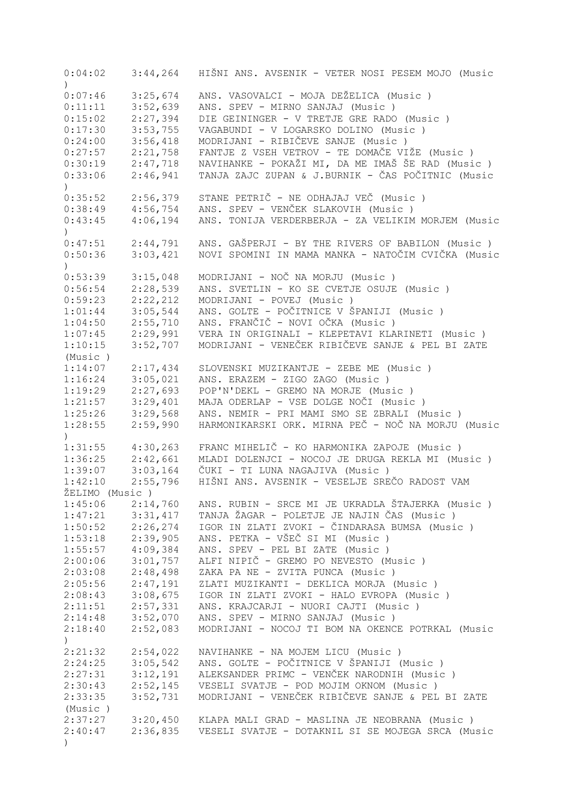0:04:02 3:44,264 HIŠNI ANS. AVSENIK - VETER NOSI PESEM MOJO (Music ) 0:07:46 3:25,674 ANS. VASOVALCI - MOJA DEŽELICA (Music)<br>0:11:11 3:52,639 ANS. SPEV - MIRNO SANJAJ (Music) 0:11:11 3:52,639 ANS. SPEV - MIRNO SANJAJ (Music)<br>0:15:02 2:27,394 DIE GEININGER - V TRETJE GRE RADO 0:15:02 2:27,394 DIE GEININGER - V TRETJE GRE RADO (Music ) 0:17:30 3:53,755 VAGABUNDI - V LOGARSKO DOLINO (Music ) 0:24:00 3:56,418 MODRIJANI - RIBIČEVE SANJE (Music ) 0:27:57 2:21,758 FANTJE Z VSEH VETROV - TE DOMAČE VIŽE (Music ) 0:30:19 2:47,718 NAVIHANKE - POKAŽI MI, DA ME IMAŠ ŠE RAD (Music ) 0:33:06 2:46,941 TANJA ZAJC ZUPAN & J.BURNIK - ČAS POČITNIC (Music  $\lambda$ 0:35:52 2:56,379 STANE PETRIČ - NE ODHAJAJ VEČ (Music ) 0:38:49 4:56,754 ANS. SPEV - VENČEK SLAKOVIH (Music ) 0:43:45 4:06,194 ANS. TONIJA VERDERBERJA - ZA VELIKIM MORJEM (Music  $\lambda$ 0:47:51 2:44,791 ANS. GAŠPERJI - BY THE RIVERS OF BABILON (Music)<br>0:50:36 3:03,421 NOVI SPOMINI IN MAMA MANKA - NATOČIM CVIČKA (Musi 0:50:36 3:03,421 NOVI SPOMINI IN MAMA MANKA - NATOČIM CVIČKA (Music ) 0:53:39 3:15,048 MODRIJANI - NOČ NA MORJU (Music)<br>0:56:54 2:28,539 ANS. SVETLIN - KO SE CVETJE OSUJE 0:56:54 2:28,539 ANS. SVETLIN - KO SE CVETJE OSUJE (Music ) 0:59:23 2:22,212 MODRIJANI - POVEJ (Music ) 1:01:44 3:05,544 ANS. GOLTE - POČITNICE V ŠPANIJI (Music ) 1:04:50 2:55,710 ANS. FRANČIČ - NOVI OČKA (Music ) 1:07:45 2:29,991 VERA IN ORIGINALI - KLEPETAVI KLARINETI (Music ) 1:10:15 3:52,707 MODRIJANI - VENEČEK RIBIČEVE SANJE & PEL BI ZATE (Music ) 1:14:07 2:17,434 SLOVENSKI MUZIKANTJE - ZEBE ME (Music ) 1:16:24 3:05,021 ANS. ERAZEM - ZIGO ZAGO (Music ) 1:19:29 2:27,693 POP'N'DEKL - GREMO NA MORJE (Music ) 1:21:57 3:29,401 MAJA ODERLAP - VSE DOLGE NOČI (Music ) 1:25:26 3:29,568 ANS. NEMIR - PRI MAMI SMO SE ZBRALI (Music ) 1:28:55 2:59,990 HARMONIKARSKI ORK. MIRNA PEČ - NOČ NA MORJU (Music  $\lambda$ 1:31:55 4:30,263 FRANC MIHELIČ - KO HARMONIKA ZAPOJE (Music ) 1:36:25 2:42,661 MLADI DOLENJCI - NOCOJ JE DRUGA REKLA MI (Music ) 1:39:07 3:03,164 ČUKI - TI LUNA NAGAJIVA (Music ) 1:33:07 3:03,101 3000 HIŠNI ANS. AVSENIK - VESELJE SREČO RADOST VAM ŽELIMO (Music ) 1:45:06 2:14,760 ANS. RUBIN - SRCE MI JE UKRADLA ŠTAJERKA (Music ) 1:47:21 3:31,417 TANJA ŽAGAR - POLETJE JE NAJIN ČAS (Music ) 1:50:52 2:26,274 IGOR IN ZLATI ZVOKI - ČINDARASA BUMSA (Music)<br>1:53:18 2:39,905 ANS. PETKA - VŠEČ SI MI (Music) 1:53:18 2:39,905 ANS. PETKA - VŠEČ SI MI (Music ) 1:55:57 4:09,384 ANS. SPEV - PEL BI ZATE (Music ) 2:00:06 3:01,757 ALFI NIPIČ - GREMO PO NEVESTO (Music ) 2:03:08 2:48,498 ZAKA PA NE - ZVITA PUNCA (Music ) 2:05:56 2:47,191 ZLATI MUZIKANTI - DEKLICA MORJA (Music ) 2:05:56 2:47,191 ZLATI MUZIKANTI - DEKLICA MORJA (Music)<br>2:08:43 3:08,675 IGOR IN ZLATI ZVOKI - HALO EVROPA (Music) 2:11:51 2:57,331 ANS. KRAJCARJI - NUORI CAJTI (Music ) 2:14:48 3:52,070 ANS. SPEV - MIRNO SANJAJ (Music ) 2:18:40 2:52,083 MODRIJANI - NOCOJ TI BOM NA OKENCE POTRKAL (Music ) 2:21:32 2:54,022 NAVIHANKE - NA MOJEM LICU (Music ) 2:24:25 3:05,542 ANS. GOLTE - POČITNICE V ŠPANIJI (Music ) 2:27:31 3:12,191 ALEKSANDER PRIMC - VENČEK NARODNIH (Music ) 2:30:43 2:52,145 VESELI SVATJE - POD MOJIM OKNOM (Music ) 2:33:35 3:52,731 MODRIJANI - VENEČEK RIBIČEVE SANJE & PEL BI ZATE (Music ) 2:37:27 3:20,450 KLAPA MALI GRAD - MASLINA JE NEOBRANA (Music ) 2:40:47 2:36,835 VESELI SVATJE - DOTAKNIL SI SE MOJEGA SRCA (Music )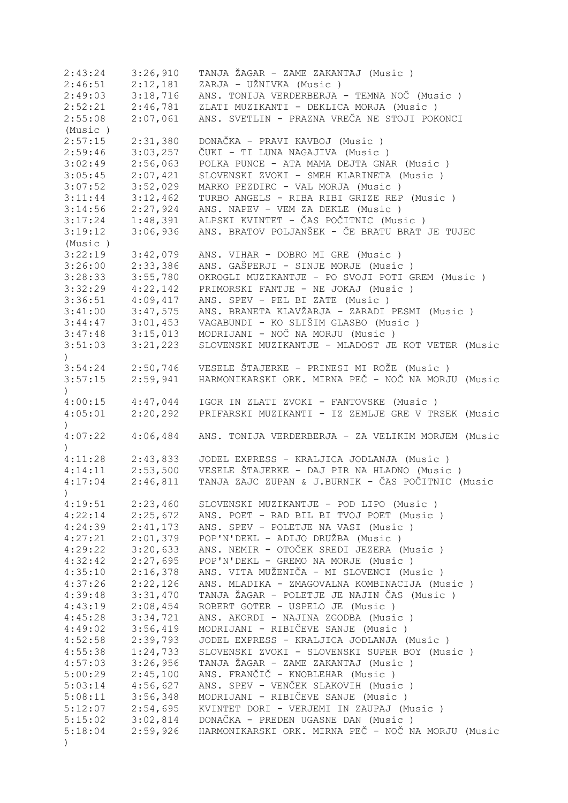| 2:43:24                      | 3:26,910 | TANJA ŽAGAR - ZAME ZAKANTAJ (Music)                |
|------------------------------|----------|----------------------------------------------------|
| 2:46:51                      | 2:12,181 | ZARJA - UŽNIVKA (Music)                            |
| 2:49:03                      | 3:18,716 | ANS. TONIJA VERDERBERJA - TEMNA NOČ (Music)        |
| 2:52:21                      | 2:46,781 | ZLATI MUZIKANTI - DEKLICA MORJA (Music)            |
| 2:55:08                      | 2:07,061 | ANS. SVETLIN - PRAZNA VREČA NE STOJI POKONCI       |
| (Music)                      |          |                                                    |
| 2:57:15                      | 2:31,380 | DONAČKA - PRAVI KAVBOJ (Music)                     |
| 2:59:46                      | 3:03,257 | ČUKI - TI LUNA NAGAJIVA (Music )                   |
| 3:02:49                      | 2:56,063 | POLKA PUNCE - ATA MAMA DEJTA GNAR (Music)          |
| 3:05:45                      | 2:07,421 | SLOVENSKI ZVOKI - SMEH KLARINETA (Music)           |
| 3:07:52                      | 3:52,029 | MARKO PEZDIRC - VAL MORJA (Music)                  |
| 3:11:44                      |          | TURBO ANGELS - RIBA RIBI GRIZE REP (Music)         |
|                              | 3:12,462 |                                                    |
| 3:14:56                      | 2:27,924 | ANS. NAPEV - VEM ZA DEKLE (Music)                  |
| 3:17:24                      | 1:48,391 | ALPSKI KVINTET - ČAS POČITNIC (Music )             |
| 3:19:12                      | 3:06,936 | ANS. BRATOV POLJANŠEK - ČE BRATU BRAT JE TUJEC     |
| (Music)                      |          |                                                    |
| 3:22:19                      | 3:42,079 | ANS. VIHAR - DOBRO MI GRE (Music)                  |
| 3:26:00                      | 2:33,386 | ANS. GAŠPERJI - SINJE MORJE (Music)                |
| 3:28:33                      | 3:55,780 | OKROGLI MUZIKANTJE - PO SVOJI POTI GREM (Music)    |
| 3:32:29                      | 4:22,142 | PRIMORSKI FANTJE - NE JOKAJ (Music)                |
| 3:36:51                      | 4:09,417 | ANS. SPEV - PEL BI ZATE (Music)                    |
| 3:41:00                      | 3:47,575 | ANS. BRANETA KLAVŽARJA - ZARADI PESMI (Music )     |
| 3:44:47                      | 3:01,453 | VAGABUNDI - KO SLIŠIM GLASBO (Music)               |
| 3:47:48                      | 3:15,013 | MODRIJANI - NOČ NA MORJU (Music)                   |
| 3:51:03                      | 3:21,223 | SLOVENSKI MUZIKANTJE - MLADOST JE KOT VETER (Music |
| $\mathcal{L}$                |          |                                                    |
| 3:54:24                      | 2:50,746 | VESELE ŠTAJERKE - PRINESI MI ROŽE (Music)          |
| 3:57:15                      | 2:59,941 | HARMONIKARSKI ORK. MIRNA PEČ - NOČ NA MORJU (Music |
| $\mathcal{L}$                |          |                                                    |
| 4:00:15                      | 4:47,044 | IGOR IN ZLATI ZVOKI - FANTOVSKE (Music)            |
| 4:05:01                      | 2:20,292 | PRIFARSKI MUZIKANTI - IZ ZEMLJE GRE V TRSEK (Music |
|                              |          |                                                    |
| $\left( \right)$             |          |                                                    |
| 4:07:22                      | 4:06,484 | ANS. TONIJA VERDERBERJA - ZA VELIKIM MORJEM (Music |
| $\mathcal{L}$                |          |                                                    |
| 4:11:28                      | 2:43,833 | JODEL EXPRESS - KRALJICA JODLANJA (Music)          |
| 4:14:11                      | 2:53,500 | VESELE ŠTAJERKE - DAJ PIR NA HLADNO (Music)        |
| 4:17:04                      | 2:46,811 | TANJA ZAJC ZUPAN & J.BURNIK - ČAS POČITNIC (Music  |
| $\left( \frac{1}{2} \right)$ |          |                                                    |
| 4:19:51                      | 2:23,460 | SLOVENSKI MUZIKANTJE - POD LIPO (Music)            |
| 4:22:14                      | 2:25,672 | ANS. POET - RAD BIL BI TVOJ POET (Music)           |
| 4:24:39                      | 2:41,173 | ANS. SPEV - POLETJE NA VASI (Music)                |
| 4:27:21                      | 2:01,379 | POP'N'DEKL - ADIJO DRUŽBA (Music)                  |
| 4:29:22                      | 3:20,633 | ANS. NEMIR - OTOČEK SREDI JEZERA (Music)           |
| 4:32:42                      | 2:27,695 | POP'N'DEKL - GREMO NA MORJE (Music)                |
| 4:35:10                      | 2:16,378 | ANS. VITA MUŽENIČA - MI SLOVENCI (Music )          |
| 4:37:26                      | 2:22,126 | ANS. MLADIKA - ZMAGOVALNA KOMBINACIJA (Music)      |
| 4:39:48                      | 3:31,470 | TANJA ŽAGAR - POLETJE JE NAJIN ČAS (Music)         |
| 4:43:19                      | 2:08,454 | ROBERT GOTER - USPELO JE (Music)                   |
| 4:45:28                      | 3:34,721 | ANS. AKORDI - NAJINA ZGODBA (Music)                |
| 4:49:02                      | 3:56,419 | MODRIJANI - RIBIČEVE SANJE (Music)                 |
|                              |          |                                                    |
| 4:52:58                      | 2:39,793 | JODEL EXPRESS - KRALJICA JODLANJA (Music)          |
| 4:55:38                      | 1:24,733 | SLOVENSKI ZVOKI - SLOVENSKI SUPER BOY (Music )     |
| 4:57:03                      | 3:26,956 | TANJA ŽAGAR - ZAME ZAKANTAJ (Music )               |
| 5:00:29                      |          |                                                    |
|                              | 2:45,100 | ANS. FRANČIČ - KNOBLEHAR (Music)                   |
| 5:03:14                      | 4:56,627 | ANS. SPEV - VENČEK SLAKOVIH (Music)                |
| 5:08:11                      | 3:56,348 | MODRIJANI - RIBIČEVE SANJE (Music)                 |
| 5:12:07                      | 2:54,695 | KVINTET DORI - VERJEMI IN ZAUPAJ (Music)           |
| 5:15:02                      | 3:02,814 | DONAČKA - PREDEN UGASNE DAN (Music)                |
| 5:18:04                      | 2:59,926 | HARMONIKARSKI ORK. MIRNA PEČ - NOČ NA MORJU (Music |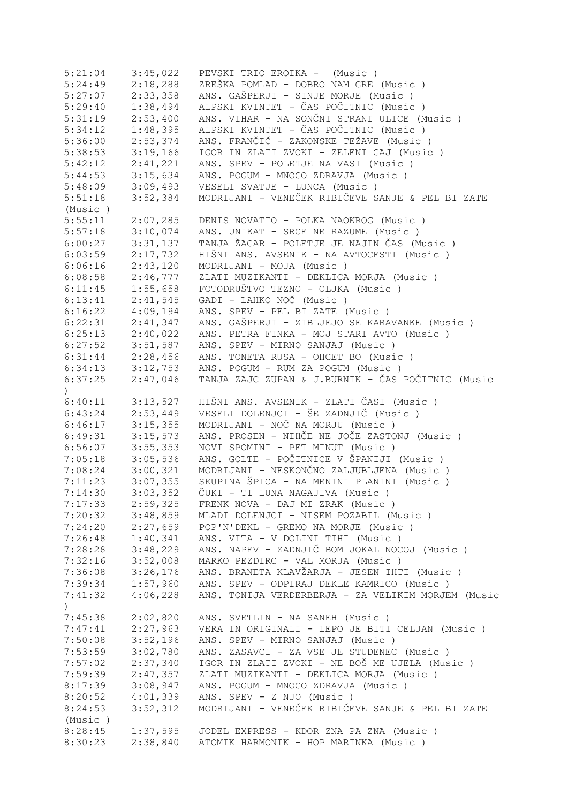| 5:21:04          | 3:45,022             | PEVSKI TRIO EROIKA - (Music)                            |
|------------------|----------------------|---------------------------------------------------------|
| 5:24:49          | 2:18,288             | ZREŠKA POMLAD - DOBRO NAM GRE (Music)                   |
| 5:27:07          | 2:33,358             | ANS. GAŠPERJI - SINJE MORJE (Music)                     |
| 5:29:40          | 1:38,494             | ALPSKI KVINTET - ČAS POČITNIC (Music )                  |
| 5:31:19          | 2:53,400             | ANS. VIHAR - NA SONČNI STRANI ULICE (Music )            |
| 5:34:12          | 1:48,395             | ALPSKI KVINTET - ČAS POČITNIC (Music )                  |
| 5:36:00          | 2:53,374             | ANS. FRANČIČ - ZAKONSKE TEŽAVE (Music )                 |
| 5:38:53          | 3:19,166             | IGOR IN ZLATI ZVOKI - ZELENI GAJ (Music)                |
| 5:42:12          | 2:41,221             | ANS. SPEV - POLETJE NA VASI (Music)                     |
|                  |                      |                                                         |
| 5:44:53          | 3:15,634             | ANS. POGUM - MNOGO ZDRAVJA (Music)                      |
| 5:48:09          | 3:09,493             | VESELI SVATJE - LUNCA (Music)                           |
| 5:51:18          | 3:52,384             | MODRIJANI - VENEČEK RIBIČEVE SANJE & PEL BI ZATE        |
| (Music)          |                      |                                                         |
| 5:55:11          | 2:07,285             | DENIS NOVATTO - POLKA NAOKROG (Music)                   |
| 5:57:18          | 3:10,074             | ANS. UNIKAT - SRCE NE RAZUME (Music)                    |
| 6:00:27          | 3:31,137             | TANJA ŽAGAR - POLETJE JE NAJIN ČAS (Music)              |
| 6:03:59          | 2:17,732             | HIŠNI ANS. AVSENIK - NA AVTOCESTI (Music )              |
| 6:06:16          | 2:43,120             | MODRIJANI - MOJA (Music)                                |
| 6:08:58          | 2:46,777             | ZLATI MUZIKANTI - DEKLICA MORJA (Music)                 |
| 6:11:45          | 1:55,658             | FOTODRUŠTVO TEZNO - OLJKA (Music)                       |
| 6:13:41          | 2:41,545             | GADI - LAHKO NOČ (Music)                                |
| 6:16:22          | 4:09,194             | ANS. SPEV - PEL BI ZATE (Music)                         |
| 6:22:31          | 2:41,347             | ANS. GAŠPERJI - ZIBLJEJO SE KARAVANKE (Music )          |
| 6:25:13          | 2:40,022             | ANS. PETRA FINKA - MOJ STARI AVTO (Music)               |
| 6:27:52          | 3:51,587             | ANS. SPEV - MIRNO SANJAJ (Music)                        |
| 6:31:44          | 2:28,456             | ANS. TONETA RUSA - OHCET BO (Music )                    |
| 6:34:13          | 3:12,753             | ANS. POGUM - RUM ZA POGUM (Music)                       |
| 6:37:25          | 2:47,046             | TANJA ZAJC ZUPAN & J.BURNIK - ČAS POČITNIC (Music       |
| $\left( \right)$ |                      |                                                         |
| 6:40:11          | 3:13,527             | HIŠNI ANS. AVSENIK - ZLATI ČASI (Music)                 |
|                  | $6:43:24$ $2:53,449$ | VESELI DOLENJCI - ŠE ZADNJIČ (Music )                   |
|                  |                      |                                                         |
| 6:46:17          | 3:15,355             | MODRIJANI - NOČ NA MORJU (Music)                        |
| 6:49:31          | 3:15,573             | ANS. PROSEN - NIHČE NE JOČE ZASTONJ (Music)             |
| 6:56:07          | 3:55,353             | NOVI SPOMINI - PET MINUT (Music)                        |
| 7:05:18          | 3:05,536             | ANS. GOLTE - POČITNICE V ŠPANIJI (Music )               |
| 7:08:24          | 3:00,321             | MODRIJANI - NESKONČNO ZALJUBLJENA (Music)               |
| 7:11:23          | 3:07,355             | SKUPINA ŠPICA - NA MENINI PLANINI (Music)               |
| 7:14:30          | 3:03,352             | ČUKI - TI LUNA NAGAJIVA (Music )                        |
|                  | $7:17:33$ $2:59,325$ | FRENK NOVA - DAJ MI ZRAK (Music)                        |
|                  |                      | 7:20:32 3:48,859 MLADI DOLENJCI - NISEM POZABIL (Music) |
|                  | $7:24:20$ $2:27,659$ | POP'N'DEKL - GREMO NA MORJE (Music)                     |
| 7:26:48          | 1:40,341             | ANS. VITA - V DOLINI TIHI (Music)                       |
|                  | $7:28:28$ $3:48,229$ | ANS. NAPEV - ZADNJIČ BOM JOKAL NOCOJ (Music)            |
|                  | $7:32:16$ $3:52,008$ | MARKO PEZDIRC - VAL MORJA (Music)                       |
|                  | $7:36:08$ $3:26,176$ | ANS. BRANETA KLAVŽARJA - JESEN IHTI (Music )            |
|                  | $7:39:34$ $1:57,960$ | ANS. SPEV - ODPIRAJ DEKLE KAMRICO (Music)               |
|                  | $7:41:32$ $4:06,228$ | ANS. TONIJA VERDERBERJA - ZA VELIKIM MORJEM (Music      |
| $\left( \right)$ |                      |                                                         |
| 7:45:38          | 2:02,820             | ANS. SVETLIN - NA SANEH (Music)                         |
| 7:47:41          | 2:27,963             | VERA IN ORIGINALI - LEPO JE BITI CELJAN (Music )        |
| 7:50:08          | 3:52,196             | ANS. SPEV - MIRNO SANJAJ (Music)                        |
| 7:53:59          | 3:02,780             | ANS. ZASAVCI - ZA VSE JE STUDENEC (Music)               |
| 7:57:02          | 2:37,340             | IGOR IN ZLATI ZVOKI - NE BOŠ ME UJELA (Music)           |
| 7:59:39          | 2:47,357             | ZLATI MUZIKANTI - DEKLICA MORJA (Music)                 |
|                  | 3:08,947             | ANS. POGUM - MNOGO ZDRAVJA (Music)                      |
| 8:17:39          |                      |                                                         |
| 8:20:52          | 4:01,339             | ANS. SPEV - Z NJO (Music)                               |
| 8:24:53          | 3:52,312             | MODRIJANI - VENEČEK RIBIČEVE SANJE & PEL BI ZATE        |
| (Music)          |                      |                                                         |
| 8:28:45          | 1:37,595             | JODEL EXPRESS - KDOR ZNA PA ZNA (Music)                 |
|                  |                      | 8:30:23 2:38,840 ATOMIK HARMONIK - HOP MARINKA (Music)  |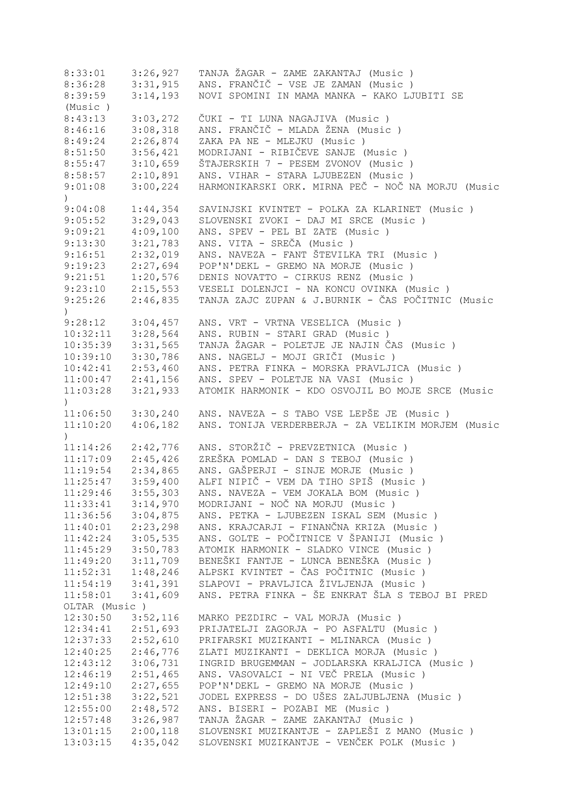| 8:33:01              | 3:26,927             | TANJA ŽAGAR - ZAME ZAKANTAJ (Music)                                                           |
|----------------------|----------------------|-----------------------------------------------------------------------------------------------|
| 8:36:28              | 3:31,915             | ANS. FRANČIČ - VSE JE ZAMAN (Music)                                                           |
| 8:39:59              | 3:14,193             | NOVI SPOMINI IN MAMA MANKA - KAKO LJUBITI SE                                                  |
| (Music)              |                      |                                                                                               |
| 8:43:13              | 3:03,272             | ČUKI - TI LUNA NAGAJIVA (Music )                                                              |
| 8:46:16              | 3:08,318             | ANS. FRANČIČ - MLADA ŽENA (Music )                                                            |
| 8:49:24              | 2:26,874             | ZAKA PA NE - MLEJKU (Music)                                                                   |
| 8:51:50              | 3:56,421             | MODRIJANI - RIBIČEVE SANJE (Music )                                                           |
| 8:55:47              | 3:10,659             | ŠTAJERSKIH 7 - PESEM ZVONOV (Music )                                                          |
| 8:58:57              | 2:10,891             | ANS. VIHAR - STARA LJUBEZEN (Music )                                                          |
| 9:01:08              | 3:00,224             | HARMONIKARSKI ORK. MIRNA PEČ - NOČ NA MORJU (Music                                            |
| $\left( \right)$     |                      |                                                                                               |
|                      | 1:44,354             |                                                                                               |
| 9:04:08              |                      | SAVINJSKI KVINTET - POLKA ZA KLARINET (Music )                                                |
| 9:05:52              | 3:29,043             | SLOVENSKI ZVOKI - DAJ MI SRCE (Music)                                                         |
| 9:09:21              | 4:09,100             | ANS. SPEV - PEL BI ZATE (Music)                                                               |
| 9:13:30              | 3:21,783             | ANS. VITA - SREČA (Music)                                                                     |
| 9:16:51              | 2:32,019             | ANS. NAVEZA - FANT ŠTEVILKA TRI (Music)                                                       |
| 9:19:23              | 2:27,694             | POP'N'DEKL - GREMO NA MORJE (Music)                                                           |
| 9:21:51              | 1:20,576             | DENIS NOVATTO - CIRKUS RENZ (Music )                                                          |
| 9:23:10              | 2:15,553             | VESELI DOLENJCI - NA KONCU OVINKA (Music )                                                    |
| 9:25:26              | 2:46,835             | TANJA ZAJC ZUPAN & J.BURNIK - ČAS POČITNIC (Music                                             |
| $\left( \right)$     |                      |                                                                                               |
| 9:28:12              | 3:04,457             | ANS. VRT - VRTNA VESELICA (Music)                                                             |
| 10:32:11             | 3:28,564             | ANS. RUBIN - STARI GRAD (Music)                                                               |
| 10:35:39             | 3:31,565             | TANJA ŽAGAR - POLETJE JE NAJIN ČAS (Music)                                                    |
| 10:39:10             | 3:30,786             | ANS. NAGELJ - MOJI GRIČI (Music)                                                              |
| 10:42:41             | 2:53,460             | ANS. PETRA FINKA - MORSKA PRAVLJICA (Music )                                                  |
| 11:00:47             | 2:41,156             | ANS. SPEV - POLETJE NA VASI (Music )                                                          |
| 11:03:28             | 3:21,933             | ATOMIK HARMONIK - KDO OSVOJIL BO MOJE SRCE (Music                                             |
| $\lambda$            |                      |                                                                                               |
| 11:06:50             | 3:30,240             | ANS. NAVEZA - S TABO VSE LEPŠE JE (Music)                                                     |
| 11:10:20             | 4:06,182             | ANS. TONIJA VERDERBERJA - ZA VELIKIM MORJEM (Music                                            |
|                      |                      |                                                                                               |
| 11:14:26             | 2:42,776             | ANS. STORŽIČ - PREVZETNICA (Music)                                                            |
| 11:17:09             | 2:45,426             | ZREŠKA POMLAD - DAN S TEBOJ (Music )                                                          |
| 11:19:54             | 2:34,865             | ANS. GAŠPERJI - SINJE MORJE (Music )                                                          |
| 11:25:47             | 3:59,400             | ALFI NIPIČ - VEM DA TIHO SPIŠ (Music )                                                        |
| 11:29:46             | 3:55,303             | ANS. NAVEZA - VEM JOKALA BOM (Music)                                                          |
| 11:33:41             | 3:14,970             | MODRIJANI - NOČ NA MORJU (Music)                                                              |
| 11:36:56             | 3:04,875             | ANS. PETKA - LJUBEZEN ISKAL SEM (Music)                                                       |
| 11:40:01             | 2:23,298             | ANS. KRAJCARJI - FINANČNA KRIZA (Music)                                                       |
| 11:42:24             | 3:05,535             | ANS. GOLTE - POČITNICE V ŠPANIJI (Music )                                                     |
| 11:45:29             | 3:50,783             | ATOMIK HARMONIK - SLADKO VINCE (Music)                                                        |
| 11:49:20             | 3:11,709             | BENEŠKI FANTJE - LUNCA BENEŠKA (Music )                                                       |
| 11:52:31             | 1:48,246             | ALPSKI KVINTET - ČAS POČITNIC (Music )                                                        |
| 11:54:19             | 3:41,391             | SLAPOVI - PRAVLJICA ŽIVLJENJA (Music)                                                         |
| 11:58:01             | 3:41,609             | ANS. PETRA FINKA - ŠE ENKRAT ŠLA S TEBOJ BI PRED                                              |
| OLTAR (Music)        |                      |                                                                                               |
| 12:30:50             | 3:52,116             | MARKO PEZDIRC - VAL MORJA (Music)                                                             |
| 12:34:41             | 2:51,693             | PRIJATELJI ZAGORJA - PO ASFALTU (Music)                                                       |
|                      | 2:52,610             |                                                                                               |
| 12:37:33             |                      | PRIFARSKI MUZIKANTI - MLINARCA (Music)                                                        |
| 12:40:25             | 2:46,776             | ZLATI MUZIKANTI - DEKLICA MORJA (Music)                                                       |
| 12:43:12             | 3:06,731             | INGRID BRUGEMMAN - JODLARSKA KRALJICA (Music)                                                 |
| 12:46:19             |                      |                                                                                               |
|                      | 2:51,465             | ANS. VASOVALCI - NI VEČ PRELA (Music)                                                         |
|                      | 2:27,655             | POP'N'DEKL - GREMO NA MORJE (Music)                                                           |
| 12:51:38             | 3:22,521             | JODEL EXPRESS - DO UŠES ZALJUBLJENA (Music)                                                   |
| 12:49:10<br>12:55:00 | 2:48,572             | ANS. BISERI - POZABI ME (Music)                                                               |
| 12:57:48             | 3:26,987             | TANJA ŽAGAR - ZAME ZAKANTAJ (Music)                                                           |
| 13:01:15             | 2:00,118<br>4:35,042 | SLOVENSKI MUZIKANTJE - ZAPLEŠI Z MANO (Music )<br>SLOVENSKI MUZIKANTJE - VENČEK POLK (Music ) |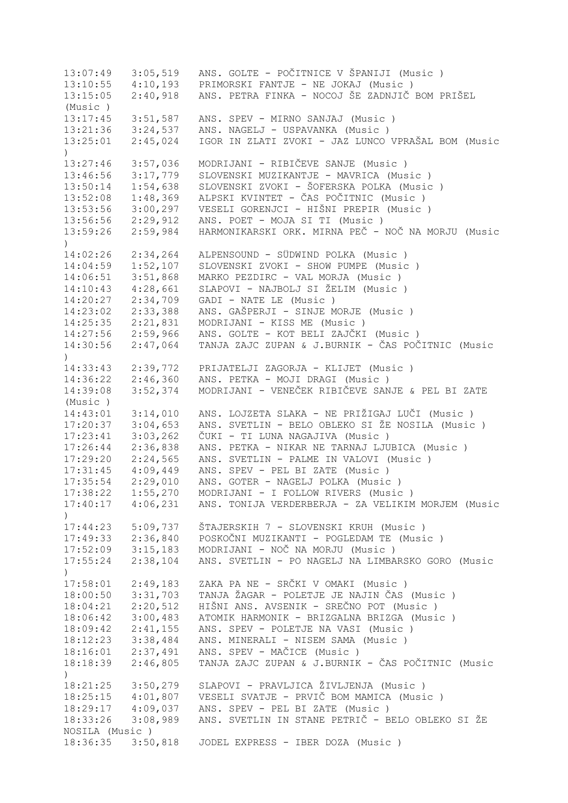13:07:49 3:05,519 ANS. GOLTE - POČITNICE V ŠPANIJI (Music ) 13:10:55 4:10,193 PRIMORSKI FANTJE - NE JOKAJ (Music ) 13:15:05 2:40,918 ANS. PETRA FINKA - NOCOJ ŠE ZADNJIČ BOM PRIŠEL (Music ) 13:17:45 3:51,587 ANS. SPEV - MIRNO SANJAJ (Music ) 13:21:36 3:24,537 ANS. NAGELJ - USPAVANKA (Music ) 13:25:01 2:45,024 IGOR IN ZLATI ZVOKI - JAZ LUNCO VPRAŠAL BOM (Music  $\lambda$ 13:27:46 3:57,036 MODRIJANI - RIBIČEVE SANJE (Music ) 13:46:56 3:17,779 SLOVENSKI MUZIKANTJE - MAVRICA (Music ) 13:50:14 1:54,638 SLOVENSKI ZVOKI - ŠOFERSKA POLKA (Music ) 13:52:08 1:48,369 ALPSKI KVINTET - ČAS POČITNIC (Music ) 13:53:56 3:00,297 VESELI GORENJCI - HIŠNI PREPIR (Music ) 13:56:56 2:29,912 ANS. POET - MOJA SI TI (Music ) 13:59:26 2:59,984 HARMONIKARSKI ORK. MIRNA PEČ - NOČ NA MORJU (Music ) 14:02:26 2:34,264 ALPENSOUND - SÜDWIND POLKA (Music ) 14:04:59 1:52,107 SLOVENSKI ZVOKI - SHOW PUMPE (Music ) 14:06:51 3:51,868 MARKO PEZDIRC - VAL MORJA (Music ) 14:10:43 4:28,661 SLAPOVI - NAJBOLJ SI ŽELIM (Music ) 14:20:27 2:34,709 GADI - NATE LE (Music ) 14:23:02 2:33,388 ANS. GAŠPERJI - SINJE MORJE (Music ) 14:25:35 2:21,831 MODRIJANI - KISS ME (Music ) 14:27:56 2:59,966 ANS. GOLTE - KOT BELI ZAJČKI (Music ) 14:30:56 2:47,064 TANJA ZAJC ZUPAN & J.BURNIK - ČAS POČITNIC (Music  $\lambda$ 14:33:43 2:39,772 PRIJATELJI ZAGORJA - KLIJET (Music ) 14:36:22 2:46,360 ANS. PETKA - MOJI DRAGI (Music ) 14:39:08 3:52,374 MODRIJANI - VENEČEK RIBIČEVE SANJE & PEL BI ZATE (Music ) 14:43:01 3:14,010 ANS. LOJZETA SLAKA - NE PRIŽIGAJ LUČI (Music ) 17:20:37 3:04,653 ANS. SVETLIN - BELO OBLEKO SI ŽE NOSILA (Music ) 17:23:41 3:03,262 ČUKI - TI LUNA NAGAJIVA (Music ) 17:26:44 2:36,838 ANS. PETKA - NIKAR NE TARNAJ LJUBICA (Music ) 17:29:20 2:24,565 ANS. SVETLIN - PALME IN VALOVI (Music ) 17:31:45 4:09,449 ANS. SPEV - PEL BI ZATE (Music ) 17:35:54 2:29,010 ANS. GOTER - NAGELJ POLKA (Music ) 17:38:22 1:55,270 MODRIJANI - I FOLLOW RIVERS (Music ) 17:40:17 4:06,231 ANS. TONIJA VERDERBERJA - ZA VELIKIM MORJEM (Music  $\lambda$ 17:44:23 5:09,737 ŠTAJERSKIH 7 - SLOVENSKI KRUH (Music ) 17:49:33 2:36,840 POSKOČNI MUZIKANTI - POGLEDAM TE (Music ) 17:52:09 3:15,183 MODRIJANI - NOČ NA MORJU (Music ) 17:55:24 2:38,104 ANS. SVETLIN - PO NAGELJ NA LIMBARSKO GORO (Music ) 17:58:01 2:49,183 ZAKA PA NE - SRČKI V OMAKI (Music ) 18:00:50 3:31,703 TANJA ŽAGAR - POLETJE JE NAJIN ČAS (Music ) 18:04:21 2:20,512 HIŠNI ANS. AVSENIK - SREČNO POT (Music ) 18:06:42 3:00,483 ATOMIK HARMONIK - BRIZGALNA BRIZGA (Music ) 18:09:42 2:41,155 ANS. SPEV - POLETJE NA VASI (Music ) 18:12:23 3:38,484 ANS. MINERALI - NISEM SAMA (Music ) 18:16:01 2:37,491 ANS. SPEV - MAČICE (Music ) 18:18:39 2:46,805 TANJA ZAJC ZUPAN & J.BURNIK - ČAS POČITNIC (Music ) 18:21:25 3:50,279 SLAPOVI - PRAVLJICA ŽIVLJENJA (Music ) 18:25:15 4:01,807 VESELI SVATJE - PRVIČ BOM MAMICA (Music ) 18:29:17 4:09,037 ANS. SPEV - PEL BI ZATE (Music ) 18:33:26 3:08,989 ANS. SVETLIN IN STANE PETRIČ - BELO OBLEKO SI ŽE NOSILA (Music ) 18:36:35 3:50,818 JODEL EXPRESS - IBER DOZA (Music )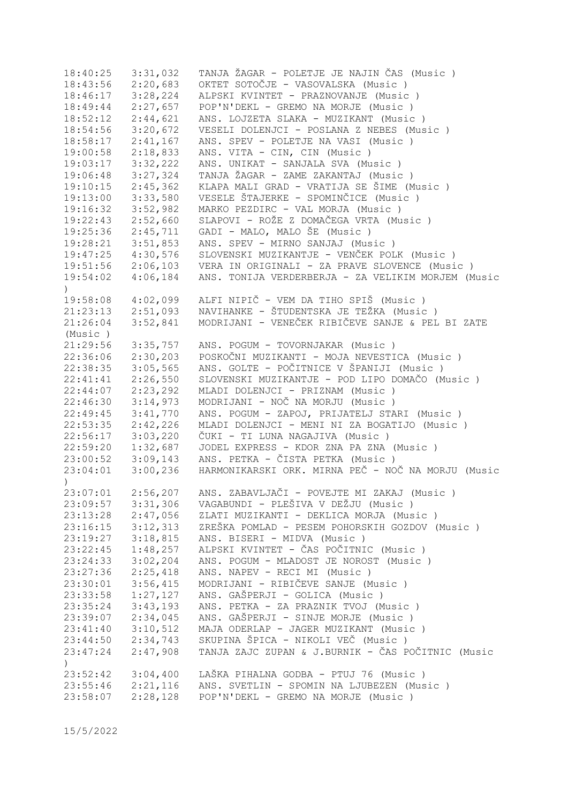| 18:40:25                     | 3:31,032             | TANJA ŽAGAR - POLETJE JE NAJIN ČAS (Music )         |
|------------------------------|----------------------|-----------------------------------------------------|
| 18:43:56                     | 2:20,683             | OKTET SOTOČJE - VASOVALSKA (Music)                  |
| 18:46:17                     | 3:28,224             | ALPSKI KVINTET - PRAZNOVANJE (Music)                |
| 18:49:44                     | 2:27,657             | POP'N'DEKL - GREMO NA MORJE (Music)                 |
| 18:52:12                     | 2:44,621             | ANS. LOJZETA SLAKA - MUZIKANT (Music)               |
| 18:54:56                     | 3:20,672             | VESELI DOLENJCI - POSLANA Z NEBES (Music)           |
| 18:58:17                     | 2:41,167             | ANS. SPEV - POLETJE NA VASI (Music )                |
| 19:00:58                     | 2:18,833             | ANS. VITA - CIN, CIN (Music)                        |
| 19:03:17                     | 3:32,222             | ANS. UNIKAT - SANJALA SVA (Music)                   |
| 19:06:48                     | 3:27,324             | TANJA ŽAGAR - ZAME ZAKANTAJ (Music)                 |
| 19:10:15                     | 2:45,362             | KLAPA MALI GRAD - VRATIJA SE ŠIME (Music )          |
| 19:13:00                     | 3:33,580             | VESELE ŠTAJERKE - SPOMINČICE (Music)                |
|                              | 3:52,982             | MARKO PEZDIRC - VAL MORJA (Music)                   |
| 19:16:32                     |                      |                                                     |
| 19:22:43                     | 2:52,660             | SLAPOVI - ROŽE Z DOMAČEGA VRTA (Music )             |
| 19:25:36                     | 2:45,711             | GADI - MALO, MALO ŠE (Music)                        |
| 19:28:21                     | 3:51,853             | ANS. SPEV - MIRNO SANJAJ (Music)                    |
| 19:47:25                     | 4:30,576             | SLOVENSKI MUZIKANTJE - VENČEK POLK (Music )         |
| 19:51:56                     | 2:06,103             | VERA IN ORIGINALI - ZA PRAVE SLOVENCE (Music )      |
| 19:54:02<br>$\left( \right)$ | 4:06,184             | ANS. TONIJA VERDERBERJA - ZA VELIKIM MORJEM (Music  |
| 19:58:08                     | 4:02,099             | ALFI NIPIČ - VEM DA TIHO SPIŠ (Music )              |
| 21:23:13                     | 2:51,093             | NAVIHANKE - ŠTUDENTSKA JE TEŽKA (Music)             |
| 21:26:04                     | 3:52,841             | MODRIJANI - VENEČEK RIBIČEVE SANJE & PEL BI ZATE    |
| (Music)                      |                      |                                                     |
| 21:29:56                     | 3:35,757             | ANS. POGUM - TOVORNJAKAR (Music)                    |
| 22:36:06                     | 2:30,203             | POSKOČNI MUZIKANTI - MOJA NEVESTICA (Music)         |
| 22:38:35                     | 3:05,565             | ANS. GOLTE - POČITNICE V ŠPANIJI (Music )           |
| 22:41:41                     | 2:26,550             | SLOVENSKI MUZIKANTJE - POD LIPO DOMAČO (Music)      |
| 22:44:07                     | 2:23,292             | MLADI DOLENJCI - PRIZNAM (Music)                    |
| 22:46:30                     | 3:14,973             | MODRIJANI - NOČ NA MORJU (Music)                    |
| 22:49:45                     | 3:41,770             | ANS. POGUM - ZAPOJ, PRIJATELJ STARI (Music )        |
| 22:53:35                     | 2:42,226             | MLADI DOLENJCI - MENI NI ZA BOGATIJO (Music )       |
| 22:56:17                     | 3:03,220             | ČUKI - TI LUNA NAGAJIVA (Music)                     |
| 22:59:20                     | 1:32,687             | JODEL EXPRESS - KDOR ZNA PA ZNA (Music)             |
|                              |                      |                                                     |
| 23:00:52                     | 3:09,143             | ANS. PETKA - ČISTA PETKA (Music)                    |
| 23:04:01                     | 3:00,236             | HARMONIKARSKI ORK. MIRNA PEČ - NOČ NA MORJU (Music  |
| $\mathcal{L}$                |                      |                                                     |
| 23:07:01                     |                      | 2:56,207 ANS. ZABAVLJAČI - POVEJTE MI ZAKAJ (Music) |
| 23:09:57                     | 3:31,306             | VAGABUNDI - PLEŠIVA V DEŽJU (Music )                |
| 23:13:28                     | 2:47,056             | ZLATI MUZIKANTI - DEKLICA MORJA (Music)             |
| 23:16:15                     | 3:12,313             | ZREŠKA POMLAD - PESEM POHORSKIH GOZDOV (Music )     |
| 23:19:27                     | 3:18,815             | ANS. BISERI - MIDVA (Music)                         |
| 23:22:45                     | 1:48,257             | ALPSKI KVINTET - ČAS POČITNIC (Music )              |
| 23:24:33                     | 3:02,204             | ANS. POGUM - MLADOST JE NOROST (Music)              |
| 23:27:36                     | 2:25,418             | ANS. NAPEV - RECI MI (Music)                        |
| 23:30:01                     | 3:56,415             | MODRIJANI - RIBIČEVE SANJE (Music)                  |
| 23:33:58                     | 1:27,127             | ANS. GAŠPERJI - GOLICA (Music)                      |
| 23:35:24                     | 3:43,193             | ANS. PETKA - ZA PRAZNIK TVOJ (Music)                |
| 23:39:07                     | 2:34,045             | ANS. GAŠPERJI - SINJE MORJE (Music )                |
| 23:41:40                     | 3:10,512             | MAJA ODERLAP - JAGER MUZIKANT (Music)               |
| 23:44:50                     | 2:34,743             | SKUPINA ŠPICA - NIKOLI VEČ (Music )                 |
| 23:47:24<br>$\left( \right)$ | 2:47,908             | TANJA ZAJC ZUPAN & J.BURNIK - ČAS POČITNIC (Music   |
| 23:52:42                     |                      | LAŠKA PIHALNA GODBA - PTUJ 76 (Music)               |
|                              | 3:04,400<br>2:21,116 | ANS. SVETLIN - SPOMIN NA LJUBEZEN (Music)           |
| 23:55:46                     |                      | POP'N'DEKL - GREMO NA MORJE (Music)                 |
| 23:58:07                     | 2:28,128             |                                                     |

15/5/2022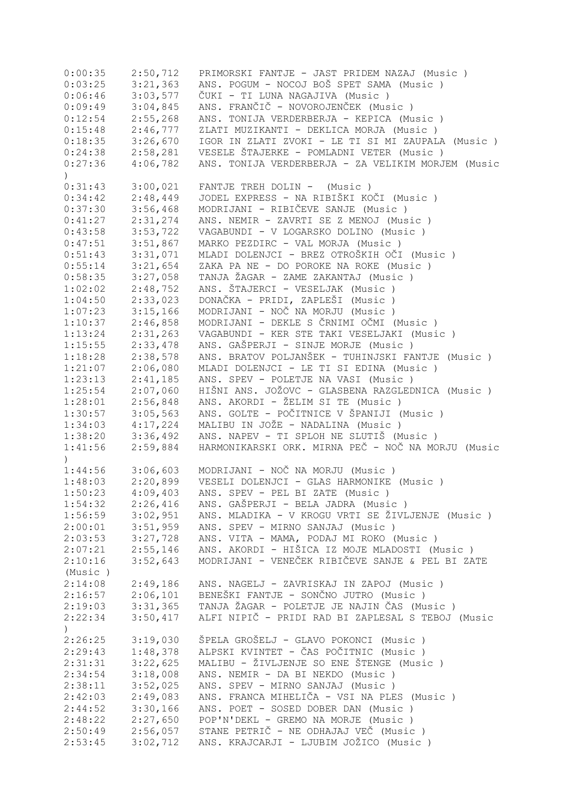| 0:00:35                     | 2:50,712 | PRIMORSKI FANTJE - JAST PRIDEM NAZAJ (Music)         |
|-----------------------------|----------|------------------------------------------------------|
| 0:03:25                     | 3:21,363 | ANS. POGUM - NOCOJ BOŠ SPET SAMA (Music)             |
| 0:06:46                     | 3:03,577 | ČUKI - TI LUNA NAGAJIVA (Music )                     |
| 0:09:49                     | 3:04,845 | ANS. FRANČIČ - NOVOROJENČEK (Music)                  |
| 0:12:54                     | 2:55,268 | ANS. TONIJA VERDERBERJA - KEPICA (Music )            |
| 0:15:48                     | 2:46,777 | ZLATI MUZIKANTI - DEKLICA MORJA (Music)              |
| 0:18:35                     | 3:26,670 | IGOR IN ZLATI ZVOKI - LE TI SI MI ZAUPALA (Music )   |
| 0:24:38                     | 2:58,281 | VESELE ŠTAJERKE - POMLADNI VETER (Music)             |
|                             |          | ANS. TONIJA VERDERBERJA - ZA VELIKIM MORJEM (Music   |
| 0:27:36<br>$\left( \right)$ | 4:06,782 |                                                      |
| 0:31:43                     | 3:00,021 | FANTJE TREH DOLIN - (Music)                          |
| 0:34:42                     | 2:48,449 | JODEL EXPRESS - NA RIBIŠKI KOČI (Music )             |
| 0:37:30                     | 3:56,468 | MODRIJANI - RIBIČEVE SANJE (Music)                   |
| 0:41:27                     | 2:31,274 | ANS. NEMIR - ZAVRTI SE Z MENOJ (Music)               |
| 0:43:58                     | 3:53,722 | VAGABUNDI - V LOGARSKO DOLINO (Music)                |
| 0:47:51                     | 3:51,867 | MARKO PEZDIRC - VAL MORJA (Music)                    |
| 0:51:43                     | 3:31,071 | MLADI DOLENJCI - BREZ OTROŠKIH OČI (Music )          |
| 0:55:14                     | 3:21,654 | ZAKA PA NE - DO POROKE NA ROKE (Music)               |
| 0:58:35                     | 3:27,058 | TANJA ŽAGAR - ZAME ZAKANTAJ (Music )                 |
| 1:02:02                     | 2:48,752 | ANS. ŠTAJERCI - VESELJAK (Music)                     |
| 1:04:50                     | 2:33,023 | DONAČKA - PRIDI, ZAPLEŠI (Music )                    |
|                             |          | MODRIJANI - NOČ NA MORJU (Music)                     |
| 1:07:23                     | 3:15,166 |                                                      |
| 1:10:37                     | 2:46,858 | MODRIJANI - DEKLE S ČRNIMI OČMI (Music)              |
| 1:13:24                     | 2:31,263 | VAGABUNDI - KER STE TAKI VESELJAKI (Music )          |
| 1:15:55                     | 2:33,478 | ANS. GAŠPERJI - SINJE MORJE (Music)                  |
| 1:18:28                     | 2:38,578 | ANS. BRATOV POLJANŠEK - TUHINJSKI FANTJE (Music)     |
| 1:21:07                     | 2:06,080 | MLADI DOLENJCI - LE TI SI EDINA (Music)              |
| 1:23:13                     | 2:41,185 | ANS. SPEV - POLETJE NA VASI (Music)                  |
| 1:25:54                     | 2:07,060 | HIŠNI ANS. JOŽOVC - GLASBENA RAZGLEDNICA (Music )    |
| 1:28:01                     | 2:56,848 | ANS. AKORDI - ŽELIM SI TE (Music)                    |
| 1:30:57                     | 3:05,563 | ANS. GOLTE - POČITNICE V ŠPANIJI (Music )            |
| 1:34:03                     | 4:17,224 | MALIBU IN JOŽE - NADALINA (Music)                    |
| 1:38:20                     | 3:36,492 | ANS. NAPEV - TI SPLOH NE SLUTIŠ (Music)              |
| 1:41:56                     | 2:59,884 | HARMONIKARSKI ORK. MIRNA PEČ - NOČ NA MORJU (Music   |
| $\lambda$                   |          |                                                      |
| 1:44:56                     |          | 3:06,603   MODRIJANI – NOČ NA MORJU (Music )         |
| 1:48:03                     |          | 2:20,899    VESELI DOLENJCI - GLAS HARMONIKE (Music) |
| 1:50:23                     | 4:09,403 | ANS. SPEV - PEL BI ZATE (Music)                      |
| 1:54:32                     | 2:26,416 | ANS. GAŠPERJI - BELA JADRA (Music )                  |
| 1:56:59                     | 3:02,951 | ANS. MLADIKA - V KROGU VRTI SE ŽIVLJENJE (Music)     |
| 2:00:01                     | 3:51,959 | ANS. SPEV - MIRNO SANJAJ (Music)                     |
| 2:03:53                     | 3:27,728 | ANS. VITA - MAMA, PODAJ MI ROKO (Music)              |
| 2:07:21                     | 2:55,146 | ANS. AKORDI - HIŠICA IZ MOJE MLADOSTI (Music )       |
| 2:10:16                     | 3:52,643 | MODRIJANI - VENEČEK RIBIČEVE SANJE & PEL BI ZATE     |
| (Music)                     |          |                                                      |
| 2:14:08                     | 2:49,186 | ANS. NAGELJ - ZAVRISKAJ IN ZAPOJ (Music)             |
| 2:16:57                     | 2:06,101 | BENEŠKI FANTJE - SONČNO JUTRO (Music )               |
| 2:19:03                     | 3:31,365 | TANJA ŽAGAR - POLETJE JE NAJIN ČAS (Music)           |
| 2:22:34                     | 3:50,417 | ALFI NIPIČ - PRIDI RAD BI ZAPLESAL S TEBOJ (Music    |
| $\lambda$                   |          |                                                      |
| 2:26:25                     | 3:19,030 | ŠPELA GROŠELJ - GLAVO POKONCI (Music )               |
| 2:29:43                     | 1:48,378 | ALPSKI KVINTET - ČAS POČITNIC (Music )               |
| 2:31:31                     | 3:22,625 | MALIBU - ŽIVLJENJE SO ENE ŠTENGE (Music)             |
| 2:34:54                     | 3:18,008 | ANS. NEMIR - DA BI NEKDO (Music)                     |
| 2:38:11                     | 3:52,025 | ANS. SPEV - MIRNO SANJAJ (Music)                     |
| 2:42:03                     | 2:49,083 | ANS. FRANCA MIHELIČA - VSI NA PLES (Music)           |
| 2:44:52                     | 3:30,166 | ANS. POET - SOSED DOBER DAN (Music )                 |
| 2:48:22                     | 2:27,650 | POP'N'DEKL - GREMO NA MORJE (Music)                  |
| 2:50:49                     | 2:56,057 | STANE PETRIČ - NE ODHAJAJ VEČ (Music)                |
|                             |          |                                                      |
| 2:53:45                     | 3:02,712 | ANS. KRAJCARJI - LJUBIM JOŽICO (Music)               |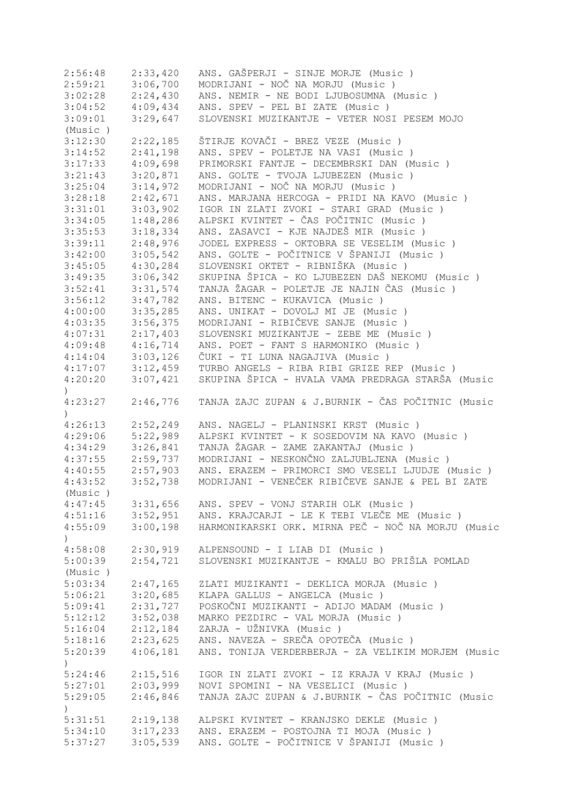| 2:56:48          | 2:33,420 | ANS. GAŠPERJI - SINJE MORJE (Music )                        |
|------------------|----------|-------------------------------------------------------------|
| 2:59:21          | 3:06,700 | MODRIJANI - NOČ NA MORJU (Music)                            |
| 3:02:28          | 2:24,430 | ANS. NEMIR - NE BODI LJUBOSUMNA (Music)                     |
| 3:04:52          | 4:09,434 | ANS. SPEV - PEL BI ZATE (Music)                             |
| 3:09:01          | 3:29,647 | SLOVENSKI MUZIKANTJE - VETER NOSI PESEM MOJO                |
| (Music)          |          |                                                             |
| 3:12:30          | 2:22,185 | ŠTIRJE KOVAČI - BREZ VEZE (Music )                          |
| 3:14:52          | 2:41,198 | ANS. SPEV - POLETJE NA VASI (Music )                        |
| 3:17:33          | 4:09,698 | PRIMORSKI FANTJE - DECEMBRSKI DAN (Music)                   |
| 3:21:43          | 3:20,871 | ANS. GOLTE - TVOJA LJUBEZEN (Music)                         |
| 3:25:04          | 3:14,972 | MODRIJANI - NOČ NA MORJU (Music )                           |
| 3:28:18          | 2:42,671 | ANS. MARJANA HERCOGA - PRIDI NA KAVO (Music)                |
|                  | 3:03,902 | IGOR IN ZLATI ZVOKI - STARI GRAD (Music)                    |
| 3:31:01          |          | ALPSKI KVINTET - ČAS POČITNIC (Music )                      |
| 3:34:05          | 1:48,286 |                                                             |
| 3:35:53          | 3:18,334 | ANS. ZASAVCI - KJE NAJDEŠ MIR (Music)                       |
| 3:39:11          | 2:48,976 | JODEL EXPRESS - OKTOBRA SE VESELIM (Music)                  |
| 3:42:00          | 3:05,542 | ANS. GOLTE - POČITNICE V ŠPANIJI (Music )                   |
| 3:45:05          | 4:30,284 | SLOVENSKI OKTET - RIBNIŠKA (Music )                         |
| 3:49:35          | 3:06,342 | SKUPINA ŠPICA - KO LJUBEZEN DAŠ NEKOMU (Music )             |
| 3:52:41          | 3:31,574 | TANJA ŽAGAR - POLETJE JE NAJIN ČAS (Music)                  |
| 3:56:12          | 3:47,782 | ANS. BITENC - KUKAVICA (Music)                              |
| 4:00:00          | 3:35,285 | ANS. UNIKAT - DOVOLJ MI JE (Music)                          |
| 4:03:35          | 3:56,375 | MODRIJANI - RIBIČEVE SANJE (Music )                         |
| 4:07:31          | 2:17,403 | SLOVENSKI MUZIKANTJE - ZEBE ME (Music)                      |
| 4:09:48          | 4:16,714 | ANS. POET - FANT S HARMONIKO (Music)                        |
| 4:14:04          | 3:03,126 | ČUKI - TI LUNA NAGAJIVA (Music )                            |
| 4:17:07          | 3:12,459 | TURBO ANGELS - RIBA RIBI GRIZE REP (Music)                  |
| 4:20:20          | 3:07,421 | SKUPINA ŠPICA - HVALA VAMA PREDRAGA STARŠA (Music           |
| $\left( \right)$ |          |                                                             |
| 4:23:27          | 2:46,776 | TANJA ZAJC ZUPAN & J.BURNIK - ČAS POČITNIC (Music           |
| $\mathcal{L}$    |          |                                                             |
| 4:26:13          | 2:52,249 | ANS. NAGELJ - PLANINSKI KRST (Music)                        |
| 4:29:06          | 5:22,989 | ALPSKI KVINTET - K SOSEDOVIM NA KAVO (Music)                |
| 4:34:29          | 3:26,841 | TANJA ŽAGAR - ZAME ZAKANTAJ (Music)                         |
| 4:37:55          | 2:59,737 | MODRIJANI - NESKONČNO ZALJUBLJENA (Music)                   |
|                  | 2:57,903 | ANS. ERAZEM - PRIMORCI SMO VESELI LJUDJE (Music)            |
| 4:40:55          |          | MODRIJANI - VENEČEK RIBIČEVE SANJE & PEL BI ZATE            |
| 4:43:52          | 3:52,738 |                                                             |
| (Music)          |          |                                                             |
| 4:47:45          | 3:31,656 | ANS. SPEV - VONJ STARIH OLK (Music )                        |
| 4:51:16          | 3:52,951 | ANS. KRAJCARJI - LE K TEBI VLEČE ME (Music)                 |
| 4:55:09          |          | 3:00,198 HARMONIKARSKI ORK. MIRNA PEČ - NOČ NA MORJU (Music |
| $\big)$          |          |                                                             |
| 4:58:08          | 2:30,919 | ALPENSOUND - I LIAB DI (Music)                              |
| 5:00:39          | 2:54,721 | SLOVENSKI MUZIKANTJE - KMALU BO PRIŠLA POMLAD               |
| (Music)          |          |                                                             |
| 5:03:34          | 2:47,165 | ZLATI MUZIKANTI - DEKLICA MORJA (Music)                     |
| 5:06:21          | 3:20,685 | KLAPA GALLUS - ANGELCA (Music)                              |
| 5:09:41          | 2:31,727 | POSKOČNI MUZIKANTI - ADIJO MADAM (Music)                    |
| 5:12:12          | 3:52,038 | MARKO PEZDIRC - VAL MORJA (Music)                           |
| 5:16:04          | 2:12,184 | ZARJA - UŽNIVKA (Music)                                     |
| 5:18:16          | 2:23,625 | ANS. NAVEZA - SREČA OPOTEČA (Music)                         |
| 5:20:39          | 4:06,181 | ANS. TONIJA VERDERBERJA - ZA VELIKIM MORJEM (Music          |
| $\left( \right)$ |          |                                                             |
| 5:24:46          | 2:15,516 | IGOR IN ZLATI ZVOKI - IZ KRAJA V KRAJ (Music )              |
| 5:27:01          | 2:03,999 | NOVI SPOMINI - NA VESELICI (Music)                          |
| 5:29:05          | 2:46,846 | TANJA ZAJC ZUPAN & J.BURNIK - ČAS POČITNIC (Music           |
|                  |          |                                                             |
| $\left( \right)$ |          |                                                             |
| 5:31:51          | 2:19,138 | ALPSKI KVINTET - KRANJSKO DEKLE (Music )                    |
| 5:34:10          | 3:17,233 | ANS. ERAZEM - POSTOJNA TI MOJA (Music )                     |
| 5:37:27          | 3:05,539 | ANS. GOLTE - POČITNICE V ŠPANIJI (Music )                   |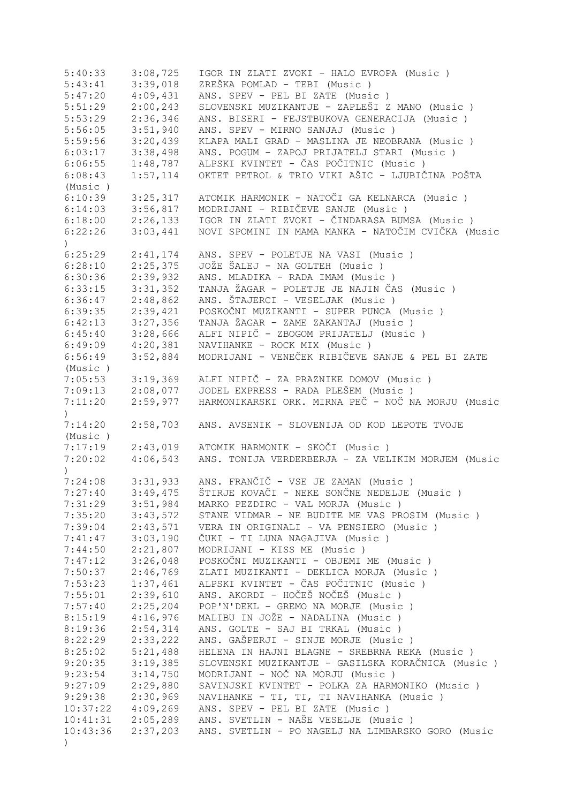| 5:40:33          | 3:08,725             | IGOR IN ZLATI ZVOKI - HALO EVROPA (Music )         |
|------------------|----------------------|----------------------------------------------------|
| 5:43:41          | 3:39,018             | ZREŠKA POMLAD - TEBI (Music)                       |
| 5:47:20          | 4:09,431             | ANS. SPEV - PEL BI ZATE (Music)                    |
| 5:51:29          | 2:00,243             | SLOVENSKI MUZIKANTJE - ZAPLEŠI Z MANO (Music )     |
| 5:53:29          | 2:36,346             | ANS. BISERI - FEJSTBUKOVA GENERACIJA (Music )      |
| 5:56:05          | 3:51,940             | ANS. SPEV - MIRNO SANJAJ (Music)                   |
| 5:59:56          | 3:20,439             | KLAPA MALI GRAD - MASLINA JE NEOBRANA (Music)      |
| 6:03:17          | 3:38,498             | ANS. POGUM - ZAPOJ PRIJATELJ STARI (Music )        |
| 6:06:55          | 1:48,787             | ALPSKI KVINTET - ČAS POČITNIC (Music )             |
| 6:08:43          | 1:57,114             | OKTET PETROL & TRIO VIKI AŠIC - LJUBIČINA POŠTA    |
| (Music)          |                      |                                                    |
| 6:10:39          | 3:25,317             | ATOMIK HARMONIK - NATOČI GA KELNARCA (Music)       |
| 6:14:03          | 3:56,817             | MODRIJANI - RIBIČEVE SANJE (Music)                 |
| 6:18:00          | 2:26,133             | IGOR IN ZLATI ZVOKI - ČINDARASA BUMSA (Music )     |
| 6:22:26          | 3:03,441             | NOVI SPOMINI IN MAMA MANKA - NATOČIM CVIČKA (Music |
|                  |                      |                                                    |
| $\left( \right)$ |                      |                                                    |
| 6:25:29          | 2:41,174             | ANS. SPEV - POLETJE NA VASI (Music )               |
| 6:28:10          | 2:25,375             | JOŽE ŠALEJ - NA GOLTEH (Music)                     |
| 6:30:36          | 2:39,932             | ANS. MLADIKA - RADA IMAM (Music)                   |
| 6:33:15          | 3:31,352             | TANJA ŽAGAR - POLETJE JE NAJIN ČAS (Music)         |
| 6:36:47          | 2:48,862             | ANS. ŠTAJERCI - VESELJAK (Music)                   |
| 6:39:35          | 2:39,421             | POSKOČNI MUZIKANTI - SUPER PUNCA (Music )          |
| 6:42:13          | 3:27,356             | TANJA ŽAGAR - ZAME ZAKANTAJ (Music)                |
| 6:45:40          | 3:28,666             | ALFI NIPIČ - ZBOGOM PRIJATELJ (Music )             |
| 6:49:09          | 4:20,381             | NAVIHANKE - ROCK MIX (Music)                       |
| 6:56:49          | 3:52,884             | MODRIJANI - VENEČEK RIBIČEVE SANJE & PEL BI ZATE   |
| (Music)          |                      |                                                    |
| 7:05:53          | 3:19,369             | ALFI NIPIČ - ZA PRAZNIKE DOMOV (Music)             |
| 7:09:13          | 2:08,077             | JODEL EXPRESS - RADA PLEŠEM (Music)                |
| 7:11:20          | 2:59,977             | HARMONIKARSKI ORK. MIRNA PEČ - NOČ NA MORJU (Music |
| $\mathcal{L}$    |                      |                                                    |
| 7:14:20          | 2:58,703             | ANS. AVSENIK - SLOVENIJA OD KOD LEPOTE TVOJE       |
| (Music)          |                      |                                                    |
| 7:17:19          | 2:43,019             | ATOMIK HARMONIK - SKOČI (Music)                    |
| 7:20:02          | 4:06,543             | ANS. TONIJA VERDERBERJA - ZA VELIKIM MORJEM (Music |
| $\lambda$        |                      |                                                    |
|                  | $7:24:08$ $3:31,933$ | ANS. FRANČIČ - VSE JE ZAMAN (Music)                |
| 7:27:40          | 3:49,475             | ŠTIRJE KOVAČI - NEKE SONČNE NEDELJE (Music)        |
| 7:31:29          | 3:51,984             | MARKO PEZDIRC - VAL MORJA (Music)                  |
| 7:35:20          | 3:43,572             | STANE VIDMAR - NE BUDITE ME VAS PROSIM (Music)     |
| 7:39:04          | 2:43,571             | VERA IN ORIGINALI - VA PENSIERO (Music)            |
| 7:41:47          | 3:03,190             | ČUKI - TI LUNA NAGAJIVA (Music)                    |
| 7:44:50          | 2:21,807             | MODRIJANI - KISS ME (Music)                        |
| 7:47:12          | 3:26,048             | POSKOČNI MUZIKANTI - OBJEMI ME (Music )            |
| 7:50:37          | 2:46,769             | ZLATI MUZIKANTI - DEKLICA MORJA (Music)            |
| 7:53:23          | 1:37,461             | ALPSKI KVINTET - ČAS POČITNIC (Music )             |
| 7:55:01          | 2:39,610             | ANS. AKORDI - HOČEŠ NOČEŠ (Music)                  |
| 7:57:40          | 2:25,204             | POP'N'DEKL - GREMO NA MORJE (Music)                |
|                  |                      | MALIBU IN JOŽE - NADALINA (Music)                  |
| 8:15:19          | 4:16,976             |                                                    |
| 8:19:36          | 2:54,314             | ANS. GOLTE - SAJ BI TRKAL (Music)                  |
| 8:22:29          | 2:33,222             | ANS. GAŠPERJI - SINJE MORJE (Music)                |
| 8:25:02          | 5:21,488             | HELENA IN HAJNI BLAGNE - SREBRNA REKA (Music)      |
| 9:20:35          | 3:19,385             | SLOVENSKI MUZIKANTJE - GASILSKA KORAČNICA (Music ) |
| 9:23:54          | 3:14,750             | MODRIJANI - NOČ NA MORJU (Music )                  |
| 9:27:09          | 2:29,880             | SAVINJSKI KVINTET - POLKA ZA HARMONIKO (Music)     |
| 9:29:38          | 2:30,969             | NAVIHANKE - TI, TI, TI NAVIHANKA (Music)           |
| 10:37:22         | 4:09,269             | ANS. SPEV - PEL BI ZATE (Music)                    |
| 10:41:31         | 2:05,289             | ANS. SVETLIN - NAŠE VESELJE (Music)                |
| 10:43:36         | 2:37,203             | ANS. SVETLIN - PO NAGELJ NA LIMBARSKO GORO (Music  |
| $\left( \right)$ |                      |                                                    |
|                  |                      |                                                    |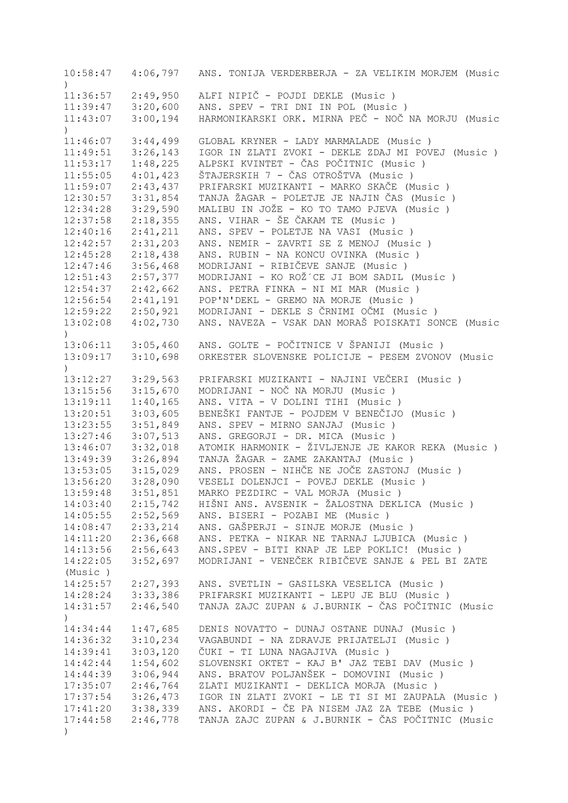10:58:47 4:06,797 ANS. TONIJA VERDERBERJA - ZA VELIKIM MORJEM (Music ) 11:36:57 2:49,950 ALFI NIPIČ - POJDI DEKLE (Music ) 3:20,600 ANS. SPEV - TRI DNI IN POL (Music ) 11:43:07 3:00,194 HARMONIKARSKI ORK. MIRNA PEČ - NOČ NA MORJU (Music  $\lambda$ 11:46:07 3:44,499 GLOBAL KRYNER - LADY MARMALADE (Music ) 11:49:51 3:26,143 IGOR IN ZLATI ZVOKI - DEKLE ZDAJ MI POVEJ (Music ) 11:53:17 1:48,225 ALPSKI KVINTET - ČAS POČITNIC (Music ) 11:55:05 4:01,423 ŠTAJERSKIH 7 - ČAS OTROŠTVA (Music ) 11:59:07 2:43,437 PRIFARSKI MUZIKANTI - MARKO SKAČE (Music ) 12:30:57 3:31,854 TANJA ŽAGAR - POLETJE JE NAJIN ČAS (Music ) 12:34:28 3:29,590 MALIBU IN JOŽE - KO TO TAMO PJEVA (Music ) 12:37:58 2:18,355 ANS. VIHAR - ŠE ČAKAM TE (Music ) 12:40:16 2:41,211 ANS. SPEV - POLETJE NA VASI (Music ) 12:42:57 2:31,203 ANS. NEMIR - ZAVRTI SE Z MENOJ (Music ) 12:45:28 2:18,438 ANS. RUBIN - NA KONCU OVINKA (Music ) 12:47:46 3:56,468 MODRIJANI - RIBIČEVE SANJE (Music ) 12:51:43 2:57,377 MODRIJANI - KO ROŽ´CE JI BOM SADIL (Music ) 12:54:37 2:42,662 ANS. PETRA FINKA - NI MI MAR (Music ) 12:56:54 2:41,191 POP'N'DEKL - GREMO NA MORJE (Music ) 12:59:22 2:50,921 MODRIJANI - DEKLE S ČRNIMI OČMI (Music ) 13:02:08 4:02,730 ANS. NAVEZA - VSAK DAN MORAŠ POISKATI SONCE (Music  $\lambda$ 13:06:11 3:05,460 ANS. GOLTE - POČITNICE V ŠPANIJI (Music ) 13:09:17 3:10,698 ORKESTER SLOVENSKE POLICIJE - PESEM ZVONOV (Music  $\lambda$ 13:12:27 3:29,563 PRIFARSKI MUZIKANTI - NAJINI VEČERI (Music ) 13:15:56 3:15,670 MODRIJANI - NOČ NA MORJU (Music ) 13:19:11 1:40,165 ANS. VITA - V DOLINI TIHI (Music ) 13:20:51 3:03,605 BENEŠKI FANTJE - POJDEM V BENEČIJO (Music ) 13:23:55 3:51,849 ANS. SPEV - MIRNO SANJAJ (Music ) 13:27:46 3:07,513 ANS. GREGORJI - DR. MICA (Music ) 13:46:07 3:32,018 ATOMIK HARMONIK - ŽIVLJENJE JE KAKOR REKA (Music ) 13:49:39 3:26,894 TANJA ŽAGAR - ZAME ZAKANTAJ (Music ) 13:53:05 3:15,029 ANS. PROSEN - NIHČE NE JOČE ZASTONJ (Music ) 13:56:20 3:28,090 VESELI DOLENJCI - POVEJ DEKLE (Music ) 13:59:48 3:51,851 MARKO PEZDIRC - VAL MORJA (Music ) 14:03:40 2:15,742 HIŠNI ANS. AVSENIK - ŽALOSTNA DEKLICA (Music ) 14:05:55 2:52,569 ANS. BISERI - POZABI ME (Music ) 14:08:47 2:33,214 ANS. GAŠPERJI - SINJE MORJE (Music ) 14:11:20 2:36,668 ANS. PETKA - NIKAR NE TARNAJ LJUBICA (Music ) 14:13:56 2:56,643 ANS.SPEV - BITI KNAP JE LEP POKLIC! (Music ) 14:22:05 3:52,697 MODRIJANI - VENEČEK RIBIČEVE SANJE & PEL BI ZATE (Music ) 14:25:57 2:27,393 ANS. SVETLIN - GASILSKA VESELICA (Music ) 14:28:24 3:33,386 PRIFARSKI MUZIKANTI - LEPU JE BLU (Music ) 14:31:57 2:46,540 TANJA ZAJC ZUPAN & J.BURNIK - ČAS POČITNIC (Music ) 14:34:44 1:47,685 DENIS NOVATTO - DUNAJ OSTANE DUNAJ (Music ) 14:36:32 3:10,234 VAGABUNDI - NA ZDRAVJE PRIJATELJI (Music ) 14:39:41 3:03,120 ČUKI - TI LUNA NAGAJIVA (Music ) 1:54,602 SLOVENSKI OKTET - KAJ B' JAZ TEBI DAV (Music )<br>3:06,944 ANS. BRATOV POLJANŠEK - DOMOVINI (Music ) 14:44:39 3:06,944 ANS. BRATOV POLJANŠEK - DOMOVINI (Music)<br>17:35:07 2:46,764 ZLATI MUZIKANTI - DEKLICA MORJA (Music) ZLATI MUZIKANTI - DEKLICA MORJA (Music ) 17:37:54 3:26,473 IGOR IN ZLATI ZVOKI - LE TI SI MI ZAUPALA (Music ) 17:41:20 3:38,339 ANS. AKORDI - ČE PA NISEM JAZ ZA TEBE (Music ) 17:44:58 2:46,778 TANJA ZAJC ZUPAN & J.BURNIK - ČAS POČITNIC (Music )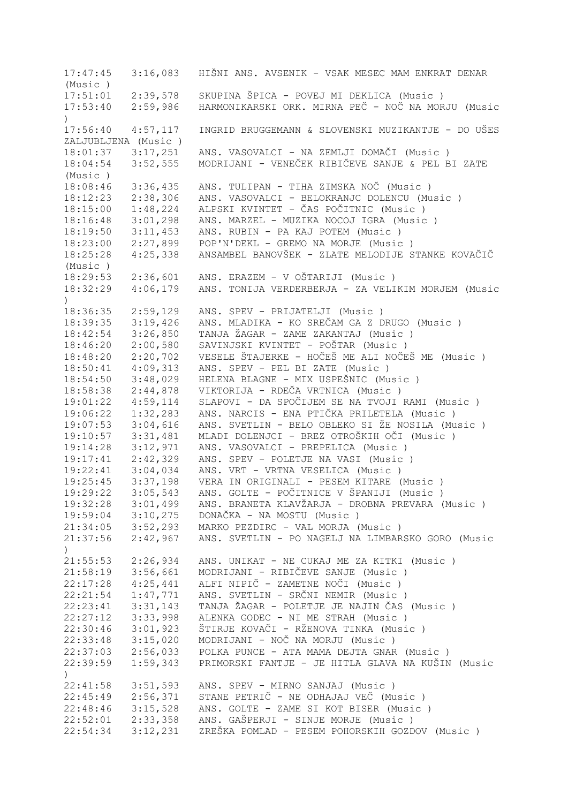17:47:45 3:16,083 HIŠNI ANS. AVSENIK - VSAK MESEC MAM ENKRAT DENAR (Music ) 17:51:01 2:39,578 SKUPINA ŠPICA - POVEJ MI DEKLICA (Music ) 17:53:40 2:59,986 HARMONIKARSKI ORK. MIRNA PEČ - NOČ NA MORJU (Music ) 17:56:40 4:57,117 INGRID BRUGGEMANN & SLOVENSKI MUZIKANTJE - DO UŠES ZALJUBLJENA (Music ) 18:01:37 3:17,251 ANS. VASOVALCI - NA ZEMLJI DOMAČI (Music )<br>18:04:54 3:52.555 MODRIJANI - VENEČEK RIBIČEVE SANJE & PEL B 18:04:54 3:52,555 MODRIJANI - VENEČEK RIBIČEVE SANJE & PEL BI ZATE (Music ) 18:08:46 3:36,435 ANS. TULIPAN - TIHA ZIMSKA NOČ (Music ) 18:12:23 2:38,306 ANS. VASOVALCI - BELOKRANJC DOLENCU (Music ) 18:15:00 1:48,224 ALPSKI KVINTET - ČAS POČITNIC (Music ) 18:16:48 3:01,298 ANS. MARZEL - MUZIKA NOCOJ IGRA (Music ) 18:19:50 3:11,453 ANS. RUBIN - PA KAJ POTEM (Music ) 18:23:00 2:27,899 POP'N'DEKL - GREMO NA MORJE (Music ) 18:25:28 4:25,338 ANSAMBEL BANOVŠEK - ZLATE MELODIJE STANKE KOVAČIČ (Music ) 18:29:53 2:36,601 ANS. ERAZEM - V OŠTARIJI (Music ) 18:32:29 4:06,179 ANS. TONIJA VERDERBERJA - ZA VELIKIM MORJEM (Music  $\lambda$ 18:36:35 2:59,129 ANS. SPEV - PRIJATELJI (Music ) 18:39:35 3:19,426 ANS. MLADIKA - KO SREČAM GA Z DRUGO (Music ) 18:42:54 3:26,850 TANJA ŽAGAR - ZAME ZAKANTAJ (Music ) 18:46:20 2:00,580 SAVINJSKI KVINTET - POŠTAR (Music ) 18:48:20 2:20,702 VESELE ŠTAJERKE - HOČEŠ ME ALI NOČEŠ ME (Music ) 18:50:41 4:09,313 ANS. SPEV - PEL BI ZATE (Music ) 18:54:50 3:48,029 HELENA BLAGNE - MIX USPEŠNIC (Music ) 18:58:38 2:44,878 VIKTORIJA - RDEČA VRTNICA (Music ) 19:01:22 4:59,114 SLAPOVI - DA SPOČIJEM SE NA TVOJI RAMI (Music ) 19:06:22 1:32,283 ANS. NARCIS - ENA PTIČKA PRILETELA (Music ) 19:07:53 3:04,616 ANS. SVETLIN - BELO OBLEKO SI ŽE NOSILA (Music ) 19:10:57 3:31,481 MLADI DOLENJCI - BREZ OTROŠKIH OČI (Music ) 19:14:28 3:12,971 ANS. VASOVALCI - PREPELICA (Music ) 19:17:41 2:42,329 ANS. SPEV - POLETJE NA VASI (Music ) 19:22:41 3:04,034 ANS. VRT - VRTNA VESELICA (Music ) 19:25:45 3:37,198 VERA IN ORIGINALI - PESEM KITARE (Music ) 19:29:22 3:05,543 ANS. GOLTE - POČITNICE V ŠPANIJI (Music ) 19:32:28 3:01,499 ANS. BRANETA KLAVŽARJA - DROBNA PREVARA (Music ) 19:59:04 3:10,275 DONAČKA - NA MOSTU (Music ) 21:34:05 3:52,293 MARKO PEZDIRC - VAL MORJA (Music ) 21:37:56 2:42,967 ANS. SVETLIN - PO NAGELJ NA LIMBARSKO GORO (Music ) 21:55:53 2:26,934 ANS. UNIKAT - NE CUKAJ ME ZA KITKI (Music ) 21:58:19 3:56,661 MODRIJANI - RIBIČEVE SANJE (Music ) 22:17:28 4:25,441 ALFI NIPIČ - ZAMETNE NOČI (Music ) 22:21:54 1:47,771 ANS. SVETLIN - SRČNI NEMIR (Music ) 22:23:41 3:31,143 TANJA ŽAGAR - POLETJE JE NAJIN ČAS (Music ) 22:27:12 3:33,998 ALENKA GODEC - NI ME STRAH (Music ) 22:30:46 3:01,923 ŠTIRJE KOVAČI - RŽENOVA TINKA (Music ) 22:33:48 3:15,020 MODRIJANI - NOČ NA MORJU (Music ) 22:37:03 2:56,033 POLKA PUNCE - ATA MAMA DEJTA GNAR (Music ) 22:39:59 1:59,343 PRIMORSKI FANTJE - JE HITLA GLAVA NA KUŠIN (Music ) 22:41:58 3:51,593 ANS. SPEV - MIRNO SANJAJ (Music ) 22:45:49 2:56,371 STANE PETRIČ - NE ODHAJAJ VEČ (Music ) 22:48:46 3:15,528 ANS. GOLTE - ZAME SI KOT BISER (Music ) 22:52:01 2:33,358 ANS. GAŠPERJI - SINJE MORJE (Music ) 22:54:34 3:12,231 ZREŠKA POMLAD - PESEM POHORSKIH GOZDOV (Music )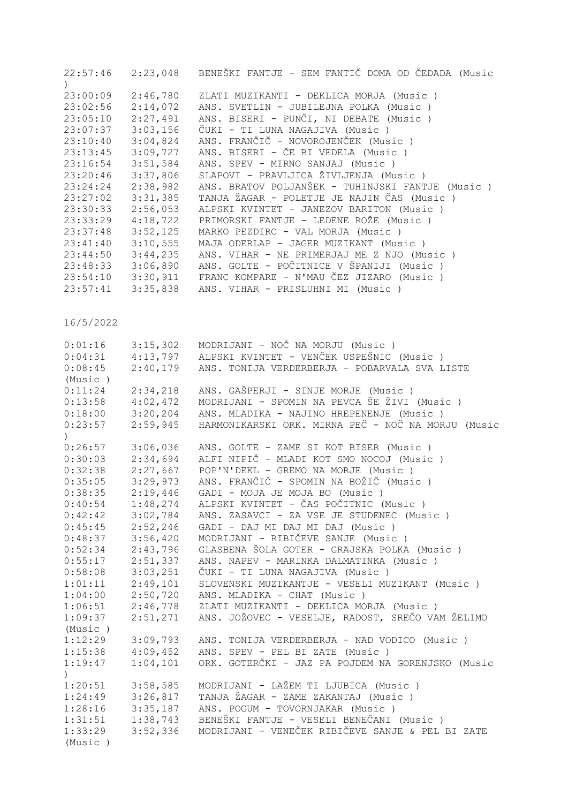| 22:57:46<br>$\left( \right)$ | 2:23,048 | BENEŠKI FANTJE - SEM FANTIČ DOMA OD ČEDADA (Music  |
|------------------------------|----------|----------------------------------------------------|
| 23:00:09                     | 2:46,780 | ZLATI MUZIKANTI - DEKLICA MORJA (Music)            |
| 23:02:56                     | 2:14,072 | ANS. SVETLIN - JUBILEJNA POLKA (Music)             |
| 23:05:10                     | 2:27,491 | ANS. BISERI - PUNČI, NI DEBATE (Music)             |
| 23:07:37                     | 3:03,156 | ČUKI - TI LUNA NAGAJIVA (Music )                   |
| 23:10:40                     | 3:04,824 | ANS. FRANČIČ - NOVOROJENČEK (Music)                |
| 23:13:45                     | 3:09,727 | ANS. BISERI - ČE BI VEDELA (Music )                |
| 23:16:54                     | 3:51,584 | ANS. SPEV - MIRNO SANJAJ (Music)                   |
| 23:20:46                     | 3:37,806 | SLAPOVI - PRAVLJICA ŽIVLJENJA (Music)              |
| 23:24:24                     | 2:38,982 | ANS. BRATOV POLJANŠEK - TUHINJSKI FANTJE (Music )  |
| 23:27:02                     | 3:31,385 | TANJA ŽAGAR - POLETJE JE NAJIN ČAS (Music)         |
| 23:30:33                     | 2:56,053 | ALPSKI KVINTET - JANEZOV BARITON (Music)           |
| 23:33:29                     | 4:18,722 | PRIMORSKI FANTJE - LEDENE ROŽE (Music)             |
| 23:37:48                     | 3:52,125 | MARKO PEZDIRC - VAL MORJA (Music)                  |
| 23:41:40                     | 3:10,555 | MAJA ODERLAP - JAGER MUZIKANT (Music)              |
| 23:44:50                     | 3:44,235 | ANS. VIHAR - NE PRIMERJAJ ME Z NJO (Music)         |
| 23:48:33                     | 3:06,890 | ANS. GOLTE - POČITNICE V ŠPANIJI (Music )          |
| 23:54:10                     | 3:30,911 | FRANC KOMPARE - N'MAU ČEZ JIZARO (Music)           |
| 23:57:41                     | 3:35,838 | ANS. VIHAR - PRISLUHNI MI (Music)                  |
| 16/5/2022                    |          |                                                    |
| 0:01:16                      | 3:15,302 | MODRIJANI - NOČ NA MORJU (Music)                   |
| 0:04:31                      | 4:13,797 | ALPSKI KVINTET - VENČEK USPEŠNIC (Music)           |
| 0:08:45                      | 2:40,179 | ANS. TONIJA VERDERBERJA - POBARVALA SVA LISTE      |
| (Music)                      |          |                                                    |
| 0:11:24                      | 2:34,218 | ANS. GAŠPERJI - SINJE MORJE (Music)                |
| 0:13:58                      | 4:02,472 | MODRIJANI - SPOMIN NA PEVCA ŠE ŽIVI (Music )       |
| 0:18:00                      | 3:20,204 | ANS. MLADIKA - NAJINO HREPENENJE (Music)           |
| 0:23:57<br>$\lambda$         | 2:59,945 | HARMONIKARSKI ORK. MIRNA PEČ - NOČ NA MORJU (Music |
| 0:26:57                      | 3:06,036 | ANS. GOLTE - ZAME SI KOT BISER (Music)             |
| 0:30:03                      | 2:34,694 | ALFI NIPIČ - MLADI KOT SMO NOCOJ (Music)           |
| 0:32:38                      | 2:27,667 | POP'N'DEKL - GREMO NA MORJE (Music)                |
| 0:35:05                      | 3:29,973 | ANS. FRANČIČ - SPOMIN NA BOŽIČ (Music )            |
| 0:38:35                      | 2:19,446 | GADI - MOJA JE MOJA BO (Music)                     |
| 0:40:54                      | 1:48,274 | ALPSKI KVINTET - ČAS POČITNIC (Music )             |
| 0:42:42                      | 3:02,784 | ANS. ZASAVCI - ZA VSE JE STUDENEC (Music)          |
| 0:45:45                      | 2:52,246 | GADI - DAJ MI DAJ MI DAJ (Music)                   |
| 0:48:37                      | 3:56,420 | MODRIJANI - RIBIČEVE SANJE (Music)                 |
| 0:52:34                      | 2:43,796 | GLASBENA ŠOLA GOTER - GRAJSKA POLKA (Music)        |
| 0:55:17                      | 2:51,337 | ANS. NAPEV - MARINKA DALMATINKA (Music)            |
| 0:58:08                      | 3:03,251 | ČUKI - TI LUNA NAGAJIVA (Music)                    |
| 1:01:11                      | 2:49,101 | SLOVENSKI MUZIKANTJE - VESELI MUZIKANT (Music )    |
| 1:04:00                      | 2:50,720 | ANS. MLADIKA - CHAT (Music)                        |
| 1:06:51                      | 2:46,778 | ZLATI MUZIKANTI - DEKLICA MORJA (Music)            |
| 1:09:37                      | 2:51,271 | ANS. JOŽOVEC - VESELJE, RADOST, SREČO VAM ŽELIMO   |
| (Music)                      |          |                                                    |
| 1:12:29                      | 3:09,793 | ANS. TONIJA VERDERBERJA - NAD VODICO (Music)       |
| 1:15:38                      | 4:09,452 | ANS. SPEV - PEL BI ZATE (Music)                    |
| 1:19:47                      | 1:04,101 | ORK. GOTERČKI - JAZ PA POJDEM NA GORENJSKO (Music  |
| $\big)$                      |          |                                                    |
| 1:20:51                      | 3:58,585 | MODRIJANI - LAŽEM TI LJUBICA (Music )              |
| 1:24:49                      | 3:26,817 | TANJA ŽAGAR - ZAME ZAKANTAJ (Music )               |
| 1:28:16                      | 3:35,187 | ANS. POGUM - TOVORNJAKAR (Music)                   |
| 1:31:51                      | 1:38,743 | BENEŠKI FANTJE - VESELI BENEČANI (Music )          |
| 1:33:29                      | 3:52,336 | MODRIJANI - VENEČEK RIBIČEVE SANJE & PEL BI ZATE   |
| (Music)                      |          |                                                    |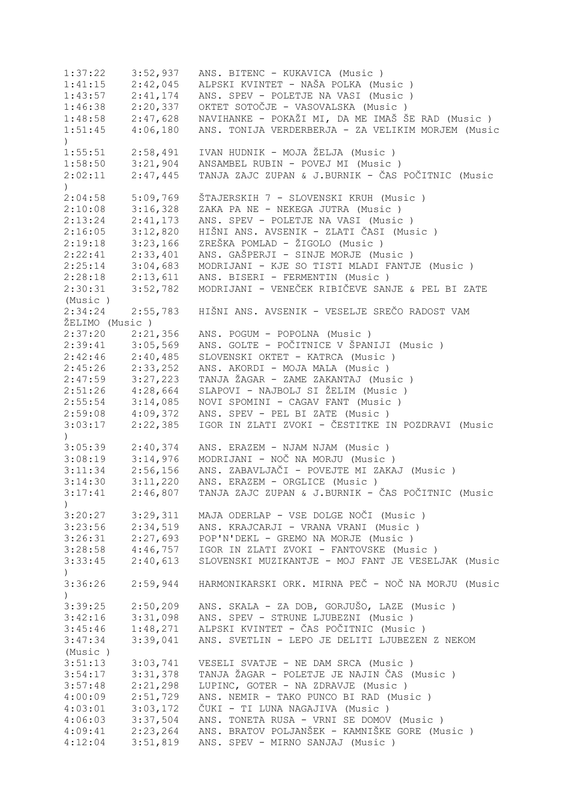1:37:22 3:52,937 ANS. BITENC - KUKAVICA (Music ) 1:41:15 2:42,045 ALPSKI KVINTET - NAŠA POLKA (Music ) 1:43:57 2:41,174 ANS. SPEV - POLETJE NA VASI (Music ) 1:46:38 2:20,337 OKTET SOTOČJE - VASOVALSKA (Music ) 1:48:58 2:47,628 NAVIHANKE - POKAŽI MI, DA ME IMAŠ ŠE RAD (Music ) 1:51:45 4:06,180 ANS. TONIJA VERDERBERJA - ZA VELIKIM MORJEM (Music ) 1:55:51 2:58,491 IVAN HUDNIK - MOJA ŽELJA (Music ) 1:58:50 3:21,904 ANSAMBEL RUBIN - POVEJ MI (Music ) 2:02:11 2:47,445 TANJA ZAJC ZUPAN & J.BURNIK - ČAS POČITNIC (Music ) 2:04:58 5:09,769 ŠTAJERSKIH 7 - SLOVENSKI KRUH (Music ) 2:10:08 3:16,328 ZAKA PA NE - NEKEGA JUTRA (Music ) 2:13:24 2:41,173 ANS. SPEV - POLETJE NA VASI (Music ) 2:16:05 3:12,820 HIŠNI ANS. AVSENIK - ZLATI ČASI (Music ) 2:19:18 3:23,166 ZREŠKA POMLAD - ŽIGOLO (Music ) 2:22:41 2:33,401 ANS. GAŠPERJI - SINJE MORJE (Music)<br>2:25:14 3:04,683 MODRIJANI - KJE SO TISTI MLADI FANTJ 2:25:14 3:04,683 MODRIJANI - KJE SO TISTI MLADI FANTJE (Music ) 2:28:18 2:13,611 ANS. BISERI - FERMENTIN (Music) 2:30:31 3:52,782 MODRIJANI - VENEČEK RIBIČEVE SANJE & PEL BI ZATE (Music ) 2:34:24 2:55,783 HIŠNI ANS. AVSENIK - VESELJE SREČO RADOST VAM ŽELIMO (Music ) 2:37:20 2:21,356 ANS. POGUM - POPOLNA (Music ) 2:39:41 3:05,569 ANS. GOLTE - POČITNICE V ŠPANIJI (Music ) 2:42:46 2:40,485 SLOVENSKI OKTET - KATRCA (Music ) 2:45:26 2:33,252 ANS. AKORDI - MOJA MALA (Music ) 2:47:59 3:27,223 TANJA ŽAGAR - ZAME ZAKANTAJ (Music ) 2:51:26 4:28,664 SLAPOVI - NAJBOLJ SI ŽELIM (Music ) 2:55:54 3:14,085 NOVI SPOMINI - CAGAV FANT (Music ) 2:59:08 4:09,372 ANS. SPEV - PEL BI ZATE (Music ) 3:03:17 2:22,385 IGOR IN ZLATI ZVOKI - ČESTITKE IN POZDRAVI (Music  $\lambda$ 3:05:39 2:40,374 ANS. ERAZEM - NJAM NJAM (Music ) 3:08:19 3:14,976 MODRIJANI - NOČ NA MORJU (Music ) 3:11:34 2:56,156 ANS. ZABAVLJAČI - POVEJTE MI ZAKAJ (Music ) 3:14:30 3:11,220 ANS. ERAZEM - ORGLICE (Music ) 3:17:41 2:46,807 TANJA ZAJC ZUPAN & J.BURNIK - ČAS POČITNIC (Music ) 3:20:27 3:29,311 MAJA ODERLAP - VSE DOLGE NOČI (Music ) 3:23:56 2:34,519 ANS. KRAJCARJI - VRANA VRANI (Music ) 3:26:31 2:27,693 POP'N'DEKL - GREMO NA MORJE (Music ) 3:28:58 4:46,757 IGOR IN ZLATI ZVOKI - FANTOVSKE (Music ) 3:33:45 2:40,613 SLOVENSKI MUZIKANTJE - MOJ FANT JE VESELJAK (Music  $\lambda$ 3:36:26 2:59,944 HARMONIKARSKI ORK. MIRNA PEČ - NOČ NA MORJU (Music  $\lambda$ 3:39:25 2:50,209 ANS. SKALA - ZA DOB, GORJUŠO, LAZE (Music ) 3:42:16 3:31,098 ANS. SPEV - STRUNE LJUBEZNI (Music ) 3:45:46 1:48,271 ALPSKI KVINTET - ČAS POČITNIC (Music ) 3:47:34 3:39,041 ANS. SVETLIN - LEPO JE DELITI LJUBEZEN Z NEKOM (Music ) 3:51:13 3:03,741 VESELI SVATJE - NE DAM SRCA (Music ) 3:54:17 3:31,378 TANJA ŽAGAR - POLETJE JE NAJIN ČAS (Music ) LUPINC, GOTER - NA ZDRAVJE (Music ) 4:00:09 2:51,729 ANS. NEMIR - TAKO PUNCO BI RAD (Music ) 4:03:01 3:03,172 ČUKI - TI LUNA NAGAJIVA (Music ) 4:06:03 3:37,504 ANS. TONETA RUSA - VRNI SE DOMOV (Music ) 4:09:41 2:23,264 ANS. BRATOV POLJANŠEK - KAMNIŠKE GORE (Music ) 4:12:04 3:51,819 ANS. SPEV - MIRNO SANJAJ (Music )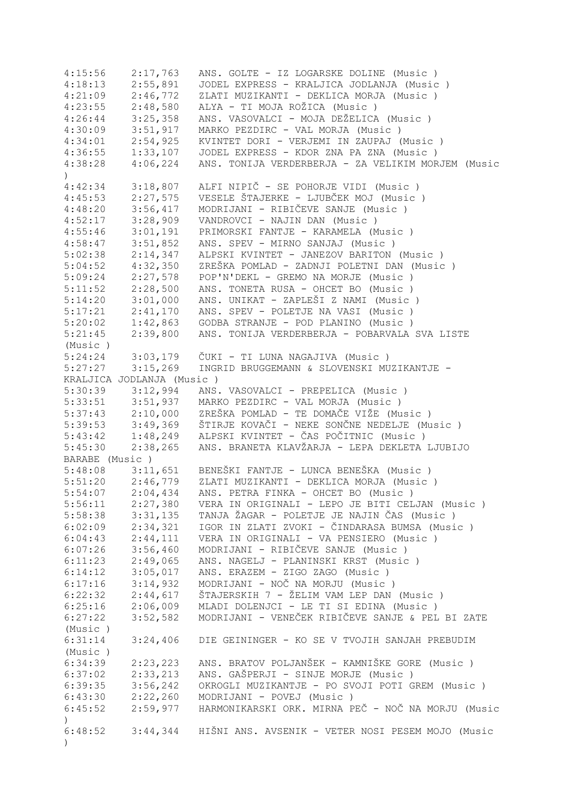| 4:15:56              | 2:17,763                  | ANS. GOLTE - IZ LOGARSKE DOLINE (Music )                                |
|----------------------|---------------------------|-------------------------------------------------------------------------|
| 4:18:13              | 2:55,891                  | JODEL EXPRESS - KRALJICA JODLANJA (Music)                               |
| 4:21:09              | 2:46,772                  | ZLATI MUZIKANTI - DEKLICA MORJA (Music)                                 |
| 4:23:55              | 2:48,580                  | ALYA - TI MOJA ROŽICA (Music)                                           |
| 4:26:44              | 3:25,358                  | ANS. VASOVALCI - MOJA DEŽELICA (Music)                                  |
| 4:30:09              | 3:51,917                  | MARKO PEZDIRC - VAL MORJA (Music)                                       |
| 4:34:01              | 2:54,925                  | KVINTET DORI - VERJEMI IN ZAUPAJ (Music)                                |
| 4:36:55              | 1:33,107                  | JODEL EXPRESS - KDOR ZNA PA ZNA (Music)                                 |
| 4:38:28              | 4:06,224                  | ANS. TONIJA VERDERBERJA - ZA VELIKIM MORJEM (Music                      |
| $\left( \right)$     |                           |                                                                         |
| 4:42:34              | 3:18,807                  | ALFI NIPIČ - SE POHORJE VIDI (Music )                                   |
| 4:45:53              | 2:27,575                  | VESELE ŠTAJERKE - LJUBČEK MOJ (Music)                                   |
| 4:48:20              | 3:56,417                  | MODRIJANI - RIBIČEVE SANJE (Music)                                      |
| 4:52:17              | 3:28,909                  | VANDROVCI - NAJIN DAN (Music)                                           |
| 4:55:46              | 3:01,191                  | PRIMORSKI FANTJE - KARAMELA (Music)                                     |
| 4:58:47              | 3:51,852                  | ANS. SPEV - MIRNO SANJAJ (Music)                                        |
|                      |                           |                                                                         |
| 5:02:38              | 2:14,347                  | ALPSKI KVINTET - JANEZOV BARITON (Music)                                |
| 5:04:52              | 4:32,350                  | ZREŠKA POMLAD - ZADNJI POLETNI DAN (Music )                             |
| 5:09:24              | 2:27,578                  | POP'N'DEKL - GREMO NA MORJE (Music)                                     |
| 5:11:52              | 2:28,500                  | ANS. TONETA RUSA - OHCET BO (Music)                                     |
| 5:14:20              | 3:01,000                  | ANS. UNIKAT - ZAPLEŠI Z NAMI (Music )                                   |
| $5:17:21$ $2:41,170$ |                           | ANS. SPEV - POLETJE NA VASI (Music )                                    |
| $5:20:02$ $1:42,863$ |                           | GODBA STRANJE - POD PLANINO (Music)                                     |
| 5:21:45              | 2:39,800                  | ANS. TONIJA VERDERBERJA - POBARVALA SVA LISTE                           |
| (Music)              |                           |                                                                         |
| $5:24:24$ $3:03,179$ |                           | ČUKI - TI LUNA NAGAJIVA (Music )                                        |
| 5:27:27              | 3:15,269                  | INGRID BRUGGEMANN & SLOVENSKI MUZIKANTJE -                              |
|                      | KRALJICA JODLANJA (Music) |                                                                         |
| 5:30:39              | 3:12,994                  | ANS. VASOVALCI - PREPELICA (Music)                                      |
| $5:33:51$ $3:51,937$ |                           | MARKO PEZDIRC - VAL MORJA (Music)                                       |
|                      | $5:37:43$ $2:10,000$      | ZREŠKA POMLAD - TE DOMAČE VIŽE (Music)                                  |
|                      | $5:39:53$ $3:49,369$      | ŠTIRJE KOVAČI - NEKE SONČNE NEDELJE (Music)                             |
|                      |                           | 5:43:42 1:48,249 ALPSKI KVINTET - ČAS POČITNIC (Music)                  |
| 5:45:30              | 2:38,265                  | ANS. BRANETA KLAVŽARJA - LEPA DEKLETA LJUBIJO                           |
| BARABE (Music)       |                           |                                                                         |
|                      |                           | 5:48:08 3:11,651 BENEŠKI FANTJE - LUNCA BENEŠKA (Music)                 |
|                      |                           | 5:51:20  2:46,779  ZLATI MUZIKANTI - DEKLICA MORJA (Music)              |
| 5:54:07              | 2:04,434                  | ANS. PETRA FINKA - OHCET BO (Music )                                    |
| 5:56:11              | 2:27,380                  | VERA IN ORIGINALI - LEPO JE BITI CELJAN (Music )                        |
| 5:58:38              | 3:31,135                  | TANJA ŽAGAR - POLETJE JE NAJIN ČAS (Music)                              |
| 6:02:09              | 2:34,321                  | IGOR IN ZLATI ZVOKI - ČINDARASA BUMSA (Music )                          |
| 6:04:43              | 2:44,111                  | VERA IN ORIGINALI - VA PENSIERO (Music)                                 |
| 6:07:26              | 3:56,460                  | MODRIJANI - RIBIČEVE SANJE (Music)                                      |
|                      | 2:49,065                  |                                                                         |
| 6:11:23<br>6:14:12   | 3:05,017                  | ANS. NAGELJ - PLANINSKI KRST (Music)<br>ANS. ERAZEM - ZIGO ZAGO (Music) |
|                      |                           |                                                                         |
| 6:17:16              | 3:14,932                  | MODRIJANI - NOČ NA MORJU (Music)                                        |
| 6:22:32              | 2:44,617                  | ŠTAJERSKIH 7 - ŽELIM VAM LEP DAN (Music)                                |
| 6:25:16              | 2:06,009                  | MLADI DOLENJCI - LE TI SI EDINA (Music)                                 |
| 6:27:22              | 3:52,582                  | MODRIJANI - VENEČEK RIBIČEVE SANJE & PEL BI ZATE                        |
| (Music)              |                           |                                                                         |
| 6:31:14              | 3:24,406                  | DIE GEININGER - KO SE V TVOJIH SANJAH PREBUDIM                          |
| (Music)              |                           |                                                                         |
| 6:34:39              | 2:23,223                  | ANS. BRATOV POLJANŠEK - KAMNIŠKE GORE (Music )                          |
| 6:37:02              | 2:33,213                  | ANS. GAŠPERJI - SINJE MORJE (Music )                                    |
| 6:39:35              | 3:56,242                  | OKROGLI MUZIKANTJE - PO SVOJI POTI GREM (Music )                        |
| 6:43:30              | 2:22,260                  | MODRIJANI - POVEJ (Music)                                               |
| 6:45:52              | 2:59,977                  | HARMONIKARSKI ORK. MIRNA PEČ - NOČ NA MORJU (Music                      |
| $\left( \right)$     |                           |                                                                         |
| 6:48:52              |                           | 3:44,344 HIŠNI ANS. AVSENIK - VETER NOSI PESEM MOJO (Music              |
| $\left( \right)$     |                           |                                                                         |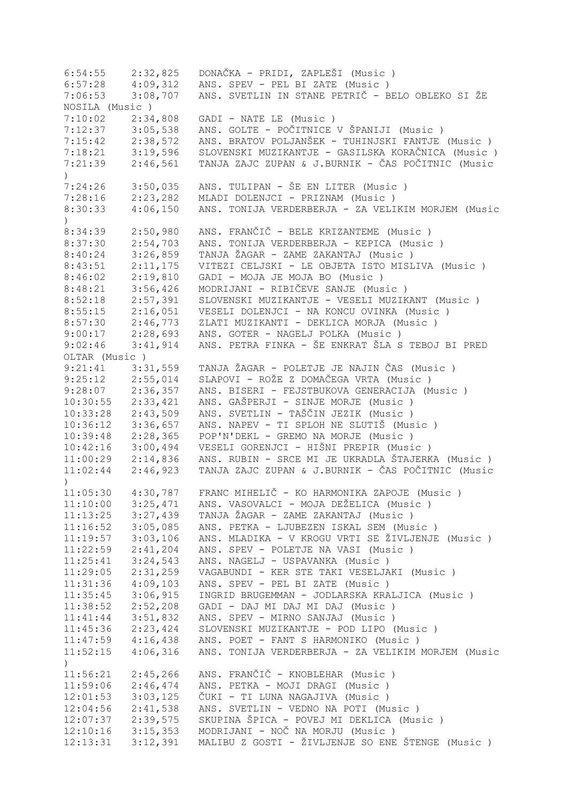6:54:55 2:32,825 DONAČKA - PRIDI, ZAPLEŠI (Music ) 6:57:28 4:09,312 ANS. SPEV - PEL BI ZATE (Music ) 7:06:53 3:08,707 ANS. SVETLIN IN STANE PETRIČ - BELO OBLEKO SI ŽE NOSILA (Music ) 7:10:02 2:34,808 GADI - NATE LE (Music ) 7:12:37 3:05,538 ANS. GOLTE - POČITNICE V ŠPANIJI (Music ) 7:15:42 2:38,572 ANS. BRATOV POLJANŠEK - TUHINJSKI FANTJE (Music ) 7:18:21 3:19,596 SLOVENSKI MUZIKANTJE - GASILSKA KORAČNICA (Music ) 7:21:39 2:46,561 TANJA ZAJC ZUPAN & J.BURNIK - ČAS POČITNIC (Music  $\lambda$ 7:24:26 3:50,035 ANS. TULIPAN - ŠE EN LITER (Music ) 7:28:16 2:23,282 MLADI DOLENJCI - PRIZNAM (Music ) 8:30:33 4:06,150 ANS. TONIJA VERDERBERJA - ZA VELIKIM MORJEM (Music  $\lambda$ 8:34:39 2:50,980 ANS. FRANČIČ - BELE KRIZANTEME (Music)<br>8:37:30 2:54.703 ANS. TONIJA VERDERBERJA - KEPICA (Music 8:37:30 2:54,703 ANS. TONIJA VERDERBERJA - KEPICA (Music ) 8:40:24 3:26,859 TANJA ŽAGAR - ZAME ZAKANTAJ (Music ) 8:43:51 2:11,175 VITEZI CELJSKI - LE OBJETA ISTO MISLIVA (Music ) 8:46:02 2:19,810 GADI - MOJA JE MOJA BO (Music ) 8:48:21 3:56,426 MODRIJANI - RIBIČEVE SANJE (Music)<br>8:52:18 2:57,391 SLOVENSKI MUZIKANTJE - VESELI MUZIK 2:57,391 SLOVENSKI MUZIKANTJE - VESELI MUZIKANT (Music ) 8:55:15 2:16,051 VESELI DOLENJCI - NA KONCU OVINKA (Music ) 8:57:30 2:46,773 ZLATI MUZIKANTI - DEKLICA MORJA (Music ) 9:00:17 2:28,693 ANS. GOTER - NAGELJ POLKA (Music ) 9:02:46 3:41,914 ANS. PETRA FINKA - ŠE ENKRAT ŠLA S TEBOJ BI PRED OLTAR (Music ) 9:21:41 3:31,559 TANJA ŽAGAR - POLETJE JE NAJIN ČAS (Music ) 9:25:12 2:55,014 SLAPOVI - ROŽE Z DOMAČEGA VRTA (Music )<br>9:28:07 2:36,357 ANS. BISERI - FEJSTBUKOVA GENERACIJA (M 9:28:07 2:36,357 ANS. BISERI - FEJSTBUKOVA GENERACIJA (Music ) 10:30:55 2:33,421 ANS. GAŠPERJI - SINJE MORJE (Music ) 10:33:28 2:43,509 ANS. SVETLIN - TAŠČIN JEZIK (Music ) 10:36:12 3:36,657 ANS. NAPEV - TI SPLOH NE SLUTIŠ (Music ) 10:39:48 2:28,365 POP'N'DEKL - GREMO NA MORJE (Music ) 10:42:16 3:00,494 VESELI GORENJCI - HIŠNI PREPIR (Music ) 11:00:29 2:14,836 ANS. RUBIN - SRCE MI JE UKRADLA ŠTAJERKA (Music ) 11:02:44 2:46,923 TANJA ZAJC ZUPAN & J.BURNIK - ČAS POČITNIC (Music ) 11:05:30 4:30,787 FRANC MIHELIČ - KO HARMONIKA ZAPOJE (Music ) 11:10:00 3:25,471 ANS. VASOVALCI - MOJA DEŽELICA (Music ) 11:13:25 3:27,439 TANJA ŽAGAR - ZAME ZAKANTAJ (Music ) 11:16:52 3:05,085 ANS. PETKA - LJUBEZEN ISKAL SEM (Music ) 11:19:57 3:03,106 ANS. MLADIKA - V KROGU VRTI SE ŽIVLJENJE (Music ) 11:22:59 2:41,204 ANS. SPEV - POLETJE NA VASI (Music ) 11:25:41 3:24,543 ANS. NAGELJ - USPAVANKA (Music ) 11:29:05 2:31,259 VAGABUNDI - KER STE TAKI VESELJAKI (Music ) 11:31:36 4:09,103 ANS. SPEV - PEL BI ZATE (Music ) 11:35:45 3:06,915 INGRID BRUGEMMAN - JODLARSKA KRALJICA (Music ) 11:38:52 2:52,208 GADI - DAJ MI DAJ MI DAJ (Music ) 11:41:44 3:51,832 ANS. SPEV - MIRNO SANJAJ (Music ) 11:45:36 2:23,424 SLOVENSKI MUZIKANTJE - POD LIPO (Music ) 11:47:59 4:16,438 ANS. POET - FANT S HARMONIKO (Music ) 11:52:15 4:06,316 ANS. TONIJA VERDERBERJA - ZA VELIKIM MORJEM (Music ) 11:56:21 2:45,266 ANS. FRANČIČ - KNOBLEHAR (Music ) ANS. PETKA - MOJI DRAGI (Music ) 12:01:53 3:03,125 ČUKI - TI LUNA NAGAJIVA (Music ) 12:04:56 2:41,538 ANS. SVETLIN - VEDNO NA POTI (Music ) 12:07:37 2:39,575 SKUPINA ŠPICA - POVEJ MI DEKLICA (Music ) 12:10:16 3:15,353 MODRIJANI - NOČ NA MORJU (Music ) 12:13:31 3:12,391 MALIBU Z GOSTI - ŽIVLJENJE SO ENE ŠTENGE (Music )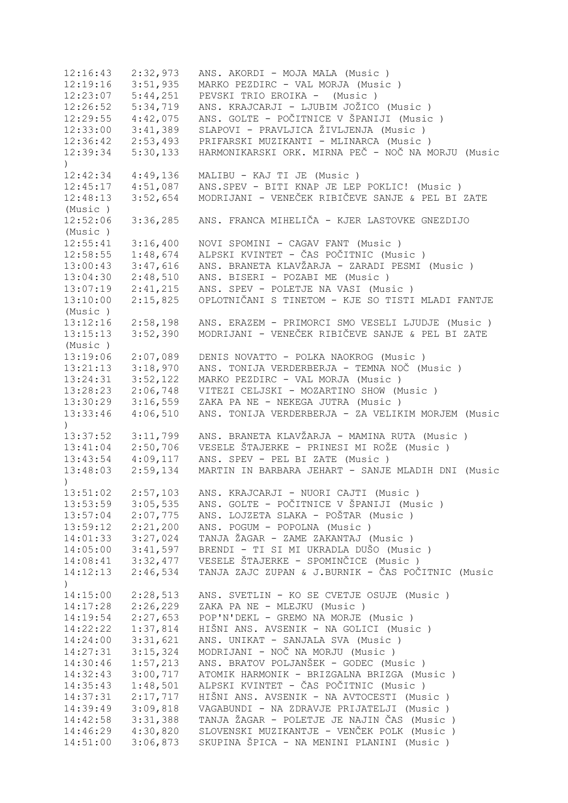12:16:43 2:32,973 ANS. AKORDI - MOJA MALA (Music ) 12:19:16 3:51,935 MARKO PEZDIRC - VAL MORJA (Music ) 12:23:07 5:44,251 PEVSKI TRIO EROIKA - (Music ) 12:26:52 5:34,719 ANS. KRAJCARJI - LJUBIM JOŽICO (Music ) 12:29:55 4:42,075 ANS. GOLTE - POČITNICE V ŠPANIJI (Music ) 12:33:00 3:41,389 SLAPOVI - PRAVLJICA ŽIVLJENJA (Music ) 12:36:42 2:53,493 PRIFARSKI MUZIKANTI - MLINARCA (Music ) 12:39:34 5:30,133 HARMONIKARSKI ORK. MIRNA PEČ - NOČ NA MORJU (Music  $\lambda$ 12:42:34 4:49,136 MALIBU - KAJ TI JE (Music ) 12:45:17 4:51,087 ANS.SPEV - BITI KNAP JE LEP POKLIC! (Music ) 12:48:13 3:52,654 MODRIJANI - VENEČEK RIBIČEVE SANJE & PEL BI ZATE (Music ) 12:52:06 3:36,285 ANS. FRANCA MIHELIČA - KJER LASTOVKE GNEZDIJO (Music ) 12:55:41 3:16,400 NOVI SPOMINI - CAGAV FANT (Music ) 12:58:55 1:48,674 ALPSKI KVINTET - ČAS POČITNIC (Music ) 13:00:43 3:47,616 ANS. BRANETA KLAVŽARJA - ZARADI PESMI (Music ) 13:04:30 2:48,510 ANS. BISERI - POZABI ME (Music ) 13:07:19 2:41,215 ANS. SPEV - POLETJE NA VASI (Music ) 13:10:00 2:15,825 OPLOTNIČANI S TINETOM - KJE SO TISTI MLADI FANTJE (Music ) 13:12:16 2:58,198 ANS. ERAZEM - PRIMORCI SMO VESELI LJUDJE (Music ) 13:15:13 3:52,390 MODRIJANI - VENEČEK RIBIČEVE SANJE & PEL BI ZATE (Music ) 13:19:06 2:07,089 DENIS NOVATTO - POLKA NAOKROG (Music ) 13:21:13 3:18,970 ANS. TONIJA VERDERBERJA - TEMNA NOČ (Music ) 13:24:31 3:52,122 MARKO PEZDIRC - VAL MORJA (Music ) 13:24:31 3:52,122 MARKO PEZDIRC - VAL MORJA (Music )<br>13:28:23 2:06,748 VITEZI CELJSKI - MOZARTINO SHOW (Music ) 13:30:29 3:16,559 ZAKA PA NE - NEKEGA JUTRA (Music ) 13:33:46 4:06,510 ANS. TONIJA VERDERBERJA - ZA VELIKIM MORJEM (Music  $\rightarrow$ 13:37:52 3:11,799 ANS. BRANETA KLAVŽARJA - MAMINA RUTA (Music ) 13:41:04 2:50,706 VESELE ŠTAJERKE - PRINESI MI ROŽE (Music ) 13:43:54 4:09,117 ANS. SPEV - PEL BI ZATE (Music ) 13:48:03 2:59,134 MARTIN IN BARBARA JEHART - SANJE MLADIH DNI (Music ) 13:51:02 2:57,103 ANS. KRAJCARJI - NUORI CAJTI (Music ) 13:53:59 3:05,535 ANS. GOLTE - POČITNICE V ŠPANIJI (Music ) 13:57:04 2:07,775 ANS. LOJZETA SLAKA - POŠTAR (Music ) 13:59:12 2:21,200 ANS. POGUM - POPOLNA (Music ) 14:01:33 3:27,024 TANJA ŽAGAR - ZAME ZAKANTAJ (Music ) 14:05:00 3:41,597 BRENDI - TI SI MI UKRADLA DUŠO (Music ) 14:08:41 3:32,477 VESELE ŠTAJERKE - SPOMINČICE (Music ) 14:12:13 2:46,534 TANJA ZAJC ZUPAN & J.BURNIK - ČAS POČITNIC (Music ) 14:15:00 2:28,513 ANS. SVETLIN - KO SE CVETJE OSUJE (Music ) 14:17:28 2:26,229 ZAKA PA NE - MLEJKU (Music ) 14:19:54 2:27,653 POP'N'DEKL - GREMO NA MORJE (Music ) 14:22:22 1:37,814 HIŠNI ANS. AVSENIK - NA GOLICI (Music ) 14:24:00 3:31,621 ANS. UNIKAT - SANJALA SVA (Music ) 14:27:31 3:15,324 MODRIJANI - NOČ NA MORJU (Music ) 14:30:46 1:57,213 ANS. BRATOV POLJANŠEK - GODEC (Music ) 14:32:43 3:00,717 ATOMIK HARMONIK - BRIZGALNA BRIZGA (Music ) 14:35:43 1:48,501 ALPSKI KVINTET - ČAS POČITNIC (Music ) 14:37:31 2:17,717 HIŠNI ANS. AVSENIK - NA AVTOCESTI (Music ) 14:39:49 3:09,818 VAGABUNDI - NA ZDRAVJE PRIJATELJI (Music ) 14:42:58 3:31,388 TANJA ŽAGAR - POLETJE JE NAJIN ČAS (Music ) 14:46:29 4:30,820 SLOVENSKI MUZIKANTJE - VENČEK POLK (Music ) 14:51:00 3:06,873 SKUPINA ŠPICA - NA MENINI PLANINI (Music )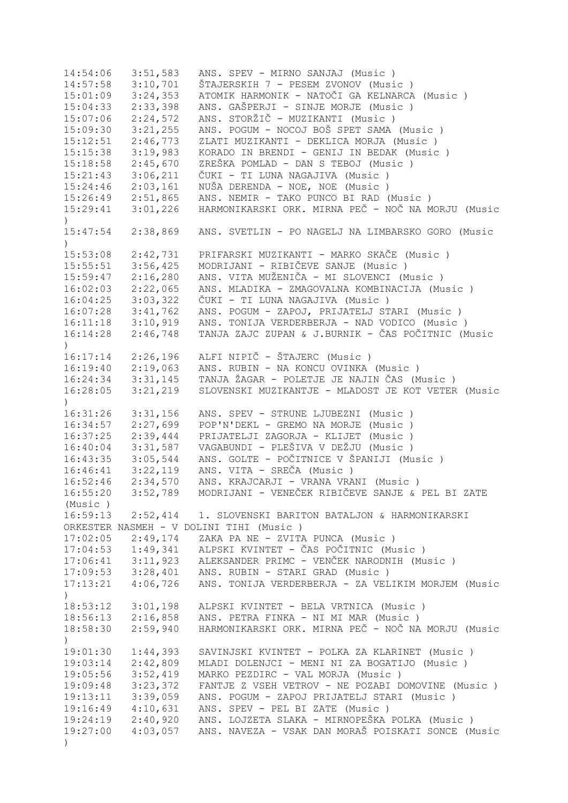14:54:06 3:51,583 ANS. SPEV - MIRNO SANJAJ (Music ) 14:57:58 3:10,701 ŠTAJERSKIH 7 - PESEM ZVONOV (Music)<br>15:01:09 3:24,353 ATOMIK HARMONIK - NATOČI GA KELNARCA 15:01:09 3:24,353 ATOMIK HARMONIK - NATOČI GA KELNARCA (Music)<br>15:04:33 2:33,398 ANS. GAŠPERJI - SINJE MORJE (Music) 15:04:33 2:33,398 ANS. GAŠPERJI - SINJE MORJE (Music ) 15:07:06 2:24,572 ANS. STORŽIČ - MUZIKANTI (Music ) 15:09:30 3:21,255 ANS. POGUM - NOCOJ BOŠ SPET SAMA (Music ) 15:12:51 2:46,773 ZLATI MUZIKANTI - DEKLICA MORJA (Music ) 15:15:38 3:19,983 KORADO IN BRENDI - GENIJ IN BEDAK (Music ) 15:18:58 2:45,670 ZREŠKA POMLAD - DAN S TEBOJ (Music ) 15:21:43 3:06,211 ČUKI - TI LUNA NAGAJIVA (Music ) 15:24:46 2:03,161 NUŠA DERENDA - NOE, NOE (Music ) 15:26:49 2:51,865 ANS. NEMIR - TAKO PUNCO BI RAD (Music ) 15:29:41 3:01,226 HARMONIKARSKI ORK. MIRNA PEČ - NOČ NA MORJU (Music  $\lambda$ 15:47:54 2:38,869 ANS. SVETLIN - PO NAGELJ NA LIMBARSKO GORO (Music  $\lambda$ 15:53:08 2:42,731 PRIFARSKI MUZIKANTI - MARKO SKAČE (Music ) 15:55:51 3:56,425 MODRIJANI - RIBIČEVE SANJE (Music ) 15:59:47 2:16,280 ANS. VITA MUŽENIČA - MI SLOVENCI (Music ) ANS. MLADIKA - ZMAGOVALNA KOMBINACIJA (Music ) 16:04:25 3:03,322 ČUKI - TI LUNA NAGAJIVA (Music ) 16:07:28 3:41,762 ANS. POGUM - ZAPOJ, PRIJATELJ STARI (Music ) 16:11:18 3:10,919 ANS. TONIJA VERDERBERJA - NAD VODICO (Music ) 16:14:28 2:46,748 TANJA ZAJC ZUPAN & J.BURNIK - ČAS POČITNIC (Music  $\lambda$ 16:17:14 2:26,196 ALFI NIPIČ - ŠTAJERC (Music ) 16:19:40 2:19,063 ANS. RUBIN - NA KONCU OVINKA (Music ) 16:24:34 3:31,145 TANJA ŽAGAR - POLETJE JE NAJIN ČAS (Music ) 16:28:05 3:21,219 SLOVENSKI MUZIKANTJE - MLADOST JE KOT VETER (Music ) 16:31:26 3:31,156 ANS. SPEV - STRUNE LJUBEZNI (Music ) 16:34:57 2:27,699 POP'N'DEKL - GREMO NA MORJE (Music ) 16:37:25 2:39,444 PRIJATELJI ZAGORJA - KLIJET (Music ) 16:40:04 3:31,587 VAGABUNDI - PLEŠIVA V DEŽJU (Music ) 16:43:35 3:05,544 ANS. GOLTE - POČITNICE V ŠPANIJI (Music ) 16:46:41 3:22,119 ANS. VITA - SREČA (Music ) 16:52:46 2:34,570 ANS. KRAJCARJI - VRANA VRANI (Music ) 16:55:20 3:52,789 MODRIJANI - VENEČEK RIBIČEVE SANJE & PEL BI ZATE (Music ) 16:59:13 2:52,414 1. SLOVENSKI BARITON BATALJON & HARMONIKARSKI ORKESTER NASMEH - V DOLINI TIHI (Music ) 17:02:05 2:49,174 ZAKA PA NE - ZVITA PUNCA (Music ) 17:04:53 1:49,341 ALPSKI KVINTET - ČAS POČITNIC (Music ) 17:06:41 3:11,923 ALEKSANDER PRIMC - VENČEK NARODNIH (Music ) 17:09:53 3:28,401 ANS. RUBIN - STARI GRAD (Music ) 17:13:21 4:06,726 ANS. TONIJA VERDERBERJA - ZA VELIKIM MORJEM (Music  $\rightarrow$ 18:53:12 3:01,198 ALPSKI KVINTET - BELA VRTNICA (Music ) 18:56:13 2:16,858 ANS. PETRA FINKA - NI MI MAR (Music ) 18:58:30 2:59,940 HARMONIKARSKI ORK. MIRNA PEČ - NOČ NA MORJU (Music  $\lambda$ 19:01:30 1:44,393 SAVINJSKI KVINTET - POLKA ZA KLARINET (Music ) 19:03:14 2:42,809 MLADI DOLENJCI - MENI NI ZA BOGATIJO (Music ) 19:05:56 3:52,419 MARKO PEZDIRC - VAL MORJA (Music ) 19:09:48 3:23,372 FANTJE Z VSEH VETROV - NE POZABI DOMOVINE (Music ) 19:13:11 3:39,059 ANS. POGUM - ZAPOJ PRIJATELJ STARI (Music ) 19:16:49 4:10,631 ANS. SPEV - PEL BI ZATE (Music ) 19:24:19 2:40,920 ANS. LOJZETA SLAKA - MIRNOPEŠKA POLKA (Music ) 19:27:00 4:03,057 ANS. NAVEZA - VSAK DAN MORAŠ POISKATI SONCE (Music )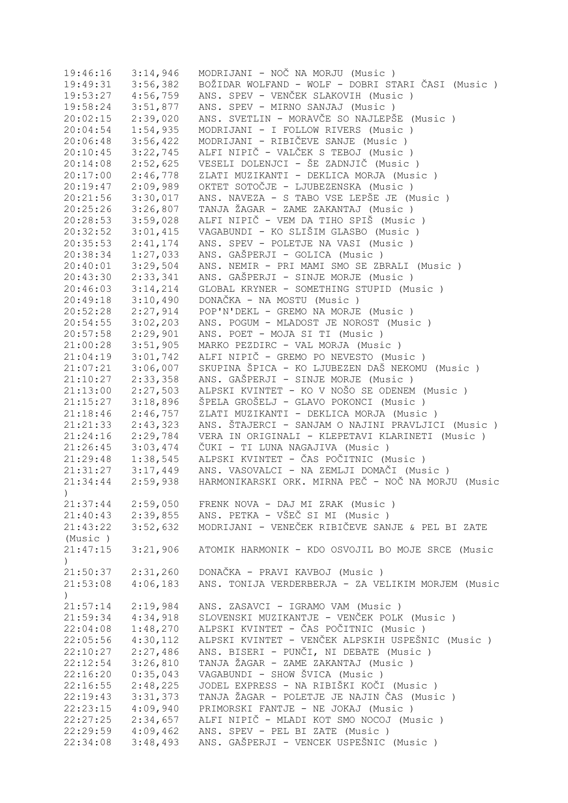| 19:46:16                     | 3:14,946              | MODRIJANI - NOČ NA MORJU (Music)                   |
|------------------------------|-----------------------|----------------------------------------------------|
| 19:49:31                     | 3:56,382              | BOŽIDAR WOLFAND - WOLF - DOBRI STARI ČASI (Music ) |
| 19:53:27                     | 4:56,759              | ANS. SPEV - VENČEK SLAKOVIH (Music)                |
| 19:58:24                     | 3:51,877              | ANS. SPEV - MIRNO SANJAJ (Music)                   |
| 20:02:15                     | 2:39,020              | ANS. SVETLIN - MORAVČE SO NAJLEPŠE (Music)         |
| 20:04:54                     | 1:54,935              | MODRIJANI - I FOLLOW RIVERS (Music )               |
| 20:06:48                     | 3:56,422              | MODRIJANI - RIBIČEVE SANJE (Music)                 |
| 20:10:45                     | 3:22,745              | ALFI NIPIČ - VALČEK S TEBOJ (Music )               |
| 20:14:08                     | 2:52,625              | VESELI DOLENJCI - ŠE ZADNJIČ (Music )              |
| 20:17:00                     | 2:46,778              | ZLATI MUZIKANTI - DEKLICA MORJA (Music)            |
| 20:19:47                     | 2:09,989              | OKTET SOTOČJE - LJUBEZENSKA (Music )               |
| 20:21:56                     | 3:30,017              | ANS. NAVEZA - S TABO VSE LEPŠE JE (Music)          |
| 20:25:26                     | 3:26,807              | TANJA ŽAGAR - ZAME ZAKANTAJ (Music )               |
| 20:28:53                     | 3:59,028              | ALFI NIPIČ - VEM DA TIHO SPIŠ (Music )             |
| 20:32:52                     | 3:01,415              | VAGABUNDI - KO SLIŠIM GLASBO (Music )              |
| 20:35:53                     | 2:41,174              | ANS. SPEV - POLETJE NA VASI (Music )               |
| 20:38:34                     | 1:27,033              | ANS. GAŠPERJI - GOLICA (Music)                     |
| 20:40:01                     | 3:29,504              | ANS. NEMIR - PRI MAMI SMO SE ZBRALI (Music)        |
|                              |                       |                                                    |
| 20:43:30                     | 2:33,341              | ANS. GAŠPERJI - SINJE MORJE (Music)                |
| 20:46:03                     | 3:14,214              | GLOBAL KRYNER - SOMETHING STUPID (Music)           |
| 20:49:18                     | 3:10,490              | DONAČKA - NA MOSTU (Music)                         |
| 20:52:28                     | 2:27,914              | POP'N'DEKL - GREMO NA MORJE (Music)                |
| 20:54:55                     | 3:02,203              | ANS. POGUM - MLADOST JE NOROST (Music)             |
| 20:57:58                     | 2:29,901              | ANS. POET - MOJA SI TI (Music)                     |
| 21:00:28                     | 3:51,905              | MARKO PEZDIRC - VAL MORJA (Music)                  |
| 21:04:19                     | 3:01,742              | ALFI NIPIČ - GREMO PO NEVESTO (Music)              |
| 21:07:21                     | 3:06,007              | SKUPINA ŠPICA - KO LJUBEZEN DAŠ NEKOMU (Music)     |
| 21:10:27                     | 2:33,358              | ANS. GAŠPERJI - SINJE MORJE (Music)                |
| 21:13:00                     | 2:27,503              | ALPSKI KVINTET - KO V NOŠO SE ODENEM (Music )      |
| 21:15:27                     | 3:18,896              | ŠPELA GROŠELJ - GLAVO POKONCI (Music )             |
| 21:18:46                     | 2:46,757              | ZLATI MUZIKANTI - DEKLICA MORJA (Music)            |
| 21:21:33                     | 2:43,323              | ANS. ŠTAJERCI - SANJAM O NAJINI PRAVLJICI (Music)  |
| 21:24:16                     | 2:29,784              | VERA IN ORIGINALI - KLEPETAVI KLARINETI (Music )   |
| 21:26:45                     | 3:03,474              | ČUKI - TI LUNA NAGAJIVA (Music)                    |
| 21:29:48                     | 1:38,545              | ALPSKI KVINTET - ČAS POČITNIC (Music )             |
|                              | $21:31:27$ $3:17,449$ | ANS. VASOVALCI - NA ZEMLJI DOMAČI (Music )         |
| 21:34:44                     | 2:59,938              | HARMONIKARSKI ORK. MIRNA PEČ - NOČ NA MORJU (Music |
| $\left( \frac{1}{2} \right)$ |                       |                                                    |
| 21:37:44                     | 2:59,050              | FRENK NOVA - DAJ MI ZRAK (Music)                   |
| 21:40:43                     | 2:39,855              | ANS. PETKA - VŠEČ SI MI (Music)                    |
| 21:43:22                     | 3:52,632              | MODRIJANI - VENEČEK RIBIČEVE SANJE & PEL BI ZATE   |
| (Music)                      |                       |                                                    |
| 21:47:15                     | 3:21,906              | ATOMIK HARMONIK - KDO OSVOJIL BO MOJE SRCE (Music  |
|                              |                       |                                                    |
| 21:50:37                     | 2:31,260              | DONAČKA - PRAVI KAVBOJ (Music)                     |
| 21:53:08                     | 4:06,183              | ANS. TONIJA VERDERBERJA - ZA VELIKIM MORJEM (Music |
| $\mathcal{E}$                |                       |                                                    |
| 21:57:14                     | 2:19,984              | ANS. ZASAVCI - IGRAMO VAM (Music)                  |
| 21:59:34                     | 4:34,918              | SLOVENSKI MUZIKANTJE - VENČEK POLK (Music)         |
| 22:04:08                     | 1:48,270              | ALPSKI KVINTET - ČAS POČITNIC (Music )             |
| 22:05:56                     | 4:30,112              | ALPSKI KVINTET - VENČEK ALPSKIH USPEŠNIC (Music)   |
| 22:10:27                     | 2:27,486              | ANS. BISERI - PUNČI, NI DEBATE (Music)             |
| 22:12:54                     | 3:26,810              | TANJA ŽAGAR - ZAME ZAKANTAJ (Music )               |
| 22:16:20                     | 0:35,043              | VAGABUNDI - SHOW ŠVICA (Music)                     |
| 22:16:55                     | 2:48,225              | JODEL EXPRESS - NA RIBIŠKI KOČI (Music )           |
| 22:19:43                     | 3:31,373              | TANJA ŽAGAR - POLETJE JE NAJIN ČAS (Music)         |
| 22:23:15                     | 4:09,940              | PRIMORSKI FANTJE - NE JOKAJ (Music)                |
| 22:27:25                     | 2:34,657              | ALFI NIPIČ - MLADI KOT SMO NOCOJ (Music)           |
| 22:29:59                     | 4:09,462              | ANS. SPEV - PEL BI ZATE (Music)                    |
| 22:34:08                     | 3:48,493              | ANS. GAŠPERJI - VENCEK USPEŠNIC (Music)            |
|                              |                       |                                                    |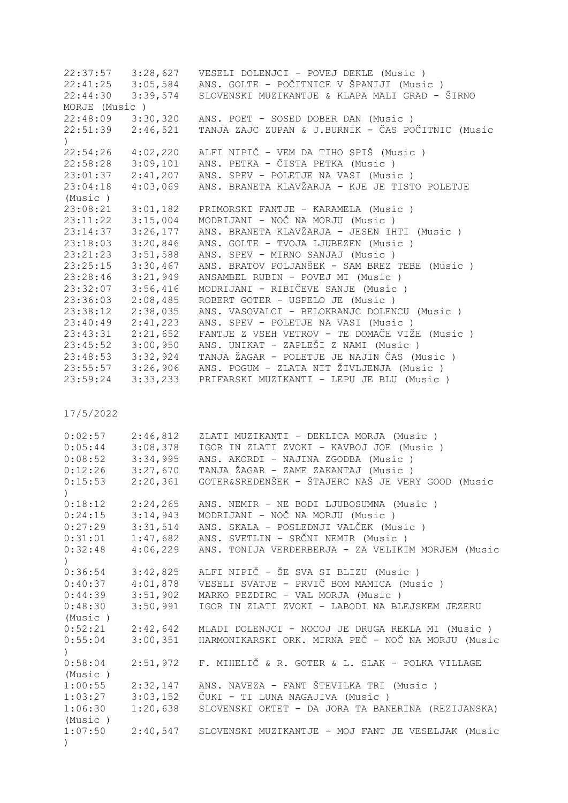| 22:37:57                                        | 3:28,627 | VESELI DOLENJCI - POVEJ DEKLE (Music)                       |
|-------------------------------------------------|----------|-------------------------------------------------------------|
| 22:41:25                                        | 3:05,584 | ANS. GOLTE - POČITNICE V ŠPANIJI (Music)                    |
| 22:44:30                                        | 3:39,574 | SLOVENSKI MUZIKANTJE & KLAPA MALI GRAD - ŠIRNO              |
| MORJE (Music)                                   |          |                                                             |
| 22:48:09                                        | 3:30,320 | ANS. POET - SOSED DOBER DAN (Music)                         |
| 22:51:39                                        | 2:46,521 | TANJA ZAJC ZUPAN & J.BURNIK - ČAS POČITNIC (Music           |
| $\mathcal{C}$                                   |          |                                                             |
| 22:54:26                                        | 4:02,220 | ALFI NIPIČ - VEM DA TIHO SPIŠ (Music )                      |
|                                                 | 3:09,101 | ANS. PETKA - ČISTA PETKA (Music)                            |
| 22:58:28                                        |          |                                                             |
| 23:01:37                                        | 2:41,207 | ANS. SPEV - POLETJE NA VASI (Music)                         |
| 23:04:18                                        | 4:03,069 | ANS. BRANETA KLAVŽARJA - KJE JE TISTO POLETJE               |
| (Music)                                         |          |                                                             |
| 23:08:21                                        | 3:01,182 | PRIMORSKI FANTJE - KARAMELA (Music)                         |
| 23:11:22                                        | 3:15,004 | MODRIJANI - NOČ NA MORJU (Music)                            |
| 23:14:37                                        | 3:26,177 | ANS. BRANETA KLAVŽARJA - JESEN IHTI (Music )                |
| 23:18:03                                        | 3:20,846 | ANS. GOLTE - TVOJA LJUBEZEN (Music)                         |
| 23:21:23                                        | 3:51,588 | ANS. SPEV - MIRNO SANJAJ (Music)                            |
| 23:25:15                                        | 3:30,467 | ANS. BRATOV POLJANŠEK - SAM BREZ TEBE (Music)               |
| 23:28:46                                        | 3:21,949 | ANSAMBEL RUBIN - POVEJ MI (Music)                           |
| 23:32:07                                        | 3:56,416 | MODRIJANI - RIBIČEVE SANJE (Music)                          |
| 23:36:03                                        | 2:08,485 | ROBERT GOTER - USPELO JE (Music)                            |
| 23:38:12                                        | 2:38,035 | ANS. VASOVALCI - BELOKRANJC DOLENCU (Music)                 |
| 23:40:49                                        | 2:41,223 | ANS. SPEV - POLETJE NA VASI (Music)                         |
| 23:43:31                                        | 2:21,652 | FANTJE Z VSEH VETROV - TE DOMAČE VIŽE (Music )              |
|                                                 |          | ANS. UNIKAT - ZAPLEŠI Z NAMI (Music)                        |
| 23:45:52                                        | 3:00,950 |                                                             |
| 23:48:53                                        | 3:32,924 | TANJA ŽAGAR - POLETJE JE NAJIN ČAS (Music)                  |
| 23:55:57                                        | 3:26,906 | ANS. POGUM - ZLATA NIT ŽIVLJENJA (Music )                   |
| 23:59:24                                        | 3:33,233 | PRIFARSKI MUZIKANTI - LEPU JE BLU (Music)                   |
|                                                 |          |                                                             |
| 17/5/2022                                       |          |                                                             |
| 0:02:57                                         | 2:46,812 | ZLATI MUZIKANTI - DEKLICA MORJA (Music)                     |
| 0:05:44                                         | 3:08,378 | IGOR IN ZLATI ZVOKI - KAVBOJ JOE (Music)                    |
| 0:08:52                                         | 3:34,995 | ANS. AKORDI - NAJINA ZGODBA (Music)                         |
| 0:12:26                                         | 3:27,670 | TANJA ŽAGAR - ZAME ZAKANTAJ (Music )                        |
| 0:15:53                                         |          | GOTER&SREDENŠEK - ŠTAJERC NAŠ JE VERY GOOD (Music           |
|                                                 | 2:20,361 |                                                             |
| $\left( \begin{array}{c} 1 \end{array} \right)$ |          |                                                             |
| 0:18:12                                         | 2:24,265 | ANS. NEMIR - NE BODI LJUBOSUMNA (Music)                     |
| $0:24:15$ $3:14,943$                            |          | MODRIJANI - NOČ NA MORJU (Music)                            |
| 0:27:29                                         | 3:31,514 | ANS. SKALA - POSLEDNJI VALČEK (Music)                       |
| 0:31:01                                         | 1:47,682 | ANS. SVETLIN - SRČNI NEMIR (Music )                         |
| 0:32:48                                         | 4:06,229 | ANS. TONIJA VERDERBERJA - ZA VELIKIM MORJEM (Music          |
| $\mathcal{C}$                                   |          |                                                             |
| 0:36:54                                         | 3:42,825 | ALFI NIPIČ - ŠE SVA SI BLIZU (Music )                       |
| 0:40:37                                         | 4:01,878 | VESELI SVATJE - PRVIČ BOM MAMICA (Music)                    |
| 0:44:39                                         | 3:51,902 | MARKO PEZDIRC - VAL MORJA (Music)                           |
| 0:48:30                                         | 3:50,991 | IGOR IN ZLATI ZVOKI - LABODI NA BLEJSKEM JEZERU             |
| (Music)                                         |          |                                                             |
| 0:52:21                                         | 2:42,642 | MLADI DOLENJCI - NOCOJ JE DRUGA REKLA MI (Music )           |
| 0:55:04                                         | 3:00,351 | HARMONIKARSKI ORK. MIRNA PEČ - NOČ NA MORJU (Music          |
| $\left( \right)$                                |          |                                                             |
| 0:58:04                                         |          | 2:51,972 F. MIHELIČ & R. GOTER & L. SLAK - POLKA VILLAGE    |
| (Music)                                         |          |                                                             |
| 1:00:55                                         |          | 2:32,147 ANS. NAVEZA - FANT ŠTEVILKA TRI (Music)            |
|                                                 |          |                                                             |
| 1:03:27                                         | 3:03,152 | ČUKI - TI LUNA NAGAJIVA (Music )                            |
| 1:06:30                                         | 1:20,638 | SLOVENSKI OKTET - DA JORA TA BANERINA (REZIJANSKA)          |
| (Music)                                         |          |                                                             |
| 1:07:50                                         |          | 2:40,547 SLOVENSKI MUZIKANTJE - MOJ FANT JE VESELJAK (Music |
| $\mathcal{C}$                                   |          |                                                             |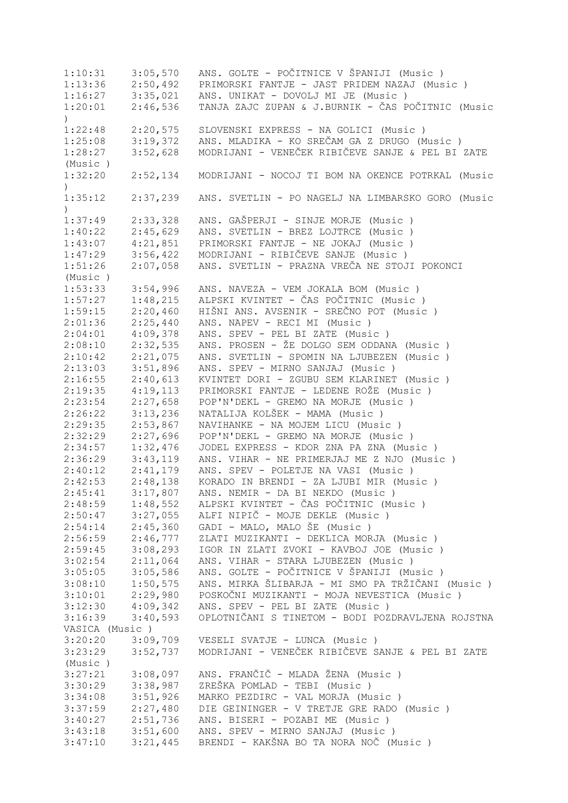1:10:31 3:05,570 ANS. GOLTE - POČITNICE V ŠPANIJI (Music ) 1:13:36 2:50,492 PRIMORSKI FANTJE - JAST PRIDEM NAZAJ (Music ) 1:16:27 3:35,021 ANS. UNIKAT - DOVOLJ MI JE (Music ) 1:20:01 2:46,536 TANJA ZAJC ZUPAN & J.BURNIK - ČAS POČITNIC (Music  $\lambda$ 1:22:48 2:20,575 SLOVENSKI EXPRESS - NA GOLICI (Music ) 1:25:08 3:19,372 ANS. MLADIKA - KO SREČAM GA Z DRUGO (Music ) 1:28:27 3:52,628 MODRIJANI - VENEČEK RIBIČEVE SANJE & PEL BI ZATE (Music ) 1:32:20 2:52,134 MODRIJANI - NOCOJ TI BOM NA OKENCE POTRKAL (Music  $\lambda$ 1:35:12 2:37,239 ANS. SVETLIN - PO NAGELJ NA LIMBARSKO GORO (Music  $\lambda$ 1:37:49 2:33,328 ANS. GAŠPERJI - SINJE MORJE (Music ) 1:40:22 2:45,629 ANS. SVETLIN - BREZ LOJTRCE (Music ) 1:43:07 4:21,851 PRIMORSKI FANTJE - NE JOKAJ (Music ) 1:47:29 3:56,422 MODRIJANI - RIBIČEVE SANJE (Music ) 1:51:26 2:07,058 ANS. SVETLIN - PRAZNA VREČA NE STOJI POKONCI (Music ) 1:53:33 3:54,996 ANS. NAVEZA - VEM JOKALA BOM (Music ) 1:57:27 1:48,215 ALPSKI KVINTET - ČAS POČITNIC (Music)<br>1:59:15 2:20,460 HIŠNI ANS. AVSENIK - SREČNO POT (Music 1:59:15 2:20,460 HIŠNI ANS. AVSENIK - SREČNO POT (Music)<br>2:01:36 2:25,440 ANS. NAPEV - RECI MI (Music) 2:01:36 2:25,440 ANS. NAPEV - RECI MI (Music ) 2:04:01 4:09,378 ANS. SPEV - PEL BI ZATE (Music ) 2:08:10 2:32,535 ANS. PROSEN - ŽE DOLGO SEM ODDANA (Music ) 2:21,075 ANS. SVETLIN - SPOMIN NA LJUBEZEN (Music ) 2:13:03 3:51,896 ANS. SPEV - MIRNO SANJAJ (Music ) 2:16:55 2:40,613 KVINTET DORI - ZGUBU SEM KLARINET (Music ) 2:19:35 4:19,113 PRIMORSKI FANTJE - LEDENE ROŽE (Music ) 2:23:54 2:27,658 POP'N'DEKL - GREMO NA MORJE (Music ) 2:26:22 3:13,236 NATALIJA KOLŠEK - MAMA (Music)<br>2:29:35 2:53,867 NAVIHANKE - NA MOJEM LICU (Musi 2:29:35 2:53,867 NAVIHANKE - NA MOJEM LICU (Music ) 2:32:29 2:27,696 POP'N'DEKL - GREMO NA MORJE (Music ) 2:34:57 1:32,476 JODEL EXPRESS - KDOR ZNA PA ZNA (Music ) 2:36:29 3:43,119 ANS. VIHAR - NE PRIMERJAJ ME Z NJO (Music ) 2:40:12 2:41,179 ANS. SPEV - POLETJE NA VASI (Music ) 2:42:53 2:48,138 KORADO IN BRENDI - ZA LJUBI MIR (Music)<br>2:45:41 3:17,807 ANS. NEMIR - DA BI NEKDO (Music) 2:45:41 3:17,807 ANS. NEMIR - DA BI NEKDO (Music ) 2:48:59 1:48,552 ALPSKI KVINTET - ČAS POČITNIC (Music)<br>2:50:47 3:27,055 ALFI NIPIČ - MOJE DEKLE (Music) 2:50:47 3:27,055 ALFI NIPIČ - MOJE DEKLE (Music)<br>2:54:14 2:45,360 GADI - MALO, MALO ŠE (Music) 2:54:14 2:45,360 GADI - MALO, MALO ŠE (Music ) 2:46,777 ZLATI MUZIKANTI - DEKLICA MORJA (Music ) 2:59:45 3:08,293 IGOR IN ZLATI ZVOKI - KAVBOJ JOE (Music ) 3:02:54 2:11,064 ANS. VIHAR - STARA LJUBEZEN (Music ) 3:05:05 3:05,586 ANS. GOLTE - POČITNICE V ŠPANIJI (Music ) 3:08:10 1:50,575 ANS. MIRKA ŠLIBARJA - MI SMO PA TRŽIČANI (Music)<br>3:10:01 2:29,980 POSKOČNI MUZIKANTI - MOJA NEVESTICA (Music) 3:10:01 2:29,980 POSKOČNI MUZIKANTI - MOJA NEVESTICA (Music)<br>3:12:30 4:09,342 ANS. SPEV - PEL BI ZATE (Music) 3:12:30 4:09,342 ANS. SPEV - PEL BI ZATE (Music ) 3:16:39 3:40,593 OPLOTNIČANI S TINETOM - BODI POZDRAVLJENA ROJSTNA VASICA (Music ) 3:20:20 3:09,709 VESELI SVATJE - LUNCA (Music ) 3:23:29 3:52,737 MODRIJANI - VENEČEK RIBIČEVE SANJE & PEL BI ZATE (Music ) 3:27:21 3:08,097 ANS. FRANČIČ - MLADA ŽENA (Music ) 3:30:29 3:38,987 ZREŠKA POMLAD - TEBI (Music ) 3:34:08 3:51,926 MARKO PEZDIRC - VAL MORJA (Music ) 3:37:59 2:27,480 DIE GEININGER - V TRETJE GRE RADO (Music ) 3:40:27 2:51,736 ANS. BISERI - POZABI ME (Music ) 3:43:18 3:51,600 ANS. SPEV - MIRNO SANJAJ (Music ) 3:47:10 3:21,445 BRENDI - KAKŠNA BO TA NORA NOČ (Music )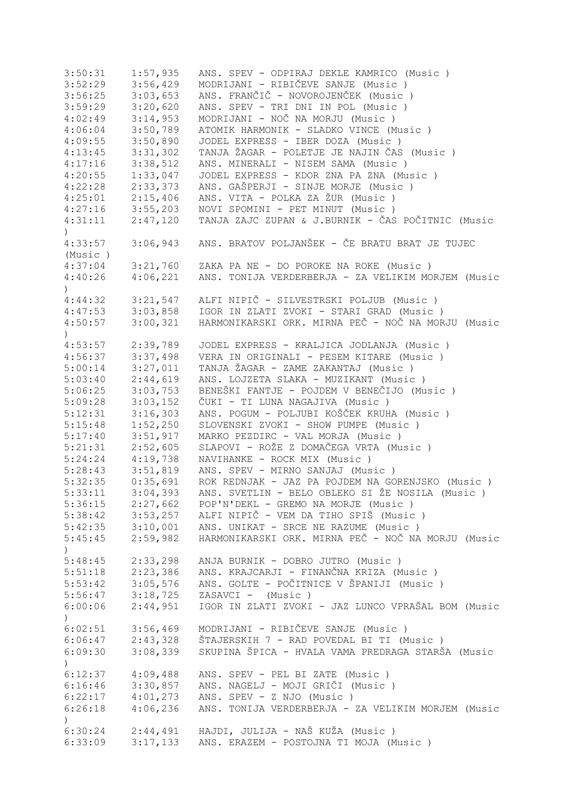| 3:50:31                     | 1:57,935             | ANS. SPEV - ODPIRAJ DEKLE KAMRICO (Music )                                                   |
|-----------------------------|----------------------|----------------------------------------------------------------------------------------------|
| 3:52:29                     | 3:56,429             | MODRIJANI - RIBIČEVE SANJE (Music)                                                           |
| 3:56:25                     | 3:03,653             | ANS. FRANČIČ - NOVOROJENČEK (Music)                                                          |
| 3:59:29                     | 3:20,620             | ANS. SPEV - TRI DNI IN POL (Music)                                                           |
| 4:02:49                     | 3:14,953             | MODRIJANI - NOČ NA MORJU (Music)                                                             |
| 4:06:04                     | 3:50,789             | ATOMIK HARMONIK - SLADKO VINCE (Music)                                                       |
| 4:09:55                     | 3:50,890             | JODEL EXPRESS - IBER DOZA (Music)                                                            |
| 4:13:45                     | 3:31,302             | TANJA ŽAGAR - POLETJE JE NAJIN ČAS (Music)                                                   |
| 4:17:16                     | 3:38,512             | ANS. MINERALI - NISEM SAMA (Music)                                                           |
| 4:20:55                     | 1:33,047             | JODEL EXPRESS - KDOR ZNA PA ZNA (Music)                                                      |
| 4:22:28                     | 2:33,373             | ANS. GAŠPERJI - SINJE MORJE (Music)                                                          |
| 4:25:01                     | 2:15,406             | ANS. VITA - POLKA ZA ŽUR (Music)                                                             |
| 4:27:16                     | 3:55,203             | NOVI SPOMINI - PET MINUT (Music)                                                             |
| 4:31:11                     |                      | TANJA ZAJC ZUPAN & J.BURNIK - ČAS POČITNIC (Music                                            |
| $\left( \right)$            | 2:47,120             |                                                                                              |
| 4:33:57                     | 3:06,943             | ANS. BRATOV POLJANŠEK - ČE BRATU BRAT JE TUJEC                                               |
| (Music)                     |                      |                                                                                              |
| 4:37:04                     | 3:21,760             | ZAKA PA NE - DO POROKE NA ROKE (Music)                                                       |
| 4:40:26<br>$\mathcal{L}$    | 4:06,221             | ANS. TONIJA VERDERBERJA - ZA VELIKIM MORJEM (Music                                           |
| 4:44:32                     | 3:21,547             | ALFI NIPIČ - SILVESTRSKI POLJUB (Music)                                                      |
| 4:47:53                     | 3:03,858             | IGOR IN ZLATI ZVOKI - STARI GRAD (Music )                                                    |
| 4:50:57                     | 3:00,321             | HARMONIKARSKI ORK. MIRNA PEČ - NOČ NA MORJU (Music                                           |
| $\mathcal{L}$               |                      |                                                                                              |
| 4:53:57                     | 2:39,789             | JODEL EXPRESS - KRALJICA JODLANJA (Music)                                                    |
| 4:56:37                     | 3:37,498             | VERA IN ORIGINALI - PESEM KITARE (Music)                                                     |
| 5:00:14                     | 3:27,011             | TANJA ŽAGAR - ZAME ZAKANTAJ (Music )                                                         |
| 5:03:40                     | 2:44,619             | ANS. LOJZETA SLAKA - MUZIKANT (Music )                                                       |
| 5:06:25                     | 3:03,753             | BENEŠKI FANTJE - POJDEM V BENEČIJO (Music)                                                   |
| 5:09:28                     | 3:03,152             | ČUKI - TI LUNA NAGAJIVA (Music )                                                             |
| 5:12:31                     | 3:16,303             | ANS. POGUM - POLJUBI KOŠČEK KRUHA (Music )                                                   |
|                             |                      | SLOVENSKI ZVOKI - SHOW PUMPE (Music )                                                        |
| 5:15:48                     | 1:52,250             |                                                                                              |
| 5:17:40                     | 3:51,917             | MARKO PEZDIRC - VAL MORJA (Music)                                                            |
| 5:21:31                     | 2:52,605             | SLAPOVI - ROŽE Z DOMAČEGA VRTA (Music )                                                      |
| 5:24:24                     | 4:19,738             | NAVIHANKE - ROCK MIX (Music)                                                                 |
| 5:28:43                     | 3:51,819             | ANS. SPEV - MIRNO SANJAJ (Music)                                                             |
| 5:32:35                     | 0:35,691             | ROK REDNJAK - JAZ PA POJDEM NA GORENJSKO (Music)                                             |
| 5:33:11                     | 3:04,393             | ANS. SVETLIN - BELO OBLEKO SI ŽE NOSILA (Music )                                             |
| 5:36:15                     | 2:27,662             | POP'N'DEKL - GREMO NA MORJE (Music)                                                          |
|                             | $5:38:42$ $3:53,257$ | ALFI NIPIČ - VEM DA TIHO SPIŠ (Music )                                                       |
|                             | $5:42:35$ $3:10,001$ | ANS. UNIKAT - SRCE NE RAZUME (Music )                                                        |
| 5:45:45<br>$\left( \right)$ | 2:59,982             | HARMONIKARSKI ORK. MIRNA PEČ - NOČ NA MORJU (Music                                           |
| 5:48:45                     | 2:33,298             | ANJA BURNIK - DOBRO JUTRO (Music)                                                            |
| 5:51:18                     | 2:23,386             | ANS. KRAJCARJI - FINANČNA KRIZA (Music )                                                     |
| 5:53:42                     | 3:05,576             | ANS. GOLTE - POČITNICE V ŠPANIJI (Music )                                                    |
| 5:56:47                     | 3:18,725             | ZASAVCI - (Music)                                                                            |
| 6:00:06                     | 2:44,951             | IGOR IN ZLATI ZVOKI - JAZ LUNCO VPRAŠAL BOM (Music                                           |
| )                           |                      |                                                                                              |
| 6:02:51                     | 3:56,469             | MODRIJANI - RIBIČEVE SANJE (Music )                                                          |
| 6:06:47                     | 2:43,328             | ŠTAJERSKIH 7 - RAD POVEDAL BI TI (Music)                                                     |
| 6:09:30<br>$\left( \right)$ | 3:08,339             | SKUPINA ŠPICA - HVALA VAMA PREDRAGA STARŠA (Music                                            |
| 6:12:37                     | 4:09,488             | ANS. SPEV - PEL BI ZATE (Music)                                                              |
| 6:16:46                     | 3:30,857             | ANS. NAGELJ - MOJI GRIČI (Music)                                                             |
| 6:22:17                     | 4:01,273             | ANS. SPEV - Z NJO (Music)                                                                    |
| 6:26:18<br>$\left( \right)$ | 4:06,236             | ANS. TONIJA VERDERBERJA - ZA VELIKIM MORJEM (Music                                           |
| 6:30:24<br>6:33:09          |                      | 2:44,491 HAJDI, JULIJA - NAŠ KUŽA (Music)<br>3:17,133 ANS. ERAZEM - POSTOJNA TI MOJA (Music) |
|                             |                      |                                                                                              |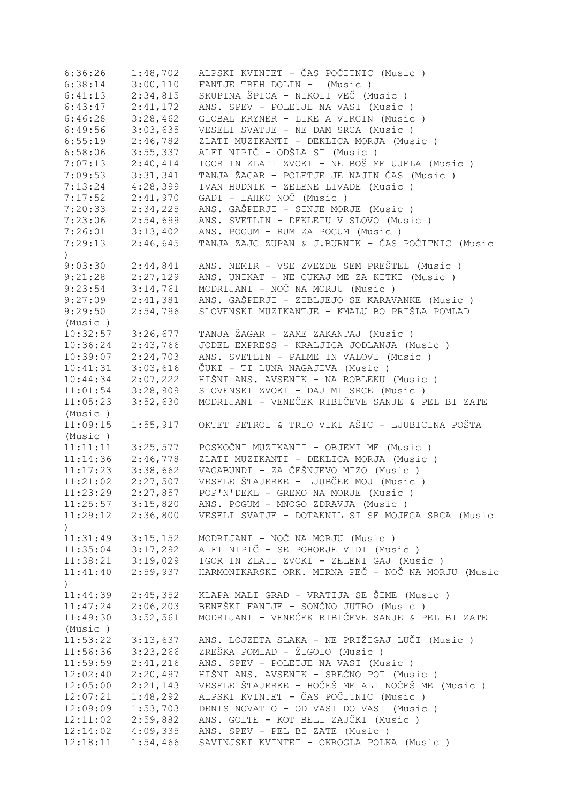| 6:36:26             | 1:48,702 | ALPSKI KVINTET - ČAS POČITNIC (Music )             |
|---------------------|----------|----------------------------------------------------|
| 6:38:14             | 3:00,110 | FANTJE TREH DOLIN - (Music)                        |
| 6:41:13             | 2:34,815 | SKUPINA ŠPICA - NIKOLI VEČ (Music )                |
| 6:43:47             | 2:41,172 | ANS. SPEV - POLETJE NA VASI (Music )               |
| 6:46:28             | 3:28,462 | GLOBAL KRYNER - LIKE A VIRGIN (Music )             |
| 6:49:56             | 3:03,635 | VESELI SVATJE - NE DAM SRCA (Music)                |
| 6:55:19             | 2:46,782 | ZLATI MUZIKANTI - DEKLICA MORJA (Music)            |
| 6:58:06             | 3:55,337 | ALFI NIPIČ - ODŠLA SI (Music)                      |
| 7:07:13             | 2:40,414 | IGOR IN ZLATI ZVOKI - NE BOŠ ME UJELA (Music)      |
| 7:09:53             | 3:31,341 | TANJA ŽAGAR - POLETJE JE NAJIN ČAS (Music)         |
| 7:13:24             | 4:28,399 | IVAN HUDNIK - ZELENE LIVADE (Music)                |
|                     |          | GADI - LAHKO NOČ (Music)                           |
| 7:17:52             | 2:41,970 |                                                    |
| 7:20:33             | 2:34,225 | ANS. GAŠPERJI - SINJE MORJE (Music)                |
| 7:23:06             | 2:54,699 | ANS. SVETLIN - DEKLETU V SLOVO (Music)             |
| 7:26:01             | 3:13,402 | ANS. POGUM - RUM ZA POGUM (Music)                  |
| 7:29:13             | 2:46,645 | TANJA ZAJC ZUPAN & J.BURNIK - ČAS POČITNIC (Music  |
| $\left( \right)$    |          |                                                    |
| 9:03:30             | 2:44,841 | ANS. NEMIR - VSE ZVEZDE SEM PREŠTEL (Music)        |
| 9:21:28             | 2:27,129 | ANS. UNIKAT - NE CUKAJ ME ZA KITKI (Music )        |
| 9:23:54             | 3:14,761 | MODRIJANI - NOČ NA MORJU (Music)                   |
| 9:27:09             | 2:41,381 | ANS. GAŠPERJI - ZIBLJEJO SE KARAVANKE (Music)      |
| 9:29:50             | 2:54,796 | SLOVENSKI MUZIKANTJE - KMALU BO PRIŠLA POMLAD      |
| (Music)             |          |                                                    |
| 10:32:57            | 3:26,677 | TANJA ŽAGAR - ZAME ZAKANTAJ (Music)                |
| 10:36:24            | 2:43,766 | JODEL EXPRESS - KRALJICA JODLANJA (Music)          |
| 10:39:07            | 2:24,703 | ANS. SVETLIN - PALME IN VALOVI (Music)             |
| 10:41:31            | 3:03,616 | ČUKI - TI LUNA NAGAJIVA (Music )                   |
| 10:44:34            | 2:07,222 | HIŠNI ANS. AVSENIK - NA ROBLEKU (Music )           |
| 11:01:54            | 3:28,909 | SLOVENSKI ZVOKI - DAJ MI SRCE (Music)              |
| 11:05:23            | 3:52,630 | MODRIJANI - VENEČEK RIBIČEVE SANJE & PEL BI ZATE   |
| (Music)             |          |                                                    |
| 11:09:15            | 1:55,917 | OKTET PETROL & TRIO VIKI AŠIC - LJUBICINA POŠTA    |
| (Music)             |          |                                                    |
| 11:11:11            | 3:25,577 | POSKOČNI MUZIKANTI - OBJEMI ME (Music)             |
|                     | 2:46,778 | ZLATI MUZIKANTI - DEKLICA MORJA (Music)            |
| 11:14:36            |          |                                                    |
| 11:17:23            | 3:38,662 | VAGABUNDI - ZA ČEŠNJEVO MIZO (Music)               |
| 11:21:02            | 2:27,507 | VESELE ŠTAJERKE - LJUBČEK MOJ (Music)              |
| 11:23:29            | 2:27,857 | POP'N'DEKL - GREMO NA MORJE (Music)                |
| 11:25:57            | 3:15,820 | ANS. POGUM - MNOGO ZDRAVJA (Music)                 |
| 11:29:12<br>$\big)$ | 2:36,800 | VESELI SVATJE - DOTAKNIL SI SE MOJEGA SRCA (Music  |
| 11:31:49            | 3:15,152 | MODRIJANI - NOČ NA MORJU (Music)                   |
| 11:35:04            | 3:17,292 | ALFI NIPIČ - SE POHORJE VIDI (Music)               |
| 11:38:21            | 3:19,029 | IGOR IN ZLATI ZVOKI - ZELENI GAJ (Music)           |
| 11:41:40            | 2:59,937 | HARMONIKARSKI ORK. MIRNA PEČ - NOČ NA MORJU (Music |
| $\big)$             |          |                                                    |
| 11:44:39            | 2:45,352 | KLAPA MALI GRAD - VRATIJA SE ŠIME (Music)          |
| 11:47:24            | 2:06,203 | BENEŠKI FANTJE - SONČNO JUTRO (Music )             |
| 11:49:30            | 3:52,561 | MODRIJANI - VENEČEK RIBIČEVE SANJE & PEL BI ZATE   |
| (Music)             |          |                                                    |
| 11:53:22            | 3:13,637 | ANS. LOJZETA SLAKA - NE PRIŽIGAJ LUČI (Music )     |
| 11:56:36            | 3:23,266 | ZREŠKA POMLAD - ŽIGOLO (Music)                     |
| 11:59:59            | 2:41,216 | ANS. SPEV - POLETJE NA VASI (Music)                |
| 12:02:40            | 2:20,497 | HIŠNI ANS. AVSENIK - SREČNO POT (Music )           |
|                     | 2:21,143 | VESELE ŠTAJERKE - HOČEŠ ME ALI NOČEŠ ME (Music)    |
| 12:05:00            |          |                                                    |
| 12:07:21            | 1:48,292 | ALPSKI KVINTET - ČAS POČITNIC (Music )             |
| 12:09:09            | 1:53,703 | DENIS NOVATTO - OD VASI DO VASI (Music)            |
| 12:11:02            | 2:59,882 | ANS. GOLTE - KOT BELI ZAJČKI (Music )              |
| 12:14:02            | 4:09,335 | ANS. SPEV - PEL BI ZATE (Music)                    |
| 12:18:11            | 1:54,466 | SAVINJSKI KVINTET - OKROGLA POLKA (Music )         |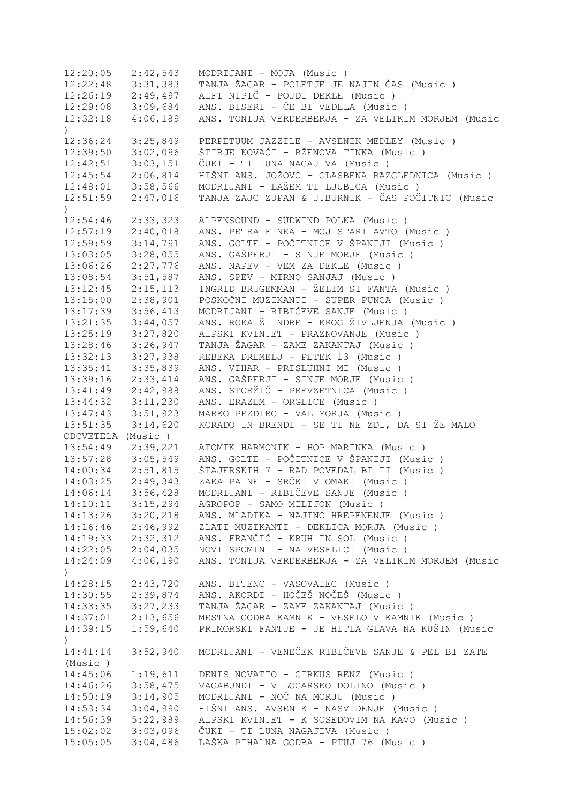12:20:05 2:42,543 MODRIJANI - MOJA (Music ) 12:22:48 3:31,383 TANJA ŽAGAR - POLETJE JE NAJIN ČAS (Music ) 12:26:19 2:49,497 ALFI NIPIČ - POJDI DEKLE (Music ) 12:29:08 3:09,684 ANS. BISERI - ČE BI VEDELA (Music ) 12:32:18 4:06,189 ANS. TONIJA VERDERBERJA - ZA VELIKIM MORJEM (Music  $\lambda$ 12:36:24 3:25,849 PERPETUUM JAZZILE - AVSENIK MEDLEY (Music ) 12:39:50 3:02,096 ŠTIRJE KOVAČI - RŽENOVA TINKA (Music ) 12:42:51 3:03,151 ČUKI - TI LUNA NAGAJIVA (Music ) 12:45:54 2:06,814 HIŠNI ANS. JOŽOVC - GLASBENA RAZGLEDNICA (Music ) 12:48:01 3:58,566 MODRIJANI - LAŽEM TI LJUBICA (Music ) 12:51:59 2:47,016 TANJA ZAJC ZUPAN & J.BURNIK - ČAS POČITNIC (Music  $\lambda$ 12:54:46 2:33,323 ALPENSOUND - SÜDWIND POLKA (Music ) 12:57:19 2:40,018 ANS. PETRA FINKA - MOJ STARI AVTO (Music ) 12:59:59 3:14,791 ANS. GOLTE - POČITNICE V ŠPANIJI (Music ) 13:03:05 3:28,055 ANS. GAŠPERJI - SINJE MORJE (Music ) 13:06:26 2:27,776 ANS. NAPEV - VEM ZA DEKLE (Music ) 13:08:54 3:51,587 ANS. SPEV - MIRNO SANJAJ (Music ) 13:12:45 2:15,113 INGRID BRUGEMMAN - ŽELIM SI FANTA (Music ) 13:15:00 2:38,901 POSKOČNI MUZIKANTI - SUPER PUNCA (Music ) 13:17:39 3:56,413 MODRIJANI - RIBIČEVE SANJE (Music ) 13:21:35 3:44,057 ANS. ROKA ŽLINDRE - KROG ŽIVLJENJA (Music ) 13:25:19 3:27,820 ALPSKI KVINTET - PRAZNOVANJE (Music ) 13:28:46 3:26,947 TANJA ŽAGAR - ZAME ZAKANTAJ (Music ) 13:32:13 3:27,938 REBEKA DREMELJ - PETEK 13 (Music ) 13:35:41 3:35,839 ANS. VIHAR - PRISLUHNI MI (Music ) 13:39:16 2:33,414 ANS. GAŠPERJI - SINJE MORJE (Music ) 13:41:49 2:42,988 ANS. STORŽIČ - PREVZETNICA (Music ) 13:44:32 3:11,230 ANS. ERAZEM - ORGLICE (Music ) 13:47:43 3:51,923 MARKO PEZDIRC - VAL MORJA (Music ) 13:51:35 3:14,620 KORADO IN BRENDI - SE TI NE ZDI, DA SI ŽE MALO ODCVETELA (Music ) 13:54:49 2:39,221 ATOMIK HARMONIK - HOP MARINKA (Music ) 13:57:28 3:05,549 ANS. GOLTE - POČITNICE V ŠPANIJI (Music ) 14:00:34 2:51,815 ŠTAJERSKIH 7 - RAD POVEDAL BI TI (Music ) 14:03:25 2:49,343 ZAKA PA NE - SRČKI V OMAKI (Music ) 14:06:14 3:56,428 MODRIJANI - RIBIČEVE SANJE (Music ) 14:10:11 3:15,294 AGROPOP - SAMO MILIJON (Music ) 14:13:26 3:20,218 ANS. MLADIKA - NAJINO HREPENENJE (Music ) 14:16:46 2:46,992 ZLATI MUZIKANTI - DEKLICA MORJA (Music ) 14:19:33 2:32,312 ANS. FRANČIČ - KRUH IN SOL (Music ) 14:22:05 2:04,035 NOVI SPOMINI - NA VESELICI (Music ) 14:24:09 4:06,190 ANS. TONIJA VERDERBERJA - ZA VELIKIM MORJEM (Music ) 14:28:15 2:43,720 ANS. BITENC - VASOVALEC (Music ) 14:30:55 2:39,874 ANS. AKORDI - HOČEŠ NOČEŠ (Music ) 14:33:35 3:27,233 TANJA ŽAGAR - ZAME ZAKANTAJ (Music ) 14:37:01 2:13,656 MESTNA GODBA KAMNIK - VESELO V KAMNIK (Music ) 14:39:15 1:59,640 PRIMORSKI FANTJE - JE HITLA GLAVA NA KUŠIN (Music  $\lambda$ 14:41:14 3:52,940 MODRIJANI - VENEČEK RIBIČEVE SANJE & PEL BI ZATE (Music ) 14:45:06 1:19,611 DENIS NOVATTO - CIRKUS RENZ (Music ) 14:46:26 3:58,475 VAGABUNDI - V LOGARSKO DOLINO (Music ) 14:50:19 3:14,905 MODRIJANI - NOČ NA MORJU (Music ) 14:53:34 3:04,990 HIŠNI ANS. AVSENIK - NASVIDENJE (Music ) 14:56:39 5:22,989 ALPSKI KVINTET - K SOSEDOVIM NA KAVO (Music ) 15:02:02 3:03,096 ČUKI - TI LUNA NAGAJIVA (Music ) 15:05:05 3:04,486 LAŠKA PIHALNA GODBA - PTUJ 76 (Music )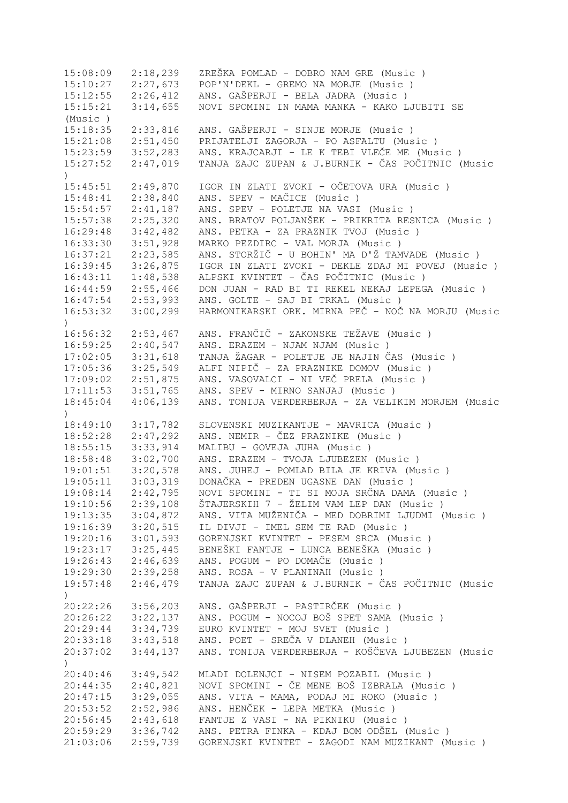15:08:09 2:18,239 ZREŠKA POMLAD - DOBRO NAM GRE (Music ) 15:10:27 2:27,673 POP'N'DEKL - GREMO NA MORJE (Music ) 15:12:55 2:26,412 ANS. GAŠPERJI - BELA JADRA (Music ) 15:15:21 3:14,655 NOVI SPOMINI IN MAMA MANKA - KAKO LJUBITI SE (Music ) 15:18:35 2:33,816 ANS. GAŠPERJI - SINJE MORJE (Music ) 15:21:08 2:51,450 PRIJATELJI ZAGORJA - PO ASFALTU (Music ) 15:23:59 3:52,283 ANS. KRAJCARJI - LE K TEBI VLEČE ME (Music ) 15:27:52 2:47,019 TANJA ZAJC ZUPAN & J.BURNIK - ČAS POČITNIC (Music  $\lambda$ 15:45:51 2:49,870 IGOR IN ZLATI ZVOKI - OČETOVA URA (Music ) 15:48:41 2:38,840 ANS. SPEV - MAČICE (Music ) 15:54:57 2:41,187 ANS. SPEV - POLETJE NA VASI (Music ) 15:57:38 2:25,320 ANS. BRATOV POLJANŠEK - PRIKRITA RESNICA (Music ) 16:29:48 3:42,482 ANS. PETKA - ZA PRAZNIK TVOJ (Music ) 16:33:30 3:51,928 MARKO PEZDIRC - VAL MORJA (Music ) 16:37:21 2:23,585 ANS. STORŽIČ - U BOHIN' MA D'Ž TAMVADE (Music ) 16:39:45 3:26,875 IGOR IN ZLATI ZVOKI - DEKLE ZDAJ MI POVEJ (Music)<br>16:43:11 1:48,538 ALPSKI KVINTET - ČAS POČITNIC (Music) 16:43:11 1:48,538 ALPSKI KVINTET - ČAS POČITNIC (Music ) 16:44:59 2:55,466 DON JUAN - RAD BI TI REKEL NEKAJ LEPEGA (Music ) 16:47:54 2:53,993 ANS. GOLTE - SAJ BI TRKAL (Music ) 16:53:32 3:00,299 HARMONIKARSKI ORK. MIRNA PEČ - NOČ NA MORJU (Music  $\lambda$ 16:56:32 2:53,467 ANS. FRANČIČ - ZAKONSKE TEŽAVE (Music ) 16:59:25 2:40,547 ANS. ERAZEM - NJAM NJAM (Music ) 17:02:05 3:31,618 TANJA ŽAGAR - POLETJE JE NAJIN ČAS (Music ) 17:05:36 3:25,549 ALFI NIPIČ - ZA PRAZNIKE DOMOV (Music ) 17:09:02 2:51,875 ANS. VASOVALCI - NI VEČ PRELA (Music ) 17:11:53 3:51,765 ANS. SPEV - MIRNO SANJAJ (Music ) 18:45:04 4:06,139 ANS. TONIJA VERDERBERJA - ZA VELIKIM MORJEM (Music  $)$ 18:49:10 3:17,782 SLOVENSKI MUZIKANTJE - MAVRICA (Music ) 18:52:28 2:47,292 ANS. NEMIR - ČEZ PRAZNIKE (Music ) 18:55:15 3:33,914 MALIBU - GOVEJA JUHA (Music ) 18:58:48 3:02,700 ANS. ERAZEM - TVOJA LJUBEZEN (Music ) 19:01:51 3:20,578 ANS. JUHEJ - POMLAD BILA JE KRIVA (Music ) 19:05:11 3:03,319 DONAČKA - PREDEN UGASNE DAN (Music ) 19:08:14 2:42,795 NOVI SPOMINI - TI SI MOJA SRČNA DAMA (Music ) 19:10:56 2:39,108 ŠTAJERSKIH 7 - ŽELIM VAM LEP DAN (Music ) 19:13:35 3:04,872 ANS. VITA MUŽENIČA - MED DOBRIMI LJUDMI (Music ) 19:16:39 3:20,515 IL DIVJI - IMEL SEM TE RAD (Music ) 19:20:16 3:01,593 GORENJSKI KVINTET - PESEM SRCA (Music ) 19:23:17 3:25,445 BENEŠKI FANTJE - LUNCA BENEŠKA (Music ) 19:26:43 2:46,639 ANS. POGUM - PO DOMAČE (Music ) 19:29:30 2:39,258 ANS. ROSA - V PLANINAH (Music ) 19:57:48 2:46,479 TANJA ZAJC ZUPAN & J.BURNIK - ČAS POČITNIC (Music  $\rightarrow$ 20:22:26 3:56,203 ANS. GAŠPERJI - PASTIRČEK (Music ) 20:26:22 3:22,137 ANS. POGUM - NOCOJ BOŠ SPET SAMA (Music ) 20:29:44 3:34,739 EURO KVINTET - MOJ SVET (Music ) 20:33:18 3:43,518 ANS. POET - SREČA V DLANEH (Music ) 20:37:02 3:44,137 ANS. TONIJA VERDERBERJA - KOŠČEVA LJUBEZEN (Music ) 20:40:46 3:49,542 MLADI DOLENJCI - NISEM POZABIL (Music ) 20:44:35 2:40,821 NOVI SPOMINI - ČE MENE BOŠ IZBRALA (Music ) 20:47:15 3:29,055 ANS. VITA - MAMA, PODAJ MI ROKO (Music ) 20:53:52 2:52,986 ANS. HENČEK - LEPA METKA (Music ) 20:56:45 2:43,618 FANTJE Z VASI - NA PIKNIKU (Music ) 20:59:29 3:36,742 ANS. PETRA FINKA - KDAJ BOM ODŠEL (Music ) 21:03:06 2:59,739 GORENJSKI KVINTET - ZAGODI NAM MUZIKANT (Music )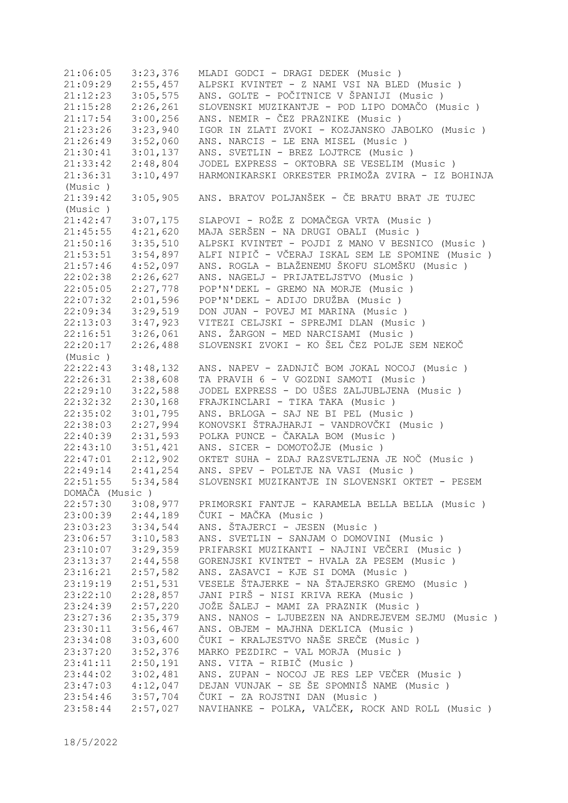21:06:05 3:23,376 MLADI GODCI - DRAGI DEDEK (Music ) 21:09:29 2:55,457 ALPSKI KVINTET - Z NAMI VSI NA BLED (Music ) 21:12:23 3:05,575 ANS. GOLTE - POČITNICE V ŠPANIJI (Music ) 21:15:28 2:26,261 SLOVENSKI MUZIKANTJE - POD LIPO DOMAČO (Music ) 21:17:54 3:00,256 ANS. NEMIR - ČEZ PRAZNIKE (Music ) 21:23:26 3:23,940 IGOR IN ZLATI ZVOKI - KOZJANSKO JABOLKO (Music ) 21:26:49 3:52,060 ANS. NARCIS - LE ENA MISEL (Music ) 21:30:41 3:01,137 ANS. SVETLIN - BREZ LOJTRCE (Music ) 21:33:42 2:48,804 JODEL EXPRESS - OKTOBRA SE VESELIM (Music ) 21:36:31 3:10,497 HARMONIKARSKI ORKESTER PRIMOŽA ZVIRA - IZ BOHINJA (Music ) 21:39:42 3:05,905 ANS. BRATOV POLJANŠEK - ČE BRATU BRAT JE TUJEC (Music ) 21:42:47 3:07,175 SLAPOVI - ROŽE Z DOMAČEGA VRTA (Music ) 21:45:55 4:21,620 MAJA SERŠEN - NA DRUGI OBALI (Music ) 21:50:16 3:35,510 ALPSKI KVINTET - POJDI Z MANO V BESNICO (Music ) 21:53:51 3:54,897 ALFI NIPIČ - VČERAJ ISKAL SEM LE SPOMINE (Music ) 21:57:46 4:52,097 ANS. ROGLA - BLAŽENEMU ŠKOFU SLOMŠKU (Music ) 22:02:38 2:26,627 ANS. NAGELJ - PRIJATELJSTVO (Music ) 22:05:05 2:27,778 POP'N'DEKL - GREMO NA MORJE (Music ) 22:07:32 2:01,596 POP'N'DEKL - ADIJO DRUŽBA (Music ) 22:09:34 3:29,519 DON JUAN - POVEJ MI MARINA (Music ) 22:13:03 3:47,923 VITEZI CELJSKI - SPREJMI DLAN (Music ) 22:16:51 3:26,061 ANS. ŽARGON - MED NARCISAMI (Music ) 22:20:17 2:26,488 SLOVENSKI ZVOKI - KO ŠEL ČEZ POLJE SEM NEKOČ (Music ) 22:22:43 3:48,132 ANS. NAPEV - ZADNJIČ BOM JOKAL NOCOJ (Music ) 22:26:31 2:38,608 TA PRAVIH 6 - V GOZDNI SAMOTI (Music ) 22:29:10 3:22,588 JODEL EXPRESS - DO UŠES ZALJUBLJENA (Music ) 22:32:32 2:30,168 FRAJKINCLARI - TIKA TAKA (Music ) 22:35:02 3:01,795 ANS. BRLOGA - SAJ NE BI PEL (Music ) 22:38:03 2:27,994 KONOVSKI ŠTRAJHARJI - VANDROVČKI (Music ) 22:40:39 2:31,593 POLKA PUNCE - ČAKALA BOM (Music ) 22:43:10 3:51,421 ANS. SICER - DOMOTOŽJE (Music ) 22:47:01 2:12,902 OKTET SUHA - ZDAJ RAZSVETLJENA JE NOČ (Music ) 22:49:14 2:41,254 ANS. SPEV - POLETJE NA VASI (Music ) 22:51:55 5:34,584 SLOVENSKI MUZIKANTJE IN SLOVENSKI OKTET - PESEM DOMAČA (Music )<br>22:57:30 3:08,977 22:57:30 3:08,977 PRIMORSKI FANTJE - KARAMELA BELLA BELLA (Music ) 23:00:39 2:44,189 ČUKI - MAČKA (Music ) 23:03:23 3:34,544 ANS. ŠTAJERCI - JESEN (Music ) 23:06:57 3:10,583 ANS. SVETLIN - SANJAM O DOMOVINI (Music ) 23:10:07 3:29,359 PRIFARSKI MUZIKANTI - NAJINI VEČERI (Music ) 23:13:37 2:44,558 GORENJSKI KVINTET - HVALA ZA PESEM (Music ) 23:16:21 2:57,582 ANS. ZASAVCI - KJE SI DOMA (Music ) 23:19:19 2:51,531 VESELE ŠTAJERKE - NA ŠTAJERSKO GREMO (Music ) 23:22:10 2:28,857 JANI PIRŠ - NISI KRIVA REKA (Music ) 23:24:39 2:57,220 JOŽE ŠALEJ - MAMI ZA PRAZNIK (Music ) 23:27:36 2:35,379 ANS. NANOS - LJUBEZEN NA ANDREJEVEM SEJMU (Music ) 23:30:11 3:56,467 ANS. OBJEM - MAJHNA DEKLICA (Music ) 23:34:08 3:03,600 ČUKI - KRALJESTVO NAŠE SREČE (Music ) 23:37:20 3:52,376 MARKO PEZDIRC - VAL MORJA (Music ) 23:41:11 2:50,191 ANS. VITA - RIBIČ (Music ) 23:44:02 3:02,481 ANS. ZUPAN - NOCOJ JE RES LEP VEČER (Music ) 23:47:03 4:12,047 DEJAN VUNJAK - SE ŠE SPOMNIŠ NAME (Music ) 23:54:46 3:57,704 ČUKI - ZA ROJSTNI DAN (Music ) 23:58:44 2:57,027 NAVIHANKE - POLKA, VALČEK, ROCK AND ROLL (Music )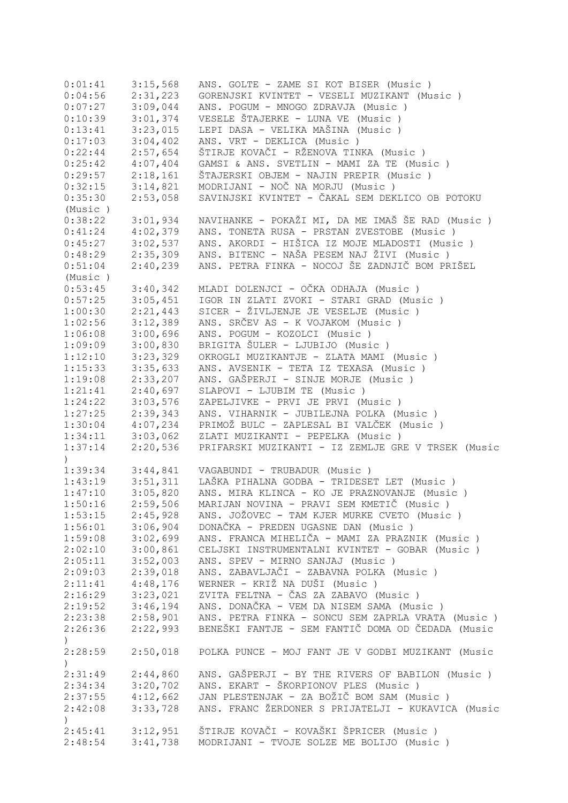| 0:01:41       | 3:15,568 | ANS. GOLTE - ZAME SI KOT BISER (Music)             |
|---------------|----------|----------------------------------------------------|
| 0:04:56       | 2:31,223 | GORENJSKI KVINTET - VESELI MUZIKANT (Music )       |
| 0:07:27       | 3:09,044 | ANS. POGUM - MNOGO ZDRAVJA (Music)                 |
| 0:10:39       | 3:01,374 | VESELE ŠTAJERKE - LUNA VE (Music)                  |
| 0:13:41       | 3:23,015 | LEPI DASA - VELIKA MAŠINA (Music)                  |
| 0:17:03       | 3:04,402 | ANS. VRT - DEKLICA (Music)                         |
| 0:22:44       | 2:57,654 | ŠTIRJE KOVAČI - RŽENOVA TINKA (Music )             |
| 0:25:42       | 4:07,404 | GAMSI & ANS. SVETLIN - MAMI ZA TE (Music)          |
|               |          |                                                    |
| 0:29:57       | 2:18,161 | ŠTAJERSKI OBJEM - NAJIN PREPIR (Music)             |
| 0:32:15       | 3:14,821 | MODRIJANI - NOČ NA MORJU (Music)                   |
| 0:35:30       | 2:53,058 | SAVINJSKI KVINTET - ČAKAL SEM DEKLICO OB POTOKU    |
| (Music)       |          |                                                    |
| 0:38:22       | 3:01,934 | NAVIHANKE - POKAŽI MI, DA ME IMAŠ ŠE RAD (Music )  |
| 0:41:24       | 4:02,379 | ANS. TONETA RUSA - PRSTAN ZVESTOBE (Music )        |
| 0:45:27       | 3:02,537 | ANS. AKORDI - HIŠICA IZ MOJE MLADOSTI (Music)      |
| 0:48:29       | 2:35,309 | ANS. BITENC - NAŠA PESEM NAJ ŽIVI (Music)          |
| 0:51:04       | 2:40,239 | ANS. PETRA FINKA - NOCOJ ŠE ZADNJIČ BOM PRIŠEL     |
| (Music)       |          |                                                    |
| 0:53:45       | 3:40,342 | MLADI DOLENJCI - OČKA ODHAJA (Music )              |
| 0:57:25       | 3:05,451 | IGOR IN ZLATI ZVOKI - STARI GRAD (Music)           |
| 1:00:30       | 2:21,443 | SICER - ŽIVLJENJE JE VESELJE (Music)               |
| 1:02:56       | 3:12,389 | ANS. SRČEV AS - K VOJAKOM (Music)                  |
| 1:06:08       | 3:00,696 | ANS. POGUM - KOZOLCI (Music)                       |
| 1:09:09       | 3:00,830 | BRIGITA ŠULER - LJUBIJO (Music)                    |
| 1:12:10       | 3:23,329 | OKROGLI MUZIKANTJE - ZLATA MAMI (Music)            |
| 1:15:33       | 3:35,633 | ANS. AVSENIK - TETA IZ TEXASA (Music)              |
|               |          |                                                    |
| 1:19:08       | 2:33,207 | ANS. GAŠPERJI - SINJE MORJE (Music )               |
| 1:21:41       | 2:40,697 | SLAPOVI - LJUBIM TE (Music)                        |
| 1:24:22       | 3:03,576 | ZAPELJIVKE - PRVI JE PRVI (Music)                  |
| 1:27:25       | 2:39,343 | ANS. VIHARNIK - JUBILEJNA POLKA (Music )           |
| 1:30:04       | 4:07,234 | PRIMOŽ BULC - ZAPLESAL BI VALČEK (Music)           |
| 1:34:11       | 3:03,062 | ZLATI MUZIKANTI - PEPELKA (Music)                  |
| 1:37:14       | 2:20,536 | PRIFARSKI MUZIKANTI - IZ ZEMLJE GRE V TRSEK (Music |
| $\mathcal{C}$ |          |                                                    |
| 1:39:34       | 3:44,841 | VAGABUNDI - TRUBADUR (Music)                       |
| 1:43:19       | 3:51,311 | LAŠKA PIHALNA GODBA - TRIDESET LET (Music)         |
| 1:47:10       | 3:05,820 | ANS. MIRA KLINCA - KO JE PRAZNOVANJE (Music)       |
| 1:50:16       | 2:59,506 | MARIJAN NOVINA - PRAVI SEM KMETIČ (Music )         |
| 1:53:15       | 2:45,928 | ANS. JOŽOVEC - TAM KJER MURKE CVETO (Music)        |
| 1:56:01       | 3:06,904 | DONAČKA - PREDEN UGASNE DAN (Music)                |
| 1:59:08       | 3:02,699 | ANS. FRANCA MIHELIČA - MAMI ZA PRAZNIK (Music)     |
| 2:02:10       | 3:00,861 | CELJSKI INSTRUMENTALNI KVINTET - GOBAR (Music )    |
| 2:05:11       | 3:52,003 | ANS. SPEV - MIRNO SANJAJ (Music)                   |
| 2:09:03       | 2:39,018 | ANS. ZABAVLJAČI - ZABAVNA POLKA (Music)            |
| 2:11:41       |          | WERNER - KRIŽ NA DUŠI (Music )                     |
|               | 4:48,176 |                                                    |
| 2:16:29       | 3:23,021 | ZVITA FELTNA - ČAS ZA ZABAVO (Music )              |
| 2:19:52       | 3:46,194 | ANS. DONAČKA - VEM DA NISEM SAMA (Music)           |
| 2:23:38       | 2:58,901 | ANS. PETRA FINKA - SONCU SEM ZAPRLA VRATA (Music)  |
| 2:26:36       | 2:22,993 | BENEŠKI FANTJE - SEM FANTIČ DOMA OD ČEDADA (Music  |
| $\mathcal{C}$ |          |                                                    |
| 2:28:59       | 2:50,018 | POLKA PUNCE - MOJ FANT JE V GODBI MUZIKANT (Music  |
| $\mathcal{C}$ |          |                                                    |
| 2:31:49       | 2:44,860 | ANS. GAŠPERJI - BY THE RIVERS OF BABILON (Music)   |
| 2:34:34       | 3:20,702 | ANS. EKART - ŠKORPIONOV PLES (Music)               |
| 2:37:55       | 4:12,662 | JAN PLESTENJAK - ZA BOŽIČ BOM SAM (Music )         |
| 2:42:08       | 3:33,728 | ANS. FRANC ŽERDONER S PRIJATELJI - KUKAVICA (Music |
| $\mathcal{C}$ |          |                                                    |
| 2:45:41       | 3:12,951 | ŠTIRJE KOVAČI - KOVAŠKI ŠPRICER (Music )           |
| 2:48:54       | 3:41,738 | MODRIJANI - TVOJE SOLZE ME BOLIJO (Music)          |
|               |          |                                                    |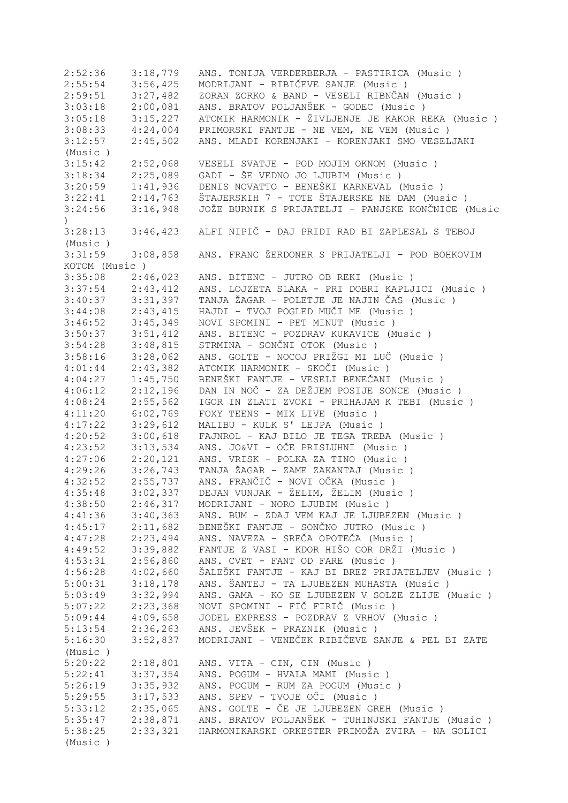2:52:36 3:18,779 ANS. TONIJA VERDERBERJA - PASTIRICA (Music ) 2:55:54 3:56,425 MODRIJANI - RIBIČEVE SANJE (Music ) 2:59:51 3:27,482 ZORAN ZORKO & BAND - VESELI RIBNČAN (Music)<br>3:03:18 2:00,081 ANS. BRATOV POLJANŠEK - GODEC (Music) 3:03:18 2:00,081 ANS. BRATOV POLJANŠEK - GODEC (Music)<br>3:05:18 3:15,227 ATOMIK HARMONIK - ŽIVLJENJE JE KAKOR R 3:05:18 3:15,227 ATOMIK HARMONIK - ŽIVLJENJE JE KAKOR REKA (Music)<br>3:08:33 4:24,004 PRIMORSKI FANTJE - NE VEM, NE VEM (Music) 4:24,004 PRIMORSKI FANTJE - NE VEM, NE VEM (Music ) 3:12:57 2:45,502 ANS. MLADI KORENJAKI - KORENJAKI SMO VESELJAKI (Music ) 3:15:42 2:52,068 VESELI SVATJE - POD MOJIM OKNOM (Music ) 3:18:34 2:25,089 GADI - ŠE VEDNO JO LJUBIM (Music ) 3:20:59 1:41,936 DENIS NOVATTO - BENEŠKI KARNEVAL (Music)<br>3:22:41 2:14,763 ŠTAJERSKIH 7 - TOTE ŠTAJERSKE NE DAM (Mus 3:22:41 2:14,763 ŠTAJERSKIH 7 - TOTE ŠTAJERSKE NE DAM (Music)<br>3:24:56 3:16,948 JOŽE BURNIK S PRIJATELJI - PANJSKE KONČNICE ( 3:24:56 3:16,948 JOŽE BURNIK S PRIJATELJI - PANJSKE KONČNICE (Music  $\lambda$ 3:28:13 3:46,423 ALFI NIPIČ - DAJ PRIDI RAD BI ZAPLESAL S TEBOJ (Music ) 3:31:59 3:08,858 ANS. FRANC ŽERDONER S PRIJATELJI - POD BOHKOVIM KOTOM (Music ) 3:35:08 2:46,023 ANS. BITENC - JUTRO OB REKI (Music ) 3:37:54 2:43,412 ANS. LOJZETA SLAKA - PRI DOBRI KAPLJICI (Music ) 3:40:37 3:31,397 TANJA ŽAGAR - POLETJE JE NAJIN ČAS (Music ) 3:44:08 2:43,415 HAJDI - TVOJ POGLED MUČI ME (Music ) 3:46:52 3:45,349 NOVI SPOMINI - PET MINUT (Music ) 3:50:37 3:51,412 ANS. BITENC - POZDRAV KUKAVICE (Music ) 3:54:28 3:48,815 STRMINA - SONČNI OTOK (Music ) 3:28,062 ANS. GOLTE - NOCOJ PRIŽGI MI LUČ (Music ) 4:01:44 2:43,382 ATOMIK HARMONIK - SKOČI (Music ) 4:04:27 1:45,750 BENEŠKI FANTJE - VESELI BENEČANI (Music ) 4:06:12 2:12,196 DAN IN NOČ - ZA DEŽJEM POSIJE SONCE (Music ) 4:08:24 2:55,562 IGOR IN ZLATI ZVOKI - PRIHAJAM K TEBI (Music ) 4:11:20 6:02,769 FOXY TEENS - MIX LIVE (Music ) 4:17:22 3:29,612 MALIBU - KULK S' LEJPA (Music ) 4:20:52 3:00,618 FAJNROL - KAJ BILO JE TEGA TREBA (Music ) 4:23:52 3:13,534 ANS. JO&VI - OČE PRISLUHNI (Music ) 4:27:06 2:20,121 ANS. VRISK - POLKA ZA TINO (Music ) 4:29:26 3:26,743 TANJA ŽAGAR - ZAME ZAKANTAJ (Music ) 4:32:52 2:55,737 ANS. FRANČIČ - NOVI OČKA (Music)<br>4:35:48 3:02,337 DEJAN VUNJAK - ŽELIM, ŽELIM (Musi 4:35:48 3:02,337 DEJAN VUNJAK - ŽELIM, ŽELIM (Music)<br>4:38:50 2:46,317 MODRIJANI - NORO LJUBIM (Music) 4:38:50 2:46,317 MODRIJANI - NORO LJUBIM (Music ) 4:41:36 3:40,363 ANS. BUM - ZDAJ VEM KAJ JE LJUBEZEN (Music ) 4:45:17 2:11,682 BENEŠKI FANTJE - SONČNO JUTRO (Music)<br>4:47:28 2:23,494 ANS. NAVEZA - SREČA OPOTEČA (Music) 4:47:28 2:23,494 ANS. NAVEZA - SREČA OPOTEČA (Music ) 4:49:52 3:39,882 FANTJE Z VASI - KDOR HIŠO GOR DRŽI (Music ) ANS. CVET - FANT OD FARE (Music ) 4:56:28 4:02,660 ŠALEŠKI FANTJE - KAJ BI BREZ PRIJATELJEV (Music)<br>5:00:31 3:18,178 ANS. ŠANTEJ - TA LJUBEZEN MUHASTA (Music) 5:00:31 3:18,178 ANS. ŠANTEJ - TA LJUBEZEN MUHASTA (Music ) ANS. GAMA - KO SE LJUBEZEN V SOLZE ZLIJE (Music ) 5:07:22 2:23,368 NOVI SPOMINI - FIČ FIRIČ (Music ) 5:09:44 4:09,658 JODEL EXPRESS - POZDRAV Z VRHOV (Music ) 5:13:54 2:36,263 ANS. JEVŠEK - PRAZNIK (Music)<br>5:16:30 3:52,837 MODRIJANI - VENEČEK RIBIČEVE S. 5:16:30 3:52,837 MODRIJANI - VENEČEK RIBIČEVE SANJE & PEL BI ZATE (Music ) 5:20:22 2:18,801 ANS. VITA - CIN, CIN (Music ) 5:22:41 3:37,354 ANS. POGUM - HVALA MAMI (Music ) 5:26:19 3:35,932 ANS. POGUM - RUM ZA POGUM (Music ) 5:29:55 3:17,533 ANS. SPEV - TVOJE OČI (Music ) 5:33:12 2:35,065 ANS. GOLTE - ČE JE LJUBEZEN GREH (Music ) 5:35:47 2:38,871 ANS. BRATOV POLJANŠEK - TUHINJSKI FANTJE (Music )<br>5:38:25 2:33,321 HARMONIKARSKI ORKESTER PRIMOŽA ZVIRA - NA GOLICI 5:38:25 2:33,321 HARMONIKARSKI ORKESTER PRIMOŽA ZVIRA - NA GOLICI (Music )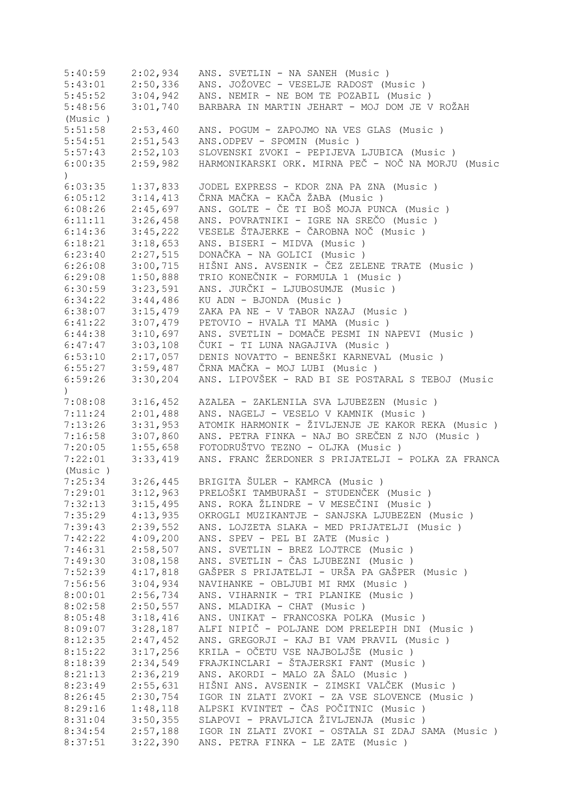| 5:40:59            | 2:02,934 | ANS. SVETLIN - NA SANEH (Music)                    |
|--------------------|----------|----------------------------------------------------|
| 5:43:01            | 2:50,336 | ANS. JOŽOVEC - VESELJE RADOST (Music)              |
| 5:45:52            | 3:04,942 | ANS. NEMIR - NE BOM TE POZABIL (Music)             |
| 5:48:56            | 3:01,740 | BARBARA IN MARTIN JEHART - MOJ DOM JE V ROŽAH      |
| (Music)            |          |                                                    |
| 5:51:58            | 2:53,460 | ANS. POGUM - ZAPOJMO NA VES GLAS (Music)           |
| 5:54:51            | 2:51,543 | ANS.ODPEV - SPOMIN (Music)                         |
| 5:57:43            | 2:52,103 | SLOVENSKI ZVOKI - PEPIJEVA LJUBICA (Music )        |
| 6:00:35            | 2:59,982 | HARMONIKARSKI ORK. MIRNA PEČ - NOČ NA MORJU (Music |
| $\left( \right)$   |          |                                                    |
| 6:03:35            | 1:37,833 | JODEL EXPRESS - KDOR ZNA PA ZNA (Music)            |
| 6:05:12            | 3:14,413 | ČRNA MAČKA - KAČA ŽABA (Music)                     |
| 6:08:26            | 2:45,697 | ANS. GOLTE - ČE TI BOŠ MOJA PUNCA (Music )         |
| 6:11:11            | 3:26,458 | ANS. POVRATNIKI - IGRE NA SREČO (Music)            |
| 6:14:36            | 3:45,222 | VESELE ŠTAJERKE - ČAROBNA NOČ (Music)              |
| 6:18:21            | 3:18,653 | ANS. BISERI - MIDVA (Music)                        |
| 6:23:40            | 2:27,515 | DONAČKA - NA GOLICI (Music)                        |
| 6:26:08            | 3:00,715 | HIŠNI ANS. AVSENIK - ČEZ ZELENE TRATE (Music )     |
| 6:29:08            | 1:50,888 | TRIO KONEČNIK - FORMULA 1 (Music )                 |
|                    |          | ANS. JURČKI - LJUBOSUMJE (Music)                   |
| 6:30:59<br>6:34:22 | 3:23,591 |                                                    |
|                    | 3:44,486 | KU ADN - BJONDA (Music)                            |
| 6:38:07            | 3:15,479 | ZAKA PA NE - V TABOR NAZAJ (Music)                 |
| 6:41:22            | 3:07,479 | PETOVIO - HVALA TI MAMA (Music)                    |
| 6:44:38            | 3:10,697 | ANS. SVETLIN - DOMAČE PESMI IN NAPEVI (Music )     |
| 6:47:47            | 3:03,108 | ČUKI - TI LUNA NAGAJIVA (Music )                   |
| 6:53:10            | 2:17,057 | DENIS NOVATTO - BENEŠKI KARNEVAL (Music)           |
| 6:55:27            | 3:59,487 | ČRNA MAČKA - MOJ LUBI (Music )                     |
| 6:59:26            | 3:30,204 | ANS. LIPOVŠEK - RAD BI SE POSTARAL S TEBOJ (Music  |
| $\left( \right)$   |          |                                                    |
| 7:08:08            | 3:16,452 | AZALEA - ZAKLENILA SVA LJUBEZEN (Music)            |
| 7:11:24            | 2:01,488 | ANS. NAGELJ - VESELO V KAMNIK (Music)              |
| 7:13:26            | 3:31,953 | ATOMIK HARMONIK - ŽIVLJENJE JE KAKOR REKA (Music)  |
| 7:16:58            | 3:07,860 | ANS. PETRA FINKA - NAJ BO SREČEN Z NJO (Music )    |
| 7:20:05            | 1:55,658 | FOTODRUŠTVO TEZNO - OLJKA (Music)                  |
| 7:22:01            | 3:33,419 | ANS. FRANC ŽERDONER S PRIJATELJI - POLKA ZA FRANCA |
| (Music)            |          |                                                    |
| 7:25:34            | 3:26,445 | BRIGITA ŠULER - KAMRCA (Music)                     |
| 7:29:01            | 3:12,963 | PRELOŠKI TAMBURAŠI - STUDENČEK (Music)             |
| 7:32:13            | 3:15,495 | ANS. ROKA ŽLINDRE - V MESEČINI (Music )            |
| 7:35:29            | 4:13,935 | OKROGLI MUZIKANTJE - SANJSKA LJUBEZEN (Music)      |
| 7:39:43            | 2:39,552 | ANS. LOJZETA SLAKA - MED PRIJATELJI (Music )       |
| 7:42:22            | 4:09,200 | ANS. SPEV - PEL BI ZATE (Music)                    |
| 7:46:31            | 2:58,507 | ANS. SVETLIN - BREZ LOJTRCE (Music)                |
| 7:49:30            | 3:08,158 | ANS. SVETLIN - ČAS LJUBEZNI (Music )               |
| 7:52:39            | 4:17,818 | GAŠPER S PRIJATELJI - URŠA PA GAŠPER<br>(Music)    |
| 7:56:56            | 3:04,934 | NAVIHANKE - OBLJUBI MI RMX (Music)                 |
| 8:00:01            | 2:56,734 | ANS. VIHARNIK - TRI PLANIKE (Music)                |
| 8:02:58            | 2:50,557 | ANS. MLADIKA - CHAT (Music)                        |
| 8:05:48            | 3:18,416 | ANS. UNIKAT - FRANCOSKA POLKA (Music)              |
| 8:09:07            | 3:28,187 | ALFI NIPIČ - POLJANE DOM PRELEPIH DNI (Music )     |
| 8:12:35            | 2:47,452 | ANS. GREGORJI - KAJ BI VAM PRAVIL (Music)          |
| 8:15:22            | 3:17,256 | KRILA - OČETU VSE NAJBOLJŠE (Music)                |
| 8:18:39            | 2:34,549 | FRAJKINCLARI - ŠTAJERSKI FANT (Music)              |
| 8:21:13            | 2:36,219 | ANS. AKORDI - MALO ZA ŠALO (Music)                 |
| 8:23:49            | 2:55,631 | HIŠNI ANS. AVSENIK - ZIMSKI VALČEK (Music )        |
| 8:26:45            | 2:30,754 | IGOR IN ZLATI ZVOKI - ZA VSE SLOVENCE (Music )     |
| 8:29:16            | 1:48,118 | ALPSKI KVINTET - ČAS POČITNIC (Music )             |
| 8:31:04            | 3:50,355 | SLAPOVI - PRAVLJICA ŽIVLJENJA (Music)              |
| 8:34:54            | 2:57,188 | IGOR IN ZLATI ZVOKI - OSTALA SI ZDAJ SAMA (Music ) |
| 8:37:51            | 3:22,390 | ANS. PETRA FINKA - LE ZATE (Music)                 |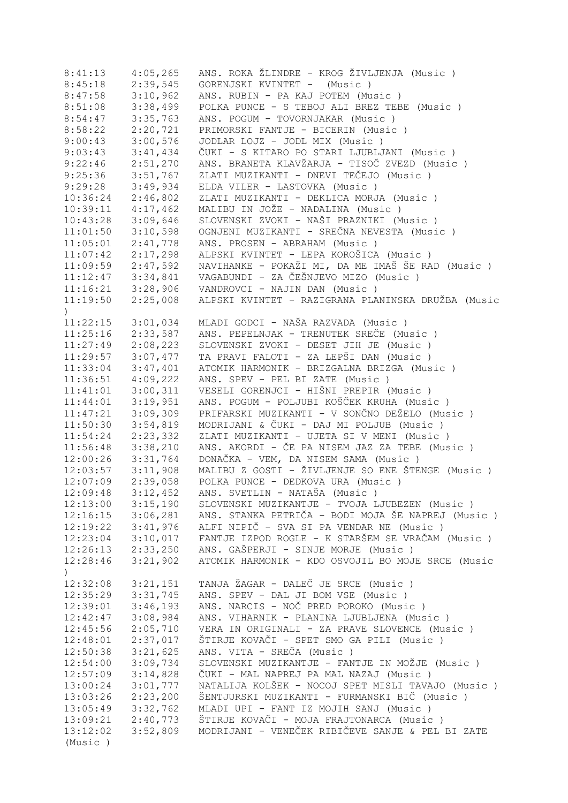| 8:41:13               | 4:05,265 | ANS. ROKA ŽLINDRE - KROG ŽIVLJENJA (Music )        |
|-----------------------|----------|----------------------------------------------------|
| 8:45:18               | 2:39,545 | GORENJSKI KVINTET - (Music)                        |
| 8:47:58               | 3:10,962 | ANS. RUBIN - PA KAJ POTEM (Music)                  |
| 8:51:08               | 3:38,499 | POLKA PUNCE - S TEBOJ ALI BREZ TEBE (Music)        |
| 8:54:47               | 3:35,763 | ANS. POGUM - TOVORNJAKAR (Music)                   |
| 8:58:22               | 2:20,721 | PRIMORSKI FANTJE - BICERIN (Music)                 |
| 9:00:43               | 3:00,576 | JODLAR LOJZ - JODL MIX (Music)                     |
| 9:03:43               | 3:41,434 | ČUKI - S KITARO PO STARI LJUBLJANI (Music )        |
| 9:22:46               | 2:51,270 | ANS. BRANETA KLAVŽARJA - TISOČ ZVEZD (Music )      |
| 9:25:36               | 3:51,767 | ZLATI MUZIKANTI - DNEVI TEČEJO (Music)             |
| 9:29:28               | 3:49,934 | ELDA VILER - LASTOVKA (Music)                      |
| 10:36:24              | 2:46,802 | ZLATI MUZIKANTI - DEKLICA MORJA (Music)            |
| 10:39:11              | 4:17,462 | MALIBU IN JOŽE - NADALINA (Music)                  |
| 10:43:28              | 3:09,646 | SLOVENSKI ZVOKI - NAŠI PRAZNIKI (Music )           |
| 11:01:50              | 3:10,598 | OGNJENI MUZIKANTI - SREČNA NEVESTA (Music)         |
| 11:05:01              | 2:41,778 | ANS. PROSEN - ABRAHAM (Music)                      |
| 11:07:42              | 2:17,298 | ALPSKI KVINTET - LEPA KOROŠICA (Music )            |
|                       |          |                                                    |
| $11:09:59$ $2:47,592$ |          | NAVIHANKE - POKAŽI MI, DA ME IMAŠ ŠE RAD (Music)   |
| 11:12:47              | 3:34,841 | VAGABUNDI - ZA ČEŠNJEVO MIZO (Music)               |
| $11:16:21$ $3:28,906$ |          | VANDROVCI - NAJIN DAN (Music)                      |
| 11:19:50              | 2:25,008 | ALPSKI KVINTET - RAZIGRANA PLANINSKA DRUŽBA (Music |
| $\lambda$             |          |                                                    |
| $11:22:15$ $3:01,034$ |          | MLADI GODCI - NAŠA RAZVADA (Music )                |
| 11:25:16              | 2:33,587 | ANS. PEPELNJAK - TRENUTEK SREČE (Music)            |
| 11:27:49              | 2:08,223 | SLOVENSKI ZVOKI - DESET JIH JE (Music)             |
| 11:29:57              | 3:07,477 | TA PRAVI FALOTI - ZA LEPŠI DAN (Music )            |
| 11:33:04              | 3:47,401 | ATOMIK HARMONIK - BRIZGALNA BRIZGA (Music )        |
| 11:36:51              | 4:09,222 | ANS. SPEV - PEL BI ZATE (Music)                    |
| 11:41:01              | 3:00,311 | VESELI GORENJCI - HIŠNI PREPIR (Music)             |
| 11:44:01              | 3:19,951 | ANS. POGUM - POLJUBI KOŠČEK KRUHA (Music )         |
| 11:47:21              | 3:09,309 | PRIFARSKI MUZIKANTI - V SONČNO DEŽELO (Music )     |
| 11:50:30              | 3:54,819 | MODRIJANI & ČUKI - DAJ MI POLJUB (Music)           |
| 11:54:24              | 2:23,332 | ZLATI MUZIKANTI - UJETA SI V MENI (Music)          |
| 11:56:48              | 3:38,210 | ANS. AKORDI - ČE PA NISEM JAZ ZA TEBE (Music)      |
| 12:00:26              | 3:31,764 | DONAČKA - VEM, DA NISEM SAMA (Music)               |
| 12:03:57              | 3:11,908 | MALIBU Z GOSTI - ŽIVLJENJE SO ENE ŠTENGE (Music)   |
| 12:07:09              | 2:39,058 | POLKA PUNCE - DEDKOVA URA (Music)                  |
| 12:09:48              | 3:12,452 | ANS. SVETLIN - NATAŠA (Music )                     |
| 12:13:00              | 3:15,190 | SLOVENSKI MUZIKANTJE - TVOJA LJUBEZEN (Music )     |
| 12:16:15              | 3:06,281 | ANS. STANKA PETRIČA - BODI MOJA ŠE NAPREJ (Music)  |
| 12:19:22              | 3:41,976 | ALFI NIPIČ - SVA SI PA VENDAR NE (Music)           |
| 12:23:04              | 3:10,017 | FANTJE IZPOD ROGLE - K STARŠEM SE VRAČAM (Music)   |
| 12:26:13              | 2:33,250 | ANS. GAŠPERJI - SINJE MORJE (Music)                |
| 12:28:46              | 3:21,902 | ATOMIK HARMONIK - KDO OSVOJIL BO MOJE SRCE (Music  |
| $\left( \right)$      |          |                                                    |
| 12:32:08              | 3:21,151 | TANJA ŽAGAR - DALEČ JE SRCE (Music)                |
| 12:35:29              | 3:31,745 | ANS. SPEV - DAL JI BOM VSE (Music)                 |
| 12:39:01              | 3:46,193 | ANS. NARCIS - NOČ PRED POROKO (Music)              |
| 12:42:47              | 3:08,984 | ANS. VIHARNIK - PLANINA LJUBLJENA (Music)          |
| 12:45:56              | 2:05,710 | VERA IN ORIGINALI - ZA PRAVE SLOVENCE (Music)      |
| 12:48:01              | 2:37,017 | ŠTIRJE KOVAČI - SPET SMO GA PILI (Music )          |
| 12:50:38              | 3:21,625 | ANS. VITA - SREČA (Music)                          |
| 12:54:00              | 3:09,734 | SLOVENSKI MUZIKANTJE - FANTJE IN MOŽJE (Music )    |
|                       |          |                                                    |
| 12:57:09              | 3:14,828 | ČUKI - MAL NAPREJ PA MAL NAZAJ (Music)             |
| 13:00:24              | 3:01,777 | NATALIJA KOLŠEK - NOCOJ SPET MISLI TAVAJO (Music ) |
| 13:03:26              | 2:23,200 | ŠENTJURSKI MUZIKANTI - FURMANSKI BIČ (Music )      |
| 13:05:49              | 3:32,762 | MLADI UPI - FANT IZ MOJIH SANJ (Music)             |
| 13:09:21              | 2:40,773 | ŠTIRJE KOVAČI - MOJA FRAJTONARCA (Music )          |
| 13:12:02              | 3:52,809 | MODRIJANI - VENEČEK RIBIČEVE SANJE & PEL BI ZATE   |
| (Music)               |          |                                                    |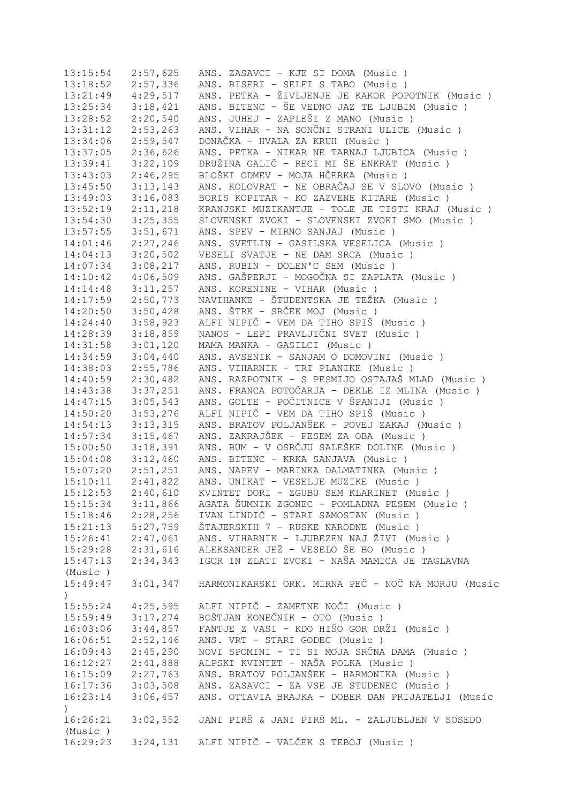| 13:15:54              | 2:57,625              | ANS. ZASAVCI - KJE SI DOMA (Music )                |
|-----------------------|-----------------------|----------------------------------------------------|
| 13:18:52              | 2:57,336              | ANS. BISERI - SELFI S TABO (Music)                 |
| $13:21:49$ $4:29,517$ |                       | ANS. PETKA - ŽIVLJENJE JE KAKOR POPOTNIK (Music )  |
| 13:25:34              | 3:18,421              | ANS. BITENC - ŠE VEDNO JAZ TE LJUBIM (Music )      |
| 13:28:52              | 2:20,540              | ANS. JUHEJ - ZAPLEŠI Z MANO (Music )               |
| 13:31:12              | 2:53,263              | ANS. VIHAR - NA SONČNI STRANI ULICE (Music )       |
| 13:34:06              | 2:59,547              | DONAČKA - HVALA ZA KRUH (Music)                    |
| 13:37:05              | 2:36,626              | ANS. PETKA - NIKAR NE TARNAJ LJUBICA (Music)       |
| 13:39:41              | 3:22,109              | DRUŽINA GALIČ - RECI MI ŠE ENKRAT (Music)          |
| $13:43:03$ $2:46,295$ |                       | BLOŠKI ODMEV - MOJA HČERKA (Music )                |
| 13:45:50              | 3:13,143              | ANS. KOLOVRAT - NE OBRAČAJ SE V SLOVO (Music)      |
| $13:49:03$ $3:16,083$ |                       | BORIS KOPITAR - KO ZAZVENE KITARE (Music)          |
| $13:52:19$ $2:11,218$ |                       | KRANJSKI MUZIKANTJE - TOLE JE TISTI KRAJ (Music)   |
| $13:54:30$ $3:25,355$ |                       | SLOVENSKI ZVOKI - SLOVENSKI ZVOKI SMO (Music)      |
| $13:57:55$ $3:51,671$ |                       | ANS. SPEV - MIRNO SANJAJ (Music)                   |
| 14:01:46 2:27,246     |                       | ANS. SVETLIN - GASILSKA VESELICA (Music)           |
| $14:04:13$ $3:20,502$ |                       | VESELI SVATJE - NE DAM SRCA (Music)                |
| $14:07:34$ 3:08, 217  |                       | ANS. RUBIN - DOLEN'C SEM (Music)                   |
| $14:10:42$ $4:06,509$ |                       | ANS. GAŠPERJI - MOGOČNA SI ZAPLATA (Music)         |
|                       | $14:14:48$ $3:11,257$ | ANS. KORENINE - VIHAR (Music)                      |
|                       | $14:17:59$ $2:50,773$ | NAVIHANKE - ŠTUDENTSKA JE TEŽKA (Music)            |
| $14:20:50$ $3:50,428$ |                       | ANS. ŠTRK - SRČEK MOJ (Music)                      |
| $14:24:40$ 3:58,923   |                       | ALFI NIPIČ - VEM DA TIHO SPIŠ (Music )             |
| $14:28:39$ $3:18,859$ |                       | NANOS - LEPI PRAVLJIČNI SVET (Music)               |
| $14:31:58$ $3:01,120$ |                       | MAMA MANKA - GASILCI (Music)                       |
| $14:34:59$ $3:04,440$ |                       | ANS. AVSENIK - SANJAM O DOMOVINI (Music)           |
| 14:38:03              | 2:55,786              | ANS. VIHARNIK - TRI PLANIKE (Music)                |
| 14:40:59              | 2:30,482              | ANS. RAZPOTNIK - S PESMIJO OSTAJAŠ MLAD (Music)    |
| 14:43:38              | 3:37,251              | ANS. FRANCA POTOČARJA - DEKLE IZ MLINA (Music )    |
| $14:47:15$ 3:05,543   |                       | ANS. GOLTE - POČITNICE V ŠPANIJI (Music )          |
| 14:50:20              | 3:53,276              | ALFI NIPIČ - VEM DA TIHO SPIŠ (Music )             |
| 14:54:13              | 3:13,315              | ANS. BRATOV POLJANŠEK - POVEJ ZAKAJ (Music)        |
| 14:57:34              | 3:15,467              | ANS. ZAKRAJŠEK - PESEM ZA OBA (Music)              |
| 15:00:50              | 3:18,391              | ANS. BUM - V OSRČJU SALEŠKE DOLINE (Music )        |
| $15:04:08$ $3:12,460$ |                       | ANS. BITENC - KRKA SANJAVA (Music)                 |
| 15:07:20              | 2:51,251              | ANS. NAPEV - MARINKA DALMATINKA (Music)            |
| 15:10:11              | 2:41,822              | ANS. UNIKAT - VESELJE MUZIKE (Music)               |
| 15:12:53              | 2:40,610              | KVINTET DORI - ZGUBU SEM KLARINET (Music)          |
| 15:15:34              | 3:11,866              | AGATA ŠUMNIK ZGONEC - POMLADNA PESEM (Music)       |
| 15:18:46              | 2:28,256              | IVAN LINDIČ - STARI SAMOSTAN (Music)               |
| 15:21:13              | 5:27,759              | ŠTAJERSKIH 7 - RUSKE NARODNE (Music)               |
| 15:26:41              | 2:47,061              | ANS. VIHARNIK - LJUBEZEN NAJ ŽIVI (Music )         |
| 15:29:28              | 2:31,616              | ALEKSANDER JEŽ - VESELO ŠE BO (Music)              |
| 15:47:13              | 2:34,343              | IGOR IN ZLATI ZVOKI - NAŠA MAMICA JE TAGLAVNA      |
| (Music)               |                       |                                                    |
| 15:49:47              | 3:01,347              | HARMONIKARSKI ORK. MIRNA PEČ - NOČ NA MORJU (Music |
| $\mathcal{C}$         |                       |                                                    |
| 15:55:24              | 4:25,595              | ALFI NIPIČ - ZAMETNE NOČI (Music)                  |
| 15:59:49              | 3:17,274              | BOŠTJAN KONEČNIK - OTO (Music)                     |
| 16:03:06              | 3:44,857              | FANTJE Z VASI - KDO HIŠO GOR DRŽI (Music )         |
| 16:06:51              | 2:52,146              | ANS. VRT - STARI GODEC (Music)                     |
| 16:09:43              | 2:45,290              | NOVI SPOMINI - TI SI MOJA SRČNA DAMA (Music )      |
| 16:12:27              | 2:41,888              | ALPSKI KVINTET - NAŠA POLKA (Music )               |
| 16:15:09              | 2:27,763              | ANS. BRATOV POLJANŠEK - HARMONIKA (Music)          |
| 16:17:36              | 3:03,508              | ANS. ZASAVCI - ZA VSE JE STUDENEC (Music)          |
| 16:23:14              | 3:06,457              | ANS. OTTAVIA BRAJKA - DOBER DAN PRIJATELJI (Music  |
| $\left( \right)$      |                       |                                                    |
| 16:26:21              | 3:02,552              | JANI PIRŠ & JANI PIRŠ ML. - ZALJUBLJEN V SOSEDO    |
| (Music)               |                       |                                                    |
| 16:29:23              |                       | 3:24,131 ALFI NIPIČ - VALČEK S TEBOJ (Music)       |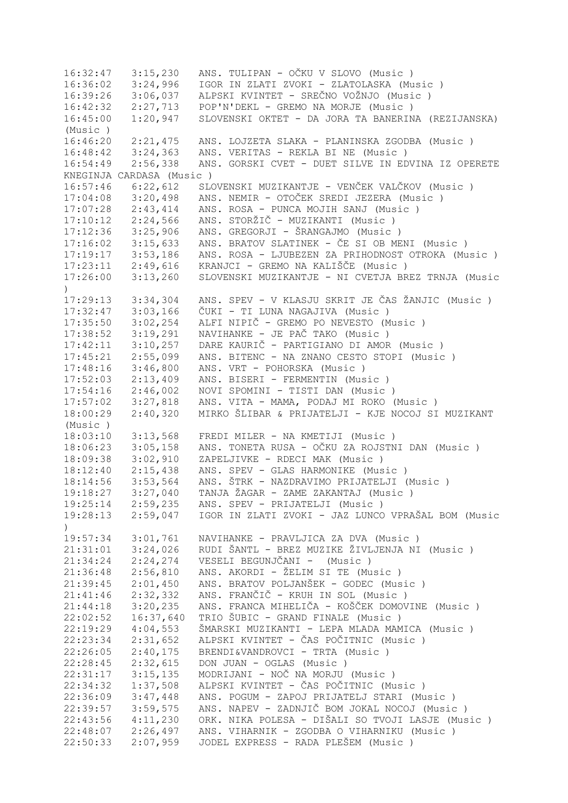16:32:47 3:15,230 ANS. TULIPAN - OČKU V SLOVO (Music ) 16:36:02 3:24,996 IGOR IN ZLATI ZVOKI - ZLATOLASKA (Music ) 16:39:26 3:06,037 ALPSKI KVINTET - SREČNO VOŽNJO (Music ) 16:42:32 2:27,713 POP'N'DEKL - GREMO NA MORJE (Music ) 16:45:00 1:20,947 SLOVENSKI OKTET - DA JORA TA BANERINA (REZIJANSKA) (Music ) 16:46:20 2:21,475 ANS. LOJZETA SLAKA - PLANINSKA ZGODBA (Music ) 16:48:42 3:24,363 ANS. VERITAS - REKLA BI NE (Music ) 16:54:49 2:56,338 ANS. GORSKI CVET - DUET SILVE IN EDVINA IZ OPERETE KNEGINJA CARDASA (Music ) 16:57:46 6:22,612 SLOVENSKI MUZIKANTJE - VENČEK VALČKOV (Music)<br>17:04:08 3:20,498 ANS. NEMIR - OTOČEK SREDI JEZERA (Music) 17:04:08 3:20,498 ANS. NEMIR - OTOČEK SREDI JEZERA (Music ) 17:07:28 2:43,414 ANS. ROSA - PUNCA MOJIH SANJ (Music ) 17:10:12 2:24,566 ANS. STORŽIČ - MUZIKANTI (Music ) 17:12:36 3:25,906 ANS. GREGORJI - ŠRANGAJMO (Music ) 17:16:02 3:15,633 ANS. BRATOV SLATINEK - ČE SI OB MENI (Music ) 17:19:17 3:53,186 ANS. ROSA - LJUBEZEN ZA PRIHODNOST OTROKA (Music ) 17:23:11 2:49,616 KRANJCI - GREMO NA KALIŠČE (Music ) 17:26:00 3:13,260 SLOVENSKI MUZIKANTJE - NI CVETJA BREZ TRNJA (Music ) 17:29:13 3:34,304 ANS. SPEV - V KLASJU SKRIT JE ČAS ŽANJIC (Music ) 17:32:47 3:03,166 ČUKI - TI LUNA NAGAJIVA (Music ) 17:35:50 3:02,254 ALFI NIPIČ - GREMO PO NEVESTO (Music ) 17:38:52 3:19,291 NAVIHANKE - JE PAČ TAKO (Music ) 17:42:11 3:10,257 DARE KAURIČ - PARTIGIANO DI AMOR (Music ) 17:45:21 2:55,099 ANS. BITENC - NA ZNANO CESTO STOPI (Music ) 17:48:16 3:46,800 ANS. VRT - POHORSKA (Music ) 17:52:03 2:13,409 ANS. BISERI - FERMENTIN (Music ) 17:54:16 2:46,002 NOVI SPOMINI - TISTI DAN (Music ) 17:57:02 3:27,818 ANS. VITA - MAMA, PODAJ MI ROKO (Music ) 18:00:29 2:40,320 MIRKO ŠLIBAR & PRIJATELJI - KJE NOCOJ SI MUZIKANT (Music ) 18:03:10 3:13,568 FREDI MILER - NA KMETIJI (Music ) 18:06:23 3:05,158 ANS. TONETA RUSA - OČKU ZA ROJSTNI DAN (Music ) 18:09:38 3:02,910 ZAPELJIVKE - RDECI MAK (Music ) 18:12:40 2:15,438 ANS. SPEV - GLAS HARMONIKE (Music ) 18:14:56 3:53,564 ANS. ŠTRK - NAZDRAVIMO PRIJATELJI (Music ) 19:18:27 3:27,040 TANJA ŽAGAR - ZAME ZAKANTAJ (Music ) 19:25:14 2:59,235 ANS. SPEV - PRIJATELJI (Music ) 19:28:13 2:59,047 IGOR IN ZLATI ZVOKI - JAZ LUNCO VPRAŠAL BOM (Music  $\lambda$ 19:57:34 3:01,761 NAVIHANKE - PRAVLJICA ZA DVA (Music ) 21:31:01 3:24,026 RUDI ŠANTL - BREZ MUZIKE ŽIVLJENJA NI (Music ) 21:34:24 2:24,274 VESELI BEGUNJČANI - (Music ) 21:36:48 2:56,810 ANS. AKORDI - ŽELIM SI TE (Music ) 2:01,450 ANS. BRATOV POLJANŠEK - GODEC (Music ) 21:41:46 2:32,332 ANS. FRANČIČ - KRUH IN SOL (Music ) 21:44:18 3:20,235 ANS. FRANCA MIHELIČA - KOŠČEK DOMOVINE (Music ) 22:02:52 16:37,640 TRIO ŠUBIC - GRAND FINALE (Music ) 22:19:29 4:04,553 ŠMARSKI MUZIKANTI - LEPA MLADA MAMICA (Music)<br>22:23:34 2:31,652 ALPSKI KVINTET - ČAS POČITNIC (Music) 22:23:34 2:31,652 ALPSKI KVINTET - ČAS POČITNIC (Music ) 22:26:05 2:40,175 BRENDI&VANDROVCI - TRTA (Music ) 22:28:45 2:32,615 DON JUAN - OGLAS (Music ) 22:31:17 3:15,135 MODRIJANI - NOČ NA MORJU (Music ) 22:34:32 1:37,508 ALPSKI KVINTET - ČAS POČITNIC (Music ) 22:36:09 3:47,448 ANS. POGUM - ZAPOJ PRIJATELJ STARI (Music ) 22:39:57 3:59,575 ANS. NAPEV - ZADNJIČ BOM JOKAL NOCOJ (Music ) 22:43:56 4:11,230 ORK. NIKA POLESA - DIŠALI SO TVOJI LASJE (Music ) 22:48:07 2:26,497 ANS. VIHARNIK - ZGODBA O VIHARNIKU (Music ) 22:50:33 2:07,959 JODEL EXPRESS - RADA PLEŠEM (Music )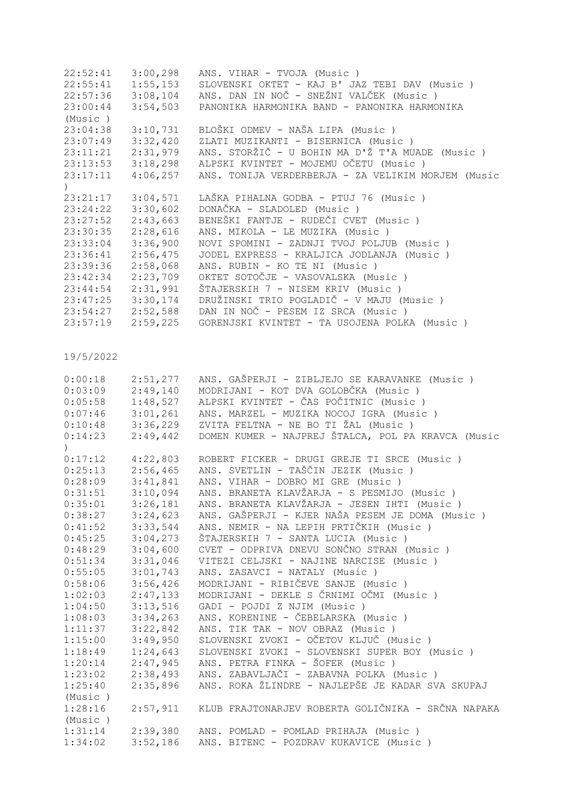|           | $22:52:41$ $3:00,298$ | ANS. VIHAR - TVOJA (Music)                                |
|-----------|-----------------------|-----------------------------------------------------------|
|           | $22:55:41$ $1:55,153$ | SLOVENSKI OKTET - KAJ B' JAZ TEBI DAV (Music )            |
|           |                       | 22:57:36 3:08,104 ANS. DAN IN NOČ - SNEŽNI VALČEK (Music) |
| 23:00:44  | 3:54,503              | PANONIKA HARMONIKA BAND - PANONIKA HARMONIKA              |
| (Music)   |                       |                                                           |
| 23:04:38  | 3:10,731              | BLOŠKI ODMEV - NAŠA LIPA (Music )                         |
| 23:07:49  | 3:32,420              | ZLATI MUZIKANTI - BISERNICA (Music )                      |
| 23:11:21  | 2:31,979              | ANS. STORŽIČ - U BOHIN MA D'Ž T'A MUADE (Music)           |
|           | $23:13:53$ $3:18,298$ | ALPSKI KVINTET - MOJEMU OČETU (Music )                    |
|           | $23:17:11$ $4:06,257$ | ANS. TONIJA VERDERBERJA - ZA VELIKIM MORJEM (Music        |
| $\lambda$ |                       |                                                           |
|           | $23:21:17$ $3:04,571$ | LAŠKA PIHALNA GODBA - PTUJ 76 (Music)                     |
|           | $23:24:22$ $3:30,602$ | DONAČKA - SLADOLED (Music)                                |
|           | $23:27:52$ $2:43,663$ | BENEŠKI FANTJE - RUDEČI CVET (Music )                     |
|           | $23:30:35$ $2:28,616$ | ANS. MIKOLA - LE MUZIKA (Music)                           |
| 23:33:04  | 3:36,900              | NOVI SPOMINI - ZADNJI TVOJ POLJUB (Music)                 |
|           | $23:36:41$ $2:56,475$ | JODEL EXPRESS - KRALJICA JODLANJA (Music)                 |
|           | $23:39:36$ $2:58,068$ | ANS. RUBIN - KO TE NI (Music)                             |
| 23:42:34  | 2:23,709              | OKTET SOTOČJE - VASOVALSKA (Music)                        |
| 23:44:54  | 2:31,991              | ŠTAJERSKIH 7 - NISEM KRIV (Music)                         |
|           | $23:47:25$ $3:30,174$ | DRUŽINSKI TRIO POGLADIČ - V MAJU (Music )                 |
|           | $23:54:27$ $2:52,588$ | DAN IN NOČ - PESEM IZ SRCA (Music )                       |
| 23:57:19  | 2:59,225              | GORENJSKI KVINTET - TA USOJENA POLKA (Music )             |

| 0:00:18   | 2:51,277 | ANS. GAŠPERJI - ZIBLJEJO SE KARAVANKE (Music)      |
|-----------|----------|----------------------------------------------------|
| 0:03:09   | 2:49,140 | MODRIJANI - KOT DVA GOLOBČKA (Music )              |
| 0:05:58   | 1:48,527 | ALPSKI KVINTET - ČAS POČITNIC (Music )             |
| 0:07:46   | 3:01,261 | ANS. MARZEL - MUZIKA NOCOJ IGRA (Music)            |
| 0:10:48   | 3:36,229 | ZVITA FELTNA - NE BO TI ŽAL (Music )               |
| 0:14:23   | 2:49,442 | DOMEN KUMER - NAJPREJ ŠTALCA, POL PA KRAVCA (Music |
| $\lambda$ |          |                                                    |
| 0:17:12   | 4:22,803 | ROBERT FICKER - DRUGI GREJE TI SRCE (Music)        |
| 0:25:13   | 2:56,465 | ANS. SVETLIN - TAŠČIN JEZIK (Music )               |
| 0:28:09   | 3:41,841 | ANS. VIHAR - DOBRO MI GRE (Music)                  |
| 0:31:51   | 3:10,094 | ANS. BRANETA KLAVŽARJA - S PESMIJO (Music )        |
| 0:35:01   | 3:26,181 | ANS. BRANETA KLAVŽARJA - JESEN IHTI (Music )       |
| 0:38:27   | 3:24,623 | ANS. GAŠPERJI - KJER NAŠA PESEM JE DOMA (Music)    |
| 0:41:52   | 3:33,544 | ANS. NEMIR - NA LEPIH PRTIČKIH (Music )            |
| 0:45:25   | 3:04,273 | ŠTAJERSKIH 7 - SANTA LUCIA (Music)                 |
| 0:48:29   | 3:04,600 | CVET - ODPRIVA DNEVU SONČNO STRAN (Music)          |
| 0:51:34   | 3:31,046 | VITEZI CELJSKI - NAJINE NARCISE (Music)            |
| 0:55:05   | 3:01,743 | ANS. ZASAVCI - NATALY (Music)                      |
| 0:58:06   | 3:56,426 | MODRIJANI - RIBIČEVE SANJE (Music)                 |
| 1:02:03   | 2:47,133 | MODRIJANI - DEKLE S ČRNIMI OČMI (Music)            |
| 1:04:50   | 3:13,516 | GADI - POJDI Z NJIM (Music)                        |
| 1:08:03   | 3:34,263 | ANS. KORENINE - ČEBELARSKA (Music)                 |
| 1:11:37   | 3:22,842 | ANS. TIK TAK - NOV OBRAZ (Music)                   |
| 1:15:00   | 3:49,950 | SLOVENSKI ZVOKI - OČETOV KLJUČ (Music )            |
| 1:18:49   | 1:24,643 | SLOVENSKI ZVOKI - SLOVENSKI SUPER BOY (Music )     |
| 1:20:14   | 2:47,945 | ANS. PETRA FINKA - ŠOFER (Music)                   |
| 1:23:02   | 2:38,493 | ANS. ZABAVLJAČI - ZABAVNA POLKA (Music)            |
| 1:25:40   | 2:35,896 | ANS. ROKA ŽLINDRE - NAJLEPŠE JE KADAR SVA SKUPAJ   |
| (Music)   |          |                                                    |
| 1:28:16   | 2:57,911 | KLUB FRAJTONARJEV ROBERTA GOLIČNIKA - SRČNA NAPAKA |
| (Music)   |          |                                                    |
| 1:31:14   |          | 2:39,380 ANS. POMLAD - POMLAD PRIHAJA (Music)      |
| 1:34:02   | 3:52,186 | ANS. BITENC - POZDRAV KUKAVICE (Music)             |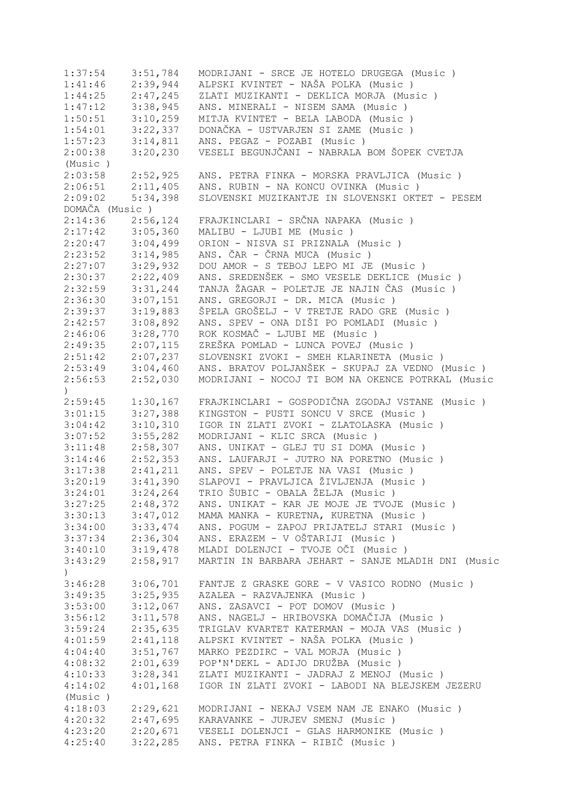1:37:54 3:51,784 MODRIJANI - SRCE JE HOTELO DRUGEGA (Music ) 1:41:46 2:39,944 ALPSKI KVINTET - NAŠA POLKA (Music )<br>1:44:25 2:47,245 ZLATI MUZIKANTI - DEKLICA MORJA (Mus ZLATI MUZIKANTI - DEKLICA MORJA (Music ) 1:47:12 3:38,945 ANS. MINERALI - NISEM SAMA (Music)<br>1:50:51 3:10,259 MITJA KVINTET - BELA LABODA (Music 1:50:51 3:10,259 MITJA KVINTET - BELA LABODA (Music ) 1:54:01 3:22,337 DONAČKA - USTVARJEN SI ZAME (Music ) 1:57:23 3:14,811 ANS. PEGAZ - POZABI (Music ) 2:00:38 3:20,230 VESELI BEGUNJČANI - NABRALA BOM ŠOPEK CVETJA (Music ) 2:03:58 2:52,925 ANS. PETRA FINKA - MORSKA PRAVLJICA (Music ) 2:06:51 2:11,405 ANS. RUBIN - NA KONCU OVINKA (Music )<br>2:09:02 5:34,398 SLOVENSKI MUZIKANTJE IN SLOVENSKI OKT 2:09:02 5:34,398 SLOVENSKI MUZIKANTJE IN SLOVENSKI OKTET - PESEM DOMAČA (Music ) 2:14:36 2:56,124 FRAJKINCLARI - SRČNA NAPAKA (Music ) 2:17:42 3:05,360 MALIBU - LJUBI ME (Music ) 2:20:47 3:04,499 ORION - NISVA SI PRIZNALA (Music ) 2:23:52 3:14,985 ANS. ČAR - ČRNA MUCA (Music ) 2:27:07 3:29,932 DOU AMOR - S TEBOJ LEPO MI JE (Music ) 2:30:37 2:22,409 ANS. SREDENŠEK - SMO VESELE DEKLICE (Music)<br>2:32:59 3:31,244 TANJA ŽAGAR - POLETJE JE NAJIN ČAS (Music) 2:32:59 3:31,244 TANJA ŽAGAR - POLETJE JE NAJIN ČAS (Music ) 2:36:30 3:07,151 ANS. GREGORJI - DR. MICA (Music ) 2:39:37 3:19,883 ŠPELA GROŠELJ - V TRETJE RADO GRE (Music ) 2:42:57 3:08,892 ANS. SPEV - ONA DIŠI PO POMLADI (Music ) 2:46:06 3:28,770 ROK KOSMAČ - LJUBI ME (Music ) 2:49:35 2:07,115 ZREŠKA POMLAD - LUNCA POVEJ (Music ) 2:51:42 2:07,237 SLOVENSKI ZVOKI - SMEH KLARINETA (Music ) 2:53:49 3:04,460 ANS. BRATOV POLJANŠEK - SKUPAJ ZA VEDNO (Music ) 2:56:53 2:52,030 MODRIJANI - NOCOJ TI BOM NA OKENCE POTRKAL (Music  $\lambda$ 2:59:45 1:30,167 FRAJKINCLARI - GOSPODIČNA ZGODAJ VSTANE (Music ) 3:01:15 3:27,388 KINGSTON - PUSTI SONCU V SRCE (Music ) 3:04:42 3:10,310 IGOR IN ZLATI ZVOKI - ZLATOLASKA (Music ) 3:07:52 3:55,282 MODRIJANI - KLIC SRCA (Music ) 3:11:48 2:58,307 ANS. UNIKAT - GLEJ TU SI DOMA (Music ) 3:14:46 2:52,353 ANS. LAUFARJI - JUTRO NA PORETNO (Music ) 3:17:38 2:41,211 ANS. SPEV - POLETJE NA VASI (Music ) 3:20:19 3:41,390 SLAPOVI - PRAVLJICA ŽIVLJENJA (Music ) 3:24:01 3:24,264 TRIO ŠUBIC - OBALA ŽELJA (Music ) 3:27:25 2:48,372 ANS. UNIKAT - KAR JE MOJE JE TVOJE (Music ) 3:30:13 3:47,012 MAMA MANKA - KURETNA, KURETNA (Music ) 3:34:00 3:33,474 ANS. POGUM - ZAPOJ PRIJATELJ STARI (Music ) 3:37:34 2:36,304 ANS. ERAZEM - V OŠTARIJI (Music ) 3:40:10 3:19,478 MLADI DOLENJCI - TVOJE OČI (Music ) 3:43:29 2:58,917 MARTIN IN BARBARA JEHART - SANJE MLADIH DNI (Music  $\lambda$ 3:46:28 3:06,701 FANTJE Z GRASKE GORE - V VASICO RODNO (Music ) 3:49:35 3:25,935 AZALEA - RAZVAJENKA (Music ) 3:53:00 3:12,067 ANS. ZASAVCI - POT DOMOV (Music ) 3:56:12 3:11,578 ANS. NAGELJ - HRIBOVSKA DOMAČIJA (Music ) 3:59:24 2:35,635 TRIGLAV KVARTET KATERMAN - MOJA VAS (Music ) 4:01:59 2:41,118 ALPSKI KVINTET - NAŠA POLKA (Music ) 4:04:40 3:51,767 MARKO PEZDIRC - VAL MORJA (Music ) 4:08:32 2:01,639 POP'N'DEKL - ADIJO DRUŽBA (Music ) ZLATI MUZIKANTI - JADRAJ Z MENOJ (Music ) 4:14:02 4:01,168 IGOR IN ZLATI ZVOKI - LABODI NA BLEJSKEM JEZERU (Music ) 4:18:03 2:29,621 MODRIJANI - NEKAJ VSEM NAM JE ENAKO (Music ) 4:20:32 2:47,695 KARAVANKE - JURJEV SMENJ (Music ) 4:23:20 2:20,671 VESELI DOLENJCI - GLAS HARMONIKE (Music ) 4:25:40 3:22,285 ANS. PETRA FINKA - RIBIČ (Music )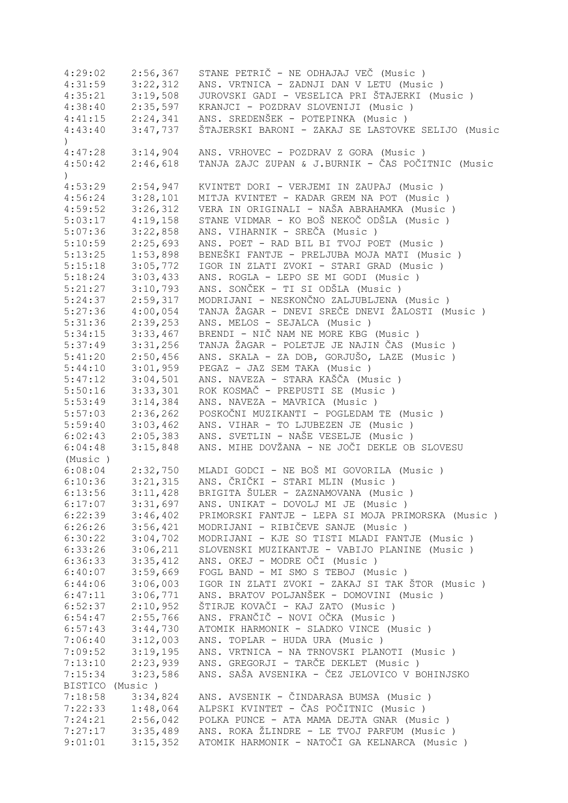| 4:29:02            | 2:56,367        | STANE PETRIČ - NE ODHAJAJ VEČ (Music)              |
|--------------------|-----------------|----------------------------------------------------|
| 4:31:59            | 3:22,312        | ANS. VRTNICA - ZADNJI DAN V LETU (Music)           |
| 4:35:21            | 3:19,508        | JUROVSKI GADI - VESELICA PRI ŠTAJERKI (Music )     |
| 4:38:40            | 2:35,597        | KRANJCI - POZDRAV SLOVENIJI (Music )               |
| 4:41:15            | 2:24,341        | ANS. SREDENŠEK - POTEPINKA (Music )                |
| 4:43:40            | 3:47,737        | ŠTAJERSKI BARONI - ZAKAJ SE LASTOVKE SELIJO (Music |
| $\left( \right)$   |                 |                                                    |
| 4:47:28            | 3:14,904        | ANS. VRHOVEC - POZDRAV Z GORA (Music)              |
| 4:50:42            | 2:46,618        | TANJA ZAJC ZUPAN & J.BURNIK - ČAS POČITNIC (Music  |
| $\mathcal{L}$      |                 |                                                    |
| 4:53:29            | 2:54,947        | KVINTET DORI - VERJEMI IN ZAUPAJ (Music)           |
| 4:56:24            | 3:28,101        | MITJA KVINTET - KADAR GREM NA POT (Music)          |
| 4:59:52            | 3:26,312        | VERA IN ORIGINALI - NAŠA ABRAHAMKA (Music)         |
|                    | 4:19,158        | STANE VIDMAR - KO BOŠ NEKOČ ODŠLA (Music )         |
| 5:03:17<br>5:07:36 |                 | ANS. VIHARNIK - SREČA (Music)                      |
|                    | 3:22,858        |                                                    |
| 5:10:59            | 2:25,693        | ANS. POET - RAD BIL BI TVOJ POET (Music)           |
| 5:13:25            | 1:53,898        | BENEŠKI FANTJE - PRELJUBA MOJA MATI (Music )       |
| 5:15:18            | 3:05,772        | IGOR IN ZLATI ZVOKI - STARI GRAD (Music)           |
| 5:18:24            | 3:03,433        | ANS. ROGLA - LEPO SE MI GODI (Music)               |
| 5:21:27            | 3:10,793        | ANS. SONČEK - TI SI ODŠLA (Music )                 |
| 5:24:37            | 2:59,317        | MODRIJANI - NESKONČNO ZALJUBLJENA (Music)          |
| 5:27:36            | 4:00,054        | TANJA ŽAGAR - DNEVI SREČE DNEVI ŽALOSTI (Music )   |
| 5:31:36            | 2:39,253        | ANS. MELOS - SEJALCA (Music)                       |
| 5:34:15            | 3:33,467        | BRENDI - NIČ NAM NE MORE KBG (Music)               |
| 5:37:49            | 3:31,256        | TANJA ŽAGAR - POLETJE JE NAJIN ČAS (Music)         |
| 5:41:20            | 2:50,456        | ANS. SKALA - ZA DOB, GORJUŠO, LAZE (Music)         |
| 5:44:10            | 3:01,959        | PEGAZ - JAZ SEM TAKA (Music)                       |
| 5:47:12            | 3:04,501        | ANS. NAVEZA - STARA KAŠČA (Music )                 |
| 5:50:16            | 3:33,301        | ROK KOSMAČ - PREPUSTI SE (Music)                   |
| 5:53:49            | 3:14,384        | ANS. NAVEZA - MAVRICA (Music)                      |
| 5:57:03            | 2:36,262        | POSKOČNI MUZIKANTI - POGLEDAM TE (Music)           |
| 5:59:40            | 3:03,462        | ANS. VIHAR - TO LJUBEZEN JE (Music)                |
| 6:02:43            | 2:05,383        | ANS. SVETLIN - NAŠE VESELJE (Music)                |
| 6:04:48            | 3:15,848        | ANS. MIHE DOVŽANA - NE JOČI DEKLE OB SLOVESU       |
| (Music)            |                 |                                                    |
| 6:08:04            | 2:32,750        | MLADI GODCI - NE BOŠ MI GOVORILA (Music)           |
| 6:10:36            | 3:21,315        | ANS. ČRIČKI - STARI MLIN (Music)                   |
| 6:13:56            | 3:11,428        | BRIGITA ŠULER - ZAZNAMOVANA (Music)                |
| 6:17:07            | 3:31,697        | ANS. UNIKAT - DOVOLJ MI JE (Music)                 |
| 6:22:39            | 3:46,402        | PRIMORSKI FANTJE - LEPA SI MOJA PRIMORSKA (Music)  |
| 6:26:26            | 3:56,421        | MODRIJANI - RIBIČEVE SANJE (Music)                 |
| 6:30:22            | 3:04,702        | MODRIJANI - KJE SO TISTI MLADI FANTJE<br>(Music )  |
| 6:33:26            | 3:06,211        | SLOVENSKI MUZIKANTJE - VABIJO PLANINE<br>(Music)   |
| 6:36:33            | 3:35,412        | ANS. OKEJ - MODRE OČI (Music)                      |
|                    |                 | FOGL BAND - MI SMO S TEBOJ (Music)                 |
| 6:40:07            | 3:59,669        |                                                    |
| 6:44:06            | 3:06,003        | IGOR IN ZLATI ZVOKI - ZAKAJ SI TAK ŠTOR (Music )   |
| 6:47:11            | 3:06,771        | ANS. BRATOV POLJANŠEK - DOMOVINI (Music )          |
| 6:52:37            | 2:10,952        | ŠTIRJE KOVAČI - KAJ ZATO (Music )                  |
| 6:54:47            | 2:55,766        | ANS. FRANČIČ - NOVI OČKA (Music)                   |
| 6:57:43            | 3:44,730        | ATOMIK HARMONIK - SLADKO VINCE (Music)             |
| 7:06:40            | 3:12,003        | ANS. TOPLAR - HUDA URA (Music)                     |
| 7:09:52            | 3:19,195        | ANS. VRTNICA - NA TRNOVSKI PLANOTI (Music)         |
| 7:13:10            | 2:23,939        | ANS. GREGORJI - TARČE DEKLET (Music)               |
| 7:15:34            | 3:23,586        | ANS. SAŠA AVSENIKA - ČEZ JELOVICO V BOHINJSKO      |
|                    | BISTICO (Music) |                                                    |
| 7:18:58            | 3:34,824        | ANS. AVSENIK - ČINDARASA BUMSA (Music )            |
| 7:22:33            | 1:48,064        | ALPSKI KVINTET - ČAS POČITNIC (Music )             |
| 7:24:21            | 2:56,042        | POLKA PUNCE - ATA MAMA DEJTA GNAR (Music)          |
| 7:27:17            | 3:35,489        | ANS. ROKA ŽLINDRE - LE TVOJ PARFUM (Music)         |
| 9:01:01            | 3:15,352        | ATOMIK HARMONIK - NATOČI GA KELNARCA (Music)       |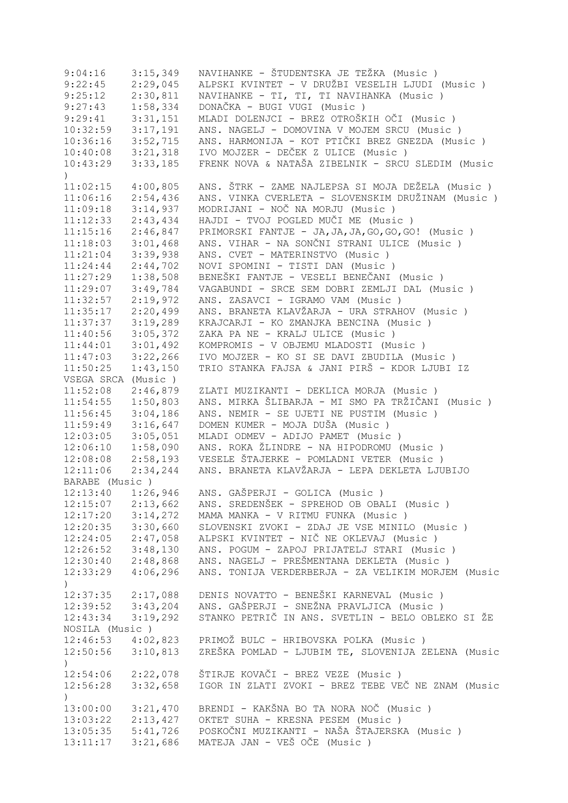| 9:04:16               | 3:15,349             | NAVIHANKE - ŠTUDENTSKA JE TEŽKA (Music)            |
|-----------------------|----------------------|----------------------------------------------------|
| 9:22:45               | 2:29,045             | ALPSKI KVINTET - V DRUŽBI VESELIH LJUDI (Music )   |
| 9:25:12               | 2:30,811             | NAVIHANKE - TI, TI, TI NAVIHANKA (Music)           |
| 9:27:43               | 1:58,334             | DONAČKA - BUGI VUGI (Music)                        |
| 9:29:41               | 3:31,151             | MLADI DOLENJCI - BREZ OTROŠKIH OČI (Music )        |
| 10:32:59              | 3:17,191             | ANS. NAGELJ - DOMOVINA V MOJEM SRCU (Music)        |
| 10:36:16              | 3:52,715             | ANS. HARMONIJA - KOT PTIČKI BREZ GNEZDA (Music )   |
| 10:40:08              | 3:21,318             | IVO MOJZER - DEČEK Z ULICE (Music)                 |
| 10:43:29              | 3:33,185             | FRENK NOVA & NATAŠA ZIBELNIK - SRCU SLEDIM (Music  |
| $\lambda$             |                      |                                                    |
| 11:02:15              | 4:00,805             | ANS. ŠTRK - ZAME NAJLEPSA SI MOJA DEŽELA (Music)   |
| 11:06:16              | 2:54,436             | ANS. VINKA CVERLETA - SLOVENSKIM DRUŽINAM (Music ) |
| 11:09:18              | 3:14,937             | MODRIJANI - NOČ NA MORJU (Music)                   |
| 11:12:33              | 2:43,434             | HAJDI - TVOJ POGLED MUČI ME (Music)                |
| 11:15:16              | 2:46,847             | PRIMORSKI FANTJE - JA, JA, JA, GO, GO, GO! (Music) |
| 11:18:03              | 3:01,468             | ANS. VIHAR - NA SONČNI STRANI ULICE (Music )       |
| 11:21:04              | 3:39,938             | ANS. CVET - MATERINSTVO (Music)                    |
| 11:24:44              | 2:44,702             | NOVI SPOMINI - TISTI DAN (Music)                   |
| 11:27:29              | 1:38,508             | BENEŠKI FANTJE - VESELI BENEČANI (Music )          |
| 11:29:07              | 3:49,784             | VAGABUNDI - SRCE SEM DOBRI ZEMLJI DAL (Music)      |
| 11:32:57              | 2:19,972             | ANS. ZASAVCI - IGRAMO VAM (Music)                  |
| 11:35:17              | 2:20,499             | ANS. BRANETA KLAVŽARJA - URA STRAHOV (Music)       |
|                       |                      | KRAJCARJI - KO ZMANJKA BENCINA (Music)             |
| 11:37:37              | 3:19,289<br>3:05,372 |                                                    |
| 11:40:56              |                      | ZAKA PA NE - KRALJ ULICE (Music)                   |
| 11:44:01              | 3:01,492             | KOMPROMIS - V OBJEMU MLADOSTI (Music)              |
| 11:47:03              | 3:22,266             | IVO MOJZER - KO SI SE DAVI ZBUDILA (Music)         |
| 11:50:25              | 1:43,150             | TRIO STANKA FAJSA & JANI PIRŠ - KDOR LJUBI IZ      |
| VSEGA SRCA (Music)    |                      |                                                    |
| 11:52:08              | 2:46,879             | ZLATI MUZIKANTI - DEKLICA MORJA (Music)            |
| 11:54:55              | 1:50,803             | ANS. MIRKA ŠLIBARJA - MI SMO PA TRŽIČANI (Music )  |
| 11:56:45              | 3:04,186             | ANS. NEMIR - SE UJETI NE PUSTIM (Music)            |
| 11:59:49              | 3:16,647             | DOMEN KUMER - MOJA DUŠA (Music)                    |
| 12:03:05              | 3:05,051             | MLADI ODMEV - ADIJO PAMET (Music)                  |
| 12:06:10              | 1:58,090             | ANS. ROKA ŽLINDRE - NA HIPODROMU (Music)           |
| 12:08:08              | 2:58,193             | VESELE ŠTAJERKE - POMLADNI VETER (Music)           |
| 12:11:06              | 2:34,244             | ANS. BRANETA KLAVŽARJA - LEPA DEKLETA LJUBIJO      |
| BARABE (Music)        |                      |                                                    |
| 12:13:40              | 1:26,946             | ANS. GAŠPERJI - GOLICA (Music)                     |
| 12:15:07              | 2:13,662             | ANS. SREDENŠEK - SPREHOD OB OBALI (Music)          |
| 12:17:20              | 3:14,272             | MAMA MANKA - V RITMU FUNKA (Music)                 |
| 12:20:35              | 3:30,660             | SLOVENSKI ZVOKI - ZDAJ JE VSE MINILO (Music)       |
| 12:24:05              | 2:47,058             | ALPSKI KVINTET - NIČ NE OKLEVAJ (Music)            |
| 12:26:52              | 3:48,130             | ANS. POGUM - ZAPOJ PRIJATELJ STARI (Music)         |
| 12:30:40              | 2:48,868             | ANS. NAGELJ - PREŠMENTANA DEKLETA (Music )         |
| 12:33:29              | 4:06,296             | ANS. TONIJA VERDERBERJA - ZA VELIKIM MORJEM (Music |
| $\left( \right)$      |                      |                                                    |
| $12:37:35$ $2:17,088$ |                      | DENIS NOVATTO - BENEŠKI KARNEVAL (Music )          |
| $12:39:52$ $3:43,204$ |                      | ANS. GAŠPERJI - SNEŽNA PRAVLJICA (Music )          |
| 12:43:34              | 3:19,292             | STANKO PETRIČ IN ANS. SVETLIN - BELO OBLEKO SI ŽE  |
| NOSILA (Music)        |                      |                                                    |
| $12:46:53$ $4:02,823$ |                      | PRIMOŽ BULC - HRIBOVSKA POLKA (Music)              |
| 12:50:56              | 3:10,813             | ZREŠKA POMLAD - LJUBIM TE, SLOVENIJA ZELENA (Music |
| $\left( \right)$      |                      |                                                    |
| 12:54:06              | 2:22,078             | ŠTIRJE KOVAČI - BREZ VEZE (Music )                 |
| 12:56:28              | 3:32,658             | IGOR IN ZLATI ZVOKI - BREZ TEBE VEČ NE ZNAM (Music |
| $\left( \right)$      |                      |                                                    |
| 13:00:00              | 3:21,470             | BRENDI - KAKŠNA BO TA NORA NOČ (Music)             |
| 13:03:22              | 2:13,427             | OKTET SUHA - KRESNA PESEM (Music)                  |
| 13:05:35              | 5:41,726             | POSKOČNI MUZIKANTI - NAŠA ŠTAJERSKA (Music)        |
| 13:11:17              | 3:21,686             | MATEJA JAN - VEŠ OČE (Music)                       |
|                       |                      |                                                    |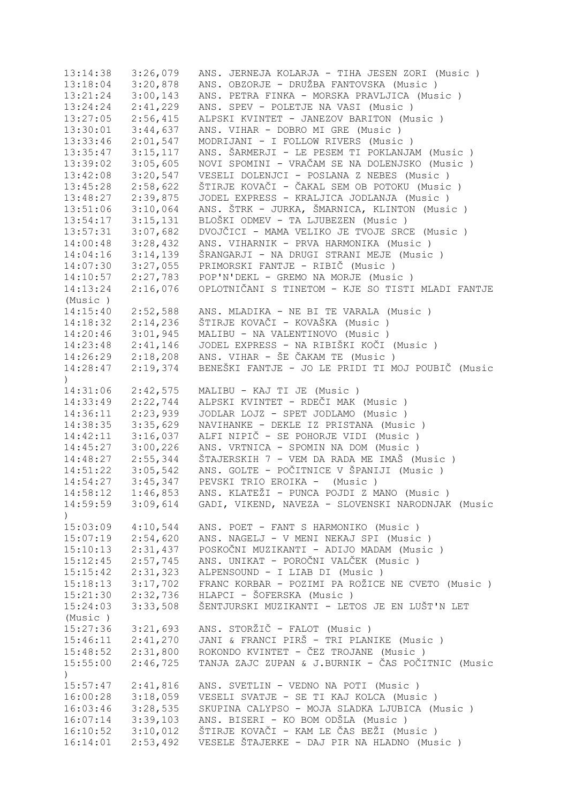| 13:14:38              | 3:26,079 | ANS. JERNEJA KOLARJA - TIHA JESEN ZORI (Music )   |
|-----------------------|----------|---------------------------------------------------|
| 13:18:04              | 3:20,878 | ANS. OBZORJE - DRUŽBA FANTOVSKA (Music )          |
| 13:21:24              | 3:00,143 | ANS. PETRA FINKA - MORSKA PRAVLJICA (Music )      |
| 13:24:24              | 2:41,229 | ANS. SPEV - POLETJE NA VASI (Music)               |
| 13:27:05              | 2:56,415 | ALPSKI KVINTET - JANEZOV BARITON (Music )         |
| 13:30:01              | 3:44,637 | ANS. VIHAR - DOBRO MI GRE (Music)                 |
| 13:33:46              | 2:01,547 | MODRIJANI - I FOLLOW RIVERS (Music )              |
| 13:35:47              | 3:15,117 | ANS. ŠARMERJI - LE PESEM TI POKLANJAM (Music )    |
| 13:39:02              | 3:05,605 | NOVI SPOMINI - VRAČAM SE NA DOLENJSKO (Music)     |
| 13:42:08              | 3:20,547 | VESELI DOLENJCI - POSLANA Z NEBES (Music)         |
| 13:45:28              | 2:58,622 | ŠTIRJE KOVAČI - ČAKAL SEM OB POTOKU (Music )      |
| 13:48:27              | 2:39,875 | JODEL EXPRESS - KRALJICA JODLANJA (Music)         |
| 13:51:06              | 3:10,064 | ANS. ŠTRK - JURKA, ŠMARNICA, KLINTON (Music)      |
| 13:54:17              | 3:15,131 | BLOŠKI ODMEV - TA LJUBEZEN (Music )               |
| 13:57:31              | 3:07,682 | DVOJČICI - MAMA VELIKO JE TVOJE SRCE (Music)      |
| 14:00:48              | 3:28,432 | ANS. VIHARNIK - PRVA HARMONIKA (Music )           |
| 14:04:16              | 3:14,139 | ŠRANGARJI - NA DRUGI STRANI MEJE (Music)          |
| 14:07:30              |          | PRIMORSKI FANTJE - RIBIČ (Music)                  |
|                       | 3:27,055 |                                                   |
| 14:10:57              | 2:27,783 | POP'N'DEKL - GREMO NA MORJE (Music)               |
| 14:13:24              | 2:16,076 | OPLOTNIČANI S TINETOM - KJE SO TISTI MLADI FANTJE |
| (Music)               |          |                                                   |
| 14:15:40              | 2:52,588 | ANS. MLADIKA - NE BI TE VARALA (Music)            |
| 14:18:32              | 2:14,236 | ŠTIRJE KOVAČI - KOVAŠKA (Music )                  |
| 14:20:46              | 3:01,945 | MALIBU - NA VALENTINOVO (Music)                   |
| 14:23:48              | 2:41,146 | JODEL EXPRESS - NA RIBIŠKI KOČI (Music )          |
| $14:26:29$ $2:18,208$ |          | ANS. VIHAR - ŠE ČAKAM TE (Music)                  |
| 14:28:47              | 2:19,374 | BENEŠKI FANTJE - JO LE PRIDI TI MOJ POUBIČ (Music |
| $\mathcal{C}$         |          |                                                   |
| 14:31:06              | 2:42,575 | MALIBU - KAJ TI JE (Music)                        |
| 14:33:49              | 2:22,744 | ALPSKI KVINTET - RDEČI MAK (Music )               |
| 14:36:11              | 2:23,939 | JODLAR LOJZ - SPET JODLAMO (Music)                |
| 14:38:35              | 3:35,629 | NAVIHANKE - DEKLE IZ PRISTANA (Music)             |
| 14:42:11              | 3:16,037 | ALFI NIPIČ - SE POHORJE VIDI (Music)              |
| 14:45:27              | 3:00,226 | ANS. VRTNICA - SPOMIN NA DOM (Music)              |
| 14:48:27              | 2:55,344 | ŠTAJERSKIH 7 - VEM DA RADA ME IMAŠ (Music)        |
| 14:51:22              | 3:05,542 | ANS. GOLTE - POČITNICE V ŠPANIJI (Music )         |
| 14:54:27              | 3:45,347 | PEVSKI TRIO EROIKA - (Music)                      |
| 14:58:12              | 1:46,853 | ANS. KLATEŽI - PUNCA POJDI Z MANO (Music)         |
| 14:59:59              | 3:09,614 | GADI, VIKEND, NAVEZA - SLOVENSKI NARODNJAK (Music |
| $\mathcal{C}$         |          |                                                   |
| 15:03:09              | 4:10,544 | ANS. POET - FANT S HARMONIKO (Music)              |
| 15:07:19              | 2:54,620 | ANS. NAGELJ - V MENI NEKAJ SPI (Music)            |
| 15:10:13              | 2:31,437 | POSKOČNI MUZIKANTI - ADIJO MADAM (Music)          |
| 15:12:45              | 2:57,745 | ANS. UNIKAT - POROČNI VALČEK (Music )             |
| 15:15:42              | 2:31,323 | ALPENSOUND - I LIAB DI (Music)                    |
| 15:18:13              | 3:17,702 | FRANC KORBAR - POZIMI PA ROŽICE NE CVETO (Music)  |
| 15:21:30              | 2:32,736 | HLAPCI - ŠOFERSKA (Music)                         |
|                       | 3:33,508 | ŠENTJURSKI MUZIKANTI - LETOS JE EN LUŠT'N LET     |
| 15:24:03              |          |                                                   |
| (Music)               |          |                                                   |
| 15:27:36              | 3:21,693 | ANS. STORŽIČ - FALOT (Music)                      |
| 15:46:11              | 2:41,270 | JANI & FRANCI PIRŠ - TRI PLANIKE (Music)          |
| 15:48:52              | 2:31,800 | ROKONDO KVINTET - ČEZ TROJANE (Music)             |
| 15:55:00              | 2:46,725 | TANJA ZAJC ZUPAN & J.BURNIK - ČAS POČITNIC (Music |
| $\left( \right)$      |          |                                                   |
| 15:57:47              | 2:41,816 | ANS. SVETLIN - VEDNO NA POTI (Music )             |
| 16:00:28              | 3:18,059 | VESELI SVATJE - SE TI KAJ KOLCA (Music)           |
| 16:03:46              | 3:28,535 | SKUPINA CALYPSO - MOJA SLADKA LJUBICA (Music )    |
| 16:07:14              | 3:39,103 | ANS. BISERI - KO BOM ODŠLA (Music )               |
| 16:10:52              | 3:10,012 | ŠTIRJE KOVAČI - KAM LE ČAS BEŽI (Music )          |
| 16:14:01              | 2:53,492 | VESELE ŠTAJERKE - DAJ PIR NA HLADNO (Music)       |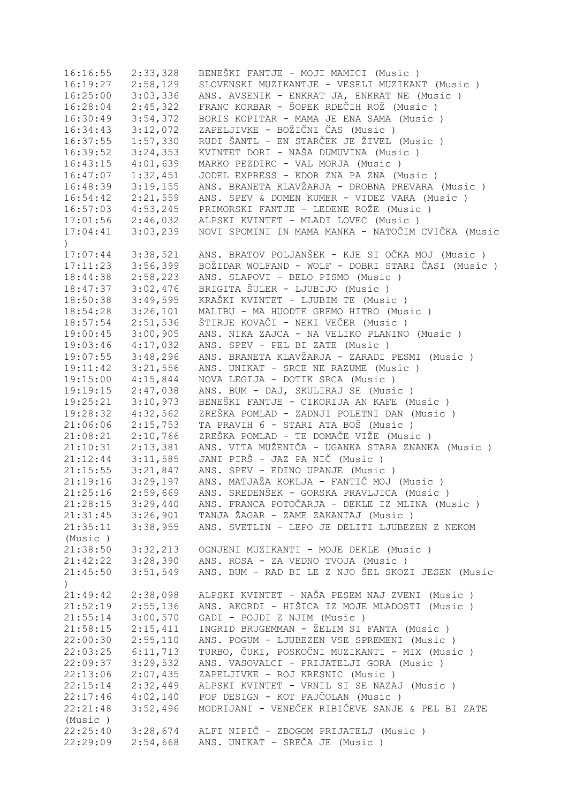| 16:16:55                     | 2:33,328 | BENEŠKI FANTJE - MOJI MAMICI (Music)               |
|------------------------------|----------|----------------------------------------------------|
| 16:19:27                     | 2:58,129 | SLOVENSKI MUZIKANTJE - VESELI MUZIKANT (Music)     |
| 16:25:00                     | 3:03,336 | ANS. AVSENIK - ENKRAT JA, ENKRAT NE (Music)        |
| 16:28:04                     | 2:45,322 | FRANC KORBAR - ŠOPEK RDEČIH ROŽ (Music )           |
| 16:30:49                     | 3:54,372 | BORIS KOPITAR - MAMA JE ENA SAMA (Music)           |
| 16:34:43                     | 3:12,072 | ZAPELJIVKE - BOŽIČNI ČAS (Music )                  |
| 16:37:55                     | 1:57,330 | RUDI ŠANTL - EN STARČEK JE ŽIVEL (Music)           |
| 16:39:52                     | 3:24,353 | KVINTET DORI - NAŠA DUMUVINA (Music )              |
| 16:43:15                     | 4:01,639 | MARKO PEZDIRC - VAL MORJA (Music)                  |
| 16:47:07                     | 1:32,451 | JODEL EXPRESS - KDOR ZNA PA ZNA (Music)            |
| 16:48:39                     | 3:19,155 | ANS. BRANETA KLAVŽARJA - DROBNA PREVARA (Music )   |
| 16:54:42                     | 2:21,559 | ANS. SPEV & DOMEN KUMER - VIDEZ VARA (Music)       |
|                              |          | PRIMORSKI FANTJE - LEDENE ROŽE (Music)             |
| 16:57:03                     | 4:53,245 |                                                    |
| $17:01:56$ $2:46,032$        |          | ALPSKI KVINTET - MLADI LOVEC (Music)               |
| 17:04:41<br>$\left( \right)$ | 3:03,239 | NOVI SPOMINI IN MAMA MANKA - NATOČIM CVIČKA (Music |
| 17:07:44                     | 3:38,521 | ANS. BRATOV POLJANŠEK - KJE SI OČKA MOJ (Music )   |
| 17:11:23                     | 3:56,399 | BOŽIDAR WOLFAND - WOLF - DOBRI STARI ČASI (Music ) |
| 18:44:38                     | 2:58,223 | ANS. SLAPOVI - BELO PISMO (Music)                  |
|                              |          |                                                    |
| 18:47:37                     | 3:02,476 | BRIGITA ŠULER - LJUBIJO (Music)                    |
| 18:50:38                     | 3:49,595 | KRAŠKI KVINTET - LJUBIM TE (Music)                 |
| 18:54:28                     | 3:26,101 | MALIBU - MA HUODTE GREMO HITRO (Music)             |
| 18:57:54                     | 2:51,536 | ŠTIRJE KOVAČI - NEKI VEČER (Music )                |
| 19:00:45                     | 3:00,905 | ANS. NIKA ZAJCA - NA VELIKO PLANINO (Music)        |
| 19:03:46                     | 4:17,032 | ANS. SPEV - PEL BI ZATE (Music)                    |
| 19:07:55                     | 3:48,296 | ANS. BRANETA KLAVŽARJA - ZARADI PESMI (Music )     |
| 19:11:42                     | 3:21,556 | ANS. UNIKAT - SRCE NE RAZUME (Music)               |
| 19:15:00                     | 4:15,844 | NOVA LEGIJA - DOTIK SRCA (Music)                   |
| 19:19:15                     | 2:47,038 | ANS. BUM - DAJ, SKULIRAJ SE (Music)                |
| 19:25:21                     | 3:10,973 | BENEŠKI FANTJE - CIKORIJA AN KAFE (Music )         |
| 19:28:32                     | 4:32,562 | ZREŠKA POMLAD - ZADNJI POLETNI DAN (Music )        |
| 21:06:06                     | 2:15,753 | TA PRAVIH 6 - STARI ATA BOŠ (Music)                |
| 21:08:21                     | 2:10,766 | ZREŠKA POMLAD - TE DOMAČE VIŽE (Music )            |
| 21:10:31                     | 2:13,381 | ANS. VITA MUŽENIČA - UGANKA STARA ZNANKA (Music)   |
| 21:12:44                     | 3:11,585 | JANI PIRŠ - JAZ PA NIČ (Music )                    |
| 21:15:55                     | 3:21,847 | ANS. SPEV - EDINO UPANJE (Music)                   |
| 21:19:16                     | 3:29,197 | ANS. MATJAŽA KOKLJA - FANTIČ MOJ (Music )          |
| 21:25:16                     | 2:59,669 | ANS. SREDENŠEK - GORSKA PRAVLJICA (Music )         |
| 21:28:15                     | 3:29,440 | ANS. FRANCA POTOČARJA - DEKLE IZ MLINA (Music)     |
| 21:31:45                     | 3:26,901 | TANJA ŽAGAR - ZAME ZAKANTAJ (Music)                |
| 21:35:11                     | 3:38,955 | ANS. SVETLIN - LEPO JE DELITI LJUBEZEN Z NEKOM     |
| (Music)                      |          |                                                    |
| 21:38:50                     | 3:32,213 | OGNJENI MUZIKANTI - MOJE DEKLE (Music)             |
| 21:42:22                     | 3:28,390 | ANS. ROSA - ZA VEDNO TVOJA (Music)                 |
| 21:45:50                     | 3:51,549 | ANS. BUM - RAD BI LE Z NJO ŠEL SKOZI JESEN (Music  |
| $\left( \right)$             |          |                                                    |
|                              |          | ALPSKI KVINTET - NAŠA PESEM NAJ ZVENI (Music)      |
| 21:49:42<br>21:52:19         | 2:38,098 | ANS. AKORDI - HIŠICA IZ MOJE MLADOSTI (Music )     |
|                              | 2:55,136 |                                                    |
| 21:55:14                     | 3:00,570 | GADI - POJDI Z NJIM (Music)                        |
| 21:58:15                     | 2:15,411 | INGRID BRUGEMMAN - ŽELIM SI FANTA (Music)          |
| 22:00:30                     | 2:55,110 | ANS. POGUM - LJUBEZEN VSE SPREMENI (Music )        |
| 22:03:25                     | 6:11,713 | TURBO, ČUKI, POSKOČNI MUZIKANTI - MIX (Music )     |
| 22:09:37                     | 3:29,532 | ANS. VASOVALCI - PRIJATELJI GORA (Music)           |
| 22:13:06                     | 2:07,435 | ZAPELJIVKE - ROJ KRESNIC (Music)                   |
| 22:15:14                     | 2:32,449 | ALPSKI KVINTET - VRNIL SI SE NAZAJ (Music)         |
| 22:17:46                     | 4:02,140 | POP DESIGN - KOT PAJČOLAN (Music)                  |
| 22:21:48                     | 3:52,496 | MODRIJANI - VENEČEK RIBIČEVE SANJE & PEL BI ZATE   |
| (Music)                      |          |                                                    |
| 22:25:40                     | 3:28,674 | ALFI NIPIČ - ZBOGOM PRIJATELJ (Music)              |
| 22:29:09                     | 2:54,668 | ANS. UNIKAT - SREČA JE (Music)                     |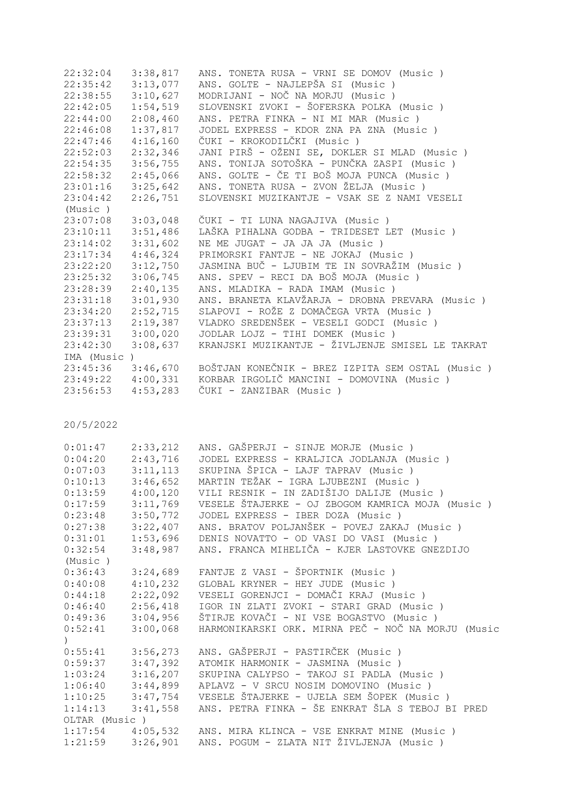| 22:32:04   | 3:38,817 | ANS. TONETA RUSA - VRNI SE DOMOV (Music)          |
|------------|----------|---------------------------------------------------|
| 22:35:42   | 3:13,077 | ANS. GOLTE - NAJLEPŠA SI (Music)                  |
| 22:38:55   | 3:10,627 | MODRIJANI - NOČ NA MORJU (Music)                  |
| 22:42:05   | 1:54,519 | SLOVENSKI ZVOKI - ŠOFERSKA POLKA (Music )         |
| 22:44:00   | 2:08,460 | ANS. PETRA FINKA - NI MI MAR (Music)              |
| 22:46:08   | 1:37,817 | JODEL EXPRESS - KDOR ZNA PA ZNA (Music)           |
| 22:47:46   | 4:16,160 | ČUKI - KROKODILČKI (Music )                       |
| 22:52:03   | 2:32,346 | JANI PIRŠ - OŽENI SE, DOKLER SI MLAD (Music )     |
| 22:54:35   | 3:56,755 | ANS. TONIJA SOTOŠKA - PUNČKA ZASPI (Music )       |
| 22:58:32   | 2:45,066 | ANS. GOLTE - ČE TI BOŠ MOJA PUNCA (Music )        |
| 23:01:16   | 3:25,642 | ANS. TONETA RUSA - ZVON ŽELJA (Music)             |
| 23:04:42   | 2:26,751 | SLOVENSKI MUZIKANTJE - VSAK SE Z NAMI VESELI      |
| (Music)    |          |                                                   |
| 23:07:08   | 3:03,048 | ČUKI - TI LUNA NAGAJIVA (Music )                  |
| 23:10:11   | 3:51,486 | LAŠKA PIHALNA GODBA - TRIDESET LET (Music)        |
| 23:14:02   | 3:31,602 | NE ME JUGAT - JA JA JA (Music)                    |
| 23:17:34   | 4:46,324 | PRIMORSKI FANTJE - NE JOKAJ (Music)               |
| 23:22:20   | 3:12,750 | JASMINA BUČ - LJUBIM TE IN SOVRAŽIM (Music )      |
| 23:25:32   | 3:06,745 | ANS. SPEV - RECI DA BOŠ MOJA (Music )             |
| 23:28:39   | 2:40,135 | ANS. MLADIKA - RADA IMAM (Music)                  |
| 23:31:18   | 3:01,930 | ANS. BRANETA KLAVŽARJA - DROBNA PREVARA (Music )  |
| 23:34:20   | 2:52,715 | SLAPOVI - ROŽE Z DOMAČEGA VRTA (Music )           |
| 23:37:13   | 2:19,387 | VLADKO SREDENŠEK - VESELI GODCI (Music)           |
| 23:39:31   | 3:00,020 | JODLAR LOJZ - TIHI DOMEK (Music)                  |
| 23:42:30   | 3:08,637 | KRANJSKI MUZIKANTJE - ŽIVLJENJE SMISEL LE TAKRAT  |
| IMA (Music |          |                                                   |
| 23:45:36   | 3:46,670 | BOŠTJAN KONEČNIK - BREZ IZPITA SEM OSTAL (Music ) |
| 23:49:22   | 4:00,331 | KORBAR IRGOLIČ MANCINI - DOMOVINA (Music)         |
| 23:56:53   | 4:53,283 | ČUKI - ZANZIBAR (Music)                           |
|            |          |                                                   |

| 0:01:47              | 2:33,212 | ANS. GAŠPERJI - SINJE MORJE (Music)                         |
|----------------------|----------|-------------------------------------------------------------|
| 0:04:20              | 2:43,716 | JODEL EXPRESS - KRALJICA JODLANJA (Music)                   |
| $0:07:03$ $3:11,113$ |          | SKUPINA ŠPICA - LAJF TAPRAV (Music )                        |
| $0:10:13$ $3:46,652$ |          | MARTIN TEŽAK - IGRA LJUBEZNI (Music)                        |
| 0:13:59              | 4:00,120 | VILI RESNIK - IN ZADIŠIJO DALIJE (Music )                   |
| 0:17:59              | 3:11,769 | VESELE ŠTAJERKE - OJ ZBOGOM KAMRICA MOJA (Music )           |
| 0:23:48              | 3:50,772 | JODEL EXPRESS - IBER DOZA (Music)                           |
| 0:27:38              | 3:22,407 | ANS. BRATOV POLJANŠEK - POVEJ ZAKAJ (Music )                |
| $0:31:01$ $1:53,696$ |          | DENIS NOVATTO - OD VASI DO VASI (Music)                     |
| 0:32:54              | 3:48,987 | ANS. FRANCA MIHELIČA - KJER LASTOVKE GNEZDIJO               |
| (Music)              |          |                                                             |
| 0:36:43              | 3:24,689 | FANTJE Z VASI - ŠPORTNIK (Music )                           |
| 0:40:08              | 4:10,232 | GLOBAL KRYNER - HEY JUDE (Music)                            |
| 0:44:18              | 2:22,092 | VESELI GORENJCI - DOMAČI KRAJ (Music )                      |
| 0:46:40              | 2:56,418 | IGOR IN ZLATI ZVOKI - STARI GRAD (Music )                   |
| $0:49:36$ $3:04,956$ |          | ŠTIRJE KOVAČI - NI VSE BOGASTVO (Music )                    |
| 0:52:41              | 3:00,068 | HARMONIKARSKI ORK. MIRNA PEČ - NOČ NA MORJU (Music          |
|                      |          |                                                             |
| $0:55:41$ $3:56,273$ |          | ANS. GAŠPERJI - PASTIRČEK (Music )                          |
| $0:59:37$ $3:47,392$ |          | ATOMIK HARMONIK - JASMINA (Music)                           |
| $1:03:24$ $3:16,207$ |          | SKUPINA CALYPSO - TAKOJ SI PADLA (Music)                    |
| $1:06:40$ $3:44,899$ |          | APLAVZ - V SRCU NOSIM DOMOVINO (Music)                      |
| $1:10:25$ $3:47,754$ |          | VESELE ŠTAJERKE - UJELA SEM ŠOPEK (Music)                   |
| $1:14:13$ $3:41,558$ |          | ANS. PETRA FINKA - ŠE ENKRAT ŠLA S TEBOJ BI PRED            |
| OLTAR (Music)        |          |                                                             |
|                      |          | 1:17:54 4:05,532 ANS. MIRA KLINCA - VSE ENKRAT MINE (Music) |
|                      |          | 1:21:59 3:26,901 ANS. POGUM - ZLATA NIT ŽIVLJENJA (Music)   |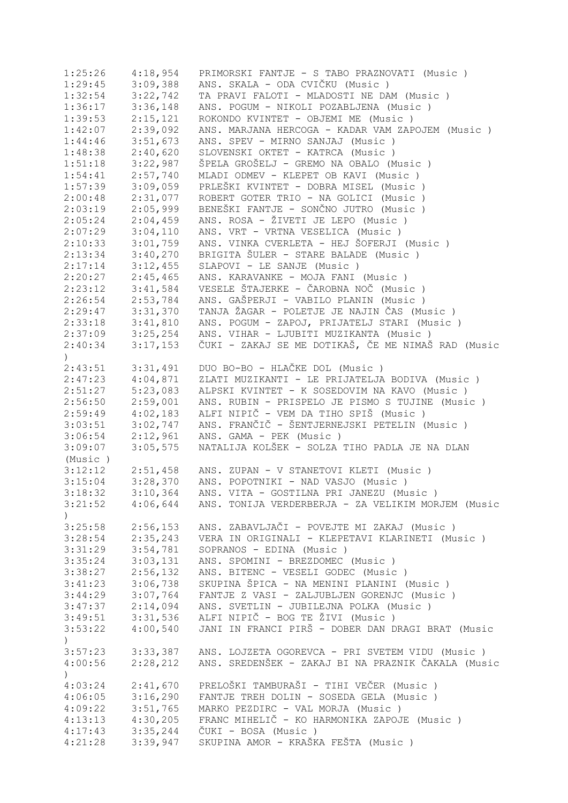| 1:25:26                     | 4:18,954 | PRIMORSKI FANTJE - S TABO PRAZNOVATI (Music )               |
|-----------------------------|----------|-------------------------------------------------------------|
| 1:29:45                     | 3:09,388 | ANS. SKALA - ODA CVIČKU (Music)                             |
| 1:32:54                     | 3:22,742 | TA PRAVI FALOTI - MLADOSTI NE DAM (Music)                   |
| 1:36:17                     | 3:36,148 | ANS. POGUM - NIKOLI POZABLJENA (Music)                      |
| 1:39:53                     | 2:15,121 | ROKONDO KVINTET - OBJEMI ME (Music)                         |
| 1:42:07                     | 2:39,092 | ANS. MARJANA HERCOGA - KADAR VAM ZAPOJEM (Music)            |
| 1:44:46                     | 3:51,673 | ANS. SPEV - MIRNO SANJAJ (Music)                            |
| 1:48:38                     | 2:40,620 | SLOVENSKI OKTET - KATRCA (Music)                            |
| 1:51:18                     | 3:22,987 | ŠPELA GROŠELJ - GREMO NA OBALO (Music)                      |
| 1:54:41                     | 2:57,740 | MLADI ODMEV - KLEPET OB KAVI (Music)                        |
| 1:57:39                     | 3:09,059 | PRLEŠKI KVINTET - DOBRA MISEL (Music )                      |
| 2:00:48                     | 2:31,077 | ROBERT GOTER TRIO - NA GOLICI (Music)                       |
| 2:03:19                     | 2:05,999 | BENEŠKI FANTJE - SONČNO JUTRO (Music)                       |
| 2:05:24                     | 2:04,459 | ANS. ROSA - ŽIVETI JE LEPO (Music)                          |
| 2:07:29                     | 3:04,110 | ANS. VRT - VRTNA VESELICA (Music)                           |
| 2:10:33                     | 3:01,759 | ANS. VINKA CVERLETA - HEJ ŠOFERJI (Music )                  |
| 2:13:34                     | 3:40,270 | BRIGITA ŠULER - STARE BALADE (Music)                        |
| 2:17:14                     |          | SLAPOVI - LE SANJE (Music)                                  |
|                             | 3:12,455 |                                                             |
| 2:20:27                     | 2:45,465 | ANS. KARAVANKE - MOJA FANI (Music)                          |
| 2:23:12                     | 3:41,584 | VESELE ŠTAJERKE - ČAROBNA NOČ (Music)                       |
| 2:26:54                     | 2:53,784 | ANS. GAŠPERJI - VABILO PLANIN (Music)                       |
| 2:29:47                     | 3:31,370 | TANJA ŽAGAR - POLETJE JE NAJIN ČAS (Music)                  |
| 2:33:18                     | 3:41,810 | ANS. POGUM - ZAPOJ, PRIJATELJ STARI (Music)                 |
| 2:37:09                     | 3:25,254 | ANS. VIHAR - LJUBITI MUZIKANTA (Music)                      |
| 2:40:34<br>$\left( \right)$ | 3:17,153 | ČUKI - ZAKAJ SE ME DOTIKAŠ, ČE ME NIMAŠ RAD (Music          |
| 2:43:51                     | 3:31,491 | DUO BO-BO - HLAČKE DOL (Music)                              |
| $2:47:23$ $4:04,871$        |          | ZLATI MUZIKANTI - LE PRIJATELJA BODIVA (Music )             |
| 2:51:27                     | 5:23,083 | ALPSKI KVINTET - K SOSEDOVIM NA KAVO (Music)                |
| 2:56:50                     | 2:59,001 | ANS. RUBIN - PRISPELO JE PISMO S TUJINE (Music )            |
| 2:59:49                     | 4:02,183 | ALFI NIPIČ - VEM DA TIHO SPIŠ (Music )                      |
| 3:03:51                     | 3:02,747 | ANS. FRANČIČ - ŠENTJERNEJSKI PETELIN (Music)                |
| 3:06:54                     | 2:12,961 | ANS. GAMA - PEK (Music)                                     |
| 3:09:07                     | 3:05,575 | NATALIJA KOLŠEK - SOLZA TIHO PADLA JE NA DLAN               |
| (Music)                     |          |                                                             |
| 3:12:12                     |          | 2:51,458 ANS. ZUPAN - V STANETOVI KLETI (Music)             |
| 3:15:04                     | 3:28,370 | ANS. POPOTNIKI - NAD VASJO (Music)                          |
| 3:18:32                     | 3:10,364 | ANS. VITA - GOSTILNA PRI JANEZU (Music)                     |
| 3:21:52                     |          | 4:06,644 ANS. TONIJA VERDERBERJA - ZA VELIKIM MORJEM (Music |
| $\mathcal{C}$               |          |                                                             |
| 3:25:58                     | 2:56,153 | ANS. ZABAVLJAČI - POVEJTE MI ZAKAJ (Music)                  |
| 3:28:54                     | 2:35,243 | VERA IN ORIGINALI - KLEPETAVI KLARINETI (Music )            |
| 3:31:29                     | 3:54,781 | SOPRANOS - EDINA (Music)                                    |
| 3:35:24                     | 3:03,131 | ANS. SPOMINI - BREZDOMEC (Music)                            |
| 3:38:27                     | 2:56,132 | ANS. BITENC - VESELI GODEC (Music)                          |
| 3:41:23                     | 3:06,738 | SKUPINA ŠPICA - NA MENINI PLANINI (Music )                  |
| 3:44:29                     | 3:07,764 | FANTJE Z VASI - ZALJUBLJEN GORENJC (Music )                 |
| 3:47:37                     | 2:14,094 | ANS. SVETLIN - JUBILEJNA POLKA (Music)                      |
| 3:49:51                     | 3:31,536 | ALFI NIPIČ - BOG TE ŽIVI (Music )                           |
| 3:53:22<br>$\mathcal{L}$    | 4:00,540 | JANI IN FRANCI PIRŠ - DOBER DAN DRAGI BRAT (Music           |
| 3:57:23                     | 3:33,387 | ANS. LOJZETA OGOREVCA - PRI SVETEM VIDU (Music)             |
| 4:00:56                     | 2:28,212 | ANS. SREDENŠEK - ZAKAJ BI NA PRAZNIK ČAKALA (Music          |
| $\left( \right)$            |          |                                                             |
| 4:03:24                     | 2:41,670 | PRELOŠKI TAMBURAŠI - TIHI VEČER (Music )                    |
| 4:06:05                     | 3:16,290 | FANTJE TREH DOLIN - SOSEDA GELA (Music)                     |
| 4:09:22                     | 3:51,765 | MARKO PEZDIRC - VAL MORJA (Music)                           |
| 4:13:13                     | 4:30,205 | FRANC MIHELIČ - KO HARMONIKA ZAPOJE (Music)                 |
| 4:17:43                     | 3:35,244 | ČUKI - BOSA (Music)                                         |
| 4:21:28                     | 3:39,947 | SKUPINA AMOR - KRAŠKA FEŠTA (Music )                        |
|                             |          |                                                             |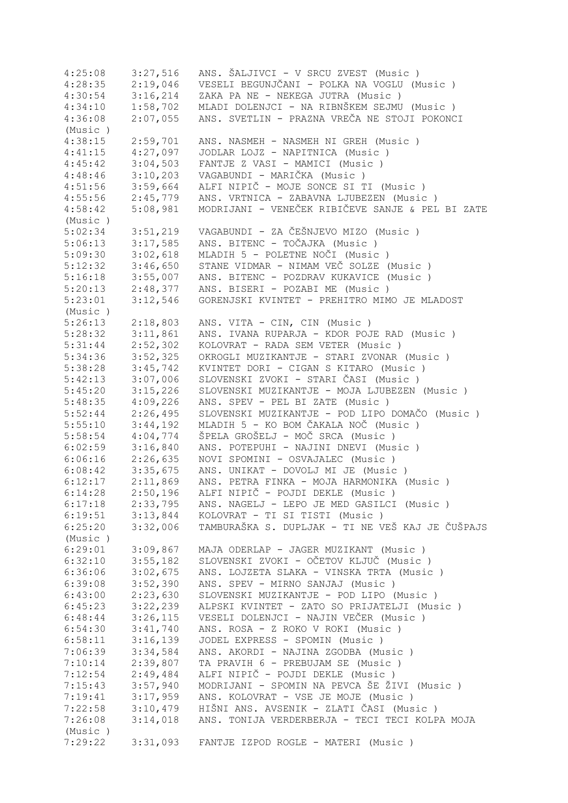| 4:25:08 | 3:27,516 | ANS. ŠALJIVCI - V SRCU ZVEST (Music)             |
|---------|----------|--------------------------------------------------|
| 4:28:35 | 2:19,046 | VESELI BEGUNJČANI - POLKA NA VOGLU (Music )      |
| 4:30:54 | 3:16,214 | ZAKA PA NE - NEKEGA JUTRA (Music)                |
| 4:34:10 | 1:58,702 | MLADI DOLENJCI - NA RIBNŠKEM SEJMU (Music)       |
| 4:36:08 | 2:07,055 | ANS. SVETLIN - PRAZNA VREČA NE STOJI POKONCI     |
| (Music) |          |                                                  |
| 4:38:15 | 2:59,701 | ANS. NASMEH - NASMEH NI GREH (Music)             |
| 4:41:15 | 4:27,097 | JODLAR LOJZ - NAPITNICA (Music)                  |
| 4:45:42 | 3:04,503 | FANTJE Z VASI - MAMICI (Music)                   |
| 4:48:46 | 3:10,203 | VAGABUNDI - MARIČKA (Music)                      |
| 4:51:56 | 3:59,664 | ALFI NIPIČ - MOJE SONCE SI TI (Music)            |
| 4:55:56 | 2:45,779 | ANS. VRTNICA - ZABAVNA LJUBEZEN (Music)          |
| 4:58:42 | 5:08,981 | MODRIJANI - VENEČEK RIBIČEVE SANJE & PEL BI ZATE |
| (Music) |          |                                                  |
| 5:02:34 | 3:51,219 | VAGABUNDI - ZA ČEŠNJEVO MIZO (Music )            |
| 5:06:13 | 3:17,585 | ANS. BITENC - TOČAJKA (Music)                    |
| 5:09:30 | 3:02,618 | MLADIH 5 - POLETNE NOČI (Music)                  |
| 5:12:32 | 3:46,650 | STANE VIDMAR - NIMAM VEČ SOLZE (Music)           |
| 5:16:18 | 3:55,007 | ANS. BITENC - POZDRAV KUKAVICE (Music)           |
| 5:20:13 |          | ANS. BISERI - POZABI ME (Music)                  |
|         | 2:48,377 |                                                  |
| 5:23:01 | 3:12,546 | GORENJSKI KVINTET - PREHITRO MIMO JE MLADOST     |
| (Music) |          |                                                  |
| 5:26:13 | 2:18,803 | ANS. VITA - CIN, CIN (Music )                    |
| 5:28:32 | 3:11,861 | ANS. IVANA RUPARJA - KDOR POJE RAD (Music)       |
| 5:31:44 | 2:52,302 | KOLOVRAT - RADA SEM VETER (Music)                |
| 5:34:36 | 3:52,325 | OKROGLI MUZIKANTJE - STARI ZVONAR (Music)        |
| 5:38:28 | 3:45,742 | KVINTET DORI - CIGAN S KITARO (Music )           |
| 5:42:13 | 3:07,006 | SLOVENSKI ZVOKI - STARI ČASI (Music )            |
| 5:45:20 | 3:15,226 | SLOVENSKI MUZIKANTJE - MOJA LJUBEZEN (Music )    |
| 5:48:35 | 4:09,226 | ANS. SPEV - PEL BI ZATE (Music)                  |
| 5:52:44 | 2:26,495 | SLOVENSKI MUZIKANTJE - POD LIPO DOMAČO (Music )  |
| 5:55:10 | 3:44,192 | MLADIH 5 - KO BOM ČAKALA NOČ (Music)             |
| 5:58:54 | 4:04,774 | ŠPELA GROŠELJ - MOČ SRCA (Music )                |
| 6:02:59 | 3:16,840 | ANS. POTEPUHI - NAJINI DNEVI (Music)             |
| 6:06:16 | 2:26,635 | NOVI SPOMINI - OSVAJALEC (Music)                 |
| 6:08:42 | 3:35,675 | ANS. UNIKAT - DOVOLJ MI JE (Music)               |
| 6:12:17 | 2:11,869 | ANS. PETRA FINKA - MOJA HARMONIKA (Music)        |
| 6:14:28 | 2:50,196 | ALFI NIPIČ - POJDI DEKLE (Music)                 |
| 6:17:18 | 2:33,795 | ANS. NAGELJ - LEPO JE MED GASILCI (Music)        |
| 6:19:51 | 3:13,844 | KOLOVRAT - TI SI TISTI (Music)                   |
| 6:25:20 | 3:32,006 | TAMBURAŠKA S. DUPLJAK - TI NE VEŠ KAJ JE ČUŠPAJS |
| (Music) |          |                                                  |
| 6:29:01 | 3:09,867 | MAJA ODERLAP - JAGER MUZIKANT (Music)            |
| 6:32:10 | 3:55,182 | SLOVENSKI ZVOKI - OČETOV KLJUČ (Music )          |
| 6:36:06 | 3:02,675 | ANS. LOJZETA SLAKA - VINSKA TRTA (Music )        |
| 6:39:08 | 3:52,390 | ANS. SPEV - MIRNO SANJAJ (Music)                 |
| 6:43:00 | 2:23,630 | SLOVENSKI MUZIKANTJE - POD LIPO (Music)          |
| 6:45:23 | 3:22,239 | ALPSKI KVINTET - ZATO SO PRIJATELJI (Music)      |
| 6:48:44 | 3:26,115 | VESELI DOLENJCI - NAJIN VEČER (Music)            |
| 6:54:30 | 3:41,740 | ANS. ROSA - Z ROKO V ROKI (Music )               |
| 6:58:11 | 3:16,139 | JODEL EXPRESS - SPOMIN (Music)                   |
| 7:06:39 | 3:34,584 | ANS. AKORDI - NAJINA ZGODBA (Music)              |
| 7:10:14 | 2:39,807 | TA PRAVIH 6 - PREBUJAM SE (Music)                |
| 7:12:54 | 2:49,484 | ALFI NIPIČ - POJDI DEKLE (Music)                 |
| 7:15:43 | 3:57,940 | MODRIJANI - SPOMIN NA PEVCA ŠE ŽIVI (Music )     |
| 7:19:41 | 3:17,959 | ANS. KOLOVRAT - VSE JE MOJE (Music)              |
| 7:22:58 | 3:10,479 | HIŠNI ANS. AVSENIK - ZLATI ČASI (Music )         |
| 7:26:08 | 3:14,018 | ANS. TONIJA VERDERBERJA - TECI TECI KOLPA MOJA   |
| (Music) |          |                                                  |
| 7:29:22 | 3:31,093 | FANTJE IZPOD ROGLE - MATERI (Music)              |
|         |          |                                                  |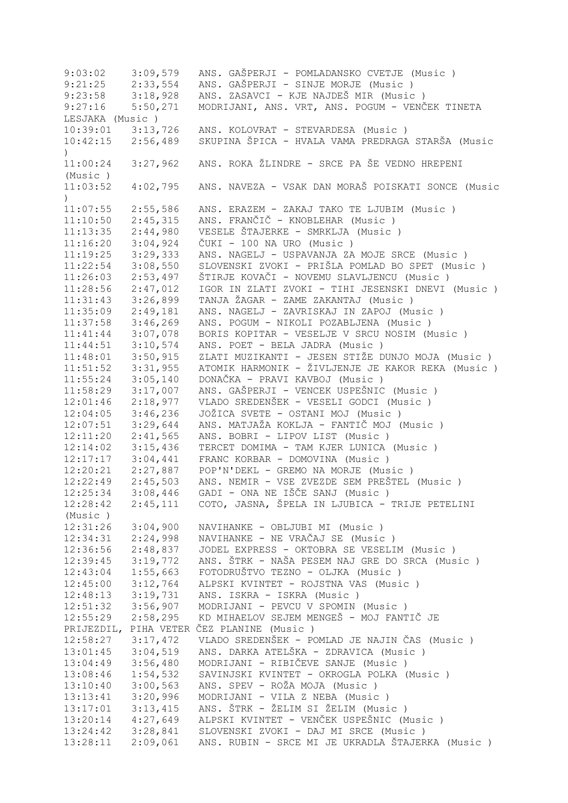9:03:02 3:09,579 ANS. GAŠPERJI - POMLADANSKO CVETJE (Music)<br>9:21:25 2:33,554 ANS. GAŠPERJI - SINJE MORJE (Music) 9:21:25 2:33,554 ANS. GAŠPERJI - SINJE MORJE (Music)<br>9:23:58 3:18,928 ANS. ZASAVCI - KJE NAJDEŠ MIR (Music 9:23:58 3:18,928 ANS. ZASAVCI - KJE NAJDEŠ MIR (Music)<br>9:27:16 5:50,271 MODRIJANI, ANS. VRT, ANS. POGUM - VENČ 9:27:16 5:50,271 MODRIJANI, ANS. VRT, ANS. POGUM - VENČEK TINETA LESJAKA (Music ) 10:39:01 3:13,726 ANS. KOLOVRAT - STEVARDESA (Music ) 10:42:15 2:56,489 SKUPINA ŠPICA - HVALA VAMA PREDRAGA STARŠA (Music  $\lambda$ 11:00:24 3:27,962 ANS. ROKA ŽLINDRE - SRCE PA ŠE VEDNO HREPENI (Music ) 11:03:52 4:02,795 ANS. NAVEZA - VSAK DAN MORAŠ POISKATI SONCE (Music  $\lambda$ 11:07:55 2:55,586 ANS. ERAZEM - ZAKAJ TAKO TE LJUBIM (Music ) 11:10:50 2:45,315 ANS. FRANČIČ - KNOBLEHAR (Music ) 11:13:35 2:44,980 VESELE ŠTAJERKE - SMRKLJA (Music ) 11:16:20 3:04,924 ČUKI - 100 NA URO (Music ) 11:19:25 3:29,333 ANS. NAGELJ - USPAVANJA ZA MOJE SRCE (Music ) 11:22:54 3:08,550 SLOVENSKI ZVOKI - PRIŠLA POMLAD BO SPET (Music ) 11:26:03 2:53,497 ŠTIRJE KOVAČI - NOVEMU SLAVLJENCU (Music ) 11:28:56 2:47,012 IGOR IN ZLATI ZVOKI - TIHI JESENSKI DNEVI (Music ) 11:31:43 3:26,899 TANJA ŽAGAR - ZAME ZAKANTAJ (Music ) 11:35:09 2:49,181 ANS. NAGELJ - ZAVRISKAJ IN ZAPOJ (Music ) 11:37:58 3:46,269 ANS. POGUM - NIKOLI POZABLJENA (Music ) 11:41:44 3:07,078 BORIS KOPITAR - VESELJE V SRCU NOSIM (Music ) 11:44:51 3:10,574 ANS. POET - BELA JADRA (Music ) 11:48:01 3:50,915 ZLATI MUZIKANTI - JESEN STIŽE DUNJO MOJA (Music ) 11:51:52 3:31,955 ATOMIK HARMONIK - ŽIVLJENJE JE KAKOR REKA (Music ) 11:55:24 3:05,140 DONAČKA - PRAVI KAVBOJ (Music ) 11:58:29 3:17,007 ANS. GAŠPERJI - VENCEK USPEŠNIC (Music ) 12:01:46 2:18,977 VLADO SREDENŠEK - VESELI GODCI (Music ) 12:04:05 3:46,236 JOŽICA SVETE - OSTANI MOJ (Music ) 12:07:51 3:29,644 ANS. MATJAŽA KOKLJA - FANTIČ MOJ (Music ) 12:11:20 2:41,565 ANS. BOBRI - LIPOV LIST (Music ) 12:14:02 3:15,436 TERCET DOMIMA - TAM KJER LUNICA (Music ) 12:17:17 3:04,441 FRANC KORBAR - DOMOVINA (Music ) 12:20:21 2:27,887 POP'N'DEKL - GREMO NA MORJE (Music ) 12:22:49 2:45,503 ANS. NEMIR - VSE ZVEZDE SEM PREŠTEL (Music ) 12:25:34 3:08,446 GADI - ONA NE IŠČE SANJ (Music ) 12:28:42 2:45,111 COTO, JASNA, ŠPELA IN LJUBICA - TRIJE PETELINI (Music ) 12:31:26 3:04,900 NAVIHANKE - OBLJUBI MI (Music ) 12:34:31 2:24,998 NAVIHANKE - NE VRAČAJ SE (Music ) 12:36:56 2:48,837 JODEL EXPRESS - OKTOBRA SE VESELIM (Music ) 12:39:45 3:19,772 ANS. ŠTRK - NAŠA PESEM NAJ GRE DO SRCA (Music ) 12:43:04 1:55,663 FOTODRUŠTVO TEZNO - OLJKA (Music ) 12:45:00 3:12,764 ALPSKI KVINTET - ROJSTNA VAS (Music)<br>12:48:13 3:19,731 ANS. ISKRA - ISKRA (Music) 3:19,731 ANS. ISKRA - ISKRA (Music ) 12:51:32 3:56,907 MODRIJANI - PEVCU V SPOMIN (Music ) 12:55:29 2:58,295 KD MIHAELOV SEJEM MENGEŠ - MOJ FANTIČ JE PRIJEZDIL, PIHA VETER ČEZ PLANINE (Music ) 12:58:27 3:17,472 VLADO SREDENŠEK - POMLAD JE NAJIN ČAS (Music ) 13:01:45 3:04,519 ANS. DARKA ATELŠKA - ZDRAVICA (Music)<br>13:04:49 3:56,480 MODRIJANI - RIBIČEVE SANJE (Music) 3:56,480 MODRIJANI - RIBIČEVE SANJE (Music ) 13:08:46 1:54,532 SAVINJSKI KVINTET - OKROGLA POLKA (Music ) 13:10:40 3:00,563 ANS. SPEV - ROŽA MOJA (Music ) 13:13:41 3:20,996 MODRIJANI - VILA Z NEBA (Music ) 13:17:01 3:13,415 ANS. ŠTRK - ŽELIM SI ŽELIM (Music ) 13:20:14 4:27,649 ALPSKI KVINTET - VENČEK USPEŠNIC (Music ) 13:24:42 3:28,841 SLOVENSKI ZVOKI - DAJ MI SRCE (Music ) 13:28:11 2:09,061 ANS. RUBIN - SRCE MI JE UKRADLA ŠTAJERKA (Music )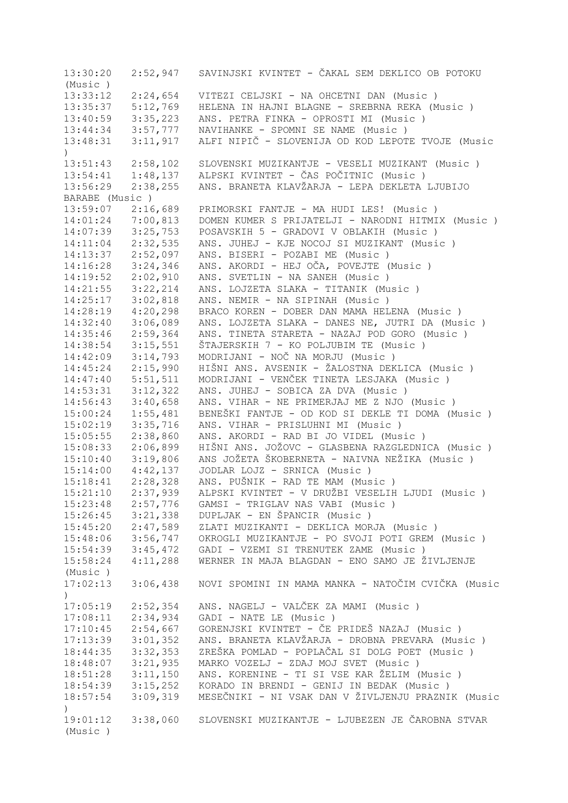13:30:20 2:52,947 SAVINJSKI KVINTET - ČAKAL SEM DEKLICO OB POTOKU (Music ) 13:33:12 2:24,654 VITEZI CELJSKI - NA OHCETNI DAN (Music ) 13:35:37 5:12,769 HELENA IN HAJNI BLAGNE - SREBRNA REKA (Music ) 13:40:59 3:35,223 ANS. PETRA FINKA - OPROSTI MI (Music ) 13:44:34 3:57,777 NAVIHANKE - SPOMNI SE NAME (Music ) 13:48:31 3:11,917 ALFI NIPIČ - SLOVENIJA OD KOD LEPOTE TVOJE (Music  $\lambda$ 13:51:43 2:58,102 SLOVENSKI MUZIKANTJE - VESELI MUZIKANT (Music ) 13:54:41 1:48,137 ALPSKI KVINTET - ČAS POČITNIC (Music ) 13:56:29 2:38,255 ANS. BRANETA KLAVŽARJA - LEPA DEKLETA LJUBIJO BARABE (Music ) 13:59:07 2:16,689 PRIMORSKI FANTJE - MA HUDI LES! (Music ) 14:01:24 7:00,813 DOMEN KUMER S PRIJATELJI - NARODNI HITMIX (Music ) 14:07:39 3:25,753 POSAVSKIH 5 - GRADOVI V OBLAKIH (Music ) 14:11:04 2:32,535 ANS. JUHEJ - KJE NOCOJ SI MUZIKANT (Music ) 14:13:37 2:52,097 ANS. BISERI - POZABI ME (Music ) 14:16:28 3:24,346 ANS. AKORDI - HEJ OČA, POVEJTE (Music ) 14:19:52 2:02,910 ANS. SVETLIN - NA SANEH (Music ) 14:21:55 3:22,214 ANS. LOJZETA SLAKA - TITANIK (Music ) 14:25:17 3:02,818 ANS. NEMIR - NA SIPINAH (Music ) 14:28:19 4:20,298 BRACO KOREN - DOBER DAN MAMA HELENA (Music ) 14:32:40 3:06,089 ANS. LOJZETA SLAKA - DANES NE, JUTRI DA (Music ) 14:35:46 2:59,364 ANS. TINETA STARETA - NAZAJ POD GORO (Music ) 14:38:54 3:15,551 ŠTAJERSKIH 7 - KO POLJUBIM TE (Music ) 14:42:09 3:14,793 MODRIJANI - NOČ NA MORJU (Music ) 14:45:24 2:15,990 HIŠNI ANS. AVSENIK - ŽALOSTNA DEKLICA (Music ) 14:47:40 5:51,511 MODRIJANI - VENČEK TINETA LESJAKA (Music ) 14:53:31 3:12,322 ANS. JUHEJ - SOBICA ZA DVA (Music ) 14:56:43 3:40,658 ANS. VIHAR - NE PRIMERJAJ ME Z NJO (Music ) 15:00:24 1:55,481 BENEŠKI FANTJE - OD KOD SI DEKLE TI DOMA (Music ) 15:02:19 3:35,716 ANS. VIHAR - PRISLUHNI MI (Music ) 15:05:55 2:38,860 ANS. AKORDI - RAD BI JO VIDEL (Music ) 15:08:33 2:06,899 HIŠNI ANS. JOŽOVC - GLASBENA RAZGLEDNICA (Music ) 15:10:40 3:19,806 ANS JOŽETA ŠKOBERNETA - NAIVNA NEŽIKA (Music ) 15:14:00 4:42,137 JODLAR LOJZ - SRNICA (Music ) 15:18:41 2:28,328 ANS. PUŠNIK - RAD TE MAM (Music ) 15:21:10 2:37,939 ALPSKI KVINTET - V DRUŽBI VESELIH LJUDI (Music ) 15:23:48 2:57,776 GAMSI - TRIGLAV NAS VABI (Music ) 15:26:45 3:21,338 DUPLJAK - EN ŠPANCIR (Music ) 15:45:20 2:47,589 ZLATI MUZIKANTI - DEKLICA MORJA (Music ) 15:48:06 3:56,747 OKROGLI MUZIKANTJE - PO SVOJI POTI GREM (Music ) 15:54:39 3:45,472 GADI - VZEMI SI TRENUTEK ZAME (Music ) 15:58:24 4:11,288 WERNER IN MAJA BLAGDAN - ENO SAMO JE ŽIVLJENJE (Music ) 17:02:13 3:06,438 NOVI SPOMINI IN MAMA MANKA - NATOČIM CVIČKA (Music ) 17:05:19 2:52,354 ANS. NAGELJ - VALČEK ZA MAMI (Music ) 17:08:11 2:34,934 GADI - NATE LE (Music ) 17:10:45 2:54,667 GORENJSKI KVINTET - ČE PRIDEŠ NAZAJ (Music ) 17:13:39 3:01,352 ANS. BRANETA KLAVŽARJA - DROBNA PREVARA (Music)<br>18:44:35 3:32,353 ZREŠKA POMLAD - POPLAČAL SI DOLG POET (Music) 18:44:35 3:32,353 ZREŠKA POMLAD - POPLAČAL SI DOLG POET (Music ) 18:48:07 3:21,935 MARKO VOZELJ - ZDAJ MOJ SVET (Music ) 18:51:28 3:11,150 ANS. KORENINE - TI SI VSE KAR ŽELIM (Music ) 18:54:39 3:15,252 KORADO IN BRENDI - GENIJ IN BEDAK (Music ) 18:57:54 3:09,319 MESEČNIKI - NI VSAK DAN V ŽIVLJENJU PRAZNIK (Music  $\lambda$ 19:01:12 3:38,060 SLOVENSKI MUZIKANTJE - LJUBEZEN JE ČAROBNA STVAR (Music )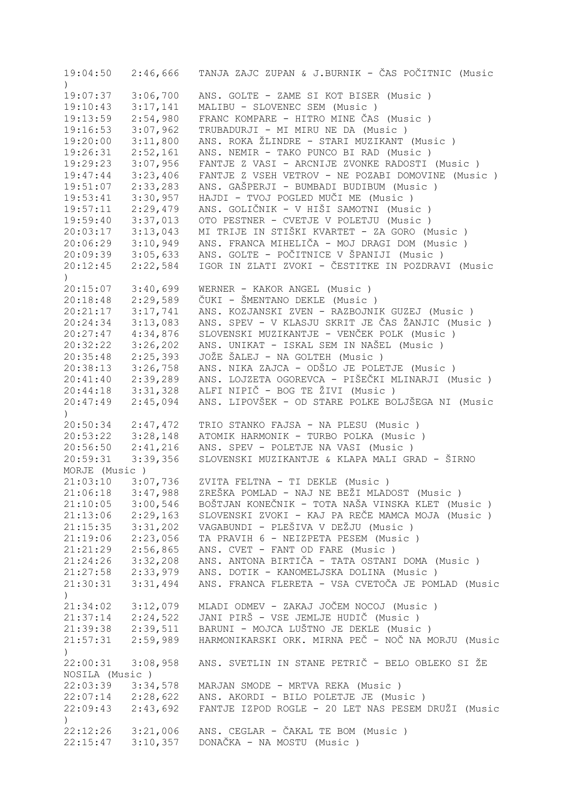| $\left( \right)$      |          | 19:04:50  2:46,666 TANJA ZAJC ZUPAN & J.BURNIK - ČAS POČITNIC (Music |
|-----------------------|----------|----------------------------------------------------------------------|
| 19:07:37              | 3:06,700 | ANS. GOLTE - ZAME SI KOT BISER (Music)                               |
| 19:10:43              | 3:17,141 | MALIBU - SLOVENEC SEM (Music)                                        |
| 19:13:59              | 2:54,980 | FRANC KOMPARE - HITRO MINE ČAS (Music)                               |
| 19:16:53              | 3:07,962 | TRUBADURJI - MI MIRU NE DA (Music)                                   |
| 19:20:00              | 3:11,800 | ANS. ROKA ŽLINDRE - STARI MUZIKANT (Music )                          |
| 19:26:31              | 2:52,161 | ANS. NEMIR - TAKO PUNCO BI RAD (Music)                               |
| 19:29:23              | 3:07,956 | FANTJE Z VASI - ARCNIJE ZVONKE RADOSTI (Music)                       |
| 19:47:44              | 3:23,406 | FANTJE Z VSEH VETROV - NE POZABI DOMOVINE (Music )                   |
| 19:51:07              | 2:33,283 | ANS. GAŠPERJI - BUMBADI BUDIBUM (Music)                              |
| 19:53:41              | 3:30,957 | HAJDI - TVOJ POGLED MUČI ME (Music)                                  |
| 19:57:11              | 2:29,479 | ANS. GOLIČNIK - V HIŠI SAMOTNI (Music )                              |
| 19:59:40              | 3:37,013 | OTO PESTNER - CVETJE V POLETJU (Music )                              |
| 20:03:17              | 3:13,043 | MI TRIJE IN STIŠKI KVARTET - ZA GORO (Music )                        |
| 20:06:29              | 3:10,949 | ANS. FRANCA MIHELIČA - MOJ DRAGI DOM (Music)                         |
|                       | 3:05,633 | ANS. GOLTE - POČITNICE V ŠPANIJI (Music )                            |
| 20:09:39<br>20:12:45  | 2:22,584 | IGOR IN ZLATI ZVOKI - ČESTITKE IN POZDRAVI (Music                    |
|                       |          |                                                                      |
| $\left( \right)$      |          |                                                                      |
| 20:15:07              | 3:40,699 | WERNER - KAKOR ANGEL (Music)                                         |
| 20:18:48              | 2:29,589 | ČUKI - ŠMENTANO DEKLE (Music)                                        |
| 20:21:17              | 3:17,741 | ANS. KOZJANSKI ZVEN - RAZBOJNIK GUZEJ (Music )                       |
| 20:24:34              | 3:13,083 | ANS. SPEV - V KLASJU SKRIT JE ČAS ŽANJIC (Music )                    |
| 20:27:47              | 4:34,876 | SLOVENSKI MUZIKANTJE - VENČEK POLK (Music )                          |
| 20:32:22              | 3:26,202 | ANS. UNIKAT - ISKAL SEM IN NAŠEL (Music)                             |
| 20:35:48              | 2:25,393 | JOŽE ŠALEJ - NA GOLTEH (Music)                                       |
| 20:38:13              | 3:26,758 | ANS. NIKA ZAJCA - ODŠLO JE POLETJE (Music)                           |
| 20:41:40              | 2:39,289 | ANS. LOJZETA OGOREVCA - PIŠEČKI MLINARJI (Music)                     |
| 20:44:18              | 3:31,328 | ALFI NIPIČ - BOG TE ŽIVI (Music)                                     |
| 20:47:49              | 2:45,094 | ANS. LIPOVŠEK - OD STARE POLKE BOLJŠEGA NI (Music                    |
| $\left( \right)$      |          |                                                                      |
| 20:50:34 2:47,472     |          | TRIO STANKO FAJSA - NA PLESU (Music)                                 |
| 20:53:22 3:28,148     |          | ATOMIK HARMONIK - TURBO POLKA (Music)                                |
| 20:56:50 2:41,216     |          | ANS. SPEV - POLETJE NA VASI (Music )                                 |
| 20:59:31              | 3:39,356 | SLOVENSKI MUZIKANTJE & KLAPA MALI GRAD - ŠIRNO                       |
| MORJE (Music)         |          |                                                                      |
| 21:03:10              | 3:07,736 | ZVITA FELTNA - TI DEKLE (Music)                                      |
| 21:06:18              | 3:47,988 | ZREŠKA POMLAD - NAJ NE BEŽI MLADOST (Music )                         |
| 21:10:05              | 3:00,546 | BOŠTJAN KONEČNIK - TOTA NAŠA VINSKA KLET (Music )                    |
| 21:13:06              | 2:29,163 | SLOVENSKI ZVOKI - KAJ PA REČE MAMCA MOJA (Music)                     |
| 21:15:35              | 3:31,202 | VAGABUNDI - PLEŠIVA V DEŽJU (Music )                                 |
| 21:19:06              | 2:23,056 | TA PRAVIH 6 - NEIZPETA PESEM (Music)                                 |
| 21:21:29              | 2:56,865 | ANS. CVET - FANT OD FARE (Music)                                     |
| 21:24:26              | 3:32,208 | ANS. ANTONA BIRTIČA - TATA OSTANI DOMA (Music)                       |
| 21:27:58              | 2:33,979 | ANS. DOTIK - KANOMELJSKA DOLINA (Music)                              |
| 21:30:31              | 3:31,494 | ANS. FRANCA FLERETA - VSA CVETOČA JE POMLAD (Music                   |
| $\mathcal{L}$         |          |                                                                      |
| 21:34:02              | 3:12,079 | MLADI ODMEV - ZAKAJ JOČEM NOCOJ (Music)                              |
| 21:37:14              | 2:24,522 | JANI PIRŠ - VSE JEMLJE HUDIČ (Music )                                |
| 21:39:38              | 2:39,511 | BARUNI - MOJCA LUŠTNO JE DEKLE (Music)                               |
| 21:57:31              | 2:59,989 | HARMONIKARSKI ORK. MIRNA PEČ - NOČ NA MORJU (Music                   |
| $\mathcal{L}$         |          |                                                                      |
| 22:00:31              | 3:08,958 | ANS. SVETLIN IN STANE PETRIČ - BELO OBLEKO SI ŽE                     |
| NOSILA (Music)        |          |                                                                      |
| 22:03:39              | 3:34,578 | MARJAN SMODE - MRTVA REKA (Music)                                    |
| $22:07:14$ $2:28,622$ |          | ANS. AKORDI - BILO POLETJE JE (Music)                                |
| 22:09:43              | 2:43,692 | FANTJE IZPOD ROGLE - 20 LET NAS PESEM DRUŽI (Music                   |
| $\mathcal{L}$         |          |                                                                      |
| 22:12:26              | 3:21,006 | ANS. CEGLAR - ČAKAL TE BOM (Music )                                  |
| 22:15:47              | 3:10,357 | DONAČKA - NA MOSTU (Music)                                           |
|                       |          |                                                                      |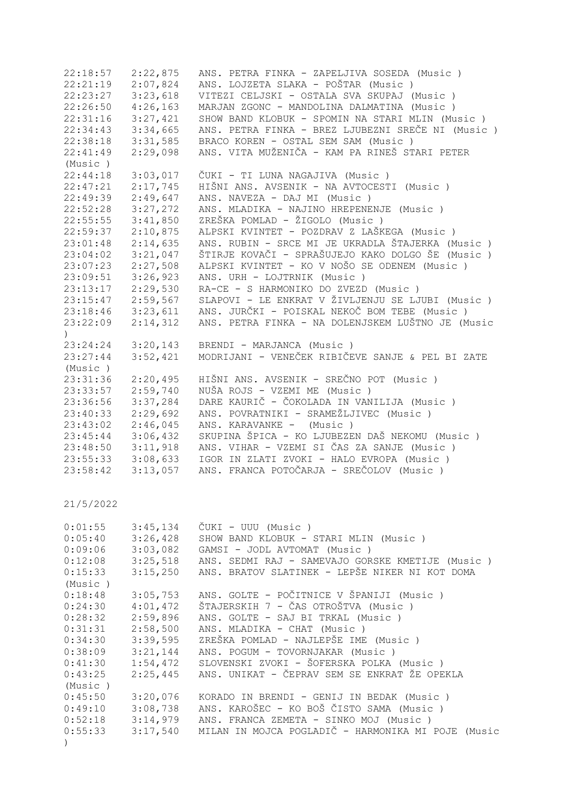| 22:18:57  | 2:22,875 | ANS. PETRA FINKA - ZAPELJIVA SOSEDA (Music )       |
|-----------|----------|----------------------------------------------------|
|           |          |                                                    |
| 22:21:19  | 2:07,824 | ANS. LOJZETA SLAKA - POŠTAR (Music )               |
| 22:23:27  | 3:23,618 | VITEZI CELJSKI - OSTALA SVA SKUPAJ (Music)         |
| 22:26:50  | 4:26,163 | MARJAN ZGONC - MANDOLINA DALMATINA (Music)         |
| 22:31:16  | 3:27,421 | SHOW BAND KLOBUK - SPOMIN NA STARI MLIN (Music )   |
| 22:34:43  | 3:34,665 | ANS. PETRA FINKA - BREZ LJUBEZNI SREČE NI (Music ) |
| 22:38:18  | 3:31,585 | BRACO KOREN - OSTAL SEM SAM (Music)                |
| 22:41:49  | 2:29,098 | ANS. VITA MUŽENIČA - KAM PA RINEŠ STARI PETER      |
| (Music)   |          |                                                    |
| 22:44:18  | 3:03,017 | ČUKI - TI LUNA NAGAJIVA (Music)                    |
| 22:47:21  | 2:17,745 | HIŠNI ANS. AVSENIK - NA AVTOCESTI (Music)          |
| 22:49:39  | 2:49,647 | ANS. NAVEZA - DAJ MI (Music)                       |
| 22:52:28  | 3:27,272 | ANS. MLADIKA - NAJINO HREPENENJE (Music)           |
| 22:55:55  | 3:41,850 | ZREŠKA POMLAD - ŽIGOLO (Music)                     |
| 22:59:37  | 2:10,875 | ALPSKI KVINTET - POZDRAV Z LAŠKEGA (Music )        |
| 23:01:48  | 2:14,635 | ANS. RUBIN - SRCE MI JE UKRADLA ŠTAJERKA (Music)   |
| 23:04:02  | 3:21,047 | ŠTIRJE KOVAČI - SPRAŠUJEJO KAKO DOLGO ŠE (Music )  |
| 23:07:23  | 2:27,508 | ALPSKI KVINTET - KO V NOŠO SE ODENEM (Music )      |
| 23:09:51  | 3:26,923 | ANS. URH - LOJTRNIK (Music)                        |
| 23:13:17  | 2:29,530 | RA-CE - S HARMONIKO DO ZVEZD (Music)               |
| 23:15:47  | 2:59,567 | SLAPOVI - LE ENKRAT V ŽIVLJENJU SE LJUBI (Music)   |
| 23:18:46  | 3:23,611 | ANS. JURČKI - POISKAL NEKOČ BOM TEBE (Music)       |
| 23:22:09  | 2:14,312 | ANS. PETRA FINKA - NA DOLENJSKEM LUŠTNO JE (Music  |
| $\lambda$ |          |                                                    |
| 23:24:24  | 3:20,143 | BRENDI - MARJANCA (Music)                          |
| 23:27:44  | 3:52,421 | MODRIJANI - VENEČEK RIBIČEVE SANJE & PEL BI ZATE   |
| (Music)   |          |                                                    |
| 23:31:36  | 2:20,495 | HIŠNI ANS. AVSENIK - SREČNO POT (Music )           |
| 23:33:57  | 2:59,740 | NUŠA ROJS - VZEMI ME (Music)                       |
| 23:36:56  | 3:37,284 | DARE KAURIČ - ČOKOLADA IN VANILIJA (Music)         |
| 23:40:33  | 2:29,692 | ANS. POVRATNIKI - SRAMEŽLJIVEC (Music )            |
| 23:43:02  | 2:46,045 | ANS. KARAVANKE -<br>(Music)                        |
| 23:45:44  | 3:06,432 | SKUPINA ŠPICA - KO LJUBEZEN DAŠ NEKOMU (Music)     |
| 23:48:50  | 3:11,918 | ANS. VIHAR - VZEMI SI ČAS ZA SANJE (Music)         |
| 23:55:33  | 3:08,633 | IGOR IN ZLATI ZVOKI - HALO EVROPA (Music)          |
| 23:58:42  | 3:13,057 | ANS. FRANCA POTOČARJA - SREČOLOV (Music )          |
|           |          |                                                    |

| 0:01:55  | 3:45,134             | CUKI - UUU (Music)                                 |
|----------|----------------------|----------------------------------------------------|
| 0:05:40  | 3:26,428             | SHOW BAND KLOBUK - STARI MLIN (Music)              |
| 0:09:06  | 3:03,082             | GAMSI - JODL AVTOMAT (Music )                      |
| 0:12:08  | 3:25,518             | ANS. SEDMI RAJ - SAMEVAJO GORSKE KMETIJE (Music)   |
|          | $0:15:33$ $3:15,250$ | ANS. BRATOV SLATINEK - LEPŠE NIKER NI KOT DOMA     |
| (Music ) |                      |                                                    |
|          | $0:18:48$ 3:05,753   | ANS. GOLTE - POČITNICE V ŠPANIJI (Music )          |
|          | $0:24:30$ $4:01,472$ | ŠTAJERSKIH 7 - ČAS OTROŠTVA (Music )               |
| 0:28:32  | 2:59,896             | ANS. GOLTE - SAJ BI TRKAL (Music)                  |
| 0:31:31  | 2:58,500             | ANS. MLADIKA - CHAT (Music)                        |
| 0:34:30  | 3:39,595             | ZREŠKA POMLAD - NAJLEPŠE IME (Music )              |
| 0:38:09  | 3:21,144             | ANS. POGUM - TOVORNJAKAR (Music)                   |
|          | $0:41:30$ $1:54,472$ | SLOVENSKI ZVOKI - ŠOFERSKA POLKA (Music )          |
| 0:43:25  | 2:25,445             | ANS. UNIKAT - ČEPRAV SEM SE ENKRAT ŽE OPEKLA       |
| (Music)  |                      |                                                    |
| 0:45:50  | 3:20,076             | KORADO IN BRENDI - GENIJ IN BEDAK (Music)          |
| 0:49:10  | 3:08,738             | ANS. KAROŠEC - KO BOŠ ČISTO SAMA (Music )          |
| 0:52:18  | 3:14,979             | ANS. FRANCA ZEMETA - SINKO MOJ (Music)             |
| 0:55:33  | 3:17,540             | MILAN IN MOJCA POGLADIČ - HARMONIKA MI POJE (Music |
|          |                      |                                                    |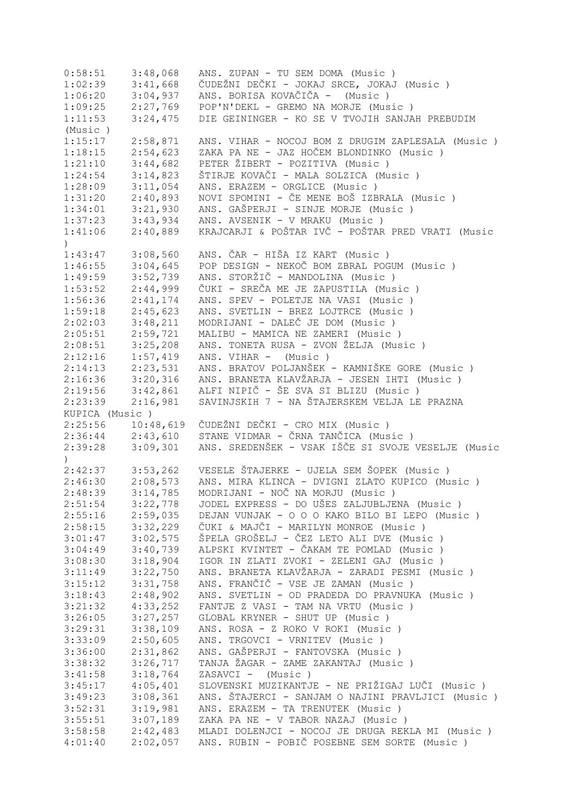| 0:58:51                                             | 3:48,068             | ANS. ZUPAN - TU SEM DOMA (Music)                                                                 |
|-----------------------------------------------------|----------------------|--------------------------------------------------------------------------------------------------|
| 1:02:39                                             | 3:41,668             | ČUDEŽNI DEČKI - JOKAJ SRCE, JOKAJ (Music)                                                        |
| 1:06:20                                             | 3:04,937             | ANS. BORISA KOVAČIČA - (Music)                                                                   |
| 1:09:25                                             | 2:27,769             | POP'N'DEKL - GREMO NA MORJE (Music)                                                              |
| 1:11:53                                             | 3:24,475             | DIE GEININGER - KO SE V TVOJIH SANJAH PREBUDIM                                                   |
| (Music)                                             |                      |                                                                                                  |
| 1:15:17                                             | 2:58,871             | ANS. VIHAR - NOCOJ BOM Z DRUGIM ZAPLESALA (Music )                                               |
| 1:18:15                                             | 2:54,623             | ZAKA PA NE - JAZ HOČEM BLONDINKO (Music)                                                         |
| 1:21:10                                             | 3:44,682             | PETER ŽIBERT - POZITIVA (Music)                                                                  |
| 1:24:54                                             | 3:14,823             | ŠTIRJE KOVAČI - MALA SOLZICA (Music )                                                            |
| 1:28:09                                             | 3:11,054             | ANS. ERAZEM - ORGLICE (Music)                                                                    |
| 1:31:20                                             | 2:40,893             | NOVI SPOMINI - ČE MENE BOŠ IZBRALA (Music)                                                       |
| 1:34:01                                             | 3:21,930             | ANS. GAŠPERJI - SINJE MORJE (Music)                                                              |
| 1:37:23                                             | 3:43,934             | ANS. AVSENIK - V MRAKU (Music)                                                                   |
|                                                     |                      | KRAJCARJI & POŠTAR IVČ - POŠTAR PRED VRATI (Music                                                |
| 1:41:06<br>$\left( \right)$                         | 2:40,889             |                                                                                                  |
| 1:43:47                                             | 3:08,560             | ANS. ČAR - HIŠA IZ KART (Music )                                                                 |
| 1:46:55                                             | 3:04,645             | POP DESIGN - NEKOČ BOM ZBRAL POGUM (Music)                                                       |
| 1:49:59                                             | 3:52,739             | ANS. STORŽIČ - MANDOLINA (Music)                                                                 |
| 1:53:52                                             | 2:44,999             | ČUKI - SREČA ME JE ZAPUSTILA (Music )                                                            |
| 1:56:36                                             | 2:41,174             | ANS. SPEV - POLETJE NA VASI (Music)                                                              |
| 1:59:18                                             | 2:45,623             | ANS. SVETLIN - BREZ LOJTRCE (Music)                                                              |
| 2:02:03                                             | 3:48,211             | MODRIJANI - DALEČ JE DOM (Music)                                                                 |
| 2:05:51                                             | 2:59,721             | MALIBU - MAMICA NE ZAMERI (Music)                                                                |
| 2:08:51                                             | 3:25,208             | ANS. TONETA RUSA - ZVON ŽELJA (Music)                                                            |
| 2:12:16                                             | 1:57,419             | ANS. VIHAR - (Music)                                                                             |
| 2:14:13                                             | 2:23,531             | ANS. BRATOV POLJANŠEK - KAMNIŠKE GORE (Music)                                                    |
| 2:16:36                                             | 3:20,316             | ANS. BRANETA KLAVŽARJA - JESEN IHTI (Music )                                                     |
| 2:19:56                                             | 3:42,861             | ALFI NIPIČ - ŠE SVA SI BLIZU (Music )                                                            |
| 2:23:39                                             | 2:16,981             | SAVINJSKIH 7 - NA ŠTAJERSKEM VELJA LE PRAZNA                                                     |
|                                                     |                      |                                                                                                  |
|                                                     |                      |                                                                                                  |
| KUPICA (Music)                                      |                      |                                                                                                  |
|                                                     | 10:48,619            | ČUDEŽNI DEČKI - CRO MIX (Music )                                                                 |
| 2:25:56                                             | $2:36:44$ $2:43,610$ | STANE VIDMAR - ČRNA TANČICA (Music )                                                             |
| 2:39:28<br>$\mathcal{L}$                            | 3:09,301             | ANS. SREDENŠEK - VSAK IŠČE SI SVOJE VESELJE (Music                                               |
| 2:42:37                                             | 3:53,262             | VESELE ŠTAJERKE - UJELA SEM ŠOPEK (Music)                                                        |
|                                                     |                      |                                                                                                  |
| 2:46:30                                             | 2:08,573             | ANS. MIRA KLINCA - DVIGNI ZLATO KUPICO (Music)                                                   |
| 2:48:39                                             | 3:14,785             | MODRIJANI - NOČ NA MORJU (Music )                                                                |
| 2:51:54                                             | 3:22,778             | JODEL EXPRESS - DO UŠES ZALJUBLJENA (Music)                                                      |
| 2:55:16                                             | 2:59,035             | DEJAN VUNJAK - O O O KAKO BILO BI LEPO (Music)                                                   |
|                                                     | 3:32,229             | ČUKI & MAJČI - MARILYN MONROE (Music )                                                           |
|                                                     | 3:02,575             | ŠPELA GROŠELJ - ČEZ LETO ALI DVE (Music )                                                        |
|                                                     | 3:40,739             | ALPSKI KVINTET - ČAKAM TE POMLAD (Music )                                                        |
|                                                     | 3:18,904             | IGOR IN ZLATI ZVOKI - ZELENI GAJ (Music)                                                         |
| 2:58:15<br>3:01:47<br>3:04:49<br>3:08:30<br>3:11:49 | 3:22,750             | ANS. BRANETA KLAVŽARJA - ZARADI PESMI (Music )                                                   |
|                                                     | 3:31,758             | ANS. FRANČIČ - VSE JE ZAMAN (Music )                                                             |
|                                                     | 2:48,902             | ANS. SVETLIN - OD PRADEDA DO PRAVNUKA (Music)                                                    |
| 3:15:12<br>3:18:43<br>3:21:32                       | 4:33,252             | FANTJE Z VASI - TAM NA VRTU (Music)                                                              |
|                                                     | 3:27,257             | GLOBAL KRYNER - SHUT UP (Music)                                                                  |
| 3:26:05<br>3:29:31                                  | 3:38,109             | ANS. ROSA - Z ROKO V ROKI (Music )                                                               |
| 3:33:09                                             | 2:50,605             | ANS. TRGOVCI - VRNITEV (Music)                                                                   |
| 3:36:00                                             | 2:31,862             | ANS. GAŠPERJI - FANTOVSKA (Music )                                                               |
| 3:38:32                                             | 3:26,717             | TANJA ŽAGAR - ZAME ZAKANTAJ (Music )                                                             |
| 3:41:58                                             | 3:18,764             | ZASAVCI - (Music)                                                                                |
| 3:45:17                                             | 4:05,401             | SLOVENSKI MUZIKANTJE - NE PRIŽIGAJ LUČI (Music )                                                 |
| 3:49:23                                             | 3:08,361             | ANS. ŠTAJERCI - SANJAM O NAJINI PRAVLJICI (Music)                                                |
| 3:52:31                                             | 3:19,981             | ANS. ERAZEM - TA TRENUTEK (Music)                                                                |
| 3:55:51                                             | 3:07,189             | ZAKA PA NE - V TABOR NAZAJ (Music)                                                               |
| 3:58:58<br>4:01:40                                  | 2:42,483<br>2:02,057 | MLADI DOLENJCI - NOCOJ JE DRUGA REKLA MI (Music)<br>ANS. RUBIN - POBIČ POSEBNE SEM SORTE (Music) |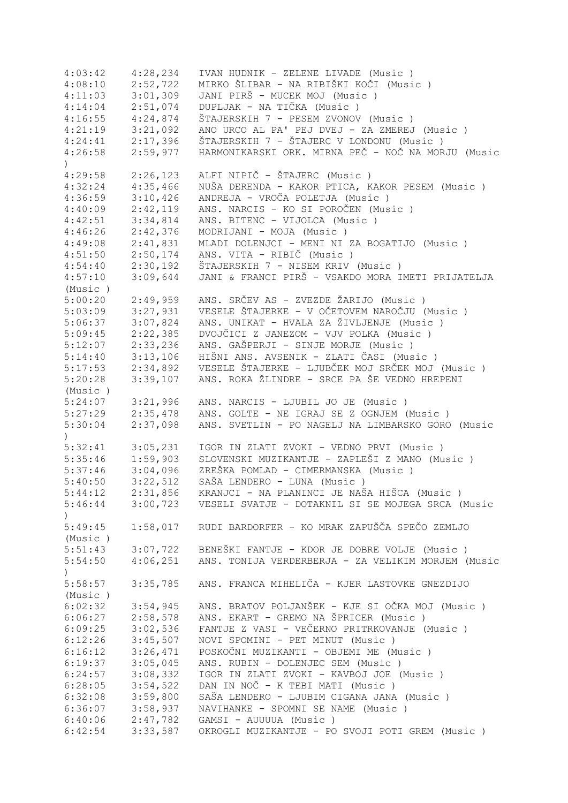| 4:03:42       | 4:28,234 | IVAN HUDNIK - ZELENE LIVADE (Music )                        |
|---------------|----------|-------------------------------------------------------------|
| 4:08:10       | 2:52,722 | MIRKO ŠLIBAR - NA RIBIŠKI KOČI (Music )                     |
| 4:11:03       | 3:01,309 | JANI PIRŠ - MUCEK MOJ (Music)                               |
| 4:14:04       | 2:51,074 | DUPLJAK - NA TIČKA (Music)                                  |
| 4:16:55       | 4:24,874 | ŠTAJERSKIH 7 - PESEM ZVONOV (Music )                        |
| 4:21:19       | 3:21,092 | ANO URCO AL PA' PEJ DVEJ - ZA ZMEREJ (Music)                |
| 4:24:41       | 2:17,396 | ŠTAJERSKIH 7 - ŠTAJERC V LONDONU (Music)                    |
|               |          |                                                             |
| 4:26:58       | 2:59,977 | HARMONIKARSKI ORK. MIRNA PEČ - NOČ NA MORJU (Music          |
| )             |          |                                                             |
| 4:29:58       | 2:26,123 | ALFI NIPIČ - ŠTAJERC (Music)                                |
| 4:32:24       | 4:35,466 | NUŠA DERENDA - KAKOR PTICA, KAKOR PESEM (Music )            |
| 4:36:59       | 3:10,426 | ANDREJA - VROČA POLETJA (Music)                             |
| 4:40:09       | 2:42,119 | ANS. NARCIS - KO SI POROČEN (Music )                        |
| 4:42:51       | 3:34,814 | ANS. BITENC - VIJOLCA (Music)                               |
| 4:46:26       | 2:42,376 | MODRIJANI - MOJA (Music)                                    |
| 4:49:08       | 2:41,831 | MLADI DOLENJCI - MENI NI ZA BOGATIJO (Music)                |
| 4:51:50       | 2:50,174 | ANS. VITA - RIBIČ (Music)                                   |
| 4:54:40       | 2:30,192 | ŠTAJERSKIH 7 - NISEM KRIV (Music)                           |
| 4:57:10       | 3:09,644 | JANI & FRANCI PIRŠ - VSAKDO MORA IMETI PRIJATELJA           |
| (Music)       |          |                                                             |
| 5:00:20       | 2:49,959 | ANS. SRČEV AS - ZVEZDE ŽARIJO (Music )                      |
| 5:03:09       | 3:27,931 | VESELE ŠTAJERKE - V OČETOVEM NAROČJU (Music)                |
| 5:06:37       | 3:07,824 | ANS. UNIKAT - HVALA ZA ŽIVLJENJE (Music)                    |
|               |          |                                                             |
| 5:09:45       | 2:22,385 | DVOJČICI Z JANEZOM - VJV POLKA (Music )                     |
| 5:12:07       | 2:33,236 | ANS. GAŠPERJI - SINJE MORJE (Music)                         |
| 5:14:40       | 3:13,106 | HIŠNI ANS. AVSENIK - ZLATI ČASI (Music )                    |
| 5:17:53       | 2:34,892 | VESELE ŠTAJERKE - LJUBČEK MOJ SRČEK MOJ (Music)             |
| 5:20:28       | 3:39,107 | ANS. ROKA ŽLINDRE - SRCE PA ŠE VEDNO HREPENI                |
| (Music)       |          |                                                             |
| 5:24:07       | 3:21,996 | ANS. NARCIS - LJUBIL JO JE (Music)                          |
| 5:27:29       | 2:35,478 | ANS. GOLTE - NE IGRAJ SE Z OGNJEM (Music)                   |
| 5:30:04       | 2:37,098 | ANS. SVETLIN - PO NAGELJ NA LIMBARSKO GORO (Music           |
| $\lambda$     |          |                                                             |
| 5:32:41       | 3:05,231 | IGOR IN ZLATI ZVOKI - VEDNO PRVI (Music)                    |
| 5:35:46       | 1:59,903 | SLOVENSKI MUZIKANTJE - ZAPLEŠI Z MANO (Music )              |
| 5:37:46       | 3:04,096 | ZREŠKA POMLAD - CIMERMANSKA (Music)                         |
| 5:40:50       | 3:22,512 | SAŠA LENDERO - LUNA (Music)                                 |
| 5:44:12       | 2:31,856 | KRANJCI - NA PLANINCI JE NAŠA HIŠCA (Music )                |
| 5:46:44       |          | 3:00,723 VESELI SVATJE - DOTAKNIL SI SE MOJEGA SRCA (Music  |
| $\mathcal{L}$ |          |                                                             |
|               |          | 1:58,017 RUDI BARDORFER - KO MRAK ZAPUŠČA SPEČO ZEMLJO      |
| 5:49:45       |          |                                                             |
| (Music)       |          |                                                             |
| 5:51:43       |          | 3:07,722 BENEŠKI FANTJE - KDOR JE DOBRE VOLJE (Music)       |
| 5:54:50       |          | 4:06,251 ANS. TONIJA VERDERBERJA - ZA VELIKIM MORJEM (Music |
| $\mathcal{L}$ |          |                                                             |
| 5:58:57       | 3:35,785 | ANS. FRANCA MIHELIČA - KJER LASTOVKE GNEZDIJO               |
| (Music)       |          |                                                             |
| 6:02:32       | 3:54,945 | ANS. BRATOV POLJANŠEK - KJE SI OČKA MOJ (Music )            |
| 6:06:27       | 2:58,578 | ANS. EKART - GREMO NA ŠPRICER (Music )                      |
| 6:09:25       | 3:02,536 | FANTJE Z VASI - VEČERNO PRITRKOVANJE (Music)                |
| 6:12:26       | 3:45,507 | NOVI SPOMINI - PET MINUT (Music)                            |
| 6:16:12       | 3:26,471 | POSKOČNI MUZIKANTI - OBJEMI ME (Music)                      |
| 6:19:37       | 3:05,045 | ANS. RUBIN - DOLENJEC SEM (Music)                           |
| 6:24:57       | 3:08,332 | IGOR IN ZLATI ZVOKI - KAVBOJ JOE (Music)                    |
| 6:28:05       | 3:54,522 | DAN IN NOČ - K TEBI MATI (Music )                           |
| 6:32:08       | 3:59,800 | SAŠA LENDERO - LJUBIM CIGANA JANA (Music)                   |
|               |          |                                                             |
| 6:36:07       | 3:58,937 | NAVIHANKE - SPOMNI SE NAME (Music)                          |
| 6:40:06       | 2:47,782 | GAMSI - AUUUUA (Music)                                      |
| 6:42:54       | 3:33,587 | OKROGLI MUZIKANTJE - PO SVOJI POTI GREM (Music )            |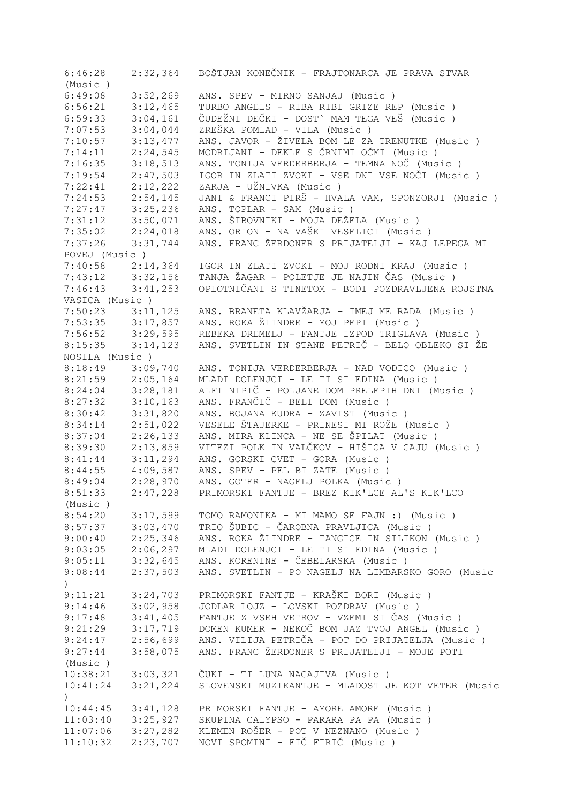| 6:46:28              | 2:32,364             | BOŠTJAN KONEČNIK - FRAJTONARCA JE PRAVA STVAR                                                     |
|----------------------|----------------------|---------------------------------------------------------------------------------------------------|
| (Music)              |                      |                                                                                                   |
| 6:49:08              | 3:52,269             | ANS. SPEV - MIRNO SANJAJ (Music)                                                                  |
| 6:56:21              | 3:12,465<br>3:04,161 | TURBO ANGELS - RIBA RIBI GRIZE REP (Music)<br>ČUDEŽNI DEČKI - DOST` MAM TEGA VEŠ (Music )         |
| 6:59:33<br>7:07:53   | 3:04,044             | ZREŠKA POMLAD - VILA (Music)                                                                      |
| 7:10:57              | 3:13,477             | ANS. JAVOR - ŽIVELA BOM LE ZA TRENUTKE (Music)                                                    |
| 7:14:11              | 2:24,545             | MODRIJANI - DEKLE S ČRNIMI OČMI (Music)                                                           |
| 7:16:35              | 3:18,513             | ANS. TONIJA VERDERBERJA - TEMNA NOČ (Music)                                                       |
| 7:19:54              | 2:47,503             | IGOR IN ZLATI ZVOKI - VSE DNI VSE NOČI (Music )                                                   |
| 7:22:41              | 2:12,222             | ZARJA - UŽNIVKA (Music)                                                                           |
| 7:24:53              | 2:54,145             | JANI & FRANCI PIRŠ - HVALA VAM, SPONZORJI (Music )                                                |
| 7:27:47              | 3:25,236             | ANS. TOPLAR - SAM (Music)                                                                         |
| 7:31:12              | 3:50,071             | ANS. ŠIBOVNIKI - MOJA DEŽELA (Music )                                                             |
| 7:35:02              | 2:24,018             | ANS. ORION - NA VAŠKI VESELICI (Music )                                                           |
| 7:37:26              | 3:31,744             | ANS. FRANC ŽERDONER S PRIJATELJI - KAJ LEPEGA MI                                                  |
| POVEJ (Music)        |                      |                                                                                                   |
| 7:40:58              | 2:14,364             | IGOR IN ZLATI ZVOKI - MOJ RODNI KRAJ (Music )                                                     |
| $7:43:12$ $3:32,156$ |                      | TANJA ŽAGAR - POLETJE JE NAJIN ČAS (Music)                                                        |
| 7:46:43              | 3:41,253             | OPLOTNIČANI S TINETOM - BODI POZDRAVLJENA ROJSTNA                                                 |
| VASICA (Music)       |                      |                                                                                                   |
| 7:50:23              | 3:11,125             | ANS. BRANETA KLAVŽARJA - IMEJ ME RADA (Music)                                                     |
| $7:53:35$ $3:17,857$ |                      | ANS. ROKA ŽLINDRE - MOJ PEPI (Music )                                                             |
| 7:56:52              | 3:29,595             | REBEKA DREMELJ - FANTJE IZPOD TRIGLAVA (Music)                                                    |
| 8:15:35              | 3:14,123             | ANS. SVETLIN IN STANE PETRIČ - BELO OBLEKO SI ŽE                                                  |
| NOSILA (Music)       |                      |                                                                                                   |
| 8:18:49              | 3:09,740             | ANS. TONIJA VERDERBERJA - NAD VODICO (Music )                                                     |
| 8:21:59              | 2:05,164             | MLADI DOLENJCI - LE TI SI EDINA (Music)                                                           |
| 8:24:04<br>8:27:32   | 3:28,181             | ALFI NIPIČ - POLJANE DOM PRELEPIH DNI (Music)<br>ANS. FRANČIČ - BELI DOM (Music)                  |
| 8:30:42              | 3:10,163<br>3:31,820 | ANS. BOJANA KUDRA - ZAVIST (Music)                                                                |
| 8:34:14              | 2:51,022             | VESELE ŠTAJERKE - PRINESI MI ROŽE (Music)                                                         |
| 8:37:04              | 2:26,133             | ANS. MIRA KLINCA - NE SE ŠPILAT (Music)                                                           |
| 8:39:30              | 2:13,859             | VITEZI POLK IN VALČKOV - HIŠICA V GAJU (Music )                                                   |
| 8:41:44              | 3:11,294             | ANS. GORSKI CVET - GORA (Music)                                                                   |
| 8:44:55              | 4:09,587             | ANS. SPEV - PEL BI ZATE (Music)                                                                   |
| 8:49:04              | 2:28,970             | ANS. GOTER - NAGELJ POLKA (Music)                                                                 |
| 8:51:33              | 2:47,228             | PRIMORSKI FANTJE - BREZ KIK'LCE AL'S KIK'LCO                                                      |
| (Music)              |                      |                                                                                                   |
| 8:54:20              | 3:17,599             | TOMO RAMONIKA - MI MAMO SE FAJN :) (Music)                                                        |
| 8:57:37              | 3:03,470             | TRIO ŠUBIC - ČAROBNA PRAVLJICA (Music )                                                           |
| 9:00:40              | 2:25,346             | ANS. ROKA ŽLINDRE - TANGICE IN SILIKON (Music )                                                   |
| 9:03:05              | 2:06,297             | MLADI DOLENJCI - LE TI SI EDINA (Music)                                                           |
| 9:05:11              | 3:32,645             | ANS. KORENINE - ČEBELARSKA (Music)                                                                |
| 9:08:44              | 2:37,503             | ANS. SVETLIN - PO NAGELJ NA LIMBARSKO GORO (Music                                                 |
| $\lambda$            |                      |                                                                                                   |
| 9:11:21              | 3:24,703             | PRIMORSKI FANTJE - KRAŠKI BORI (Music )                                                           |
| 9:14:46              | 3:02,958             | JODLAR LOJZ - LOVSKI POZDRAV (Music )                                                             |
| 9:17:48              | 3:41,405             | FANTJE Z VSEH VETROV - VZEMI SI ČAS (Music)                                                       |
| 9:21:29              | 3:17,719<br>2:56,699 | DOMEN KUMER - NEKOČ BOM JAZ TVOJ ANGEL (Music)<br>ANS. VILIJA PETRIČA - POT DO PRIJATELJA (Music) |
| 9:24:47<br>9:27:44   | 3:58,075             | ANS. FRANC ŽERDONER S PRIJATELJI - MOJE POTI                                                      |
| (Music)              |                      |                                                                                                   |
| 10:38:21             | 3:03,321             | ČUKI - TI LUNA NAGAJIVA (Music )                                                                  |
| 10:41:24             | 3:21,224             | SLOVENSKI MUZIKANTJE - MLADOST JE KOT VETER (Music                                                |
| $\lambda$            |                      |                                                                                                   |
| 10:44:45             | 3:41,128             | PRIMORSKI FANTJE - AMORE AMORE (Music)                                                            |
| 11:03:40             | 3:25,927             | SKUPINA CALYPSO - PARARA PA PA (Music)                                                            |
| 11:07:06             | 3:27,282             | KLEMEN ROŠER - POT V NEZNANO (Music)                                                              |
| 11:10:32             | 2:23,707             | NOVI SPOMINI - FIČ FIRIČ (Music )                                                                 |
|                      |                      |                                                                                                   |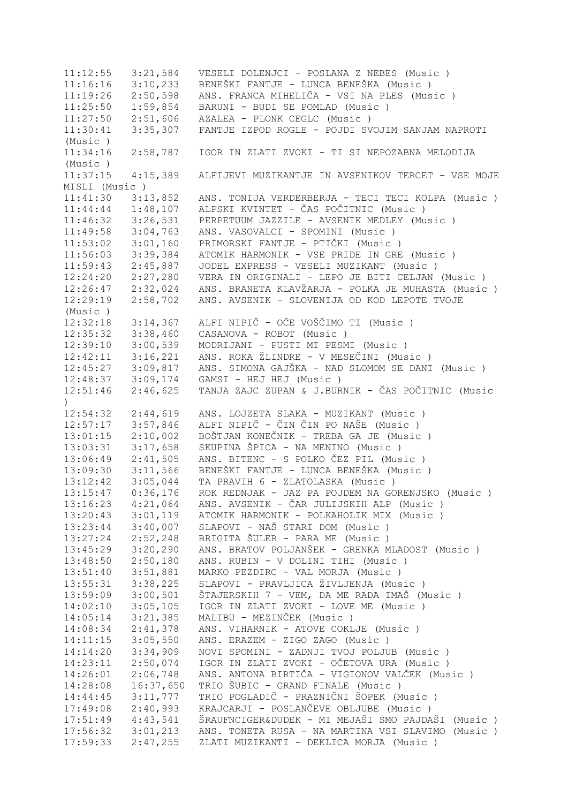11:12:55 3:21,584 VESELI DOLENJCI - POSLANA Z NEBES (Music ) 11:16:16 3:10,233 BENEŠKI FANTJE - LUNCA BENEŠKA (Music ) 11:19:26 2:50,598 ANS. FRANCA MIHELIČA - VSI NA PLES (Music ) 11:25:50 1:59,854 BARUNI - BUDI SE POMLAD (Music ) 11:27:50 2:51,606 AZALEA - PLONK CEGLC (Music ) 11:30:41 3:35,307 FANTJE IZPOD ROGLE - POJDI SVOJIM SANJAM NAPROTI (Music ) 11:34:16 2:58,787 IGOR IN ZLATI ZVOKI - TI SI NEPOZABNA MELODIJA (Music ) 11:37:15 4:15,389 ALFIJEVI MUZIKANTJE IN AVSENIKOV TERCET - VSE MOJE MISLI (Music ) 11:41:30 3:13,852 ANS. TONIJA VERDERBERJA - TECI TECI KOLPA (Music ) 11:44:44 1:48,107 ALPSKI KVINTET - ČAS POČITNIC (Music ) 11:46:32 3:26,531 PERPETUUM JAZZILE - AVSENIK MEDLEY (Music ) 11:49:58 3:04,763 ANS. VASOVALCI - SPOMINI (Music ) 11:53:02 3:01,160 PRIMORSKI FANTJE - PTIČKI (Music ) 11:56:03 3:39,384 ATOMIK HARMONIK - VSE PRIDE IN GRE (Music ) 11:59:43 2:45,887 JODEL EXPRESS - VESELI MUZIKANT (Music ) 12:24:20 2:27,280 VERA IN ORIGINALI - LEPO JE BITI CELJAN (Music)<br>12:26:47 2:32,024 ANS. BRANETA KLAVŽARJA - POLKA JE MUHASTA (Music 12:26:47 2:32,024 ANS. BRANETA KLAVŽARJA - POLKA JE MUHASTA (Music ) 12:29:19 2:58,702 ANS. AVSENIK - SLOVENIJA OD KOD LEPOTE TVOJE (Music ) 12:32:18 3:14,367 ALFI NIPIČ - OČE VOŠČIMO TI (Music ) 12:35:32 3:38,460 CASANOVA - ROBOT (Music ) 12:39:10 3:00,539 MODRIJANI - PUSTI MI PESMI (Music ) 12:42:11 3:16,221 ANS. ROKA ŽLINDRE - V MESEČINI (Music ) 12:45:27 3:09,817 ANS. SIMONA GAJŠKA - NAD SLOMOM SE DANI (Music ) 3:09,174 GAMSI - HEJ HEJ (Music )<br>2:46,625 TANJA ZAJC ZUPAN & J.BURI 12:51:46 2:46,625 TANJA ZAJC ZUPAN & J.BURNIK - ČAS POČITNIC (Music ) 12:54:32 2:44,619 ANS. LOJZETA SLAKA - MUZIKANT (Music ) 12:57:17 3:57,846 ALFI NIPIČ - ČIN ČIN PO NAŠE (Music ) 13:01:15 2:10,002 BOŠTJAN KONEČNIK - TREBA GA JE (Music ) 13:03:31 3:17,658 SKUPINA ŠPICA - NA MENINO (Music ) 13:06:49 2:41,505 ANS. BITENC - S POLKO ČEZ PIL (Music ) 13:09:30 3:11,566 BENEŠKI FANTJE - LUNCA BENEŠKA (Music ) 13:12:42 3:05,044 TA PRAVIH 6 - ZLATOLASKA (Music ) 13:15:47 0:36,176 ROK REDNJAK - JAZ PA POJDEM NA GORENJSKO (Music ) 13:16:23 4:21,064 ANS. AVSENIK - ČAR JULIJSKIH ALP (Music ) 13:20:43 3:01,119 ATOMIK HARMONIK - POLKAHOLIK MIX (Music ) 13:23:44 3:40,007 SLAPOVI - NAŠ STARI DOM (Music ) 13:27:24 2:52,248 BRIGITA ŠULER - PARA ME (Music ) 13:45:29 3:20,290 ANS. BRATOV POLJANŠEK - GRENKA MLADOST (Music)<br>13:48:50 2:50,180 ANS. RUBIN - V DOLINI TIHI (Music)  $2:50,180$  ANS. RUBIN - V DOLINI TIHI (Music ) 13:51:40 3:51,881 MARKO PEZDIRC - VAL MORJA (Music)<br>13:55:31 3:38,225 SLAPOVI - PRAVLJICA ŽIVLJENJA (Mus 13:55:31 3:38,225 SLAPOVI - PRAVLJICA ŽIVLJENJA (Music ) 13:59:09 3:00,501 ŠTAJERSKIH 7 - VEM, DA ME RADA IMAŠ (Music ) 14:02:10 3:05,105 IGOR IN ZLATI ZVOKI - LOVE ME (Music ) 14:05:14 3:21,385 MALIBU - MEZINČEK (Music ) 14:08:34 2:41,378 ANS. VIHARNIK - ATOVE COKLJE (Music ) 14:11:15 3:05,550 ANS. ERAZEM - ZIGO ZAGO (Music ) 14:14:20 3:34,909 NOVI SPOMINI - ZADNJI TVOJ POLJUB (Music ) 14:23:11 2:50,074 IGOR IN ZLATI ZVOKI - OČETOVA URA (Music)<br>14:26:01 2:06,748 ANS. ANTONA BIRTIČA - VIGIONOV VALČEK (Mus ANS. ANTONA BIRTIČA - VIGIONOV VALČEK (Music ) 14:28:08 16:37,650 TRIO ŠUBIC - GRAND FINALE (Music ) 14:44:45 3:11,777 TRIO POGLADIČ - PRAZNIČNI ŠOPEK (Music ) 17:49:08 2:40,993 KRAJCARJI - POSLANČEVE OBLJUBE (Music ) 17:51:49 4:43,541 ŠRAUFNCIGER&DUDEK - MI MEJAŠI SMO PAJDAŠI (Music ) 17:56:32 3:01,213 ANS. TONETA RUSA - NA MARTINA VSI SLAVIMO (Music ) 17:59:33 2:47,255 ZLATI MUZIKANTI - DEKLICA MORJA (Music )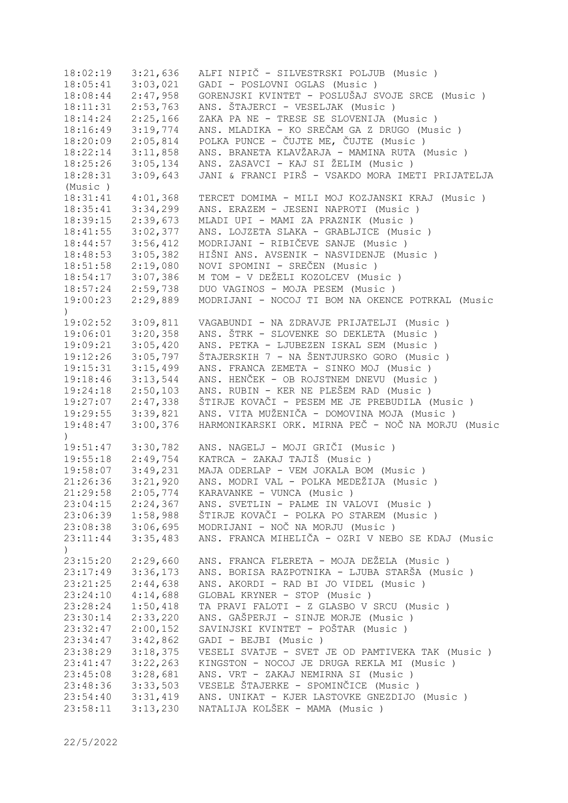18:02:19 3:21,636 ALFI NIPIČ - SILVESTRSKI POLJUB (Music ) 18:05:41 3:03,021 GADI - POSLOVNI OGLAS (Music ) 18:08:44 2:47,958 GORENJSKI KVINTET - POSLUŠAJ SVOJE SRCE (Music ) 18:11:31 2:53,763 ANS. ŠTAJERCI - VESELJAK (Music ) 18:14:24 2:25,166 ZAKA PA NE - TRESE SE SLOVENIJA (Music ) 18:16:49 3:19,774 ANS. MLADIKA - KO SREČAM GA Z DRUGO (Music ) 18:20:09 2:05,814 POLKA PUNCE - ČUJTE ME, ČUJTE (Music ) 18:22:14 3:11,858 ANS. BRANETA KLAVŽARJA - MAMINA RUTA (Music ) 18:25:26 3:05,134 ANS. ZASAVCI - KAJ SI ŽELIM (Music )<br>18:28:31 3:09,643 JANI & FRANCI PIRŠ - VSAKDO MORA IME' 18:28:31 3:09,643 JANI & FRANCI PIRŠ - VSAKDO MORA IMETI PRIJATELJA (Music ) 18:31:41 4:01,368 TERCET DOMIMA - MILI MOJ KOZJANSKI KRAJ (Music ) 18:35:41 3:34,299 ANS. ERAZEM - JESENI NAPROTI (Music ) 18:39:15 2:39,673 MLADI UPI - MAMI ZA PRAZNIK (Music ) 18:41:55 3:02,377 ANS. LOJZETA SLAKA - GRABLJICE (Music ) 18:44:57 3:56,412 MODRIJANI - RIBIČEVE SANJE (Music ) 18:48:53 3:05,382 HIŠNI ANS. AVSENIK - NASVIDENJE (Music ) 18:51:58 2:19,080 NOVI SPOMINI - SREČEN (Music ) 18:54:17 3:07,386 M TOM - V DEŽELI KOZOLCEV (Music ) 18:57:24 2:59,738 DUO VAGINOS - MOJA PESEM (Music ) 19:00:23 2:29,889 MODRIJANI - NOCOJ TI BOM NA OKENCE POTRKAL (Music ) 19:02:52 3:09,811 VAGABUNDI - NA ZDRAVJE PRIJATELJI (Music ) 19:06:01 3:20,358 ANS. ŠTRK - SLOVENKE SO DEKLETA (Music ) 19:09:21 3:05,420 ANS. PETKA - LJUBEZEN ISKAL SEM (Music ) 19:12:26 3:05,797 ŠTAJERSKIH 7 - NA ŠENTJURSKO GORO (Music ) 19:15:31 3:15,499 ANS. FRANCA ZEMETA - SINKO MOJ (Music ) 19:18:46 3:13,544 ANS. HENČEK - OB ROJSTNEM DNEVU (Music ) 19:24:18 2:50,103 ANS. RUBIN - KER NE PLEŠEM RAD (Music ) 19:27:07 2:47,338 ŠTIRJE KOVAČI - PESEM ME JE PREBUDILA (Music ) 19:29:55 3:39,821 ANS. VITA MUŽENIČA - DOMOVINA MOJA (Music ) 19:48:47 3:00,376 HARMONIKARSKI ORK. MIRNA PEČ - NOČ NA MORJU (Music  $\lambda$ 19:51:47 3:30,782 ANS. NAGELJ - MOJI GRIČI (Music ) 19:55:18 2:49,754 KATRCA - ZAKAJ TAJIŠ (Music ) 19:58:07 3:49,231 MAJA ODERLAP - VEM JOKALA BOM (Music ) 21:26:36 3:21,920 ANS. MODRI VAL - POLKA MEDEŽIJA (Music ) 21:29:58 2:05,774 KARAVANKE - VUNCA (Music ) 23:04:15 2:24,367 ANS. SVETLIN - PALME IN VALOVI (Music ) 23:06:39 1:58,988 ŠTIRJE KOVAČI - POLKA PO STAREM (Music ) 23:08:38 3:06,695 MODRIJANI - NOČ NA MORJU (Music ) 23:11:44 3:35,483 ANS. FRANCA MIHELIČA - OZRI V NEBO SE KDAJ (Music  $\lambda$ 23:15:20 2:29,660 ANS. FRANCA FLERETA - MOJA DEŽELA (Music ) 23:17:49 3:36,173 ANS. BORISA RAZPOTNIKA - LJUBA STARŠA (Music ) 23:21:25 2:44,638 ANS. AKORDI - RAD BI JO VIDEL (Music ) 23:24:10 4:14,688 GLOBAL KRYNER - STOP (Music ) 23:28:24 1:50,418 TA PRAVI FALOTI - Z GLASBO V SRCU (Music ) 23:30:14 2:33,220 ANS. GAŠPERJI - SINJE MORJE (Music ) 23:32:47 2:00,152 SAVINJSKI KVINTET - POŠTAR (Music ) 23:34:47 3:42,862 GADI - BEJBI (Music ) 23:38:29 3:18,375 VESELI SVATJE - SVET JE OD PAMTIVEKA TAK (Music ) 23:41:47 3:22,263 KINGSTON - NOCOJ JE DRUGA REKLA MI (Music ) 23:45:08 3:28,681 ANS. VRT - ZAKAJ NEMIRNA SI (Music ) 23:48:36 3:33,503 VESELE ŠTAJERKE - SPOMINČICE (Music ) 23:54:40 3:31,419 ANS. UNIKAT - KJER LASTOVKE GNEZDIJO (Music ) 23:58:11 3:13,230 NATALIJA KOLŠEK - MAMA (Music )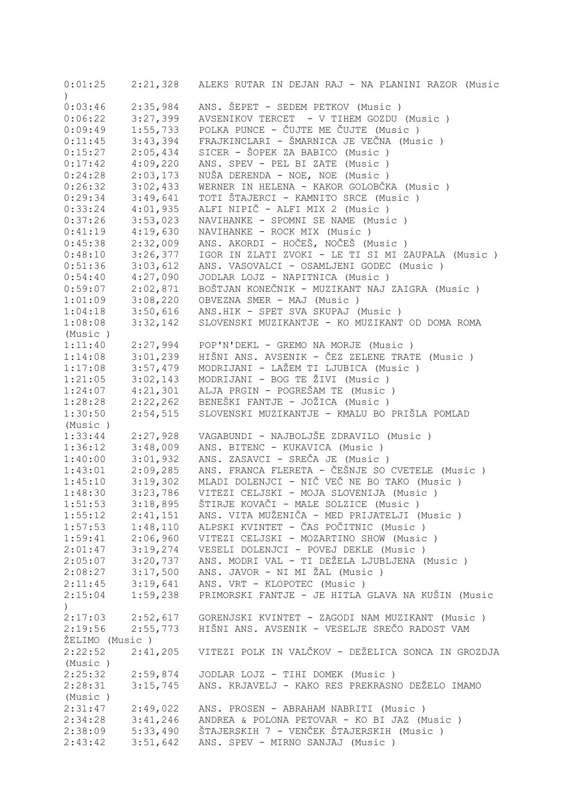| 0:01:25              |          | 2:21,328 ALEKS RUTAR IN DEJAN RAJ - NA PLANINI RAZOR (Music      |
|----------------------|----------|------------------------------------------------------------------|
| $\left( \right)$     |          |                                                                  |
| 0:03:46              | 2:35,984 | ANS. ŠEPET - SEDEM PETKOV (Music)                                |
| 0:06:22              | 3:27,399 | AVSENIKOV TERCET - V TIHEM GOZDU (Music)                         |
| 0:09:49              | 1:55,733 | POLKA PUNCE - ČUJTE ME ČUJTE (Music)                             |
| 0:11:45              | 3:43,394 | FRAJKINCLARI - ŠMARNICA JE VEČNA (Music )                        |
| 0:15:27              | 2:05,434 | SICER - ŠOPEK ZA BABICO (Music)                                  |
| 0:17:42              | 4:09,220 | ANS. SPEV - PEL BI ZATE (Music)                                  |
| 0:24:28              | 2:03,173 | NUŠA DERENDA - NOE, NOE (Music)                                  |
| 0:26:32              | 3:02,433 | WERNER IN HELENA - KAKOR GOLOBČKA (Music )                       |
| 0:29:34              | 3:49,641 | TOTI ŠTAJERCI - KAMNITO SRCE (Music)                             |
| 0:33:24              | 4:01,935 | ALFI NIPIČ - ALFI MIX 2 (Music)                                  |
| 0:37:26              | 3:53,023 | NAVIHANKE - SPOMNI SE NAME (Music)                               |
| 0:41:19              | 4:19,630 | NAVIHANKE - ROCK MIX (Music)                                     |
| 0:45:38              | 2:32,009 | ANS. AKORDI - HOČEŠ, NOČEŠ (Music )                              |
| 0:48:10              | 3:26,377 | IGOR IN ZLATI ZVOKI - LE TI SI MI ZAUPALA (Music)                |
| 0:51:36              | 3:03,612 | ANS. VASOVALCI - OSAMLJENI GODEC (Music)                         |
| 0:54:40              | 4:27,090 | JODLAR LOJZ - NAPITNICA (Music)                                  |
| 0:59:07              | 2:02,871 | BOŠTJAN KONEČNIK - MUZIKANT NAJ ZAIGRA (Music )                  |
| 1:01:09              | 3:08,220 | OBVEZNA SMER - MAJ (Music)                                       |
| 1:04:18              | 3:50,616 | ANS.HIK - SPET SVA SKUPAJ (Music)                                |
| 1:08:08              | 3:32,142 | SLOVENSKI MUZIKANTJE - KO MUZIKANT OD DOMA ROMA                  |
| (Music)              |          |                                                                  |
| 1:11:40              | 2:27,994 | POP'N'DEKL - GREMO NA MORJE (Music)                              |
| 1:14:08              | 3:01,239 | HIŠNI ANS. AVSENIK - ČEZ ZELENE TRATE (Music )                   |
| 1:17:08              | 3:57,479 | MODRIJANI - LAŽEM TI LJUBICA (Music )                            |
| 1:21:05              | 3:02,143 | MODRIJANI - BOG TE ŽIVI (Music)                                  |
| 1:24:07              | 4:21,301 | ALJA PRGIN - POGREŠAM TE (Music)                                 |
| 1:28:28              | 2:22,262 | BENEŠKI FANTJE - JOŽICA (Music)                                  |
| 1:30:50              | 2:54,515 | SLOVENSKI MUZIKANTJE - KMALU BO PRIŠLA POMLAD                    |
| (Music)              |          |                                                                  |
| 1:33:44              | 2:27,928 | VAGABUNDI - NAJBOLJŠE ZDRAVILO (Music)                           |
| 1:36:12              | 3:48,009 | ANS. BITENC - KUKAVICA (Music)                                   |
| 1:40:00              | 3:01,932 | ANS. ZASAVCI - SREČA JE (Music)                                  |
| 1:43:01              | 2:09,285 | ANS. FRANCA FLERETA - ČEŠNJE SO CVETELE (Music)                  |
| 1:45:10              | 3:19,302 | MLADI DOLENJCI - NIČ VEČ NE BO TAKO (Music)                      |
| 1:48:30              | 3:23,786 | VITEZI CELJSKI - MOJA SLOVENIJA (Music)                          |
| 1:51:53              | 3:18,895 | ŠTIRJE KOVAČI - MALE SOLZICE (Music )                            |
| 1:55:12              | 2:41,151 | ANS. VITA MUŽENIČA - MED PRIJATELJI (Music )                     |
| $1:57:53$ $1:48,110$ |          | ALPSKI KVINTET - ČAS POČITNIC (Music )                           |
| 1:59:41              | 2:06,960 | VITEZI CELJSKI - MOZARTINO SHOW (Music)                          |
| 2:01:47              | 3:19,274 | VESELI DOLENJCI - POVEJ DEKLE (Music)                            |
| 2:05:07              | 3:20,737 | ANS. MODRI VAL - TI DEŽELA LJUBLJENA (Music)                     |
| $2:08:27$ $3:17,500$ |          | ANS. JAVOR - NI MI ŽAL (Music)                                   |
| $2:11:45$ $3:19,641$ |          | ANS. VRT - KLOPOTEC (Music)                                      |
| 2:15:04              | 1:59,238 | PRIMORSKI FANTJE - JE HITLA GLAVA NA KUŠIN (Music                |
| $\left( \right)$     |          |                                                                  |
|                      |          | 2:17:03 2:52,617 GORENJSKI KVINTET - ZAGODI NAM MUZIKANT (Music) |
| $2:19:56$ $2:55,773$ |          | HIŠNI ANS. AVSENIK - VESELJE SREČO RADOST VAM                    |
| ŽELIMO (Music)       |          |                                                                  |
| 2:22:52              | 2:41,205 | VITEZI POLK IN VALČKOV - DEŽELICA SONCA IN GROZDJA               |
| (Music)              |          |                                                                  |
| 2:25:32              | 2:59,874 | JODLAR LOJZ - TIHI DOMEK (Music )                                |
| 2:28:31              |          | 3:15,745 ANS. KRJAVELJ - KAKO RES PREKRASNO DEŽELO IMAMO         |
| (Music)              |          |                                                                  |
| 2:31:47              | 2:49,022 | ANS. PROSEN - ABRAHAM NABRITI (Music)                            |
| 2:34:28              | 3:41,246 | ANDREA & POLONA PETOVAR - KO BI JAZ (Music)                      |
| 2:38:09              | 5:33,490 | ŠTAJERSKIH 7 - VENČEK ŠTAJERSKIH (Music )                        |
| 2:43:42              | 3:51,642 | ANS. SPEV - MIRNO SANJAJ (Music)                                 |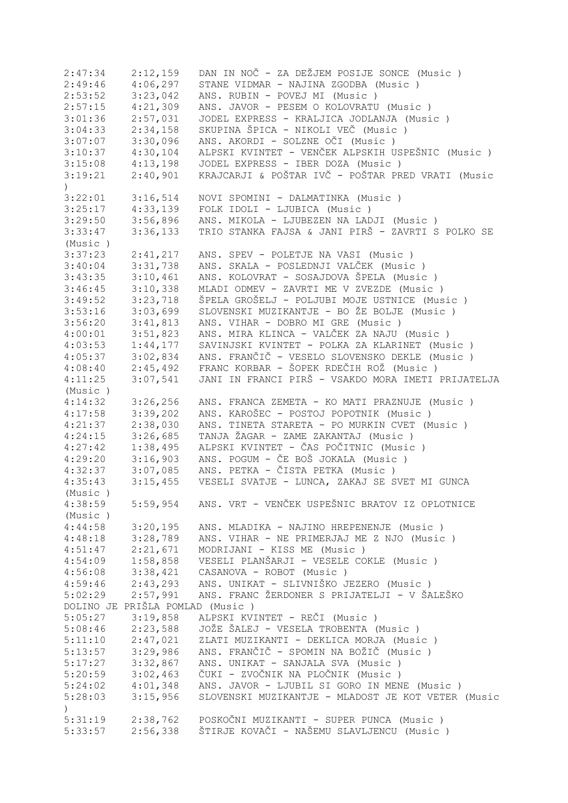| 2:47:34            | 2:12,159                        | DAN IN NOČ - ZA DEŽJEM POSIJE SONCE (Music)        |
|--------------------|---------------------------------|----------------------------------------------------|
| 2:49:46            | 4:06,297                        | STANE VIDMAR - NAJINA ZGODBA (Music)               |
| 2:53:52            | 3:23,042                        | ANS. RUBIN - POVEJ MI (Music)                      |
| 2:57:15            | 4:21,309                        | ANS. JAVOR - PESEM O KOLOVRATU (Music)             |
| 3:01:36            | 2:57,031                        | JODEL EXPRESS - KRALJICA JODLANJA (Music)          |
| 3:04:33            | 2:34,158                        | SKUPINA ŠPICA - NIKOLI VEČ (Music )                |
| 3:07:07            | 3:30,096                        | ANS. AKORDI - SOLZNE OČI (Music )                  |
| 3:10:37            | 4:30,104                        | ALPSKI KVINTET - VENČEK ALPSKIH USPEŠNIC (Music )  |
| 3:15:08            | 4:13,198                        | JODEL EXPRESS - IBER DOZA (Music)                  |
| 3:19:21            | 2:40,901                        | KRAJCARJI & POŠTAR IVČ - POŠTAR PRED VRATI (Music  |
| $\left( \right)$   |                                 |                                                    |
| 3:22:01            | 3:16,514                        | NOVI SPOMINI - DALMATINKA (Music)                  |
| 3:25:17            | 4:33,139                        | FOLK IDOLI - LJUBICA (Music)                       |
| 3:29:50            | 3:56,896                        | ANS. MIKOLA - LJUBEZEN NA LADJI (Music)            |
| 3:33:47            | 3:36,133                        | TRIO STANKA FAJSA & JANI PIRŠ - ZAVRTI S POLKO SE  |
| (Music)            |                                 |                                                    |
| 3:37:23            | 2:41,217                        | ANS. SPEV - POLETJE NA VASI (Music )               |
| 3:40:04            | 3:31,738                        | ANS. SKALA - POSLEDNJI VALČEK (Music )             |
| 3:43:35            | 3:10,461                        | ANS. KOLOVRAT - SOSAJDOVA ŠPELA (Music )           |
|                    |                                 |                                                    |
| 3:46:45            | 3:10,338                        | MLADI ODMEV - ZAVRTI ME V ZVEZDE (Music)           |
| 3:49:52            | 3:23,718                        | ŠPELA GROŠELJ - POLJUBI MOJE USTNICE (Music)       |
| 3:53:16            | 3:03,699                        | SLOVENSKI MUZIKANTJE - BO ŽE BOLJE (Music)         |
| 3:56:20            | 3:41,813                        | ANS. VIHAR - DOBRO MI GRE (Music )                 |
| 4:00:01            | 3:51,823                        | ANS. MIRA KLINCA - VALČEK ZA NAJU (Music)          |
| 4:03:53            | 1:44,177                        | SAVINJSKI KVINTET - POLKA ZA KLARINET (Music )     |
| 4:05:37            | 3:02,834                        | ANS. FRANČIČ - VESELO SLOVENSKO DEKLE (Music)      |
| 4:08:40            | 2:45,492                        | FRANC KORBAR - ŠOPEK RDEČIH ROŽ (Music)            |
| 4:11:25            | 3:07,541                        | JANI IN FRANCI PIRŠ - VSAKDO MORA IMETI PRIJATELJA |
| (Music)            |                                 |                                                    |
| 4:14:32            | 3:26,256                        | ANS. FRANCA ZEMETA - KO MATI PRAZNUJE (Music)      |
| 4:17:58            | 3:39,202                        | ANS. KAROŠEC - POSTOJ POPOTNIK (Music )            |
| 4:21:37            | 2:38,030                        | ANS. TINETA STARETA - PO MURKIN CVET (Music )      |
| 4:24:15            | 3:26,685                        | TANJA ŽAGAR - ZAME ZAKANTAJ (Music )               |
| 4:27:42            | 1:38,495                        | ALPSKI KVINTET - ČAS POČITNIC (Music )             |
| 4:29:20            |                                 |                                                    |
|                    | 3:16,903                        | ANS. POGUM - ČE BOŠ JOKALA (Music )                |
| 4:32:37            | 3:07,085                        | ANS. PETKA - ČISTA PETKA (Music)                   |
| 4:35:43            | 3:15,455                        | VESELI SVATJE - LUNCA, ZAKAJ SE SVET MI GUNCA      |
| (Music)            |                                 |                                                    |
| 4:38:59<br>(Music) | 5:59,954                        | ANS. VRT - VENČEK USPEŠNIC BRATOV IZ OPLOTNICE     |
| 4:44:58            | 3:20,195                        | ANS. MLADIKA - NAJINO HREPENENJE (Music)           |
| 4:48:18            | 3:28,789                        | ANS. VIHAR - NE PRIMERJAJ ME Z NJO (Music)         |
|                    | 2:21,671                        | MODRIJANI - KISS ME (Music)                        |
| 4:51:47            |                                 |                                                    |
| 4:54:09            | 1:58,858                        | VESELI PLANŠARJI - VESELE COKLE (Music)            |
| 4:56:08            | 3:38,421                        | CASANOVA - ROBOT (Music)                           |
| 4:59:46            | 2:43,293                        | ANS. UNIKAT - SLIVNIŠKO JEZERO (Music)             |
| 5:02:29            | 2:57,991                        | ANS. FRANC ŽERDONER S PRIJATELJI - V ŠALEŠKO       |
|                    | DOLINO JE PRIŠLA POMLAD (Music) |                                                    |
| 5:05:27            | 3:19,858                        | ALPSKI KVINTET - REČI (Music )                     |
| 5:08:46            | 2:23,588                        | JOŽE ŠALEJ - VESELA TROBENTA (Music )              |
| 5:11:10            | 2:47,021                        | ZLATI MUZIKANTI - DEKLICA MORJA (Music)            |
| 5:13:57            | 3:29,986                        | ANS. FRANČIČ - SPOMIN NA BOŽIČ (Music )            |
| 5:17:27            | 3:32,867                        | ANS. UNIKAT - SANJALA SVA (Music)                  |
| 5:20:59            | 3:02,463                        | ČUKI - ZVOČNIK NA PLOČNIK (Music )                 |
| 5:24:02            | 4:01,348                        | ANS. JAVOR - LJUBIL SI GORO IN MENE (Music)        |
| 5:28:03            | 3:15,956                        | SLOVENSKI MUZIKANTJE - MLADOST JE KOT VETER (Music |
|                    |                                 |                                                    |
| $\left( \right)$   |                                 | POSKOČNI MUZIKANTI - SUPER PUNCA (Music )          |
| 5:31:19            | 2:38,762                        |                                                    |
| 5:33:57            | 2:56,338                        | ŠTIRJE KOVAČI - NAŠEMU SLAVLJENCU (Music )         |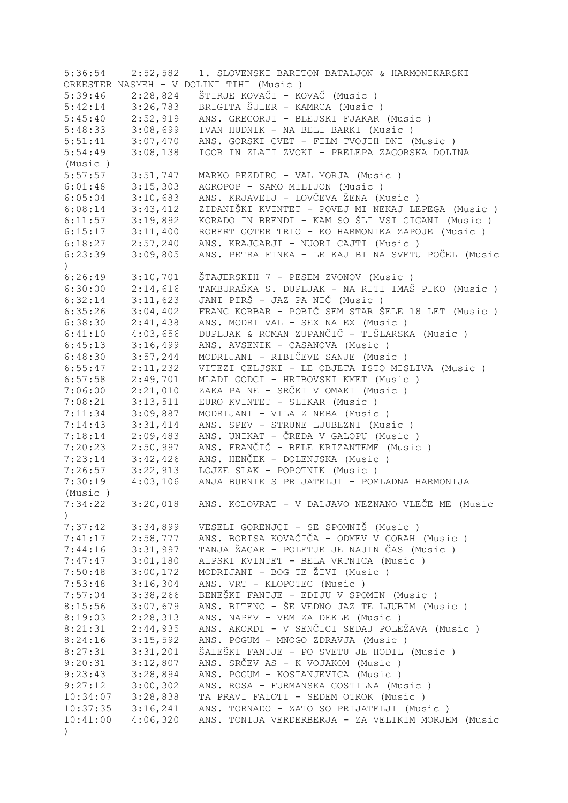| 5:36:54          | 2:52,582             | 1. SLOVENSKI BARITON BATALJON & HARMONIKARSKI      |
|------------------|----------------------|----------------------------------------------------|
|                  |                      | ORKESTER NASMEH - V DOLINI TIHI (Music )           |
| 5:39:46          | 2:28,824             | ŠTIRJE KOVAČI - KOVAČ (Music )                     |
| 5:42:14          | 3:26,783             | BRIGITA ŠULER - KAMRCA (Music)                     |
| 5:45:40          | 2:52,919             | ANS. GREGORJI - BLEJSKI FJAKAR (Music)             |
| 5:48:33          | 3:08,699             | IVAN HUDNIK - NA BELI BARKI (Music)                |
| 5:51:41          | 3:07,470             | ANS. GORSKI CVET - FILM TVOJIH DNI (Music )        |
| 5:54:49          | 3:08,138             | IGOR IN ZLATI ZVOKI - PRELEPA ZAGORSKA DOLINA      |
| (Music)          |                      |                                                    |
| 5:57:57          | 3:51,747             | MARKO PEZDIRC - VAL MORJA (Music)                  |
| 6:01:48          | 3:15,303             | AGROPOP - SAMO MILIJON (Music)                     |
| 6:05:04          | 3:10,683             | ANS. KRJAVELJ - LOVČEVA ŽENA (Music )              |
| 6:08:14          | 3:43,412             | ZIDANIŠKI KVINTET - POVEJ MI NEKAJ LEPEGA (Music ) |
| 6:11:57          | 3:19,892             | KORADO IN BRENDI - KAM SO ŠLI VSI CIGANI (Music )  |
| 6:15:17          |                      | ROBERT GOTER TRIO - KO HARMONIKA ZAPOJE (Music)    |
|                  | 3:11,400             |                                                    |
| 6:18:27          | 2:57,240             | ANS. KRAJCARJI - NUORI CAJTI (Music)               |
| 6:23:39          | 3:09,805             | ANS. PETRA FINKA - LE KAJ BI NA SVETU POČEL (Music |
| $\left( \right)$ |                      |                                                    |
| 6:26:49          | 3:10,701             | ŠTAJERSKIH 7 - PESEM ZVONOV (Music)                |
| 6:30:00          | 2:14,616             | TAMBURAŠKA S. DUPLJAK - NA RITI IMAŠ PIKO (Music ) |
| 6:32:14          | 3:11,623             | JANI PIRŠ - JAZ PA NIČ (Music )                    |
| 6:35:26          | 3:04,402             | FRANC KORBAR - POBIČ SEM STAR ŠELE 18 LET (Music)  |
| 6:38:30          | 2:41,438             | ANS. MODRI VAL - SEX NA EX (Music )                |
| 6:41:10          | 4:03,656             | DUPLJAK & ROMAN ZUPANČIČ - TIŠLARSKA (Music)       |
| 6:45:13          | 3:16,499             | ANS. AVSENIK - CASANOVA (Music)                    |
| 6:48:30          | 3:57,244             | MODRIJANI - RIBIČEVE SANJE (Music)                 |
| 6:55:47          | 2:11,232             | VITEZI CELJSKI - LE OBJETA ISTO MISLIVA (Music)    |
| 6:57:58          | 2:49,701             | MLADI GODCI - HRIBOVSKI KMET (Music )              |
| 7:06:00          | 2:21,010             | ZAKA PA NE - SRČKI V OMAKI (Music )                |
| 7:08:21          | 3:13,511             | EURO KVINTET - SLIKAR (Music)                      |
| 7:11:34          | 3:09,887             | MODRIJANI - VILA Z NEBA (Music)                    |
| 7:14:43          | 3:31,414             | ANS. SPEV - STRUNE LJUBEZNI (Music)                |
| 7:18:14          | 2:09,483             | ANS. UNIKAT - ČREDA V GALOPU (Music )              |
| 7:20:23          | 2:50,997             | ANS. FRANČIČ - BELE KRIZANTEME (Music)             |
| 7:23:14          | 3:42,426             | ANS. HENČEK - DOLENJSKA (Music)                    |
| 7:26:57          | 3:22,913             | LOJZE SLAK - POPOTNIK (Music)                      |
| 7:30:19          | 4:03,106             | ANJA BURNIK S PRIJATELJI - POMLADNA HARMONIJA      |
| (Music)          |                      |                                                    |
| 7:34:22          | 3:20,018             | ANS. KOLOVRAT - V DALJAVO NEZNANO VLEČE ME (Music  |
|                  |                      |                                                    |
| 7:37:42          | 3:34,899             | VESELI GORENJCI - SE SPOMNIŠ (Music)               |
| 7:41:17          | 2:58,777             | ANS. BORISA KOVAČIČA - ODMEV V GORAH (Music)       |
| 7:44:16          | 3:31,997             | TANJA ŽAGAR - POLETJE JE NAJIN ČAS (Music)         |
| 7:47:47          | 3:01,180             | ALPSKI KVINTET - BELA VRTNICA (Music)              |
| 7:50:48          | 3:00,172             | MODRIJANI - BOG TE ŽIVI (Music)                    |
| 7:53:48          | 3:16,304             | ANS. VRT - KLOPOTEC (Music)                        |
| 7:57:04          | 3:38,266             | BENEŠKI FANTJE - EDIJU V SPOMIN (Music)            |
| 8:15:56          | 3:07,679             | ANS. BITENC - ŠE VEDNO JAZ TE LJUBIM (Music)       |
| 8:19:03          | 2:28,313             | ANS. NAPEV - VEM ZA DEKLE (Music)                  |
| 8:21:31          | 2:44,935             | ANS. AKORDI - V SENČICI SEDAJ POLEŽAVA (Music )    |
| 8:24:16          | 3:15,592             | ANS. POGUM - MNOGO ZDRAVJA (Music)                 |
| 8:27:31          | 3:31,201             | ŠALEŠKI FANTJE - PO SVETU JE HODIL (Music)         |
| 9:20:31          | 3:12,807             | ANS. SRČEV AS - K VOJAKOM (Music )                 |
| 9:23:43          | 3:28,894             | ANS. POGUM - KOSTANJEVICA (Music)                  |
| 9:27:12          | 3:00,302             | ANS. ROSA - FURMANSKA GOSTILNA (Music)             |
| 10:34:07         |                      | TA PRAVI FALOTI - SEDEM OTROK (Music)              |
|                  | 3:28,838             | ANS. TORNADO - ZATO SO PRIJATELJI (Music)          |
| 10:37:35         | 3:16,241<br>4:06,320 | ANS. TONIJA VERDERBERJA - ZA VELIKIM MORJEM (Music |
| 10:41:00         |                      |                                                    |
| $\left( \right)$ |                      |                                                    |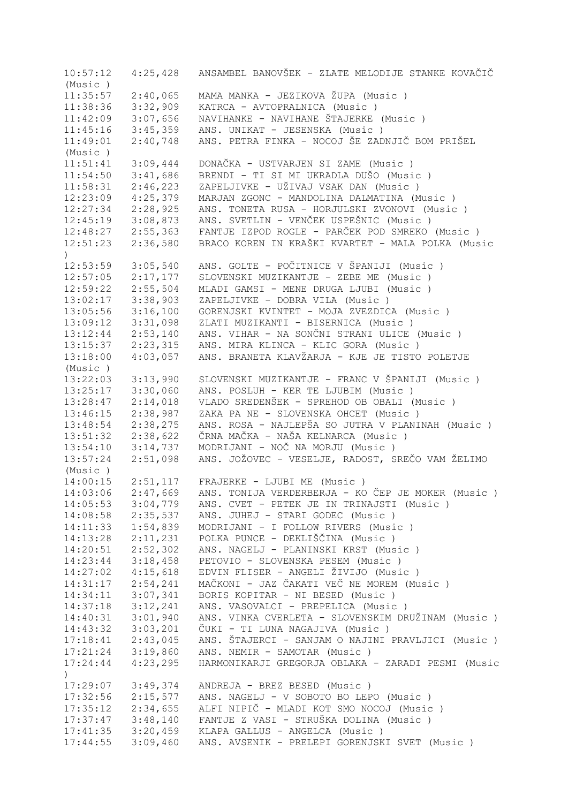10:57:12 4:25,428 ANSAMBEL BANOVŠEK - ZLATE MELODIJE STANKE KOVAČIČ (Music ) 11:35:57 2:40,065 MAMA MANKA - JEZIKOVA ŽUPA (Music ) KATRCA - AVTOPRALNICA (Music ) 11:42:09 3:07,656 NAVIHANKE - NAVIHANE ŠTAJERKE (Music ) 11:45:16 3:45,359 ANS. UNIKAT - JESENSKA (Music ) 11:49:01 2:40,748 ANS. PETRA FINKA - NOCOJ ŠE ZADNJIČ BOM PRIŠEL (Music ) 11:51:41 3:09,444 DONAČKA - USTVARJEN SI ZAME (Music ) 11:54:50 3:41,686 BRENDI - TI SI MI UKRADLA DUŠO (Music ) 11:58:31 2:46,223 ZAPELJIVKE - UŽIVAJ VSAK DAN (Music )<br>12:23:09 4:25,379 MARJAN ZGONC - MANDOLINA DALMATINA (M 12:23:09 4:25,379 MARJAN ZGONC - MANDOLINA DALMATINA (Music ) 12:27:34 2:28,925 ANS. TONETA RUSA - HORJULSKI ZVONOVI (Music ) 12:45:19 3:08,873 ANS. SVETLIN - VENČEK USPEŠNIC (Music ) 12:48:27 2:55,363 FANTJE IZPOD ROGLE - PARČEK POD SMREKO (Music ) 12:51:23 2:36,580 BRACO KOREN IN KRAŠKI KVARTET - MALA POLKA (Music  $\lambda$ 12:53:59 3:05,540 ANS. GOLTE - POČITNICE V ŠPANIJI (Music ) 12:57:05 2:17,177 SLOVENSKI MUZIKANTJE - ZEBE ME (Music )<br>12:59:22 2:55,504 MLADI GAMSI - MENE DRUGA LJUBI (Music ) 12:59:22 2:55,504 MLADI GAMSI - MENE DRUGA LJUBI (Music ) 13:02:17 3:38,903 ZAPELJIVKE - DOBRA VILA (Music ) 13:05:56 3:16,100 GORENJSKI KVINTET - MOJA ZVEZDICA (Music ) 13:09:12 3:31,098 ZLATI MUZIKANTI - BISERNICA (Music ) 13:12:44 2:53,140 ANS. VIHAR - NA SONČNI STRANI ULICE (Music ) 13:15:37 2:23,315 ANS. MIRA KLINCA - KLIC GORA (Music ) 13:18:00 4:03,057 ANS. BRANETA KLAVŽARJA - KJE JE TISTO POLETJE (Music ) 13:22:03 3:13,990 SLOVENSKI MUZIKANTJE - FRANC V ŠPANIJI (Music ) 13:25:17 3:30,060 ANS. POSLUH - KER TE LJUBIM (Music ) 13:28:47 2:14,018 VLADO SREDENŠEK - SPREHOD OB OBALI (Music ) 13:46:15 2:38,987 ZAKA PA NE - SLOVENSKA OHCET (Music ) 13:48:54 2:38,275 ANS. ROSA - NAJLEPŠA SO JUTRA V PLANINAH (Music ) 13:51:32 2:38,622 ČRNA MAČKA - NAŠA KELNARCA (Music ) 13:54:10 3:14,737 MODRIJANI - NOČ NA MORJU (Music ) 13:57:24 2:51,098 ANS. JOŽOVEC - VESELJE, RADOST, SREČO VAM ŽELIMO (Music ) 14:00:15 2:51,117 FRAJERKE - LJUBI ME (Music ) 14:03:06 2:47,669 ANS. TONIJA VERDERBERJA - KO ČEP JE MOKER (Music ) 14:05:53 3:04,779 ANS. CVET - PETEK JE IN TRINAJSTI (Music ) 14:08:58 2:35,537 ANS. JUHEJ - STARI GODEC (Music ) 14:11:33 1:54,839 MODRIJANI - I FOLLOW RIVERS (Music ) 14:13:28 2:11,231 POLKA PUNCE - DEKLIŠČINA (Music ) 14:20:51 2:52,302 ANS. NAGELJ - PLANINSKI KRST (Music ) 3:18,458 PETOVIO - SLOVENSKA PESEM (Music ) 14:27:02 4:15,618 EDVIN FLISER - ANGELI ŽIVIJO (Music ) 14:31:17 2:54,241 MAČKONI - JAZ ČAKATI VEČ NE MOREM (Music ) 14:34:11 3:07,341 BORIS KOPITAR - NI BESED (Music ) 14:37:18 3:12,241 ANS. VASOVALCI - PREPELICA (Music ) 14:40:31 3:01,940 ANS. VINKA CVERLETA - SLOVENSKIM DRUŽINAM (Music ) 14:43:32 3:03,201 ČUKI - TI LUNA NAGAJIVA (Music ) 17:18:41 2:43,045 ANS. ŠTAJERCI - SANJAM O NAJINI PRAVLJICI (Music ) 17:21:24 3:19,860 ANS. NEMIR - SAMOTAR (Music ) 17:24:44 4:23,295 HARMONIKARJI GREGORJA OBLAKA - ZARADI PESMI (Music ) 17:29:07 3:49,374 ANDREJA - BREZ BESED (Music ) 17:32:56 2:15,577 ANS. NAGELJ - V SOBOTO BO LEPO (Music ) 17:35:12 2:34,655 ALFI NIPIČ - MLADI KOT SMO NOCOJ (Music ) 17:37:47 3:48,140 FANTJE Z VASI - STRUŠKA DOLINA (Music ) 17:41:35 3:20,459 KLAPA GALLUS - ANGELCA (Music ) 17:44:55 3:09,460 ANS. AVSENIK - PRELEPI GORENJSKI SVET (Music )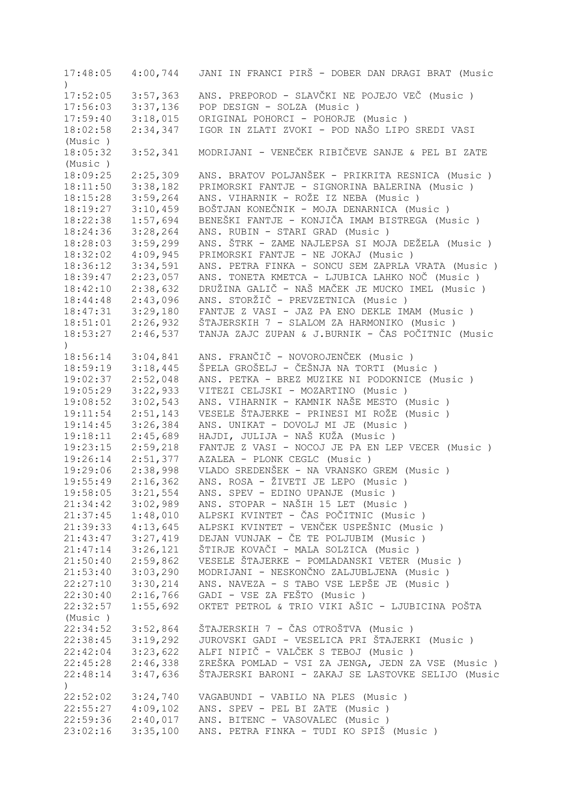17:48:05 4:00,744 JANI IN FRANCI PIRŠ - DOBER DAN DRAGI BRAT (Music ) 17:52:05 3:57,363 ANS. PREPOROD - SLAVČKI NE POJEJO VEČ (Music ) POP DESIGN - SOLZA (Music ) 17:59:40 3:18,015 ORIGINAL POHORCI - POHORJE (Music ) 18:02:58 2:34,347 IGOR IN ZLATI ZVOKI - POD NAŠO LIPO SREDI VASI (Music ) 18:05:32 3:52,341 MODRIJANI - VENEČEK RIBIČEVE SANJE & PEL BI ZATE (Music ) 18:09:25 2:25,309 ANS. BRATOV POLJANŠEK - PRIKRITA RESNICA (Music ) 18:11:50 3:38,182 PRIMORSKI FANTJE - SIGNORINA BALERINA (Music ) 18:15:28 3:59,264 ANS. VIHARNIK - ROŽE IZ NEBA (Music ) 18:19:27 3:10,459 BOŠTJAN KONEČNIK - MOJA DENARNICA (Music ) 18:22:38 1:57,694 BENEŠKI FANTJE - KONJIČA IMAM BISTREGA (Music ) 18:24:36 3:28,264 ANS. RUBIN - STARI GRAD (Music ) 18:28:03 3:59,299 ANS. ŠTRK - ZAME NAJLEPSA SI MOJA DEŽELA (Music ) 18:32:02 4:09,945 PRIMORSKI FANTJE - NE JOKAJ (Music ) 18:36:12 3:34,591 ANS. PETRA FINKA - SONCU SEM ZAPRLA VRATA (Music ) 18:39:47 2:23,057 ANS. TONETA KMETCA - LJUBICA LAHKO NOČ (Music ) 18:42:10 2:38,632 DRUŽINA GALIČ - NAŠ MAČEK JE MUCKO IMEL (Music ) 18:44:48 2:43,096 ANS. STORŽIČ - PREVZETNICA (Music ) 18:47:31 3:29,180 FANTJE Z VASI - JAZ PA ENO DEKLE IMAM (Music ) 18:51:01 2:26,932 ŠTAJERSKIH 7 - SLALOM ZA HARMONIKO (Music ) 18:53:27 2:46,537 TANJA ZAJC ZUPAN & J.BURNIK - ČAS POČITNIC (Music  $\lambda$ 18:56:14 3:04,841 ANS. FRANČIČ - NOVOROJENČEK (Music ) 18:59:19 3:18,445 ŠPELA GROŠELJ - ČEŠNJA NA TORTI (Music ) 19:02:37 2:52,048 ANS. PETKA - BREZ MUZIKE NI PODOKNICE (Music ) 19:05:29 3:22,933 VITEZI CELJSKI - MOZARTINO (Music ) 19:08:52 3:02,543 ANS. VIHARNIK - KAMNIK NAŠE MESTO (Music ) 19:11:54 2:51,143 VESELE ŠTAJERKE - PRINESI MI ROŽE (Music ) 19:14:45 3:26,384 ANS. UNIKAT - DOVOLJ MI JE (Music ) 19:18:11 2:45,689 HAJDI, JULIJA - NAŠ KUŽA (Music ) 19:23:15 2:59,218 FANTJE Z VASI - NOCOJ JE PA EN LEP VECER (Music ) 19:26:14 2:51,377 AZALEA - PLONK CEGLC (Music ) 19:29:06 2:38,998 VLADO SREDENŠEK - NA VRANSKO GREM (Music ) 19:55:49 2:16,362 ANS. ROSA - ŽIVETI JE LEPO (Music ) 19:58:05 3:21,554 ANS. SPEV - EDINO UPANJE (Music ) 21:34:42 3:02,989 ANS. STOPAR - NAŠIH 15 LET (Music ) 21:37:45 1:48,010 ALPSKI KVINTET - ČAS POČITNIC (Music ) 21:39:33 4:13,645 ALPSKI KVINTET - VENČEK USPEŠNIC (Music ) 21:43:47 3:27,419 DEJAN VUNJAK - ČE TE POLJUBIM (Music ) 21:47:14 3:26,121 ŠTIRJE KOVAČI - MALA SOLZICA (Music ) 21:50:40 2:59,862 VESELE ŠTAJERKE - POMLADANSKI VETER (Music)<br>21:53:40 3:03,290 MODRIJANI - NESKONČNO ZALJUBLJENA (Music) 21:53:40 3:03,290 MODRIJANI - NESKONČNO ZALJUBLJENA (Music ) 22:27:10 3:30,214 ANS. NAVEZA - S TABO VSE LEPŠE JE (Music ) 22:30:40 2:16,766 GADI - VSE ZA FEŠTO (Music ) 22:32:57 1:55,692 OKTET PETROL & TRIO VIKI AŠIC - LJUBICINA POŠTA (Music ) 22:34:52 3:52,864 ŠTAJERSKIH 7 - ČAS OTROŠTVA (Music ) 22:38:45 3:19,292 JUROVSKI GADI - VESELICA PRI ŠTAJERKI (Music ) 22:42:04 3:23,622 ALFI NIPIČ – VALČEK S TEBOJ (Music )<br>22:45:28 2:46,338 ZREŠKA POMLAD – VSI ZA JENGA, JEDN Z ZREŠKA POMLAD - VSI ZA JENGA, JEDN ZA VSE (Music ) 22:48:14 3:47,636 ŠTAJERSKI BARONI - ZAKAJ SE LASTOVKE SELIJO (Music ) 22:52:02 3:24,740 VAGABUNDI - VABILO NA PLES (Music ) 22:55:27 4:09,102 ANS. SPEV - PEL BI ZATE (Music ) 22:59:36 2:40,017 ANS. BITENC - VASOVALEC (Music ) 23:02:16 3:35,100 ANS. PETRA FINKA - TUDI KO SPIŠ (Music )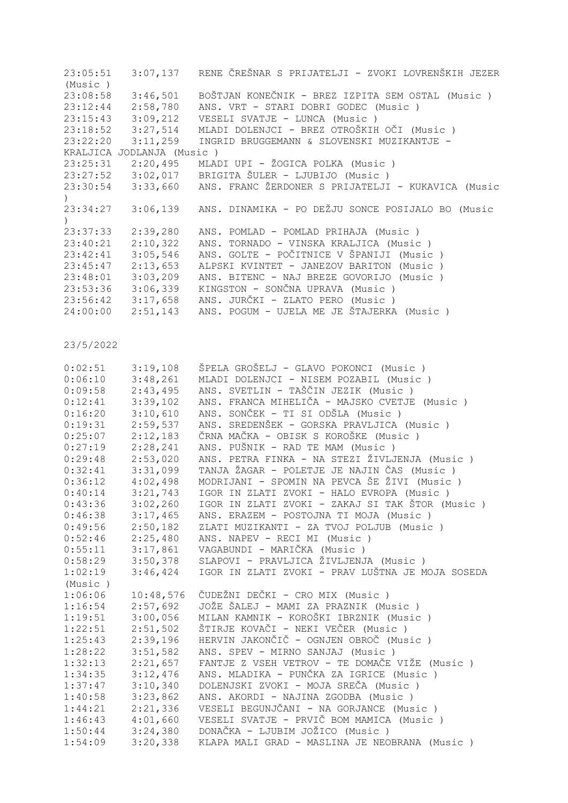| 23:05:51 |                           | $3:07,137$ RENE ČREŠNAR S PRIJATELJI - ZVOKI LOVRENŠKIH JEZER        |
|----------|---------------------------|----------------------------------------------------------------------|
| (Music)  |                           |                                                                      |
| 23:08:58 | 3:46,501                  | BOŠTJAN KONEČNIK - BREZ IZPITA SEM OSTAL (Music )                    |
|          | $23:12:44$ $2:58,780$     | ANS. VRT - STARI DOBRI GODEC (Music )                                |
|          |                           |                                                                      |
| 23:18:52 | 3:27,514                  | MLADI DOLENJCI - BREZ OTROŠKIH OČI (Music )                          |
| 23:22:20 | 3:11,259                  | INGRID BRUGGEMANN & SLOVENSKI MUZIKANTJE -                           |
|          | KRALJICA JODLANJA (Music) |                                                                      |
|          |                           | 23:25:31  2:20,495  MLADI UPI - ŽOGICA POLKA (Music)                 |
|          |                           | 23:27:52 3:02,017 BRIGITA ŠULER - LJUBIJO (Music)                    |
|          |                           | 23:30:54 3:33,660 ANS. FRANC ŽERDONER S PRIJATELJI - KUKAVICA (Music |
|          |                           |                                                                      |
|          |                           | 23:34:27 3:06,139 ANS. DINAMIKA - PO DEŽJU SONCE POSIJALO BO (Music  |
|          |                           |                                                                      |
| 23:37:33 | 2:39,280                  | ANS. POMLAD - POMLAD PRIHAJA (Music)                                 |
| 23:40:21 | 2:10,322                  | ANS. TORNADO - VINSKA KRALJICA (Music)                               |
| 23:42:41 | 3:05,546                  | ANS. GOLTE - POČITNICE V ŠPANIJI (Music )                            |
|          | $23:45:47$ $2:13,653$     | ALPSKI KVINTET - JANEZOV BARITON (Music )                            |
| 23:48:01 | 3:03,209                  | ANS. BITENC - NAJ BREZE GOVORIJO (Music)                             |
| 23:53:36 | 3:06,339                  | KINGSTON - SONČNA UPRAVA (Music)                                     |
|          | $23:56:42$ $3:17,658$     | ANS. JURČKI - ZLATO PERO (Music )                                    |
| 24:00:00 |                           | 2:51,143 ANS. POGUM - UJELA ME JE ŠTAJERKA (Music)                   |
|          |                           |                                                                      |

| 0:02:51 | 3:19,108  | ŠPELA GROŠELJ - GLAVO POKONCI (Music )           |
|---------|-----------|--------------------------------------------------|
| 0:06:10 | 3:48,261  | MLADI DOLENJCI - NISEM POZABIL (Music)           |
| 0:09:58 | 2:43,495  | ANS. SVETLIN - TAŠČIN JEZIK (Music )             |
| 0:12:41 | 3:39,102  | ANS. FRANCA MIHELIČA - MAJSKO CVETJE (Music)     |
| 0:16:20 | 3:10,610  | ANS. SONČEK - TI SI ODŠLA (Music )               |
| 0:19:31 | 2:59,537  | ANS. SREDENŠEK - GORSKA PRAVLJICA (Music)        |
| 0:25:07 | 2:12,183  | ČRNA MAČKA - OBISK S KOROŠKE (Music )            |
| 0:27:19 | 2:28,241  | ANS. PUŠNIK - RAD TE MAM (Music)                 |
| 0:29:48 | 2:53,020  | ANS. PETRA FINKA - NA STEZI ŽIVLJENJA (Music )   |
| 0:32:41 | 3:31,099  | TANJA ŽAGAR - POLETJE JE NAJIN ČAS (Music)       |
| 0:36:12 | 4:02,498  | MODRIJANI - SPOMIN NA PEVCA ŠE ŽIVI (Music )     |
| 0:40:14 | 3:21,743  | IGOR IN ZLATI ZVOKI - HALO EVROPA (Music )       |
| 0:43:36 | 3:02,260  | IGOR IN ZLATI ZVOKI - ZAKAJ SI TAK ŠTOR (Music ) |
| 0:46:38 | 3:17,465  | ANS. ERAZEM - POSTOJNA TI MOJA (Music)           |
| 0:49:56 | 2:50,182  | ZLATI MUZIKANTI - ZA TVOJ POLJUB (Music)         |
| 0:52:46 | 2:25,480  | ANS. NAPEV - RECI MI (Music)                     |
| 0:55:11 | 3:17,861  | VAGABUNDI - MARIČKA (Music)                      |
| 0:58:29 | 3:50,378  | SLAPOVI - PRAVLJICA ŽIVLJENJA (Music)            |
| 1:02:19 | 3:46,424  | IGOR IN ZLATI ZVOKI - PRAV LUŠTNA JE MOJA SOSEDA |
| (Music) |           |                                                  |
| 1:06:06 | 10:48,576 | ČUDEŽNI DEČKI - CRO MIX (Music )                 |
| 1:16:54 | 2:57,692  | JOŽE ŠALEJ - MAMI ZA PRAZNIK (Music )            |
| 1:19:51 | 3:00,056  | MILAN KAMNIK - KOROŠKI IBRZNIK (Music )          |
| 1:22:51 | 2:51,502  | ŠTIRJE KOVAČI - NEKI VEČER (Music )              |
| 1:25:43 | 2:39,196  | HERVIN JAKONČIČ - OGNJEN OBROČ (Music)           |
| 1:28:22 | 3:51,582  | ANS. SPEV - MIRNO SANJAJ (Music)                 |
| 1:32:13 | 2:21,657  | FANTJE Z VSEH VETROV - TE DOMAČE VIŽE (Music)    |
| 1:34:35 | 3:12,476  | ANS. MLADIKA - PUNČKA ZA IGRICE (Music)          |
| 1:37:47 | 3:10,340  | DOLENJSKI ZVOKI - MOJA SREČA (Music )            |
| 1:40:58 | 3:23,862  | ANS. AKORDI - NAJINA ZGODBA (Music)              |
| 1:44:21 | 2:21,336  | VESELI BEGUNJČANI - NA GORJANCE (Music)          |
| 1:46:43 | 4:01,660  | VESELI SVATJE - PRVIČ BOM MAMICA (Music)         |
| 1:50:44 | 3:24,380  | DONAČKA - LJUBIM JOŽICO (Music)                  |
| 1:54:09 | 3:20,338  | KLAPA MALI GRAD - MASLINA JE NEOBRANA (Music)    |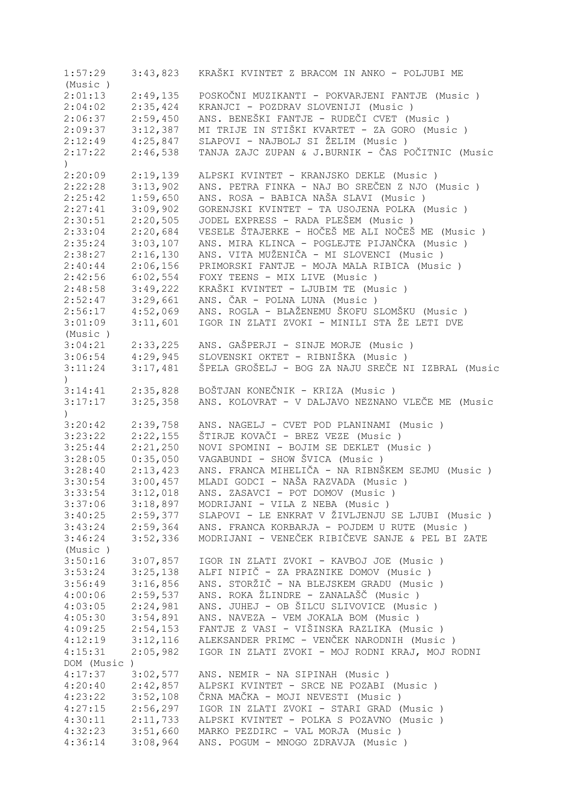| 1:57:29     | 3:43,823 | KRAŠKI KVINTET Z BRACOM IN ANKO - POLJUBI ME       |
|-------------|----------|----------------------------------------------------|
| (Music)     |          |                                                    |
| 2:01:13     | 2:49,135 | POSKOČNI MUZIKANTI - POKVARJENI FANTJE (Music )    |
| 2:04:02     | 2:35,424 | KRANJCI - POZDRAV SLOVENIJI (Music )               |
| 2:06:37     | 2:59,450 | ANS. BENEŠKI FANTJE - RUDEČI CVET (Music )         |
| 2:09:37     | 3:12,387 | MI TRIJE IN STIŠKI KVARTET - ZA GORO (Music )      |
| 2:12:49     | 4:25,847 | SLAPOVI - NAJBOLJ SI ŽELIM (Music)                 |
| 2:17:22     | 2:46,538 | TANJA ZAJC ZUPAN & J.BURNIK - ČAS POČITNIC (Music  |
| $\lambda$   |          |                                                    |
| 2:20:09     | 2:19,139 | ALPSKI KVINTET - KRANJSKO DEKLE (Music)            |
| 2:22:28     | 3:13,902 | ANS. PETRA FINKA - NAJ BO SREČEN Z NJO (Music)     |
|             |          |                                                    |
| 2:25:42     | 1:59,650 | ANS. ROSA - BABICA NAŠA SLAVI (Music )             |
| 2:27:41     | 3:09,902 | GORENJSKI KVINTET - TA USOJENA POLKA (Music)       |
| 2:30:51     | 2:20,505 | JODEL EXPRESS - RADA PLEŠEM (Music )               |
| 2:33:04     | 2:20,684 | VESELE ŠTAJERKE - HOČEŠ ME ALI NOČEŠ ME (Music )   |
| 2:35:24     | 3:03,107 | ANS. MIRA KLINCA - POGLEJTE PIJANČKA (Music)       |
| 2:38:27     | 2:16,130 | ANS. VITA MUŽENIČA - MI SLOVENCI (Music )          |
| 2:40:44     | 2:06,156 | PRIMORSKI FANTJE - MOJA MALA RIBICA (Music)        |
| 2:42:56     | 6:02,554 | FOXY TEENS - MIX LIVE (Music)                      |
| 2:48:58     | 3:49,222 | KRAŠKI KVINTET - LJUBIM TE (Music)                 |
| 2:52:47     | 3:29,661 | ANS. ČAR - POLNA LUNA (Music)                      |
| 2:56:17     | 4:52,069 | ANS. ROGLA - BLAŽENEMU ŠKOFU SLOMŠKU (Music)       |
| 3:01:09     | 3:11,601 | IGOR IN ZLATI ZVOKI - MINILI STA ŽE LETI DVE       |
| (Music)     |          |                                                    |
| 3:04:21     | 2:33,225 | ANS. GAŠPERJI - SINJE MORJE (Music)                |
| 3:06:54     | 4:29,945 | SLOVENSKI OKTET - RIBNIŠKA (Music )                |
| 3:11:24     | 3:17,481 | ŠPELA GROŠELJ - BOG ZA NAJU SREČE NI IZBRAL (Music |
|             |          |                                                    |
|             |          |                                                    |
| 3:14:41     | 2:35,828 | BOŠTJAN KONEČNIK - KRIZA (Music )                  |
| 3:17:17     | 3:25,358 | ANS. KOLOVRAT - V DALJAVO NEZNANO VLEČE ME (Music  |
|             |          |                                                    |
| 3:20:42     | 2:39,758 | ANS. NAGELJ - CVET POD PLANINAMI (Music)           |
| 3:23:22     | 2:22,155 | ŠTIRJE KOVAČI - BREZ VEZE (Music )                 |
| 3:25:44     | 2:21,250 | NOVI SPOMINI - BOJIM SE DEKLET (Music)             |
| 3:28:05     | 0:35,050 | VAGABUNDI - SHOW ŠVICA (Music)                     |
| 3:28:40     | 2:13,423 | ANS. FRANCA MIHELIČA - NA RIBNŠKEM SEJMU (Music)   |
| 3:30:54     | 3:00,457 | MLADI GODCI - NAŠA RAZVADA (Music)                 |
| 3:33:54     | 3:12,018 | ANS. ZASAVCI - POT DOMOV (Music)                   |
| 3:37:06     | 3:18,897 | MODRIJANI - VILA Z NEBA (Music)                    |
| 3:40:25     | 2:59,377 | SLAPOVI - LE ENKRAT V ŽIVLJENJU SE LJUBI (Music)   |
| 3:43:24     | 2:59,364 | ANS. FRANCA KORBARJA - POJDEM U RUTE (Music)       |
| 3:46:24     | 3:52,336 | MODRIJANI - VENEČEK RIBIČEVE SANJE & PEL BI ZATE   |
| (Music)     |          |                                                    |
| 3:50:16     | 3:07,857 | IGOR IN ZLATI ZVOKI - KAVBOJ JOE (Music)           |
| 3:53:24     | 3:25,138 | ALFI NIPIČ - ZA PRAZNIKE DOMOV (Music)             |
| 3:56:49     | 3:16,856 | ANS. STORŽIČ - NA BLEJSKEM GRADU (Music)           |
|             |          | ANS. ROKA ŽLINDRE - ZANALAŠČ (Music )              |
| 4:00:06     | 2:59,537 |                                                    |
| 4:03:05     | 2:24,981 | ANS. JUHEJ - OB ŠILCU SLIVOVICE (Music)            |
| 4:05:30     | 3:54,891 | ANS. NAVEZA - VEM JOKALA BOM (Music)               |
| 4:09:25     | 2:54,153 | FANTJE Z VASI - VIŠINSKA RAZLIKA (Music )          |
| 4:12:19     | 3:12,116 | ALEKSANDER PRIMC - VENČEK NARODNIH (Music)         |
| 4:15:31     | 2:05,982 | IGOR IN ZLATI ZVOKI - MOJ RODNI KRAJ, MOJ RODNI    |
| DOM (Music) |          |                                                    |
| 4:17:37     | 3:02,577 | ANS. NEMIR - NA SIPINAH (Music)                    |
| 4:20:40     | 2:42,857 | ALPSKI KVINTET - SRCE NE POZABI (Music)            |
| 4:23:22     | 3:52,108 | ČRNA MAČKA - MOJI NEVESTI (Music )                 |
| 4:27:15     | 2:56,297 | IGOR IN ZLATI ZVOKI - STARI GRAD (Music )          |
| 4:30:11     | 2:11,733 | ALPSKI KVINTET - POLKA S POZAVNO (Music )          |
| 4:32:23     | 3:51,660 | MARKO PEZDIRC - VAL MORJA (Music)                  |
| 4:36:14     | 3:08,964 | ANS. POGUM - MNOGO ZDRAVJA (Music)                 |
|             |          |                                                    |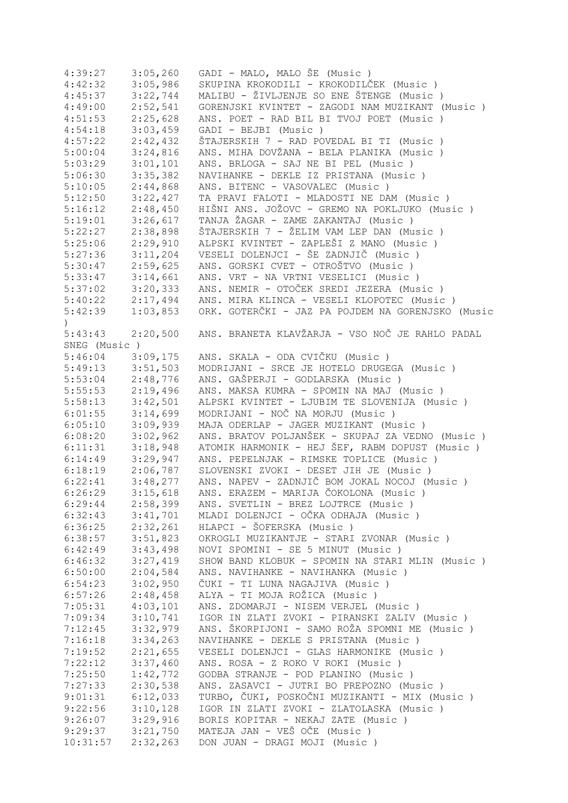| 4:39:27       | 3:05,260 | GADI - MALO, MALO ŠE (Music)                      |
|---------------|----------|---------------------------------------------------|
| 4:42:32       | 3:05,986 | SKUPINA KROKODILI - KROKODILČEK (Music )          |
| 4:45:37       | 3:22,744 | MALIBU - ŽIVLJENJE SO ENE ŠTENGE (Music)          |
| 4:49:00       | 2:52,541 | GORENJSKI KVINTET - ZAGODI NAM MUZIKANT (Music)   |
| 4:51:53       | 2:25,628 | ANS. POET - RAD BIL BI TVOJ POET (Music)          |
| 4:54:18       | 3:03,459 | GADI - BEJBI (Music)                              |
| 4:57:22       | 2:42,432 | ŠTAJERSKIH 7 - RAD POVEDAL BI TI (Music )         |
| 5:00:04       | 3:24,816 | ANS. MIHA DOVŽANA - BELA PLANIKA (Music )         |
| 5:03:29       | 3:01,101 | ANS. BRLOGA - SAJ NE BI PEL (Music)               |
| 5:06:30       | 3:35,382 | NAVIHANKE - DEKLE IZ PRISTANA (Music)             |
| 5:10:05       | 2:44,868 | ANS. BITENC - VASOVALEC (Music)                   |
|               |          |                                                   |
| 5:12:50       | 3:22,427 | TA PRAVI FALOTI - MLADOSTI NE DAM (Music)         |
| 5:16:12       | 2:48,450 | HIŠNI ANS. JOŽOVC - GREMO NA POKLJUKO (Music )    |
| 5:19:01       | 3:26,617 | TANJA ŽAGAR - ZAME ZAKANTAJ (Music)               |
| 5:22:27       | 2:38,898 | ŠTAJERSKIH 7 - ŽELIM VAM LEP DAN (Music)          |
| 5:25:06       | 2:29,910 | ALPSKI KVINTET - ZAPLEŠI Z MANO (Music )          |
| 5:27:36       | 3:11,204 | VESELI DOLENJCI - ŠE ZADNJIČ (Music )             |
| 5:30:47       | 2:59,625 | ANS. GORSKI CVET - OTROŠTVO (Music )              |
| 5:33:47       | 3:14,661 | ANS. VRT - NA VRTNI VESELICI (Music )             |
| 5:37:02       | 3:20,333 | ANS. NEMIR - OTOČEK SREDI JEZERA (Music)          |
| 5:40:22       | 2:17,494 | ANS. MIRA KLINCA - VESELI KLOPOTEC (Music)        |
| 5:42:39       | 1:03,853 | ORK. GOTERČKI - JAZ PA POJDEM NA GORENJSKO (Music |
| $\mathcal{L}$ |          |                                                   |
| 5:43:43       | 2:20,500 | ANS. BRANETA KLAVŽARJA - VSO NOČ JE RAHLO PADAL   |
| SNEG (Music)  |          |                                                   |
| 5:46:04       | 3:09,175 | ANS. SKALA - ODA CVIČKU (Music )                  |
| 5:49:13       | 3:51,503 | MODRIJANI - SRCE JE HOTELO DRUGEGA (Music)        |
| 5:53:04       | 2:48,776 | ANS. GAŠPERJI - GODLARSKA (Music)                 |
|               |          |                                                   |
| 5:55:53       | 2:19,496 | ANS. MAKSA KUMRA - SPOMIN NA MAJ (Music)          |
| 5:58:13       | 3:42,501 | ALPSKI KVINTET - LJUBIM TE SLOVENIJA (Music)      |
| 6:01:55       | 3:14,699 | MODRIJANI - NOČ NA MORJU (Music)                  |
| 6:05:10       | 3:09,939 | MAJA ODERLAP - JAGER MUZIKANT (Music)             |
| 6:08:20       | 3:02,962 | ANS. BRATOV POLJANŠEK - SKUPAJ ZA VEDNO (Music)   |
| 6:11:31       | 3:18,948 | ATOMIK HARMONIK - HEJ ŠEF, RABM DOPUST (Music)    |
| 6:14:49       | 3:29,947 | ANS. PEPELNJAK - RIMSKE TOPLICE (Music)           |
| 6:18:19       | 2:06,787 | SLOVENSKI ZVOKI - DESET JIH JE (Music)            |
| 6:22:41       | 3:48,277 | ANS. NAPEV - ZADNJIČ BOM JOKAL NOCOJ (Music)      |
| 6:26:29       | 3:15,618 | ANS. ERAZEM - MARIJA ČOKOLONA (Music )            |
| 6:29:44       | 2:58,399 | ANS. SVETLIN - BREZ LOJTRCE (Music)               |
| 6:32:43       | 3:41,701 | MLADI DOLENJCI - OČKA ODHAJA (Music )             |
| 6:36:25       | 2:32,261 | HLAPCI - ŠOFERSKA (Music)                         |
| 6:38:57       | 3:51,823 | OKROGLI MUZIKANTJE - STARI ZVONAR (Music)         |
| 6:42:49       | 3:43,498 | NOVI SPOMINI - SE 5 MINUT (Music)                 |
| 6:46:32       | 3:27,419 | SHOW BAND KLOBUK - SPOMIN NA STARI MLIN (Music)   |
| 6:50:00       | 2:04,584 | ANS. NAVIHANKE - NAVIHANKA (Music)                |
| 6:54:23       | 3:02,950 | ČUKI - TI LUNA NAGAJIVA (Music )                  |
|               | 2:48,458 | ALYA - TI MOJA ROŽICA (Music)                     |
| 6:57:26       |          |                                                   |
| 7:05:31       | 4:03,101 | ANS. ZDOMARJI - NISEM VERJEL (Music)              |
| 7:09:34       | 3:10,741 | IGOR IN ZLATI ZVOKI - PIRANSKI ZALIV (Music )     |
| 7:12:45       | 3:32,979 | ANS. ŠKORPIJONI - SAMO ROŽA SPOMNI ME (Music )    |
| 7:16:18       | 3:34,263 | NAVIHANKE - DEKLE S PRISTANA (Music)              |
| 7:19:52       | 2:21,655 | VESELI DOLENJCI - GLAS HARMONIKE (Music)          |
| 7:22:12       | 3:37,460 | ANS. ROSA - Z ROKO V ROKI (Music )                |
| 7:25:50       | 1:42,772 | GODBA STRANJE - POD PLANINO (Music)               |
| 7:27:33       | 2:30,538 | ANS. ZASAVCI - JUTRI BO PREPOZNO (Music)          |
| 9:01:31       | 6:12,033 | TURBO, ČUKI, POSKOČNI MUZIKANTI - MIX (Music )    |
| 9:22:56       | 3:10,128 | IGOR IN ZLATI ZVOKI - ZLATOLASKA (Music)          |
| 9:26:07       | 3:29,916 | BORIS KOPITAR - NEKAJ ZATE (Music)                |
| 9:29:37       | 3:21,750 | MATEJA JAN - VEŠ OČE (Music)                      |
| 10:31:57      | 2:32,263 | DON JUAN - DRAGI MOJI (Music)                     |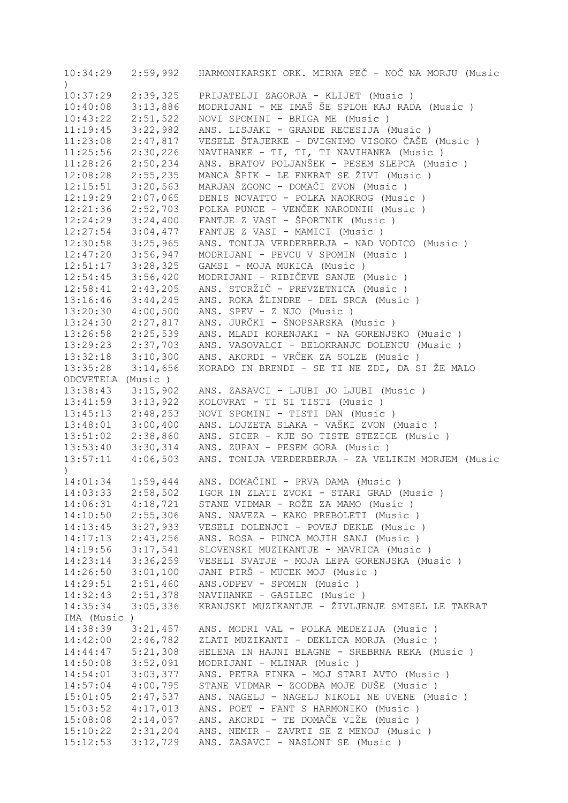| 10:34:29              |          | 2:59,992 HARMONIKARSKI ORK. MIRNA PEČ - NOČ NA MORJU (Music |
|-----------------------|----------|-------------------------------------------------------------|
| $\left( \right)$      |          |                                                             |
| 10:37:29              | 2:39,325 | PRIJATELJI ZAGORJA - KLIJET (Music)                         |
| 10:40:08              | 3:13,886 | MODRIJANI - ME IMAŠ ŠE SPLOH KAJ RADA (Music)               |
| 10:43:22              | 2:51,522 | NOVI SPOMINI - BRIGA ME (Music)                             |
| 11:19:45              | 3:22,982 | ANS. LISJAKI - GRANDE RECESIJA (Music)                      |
| 11:23:08              | 2:47,817 | VESELE ŠTAJERKE - DVIGNIMO VISOKO ČAŠE (Music)              |
| 11:25:56              | 2:30,226 | NAVIHANKE - TI, TI, TI NAVIHANKA (Music)                    |
|                       |          |                                                             |
| 11:28:26              | 2:50,234 | ANS. BRATOV POLJANŠEK - PESEM SLEPCA (Music)                |
| 12:08:28              | 2:55,235 | MANCA ŠPIK - LE ENKRAT SE ŽIVI (Music )                     |
| 12:15:51              | 3:20,563 | MARJAN ZGONC - DOMAČI ZVON (Music)                          |
| 12:19:29              | 2:07,065 | DENIS NOVATTO - POLKA NAOKROG (Music)                       |
| 12:21:36              | 2:52,703 | POLKA PUNCE - VENČEK NARODNIH (Music)                       |
| 12:24:29              | 3:24,400 | FANTJE Z VASI - ŠPORTNIK (Music )                           |
| 12:27:54              | 3:04,477 | FANTJE Z VASI - MAMICI (Music)                              |
| $12:30:58$ $3:25,965$ |          | ANS. TONIJA VERDERBERJA - NAD VODICO (Music)                |
| 12:47:20              | 3:56,947 | MODRIJANI - PEVCU V SPOMIN (Music)                          |
| $12:51:17$ $3:28,325$ |          | GAMSI - MOJA MUKICA (Music)                                 |
| 12:54:45              | 3:56,420 | MODRIJANI - RIBIČEVE SANJE (Music)                          |
| $12:58:41$ $2:43,205$ |          | ANS. STORŽIČ - PREVZETNICA (Music)                          |
| $13:16:46$ $3:44,245$ |          | ANS. ROKA ŽLINDRE - DEL SRCA (Music)                        |
| 13:20:30              | 4:00,500 | ANS. SPEV - Z NJO (Music)                                   |
| 13:24:30              | 2:27,817 | ANS. JURČKI - ŠNOPSARSKA (Music)                            |
|                       |          |                                                             |
| $13:26:58$ $2:25,539$ |          | ANS. MLADI KORENJAKI - NA GORENJSKO (Music)                 |
| $13:29:23$ $2:37,703$ |          | ANS. VASOVALCI - BELOKRANJC DOLENCU (Music)                 |
| $13:32:18$ $3:10,300$ |          | ANS. AKORDI - VRČEK ZA SOLZE (Music )                       |
| 13:35:28              | 3:14,656 | KORADO IN BRENDI - SE TI NE ZDI, DA SI ŽE MALO              |
| ODCVETELA (Music)     |          |                                                             |
| 13:38:43              | 3:15,902 | ANS. ZASAVCI - LJUBI JO LJUBI (Music)                       |
| $13:41:59$ $3:13,922$ |          | KOLOVRAT - TI SI TISTI (Music)                              |
| $13:45:13$ $2:48,253$ |          | NOVI SPOMINI - TISTI DAN (Music )                           |
| $13:48:01$ $3:00,400$ |          | ANS. LOJZETA SLAKA - VAŠKI ZVON (Music )                    |
| $13:51:02$ $2:38,860$ |          | ANS. SICER - KJE SO TISTE STEZICE (Music )                  |
| $13:53:40$ $3:30,314$ |          | ANS. ZUPAN - PESEM GORA (Music)                             |
| $13:57:11$ $4:06,503$ |          | ANS. TONIJA VERDERBERJA - ZA VELIKIM MORJEM (Music          |
| $\left( \right)$      |          |                                                             |
|                       |          | 14:01:34  1:59,444  ANS. DOMAČINI - PRVA DAMA (Music)       |
| 14:03:33              | 2:58,502 | IGOR IN ZLATI ZVOKI - STARI GRAD (Music)                    |
| 14:06:31              | 4:18,721 | STANE VIDMAR - ROŽE ZA MAMO (Music )                        |
| 14:10:50              | 2:55,306 | ANS. NAVEZA - KAKO PREBOLETI (Music)                        |
|                       | 3:27,933 |                                                             |
| 14:13:45              |          | VESELI DOLENJCI - POVEJ DEKLE (Music)                       |
| 14:17:13              | 2:43,256 | ANS. ROSA - PUNCA MOJIH SANJ (Music)                        |
| 14:19:56              | 3:17,541 | SLOVENSKI MUZIKANTJE - MAVRICA (Music)                      |
| 14:23:14              | 3:36,259 | VESELI SVATJE - MOJA LEPA GORENJSKA (Music)                 |
| 14:26:50              | 3:01,100 | JANI PIRŠ - MUCEK MOJ (Music)                               |
| 14:29:51              | 2:51,460 | ANS.ODPEV - SPOMIN (Music)                                  |
| 14:32:43              | 2:51,378 | NAVIHANKE - GASILEC (Music)                                 |
| 14:35:34              | 3:05,336 | KRANJSKI MUZIKANTJE - ŽIVLJENJE SMISEL LE TAKRAT            |
| IMA (Music)           |          |                                                             |
| 14:38:39              | 3:21,457 | ANS. MODRI VAL - POLKA MEDEZIJA (Music)                     |
| 14:42:00              | 2:46,782 | ZLATI MUZIKANTI - DEKLICA MORJA (Music)                     |
| 14:44:47              | 5:21,308 | HELENA IN HAJNI BLAGNE - SREBRNA REKA (Music)               |
| 14:50:08              | 3:52,091 | MODRIJANI - MLINAR (Music)                                  |
| 14:54:01              | 3:03,377 | ANS. PETRA FINKA - MOJ STARI AVTO (Music)                   |
| 14:57:04              | 4:00,795 | STANE VIDMAR - ZGODBA MOJE DUŠE (Music )                    |
| 15:01:05              | 2:47,537 | ANS. NAGELJ - NAGELJ NIKOLI NE UVENE (Music)                |
| 15:03:52              | 4:17,013 | ANS. POET - FANT S HARMONIKO (Music)                        |
|                       |          |                                                             |
| 15:08:08              | 2:14,057 | ANS. AKORDI - TE DOMAČE VIŽE (Music )                       |
| 15:10:22              | 2:31,204 | ANS. NEMIR - ZAVRTI SE Z MENOJ (Music)                      |
| 15:12:53              | 3:12,729 | ANS. ZASAVCI - NASLONI SE (Music)                           |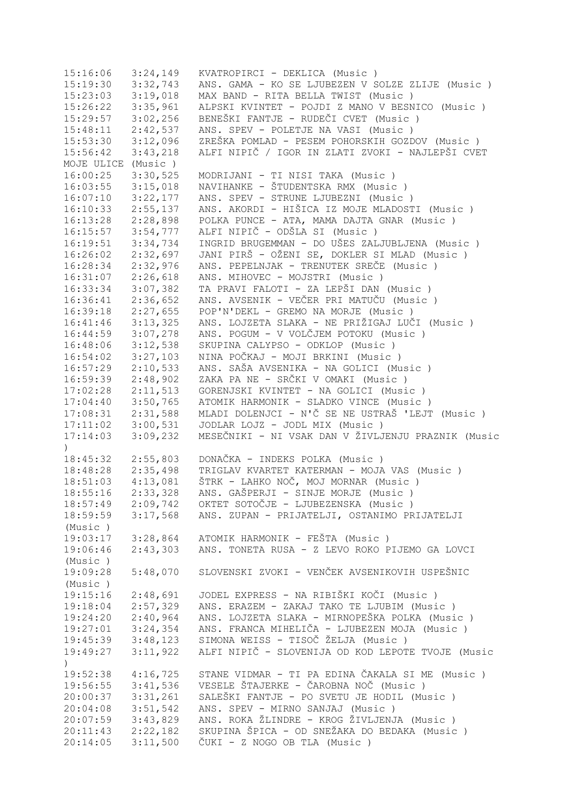| 15:16:06                     | 3:24,149 | KVATROPIRCI - DEKLICA (Music)                      |
|------------------------------|----------|----------------------------------------------------|
| 15:19:30                     | 3:32,743 | ANS. GAMA - KO SE LJUBEZEN V SOLZE ZLIJE (Music)   |
| 15:23:03                     | 3:19,018 | MAX BAND - RITA BELLA TWIST (Music)                |
| 15:26:22                     | 3:35,961 | ALPSKI KVINTET - POJDI Z MANO V BESNICO (Music)    |
| 15:29:57                     | 3:02,256 | BENEŠKI FANTJE - RUDEČI CVET (Music )              |
| 15:48:11                     | 2:42,537 | ANS. SPEV - POLETJE NA VASI (Music)                |
| 15:53:30                     | 3:12,096 | ZREŠKA POMLAD - PESEM POHORSKIH GOZDOV (Music )    |
| 15:56:42                     | 3:43,218 | ALFI NIPIČ / IGOR IN ZLATI ZVOKI - NAJLEPŠI CVET   |
| MOJE ULICE (Music)           |          |                                                    |
| 16:00:25                     | 3:30,525 | MODRIJANI - TI NISI TAKA (Music)                   |
| 16:03:55                     | 3:15,018 | NAVIHANKE - ŠTUDENTSKA RMX (Music)                 |
| 16:07:10                     | 3:22,177 | ANS. SPEV - STRUNE LJUBEZNI (Music )               |
|                              |          | ANS. AKORDI - HIŠICA IZ MOJE MLADOSTI (Music )     |
| 16:10:33                     | 2:55,137 |                                                    |
| 16:13:28                     | 2:28,898 | POLKA PUNCE - ATA, MAMA DAJTA GNAR (Music)         |
| 16:15:57                     | 3:54,777 | ALFI NIPIČ - ODŠLA SI (Music)                      |
| 16:19:51                     | 3:34,734 | INGRID BRUGEMMAN - DO UŠES ZALJUBLJENA (Music)     |
| 16:26:02                     | 2:32,697 | JANI PIRŠ - OŽENI SE, DOKLER SI MLAD (Music)       |
| 16:28:34                     | 2:32,976 | ANS. PEPELNJAK - TRENUTEK SREČE (Music)            |
| 16:31:07                     | 2:26,618 | ANS. MIHOVEC - MOJSTRI (Music)                     |
| 16:33:34                     | 3:07,382 | TA PRAVI FALOTI - ZA LEPŠI DAN (Music )            |
| 16:36:41                     | 2:36,652 | ANS. AVSENIK - VEČER PRI MATUČU (Music)            |
| 16:39:18                     | 2:27,655 | POP'N'DEKL - GREMO NA MORJE (Music)                |
| 16:41:46                     | 3:13,325 | ANS. LOJZETA SLAKA - NE PRIŽIGAJ LUČI (Music )     |
| 16:44:59                     | 3:07,278 | ANS. POGUM - V VOLČJEM POTOKU (Music )             |
| 16:48:06                     | 3:12,538 | SKUPINA CALYPSO - ODKLOP (Music)                   |
| 16:54:02                     | 3:27,103 | NINA POČKAJ - MOJI BRKINI (Music )                 |
| 16:57:29                     | 2:10,533 | ANS. SAŠA AVSENIKA - NA GOLICI (Music )            |
| 16:59:39                     | 2:48,902 | ZAKA PA NE - SRČKI V OMAKI (Music )                |
| 17:02:28                     | 2:11,513 | GORENJSKI KVINTET - NA GOLICI (Music )             |
| 17:04:40                     | 3:50,765 | ATOMIK HARMONIK - SLADKO VINCE (Music)             |
| 17:08:31                     | 2:31,588 | MLADI DOLENJCI - N'Č SE NE USTRAŠ 'LEJT (Music)    |
| 17:11:02                     | 3:00,531 | JODLAR LOJZ - JODL MIX (Music)                     |
| 17:14:03                     | 3:09,232 | MESEČNIKI - NI VSAK DAN V ŽIVLJENJU PRAZNIK (Music |
| $\mathcal{L}$                |          |                                                    |
| $18:45:32$ $2:55,803$        |          | DONAČKA - INDEKS POLKA (Music)                     |
| 18:48:28                     | 2:35,498 | TRIGLAV KVARTET KATERMAN - MOJA VAS (Music)        |
| 18:51:03                     | 4:13,081 | ŠTRK - LAHKO NOČ, MOJ MORNAR (Music)               |
| 18:55:16                     | 2:33,328 | ANS. GAŠPERJI - SINJE MORJE (Music )               |
| 18:57:49                     | 2:09,742 | OKTET SOTOČJE - LJUBEZENSKA (Music )               |
| 18:59:59                     | 3:17,568 | ANS. ZUPAN - PRIJATELJI, OSTANIMO PRIJATELJI       |
| (Music)                      |          |                                                    |
| 19:03:17                     | 3:28,864 | ATOMIK HARMONIK - FEŠTA (Music)                    |
|                              |          | ANS. TONETA RUSA - Z LEVO ROKO PIJEMO GA LOVCI     |
| 19:06:46                     | 2:43,303 |                                                    |
| (Music)                      |          |                                                    |
| 19:09:28                     | 5:48,070 | SLOVENSKI ZVOKI - VENČEK AVSENIKOVIH USPEŠNIC      |
| (Music)                      |          |                                                    |
| 19:15:16                     | 2:48,691 | JODEL EXPRESS - NA RIBIŠKI KOČI (Music )           |
| 19:18:04                     | 2:57,329 | ANS. ERAZEM - ZAKAJ TAKO TE LJUBIM (Music)         |
| 19:24:20                     | 2:40,964 | ANS. LOJZETA SLAKA - MIRNOPEŠKA POLKA (Music )     |
| 19:27:01                     | 3:24,354 | ANS. FRANCA MIHELIČA - LJUBEZEN MOJA (Music)       |
| 19:45:39                     | 3:48,123 | SIMONA WEISS - TISOČ ŽELJA (Music )                |
| 19:49:27<br>$\left( \right)$ | 3:11,922 | ALFI NIPIČ - SLOVENIJA OD KOD LEPOTE TVOJE (Music  |
| 19:52:38                     | 4:16,725 | STANE VIDMAR - TI PA EDINA ČAKALA SI ME (Music)    |
| 19:56:55                     | 3:41,536 | VESELE ŠTAJERKE - ČAROBNA NOČ (Music)              |
| 20:00:37                     | 3:31,261 | SALEŠKI FANTJE - PO SVETU JE HODIL (Music)         |
| 20:04:08                     | 3:51,542 | ANS. SPEV - MIRNO SANJAJ (Music)                   |
| 20:07:59                     | 3:43,829 | ANS. ROKA ŽLINDRE - KROG ŽIVLJENJA (Music)         |
| 20:11:43                     | 2:22,182 | SKUPINA ŠPICA - OD SNEŽAKA DO BEDAKA (Music )      |
| 20:14:05                     | 3:11,500 | ČUKI - Z NOGO OB TLA (Music)                       |
|                              |          |                                                    |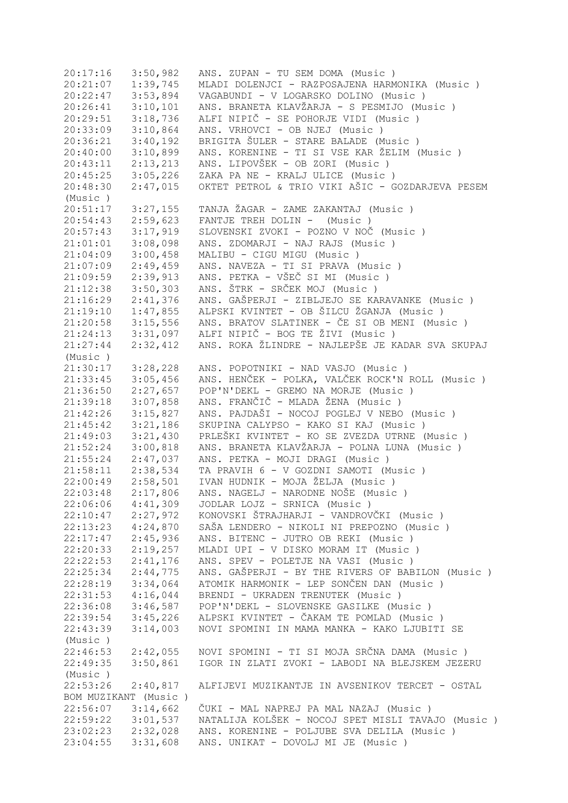20:17:16 3:50,982 ANS. ZUPAN - TU SEM DOMA (Music ) 20:21:07 1:39,745 MLADI DOLENJCI - RAZPOSAJENA HARMONIKA (Music ) 20:22:47 3:53,894 VAGABUNDI - V LOGARSKO DOLINO (Music ) 20:26:41 3:10,101 ANS. BRANETA KLAVŽARJA - S PESMIJO (Music ) 20:29:51 3:18,736 ALFI NIPIČ - SE POHORJE VIDI (Music ) 20:33:09 3:10,864 ANS. VRHOVCI - OB NJEJ (Music ) 20:36:21 3:40,192 BRIGITA ŠULER - STARE BALADE (Music ) 20:40:00 3:10,899 ANS. KORENINE - TI SI VSE KAR ŽELIM (Music ) 20:43:11 2:13,213 ANS. LIPOVŠEK - OB ZORI (Music ) 20:45:25 3:05,226 ZAKA PA NE - KRALJ ULICE (Music ) 2:47,015 OKTET PETROL & TRIO VIKI AŠIC - GOZDARJEVA PESEM (Music ) 20:51:17 3:27,155 TANJA ŽAGAR - ZAME ZAKANTAJ (Music ) 20:54:43 2:59,623 FANTJE TREH DOLIN - (Music ) 20:57:43 3:17,919 SLOVENSKI ZVOKI - POZNO V NOČ (Music ) 21:01:01 3:08,098 ANS. ZDOMARJI - NAJ RAJS (Music ) 21:04:09 3:00,458 MALIBU - CIGU MIGU (Music ) 21:07:09 2:49,459 ANS. NAVEZA - TI SI PRAVA (Music ) 21:09:59 2:39,913 ANS. PETKA - VŠEČ SI MI (Music ) 21:12:38 3:50,303 ANS. ŠTRK - SRČEK MOJ (Music ) 21:16:29 2:41,376 ANS. GAŠPERJI - ZIBLJEJO SE KARAVANKE (Music ) 21:19:10 1:47,855 ALPSKI KVINTET - OB ŠILCU ŽGANJA (Music ) 21:20:58 3:15,556 ANS. BRATOV SLATINEK - ČE SI OB MENI (Music ) 21:24:13 3:31,097 ALFI NIPIČ - BOG TE ŽIVI (Music ) 21:27:44 2:32,412 ANS. ROKA ŽLINDRE - NAJLEPŠE JE KADAR SVA SKUPAJ (Music ) 21:30:17 3:28,228 ANS. POPOTNIKI - NAD VASJO (Music ) 21:33:45 3:05,456 ANS. HENČEK - POLKA, VALČEK ROCK'N ROLL (Music ) 21:36:50 2:27,657 POP'N'DEKL - GREMO NA MORJE (Music ) 21:39:18 3:07,858 ANS. FRANČIČ - MLADA ŽENA (Music ) 21:42:26 3:15,827 ANS. PAJDAŠI - NOCOJ POGLEJ V NEBO (Music ) 21:45:42 3:21,186 SKUPINA CALYPSO - KAKO SI KAJ (Music ) 21:49:03 3:21,430 PRLEŠKI KVINTET - KO SE ZVEZDA UTRNE (Music ) 3:00,818 ANS. BRANETA KLAVŽARJA - POLNA LUNA (Music ) 21:55:24 2:47,037 ANS. PETKA - MOJI DRAGI (Music ) 21:58:11 2:38,534 TA PRAVIH 6 - V GOZDNI SAMOTI (Music ) 22:00:49 2:58,501 IVAN HUDNIK - MOJA ŽELJA (Music ) 22:03:48 2:17,806 ANS. NAGELJ - NARODNE NOŠE (Music ) 22:06:06 4:41,309 JODLAR LOJZ - SRNICA (Music ) 22:10:47 2:27,972 KONOVSKI ŠTRAJHARJI - VANDROVČKI (Music ) 22:13:23 4:24,870 SAŠA LENDERO - NIKOLI NI PREPOZNO (Music ) 22:17:47 2:45,936 ANS. BITENC - JUTRO OB REKI (Music ) 22:20:33 2:19,257 MLADI UPI - V DISKO MORAM IT (Music ) 22:22:53 2:41,176 ANS. SPEV - POLETJE NA VASI (Music ) 22:25:34 2:44,775 ANS. GAŠPERJI - BY THE RIVERS OF BABILON (Music ) 22:28:19 3:34,064 ATOMIK HARMONIK - LEP SONČEN DAN (Music ) 22:31:53 4:16,044 BRENDI - UKRADEN TRENUTEK (Music ) 22:36:08 3:46,587 POP'N'DEKL - SLOVENSKE GASILKE (Music ) 22:39:54 3:45,226 ALPSKI KVINTET - ČAKAM TE POMLAD (Music ) 22:43:39 3:14,003 NOVI SPOMINI IN MAMA MANKA - KAKO LJUBITI SE (Music ) 22:46:53 2:42,055 NOVI SPOMINI - TI SI MOJA SRČNA DAMA (Music ) 22:49:35 3:50,861 IGOR IN ZLATI ZVOKI - LABODI NA BLEJSKEM JEZERU (Music ) 22:53:26 2:40,817 ALFIJEVI MUZIKANTJE IN AVSENIKOV TERCET - OSTAL BOM MUZIKANT (Music ) 22:56:07 3:14,662 ČUKI - MAL NAPREJ PA MAL NAZAJ (Music ) 22:59:22 3:01,537 NATALIJA KOLŠEK - NOCOJ SPET MISLI TAVAJO (Music ) 23:02:23 2:32,028 ANS. KORENINE - POLJUBE SVA DELILA (Music ) 23:04:55 3:31,608 ANS. UNIKAT - DOVOLJ MI JE (Music )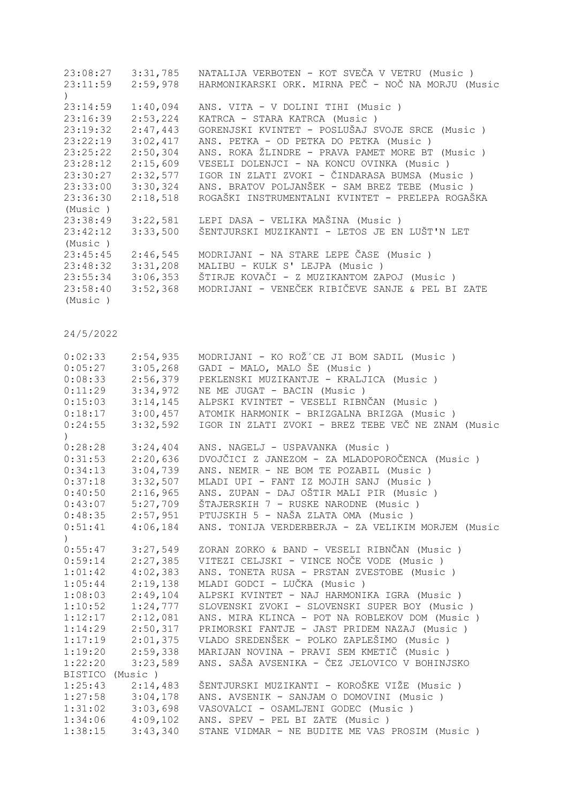| 23:08:27 | 3:31,785 | NATALIJA VERBOTEN - KOT SVEČA V VETRU (Music)      |
|----------|----------|----------------------------------------------------|
| 23:11:59 | 2:59,978 | HARMONIKARSKI ORK. MIRNA PEČ - NOČ NA MORJU (Music |
|          |          |                                                    |
| 23:14:59 | 1:40,094 | ANS. VITA - V DOLINI TIHI (Music)                  |
| 23:16:39 | 2:53,224 | KATRCA - STARA KATRCA (Music)                      |
| 23:19:32 | 2:47,443 | GORENJSKI KVINTET - POSLUŠAJ SVOJE SRCE (Music)    |
| 23:22:19 | 3:02,417 | ANS. PETKA - OD PETKA DO PETKA (Music)             |
| 23:25:22 | 2:50,304 | ANS. ROKA ŽLINDRE - PRAVA PAMET MORE BT (Music )   |
| 23:28:12 | 2:15,609 | VESELI DOLENJCI - NA KONCU OVINKA (Music)          |
| 23:30:27 | 2:32,577 | IGOR IN ZLATI ZVOKI - ČINDARASA BUMSA (Music )     |
| 23:33:00 | 3:30,324 | ANS. BRATOV POLJANŠEK - SAM BREZ TEBE (Music)      |
| 23:36:30 | 2:18,518 | ROGAŠKI INSTRUMENTALNI KVINTET - PRELEPA ROGAŠKA   |
| (Music)  |          |                                                    |
| 23:38:49 | 3:22,581 | LEPI DASA - VELIKA MAŠINA (Music )                 |
| 23:42:12 | 3:33,500 | ŠENTJURSKI MUZIKANTI - LETOS JE EN LUŠT'N LET      |
| (Music)  |          |                                                    |
| 23:45:45 | 2:46,545 | MODRIJANI - NA STARE LEPE ČASE (Music)             |
| 23:48:32 | 3:31,208 | MALIBU - KULK S' LEJPA (Music)                     |
| 23:55:34 | 3:06,353 | ŠTIRJE KOVAČI - Z MUZIKANTOM ZAPOJ (Music)         |
| 23:58:40 | 3:52,368 | MODRIJANI - VENEČEK RIBIČEVE SANJE & PEL BI ZATE   |
| (Music)  |          |                                                    |

| 0:02:33        | 2:54,935 | MODRIJANI - KO ROŽ´CE JI BOM SADIL (Music)         |
|----------------|----------|----------------------------------------------------|
| 0:05:27        | 3:05,268 | GADI - MALO, MALO ŠE (Music)                       |
| 0:08:33        | 2:56,379 | PEKLENSKI MUZIKANTJE - KRALJICA (Music)            |
| 0:11:29        | 3:34,972 | NE ME JUGAT - BACIN (Music)                        |
| 0:15:03        | 3:14,145 | ALPSKI KVINTET - VESELI RIBNČAN (Music )           |
| 0:18:17        | 3:00,457 | ATOMIK HARMONIK - BRIZGALNA BRIZGA (Music )        |
| 0:24:55        | 3:32,592 | IGOR IN ZLATI ZVOKI - BREZ TEBE VEČ NE ZNAM (Music |
|                |          |                                                    |
| 0:28:28        | 3:24,404 | ANS. NAGELJ - USPAVANKA (Music)                    |
| 0:31:53        | 2:20,636 | DVOJČICI Z JANEZOM - ZA MLADOPOROČENCA (Music)     |
| 0:34:13        | 3:04,739 | ANS. NEMIR - NE BOM TE POZABIL (Music)             |
| 0:37:18        | 3:32,507 | MLADI UPI - FANT IZ MOJIH SANJ (Music)             |
| 0:40:50        | 2:16,965 | ANS. ZUPAN - DAJ OŠTIR MALI PIR (Music )           |
| 0:43:07        | 5:27,709 | ŠTAJERSKIH 7 - RUSKE NARODNE (Music)               |
| 0:48:35        | 2:57,951 | PTUJSKIH 5 - NAŠA ZLATA OMA (Music)                |
| 0:51:41        | 4:06,184 | ANS. TONIJA VERDERBERJA - ZA VELIKIM MORJEM (Music |
|                |          |                                                    |
| 0:55:47        | 3:27,549 | ZORAN ZORKO & BAND - VESELI RIBNČAN (Music )       |
| 0:59:14        | 2:27,385 | VITEZI CELJSKI - VINCE NOČE VODE (Music)           |
| 1:01:42        | 4:02,383 | ANS. TONETA RUSA - PRSTAN ZVESTOBE (Music )        |
| 1:05:44        | 2:19,138 | MLADI GODCI - LUČKA (Music)                        |
| 1:08:03        | 2:49,104 | ALPSKI KVINTET - NAJ HARMONIKA IGRA (Music)        |
| 1:10:52        | 1:24,777 | SLOVENSKI ZVOKI - SLOVENSKI SUPER BOY (Music )     |
| 1:12:17        | 2:12,081 | ANS. MIRA KLINCA - POT NA ROBLEKOV DOM (Music )    |
| 1:14:29        | 2:50,317 | PRIMORSKI FANTJE - JAST PRIDEM NAZAJ (Music)       |
| 1:17:19        | 2:01,375 | VLADO SREDENŠEK - POLKO ZAPLEŠIMO (Music)          |
| 1:19:20        | 2:59,338 | MARIJAN NOVINA - PRAVI SEM KMETIČ (Music)          |
| 1:22:20        | 3:23,589 | ANS. SAŠA AVSENIKA - ČEZ JELOVICO V BOHINJSKO      |
| <b>BISTICO</b> | (Music)  |                                                    |
| 1:25:43        | 2:14,483 | ŠENTJURSKI MUZIKANTI - KOROŠKE VIŽE (Music )       |
| 1:27:58        | 3:04,178 | ANS. AVSENIK - SANJAM O DOMOVINI (Music )          |
| 1:31:02        | 3:03,698 | VASOVALCI - OSAMLJENI GODEC (Music)                |
| 1:34:06        | 4:09,102 | ANS. SPEV - PEL BI ZATE (Music)                    |
| 1:38:15        | 3:43,340 | STANE VIDMAR - NE BUDITE ME VAS PROSIM (Music)     |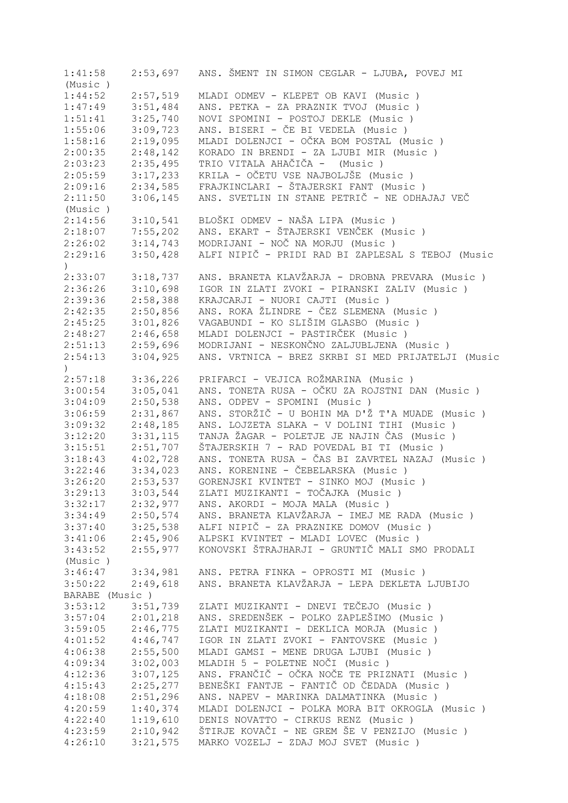| 1:41:58        | 2:53,697             | ANS. ŠMENT IN SIMON CEGLAR - LJUBA, POVEJ MI       |
|----------------|----------------------|----------------------------------------------------|
| (Music)        |                      |                                                    |
| 1:44:52        | 2:57,519             | MLADI ODMEV - KLEPET OB KAVI (Music)               |
| 1:47:49        | 3:51,484             | ANS. PETKA - ZA PRAZNIK TVOJ (Music )              |
| 1:51:41        | 3:25,740             | NOVI SPOMINI - POSTOJ DEKLE (Music)                |
| 1:55:06        | 3:09,723             | ANS. BISERI - ČE BI VEDELA (Music)                 |
| 1:58:16        | 2:19,095             | MLADI DOLENJCI - OČKA BOM POSTAL (Music )          |
| 2:00:35        | 2:48,142             | KORADO IN BRENDI - ZA LJUBI MIR (Music)            |
|                |                      |                                                    |
| 2:03:23        | 2:35,495             | TRIO VITALA AHAČIČA - (Music)                      |
| 2:05:59        | 3:17,233             | KRILA - OČETU VSE NAJBOLJŠE (Music )               |
| 2:09:16        | 2:34,585             | FRAJKINCLARI - ŠTAJERSKI FANT (Music)              |
| 2:11:50        | 3:06,145             | ANS. SVETLIN IN STANE PETRIČ - NE ODHAJAJ VEČ      |
| (Music)        |                      |                                                    |
| 2:14:56        | 3:10,541             | BLOŠKI ODMEV - NAŠA LIPA (Music )                  |
| 2:18:07        | 7:55,202             | ANS. EKART - ŠTAJERSKI VENČEK (Music )             |
| 2:26:02        | 3:14,743             | MODRIJANI - NOČ NA MORJU (Music)                   |
| 2:29:16        | 3:50,428             | ALFI NIPIČ - PRIDI RAD BI ZAPLESAL S TEBOJ (Music  |
| $\lambda$      |                      |                                                    |
| 2:33:07        | 3:18,737             | ANS. BRANETA KLAVŽARJA - DROBNA PREVARA (Music )   |
| 2:36:26        | 3:10,698             | IGOR IN ZLATI ZVOKI - PIRANSKI ZALIV (Music )      |
|                |                      | KRAJCARJI - NUORI CAJTI (Music)                    |
| 2:39:36        | 2:58,388             |                                                    |
| 2:42:35        | 2:50,856             | ANS. ROKA ŽLINDRE - ČEZ SLEMENA (Music)            |
| 2:45:25        | 3:01,826             | VAGABUNDI - KO SLIŠIM GLASBO (Music )              |
| 2:48:27        | 2:46,658             | MLADI DOLENJCI - PASTIRČEK (Music )                |
| 2:51:13        | 2:59,696             | MODRIJANI - NESKONČNO ZALJUBLJENA (Music)          |
| 2:54:13        | 3:04,925             | ANS. VRTNICA - BREZ SKRBI SI MED PRIJATELJI (Music |
| $\lambda$      |                      |                                                    |
| 2:57:18        | 3:36,226             | PRIFARCI - VEJICA ROŽMARINA (Music )               |
| 3:00:54        | 3:05,041             | ANS. TONETA RUSA - OČKU ZA ROJSTNI DAN (Music )    |
| 3:04:09        | 2:50,538             | ANS. ODPEV - SPOMINI (Music)                       |
| 3:06:59        | 2:31,867             | ANS. STORŽIČ - U BOHIN MA D'Ž T'A MUADE (Music)    |
| 3:09:32        | 2:48,185             | ANS. LOJZETA SLAKA - V DOLINI TIHI (Music )        |
| 3:12:20        | 3:31,115             | TANJA ŽAGAR - POLETJE JE NAJIN ČAS (Music)         |
| 3:15:51        | 2:51,707             | ŠTAJERSKIH 7 - RAD POVEDAL BI TI (Music )          |
|                | 4:02,728             | ANS. TONETA RUSA - ČAS BI ZAVRTEL NAZAJ (Music )   |
| 3:18:43        |                      |                                                    |
| 3:22:46        | 3:34,023             | ANS. KORENINE - ČEBELARSKA (Music)                 |
| 3:26:20        | 2:53,537             | GORENJSKI KVINTET - SINKO MOJ (Music)              |
| 3:29:13        | 3:03,544             | ZLATI MUZIKANTI - TOČAJKA (Music )                 |
| 3:32:17        | 2:32,977             | ANS. AKORDI - MOJA MALA (Music)                    |
|                | $3:34:49$ $2:50,574$ | ANS. BRANETA KLAVŽARJA - IMEJ ME RADA (Music)      |
| 3:37:40        | 3:25,538             | ALFI NIPIČ - ZA PRAZNIKE DOMOV (Music )            |
| 3:41:06        | 2:45,906             | ALPSKI KVINTET - MLADI LOVEC (Music)               |
| 3:43:52        | 2:55,977             | KONOVSKI ŠTRAJHARJI - GRUNTIČ MALI SMO PRODALI     |
| (Music)        |                      |                                                    |
| 3:46:47        | 3:34,981             | ANS. PETRA FINKA - OPROSTI MI (Music )             |
| 3:50:22        | 2:49,618             | ANS. BRANETA KLAVŽARJA - LEPA DEKLETA LJUBIJO      |
| BARABE (Music) |                      |                                                    |
| 3:53:12        | 3:51,739             | ZLATI MUZIKANTI - DNEVI TEČEJO (Music )            |
| 3:57:04        | 2:01,218             | ANS. SREDENŠEK - POLKO ZAPLEŠIMO (Music)           |
|                |                      |                                                    |
| 3:59:05        | 2:46,775             | ZLATI MUZIKANTI - DEKLICA MORJA (Music)            |
| 4:01:52        | 4:46,747             | IGOR IN ZLATI ZVOKI - FANTOVSKE (Music)            |
| 4:06:38        | 2:55,500             | MLADI GAMSI - MENE DRUGA LJUBI (Music)             |
| 4:09:34        | 3:02,003             | MLADIH 5 - POLETNE NOČI (Music)                    |
| 4:12:36        | 3:07,125             | ANS. FRANČIČ - OČKA NOČE TE PRIZNATI (Music )      |
| 4:15:43        | 2:25,277             | BENEŠKI FANTJE - FANTIČ OD ČEDADA (Music )         |
| 4:18:08        | 2:51,296             | ANS. NAPEV - MARINKA DALMATINKA (Music)            |
| 4:20:59        | 1:40,374             | MLADI DOLENJCI - POLKA MORA BIT OKROGLA (Music )   |
| 4:22:40        | 1:19,610             | DENIS NOVATTO - CIRKUS RENZ (Music )               |
| 4:23:59        | 2:10,942             | ŠTIRJE KOVAČI - NE GREM ŠE V PENZIJO (Music )      |
| 4:26:10        | 3:21,575             | MARKO VOZELJ - ZDAJ MOJ SVET (Music)               |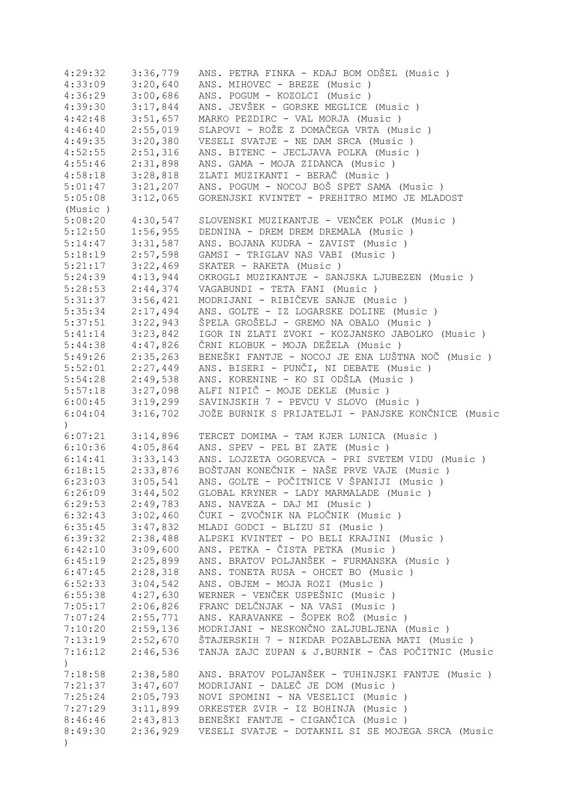| 4:29:32              | 3:36,779 | ANS. PETRA FINKA - KDAJ BOM ODŠEL (Music)          |
|----------------------|----------|----------------------------------------------------|
| 4:33:09              | 3:20,640 | ANS. MIHOVEC - BREZE (Music)                       |
| 4:36:29              | 3:00,686 | ANS. POGUM - KOZOLCI (Music)                       |
| 4:39:30              | 3:17,844 | ANS. JEVŠEK - GORSKE MEGLICE (Music)               |
| 4:42:48              | 3:51,657 | MARKO PEZDIRC - VAL MORJA (Music)                  |
| 4:46:40              | 2:55,019 | SLAPOVI - ROŽE Z DOMAČEGA VRTA (Music )            |
| 4:49:35              | 3:20,380 | VESELI SVATJE - NE DAM SRCA (Music)                |
| 4:52:55              | 2:51,316 | ANS. BITENC - JECLJAVA POLKA (Music)               |
| 4:55:46              | 2:31,898 | ANS. GAMA - MOJA ZIDANCA (Music)                   |
| 4:58:18              | 3:28,818 | ZLATI MUZIKANTI - BERAČ (Music)                    |
|                      | 3:21,207 | ANS. POGUM - NOCOJ BOŠ SPET SAMA (Music)           |
| 5:01:47              |          |                                                    |
| 5:05:08              | 3:12,065 | GORENJSKI KVINTET - PREHITRO MIMO JE MLADOST       |
| (Music)              |          |                                                    |
| 5:08:20              | 4:30,547 | SLOVENSKI MUZIKANTJE - VENČEK POLK (Music )        |
| 5:12:50              | 1:56,955 | DEDNINA - DREM DREM DREMALA (Music)                |
| 5:14:47              | 3:31,587 | ANS. BOJANA KUDRA - ZAVIST (Music )                |
| 5:18:19              | 2:57,598 | GAMSI - TRIGLAV NAS VABI (Music)                   |
| 5:21:17              | 3:22,469 | SKATER - RAKETA (Music)                            |
| 5:24:39              | 4:13,944 | OKROGLI MUZIKANTJE - SANJSKA LJUBEZEN (Music)      |
| 5:28:53              | 2:44,374 | VAGABUNDI - TETA FANI (Music)                      |
| 5:31:37              | 3:56,421 | MODRIJANI - RIBIČEVE SANJE (Music)                 |
| 5:35:34              | 2:17,494 | ANS. GOLTE - IZ LOGARSKE DOLINE (Music)            |
| 5:37:51              | 3:22,943 | ŠPELA GROŠELJ - GREMO NA OBALO (Music)             |
| 5:41:14              | 3:23,842 | IGOR IN ZLATI ZVOKI - KOZJANSKO JABOLKO (Music)    |
| 5:44:38              | 4:47,826 | ČRNI KLOBUK - MOJA DEŽELA (Music)                  |
| 5:49:26              | 2:35,263 | BENEŠKI FANTJE - NOCOJ JE ENA LUŠTNA NOČ (Music)   |
| 5:52:01              | 2:27,449 | ANS. BISERI - PUNČI, NI DEBATE (Music)             |
| 5:54:28              | 2:49,538 | ANS. KORENINE - KO SI ODŠLA (Music )               |
| 5:57:18              | 3:27,098 | ALFI NIPIČ - MOJE DEKLE (Music)                    |
| 6:00:45              | 3:19,299 | SAVINJSKIH 7 - PEVCU V SLOVO (Music)               |
| 6:04:04              | 3:16,702 | JOŽE BURNIK S PRIJATELJI - PANJSKE KONČNICE (Music |
|                      |          |                                                    |
|                      |          |                                                    |
| $\left( \right)$     |          |                                                    |
| 6:07:21              | 3:14,896 | TERCET DOMIMA - TAM KJER LUNICA (Music)            |
| $6:10:36$ $4:05,864$ |          | ANS. SPEV - PEL BI ZATE (Music)                    |
| 6:14:41              | 3:33,143 | ANS. LOJZETA OGOREVCA - PRI SVETEM VIDU (Music )   |
| $6:18:15$ $2:33,876$ |          | BOŠTJAN KONEČNIK - NAŠE PRVE VAJE (Music)          |
| 6:23:03              | 3:05,541 | ANS. GOLTE - POČITNICE V ŠPANIJI (Music)           |
| 6:26:09              | 3:44,502 | GLOBAL KRYNER - LADY MARMALADE (Music)             |
| 6:29:53              | 2:49,783 | ANS. NAVEZA - DAJ MI (Music)                       |
| 6:32:43              | 3:02,460 | ČUKI - ZVOČNIK NA PLOČNIK (Music )                 |
| 6:35:45              | 3:47,832 | MLADI GODCI - BLIZU SI (Music)                     |
| 6:39:32              | 2:38,488 | ALPSKI KVINTET - PO BELI KRAJINI (Music )          |
| 6:42:10              | 3:09,600 | ANS. PETKA - ČISTA PETKA (Music)                   |
| 6:45:19              | 2:25,899 | ANS. BRATOV POLJANŠEK - FURMANSKA (Music)          |
| 6:47:45              | 2:28,318 | ANS. TONETA RUSA - OHCET BO (Music )               |
|                      |          | ANS. OBJEM - MOJA ROZI (Music)                     |
| 6:52:33              | 3:04,542 |                                                    |
| 6:55:38              | 4:27,630 | WERNER - VENČEK USPEŠNIC (Music)                   |
| 7:05:17              | 2:06,826 | FRANC DELČNJAK - NA VASI (Music)                   |
| 7:07:24              | 2:55,771 | ANS. KARAVANKE - ŠOPEK ROŽ (Music )                |
| 7:10:20              | 2:59,136 | MODRIJANI - NESKONČNO ZALJUBLJENA (Music)          |
| 7:13:19              | 2:52,670 | ŠTAJERSKIH 7 - NIKDAR POZABLJENA MATI (Music )     |
| 7:16:12              | 2:46,536 | TANJA ZAJC ZUPAN & J.BURNIK - ČAS POČITNIC (Music  |
| $\mathcal{L}$        |          |                                                    |
| 7:18:58              | 2:38,580 | ANS. BRATOV POLJANŠEK - TUHINJSKI FANTJE (Music )  |
| 7:21:37              | 3:47,607 | MODRIJANI - DALEČ JE DOM (Music)                   |
| 7:25:24              | 2:05,793 | NOVI SPOMINI - NA VESELICI (Music )                |
| 7:27:29              | 3:11,899 | ORKESTER ZVIR - IZ BOHINJA (Music )                |
| 8:46:46              | 2:43,813 | BENEŠKI FANTJE - CIGANČICA (Music )                |
| 8:49:30              | 2:36,929 | VESELI SVATJE - DOTAKNIL SI SE MOJEGA SRCA (Music  |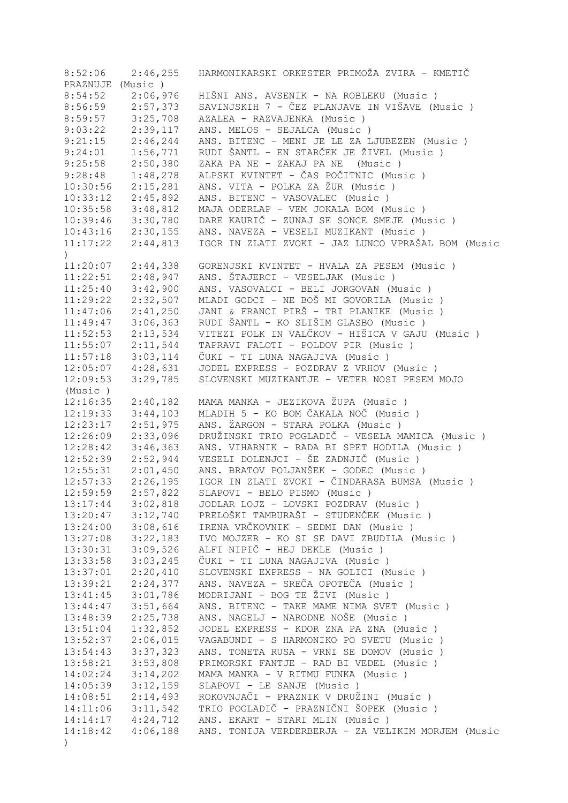| 8:52:06              | 2:46,255 | HARMONIKARSKI ORKESTER PRIMOŽA ZVIRA - KMETIČ                                |
|----------------------|----------|------------------------------------------------------------------------------|
| PRAZNUJE (Music)     |          |                                                                              |
| 8:54:52              | 2:06,976 | HIŠNI ANS. AVSENIK - NA ROBLEKU (Music )                                     |
| 8:56:59              | 2:57,373 | SAVINJSKIH 7 - ČEZ PLANJAVE IN VIŠAVE (Music)                                |
| 8:59:57              | 3:25,708 | AZALEA - RAZVAJENKA (Music)                                                  |
| 9:03:22              | 2:39,117 | ANS. MELOS - SEJALCA (Music)                                                 |
| 9:21:15              | 2:46,244 | ANS. BITENC - MENI JE LE ZA LJUBEZEN (Music)                                 |
| 9:24:01              | 1:56,771 | RUDI ŠANTL - EN STARČEK JE ŽIVEL (Music)                                     |
| 9:25:58              | 2:50,380 | ZAKA PA NE - ZAKAJ PA NE (Music)                                             |
| 9:28:48              | 1:48,278 | ALPSKI KVINTET - ČAS POČITNIC (Music )                                       |
| 10:30:56             | 2:15,281 | ANS. VITA - POLKA ZA ŽUR (Music )                                            |
| 10:33:12             | 2:45,892 | ANS. BITENC - VASOVALEC (Music)                                              |
| 10:35:58             | 3:48,812 | MAJA ODERLAP - VEM JOKALA BOM (Music)                                        |
| 10:39:46             | 3:30,780 | DARE KAURIČ - ZUNAJ SE SONCE SMEJE (Music)                                   |
|                      |          |                                                                              |
| 10:43:16             | 2:30,155 | ANS. NAVEZA - VESELI MUZIKANT (Music)                                        |
| 11:17:22             | 2:44,813 | IGOR IN ZLATI ZVOKI - JAZ LUNCO VPRAŠAL BOM (Music                           |
| $\left( \right)$     |          |                                                                              |
| 11:20:07             | 2:44,338 | GORENJSKI KVINTET - HVALA ZA PESEM (Music )                                  |
| 11:22:51             | 2:48,947 | ANS. ŠTAJERCI - VESELJAK (Music)                                             |
| 11:25:40             | 3:42,900 | ANS. VASOVALCI - BELI JORGOVAN (Music)                                       |
| 11:29:22             | 2:32,507 | MLADI GODCI - NE BOŠ MI GOVORILA (Music)                                     |
| 11:47:06             | 2:41,250 | JANI & FRANCI PIRŠ - TRI PLANIKE (Music)                                     |
| 11:49:47             | 3:06,363 | RUDI ŠANTL - KO SLIŠIM GLASBO (Music )                                       |
| 11:52:53             | 2:13,534 | VITEZI POLK IN VALČKOV - HIŠICA V GAJU (Music )                              |
| 11:55:07             | 2:11,544 | TAPRAVI FALOTI - POLDOV PIR (Music)                                          |
| 11:57:18             | 3:03,114 | ČUKI - TI LUNA NAGAJIVA (Music )                                             |
| 12:05:07             | 4:28,631 | JODEL EXPRESS - POZDRAV Z VRHOV (Music)                                      |
| 12:09:53             | 3:29,785 | SLOVENSKI MUZIKANTJE - VETER NOSI PESEM MOJO                                 |
| (Music)              |          |                                                                              |
| 12:16:35             | 2:40,182 | MAMA MANKA - JEZIKOVA ŽUPA (Music)                                           |
| 12:19:33             | 3:44,103 | MLADIH 5 - KO BOM ČAKALA NOČ (Music)                                         |
| 12:23:17             | 2:51,975 | ANS. ŽARGON - STARA POLKA (Music )                                           |
| 12:26:09             | 2:33,096 | DRUŽINSKI TRIO POGLADIČ - VESELA MAMICA (Music )                             |
| 12:28:42             | 3:46,363 | ANS. VIHARNIK - RADA BI SPET HODILA (Music)                                  |
| 12:52:39             | 2:52,944 | VESELI DOLENJCI - ŠE ZADNJIČ (Music )                                        |
| 12:55:31             | 2:01,450 | ANS. BRATOV POLJANŠEK - GODEC (Music)                                        |
| 12:57:33             | 2:26,195 | IGOR IN ZLATI ZVOKI - ČINDARASA BUMSA (Music )                               |
| 12:59:59             | 2:57,822 | SLAPOVI - BELO PISMO (Music)                                                 |
| 13:17:44             | 3:02,818 | JODLAR LOJZ - LOVSKI POZDRAV (Music )                                        |
| 13:20:47             | 3:12,740 | PRELOŠKI TAMBURAŠI - STUDENČEK (Music)                                       |
| 13:24:00             | 3:08,616 | IRENA VRČKOVNIK - SEDMI DAN (Music )                                         |
| 13:27:08             | 3:22,183 | IVO MOJZER - KO SI SE DAVI ZBUDILA (Music)                                   |
|                      | 3:09,526 |                                                                              |
| 13:30:31<br>13:33:58 | 3:03,245 | ALFI NIPIČ - HEJ DEKLE (Music)<br>ČUKI - TI LUNA NAGAJIVA (Music )           |
|                      |          |                                                                              |
| 13:37:01             | 2:20,410 | SLOVENSKI EXPRESS - NA GOLICI (Music)<br>ANS. NAVEZA - SREČA OPOTEČA (Music) |
| 13:39:21             | 2:24,377 |                                                                              |
| 13:41:45             | 3:01,786 | MODRIJANI - BOG TE ŽIVI (Music )                                             |
| 13:44:47             | 3:51,664 | ANS. BITENC - TAKE MAME NIMA SVET (Music)                                    |
| 13:48:39             | 2:25,738 | ANS. NAGELJ - NARODNE NOŠE (Music)                                           |
| 13:51:04             | 1:32,852 | JODEL EXPRESS - KDOR ZNA PA ZNA (Music)                                      |
| 13:52:37             | 2:06,015 | VAGABUNDI - S HARMONIKO PO SVETU (Music)                                     |
| 13:54:43             | 3:37,323 | ANS. TONETA RUSA - VRNI SE DOMOV (Music)                                     |
| 13:58:21             | 3:53,808 | PRIMORSKI FANTJE - RAD BI VEDEL (Music)                                      |
| 14:02:24             | 3:14,202 | MAMA MANKA - V RITMU FUNKA (Music)                                           |
| 14:05:39             | 3:12,159 | SLAPOVI - LE SANJE (Music)                                                   |
| 14:08:51             | 2:14,493 | ROKOVNJAČI - PRAZNIK V DRUŽINI (Music )                                      |
| 14:11:06             | 3:11,542 | TRIO POGLADIČ - PRAZNIČNI ŠOPEK (Music )                                     |
| 14:14:17             | 4:24,712 | ANS. EKART - STARI MLIN (Music)                                              |
| 14:18:42             | 4:06,188 | ANS. TONIJA VERDERBERJA - ZA VELIKIM MORJEM (Music                           |
| $\big)$              |          |                                                                              |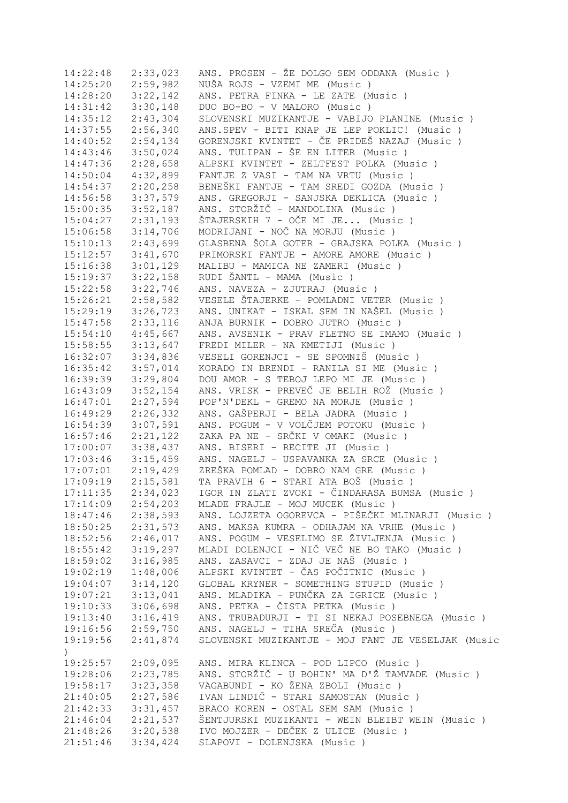| 14:22:48              | 2:33,023              | ANS. PROSEN - ŽE DOLGO SEM ODDANA (Music)           |
|-----------------------|-----------------------|-----------------------------------------------------|
| 14:25:20              | 2:59,982              | NUŠA ROJS - VZEMI ME (Music)                        |
| 14:28:20              | 3:22,142              | ANS. PETRA FINKA - LE ZATE (Music)                  |
| 14:31:42              | 3:30,148              | DUO BO-BO - V MALORO (Music)                        |
| 14:35:12              | 2:43,304              | SLOVENSKI MUZIKANTJE - VABIJO PLANINE (Music )      |
| 14:37:55              | 2:56,340              | ANS.SPEV - BITI KNAP JE LEP POKLIC! (Music)         |
| 14:40:52              | 2:54,134              | GORENJSKI KVINTET - ČE PRIDEŠ NAZAJ (Music )        |
| 14:43:46              | 3:50,024              | ANS. TULIPAN - ŠE EN LITER (Music )                 |
| 14:47:36              | 2:28,658              | ALPSKI KVINTET - ZELTFEST POLKA (Music)             |
| $14:50:04$ $4:32,899$ |                       | FANTJE Z VASI - TAM NA VRTU (Music)                 |
| $14:54:37$ $2:20,258$ |                       | BENEŠKI FANTJE - TAM SREDI GOZDA (Music )           |
|                       | $14:56:58$ $3:37,579$ | ANS. GREGORJI - SANJSKA DEKLICA (Music)             |
| $15:00:35$ $3:52,187$ |                       | ANS. STORŽIČ - MANDOLINA (Music)                    |
| $15:04:27$ $2:31,193$ |                       | ŠTAJERSKIH 7 - OČE MI JE (Music)                    |
|                       | $15:06:58$ $3:14,706$ | MODRIJANI - NOČ NA MORJU (Music)                    |
|                       | $15:10:13$ $2:43,699$ | GLASBENA ŠOLA GOTER - GRAJSKA POLKA (Music)         |
|                       | $15:12:57$ $3:41,670$ | PRIMORSKI FANTJE - AMORE AMORE (Music)              |
|                       |                       | 15:16:38 3:01,129 MALIBU - MAMICA NE ZAMERI (Music) |
|                       | $15:19:37$ $3:22,158$ | RUDI ŠANTL - MAMA (Music)                           |
|                       | $15:22:58$ $3:22,746$ | ANS. NAVEZA - ZJUTRAJ (Music)                       |
|                       | $15:26:21$ $2:58,582$ | VESELE ŠTAJERKE - POMLADNI VETER (Music )           |
|                       | $15:29:19$ $3:26,723$ | ANS. UNIKAT - ISKAL SEM IN NAŠEL (Music)            |
|                       |                       | ANJA BURNIK - DOBRO JUTRO (Music)                   |
| 15:47:58              | 2:33,116              |                                                     |
|                       | $15:54:10$ $4:45,667$ | ANS. AVSENIK - PRAV FLETNO SE IMAMO (Music)         |
|                       |                       | 15:58:55 3:13,647 FREDI MILER - NA KMETIJI (Music)  |
|                       | $16:32:07$ $3:34,836$ | VESELI GORENJCI - SE SPOMNIŠ (Music)                |
| 16:35:42              | 3:57,014              | KORADO IN BRENDI - RANILA SI ME (Music)             |
| 16:39:39              | 3:29,804              | DOU AMOR - S TEBOJ LEPO MI JE (Music)               |
| 16:43:09              | 3:52,154              | ANS. VRISK - PREVEČ JE BELIH ROŽ (Music )           |
| 16:47:01              | 2:27,594              | POP'N'DEKL - GREMO NA MORJE (Music)                 |
| 16:49:29              | 2:26,332              | ANS. GAŠPERJI - BELA JADRA (Music )                 |
| 16:54:39              | 3:07,591              | ANS. POGUM - V VOLČJEM POTOKU (Music )              |
| 16:57:46              | 2:21,122              | ZAKA PA NE - SRČKI V OMAKI (Music )                 |
| 17:00:07              | 3:38,437              | ANS. BISERI - RECITE JI (Music)                     |
|                       | $17:03:46$ $3:15,459$ | ANS. NAGELJ - USPAVANKA ZA SRCE (Music)             |
| 17:07:01              | 2:19,429              | ZREŠKA POMLAD - DOBRO NAM GRE (Music)               |
| 17:09:19              | 2:15,581              | TA PRAVIH 6 - STARI ATA BOŠ (Music)                 |
| 17:11:35              | 2:34,023              | IGOR IN ZLATI ZVOKI - ČINDARASA BUMSA (Music )      |
| 17:14:09              | 2:54,203              | MLADE FRAJLE - MOJ MUCEK (Music)                    |
| 18:47:46              | 2:38,593              | ANS. LOJZETA OGOREVCA - PIŠEČKI MLINARJI (Music)    |
| 18:50:25              | 2:31,573              | ANS. MAKSA KUMRA - ODHAJAM NA VRHE (Music)          |
| 18:52:56              | 2:46,017              | ANS. POGUM - VESELIMO SE ŽIVLJENJA (Music)          |
| 18:55:42              | 3:19,297              | MLADI DOLENJCI - NIČ VEČ NE BO TAKO (Music)         |
| 18:59:02              | 3:16,985              | ANS. ZASAVCI - ZDAJ JE NAŠ (Music)                  |
| 19:02:19              | 1:48,006              | ALPSKI KVINTET - ČAS POČITNIC (Music )              |
| 19:04:07              | 3:14,120              | GLOBAL KRYNER - SOMETHING STUPID (Music)            |
| 19:07:21              | 3:13,041              | ANS. MLADIKA - PUNČKA ZA IGRICE (Music)             |
| 19:10:33              | 3:06,698              | ANS. PETKA - ČISTA PETKA (Music)                    |
| 19:13:40              | 3:16,419              | ANS. TRUBADURJI - TI SI NEKAJ POSEBNEGA (Music)     |
| 19:16:56              | 2:59,750              | ANS. NAGELJ - TIHA SREČA (Music)                    |
| 19:19:56              | 2:41,874              | SLOVENSKI MUZIKANTJE - MOJ FANT JE VESELJAK (Music  |
| $\mathcal{L}$         |                       |                                                     |
| 19:25:57              | 2:09,095              | ANS. MIRA KLINCA - POD LIPCO (Music )               |
| 19:28:06              | 2:23,785              | ANS. STORŽIČ - U BOHIN' MA D'Ž TAMVADE (Music)      |
| 19:58:17              | 3:23,358              | VAGABUNDI - KO ŽENA ZBOLI (Music)                   |
| 21:40:05              | 2:27,586              | IVAN LINDIČ - STARI SAMOSTAN (Music)                |
| 21:42:33              | 3:31,457              | BRACO KOREN - OSTAL SEM SAM (Music)                 |
| 21:46:04              | 2:21,537              | ŠENTJURSKI MUZIKANTI - WEIN BLEIBT WEIN (Music )    |
| 21:48:26              | 3:20,538              | IVO MOJZER - DEČEK Z ULICE (Music)                  |
| 21:51:46              | 3:34,424              | SLAPOVI - DOLENJSKA (Music)                         |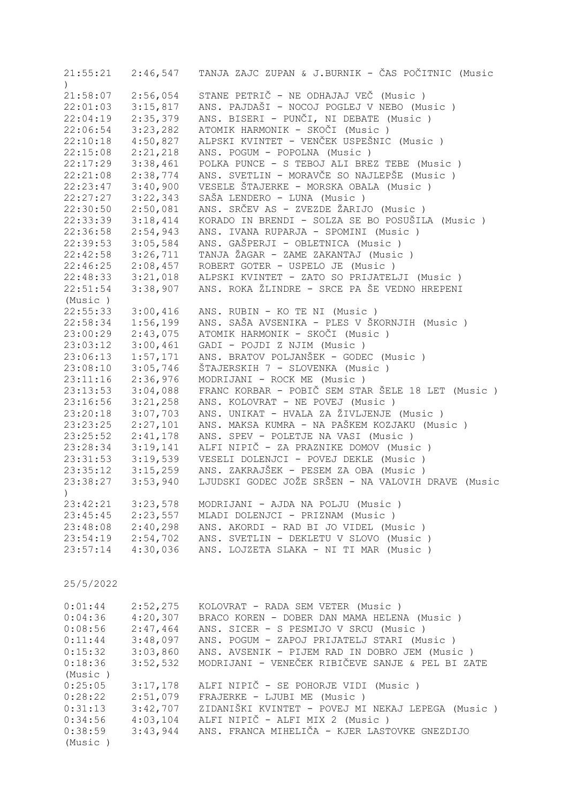| 21:55:21<br>$\lambda$ | 2:46,547             | TANJA ZAJC ZUPAN & J.BURNIK - ČAS POČITNIC (Music                                 |
|-----------------------|----------------------|-----------------------------------------------------------------------------------|
| 21:58:07              | 2:56,054             | STANE PETRIČ - NE ODHAJAJ VEČ (Music)                                             |
| 22:01:03              | 3:15,817             | ANS. PAJDAŠI - NOCOJ POGLEJ V NEBO (Music )                                       |
| 22:04:19              | 2:35,379             | ANS. BISERI - PUNČI, NI DEBATE (Music)                                            |
| 22:06:54              | 3:23,282             | ATOMIK HARMONIK - SKOČI (Music)                                                   |
| 22:10:18              | 4:50,827             | ALPSKI KVINTET - VENČEK USPEŠNIC (Music)                                          |
| 22:15:08              | 2:21,218             | ANS. POGUM - POPOLNA (Music)                                                      |
| 22:17:29              | 3:38,461             | POLKA PUNCE - S TEBOJ ALI BREZ TEBE (Music)                                       |
| 22:21:08              | 2:38,774             | ANS. SVETLIN - MORAVČE SO NAJLEPŠE (Music)                                        |
| 22:23:47              | 3:40,900             | VESELE ŠTAJERKE - MORSKA OBALA (Music)                                            |
| 22:27:27              | 3:22,343             | SAŠA LENDERO - LUNA (Music)                                                       |
| 22:30:50              | 2:50,081             | ANS. SRČEV AS - ZVEZDE ŽARIJO (Music )                                            |
| 22:33:39              | 3:18,414             | KORADO IN BRENDI - SOLZA SE BO POSUŠILA (Music)                                   |
| 22:36:58              | 2:54,943             | ANS. IVANA RUPARJA - SPOMINI (Music )                                             |
| 22:39:53              | 3:05,584             | ANS. GAŠPERJI - OBLETNICA (Music )                                                |
| 22:42:58              | 3:26,711             | TANJA ŽAGAR - ZAME ZAKANTAJ (Music )                                              |
| 22:46:25              | 2:08,457             | ROBERT GOTER - USPELO JE (Music)                                                  |
| 22:48:33              | 3:21,018             | ALPSKI KVINTET - ZATO SO PRIJATELJI (Music)                                       |
| 22:51:54              | 3:38,907             | ANS. ROKA ŽLINDRE - SRCE PA ŠE VEDNO HREPENI                                      |
| (Music)               |                      |                                                                                   |
| 22:55:33              | 3:00,416             | ANS. RUBIN - KO TE NI (Music)                                                     |
| 22:58:34              | 1:56,199             | ANS. SAŠA AVSENIKA - PLES V ŠKORNJIH (Music )                                     |
| 23:00:29              | 2:43,075             | ATOMIK HARMONIK - SKOČI (Music)                                                   |
| 23:03:12              | 3:00,461             | GADI - POJDI Z NJIM (Music)                                                       |
| 23:06:13              | 1:57,171             | ANS. BRATOV POLJANŠEK - GODEC (Music)                                             |
| 23:08:10              | 3:05,746             | ŠTAJERSKIH 7 - SLOVENKA (Music)                                                   |
| 23:11:16              | 2:36,976             | MODRIJANI - ROCK ME (Music)<br>FRANC KORBAR - POBIČ SEM STAR ŠELE 18 LET (Music)  |
| 23:13:53<br>23:16:56  | 3:04,088<br>3:21,258 | ANS. KOLOVRAT - NE POVEJ (Music)                                                  |
| 23:20:18              | 3:07,703             | ANS. UNIKAT - HVALA ZA ŽIVLJENJE (Music )                                         |
| 23:23:25              | 2:27,101             | ANS. MAKSA KUMRA - NA PAŠKEM KOZJAKU (Music)                                      |
| 23:25:52              | 2:41,178             | ANS. SPEV - POLETJE NA VASI (Music )                                              |
| 23:28:34              | 3:19,141             | ALFI NIPIČ - ZA PRAZNIKE DOMOV (Music)                                            |
| 23:31:53              | 3:19,539             | VESELI DOLENJCI - POVEJ DEKLE (Music)                                             |
| 23:35:12              | 3:15,259             | ANS. ZAKRAJŠEK - PESEM ZA OBA (Music)                                             |
| 23:38:27              | 3:53,940             | LJUDSKI GODEC JOŽE SRŠEN - NA VALOVIH DRAVE (Music                                |
| $\left( \right)$      |                      |                                                                                   |
| 23:42:21              | 3:23,578             | MODRIJANI - AJDA NA POLJU (Music)                                                 |
| 23:45:45              | 2:23,557             | MLADI DOLENJCI - PRIZNAM (Music)                                                  |
| 23:48:08              | 2:40,298             | ANS. AKORDI - RAD BI JO VIDEL (Music)                                             |
| 23:54:19              | 2:54,702             | ANS. SVETLIN - DEKLETU V SLOVO (Music)                                            |
| 23:57:14              | 4:30,036             | ANS. LOJZETA SLAKA - NI TI MAR (Music)                                            |
|                       |                      |                                                                                   |
| 25/5/2022             |                      |                                                                                   |
|                       |                      |                                                                                   |
| 0:01:44               | 2:52,275             | KOLOVRAT - RADA SEM VETER (Music)                                                 |
| 0:04:36               | 4:20,307             | BRACO KOREN - DOBER DAN MAMA HELENA (Music)                                       |
| 0:08:56               | 2:47,464             | ANS. SICER - S PESMIJO V SRCU (Music)                                             |
| 0:11:44               | 3:48,097             | ANS. POGUM - ZAPOJ PRIJATELJ STARI (Music )                                       |
| 0:15:32               | 3:03,860             | ANS. AVSENIK - PIJEM RAD IN DOBRO JEM (Music)                                     |
| 0:18:36               | 3:52,532             | MODRIJANI - VENEČEK RIBIČEVE SANJE & PEL BI ZATE                                  |
| (Music)               |                      |                                                                                   |
| 0:25:05               | 3:17,178<br>2:51,079 | ALFI NIPIČ - SE POHORJE VIDI (Music)                                              |
| 0:28:22               | 3:42,707             | FRAJERKE - LJUBI ME (Music)<br>ZIDANIŠKI KVINTET - POVEJ MI NEKAJ LEPEGA (Music ) |
| 0:31:13               | 4:03,104             | ALFI NIPIČ - ALFI MIX 2 (Music)                                                   |
| 0:34:56<br>0:38:59    | 3:43,944             | ANS. FRANCA MIHELIČA - KJER LASTOVKE GNEZDIJO                                     |
| (Music)               |                      |                                                                                   |
|                       |                      |                                                                                   |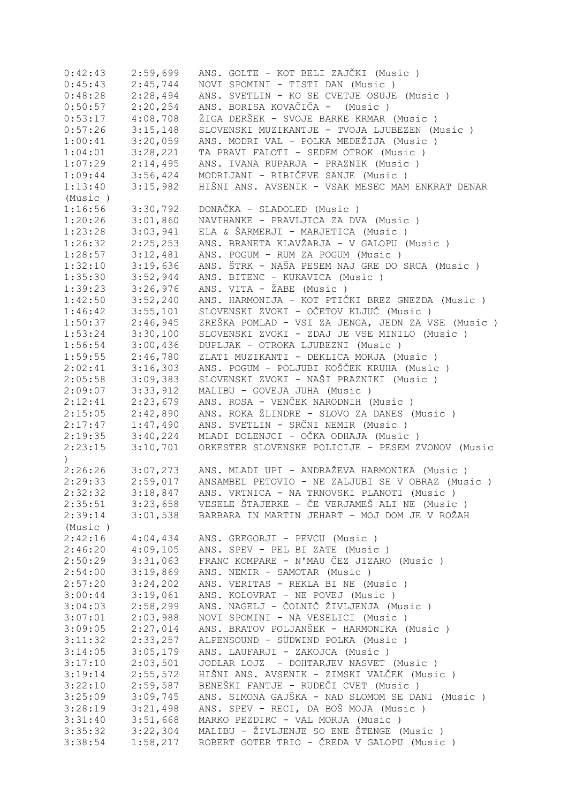| 0:42:43       | 2:59,699 | ANS. GOLTE - KOT BELI ZAJČKI (Music )              |
|---------------|----------|----------------------------------------------------|
| 0:45:43       | 2:45,744 | NOVI SPOMINI - TISTI DAN (Music )                  |
| 0:48:28       | 2:28,494 | ANS. SVETLIN - KO SE CVETJE OSUJE (Music)          |
| 0:50:57       | 2:20,254 | ANS. BORISA KOVAČIČA - (Music)                     |
| 0:53:17       | 4:08,708 | ŽIGA DERŠEK - SVOJE BARKE KRMAR (Music)            |
| 0:57:26       | 3:15,148 | SLOVENSKI MUZIKANTJE - TVOJA LJUBEZEN (Music )     |
| 1:00:41       | 3:20,059 | ANS. MODRI VAL - POLKA MEDEŽIJA (Music )           |
| 1:04:01       | 3:28,221 | TA PRAVI FALOTI - SEDEM OTROK (Music )             |
| 1:07:29       | 2:14,495 | ANS. IVANA RUPARJA - PRAZNIK (Music )              |
| 1:09:44       | 3:56,424 | MODRIJANI - RIBIČEVE SANJE (Music)                 |
| 1:13:40       | 3:15,982 | HIŠNI ANS. AVSENIK - VSAK MESEC MAM ENKRAT DENAR   |
|               |          |                                                    |
| (Music)       |          |                                                    |
| 1:16:56       | 3:30,792 | DONAČKA - SLADOLED (Music)                         |
| 1:20:26       | 3:01,860 | NAVIHANKE - PRAVLJICA ZA DVA (Music)               |
| 1:23:28       | 3:03,941 | ELA & ŠARMERJI - MARJETICA (Music)                 |
| 1:26:32       | 2:25,253 | ANS. BRANETA KLAVŽARJA - V GALOPU (Music)          |
| 1:28:57       | 3:12,481 | ANS. POGUM - RUM ZA POGUM (Music )                 |
| 1:32:10       | 3:19,636 | ANS. ŠTRK - NAŠA PESEM NAJ GRE DO SRCA (Music)     |
| 1:35:30       | 3:52,944 | ANS. BITENC - KUKAVICA (Music)                     |
| 1:39:23       | 3:26,976 | ANS. VITA - ŽABE (Music)                           |
| 1:42:50       | 3:52,240 | ANS. HARMONIJA - KOT PTIČKI BREZ GNEZDA (Music )   |
| 1:46:42       | 3:55,101 | SLOVENSKI ZVOKI - OČETOV KLJUČ (Music)             |
| 1:50:37       | 2:46,945 | ZREŠKA POMLAD - VSI ZA JENGA, JEDN ZA VSE (Music ) |
| 1:53:24       | 3:30,100 | SLOVENSKI ZVOKI - ZDAJ JE VSE MINILO (Music)       |
| 1:56:54       | 3:00,436 | DUPLJAK - OTROKA LJUBEZNI (Music)                  |
| 1:59:55       | 2:46,780 | ZLATI MUZIKANTI - DEKLICA MORJA (Music)            |
| 2:02:41       | 3:16,303 | ANS. POGUM - POLJUBI KOŠČEK KRUHA (Music )         |
| 2:05:58       | 3:09,383 | SLOVENSKI ZVOKI - NAŠI PRAZNIKI (Music )           |
| 2:09:07       | 3:33,912 | MALIBU - GOVEJA JUHA (Music)                       |
| 2:12:41       | 2:23,679 | ANS. ROSA - VENČEK NARODNIH (Music )               |
| 2:15:05       | 2:42,890 | ANS. ROKA ŽLINDRE - SLOVO ZA DANES (Music)         |
| 2:17:47       | 1:47,490 | ANS. SVETLIN - SRČNI NEMIR (Music)                 |
|               |          | MLADI DOLENJCI - OČKA ODHAJA (Music )              |
| 2:19:35       | 3:40,224 |                                                    |
| 2:23:15       | 3:10,701 | ORKESTER SLOVENSKE POLICIJE - PESEM ZVONOV (Music  |
| $\mathcal{L}$ |          |                                                    |
| 2:26:26       | 3:07,273 | ANS. MLADI UPI - ANDRAŽEVA HARMONIKA (Music)       |
| 2:29:33       | 2:59,017 | ANSAMBEL PETOVIO - NE ZALJUBI SE V OBRAZ (Music)   |
| 2:32:32       | 3:18,847 | ANS. VRTNICA - NA TRNOVSKI PLANOTI (Music)         |
| 2:35:51       | 3:23,658 | VESELE ŠTAJERKE - ČE VERJAMEŠ ALI NE (Music)       |
| 2:39:14       | 3:01,538 | BARBARA IN MARTIN JEHART - MOJ DOM JE V ROŽAH      |
| (Music)       |          |                                                    |
| 2:42:16       | 4:04,434 | ANS. GREGORJI - PEVCU (Music)                      |
| 2:46:20       | 4:09,105 | ANS. SPEV - PEL BI ZATE (Music)                    |
| 2:50:29       | 3:31,063 | FRANC KOMPARE - N'MAU ČEZ JIZARO (Music)           |
| 2:54:00       | 3:19,869 | ANS. NEMIR - SAMOTAR (Music)                       |
| 2:57:20       | 3:24,202 | ANS. VERITAS - REKLA BI NE (Music)                 |
| 3:00:44       | 3:19,061 | ANS. KOLOVRAT - NE POVEJ (Music)                   |
| 3:04:03       | 2:58,299 | ANS. NAGELJ - ČOLNIČ ŽIVLJENJA (Music)             |
| 3:07:01       | 2:03,988 | NOVI SPOMINI - NA VESELICI (Music)                 |
| 3:09:05       | 2:27,014 | ANS. BRATOV POLJANŠEK - HARMONIKA (Music)          |
| 3:11:32       | 2:33,257 | ALPENSOUND - SÜDWIND POLKA (Music)                 |
| 3:14:05       | 3:05,179 | ANS. LAUFARJI - ZAKOJCA (Music)                    |
| 3:17:10       | 2:03,501 | JODLAR LOJZ - DOHTARJEV NASVET (Music)             |
| 3:19:14       | 2:55,572 | HIŠNI ANS. AVSENIK - ZIMSKI VALČEK (Music )        |
| 3:22:10       | 2:59,587 | BENEŠKI FANTJE - RUDEČI CVET (Music )              |
|               |          | ANS. SIMONA GAJŠKA - NAD SLOMOM SE DANI (Music )   |
| 3:25:09       | 3:09,745 |                                                    |
| 3:28:19       | 3:21,498 | ANS. SPEV - RECI, DA BOŠ MOJA (Music)              |
| 3:31:40       | 3:51,668 | MARKO PEZDIRC - VAL MORJA (Music)                  |
| 3:35:32       | 3:22,304 | MALIBU - ŽIVLJENJE SO ENE ŠTENGE (Music)           |
| 3:38:54       | 1:58,217 | ROBERT GOTER TRIO - ČREDA V GALOPU (Music)         |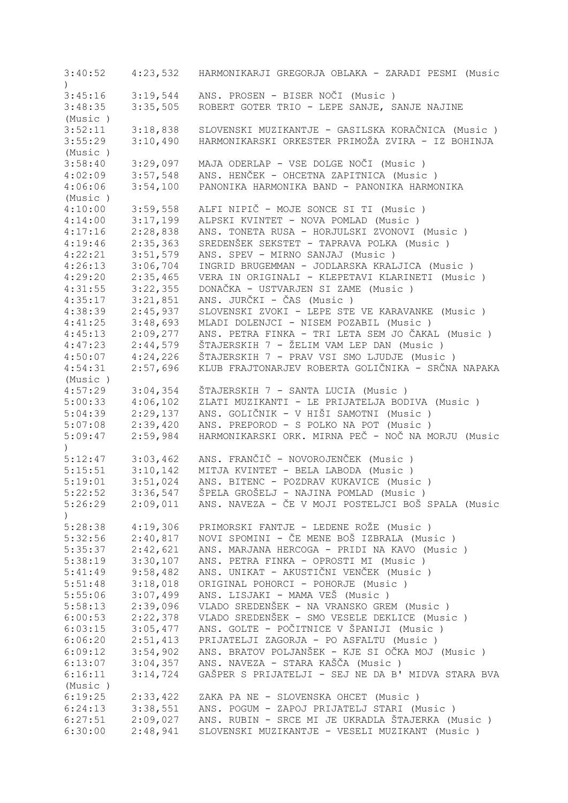| 3:40:52       | 4:23,532 | HARMONIKARJI GREGORJA OBLAKA - ZARADI PESMI (Music                                           |
|---------------|----------|----------------------------------------------------------------------------------------------|
| 3:45:16       | 3:19,544 | ANS. PROSEN - BISER NOČI (Music)                                                             |
| 3:48:35       | 3:35,505 | ROBERT GOTER TRIO - LEPE SANJE, SANJE NAJINE                                                 |
|               |          |                                                                                              |
| (Music)       |          |                                                                                              |
| 3:52:11       | 3:18,838 | SLOVENSKI MUZIKANTJE - GASILSKA KORAČNICA (Music)                                            |
| 3:55:29       | 3:10,490 | HARMONIKARSKI ORKESTER PRIMOŽA ZVIRA - IZ BOHINJA                                            |
| (Music)       |          |                                                                                              |
| 3:58:40       | 3:29,097 | MAJA ODERLAP - VSE DOLGE NOČI (Music )                                                       |
| 4:02:09       | 3:57,548 | ANS. HENČEK - OHCETNA ZAPITNICA (Music)                                                      |
| 4:06:06       | 3:54,100 | PANONIKA HARMONIKA BAND - PANONIKA HARMONIKA                                                 |
| (Music)       |          |                                                                                              |
| 4:10:00       | 3:59,558 | ALFI NIPIČ - MOJE SONCE SI TI (Music)                                                        |
| 4:14:00       | 3:17,199 | ALPSKI KVINTET - NOVA POMLAD (Music)                                                         |
| 4:17:16       | 2:28,838 | ANS. TONETA RUSA - HORJULSKI ZVONOVI (Music )                                                |
| 4:19:46       | 2:35,363 | SREDENŠEK SEKSTET - TAPRAVA POLKA (Music)                                                    |
| 4:22:21       | 3:51,579 | ANS. SPEV - MIRNO SANJAJ (Music)                                                             |
| 4:26:13       | 3:06,704 | INGRID BRUGEMMAN - JODLARSKA KRALJICA (Music)                                                |
| 4:29:20       | 2:35,465 | VERA IN ORIGINALI - KLEPETAVI KLARINETI (Music )                                             |
| 4:31:55       | 3:22,355 | DONAČKA - USTVARJEN SI ZAME (Music)                                                          |
| 4:35:17       | 3:21,851 | ANS. JURČKI - ČAS (Music )                                                                   |
| 4:38:39       | 2:45,937 | SLOVENSKI ZVOKI - LEPE STE VE KARAVANKE (Music)                                              |
| 4:41:25       | 3:48,693 | MLADI DOLENJCI - NISEM POZABIL (Music)                                                       |
| 4:45:13       | 2:09,277 | ANS. PETRA FINKA - TRI LETA SEM JO ČAKAL (Music )                                            |
| 4:47:23       | 2:44,579 | ŠTAJERSKIH 7 - ŽELIM VAM LEP DAN (Music)                                                     |
| 4:50:07       | 4:24,226 | ŠTAJERSKIH 7 - PRAV VSI SMO LJUDJE (Music)                                                   |
| 4:54:31       | 2:57,696 | KLUB FRAJTONARJEV ROBERTA GOLIČNIKA - SRČNA NAPAKA                                           |
| (Music)       |          |                                                                                              |
| 4:57:29       | 3:04,354 | ŠTAJERSKIH 7 - SANTA LUCIA (Music)                                                           |
| 5:00:33       | 4:06,102 | ZLATI MUZIKANTI - LE PRIJATELJA BODIVA (Music )                                              |
| 5:04:39       | 2:29,137 | ANS. GOLIČNIK - V HIŠI SAMOTNI (Music )                                                      |
|               |          |                                                                                              |
| 5:07:08       | 2:39,420 | ANS. PREPOROD - S POLKO NA POT (Music)<br>HARMONIKARSKI ORK. MIRNA PEČ - NOČ NA MORJU (Music |
| 5:09:47       | 2:59,984 |                                                                                              |
| 5:12:47       |          | ANS. FRANČIČ - NOVOROJENČEK (Music)                                                          |
|               | 3:03,462 |                                                                                              |
| 5:15:51       | 3:10,142 | MITJA KVINTET - BELA LABODA (Music)                                                          |
| 5:19:01       | 3:51,024 | ANS. BITENC - POZDRAV KUKAVICE (Music)                                                       |
| 5:22:52       | 3:36,547 | ŠPELA GROŠELJ - NAJINA POMLAD (Music )                                                       |
| 5:26:29       | 2:09,011 | ANS. NAVEZA - ČE V MOJI POSTELJCI BOŠ SPALA (Music                                           |
| $\mathcal{E}$ |          |                                                                                              |
| 5:28:38       | 4:19,306 | PRIMORSKI FANTJE - LEDENE ROŽE (Music)                                                       |
| 5:32:56       | 2:40,817 | NOVI SPOMINI - ČE MENE BOŠ IZBRALA (Music )                                                  |
| 5:35:37       | 2:42,621 | ANS. MARJANA HERCOGA - PRIDI NA KAVO (Music)                                                 |
| 5:38:19       | 3:30,107 | ANS. PETRA FINKA - OPROSTI MI (Music )                                                       |
| 5:41:49       | 9:58,482 | ANS. UNIKAT - AKUSTIČNI VENČEK (Music )                                                      |
| 5:51:48       | 3:18,018 | ORIGINAL POHORCI - POHORJE (Music )                                                          |
| 5:55:06       | 3:07,499 | ANS. LISJAKI - MAMA VEŠ (Music )                                                             |
| 5:58:13       | 2:39,096 | VLADO SREDENŠEK - NA VRANSKO GREM (Music)                                                    |
| 6:00:53       | 2:22,378 | VLADO SREDENŠEK - SMO VESELE DEKLICE (Music)                                                 |
| 6:03:15       | 3:05,477 | ANS. GOLTE - POČITNICE V ŠPANIJI (Music )                                                    |
| 6:06:20       | 2:51,413 | PRIJATELJI ZAGORJA - PO ASFALTU (Music)                                                      |
| 6:09:12       | 3:54,902 | ANS. BRATOV POLJANŠEK - KJE SI OČKA MOJ (Music )                                             |
| 6:13:07       | 3:04,357 | ANS. NAVEZA - STARA KAŠČA (Music )                                                           |
| 6:16:11       | 3:14,724 | GAŠPER S PRIJATELJI - SEJ NE DA B' MIDVA STARA BVA                                           |
| (Music)       |          |                                                                                              |
| 6:19:25       | 2:33,422 | ZAKA PA NE - SLOVENSKA OHCET (Music)                                                         |
| 6:24:13       | 3:38,551 | ANS. POGUM - ZAPOJ PRIJATELJ STARI (Music)                                                   |
| 6:27:51       | 2:09,027 | ANS. RUBIN - SRCE MI JE UKRADLA ŠTAJERKA (Music)                                             |
| 6:30:00       | 2:48,941 | SLOVENSKI MUZIKANTJE - VESELI MUZIKANT (Music )                                              |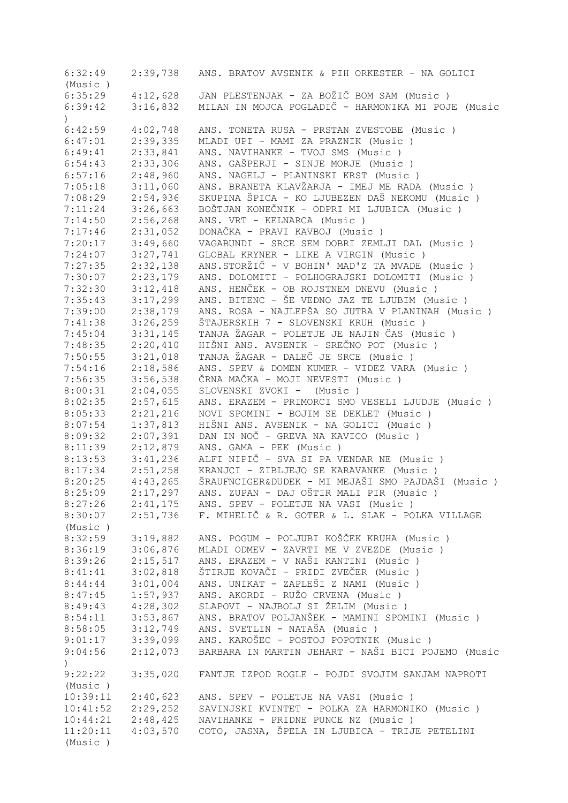| 6:32:49                     | 2:39,738 | ANS. BRATOV AVSENIK & PIH ORKESTER - NA GOLICI           |
|-----------------------------|----------|----------------------------------------------------------|
| (Music)                     |          |                                                          |
| 6:35:29                     | 4:12,628 | JAN PLESTENJAK - ZA BOŽIČ BOM SAM (Music )               |
| 6:39:42                     | 3:16,832 | MILAN IN MOJCA POGLADIČ - HARMONIKA MI POJE (Music       |
| $\mathcal{L}$               |          |                                                          |
| 6:42:59                     | 4:02,748 | ANS. TONETA RUSA - PRSTAN ZVESTOBE (Music )              |
| 6:47:01                     | 2:39,335 | MLADI UPI - MAMI ZA PRAZNIK (Music)                      |
| 6:49:41                     | 2:33,841 | ANS. NAVIHANKE - TVOJ SMS (Music)                        |
| 6:54:43                     | 2:33,306 | ANS. GAŠPERJI - SINJE MORJE (Music)                      |
| 6:57:16                     | 2:48,960 | ANS. NAGELJ - PLANINSKI KRST (Music)                     |
| 7:05:18                     | 3:11,060 | ANS. BRANETA KLAVŽARJA - IMEJ ME RADA (Music)            |
| 7:08:29                     | 2:54,936 | SKUPINA ŠPICA - KO LJUBEZEN DAŠ NEKOMU (Music)           |
| 7:11:24                     | 3:26,663 | BOŠTJAN KONEČNIK - ODPRI MI LJUBICA (Music)              |
| 7:14:50                     | 2:56,268 | ANS. VRT - KELNARCA (Music)                              |
|                             | 2:31,052 | DONAČKA - PRAVI KAVBOJ (Music)                           |
| 7:17:46                     |          |                                                          |
| 7:20:17                     | 3:49,660 | VAGABUNDI - SRCE SEM DOBRI ZEMLJI DAL (Music)            |
| 7:24:07                     | 3:27,741 | GLOBAL KRYNER - LIKE A VIRGIN (Music)                    |
| 7:27:35                     | 2:32,138 | ANS.STORŽIČ - V BOHIN' MAD'Z TA MVADE (Music)            |
| 7:30:07                     | 2:23,179 | ANS. DOLOMITI - POLHOGRAJSKI DOLOMITI (Music )           |
| 7:32:30                     | 3:12,418 | ANS. HENČEK - OB ROJSTNEM DNEVU (Music)                  |
| 7:35:43                     | 3:17,299 | ANS. BITENC - ŠE VEDNO JAZ TE LJUBIM (Music)             |
| 7:39:00                     | 2:38,179 | ANS. ROSA - NAJLEPŠA SO JUTRA V PLANINAH (Music)         |
| 7:41:38                     | 3:26,259 | ŠTAJERSKIH 7 - SLOVENSKI KRUH (Music)                    |
| 7:45:04                     | 3:31,145 | TANJA ŽAGAR - POLETJE JE NAJIN ČAS (Music)               |
| 7:48:35                     | 2:20,410 | HIŠNI ANS. AVSENIK - SREČNO POT (Music )                 |
| 7:50:55                     | 3:21,018 | TANJA ŽAGAR - DALEČ JE SRCE (Music)                      |
| 7:54:16                     | 2:18,586 | ANS. SPEV & DOMEN KUMER - VIDEZ VARA (Music)             |
| 7:56:35                     | 3:56,538 | ČRNA MAČKA - MOJI NEVESTI (Music )                       |
| 8:00:31                     | 2:04,055 | SLOVENSKI ZVOKI - (Music)                                |
| 8:02:35                     | 2:57,615 | ANS. ERAZEM - PRIMORCI SMO VESELI LJUDJE (Music)         |
| 8:05:33                     | 2:21,216 | NOVI SPOMINI - BOJIM SE DEKLET (Music)                   |
| 8:07:54                     | 1:37,813 | HIŠNI ANS. AVSENIK - NA GOLICI (Music )                  |
| 8:09:32                     | 2:07,391 | DAN IN NOČ - GREVA NA KAVICO (Music)                     |
| 8:11:39                     | 2:12,879 | ANS. GAMA - PEK (Music)                                  |
| 8:13:53                     | 3:41,236 | ALFI NIPIČ - SVA SI PA VENDAR NE (Music)                 |
| 8:17:34                     | 2:51,258 | KRANJCI - ZIBLJEJO SE KARAVANKE (Music)                  |
| 8:20:25                     | 4:43,265 | ŠRAUFNCIGER&DUDEK - MI MEJAŠI SMO PAJDAŠI (Music )       |
| 8:25:09                     | 2:17,297 | ANS. ZUPAN - DAJ OŠTIR MALI PIR (Music)                  |
| 8:27:26                     |          | 2:41,175 ANS. SPEV - POLETJE NA VASI (Music)             |
| 8:30:07                     |          | 2:51,736 F. MIHELIČ & R. GOTER & L. SLAK - POLKA VILLAGE |
|                             |          |                                                          |
| (Music)                     |          |                                                          |
| 8:32:59                     | 3:19,882 | ANS. POGUM - POLJUBI KOŠČEK KRUHA (Music )               |
| 8:36:19                     | 3:06,876 | MLADI ODMEV - ZAVRTI ME V ZVEZDE (Music)                 |
| 8:39:26                     | 2:15,517 | ANS. ERAZEM - V NAŠI KANTINI (Music )                    |
| 8:41:41                     | 3:02,818 | ŠTIRJE KOVAČI - PRIDI ZVEČER (Music )                    |
| 8:44:44                     | 3:01,004 | ANS. UNIKAT - ZAPLEŠI Z NAMI (Music)                     |
| 8:47:45                     | 1:57,937 | ANS. AKORDI - RUŽO CRVENA (Music)                        |
| 8:49:43                     | 4:28,302 | SLAPOVI - NAJBOLJ SI ŽELIM (Music)                       |
| 8:54:11                     | 3:53,867 | ANS. BRATOV POLJANŠEK - MAMINI SPOMINI (Music )          |
| 8:58:05                     | 3:12,749 | ANS. SVETLIN - NATAŠA (Music )                           |
| 9:01:17                     | 3:39,099 | ANS. KAROŠEC - POSTOJ POPOTNIK (Music)                   |
| 9:04:56<br>$\left( \right)$ | 2:12,073 | BARBARA IN MARTIN JEHART - NAŠI BICI POJEMO (Music       |
| 9:22:22                     | 3:35,020 | FANTJE IZPOD ROGLE - POJDI SVOJIM SANJAM NAPROTI         |
| (Music)                     |          |                                                          |
| 10:39:11                    | 2:40,623 | ANS. SPEV - POLETJE NA VASI (Music)                      |
| 10:41:52                    | 2:29,252 | SAVINJSKI KVINTET - POLKA ZA HARMONIKO (Music)           |
| 10:44:21                    | 2:48,425 | NAVIHANKE - PRIDNE PUNCE NZ (Music)                      |
| 11:20:11                    | 4:03,570 | COTO, JASNA, ŠPELA IN LJUBICA - TRIJE PETELINI           |
| (Music)                     |          |                                                          |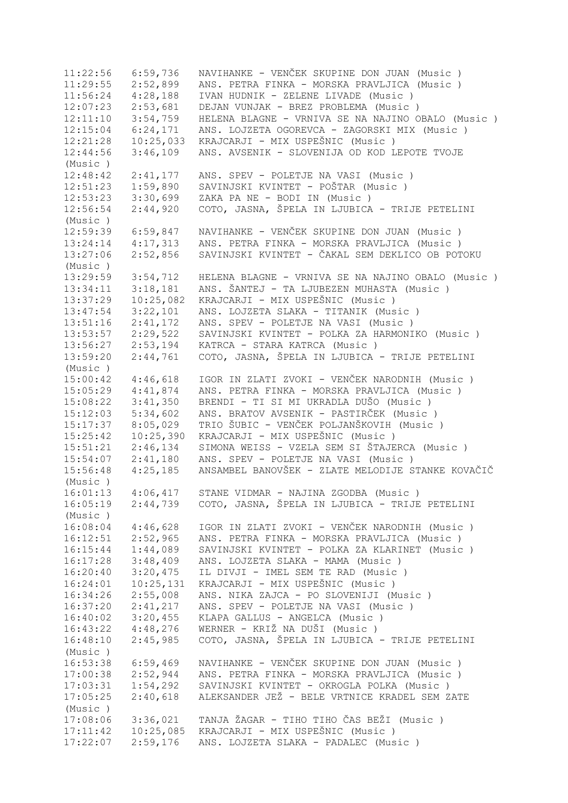11:22:56 6:59,736 NAVIHANKE - VENČEK SKUPINE DON JUAN (Music ) 11:29:55 2:52,899 ANS. PETRA FINKA - MORSKA PRAVLJICA (Music ) 11:56:24 4:28,188 IVAN HUDNIK - ZELENE LIVADE (Music ) 12:07:23 2:53,681 DEJAN VUNJAK - BREZ PROBLEMA (Music ) 12:11:10 3:54,759 HELENA BLAGNE - VRNIVA SE NA NAJINO OBALO (Music ) 12:15:04 6:24,171 ANS. LOJZETA OGOREVCA - ZAGORSKI MIX (Music ) 12:21:28 10:25,033 KRAJCARJI - MIX USPEŠNIC (Music ) 12:44:56 3:46,109 ANS. AVSENIK - SLOVENIJA OD KOD LEPOTE TVOJE (Music ) 12:48:42 2:41,177 ANS. SPEV - POLETJE NA VASI (Music ) 12:51:23 1:59,890 SAVINJSKI KVINTET - POŠTAR (Music ) 12:53:23 3:30,699 ZAKA PA NE - BODI IN (Music ) 12:56:54 2:44,920 COTO, JASNA, ŠPELA IN LJUBICA - TRIJE PETELINI (Music ) 12:59:39 6:59,847 NAVIHANKE - VENČEK SKUPINE DON JUAN (Music ) 13:24:14 4:17,313 ANS. PETRA FINKA - MORSKA PRAVLJICA (Music ) 13:27:06 2:52,856 SAVINJSKI KVINTET - ČAKAL SEM DEKLICO OB POTOKU (Music ) 13:29:59 3:54,712 HELENA BLAGNE - VRNIVA SE NA NAJINO OBALO (Music)<br>13:34:11 3:18,181 ANS. ŠANTEJ - TA LJUBEZEN MUHASTA (Music) 13:34:11 3:18,181 ANS. ŠANTEJ - TA LJUBEZEN MUHASTA (Music ) 13:37:29 10:25,082 KRAJCARJI - MIX USPEŠNIC (Music ) 13:47:54 3:22,101 ANS. LOJZETA SLAKA - TITANIK (Music ) 13:51:16 2:41,172 ANS. SPEV - POLETJE NA VASI (Music ) 13:53:57 2:29,522 SAVINJSKI KVINTET - POLKA ZA HARMONIKO (Music ) 13:56:27 2:53,194 KATRCA - STARA KATRCA (Music ) 13:59:20 2:44,761 COTO, JASNA, ŠPELA IN LJUBICA - TRIJE PETELINI (Music ) 15:00:42 4:46,618 IGOR IN ZLATI ZVOKI - VENČEK NARODNIH (Music ) 15:05:29 4:41,874 ANS. PETRA FINKA - MORSKA PRAVLJICA (Music ) 15:08:22 3:41,350 BRENDI - TI SI MI UKRADLA DUŠO (Music ) 15:12:03 5:34,602 ANS. BRATOV AVSENIK - PASTIRČEK (Music ) 15:17:37 8:05,029 TRIO ŠUBIC - VENČEK POLJANŠKOVIH (Music ) 15:25:42 10:25,390 KRAJCARJI - MIX USPEŠNIC (Music ) 15:51:21 2:46,134 SIMONA WEISS - VZELA SEM SI ŠTAJERCA (Music ) 15:54:07 2:41,180 ANS. SPEV - POLETJE NA VASI (Music ) 15:56:48 4:25,185 ANSAMBEL BANOVŠEK - ZLATE MELODIJE STANKE KOVAČIČ (Music ) 16:01:13 4:06,417 STANE VIDMAR - NAJINA ZGODBA (Music ) 16:05:19 2:44,739 COTO, JASNA, ŠPELA IN LJUBICA - TRIJE PETELINI (Music ) 16:08:04 4:46,628 IGOR IN ZLATI ZVOKI - VENČEK NARODNIH (Music ) 16:12:51 2:52,965 ANS. PETRA FINKA - MORSKA PRAVLJICA (Music ) 16:15:44 1:44,089 SAVINJSKI KVINTET - POLKA ZA KLARINET (Music ) 16:17:28 3:48,409 ANS. LOJZETA SLAKA - MAMA (Music ) 16:20:40 3:20,475 IL DIVJI - IMEL SEM TE RAD (Music ) 16:24:01 10:25,131 KRAJCARJI - MIX USPEŠNIC (Music ) 16:34:26 2:55,008 ANS. NIKA ZAJCA - PO SLOVENIJI (Music ) 16:37:20 2:41,217 ANS. SPEV - POLETJE NA VASI (Music ) 16:40:02 3:20,455 KLAPA GALLUS - ANGELCA (Music ) 16:43:22 4:48,276 WERNER - KRIŽ NA DUŠI (Music ) 16:48:10 2:45,985 COTO, JASNA, ŠPELA IN LJUBICA - TRIJE PETELINI (Music ) 16:53:38 6:59,469 NAVIHANKE - VENČEK SKUPINE DON JUAN (Music)<br>17:00:38 2:52,944 ANS. PETRA FINKA - MORSKA PRAVLJICA (Music) ANS. PETRA FINKA - MORSKA PRAVLJICA (Music ) 17:03:31 1:54,292 SAVINJSKI KVINTET - OKROGLA POLKA (Music ) 17:05:25 2:40,618 ALEKSANDER JEŽ - BELE VRTNICE KRADEL SEM ZATE (Music ) 17:08:06 3:36,021 TANJA ŽAGAR - TIHO TIHO ČAS BEŽI (Music ) 17:11:42 10:25,085 KRAJCARJI - MIX USPEŠNIC (Music ) 17:22:07 2:59,176 ANS. LOJZETA SLAKA - PADALEC (Music )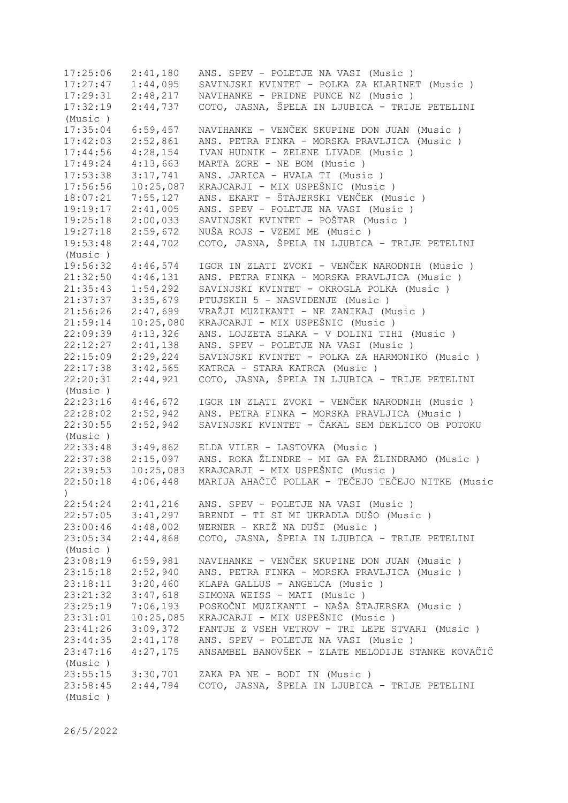17:25:06 2:41,180 ANS. SPEV - POLETJE NA VASI (Music ) 17:27:47 1:44,095 SAVINJSKI KVINTET - POLKA ZA KLARINET (Music ) 17:29:31 2:48,217 NAVIHANKE - PRIDNE PUNCE NZ (Music ) 17:32:19 2:44,737 COTO, JASNA, ŠPELA IN LJUBICA - TRIJE PETELINI (Music ) 17:35:04 6:59,457 NAVIHANKE - VENČEK SKUPINE DON JUAN (Music ) 17:42:03 2:52,861 ANS. PETRA FINKA - MORSKA PRAVLJICA (Music ) 17:44:56 4:28,154 IVAN HUDNIK - ZELENE LIVADE (Music ) 17:49:24 4:13,663 MARTA ZORE - NE BOM (Music ) 17:53:38 3:17,741 ANS. JARICA - HVALA TI (Music ) 17:56:56 10:25,087 KRAJCARJI - MIX USPEŠNIC (Music ) 18:07:21 7:55,127 ANS. EKART - ŠTAJERSKI VENČEK (Music ) 19:19:17 2:41,005 ANS. SPEV - POLETJE NA VASI (Music ) 19:25:18 2:00,033 SAVINJSKI KVINTET - POŠTAR (Music ) 19:27:18 2:59,672 NUŠA ROJS - VZEMI ME (Music ) 19:53:48 2:44,702 COTO, JASNA, ŠPELA IN LJUBICA - TRIJE PETELINI (Music ) 19:56:32 4:46,574 IGOR IN ZLATI ZVOKI - VENČEK NARODNIH (Music ) 21:32:50 4:46,131 ANS. PETRA FINKA - MORSKA PRAVLJICA (Music ) 21:35:43 1:54,292 SAVINJSKI KVINTET - OKROGLA POLKA (Music ) 21:37:37 3:35,679 PTUJSKIH 5 - NASVIDENJE (Music ) 21:56:26 2:47,699 VRAŽJI MUZIKANTI - NE ZANIKAJ (Music ) 21:59:14 10:25,080 KRAJCARJI - MIX USPEŠNIC (Music ) 22:09:39 4:13,326 ANS. LOJZETA SLAKA - V DOLINI TIHI (Music ) 22:12:27 2:41,138 ANS. SPEV - POLETJE NA VASI (Music ) 22:15:09 2:29,224 SAVINJSKI KVINTET - POLKA ZA HARMONIKO (Music ) 22:17:38 3:42,565 KATRCA - STARA KATRCA (Music ) 22:20:31 2:44,921 COTO, JASNA, ŠPELA IN LJUBICA - TRIJE PETELINI (Music ) 22:23:16 4:46,672 IGOR IN ZLATI ZVOKI - VENČEK NARODNIH (Music ) 22:28:02 2:52,942 ANS. PETRA FINKA - MORSKA PRAVLJICA (Music ) 22:30:55 2:52,942 SAVINJSKI KVINTET - ČAKAL SEM DEKLICO OB POTOKU (Music ) 22:33:48 3:49,862 ELDA VILER - LASTOVKA (Music ) 22:37:38 2:15,097 ANS. ROKA ŽLINDRE - MI GA PA ŽLINDRAMO (Music ) 22:39:53 10:25,083 KRAJCARJI - MIX USPEŠNIC (Music ) 22:50:18 4:06,448 MARIJA AHAČIČ POLLAK - TEČEJO TEČEJO NITKE (Music ) 22:54:24 2:41,216 ANS. SPEV - POLETJE NA VASI (Music ) 22:57:05 3:41,297 BRENDI - TI SI MI UKRADLA DUŠO (Music ) 23:00:46 4:48,002 WERNER - KRIŽ NA DUŠI (Music ) 23:05:34 2:44,868 COTO, JASNA, ŠPELA IN LJUBICA - TRIJE PETELINI (Music ) 23:08:19 6:59,981 NAVIHANKE - VENČEK SKUPINE DON JUAN (Music ) 23:15:18 2:52,940 ANS. PETRA FINKA - MORSKA PRAVLJICA (Music ) 23:18:11 3:20,460 KLAPA GALLUS - ANGELCA (Music ) 23:21:32 3:47,618 SIMONA WEISS - MATI (Music ) 23:25:19 7:06,193 POSKOČNI MUZIKANTI - NAŠA ŠTAJERSKA (Music ) 23:31:01 10:25,085 KRAJCARJI - MIX USPEŠNIC (Music ) 23:41:26 3:09,372 FANTJE Z VSEH VETROV - TRI LEPE STVARI (Music ) 23:44:35 2:41,178 ANS. SPEV - POLETJE NA VASI (Music ) 23:47:16 4:27,175 ANSAMBEL BANOVŠEK - ZLATE MELODIJE STANKE KOVAČIČ (Music ) 23:55:15 3:30,701 ZAKA PA NE - BODI IN (Music ) 23:58:45 2:44,794 COTO, JASNA, ŠPELA IN LJUBICA - TRIJE PETELINI (Music )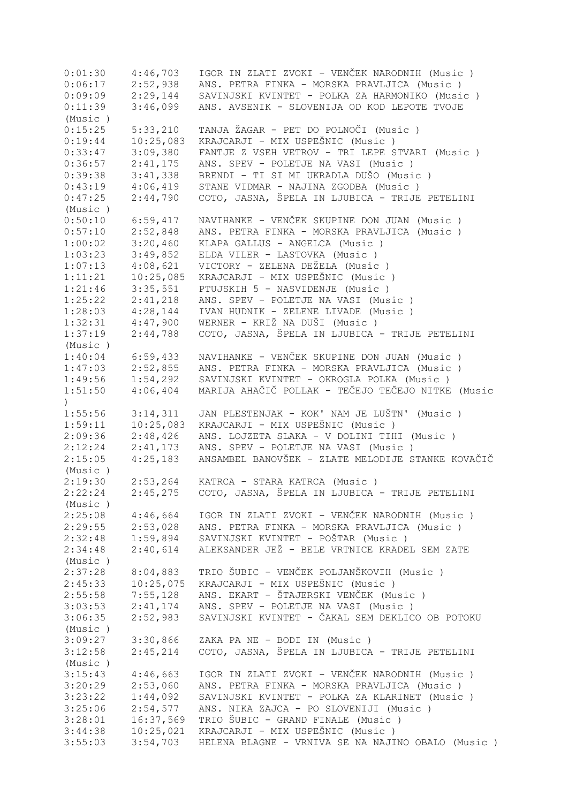| 0:01:30              | 4:46,703  | IGOR IN ZLATI ZVOKI - VENČEK NARODNIH (Music)      |
|----------------------|-----------|----------------------------------------------------|
| 0:06:17              | 2:52,938  | ANS. PETRA FINKA - MORSKA PRAVLJICA (Music )       |
| 0:09:09              | 2:29,144  | SAVINJSKI KVINTET - POLKA ZA HARMONIKO (Music)     |
| 0:11:39              | 3:46,099  | ANS. AVSENIK - SLOVENIJA OD KOD LEPOTE TVOJE       |
| (Music)              |           |                                                    |
| 0:15:25              | 5:33,210  | TANJA ŽAGAR - PET DO POLNOČI (Music )              |
| 0:19:44              | 10:25,083 | KRAJCARJI - MIX USPEŠNIC (Music)                   |
| 0:33:47              | 3:09,380  | FANTJE Z VSEH VETROV - TRI LEPE STVARI (Music )    |
|                      |           |                                                    |
| 0:36:57              | 2:41,175  | ANS. SPEV - POLETJE NA VASI (Music )               |
| 0:39:38              | 3:41,338  | BRENDI - TI SI MI UKRADLA DUŠO (Music)             |
| 0:43:19              | 4:06,419  | STANE VIDMAR - NAJINA ZGODBA (Music)               |
| 0:47:25              | 2:44,790  | COTO, JASNA, ŠPELA IN LJUBICA - TRIJE PETELINI     |
| (Music)              |           |                                                    |
| 0:50:10              | 6:59,417  | NAVIHANKE - VENČEK SKUPINE DON JUAN (Music)        |
| 0:57:10              | 2:52,848  | ANS. PETRA FINKA - MORSKA PRAVLJICA (Music )       |
| 1:00:02              | 3:20,460  | KLAPA GALLUS - ANGELCA (Music)                     |
| 1:03:23              | 3:49,852  | ELDA VILER - LASTOVKA (Music)                      |
| 1:07:13              | 4:08,621  | VICTORY - ZELENA DEŽELA (Music)                    |
| 1:11:21              | 10:25,085 | KRAJCARJI - MIX USPEŠNIC (Music)                   |
| 1:21:46              | 3:35,551  | PTUJSKIH 5 - NASVIDENJE (Music)                    |
| 1:25:22              | 2:41,218  | ANS. SPEV - POLETJE NA VASI (Music)                |
| 1:28:03              | 4:28,144  | IVAN HUDNIK - ZELENE LIVADE (Music)                |
| 1:32:31              | 4:47,900  | WERNER - KRIŽ NA DUŠI (Music)                      |
| 1:37:19              | 2:44,788  | COTO, JASNA, ŠPELA IN LJUBICA - TRIJE PETELINI     |
|                      |           |                                                    |
| (Music)              |           |                                                    |
| 1:40:04              | 6:59,433  | NAVIHANKE - VENČEK SKUPINE DON JUAN (Music)        |
| 1:47:03              | 2:52,855  | ANS. PETRA FINKA - MORSKA PRAVLJICA (Music )       |
| 1:49:56              | 1:54,292  | SAVINJSKI KVINTET - OKROGLA POLKA (Music )         |
| 1:51:50<br>$\lambda$ | 4:06,404  | MARIJA AHAČIČ POLLAK - TEČEJO TEČEJO NITKE (Music  |
| 1:55:56              | 3:14,311  | JAN PLESTENJAK - KOK' NAM JE LUŠTN' (Music)        |
| 1:59:11              | 10:25,083 | KRAJCARJI - MIX USPEŠNIC (Music)                   |
| 2:09:36              | 2:48,426  | ANS. LOJZETA SLAKA - V DOLINI TIHI (Music )        |
| 2:12:24              | 2:41,173  | ANS. SPEV - POLETJE NA VASI (Music )               |
| 2:15:05              | 4:25,183  | ANSAMBEL BANOVŠEK - ZLATE MELODIJE STANKE KOVAČIČ  |
| (Music)              |           |                                                    |
| 2:19:30              | 2:53,264  | KATRCA - STARA KATRCA (Music)                      |
| 2:22:24              | 2:45,275  | COTO, JASNA, ŠPELA IN LJUBICA - TRIJE PETELINI     |
| (Music)              |           |                                                    |
| 2:25:08              | 4:46,664  | IGOR IN ZLATI ZVOKI - VENČEK NARODNIH (Music )     |
| 2:29:55              | 2:53,028  | ANS. PETRA FINKA - MORSKA PRAVLJICA (Music )       |
|                      |           |                                                    |
| 2:32:48              | 1:59,894  | SAVINJSKI KVINTET - POŠTAR (Music )                |
| 2:34:48              | 2:40,614  | ALEKSANDER JEŽ - BELE VRTNICE KRADEL SEM ZATE      |
| (Music)              |           |                                                    |
| 2:37:28              | 8:04,883  | TRIO ŠUBIC - VENČEK POLJANŠKOVIH (Music)           |
| 2:45:33              | 10:25,075 | KRAJCARJI - MIX USPEŠNIC (Music)                   |
| 2:55:58              | 7:55,128  | ANS. EKART - ŠTAJERSKI VENČEK (Music)              |
| 3:03:53              | 2:41,174  | ANS. SPEV - POLETJE NA VASI (Music)                |
| 3:06:35              | 2:52,983  | SAVINJSKI KVINTET - ČAKAL SEM DEKLICO OB POTOKU    |
| (Music)              |           |                                                    |
| 3:09:27              | 3:30,866  | ZAKA PA NE - BODI IN (Music)                       |
| 3:12:58              | 2:45,214  | COTO, JASNA, ŠPELA IN LJUBICA - TRIJE PETELINI     |
| (Music)              |           |                                                    |
| 3:15:43              | 4:46,663  | IGOR IN ZLATI ZVOKI - VENČEK NARODNIH (Music )     |
| 3:20:29              | 2:53,060  | ANS. PETRA FINKA - MORSKA PRAVLJICA (Music )       |
| 3:23:22              | 1:44,092  |                                                    |
|                      |           | SAVINJSKI KVINTET - POLKA ZA KLARINET (Music )     |
| 3:25:06              | 2:54,577  | ANS. NIKA ZAJCA - PO SLOVENIJI (Music )            |
| 3:28:01              | 16:37,569 | TRIO ŠUBIC - GRAND FINALE (Music)                  |
| 3:44:38              | 10:25,021 | KRAJCARJI - MIX USPEŠNIC (Music)                   |
| 3:55:03              | 3:54,703  | HELENA BLAGNE - VRNIVA SE NA NAJINO OBALO (Music ) |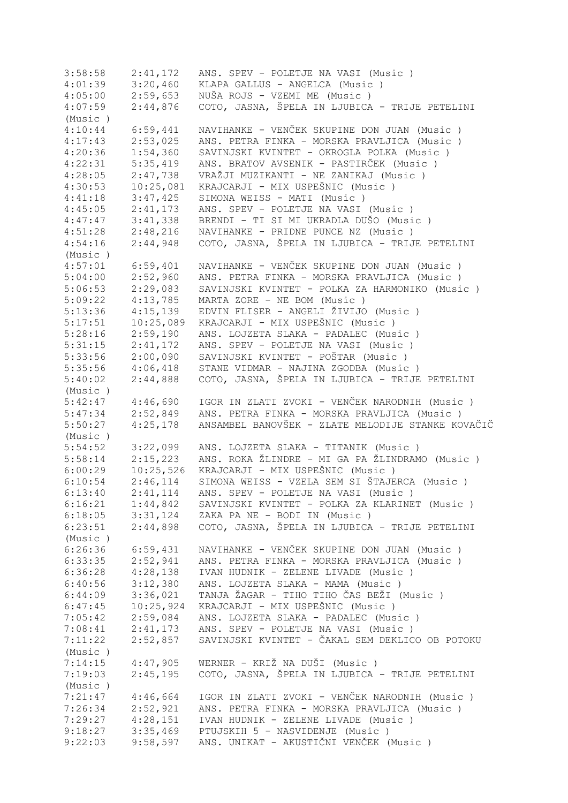| 3:58:58 | 2:41,172  | ANS. SPEV - POLETJE NA VASI (Music )              |
|---------|-----------|---------------------------------------------------|
| 4:01:39 | 3:20,460  | KLAPA GALLUS - ANGELCA (Music)                    |
| 4:05:00 | 2:59,653  | NUŠA ROJS - VZEMI ME (Music)                      |
| 4:07:59 | 2:44,876  | COTO, JASNA, ŠPELA IN LJUBICA - TRIJE PETELINI    |
| (Music) |           |                                                   |
| 4:10:44 | 6:59,441  | NAVIHANKE - VENČEK SKUPINE DON JUAN (Music)       |
| 4:17:43 | 2:53,025  | ANS. PETRA FINKA - MORSKA PRAVLJICA (Music )      |
| 4:20:36 | 1:54,360  | SAVINJSKI KVINTET - OKROGLA POLKA (Music )        |
| 4:22:31 | 5:35,419  | ANS. BRATOV AVSENIK - PASTIRČEK (Music )          |
| 4:28:05 | 2:47,738  | VRAŽJI MUZIKANTI - NE ZANIKAJ (Music )            |
| 4:30:53 | 10:25,081 | KRAJCARJI - MIX USPEŠNIC (Music)                  |
| 4:41:18 | 3:47,425  | SIMONA WEISS - MATI (Music)                       |
| 4:45:05 | 2:41,173  | ANS. SPEV - POLETJE NA VASI (Music )              |
|         |           |                                                   |
| 4:47:47 | 3:41,338  | BRENDI - TI SI MI UKRADLA DUŠO (Music)            |
| 4:51:28 | 2:48,216  | NAVIHANKE - PRIDNE PUNCE NZ (Music)               |
| 4:54:16 | 2:44,948  | COTO, JASNA, ŠPELA IN LJUBICA - TRIJE PETELINI    |
| (Music) |           |                                                   |
| 4:57:01 | 6:59,401  | NAVIHANKE - VENČEK SKUPINE DON JUAN (Music)       |
| 5:04:00 | 2:52,960  | ANS. PETRA FINKA - MORSKA PRAVLJICA (Music)       |
| 5:06:53 | 2:29,083  | SAVINJSKI KVINTET - POLKA ZA HARMONIKO (Music)    |
| 5:09:22 | 4:13,785  | MARTA ZORE - NE BOM (Music)                       |
| 5:13:36 | 4:15,139  | EDVIN FLISER - ANGELI ŽIVIJO (Music )             |
| 5:17:51 | 10:25,089 | KRAJCARJI - MIX USPEŠNIC (Music)                  |
| 5:28:16 | 2:59,190  | ANS. LOJZETA SLAKA - PADALEC (Music)              |
| 5:31:15 | 2:41,172  | ANS. SPEV - POLETJE NA VASI (Music)               |
| 5:33:56 | 2:00,090  | SAVINJSKI KVINTET - POŠTAR (Music )               |
| 5:35:56 | 4:06,418  | STANE VIDMAR - NAJINA ZGODBA (Music)              |
| 5:40:02 | 2:44,888  | COTO, JASNA, ŠPELA IN LJUBICA - TRIJE PETELINI    |
| (Music) |           |                                                   |
| 5:42:47 | 4:46,690  | IGOR IN ZLATI ZVOKI - VENČEK NARODNIH (Music )    |
| 5:47:34 | 2:52,849  | ANS. PETRA FINKA - MORSKA PRAVLJICA (Music)       |
| 5:50:27 | 4:25,178  | ANSAMBEL BANOVŠEK - ZLATE MELODIJE STANKE KOVAČIČ |
| (Music) |           |                                                   |
| 5:54:52 | 3:22,099  | ANS. LOJZETA SLAKA - TITANIK (Music )             |
| 5:58:14 | 2:15,223  | ANS. ROKA ŽLINDRE - MI GA PA ŽLINDRAMO (Music)    |
| 6:00:29 | 10:25,526 | KRAJCARJI - MIX USPEŠNIC (Music)                  |
| 6:10:54 | 2:46,114  | SIMONA WEISS - VZELA SEM SI ŠTAJERCA (Music)      |
| 6:13:40 | 2:41,114  | ANS. SPEV - POLETJE NA VASI (Music)               |
| 6:16:21 | 1:44,842  | SAVINJSKI KVINTET - POLKA ZA KLARINET (Music )    |
| 6:18:05 | 3:31,124  | ZAKA PA NE - BODI IN (Music)                      |
| 6:23:51 | 2:44,898  | COTO, JASNA, ŠPELA IN LJUBICA - TRIJE PETELINI    |
| (Music) |           |                                                   |
|         |           |                                                   |
| 6:26:36 | 6:59,431  | NAVIHANKE - VENČEK SKUPINE DON JUAN (Music)       |
| 6:33:35 | 2:52,941  | ANS. PETRA FINKA - MORSKA PRAVLJICA (Music)       |
| 6:36:28 | 4:28,138  | IVAN HUDNIK - ZELENE LIVADE (Music)               |
| 6:40:56 | 3:12,380  | ANS. LOJZETA SLAKA - MAMA (Music)                 |
| 6:44:09 | 3:36,021  | TANJA ŽAGAR - TIHO TIHO ČAS BEŽI (Music )         |
| 6:47:45 | 10:25,924 | KRAJCARJI - MIX USPEŠNIC (Music)                  |
| 7:05:42 | 2:59,084  | ANS. LOJZETA SLAKA - PADALEC (Music)              |
| 7:08:41 | 2:41,173  | ANS. SPEV - POLETJE NA VASI (Music)               |
| 7:11:22 | 2:52,857  | SAVINJSKI KVINTET - ČAKAL SEM DEKLICO OB POTOKU   |
| (Music) |           |                                                   |
| 7:14:15 | 4:47,905  | WERNER - KRIŽ NA DUŠI (Music )                    |
| 7:19:03 | 2:45,195  | COTO, JASNA, ŠPELA IN LJUBICA - TRIJE PETELINI    |
| (Music) |           |                                                   |
| 7:21:47 | 4:46,664  | IGOR IN ZLATI ZVOKI - VENČEK NARODNIH (Music )    |
| 7:26:34 | 2:52,921  | ANS. PETRA FINKA - MORSKA PRAVLJICA (Music )      |
| 7:29:27 | 4:28,151  | IVAN HUDNIK - ZELENE LIVADE (Music)               |
| 9:18:27 | 3:35,469  | PTUJSKIH 5 - NASVIDENJE (Music)                   |
| 9:22:03 | 9:58,597  | ANS. UNIKAT - AKUSTIČNI VENČEK (Music )           |
|         |           |                                                   |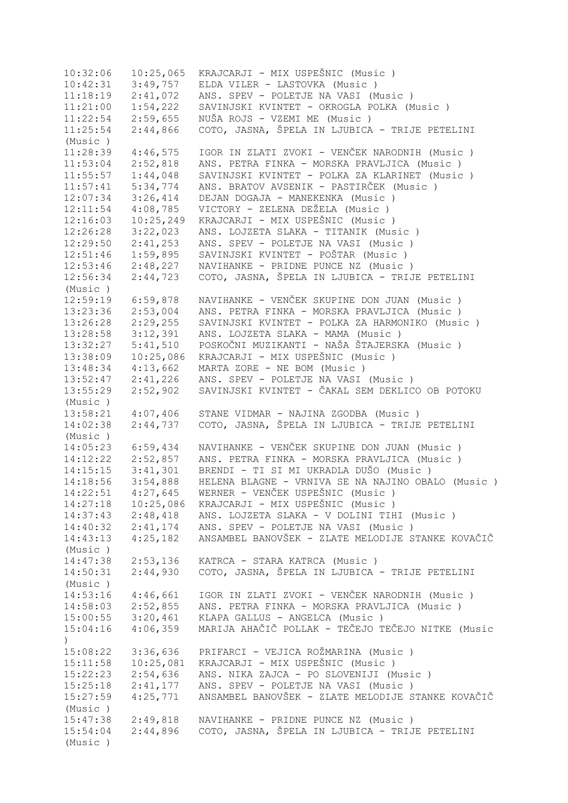10:32:06 10:25,065 KRAJCARJI - MIX USPEŠNIC (Music)<br>10:42:31 3:49,757 ELDA VILER - LASTOVKA (Music) 3:49,757 ELDA VILER - LASTOVKA (Music ) 11:18:19 2:41,072 ANS. SPEV - POLETJE NA VASI (Music ) 11:21:00 1:54,222 SAVINJSKI KVINTET - OKROGLA POLKA (Music ) 11:22:54 2:59,655 NUŠA ROJS - VZEMI ME (Music ) 11:25:54 2:44,866 COTO, JASNA, ŠPELA IN LJUBICA - TRIJE PETELINI (Music ) 11:28:39 4:46,575 IGOR IN ZLATI ZVOKI - VENČEK NARODNIH (Music ) 11:53:04 2:52,818 ANS. PETRA FINKA - MORSKA PRAVLJICA (Music ) 11:55:57 1:44,048 SAVINJSKI KVINTET - POLKA ZA KLARINET (Music ) 11:57:41 5:34,774 ANS. BRATOV AVSENIK - PASTIRČEK (Music ) 12:07:34 3:26,414 DEJAN DOGAJA - MANEKENKA (Music ) 12:11:54 4:08,785 VICTORY - ZELENA DEŽELA (Music ) 12:16:03 10:25,249 KRAJCARJI - MIX USPEŠNIC (Music ) 12:26:28 3:22,023 ANS. LOJZETA SLAKA - TITANIK (Music ) 12:29:50 2:41,253 ANS. SPEV - POLETJE NA VASI (Music ) 12:51:46 1:59,895 SAVINJSKI KVINTET - POŠTAR (Music ) 12:53:46 2:48,227 NAVIHANKE - PRIDNE PUNCE NZ (Music ) 12:56:34 2:44,723 COTO, JASNA, ŠPELA IN LJUBICA - TRIJE PETELINI (Music ) 12:59:19 6:59,878 NAVIHANKE - VENČEK SKUPINE DON JUAN (Music ) 13:23:36 2:53,004 ANS. PETRA FINKA - MORSKA PRAVLJICA (Music ) 13:26:28 2:29,255 SAVINJSKI KVINTET - POLKA ZA HARMONIKO (Music ) 13:28:58 3:12,391 ANS. LOJZETA SLAKA - MAMA (Music ) 13:32:27 5:41,510 POSKOČNI MUZIKANTI - NAŠA ŠTAJERSKA (Music ) 13:38:09 10:25,086 KRAJCARJI - MIX USPEŠNIC (Music ) 13:48:34 4:13,662 MARTA ZORE - NE BOM (Music ) 13:52:47 2:41,226 ANS. SPEV - POLETJE NA VASI (Music ) 13:55:29 2:52,902 SAVINJSKI KVINTET - ČAKAL SEM DEKLICO OB POTOKU (Music ) 13:58:21 4:07,406 STANE VIDMAR - NAJINA ZGODBA (Music ) 14:02:38 2:44,737 COTO, JASNA, ŠPELA IN LJUBICA - TRIJE PETELINI (Music ) 14:05:23 6:59,434 NAVIHANKE - VENČEK SKUPINE DON JUAN (Music ) 14:12:22 2:52,857 ANS. PETRA FINKA - MORSKA PRAVLJICA (Music ) 14:15:15 3:41,301 BRENDI - TI SI MI UKRADLA DUŠO (Music ) 14:18:56 3:54,888 HELENA BLAGNE - VRNIVA SE NA NAJINO OBALO (Music ) 14:22:51 4:27,645 WERNER - VENČEK USPEŠNIC (Music ) 14:27:18 10:25,086 KRAJCARJI - MIX USPEŠNIC (Music ) 14:37:43 2:48,418 ANS. LOJZETA SLAKA - V DOLINI TIHI (Music ) 14:40:32 2:41,174 ANS. SPEV - POLETJE NA VASI (Music ) 14:43:13 4:25,182 ANSAMBEL BANOVŠEK - ZLATE MELODIJE STANKE KOVAČIČ (Music ) 14:47:38 2:53,136 KATRCA - STARA KATRCA (Music ) 14:50:31 2:44,930 COTO, JASNA, ŠPELA IN LJUBICA - TRIJE PETELINI (Music ) 14:53:16 4:46,661 IGOR IN ZLATI ZVOKI - VENČEK NARODNIH (Music ) 14:58:03 2:52,855 ANS. PETRA FINKA - MORSKA PRAVLJICA (Music ) 15:00:55 3:20,461 KLAPA GALLUS - ANGELCA (Music ) 15:04:16 4:06,359 MARIJA AHAČIČ POLLAK - TEČEJO TEČEJO NITKE (Music  $\lambda$ 15:08:22 3:36,636 PRIFARCI - VEJICA ROŽMARINA (Music ) 15:11:58 10:25,081 KRAJCARJI - MIX USPEŠNIC (Music )<br>15:22:23 2:54,636 ANS.NIKA ZAJCA - PO SLOVENIJI (M 15:22:23 2:54,636 ANS. NIKA ZAJCA - PO SLOVENIJI (Music ) 15:25:18 2:41,177 ANS. SPEV - POLETJE NA VASI (Music ) 15:27:59 4:25,771 ANSAMBEL BANOVŠEK - ZLATE MELODIJE STANKE KOVAČIČ (Music ) 15:47:38 2:49,818 NAVIHANKE - PRIDNE PUNCE NZ (Music ) 15:54:04 2:44,896 COTO, JASNA, ŠPELA IN LJUBICA - TRIJE PETELINI (Music )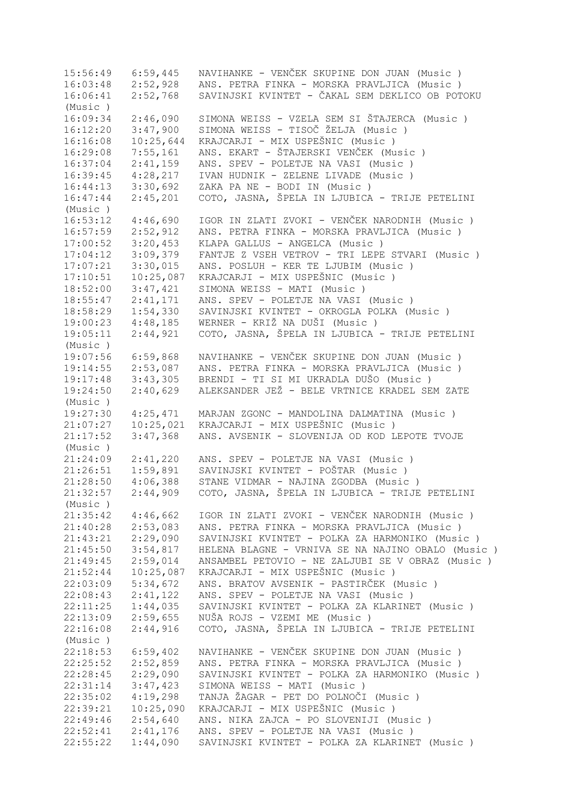15:56:49 6:59,445 NAVIHANKE - VENČEK SKUPINE DON JUAN (Music ) 16:03:48 2:52,928 ANS. PETRA FINKA - MORSKA PRAVLJICA (Music ) 16:06:41 2:52,768 SAVINJSKI KVINTET - ČAKAL SEM DEKLICO OB POTOKU (Music ) 16:09:34 2:46,090 SIMONA WEISS - VZELA SEM SI ŠTAJERCA (Music ) 16:12:20 3:47,900 SIMONA WEISS - TISOČ ŽELJA (Music ) 16:16:08 10:25,644 KRAJCARJI - MIX USPEŠNIC (Music ) 16:29:08 7:55,161 ANS. EKART - ŠTAJERSKI VENČEK (Music ) 16:37:04 2:41,159 ANS. SPEV - POLETJE NA VASI (Music ) 16:39:45 4:28,217 IVAN HUDNIK - ZELENE LIVADE (Music ) 16:44:13 3:30,692 ZAKA PA NE - BODI IN (Music ) 16:47:44 2:45,201 COTO, JASNA, ŠPELA IN LJUBICA - TRIJE PETELINI (Music ) 16:53:12 4:46,690 IGOR IN ZLATI ZVOKI - VENČEK NARODNIH (Music ) 16:57:59 2:52,912 ANS. PETRA FINKA - MORSKA PRAVLJICA (Music ) 17:00:52 3:20,453 KLAPA GALLUS - ANGELCA (Music ) 17:04:12 3:09,379 FANTJE Z VSEH VETROV - TRI LEPE STVARI (Music ) 17:07:21 3:30,015 ANS. POSLUH - KER TE LJUBIM (Music ) 17:10:51 10:25,087 KRAJCARJI - MIX USPEŠNIC (Music ) 18:52:00 3:47,421 SIMONA WEISS - MATI (Music ) 18:55:47 2:41,171 ANS. SPEV - POLETJE NA VASI (Music ) 18:58:29 1:54,330 SAVINJSKI KVINTET - OKROGLA POLKA (Music ) 19:00:23 4:48,185 WERNER - KRIŽ NA DUŠI (Music ) 19:05:11 2:44,921 COTO, JASNA, ŠPELA IN LJUBICA - TRIJE PETELINI (Music ) 19:07:56 6:59,868 NAVIHANKE - VENČEK SKUPINE DON JUAN (Music ) 19:14:55 2:53,087 ANS. PETRA FINKA - MORSKA PRAVLJICA (Music ) 19:17:48 3:43,305 BRENDI - TI SI MI UKRADLA DUŠO (Music ) 19:24:50 2:40,629 ALEKSANDER JEŽ - BELE VRTNICE KRADEL SEM ZATE (Music ) 19:27:30 4:25,471 MARJAN ZGONC - MANDOLINA DALMATINA (Music ) 21:07:27 10:25,021 KRAJCARJI - MIX USPEŠNIC (Music ) 21:17:52 3:47,368 ANS. AVSENIK - SLOVENIJA OD KOD LEPOTE TVOJE (Music ) 21:24:09 2:41,220 ANS. SPEV - POLETJE NA VASI (Music ) 21:26:51 1:59,891 SAVINJSKI KVINTET - POŠTAR (Music ) 21:28:50 4:06,388 STANE VIDMAR - NAJINA ZGODBA (Music ) 21:32:57 2:44,909 COTO, JASNA, ŠPELA IN LJUBICA - TRIJE PETELINI (Music ) 21:35:42 4:46,662 IGOR IN ZLATI ZVOKI - VENČEK NARODNIH (Music ) 21:40:28 2:53,083 ANS. PETRA FINKA - MORSKA PRAVLJICA (Music ) 21:43:21 2:29,090 SAVINJSKI KVINTET - POLKA ZA HARMONIKO (Music ) 21:45:50 3:54,817 HELENA BLAGNE - VRNIVA SE NA NAJINO OBALO (Music ) 21:49:45 2:59,014 ANSAMBEL PETOVIO - NE ZALJUBI SE V OBRAZ (Music ) 21:52:44 10:25,087 KRAJCARJI - MIX USPEŠNIC (Music ) 5:34,672 ANS. BRATOV AVSENIK - PASTIRČEK (Music ) 22:08:43 2:41,122 ANS. SPEV - POLETJE NA VASI (Music ) 22:11:25 1:44,035 SAVINJSKI KVINTET - POLKA ZA KLARINET (Music ) 22:13:09 2:59,655 NUŠA ROJS - VZEMI ME (Music ) 22:16:08 2:44,916 COTO, JASNA, ŠPELA IN LJUBICA - TRIJE PETELINI (Music ) 22:18:53 6:59,402 NAVIHANKE - VENČEK SKUPINE DON JUAN (Music)<br>22:25:52 2:52,859 ANS. PETRA FINKA - MORSKA PRAVLJICA (Music) ANS. PETRA FINKA - MORSKA PRAVLJICA (Music ) 22:28:45 2:29,090 SAVINJSKI KVINTET - POLKA ZA HARMONIKO (Music ) 22:31:14 3:47,423 SIMONA WEISS - MATI (Music) 22:35:02 4:19,298 TANJA ŽAGAR - PET DO POLNOČI (Music ) 22:39:21 10:25,090 KRAJCARJI - MIX USPEŠNIC (Music ) 22:49:46 2:54,640 ANS. NIKA ZAJCA - PO SLOVENIJI (Music ) 22:52:41 2:41,176 ANS. SPEV - POLETJE NA VASI (Music ) 22:55:22 1:44,090 SAVINJSKI KVINTET - POLKA ZA KLARINET (Music )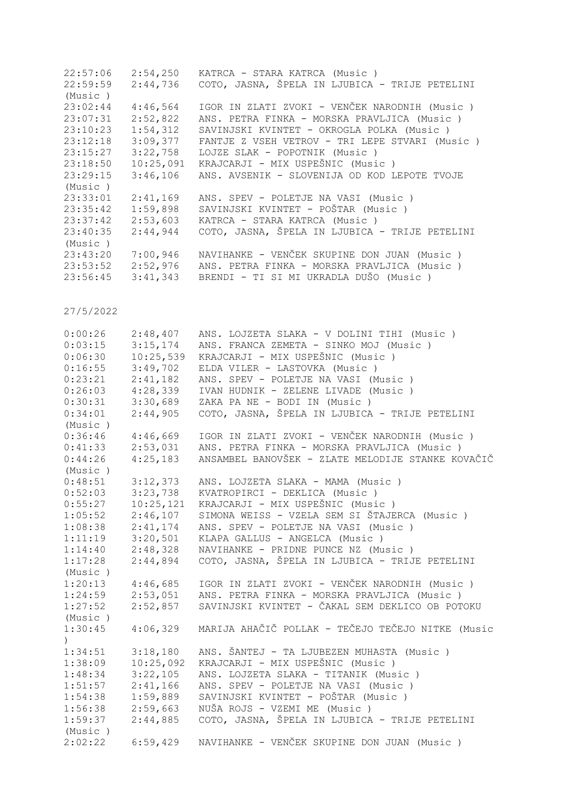| 22:57:06 | 2:54,250  | KATRCA - STARA KATRCA (Music)                  |
|----------|-----------|------------------------------------------------|
| 22:59:59 | 2:44,736  | COTO, JASNA, ŠPELA IN LJUBICA - TRIJE PETELINI |
| (Music)  |           |                                                |
| 23:02:44 | 4:46,564  | IGOR IN ZLATI ZVOKI - VENČEK NARODNIH (Music)  |
| 23:07:31 | 2:52,822  | ANS. PETRA FINKA - MORSKA PRAVLJICA (Music)    |
| 23:10:23 | 1:54,312  | SAVINJSKI KVINTET - OKROGLA POLKA (Music)      |
| 23:12:18 | 3:09,377  | FANTJE Z VSEH VETROV - TRI LEPE STVARI (Music) |
| 23:15:27 | 3:22,758  | LOJZE SLAK - POPOTNIK (Music)                  |
| 23:18:50 | 10:25,091 | KRAJCARJI - MIX USPEŠNIC (Music)               |
| 23:29:15 | 3:46,106  | ANS. AVSENIK - SLOVENIJA OD KOD LEPOTE TVOJE   |
| (Music)  |           |                                                |
| 23:33:01 | 2:41,169  | ANS. SPEV - POLETJE NA VASI (Music)            |
| 23:35:42 | 1:59,898  | SAVINJSKI KVINTET - POŠTAR (Music )            |
| 23:37:42 | 2:53,603  | KATRCA - STARA KATRCA (Music)                  |
| 23:40:35 | 2:44,944  | COTO, JASNA, ŠPELA IN LJUBICA - TRIJE PETELINI |
| (Music)  |           |                                                |
| 23:43:20 | 7:00,946  | NAVIHANKE - VENČEK SKUPINE DON JUAN (Music)    |
| 23:53:52 | 2:52,976  | ANS. PETRA FINKA - MORSKA PRAVLJICA (Music)    |
| 23:56:45 | 3:41,343  | BRENDI - TI SI MI UKRADLA DUŠO (Music)         |
|          |           |                                                |

| 0:00:26<br>0:03:15<br>0:06:30<br>0:16:55<br>0:23:21<br>0:26:03<br>0:30:31<br>0:34:01<br>(Music) | 2:48,407<br>3:15,174<br>10:25,539<br>3:49,702<br>2:41,182<br>4:28,339<br>3:30,689<br>2:44,905 | ANS. LOJZETA SLAKA - V DOLINI TIHI (Music )<br>ANS. FRANCA ZEMETA - SINKO MOJ (Music)<br>KRAJCARJI - MIX USPEŠNIC (Music)<br>ELDA VILER - LASTOVKA (Music)<br>ANS. SPEV - POLETJE NA VASI (Music)<br>IVAN HUDNIK - ZELENE LIVADE (Music)<br>ZAKA PA NE - BODI IN (Music)<br>COTO, JASNA, ŠPELA IN LJUBICA - TRIJE PETELINI |
|-------------------------------------------------------------------------------------------------|-----------------------------------------------------------------------------------------------|----------------------------------------------------------------------------------------------------------------------------------------------------------------------------------------------------------------------------------------------------------------------------------------------------------------------------|
| 0:36:46                                                                                         | 4:46,669                                                                                      | IGOR IN ZLATI ZVOKI - VENČEK NARODNIH (Music )                                                                                                                                                                                                                                                                             |
| 0:41:33                                                                                         | 2:53,031                                                                                      | ANS. PETRA FINKA - MORSKA PRAVLJICA (Music )                                                                                                                                                                                                                                                                               |
| 0:44:26                                                                                         | 4:25,183                                                                                      | ANSAMBEL BANOVŠEK - ZLATE MELODIJE STANKE KOVAČIČ                                                                                                                                                                                                                                                                          |
| (Music)                                                                                         |                                                                                               |                                                                                                                                                                                                                                                                                                                            |
| 0:48:51                                                                                         | 3:12,373                                                                                      | ANS. LOJZETA SLAKA - MAMA (Music)                                                                                                                                                                                                                                                                                          |
| 0:52:03                                                                                         | 3:23,738                                                                                      | KVATROPIRCI - DEKLICA (Music)                                                                                                                                                                                                                                                                                              |
| 0:55:27                                                                                         | 10:25,121                                                                                     | KRAJCARJI - MIX USPEŠNIC (Music)                                                                                                                                                                                                                                                                                           |
| 1:05:52                                                                                         | 2:46,107                                                                                      | SIMONA WEISS - VZELA SEM SI ŠTAJERCA (Music)                                                                                                                                                                                                                                                                               |
| 1:08:38                                                                                         | 2:41,174                                                                                      | ANS. SPEV - POLETJE NA VASI (Music)                                                                                                                                                                                                                                                                                        |
| 1:11:19                                                                                         | 3:20,501                                                                                      | KLAPA GALLUS - ANGELCA (Music)                                                                                                                                                                                                                                                                                             |
| 1:14:40                                                                                         | 2:48,328                                                                                      | NAVIHANKE - PRIDNE PUNCE NZ (Music)                                                                                                                                                                                                                                                                                        |
| 1:17:28                                                                                         | 2:44,894                                                                                      | COTO, JASNA, ŠPELA IN LJUBICA - TRIJE PETELINI                                                                                                                                                                                                                                                                             |
| (Music)                                                                                         |                                                                                               |                                                                                                                                                                                                                                                                                                                            |
| 1:20:13                                                                                         | 4:46,685                                                                                      | IGOR IN ZLATI ZVOKI - VENČEK NARODNIH (Music )                                                                                                                                                                                                                                                                             |
| 1:24:59                                                                                         | 2:53,051                                                                                      | ANS. PETRA FINKA - MORSKA PRAVLJICA (Music )                                                                                                                                                                                                                                                                               |
| 1:27:52                                                                                         | 2:52,857                                                                                      | SAVINJSKI KVINTET - ČAKAL SEM DEKLICO OB POTOKU                                                                                                                                                                                                                                                                            |
| (Music)                                                                                         |                                                                                               |                                                                                                                                                                                                                                                                                                                            |
| 1:30:45                                                                                         | 4:06,329                                                                                      | MARIJA AHAČIČ POLLAK - TEČEJO TEČEJO NITKE (Music                                                                                                                                                                                                                                                                          |
| 1:34:51                                                                                         | 3:18,180                                                                                      | ANS. ŠANTEJ - TA LJUBEZEN MUHASTA (Music)                                                                                                                                                                                                                                                                                  |
| 1:38:09                                                                                         | 10:25,092                                                                                     | KRAJCARJI - MIX USPEŠNIC (Music)                                                                                                                                                                                                                                                                                           |
| 1:48:34                                                                                         | 3:22,105                                                                                      | ANS. LOJZETA SLAKA - TITANIK (Music )                                                                                                                                                                                                                                                                                      |
| 1:51:57                                                                                         | 2:41,166                                                                                      | ANS. SPEV - POLETJE NA VASI (Music)                                                                                                                                                                                                                                                                                        |
| 1:54:38                                                                                         | 1:59,889                                                                                      | SAVINJSKI KVINTET - POŠTAR (Music )                                                                                                                                                                                                                                                                                        |
| 1:56:38                                                                                         | 2:59,663                                                                                      | NUŠA ROJS - VZEMI ME (Music)                                                                                                                                                                                                                                                                                               |
| 1:59:37                                                                                         | 2:44,885                                                                                      | COTO, JASNA, ŠPELA IN LJUBICA - TRIJE PETELINI                                                                                                                                                                                                                                                                             |
| (Music)                                                                                         |                                                                                               |                                                                                                                                                                                                                                                                                                                            |
| 2:02:22                                                                                         | 6:59,429                                                                                      | NAVIHANKE - VENČEK SKUPINE DON JUAN (Music)                                                                                                                                                                                                                                                                                |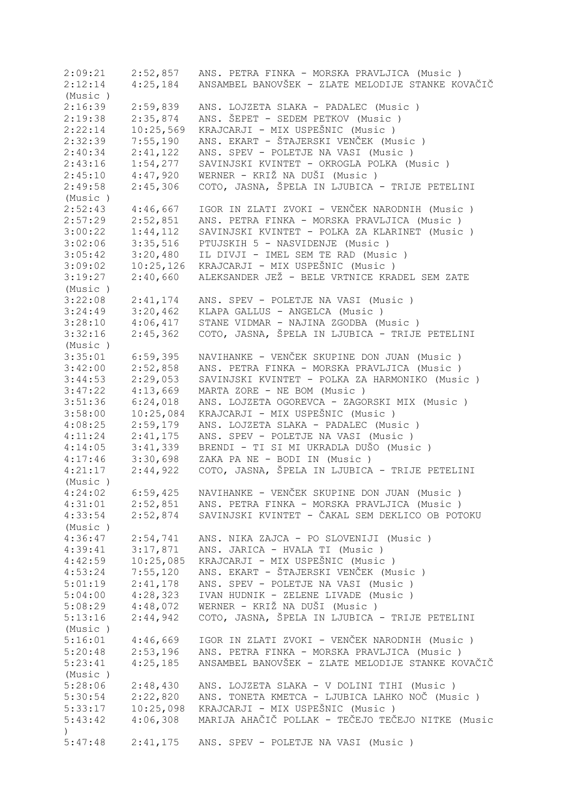2:09:21 2:52,857 ANS. PETRA FINKA - MORSKA PRAVLJICA (Music ) 2:12:14 4:25,184 ANSAMBEL BANOVŠEK - ZLATE MELODIJE STANKE KOVAČIČ (Music ) 2:16:39 2:59,839 ANS. LOJZETA SLAKA - PADALEC (Music ) 2:19:38 2:35,874 ANS. ŠEPET - SEDEM PETKOV (Music ) 2:22:14 10:25,569 KRAJCARJI - MIX USPEŠNIC (Music)<br>2:32:39 7:55,190 ANS. EKART - ŠTAJERSKI VENČEK (Mu 2:32:39 7:55,190 ANS. EKART - ŠTAJERSKI VENČEK (Music ) 2:40:34 2:41,122 ANS. SPEV - POLETJE NA VASI (Music ) 2:43:16 1:54,277 SAVINJSKI KVINTET - OKROGLA POLKA (Music ) 2:45:10 4:47,920 WERNER - KRIŽ NA DUŠI (Music ) 2:49:58 2:45,306 COTO, JASNA, ŠPELA IN LJUBICA - TRIJE PETELINI (Music ) 2:52:43 4:46,667 IGOR IN ZLATI ZVOKI - VENČEK NARODNIH (Music)<br>2:57:29 2:52,851 ANS. PETRA FINKA - MORSKA PRAVLJICA (Music) 2:52,851 ANS. PETRA FINKA - MORSKA PRAVLJICA (Music ) 3:00:22 1:44,112 SAVINJSKI KVINTET - POLKA ZA KLARINET (Music ) 3:02:06 3:35,516 PTUJSKIH 5 - NASVIDENJE (Music ) 3:05:42 3:20,480 IL DIVJI - IMEL SEM TE RAD (Music ) 3:09:02 10:25,126 KRAJCARJI - MIX USPEŠNIC (Music)<br>3:19:27 2:40,660 ALEKSANDER JEŽ - BELE VRTNICE KRA 3:19:27 2:40,660 ALEKSANDER JEŽ - BELE VRTNICE KRADEL SEM ZATE (Music ) 3:22:08 2:41,174 ANS. SPEV - POLETJE NA VASI (Music ) 3:24:49 3:20,462 KLAPA GALLUS - ANGELCA (Music ) 3:28:10 4:06,417 STANE VIDMAR - NAJINA ZGODBA (Music ) 3:32:16 2:45,362 COTO, JASNA, ŠPELA IN LJUBICA - TRIJE PETELINI (Music ) 3:35:01 6:59,395 NAVIHANKE - VENČEK SKUPINE DON JUAN (Music ) 3:33:01 6:59,395 NAVIHANKE - VENCEK SKUPINE DON JUAN (MUSIC)<br>3:42:00 2:52,858 ANS. PETRA FINKA - MORSKA PRAVLJICA (Music)<br>3:44:53 2:29,053 SAVINJSKI KVINTET - POLKA ZA HARMONIKO (Musi SAVINJSKI KVINTET - POLKA ZA HARMONIKO (Music ) 3:47:22 4:13,669 MARTA ZORE - NE BOM (Music)<br>3:51:36 6:24,018 ANS. LOJZETA OGOREVCA - ZAGO 3:51:36 6:24,018 ANS. LOJZETA OGOREVCA - ZAGORSKI MIX (Music ) 3:58:00 10:25,084 KRAJCARJI - MIX USPEŠNIC (Music)<br>4:08:25 2:59,179 ANS. LOJZETA SLAKA - PADALEC (Mus 4:08:25 2:59,179 ANS. LOJZETA SLAKA - PADALEC (Music ) 4:11:24 2:41,175 ANS. SPEV - POLETJE NA VASI (Music ) 4:14:05 3:41,339 BRENDI - TI SI MI UKRADLA DUŠO (Music ) 4:17:46 3:30,698 ZAKA PA NE - BODI IN (Music ) 4:21:17 2:44,922 COTO, JASNA, ŠPELA IN LJUBICA - TRIJE PETELINI (Music ) 4:24:02 6:59,425 NAVIHANKE - VENČEK SKUPINE DON JUAN (Music ) 4:31:01 2:52,851 ANS. PETRA FINKA - MORSKA PRAVLJICA (Music ) 4:33:54 2:52,874 SAVINJSKI KVINTET - ČAKAL SEM DEKLICO OB POTOKU (Music ) 4:36:47 2:54,741 ANS. NIKA ZAJCA - PO SLOVENIJI (Music ) 4:39:41 3:17,871 ANS. JARICA - HVALA TI (Music)<br>4:42:59 10:25,085 KRAJCARJI - MIX USPEŠNIC (Music 4:42:59 10:25,085 KRAJCARJI - MIX USPEŠNIC (Music)<br>4:53:24 7:55,120 ANS. EKART - ŠTAJERSKI VENČEK (Mu 4:53:24 7:55,120 ANS. EKART - ŠTAJERSKI VENČEK (Music ) 5:01:19 2:41,178 ANS. SPEV - POLETJE NA VASI (Music ) 5:04:00 4:28,323 IVAN HUDNIK - ZELENE LIVADE (Music ) 5:08:29 4:48,072 WERNER - KRIŽ NA DUŠI (Music ) 5:13:16 2:44,942 COTO, JASNA, ŠPELA IN LJUBICA - TRIJE PETELINI (Music ) 5:16:01 4:46,669 IGOR IN ZLATI ZVOKI - VENČEK NARODNIH (Music)<br>5:20:48 2:53,196 ANS. PETRA FINKA - MORSKA PRAVLJICA (Music) 2:53,196 ANS. PETRA FINKA - MORSKA PRAVLJICA (Music ) 5:23:41 4:25,185 ANSAMBEL BANOVŠEK - ZLATE MELODIJE STANKE KOVAČIČ (Music ) 5:28:06 2:48,430 ANS. LOJZETA SLAKA - V DOLINI TIHI (Music ) 5:30:54 2:22,820 ANS. TONETA KMETCA - LJUBICA LAHKO NOČ (Music ) 5:33:17 10:25,098 KRAJCARJI - MIX USPEŠNIC (Music ) 5:43:42 4:06,308 MARIJA AHAČIČ POLLAK - TEČEJO TEČEJO NITKE (Music  $\lambda$ 5:47:48 2:41,175 ANS. SPEV - POLETJE NA VASI (Music )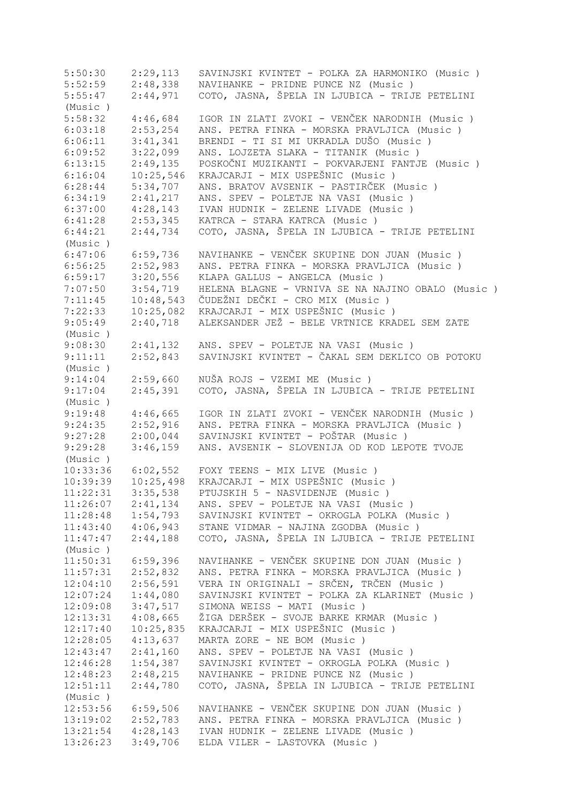5:50:30 2:29,113 SAVINJSKI KVINTET - POLKA ZA HARMONIKO (Music ) 5:52:59 2:48,338 NAVIHANKE - PRIDNE PUNCE NZ (Music ) 5:55:47 2:44,971 COTO, JASNA, ŠPELA IN LJUBICA - TRIJE PETELINI (Music ) 5:58:32 4:46,684 IGOR IN ZLATI ZVOKI - VENČEK NARODNIH (Music)<br>6:03:18 2:53,254 ANS. PETRA FINKA - MORSKA PRAVLJICA (Music) 6:03:18 2:53,254 ANS. PETRA FINKA - MORSKA PRAVLJICA (Music ) 6:06:11 3:41,341 BRENDI - TI SI MI UKRADLA DUŠO (Music ) 6:09:52 3:22,099 ANS. LOJZETA SLAKA - TITANIK (Music ) 6:13:15 2:49,135 POSKOČNI MUZIKANTI - POKVARJENI FANTJE (Music)<br>6:16:04 10:25,546 KRAJCARJI - MIX USPEŠNIC (Music) 6:16:04 10:25,546 KRAJCARJI - MIX USPEŠNIC (Music )<br>6:28:44 5:34,707 ANS. BRATOV AVSENIK - PASTIRČEK (I 6:28:44 5:34,707 ANS. BRATOV AVSENIK - PASTIRČEK (Music ) 6:34:19 2:41,217 ANS. SPEV - POLETJE NA VASI (Music ) 6:37:00 4:28,143 IVAN HUDNIK - ZELENE LIVADE (Music ) 6:41:28 2:53,345 KATRCA - STARA KATRCA (Music ) 6:44:21 2:44,734 COTO, JASNA, ŠPELA IN LJUBICA - TRIJE PETELINI (Music ) 6:47:06 6:59,736 NAVIHANKE - VENČEK SKUPINE DON JUAN (Music)<br>6:56:25 2:52,983 ANS. PETRA FINKA - MORSKA PRAVLJICA (Music) 6:56:25 2:52,983 ANS. PETRA FINKA - MORSKA PRAVLJICA (Music ) 6:59:17 3:20,556 KLAPA GALLUS - ANGELCA (Music ) 7:07:50 3:54,719 HELENA BLAGNE - VRNIVA SE NA NAJINO OBALO (Music ) 7:11:45 10:48,543 ČUDEŽNI DEČKI - CRO MIX (Music ) 7:22:33 10:25,082 KRAJCARJI - MIX USPEŠNIC (Music)<br>9:05:49 2:40,718 ALEKSANDER JEŽ - BELE VRTNICE KRA 9:05:49 2:40,718 ALEKSANDER JEŽ - BELE VRTNICE KRADEL SEM ZATE (Music ) 9:08:30 2:41,132 ANS. SPEV - POLETJE NA VASI (Music ) 9:11:11 2:52,843 SAVINJSKI KVINTET - ČAKAL SEM DEKLICO OB POTOKU (Music )<br>9:14:04<br>9:17:04 9:14:04 2:59,660 NUŠA ROJS - VZEMI ME (Music ) 9:17:04 2:45,391 COTO, JASNA, ŠPELA IN LJUBICA - TRIJE PETELINI (Music ) 9:19:48 4:46,665 IGOR IN ZLATI ZVOKI - VENČEK NARODNIH (Music)<br>9:24:35 2:52,916 ANS. PETRA FINKA - MORSKA PRAVLJICA (Music) 9:24:35 2:52,916 ANS. PETRA FINKA - MORSKA PRAVLJICA (Music ) 9:27:28 2:00,044 SAVINJSKI KVINTET - POŠTAR (Music ) 9:29:28 3:46,159 ANS. AVSENIK - SLOVENIJA OD KOD LEPOTE TVOJE (Music ) 10:33:36 6:02,552 FOXY TEENS - MIX LIVE (Music ) 10:39:39 10:25,498 KRAJCARJI - MIX USPEŠNIC (Music ) 11:22:31 3:35,538 PTUJSKIH 5 - NASVIDENJE (Music ) 11:26:07 2:41,134 ANS. SPEV - POLETJE NA VASI (Music ) 11:28:48 1:54,793 SAVINJSKI KVINTET - OKROGLA POLKA (Music ) 11:43:40 4:06,943 STANE VIDMAR - NAJINA ZGODBA (Music ) 11:47:47 2:44,188 COTO, JASNA, ŠPELA IN LJUBICA - TRIJE PETELINI (Music ) 11:50:31 6:59,396 NAVIHANKE - VENČEK SKUPINE DON JUAN (Music ) 11:57:31 2:52,832 ANS. PETRA FINKA - MORSKA PRAVLJICA (Music ) 12:04:10 2:56,591 VERA IN ORIGINALI - SRČEN, TRČEN (Music ) 12:07:24 1:44,080 SAVINJSKI KVINTET - POLKA ZA KLARINET (Music ) 12:09:08 3:47,517 SIMONA WEISS - MATI (Music ) 12:13:31 4:08,665 ŽIGA DERŠEK - SVOJE BARKE KRMAR (Music ) 12:17:40 10:25,835 KRAJCARJI - MIX USPEŠNIC (Music ) 12:28:05 4:13,637 MARTA ZORE - NE BOM (Music ) 12:43:47 2:41,160 ANS. SPEV - POLETJE NA VASI (Music ) 12:46:28 1:54,387 SAVINJSKI KVINTET - OKROGLA POLKA (Music ) 12:48:23 2:48,215 NAVIHANKE - PRIDNE PUNCE NZ (Music ) 12:51:11 2:44,780 COTO, JASNA, ŠPELA IN LJUBICA - TRIJE PETELINI (Music ) 12:53:56 6:59,506 NAVIHANKE - VENČEK SKUPINE DON JUAN (Music ) 13:19:02 2:52,783 ANS. PETRA FINKA - MORSKA PRAVLJICA (Music ) 13:21:54 4:28,143 IVAN HUDNIK - ZELENE LIVADE (Music ) 13:26:23 3:49,706 ELDA VILER - LASTOVKA (Music )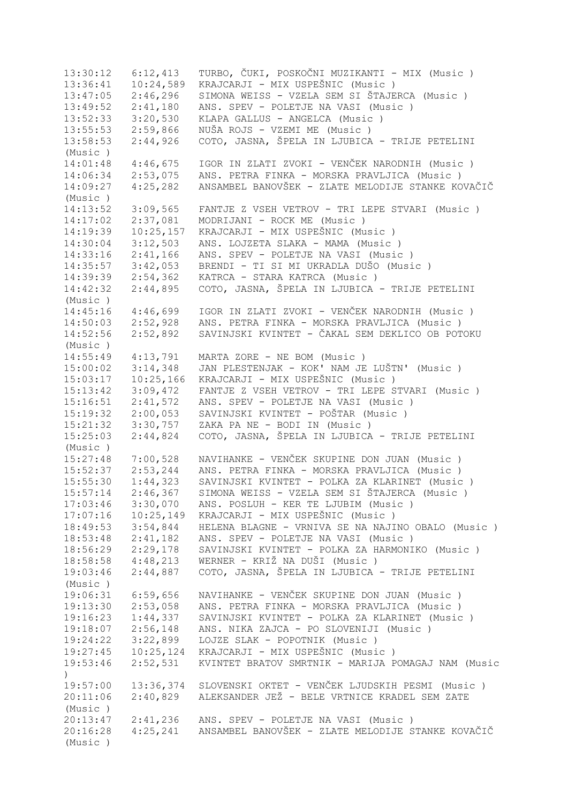13:30:12 6:12,413 TURBO, ČUKI, POSKOČNI MUZIKANTI - MIX (Music)<br>13:36:41 10:24,589 KRAJCARJI - MIX USPEŠNIC (Music) 13:36:41 10:24,589 KRAJCARJI - MIX USPEŠNIC (Music )<br>13:47:05 2:46,296 SIMONA WEISS - VZELA SEM SI ŠTAJE 13:47:05 2:46,296 SIMONA WEISS - VZELA SEM SI ŠTAJERCA (Music ) 13:49:52 2:41,180 ANS. SPEV - POLETJE NA VASI (Music ) 13:52:33 3:20,530 KLAPA GALLUS - ANGELCA (Music ) 13:55:53 2:59,866 NUŠA ROJS - VZEMI ME (Music ) 13:58:53 2:44,926 COTO, JASNA, ŠPELA IN LJUBICA - TRIJE PETELINI (Music ) 14:01:48 4:46,675 IGOR IN ZLATI ZVOKI - VENČEK NARODNIH (Music ) 14:06:34 2:53,075 ANS. PETRA FINKA - MORSKA PRAVLJICA (Music ) 14:09:27 4:25,282 ANSAMBEL BANOVŠEK - ZLATE MELODIJE STANKE KOVAČIČ (Music ) 14:13:52 3:09,565 FANTJE Z VSEH VETROV - TRI LEPE STVARI (Music ) 14:17:02 2:37,081 MODRIJANI - ROCK ME (Music ) 14:19:39 10:25,157 KRAJCARJI - MIX USPEŠNIC (Music ) 14:30:04 3:12,503 ANS. LOJZETA SLAKA - MAMA (Music ) 14:33:16 2:41,166 ANS. SPEV - POLETJE NA VASI (Music ) 14:35:57 3:42,053 BRENDI - TI SI MI UKRADLA DUŠO (Music ) 14:39:39 2:54,362 KATRCA - STARA KATRCA (Music ) 14:42:32 2:44,895 COTO, JASNA, ŠPELA IN LJUBICA - TRIJE PETELINI (Music ) 14:45:16 4:46,699 IGOR IN ZLATI ZVOKI - VENČEK NARODNIH (Music ) 14:50:03 2:52,928 ANS. PETRA FINKA - MORSKA PRAVLJICA (Music ) 14:52:56 2:52,892 SAVINJSKI KVINTET - ČAKAL SEM DEKLICO OB POTOKU (Music ) 14:55:49 4:13,791 MARTA ZORE - NE BOM (Music ) 15:00:02 3:14,348 JAN PLESTENJAK - KOK' NAM JE LUŠTN' (Music ) 15:03:17 10:25,166 KRAJCARJI - MIX USPEŠNIC (Music ) 15:13:42 3:09,472 FANTJE Z VSEH VETROV - TRI LEPE STVARI (Music ) 15:16:51 2:41,572 ANS. SPEV - POLETJE NA VASI (Music ) 15:19:32 2:00,053 SAVINJSKI KVINTET - POŠTAR (Music ) 15:21:32 3:30,757 ZAKA PA NE - BODI IN (Music ) 15:25:03 2:44,824 COTO, JASNA, ŠPELA IN LJUBICA - TRIJE PETELINI (Music ) 15:27:48 7:00,528 NAVIHANKE - VENČEK SKUPINE DON JUAN (Music ) 15:52:37 2:53,244 ANS. PETRA FINKA - MORSKA PRAVLJICA (Music ) 15:55:30 1:44,323 SAVINJSKI KVINTET - POLKA ZA KLARINET (Music ) 15:57:14 2:46,367 SIMONA WEISS - VZELA SEM SI ŠTAJERCA (Music ) 17:03:46 3:30,070 ANS. POSLUH - KER TE LJUBIM (Music ) 17:07:16 10:25,149 KRAJCARJI - MIX USPEŠNIC (Music ) 18:49:53 3:54,844 HELENA BLAGNE - VRNIVA SE NA NAJINO OBALO (Music ) 18:53:48 2:41,182 ANS. SPEV - POLETJE NA VASI (Music ) 18:56:29 2:29,178 SAVINJSKI KVINTET - POLKA ZA HARMONIKO (Music ) 18:58:58 4:48,213 WERNER - KRIŽ NA DUŠI (Music ) 19:03:46 2:44,887 COTO, JASNA, ŠPELA IN LJUBICA - TRIJE PETELINI (Music ) 19:06:31 6:59,656 NAVIHANKE - VENČEK SKUPINE DON JUAN (Music ) 19:13:30 2:53,058 ANS. PETRA FINKA - MORSKA PRAVLJICA (Music ) 19:16:23 1:44,337 SAVINJSKI KVINTET - POLKA ZA KLARINET (Music ) 19:18:07 2:56,148 ANS. NIKA ZAJCA - PO SLOVENIJI (Music ) 19:24:22 3:22,899 LOJZE SLAK - POPOTNIK (Music ) 19:27:45 10:25,124 KRAJCARJI - MIX USPEŠNIC (Music ) 19:53:46 2:52,531 KVINTET BRATOV SMRTNIK - MARIJA POMAGAJ NAM (Music ) 19:57:00 13:36,374 SLOVENSKI OKTET - VENČEK LJUDSKIH PESMI (Music ) 20:11:06 2:40,829 ALEKSANDER JEŽ - BELE VRTNICE KRADEL SEM ZATE (Music ) 20:13:47 2:41,236 ANS. SPEV - POLETJE NA VASI (Music ) 20:16:28 4:25,241 ANSAMBEL BANOVŠEK - ZLATE MELODIJE STANKE KOVAČIČ (Music )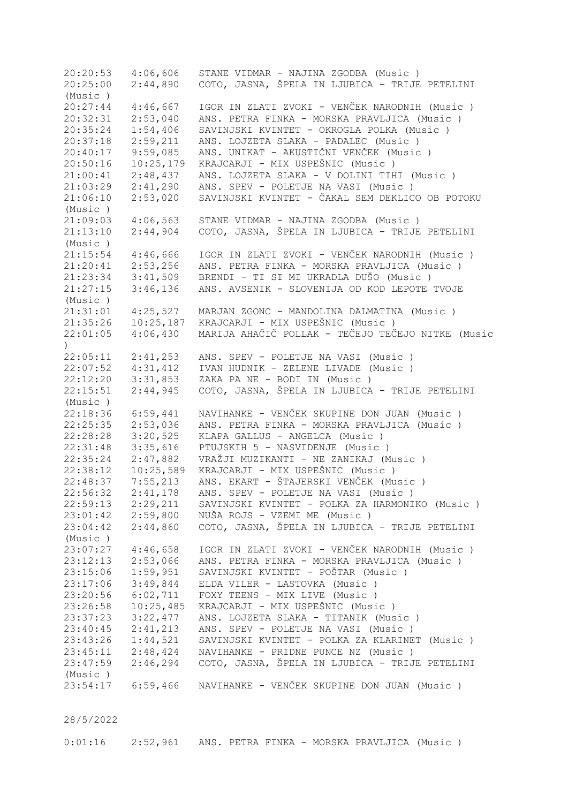20:20:53 4:06,606 STANE VIDMAR - NAJINA ZGODBA (Music ) 20:25:00 2:44,890 COTO, JASNA, ŠPELA IN LJUBICA - TRIJE PETELINI (Music ) 20:27:44 4:46,667 IGOR IN ZLATI ZVOKI - VENČEK NARODNIH (Music ) 20:32:31 2:53,040 ANS. PETRA FINKA - MORSKA PRAVLJICA (Music ) 20:35:24 1:54,406 SAVINJSKI KVINTET - OKROGLA POLKA (Music ) 20:37:18 2:59,211 ANS. LOJZETA SLAKA - PADALEC (Music ) 20:40:17 9:59,085 ANS. UNIKAT - AKUSTIČNI VENČEK (Music ) 20:50:16 10:25,179 KRAJCARJI - MIX USPEŠNIC (Music ) 21:00:41 2:48,437 ANS. LOJZETA SLAKA - V DOLINI TIHI (Music ) 21:03:29 2:41,290 ANS. SPEV - POLETJE NA VASI (Music ) 21:06:10 2:53,020 SAVINJSKI KVINTET - ČAKAL SEM DEKLICO OB POTOKU (Music ) 21:09:03 4:06,563 STANE VIDMAR - NAJINA ZGODBA (Music ) 21:13:10 2:44,904 COTO, JASNA, ŠPELA IN LJUBICA - TRIJE PETELINI (Music ) 21:15:54 4:46,666 IGOR IN ZLATI ZVOKI - VENČEK NARODNIH (Music ) 21:20:41 2:53,256 ANS. PETRA FINKA - MORSKA PRAVLJICA (Music ) 21:23:34 3:41,509 BRENDI - TI SI MI UKRADLA DUŠO (Music ) 21:27:15 3:46,136 ANS. AVSENIK - SLOVENIJA OD KOD LEPOTE TVOJE (Music ) 21:31:01 4:25,527 MARJAN ZGONC - MANDOLINA DALMATINA (Music ) 21:35:26 10:25,187 KRAJCARJI - MIX USPEŠNIC (Music ) 22:01:05 4:06,430 MARIJA AHAČIČ POLLAK - TEČEJO TEČEJO NITKE (Music  $\lambda$ 22:05:11 2:41,253 ANS. SPEV - POLETJE NA VASI (Music ) 22:07:52 4:31,412 IVAN HUDNIK - ZELENE LIVADE (Music ) 22:12:20 3:31,853 ZAKA PA NE - BODI IN (Music ) 22:15:51 2:44,945 COTO, JASNA, ŠPELA IN LJUBICA - TRIJE PETELINI (Music ) 22:18:36 6:59,441 NAVIHANKE - VENČEK SKUPINE DON JUAN (Music ) 22:25:35 2:53,036 ANS. PETRA FINKA - MORSKA PRAVLJICA (Music ) 22:28:28 3:20,525 KLAPA GALLUS - ANGELCA (Music ) 22:31:48 3:35,616 PTUJSKIH 5 - NASVIDENJE (Music ) 22:35:24 2:47,882 VRAŽJI MUZIKANTI - NE ZANIKAJ (Music)<br>22:38:12 10:25,589 KRAJCARJI - MIX USPEŠNIC (Music) 22:38:12 10:25,589 KRAJCARJI - MIX USPEŠNIC (Music ) 22:48:37 7:55,213 ANS. EKART - ŠTAJERSKI VENČEK (Music ) 22:56:32 2:41,178 ANS. SPEV - POLETJE NA VASI (Music ) 22:59:13 2:29,211 SAVINJSKI KVINTET - POLKA ZA HARMONIKO (Music ) 23:01:42 2:59,800 NUŠA ROJS - VZEMI ME (Music ) 23:04:42 2:44,860 COTO, JASNA, ŠPELA IN LJUBICA - TRIJE PETELINI (Music ) 23:07:27 4:46,658 IGOR IN ZLATI ZVOKI - VENČEK NARODNIH (Music ) 23:12:13 2:53,066 ANS. PETRA FINKA - MORSKA PRAVLJICA (Music ) 23:15:06 1:59,951 SAVINJSKI KVINTET - POŠTAR (Music ) 23:17:06 3:49,844 ELDA VILER - LASTOVKA (Music ) 23:20:56 6:02,711 FOXY TEENS - MIX LIVE (Music ) 23:26:58 10:25,485 KRAJCARJI - MIX USPEŠNIC (Music ) 23:37:23 3:22,477 ANS. LOJZETA SLAKA - TITANIK (Music ) 23:40:45 2:41,213 ANS. SPEV - POLETJE NA VASI (Music ) 23:43:26 1:44,521 SAVINJSKI KVINTET - POLKA ZA KLARINET (Music ) 23:45:11 2:48,424 NAVIHANKE - PRIDNE PUNCE NZ (Music ) 23:47:59 2:46,294 COTO, JASNA, ŠPELA IN LJUBICA - TRIJE PETELINI (Music ) 23:54:17 6:59,466 NAVIHANKE - VENČEK SKUPINE DON JUAN (Music )

28/5/2022

0:01:16 2:52,961 ANS. PETRA FINKA - MORSKA PRAVLJICA (Music )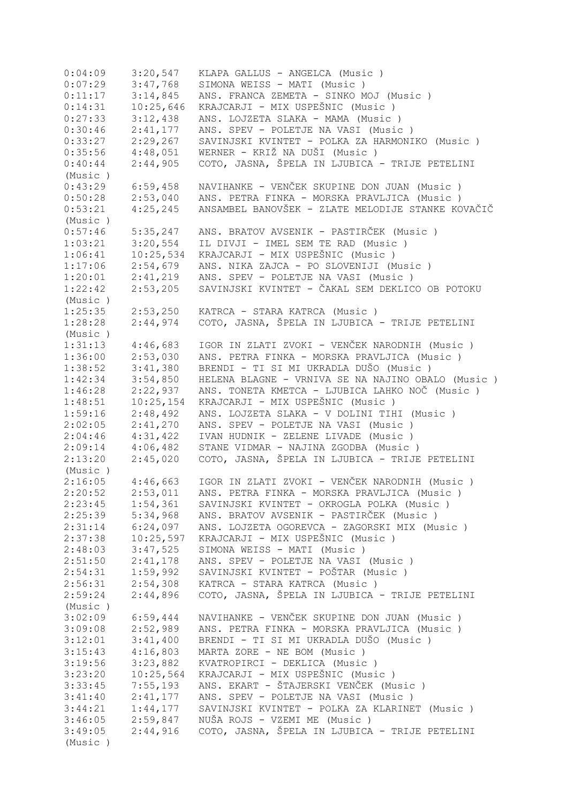0:04:09 3:20,547 KLAPA GALLUS - ANGELCA (Music ) 0:07:29 3:47,768 SIMONA WEISS - MATI (Music) 0:11:17 3:14,845 ANS. FRANCA ZEMETA - SINKO MOJ (Music ) 0:14:31 10:25,646 KRAJCARJI - MIX USPEŠNIC (Music)<br>0:27:33 3:12,438 ANS. LOJZETA SLAKA - MAMA (Music 0:27:33 3:12,438 ANS. LOJZETA SLAKA - MAMA (Music ) 0:30:46 2:41,177 ANS. SPEV - POLETJE NA VASI (Music ) 0:33:27 2:29,267 SAVINJSKI KVINTET - POLKA ZA HARMONIKO (Music ) 0:35:56 4:48,051 WERNER - KRIŽ NA DUŠI (Music ) 0:40:44 2:44,905 COTO, JASNA, ŠPELA IN LJUBICA - TRIJE PETELINI (Music ) 0:43:29 6:59,458 NAVIHANKE - VENČEK SKUPINE DON JUAN (Music ) 0:50:28 2:53,040 ANS. PETRA FINKA - MORSKA PRAVLJICA (Music ) 0:53:21 4:25,245 ANSAMBEL BANOVŠEK - ZLATE MELODIJE STANKE KOVAČIČ (Music ) 0:57:46 5:35,247 ANS. BRATOV AVSENIK - PASTIRČEK (Music)<br>1:03:21 3:20,554 IL DIVJI - IMEL SEM TE RAD (Music) 1:03:21 3:20,554 IL DIVJI - IMEL SEM TE RAD (Music ) 1:06:41 10:25,534 KRAJCARJI - MIX USPEŠNIC (Music)<br>1:17:06 2:54,679 ANS. NIKA ZAJCA - PO SLOVENIJI (M 1:17:06 2:54,679 ANS. NIKA ZAJCA - PO SLOVENIJI (Music ) 1:20:01 2:41,219 ANS. SPEV - POLETJE NA VASI (Music ) 1:22:42 2:53,205 SAVINJSKI KVINTET - ČAKAL SEM DEKLICO OB POTOKU (Music ) 1:25:35 2:53,250 KATRCA - STARA KATRCA (Music ) 1:28:28 2:44,974 COTO, JASNA, ŠPELA IN LJUBICA - TRIJE PETELINI (Music ) 1:31:13 4:46,683 IGOR IN ZLATI ZVOKI - VENČEK NARODNIH (Music ) 1:36:00 2:53,030 ANS. PETRA FINKA - MORSKA PRAVLJICA (Music ) 1:38:52 3:41,380 BRENDI - TI SI MI UKRADLA DUŠO (Music )<br>1:42:34 3:54,850 HELENA BLAGNE - VRNIVA SE NA NAJINO OBA 1:42:34 3:54,850 HELENA BLAGNE - VRNIVA SE NA NAJINO OBALO (Music ) 1:46:28 2:22,937 ANS. TONETA KMETCA - LJUBICA LAHKO NOČ (Music ) 1:48:51 10:25,154 KRAJCARJI - MIX USPEŠNIC (Music )<br>1:59:16 2:48,492 ANS. LOJZETA SLAKA - V DOLINI TIH 1:59:16 2:48,492 ANS. LOJZETA SLAKA - V DOLINI TIHI (Music ) 2:02:05 2:41,270 ANS. SPEV - POLETJE NA VASI (Music ) 2:04:46 4:31,422 IVAN HUDNIK - ZELENE LIVADE (Music ) 2:09:14 4:06,482 STANE VIDMAR - NAJINA ZGODBA (Music ) 2:13:20 2:45,020 COTO, JASNA, ŠPELA IN LJUBICA - TRIJE PETELINI (Music ) 2:16:05 4:46,663 IGOR IN ZLATI ZVOKI - VENČEK NARODNIH (Music ) 2:20:52 2:53,011 ANS. PETRA FINKA - MORSKA PRAVLJICA (Music ) 2:23:45 1:54,361 SAVINJSKI KVINTET - OKROGLA POLKA (Music ) 2:25:39 5:34,968 ANS. BRATOV AVSENIK - PASTIRČEK (Music ) 2:31:14 6:24,097 ANS. LOJZETA OGOREVCA - ZAGORSKI MIX (Music ) 2:37:38 10:25,597 KRAJCARJI - MIX USPEŠNIC (Music)<br>2:48:03 3:47,525 SIMONA WEISS - MATI (Music) 2:48:03 3:47,525 SIMONA WEISS - MATI (Music ) 2:51:50 2:41,178 ANS. SPEV - POLETJE NA VASI (Music ) 2:54:31 1:59,992 SAVINJSKI KVINTET - POŠTAR (Music ) 2:56:31 2:54,308 KATRCA - STARA KATRCA (Music ) 2:59:24 2:44,896 COTO, JASNA, ŠPELA IN LJUBICA - TRIJE PETELINI (Music ) 3:02:09 6:59,444 NAVIHANKE - VENČEK SKUPINE DON JUAN (Music ) 3:09:08 2:52,989 ANS. PETRA FINKA - MORSKA PRAVLJICA (Music ) 3:12:01 3:41,400 BRENDI - TI SI MI UKRADLA DUŠO (Music ) 3:15:43 4:16,803 MARTA ZORE - NE BOM (Music ) 3:19:56 3:23,882 KVATROPIRCI - DEKLICA (Music ) 3:23:20 10:25,564 KRAJCARJI - MIX USPEŠNIC (Music)<br>3:33:45 7:55,193 ANS. EKART - ŠTAJERSKI VENČEK (Mu 3:33:45 7:55,193 ANS. EKART - ŠTAJERSKI VENČEK (Music ) 2:41,177 ANS. SPEV - POLETJE NA VASI (Music ) 3:44:21 1:44,177 SAVINJSKI KVINTET - POLKA ZA KLARINET (Music ) 3:46:05 2:59,847 NUŠA ROJS - VZEMI ME (Music ) 3:49:05 2:44,916 COTO, JASNA, ŠPELA IN LJUBICA - TRIJE PETELINI (Music )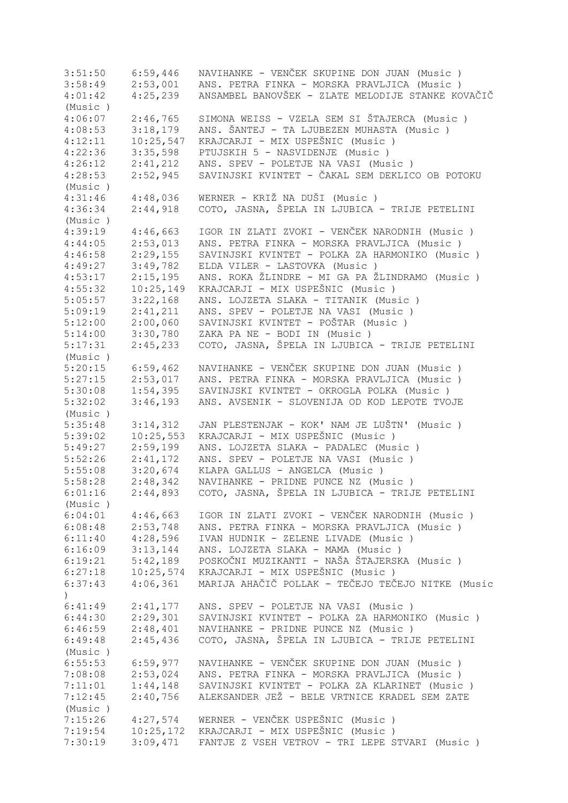3:51:50 6:59,446 NAVIHANKE - VENČEK SKUPINE DON JUAN (Music ) 3:58:49 2:53,001 ANS. PETRA FINKA - MORSKA PRAVLJICA (Music ) 4:01:42 4:25,239 ANSAMBEL BANOVŠEK - ZLATE MELODIJE STANKE KOVAČIČ (Music ) 4:06:07 2:46,765 SIMONA WEISS - VZELA SEM SI ŠTAJERCA (Music ) 4:08:53 3:18,179 ANS. ŠANTEJ - TA LJUBEZEN MUHASTA (Music ) 4:12:11 10:25,547 KRAJCARJI - MIX USPEŠNIC (Music)<br>4:22:36 3:35,598 PTUJSKIH 5 - NASVIDENJE (Music) 4:22:36 3:35,598 PTUJSKIH 5 - NASVIDENJE (Music ) 4:26:12 2:41,212 ANS. SPEV - POLETJE NA VASI (Music ) 4:28:53 2:52,945 SAVINJSKI KVINTET - ČAKAL SEM DEKLICO OB POTOKU (Music ) 4:31:46 4:48,036 WERNER - KRIŽ NA DUŠI (Music ) 4:36:34 2:44,918 COTO, JASNA, ŠPELA IN LJUBICA - TRIJE PETELINI (Music ) 4:39:19 4:46,663 IGOR IN ZLATI ZVOKI - VENČEK NARODNIH (Music)<br>4:44:05 2:53.013 ANS. PETRA FINKA - MORSKA PRAVLJICA (Music) 4:44:05 2:53,013 ANS. PETRA FINKA - MORSKA PRAVLJICA (Music ) 4:46:58 2:29,155 SAVINJSKI KVINTET - POLKA ZA HARMONIKO (Music ) 4:49:27 3:49,782 ELDA VILER - LASTOVKA (Music )<br>4:53:17 2:15,195 ANS. ROKA ŽLINDRE - MI GA PA Ž 4:53:17 2:15,195 ANS. ROKA ŽLINDRE - MI GA PA ŽLINDRAMO (Music )  $4:55:32$   $10:25,149$  KRAJCARJI - MIX USPEŠNIC (Music )<br> $5:05:57$   $3:22,168$  ANS. LOJZETA SLAKA - TITANIK (Mus. 5:05:57 3:22,168 ANS. LOJZETA SLAKA - TITANIK (Music ) 5:09:19 2:41,211 ANS. SPEV - POLETJE NA VASI (Music ) 5:12:00 2:00,060 SAVINJSKI KVINTET - POŠTAR (Music ) 5:14:00 3:30,780 ZAKA PA NE - BODI IN (Music ) 5:17:31 2:45,233 COTO, JASNA, ŠPELA IN LJUBICA - TRIJE PETELINI (Music ) 5:20:15 6:59,462 NAVIHANKE - VENČEK SKUPINE DON JUAN (Music ) 5:27:15 2:53,017 ANS. PETRA FINKA - MORSKA PRAVLJICA (Music ) 5:30:08 1:54,395 SAVINJSKI KVINTET - OKROGLA POLKA (Music ) 5:32:02 3:46,193 ANS. AVSENIK - SLOVENIJA OD KOD LEPOTE TVOJE (Music ) 5:35:48 3:14,312 JAN PLESTENJAK - KOK' NAM JE LUŠTN' (Music )<br>5:39:02 10:25,553 KRAJCARJI - MIX USPEŠNIC (Music ) 5:39:02 10:25,553 KRAJCARJI - MIX USPEŠNIC (Music )<br>5:49:27 2:59,199 ANS. LOJZETA SLAKA - PADALEC (Mus. 5:49:27 2:59,199 ANS. LOJZETA SLAKA - PADALEC (Music ) 5:52:26 2:41,172 ANS. SPEV - POLETJE NA VASI (Music ) 5:55:08 3:20,674 KLAPA GALLUS - ANGELCA (Music ) 5:58:28 2:48,342 NAVIHANKE - PRIDNE PUNCE NZ (Music ) 6:01:16 2:44,893 COTO, JASNA, ŠPELA IN LJUBICA - TRIJE PETELINI (Music ) 6:04:01 4:46,663 IGOR IN ZLATI ZVOKI - VENČEK NARODNIH (Music ) 6:08:48 2:53,748 ANS. PETRA FINKA - MORSKA PRAVLJICA (Music ) 6:11:40 4:28,596 IVAN HUDNIK - ZELENE LIVADE (Music ) 6:16:09 3:13,144 ANS. LOJZETA SLAKA - MAMA (Music ) 6:19:21 5:42,189 POSKOČNI MUZIKANTI - NAŠA ŠTAJERSKA (Music ) 6:27:18 10:25,574 KRAJCARJI - MIX USPEŠNIC (Music ) 6:37:43 4:06,361 MARIJA AHAČIČ POLLAK - TEČEJO TEČEJO NITKE (Music  $\lambda$ 6:41:49 2:41,177 ANS. SPEV - POLETJE NA VASI (Music ) 6:44:30 2:29,301 SAVINJSKI KVINTET - POLKA ZA HARMONIKO (Music ) 6:46:59 2:48,401 NAVIHANKE - PRIDNE PUNCE NZ (Music ) 6:49:48 2:45,436 COTO, JASNA, ŠPELA IN LJUBICA - TRIJE PETELINI (Music )<br>6:55:53 6:55:53 6:59,977 NAVIHANKE - VENČEK SKUPINE DON JUAN (Music ) 7:08:08 2:53,024 ANS. PETRA FINKA - MORSKA PRAVLJICA (Music ) 7:11:01 1:44,148 SAVINJSKI KVINTET - POLKA ZA KLARINET (Music ) 7:12:45 2:40,756 ALEKSANDER JEŽ - BELE VRTNICE KRADEL SEM ZATE (Music ) 7:15:26 4:27,574 WERNER - VENČEK USPEŠNIC (Music ) 7:19:54 10:25,172 KRAJCARJI - MIX USPEŠNIC (Music ) 7:30:19 3:09,471 FANTJE Z VSEH VETROV - TRI LEPE STVARI (Music )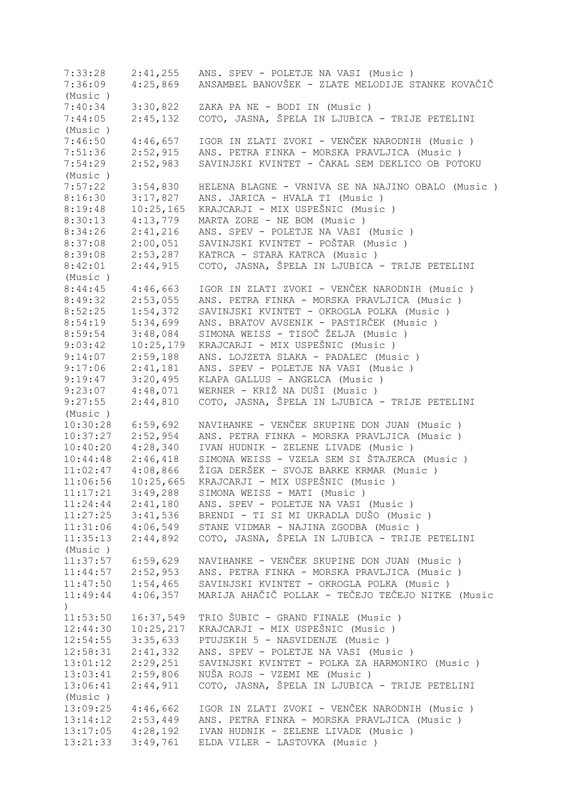7:33:28 2:41,255 ANS. SPEV - POLETJE NA VASI (Music ) 7:36:09 4:25,869 ANSAMBEL BANOVŠEK - ZLATE MELODIJE STANKE KOVAČIČ (Music ) 7:40:34 3:30,822 ZAKA PA NE - BODI IN (Music ) 2:45,132 COTO, JASNA, ŠPELA IN LJUBICA - TRIJE PETELINI (Music ) 7:46:50 4:46,657 IGOR IN ZLATI ZVOKI - VENČEK NARODNIH (Music ) 7:51:36 2:52,915 ANS. PETRA FINKA - MORSKA PRAVLJICA (Music ) 7:54:29 2:52,983 SAVINJSKI KVINTET - ČAKAL SEM DEKLICO OB POTOKU (Music ) 7:57:22 3:54,830 HELENA BLAGNE - VRNIVA SE NA NAJINO OBALO (Music ) 8:16:30 3:17,827 ANS. JARICA - HVALA TI (Music ) 8:19:48 10:25,165 KRAJCARJI - MIX USPEŠNIC (Music ) 8:30:13 4:13,779 MARTA ZORE - NE BOM (Music ) 8:34:26 2:41,216 ANS. SPEV - POLETJE NA VASI (Music ) 8:37:08 2:00,051 SAVINJSKI KVINTET - POŠTAR (Music ) 2:53,287 KATRCA - STARA KATRCA (Music ) 8:42:01 2:44,915 COTO, JASNA, ŠPELA IN LJUBICA - TRIJE PETELINI (Music)<br>8:44:45 4:46,663 8:44:45 4:46,663 IGOR IN ZLATI ZVOKI - VENČEK NARODNIH (Music)<br>8:49:32 2:53,055 ANS. PETRA FINKA - MORSKA PRAVLJICA (Music) 8:49:32 2:53,055 ANS. PETRA FINKA - MORSKA PRAVLJICA (Music)<br>8:52:25 1:54,372 SAVINJSKI KVINTET - OKROGLA POLKA (Music) 8:52:25 1:54,372 SAVINJSKI KVINTET - OKROGLA POLKA (Music ) 8:54:19 5:34,699 ANS. BRATOV AVSENIK - PASTIRČEK (Music)<br>8:59:54 3:48.084 SIMONA WEISS - TISOČ ŽELJA (Music) 8:59:54 3:48,084 SIMONA WEISS - TISOČ ŽELJA (Music ) 9:03:42 10:25,179 KRAJCARJI - MIX USPEŠNIC (Music)<br>9:14:07 2:59,188 ANS. LOJZETA SLAKA - PADALEC (Mus 9:14:07 2:59,188 ANS. LOJZETA SLAKA - PADALEC (Music ) 9:17:06 2:41,181 ANS. SPEV - POLETJE NA VASI (Music ) 9:19:47 3:20,495 KLAPA GALLUS - ANGELCA (Music ) 9:23:07 4:48,071 WERNER - KRIŽ NA DUŠI (Music ) 9:27:55 2:44,810 COTO, JASNA, ŠPELA IN LJUBICA - TRIJE PETELINI (Music ) 10:30:28 6:59,692 NAVIHANKE - VENČEK SKUPINE DON JUAN (Music ) 10:37:27 2:52,954 ANS. PETRA FINKA - MORSKA PRAVLJICA (Music ) 10:40:20 4:28,340 IVAN HUDNIK - ZELENE LIVADE (Music ) 10:44:48 2:46,418 SIMONA WEISS - VZELA SEM SI ŠTAJERCA (Music)<br>11:02:47 4:08,866 ŽIGA DERŠEK - SVOJE BARKE KRMAR (Music) 11:02:47 4:08,866 ŽIGA DERŠEK - SVOJE BARKE KRMAR (Music ) 11:06:56 10:25,665 KRAJCARJI - MIX USPEŠNIC (Music ) 11:17:21 3:49,288 SIMONA WEISS - MATI (Music ) 11:24:44 2:41,180 ANS. SPEV - POLETJE NA VASI (Music ) 11:27:25 3:41,536 BRENDI - TI SI MI UKRADLA DUŠO (Music ) 11:31:06 4:06,549 STANE VIDMAR - NAJINA ZGODBA (Music ) 11:35:13 2:44,892 COTO, JASNA, ŠPELA IN LJUBICA - TRIJE PETELINI (Music ) 11:37:57 6:59,629 NAVIHANKE - VENČEK SKUPINE DON JUAN (Music ) 11:44:57 2:52,953 ANS. PETRA FINKA - MORSKA PRAVLJICA (Music ) 11:47:50 1:54,465 SAVINJSKI KVINTET - OKROGLA POLKA (Music ) 11:49:44 4:06,357 MARIJA AHAČIČ POLLAK - TEČEJO TEČEJO NITKE (Music  $\rightarrow$ 11:53:50 16:37,549 TRIO ŠUBIC - GRAND FINALE (Music ) 12:44:30 10:25,217 KRAJCARJI - MIX USPEŠNIC (Music ) 12:54:55 3:35,633 PTUJSKIH 5 - NASVIDENJE (Music ) 12:58:31 2:41,332 ANS. SPEV - POLETJE NA VASI (Music ) 13:01:12 2:29,251 SAVINJSKI KVINTET - POLKA ZA HARMONIKO (Music ) 13:03:41 2:59,806 NUŠA ROJS - VZEMI ME (Music ) 13:06:41 2:44,911 COTO, JASNA, ŠPELA IN LJUBICA - TRIJE PETELINI (Music ) 13:09:25 4:46,662 IGOR IN ZLATI ZVOKI - VENČEK NARODNIH (Music ) 13:14:12 2:53,449 ANS. PETRA FINKA - MORSKA PRAVLJICA (Music ) 13:17:05 4:28,192 IVAN HUDNIK - ZELENE LIVADE (Music ) 13:21:33 3:49,761 ELDA VILER - LASTOVKA (Music )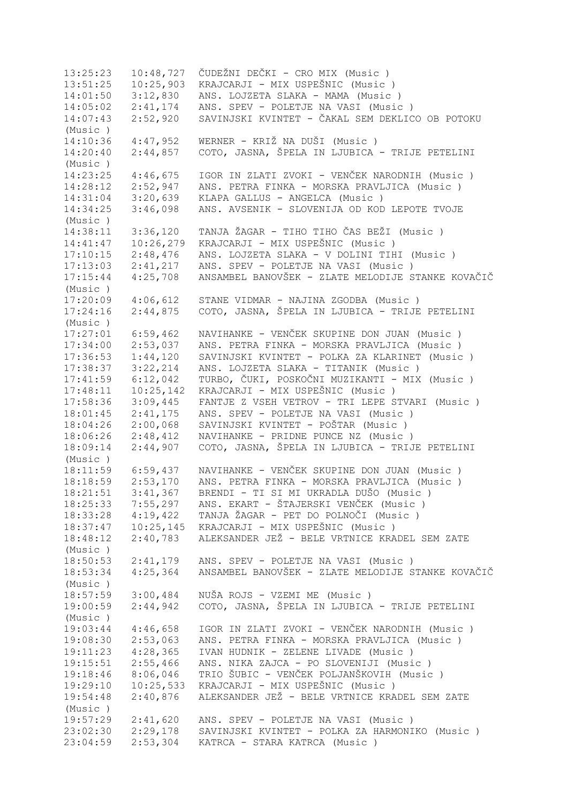13:25:23 10:48,727 ČUDEŽNI DEČKI - CRO MIX (Music ) 13:51:25 10:25,903 KRAJCARJI - MIX USPEŠNIC (Music ) 14:01:50 3:12,830 ANS. LOJZETA SLAKA - MAMA (Music ) 14:05:02 2:41,174 ANS. SPEV - POLETJE NA VASI (Music ) 14:07:43 2:52,920 SAVINJSKI KVINTET - ČAKAL SEM DEKLICO OB POTOKU (Music ) 14:10:36 4:47,952 WERNER - KRIŽ NA DUŠI (Music ) 14:20:40 2:44,857 COTO, JASNA, ŠPELA IN LJUBICA - TRIJE PETELINI (Music ) 14:23:25 4:46,675 IGOR IN ZLATI ZVOKI - VENČEK NARODNIH (Music ) 14:28:12 2:52,947 ANS. PETRA FINKA - MORSKA PRAVLJICA (Music ) 14:31:04 3:20,639 KLAPA GALLUS - ANGELCA (Music ) 14:34:25 3:46,098 ANS. AVSENIK - SLOVENIJA OD KOD LEPOTE TVOJE (Music ) 14:38:11 3:36,120 TANJA ŽAGAR - TIHO TIHO ČAS BEŽI (Music ) 14:41:47 10:26,279 KRAJCARJI - MIX USPEŠNIC (Music ) 17:10:15 2:48,476 ANS. LOJZETA SLAKA - V DOLINI TIHI (Music ) 17:13:03 2:41,217 ANS. SPEV - POLETJE NA VASI (Music ) 17:15:44 4:25,708 ANSAMBEL BANOVŠEK - ZLATE MELODIJE STANKE KOVAČIČ (Music ) 17:20:09 4:06,612 STANE VIDMAR - NAJINA ZGODBA (Music ) 17:24:16 2:44,875 COTO, JASNA, ŠPELA IN LJUBICA - TRIJE PETELINI (Music ) 17:27:01 6:59,462 NAVIHANKE - VENČEK SKUPINE DON JUAN (Music ) 17:34:00 2:53,037 ANS. PETRA FINKA - MORSKA PRAVLJICA (Music ) 17:36:53 1:44,120 SAVINJSKI KVINTET - POLKA ZA KLARINET (Music ) 17:38:37 3:22,214 ANS. LOJZETA SLAKA - TITANIK (Music ) 17:41:59 6:12,042 TURBO, ČUKI, POSKOČNI MUZIKANTI - MIX (Music ) 17:48:11 10:25,142 KRAJCARJI - MIX USPEŠNIC (Music ) 17:58:36 3:09,445 FANTJE Z VSEH VETROV - TRI LEPE STVARI (Music ) 18:01:45 2:41,175 ANS. SPEV - POLETJE NA VASI (Music ) 18:04:26 2:00,068 SAVINJSKI KVINTET - POŠTAR (Music ) 18:06:26 2:48,412 NAVIHANKE - PRIDNE PUNCE NZ (Music ) 18:09:14 2:44,907 COTO, JASNA, ŠPELA IN LJUBICA - TRIJE PETELINI (Music ) 18:11:59 6:59,437 NAVIHANKE - VENČEK SKUPINE DON JUAN (Music ) 18:18:59 2:53,170 ANS. PETRA FINKA - MORSKA PRAVLJICA (Music ) 18:21:51 3:41,367 BRENDI - TI SI MI UKRADLA DUŠO (Music ) 18:25:33 7:55,297 ANS. EKART - ŠTAJERSKI VENČEK (Music ) 18:33:28 4:19,422 TANJA ŽAGAR - PET DO POLNOČI (Music ) 18:37:47 10:25,145 KRAJCARJI - MIX USPEŠNIC (Music ) 18:48:12 2:40,783 ALEKSANDER JEŽ - BELE VRTNICE KRADEL SEM ZATE (Music ) 18:50:53 2:41,179 ANS. SPEV - POLETJE NA VASI (Music ) 18:53:34 4:25,364 ANSAMBEL BANOVŠEK - ZLATE MELODIJE STANKE KOVAČIČ (Music ) 18:57:59 3:00,484 NUŠA ROJS - VZEMI ME (Music ) 19:00:59 2:44,942 COTO, JASNA, ŠPELA IN LJUBICA - TRIJE PETELINI (Music ) 19:03:44 4:46,658 IGOR IN ZLATI ZVOKI - VENČEK NARODNIH (Music ) 19:08:30 2:53,063 ANS. PETRA FINKA - MORSKA PRAVLJICA (Music ) 19:11:23 4:28,365 IVAN HUDNIK - ZELENE LIVADE (Music ) 19:15:51 2:55,466 ANS. NIKA ZAJCA - PO SLOVENIJI (Music ) 19:18:46 8:06,046 TRIO ŠUBIC - VENČEK POLJANŠKOVIH (Music ) 19:29:10 10:25,533 KRAJCARJI - MIX USPEŠNIC (Music ) 19:54:48 2:40,876 ALEKSANDER JEŽ - BELE VRTNICE KRADEL SEM ZATE (Music ) 19:57:29 2:41,620 ANS. SPEV - POLETJE NA VASI (Music ) 23:02:30 2:29,178 SAVINJSKI KVINTET - POLKA ZA HARMONIKO (Music ) 23:04:59 2:53,304 KATRCA - STARA KATRCA (Music )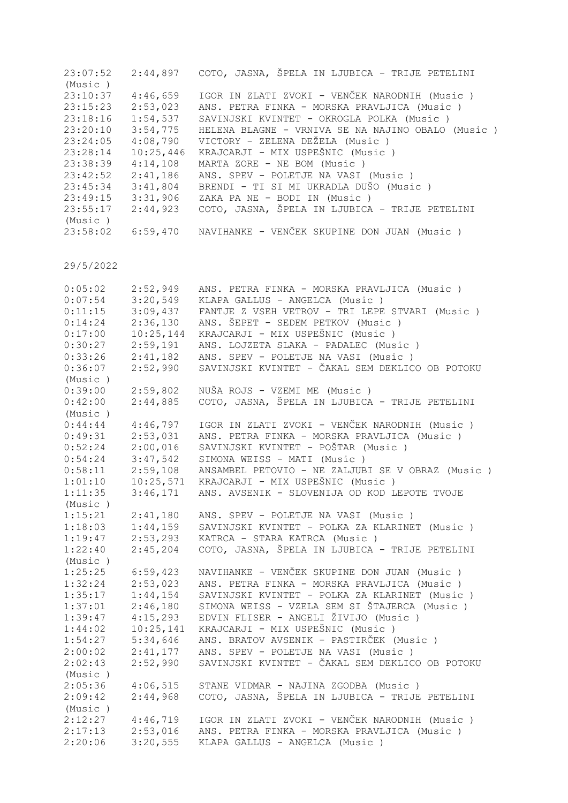| 2:44,897  | COTO, JASNA, ŠPELA IN LJUBICA - TRIJE PETELINI    |
|-----------|---------------------------------------------------|
|           |                                                   |
| 4:46,659  | IGOR IN ZLATI ZVOKI - VENČEK NARODNIH (Music)     |
| 2:53,023  | ANS. PETRA FINKA - MORSKA PRAVLJICA (Music)       |
| 1:54,537  | SAVINJSKI KVINTET - OKROGLA POLKA (Music)         |
| 3:54,775  | HELENA BLAGNE - VRNIVA SE NA NAJINO OBALO (Music) |
| 4:08,790  | VICTORY - ZELENA DEŽELA (Music )                  |
| 10:25,446 | KRAJCARJI - MIX USPEŠNIC (Music)                  |
| 4:14,108  | MARTA ZORE - NE BOM (Music)                       |
| 2:41,186  | ANS. SPEV - POLETJE NA VASI (Music)               |
| 3:41,804  | BRENDI - TI SI MI UKRADLA DUŠO (Music )           |
| 3:31,906  | ZAKA PA NE - BODI IN (Music )                     |
| 2:44,923  | COTO, JASNA, ŠPELA IN LJUBICA - TRIJE PETELINI    |
|           |                                                   |
| 6:59,470  | NAVIHANKE - VENČEK SKUPINE DON JUAN (Music)       |
|           |                                                   |

| 0:05:02 | 2:52,949  | ANS. PETRA FINKA - MORSKA PRAVLJICA (Music)      |
|---------|-----------|--------------------------------------------------|
| 0:07:54 | 3:20,549  | KLAPA GALLUS - ANGELCA (Music)                   |
| 0:11:15 | 3:09,437  | FANTJE Z VSEH VETROV - TRI LEPE STVARI (Music )  |
| 0:14:24 | 2:36,130  | ANS. ŠEPET - SEDEM PETKOV (Music)                |
| 0:17:00 | 10:25,144 | KRAJCARJI - MIX USPEŠNIC (Music)                 |
| 0:30:27 | 2:59,191  | ANS. LOJZETA SLAKA - PADALEC (Music )            |
| 0:33:26 | 2:41,182  | ANS. SPEV - POLETJE NA VASI (Music)              |
| 0:36:07 | 2:52,990  | SAVINJSKI KVINTET - ČAKAL SEM DEKLICO OB POTOKU  |
| (Music) |           |                                                  |
| 0:39:00 | 2:59,802  | NUŠA ROJS - VZEMI ME (Music)                     |
| 0:42:00 | 2:44,885  | COTO, JASNA, ŠPELA IN LJUBICA - TRIJE PETELINI   |
| (Music) |           |                                                  |
| 0:44:44 | 4:46,797  | IGOR IN ZLATI ZVOKI - VENČEK NARODNIH (Music )   |
| 0:49:31 | 2:53,031  | ANS. PETRA FINKA - MORSKA PRAVLJICA (Music)      |
| 0:52:24 | 2:00,016  | SAVINJSKI KVINTET - POŠTAR (Music )              |
| 0:54:24 | 3:47,542  | SIMONA WEISS - MATI (Music)                      |
| 0:58:11 | 2:59,108  | ANSAMBEL PETOVIO - NE ZALJUBI SE V OBRAZ (Music) |
| 1:01:10 | 10:25,571 | KRAJCARJI - MIX USPEŠNIC (Music)                 |
| 1:11:35 | 3:46,171  | ANS. AVSENIK - SLOVENIJA OD KOD LEPOTE TVOJE     |
| (Music) |           |                                                  |
| 1:15:21 | 2:41,180  | ANS. SPEV - POLETJE NA VASI (Music)              |
| 1:18:03 | 1:44,159  | SAVINJSKI KVINTET - POLKA ZA KLARINET (Music )   |
| 1:19:47 | 2:53,293  | KATRCA - STARA KATRCA (Music)                    |
| 1:22:40 | 2:45,204  | COTO, JASNA, ŠPELA IN LJUBICA - TRIJE PETELINI   |
| (Music) |           |                                                  |
| 1:25:25 | 6:59,423  | NAVIHANKE - VENČEK SKUPINE DON JUAN (Music)      |
| 1:32:24 | 2:53,023  | ANS. PETRA FINKA - MORSKA PRAVLJICA (Music)      |
| 1:35:17 | 1:44,154  | SAVINJSKI KVINTET - POLKA ZA KLARINET (Music )   |
| 1:37:01 | 2:46,180  | SIMONA WEISS - VZELA SEM SI ŠTAJERCA (Music )    |
| 1:39:47 | 4:15,293  | EDVIN FLISER - ANGELI ŽIVIJO (Music )            |
| 1:44:02 | 10:25,141 | KRAJCARJI - MIX USPEŠNIC (Music)                 |
| 1:54:27 | 5:34,646  | ANS. BRATOV AVSENIK - PASTIRČEK (Music)          |
| 2:00:02 | 2:41,177  | ANS. SPEV - POLETJE NA VASI (Music)              |
| 2:02:43 | 2:52,990  | SAVINJSKI KVINTET - ČAKAL SEM DEKLICO OB POTOKU  |
| (Music) |           |                                                  |
| 2:05:36 | 4:06,515  | STANE VIDMAR - NAJINA ZGODBA (Music)             |
| 2:09:42 | 2:44,968  | COTO, JASNA, ŠPELA IN LJUBICA - TRIJE PETELINI   |
| (Music) |           |                                                  |
| 2:12:27 | 4:46,719  | IGOR IN ZLATI ZVOKI - VENČEK NARODNIH (Music )   |
| 2:17:13 | 2:53,016  | ANS. PETRA FINKA - MORSKA PRAVLJICA (Music)      |
| 2:20:06 | 3:20,555  | KLAPA GALLUS - ANGELCA (Music)                   |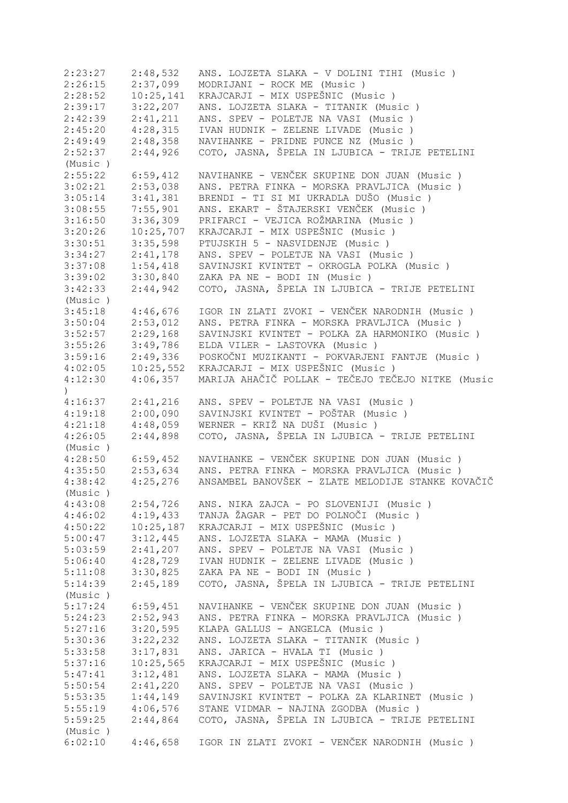| 2:23:27   | 2:48,532  | ANS. LOJZETA SLAKA - V DOLINI TIHI (Music)        |
|-----------|-----------|---------------------------------------------------|
| 2:26:15   | 2:37,099  | MODRIJANI - ROCK ME (Music)                       |
| 2:28:52   | 10:25,141 | KRAJCARJI - MIX USPEŠNIC (Music)                  |
| 2:39:17   | 3:22,207  | ANS. LOJZETA SLAKA - TITANIK (Music )             |
| 2:42:39   | 2:41,211  | ANS. SPEV - POLETJE NA VASI (Music)               |
| 2:45:20   | 4:28,315  | IVAN HUDNIK - ZELENE LIVADE (Music)               |
| 2:49:49   | 2:48,358  | NAVIHANKE - PRIDNE PUNCE NZ (Music)               |
| 2:52:37   | 2:44,926  | COTO, JASNA, ŠPELA IN LJUBICA - TRIJE PETELINI    |
| (Music)   |           |                                                   |
| 2:55:22   | 6:59,412  | NAVIHANKE - VENČEK SKUPINE DON JUAN (Music)       |
| 3:02:21   | 2:53,038  | ANS. PETRA FINKA - MORSKA PRAVLJICA (Music )      |
| 3:05:14   | 3:41,381  | BRENDI - TI SI MI UKRADLA DUŠO (Music)            |
| 3:08:55   | 7:55,901  | ANS. EKART - ŠTAJERSKI VENČEK (Music )            |
| 3:16:50   | 3:36,309  | PRIFARCI - VEJICA ROŽMARINA (Music )              |
| 3:20:26   | 10:25,707 | KRAJCARJI - MIX USPEŠNIC (Music)                  |
| 3:30:51   | 3:35,598  | PTUJSKIH 5 - NASVIDENJE (Music)                   |
| 3:34:27   | 2:41,178  | ANS. SPEV - POLETJE NA VASI (Music)               |
| 3:37:08   | 1:54,418  | SAVINJSKI KVINTET - OKROGLA POLKA (Music)         |
| 3:39:02   | 3:30,840  | ZAKA PA NE - BODI IN (Music)                      |
| 3:42:33   | 2:44,942  | COTO, JASNA, ŠPELA IN LJUBICA - TRIJE PETELINI    |
| (Music)   |           |                                                   |
| 3:45:18   | 4:46,676  | IGOR IN ZLATI ZVOKI - VENČEK NARODNIH (Music )    |
| 3:50:04   | 2:53,012  | ANS. PETRA FINKA - MORSKA PRAVLJICA (Music )      |
| 3:52:57   | 2:29,168  | SAVINJSKI KVINTET - POLKA ZA HARMONIKO (Music)    |
| 3:55:26   | 3:49,786  | ELDA VILER - LASTOVKA (Music)                     |
| 3:59:16   | 2:49,336  | POSKOČNI MUZIKANTI - POKVARJENI FANTJE (Music)    |
| 4:02:05   | 10:25,552 | KRAJCARJI - MIX USPEŠNIC (Music)                  |
| 4:12:30   | 4:06,357  | MARIJA AHAČIČ POLLAK - TEČEJO TEČEJO NITKE (Music |
| $\lambda$ |           |                                                   |
| 4:16:37   | 2:41,216  | ANS. SPEV - POLETJE NA VASI (Music)               |
| 4:19:18   | 2:00,090  | SAVINJSKI KVINTET - POŠTAR (Music )               |
| 4:21:18   | 4:48,059  | WERNER - KRIŽ NA DUŠI (Music)                     |
| 4:26:05   | 2:44,898  | COTO, JASNA, ŠPELA IN LJUBICA - TRIJE PETELINI    |
| (Music)   |           |                                                   |
| 4:28:50   | 6:59,452  | NAVIHANKE - VENČEK SKUPINE DON JUAN (Music)       |
| 4:35:50   | 2:53,634  | ANS. PETRA FINKA - MORSKA PRAVLJICA (Music)       |
| 4:38:42   | 4:25,276  | ANSAMBEL BANOVŠEK - ZLATE MELODIJE STANKE KOVAČIČ |
| (Music)   |           |                                                   |
| 4:43:08   | 2:54,726  | ANS. NIKA ZAJCA - PO SLOVENIJI (Music )           |
| 4:46:02   | 4:19,433  | TANJA ŽAGAR - PET DO POLNOČI (Music )             |
| 4:50:22   | 10:25,187 | KRAJCARJI - MIX USPEŠNIC (Music)                  |
| 5:00:47   | 3:12,445  | ANS. LOJZETA SLAKA - MAMA (Music)                 |
| 5:03:59   | 2:41,207  | ANS. SPEV - POLETJE NA VASI (Music)               |
| 5:06:40   | 4:28,729  | IVAN HUDNIK - ZELENE LIVADE (Music)               |
| 5:11:08   | 3:30,825  | ZAKA PA NE - BODI IN (Music )                     |
| 5:14:39   | 2:45,189  | COTO, JASNA, ŠPELA IN LJUBICA - TRIJE PETELINI    |
| (Music)   |           |                                                   |
| 5:17:24   | 6:59,451  | NAVIHANKE - VENČEK SKUPINE DON JUAN (Music)       |
| 5:24:23   | 2:52,943  | ANS. PETRA FINKA - MORSKA PRAVLJICA (Music )      |
| 5:27:16   | 3:20,595  | KLAPA GALLUS - ANGELCA (Music)                    |
| 5:30:36   | 3:22,232  | ANS. LOJZETA SLAKA - TITANIK (Music)              |
| 5:33:58   | 3:17,831  | ANS. JARICA - HVALA TI (Music)                    |
| 5:37:16   | 10:25,565 | KRAJCARJI - MIX USPEŠNIC (Music)                  |
| 5:47:41   | 3:12,481  | ANS. LOJZETA SLAKA - MAMA (Music)                 |
| 5:50:54   | 2:41,220  | ANS. SPEV - POLETJE NA VASI (Music)               |
| 5:53:35   | 1:44,149  | SAVINJSKI KVINTET - POLKA ZA KLARINET (Music )    |
| 5:55:19   | 4:06,576  | STANE VIDMAR - NAJINA ZGODBA (Music )             |
| 5:59:25   | 2:44,864  | COTO, JASNA, ŠPELA IN LJUBICA - TRIJE PETELINI    |
| (Music)   |           |                                                   |
| 6:02:10   | 4:46,658  | IGOR IN ZLATI ZVOKI - VENČEK NARODNIH (Music )    |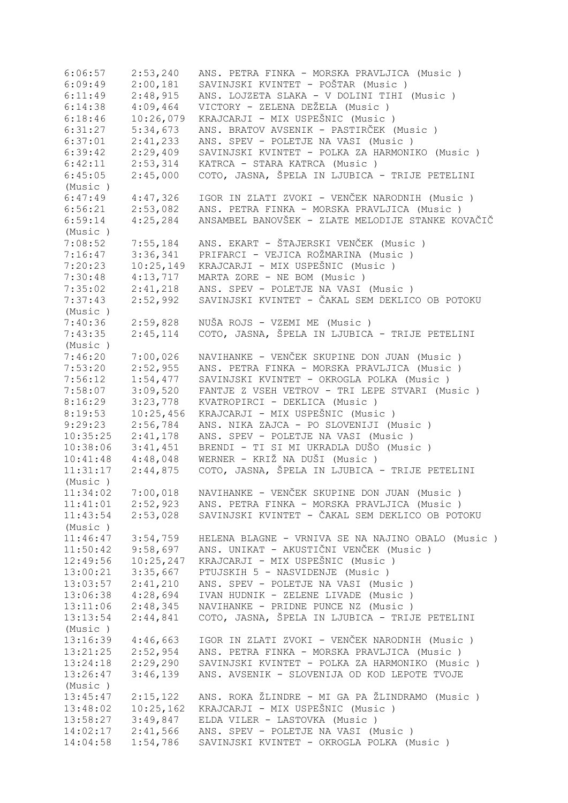6:06:57 2:53,240 ANS. PETRA FINKA - MORSKA PRAVLJICA (Music ) 6:09:49 2:00,181 SAVINJSKI KVINTET - POŠTAR (Music ) 6:11:49 2:48,915 ANS. LOJZETA SLAKA - V DOLINI TIHI (Music ) 6:14:38 4:09,464 VICTORY - ZELENA DEŽELA (Music ) 6:18:46 10:26,079 KRAJCARJI - MIX USPEŠNIC (Music)<br>6:31:27 5:34,673 ANS. BRATOV AVSENIK - PASTIRČEK ( 6:31:27 5:34,673 ANS. BRATOV AVSENIK - PASTIRČEK (Music)<br>6:37:01 2:41,233 ANS. SPEV - POLETJE NA VASI (Music) 6:37:01 2:41,233 ANS. SPEV - POLETJE NA VASI (Music ) 6:39:42 2:29,409 SAVINJSKI KVINTET - POLKA ZA HARMONIKO (Music ) 6:42:11 2:53,314 KATRCA - STARA KATRCA (Music ) 6:45:05 2:45,000 COTO, JASNA, ŠPELA IN LJUBICA - TRIJE PETELINI (Music ) 6:47:49 4:47,326 IGOR IN ZLATI ZVOKI - VENČEK NARODNIH (Music ) 6:56:21 2:53,082 ANS. PETRA FINKA - MORSKA PRAVLJICA (Music ) 6:59:14 4:25,284 ANSAMBEL BANOVŠEK - ZLATE MELODIJE STANKE KOVAČIČ (Music ) 7:08:52 7:55,184 ANS. EKART - ŠTAJERSKI VENČEK (Music ) 7:16:47 3:36,341 PRIFARCI - VEJICA ROŽMARINA (Music ) 7:20:23 10:25,149 KRAJCARJI - MIX USPEŠNIC (Music)<br>7:30:48 4:13,717 MARTA ZORE - NE BOM (Music) 4:13,717 MARTA ZORE - NE BOM (Music ) 7:35:02 2:41,218 ANS. SPEV - POLETJE NA VASI (Music ) 7:37:43 2:52,992 SAVINJSKI KVINTET - ČAKAL SEM DEKLICO OB POTOKU (Music ) 7:40:36 2:59,828 NUŠA ROJS - VZEMI ME (Music ) 7:43:35 2:45,114 COTO, JASNA, ŠPELA IN LJUBICA - TRIJE PETELINI (Music ) 7:46:20 7:00,026 NAVIHANKE - VENČEK SKUPINE DON JUAN (Music ) 7:53:20 2:52,955 ANS. PETRA FINKA - MORSKA PRAVLJICA (Music ) 7:56:12 1:54,477 SAVINJSKI KVINTET - OKROGLA POLKA (Music ) 7:58:07 3:09,520 FANTJE Z VSEH VETROV - TRI LEPE STVARI (Music ) 8:16:29 3:23,778 KVATROPIRCI - DEKLICA (Music)<br>8:19:53 10:25,456 KRAJCARJI - MIX USPEŠNIC (Musi 8:19:53 10:25,456 KRAJCARJI - MIX USPEŠNIC (Music)<br>9:29:23 2:56,784 ANS. NIKA ZAJCA - PO SLOVENIJI (M 9:29:23 2:56,784 ANS. NIKA ZAJCA - PO SLOVENIJI (Music ) 10:35:25 2:41,178 ANS. SPEV - POLETJE NA VASI (Music ) 10:38:06 3:41,451 BRENDI - TI SI MI UKRADLA DUŠO (Music ) 10:41:48 4:48,048 WERNER - KRIŽ NA DUŠI (Music ) 11:31:17 2:44,875 COTO, JASNA, ŠPELA IN LJUBICA - TRIJE PETELINI (Music ) 11:34:02 7:00,018 NAVIHANKE - VENČEK SKUPINE DON JUAN (Music ) 11:41:01 2:52,923 ANS. PETRA FINKA - MORSKA PRAVLJICA (Music ) 11:43:54 2:53,028 SAVINJSKI KVINTET - ČAKAL SEM DEKLICO OB POTOKU (Music ) 11:46:47 3:54,759 HELENA BLAGNE - VRNIVA SE NA NAJINO OBALO (Music ) 11:50:42 9:58,697 ANS. UNIKAT - AKUSTIČNI VENČEK (Music ) 12:49:56 10:25,247 KRAJCARJI - MIX USPEŠNIC (Music)<br>13:00:21 3:35,667 PTUJSKIH 5 - NASVIDENJE (Music) 13:00:21 3:35,667 PTUJSKIH 5 - NASVIDENJE (Music ) 13:03:57 2:41,210 ANS. SPEV - POLETJE NA VASI (Music ) 13:06:38 4:28,694 IVAN HUDNIK - ZELENE LIVADE (Music ) 13:11:06 2:48,345 NAVIHANKE - PRIDNE PUNCE NZ (Music ) 13:13:54 2:44,841 COTO, JASNA, ŠPELA IN LJUBICA - TRIJE PETELINI (Music ) 13:16:39 4:46,663 IGOR IN ZLATI ZVOKI - VENČEK NARODNIH (Music)<br>13:21:25 2:52,954 ANS. PETRA FINKA - MORSKA PRAVLJICA (Music) ANS. PETRA FINKA - MORSKA PRAVLJICA (Music ) 13:24:18 2:29,290 SAVINJSKI KVINTET - POLKA ZA HARMONIKO (Music ) 13:26:47 3:46,139 ANS. AVSENIK - SLOVENIJA OD KOD LEPOTE TVOJE (Music ) 13:45:47 2:15,122 ANS. ROKA ŽLINDRE - MI GA PA ŽLINDRAMO (Music ) 13:48:02 10:25,162 KRAJCARJI - MIX USPEŠNIC (Music ) 13:58:27 3:49,847 ELDA VILER - LASTOVKA (Music ) 14:02:17 2:41,566 ANS. SPEV - POLETJE NA VASI (Music ) 14:04:58 1:54,786 SAVINJSKI KVINTET - OKROGLA POLKA (Music )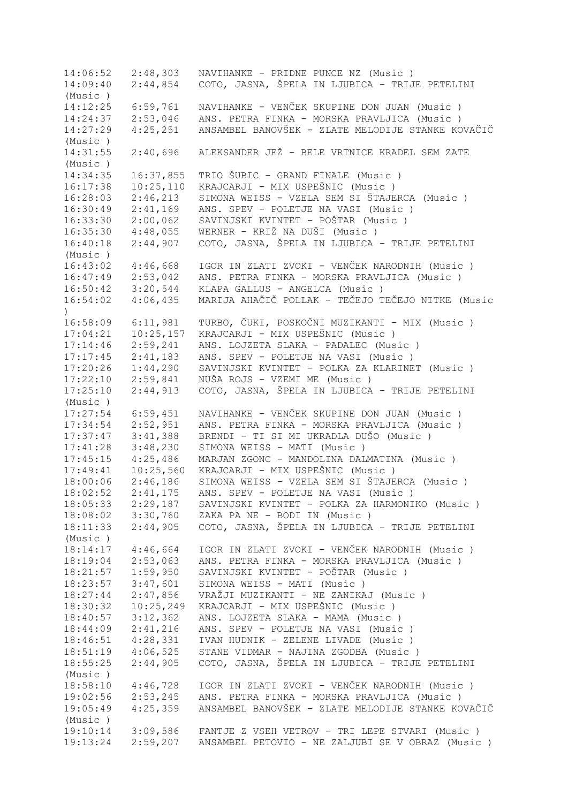14:06:52 2:48,303 NAVIHANKE - PRIDNE PUNCE NZ (Music ) 14:09:40 2:44,854 COTO, JASNA, ŠPELA IN LJUBICA - TRIJE PETELINI (Music ) 14:12:25 6:59,761 NAVIHANKE - VENČEK SKUPINE DON JUAN (Music ) 14:24:37 2:53,046 ANS. PETRA FINKA - MORSKA PRAVLJICA (Music ) 14:27:29 4:25,251 ANSAMBEL BANOVŠEK - ZLATE MELODIJE STANKE KOVAČIČ (Music ) 14:31:55 2:40,696 ALEKSANDER JEŽ - BELE VRTNICE KRADEL SEM ZATE (Music ) 14:34:35 16:37,855 TRIO ŠUBIC - GRAND FINALE (Music ) 16:17:38 10:25,110 KRAJCARJI - MIX USPEŠNIC (Music )<br>16:28:03 2:46,213 SIMONA WEISS - VZELA SEM SI ŠTAJE 16:28:03 2:46,213 SIMONA WEISS - VZELA SEM SI ŠTAJERCA (Music ) 16:30:49 2:41,169 ANS. SPEV - POLETJE NA VASI (Music ) 16:33:30 2:00,062 SAVINJSKI KVINTET - POŠTAR (Music ) 16:35:30 4:48,055 WERNER - KRIŽ NA DUŠI (Music ) 16:40:18 2:44,907 COTO, JASNA, ŠPELA IN LJUBICA - TRIJE PETELINI (Music ) 16:43:02 4:46,668 IGOR IN ZLATI ZVOKI - VENČEK NARODNIH (Music)<br>16:47:49 2:53,042 ANS. PETRA FINKA - MORSKA PRAVLJICA (Music) 16:47:49 2:53,042 ANS. PETRA FINKA - MORSKA PRAVLJICA (Music ) 16:50:42 3:20,544 KLAPA GALLUS - ANGELCA (Music ) 16:54:02 4:06,435 MARIJA AHAČIČ POLLAK - TEČEJO TEČEJO NITKE (Music ) 16:58:09 6:11,981 TURBO, ČUKI, POSKOČNI MUZIKANTI - MIX (Music ) 17:04:21 10:25,157 KRAJCARJI - MIX USPEŠNIC (Music ) 17:14:46 2:59,241 ANS. LOJZETA SLAKA - PADALEC (Music ) 17:17:45 2:41,183 ANS. SPEV - POLETJE NA VASI (Music ) 17:20:26 1:44,290 SAVINJSKI KVINTET - POLKA ZA KLARINET (Music)<br>17:22:10 2:59,841 NUŠA ROJS - VZEMI ME (Music) 17:22:10 2:59,841 NUŠA ROJS - VZEMI ME (Music ) 17:25:10 2:44,913 COTO, JASNA, ŠPELA IN LJUBICA - TRIJE PETELINI (Music ) 17:27:54 6:59,451 NAVIHANKE - VENČEK SKUPINE DON JUAN (Music ) 17:34:54 2:52,951 ANS. PETRA FINKA - MORSKA PRAVLJICA (Music ) 17:37:47 3:41,388 BRENDI - TI SI MI UKRADLA DUŠO (Music ) 17:41:28 3:48,230 SIMONA WEISS - MATI (Music ) 17:45:15 4:25,486 MARJAN ZGONC - MANDOLINA DALMATINA (Music ) 17:49:41 10:25,560 KRAJCARJI - MIX USPEŠNIC (Music ) 18:00:06 2:46,186 SIMONA WEISS - VZELA SEM SI ŠTAJERCA (Music ) 18:02:52 2:41,175 ANS. SPEV - POLETJE NA VASI (Music ) 18:05:33 2:29,187 SAVINJSKI KVINTET - POLKA ZA HARMONIKO (Music ) 18:08:02 3:30,760 ZAKA PA NE - BODI IN (Music ) 18:11:33 2:44,905 COTO, JASNA, ŠPELA IN LJUBICA - TRIJE PETELINI (Music ) 18:14:17 4:46,664 IGOR IN ZLATI ZVOKI - VENČEK NARODNIH (Music ) 18:19:04 2:53,063 ANS. PETRA FINKA - MORSKA PRAVLJICA (Music ) 18:21:57 1:59,950 SAVINJSKI KVINTET - POŠTAR (Music ) 18:23:57 3:47,601 SIMONA WEISS - MATI (Music ) 18:27:44 2:47,856 VRAŽJI MUZIKANTI - NE ZANIKAJ (Music ) 18:30:32 10:25,249 KRAJCARJI - MIX USPEŠNIC (Music ) 18:40:57 3:12,362 ANS. LOJZETA SLAKA - MAMA (Music ) 18:44:09 2:41,216 ANS. SPEV - POLETJE NA VASI (Music ) 18:46:51 4:28,331 IVAN HUDNIK - ZELENE LIVADE (Music ) 18:51:19 4:06,525 STANE VIDMAR - NAJINA ZGODBA (Music ) 18:55:25 2:44,905 COTO, JASNA, ŠPELA IN LJUBICA - TRIJE PETELINI (Music ) 18:58:10 4:46,728 IGOR IN ZLATI ZVOKI - VENČEK NARODNIH (Music ) 19:02:56 2:53,245 ANS. PETRA FINKA - MORSKA PRAVLJICA (Music ) 19:05:49 4:25,359 ANSAMBEL BANOVŠEK - ZLATE MELODIJE STANKE KOVAČIČ (Music ) 19:10:14 3:09,586 FANTJE Z VSEH VETROV - TRI LEPE STVARI (Music ) 19:13:24 2:59,207 ANSAMBEL PETOVIO - NE ZALJUBI SE V OBRAZ (Music )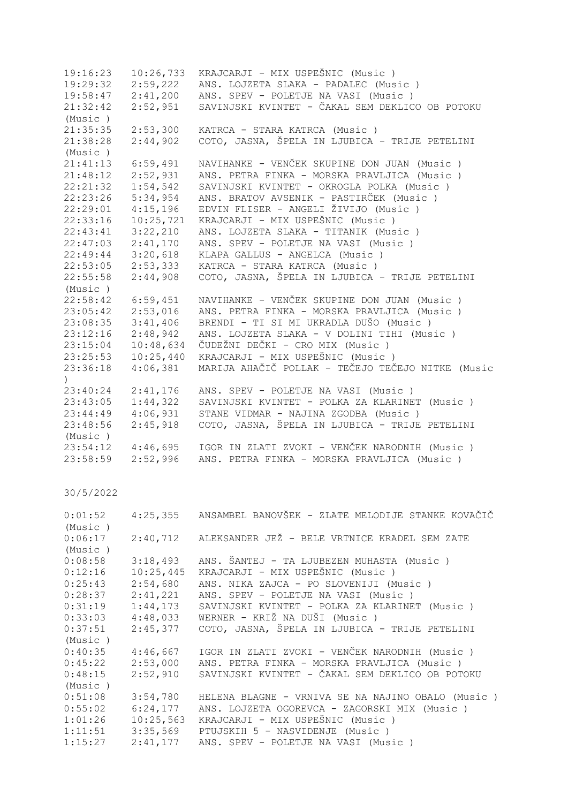| 10:26,733 | KRAJCARJI - MIX USPEŠNIC (Music)                  |
|-----------|---------------------------------------------------|
| 2:59,222  | ANS. LOJZETA SLAKA - PADALEC (Music)              |
| 2:41,200  | ANS. SPEV - POLETJE NA VASI (Music)               |
| 2:52,951  | SAVINJSKI KVINTET - ČAKAL SEM DEKLICO OB POTOKU   |
|           |                                                   |
| 2:53,300  | KATRCA - STARA KATRCA (Music)                     |
| 2:44,902  | COTO, JASNA, ŠPELA IN LJUBICA - TRIJE PETELINI    |
|           |                                                   |
| 6:59,491  | NAVIHANKE - VENČEK SKUPINE DON JUAN (Music)       |
| 2:52,931  | ANS. PETRA FINKA - MORSKA PRAVLJICA (Music)       |
| 1:54,542  | SAVINJSKI KVINTET - OKROGLA POLKA (Music )        |
| 5:34,954  | ANS. BRATOV AVSENIK - PASTIRČEK (Music )          |
| 4:15,196  | EDVIN FLISER - ANGELI ŽIVIJO (Music )             |
| 10:25,721 | KRAJCARJI - MIX USPEŠNIC (Music)                  |
| 3:22,210  | ANS. LOJZETA SLAKA - TITANIK (Music )             |
| 2:41,170  | ANS. SPEV - POLETJE NA VASI (Music)               |
| 3:20,618  | KLAPA GALLUS - ANGELCA (Music)                    |
| 2:53,333  | KATRCA - STARA KATRCA (Music)                     |
| 2:44,908  | COTO, JASNA, ŠPELA IN LJUBICA - TRIJE PETELINI    |
|           |                                                   |
| 6:59,451  | NAVIHANKE - VENČEK SKUPINE DON JUAN (Music)       |
| 2:53,016  | ANS. PETRA FINKA - MORSKA PRAVLJICA (Music)       |
| 3:41,406  | BRENDI - TI SI MI UKRADLA DUŠO (Music )           |
| 2:48,942  | ANS. LOJZETA SLAKA - V DOLINI TIHI (Music)        |
| 10:48,634 | ČUDEŽNI DEČKI - CRO MIX (Music )                  |
| 10:25,440 | KRAJCARJI - MIX USPEŠNIC (Music)                  |
| 4:06,381  | MARIJA AHAČIČ POLLAK - TEČEJO TEČEJO NITKE (Music |
|           |                                                   |
| 2:41,176  | ANS. SPEV - POLETJE NA VASI (Music)               |
|           | SAVINJSKI KVINTET - POLKA ZA KLARINET (Music )    |
| 4:06,931  | STANE VIDMAR - NAJINA ZGODBA (Music)              |
| 2:45,918  | COTO, JASNA, ŠPELA IN LJUBICA - TRIJE PETELINI    |
|           |                                                   |
| 4:46,695  | IGOR IN ZLATI ZVOKI - VENČEK NARODNIH (Music )    |
| 2:52,996  | ANS. PETRA FINKA - MORSKA PRAVLJICA (Music )      |
|           | 1:44,322                                          |

| 0:01:52              |           | 4:25,355 ANSAMBEL BANOVŠEK - ZLATE MELODIJE STANKE KOVAČIČ       |
|----------------------|-----------|------------------------------------------------------------------|
| (Music)              |           |                                                                  |
|                      |           | 0:06:17  2:40,712  ALEKSANDER JEŽ - BELE VRTNICE KRADEL SEM ZATE |
| (Music)              |           |                                                                  |
| 0:08:58              | 3:18,493  | ANS. ŠANTEJ - TA LJUBEZEN MUHASTA (Music)                        |
| 0:12:16              | 10:25,445 | KRAJCARJI - MIX USPEŠNIC (Music)                                 |
| 0:25:43              | 2:54,680  | ANS. NIKA ZAJCA - PO SLOVENIJI (Music)                           |
| $0:28:37$ $2:41,221$ |           | ANS. SPEV - POLETJE NA VASI (Music)                              |
| 0:31:19              | 1:44,173  | SAVINJSKI KVINTET - POLKA ZA KLARINET (Music )                   |
| 0:33:03              | 4:48,033  | WERNER - KRIŽ NA DUŠI (Music)                                    |
| 0:37:51              | 2:45,377  | COTO, JASNA, ŠPELA IN LJUBICA - TRIJE PETELINI                   |
| (Music)              |           |                                                                  |
| 0:40:35              | 4:46,667  | IGOR IN ZLATI ZVOKI - VENČEK NARODNIH (Music )                   |
| 0:45:22              | 2:53,000  | ANS. PETRA FINKA - MORSKA PRAVLJICA (Music)                      |
| 0:48:15              | 2:52,910  | SAVINJSKI KVINTET - ČAKAL SEM DEKLICO OB POTOKU                  |
| (Music)              |           |                                                                  |
| 0:51:08              | 3:54,780  | HELENA BLAGNE - VRNIVA SE NA NAJINO OBALO (Music)                |
| 0:55:02              | 6:24,177  | ANS. LOJZETA OGOREVCA - ZAGORSKI MIX (Music)                     |
| 1:01:26              | 10:25,563 | KRAJCARJI - MIX USPEŠNIC (Music)                                 |
| 1:11:51              | 3:35,569  | PTUJSKIH 5 - NASVIDENJE (Music )                                 |
| 1:15:27              | 2:41,177  | ANS. SPEV - POLETJE NA VASI (Music)                              |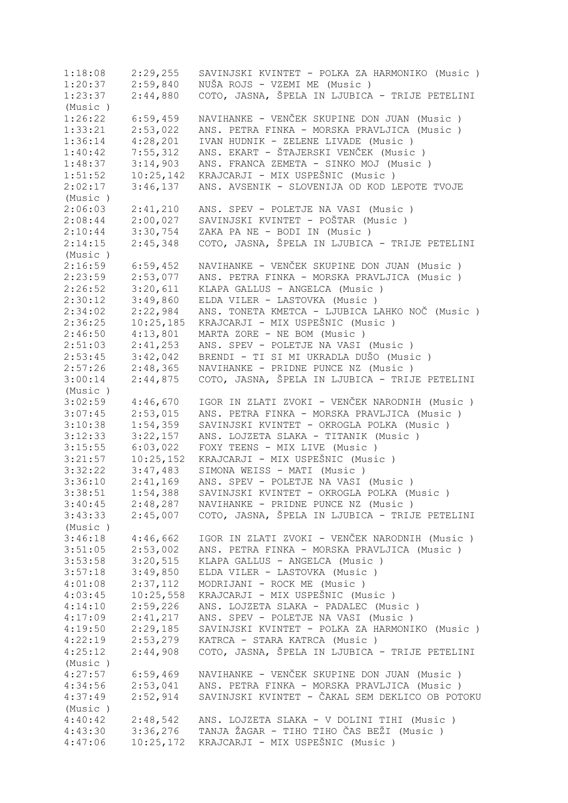1:18:08 2:29,255 SAVINJSKI KVINTET - POLKA ZA HARMONIKO (Music ) 1:20:37 2:59,840 NUŠA ROJS - VZEMI ME (Music )<br>1:23:37 2:44,880 COTO, JASNA, ŠPELA IN LJUBICA 1:23:37 2:44,880 COTO, JASNA, ŠPELA IN LJUBICA - TRIJE PETELINI (Music ) 1:26:22 6:59,459 NAVIHANKE - VENČEK SKUPINE DON JUAN (Music ) 1:33:21 2:53,022 ANS. PETRA FINKA - MORSKA PRAVLJICA (Music ) 1:36:14 4:28,201 IVAN HUDNIK - ZELENE LIVADE (Music ) 1:40:42 7:55,312 ANS. EKART - ŠTAJERSKI VENČEK (Music ) 1:48:37 3:14,903 ANS. FRANCA ZEMETA - SINKO MOJ (Music ) 1:51:52 10:25,142 KRAJCARJI - MIX USPEŠNIC (Music ) 2:02:17 3:46,137 ANS. AVSENIK - SLOVENIJA OD KOD LEPOTE TVOJE (Music ) 2:06:03 2:41,210 ANS. SPEV - POLETJE NA VASI (Music ) 2:08:44 2:00,027 SAVINJSKI KVINTET - POŠTAR (Music)<br>2:10:44 3:30,754 ZAKA PA NE - BODI IN (Music) 2:10:44 3:30,754 ZAKA PA NE - BODI IN (Music ) 2:14:15 2:45,348 COTO, JASNA, ŠPELA IN LJUBICA - TRIJE PETELINI (Music ) 2:16:59 6:59,452 NAVIHANKE - VENČEK SKUPINE DON JUAN (Music)<br>2:23:59 2:53,077 ANS. PETRA FINKA - MORSKA PRAVLJICA (Music) 2:23:59 2:53,077 ANS. PETRA FINKA - MORSKA PRAVLJICA (Music ) 2:26:52 3:20,611 KLAPA GALLUS - ANGELCA (Music)<br>2:30:12 3:49,860 ELDA VILER - LASTOVKA (Music) 2:30:12 3:49,860 ELDA VILER - LASTOVKA (Music ) 2:34:02 2:22,984 ANS. TONETA KMETCA - LJUBICA LAHKO NOČ (Music)<br>2:36:25 10:25,185 KRAJCARJI - MIX USPEŠNIC (Music) 2:36:25 10:25,185 KRAJCARJI - MIX USPEŠNIC (Music ) 2:46:50 4:13,801 MARTA ZORE - NE BOM (Music ) 2:51:03 2:41,253 ANS. SPEV - POLETJE NA VASI (Music ) 2:53:45 3:42,042 BRENDI - TI SI MI UKRADLA DUŠO (Music ) 2:57:26 2:48,365 NAVIHANKE - PRIDNE PUNCE NZ (Music ) 3:00:14 2:44,875 COTO, JASNA, ŠPELA IN LJUBICA - TRIJE PETELINI (Music ) 3:02:59 4:46,670 IGOR IN ZLATI ZVOKI - VENČEK NARODNIH (Music ) 3:07:45 2:53,015 ANS. PETRA FINKA - MORSKA PRAVLJICA (Music ) 3:10:38 1:54,359 SAVINJSKI KVINTET - OKROGLA POLKA (Music ) 3:12:33 3:22,157 ANS. LOJZETA SLAKA - TITANIK (Music ) 3:15:55 6:03,022 FOXY TEENS - MIX LIVE (Music ) 3:21:57 10:25,152 KRAJCARJI - MIX USPEŠNIC (Music)<br>3:32:22 3:47,483 SIMONA WEISS - MATI (Music) 3:32:22 3:47,483 SIMONA WEISS - MATI (Music ) 3:36:10 2:41,169 ANS. SPEV - POLETJE NA VASI (Music ) 3:38:51 1:54,388 SAVINJSKI KVINTET - OKROGLA POLKA (Music ) 3:40:45 2:48,287 NAVIHANKE - PRIDNE PUNCE NZ (Music ) 3:43:33 2:45,007 COTO, JASNA, ŠPELA IN LJUBICA - TRIJE PETELINI (Music ) 3:46:18 4:46,662 IGOR IN ZLATI ZVOKI - VENČEK NARODNIH (Music ) 3:51:05 2:53,002 ANS. PETRA FINKA - MORSKA PRAVLJICA (Music ) 3:53:58 3:20,515 KLAPA GALLUS - ANGELCA (Music)<br>3:57:18 3:49.850 ELDA VILER - LASTOVEA (Music) 3:57:18 3:49,850 ELDA VILER - LASTOVKA (Music ) 4:01:08 2:37,112 MODRIJANI - ROCK ME (Music ) 4:03:45 10:25,558 KRAJCARJI - MIX USPEŠNIC (Music)<br>4:14:10 2:59,226 ANS. LOJZETA SLAKA - PADALEC (Mus 4:14:10 2:59,226 ANS. LOJZETA SLAKA - PADALEC (Music ) 4:17:09 2:41,217 ANS. SPEV - POLETJE NA VASI (Music ) 4:19:50 2:29,185 SAVINJSKI KVINTET - POLKA ZA HARMONIKO (Music ) 4:22:19 2:53,279 KATRCA - STARA KATRCA (Music ) 4:25:12 2:44,908 COTO, JASNA, ŠPELA IN LJUBICA - TRIJE PETELINI (Music ) 4:27:57 6:59,469 NAVIHANKE - VENČEK SKUPINE DON JUAN (Music ) 4:34:56 2:53,041 ANS. PETRA FINKA - MORSKA PRAVLJICA (Music ) 4:37:49 2:52,914 SAVINJSKI KVINTET - ČAKAL SEM DEKLICO OB POTOKU (Music ) 4:40:42 2:48,542 ANS. LOJZETA SLAKA - V DOLINI TIHI (Music ) 4:43:30 3:36,276 TANJA ŽAGAR - TIHO TIHO ČAS BEŽI (Music ) 4:47:06 10:25,172 KRAJCARJI - MIX USPEŠNIC (Music )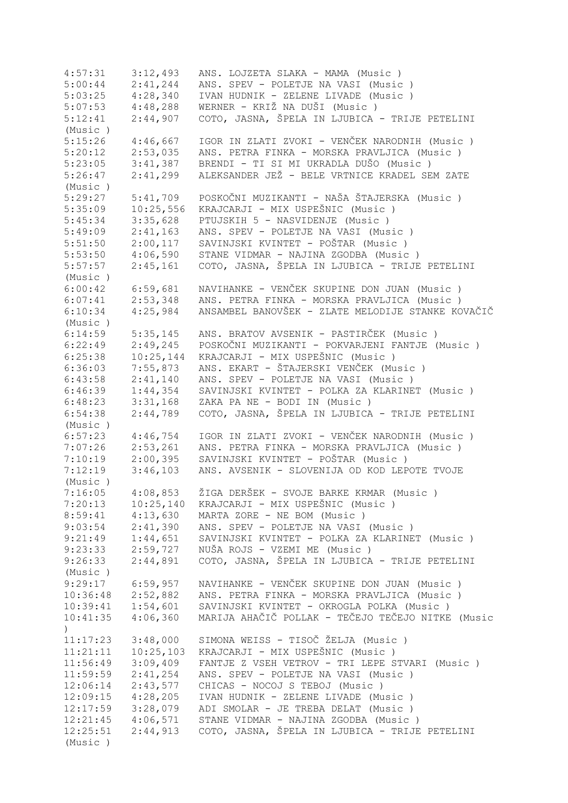4:57:31 3:12,493 ANS. LOJZETA SLAKA - MAMA (Music ) 5:00:44 2:41,244 ANS. SPEV - POLETJE NA VASI (Music ) 5:03:25 4:28,340 IVAN HUDNIK - ZELENE LIVADE (Music ) 5:07:53 4:48,288 WERNER - KRIŽ NA DUŠI (Music ) 5:12:41 2:44,907 COTO, JASNA, ŠPELA IN LJUBICA - TRIJE PETELINI (Music ) 5:15:26 4:46,667 IGOR IN ZLATI ZVOKI - VENČEK NARODNIH (Music )<br>5:20:12 2:53,035 ANS. PETRA FINKA - MORSKA PRAVLJICA (Music ) 5:20:12 2:53,035 ANS. PETRA FINKA - MORSKA PRAVLJICA (Music ) 5:23:05 3:41,387 BRENDI - TI SI MI UKRADLA DUŠO (Music )<br>5:26:47 2:41,299 ALEKSANDER JEŽ - BELE VRTNICE KRADEL SE 5:26:47 2:41,299 ALEKSANDER JEŽ - BELE VRTNICE KRADEL SEM ZATE (Music ) 5:29:27 5:41,709 POSKOČNI MUZIKANTI - NAŠA ŠTAJERSKA (Music ) 5:35:09 10:25,556 KRAJCARJI - MIX USPEŠNIC (Music ) 5:45:34 3:35,628 PTUJSKIH 5 - NASVIDENJE (Music ) 5:49:09 2:41,163 ANS. SPEV - POLETJE NA VASI (Music ) 5:51:50 2:00,117 SAVINJSKI KVINTET - POŠTAR (Music ) 5:53:50 4:06,590 STANE VIDMAR - NAJINA ZGODBA (Music ) 5:57:57 2:45,161 COTO, JASNA, ŠPELA IN LJUBICA - TRIJE PETELINI (Music ) 6:00:42 6:59,681 NAVIHANKE - VENČEK SKUPINE DON JUAN (Music ) 6:07:41 2:53,348 ANS. PETRA FINKA - MORSKA PRAVLJICA (Music ) 6:10:34 4:25,984 ANSAMBEL BANOVŠEK - ZLATE MELODIJE STANKE KOVAČIČ (Music ) 6:14:59 5:35,145 ANS. BRATOV AVSENIK - PASTIRČEK (Music ) 6:22:49 2:49,245 POSKOČNI MUZIKANTI - POKVARJENI FANTJE (Music ) 6:25:38 10:25,144 KRAJCARJI - MIX USPEŠNIC (Music ) 6:36:03 7:55,873 ANS. EKART - ŠTAJERSKI VENČEK (Music ) 6:43:58 2:41,140 ANS. SPEV - POLETJE NA VASI (Music ) 6:46:39 1:44,354 SAVINJSKI KVINTET - POLKA ZA KLARINET (Music ) 6:48:23 3:31,168 ZAKA PA NE - BODI IN (Music ) 6:54:38 2:44,789 COTO, JASNA, ŠPELA IN LJUBICA - TRIJE PETELINI (Music ) 6:57:23 4:46,754 IGOR IN ZLATI ZVOKI - VENČEK NARODNIH (Music ) 2:53,261 ANS. PETRA FINKA - MORSKA PRAVLJICA (Music ) 7:10:19 2:00,395 SAVINJSKI KVINTET - POŠTAR (Music ) 7:12:19 3:46,103 ANS. AVSENIK - SLOVENIJA OD KOD LEPOTE TVOJE (Music ) 7:16:05 4:08,853 ŽIGA DERŠEK - SVOJE BARKE KRMAR (Music ) 7:20:13 10:25,140 KRAJCARJI - MIX USPEŠNIC (Music ) 8:59:41 4:13,630 MARTA ZORE - NE BOM (Music ) 9:03:54 2:41,390 ANS. SPEV - POLETJE NA VASI (Music ) 9:21:49 1:44,651 SAVINJSKI KVINTET - POLKA ZA KLARINET (Music ) 9:23:33 2:59,727 NUŠA ROJS - VZEMI ME (Music ) 9:26:33 2:44,891 COTO, JASNA, ŠPELA IN LJUBICA - TRIJE PETELINI (Music ) 9:29:17 6:59,957 NAVIHANKE - VENČEK SKUPINE DON JUAN (Music ) 10:36:48 2:52,882 ANS. PETRA FINKA - MORSKA PRAVLJICA (Music ) 10:39:41 1:54,601 SAVINJSKI KVINTET - OKROGLA POLKA (Music ) 10:41:35 4:06,360 MARIJA AHAČIČ POLLAK - TEČEJO TEČEJO NITKE (Music ) 11:17:23 3:48,000 SIMONA WEISS - TISOČ ŽELJA (Music ) 11:21:11 10:25,103 KRAJCARJI - MIX USPEŠNIC (Music)<br>11:56:49 3:09,409 FANTJE Z VSEH VETROV - TRI LEPE S 11:56:49 3:09,409 FANTJE Z VSEH VETROV - TRI LEPE STVARI (Music ) 11:59:59 2:41,254 ANS. SPEV - POLETJE NA VASI (Music ) 12:06:14 2:43,577 CHICAS - NOCOJ S TEBOJ (Music ) 12:09:15 4:28,205 IVAN HUDNIK - ZELENE LIVADE (Music ) 12:17:59 3:28,079 ADI SMOLAR - JE TREBA DELAT (Music ) 12:21:45 4:06,571 STANE VIDMAR - NAJINA ZGODBA (Music ) 12:25:51 2:44,913 COTO, JASNA, ŠPELA IN LJUBICA - TRIJE PETELINI (Music )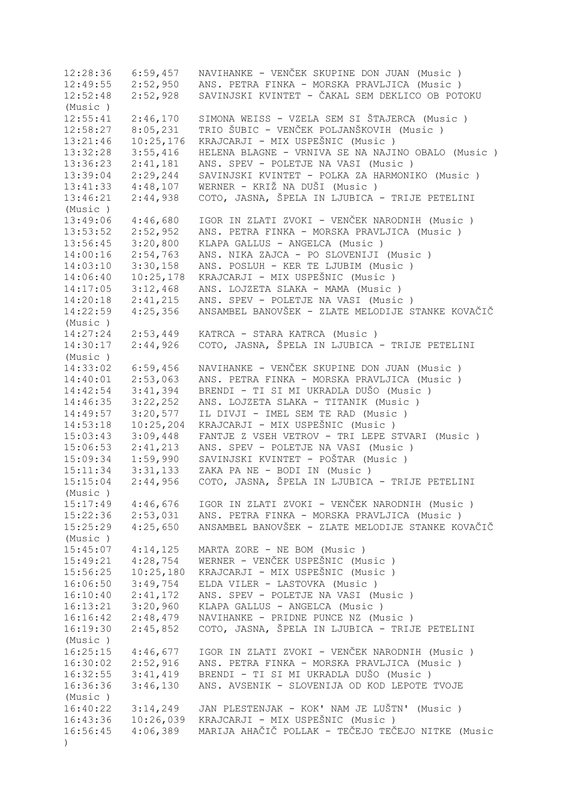12:28:36 6:59,457 NAVIHANKE - VENČEK SKUPINE DON JUAN (Music ) 12:49:55 2:52,950 ANS. PETRA FINKA - MORSKA PRAVLJICA (Music ) 12:52:48 2:52,928 SAVINJSKI KVINTET - ČAKAL SEM DEKLICO OB POTOKU (Music ) 12:55:41 2:46,170 SIMONA WEISS - VZELA SEM SI ŠTAJERCA (Music ) 12:58:27 8:05,231 TRIO ŠUBIC - VENČEK POLJANŠKOVIH (Music ) 13:21:46 10:25,176 KRAJCARJI - MIX USPEŠNIC (Music ) 13:32:28 3:55,416 HELENA BLAGNE - VRNIVA SE NA NAJINO OBALO (Music ) 13:36:23 2:41,181 ANS. SPEV - POLETJE NA VASI (Music ) 13:39:04 2:29,244 SAVINJSKI KVINTET - POLKA ZA HARMONIKO (Music ) 13:41:33 4:48,107 WERNER - KRIŽ NA DUŠI (Music ) 13:46:21 2:44,938 COTO, JASNA, ŠPELA IN LJUBICA - TRIJE PETELINI (Music ) 13:49:06 4:46,680 IGOR IN ZLATI ZVOKI - VENČEK NARODNIH (Music ) 13:53:52 2:52,952 ANS. PETRA FINKA - MORSKA PRAVLJICA (Music ) 13:56:45 3:20,800 KLAPA GALLUS - ANGELCA (Music ) 14:00:16 2:54,763 ANS. NIKA ZAJCA - PO SLOVENIJI (Music ) 14:03:10 3:30,158 ANS. POSLUH - KER TE LJUBIM (Music ) 14:06:40 10:25,178 KRAJCARJI - MIX USPEŠNIC (Music ) 14:17:05 3:12,468 ANS. LOJZETA SLAKA - MAMA (Music ) 14:20:18 2:41,215 ANS. SPEV - POLETJE NA VASI (Music ) 14:22:59 4:25,356 ANSAMBEL BANOVŠEK - ZLATE MELODIJE STANKE KOVAČIČ (Music ) 14:27:24 2:53,449 KATRCA - STARA KATRCA (Music ) 14:30:17 2:44,926 COTO, JASNA, ŠPELA IN LJUBICA - TRIJE PETELINI (Music ) 14:33:02 6:59,456 NAVIHANKE - VENČEK SKUPINE DON JUAN (Music ) 14:40:01 2:53,063 ANS. PETRA FINKA - MORSKA PRAVLJICA (Music ) 14:42:54 3:41,394 BRENDI - TI SI MI UKRADLA DUŠO (Music ) 14:46:35 3:22,252 ANS. LOJZETA SLAKA - TITANIK (Music ) 14:49:57 3:20,577 IL DIVJI - IMEL SEM TE RAD (Music ) 14:53:18 10:25,204 KRAJCARJI - MIX USPEŠNIC (Music ) 15:03:43 3:09,448 FANTJE Z VSEH VETROV - TRI LEPE STVARI (Music ) 15:06:53 2:41,213 ANS. SPEV - POLETJE NA VASI (Music ) 15:09:34 1:59,990 SAVINJSKI KVINTET - POŠTAR (Music ) 15:11:34 3:31,133 ZAKA PA NE - BODI IN (Music ) 15:15:04 2:44,956 COTO, JASNA, ŠPELA IN LJUBICA - TRIJE PETELINI (Music ) 15:17:49 4:46,676 IGOR IN ZLATI ZVOKI - VENČEK NARODNIH (Music ) 15:22:36 2:53,031 ANS. PETRA FINKA - MORSKA PRAVLJICA (Music ) 15:25:29 4:25,650 ANSAMBEL BANOVŠEK - ZLATE MELODIJE STANKE KOVAČIČ (Music ) 15:45:07 4:14,125 MARTA ZORE - NE BOM (Music ) 15:49:21 4:28,754 WERNER - VENČEK USPEŠNIC (Music ) 15:56:25 10:25,180 KRAJCARJI - MIX USPEŠNIC (Music ) 16:06:50 3:49,754 ELDA VILER - LASTOVKA (Music ) 16:10:40 2:41,172 ANS. SPEV - POLETJE NA VASI (Music ) 16:13:21 3:20,960 KLAPA GALLUS - ANGELCA (Music ) 16:16:42 2:48,479 NAVIHANKE - PRIDNE PUNCE NZ (Music ) 16:19:30 2:45,852 COTO, JASNA, ŠPELA IN LJUBICA - TRIJE PETELINI (Music ) 16:25:15 4:46,677 IGOR IN ZLATI ZVOKI - VENČEK NARODNIH (Music)<br>16:30:02 2:52,916 ANS. PETRA FINKA - MORSKA PRAVLJICA (Music) ANS. PETRA FINKA - MORSKA PRAVLJICA (Music ) 16:32:55 3:41,419 BRENDI - TI SI MI UKRADLA DUŠO (Music ) 16:36:36 3:46,130 ANS. AVSENIK - SLOVENIJA OD KOD LEPOTE TVOJE (Music ) 16:40:22 3:14,249 JAN PLESTENJAK - KOK' NAM JE LUŠTN' (Music ) 16:43:36 10:26,039 KRAJCARJI - MIX USPEŠNIC (Music ) 16:56:45 4:06,389 MARIJA AHAČIČ POLLAK - TEČEJO TEČEJO NITKE (Music )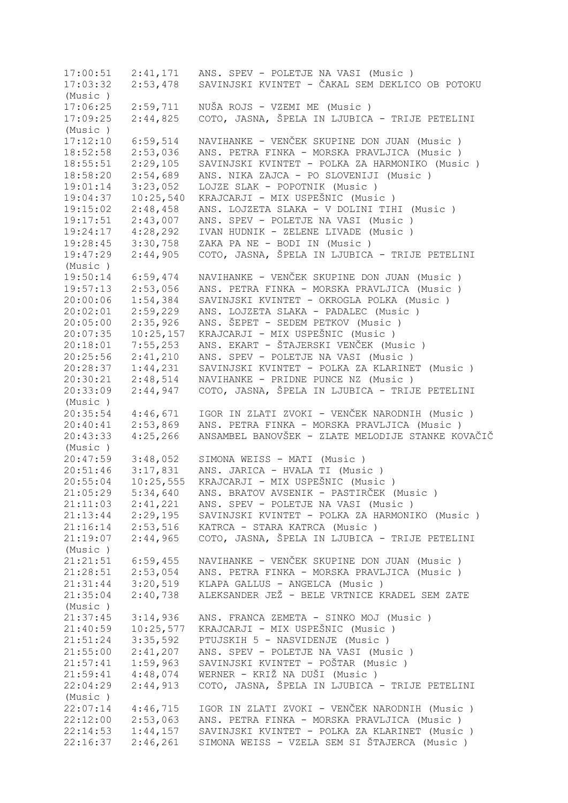17:00:51 2:41,171 ANS. SPEV - POLETJE NA VASI (Music ) 17:03:32 2:53,478 SAVINJSKI KVINTET - ČAKAL SEM DEKLICO OB POTOKU (Music ) 17:06:25 2:59,711 NUŠA ROJS - VZEMI ME (Music ) 17:09:25 2:44,825 COTO, JASNA, ŠPELA IN LJUBICA - TRIJE PETELINI (Music ) 17:12:10 6:59,514 NAVIHANKE - VENČEK SKUPINE DON JUAN (Music ) 18:52:58 2:53,036 ANS. PETRA FINKA - MORSKA PRAVLJICA (Music ) 18:55:51 2:29,105 SAVINJSKI KVINTET - POLKA ZA HARMONIKO (Music ) 18:58:20 2:54,689 ANS. NIKA ZAJCA - PO SLOVENIJI (Music ) 19:01:14 3:23,052 LOJZE SLAK - POPOTNIK (Music ) 19:04:37 10:25,540 KRAJCARJI - MIX USPEŠNIC (Music ) 19:15:02 2:48,458 ANS. LOJZETA SLAKA - V DOLINI TIHI (Music ) 19:17:51 2:43,007 ANS. SPEV - POLETJE NA VASI (Music ) 19:24:17 4:28,292 IVAN HUDNIK - ZELENE LIVADE (Music ) 19:28:45 3:30,758 ZAKA PA NE - BODI IN (Music ) 19:47:29 2:44,905 COTO, JASNA, ŠPELA IN LJUBICA - TRIJE PETELINI (Music ) 19:50:14 6:59,474 NAVIHANKE - VENČEK SKUPINE DON JUAN (Music)<br>19:57:13 2:53,056 ANS. PETRA FINKA - MORSKA PRAVLJICA (Music) 2:53,056 ANS. PETRA FINKA - MORSKA PRAVLJICA (Music ) 20:00:06 1:54,384 SAVINJSKI KVINTET - OKROGLA POLKA (Music ) 20:02:01 2:59,229 ANS. LOJZETA SLAKA - PADALEC (Music ) 20:05:00 2:35,926 ANS. ŠEPET - SEDEM PETKOV (Music ) 20:07:35 10:25,157 KRAJCARJI - MIX USPEŠNIC (Music ) 20:18:01 7:55,253 ANS. EKART - ŠTAJERSKI VENČEK (Music ) 20:25:56 2:41,210 ANS. SPEV - POLETJE NA VASI (Music ) 20:28:37 1:44,231 SAVINJSKI KVINTET - POLKA ZA KLARINET (Music ) 2:48,514 NAVIHANKE - PRIDNE PUNCE NZ (Music ) 20:33:09 2:44,947 COTO, JASNA, ŠPELA IN LJUBICA - TRIJE PETELINI (Music ) 20:35:54 4:46,671 IGOR IN ZLATI ZVOKI - VENČEK NARODNIH (Music ) 20:40:41 2:53,869 ANS. PETRA FINKA - MORSKA PRAVLJICA (Music ) 20:43:33 4:25,266 ANSAMBEL BANOVŠEK - ZLATE MELODIJE STANKE KOVAČIČ (Music ) 20:47:59 3:48,052 SIMONA WEISS - MATI (Music ) 20:51:46 3:17,831 ANS. JARICA - HVALA TI (Music ) 20:55:04 10:25,555 KRAJCARJI - MIX USPEŠNIC (Music ) 21:05:29 5:34,640 ANS. BRATOV AVSENIK - PASTIRČEK (Music ) 21:11:03 2:41,221 ANS. SPEV - POLETJE NA VASI (Music ) 21:13:44 2:29,195 SAVINJSKI KVINTET - POLKA ZA HARMONIKO (Music ) 21:16:14 2:53,516 KATRCA - STARA KATRCA (Music ) 21:19:07 2:44,965 COTO, JASNA, ŠPELA IN LJUBICA - TRIJE PETELINI (Music ) 21:21:51 6:59,455 NAVIHANKE - VENČEK SKUPINE DON JUAN (Music ) 21:28:51 2:53,054 ANS. PETRA FINKA - MORSKA PRAVLJICA (Music ) 21:31:44 3:20,519 KLAPA GALLUS - ANGELCA (Music ) 21:35:04 2:40,738 ALEKSANDER JEŽ - BELE VRTNICE KRADEL SEM ZATE (Music ) 21:37:45 3:14,936 ANS. FRANCA ZEMETA - SINKO MOJ (Music ) 21:40:59 10:25,577 KRAJCARJI - MIX USPEŠNIC (Music ) 21:51:24 3:35,592 PTUJSKIH 5 - NASVIDENJE (Music ) 21:55:00 2:41,207 ANS. SPEV - POLETJE NA VASI (Music ) 21:57:41 1:59,963 SAVINJSKI KVINTET - POŠTAR (Music ) 21:59:41 4:48,074 WERNER - KRIŽ NA DUŠI (Music ) 22:04:29 2:44,913 COTO, JASNA, ŠPELA IN LJUBICA - TRIJE PETELINI (Music ) 22:07:14 4:46,715 IGOR IN ZLATI ZVOKI - VENČEK NARODNIH (Music ) 22:12:00 2:53,063 ANS. PETRA FINKA - MORSKA PRAVLJICA (Music ) 22:14:53 1:44,157 SAVINJSKI KVINTET - POLKA ZA KLARINET (Music ) 22:16:37 2:46,261 SIMONA WEISS - VZELA SEM SI ŠTAJERCA (Music )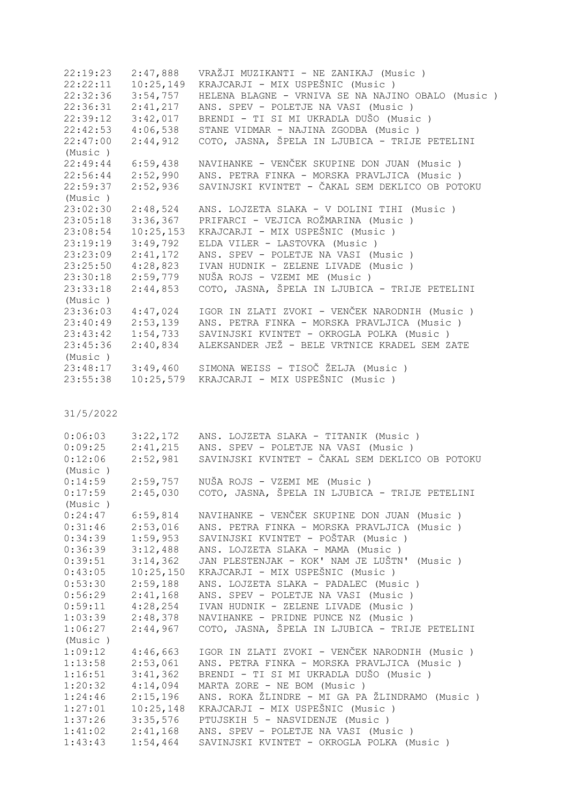22:19:23 2:47,888 VRAŽJI MUZIKANTI - NE ZANIKAJ (Music)<br>22:22:11 10:25,149 KRAJCARJI - MIX USPEŠNIC (Music) 22:22:11 10:25,149 KRAJCARJI - MIX USPEŠNIC (Music ) 22:32:36 3:54,757 HELENA BLAGNE - VRNIVA SE NA NAJINO OBALO (Music ) 22:36:31 2:41,217 ANS. SPEV - POLETJE NA VASI (Music ) 22:39:12 3:42,017 BRENDI - TI SI MI UKRADLA DUŠO (Music ) 22:42:53 4:06,538 STANE VIDMAR - NAJINA ZGODBA (Music ) 22:47:00 2:44,912 COTO, JASNA, ŠPELA IN LJUBICA - TRIJE PETELINI (Music )  $22:49:44$  6:59.438 NAVIHANKE - VENČEK SKUPINE DON JUAN (Music) 22:56:44 2:52,990 ANS. PETRA FINKA - MORSKA PRAVLJICA (Music ) 22:59:37 2:52,936 SAVINJSKI KVINTET - ČAKAL SEM DEKLICO OB POTOKU (Music ) 23:02:30 2:48,524 ANS. LOJZETA SLAKA - V DOLINI TIHI (Music ) 23:05:18 3:36,367 PRIFARCI - VEJICA ROŽMARINA (Music ) 23:08:54 10:25,153 KRAJCARJI - MIX USPEŠNIC (Music ) 23:19:19 3:49,792 ELDA VILER - LASTOVKA (Music ) 23:23:09 2:41,172 ANS. SPEV - POLETJE NA VASI (Music ) 23:25:50 4:28,823 IVAN HUDNIK - ZELENE LIVADE (Music ) 23:30:18 2:59,779 NUŠA ROJS - VZEMI ME (Music ) 23:33:18 2:44,853 COTO, JASNA, ŠPELA IN LJUBICA - TRIJE PETELINI (Music ) 23:36:03 4:47,024 IGOR IN ZLATI ZVOKI - VENČEK NARODNIH (Music ) 23:40:49 2:53,139 ANS. PETRA FINKA - MORSKA PRAVLJICA (Music ) 23:43:42 1:54,733 SAVINJSKI KVINTET - OKROGLA POLKA (Music ) 23:45:36 2:40,834 ALEKSANDER JEŽ - BELE VRTNICE KRADEL SEM ZATE (Music ) 23:48:17 3:49,460 SIMONA WEISS - TISOČ ŽELJA (Music ) 23:55:38 10:25,579 KRAJCARJI - MIX USPEŠNIC (Music )

| 0:06:03 | 3:22,172  | ANS. LOJZETA SLAKA - TITANIK (Music )           |
|---------|-----------|-------------------------------------------------|
| 0:09:25 | 2:41,215  | ANS. SPEV - POLETJE NA VASI (Music )            |
| 0:12:06 | 2:52,981  | SAVINJSKI KVINTET - ČAKAL SEM DEKLICO OB POTOKU |
| (Music) |           |                                                 |
| 0:14:59 | 2:59,757  | NUŠA ROJS - VZEMI ME (Music)                    |
| 0:17:59 | 2:45,030  | COTO, JASNA, ŠPELA IN LJUBICA - TRIJE PETELINI  |
| (Music) |           |                                                 |
| 0:24:47 | 6:59,814  | NAVIHANKE - VENČEK SKUPINE DON JUAN (Music)     |
| 0:31:46 | 2:53,016  | ANS. PETRA FINKA - MORSKA PRAVLJICA (Music )    |
| 0:34:39 | 1:59,953  | SAVINJSKI KVINTET - POŠTAR (Music )             |
| 0:36:39 | 3:12,488  | ANS. LOJZETA SLAKA - MAMA (Music)               |
| 0:39:51 | 3:14,362  | JAN PLESTENJAK - KOK' NAM JE LUŠTN' (Music )    |
| 0:43:05 | 10:25,150 | KRAJCARJI - MIX USPEŠNIC (Music)                |
| 0:53:30 | 2:59,188  | ANS. LOJZETA SLAKA - PADALEC (Music)            |
| 0:56:29 | 2:41,168  | ANS. SPEV - POLETJE NA VASI (Music )            |
| 0:59:11 | 4:28,254  | IVAN HUDNIK - ZELENE LIVADE (Music)             |
| 1:03:39 | 2:48,378  | NAVIHANKE - PRIDNE PUNCE NZ (Music)             |
| 1:06:27 | 2:44,967  | COTO, JASNA, ŠPELA IN LJUBICA - TRIJE PETELINI  |
| (Music) |           |                                                 |
| 1:09:12 | 4:46,663  | IGOR IN ZLATI ZVOKI - VENČEK NARODNIH (Music )  |
| 1:13:58 | 2:53,061  | ANS. PETRA FINKA - MORSKA PRAVLJICA (Music )    |
| 1:16:51 | 3:41,362  | BRENDI - TI SI MI UKRADLA DUŠO (Music )         |
| 1:20:32 | 4:14,094  | MARTA ZORE - NE BOM (Music)                     |
| 1:24:46 | 2:15,196  | ANS. ROKA ŽLINDRE - MI GA PA ŽLINDRAMO (Music ) |
| 1:27:01 | 10:25,148 | KRAJCARJI - MIX USPEŠNIC (Music)                |
| 1:37:26 | 3:35,576  | PTUJSKIH 5 - NASVIDENJE (Music)                 |
| 1:41:02 | 2:41,168  | ANS. SPEV - POLETJE NA VASI (Music)             |
| 1:43:43 | 1:54,464  | SAVINJSKI KVINTET - OKROGLA POLKA (Music )      |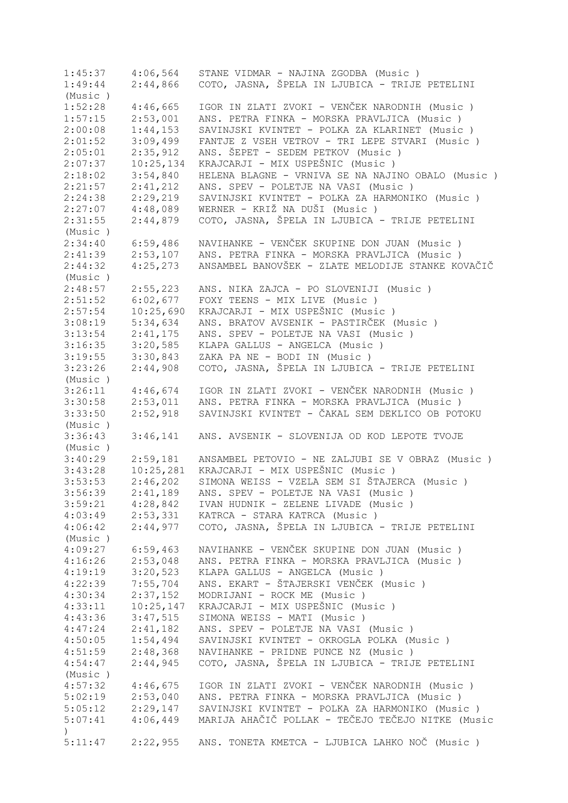1:45:37 4:06,564 STANE VIDMAR - NAJINA ZGODBA (Music ) 1:49:44 2:44,866 COTO, JASNA, ŠPELA IN LJUBICA - TRIJE PETELINI (Music ) 1:52:28 4:46,665 IGOR IN ZLATI ZVOKI - VENČEK NARODNIH (Music ) 1:57:15 2:53,001 ANS. PETRA FINKA - MORSKA PRAVLJICA (Music ) 2:00:08 1:44,153 SAVINJSKI KVINTET - POLKA ZA KLARINET (Music ) 2:01:52 3:09,499 FANTJE Z VSEH VETROV - TRI LEPE STVARI (Music ) 2:05:01 2:35,912 ANS. ŠEPET - SEDEM PETKOV (Music)<br>2:07:37 10:25,134 KRAJCARJI - MIX USPEŠNIC (Music) 2:07:37 10:25,134 KRAJCARJI - MIX USPEŠNIC (Music )<br>2:18:02 3:54,840 HELENA BLAGNE - VRNIVA SE NA NAJI 2:18:02 3:54,840 HELENA BLAGNE - VRNIVA SE NA NAJINO OBALO (Music ) 2:41,212 ANS. SPEV - POLETJE NA VASI (Music ) 2:24:38 2:29,219 SAVINJSKI KVINTET - POLKA ZA HARMONIKO (Music ) 2:27:07 4:48,089 WERNER - KRIŽ NA DUŠI (Music ) 2:31:55 2:44,879 COTO, JASNA, ŠPELA IN LJUBICA - TRIJE PETELINI (Music ) 2:34:40 6:59,486 NAVIHANKE - VENČEK SKUPINE DON JUAN (Music)<br>2:41:39 2:53,107 ANS. PETRA FINKA - MORSKA PRAVLJICA (Music) 2:53,107 ANS. PETRA FINKA - MORSKA PRAVLJICA (Music ) 2:44:32 4:25,273 ANSAMBEL BANOVŠEK - ZLATE MELODIJE STANKE KOVAČIČ (Music ) 2:48:57 2:55,223 ANS. NIKA ZAJCA - PO SLOVENIJI (Music ) 2:51:52 6:02,677 FOXY TEENS - MIX LIVE (Music ) 2:57:54 10:25,690 KRAJCARJI - MIX USPEŠNIC (Music ) 3:08:19 5:34,634 ANS. BRATOV AVSENIK - PASTIRČEK (Music ) 3:13:54 2:41,175 ANS. SPEV - POLETJE NA VASI (Music ) 3:16:35 3:20,585 KLAPA GALLUS - ANGELCA (Music ) 3:19:55 3:30,843 ZAKA PA NE - BODI IN (Music ) 3:23:26 2:44,908 COTO, JASNA, ŠPELA IN LJUBICA - TRIJE PETELINI (Music ) 3:26:11 4:46,674 IGOR IN ZLATI ZVOKI - VENČEK NARODNIH (Music ) 3:30:58 2:53,011 ANS. PETRA FINKA - MORSKA PRAVLJICA (Music ) 3:33:50 2:52,918 SAVINJSKI KVINTET - ČAKAL SEM DEKLICO OB POTOKU (Music ) 3:36:43 3:46,141 ANS. AVSENIK - SLOVENIJA OD KOD LEPOTE TVOJE (Music ) 3:40:29 2:59,181 ANSAMBEL PETOVIO - NE ZALJUBI SE V OBRAZ (Music ) 3:43:28 10:25,281 KRAJCARJI - MIX USPEŠNIC (Music ) 3:53:53 2:46,202 SIMONA WEISS - VZELA SEM SI ŠTAJERCA (Music ) 3:56:39 2:41,189 ANS. SPEV - POLETJE NA VASI (Music ) 3:59:21 4:28,842 IVAN HUDNIK - ZELENE LIVADE (Music ) 4:03:49 2:53,331 KATRCA - STARA KATRCA (Music ) 4:06:42 2:44,977 COTO, JASNA, ŠPELA IN LJUBICA - TRIJE PETELINI (Music ) 4:09:27 6:59,463 NAVIHANKE - VENČEK SKUPINE DON JUAN (Music ) 4:16:26 2:53,048 ANS. PETRA FINKA - MORSKA PRAVLJICA (Music ) 4:19:19 3:20,523 KLAPA GALLUS - ANGELCA (Music )<br>4:22:39 7:55,704 ANS. EKART - ŠTAJERSKI VENČEK (I 4:22:39 7:55,704 ANS. EKART - ŠTAJERSKI VENČEK (Music ) 4:30:34 2:37,152 MODRIJANI - ROCK ME (Music ) 4:33:11 10:25,147 KRAJCARJI - MIX USPEŠNIC (Music ) 4:43:36 3:47,515 SIMONA WEISS - MATI (Music ) 4:47:24 2:41,182 ANS. SPEV - POLETJE NA VASI (Music ) 4:50:05 1:54,494 SAVINJSKI KVINTET - OKROGLA POLKA (Music ) 4:51:59 2:48,368 NAVIHANKE - PRIDNE PUNCE NZ (Music ) 4:54:47 2:44,945 COTO, JASNA, ŠPELA IN LJUBICA - TRIJE PETELINI (Music ) 4:57:32 4:46,675 IGOR IN ZLATI ZVOKI - VENČEK NARODNIH (Music)<br>5:02:19 2:53,040 ANS. PETRA FINKA - MORSKA PRAVLJICA (Music) 5:02:19 2:53,040 ANS. PETRA FINKA - MORSKA PRAVLJICA (Music ) 5:05:12 2:29,147 SAVINJSKI KVINTET - POLKA ZA HARMONIKO (Music ) 5:07:41 4:06,449 MARIJA AHAČIČ POLLAK - TEČEJO TEČEJO NITKE (Music  $\lambda$ 5:11:47 2:22,955 ANS. TONETA KMETCA - LJUBICA LAHKO NOČ (Music )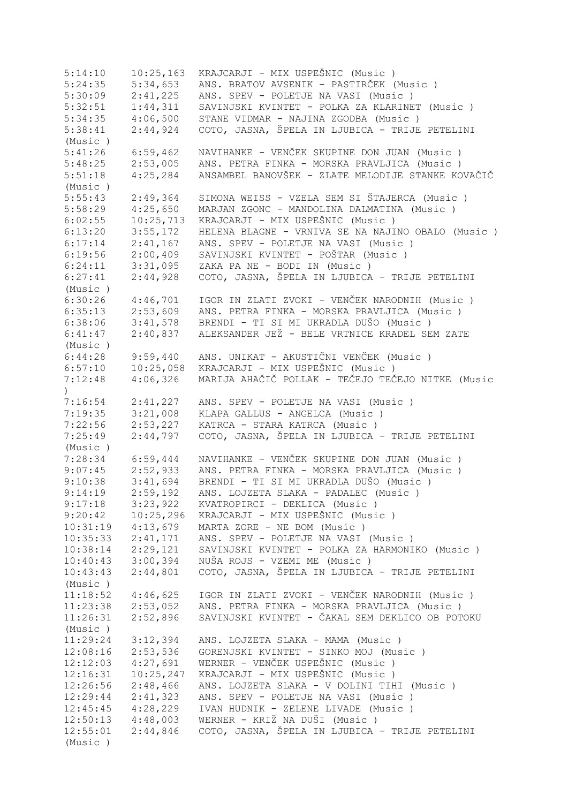5:14:10 10:25,163 KRAJCARJI - MIX USPEŠNIC (Music)<br>5:24:35 5:34,653 ANS. BRATOV AVSENIK - PASTIRČEK ( 5:24:35 5:34,653 ANS. BRATOV AVSENIK - PASTIRČEK (Music ) 5:30:09 2:41,225 ANS. SPEV - POLETJE NA VASI (Music ) 5:32:51 1:44,311 SAVINJSKI KVINTET - POLKA ZA KLARINET (Music ) 5:34:35 4:06,500 STANE VIDMAR - NAJINA ZGODBA (Music ) 5:38:41 2:44,924 COTO, JASNA, ŠPELA IN LJUBICA - TRIJE PETELINI (Music ) 5:41:26 6:59,462 NAVIHANKE - VENČEK SKUPINE DON JUAN (Music ) 5:48:25 2:53,005 ANS. PETRA FINKA - MORSKA PRAVLJICA (Music ) 5:51:18 4:25,284 ANSAMBEL BANOVŠEK - ZLATE MELODIJE STANKE KOVAČIČ (Music ) 5:55:43 2:49,364 SIMONA WEISS - VZELA SEM SI ŠTAJERCA (Music ) 5:58:29 4:25,650 MARJAN ZGONC - MANDOLINA DALMATINA (Music ) 6:02:55 10:25,713 KRAJCARJI - MIX USPEŠNIC (Music ) 6:13:20 3:55,172 HELENA BLAGNE - VRNIVA SE NA NAJINO OBALO (Music ) 6:17:14 2:41,167 ANS. SPEV - POLETJE NA VASI (Music ) 6:19:56 2:00,409 SAVINJSKI KVINTET - POŠTAR (Music ) 6:24:11 3:31,095 ZAKA PA NE - BODI IN (Music ) 6:27:41 2:44,928 COTO, JASNA, ŠPELA IN LJUBICA - TRIJE PETELINI (Music ) 6:30:26 4:46,701 IGOR IN ZLATI ZVOKI - VENČEK NARODNIH (Music ) 6:35:13 2:53,609 ANS. PETRA FINKA - MORSKA PRAVLJICA (Music ) 6:38:06 3:41,578 BRENDI - TI SI MI UKRADLA DUŠO (Music ) 6:41:47 2:40,837 ALEKSANDER JEŽ - BELE VRTNICE KRADEL SEM ZATE (Music ) 6:44:28 9:59,440 ANS. UNIKAT - AKUSTIČNI VENČEK (Music ) 6:57:10 10:25,058 KRAJCARJI - MIX USPEŠNIC (Music ) 7:12:48 4:06,326 MARIJA AHAČIČ POLLAK - TEČEJO TEČEJO NITKE (Music ) 7:16:54 2:41,227 ANS. SPEV - POLETJE NA VASI (Music ) 7:19:35 3:21,008 KLAPA GALLUS - ANGELCA (Music ) 7:22:56 2:53,227 KATRCA - STARA KATRCA (Music ) 7:25:49 2:44,797 COTO, JASNA, ŠPELA IN LJUBICA - TRIJE PETELINI (Music ) 7:28:34 6:59,444 NAVIHANKE - VENČEK SKUPINE DON JUAN (Music ) 9:07:45 2:52,933 ANS. PETRA FINKA - MORSKA PRAVLJICA (Music ) 9:10:38 3:41,694 BRENDI - TI SI MI UKRADLA DUŠO (Music ) 9:14:19 2:59,192 ANS. LOJZETA SLAKA - PADALEC (Music)<br>9:17:18 3:23,922 KVATROPIRCI - DEKLICA (Music) 9:17:18 3:23,922 KVATROPIRCI - DEKLICA (Music ) 9:20:42 10:25,296 KRAJCARJI - MIX USPEŠNIC (Music ) 10:31:19 4:13,679 MARTA ZORE - NE BOM (Music ) 10:35:33 2:41,171 ANS. SPEV - POLETJE NA VASI (Music ) 10:38:14 2:29,121 SAVINJSKI KVINTET - POLKA ZA HARMONIKO (Music ) 10:40:43 3:00,394 NUŠA ROJS - VZEMI ME (Music ) 10:43:43 2:44,801 COTO, JASNA, ŠPELA IN LJUBICA - TRIJE PETELINI (Music ) 11:18:52 4:46,625 IGOR IN ZLATI ZVOKI - VENČEK NARODNIH (Music ) 11:23:38 2:53,052 ANS. PETRA FINKA - MORSKA PRAVLJICA (Music ) 11:26:31 2:52,896 SAVINJSKI KVINTET - ČAKAL SEM DEKLICO OB POTOKU (Music ) 11:29:24 3:12,394 ANS. LOJZETA SLAKA - MAMA (Music ) 12:08:16 2:53,536 GORENJSKI KVINTET - SINKO MOJ (Music ) 12:12:03 4:27,691 WERNER - VENČEK USPEŠNIC (Music ) 12:16:31 10:25,247 KRAJCARJI - MIX USPEŠNIC (Music ) 12:26:56 2:48,466 ANS. LOJZETA SLAKA - V DOLINI TIHI (Music ) 12:29:44 2:41,323 ANS. SPEV - POLETJE NA VASI (Music ) 12:45:45 4:28,229 IVAN HUDNIK - ZELENE LIVADE (Music ) 12:50:13 4:48,003 WERNER - KRIŽ NA DUŠI (Music ) 12:55:01 2:44,846 COTO, JASNA, ŠPELA IN LJUBICA - TRIJE PETELINI (Music )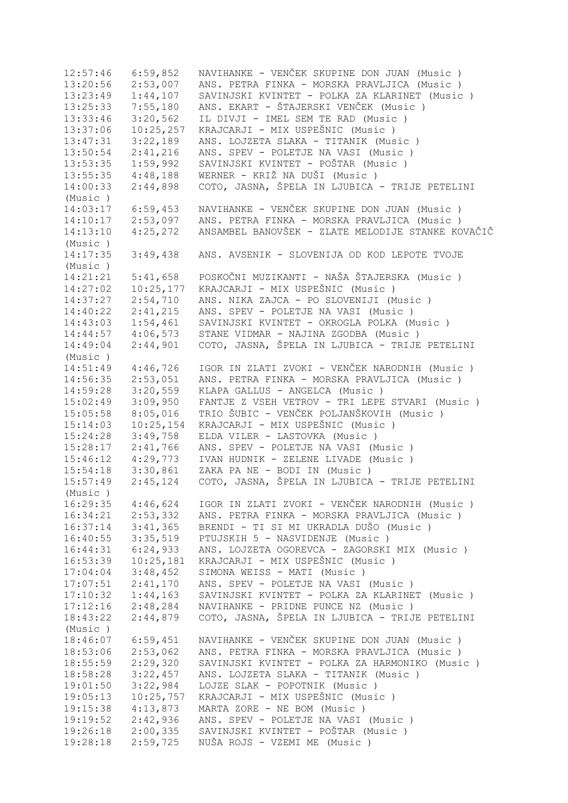12:57:46 6:59,852 NAVIHANKE - VENČEK SKUPINE DON JUAN (Music ) 13:20:56 2:53,007 ANS. PETRA FINKA - MORSKA PRAVLJICA (Music ) 13:23:49 1:44,107 SAVINJSKI KVINTET - POLKA ZA KLARINET (Music ) 13:25:33 7:55,180 ANS. EKART - ŠTAJERSKI VENČEK (Music ) IL DIVJI - IMEL SEM TE RAD (Music ) 13:37:06 10:25,257 KRAJCARJI - MIX USPEŠNIC (Music ) 13:47:31 3:22,189 ANS. LOJZETA SLAKA - TITANIK (Music ) 13:50:54 2:41,216 ANS. SPEV - POLETJE NA VASI (Music ) 13:53:35 1:59,992 SAVINJSKI KVINTET - POŠTAR (Music ) 13:55:35 4:48,188 WERNER - KRIŽ NA DUŠI (Music)<br>14:00:33 2:44,898 COTO, JASNA, ŠPELA IN LJUBICA 14:00:33 2:44,898 COTO, JASNA, ŠPELA IN LJUBICA - TRIJE PETELINI (Music ) 14:03:17 6:59,453 NAVIHANKE - VENČEK SKUPINE DON JUAN (Music ) 14:10:17 2:53,097 ANS. PETRA FINKA - MORSKA PRAVLJICA (Music ) 14:13:10 4:25,272 ANSAMBEL BANOVŠEK - ZLATE MELODIJE STANKE KOVAČIČ (Music ) 14:17:35 3:49,438 ANS. AVSENIK - SLOVENIJA OD KOD LEPOTE TVOJE (Music ) 14:21:21 5:41,658 POSKOČNI MUZIKANTI - NAŠA ŠTAJERSKA (Music)<br>14:27:02 10:25,177 KRAJCARJI - MIX USPEŠNIC (Music) 14:27:02 10:25,177 KRAJCARJI - MIX USPEŠNIC (Music )<br>14:37:27 2:54.710 ANS. NIKA ZAJCA - PO SLOVENIJI (M 14:37:27 2:54,710 ANS. NIKA ZAJCA - PO SLOVENIJI (Music ) 14:40:22 2:41,215 ANS. SPEV - POLETJE NA VASI (Music ) 14:43:03 1:54,461 SAVINJSKI KVINTET - OKROGLA POLKA (Music ) 14:44:57 4:06,573 STANE VIDMAR - NAJINA ZGODBA (Music ) 14:49:04 2:44,901 COTO, JASNA, ŠPELA IN LJUBICA - TRIJE PETELINI (Music ) 14:51:49 4:46,726 IGOR IN ZLATI ZVOKI - VENČEK NARODNIH (Music ) 14:56:35 2:53,051 ANS. PETRA FINKA - MORSKA PRAVLJICA (Music ) 14:59:28 3:20,559 KLAPA GALLUS - ANGELCA (Music ) 15:02:49 3:09,950 FANTJE Z VSEH VETROV - TRI LEPE STVARI (Music ) 15:05:58 8:05,016 TRIO ŠUBIC - VENČEK POLJANŠKOVIH (Music ) 15:14:03 10:25,154 KRAJCARJI - MIX USPEŠNIC (Music ) 15:24:28 3:49,758 ELDA VILER - LASTOVKA (Music ) 15:28:17 2:41,766 ANS. SPEV - POLETJE NA VASI (Music ) 15:46:12 4:29,773 IVAN HUDNIK - ZELENE LIVADE (Music ) 15:54:18 3:30,861 ZAKA PA NE - BODI IN (Music ) 15:57:49 2:45,124 COTO, JASNA, ŠPELA IN LJUBICA - TRIJE PETELINI (Music ) 16:29:35 4:46,624 IGOR IN ZLATI ZVOKI - VENČEK NARODNIH (Music ) 16:34:21 2:53,332 ANS. PETRA FINKA - MORSKA PRAVLJICA (Music ) 16:37:14 3:41,365 BRENDI - TI SI MI UKRADLA DUŠO (Music ) 16:40:55 3:35,519 PTUJSKIH 5 - NASVIDENJE (Music ) 16:44:31 6:24,933 ANS. LOJZETA OGOREVCA - ZAGORSKI MIX (Music ) 16:53:39 10:25,181 KRAJCARJI - MIX USPEŠNIC (Music )<br>17:04:04 3:48,452 SIMONA WEISS - MATI (Music ) 17:04:04 3:48,452 SIMONA WEISS - MATI (Music ) 17:07:51 2:41,170 ANS. SPEV - POLETJE NA VASI (Music ) 17:10:32 1:44,163 SAVINJSKI KVINTET - POLKA ZA KLARINET (Music ) 17:12:16 2:48,284 NAVIHANKE - PRIDNE PUNCE NZ (Music ) 18:43:22 2:44,879 COTO, JASNA, ŠPELA IN LJUBICA - TRIJE PETELINI (Music ) 18:46:07 6:59,451 NAVIHANKE - VENČEK SKUPINE DON JUAN (Music)<br>18:53:06 2:53,062 ANS. PETRA FINKA - MORSKA PRAVLJICA (Music) ANS. PETRA FINKA - MORSKA PRAVLJICA (Music ) 18:55:59 2:29,320 SAVINJSKI KVINTET - POLKA ZA HARMONIKO (Music ) 18:58:28 3:22,457 ANS. LOJZETA SLAKA - TITANIK (Music ) 19:01:50 3:22,984 LOJZE SLAK - POPOTNIK (Music ) 19:05:13 10:25,757 KRAJCARJI - MIX USPEŠNIC (Music ) 19:15:38 4:13,873 MARTA ZORE - NE BOM (Music ) 19:19:52 2:42,936 ANS. SPEV - POLETJE NA VASI (Music ) 19:26:18 2:00,335 SAVINJSKI KVINTET - POŠTAR (Music ) 19:28:18 2:59,725 NUŠA ROJS - VZEMI ME (Music )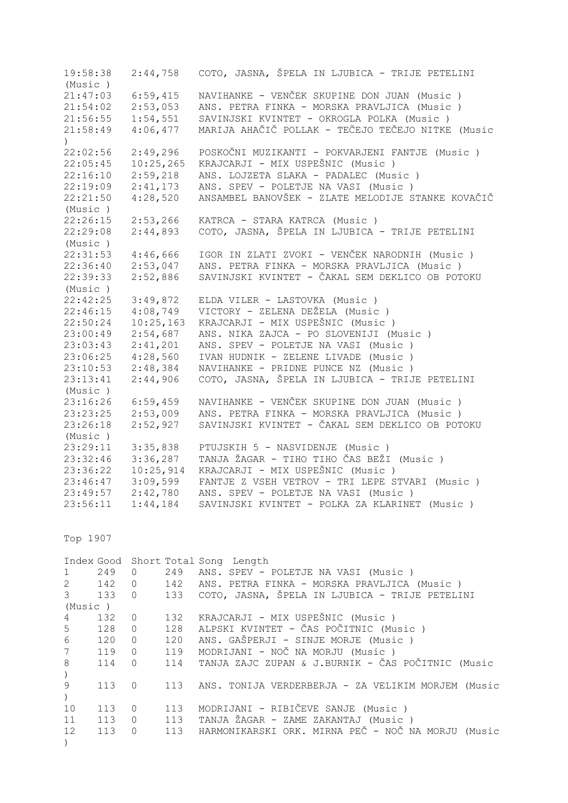19:58:38 2:44,758 COTO, JASNA, ŠPELA IN LJUBICA - TRIJE PETELINI (Music ) 21:47:03 6:59,415 NAVIHANKE - VENČEK SKUPINE DON JUAN (Music ) ANS. PETRA FINKA - MORSKA PRAVLJICA (Music ) 21:56:55 1:54,551 SAVINJSKI KVINTET - OKROGLA POLKA (Music ) 21:58:49 4:06,477 MARIJA AHAČIČ POLLAK - TEČEJO TEČEJO NITKE (Music ) 22:02:56 2:49,296 POSKOČNI MUZIKANTI - POKVARJENI FANTJE (Music ) 22:05:45 10:25,265 KRAJCARJI - MIX USPEŠNIC (Music ) 22:16:10 2:59,218 ANS. LOJZETA SLAKA - PADALEC (Music ) 22:19:09 2:41,173 ANS. SPEV - POLETJE NA VASI (Music ) 22:21:50 4:28,520 ANSAMBEL BANOVŠEK - ZLATE MELODIJE STANKE KOVAČIČ (Music ) 22:26:15 2:53,266 KATRCA - STARA KATRCA (Music ) 22:29:08 2:44,893 COTO, JASNA, ŠPELA IN LJUBICA - TRIJE PETELINI (Music ) 22:31:53 4:46,666 IGOR IN ZLATI ZVOKI - VENČEK NARODNIH (Music ) 22:36:40 2:53,047 ANS. PETRA FINKA - MORSKA PRAVLJICA (Music ) 22:39:33 2:52,886 SAVINJSKI KVINTET - ČAKAL SEM DEKLICO OB POTOKU (Music ) 22:42:25 3:49,872 ELDA VILER - LASTOVKA (Music ) 22:46:15 4:08,749 VICTORY - ZELENA DEŽELA (Music ) 22:50:24 10:25,163 KRAJCARJI - MIX USPEŠNIC (Music ) 23:00:49 2:54,687 ANS. NIKA ZAJCA - PO SLOVENIJI (Music ) 23:03:43 2:41,201 ANS. SPEV - POLETJE NA VASI (Music ) 23:06:25 4:28,560 IVAN HUDNIK - ZELENE LIVADE (Music ) 23:10:53 2:48,384 NAVIHANKE - PRIDNE PUNCE NZ (Music ) 23:13:41 2:44,906 COTO, JASNA, ŠPELA IN LJUBICA - TRIJE PETELINI (Music ) 23:16:26 6:59,459 NAVIHANKE - VENČEK SKUPINE DON JUAN (Music ) 23:23:25 2:53,009 ANS. PETRA FINKA - MORSKA PRAVLJICA (Music ) 23:26:18 2:52,927 SAVINJSKI KVINTET - ČAKAL SEM DEKLICO OB POTOKU (Music ) 23:29:11 3:35,838 PTUJSKIH 5 - NASVIDENJE (Music ) 23:32:46 3:36,287 TANJA ŽAGAR - TIHO TIHO ČAS BEŽI (Music ) 23:36:22 10:25,914 KRAJCARJI - MIX USPEŠNIC (Music)<br>23:46:47 3:09,599 FANTJE Z VSEH VETROV - TRI LEPE S 23:46:47 3:09,599 FANTJE Z VSEH VETROV - TRI LEPE STVARI (Music ) 23:49:57 2:42,780 ANS. SPEV - POLETJE NA VASI (Music ) 23:56:11 1:44,184 SAVINJSKI KVINTET - POLKA ZA KLARINET (Music ) Top 1907 Index Good Short Total Song Length 1 249 0 249 ANS. SPEV - POLETJE NA VASI (Music ) 2 142 0 142 ANS. PETRA FINKA - MORSKA PRAVLJICA (Music ) 3 133 0 133 COTO, JASNA, ŠPELA IN LJUBICA - TRIJE PETELINI (Music ) 4 132 0 132 KRAJCARJI - MIX USPEŠNIC (Music)<br>5 128 0 128 ALPSKI KVINTET - ČAS POČITNIC (Mu 5 128 0 128 ALPSKI KVINTET - ČAS POČITNIC (Music ) 6 120 0 120 ANS. GAŠPERJI - SINJE MORJE (Music ) 7 119 0 119 MODRIJANI - NOČ NA MORJU (Music ) 8 114 0 114 TANJA ZAJC ZUPAN & J.BURNIK - ČAS POČITNIC (Music  $\lambda$ 9 113 0 113 ANS. TONIJA VERDERBERJA - ZA VELIKIM MORJEM (Music  $\left( \right)$ 

10 113 0 113 MODRIJANI - RIBIČEVE SANJE (Music ) 11 113 0 113 TANJA ŽAGAR - ZAME ZAKANTAJ (Music ) 12 113 0 113 HARMONIKARSKI ORK. MIRNA PEČ - NOČ NA MORJU (Music

)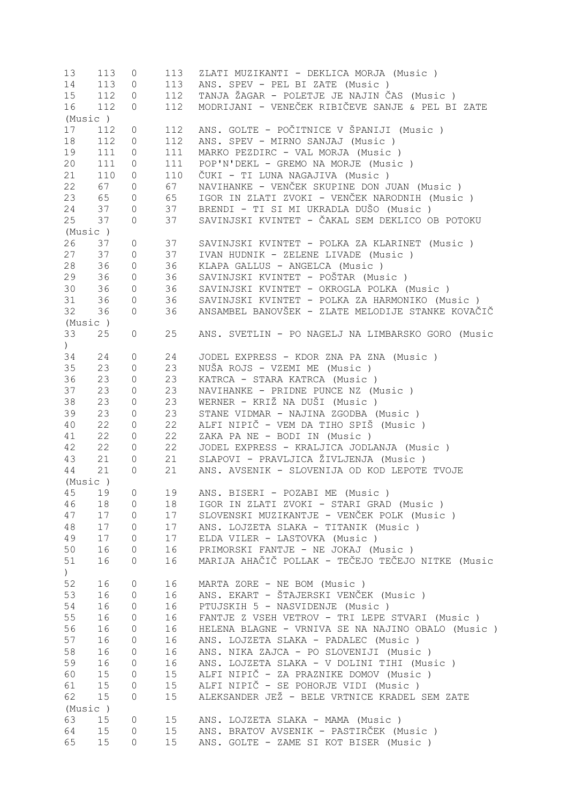| 13               | 113 | 0                   | 113             | ZLATI MUZIKANTI - DEKLICA MORJA (Music)           |
|------------------|-----|---------------------|-----------------|---------------------------------------------------|
| 14               | 113 | 0                   | 113             | ANS. SPEV - PEL BI ZATE (Music)                   |
| 15               | 112 | 0                   | 112             | TANJA ŽAGAR - POLETJE JE NAJIN ČAS (Music)        |
| 16               | 112 | 0                   | 112             | MODRIJANI - VENEČEK RIBIČEVE SANJE & PEL BI ZATE  |
| (Music )         |     |                     |                 |                                                   |
| 17               | 112 | 0                   | 112             | ANS. GOLTE - POČITNICE V ŠPANIJI (Music )         |
| 18               | 112 | 0                   | 112             | ANS. SPEV - MIRNO SANJAJ (Music)                  |
| 19               | 111 | 0                   | 111             | MARKO PEZDIRC - VAL MORJA (Music)                 |
| 20               | 111 |                     |                 | POP'N'DEKL - GREMO NA MORJE (Music)               |
|                  |     | 0                   | 111             |                                                   |
| 21               | 110 | 0                   | 110             | ČUKI - TI LUNA NAGAJIVA (Music )                  |
| 22               | 67  | 0                   | 67              | NAVIHANKE - VENČEK SKUPINE DON JUAN (Music)       |
| 23               | 65  | $\mathsf{O}\xspace$ | 65              | IGOR IN ZLATI ZVOKI - VENČEK NARODNIH (Music )    |
| 24               | 37  | 0                   | 37              | BRENDI - TI SI MI UKRADLA DUŠO (Music)            |
| 25               | 37  | 0                   | 37              | SAVINJSKI KVINTET - ČAKAL SEM DEKLICO OB POTOKU   |
| (Music)          |     |                     |                 |                                                   |
| 26               | 37  | $\circ$             | 37              | SAVINJSKI KVINTET - POLKA ZA KLARINET (Music )    |
| 27               | 37  | $\circ$             | 37              | IVAN HUDNIK - ZELENE LIVADE (Music)               |
| 28               | 36  | $\mathbb O$         | 36              | KLAPA GALLUS - ANGELCA (Music)                    |
| 29               | 36  | $\mathbb O$         | 36              | SAVINJSKI KVINTET - POŠTAR (Music)                |
| 30               | 36  | $\circ$             | 36              | SAVINJSKI KVINTET - OKROGLA POLKA (Music )        |
| 31               | 36  | $\circ$             | 36              | SAVINJSKI KVINTET - POLKA ZA HARMONIKO (Music )   |
| 32               | 36  | 0                   | 36              | ANSAMBEL BANOVŠEK - ZLATE MELODIJE STANKE KOVAČIČ |
| (Music )         |     |                     |                 |                                                   |
| 33               | 25  | 0                   | 25              | ANS. SVETLIN - PO NAGELJ NA LIMBARSKO GORO (Music |
|                  |     |                     |                 |                                                   |
| )                |     |                     |                 |                                                   |
| 34               | 24  | 0                   | 24              | JODEL EXPRESS - KDOR ZNA PA ZNA (Music)           |
| 35               | 23  | 0                   | 23              | NUŠA ROJS - VZEMI ME (Music)                      |
| 36               | 23  | $\mathsf{O}$        | 23              | KATRCA - STARA KATRCA (Music)                     |
| 37               | 23  | $\mathsf{O}$        | 23              | NAVIHANKE - PRIDNE PUNCE NZ (Music)               |
| 38               | 23  | $\mathsf{O}\xspace$ | 23              | WERNER - KRIŽ NA DUŠI (Music)                     |
| 39               | 23  | $\mathsf{O}\xspace$ | 23              | STANE VIDMAR - NAJINA ZGODBA (Music)              |
| 40               | 22  | $\mathsf{O}\xspace$ | 22              | ALFI NIPIČ - VEM DA TIHO SPIŠ (Music )            |
| 41               | 22  | $\mathsf{O}\xspace$ | 22              | ZAKA PA NE - BODI IN (Music)                      |
| 42               | 22  | $\mathsf{O}\xspace$ | 22              | JODEL EXPRESS - KRALJICA JODLANJA (Music)         |
| 43               | 21  | 0                   | 21              | SLAPOVI - PRAVLJICA ŽIVLJENJA (Music)             |
| 44               | 21  | $\circ$             | 21              | ANS. AVSENIK - SLOVENIJA OD KOD LEPOTE TVOJE      |
| (Music)          |     |                     |                 |                                                   |
| 45               | 19  | 0                   | 19              | ANS. BISERI - POZABI ME (Music)                   |
| 46               | 18  | 0                   | 18              | IGOR IN ZLATI ZVOKI - STARI GRAD (Music )         |
|                  |     |                     |                 | SLOVENSKI MUZIKANTJE - VENČEK POLK (Music)        |
| 47               | 17  | 0                   | 17              |                                                   |
| 48               | 17  | 0                   | 17              | ANS. LOJZETA SLAKA - TITANIK (Music )             |
| 49               | 17  | 0                   | 17              | ELDA VILER - LASTOVKA (Music)                     |
| 50               | 16  | 0                   | 16              | PRIMORSKI FANTJE - NE JOKAJ (Music)               |
| 51               | 16  | 0                   | 16              | MARIJA AHAČIČ POLLAK - TEČEJO TEČEJO NITKE (Music |
| $\left( \right)$ |     |                     |                 |                                                   |
| 52               | 16  | 0                   | 16              | MARTA ZORE - NE BOM (Music)                       |
| 53               | 16  | 0                   | 16              | ANS. EKART - ŠTAJERSKI VENČEK (Music )            |
| 54               | 16  | 0                   | 16              | PTUJSKIH 5 - NASVIDENJE (Music)                   |
| 55               | 16  | 0                   | 16              | FANTJE Z VSEH VETROV - TRI LEPE STVARI (Music )   |
| 56               | 16  | 0                   | 16              | HELENA BLAGNE - VRNIVA SE NA NAJINO OBALO (Music) |
| 57               | 16  | 0                   | 16              | ANS. LOJZETA SLAKA - PADALEC (Music)              |
| 58               | 16  | 0                   | 16              | ANS. NIKA ZAJCA - PO SLOVENIJI (Music)            |
| 59               | 16  | 0                   | 16              | ANS. LOJZETA SLAKA - V DOLINI TIHI (Music )       |
| 60               | 15  | 0                   | 15              | ALFI NIPIČ - ZA PRAZNIKE DOMOV (Music)            |
|                  | 15  |                     | 15              | ALFI NIPIČ - SE POHORJE VIDI (Music )             |
| 61               |     | $\mathsf{O}\xspace$ |                 |                                                   |
| 62               | 15  | 0                   | 15              | ALEKSANDER JEŽ - BELE VRTNICE KRADEL SEM ZATE     |
| (Music)          |     |                     |                 |                                                   |
| 63               | 15  | 0                   | 15              | ANS. LOJZETA SLAKA - MAMA (Music)                 |
| 64               | 15  | 0                   | 15 <sub>1</sub> | ANS. BRATOV AVSENIK - PASTIRČEK (Music )          |
| 65               | 15  | 0                   | 15              | ANS. GOLTE - ZAME SI KOT BISER (Music)            |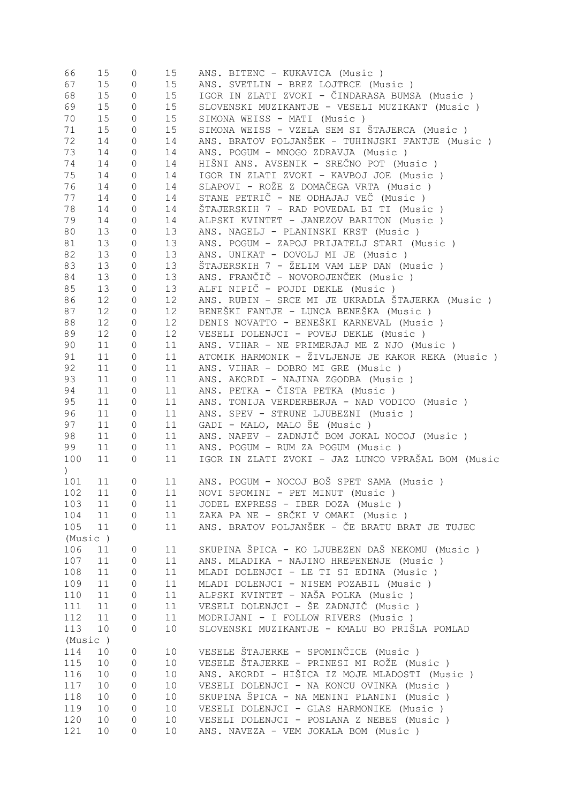| 66               | 15 | 0                   | 15              | ANS. BITENC - KUKAVICA (Music)                     |
|------------------|----|---------------------|-----------------|----------------------------------------------------|
| 67               | 15 | 0                   | 15              | ANS. SVETLIN - BREZ LOJTRCE (Music)                |
| 68               | 15 | 0                   | 15              | IGOR IN ZLATI ZVOKI - ČINDARASA BUMSA (Music )     |
| 69               | 15 | $\mathsf{O}\xspace$ | 15              | SLOVENSKI MUZIKANTJE - VESELI MUZIKANT (Music )    |
| 70               | 15 | $\mathsf{O}\xspace$ | 15              | SIMONA WEISS - MATI (Music)                        |
| 71               | 15 | $\mathsf{O}\xspace$ | 15              | SIMONA WEISS - VZELA SEM SI ŠTAJERCA (Music)       |
| 72               | 14 | $\mathsf{O}\xspace$ | 14              | ANS. BRATOV POLJANŠEK - TUHINJSKI FANTJE (Music)   |
|                  |    |                     |                 |                                                    |
| 73               | 14 | $\mathsf{O}\xspace$ | 14              | ANS. POGUM - MNOGO ZDRAVJA (Music)                 |
| 74               | 14 | $\mathsf{O}\xspace$ | 14              | HIŠNI ANS. AVSENIK - SREČNO POT (Music )           |
| 75               | 14 | $\mathsf{O}\xspace$ | 14              | IGOR IN ZLATI ZVOKI - KAVBOJ JOE (Music )          |
| 76               | 14 | 0                   | 14              | SLAPOVI - ROŽE Z DOMAČEGA VRTA (Music )            |
| 77               | 14 | 0                   | 14              | STANE PETRIČ - NE ODHAJAJ VEČ (Music )             |
| 78               | 14 | 0                   | 14              | ŠTAJERSKIH 7 - RAD POVEDAL BI TI (Music )          |
| 79               | 14 | 0                   | 14              | ALPSKI KVINTET - JANEZOV BARITON (Music )          |
| 80               | 13 | 0                   | 13              | ANS. NAGELJ - PLANINSKI KRST (Music)               |
| 81               | 13 | 0                   | 13              | ANS. POGUM - ZAPOJ PRIJATELJ STARI (Music )        |
| 82               | 13 | 0                   | 13              | ANS. UNIKAT - DOVOLJ MI JE (Music)                 |
| 83               | 13 | 0                   | 13              | ŠTAJERSKIH 7 - ŽELIM VAM LEP DAN (Music)           |
| 84               | 13 | 0                   | 13              | ANS. FRANČIČ - NOVOROJENČEK (Music)                |
| 85               | 13 | 0                   | 13              | ALFI NIPIČ - POJDI DEKLE (Music)                   |
| 86               | 12 | 0                   | 12 <sup>°</sup> | ANS. RUBIN - SRCE MI JE UKRADLA ŠTAJERKA (Music)   |
| 87               | 12 | 0                   | 12              | BENEŠKI FANTJE - LUNCA BENEŠKA (Music )            |
|                  |    |                     |                 |                                                    |
| 88               | 12 | 0                   | 12              | DENIS NOVATTO - BENEŠKI KARNEVAL (Music )          |
| 89               | 12 | 0                   | 12 <sup>°</sup> | VESELI DOLENJCI - POVEJ DEKLE (Music)              |
| 90               | 11 | 0                   | 11              | ANS. VIHAR - NE PRIMERJAJ ME Z NJO (Music)         |
| 91               | 11 | 0                   | 11              | ATOMIK HARMONIK - ŽIVLJENJE JE KAKOR REKA (Music)  |
| 92               | 11 | 0                   | 11              | ANS. VIHAR - DOBRO MI GRE (Music)                  |
| 93               | 11 | 0                   | 11              | ANS. AKORDI - NAJINA ZGODBA (Music)                |
| 94               | 11 | 0                   | 11              | ANS. PETKA - ČISTA PETKA (Music )                  |
| 95               | 11 | 0                   | 11              | ANS. TONIJA VERDERBERJA - NAD VODICO (Music)       |
| 96               | 11 | 0                   | 11              | ANS. SPEV - STRUNE LJUBEZNI (Music )               |
| 97               | 11 | 0                   | 11              | GADI - MALO, MALO ŠE (Music)                       |
| 98               | 11 | $\mathsf{O}\xspace$ | 11              | ANS. NAPEV - ZADNJIČ BOM JOKAL NOCOJ (Music)       |
| 99               | 11 | 0                   | 11              | ANS. POGUM - RUM ZA POGUM (Music )                 |
| 100              | 11 | 0                   | 11              | IGOR IN ZLATI ZVOKI - JAZ LUNCO VPRAŠAL BOM (Music |
| $\left( \right)$ |    |                     |                 |                                                    |
| 101              | 11 | 0                   | 11              | ANS. POGUM - NOCOJ BOŠ SPET SAMA (Music)           |
| 102              | 11 | 0                   | 11              | NOVI SPOMINI - PET MINUT (Music)                   |
|                  |    |                     |                 |                                                    |
| 103              | 11 | 0                   | 11              | JODEL EXPRESS - IBER DOZA (Music )                 |
| 104              | 11 | $\mathsf{O}\xspace$ | 11              | ZAKA PA NE - SRČKI V OMAKI (Music )                |
| 105              | 11 | 0                   | 11              | ANS. BRATOV POLJANŠEK - ČE BRATU BRAT JE TUJEC     |
| (Music)          |    |                     |                 |                                                    |
| 106              | 11 | 0                   | 11              | SKUPINA ŠPICA - KO LJUBEZEN DAŠ NEKOMU (Music)     |
| 107              | 11 | 0                   | 11              | ANS. MLADIKA - NAJINO HREPENENJE (Music)           |
| 108              | 11 | 0                   | 11              | MLADI DOLENJCI - LE TI SI EDINA (Music)            |
| 109              | 11 | 0                   | 11              | MLADI DOLENJCI - NISEM POZABIL (Music )            |
| 110              | 11 | 0                   | 11              | ALPSKI KVINTET - NAŠA POLKA (Music )               |
| 111              | 11 | 0                   | 11              | VESELI DOLENJCI - ŠE ZADNJIČ (Music )              |
| 112              | 11 | 0                   | 11              | MODRIJANI - I FOLLOW RIVERS (Music)                |
| 113              | 10 | 0                   | 10              | SLOVENSKI MUZIKANTJE - KMALU BO PRIŠLA POMLAD      |
| (Music)          |    |                     |                 |                                                    |
| 114              | 10 | 0                   | 10 <sub>o</sub> | VESELE ŠTAJERKE - SPOMINČICE (Music)               |
| 115              | 10 | 0                   | 10              | VESELE ŠTAJERKE - PRINESI MI ROŽE (Music)          |
| 116              | 10 | 0                   | 10              | ANS. AKORDI - HIŠICA IZ MOJE MLADOSTI (Music )     |
|                  |    |                     |                 |                                                    |
| 117              | 10 | 0                   | 10              | VESELI DOLENJCI - NA KONCU OVINKA (Music)          |
| 118              | 10 | 0                   | 10              | SKUPINA ŠPICA - NA MENINI PLANINI (Music)          |
| 119              | 10 | 0                   | 10              | VESELI DOLENJCI - GLAS HARMONIKE (Music )          |
| 120              | 10 | 0                   | 10              | VESELI DOLENJCI - POSLANA Z NEBES (Music )         |
| 121              | 10 | 0                   | 10              | ANS. NAVEZA - VEM JOKALA BOM (Music)               |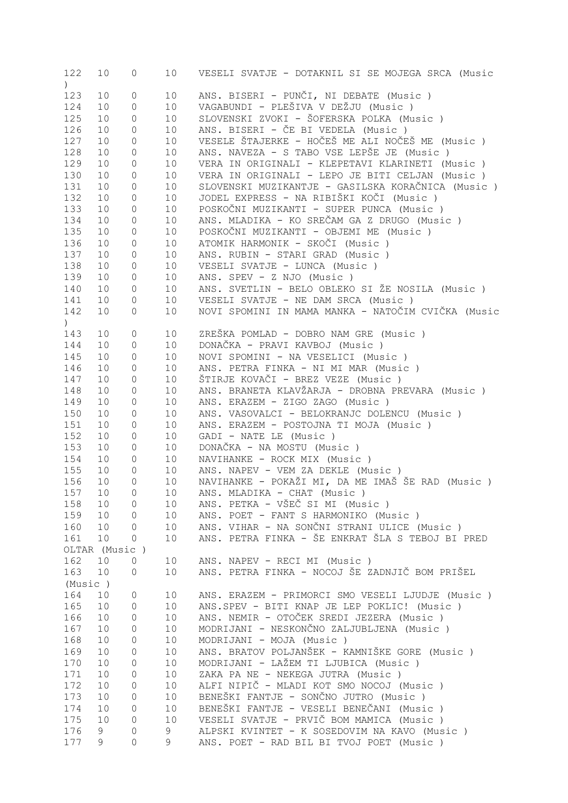| 122                          | 10 | 0              | 10 <sub>1</sub> | VESELI SVATJE - DOTAKNIL SI SE MOJEGA SRCA (Music  |
|------------------------------|----|----------------|-----------------|----------------------------------------------------|
| $\left( \frac{1}{2} \right)$ |    |                |                 |                                                    |
| 123                          | 10 | $\mathbb O$    | 10              | ANS. BISERI - PUNČI, NI DEBATE (Music)             |
|                              |    |                |                 |                                                    |
| 124                          | 10 | $\mathbb O$    | 10              | VAGABUNDI - PLEŠIVA V DEŽJU (Music )               |
| 125                          | 10 | $\mathbb O$    | 10 <sub>1</sub> | SLOVENSKI ZVOKI - ŠOFERSKA POLKA (Music )          |
| 126                          | 10 | $\circ$        | 10              | ANS. BISERI - ČE BI VEDELA (Music)                 |
| 127                          | 10 | $\circ$        | 10              | VESELE ŠTAJERKE - HOČEŠ ME ALI NOČEŠ ME (Music)    |
| 128                          | 10 | $\circ$        | 10              | ANS. NAVEZA - S TABO VSE LEPŠE JE (Music)          |
| 129                          | 10 | $\circ$        | 10              | VERA IN ORIGINALI - KLEPETAVI KLARINETI (Music )   |
| 130                          | 10 | $\mathbb O$    | 10              | VERA IN ORIGINALI - LEPO JE BITI CELJAN (Music )   |
|                              |    |                |                 |                                                    |
| 131                          | 10 | $\mathbb O$    | 10              | SLOVENSKI MUZIKANTJE - GASILSKA KORAČNICA (Music ) |
| 132                          | 10 | $\mathbb O$    | 10              | JODEL EXPRESS - NA RIBIŠKI KOČI (Music )           |
| 133                          | 10 | $\mathbb O$    | 10 <sub>1</sub> | POSKOČNI MUZIKANTI - SUPER PUNCA (Music)           |
| 134                          | 10 | $\mathbb O$    | 10 <sub>1</sub> | ANS. MLADIKA - KO SREČAM GA Z DRUGO (Music)        |
| 135                          | 10 | $\mathbb O$    | 10              | POSKOČNI MUZIKANTI - OBJEMI ME (Music)             |
| 136                          | 10 | $\mathbb O$    | 10              | ATOMIK HARMONIK - SKOČI (Music)                    |
| 137                          | 10 | $\mathbb O$    | 10 <sub>o</sub> | ANS. RUBIN - STARI GRAD (Music)                    |
| 138                          | 10 | $\mathbb O$    | 10 <sub>o</sub> | VESELI SVATJE - LUNCA (Music)                      |
|                              |    |                |                 |                                                    |
| 139                          | 10 | $\mathbb O$    | 10 <sub>o</sub> | ANS. SPEV - Z NJO (Music)                          |
| 140                          | 10 | $\mathbb O$    | 10              | ANS. SVETLIN - BELO OBLEKO SI ŽE NOSILA (Music)    |
| 141                          | 10 | $\circ$        | 10              | VESELI SVATJE - NE DAM SRCA (Music)                |
| 142                          | 10 | 0              | 10              | NOVI SPOMINI IN MAMA MANKA - NATOČIM CVIČKA (Music |
| $\left( \frac{1}{2} \right)$ |    |                |                 |                                                    |
| 143                          | 10 | $\circ$        | 10              | ZREŠKA POMLAD - DOBRO NAM GRE (Music)              |
| 144                          | 10 | $\mathbb O$    | 10              | DONAČKA - PRAVI KAVBOJ (Music)                     |
|                              |    |                |                 |                                                    |
| 145                          | 10 | $\mathbb O$    | 10              | NOVI SPOMINI - NA VESELICI (Music )                |
| 146                          | 10 | $\mathbb O$    | 10              | ANS. PETRA FINKA - NI MI MAR (Music)               |
| 147                          | 10 | $\mathbb O$    | 10              | ŠTIRJE KOVAČI - BREZ VEZE (Music )                 |
| 148                          | 10 | $\mathbb O$    | 10              | ANS. BRANETA KLAVŽARJA - DROBNA PREVARA (Music)    |
| 149                          | 10 | $\mathbb O$    | 10              | ANS. ERAZEM - ZIGO ZAGO (Music)                    |
| 150                          | 10 | $\mathbb O$    | 10              | ANS. VASOVALCI - BELOKRANJC DOLENCU (Music)        |
| 151                          | 10 | $\mathbb O$    | 10              | ANS. ERAZEM - POSTOJNA TI MOJA (Music)             |
| 152                          | 10 | $\mathbb O$    | 10              | GADI - NATE LE (Music)                             |
| 153                          | 10 | $\mathbb O$    | 10 <sub>o</sub> | DONAČKA - NA MOSTU (Music)                         |
| 154                          | 10 | $\mathbb O$    | 10 <sub>o</sub> | NAVIHANKE - ROCK MIX (Music)                       |
|                              |    |                |                 |                                                    |
| 155                          | 10 | $\mathbb O$    | 10 <sub>o</sub> | ANS. NAPEV - VEM ZA DEKLE (Music)                  |
| 156                          | 10 | $\circ$        | 10 <sub>o</sub> | NAVIHANKE - POKAŽI MI, DA ME IMAŠ ŠE RAD (Music)   |
| 157                          | 10 | $\Omega$       | 10              | ANS. MLADIKA - CHAT (Music)                        |
| 158                          | 10 | $\mathbf{0}$   | 10              | ANS. PETKA - VŠEČ SI MI (Music)                    |
| 159                          | 10 | 0              | 10              | ANS. POET - FANT S HARMONIKO (Music)               |
| 160                          | 10 | 0              | 10              | ANS. VIHAR - NA SONČNI STRANI ULICE (Music)        |
| 161                          | 10 | $\mathbf{0}$   | 10              | ANS. PETRA FINKA - ŠE ENKRAT ŠLA S TEBOJ BI PRED   |
| OLTAR (Music)                |    |                |                 |                                                    |
|                              |    |                |                 |                                                    |
| 162                          | 10 | 0              | 10              | ANS. NAPEV - RECI MI (Music)                       |
| 163                          | 10 | 0              | 10              | ANS. PETRA FINKA - NOCOJ ŠE ZADNJIČ BOM PRIŠEL     |
| (Music)                      |    |                |                 |                                                    |
| 164                          | 10 | $\mathbb O$    | 10              | ANS. ERAZEM - PRIMORCI SMO VESELI LJUDJE (Music)   |
| 165                          | 10 | $\mathbb O$    | 10              | ANS.SPEV - BITI KNAP JE LEP POKLIC! (Music)        |
| 166                          | 10 | $\mathbb O$    | 10              | ANS. NEMIR - OTOČEK SREDI JEZERA (Music)           |
| 167                          | 10 | 0              | 10              | MODRIJANI - NESKONČNO ZALJUBLJENA (Music)          |
| 168                          | 10 | 0              | 10              | MODRIJANI - MOJA (Music)                           |
| 169                          | 10 |                | 10              | ANS. BRATOV POLJANŠEK - KAMNIŠKE GORE (Music )     |
|                              |    | 0              |                 |                                                    |
| 170                          | 10 | 0              | 10              | MODRIJANI - LAŽEM TI LJUBICA (Music )              |
| 171                          | 10 | 0              | 10              | ZAKA PA NE - NEKEGA JUTRA (Music)                  |
| 172                          | 10 | 0              | 10              | ALFI NIPIČ - MLADI KOT SMO NOCOJ (Music)           |
| 173                          | 10 | 0              | 10              | BENEŠKI FANTJE - SONČNO JUTRO (Music )             |
| 174                          | 10 | 0              | 10              | BENEŠKI FANTJE - VESELI BENEČANI (Music )          |
| 175                          | 10 | $\circ$        | 10              | VESELI SVATJE - PRVIČ BOM MAMICA (Music)           |
| 176                          | 9  | 0              | 9               | ALPSKI KVINTET - K SOSEDOVIM NA KAVO (Music)       |
| 177                          | 9  | $\overline{0}$ | 9               | ANS. POET - RAD BIL BI TVOJ POET (Music)           |
|                              |    |                |                 |                                                    |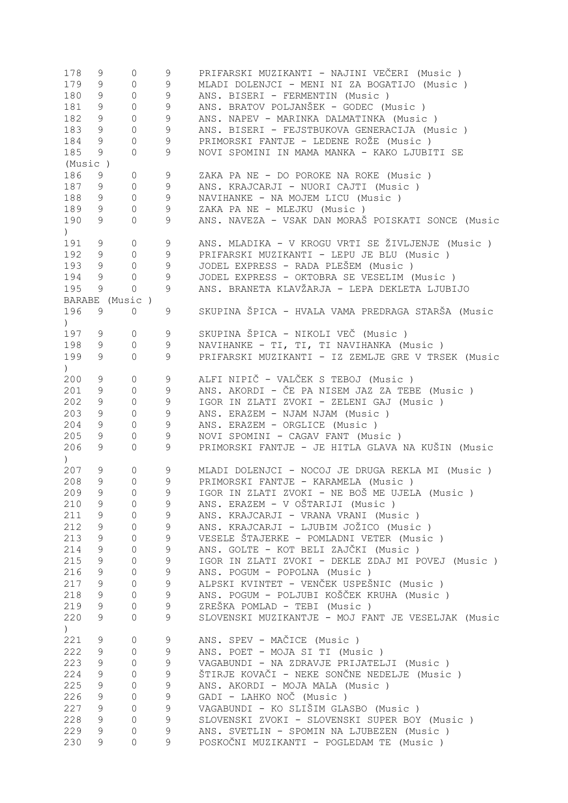| 178                                             | 9             | 0              | 9             | PRIFARSKI MUZIKANTI - NAJINI VEČERI (Music )                                           |
|-------------------------------------------------|---------------|----------------|---------------|----------------------------------------------------------------------------------------|
| 179                                             | 9             | $\mathbb O$    | 9             | MLADI DOLENJCI - MENI NI ZA BOGATIJO (Music)                                           |
| 180                                             | 9             | $\mathbb O$    | 9             | ANS. BISERI - FERMENTIN (Music)                                                        |
| 181                                             | 9             | $\mathbb O$    | $\mathsf 9$   | ANS. BRATOV POLJANŠEK - GODEC (Music)                                                  |
| 182                                             | 9             | $\circ$        | $\mathsf 9$   | ANS. NAPEV - MARINKA DALMATINKA (Music)                                                |
| 183                                             | 9             | $\mathbb O$    | $\mathsf 9$   | ANS. BISERI - FEJSTBUKOVA GENERACIJA (Music)                                           |
| 184                                             | 9             | $\circ$        | $\mathsf 9$   | PRIMORSKI FANTJE - LEDENE ROŽE (Music)                                                 |
| 185                                             | 9             | $\circ$        | 9             | NOVI SPOMINI IN MAMA MANKA - KAKO LJUBITI SE                                           |
|                                                 |               |                |               |                                                                                        |
| (Music)                                         |               |                |               |                                                                                        |
| 186                                             | 9             | $\circ$        | 9             | ZAKA PA NE - DO POROKE NA ROKE (Music)                                                 |
| 187                                             | 9             | $\mathbf{0}$   | 9             | ANS. KRAJCARJI - NUORI CAJTI (Music )                                                  |
| 188                                             | 9             | $\mathbf{0}$   | $\mathsf 9$   | NAVIHANKE - NA MOJEM LICU (Music)                                                      |
| 189                                             | 9             | $\mathbb O$    | 9             | ZAKA PA NE - MLEJKU (Music)                                                            |
| 190                                             | 9             | $\circ$        | 9             | ANS. NAVEZA - VSAK DAN MORAŠ POISKATI SONCE (Music                                     |
| $\left( \begin{array}{c} 1 \end{array} \right)$ |               |                |               |                                                                                        |
| 191                                             | 9             | $\circ$        | 9             | ANS. MLADIKA - V KROGU VRTI SE ŽIVLJENJE (Music )                                      |
| 192                                             | 9             | $\mathbf{0}$   | 9             | PRIFARSKI MUZIKANTI - LEPU JE BLU (Music)                                              |
| 193                                             | 9             | $\mathbf 0$    | 9             | JODEL EXPRESS - RADA PLEŠEM (Music)                                                    |
| 194                                             | 9             | $\circ$        | 9             | JODEL EXPRESS - OKTOBRA SE VESELIM (Music)                                             |
| 195                                             | 9             | $\circ$        | 9             | ANS. BRANETA KLAVŽARJA - LEPA DEKLETA LJUBIJO                                          |
|                                                 |               | BARABE (Music) |               |                                                                                        |
| 196                                             | 9             | $\circ$        | 9             | SKUPINA ŠPICA - HVALA VAMA PREDRAGA STARŠA (Music                                      |
|                                                 |               |                |               |                                                                                        |
| $\left( \right)$                                |               |                |               |                                                                                        |
| 197                                             | 9             | $\mathbf{0}$   | 9             | SKUPINA ŠPICA - NIKOLI VEČ (Music )                                                    |
| 198                                             | 9             | $\circ$        | 9             | NAVIHANKE - TI, TI, TI NAVIHANKA (Music)                                               |
| 199                                             | 9             | $\circ$        | 9             | PRIFARSKI MUZIKANTI - IZ ZEMLJE GRE V TRSEK (Music                                     |
| $\left( \begin{array}{c} 1 \end{array} \right)$ |               |                |               |                                                                                        |
| 200                                             | 9             | $\mathbb O$    | 9             | ALFI NIPIČ - VALČEK S TEBOJ (Music )                                                   |
| 201                                             | 9             | $\circ$        | 9             | ANS. AKORDI - ČE PA NISEM JAZ ZA TEBE (Music)                                          |
| 202                                             | 9             | $\mathbb O$    | 9             | IGOR IN ZLATI ZVOKI - ZELENI GAJ (Music)                                               |
| 203                                             | 9             | $\mathbb O$    | 9             | ANS. ERAZEM - NJAM NJAM (Music)                                                        |
| 204                                             | 9             | $\mathbb O$    | 9             | ANS. ERAZEM - ORGLICE (Music)                                                          |
| 205                                             | 9             | $\circ$        | 9             | NOVI SPOMINI - CAGAV FANT (Music)                                                      |
| 206                                             | 9             | $\circ$        | 9             | PRIMORSKI FANTJE - JE HITLA GLAVA NA KUŠIN (Music                                      |
| $\left( \begin{array}{c} 1 \end{array} \right)$ |               |                |               |                                                                                        |
| 207                                             | 9             | 0              | 9             | MLADI DOLENJCI - NOCOJ JE DRUGA REKLA MI (Music)                                       |
| 208                                             | 9             | 0              | $\mathcal{G}$ | PRIMORSKI FANTJE - KARAMELA (Music)                                                    |
| 209                                             | 9             | $\Omega$       | 9             |                                                                                        |
|                                                 |               |                |               | IGOR IN ZLATI ZVOKI - NE BOŠ ME UJELA (Music )                                         |
| 210                                             | 9             | 0              | 9             | ANS. ERAZEM - V OŠTARIJI (Music )                                                      |
| 211                                             | 9             | $\mathbf{0}$   | 9             | ANS. KRAJCARJI - VRANA VRANI (Music)                                                   |
| 212                                             | 9             | $\mathbf{0}$   | 9             | ANS. KRAJCARJI - LJUBIM JOŽICO (Music )                                                |
| 213                                             | 9             | $\mathbf{0}$   | 9             | VESELE ŠTAJERKE - POMLADNI VETER (Music)                                               |
| 214                                             | 9             |                |               |                                                                                        |
| 215                                             |               | $\circ$        | 9             | ANS. GOLTE - KOT BELI ZAJČKI (Music )                                                  |
| 216                                             | $\mathcal{G}$ | $\circ$        | $\mathsf 9$   | IGOR IN ZLATI ZVOKI - DEKLE ZDAJ MI POVEJ (Music )                                     |
|                                                 | 9             | $\circ$        | $\mathsf 9$   | ANS. POGUM - POPOLNA (Music)                                                           |
| 217                                             | 9             | $\circ$        | $\mathsf 9$   | ALPSKI KVINTET - VENČEK USPEŠNIC (Music )                                              |
|                                                 |               |                |               |                                                                                        |
| 218                                             | 9             | $\circ$        | $\mathsf 9$   | ANS. POGUM - POLJUBI KOŠČEK KRUHA (Music )                                             |
| 219                                             | 9             | $\mathbb O$    | $\mathcal{G}$ | ZREŠKA POMLAD - TEBI (Music)                                                           |
| 220                                             | 9             | $\circ$        | 9             | SLOVENSKI MUZIKANTJE - MOJ FANT JE VESELJAK (Music                                     |
| $\left( \right)$                                |               |                |               |                                                                                        |
| 221                                             | 9             | $\circ$        | 9             | ANS. SPEV - MAČICE (Music)                                                             |
| 222                                             | 9             | $\circ$        | 9             | ANS. POET - MOJA SI TI (Music)                                                         |
| 223                                             | 9             | $\circ$        | $\mathsf 9$   | VAGABUNDI - NA ZDRAVJE PRIJATELJI (Music)                                              |
| 224                                             | $\mathsf 9$   | $\circ$        | $\mathsf 9$   | ŠTIRJE KOVAČI - NEKE SONČNE NEDELJE (Music)                                            |
| 225                                             | $\mathsf 9$   | $\circ$        | $\mathsf 9$   | ANS. AKORDI - MOJA MALA (Music)                                                        |
| 226                                             | 9             | $\circ$        | $\mathsf 9$   | GADI - LAHKO NOČ (Music)                                                               |
| 227                                             | 9             | $\circ$        | $\mathsf 9$   | VAGABUNDI - KO SLIŠIM GLASBO (Music )                                                  |
| 228                                             | 9             | 0              | $\mathsf 9$   | SLOVENSKI ZVOKI - SLOVENSKI SUPER BOY (Music )                                         |
| 229                                             | $\mathsf 9$   | $\circ$        | $\mathsf 9$   | ANS. SVETLIN - SPOMIN NA LJUBEZEN (Music)<br>POSKOČNI MUZIKANTI - POGLEDAM TE (Music ) |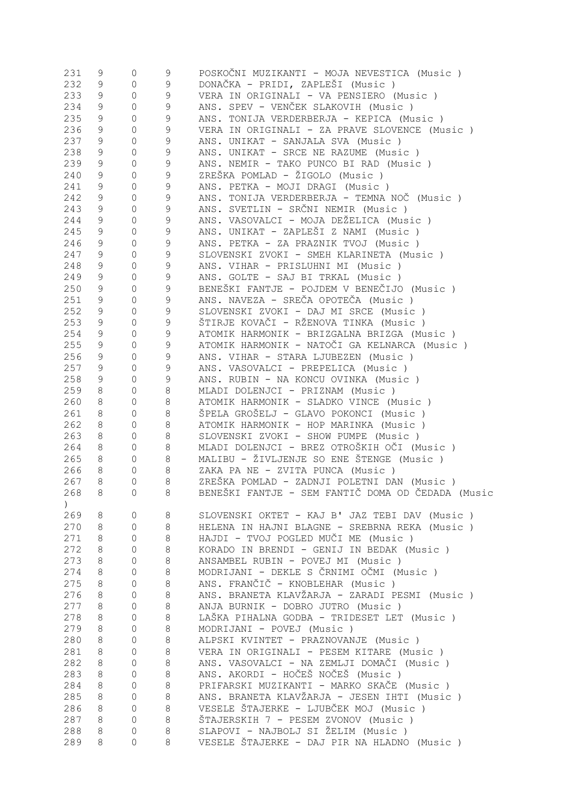| 9<br>9<br>0<br>233<br>9<br>9<br>VERA IN ORIGINALI - VA PENSIERO (Music)<br>$\circ$<br>234<br>$\mathsf 9$<br>ANS. SPEV - VENČEK SLAKOVIH (Music )<br>9<br>0<br>235<br>9<br>9<br>$\mathbb O$<br>ANS. TONIJA VERDERBERJA - KEPICA (Music )<br>236<br>9<br>9<br>VERA IN ORIGINALI - ZA PRAVE SLOVENCE (Music )<br>$\mathbb O$<br>237<br>9<br>9<br>$\mathbb O$<br>ANS. UNIKAT - SANJALA SVA (Music )<br>238<br>$\mathsf 9$<br>ANS. UNIKAT - SRCE NE RAZUME (Music)<br>9<br>$\circ$<br>239<br>$\mathsf 9$<br>ANS. NEMIR - TAKO PUNCO BI RAD (Music)<br>9<br>$\mathbb O$<br>$\mathsf 9$<br>ZREŠKA POMLAD - ŽIGOLO (Music)<br>240<br>9<br>$\circ$<br>$\mathsf 9$<br>ANS. PETKA - MOJI DRAGI (Music)<br>241<br>9<br>$\mathbb O$<br>$\mathsf 9$<br>ANS. TONIJA VERDERBERJA - TEMNA NOČ (Music)<br>242<br>9<br>$\mathbb O$<br>ANS. SVETLIN - SRČNI NEMIR (Music)<br>243<br>$\mathsf 9$<br>9<br>$\circ$<br>ANS. VASOVALCI - MOJA DEŽELICA (Music)<br>244<br>$\mathsf 9$<br>9<br>$\mathbb O$<br>ANS. UNIKAT - ZAPLEŠI Z NAMI (Music )<br>245<br>$\mathsf 9$<br>9<br>0<br>246<br>$\mathsf 9$<br>9<br>ANS. PETKA - ZA PRAZNIK TVOJ (Music )<br>0<br>$\mathsf 9$<br>247<br>SLOVENSKI ZVOKI - SMEH KLARINETA (Music)<br>9<br>0<br>248<br>$\mathsf 9$<br>9<br>ANS. VIHAR - PRISLUHNI MI (Music)<br>0<br>249<br>$\mathsf 9$<br>ANS. GOLTE - SAJ BI TRKAL (Music)<br>9<br>$\mathbf{0}$<br>$\mathsf 9$<br>250<br>BENEŠKI FANTJE - POJDEM V BENEČIJO (Music)<br>9<br>$\circ$<br>ANS. NAVEZA - SREČA OPOTEČA (Music )<br>251<br>9<br>9<br>$\circ$<br>252<br>9<br>$\mathsf 9$<br>SLOVENSKI ZVOKI - DAJ MI SRCE (Music)<br>$\mathbf{0}$<br>ŠTIRJE KOVAČI - RŽENOVA TINKA (Music )<br>253<br>$\mathsf 9$<br>9<br>$\circ$<br>254<br>$\mathsf 9$<br>ATOMIK HARMONIK - BRIZGALNA BRIZGA (Music)<br>9<br>$\mathbf{0}$<br>ATOMIK HARMONIK - NATOČI GA KELNARCA (Music)<br>255<br>9<br>9<br>$\circ$<br>256<br>9<br>ANS. VIHAR - STARA LJUBEZEN (Music )<br>9<br>$\circ$<br>257<br>9<br>9<br>ANS. VASOVALCI - PREPELICA (Music)<br>$\circ$<br>258<br>9<br>9<br>ANS. RUBIN - NA KONCU OVINKA (Music)<br>$\circ$<br>259<br>MLADI DOLENJCI - PRIZNAM (Music)<br>8<br>8<br>$\circ$<br>260<br>8<br>ATOMIK HARMONIK - SLADKO VINCE (Music)<br>8<br>$\circ$<br>261<br>8<br>ŠPELA GROŠELJ - GLAVO POKONCI (Music)<br>8<br>$\circ$<br>262<br>ATOMIK HARMONIK - HOP MARINKA (Music)<br>8<br>8<br>$\circ$<br>263<br>8<br>SLOVENSKI ZVOKI - SHOW PUMPE (Music)<br>8<br>$\circ$<br>MLADI DOLENJCI - BREZ OTROŠKIH OČI (Music )<br>264<br>8<br>8<br>$\circ$<br>265<br>8<br>MALIBU - ŽIVLJENJE SO ENE ŠTENGE (Music)<br>8<br>$\circ$<br>266<br>8<br>8<br>$\circ$<br>ZAKA PA NE - ZVITA PUNCA (Music)<br>267<br>8<br>8<br>ZREŠKA POMLAD - ZADNJI POLETNI DAN (Music)<br>$\mathbf{0}$<br>BENEŠKI FANTJE - SEM FANTIČ DOMA OD ČEDADA (Music<br>8 <sup>8</sup><br>268<br>- 8<br>0<br>$\mathcal{C}$<br>269<br>8<br>SLOVENSKI OKTET - KAJ B' JAZ TEBI DAV (Music)<br>8<br>0<br>270<br>8<br>8<br>HELENA IN HAJNI BLAGNE - SREBRNA REKA (Music)<br>0<br>271<br>8<br>HAJDI - TVOJ POGLED MUČI ME (Music)<br>8<br>0<br>272<br>8<br>KORADO IN BRENDI - GENIJ IN BEDAK (Music)<br>8<br>0<br>273<br>8<br>$\,8\,$<br>ANSAMBEL RUBIN - POVEJ MI (Music)<br>$\mathbf{0}$<br>274<br>$\,8\,$<br>MODRIJANI - DEKLE S ČRNIMI OČMI (Music)<br>8<br>0<br>$\,8\,$<br>275<br>8<br>ANS. FRANČIČ - KNOBLEHAR (Music)<br>0<br>$\,8\,$<br>ANS. BRANETA KLAVŽARJA - ZARADI PESMI (Music )<br>276<br>8<br>0<br>$\,8\,$<br>277<br>ANJA BURNIK - DOBRO JUTRO (Music)<br>8<br>0<br>278<br>8<br>$\,8\,$<br>LAŠKA PIHALNA GODBA - TRIDESET LET (Music)<br>0<br>279<br>8<br>$\,8\,$<br>MODRIJANI - POVEJ (Music)<br>0<br>280<br>8<br>$\,8\,$<br>ALPSKI KVINTET - PRAZNOVANJE (Music)<br>0<br>281<br>8<br>$\,8\,$<br>VERA IN ORIGINALI - PESEM KITARE (Music)<br>0<br>282<br>8<br>$\,8\,$<br>ANS. VASOVALCI - NA ZEMLJI DOMAČI (Music )<br>0<br>ANS. AKORDI - HOČEŠ NOČEŠ (Music )<br>283<br>$\,8\,$<br>8<br>0<br>$\,8\,$<br>284<br>PRIFARSKI MUZIKANTI - MARKO SKAČE (Music)<br>8<br>$\mathbf{0}$<br>ANS. BRANETA KLAVŽARJA - JESEN IHTI (Music )<br>285<br>8<br>8<br>$\mathbf 0$<br>VESELE ŠTAJERKE - LJUBČEK MOJ (Music)<br>286<br>8<br>8<br>0<br>287<br>8<br>ŠTAJERSKIH 7 - PESEM ZVONOV (Music )<br>8<br>0<br>SLAPOVI - NAJBOLJ SI ŽELIM (Music )<br>288<br>8<br>8<br>$\mathbf 0$<br>VESELE ŠTAJERKE - DAJ PIR NA HLADNO (Music)<br>289<br>8<br>8<br>0 | 231 | 9 | 0 | 9 | POSKOČNI MUZIKANTI - MOJA NEVESTICA (Music) |
|------------------------------------------------------------------------------------------------------------------------------------------------------------------------------------------------------------------------------------------------------------------------------------------------------------------------------------------------------------------------------------------------------------------------------------------------------------------------------------------------------------------------------------------------------------------------------------------------------------------------------------------------------------------------------------------------------------------------------------------------------------------------------------------------------------------------------------------------------------------------------------------------------------------------------------------------------------------------------------------------------------------------------------------------------------------------------------------------------------------------------------------------------------------------------------------------------------------------------------------------------------------------------------------------------------------------------------------------------------------------------------------------------------------------------------------------------------------------------------------------------------------------------------------------------------------------------------------------------------------------------------------------------------------------------------------------------------------------------------------------------------------------------------------------------------------------------------------------------------------------------------------------------------------------------------------------------------------------------------------------------------------------------------------------------------------------------------------------------------------------------------------------------------------------------------------------------------------------------------------------------------------------------------------------------------------------------------------------------------------------------------------------------------------------------------------------------------------------------------------------------------------------------------------------------------------------------------------------------------------------------------------------------------------------------------------------------------------------------------------------------------------------------------------------------------------------------------------------------------------------------------------------------------------------------------------------------------------------------------------------------------------------------------------------------------------------------------------------------------------------------------------------------------------------------------------------------------------------------------------------------------------------------------------------------------------------------------------------------------------------------------------------------------------------------------------------------------------------------------------------------------------------------------------------------------------------------------------------------------------------------------------------------------------------------------------------------------------------------------------------------------------------------------------------------------------------------------------------------------------------------------------------------------------------------------------------------------------------------------------------------------------------------------------------------------------------------------------------------------------------------------------------------------------------------------------------------------------------------------------------------------------------------------------------------------------------------------------------------------------------|-----|---|---|---|---------------------------------------------|
|                                                                                                                                                                                                                                                                                                                                                                                                                                                                                                                                                                                                                                                                                                                                                                                                                                                                                                                                                                                                                                                                                                                                                                                                                                                                                                                                                                                                                                                                                                                                                                                                                                                                                                                                                                                                                                                                                                                                                                                                                                                                                                                                                                                                                                                                                                                                                                                                                                                                                                                                                                                                                                                                                                                                                                                                                                                                                                                                                                                                                                                                                                                                                                                                                                                                                                                                                                                                                                                                                                                                                                                                                                                                                                                                                                                                                                                                                                                                                                                                                                                                                                                                                                                                                                                                                                                                                                        | 232 |   |   |   | DONAČKA - PRIDI, ZAPLEŠI (Music)            |
|                                                                                                                                                                                                                                                                                                                                                                                                                                                                                                                                                                                                                                                                                                                                                                                                                                                                                                                                                                                                                                                                                                                                                                                                                                                                                                                                                                                                                                                                                                                                                                                                                                                                                                                                                                                                                                                                                                                                                                                                                                                                                                                                                                                                                                                                                                                                                                                                                                                                                                                                                                                                                                                                                                                                                                                                                                                                                                                                                                                                                                                                                                                                                                                                                                                                                                                                                                                                                                                                                                                                                                                                                                                                                                                                                                                                                                                                                                                                                                                                                                                                                                                                                                                                                                                                                                                                                                        |     |   |   |   |                                             |
|                                                                                                                                                                                                                                                                                                                                                                                                                                                                                                                                                                                                                                                                                                                                                                                                                                                                                                                                                                                                                                                                                                                                                                                                                                                                                                                                                                                                                                                                                                                                                                                                                                                                                                                                                                                                                                                                                                                                                                                                                                                                                                                                                                                                                                                                                                                                                                                                                                                                                                                                                                                                                                                                                                                                                                                                                                                                                                                                                                                                                                                                                                                                                                                                                                                                                                                                                                                                                                                                                                                                                                                                                                                                                                                                                                                                                                                                                                                                                                                                                                                                                                                                                                                                                                                                                                                                                                        |     |   |   |   |                                             |
|                                                                                                                                                                                                                                                                                                                                                                                                                                                                                                                                                                                                                                                                                                                                                                                                                                                                                                                                                                                                                                                                                                                                                                                                                                                                                                                                                                                                                                                                                                                                                                                                                                                                                                                                                                                                                                                                                                                                                                                                                                                                                                                                                                                                                                                                                                                                                                                                                                                                                                                                                                                                                                                                                                                                                                                                                                                                                                                                                                                                                                                                                                                                                                                                                                                                                                                                                                                                                                                                                                                                                                                                                                                                                                                                                                                                                                                                                                                                                                                                                                                                                                                                                                                                                                                                                                                                                                        |     |   |   |   |                                             |
|                                                                                                                                                                                                                                                                                                                                                                                                                                                                                                                                                                                                                                                                                                                                                                                                                                                                                                                                                                                                                                                                                                                                                                                                                                                                                                                                                                                                                                                                                                                                                                                                                                                                                                                                                                                                                                                                                                                                                                                                                                                                                                                                                                                                                                                                                                                                                                                                                                                                                                                                                                                                                                                                                                                                                                                                                                                                                                                                                                                                                                                                                                                                                                                                                                                                                                                                                                                                                                                                                                                                                                                                                                                                                                                                                                                                                                                                                                                                                                                                                                                                                                                                                                                                                                                                                                                                                                        |     |   |   |   |                                             |
|                                                                                                                                                                                                                                                                                                                                                                                                                                                                                                                                                                                                                                                                                                                                                                                                                                                                                                                                                                                                                                                                                                                                                                                                                                                                                                                                                                                                                                                                                                                                                                                                                                                                                                                                                                                                                                                                                                                                                                                                                                                                                                                                                                                                                                                                                                                                                                                                                                                                                                                                                                                                                                                                                                                                                                                                                                                                                                                                                                                                                                                                                                                                                                                                                                                                                                                                                                                                                                                                                                                                                                                                                                                                                                                                                                                                                                                                                                                                                                                                                                                                                                                                                                                                                                                                                                                                                                        |     |   |   |   |                                             |
|                                                                                                                                                                                                                                                                                                                                                                                                                                                                                                                                                                                                                                                                                                                                                                                                                                                                                                                                                                                                                                                                                                                                                                                                                                                                                                                                                                                                                                                                                                                                                                                                                                                                                                                                                                                                                                                                                                                                                                                                                                                                                                                                                                                                                                                                                                                                                                                                                                                                                                                                                                                                                                                                                                                                                                                                                                                                                                                                                                                                                                                                                                                                                                                                                                                                                                                                                                                                                                                                                                                                                                                                                                                                                                                                                                                                                                                                                                                                                                                                                                                                                                                                                                                                                                                                                                                                                                        |     |   |   |   |                                             |
|                                                                                                                                                                                                                                                                                                                                                                                                                                                                                                                                                                                                                                                                                                                                                                                                                                                                                                                                                                                                                                                                                                                                                                                                                                                                                                                                                                                                                                                                                                                                                                                                                                                                                                                                                                                                                                                                                                                                                                                                                                                                                                                                                                                                                                                                                                                                                                                                                                                                                                                                                                                                                                                                                                                                                                                                                                                                                                                                                                                                                                                                                                                                                                                                                                                                                                                                                                                                                                                                                                                                                                                                                                                                                                                                                                                                                                                                                                                                                                                                                                                                                                                                                                                                                                                                                                                                                                        |     |   |   |   |                                             |
|                                                                                                                                                                                                                                                                                                                                                                                                                                                                                                                                                                                                                                                                                                                                                                                                                                                                                                                                                                                                                                                                                                                                                                                                                                                                                                                                                                                                                                                                                                                                                                                                                                                                                                                                                                                                                                                                                                                                                                                                                                                                                                                                                                                                                                                                                                                                                                                                                                                                                                                                                                                                                                                                                                                                                                                                                                                                                                                                                                                                                                                                                                                                                                                                                                                                                                                                                                                                                                                                                                                                                                                                                                                                                                                                                                                                                                                                                                                                                                                                                                                                                                                                                                                                                                                                                                                                                                        |     |   |   |   |                                             |
|                                                                                                                                                                                                                                                                                                                                                                                                                                                                                                                                                                                                                                                                                                                                                                                                                                                                                                                                                                                                                                                                                                                                                                                                                                                                                                                                                                                                                                                                                                                                                                                                                                                                                                                                                                                                                                                                                                                                                                                                                                                                                                                                                                                                                                                                                                                                                                                                                                                                                                                                                                                                                                                                                                                                                                                                                                                                                                                                                                                                                                                                                                                                                                                                                                                                                                                                                                                                                                                                                                                                                                                                                                                                                                                                                                                                                                                                                                                                                                                                                                                                                                                                                                                                                                                                                                                                                                        |     |   |   |   |                                             |
|                                                                                                                                                                                                                                                                                                                                                                                                                                                                                                                                                                                                                                                                                                                                                                                                                                                                                                                                                                                                                                                                                                                                                                                                                                                                                                                                                                                                                                                                                                                                                                                                                                                                                                                                                                                                                                                                                                                                                                                                                                                                                                                                                                                                                                                                                                                                                                                                                                                                                                                                                                                                                                                                                                                                                                                                                                                                                                                                                                                                                                                                                                                                                                                                                                                                                                                                                                                                                                                                                                                                                                                                                                                                                                                                                                                                                                                                                                                                                                                                                                                                                                                                                                                                                                                                                                                                                                        |     |   |   |   |                                             |
|                                                                                                                                                                                                                                                                                                                                                                                                                                                                                                                                                                                                                                                                                                                                                                                                                                                                                                                                                                                                                                                                                                                                                                                                                                                                                                                                                                                                                                                                                                                                                                                                                                                                                                                                                                                                                                                                                                                                                                                                                                                                                                                                                                                                                                                                                                                                                                                                                                                                                                                                                                                                                                                                                                                                                                                                                                                                                                                                                                                                                                                                                                                                                                                                                                                                                                                                                                                                                                                                                                                                                                                                                                                                                                                                                                                                                                                                                                                                                                                                                                                                                                                                                                                                                                                                                                                                                                        |     |   |   |   |                                             |
|                                                                                                                                                                                                                                                                                                                                                                                                                                                                                                                                                                                                                                                                                                                                                                                                                                                                                                                                                                                                                                                                                                                                                                                                                                                                                                                                                                                                                                                                                                                                                                                                                                                                                                                                                                                                                                                                                                                                                                                                                                                                                                                                                                                                                                                                                                                                                                                                                                                                                                                                                                                                                                                                                                                                                                                                                                                                                                                                                                                                                                                                                                                                                                                                                                                                                                                                                                                                                                                                                                                                                                                                                                                                                                                                                                                                                                                                                                                                                                                                                                                                                                                                                                                                                                                                                                                                                                        |     |   |   |   |                                             |
|                                                                                                                                                                                                                                                                                                                                                                                                                                                                                                                                                                                                                                                                                                                                                                                                                                                                                                                                                                                                                                                                                                                                                                                                                                                                                                                                                                                                                                                                                                                                                                                                                                                                                                                                                                                                                                                                                                                                                                                                                                                                                                                                                                                                                                                                                                                                                                                                                                                                                                                                                                                                                                                                                                                                                                                                                                                                                                                                                                                                                                                                                                                                                                                                                                                                                                                                                                                                                                                                                                                                                                                                                                                                                                                                                                                                                                                                                                                                                                                                                                                                                                                                                                                                                                                                                                                                                                        |     |   |   |   |                                             |
|                                                                                                                                                                                                                                                                                                                                                                                                                                                                                                                                                                                                                                                                                                                                                                                                                                                                                                                                                                                                                                                                                                                                                                                                                                                                                                                                                                                                                                                                                                                                                                                                                                                                                                                                                                                                                                                                                                                                                                                                                                                                                                                                                                                                                                                                                                                                                                                                                                                                                                                                                                                                                                                                                                                                                                                                                                                                                                                                                                                                                                                                                                                                                                                                                                                                                                                                                                                                                                                                                                                                                                                                                                                                                                                                                                                                                                                                                                                                                                                                                                                                                                                                                                                                                                                                                                                                                                        |     |   |   |   |                                             |
|                                                                                                                                                                                                                                                                                                                                                                                                                                                                                                                                                                                                                                                                                                                                                                                                                                                                                                                                                                                                                                                                                                                                                                                                                                                                                                                                                                                                                                                                                                                                                                                                                                                                                                                                                                                                                                                                                                                                                                                                                                                                                                                                                                                                                                                                                                                                                                                                                                                                                                                                                                                                                                                                                                                                                                                                                                                                                                                                                                                                                                                                                                                                                                                                                                                                                                                                                                                                                                                                                                                                                                                                                                                                                                                                                                                                                                                                                                                                                                                                                                                                                                                                                                                                                                                                                                                                                                        |     |   |   |   |                                             |
|                                                                                                                                                                                                                                                                                                                                                                                                                                                                                                                                                                                                                                                                                                                                                                                                                                                                                                                                                                                                                                                                                                                                                                                                                                                                                                                                                                                                                                                                                                                                                                                                                                                                                                                                                                                                                                                                                                                                                                                                                                                                                                                                                                                                                                                                                                                                                                                                                                                                                                                                                                                                                                                                                                                                                                                                                                                                                                                                                                                                                                                                                                                                                                                                                                                                                                                                                                                                                                                                                                                                                                                                                                                                                                                                                                                                                                                                                                                                                                                                                                                                                                                                                                                                                                                                                                                                                                        |     |   |   |   |                                             |
|                                                                                                                                                                                                                                                                                                                                                                                                                                                                                                                                                                                                                                                                                                                                                                                                                                                                                                                                                                                                                                                                                                                                                                                                                                                                                                                                                                                                                                                                                                                                                                                                                                                                                                                                                                                                                                                                                                                                                                                                                                                                                                                                                                                                                                                                                                                                                                                                                                                                                                                                                                                                                                                                                                                                                                                                                                                                                                                                                                                                                                                                                                                                                                                                                                                                                                                                                                                                                                                                                                                                                                                                                                                                                                                                                                                                                                                                                                                                                                                                                                                                                                                                                                                                                                                                                                                                                                        |     |   |   |   |                                             |
|                                                                                                                                                                                                                                                                                                                                                                                                                                                                                                                                                                                                                                                                                                                                                                                                                                                                                                                                                                                                                                                                                                                                                                                                                                                                                                                                                                                                                                                                                                                                                                                                                                                                                                                                                                                                                                                                                                                                                                                                                                                                                                                                                                                                                                                                                                                                                                                                                                                                                                                                                                                                                                                                                                                                                                                                                                                                                                                                                                                                                                                                                                                                                                                                                                                                                                                                                                                                                                                                                                                                                                                                                                                                                                                                                                                                                                                                                                                                                                                                                                                                                                                                                                                                                                                                                                                                                                        |     |   |   |   |                                             |
|                                                                                                                                                                                                                                                                                                                                                                                                                                                                                                                                                                                                                                                                                                                                                                                                                                                                                                                                                                                                                                                                                                                                                                                                                                                                                                                                                                                                                                                                                                                                                                                                                                                                                                                                                                                                                                                                                                                                                                                                                                                                                                                                                                                                                                                                                                                                                                                                                                                                                                                                                                                                                                                                                                                                                                                                                                                                                                                                                                                                                                                                                                                                                                                                                                                                                                                                                                                                                                                                                                                                                                                                                                                                                                                                                                                                                                                                                                                                                                                                                                                                                                                                                                                                                                                                                                                                                                        |     |   |   |   |                                             |
|                                                                                                                                                                                                                                                                                                                                                                                                                                                                                                                                                                                                                                                                                                                                                                                                                                                                                                                                                                                                                                                                                                                                                                                                                                                                                                                                                                                                                                                                                                                                                                                                                                                                                                                                                                                                                                                                                                                                                                                                                                                                                                                                                                                                                                                                                                                                                                                                                                                                                                                                                                                                                                                                                                                                                                                                                                                                                                                                                                                                                                                                                                                                                                                                                                                                                                                                                                                                                                                                                                                                                                                                                                                                                                                                                                                                                                                                                                                                                                                                                                                                                                                                                                                                                                                                                                                                                                        |     |   |   |   |                                             |
|                                                                                                                                                                                                                                                                                                                                                                                                                                                                                                                                                                                                                                                                                                                                                                                                                                                                                                                                                                                                                                                                                                                                                                                                                                                                                                                                                                                                                                                                                                                                                                                                                                                                                                                                                                                                                                                                                                                                                                                                                                                                                                                                                                                                                                                                                                                                                                                                                                                                                                                                                                                                                                                                                                                                                                                                                                                                                                                                                                                                                                                                                                                                                                                                                                                                                                                                                                                                                                                                                                                                                                                                                                                                                                                                                                                                                                                                                                                                                                                                                                                                                                                                                                                                                                                                                                                                                                        |     |   |   |   |                                             |
|                                                                                                                                                                                                                                                                                                                                                                                                                                                                                                                                                                                                                                                                                                                                                                                                                                                                                                                                                                                                                                                                                                                                                                                                                                                                                                                                                                                                                                                                                                                                                                                                                                                                                                                                                                                                                                                                                                                                                                                                                                                                                                                                                                                                                                                                                                                                                                                                                                                                                                                                                                                                                                                                                                                                                                                                                                                                                                                                                                                                                                                                                                                                                                                                                                                                                                                                                                                                                                                                                                                                                                                                                                                                                                                                                                                                                                                                                                                                                                                                                                                                                                                                                                                                                                                                                                                                                                        |     |   |   |   |                                             |
|                                                                                                                                                                                                                                                                                                                                                                                                                                                                                                                                                                                                                                                                                                                                                                                                                                                                                                                                                                                                                                                                                                                                                                                                                                                                                                                                                                                                                                                                                                                                                                                                                                                                                                                                                                                                                                                                                                                                                                                                                                                                                                                                                                                                                                                                                                                                                                                                                                                                                                                                                                                                                                                                                                                                                                                                                                                                                                                                                                                                                                                                                                                                                                                                                                                                                                                                                                                                                                                                                                                                                                                                                                                                                                                                                                                                                                                                                                                                                                                                                                                                                                                                                                                                                                                                                                                                                                        |     |   |   |   |                                             |
|                                                                                                                                                                                                                                                                                                                                                                                                                                                                                                                                                                                                                                                                                                                                                                                                                                                                                                                                                                                                                                                                                                                                                                                                                                                                                                                                                                                                                                                                                                                                                                                                                                                                                                                                                                                                                                                                                                                                                                                                                                                                                                                                                                                                                                                                                                                                                                                                                                                                                                                                                                                                                                                                                                                                                                                                                                                                                                                                                                                                                                                                                                                                                                                                                                                                                                                                                                                                                                                                                                                                                                                                                                                                                                                                                                                                                                                                                                                                                                                                                                                                                                                                                                                                                                                                                                                                                                        |     |   |   |   |                                             |
|                                                                                                                                                                                                                                                                                                                                                                                                                                                                                                                                                                                                                                                                                                                                                                                                                                                                                                                                                                                                                                                                                                                                                                                                                                                                                                                                                                                                                                                                                                                                                                                                                                                                                                                                                                                                                                                                                                                                                                                                                                                                                                                                                                                                                                                                                                                                                                                                                                                                                                                                                                                                                                                                                                                                                                                                                                                                                                                                                                                                                                                                                                                                                                                                                                                                                                                                                                                                                                                                                                                                                                                                                                                                                                                                                                                                                                                                                                                                                                                                                                                                                                                                                                                                                                                                                                                                                                        |     |   |   |   |                                             |
|                                                                                                                                                                                                                                                                                                                                                                                                                                                                                                                                                                                                                                                                                                                                                                                                                                                                                                                                                                                                                                                                                                                                                                                                                                                                                                                                                                                                                                                                                                                                                                                                                                                                                                                                                                                                                                                                                                                                                                                                                                                                                                                                                                                                                                                                                                                                                                                                                                                                                                                                                                                                                                                                                                                                                                                                                                                                                                                                                                                                                                                                                                                                                                                                                                                                                                                                                                                                                                                                                                                                                                                                                                                                                                                                                                                                                                                                                                                                                                                                                                                                                                                                                                                                                                                                                                                                                                        |     |   |   |   |                                             |
|                                                                                                                                                                                                                                                                                                                                                                                                                                                                                                                                                                                                                                                                                                                                                                                                                                                                                                                                                                                                                                                                                                                                                                                                                                                                                                                                                                                                                                                                                                                                                                                                                                                                                                                                                                                                                                                                                                                                                                                                                                                                                                                                                                                                                                                                                                                                                                                                                                                                                                                                                                                                                                                                                                                                                                                                                                                                                                                                                                                                                                                                                                                                                                                                                                                                                                                                                                                                                                                                                                                                                                                                                                                                                                                                                                                                                                                                                                                                                                                                                                                                                                                                                                                                                                                                                                                                                                        |     |   |   |   |                                             |
|                                                                                                                                                                                                                                                                                                                                                                                                                                                                                                                                                                                                                                                                                                                                                                                                                                                                                                                                                                                                                                                                                                                                                                                                                                                                                                                                                                                                                                                                                                                                                                                                                                                                                                                                                                                                                                                                                                                                                                                                                                                                                                                                                                                                                                                                                                                                                                                                                                                                                                                                                                                                                                                                                                                                                                                                                                                                                                                                                                                                                                                                                                                                                                                                                                                                                                                                                                                                                                                                                                                                                                                                                                                                                                                                                                                                                                                                                                                                                                                                                                                                                                                                                                                                                                                                                                                                                                        |     |   |   |   |                                             |
|                                                                                                                                                                                                                                                                                                                                                                                                                                                                                                                                                                                                                                                                                                                                                                                                                                                                                                                                                                                                                                                                                                                                                                                                                                                                                                                                                                                                                                                                                                                                                                                                                                                                                                                                                                                                                                                                                                                                                                                                                                                                                                                                                                                                                                                                                                                                                                                                                                                                                                                                                                                                                                                                                                                                                                                                                                                                                                                                                                                                                                                                                                                                                                                                                                                                                                                                                                                                                                                                                                                                                                                                                                                                                                                                                                                                                                                                                                                                                                                                                                                                                                                                                                                                                                                                                                                                                                        |     |   |   |   |                                             |
|                                                                                                                                                                                                                                                                                                                                                                                                                                                                                                                                                                                                                                                                                                                                                                                                                                                                                                                                                                                                                                                                                                                                                                                                                                                                                                                                                                                                                                                                                                                                                                                                                                                                                                                                                                                                                                                                                                                                                                                                                                                                                                                                                                                                                                                                                                                                                                                                                                                                                                                                                                                                                                                                                                                                                                                                                                                                                                                                                                                                                                                                                                                                                                                                                                                                                                                                                                                                                                                                                                                                                                                                                                                                                                                                                                                                                                                                                                                                                                                                                                                                                                                                                                                                                                                                                                                                                                        |     |   |   |   |                                             |
|                                                                                                                                                                                                                                                                                                                                                                                                                                                                                                                                                                                                                                                                                                                                                                                                                                                                                                                                                                                                                                                                                                                                                                                                                                                                                                                                                                                                                                                                                                                                                                                                                                                                                                                                                                                                                                                                                                                                                                                                                                                                                                                                                                                                                                                                                                                                                                                                                                                                                                                                                                                                                                                                                                                                                                                                                                                                                                                                                                                                                                                                                                                                                                                                                                                                                                                                                                                                                                                                                                                                                                                                                                                                                                                                                                                                                                                                                                                                                                                                                                                                                                                                                                                                                                                                                                                                                                        |     |   |   |   |                                             |
|                                                                                                                                                                                                                                                                                                                                                                                                                                                                                                                                                                                                                                                                                                                                                                                                                                                                                                                                                                                                                                                                                                                                                                                                                                                                                                                                                                                                                                                                                                                                                                                                                                                                                                                                                                                                                                                                                                                                                                                                                                                                                                                                                                                                                                                                                                                                                                                                                                                                                                                                                                                                                                                                                                                                                                                                                                                                                                                                                                                                                                                                                                                                                                                                                                                                                                                                                                                                                                                                                                                                                                                                                                                                                                                                                                                                                                                                                                                                                                                                                                                                                                                                                                                                                                                                                                                                                                        |     |   |   |   |                                             |
|                                                                                                                                                                                                                                                                                                                                                                                                                                                                                                                                                                                                                                                                                                                                                                                                                                                                                                                                                                                                                                                                                                                                                                                                                                                                                                                                                                                                                                                                                                                                                                                                                                                                                                                                                                                                                                                                                                                                                                                                                                                                                                                                                                                                                                                                                                                                                                                                                                                                                                                                                                                                                                                                                                                                                                                                                                                                                                                                                                                                                                                                                                                                                                                                                                                                                                                                                                                                                                                                                                                                                                                                                                                                                                                                                                                                                                                                                                                                                                                                                                                                                                                                                                                                                                                                                                                                                                        |     |   |   |   |                                             |
|                                                                                                                                                                                                                                                                                                                                                                                                                                                                                                                                                                                                                                                                                                                                                                                                                                                                                                                                                                                                                                                                                                                                                                                                                                                                                                                                                                                                                                                                                                                                                                                                                                                                                                                                                                                                                                                                                                                                                                                                                                                                                                                                                                                                                                                                                                                                                                                                                                                                                                                                                                                                                                                                                                                                                                                                                                                                                                                                                                                                                                                                                                                                                                                                                                                                                                                                                                                                                                                                                                                                                                                                                                                                                                                                                                                                                                                                                                                                                                                                                                                                                                                                                                                                                                                                                                                                                                        |     |   |   |   |                                             |
|                                                                                                                                                                                                                                                                                                                                                                                                                                                                                                                                                                                                                                                                                                                                                                                                                                                                                                                                                                                                                                                                                                                                                                                                                                                                                                                                                                                                                                                                                                                                                                                                                                                                                                                                                                                                                                                                                                                                                                                                                                                                                                                                                                                                                                                                                                                                                                                                                                                                                                                                                                                                                                                                                                                                                                                                                                                                                                                                                                                                                                                                                                                                                                                                                                                                                                                                                                                                                                                                                                                                                                                                                                                                                                                                                                                                                                                                                                                                                                                                                                                                                                                                                                                                                                                                                                                                                                        |     |   |   |   |                                             |
|                                                                                                                                                                                                                                                                                                                                                                                                                                                                                                                                                                                                                                                                                                                                                                                                                                                                                                                                                                                                                                                                                                                                                                                                                                                                                                                                                                                                                                                                                                                                                                                                                                                                                                                                                                                                                                                                                                                                                                                                                                                                                                                                                                                                                                                                                                                                                                                                                                                                                                                                                                                                                                                                                                                                                                                                                                                                                                                                                                                                                                                                                                                                                                                                                                                                                                                                                                                                                                                                                                                                                                                                                                                                                                                                                                                                                                                                                                                                                                                                                                                                                                                                                                                                                                                                                                                                                                        |     |   |   |   |                                             |
|                                                                                                                                                                                                                                                                                                                                                                                                                                                                                                                                                                                                                                                                                                                                                                                                                                                                                                                                                                                                                                                                                                                                                                                                                                                                                                                                                                                                                                                                                                                                                                                                                                                                                                                                                                                                                                                                                                                                                                                                                                                                                                                                                                                                                                                                                                                                                                                                                                                                                                                                                                                                                                                                                                                                                                                                                                                                                                                                                                                                                                                                                                                                                                                                                                                                                                                                                                                                                                                                                                                                                                                                                                                                                                                                                                                                                                                                                                                                                                                                                                                                                                                                                                                                                                                                                                                                                                        |     |   |   |   |                                             |
|                                                                                                                                                                                                                                                                                                                                                                                                                                                                                                                                                                                                                                                                                                                                                                                                                                                                                                                                                                                                                                                                                                                                                                                                                                                                                                                                                                                                                                                                                                                                                                                                                                                                                                                                                                                                                                                                                                                                                                                                                                                                                                                                                                                                                                                                                                                                                                                                                                                                                                                                                                                                                                                                                                                                                                                                                                                                                                                                                                                                                                                                                                                                                                                                                                                                                                                                                                                                                                                                                                                                                                                                                                                                                                                                                                                                                                                                                                                                                                                                                                                                                                                                                                                                                                                                                                                                                                        |     |   |   |   |                                             |
|                                                                                                                                                                                                                                                                                                                                                                                                                                                                                                                                                                                                                                                                                                                                                                                                                                                                                                                                                                                                                                                                                                                                                                                                                                                                                                                                                                                                                                                                                                                                                                                                                                                                                                                                                                                                                                                                                                                                                                                                                                                                                                                                                                                                                                                                                                                                                                                                                                                                                                                                                                                                                                                                                                                                                                                                                                                                                                                                                                                                                                                                                                                                                                                                                                                                                                                                                                                                                                                                                                                                                                                                                                                                                                                                                                                                                                                                                                                                                                                                                                                                                                                                                                                                                                                                                                                                                                        |     |   |   |   |                                             |
|                                                                                                                                                                                                                                                                                                                                                                                                                                                                                                                                                                                                                                                                                                                                                                                                                                                                                                                                                                                                                                                                                                                                                                                                                                                                                                                                                                                                                                                                                                                                                                                                                                                                                                                                                                                                                                                                                                                                                                                                                                                                                                                                                                                                                                                                                                                                                                                                                                                                                                                                                                                                                                                                                                                                                                                                                                                                                                                                                                                                                                                                                                                                                                                                                                                                                                                                                                                                                                                                                                                                                                                                                                                                                                                                                                                                                                                                                                                                                                                                                                                                                                                                                                                                                                                                                                                                                                        |     |   |   |   |                                             |
|                                                                                                                                                                                                                                                                                                                                                                                                                                                                                                                                                                                                                                                                                                                                                                                                                                                                                                                                                                                                                                                                                                                                                                                                                                                                                                                                                                                                                                                                                                                                                                                                                                                                                                                                                                                                                                                                                                                                                                                                                                                                                                                                                                                                                                                                                                                                                                                                                                                                                                                                                                                                                                                                                                                                                                                                                                                                                                                                                                                                                                                                                                                                                                                                                                                                                                                                                                                                                                                                                                                                                                                                                                                                                                                                                                                                                                                                                                                                                                                                                                                                                                                                                                                                                                                                                                                                                                        |     |   |   |   |                                             |
|                                                                                                                                                                                                                                                                                                                                                                                                                                                                                                                                                                                                                                                                                                                                                                                                                                                                                                                                                                                                                                                                                                                                                                                                                                                                                                                                                                                                                                                                                                                                                                                                                                                                                                                                                                                                                                                                                                                                                                                                                                                                                                                                                                                                                                                                                                                                                                                                                                                                                                                                                                                                                                                                                                                                                                                                                                                                                                                                                                                                                                                                                                                                                                                                                                                                                                                                                                                                                                                                                                                                                                                                                                                                                                                                                                                                                                                                                                                                                                                                                                                                                                                                                                                                                                                                                                                                                                        |     |   |   |   |                                             |
|                                                                                                                                                                                                                                                                                                                                                                                                                                                                                                                                                                                                                                                                                                                                                                                                                                                                                                                                                                                                                                                                                                                                                                                                                                                                                                                                                                                                                                                                                                                                                                                                                                                                                                                                                                                                                                                                                                                                                                                                                                                                                                                                                                                                                                                                                                                                                                                                                                                                                                                                                                                                                                                                                                                                                                                                                                                                                                                                                                                                                                                                                                                                                                                                                                                                                                                                                                                                                                                                                                                                                                                                                                                                                                                                                                                                                                                                                                                                                                                                                                                                                                                                                                                                                                                                                                                                                                        |     |   |   |   |                                             |
|                                                                                                                                                                                                                                                                                                                                                                                                                                                                                                                                                                                                                                                                                                                                                                                                                                                                                                                                                                                                                                                                                                                                                                                                                                                                                                                                                                                                                                                                                                                                                                                                                                                                                                                                                                                                                                                                                                                                                                                                                                                                                                                                                                                                                                                                                                                                                                                                                                                                                                                                                                                                                                                                                                                                                                                                                                                                                                                                                                                                                                                                                                                                                                                                                                                                                                                                                                                                                                                                                                                                                                                                                                                                                                                                                                                                                                                                                                                                                                                                                                                                                                                                                                                                                                                                                                                                                                        |     |   |   |   |                                             |
|                                                                                                                                                                                                                                                                                                                                                                                                                                                                                                                                                                                                                                                                                                                                                                                                                                                                                                                                                                                                                                                                                                                                                                                                                                                                                                                                                                                                                                                                                                                                                                                                                                                                                                                                                                                                                                                                                                                                                                                                                                                                                                                                                                                                                                                                                                                                                                                                                                                                                                                                                                                                                                                                                                                                                                                                                                                                                                                                                                                                                                                                                                                                                                                                                                                                                                                                                                                                                                                                                                                                                                                                                                                                                                                                                                                                                                                                                                                                                                                                                                                                                                                                                                                                                                                                                                                                                                        |     |   |   |   |                                             |
|                                                                                                                                                                                                                                                                                                                                                                                                                                                                                                                                                                                                                                                                                                                                                                                                                                                                                                                                                                                                                                                                                                                                                                                                                                                                                                                                                                                                                                                                                                                                                                                                                                                                                                                                                                                                                                                                                                                                                                                                                                                                                                                                                                                                                                                                                                                                                                                                                                                                                                                                                                                                                                                                                                                                                                                                                                                                                                                                                                                                                                                                                                                                                                                                                                                                                                                                                                                                                                                                                                                                                                                                                                                                                                                                                                                                                                                                                                                                                                                                                                                                                                                                                                                                                                                                                                                                                                        |     |   |   |   |                                             |
|                                                                                                                                                                                                                                                                                                                                                                                                                                                                                                                                                                                                                                                                                                                                                                                                                                                                                                                                                                                                                                                                                                                                                                                                                                                                                                                                                                                                                                                                                                                                                                                                                                                                                                                                                                                                                                                                                                                                                                                                                                                                                                                                                                                                                                                                                                                                                                                                                                                                                                                                                                                                                                                                                                                                                                                                                                                                                                                                                                                                                                                                                                                                                                                                                                                                                                                                                                                                                                                                                                                                                                                                                                                                                                                                                                                                                                                                                                                                                                                                                                                                                                                                                                                                                                                                                                                                                                        |     |   |   |   |                                             |
|                                                                                                                                                                                                                                                                                                                                                                                                                                                                                                                                                                                                                                                                                                                                                                                                                                                                                                                                                                                                                                                                                                                                                                                                                                                                                                                                                                                                                                                                                                                                                                                                                                                                                                                                                                                                                                                                                                                                                                                                                                                                                                                                                                                                                                                                                                                                                                                                                                                                                                                                                                                                                                                                                                                                                                                                                                                                                                                                                                                                                                                                                                                                                                                                                                                                                                                                                                                                                                                                                                                                                                                                                                                                                                                                                                                                                                                                                                                                                                                                                                                                                                                                                                                                                                                                                                                                                                        |     |   |   |   |                                             |
|                                                                                                                                                                                                                                                                                                                                                                                                                                                                                                                                                                                                                                                                                                                                                                                                                                                                                                                                                                                                                                                                                                                                                                                                                                                                                                                                                                                                                                                                                                                                                                                                                                                                                                                                                                                                                                                                                                                                                                                                                                                                                                                                                                                                                                                                                                                                                                                                                                                                                                                                                                                                                                                                                                                                                                                                                                                                                                                                                                                                                                                                                                                                                                                                                                                                                                                                                                                                                                                                                                                                                                                                                                                                                                                                                                                                                                                                                                                                                                                                                                                                                                                                                                                                                                                                                                                                                                        |     |   |   |   |                                             |
|                                                                                                                                                                                                                                                                                                                                                                                                                                                                                                                                                                                                                                                                                                                                                                                                                                                                                                                                                                                                                                                                                                                                                                                                                                                                                                                                                                                                                                                                                                                                                                                                                                                                                                                                                                                                                                                                                                                                                                                                                                                                                                                                                                                                                                                                                                                                                                                                                                                                                                                                                                                                                                                                                                                                                                                                                                                                                                                                                                                                                                                                                                                                                                                                                                                                                                                                                                                                                                                                                                                                                                                                                                                                                                                                                                                                                                                                                                                                                                                                                                                                                                                                                                                                                                                                                                                                                                        |     |   |   |   |                                             |
|                                                                                                                                                                                                                                                                                                                                                                                                                                                                                                                                                                                                                                                                                                                                                                                                                                                                                                                                                                                                                                                                                                                                                                                                                                                                                                                                                                                                                                                                                                                                                                                                                                                                                                                                                                                                                                                                                                                                                                                                                                                                                                                                                                                                                                                                                                                                                                                                                                                                                                                                                                                                                                                                                                                                                                                                                                                                                                                                                                                                                                                                                                                                                                                                                                                                                                                                                                                                                                                                                                                                                                                                                                                                                                                                                                                                                                                                                                                                                                                                                                                                                                                                                                                                                                                                                                                                                                        |     |   |   |   |                                             |
|                                                                                                                                                                                                                                                                                                                                                                                                                                                                                                                                                                                                                                                                                                                                                                                                                                                                                                                                                                                                                                                                                                                                                                                                                                                                                                                                                                                                                                                                                                                                                                                                                                                                                                                                                                                                                                                                                                                                                                                                                                                                                                                                                                                                                                                                                                                                                                                                                                                                                                                                                                                                                                                                                                                                                                                                                                                                                                                                                                                                                                                                                                                                                                                                                                                                                                                                                                                                                                                                                                                                                                                                                                                                                                                                                                                                                                                                                                                                                                                                                                                                                                                                                                                                                                                                                                                                                                        |     |   |   |   |                                             |
|                                                                                                                                                                                                                                                                                                                                                                                                                                                                                                                                                                                                                                                                                                                                                                                                                                                                                                                                                                                                                                                                                                                                                                                                                                                                                                                                                                                                                                                                                                                                                                                                                                                                                                                                                                                                                                                                                                                                                                                                                                                                                                                                                                                                                                                                                                                                                                                                                                                                                                                                                                                                                                                                                                                                                                                                                                                                                                                                                                                                                                                                                                                                                                                                                                                                                                                                                                                                                                                                                                                                                                                                                                                                                                                                                                                                                                                                                                                                                                                                                                                                                                                                                                                                                                                                                                                                                                        |     |   |   |   |                                             |
|                                                                                                                                                                                                                                                                                                                                                                                                                                                                                                                                                                                                                                                                                                                                                                                                                                                                                                                                                                                                                                                                                                                                                                                                                                                                                                                                                                                                                                                                                                                                                                                                                                                                                                                                                                                                                                                                                                                                                                                                                                                                                                                                                                                                                                                                                                                                                                                                                                                                                                                                                                                                                                                                                                                                                                                                                                                                                                                                                                                                                                                                                                                                                                                                                                                                                                                                                                                                                                                                                                                                                                                                                                                                                                                                                                                                                                                                                                                                                                                                                                                                                                                                                                                                                                                                                                                                                                        |     |   |   |   |                                             |
|                                                                                                                                                                                                                                                                                                                                                                                                                                                                                                                                                                                                                                                                                                                                                                                                                                                                                                                                                                                                                                                                                                                                                                                                                                                                                                                                                                                                                                                                                                                                                                                                                                                                                                                                                                                                                                                                                                                                                                                                                                                                                                                                                                                                                                                                                                                                                                                                                                                                                                                                                                                                                                                                                                                                                                                                                                                                                                                                                                                                                                                                                                                                                                                                                                                                                                                                                                                                                                                                                                                                                                                                                                                                                                                                                                                                                                                                                                                                                                                                                                                                                                                                                                                                                                                                                                                                                                        |     |   |   |   |                                             |
|                                                                                                                                                                                                                                                                                                                                                                                                                                                                                                                                                                                                                                                                                                                                                                                                                                                                                                                                                                                                                                                                                                                                                                                                                                                                                                                                                                                                                                                                                                                                                                                                                                                                                                                                                                                                                                                                                                                                                                                                                                                                                                                                                                                                                                                                                                                                                                                                                                                                                                                                                                                                                                                                                                                                                                                                                                                                                                                                                                                                                                                                                                                                                                                                                                                                                                                                                                                                                                                                                                                                                                                                                                                                                                                                                                                                                                                                                                                                                                                                                                                                                                                                                                                                                                                                                                                                                                        |     |   |   |   |                                             |
|                                                                                                                                                                                                                                                                                                                                                                                                                                                                                                                                                                                                                                                                                                                                                                                                                                                                                                                                                                                                                                                                                                                                                                                                                                                                                                                                                                                                                                                                                                                                                                                                                                                                                                                                                                                                                                                                                                                                                                                                                                                                                                                                                                                                                                                                                                                                                                                                                                                                                                                                                                                                                                                                                                                                                                                                                                                                                                                                                                                                                                                                                                                                                                                                                                                                                                                                                                                                                                                                                                                                                                                                                                                                                                                                                                                                                                                                                                                                                                                                                                                                                                                                                                                                                                                                                                                                                                        |     |   |   |   |                                             |
|                                                                                                                                                                                                                                                                                                                                                                                                                                                                                                                                                                                                                                                                                                                                                                                                                                                                                                                                                                                                                                                                                                                                                                                                                                                                                                                                                                                                                                                                                                                                                                                                                                                                                                                                                                                                                                                                                                                                                                                                                                                                                                                                                                                                                                                                                                                                                                                                                                                                                                                                                                                                                                                                                                                                                                                                                                                                                                                                                                                                                                                                                                                                                                                                                                                                                                                                                                                                                                                                                                                                                                                                                                                                                                                                                                                                                                                                                                                                                                                                                                                                                                                                                                                                                                                                                                                                                                        |     |   |   |   |                                             |
|                                                                                                                                                                                                                                                                                                                                                                                                                                                                                                                                                                                                                                                                                                                                                                                                                                                                                                                                                                                                                                                                                                                                                                                                                                                                                                                                                                                                                                                                                                                                                                                                                                                                                                                                                                                                                                                                                                                                                                                                                                                                                                                                                                                                                                                                                                                                                                                                                                                                                                                                                                                                                                                                                                                                                                                                                                                                                                                                                                                                                                                                                                                                                                                                                                                                                                                                                                                                                                                                                                                                                                                                                                                                                                                                                                                                                                                                                                                                                                                                                                                                                                                                                                                                                                                                                                                                                                        |     |   |   |   |                                             |
|                                                                                                                                                                                                                                                                                                                                                                                                                                                                                                                                                                                                                                                                                                                                                                                                                                                                                                                                                                                                                                                                                                                                                                                                                                                                                                                                                                                                                                                                                                                                                                                                                                                                                                                                                                                                                                                                                                                                                                                                                                                                                                                                                                                                                                                                                                                                                                                                                                                                                                                                                                                                                                                                                                                                                                                                                                                                                                                                                                                                                                                                                                                                                                                                                                                                                                                                                                                                                                                                                                                                                                                                                                                                                                                                                                                                                                                                                                                                                                                                                                                                                                                                                                                                                                                                                                                                                                        |     |   |   |   |                                             |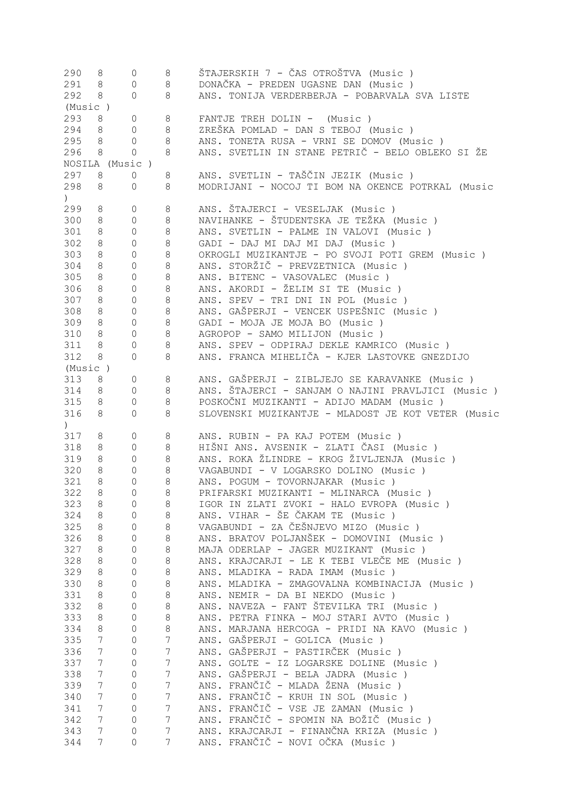| 290                                             | 8                                 | $\circ$        | 8                   | ŠTAJERSKIH 7 - ČAS OTROŠTVA (Music )                                         |
|-------------------------------------------------|-----------------------------------|----------------|---------------------|------------------------------------------------------------------------------|
| 291                                             | 8                                 | $\mathbb O$    | 8                   | DONAČKA - PREDEN UGASNE DAN (Music)                                          |
| 292                                             | 8                                 | $\circ$        | 8                   | ANS. TONIJA VERDERBERJA - POBARVALA SVA LISTE                                |
| (Music)                                         |                                   |                |                     |                                                                              |
| 293                                             | 8                                 | $\mathbb O$    | 8                   | FANTJE TREH DOLIN - (Music)                                                  |
| 294                                             | 8                                 | $\circ$        | 8                   | ZREŠKA POMLAD - DAN S TEBOJ (Music)                                          |
| 295                                             |                                   | $\mathbf{0}$   | 8                   | ANS. TONETA RUSA - VRNI SE DOMOV (Music )                                    |
|                                                 | 8                                 |                |                     |                                                                              |
| 296                                             | 8                                 | $\circ$        | 8                   | ANS. SVETLIN IN STANE PETRIČ - BELO OBLEKO SI ŽE                             |
|                                                 |                                   | NOSILA (Music) |                     |                                                                              |
| 297                                             | 8                                 | $\circ$        | 8                   | ANS. SVETLIN - TAŠČIN JEZIK (Music )                                         |
| 298                                             | 8                                 | 0              | 8                   | MODRIJANI - NOCOJ TI BOM NA OKENCE POTRKAL (Music                            |
| $\left( \begin{array}{c} 1 \end{array} \right)$ |                                   |                |                     |                                                                              |
| 299                                             | 8                                 | $\circ$        | 8                   | ANS. ŠTAJERCI - VESELJAK (Music)                                             |
| 300                                             | 8                                 | $\circ$        | 8                   | NAVIHANKE - ŠTUDENTSKA JE TEŽKA (Music )                                     |
| 301                                             | 8                                 | $\circ$        | 8                   | ANS. SVETLIN - PALME IN VALOVI (Music)                                       |
| 302                                             | 8                                 | $\circ$        | 8                   | GADI - DAJ MI DAJ MI DAJ (Music)                                             |
|                                                 |                                   |                |                     |                                                                              |
| 303                                             | 8                                 | $\circ$        | 8                   | OKROGLI MUZIKANTJE - PO SVOJI POTI GREM (Music )                             |
| 304                                             | 8                                 | $\circ$        | $\,8\,$             | ANS. STORŽIČ - PREVZETNICA (Music)                                           |
| 305                                             | 8                                 | $\mathbb O$    | $\,8\,$             | ANS. BITENC - VASOVALEC (Music)                                              |
| 306                                             | 8                                 | $\mathbb O$    | $\,8\,$             | ANS. AKORDI - ŽELIM SI TE (Music)                                            |
| 307                                             | 8                                 | $\circ$        | 8                   | ANS. SPEV - TRI DNI IN POL (Music)                                           |
| 308                                             | 8                                 | $\mathbb O$    | 8                   | ANS. GAŠPERJI - VENCEK USPEŠNIC (Music )                                     |
| 309                                             | 8                                 | $\mathbb O$    | 8                   | GADI - MOJA JE MOJA BO (Music)                                               |
| 310                                             | 8                                 | $\circ$        | 8                   | AGROPOP - SAMO MILIJON (Music)                                               |
| 311                                             | 8                                 | $\circ$        | 8                   | ANS. SPEV - ODPIRAJ DEKLE KAMRICO (Music )                                   |
| 312                                             | 8                                 | $\circ$        | 8                   | ANS. FRANCA MIHELIČA - KJER LASTOVKE GNEZDIJO                                |
|                                                 |                                   |                |                     |                                                                              |
| (Music)                                         |                                   |                |                     |                                                                              |
| 313                                             | 8                                 | $\circ$        | 8                   | ANS. GAŠPERJI - ZIBLJEJO SE KARAVANKE (Music)                                |
| 314                                             | 8                                 | $\circ$        | 8                   | ANS. ŠTAJERCI - SANJAM O NAJINI PRAVLJICI (Music)                            |
| 315                                             | 8                                 | $\mathbf{0}$   | 8                   | POSKOČNI MUZIKANTI - ADIJO MADAM (Music)                                     |
| 316                                             | 8                                 | $\circ$        | 8                   | SLOVENSKI MUZIKANTJE - MLADOST JE KOT VETER (Music                           |
|                                                 |                                   |                |                     |                                                                              |
| $\left( \right)$                                |                                   |                |                     |                                                                              |
|                                                 | 8                                 |                |                     |                                                                              |
| 317                                             |                                   | $\mathbb O$    | 8                   | ANS. RUBIN - PA KAJ POTEM (Music)                                            |
| 318                                             | 8                                 | $\mathbb O$    | 8                   | HIŠNI ANS. AVSENIK - ZLATI ČASI (Music )                                     |
| 319                                             | 8                                 | $\circ$        | $\,8\,$             | ANS. ROKA ŽLINDRE - KROG ŽIVLJENJA (Music )                                  |
| 320                                             | 8                                 | $\mathbf{0}$   | 8                   | VAGABUNDI - V LOGARSKO DOLINO (Music)                                        |
| 321                                             | 8                                 | $\mathbf{0}$   | 8                   | ANS. POGUM - TOVORNJAKAR (Music)                                             |
| 322                                             | $\,8\,$                           | $\mathbf{0}$   | 8                   | PRIFARSKI MUZIKANTI - MLINARCA (Music)                                       |
| 323                                             | 8                                 | 0              | 8                   | IGOR IN ZLATI ZVOKI - HALO EVROPA (Music)                                    |
| 324                                             | 8                                 | $\circ$        | 8                   | ANS. VIHAR - ŠE ČAKAM TE (Music )                                            |
| 325                                             | 8                                 | $\mathbf 0$    | 8                   | VAGABUNDI - ZA ČEŠNJEVO MIZO (Music)                                         |
| 326                                             | $8\,$                             | $\circ$        | $\,8\,$             | ANS. BRATOV POLJANŠEK - DOMOVINI (Music )                                    |
| 327                                             | 8                                 | $\mathbf 0$    | $\,8\,$             | MAJA ODERLAP - JAGER MUZIKANT (Music)                                        |
|                                                 |                                   | $\circ$        |                     |                                                                              |
| 328                                             | 8                                 |                | $\,8\,$             | ANS. KRAJCARJI - LE K TEBI VLEČE ME (Music)                                  |
| 329                                             | 8                                 | $\mathbf 0$    | 8                   | ANS. MLADIKA - RADA IMAM (Music)                                             |
| 330                                             | 8                                 | $\circ$        | $\,8\,$             | ANS. MLADIKA - ZMAGOVALNA KOMBINACIJA (Music)                                |
| 331                                             | 8                                 | $\circ$        | $\,8\,$             | ANS. NEMIR - DA BI NEKDO (Music)                                             |
| 332                                             | 8                                 | $\circ$        | $\,8\,$             | ANS. NAVEZA - FANT ŠTEVILKA TRI (Music)                                      |
| 333                                             | 8                                 | $\circ$        | 8                   | ANS. PETRA FINKA - MOJ STARI AVTO (Music)                                    |
| 334                                             | 8                                 | $\circ$        | 8                   | ANS. MARJANA HERCOGA - PRIDI NA KAVO (Music)                                 |
| 335                                             | $7\overline{ }$                   | $\circ$        | $\overline{7}$      | ANS. GAŠPERJI - GOLICA (Music)                                               |
| 336                                             | $7\phantom{.0}$                   | $\mathbb O$    | $\boldsymbol{7}$    | ANS. GAŠPERJI - PASTIRČEK (Music )                                           |
| 337                                             | $7\phantom{.0}$                   | $\mathbb O$    | $\boldsymbol{7}$    | ANS. GOLTE - IZ LOGARSKE DOLINE (Music)                                      |
| 338                                             | $7\phantom{.0}$                   | $\mathbb O$    | $\boldsymbol{7}$    | ANS. GAŠPERJI - BELA JADRA (Music)                                           |
|                                                 |                                   |                |                     |                                                                              |
| 339                                             | $7\phantom{.}$                    | $\mathbb O$    | $\boldsymbol{7}$    | ANS. FRANČIČ - MLADA ŽENA (Music)                                            |
| 340                                             | $7\phantom{.0}$                   | $\mathbb O$    | $\boldsymbol{7}$    | ANS. FRANČIČ - KRUH IN SOL (Music)                                           |
| 341                                             | $7\phantom{.}$                    | $\mathbb O$    | $\overline{7}$      | ANS. FRANČIČ - VSE JE ZAMAN (Music)                                          |
| 342                                             | $7\phantom{.0}$                   | $\mathbb O$    | $\overline{7}$      | ANS. FRANČIČ - SPOMIN NA BOŽIČ (Music )                                      |
| 343<br>344                                      | $7\phantom{.}$<br>$7\overline{ }$ | 0<br>$\circ$   | $\overline{7}$<br>7 | ANS. KRAJCARJI - FINANČNA KRIZA (Music)<br>ANS. FRANČIČ - NOVI OČKA (Music ) |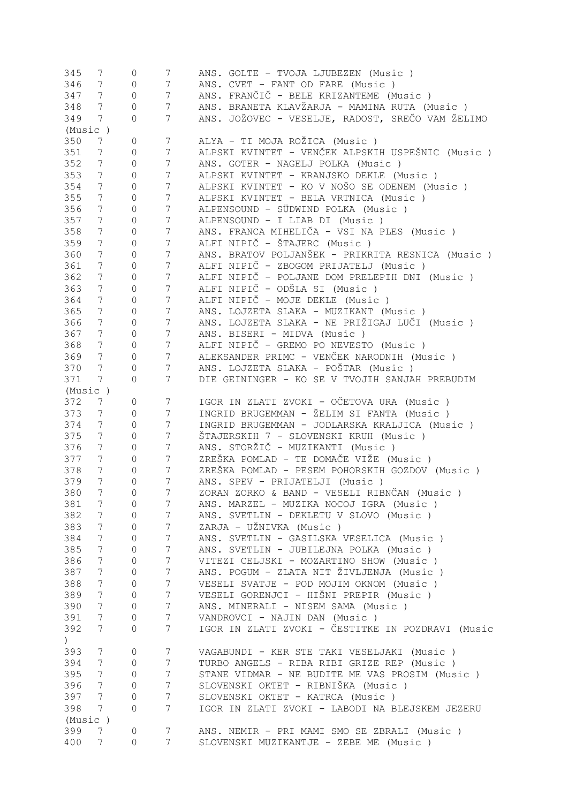| 345                     | 7               | 0              | $7\phantom{.}$   | ANS. GOLTE - TVOJA LJUBEZEN (Music)               |
|-------------------------|-----------------|----------------|------------------|---------------------------------------------------|
| 346                     | 7 <sup>7</sup>  | $\mathbb O$    | $\overline{7}$   | ANS. CVET - FANT OD FARE (Music)                  |
| 347                     | 7 <sup>7</sup>  | $\mathbb O$    | $\overline{7}$   | ANS. FRANČIČ - BELE KRIZANTEME (Music )           |
| 348                     | 7 <sup>7</sup>  | $\circ$        | $7\phantom{.}$   | ANS. BRANETA KLAVŽARJA - MAMINA RUTA (Music)      |
| 349                     | $7\overline{ }$ | $\circ$        | $7\phantom{.}$   | ANS. JOŽOVEC - VESELJE, RADOST, SREČO VAM ŽELIMO  |
| (Music)                 |                 |                |                  |                                                   |
| 350                     | 7               | 0              | $7\phantom{.}$   | ALYA - TI MOJA ROŽICA (Music )                    |
|                         |                 |                |                  |                                                   |
| 351                     | $7\phantom{.0}$ | $\circ$        | $7\phantom{.}$   | ALPSKI KVINTET - VENČEK ALPSKIH USPEŠNIC (Music ) |
| 352                     | $7\phantom{.}$  | $\mathbb O$    | $\boldsymbol{7}$ | ANS. GOTER - NAGELJ POLKA (Music)                 |
| 353                     | $7\phantom{.0}$ | $\mathbb O$    | $\boldsymbol{7}$ | ALPSKI KVINTET - KRANJSKO DEKLE (Music)           |
| 354                     | 7               | $\mathbb O$    | $7\phantom{.0}$  | ALPSKI KVINTET - KO V NOŠO SE ODENEM (Music )     |
| 355                     | $7\phantom{.0}$ | $\mathbb O$    | $\boldsymbol{7}$ | ALPSKI KVINTET - BELA VRTNICA (Music)             |
| 356                     | $7\phantom{.0}$ | $\mathbb O$    | $7\phantom{.0}$  | ALPENSOUND - SÜDWIND POLKA (Music)                |
| 357                     | $7\phantom{.0}$ | $\mathbb O$    | $7\phantom{.0}$  | ALPENSOUND - I LIAB DI (Music)                    |
| 358                     | $7\phantom{.0}$ | $\mathbb O$    | $7\phantom{.0}$  | ANS. FRANCA MIHELIČA - VSI NA PLES (Music)        |
| 359                     | $7\phantom{.0}$ | $\circ$        | $\boldsymbol{7}$ | ALFI NIPIČ - ŠTAJERC (Music)                      |
| 360                     | $7\phantom{.0}$ | $\circ$        | $\boldsymbol{7}$ | ANS. BRATOV POLJANŠEK - PRIKRITA RESNICA (Music ) |
| 361                     | $7\phantom{.0}$ | $\circ$        | $7\phantom{.0}$  | ALFI NIPIČ - ZBOGOM PRIJATELJ (Music)             |
| 362                     | $7\phantom{.0}$ | $\circ$        | $7\phantom{.0}$  | ALFI NIPIČ - POLJANE DOM PRELEPIH DNI (Music)     |
|                         |                 |                |                  |                                                   |
| 363                     | $7\phantom{.0}$ | $\circ$        | $7\phantom{.0}$  | ALFI NIPIČ - ODŠLA SI (Music)                     |
| 364                     | $7\phantom{0}$  | $\circ$        | $7\phantom{.0}$  | ALFI NIPIČ - MOJE DEKLE (Music)                   |
| 365                     | $7\overline{ }$ | $\circ$        | $7\phantom{.0}$  | ANS. LOJZETA SLAKA - MUZIKANT (Music)             |
| 366                     | 7 <sup>7</sup>  | $\mathbb O$    | $7\phantom{.0}$  | ANS. LOJZETA SLAKA - NE PRIŽIGAJ LUČI (Music )    |
| 367                     | $7\phantom{0}$  | $\circ$        | $7\phantom{.0}$  | ANS. BISERI - MIDVA (Music)                       |
| 368                     | $7\overline{ }$ | $\circ$        | $7\phantom{.}$   | ALFI NIPIČ - GREMO PO NEVESTO (Music)             |
| 369                     | 7 <sup>7</sup>  | $\mathbb O$    | $7\phantom{.0}$  | ALEKSANDER PRIMC - VENČEK NARODNIH (Music)        |
| 370                     | $7\phantom{.0}$ | $\mathbb O$    | 7                | ANS. LOJZETA SLAKA - POŠTAR (Music )              |
| 371                     | $7^{\circ}$     | $\circ$        | 7                | DIE GEININGER - KO SE V TVOJIH SANJAH PREBUDIM    |
| (Music)                 |                 |                |                  |                                                   |
| 372                     | 7               | $\mathbb O$    | 7                | IGOR IN ZLATI ZVOKI - OČETOVA URA (Music )        |
| 373                     | $7\phantom{.0}$ | $\mathbb O$    | $7\phantom{.}$   | INGRID BRUGEMMAN - ŽELIM SI FANTA (Music)         |
|                         |                 |                |                  |                                                   |
| 374                     | $7\phantom{.0}$ | $\mathbb O$    | $\overline{7}$   | INGRID BRUGEMMAN - JODLARSKA KRALJICA (Music)     |
| 375                     | $7\phantom{.0}$ | $\mathbb O$    | $\overline{7}$   | ŠTAJERSKIH 7 - SLOVENSKI KRUH (Music )            |
| 376                     | 7 <sup>7</sup>  | $\mathbb O$    | $\boldsymbol{7}$ | ANS. STORŽIČ - MUZIKANTI (Music )                 |
| 377                     | $7\overline{ }$ | $\mathbb O$    | $\overline{7}$   | ZREŠKA POMLAD - TE DOMAČE VIŽE (Music )           |
| 378                     | 7               | $\overline{0}$ | $\overline{7}$   | ZREŠKA POMLAD - PESEM POHORSKIH GOZDOV (Music )   |
| 379                     | 7               | 0              | $\overline{7}$   | ANS. SPEV - PRIJATELJI (Music)                    |
| 380                     | 7               | $\Omega$       | 7                | ZORAN ZORKO & BAND - VESELI RIBNČAN (Music )      |
| 381                     | 7               | 0              | 7                | ANS. MARZEL - MUZIKA NOCOJ IGRA (Music)           |
| 382                     | $7\phantom{.0}$ | 0              | $7\phantom{.}$   | ANS. SVETLIN - DEKLETU V SLOVO (Music)            |
| 383                     | $7\phantom{.0}$ | $\mathbf{0}$   | $\overline{7}$   | ZARJA - UŽNIVKA (Music)                           |
| 384                     | $7\phantom{.0}$ | $\mathbf{0}$   | $\boldsymbol{7}$ | ANS. SVETLIN - GASILSKA VESELICA (Music)          |
| 385                     | 7               | $\mathbf{0}$   | $\boldsymbol{7}$ | ANS. SVETLIN - JUBILEJNA POLKA (Music)            |
| 386                     | $7\phantom{.0}$ | $\mathbf{0}$   | $\boldsymbol{7}$ | VITEZI CELJSKI - MOZARTINO SHOW (Music )          |
| 387                     | 7               | $\circ$        | $\overline{7}$   | ANS. POGUM - ZLATA NIT ŽIVLJENJA (Music)          |
|                         | $7\phantom{.0}$ |                | $\overline{7}$   |                                                   |
| 388                     |                 | $\circ$        |                  | VESELI SVATJE - POD MOJIM OKNOM (Music)           |
| 389                     | $7\phantom{.0}$ | $\mathbb O$    | $\overline{7}$   | VESELI GORENJCI - HIŠNI PREPIR (Music )           |
| 390                     | 7               | $\mathbb O$    | $\overline{7}$   | ANS. MINERALI - NISEM SAMA (Music)                |
| 391                     | 7               | $\mathbb O$    | $\overline{7}$   | VANDROVCI - NAJIN DAN (Music)                     |
| 392<br>$\left( \right)$ | $7\phantom{.0}$ | 0              | $\overline{7}$   | IGOR IN ZLATI ZVOKI - ČESTITKE IN POZDRAVI (Music |
| 393                     | $7\phantom{.0}$ | $\circ$        | $\overline{7}$   | VAGABUNDI - KER STE TAKI VESELJAKI (Music)        |
| 394                     | $7\phantom{.0}$ | 0              | 7                | TURBO ANGELS - RIBA RIBI GRIZE REP (Music)        |
| 395                     | $7\phantom{.0}$ | $\circ$        | $\overline{7}$   | STANE VIDMAR - NE BUDITE ME VAS PROSIM (Music)    |
|                         |                 |                |                  |                                                   |
| 396                     | $7\phantom{.0}$ | $\mathbb O$    | $\overline{7}$   | SLOVENSKI OKTET - RIBNIŠKA (Music )               |
| 397                     | $7\phantom{.}$  | $\mathbb O$    | $\overline{7}$   | SLOVENSKI OKTET - KATRCA (Music)                  |
| 398                     | 7               | $\mathbf{0}$   | $\overline{7}$   | IGOR IN ZLATI ZVOKI - LABODI NA BLEJSKEM JEZERU   |
| (Music)                 |                 |                |                  |                                                   |
| 399                     | 7               | $\mathbb O$    | 7                | ANS. NEMIR - PRI MAMI SMO SE ZBRALI (Music)       |
| 400                     | 7               | 0              | 7                | SLOVENSKI MUZIKANTJE - ZEBE ME (Music)            |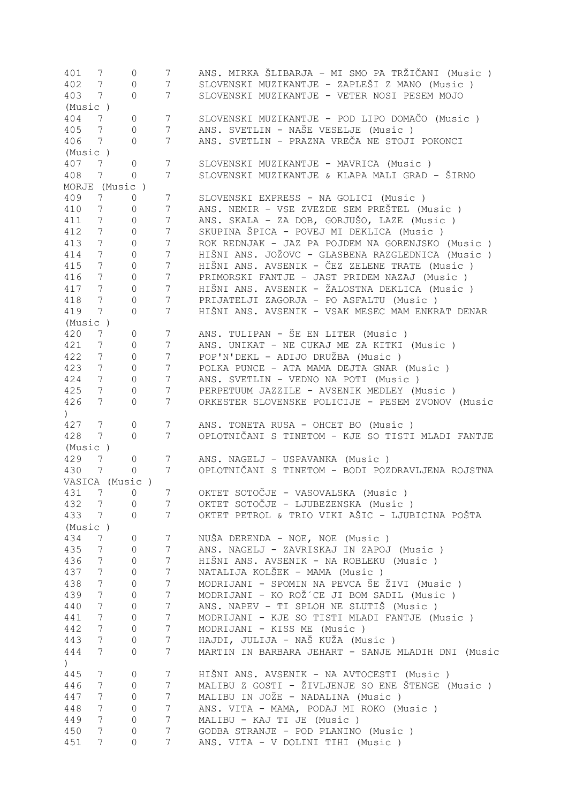| 401                          | 7               | 0                   | 7               | ANS. MIRKA ŠLIBARJA - MI SMO PA TRŽIČANI (Music )  |
|------------------------------|-----------------|---------------------|-----------------|----------------------------------------------------|
| 402                          | $7\phantom{.0}$ | 0                   | $7\phantom{.}$  | SLOVENSKI MUZIKANTJE - ZAPLEŠI Z MANO (Music )     |
| 403                          | $7\phantom{.0}$ | 0                   | $\overline{7}$  | SLOVENSKI MUZIKANTJE - VETER NOSI PESEM MOJO       |
| (Music)                      |                 |                     |                 |                                                    |
| 404                          | $7\phantom{.}$  | 0                   | $\overline{7}$  | SLOVENSKI MUZIKANTJE - POD LIPO DOMAČO (Music )    |
| 405                          | $7\phantom{.0}$ | $\overline{0}$      | $\overline{7}$  | ANS. SVETLIN - NAŠE VESELJE (Music)                |
| 406                          | $7\phantom{.0}$ | $\Omega$            | 7               | ANS. SVETLIN - PRAZNA VREČA NE STOJI POKONCI       |
|                              |                 |                     |                 |                                                    |
| (Music)                      |                 |                     |                 |                                                    |
| 407                          | 7               | 0                   | 7               | SLOVENSKI MUZIKANTJE - MAVRICA (Music)             |
| 408                          | $7\phantom{.0}$ | $\Omega$            | 7               | SLOVENSKI MUZIKANTJE & KLAPA MALI GRAD - ŠIRNO     |
|                              |                 | MORJE (Music)       |                 |                                                    |
| 409                          | 7               | $\overline{0}$      | $\overline{7}$  | SLOVENSKI EXPRESS - NA GOLICI (Music )             |
| 410                          | $7\phantom{.0}$ | $\circ$             | $\overline{7}$  | ANS. NEMIR - VSE ZVEZDE SEM PREŠTEL (Music )       |
| 411                          | $7\phantom{.0}$ | $\overline{0}$      | $7\phantom{.0}$ | ANS. SKALA - ZA DOB, GORJUŠO, LAZE (Music)         |
| 412                          | $7^{\circ}$     | 0                   | 7               | SKUPINA ŠPICA - POVEJ MI DEKLICA (Music)           |
| 413                          | $7^{\circ}$     | $\overline{0}$      | $7\phantom{.0}$ | ROK REDNJAK - JAZ PA POJDEM NA GORENJSKO (Music)   |
|                              |                 |                     |                 |                                                    |
| 414                          | $7\phantom{.0}$ | 0                   | $7\phantom{.0}$ | HIŠNI ANS. JOŽOVC - GLASBENA RAZGLEDNICA (Music )  |
| 415                          | 7 <sup>7</sup>  | 0                   | $7\phantom{.0}$ | HIŠNI ANS. AVSENIK - ČEZ ZELENE TRATE (Music )     |
| 416                          | 7 <sup>7</sup>  | 0                   | $7\phantom{.0}$ | PRIMORSKI FANTJE - JAST PRIDEM NAZAJ (Music)       |
| 417                          | 7 <sup>7</sup>  | 0                   | $7\phantom{.0}$ | HIŠNI ANS. AVSENIK - ŽALOSTNA DEKLICA (Music )     |
| 418                          | $7\overline{ }$ | 0                   | $7\phantom{.0}$ | PRIJATELJI ZAGORJA - PO ASFALTU (Music)            |
| 419                          | $7\phantom{.0}$ | 0                   | 7               | HIŠNI ANS. AVSENIK - VSAK MESEC MAM ENKRAT DENAR   |
| (Music)                      |                 |                     |                 |                                                    |
| 420                          |                 |                     |                 | ANS. TULIPAN - ŠE EN LITER (Music)                 |
|                              | 7               | 0                   | 7               |                                                    |
| 421                          | $7\phantom{.0}$ | $\circ$             | 7               | ANS. UNIKAT - NE CUKAJ ME ZA KITKI (Music )        |
| 422                          | $7\phantom{.0}$ | 0                   | $\overline{7}$  | POP'N'DEKL - ADIJO DRUŽBA (Music)                  |
| 423                          | $7\phantom{.0}$ | 0                   | $\overline{7}$  | POLKA PUNCE - ATA MAMA DEJTA GNAR (Music)          |
| 424                          | $7\phantom{.0}$ | $\mathsf{O}$        | $7\phantom{.}$  | ANS. SVETLIN - VEDNO NA POTI (Music)               |
| 425                          | $7\phantom{.0}$ | 0                   | 7               | PERPETUUM JAZZILE - AVSENIK MEDLEY (Music)         |
| 426                          | 7 <sup>7</sup>  | $\overline{0}$      | 7               | ORKESTER SLOVENSKE POLICIJE - PESEM ZVONOV (Music  |
| $\left( \right)$             |                 |                     |                 |                                                    |
| 427                          | 7               | 0                   | 7               | ANS. TONETA RUSA - OHCET BO (Music )               |
|                              |                 |                     |                 |                                                    |
| 428                          | 7               | $\circ$             | 7               | OPLOTNIČANI S TINETOM - KJE SO TISTI MLADI FANTJE  |
| (Music)                      |                 |                     |                 |                                                    |
| 429                          | 7               | $\overline{0}$      | 7               | ANS. NAGELJ - USPAVANKA (Music)                    |
| 430                          | 7               | 0                   | 7               | OPLOTNIČANI S TINETOM - BODI POZDRAVLJENA ROJSTNA  |
|                              |                 | VASICA (Music)      |                 |                                                    |
| 431                          | 7               | 0                   | 7               | OKTET SOTOČJE - VASOVALSKA (Music)                 |
| 432                          | $7\phantom{.0}$ | $\circ$             | 7               | OKTET SOTOČJE - LJUBEZENSKA (Music )               |
| 433                          | $7\overline{ }$ |                     | $7^{\circ}$     | OKTET PETROL & TRIO VIKI AŠIC - LJUBICINA POŠTA    |
|                              |                 | 0                   |                 |                                                    |
| (Music)                      |                 |                     |                 |                                                    |
| 434                          | 7               | $\mathbf{0}$        | $7\phantom{.}$  | NUŠA DERENDA - NOE, NOE (Music)                    |
| 435                          | $7\phantom{.0}$ | $\mathbf{0}$        | $7\overline{ }$ | ANS. NAGELJ - ZAVRISKAJ IN ZAPOJ (Music)           |
| 436                          | $7\overline{ }$ | $\overline{0}$      | $7\phantom{.}$  | HIŠNI ANS. AVSENIK - NA ROBLEKU (Music)            |
| 437                          | $7\overline{ }$ | 0                   | $7\phantom{.0}$ | NATALIJA KOLŠEK - MAMA (Music)                     |
| 438                          | $7\phantom{.0}$ | 0                   | $7\phantom{.0}$ | MODRIJANI - SPOMIN NA PEVCA ŠE ŽIVI (Music )       |
| 439                          | $7\phantom{.0}$ | 0                   | $7\phantom{.}$  | MODRIJANI - KO ROŽ´CE JI BOM SADIL (Music)         |
| 440                          | 7 <sup>7</sup>  | 0                   | $\overline{7}$  | ANS. NAPEV - TI SPLOH NE SLUTIŠ (Music)            |
|                              |                 |                     |                 |                                                    |
| 441                          | 7 <sup>7</sup>  | 0                   | $\overline{7}$  | MODRIJANI - KJE SO TISTI MLADI FANTJE (Music )     |
| 442                          | 7 <sup>7</sup>  | 0                   | $7\phantom{.0}$ | MODRIJANI - KISS ME (Music)                        |
| 443                          | $7\overline{ }$ | $\mathsf{O}\xspace$ | $7\phantom{.0}$ | HAJDI, JULIJA - NAŠ KUŽA (Music )                  |
| 444                          | $7\overline{ }$ | 0                   | $7\overline{ }$ | MARTIN IN BARBARA JEHART - SANJE MLADIH DNI (Music |
| $\left( \frac{1}{2} \right)$ |                 |                     |                 |                                                    |
| 445                          | $7\phantom{.0}$ | $\mathsf{O}\xspace$ | $7\phantom{.0}$ | HIŠNI ANS. AVSENIK - NA AVTOCESTI (Music )         |
| 446                          | $7\overline{ }$ | $\mathbf{0}$        | $7\phantom{.}$  | MALIBU Z GOSTI - ŽIVLJENJE SO ENE ŠTENGE (Music )  |
| 447                          | $7\overline{ }$ | 0                   | $7\phantom{.}$  | MALIBU IN JOŽE - NADALINA (Music )                 |
|                              |                 |                     |                 |                                                    |
| 448                          | 7 <sup>7</sup>  | 0                   | $\overline{7}$  | ANS. VITA - MAMA, PODAJ MI ROKO (Music)            |
| 449                          | $7\phantom{.}$  | 0                   | $\overline{7}$  | MALIBU - KAJ TI JE (Music)                         |
| 450                          | 7 <sup>7</sup>  | 0                   | $7\phantom{.}$  | GODBA STRANJE - POD PLANINO (Music)                |
| 451                          | 7               | 0                   | 7               | ANS. VITA - V DOLINI TIHI (Music)                  |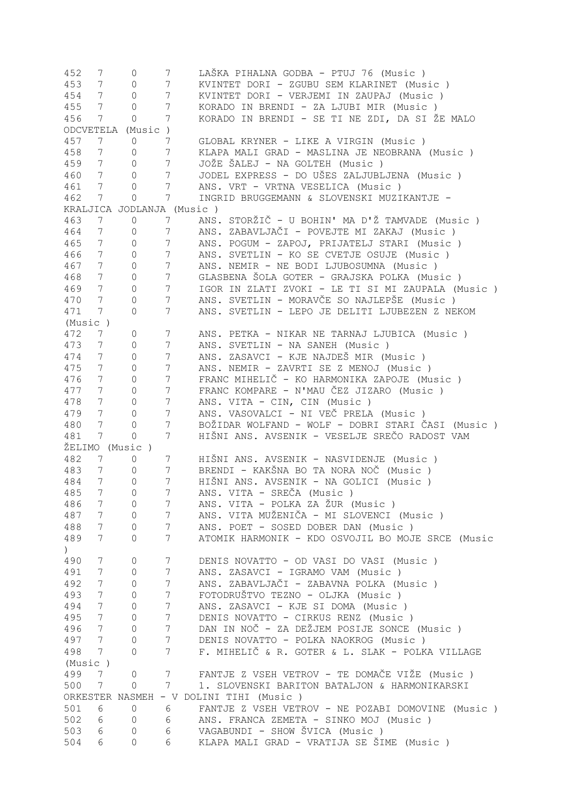| 452           | 7               | 0                         | $7\phantom{.}$  | LAŠKA PIHALNA GODBA - PTUJ 76 (Music )             |
|---------------|-----------------|---------------------------|-----------------|----------------------------------------------------|
| 453           | 7 <sup>7</sup>  | $\circ$                   | $7\phantom{.}$  | KVINTET DORI - ZGUBU SEM KLARINET (Music)          |
| 454           | 7 <sup>7</sup>  | $\circledcirc$            | $7\phantom{.}$  | KVINTET DORI - VERJEMI IN ZAUPAJ (Music)           |
| 455           | $7\overline{ }$ | $\circ$                   | $\overline{7}$  | KORADO IN BRENDI - ZA LJUBI MIR (Music)            |
| 456           | $7\phantom{.0}$ | $\mathbb O$               | $7\phantom{.}$  | KORADO IN BRENDI - SE TI NE ZDI, DA SI ŽE MALO     |
|               |                 | ODCVETELA (Music)         |                 |                                                    |
| 457           | $7\phantom{.0}$ | $\circ$                   | $7\phantom{.}$  | GLOBAL KRYNER - LIKE A VIRGIN (Music )             |
| 458           | 7 <sup>7</sup>  | 0                         | $7\phantom{.0}$ | KLAPA MALI GRAD - MASLINA JE NEOBRANA (Music)      |
| 459           | $7\overline{ }$ | $\circ$                   | $7\phantom{.0}$ | JOŽE ŠALEJ - NA GOLTEH (Music)                     |
| 460           | $7\overline{ }$ | $\circ$                   | $7\phantom{.0}$ | JODEL EXPRESS - DO UŠES ZALJUBLJENA (Music)        |
| 461           | $7\overline{ }$ | $\circ$                   | $7\phantom{.0}$ | ANS. VRT - VRTNA VESELICA (Music)                  |
| 462           | $7\overline{ }$ | $\circ$                   | $7\phantom{.}$  | INGRID BRUGGEMANN & SLOVENSKI MUZIKANTJE -         |
|               |                 |                           |                 |                                                    |
|               |                 | KRALJICA JODLANJA (Music) |                 |                                                    |
| 463           | $7\phantom{0}$  | $\circ$                   | 7 <sup>7</sup>  | ANS. STORŽIČ - U BOHIN' MA D'Ž TAMVADE (Music)     |
| 464           | $7\phantom{0}$  | 0                         | $7\overline{ }$ | ANS. ZABAVLJAČI - POVEJTE MI ZAKAJ (Music)         |
| 465           | 7               | $\circ$                   | $7\phantom{.0}$ | ANS. POGUM - ZAPOJ, PRIJATELJ STARI (Music)        |
| 466           | $7\phantom{0}$  | $\circ$                   | $7\phantom{.0}$ | ANS. SVETLIN - KO SE CVETJE OSUJE (Music)          |
| 467           | 7               | $\circ$                   | $7\phantom{.0}$ | ANS. NEMIR - NE BODI LJUBOSUMNA (Music)            |
| 468           | 7               | $\circ$                   | $7\phantom{.0}$ | GLASBENA ŠOLA GOTER - GRAJSKA POLKA (Music)        |
| 469           | 7               | $\circ$                   | 7               | IGOR IN ZLATI ZVOKI - LE TI SI MI ZAUPALA (Music)  |
| 470           | $7\phantom{0}$  | $\circ$                   | 7               | ANS. SVETLIN - MORAVČE SO NAJLEPŠE (Music)         |
| 471           | $7\phantom{0}$  | 0                         | 7               | ANS. SVETLIN - LEPO JE DELITI LJUBEZEN Z NEKOM     |
|               | (Music)         |                           |                 |                                                    |
| 472           | 7               | 0                         | $7\phantom{.0}$ | ANS. PETKA - NIKAR NE TARNAJ LJUBICA (Music)       |
| 473           | 7               | $\circ$                   | $7\phantom{.0}$ | ANS. SVETLIN - NA SANEH (Music)                    |
| 474           | 7               |                           | $7\phantom{.0}$ |                                                    |
|               |                 | $\circ$                   |                 | ANS. ZASAVCI - KJE NAJDEŠ MIR (Music)              |
| 475           | 7               | $\circ$                   | $7\phantom{.0}$ | ANS. NEMIR - ZAVRTI SE Z MENOJ (Music)             |
| 476           | $7\phantom{0}$  | $\circledcirc$            | $7\phantom{.0}$ | FRANC MIHELIČ - KO HARMONIKA ZAPOJE (Music)        |
| 477           | $7\phantom{0}$  | $\circledcirc$            | $7\phantom{.0}$ | FRANC KOMPARE - N'MAU ČEZ JIZARO (Music)           |
| 478           | 7               | $\circledcirc$            | $7\phantom{.0}$ | ANS. VITA - CIN, CIN (Music )                      |
| 479           | $7\phantom{0}$  | $\circ$                   | $7\phantom{.0}$ | ANS. VASOVALCI - NI VEČ PRELA (Music)              |
| 480           | $7\phantom{0}$  | $\circ$                   | $7\phantom{.0}$ | BOŽIDAR WOLFAND - WOLF - DOBRI STARI ČASI (Music ) |
| 481           | 7               | $\circ$                   | 7               | HIŠNI ANS. AVSENIK - VESELJE SREČO RADOST VAM      |
|               |                 | ŽELIMO (Music)            |                 |                                                    |
| 482           | 7               | 0                         | 7               | HIŠNI ANS. AVSENIK - NASVIDENJE (Music )           |
| 483           | $7\overline{ }$ | 0                         | 7               | BRENDI - KAKŠNA BO TA NORA NOČ (Music)             |
| 484           | $7\degree$      | $\circ$                   | $7\overline{ }$ | HIŠNI ANS. AVSENIK - NA GOLICI (Music )            |
| 485           | 7               | $\Omega$                  | 7               | ANS. VITA - SREČA (Music)                          |
| 486           | 7               | 0                         | 7               | ANS. VITA - POLKA ZA ŽUR (Music)                   |
| 487           | 7               |                           | 7               | ANS. VITA MUŽENIČA - MI SLOVENCI (Music )          |
|               |                 | 0                         |                 |                                                    |
| 488           | $7\phantom{.0}$ | 0                         | $7\phantom{.0}$ | ANS. POET - SOSED DOBER DAN (Music )               |
| 489           | 7               | 0                         | 7               | ATOMIK HARMONIK - KDO OSVOJIL BO MOJE SRCE (Music  |
| $\mathcal{L}$ |                 |                           |                 |                                                    |
| 490           | 7               | 0                         | 7               | DENIS NOVATTO - OD VASI DO VASI (Music)            |
| 491           | 7               | 0                         | $\overline{7}$  | ANS. ZASAVCI - IGRAMO VAM (Music)                  |
| 492           | 7               | $\overline{0}$            | $7\phantom{.0}$ | ANS. ZABAVLJAČI - ZABAVNA POLKA (Music)            |
| 493           | $7\phantom{.0}$ | $\overline{0}$            | $\overline{7}$  | FOTODRUŠTVO TEZNO - OLJKA (Music)                  |
| 494           | $7\phantom{.0}$ | 0                         | $7\phantom{.0}$ | ANS. ZASAVCI - KJE SI DOMA (Music )                |
| 495           | $7\phantom{.0}$ | 0                         | $\overline{7}$  | DENIS NOVATTO - CIRKUS RENZ (Music )               |
| 496           | $7\phantom{.0}$ | 0                         | $\overline{7}$  | DAN IN NOČ - ZA DEŽJEM POSIJE SONCE (Music)        |
| 497           | 7               | 0                         | $7\phantom{.}$  | DENIS NOVATTO - POLKA NAOKROG (Music)              |
| 498           | 7               | 0                         | 7               | F. MIHELIČ & R. GOTER & L. SLAK - POLKA VILLAGE    |
|               | (Music)         |                           |                 |                                                    |
| 499           | 7               | 0                         | $7\phantom{.}$  | FANTJE Z VSEH VETROV - TE DOMAČE VIŽE (Music )     |
|               |                 |                           |                 |                                                    |
| 500           | 7               | 0                         | 7               | 1. SLOVENSKI BARITON BATALJON & HARMONIKARSKI      |
|               |                 |                           |                 | ORKESTER NASMEH - V DOLINI TIHI (Music)            |
| 501           | 6               | 0                         | 6               | FANTJE Z VSEH VETROV - NE POZABI DOMOVINE (Music ) |
| 502           | 6               | 0                         | 6               | ANS. FRANCA ZEMETA - SINKO MOJ (Music)             |
| 503           | 6               | 0                         | $6\overline{6}$ | VAGABUNDI - SHOW ŠVICA (Music )                    |
| 504           | 6               | 0                         | 6               | KLAPA MALI GRAD - VRATIJA SE ŠIME (Music)          |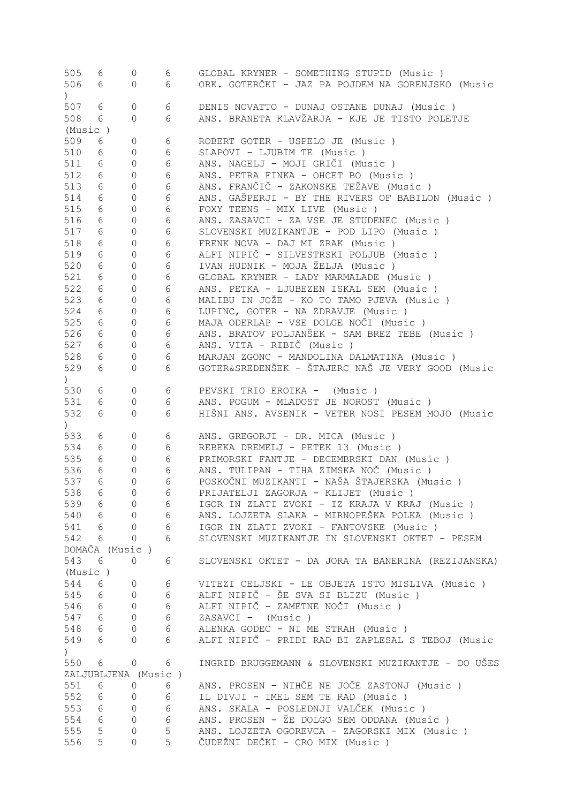| 505                                             | 6                   | 0                   | 6          | GLOBAL KRYNER - SOMETHING STUPID (Music )          |
|-------------------------------------------------|---------------------|---------------------|------------|----------------------------------------------------|
| 506                                             | 6                   | 0                   | 6          | ORK. GOTERČKI - JAZ PA POJDEM NA GORENJSKO (Music  |
| $\left( \begin{array}{c} 1 \end{array} \right)$ |                     |                     |            |                                                    |
| 507                                             | 6                   | 0                   | 6          | DENIS NOVATTO - DUNAJ OSTANE DUNAJ (Music)         |
| 508                                             | 6                   | $\circ$             | 6          | ANS. BRANETA KLAVŽARJA - KJE JE TISTO POLETJE      |
| (Music)                                         |                     |                     |            |                                                    |
| 509                                             | 6                   | 0                   | 6          | ROBERT GOTER - USPELO JE (Music)                   |
| 510                                             | 6                   | 0                   | 6          | SLAPOVI - LJUBIM TE (Music)                        |
| 511                                             | 6                   | 0                   | 6          | ANS. NAGELJ - MOJI GRIČI (Music)                   |
| 512                                             | 6                   | 0                   | 6          | ANS. PETRA FINKA - OHCET BO (Music )               |
| 513                                             |                     |                     |            | ANS. FRANČIČ - ZAKONSKE TEŽAVE (Music )            |
|                                                 | 6                   | 0                   | 6          |                                                    |
| 514                                             | 6                   | 0                   | 6          | ANS. GAŠPERJI - BY THE RIVERS OF BABILON (Music )  |
| 515                                             | 6                   | $\circ$             | 6          | FOXY TEENS - MIX LIVE (Music)                      |
| 516                                             | 6                   | $\circ$             | 6          | ANS. ZASAVCI - ZA VSE JE STUDENEC (Music)          |
| 517                                             | 6                   | $\circ$             | 6          | SLOVENSKI MUZIKANTJE - POD LIPO (Music )           |
| 518                                             | 6                   | $\circ$             | 6          | FRENK NOVA - DAJ MI ZRAK (Music)                   |
| 519                                             | 6                   | $\circ$             | 6          | ALFI NIPIČ - SILVESTRSKI POLJUB (Music)            |
| 520                                             | 6                   | $\circ$             | $6\,$      | IVAN HUDNIK - MOJA ŽELJA (Music)                   |
| 521                                             | 6                   | $\circ$             | 6          | GLOBAL KRYNER - LADY MARMALADE (Music)             |
| 522                                             | 6                   | $\circ$             | 6          | ANS. PETKA - LJUBEZEN ISKAL SEM (Music)            |
| 523                                             | 6                   | $\circ$             | 6          | MALIBU IN JOŽE - KO TO TAMO PJEVA (Music)          |
| 524                                             | 6                   | $\circ$             | $\epsilon$ | LUPINC, GOTER - NA ZDRAVJE (Music)                 |
| 525                                             | 6                   | $\mathsf{O}\xspace$ | 6          | MAJA ODERLAP - VSE DOLGE NOČI (Music)              |
| 526                                             | 6                   | $\mathsf{O}\xspace$ | 6          | ANS. BRATOV POLJANŠEK - SAM BREZ TEBE (Music )     |
| 527                                             | 6                   | $\mathsf{O}\xspace$ | 6          | ANS. VITA - RIBIČ (Music)                          |
| 528                                             | 6                   | 0                   | 6          | MARJAN ZGONC - MANDOLINA DALMATINA (Music)         |
| 529                                             | 6 <sup>1</sup>      | $\mathbf{0}$        | 6          | GOTER&SREDENŠEK - ŠTAJERC NAŠ JE VERY GOOD (Music  |
|                                                 |                     |                     |            |                                                    |
| $\angle$                                        |                     |                     |            |                                                    |
| 530                                             | 6                   | $\circ$             | 6          | PEVSKI TRIO EROIKA - (Music)                       |
| 531                                             | 6                   | 0                   | 6          | ANS. POGUM - MLADOST JE NOROST (Music)             |
| 532                                             | 6                   | $\mathbf{0}$        | 6          | HIŠNI ANS. AVSENIK - VETER NOSI PESEM MOJO (Music  |
| $\left( \begin{array}{c} 1 \end{array} \right)$ |                     |                     |            |                                                    |
| 533                                             | 6                   | 0                   | 6          | ANS. GREGORJI - DR. MICA (Music)                   |
| 534                                             | 6                   | $\circ$             | 6          | REBEKA DREMELJ - PETEK 13 (Music)                  |
| 535                                             | 6                   | 0                   | 6          | PRIMORSKI FANTJE - DECEMBRSKI DAN (Music)          |
| 536                                             | 6                   | 0                   | 6          | ANS. TULIPAN - TIHA ZIMSKA NOČ (Music )            |
| 537                                             | 6                   | $\overline{0}$      | 6          | POSKOČNI MUZIKANTI - NAŠA ŠTAJERSKA (Music )       |
| 538                                             | 6                   | $\Omega$            | 6          | PRIJATELJI ZAGORJA - KLIJET (Music )               |
| 539                                             | 6                   | $\overline{0}$      | 6          | IGOR IN ZLATI ZVOKI - IZ KRAJA V KRAJ (Music )     |
| 540                                             | 6                   | $\Omega$            | 6          | ANS. LOJZETA SLAKA - MIRNOPEŠKA POLKA (Music )     |
| 541                                             | 6                   | $\Omega$            | 6          | IGOR IN ZLATI ZVOKI - FANTOVSKE (Music )           |
| 542                                             | 6                   | $\Omega$            | 6          | SLOVENSKI MUZIKANTJE IN SLOVENSKI OKTET - PESEM    |
|                                                 | DOMAČA (Music)      |                     |            |                                                    |
| 543                                             | 6                   | 0                   | 6          | SLOVENSKI OKTET - DA JORA TA BANERINA (REZIJANSKA) |
| (Music)                                         |                     |                     |            |                                                    |
| 544                                             | 6                   | 0                   | 6          | VITEZI CELJSKI - LE OBJETA ISTO MISLIVA (Music )   |
| 545                                             | 6                   | $\overline{0}$      | 6          | ALFI NIPIČ - ŠE SVA SI BLIZU (Music )              |
|                                                 |                     |                     | 6          |                                                    |
| 546                                             | 6                   | $\overline{0}$      |            | ALFI NIPIČ - ZAMETNE NOČI (Music )                 |
| 547                                             | 6                   | $\overline{0}$      | 6          | ZASAVCI - (Music)                                  |
| 548                                             | 6                   | $\overline{0}$      | 6          | ALENKA GODEC - NI ME STRAH (Music)                 |
| 549                                             | 6                   | 0                   | 6          | ALFI NIPIČ - PRIDI RAD BI ZAPLESAL S TEBOJ (Music  |
| $\left( \right)$                                |                     |                     |            |                                                    |
| 550                                             | 6                   | 0                   | 6          | INGRID BRUGGEMANN & SLOVENSKI MUZIKANTJE - DO UŠES |
|                                                 | ZALJUBLJENA (Music) |                     |            |                                                    |
| 551                                             | 6                   | $\circ$             | 6          | ANS. PROSEN - NIHČE NE JOČE ZASTONJ (Music)        |
| 552                                             | 6                   | $\overline{0}$      | 6          | IL DIVJI - IMEL SEM TE RAD (Music)                 |
| 553                                             | 6                   | $\overline{0}$      | 6          | ANS. SKALA - POSLEDNJI VALČEK (Music)              |
| 554                                             | 6                   | 0                   | 6          | ANS. PROSEN - ŽE DOLGO SEM ODDANA (Music)          |
| 555                                             | 5                   | 0                   | 5          | ANS. LOJZETA OGOREVCA - ZAGORSKI MIX (Music)       |
| 556                                             | 5                   | $\overline{0}$      | 5          | ČUDEŽNI DEČKI - CRO MIX (Music )                   |
|                                                 |                     |                     |            |                                                    |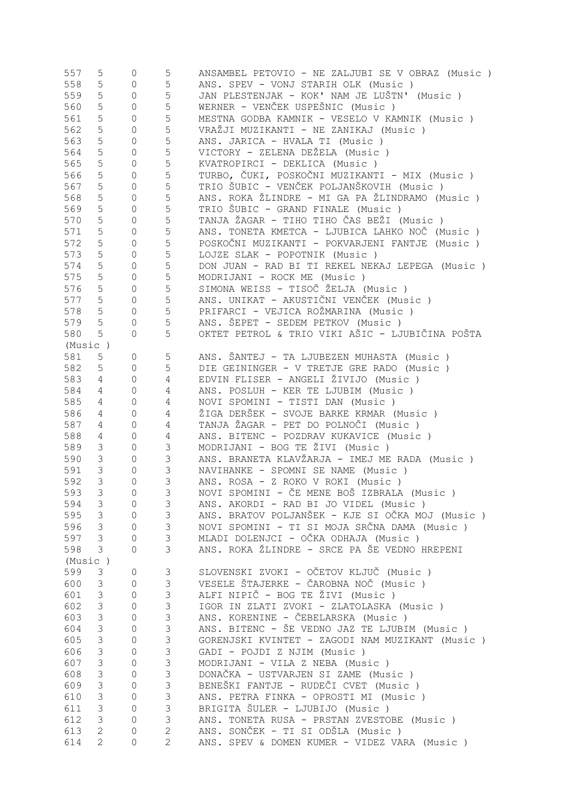| 557     | 5              | 0              | 5              | ANSAMBEL PETOVIO - NE ZALJUBI SE V OBRAZ (Music ) |
|---------|----------------|----------------|----------------|---------------------------------------------------|
| 558     | 5              | $\circ$        | 5              | ANS. SPEV - VONJ STARIH OLK (Music)               |
| 559     | 5              | $\mathbb O$    | $\mathsf S$    | JAN PLESTENJAK - KOK' NAM JE LUŠTN' (Music )      |
| 560     | 5              | $\mathbb O$    | $\mathsf S$    | WERNER - VENČEK USPEŠNIC (Music)                  |
| 561     | 5              | $\mathbb O$    | $\mathsf S$    | MESTNA GODBA KAMNIK - VESELO V KAMNIK (Music )    |
| 562     | 5              | $\mathbb O$    | $\mathsf S$    | VRAŽJI MUZIKANTI - NE ZANIKAJ (Music )            |
| 563     | 5              | $\mathbb O$    | $\mathsf S$    | ANS. JARICA - HVALA TI (Music)                    |
|         |                |                |                |                                                   |
| 564     | 5              | $\mathbb O$    | $\mathsf S$    | VICTORY - ZELENA DEŽELA (Music)                   |
| 565     | 5              | $\mathbb O$    | $\mathsf S$    | KVATROPIRCI - DEKLICA (Music)                     |
| 566     | 5              | $\mathbb O$    | $\mathsf S$    | TURBO, ČUKI, POSKOČNI MUZIKANTI - MIX (Music )    |
| 567     | 5              | $\mathbb O$    | $\mathsf S$    | TRIO ŠUBIC - VENČEK POLJANŠKOVIH (Music )         |
| 568     | 5              | $\circ$        | $\mathsf S$    | ANS. ROKA ŽLINDRE - MI GA PA ŽLINDRAMO (Music )   |
| 569     | 5              | $\circ$        | 5              | TRIO ŠUBIC - GRAND FINALE (Music)                 |
| 570     | 5              | $\circ$        | $\mathsf S$    | TANJA ŽAGAR - TIHO TIHO ČAS BEŽI (Music )         |
| 571     | 5              | $\circ$        | $\mathsf S$    | ANS. TONETA KMETCA - LJUBICA LAHKO NOČ (Music )   |
| 572     | 5              | $\circ$        | $\mathsf S$    | POSKOČNI MUZIKANTI - POKVARJENI FANTJE (Music)    |
| 573     | 5              | $\circ$        | $\mathsf S$    | LOJZE SLAK - POPOTNIK (Music)                     |
|         |                |                |                |                                                   |
| 574     | 5              | $\circ$        | $\mathsf S$    | DON JUAN - RAD BI TI REKEL NEKAJ LEPEGA (Music)   |
| 575     | 5              | $\circ$        | $\mathsf S$    | MODRIJANI - ROCK ME (Music)                       |
| 576     | 5              | $\circ$        | $\mathsf S$    | SIMONA WEISS - TISOČ ŽELJA (Music)                |
| 577     | 5              | $\circ$        | $\mathsf S$    | ANS. UNIKAT - AKUSTIČNI VENČEK (Music )           |
| 578     | 5              | $\circ$        | $\mathsf S$    | PRIFARCI - VEJICA ROŽMARINA (Music )              |
| 579     | 5              | $\mathbb O$    | 5              | ANS. ŠEPET - SEDEM PETKOV (Music)                 |
| 580     | 5              | 0              | 5              | OKTET PETROL & TRIO VIKI AŠIC - LJUBIČINA POŠTA   |
| (Music) |                |                |                |                                                   |
| 581     | 5              | 0              | 5              | ANS. ŠANTEJ - TA LJUBEZEN MUHASTA (Music )        |
| 582     | 5              | $\circ$        | 5              | DIE GEININGER - V TRETJE GRE RADO (Music)         |
|         |                |                |                |                                                   |
| 583     | 4              | $\mathbb O$    | 4              | EDVIN FLISER - ANGELI ŽIVIJO (Music )             |
| 584     | 4              | $\mathbb O$    | 4              | ANS. POSLUH - KER TE LJUBIM (Music)               |
| 585     | 4              | $\mathbb O$    | 4              | NOVI SPOMINI - TISTI DAN (Music )                 |
| 586     | 4              | 0              | 4              | ŽIGA DERŠEK - SVOJE BARKE KRMAR (Music)           |
| 587     | 4              | $\mathbb O$    | 4              | TANJA ŽAGAR - PET DO POLNOČI (Music )             |
| 588     | 4              | $\mathbb O$    | $\overline{4}$ | ANS. BITENC - POZDRAV KUKAVICE (Music)            |
| 589     | 3              | $\mathbb O$    | $\mathsf 3$    | MODRIJANI - BOG TE ŽIVI (Music)                   |
| 590     | $\mathfrak{Z}$ | $\mathbb O$    | $\mathsf 3$    | ANS. BRANETA KLAVŽARJA - IMEJ ME RADA (Music)     |
| 591     | $\mathfrak{Z}$ | 0              | $\mathfrak{Z}$ | NAVIHANKE - SPOMNI SE NAME (Music)                |
| 592     | $\mathcal{S}$  | 0              | 3              | ANS. ROSA - Z ROKO V ROKI (Music )                |
| 593     | 3              | $\Omega$       | $\overline{3}$ | NOVI SPOMINI - ČE MENE BOŠ IZBRALA (Music )       |
| 594     | 3              | 0              | 3              | ANS. AKORDI - RAD BI JO VIDEL (Music)             |
|         |                |                |                | ANS. BRATOV POLJANŠEK - KJE SI OČKA MOJ (Music )  |
| 595     | 3              | $\overline{0}$ | 3              |                                                   |
| 596     | 3              | $\circ$        | $\mathfrak{Z}$ | NOVI SPOMINI - TI SI MOJA SRČNA DAMA (Music )     |
| 597     | $\mathfrak{Z}$ | $\mathbf 0$    | $\mathcal{S}$  | MLADI DOLENJCI - OČKA ODHAJA (Music)              |
| 598     | 3              | $\overline{0}$ | 3              | ANS. ROKA ŽLINDRE - SRCE PA ŠE VEDNO HREPENI      |
| (Music) |                |                |                |                                                   |
| 599     | 3              | 0              | 3              | SLOVENSKI ZVOKI - OČETOV KLJUČ (Music)            |
| 600     | 3              | $\circ$        | 3              | VESELE ŠTAJERKE - ČAROBNA NOČ (Music)             |
| 601     | 3              | $\circ$        | $\mathfrak{Z}$ | ALFI NIPIČ - BOG TE ŽIVI (Music )                 |
| 602     | 3              | $\mathbb O$    | $\mathfrak{Z}$ | IGOR IN ZLATI ZVOKI - ZLATOLASKA (Music)          |
| 603     | $\mathfrak{Z}$ | $\mathbb O$    | $\mathsf 3$    | ANS. KORENINE - ČEBELARSKA (Music)                |
| 604     | $\mathfrak{Z}$ | $\mathbb O$    | $\mathfrak{Z}$ | ANS. BITENC - ŠE VEDNO JAZ TE LJUBIM (Music)      |
|         |                |                | $\mathcal{S}$  |                                                   |
| 605     | 3              | $\mathbb O$    |                | GORENJSKI KVINTET - ZAGODI NAM MUZIKANT (Music)   |
| 606     | 3              | $\mathbb O$    | $\mathfrak{Z}$ | GADI - POJDI Z NJIM (Music)                       |
| 607     | $\mathfrak{Z}$ | 0              | $\mathcal{S}$  | MODRIJANI - VILA Z NEBA (Music)                   |
| 608     | $\mathfrak{Z}$ | 0              | $\mathfrak{Z}$ | DONAČKA - USTVARJEN SI ZAME (Music)               |
| 609     | $\mathfrak{Z}$ | 0              | $\mathfrak{Z}$ | BENEŠKI FANTJE - RUDEČI CVET (Music )             |
| 610     | $\mathsf S$    | 0              | $\mathfrak{Z}$ | ANS. PETRA FINKA - OPROSTI MI (Music )            |
| 611     | $\mathfrak{Z}$ | 0              | $\mathfrak{Z}$ | BRIGITA ŠULER - LJUBIJO (Music)                   |
| 612     | 3              | 0              | $\mathfrak{Z}$ | ANS. TONETA RUSA - PRSTAN ZVESTOBE (Music )       |
| 613     | $\mathbf{2}$   | 0              | $\overline{c}$ | ANS. SONČEK - TI SI ODŠLA (Music )                |
| 614     | $\mathbf{2}$   | $\overline{0}$ | $\overline{2}$ | ANS. SPEV & DOMEN KUMER - VIDEZ VARA (Music)      |
|         |                |                |                |                                                   |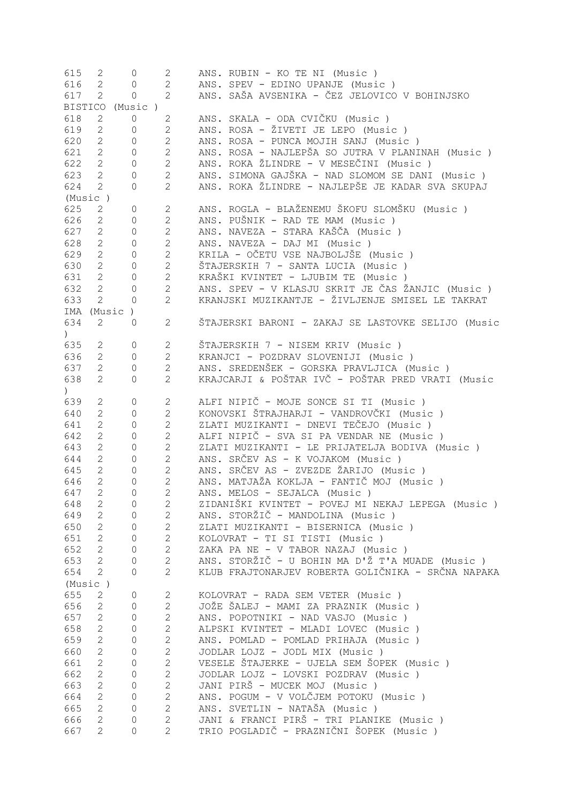| 615                                             | 2                     | 0              | $\mathbf{2}$   | ANS. RUBIN - KO TE NI (Music)                      |
|-------------------------------------------------|-----------------------|----------------|----------------|----------------------------------------------------|
| 616                                             | $\overline{2}$        | 0              | $\mathbf{2}$   | ANS. SPEV - EDINO UPANJE (Music)                   |
| 617                                             | $\mathbf{2}$          | $\circ$        | $\overline{2}$ | ANS. SAŠA AVSENIKA - ČEZ JELOVICO V BOHINJSKO      |
| <b>BISTICO</b>                                  |                       | (Music )       |                |                                                    |
| 618                                             | $\mathbf{2}$          | $\mathbb O$    | $\mathbf{2}$   | ANS. SKALA - ODA CVIČKU (Music )                   |
| 619                                             | $\mathbf{2}$          | $\mathbb O$    | $\overline{2}$ | ANS. ROSA - ŽIVETI JE LEPO (Music)                 |
| 620                                             | $\mathbf{2}$          | $\circ$        | $\mathbf{2}$   | ANS. ROSA - PUNCA MOJIH SANJ (Music)               |
|                                                 |                       |                |                |                                                    |
| 621                                             | $\overline{2}$        | $\circ$        | $\mathbf{2}$   | ANS. ROSA - NAJLEPŠA SO JUTRA V PLANINAH (Music)   |
| 622                                             | $\mathbf{2}$          | $\circ$        | $\overline{2}$ | ANS. ROKA ŽLINDRE - V MESEČINI (Music )            |
| 623                                             | $\overline{2}$        | $\mathbf{0}$   | $\overline{2}$ | ANS. SIMONA GAJŠKA - NAD SLOMOM SE DANI (Music )   |
| 624                                             | $\mathbf{2}$          | 0              | $\overline{2}$ | ANS. ROKA ŽLINDRE - NAJLEPŠE JE KADAR SVA SKUPAJ   |
| (Music)                                         |                       |                |                |                                                    |
| 625                                             | $\overline{2}$        | 0              | $\overline{2}$ | ANS. ROGLA - BLAŽENEMU ŠKOFU SLOMŠKU (Music )      |
| 626                                             | $\mathbf{2}$          | $\circ$        | $\overline{2}$ | ANS. PUŠNIK - RAD TE MAM (Music)                   |
| 627                                             | $\overline{2}$        | $\circ$        | $\overline{2}$ | ANS. NAVEZA - STARA KAŠČA (Music )                 |
| 628                                             | $\overline{2}$        | $\circ$        | $\overline{2}$ | ANS. NAVEZA - DAJ MI (Music)                       |
| 629                                             |                       |                | $\overline{c}$ | KRILA - OČETU VSE NAJBOLJŠE (Music)                |
|                                                 | $\overline{2}$        | $\circ$        |                |                                                    |
| 630                                             | $\overline{2}$        | $\mathbb O$    | $\overline{c}$ | ŠTAJERSKIH 7 - SANTA LUCIA (Music )                |
| 631                                             | $2^{\circ}$           | $\mathbb O$    | $\overline{2}$ | KRAŠKI KVINTET - LJUBIM TE (Music)                 |
| 632                                             | $\mathbf{2}$          | 0              | $\overline{2}$ | ANS. SPEV - V KLASJU SKRIT JE ČAS ŽANJIC (Music)   |
| 633                                             | $\mathbf{2}$          | $\mathbf{0}$   | $\overline{2}$ | KRANJSKI MUZIKANTJE - ŽIVLJENJE SMISEL LE TAKRAT   |
| IMA                                             |                       | (Music)        |                |                                                    |
| 634                                             | 2                     | $\Omega$       | $\overline{2}$ | ŠTAJERSKI BARONI - ZAKAJ SE LASTOVKE SELIJO (Music |
| $\angle$                                        |                       |                |                |                                                    |
| 635                                             | 2                     | $\mathbf 0$    | 2              | ŠTAJERSKIH 7 - NISEM KRIV (Music )                 |
| 636                                             | $\mathbf{2}$          | $\mathbf{0}$   | $\mathbf{2}$   | KRANJCI - POZDRAV SLOVENIJI (Music)                |
|                                                 |                       |                |                |                                                    |
| 637                                             | $\mathbf{2}$          | 0              | $\overline{2}$ | ANS. SREDENŠEK - GORSKA PRAVLJICA (Music )         |
| 638                                             | $\mathbf{2}$          | $\mathbf{0}$   | $\overline{2}$ | KRAJCARJI & POŠTAR IVČ - POŠTAR PRED VRATI (Music  |
| $\left( \begin{array}{c} 1 \end{array} \right)$ |                       |                |                |                                                    |
| 639                                             | $\mathbf{2}$          | 0              | $\mathbf{2}$   | ALFI NIPIČ - MOJE SONCE SI TI (Music)              |
| 640                                             | $\overline{2}$        | $\mathbf{0}$   | $\overline{2}$ | KONOVSKI ŠTRAJHARJI - VANDROVČKI (Music )          |
| 641                                             | $\overline{2}$        | $\mathbf{0}$   | $\overline{2}$ | ZLATI MUZIKANTI - DNEVI TEČEJO (Music )            |
| 642                                             | $\overline{2}$        | 0              | $\overline{2}$ | ALFI NIPIČ - SVA SI PA VENDAR NE (Music)           |
| 643                                             | $\mathbf{2}^{\prime}$ | 0              | $\overline{2}$ | ZLATI MUZIKANTI - LE PRIJATELJA BODIVA (Music )    |
| 644                                             | $\mathbf{2}^{\prime}$ | 0              | $\overline{2}$ | ANS. SRČEV AS - K VOJAKOM (Music)                  |
| 645                                             | $\mathbf{2}$          | 0              | $\overline{2}$ | ANS. SRČEV AS - ZVEZDE ŽARIJO (Music )             |
| 646                                             |                       |                | $\overline{2}$ |                                                    |
|                                                 | $\overline{2}$        | $\mathbf{0}$   |                | ANS. MATJAŽA KOKLJA - FANTIČ MOJ (Music )          |
| 647                                             | $\overline{2}$        | $\Omega$       | $\overline{2}$ | ANS. MELOS - SEJALCA (Music)                       |
| 648                                             | 2                     | $\mathbf{0}$   | $\mathbf{2}$   | ZIDANIŠKI KVINTET - POVEJ MI NEKAJ LEPEGA (Music ) |
| 649                                             | $\mathbf{2}$          | $\mathbf{0}$   | $\overline{2}$ | ANS. STORŽIČ - MANDOLINA (Music)                   |
| 650                                             | $\overline{2}$        | $\mathbf{0}$   | $\overline{2}$ | ZLATI MUZIKANTI - BISERNICA (Music )               |
| 651                                             | $\mathbf{2}$          | $\mathbf{0}$   | $\overline{c}$ | KOLOVRAT - TI SI TISTI (Music)                     |
| 652                                             | $\overline{2}$        | $\mathbf{0}$   | $\overline{c}$ | ZAKA PA NE - V TABOR NAZAJ (Music)                 |
| 653                                             | $\overline{2}$        | 0              | $\overline{2}$ | ANS. STORŽIČ - U BOHIN MA D'Ž T'A MUADE (Music)    |
| 654                                             | $\overline{2}$        | $\overline{0}$ | $\overline{2}$ | KLUB FRAJTONARJEV ROBERTA GOLIČNIKA - SRČNA NAPAKA |
| (Music)                                         |                       |                |                |                                                    |
| 655                                             | $\overline{2}$        | 0              | $\mathbf{2}$   | KOLOVRAT - RADA SEM VETER (Music)                  |
|                                                 |                       |                |                |                                                    |
| 656                                             | $\overline{2}$        | $\mathbf{0}$   | $\overline{2}$ | JOŽE ŠALEJ - MAMI ZA PRAZNIK (Music )              |
| 657                                             | $\overline{2}$        | 0              | $\overline{c}$ | ANS. POPOTNIKI - NAD VASJO (Music)                 |
| 658                                             | $\overline{2}$        | 0              | $\mathbf{2}$   | ALPSKI KVINTET - MLADI LOVEC (Music)               |
| 659                                             | $\mathbf{2}$          | 0              | $\mathbf{2}$   | ANS. POMLAD - POMLAD PRIHAJA (Music)               |
| 660                                             | $\mathbf{2}$          | $\mathsf O$    | $\mathbf{2}$   | JODLAR LOJZ - JODL MIX (Music)                     |
| 661                                             | $\mathbf{2}$          | 0              | $\mathbf 2$    | VESELE ŠTAJERKE - UJELA SEM ŠOPEK (Music)          |
| 662                                             | $\mathbf{2}$          | 0              | $\mathbf{2}$   | JODLAR LOJZ - LOVSKI POZDRAV (Music)               |
| 663                                             | $\mathbf{2}$          | 0              | $\mathbf{2}$   | JANI PIRŠ - MUCEK MOJ (Music)                      |
| 664                                             | $\mathbf{2}$          | 0              | $\mathbf{2}$   | ANS. POGUM - V VOLČJEM POTOKU (Music )             |
| 665                                             | $\mathbf{2}$          | 0              | $\mathbf{2}$   | ANS. SVETLIN - NATAŠA (Music)                      |
|                                                 |                       |                |                |                                                    |
| 666                                             | $\mathbf{2}$          | 0              | $\mathbf{2}$   | JANI & FRANCI PIRŠ - TRI PLANIKE (Music)           |
| 667                                             | $\overline{2}$        | 0              | $\overline{2}$ | TRIO POGLADIČ - PRAZNIČNI ŠOPEK (Music )           |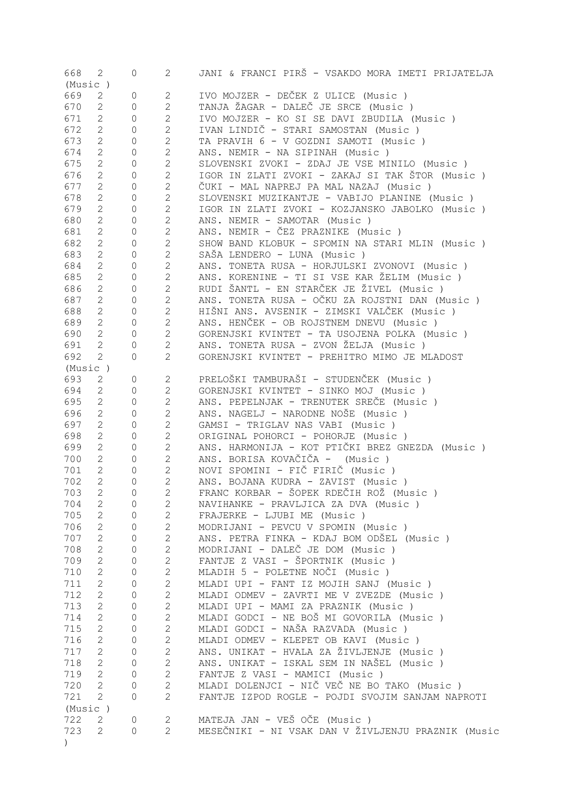| 668            | 2                 | $\overline{0}$      | $2 \left( \frac{1}{2} \right)$ | JANI & FRANCI PIRŠ - VSAKDO MORA IMETI PRIJATELJA  |
|----------------|-------------------|---------------------|--------------------------------|----------------------------------------------------|
| (Music)<br>669 | 2                 |                     | $2^{\circ}$                    | IVO MOJZER - DEČEK Z ULICE (Music)                 |
|                |                   | 0                   | $\mathbf{2}$                   | TANJA ŽAGAR - DALEČ JE SRCE (Music)                |
| 670            | 2<br>$\mathbf{2}$ | 0                   |                                |                                                    |
| 671            |                   | 0                   | $\overline{2}$                 | IVO MOJZER - KO SI SE DAVI ZBUDILA (Music)         |
| 672            | $\mathbf{2}$      | 0                   | $\overline{2}$                 | IVAN LINDIČ - STARI SAMOSTAN (Music )              |
| 673            | $\mathbf{2}$      | 0                   | $\mathbf{2}$                   | TA PRAVIH 6 - V GOZDNI SAMOTI (Music)              |
| 674            | $\mathbf{2}$      | $\mathbb O$         | $\mathbf{2}$                   | ANS. NEMIR - NA SIPINAH (Music)                    |
| 675            | 2                 | $\mathbb O$         | $\mathbf{2}$                   | SLOVENSKI ZVOKI - ZDAJ JE VSE MINILO (Music)       |
| 676            | $\mathbf{2}$      | $\mathbb O$         | $\mathbf{2}$                   | IGOR IN ZLATI ZVOKI - ZAKAJ SI TAK ŠTOR (Music )   |
| 677            | $\mathbf{2}$      | $\mathbb O$         | $\overline{2}$                 | ČUKI - MAL NAPREJ PA MAL NAZAJ (Music )            |
| 678            | $\mathbf{2}$      | $\mathbb O$         | $\overline{2}$                 | SLOVENSKI MUZIKANTJE - VABIJO PLANINE (Music )     |
| 679            | $\mathbf{2}$      | $\mathbb O$         | $\overline{2}$                 | IGOR IN ZLATI ZVOKI - KOZJANSKO JABOLKO (Music)    |
| 680            | $\mathbf{2}$      | $\mathbb O$         | $\overline{2}$                 | ANS. NEMIR - SAMOTAR (Music)                       |
| 681            | $\sqrt{2}$        | 0                   | $\overline{2}$                 | ANS. NEMIR - ČEZ PRAZNIKE (Music)                  |
| 682            | $\sqrt{2}$        | 0                   | $\overline{2}$                 | SHOW BAND KLOBUK - SPOMIN NA STARI MLIN (Music)    |
| 683            | $\sqrt{2}$        | $\mathbb O$         | $\overline{2}$                 | SAŠA LENDERO - LUNA (Music)                        |
| 684            | $\sqrt{2}$        | 0                   | $\mathbf{2}$                   | ANS. TONETA RUSA - HORJULSKI ZVONOVI (Music )      |
| 685            | $\sqrt{2}$        | 0                   | $\mathbf{2}$                   | ANS. KORENINE - TI SI VSE KAR ŽELIM (Music )       |
| 686            | $\sqrt{2}$        | 0                   | $\mathbf{2}$                   | RUDI ŠANTL - EN STARČEK JE ŽIVEL (Music )          |
| 687            | $\sqrt{2}$        | 0                   | $\mathbf{2}$                   | ANS. TONETA RUSA - OČKU ZA ROJSTNI DAN (Music )    |
| 688            | $\sqrt{2}$        | 0                   | $\mathbf{2}$                   | HIŠNI ANS. AVSENIK - ZIMSKI VALČEK (Music )        |
| 689            | $\overline{2}$    | 0                   | $\mathbf{2}$                   | ANS. HENČEK - OB ROJSTNEM DNEVU (Music)            |
| 690            | $\sqrt{2}$        | $\circ$             | $\overline{c}$                 | GORENJSKI KVINTET - TA USOJENA POLKA (Music)       |
| 691            | $\mathbf{2}$      | 0                   | $\mathbf{2}$                   | ANS. TONETA RUSA - ZVON ŽELJA (Music )             |
| 692            | 2                 | $\Omega$            | $\mathbf{2}$                   | GORENJSKI KVINTET - PREHITRO MIMO JE MLADOST       |
| (Music)        |                   |                     |                                |                                                    |
| 693            | 2                 | 0                   | $\overline{2}$                 | PRELOŠKI TAMBURAŠI - STUDENČEK (Music )            |
| 694            | 2                 | $\Omega$            | $\overline{2}$                 | GORENJSKI KVINTET - SINKO MOJ (Music)              |
| 695            | 2                 | 0                   | $\mathbf{2}$                   | ANS. PEPELNJAK - TRENUTEK SREČE (Music)            |
|                |                   |                     |                                |                                                    |
| 696            | 2                 | 0                   | $\mathbf{2}$                   | ANS. NAGELJ - NARODNE NOŠE (Music)                 |
| 697            | 2                 | 0                   | $\mathbf{2}$                   | GAMSI - TRIGLAV NAS VABI (Music)                   |
| 698            | 2                 | 0                   | $\mathbf{2}$                   | ORIGINAL POHORCI - POHORJE (Music)                 |
| 699            | 2                 | 0                   | $\mathbf{2}$                   | ANS. HARMONIJA - KOT PTIČKI BREZ GNEZDA (Music )   |
| 700            | 2                 | $\circ$             | $\overline{2}$                 | ANS. BORISA KOVAČIČA - (Music)                     |
| 701            | 2                 | 0                   | $2^{\circ}$                    | NOVI SPOMINI - FIČ FIRIČ (Music )                  |
| 702            | $\overline{2}$    | $\Omega$            | $\overline{2}$                 | ANS. BOJANA KUDRA - ZAVIST (Music)                 |
| 703            | 2                 | 0                   | $\mathbf{2}$                   | FRANC KORBAR - ŠOPEK RDEČIH ROŽ (Music )           |
| 704            | $\mathbf{2}$      | $\overline{0}$      | $2 \overline{2}$               | NAVIHANKE - PRAVLJICA ZA DVA (Music)               |
| 705            | $\mathbf{2}$      | $\mathsf{O}\xspace$ | $2 \overline{2}$               | FRAJERKE - LJUBI ME (Music)                        |
| 706            | $\mathbf{2}$      | $\mathsf{O}\xspace$ | $2 \overline{ }$               | MODRIJANI - PEVCU V SPOMIN (Music)                 |
| 707            | $\mathbf{2}$      | $\mathsf{O}\xspace$ | $2^{\circ}$                    | ANS. PETRA FINKA - KDAJ BOM ODŠEL (Music )         |
| 708            | $\mathbf{2}$      | $\mathsf{O}\xspace$ | $2^{\circ}$                    | MODRIJANI - DALEČ JE DOM (Music)                   |
| 709            | $\mathbf{2}$      | $\mathsf{O}\xspace$ | $2\overline{ }$                | FANTJE Z VASI - ŠPORTNIK (Music )                  |
| 710            | $\mathbf{2}$      | $\circ$             | $2^{\circ}$                    | MLADIH 5 - POLETNE NOČI (Music)                    |
| 711            | $\mathbf{2}$      | $\circ$             | $2^{\circ}$                    | MLADI UPI - FANT IZ MOJIH SANJ (Music)             |
| 712            | $\mathbf{2}$      | $\circ$             | $\overline{2}$                 | MLADI ODMEV - ZAVRTI ME V ZVEZDE (Music)           |
| 713            | $\mathbf{2}$      | $\circ$             | $2^{\circ}$                    | MLADI UPI - MAMI ZA PRAZNIK (Music )               |
| 714            | $\mathbf{2}$      | $\circ$             | $2^{\circ}$                    | MLADI GODCI - NE BOŠ MI GOVORILA (Music)           |
| 715            | $\overline{2}$    | $\circ$             | $\overline{2}$                 | MLADI GODCI - NAŠA RAZVADA (Music )                |
| 716            | $\mathbf{2}$      | $\circ$             | $\overline{2}$                 | MLADI ODMEV - KLEPET OB KAVI (Music)               |
|                | $\overline{2}$    |                     |                                |                                                    |
| 717            |                   | $\circ$             | $2^{\circ}$                    | ANS. UNIKAT - HVALA ZA ŽIVLJENJE (Music )          |
| 718            | $\mathbf{2}$      | $\circ$             | $2^{\circ}$                    | ANS. UNIKAT - ISKAL SEM IN NAŠEL (Music )          |
| 719            | $\overline{2}$    | $\circ$             | $2^{\circ}$                    | FANTJE Z VASI - MAMICI (Music)                     |
| 720            | $\overline{2}$    | $\circ$             | $2 \overline{2}$               | MLADI DOLENJCI - NIČ VEČ NE BO TAKO (Music)        |
| 721            | $\mathbf{2}$      | $\circ$             | $\overline{2}$                 | FANTJE IZPOD ROGLE - POJDI SVOJIM SANJAM NAPROTI   |
| (Music)        |                   |                     |                                |                                                    |
| 722            | $\mathbf{2}$      | 0                   | $2 \overline{2}$               | MATEJA JAN - VEŠ OČE (Music)                       |
| 723            | $\overline{2}$    | $\Omega$            | $2^{\circ}$                    | MESEČNIKI - NI VSAK DAN V ŽIVLJENJU PRAZNIK (Music |
|                |                   |                     |                                |                                                    |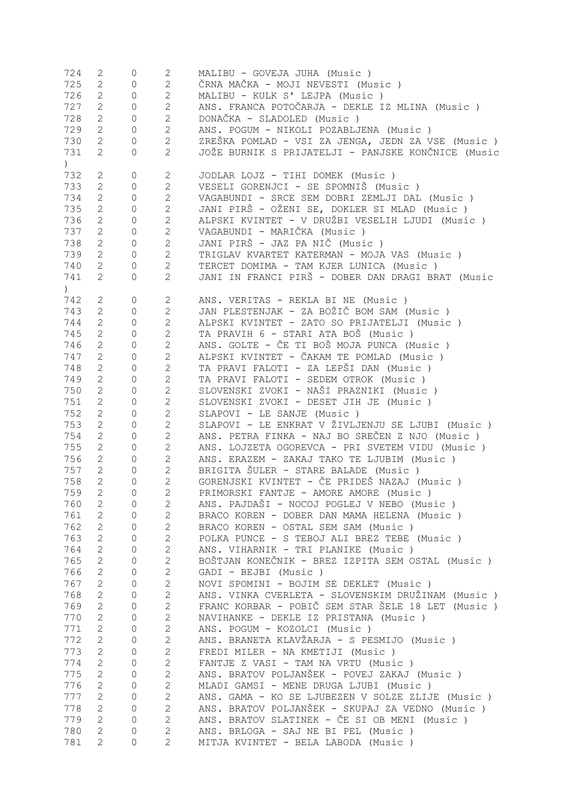| 724              | 2                              | 0                   | 2                | MALIBU - GOVEJA JUHA (Music)                       |
|------------------|--------------------------------|---------------------|------------------|----------------------------------------------------|
| 725              | $\mathbf{2}$                   | 0                   | $\overline{2}$   | ČRNA MAČKA - MOJI NEVESTI (Music )                 |
| 726              | $\mathbf{2}$                   | $\circ$             | $\overline{c}$   | MALIBU - KULK S' LEJPA (Music)                     |
| 727              | $\mathbf{2}$                   | $\mathbf{0}$        | $\overline{c}$   | ANS. FRANCA POTOČARJA - DEKLE IZ MLINA (Music )    |
|                  |                                |                     |                  |                                                    |
| 728              | $\mathbf{2}$                   | $\circ$             | $\overline{c}$   | DONAČKA - SLADOLED (Music)                         |
| 729              | $\mathbf{2}$                   | $\circ$             | $\overline{c}$   | ANS. POGUM - NIKOLI POZABLJENA (Music )            |
| 730              | $\overline{2}$                 | $\circ$             | $\overline{2}$   | ZREŠKA POMLAD - VSI ZA JENGA, JEDN ZA VSE (Music ) |
| 731              | $\mathbf{2}^{\prime}$          | $\circ$             | $\overline{2}$   | JOŽE BURNIK S PRIJATELJI - PANJSKE KONČNICE (Music |
| $\left( \right)$ |                                |                     |                  |                                                    |
| 732              | 2                              | $\mathbb O$         | $\mathbf{2}$     | JODLAR LOJZ - TIHI DOMEK (Music )                  |
| 733              | $\mathbf{2}$                   | $\mathbb O$         | $\overline{2}$   | VESELI GORENJCI - SE SPOMNIŠ (Music)               |
|                  |                                |                     |                  |                                                    |
| 734              | $\mathbf{2}$                   | $\mathbb O$         | $\overline{2}$   | VAGABUNDI - SRCE SEM DOBRI ZEMLJI DAL (Music)      |
| 735              | $\mathbf{2}$                   | $\circ$             | $\overline{c}$   | JANI PIRŠ - OŽENI SE, DOKLER SI MLAD (Music )      |
| 736              | $\mathbf{2}$                   | $\circ$             | $\overline{c}$   | ALPSKI KVINTET - V DRUŽBI VESELIH LJUDI (Music)    |
| 737              | $\mathbf{2}$                   | $\circ$             | $\mathbf{2}$     | VAGABUNDI - MARIČKA (Music)                        |
| 738              | $\mathbf{2}$                   | $\circ$             | $\overline{c}$   | JANI PIRŠ - JAZ PA NIČ (Music )                    |
| 739              | $\mathbf{2}$                   | $\mathbb O$         | $\overline{c}$   | TRIGLAV KVARTET KATERMAN - MOJA VAS (Music)        |
|                  |                                |                     |                  |                                                    |
| 740              | $\overline{2}$                 | $\circ$             | $\overline{2}$   | TERCET DOMIMA - TAM KJER LUNICA (Music)            |
| 741              | $\mathbf{2}$                   | $\circ$             | $\overline{2}$   | JANI IN FRANCI PIRŠ - DOBER DAN DRAGI BRAT (Music  |
| $\left( \right)$ |                                |                     |                  |                                                    |
| 742              | 2                              | $\mathbb O$         | $\mathbf{2}$     | ANS. VERITAS - REKLA BI NE (Music)                 |
| 743              | $\mathbf{2}$                   | $\circ$             | $\overline{c}$   | JAN PLESTENJAK - ZA BOŽIČ BOM SAM (Music )         |
| 744              | $\mathbf{2}$                   | $\mathbf{0}$        | $\mathbf{2}$     | ALPSKI KVINTET - ZATO SO PRIJATELJI (Music)        |
|                  |                                |                     |                  |                                                    |
| 745              | $\mathbf{2}$                   | $\mathbf{0}$        | $\mathbf{2}$     | TA PRAVIH 6 - STARI ATA BOŠ (Music)                |
| 746              | $\mathbf{2}$                   | $\mathbf{0}$        | $\mathbf{2}$     | ANS. GOLTE - ČE TI BOŠ MOJA PUNCA (Music )         |
| 747              | $\mathbf{2}$                   | $\mathbf{0}$        | $\overline{c}$   | ALPSKI KVINTET - ČAKAM TE POMLAD (Music )          |
| 748              | $\mathbf{2}$                   | $\mathbf{0}$        | $\overline{c}$   | TA PRAVI FALOTI - ZA LEPŠI DAN (Music )            |
| 749              | $\mathbf{2}$                   | $\mathbf{0}$        | $\overline{c}$   | TA PRAVI FALOTI - SEDEM OTROK (Music)              |
| 750              | $\mathbf{2}$                   | $\mathbf{0}$        | $\overline{c}$   | SLOVENSKI ZVOKI - NAŠI PRAZNIKI (Music )           |
|                  |                                |                     |                  |                                                    |
| 751              | $\mathbf{2}$                   | $\mathbf{0}$        | $\mathbf{2}$     | SLOVENSKI ZVOKI - DESET JIH JE (Music)             |
| 752              | $\mathbf{2}$                   | $\mathbf{0}$        | $\mathbf{2}$     | SLAPOVI - LE SANJE (Music)                         |
| 753              | $\mathbf{2}$                   | $\mathbf{0}$        | $\mathbf{2}$     | SLAPOVI - LE ENKRAT V ŽIVLJENJU SE LJUBI (Music)   |
| 754              | $\mathbf{2}$                   | $\mathbf{0}$        | $\overline{c}$   | ANS. PETRA FINKA - NAJ BO SREČEN Z NJO (Music )    |
| 755              | $\mathbf{2}$                   | $\mathbf{0}$        | $\mathbf{2}$     | ANS. LOJZETA OGOREVCA - PRI SVETEM VIDU (Music )   |
| 756              | $\mathbf{2}$                   | $\mathbf{0}$        | $\overline{2}$   | ANS. ERAZEM - ZAKAJ TAKO TE LJUBIM (Music)         |
| 757              | $\mathbf{2}$                   | $\mathbf{0}$        | $\mathbf{2}$     | BRIGITA ŠULER - STARE BALADE (Music)               |
|                  |                                |                     |                  | GORENJSKI KVINTET - ČE PRIDEŠ NAZAJ (Music)        |
| 758              | $\mathbf{2}^{\mathsf{I}}$      | $\circ$             | $\overline{2}$   |                                                    |
| 759              | $\mathbf{2}$                   | $\Omega$            | 2                | PRIMORSKI FANTJE - AMORE AMORE (Music)             |
| 760              | $\mathbf{2}$                   | 0                   | $\mathbf{2}$     | ANS. PAJDAŠI - NOCOJ POGLEJ V NEBO (Music)         |
| 761              | $\overline{2}$                 | $\overline{0}$      | $2 \overline{ }$ | BRACO KOREN - DOBER DAN MAMA HELENA (Music)        |
| 762              | $2 \left( \frac{1}{2} \right)$ | $\circ$             | $\mathbf{2}$     | BRACO KOREN - OSTAL SEM SAM (Music)                |
| 763              | $2 \left( \frac{1}{2} \right)$ | $\circ$             | $\mathbf{2}$     | POLKA PUNCE - S TEBOJ ALI BREZ TEBE (Music)        |
| 764              | $2 \left( \frac{1}{2} \right)$ | $\circ$             | $\mathbf{2}$     | ANS. VIHARNIK - TRI PLANIKE (Music)                |
|                  |                                |                     |                  |                                                    |
| 765              | $2 \left( \frac{1}{2} \right)$ | $\circ$             | $\mathbf{2}$     | BOŠTJAN KONEČNIK - BREZ IZPITA SEM OSTAL (Music)   |
| 766              | $2 \left( \frac{1}{2} \right)$ | $\circ$             | $\mathbf{2}$     | GADI - BEJBI (Music)                               |
| 767              | $2 \left( \frac{1}{2} \right)$ | $\circ$             | $\overline{2}$   | NOVI SPOMINI - BOJIM SE DEKLET (Music)             |
| 768              | $2 \left( \frac{1}{2} \right)$ | $\circ$             | $\mathbf{2}$     | ANS. VINKA CVERLETA - SLOVENSKIM DRUŽINAM (Music)  |
| 769              | $2 \left( \frac{1}{2} \right)$ | $\circ$             | $\mathbf{2}$     | FRANC KORBAR - POBIČ SEM STAR ŠELE 18 LET (Music)  |
| 770              | $2 \left( \frac{1}{2} \right)$ | $\circ$             | $\mathbf{2}$     | NAVIHANKE - DEKLE IZ PRISTANA (Music)              |
| 771              | $2 \left( \frac{1}{2} \right)$ | $\circ$             | $\mathbf{2}$     | ANS. POGUM - KOZOLCI (Music)                       |
|                  |                                |                     |                  |                                                    |
| 772              | $2 \left( \frac{1}{2} \right)$ | $\circ$             | $\mathbf{2}$     | ANS. BRANETA KLAVŽARJA - S PESMIJO (Music )        |
| 773              |                                | $2 \qquad \qquad 0$ | $\mathbf{2}$     | FREDI MILER - NA KMETIJI (Music)                   |
| 774              | $\overline{2}$                 | $\overline{0}$      | $\mathbf{2}$     | FANTJE Z VASI - TAM NA VRTU (Music)                |
| 775              | $2^{\circ}$                    | $\mathbb O$         | $\mathbf{2}$     | ANS. BRATOV POLJANŠEK - POVEJ ZAKAJ (Music)        |
| 776              | $2^{\circ}$                    | $\mathbb O$         | $\mathbf{2}$     | MLADI GAMSI - MENE DRUGA LJUBI (Music)             |
| 777              | $2^{\circ}$                    | $\circ$             | $\mathbf{2}$     | ANS. GAMA - KO SE LJUBEZEN V SOLZE ZLIJE (Music)   |
|                  |                                |                     |                  |                                                    |
| 778              | $2^{\circ}$                    | $\circ$             | $\overline{2}$   | ANS. BRATOV POLJANŠEK - SKUPAJ ZA VEDNO (Music )   |
| 779              | $2^{\circ}$                    | $\circ$             | $\overline{2}$   | ANS. BRATOV SLATINEK - ČE SI OB MENI (Music)       |
| 780              | $\mathbf{2}$                   | 0                   | $\overline{2}$   | ANS. BRLOGA - SAJ NE BI PEL (Music)                |
|                  | $\overline{c}$                 |                     | $\overline{2}$   |                                                    |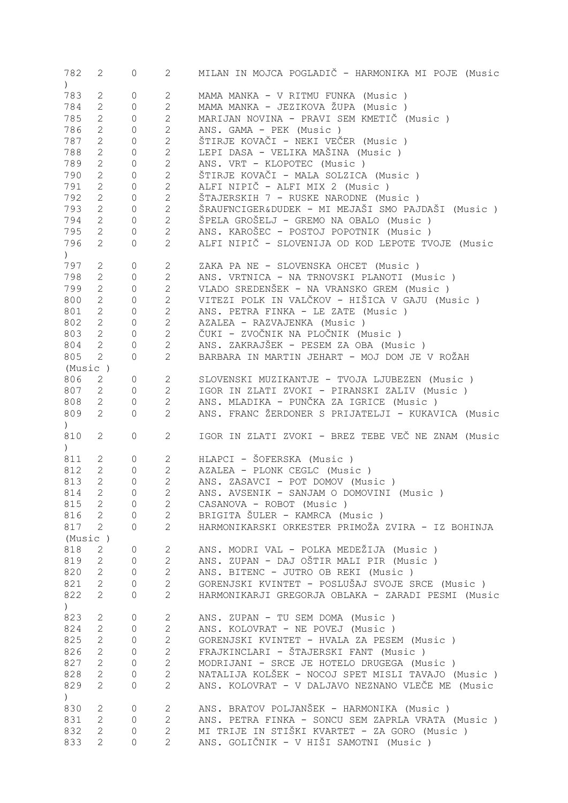| 782                                             | 2                                       | 0                   | $\overline{2}$                   | MILAN IN MOJCA POGLADIČ - HARMONIKA MI POJE (Music                                       |
|-------------------------------------------------|-----------------------------------------|---------------------|----------------------------------|------------------------------------------------------------------------------------------|
| $\left( \begin{array}{c} 1 \end{array} \right)$ |                                         |                     |                                  |                                                                                          |
| 783                                             | 2                                       | 0                   | $\mathbf{2}$                     | MAMA MANKA - V RITMU FUNKA (Music)                                                       |
|                                                 |                                         |                     |                                  |                                                                                          |
| 784                                             | $\overline{2}$                          | $\overline{0}$      | $\overline{2}$                   | MAMA MANKA - JEZIKOVA ŽUPA (Music)                                                       |
| 785                                             | $\mathbf{2}$                            | 0                   | $\overline{c}$                   | MARIJAN NOVINA - PRAVI SEM KMETIČ (Music)                                                |
| 786                                             | $\mathbf{2}$                            | 0                   | $\overline{c}$                   | ANS. GAMA - PEK (Music)                                                                  |
| 787                                             | $\mathbf{2}$                            | 0                   | $\overline{c}$                   | ŠTIRJE KOVAČI - NEKI VEČER (Music )                                                      |
| 788                                             | $\mathbf{2}$                            | 0                   | $\overline{c}$                   | LEPI DASA - VELIKA MAŠINA (Music )                                                       |
|                                                 |                                         |                     | $\overline{c}$                   |                                                                                          |
| 789                                             | $\mathbf{2}$                            | 0                   |                                  | ANS. VRT - KLOPOTEC (Music)                                                              |
| 790                                             | $\mathbf{2}$                            | 0                   | $\mathbf{2}$                     | ŠTIRJE KOVAČI - MALA SOLZICA (Music )                                                    |
| 791                                             | $\mathbf{2}$                            | 0                   | $\mathbf{2}$                     | ALFI NIPIČ - ALFI MIX 2 (Music)                                                          |
| 792                                             | $\mathbf{2}$                            | $\circ$             | $\mathbf{2}$                     | ŠTAJERSKIH 7 - RUSKE NARODNE (Music)                                                     |
| 793                                             | $\mathbf{2}$                            | $\circ$             | $\mathbf{2}$                     | ŠRAUFNCIGER&DUDEK - MI MEJAŠI SMO PAJDAŠI (Music )                                       |
|                                                 |                                         |                     |                                  |                                                                                          |
| 794                                             | $\overline{2}$                          | $\circ$             | $\mathbf{2}$                     | ŠPELA GROŠELJ - GREMO NA OBALO (Music)                                                   |
| 795                                             | $\overline{2}$                          | $\circ$             | $\overline{2}$                   | ANS. KAROŠEC - POSTOJ POPOTNIK (Music)                                                   |
| 796                                             | $\mathbf{2}$                            | 0                   | $\overline{2}$                   | ALFI NIPIČ - SLOVENIJA OD KOD LEPOTE TVOJE (Music                                        |
| $\left( \begin{array}{c} 1 \end{array} \right)$ |                                         |                     |                                  |                                                                                          |
| 797                                             | 2                                       | 0                   | $\mathbf{2}$                     | ZAKA PA NE - SLOVENSKA OHCET (Music)                                                     |
|                                                 |                                         |                     |                                  |                                                                                          |
| 798                                             | $\overline{2}$                          | $\circ$             | $\mathbf{2}$                     | ANS. VRTNICA - NA TRNOVSKI PLANOTI (Music)                                               |
| 799                                             | $\overline{2}$                          | $\circ$             | $\mathbf{2}$                     | VLADO SREDENŠEK - NA VRANSKO GREM (Music)                                                |
| 800                                             | $\overline{2}$                          | $\circ$             | $\mathbf{2}$                     | VITEZI POLK IN VALČKOV - HIŠICA V GAJU (Music )                                          |
| 801                                             | $\overline{2}$                          | $\circ$             | $\mathbf{2}$                     | ANS. PETRA FINKA - LE ZATE (Music)                                                       |
| 802                                             | $\mathbf{2}$                            | $\mathsf{O}\xspace$ | $\mathbf{2}$                     | AZALEA - RAZVAJENKA (Music)                                                              |
|                                                 |                                         |                     |                                  |                                                                                          |
| 803                                             | $2^{\circ}$                             | $\mathsf{O}\xspace$ | $\mathbf{2}$                     | ČUKI - ZVOČNIK NA PLOČNIK (Music )                                                       |
| 804                                             | $\overline{2}$                          | 0                   | $\mathbf{2}$                     | ANS. ZAKRAJŠEK - PESEM ZA OBA (Music)                                                    |
| 805                                             | $\mathbf{2}$                            | $\circ$             | $\overline{2}$                   | BARBARA IN MARTIN JEHART - MOJ DOM JE V ROŽAH                                            |
| (Music)                                         |                                         |                     |                                  |                                                                                          |
| 806                                             | $\overline{2}$                          | $\circ$             | $\overline{2}$                   | SLOVENSKI MUZIKANTJE - TVOJA LJUBEZEN (Music )                                           |
|                                                 |                                         |                     |                                  |                                                                                          |
| 807                                             | $\overline{2}$                          | $\circ$             | $\mathbf{2}$                     | IGOR IN ZLATI ZVOKI - PIRANSKI ZALIV (Music )                                            |
| 808                                             | $2^{\circ}$                             | $\mathbb O$         | $\mathbf{2}$                     | ANS. MLADIKA - PUNČKA ZA IGRICE (Music)                                                  |
| 809                                             | $\overline{2}$                          | 0                   | $\overline{2}$                   | ANS. FRANC ŽERDONER S PRIJATELJI - KUKAVICA (Music                                       |
|                                                 |                                         |                     |                                  |                                                                                          |
|                                                 |                                         |                     |                                  |                                                                                          |
| $\left( \begin{array}{c} 1 \end{array} \right)$ |                                         |                     |                                  |                                                                                          |
| 810                                             | $\mathbf{2}$                            | 0                   | $\mathbf{2}$                     | IGOR IN ZLATI ZVOKI - BREZ TEBE VEČ NE ZNAM (Music                                       |
| $\left( \begin{array}{c} 1 \end{array} \right)$ |                                         |                     |                                  |                                                                                          |
| 811                                             | $\mathbf{2}$                            | 0                   | $2 \left( \frac{1}{2} \right)$   | HLAPCI - ŠOFERSKA (Music)                                                                |
| 812                                             | $\mathbf{2}$                            | $\mathbf{0}$        | $\overline{2}$                   | AZALEA - PLONK CEGLC (Music)                                                             |
|                                                 | $\overline{2}$                          | $\overline{0}$      | $\overline{2}$                   |                                                                                          |
| 813                                             |                                         |                     |                                  | ANS. ZASAVCI - POT DOMOV (Music)                                                         |
| 814                                             | $\mathbf{2}$                            | 0                   | $\overline{2}$                   | ANS. AVSENIK - SANJAM O DOMOVINI (Music )                                                |
| 815                                             | 2                                       | $\overline{0}$      | $\mathbf{2}$                     | CASANOVA - ROBOT (Music)                                                                 |
| 816                                             | $\overline{2}$                          | $\mathbf 0$         | $\overline{2}$                   | BRIGITA ŠULER - KAMRCA (Music)                                                           |
| 817                                             | 2                                       | $\Omega$            | $\overline{2}$                   | HARMONIKARSKI ORKESTER PRIMOŽA ZVIRA - IZ BOHINJA                                        |
| (Music)                                         |                                         |                     |                                  |                                                                                          |
|                                                 |                                         |                     |                                  |                                                                                          |
| 818                                             | $\mathbf{2}$                            | 0                   | $\mathbf{2}$                     | ANS. MODRI VAL - POLKA MEDEŽIJA (Music)                                                  |
| 819                                             | $\overline{2}$                          | $\overline{0}$      | $\mathbf{2}$                     | ANS. ZUPAN - DAJ OŠTIR MALI PIR (Music )                                                 |
| 820                                             | $\mathbf{2}$                            | $\overline{0}$      | $\mathbf{2}$                     | ANS. BITENC - JUTRO OB REKI (Music )                                                     |
| 821                                             | $\mathbf{2}$                            | 0                   | $\mathbf{2}$                     | GORENJSKI KVINTET - POSLUŠAJ SVOJE SRCE (Music)                                          |
|                                                 | $\overline{2}$                          | 0                   | $\overline{2}$                   | HARMONIKARJI GREGORJA OBLAKA - ZARADI PESMI (Music                                       |
| 822                                             |                                         |                     |                                  |                                                                                          |
| $\left( \right)$                                |                                         |                     |                                  |                                                                                          |
| 823                                             | 2                                       | 0                   | $\mathbf{2}$                     | ANS. ZUPAN - TU SEM DOMA (Music)                                                         |
| 824                                             | $\mathbf{2}$                            | $\overline{0}$      | $\mathbf{2}$                     | ANS. KOLOVRAT - NE POVEJ (Music)                                                         |
| 825                                             | $\overline{2}$                          | 0                   | $\mathbf{2}$                     | GORENJSKI KVINTET - HVALA ZA PESEM (Music )                                              |
| 826                                             | $\overline{2}$                          | 0                   | $\mathbf{2}$                     | FRAJKINCLARI - ŠTAJERSKI FANT (Music)                                                    |
|                                                 |                                         |                     |                                  |                                                                                          |
| 827                                             | $\overline{2}$                          | 0                   | $\overline{c}$                   | MODRIJANI - SRCE JE HOTELO DRUGEGA (Music)                                               |
| 828                                             | $\overline{2}$                          | 0                   | $\overline{2}$                   | NATALIJA KOLŠEK - NOCOJ SPET MISLI TAVAJO (Music)                                        |
| 829                                             | $\mathbf{2}$                            | 0                   | $\mathbf{2}$                     | ANS. KOLOVRAT - V DALJAVO NEZNANO VLEČE ME (Music                                        |
| $\left( \frac{1}{2} \right)$                    |                                         |                     |                                  |                                                                                          |
| 830                                             | 2                                       | 0                   | 2                                | ANS. BRATOV POLJANŠEK - HARMONIKA (Music)                                                |
|                                                 |                                         |                     |                                  |                                                                                          |
| 831                                             | $\mathbf{2}$                            | $\overline{0}$      | $\overline{2}$                   | ANS. PETRA FINKA - SONCU SEM ZAPRLA VRATA (Music )                                       |
| 832<br>833                                      | $\overline{2}$<br>$\mathbf{2}^{\prime}$ | 0<br>0              | $\overline{2}$<br>$\overline{2}$ | MI TRIJE IN STIŠKI KVARTET - ZA GORO (Music )<br>ANS. GOLIČNIK - V HIŠI SAMOTNI (Music ) |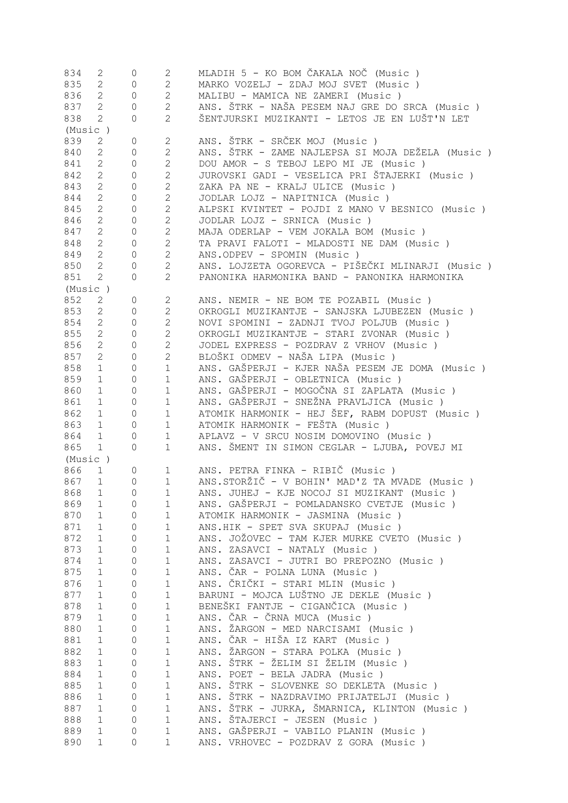| 834     | 2              | 0              | $\mathbf{2}$           | MLADIH 5 - KO BOM ČAKALA NOČ (Music)              |
|---------|----------------|----------------|------------------------|---------------------------------------------------|
| 835     | $\overline{2}$ | $\circ$        | $\overline{2}$         | MARKO VOZELJ - ZDAJ MOJ SVET (Music)              |
| 836     | $\overline{2}$ | $\circ$        | $\mathbf{2}$           | MALIBU - MAMICA NE ZAMERI (Music)                 |
| 837     | $\overline{2}$ | $\overline{0}$ | $\mathbf{2}$           | ANS. ŠTRK - NAŠA PESEM NAJ GRE DO SRCA (Music )   |
| 838     | $\overline{2}$ | $\circ$        | $\overline{2}$         | ŠENTJURSKI MUZIKANTI - LETOS JE EN LUŠT'N LET     |
|         |                |                |                        |                                                   |
| (Music) |                |                |                        |                                                   |
| 839     | $\mathbf{2}$   | 0              | 2                      | ANS. ŠTRK - SRČEK MOJ (Music)                     |
| 840     | $\overline{2}$ | 0              | $\overline{2}$         | ANS. ŠTRK - ZAME NAJLEPSA SI MOJA DEŽELA (Music ) |
| 841     | $\overline{2}$ | 0              | $\mathbf{2}$           | DOU AMOR - S TEBOJ LEPO MI JE (Music)             |
| 842     | $\overline{2}$ | 0              | $\mathbf{2}$           | JUROVSKI GADI - VESELICA PRI ŠTAJERKI (Music )    |
| 843     | $\overline{2}$ | $\mathbf{0}$   | $\mathbf{2}$           | ZAKA PA NE - KRALJ ULICE (Music)                  |
| 844     | $\overline{2}$ | $\circ$        | $\mathbf{2}$           | JODLAR LOJZ - NAPITNICA (Music)                   |
| 845     | $\mathbf{2}$   | $\mathbf{0}$   | $\mathbf{2}$           | ALPSKI KVINTET - POJDI Z MANO V BESNICO (Music)   |
|         |                |                |                        |                                                   |
| 846     | $\overline{2}$ | $\circ$        | $\mathbf{2}$           | JODLAR LOJZ - SRNICA (Music)                      |
| 847     | $\mathbf{2}$   | 0              | $\mathbf{2}$           | MAJA ODERLAP - VEM JOKALA BOM (Music)             |
| 848     | $\mathbf{2}$   | $\mathbf{0}$   | $\mathbf{2}$           | TA PRAVI FALOTI - MLADOSTI NE DAM (Music)         |
| 849     | $\mathbf{2}$   | $\mathbf{0}$   | $\mathbf{2}$           | ANS.ODPEV - SPOMIN (Music)                        |
| 850     | $\overline{2}$ | 0              | $\mathbf{2}$           | ANS. LOJZETA OGOREVCA - PIŠEČKI MLINARJI (Music ) |
| 851     | $\mathbf{2}$   | 0              | $\mathbf{2}$           | PANONIKA HARMONIKA BAND - PANONIKA HARMONIKA      |
| (Music) |                |                |                        |                                                   |
| 852     | 2              | $\circ$        | $\mathbf{2}$           | ANS. NEMIR - NE BOM TE POZABIL (Music)            |
|         |                |                |                        |                                                   |
| 853     | $\overline{2}$ | $\overline{0}$ | $\mathbf{2}$           | OKROGLI MUZIKANTJE - SANJSKA LJUBEZEN (Music)     |
| 854     | $\overline{2}$ | $\circ$        | 2                      | NOVI SPOMINI - ZADNJI TVOJ POLJUB (Music)         |
| 855     | $2^{\circ}$    | $\circ$        | $\mathbf{2}$           | OKROGLI MUZIKANTJE - STARI ZVONAR (Music )        |
| 856     | $\overline{2}$ | $\circ$        | $\mathbf{2}$           | JODEL EXPRESS - POZDRAV Z VRHOV (Music)           |
| 857     | $\mathbf{2}$   | $\circ$        | $\mathbf{2}$           | BLOŠKI ODMEV - NAŠA LIPA (Music )                 |
| 858     | 1              | $\circ$        | $1\,$                  | ANS. GAŠPERJI - KJER NAŠA PESEM JE DOMA (Music)   |
| 859     | 1              | $\circ$        | $\mathbf 1$            | ANS. GAŠPERJI - OBLETNICA (Music)                 |
| 860     | 1              | $\circ$        | $1\,$                  | ANS. GAŠPERJI - MOGOČNA SI ZAPLATA (Music)        |
|         |                |                |                        |                                                   |
| 861     | 1              | $\circ$        | $\mathbf 1$            | ANS. GAŠPERJI - SNEŽNA PRAVLJICA (Music )         |
| 862     | 1              | $\circ$        | $1\,$                  | ATOMIK HARMONIK - HEJ ŠEF, RABM DOPUST (Music)    |
| 863     | 1              | 0              | $\mathbf{1}$           | ATOMIK HARMONIK - FEŠTA (Music)                   |
| 864     | 1              | $\circ$        | $\mathbf{1}$           | APLAVZ - V SRCU NOSIM DOMOVINO (Music)            |
| 865     | 1              | 0              | $\mathbf{1}$           | ANS. ŠMENT IN SIMON CEGLAR - LJUBA, POVEJ MI      |
| (Music) |                |                |                        |                                                   |
| 866     | $\mathbf 1$    | 0              | $1 \quad \blacksquare$ | ANS. PETRA FINKA - RIBIČ (Music )                 |
| 867     | $\mathbf 1$    | 0              | $\mathbf{1}$           | ANS.STORŽIČ - V BOHIN' MAD'Z TA MVADE (Music)     |
|         |                |                | $\mathbf{1}$           | ANS. JUHEJ - KJE NOCOJ SI MUZIKANT (Music)        |
| 868     | 1              | 0              |                        |                                                   |
| 869     | 1              | 0              | 1                      | ANS. GAŠPERJI - POMLADANSKO CVETJE (Music )       |
| 870     | $\mathbf 1$    | 0              | $\mathbf 1$            | ATOMIK HARMONIK - JASMINA (Music)                 |
| 871     | $\mathbf 1$    | 0              | $\mathbf 1$            | ANS.HIK - SPET SVA SKUPAJ (Music)                 |
| 872     | $\mathbf 1$    | 0              | $\mathbf 1$            | ANS. JOŽOVEC - TAM KJER MURKE CVETO (Music)       |
| 873     | $\mathbf 1$    | 0              | $\mathbf 1$            | ANS. ZASAVCI - NATALY (Music)                     |
| 874     | $\mathbf 1$    | $\mathbf{0}$   | $\mathbf 1$            | ANS. ZASAVCI - JUTRI BO PREPOZNO (Music)          |
| 875     | $\mathbf 1$    | $\overline{0}$ | 1                      | ANS. ČAR - POLNA LUNA (Music )                    |
| 876     | $\mathbf 1$    | $\circ$        | $\mathbf 1$            | ANS. ČRIČKI - STARI MLIN (Music )                 |
|         |                |                |                        |                                                   |
| 877     | $\mathbf 1$    | $\circ$        | $\mathbf 1$            | BARUNI - MOJCA LUŠTNO JE DEKLE (Music)            |
| 878     | $\mathbf 1$    | $\mathbf 0$    | $\mathbf 1$            | BENEŠKI FANTJE - CIGANČICA (Music )               |
| 879     | $\mathbf 1$    | 0              | $\mathbf 1$            | ANS. ČAR - ČRNA MUCA (Music)                      |
| 880     | $\mathbf 1$    | $\circ$        | $\mathbf 1$            | ANS. ŽARGON - MED NARCISAMI (Music)               |
| 881     | $\mathbf 1$    | 0              | $\mathbf 1$            | ANS. ČAR - HIŠA IZ KART (Music )                  |
| 882     | $\mathbf 1$    | $\mathbb O$    | $\mathbf 1$            | ANS. ŽARGON - STARA POLKA (Music)                 |
| 883     | $\mathbf 1$    | 0              | $\mathbf 1$            | ANS. ŠTRK - ŽELIM SI ŽELIM (Music )               |
| 884     | $\mathbf 1$    | 0              | $\mathbf 1$            | ANS. POET - BELA JADRA (Music)                    |
|         |                |                |                        |                                                   |
| 885     | $\mathbf 1$    | 0              | $\mathbf 1$            | ANS. ŠTRK - SLOVENKE SO DEKLETA (Music)           |
| 886     | $\mathbf{1}$   | $\circ$        | $\mathbf 1$            | ANS. ŠTRK - NAZDRAVIMO PRIJATELJI (Music)         |
| 887     | $\mathbf 1$    | $\circ$        | $\mathbf 1$            | ANS. ŠTRK - JURKA, ŠMARNICA, KLINTON (Music)      |
| 888     | $\mathbf 1$    | $\circ$        | $\mathbf 1$            | ANS. ŠTAJERCI - JESEN (Music)                     |
| 889     | $\mathbf 1$    | 0              | $\mathbf 1$            | ANS. GAŠPERJI - VABILO PLANIN (Music)             |
| 890     | $\mathbf 1$    | 0              | $\mathbf{1}$           | ANS. VRHOVEC - POZDRAV Z GORA (Music)             |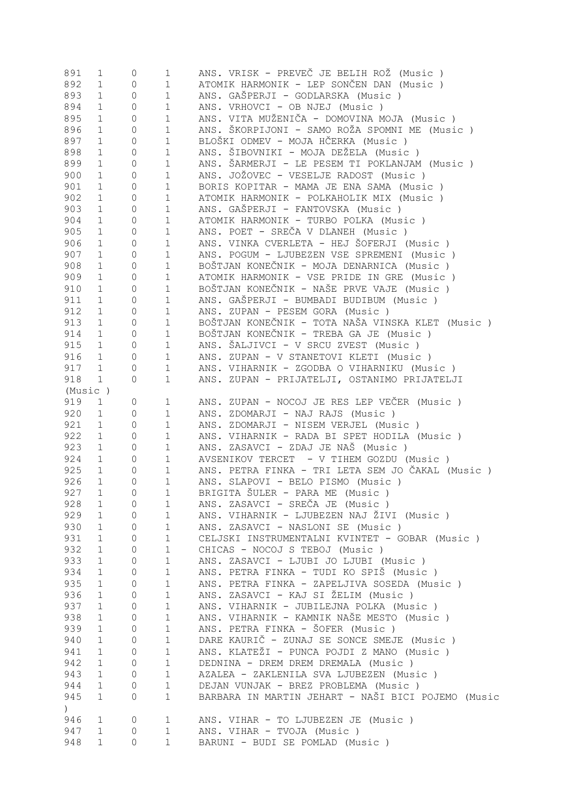| 891              | $\mathbf{1}$ | 0                   | $\mathbf 1$  | ANS. VRISK - PREVEČ JE BELIH ROŽ (Music )          |
|------------------|--------------|---------------------|--------------|----------------------------------------------------|
| 892              | $\mathbf 1$  | $\mathsf{O}\xspace$ | $1\,$        | ATOMIK HARMONIK - LEP SONČEN DAN (Music )          |
| 893              | $\mathbf{1}$ | 0                   | $\mathbf 1$  | ANS. GAŠPERJI - GODLARSKA (Music)                  |
| 894              | $\mathbf 1$  | 0                   | $\mathbf 1$  | ANS. VRHOVCI - OB NJEJ (Music)                     |
| 895              | $\mathbf 1$  | 0                   | $1\,$        | ANS. VITA MUŽENIČA - DOMOVINA MOJA (Music )        |
| 896              | $\mathbf 1$  | 0                   | $1\,$        | ANS. ŠKORPIJONI - SAMO ROŽA SPOMNI ME (Music )     |
| 897              | $\mathbf 1$  | 0                   | $1\,$        | BLOŠKI ODMEV - MOJA HČERKA (Music )                |
| 898              | $\mathbf 1$  | 0                   | $1\,$        | ANS. ŠIBOVNIKI - MOJA DEŽELA (Music )              |
| 899              | 1            | 0                   | $1\,$        | ANS. ŠARMERJI - LE PESEM TI POKLANJAM (Music )     |
| 900              | 1            | 0                   | $1\,$        | ANS. JOŽOVEC - VESELJE RADOST (Music )             |
| 901              | $\mathbf 1$  | 0                   | $1\,$        | BORIS KOPITAR - MAMA JE ENA SAMA (Music)           |
| 902              |              | 0                   |              | ATOMIK HARMONIK - POLKAHOLIK MIX (Music)           |
|                  | $\mathbf 1$  |                     | $1\,$        |                                                    |
| 903              | $\mathbf 1$  | 0                   | $\mathbf 1$  | ANS. GAŠPERJI - FANTOVSKA (Music )                 |
| 904              | $\mathbf 1$  | 0                   | $1\,$        | ATOMIK HARMONIK - TURBO POLKA (Music)              |
| 905              | $\mathbf 1$  | 0                   | $\mathbf 1$  | ANS. POET - SREČA V DLANEH (Music)                 |
| 906              | $\mathbf 1$  | 0                   | $\mathbf 1$  | ANS. VINKA CVERLETA - HEJ ŠOFERJI (Music )         |
| 907              | $\mathbf 1$  | 0                   | $\mathbf 1$  | ANS. POGUM - LJUBEZEN VSE SPREMENI (Music )        |
| 908              | $\mathbf 1$  | 0                   | $\mathbf 1$  | BOŠTJAN KONEČNIK - MOJA DENARNICA (Music )         |
| 909              | $\mathbf{1}$ | 0                   | $\mathbf 1$  | ATOMIK HARMONIK - VSE PRIDE IN GRE (Music)         |
| 910              | $\mathbf{1}$ | 0                   | $1\,$        | BOŠTJAN KONEČNIK - NAŠE PRVE VAJE (Music )         |
| 911              | $\mathbf{1}$ | 0                   | $1\,$        | ANS. GAŠPERJI - BUMBADI BUDIBUM (Music)            |
| 912              | $\mathbf 1$  | $\mathsf{O}\xspace$ | $\mathbf 1$  | ANS. ZUPAN - PESEM GORA (Music)                    |
| 913              | $\mathbf 1$  | $\mathsf{O}\xspace$ | $\mathbf 1$  | BOŠTJAN KONEČNIK - TOTA NAŠA VINSKA KLET (Music )  |
| 914              | $\mathbf 1$  | 0                   | $\mathbf 1$  | BOŠTJAN KONEČNIK - TREBA GA JE (Music )            |
| 915              | $\mathbf 1$  | $\mathsf{O}\xspace$ | $\mathbf 1$  | ANS. ŠALJIVCI - V SRCU ZVEST (Music)               |
| 916              | $\mathbf{1}$ | $\mathsf{O}\xspace$ | $\mathbf 1$  | ANS. ZUPAN - V STANETOVI KLETI (Music )            |
| 917              | $\mathbf 1$  | 0                   | $\mathbf 1$  | ANS. VIHARNIK - ZGODBA O VIHARNIKU (Music)         |
| 918              | $\mathbf{1}$ | $\mathbf{0}$        | $\mathbf{1}$ | ANS. ZUPAN - PRIJATELJI, OSTANIMO PRIJATELJI       |
| (Music)          |              |                     |              |                                                    |
| 919              | 1            | 0                   | $\mathbf 1$  | ANS. ZUPAN - NOCOJ JE RES LEP VEČER (Music)        |
| 920              | $\mathbf 1$  | 0                   | $\mathbf 1$  | ANS. ZDOMARJI - NAJ RAJS (Music)                   |
| 921              | 1            | 0                   | $1\,$        | ANS. ZDOMARJI - NISEM VERJEL (Music)               |
| 922              | 1            | 0                   | $1\,$        | ANS. VIHARNIK - RADA BI SPET HODILA (Music)        |
| 923              | $\mathbf 1$  | 0                   | $1\,$        | ANS. ZASAVCI - ZDAJ JE NAŠ (Music )                |
| 924              | $\mathbf 1$  | $\mathsf{O}\xspace$ | $\mathbf 1$  | AVSENIKOV TERCET - V TIHEM GOZDU (Music)           |
|                  |              |                     |              |                                                    |
| 925              | $\mathbf{1}$ | $\mathsf{O}\xspace$ | $\mathbf{1}$ | ANS. PETRA FINKA - TRI LETA SEM JO ČAKAL (Music )  |
| 926              | $\mathbf{1}$ | 0                   | $1\,$        | ANS. SLAPOVI - BELO PISMO (Music)                  |
| 927              | 1            | 0                   | $\mathbf 1$  | BRIGITA ŠULER - PARA ME (Music)                    |
| 928              | 1            | 0                   | 1            | ANS. ZASAVCI - SREČA JE (Music)                    |
| 929              | $\mathbf{1}$ | 0                   | $\mathbf{1}$ | ANS. VIHARNIK - LJUBEZEN NAJ ŽIVI (Music )         |
| 930              | $\mathbf{1}$ | $\overline{0}$      | $1\,$        | ANS. ZASAVCI - NASLONI SE (Music)                  |
| 931              | $\mathbf 1$  | $\overline{0}$      | $1\,$        | CELJSKI INSTRUMENTALNI KVINTET - GOBAR (Music)     |
| 932              | $\mathbf 1$  | 0                   | $1\,$        | CHICAS - NOCOJ S TEBOJ (Music)                     |
| 933              | $\mathbf 1$  | 0                   | $1\,$        | ANS. ZASAVCI - LJUBI JO LJUBI (Music)              |
| 934              | $\mathbf{1}$ | 0                   | $1\,$        | ANS. PETRA FINKA - TUDI KO SPIŠ (Music )           |
| 935              | $\mathbf{1}$ | 0                   | $1\,$        | ANS. PETRA FINKA - ZAPELJIVA SOSEDA (Music )       |
| 936              | $\mathbf{1}$ | 0                   | $1\,$        | ANS. ZASAVCI - KAJ SI ŽELIM (Music )               |
| 937              | $\mathbf{1}$ | 0                   | $1\,$        | ANS. VIHARNIK - JUBILEJNA POLKA (Music )           |
| 938              | $\mathbf{1}$ | 0                   | $1\,$        | ANS. VIHARNIK - KAMNIK NAŠE MESTO (Music)          |
| 939              | $\mathbf 1$  | 0                   | $1\,$        | ANS. PETRA FINKA - ŠOFER (Music )                  |
| 940              | $\mathbf{1}$ | 0                   | $1\,$        | DARE KAURIČ - ZUNAJ SE SONCE SMEJE (Music)         |
| 941              | $\mathbf 1$  | 0                   | $1\,$        | ANS. KLATEŽI - PUNCA POJDI Z MANO (Music )         |
| 942              | $\mathbf{1}$ | 0                   | $1\,$        | DEDNINA - DREM DREM DREMALA (Music)                |
| 943              | $\mathbf 1$  | 0                   | $1\,$        | AZALEA - ZAKLENILA SVA LJUBEZEN (Music)            |
| 944              | $\mathbf{1}$ | 0                   | $1\,$        | DEJAN VUNJAK - BREZ PROBLEMA (Music)               |
| 945              | $\mathbf 1$  | 0                   | $\mathbf 1$  | BARBARA IN MARTIN JEHART - NAŠI BICI POJEMO (Music |
| $\left( \right)$ |              |                     |              |                                                    |
| 946              | $\mathbf{1}$ | 0                   | $\mathbf{1}$ | ANS. VIHAR - TO LJUBEZEN JE (Music)                |
| 947              | $\mathbf 1$  | 0                   | $\mathbf 1$  | ANS. VIHAR - TVOJA (Music)                         |
| 948              | $\mathbf{1}$ | 0                   | $\mathbf 1$  | BARUNI - BUDI SE POMLAD (Music)                    |
|                  |              |                     |              |                                                    |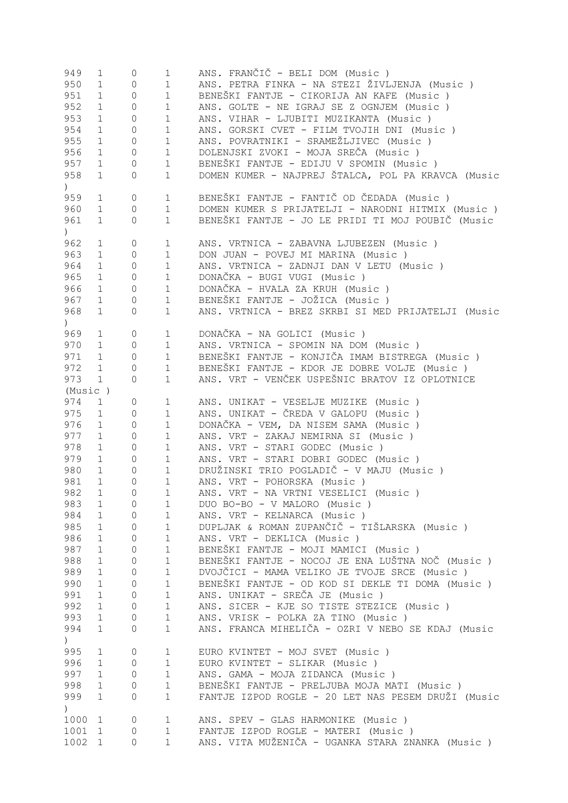| 949                                             | $\mathbf 1$  | $\circ$        | $\mathbf 1$  | ANS. FRANČIČ - BELI DOM (Music)                    |
|-------------------------------------------------|--------------|----------------|--------------|----------------------------------------------------|
| 950                                             | $\mathbf 1$  | $\circ$        | $\mathbf 1$  | ANS. PETRA FINKA - NA STEZI ŽIVLJENJA (Music )     |
| 951                                             | $\mathbf 1$  | $\circ$        | $\mathbf 1$  | BENEŠKI FANTJE - CIKORIJA AN KAFE (Music )         |
| 952                                             | $\mathbf 1$  | $\circ$        | $1\,$        | ANS. GOLTE - NE IGRAJ SE Z OGNJEM (Music)          |
| 953                                             | $\mathbf 1$  | $\circ$        | $1\,$        | ANS. VIHAR - LJUBITI MUZIKANTA (Music )            |
| 954                                             | $\mathbf 1$  | $\circ$        | $1\,$        | ANS. GORSKI CVET - FILM TVOJIH DNI (Music )        |
| 955                                             | $\mathbf{1}$ | $\circ$        | $1\,$        | ANS. POVRATNIKI - SRAMEŽLJIVEC (Music )            |
| 956                                             | $\mathbf{1}$ | $\circ$        | $1\,$        | DOLENJSKI ZVOKI - MOJA SREČA (Music )              |
| 957                                             | 1            | $\overline{0}$ | $\mathbf 1$  | BENEŠKI FANTJE - EDIJU V SPOMIN (Music )           |
| 958                                             | $\mathbf{1}$ | 0              | $\mathbf{1}$ | DOMEN KUMER - NAJPREJ ŠTALCA, POL PA KRAVCA (Music |
| $\left( \begin{array}{c} 1 \end{array} \right)$ |              |                |              |                                                    |
| 959                                             | $\mathbf 1$  | $\mathbb O$    | $\mathbf 1$  | BENEŠKI FANTJE - FANTIČ OD ČEDADA (Music )         |
| 960                                             | $\mathbf{1}$ | $\mathbf{0}$   | $\mathbf{1}$ | DOMEN KUMER S PRIJATELJI - NARODNI HITMIX (Music ) |
| 961                                             | $\mathbf{1}$ | 0              | $\mathbf{1}$ | BENEŠKI FANTJE - JO LE PRIDI TI MOJ POUBIČ (Music  |
|                                                 |              |                |              |                                                    |
| $\left( \right)$                                |              |                |              |                                                    |
| 962                                             | $\mathbf 1$  | 0              | $\mathbf 1$  | ANS. VRTNICA - ZABAVNA LJUBEZEN (Music)            |
| 963                                             | $\mathbf 1$  | $\mathbf{0}$   | $\mathbf{1}$ | DON JUAN - POVEJ MI MARINA (Music)                 |
| 964                                             | $\mathbf 1$  | $\mathbf 0$    | $\mathbf 1$  | ANS. VRTNICA - ZADNJI DAN V LETU (Music)           |
| 965                                             | $\mathbf 1$  | $\mathbf 0$    | $\mathbf{1}$ | DONAČKA - BUGI VUGI (Music)                        |
| 966                                             | $\mathbf{1}$ | $\mathbf 0$    | $\mathbf{1}$ | DONAČKA - HVALA ZA KRUH (Music)                    |
| 967                                             | $\mathbf{1}$ | $\mathbf 0$    | $\mathbf 1$  | BENEŠKI FANTJE - JOŽICA (Music)                    |
| 968                                             | $\mathbf 1$  | 0              | $\mathbf{1}$ | ANS. VRTNICA - BREZ SKRBI SI MED PRIJATELJI (Music |
| $\left( \right)$                                |              |                |              |                                                    |
| 969                                             | $\mathbf 1$  | 0              | $\mathbf 1$  | DONAČKA - NA GOLICI (Music)                        |
| 970                                             | 1            | $\circ$        | $\mathbf 1$  | ANS. VRTNICA - SPOMIN NA DOM (Music)               |
| 971                                             | $\mathbf{1}$ | $\circ$        | $\mathbf{1}$ | BENEŠKI FANTJE - KONJIČA IMAM BISTREGA (Music )    |
| 972                                             | $\mathbf{1}$ | $\mathbf{0}$   | $\mathbf{1}$ | BENEŠKI FANTJE - KDOR JE DOBRE VOLJE (Music)       |
| 973                                             | $\mathbf{1}$ | $\mathbf{0}$   | $\mathbf{1}$ | ANS. VRT - VENČEK USPEŠNIC BRATOV IZ OPLOTNICE     |
| (Music)                                         |              |                |              |                                                    |
| 974                                             | 1            | $\circ$        | $\mathbf 1$  | ANS. UNIKAT - VESELJE MUZIKE (Music)               |
| 975                                             | $\mathbf{1}$ | $\mathbf{0}$   | $\mathbf{1}$ | ANS. UNIKAT - ČREDA V GALOPU (Music )              |
| 976                                             | $\mathbf 1$  | $\mathbf{0}$   | $\mathbf 1$  | DONAČKA - VEM, DA NISEM SAMA (Music)               |
| 977                                             | $\mathbf{1}$ | $\mathbf{0}$   |              | ANS. VRT - ZAKAJ NEMIRNA SI (Music)                |
|                                                 |              |                | $\mathbf 1$  | ANS. VRT - STARI GODEC (Music)                     |
| 978                                             | $\mathbf{1}$ | $\circ$        | $\mathbf 1$  |                                                    |
| 979                                             | $\mathbf{1}$ | $\mathbf{0}$   | $\mathbf{1}$ | ANS. VRT - STARI DOBRI GODEC (Music )              |
| 980                                             | $\mathbf{1}$ | $\mathbf{0}$   | $1\,$        | DRUŽINSKI TRIO POGLADIČ - V MAJU (Music )          |
| 981                                             | $\mathbf{1}$ | $\mathbf{0}$   | $\mathbf{1}$ | ANS. VRT - POHORSKA (Music)                        |
| 982                                             | 1            | $\Omega$       | 1            | ANS. VRT - NA VRTNI VESELICI (Music )              |
| 983                                             | 1            | $\mathbf{0}$   | $\mathbf 1$  | DUO BO-BO - V MALORO (Music)                       |
| 984                                             | $\mathbf{1}$ | 0              | $\mathbf{1}$ | ANS. VRT - KELNARCA (Music)                        |
| 985                                             | 1            | 0              | $\mathbf 1$  | DUPLJAK & ROMAN ZUPANČIČ - TIŠLARSKA (Music)       |
| 986                                             | $\mathbf{1}$ | 0              | $\mathbf 1$  | ANS. VRT - DEKLICA (Music)                         |
| 987                                             | $\mathbf{1}$ | $\Omega$       | $\mathbf{1}$ | BENEŠKI FANTJE - MOJI MAMICI (Music)               |
| 988                                             | $\mathbf 1$  | 0              | $\mathbf 1$  | BENEŠKI FANTJE - NOCOJ JE ENA LUŠTNA NOČ (Music)   |
| 989                                             | $\mathbf 1$  | $\Omega$       | $\mathbf{1}$ | DVOJČICI - MAMA VELIKO JE TVOJE SRCE (Music)       |
| 990                                             | $\mathbf 1$  | $\mathbf{0}$   | $\mathbf 1$  | BENEŠKI FANTJE - OD KOD SI DEKLE TI DOMA (Music )  |
| 991                                             | $\mathbf 1$  | $\mathbf{0}$   | $\mathbf 1$  | ANS. UNIKAT - SREČA JE (Music)                     |
| 992                                             | $\mathbf 1$  | $\mathbf{0}$   | $\mathbf 1$  | ANS. SICER - KJE SO TISTE STEZICE (Music)          |
| 993                                             | $\mathbf{1}$ | 0              | $1\,$        | ANS. VRISK - POLKA ZA TINO (Music)                 |
| 994                                             | 1            | 0              | $\mathbf 1$  | ANS. FRANCA MIHELIČA - OZRI V NEBO SE KDAJ (Music  |
| $\left( \right)$                                |              |                |              |                                                    |
|                                                 |              |                |              |                                                    |
| 995<br>996                                      | $\mathbf 1$  | $\overline{0}$ | 1<br>$1\,$   | EURO KVINTET - MOJ SVET (Music)                    |
|                                                 | $\mathbf{1}$ | 0              |              | EURO KVINTET - SLIKAR (Music)                      |
| 997                                             | $\mathbf{1}$ | $\mathbf{0}$   | $1\,$        | ANS. GAMA - MOJA ZIDANCA (Music)                   |
| 998                                             | $\mathbf{1}$ | 0              | $1\,$        | BENEŠKI FANTJE - PRELJUBA MOJA MATI (Music )       |
| 999                                             | $\mathbf{1}$ | 0              | $\mathbf 1$  | FANTJE IZPOD ROGLE - 20 LET NAS PESEM DRUŽI (Music |
| $\left( \right)$                                |              |                |              |                                                    |
| 1000                                            | 1            | 0              | $\mathbf 1$  | ANS. SPEV - GLAS HARMONIKE (Music)                 |
| 1001                                            | $\mathbf 1$  | 0              | $\mathbf 1$  | FANTJE IZPOD ROGLE - MATERI (Music)                |
| 1002                                            | $\mathbf{1}$ | $\overline{0}$ | $\mathbf 1$  | ANS. VITA MUŽENIČA - UGANKA STARA ZNANKA (Music )  |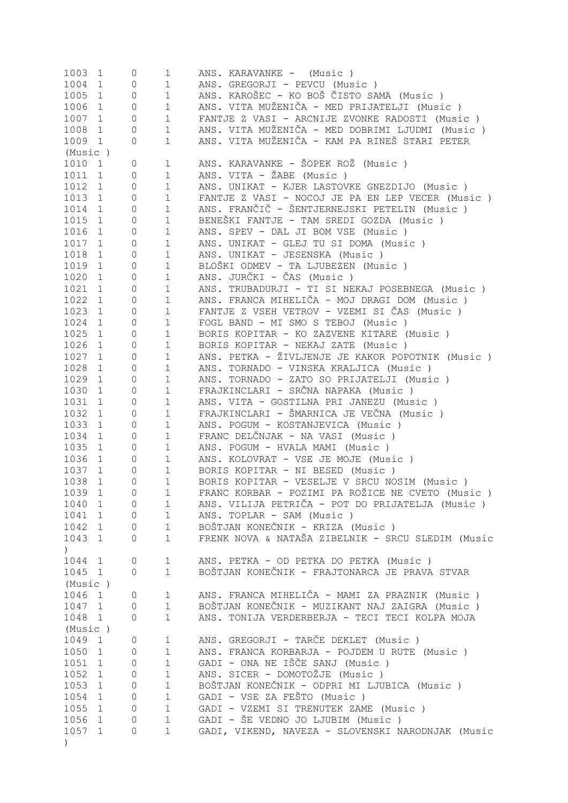| 1003 1           |                | 0                   | $\mathbf{1}$   | ANS. KARAVANKE - (Music)                          |
|------------------|----------------|---------------------|----------------|---------------------------------------------------|
| 1004 1           |                | 0                   | $\mathbf 1$    | ANS. GREGORJI - PEVCU (Music)                     |
| 1005 1           |                | $\mathbb O$         | $\mathbf 1$    | ANS. KAROŠEC - KO BOŠ ČISTO SAMA (Music )         |
| 1006 1           |                | $\mathbb O$         | $\mathbf{1}$   | ANS. VITA MUŽENIČA - MED PRIJATELJI (Music )      |
| 1007 1           |                | $\mathbb O$         | $\mathbf 1$    | FANTJE Z VASI - ARCNIJE ZVONKE RADOSTI (Music)    |
| 1008             | $\overline{1}$ | $\mathbb O$         | $\mathbf{1}$   | ANS. VITA MUŽENIČA - MED DOBRIMI LJUDMI (Music )  |
| 1009 1           |                | $\circ$             | $\mathbf{1}$   | ANS. VITA MUŽENIČA - KAM PA RINEŠ STARI PETER     |
| (Music)          |                |                     |                |                                                   |
| 1010 1           |                | 0                   | $\mathbf{1}$   | ANS. KARAVANKE - ŠOPEK ROŽ (Music )               |
| 1011 1           |                | $\mathsf{O}\xspace$ | $\mathbf 1$    | ANS. VITA - ŽABE (Music)                          |
| 1012 1           |                | $\mathbb O$         | $\mathbf 1$    | ANS. UNIKAT - KJER LASTOVKE GNEZDIJO (Music )     |
| 1013 1           |                | $\mathbb O$         | $\mathbf{1}$   | FANTJE Z VASI - NOCOJ JE PA EN LEP VECER (Music)  |
| 1014 1           |                | $\mathbb O$         | $\mathbf 1$    | ANS. FRANČIČ - ŠENTJERNEJSKI PETELIN (Music )     |
| 1015 1           |                | $\mathbb O$         | $\mathbf 1$    | BENEŠKI FANTJE - TAM SREDI GOZDA (Music)          |
| 1016 1           |                | $\mathbb O$         | $\mathbf 1$    | ANS. SPEV - DAL JI BOM VSE (Music)                |
| 1017 1           |                | $\mathbb O$         | $\mathbf 1$    | ANS. UNIKAT - GLEJ TU SI DOMA (Music )            |
| 1018 1           |                | $\mathbb O$         | $\mathbf 1$    | ANS. UNIKAT - JESENSKA (Music)                    |
| 1019 1           |                | $\mathbb O$         | $\mathbf{1}$   | BLOŠKI ODMEV - TA LJUBEZEN (Music )               |
| 1020 1           |                |                     |                |                                                   |
|                  |                | $\mathsf{O}$        | $\mathbf{1}$   | ANS. JURČKI - ČAS (Music)                         |
| 1021 1           |                | $\mathbb O$         | $\mathbf 1$    | ANS. TRUBADURJI - TI SI NEKAJ POSEBNEGA (Music )  |
| 1022 1           |                | $\circ$             | $\mathbf{1}$   | ANS. FRANCA MIHELIČA - MOJ DRAGI DOM (Music)      |
| 1023 1           |                | $\mathsf{O}\xspace$ | $\mathbf{1}$   | FANTJE Z VSEH VETROV - VZEMI SI ČAS (Music)       |
| 1024 1           |                | $\mathsf{O}\xspace$ | $\mathbf 1$    | FOGL BAND - MI SMO S TEBOJ (Music)                |
| 1025 1           |                | $\mathsf{O}\xspace$ | $\mathbf{1}$   | BORIS KOPITAR - KO ZAZVENE KITARE (Music)         |
| 1026 1           |                | $\mathsf{O}\xspace$ | $\mathbf 1$    | BORIS KOPITAR - NEKAJ ZATE (Music)                |
| 1027 1           |                | $\circ$             | $\mathbf 1$    | ANS. PETKA - ŽIVLJENJE JE KAKOR POPOTNIK (Music ) |
| 1028 1           |                | $\mathsf{O}\xspace$ | $\mathbf 1$    | ANS. TORNADO - VINSKA KRALJICA (Music)            |
| 1029             | $\mathbf{1}$   | $\mathsf{O}\xspace$ | $\mathbf 1$    | ANS. TORNADO - ZATO SO PRIJATELJI (Music)         |
| 1030             | $\mathbf{1}$   | $\circ$             | $\mathbf 1$    | FRAJKINCLARI - SRČNA NAPAKA (Music)               |
| 1031             | $\mathbf{1}$   | 0                   | $\mathbf 1$    | ANS. VITA - GOSTILNA PRI JANEZU (Music)           |
| 1032             | $\mathbf{1}$   | 0                   | $\mathbf 1$    | FRAJKINCLARI - ŠMARNICA JE VEČNA (Music)          |
| 1033             | $\mathbf{1}$   | 0                   | $\mathbf 1$    | ANS. POGUM - KOSTANJEVICA (Music)                 |
| 1034             | $\mathbf{1}$   | 0                   | $\mathbf 1$    | FRANC DELČNJAK - NA VASI (Music)                  |
| 1035             | $\mathbf{1}$   | 0                   | $\mathbf 1$    | ANS. POGUM - HVALA MAMI (Music)                   |
| 1036 1           |                | $\circ$             | $\mathbf{1}$   | ANS. KOLOVRAT - VSE JE MOJE (Music)               |
| 1037 1           |                | $\circ$             | $\mathbf 1$    | BORIS KOPITAR - NI BESED (Music)                  |
| 1038             | $\mathbf{1}$   | $\circ$             | $\mathbf 1$    | BORIS KOPITAR - VESELJE V SRCU NOSIM (Music )     |
| 1039             | 1              | 0                   | 1              | FRANC KORBAR - POZIMI PA ROŽICE NE CVETO (Music ) |
| 1040 1           |                | $\circ$             | $\mathbf{1}$   | ANS. VILIJA PETRIČA - POT DO PRIJATELJA (Music )  |
| 1041 1           |                | 0                   | 1              | ANS. TOPLAR - SAM (Music)                         |
| 1042 1           |                | $\circ$             | $1 \quad \Box$ | BOŠTJAN KONEČNIK - KRIZA (Music )                 |
| 1043 1           |                | $\Omega$            | $\mathbf{1}$   | FRENK NOVA & NATAŠA ZIBELNIK - SRCU SLEDIM (Music |
| $\left( \right)$ |                |                     |                |                                                   |
| 1044 1           |                | $\mathsf{O}\xspace$ | $\mathbf{1}$   | ANS. PETKA - OD PETKA DO PETKA (Music)            |
| 1045 1           |                | $\Omega$            | $\mathbf{1}$   | BOŠTJAN KONEČNIK - FRAJTONARCA JE PRAVA STVAR     |
| (Music)          |                |                     |                |                                                   |
| 1046 1           |                | 0                   | $\mathbf{1}$   | ANS. FRANCA MIHELIČA - MAMI ZA PRAZNIK (Music )   |
| 1047 1           |                | $\mathsf{O}\xspace$ | 1              | BOŠTJAN KONEČNIK - MUZIKANT NAJ ZAIGRA (Music )   |
| 1048 1           |                | $\circ$             | $\mathbf 1$    | ANS. TONIJA VERDERBERJA - TECI TECI KOLPA MOJA    |
| (Music)          |                |                     |                |                                                   |
| 1049 1           |                | 0                   | $\mathbf 1$    | ANS. GREGORJI - TARČE DEKLET (Music)              |
| 1050 1           |                | $\mathsf{O}\xspace$ | $\mathbf 1$    | ANS. FRANCA KORBARJA - POJDEM U RUTE (Music)      |
| 1051 1           |                | $\mathsf{O}\xspace$ | $\mathbf{1}$   | GADI - ONA NE IŠČE SANJ (Music )                  |
| 1052 1           |                | $\mathsf{O}$        | $\mathbf{1}$   | ANS. SICER - DOMOTOŽJE (Music)                    |
| 1053 1           |                | $\mathsf{O}$        | $\mathbf 1$    | BOŠTJAN KONEČNIK - ODPRI MI LJUBICA (Music )      |
| 1054 1           |                | $\mathsf{O}$        | $\mathbf 1$    | GADI - VSE ZA FEŠTO (Music)                       |
| 1055 1           |                | $\mathbb O$         | $\mathbf 1$    | GADI - VZEMI SI TRENUTEK ZAME (Music)             |
| 1056 1           |                | $\mathbb O$         | $\mathbf{1}$   | GADI - ŠE VEDNO JO LJUBIM (Music)                 |
|                  |                |                     | $\mathbf{1}$   |                                                   |
| 1057 1           |                | $\circ$             |                | GADI, VIKEND, NAVEZA - SLOVENSKI NARODNJAK (Music |
| $\left( \right)$ |                |                     |                |                                                   |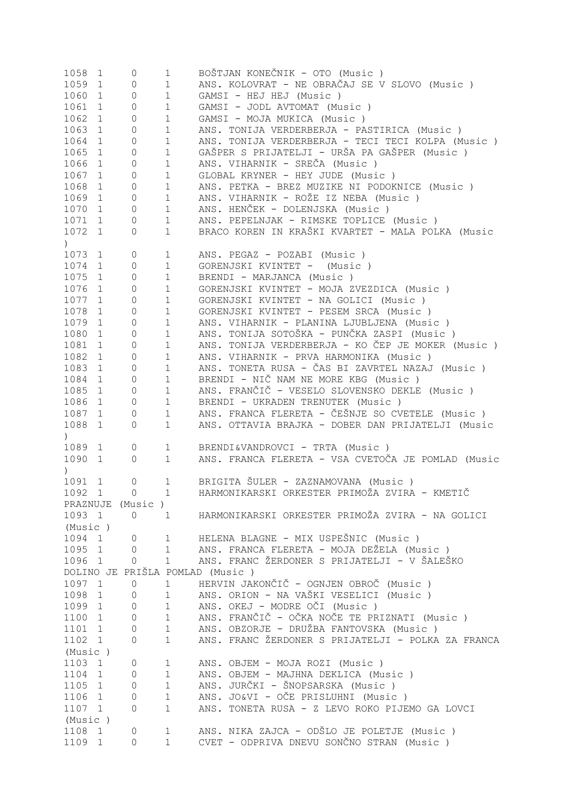| 1058                     | 1            | 0                   | $\mathbf{1}$ | BOŠTJAN KONEČNIK - OTO (Music )                    |
|--------------------------|--------------|---------------------|--------------|----------------------------------------------------|
| 1059                     | $\mathbf 1$  | 0                   | $\mathbf 1$  | ANS. KOLOVRAT - NE OBRAČAJ SE V SLOVO (Music)      |
| 1060                     | $\mathbf 1$  | 0                   | $\mathbf{1}$ | GAMSI - HEJ HEJ (Music)                            |
| 1061                     | $\mathbf 1$  | 0                   | $\mathbf 1$  | GAMSI - JODL AVTOMAT (Music)                       |
| 1062                     | $\mathbf 1$  | 0                   | $1\,$        | GAMSI - MOJA MUKICA (Music)                        |
| 1063                     | 1            | 0                   | $1\,$        | ANS. TONIJA VERDERBERJA - PASTIRICA (Music)        |
| 1064                     | $\mathbf{1}$ | 0                   | $1\,$        | ANS. TONIJA VERDERBERJA - TECI TECI KOLPA (Music ) |
|                          |              |                     |              |                                                    |
| 1065                     | $\mathbf{1}$ | 0                   | $\mathbf 1$  | GAŠPER S PRIJATELJI - URŠA PA GAŠPER (Music )      |
| 1066                     | $\mathbf{1}$ | 0                   | $\mathbf 1$  | ANS. VIHARNIK - SREČA (Music)                      |
| 1067                     | $\mathbf{1}$ | 0                   | $\mathbf 1$  | GLOBAL KRYNER - HEY JUDE (Music)                   |
| 1068                     | $\mathbf{1}$ | 0                   | $\mathbf 1$  | ANS. PETKA - BREZ MUZIKE NI PODOKNICE (Music)      |
| 1069                     | $\mathbf{1}$ | $\mathbb O$         | $\mathbf 1$  | ANS. VIHARNIK - ROŽE IZ NEBA (Music )              |
| 1070                     | $\mathbf{1}$ | $\mathbb O$         | $\mathbf 1$  | ANS. HENČEK - DOLENJSKA (Music)                    |
| 1071                     | $\mathbf{1}$ | 0                   | $\mathbf 1$  | ANS. PEPELNJAK - RIMSKE TOPLICE (Music)            |
| 1072                     | $\mathbf 1$  | 0                   | $1\,$        | BRACO KOREN IN KRAŠKI KVARTET - MALA POLKA (Music  |
| $\mathcal{L}$            |              |                     |              |                                                    |
| 1073                     | $\mathbf 1$  | 0                   | $\mathbf 1$  | ANS. PEGAZ - POZABI (Music)                        |
| 1074                     | $\mathbf 1$  | $\overline{0}$      | $1\,$        | GORENJSKI KVINTET - (Music)                        |
| 1075                     | 1            | 0                   | $1\,$        | BRENDI - MARJANCA (Music)                          |
| 1076                     | $\mathbf 1$  | 0                   | $1\,$        | GORENJSKI KVINTET - MOJA ZVEZDICA (Music)          |
|                          |              |                     |              |                                                    |
| 1077                     | $\mathbf{1}$ | 0                   | $1\,$        | GORENJSKI KVINTET - NA GOLICI (Music)              |
| 1078                     | 1            | 0                   | $1\,$        | GORENJSKI KVINTET - PESEM SRCA (Music)             |
| 1079                     | $\mathbf{1}$ | 0                   | $1\,$        | ANS. VIHARNIK - PLANINA LJUBLJENA (Music)          |
| 1080                     | $\mathbf 1$  | 0                   | $1\,$        | ANS. TONIJA SOTOŠKA - PUNČKA ZASPI (Music )        |
| 1081                     | 1            | 0                   | $1\,$        | ANS. TONIJA VERDERBERJA - KO ČEP JE MOKER (Music)  |
| 1082                     | $\mathbf 1$  | 0                   | $1\,$        | ANS. VIHARNIK - PRVA HARMONIKA (Music )            |
| 1083                     | $\mathbf 1$  | 0                   | $1\,$        | ANS. TONETA RUSA - ČAS BI ZAVRTEL NAZAJ (Music)    |
| 1084                     | $\mathbf 1$  | 0                   | $1\,$        | BRENDI - NIČ NAM NE MORE KBG (Music)               |
| 1085                     | $\mathbf 1$  | 0                   | $\mathbf 1$  | ANS. FRANČIČ - VESELO SLOVENSKO DEKLE (Music)      |
| 1086                     | $\mathbf 1$  | 0                   | $1\,$        | BRENDI - UKRADEN TRENUTEK (Music)                  |
| 1087                     | $\mathbf{1}$ | 0                   | $1\,$        | ANS. FRANCA FLERETA - ČEŠNJE SO CVETELE (Music )   |
| 1088                     | 1            | 0                   | $\mathbf{1}$ | ANS. OTTAVIA BRAJKA - DOBER DAN PRIJATELJI (Music  |
|                          |              |                     |              |                                                    |
| $\left( \right)$<br>1089 |              | 0                   |              |                                                    |
|                          | $\mathbf 1$  |                     | $\mathbf 1$  | BRENDI&VANDROVCI - TRTA (Music)                    |
| 1090                     | 1            | 0                   | $\mathbf{1}$ | ANS. FRANCA FLERETA - VSA CVETOČA JE POMLAD (Music |
| $\left( \right)$         |              |                     |              |                                                    |
| 1091                     | 1            | $\overline{0}$      | $\mathbf{1}$ | BRIGITA ŠULER - ZAZNAMOVANA (Music)                |
| 1092 1                   |              | $\overline{0}$      | $\mathbf{1}$ | HARMONIKARSKI ORKESTER PRIMOŽA ZVIRA - KMETIČ      |
|                          |              | PRAZNUJE (Music)    |              |                                                    |
| 1093 1                   |              | 0                   | $\mathbf{1}$ | HARMONIKARSKI ORKESTER PRIMOŽA ZVIRA - NA GOLICI   |
| (Music)                  |              |                     |              |                                                    |
| 1094 1                   |              | 0                   | $\mathbf 1$  | HELENA BLAGNE - MIX USPEŠNIC (Music)               |
| 1095 1                   |              | 0                   | $\mathbf 1$  | ANS. FRANCA FLERETA - MOJA DEŽELA (Music)          |
| 1096 1                   |              | 0                   | $\mathbf{1}$ | ANS. FRANC ŽERDONER S PRIJATELJI - V ŠALEŠKO       |
|                          |              |                     |              | DOLINO JE PRIŠLA POMLAD (Music)                    |
| 1097 1                   |              | $\mathsf{O}\xspace$ | $\mathbf 1$  | HERVIN JAKONČIČ - OGNJEN OBROČ (Music)             |
| 1098 1                   |              | 0                   | $\mathbf 1$  | ANS. ORION - NA VAŠKI VESELICI (Music )            |
| 1099 1                   |              | $\circ$             | $1\,$        | ANS. OKEJ - MODRE OČI (Music)                      |
| 1100 1                   |              | 0                   | $1\,$        | ANS. FRANČIČ - OČKA NOČE TE PRIZNATI (Music)       |
| 1101 1                   |              | 0                   | $1\,$        | ANS. OBZORJE - DRUŽBA FANTOVSKA (Music)            |
|                          |              |                     | $\mathbf{1}$ | ANS. FRANC ŽERDONER S PRIJATELJI - POLKA ZA FRANCA |
| 1102 1                   |              | $\overline{0}$      |              |                                                    |
| (Music)                  |              |                     |              |                                                    |
| 1103 1                   |              | 0                   | $\mathbf{1}$ | ANS. OBJEM - MOJA ROZI (Music)                     |
| 1104 1                   |              | 0                   | $\mathbf{1}$ | ANS. OBJEM - MAJHNA DEKLICA (Music)                |
| 1105 1                   |              | 0                   | $\mathbf{1}$ | ANS. JURČKI - ŠNOPSARSKA (Music)                   |
| 1106 1                   |              | 0                   | $1\,$        | ANS. JO&VI - OČE PRISLUHNI (Music )                |
| 1107 1                   |              | $\overline{0}$      | $\mathbf{1}$ | ANS. TONETA RUSA - Z LEVO ROKO PIJEMO GA LOVCI     |
| (Music)                  |              |                     |              |                                                    |
| 1108 1                   |              | 0                   | $\mathbf{1}$ | ANS. NIKA ZAJCA - ODŠLO JE POLETJE (Music )        |
| 1109 1                   |              | $\Omega$            | $\mathbf{1}$ | CVET - ODPRIVA DNEVU SONČNO STRAN (Music )         |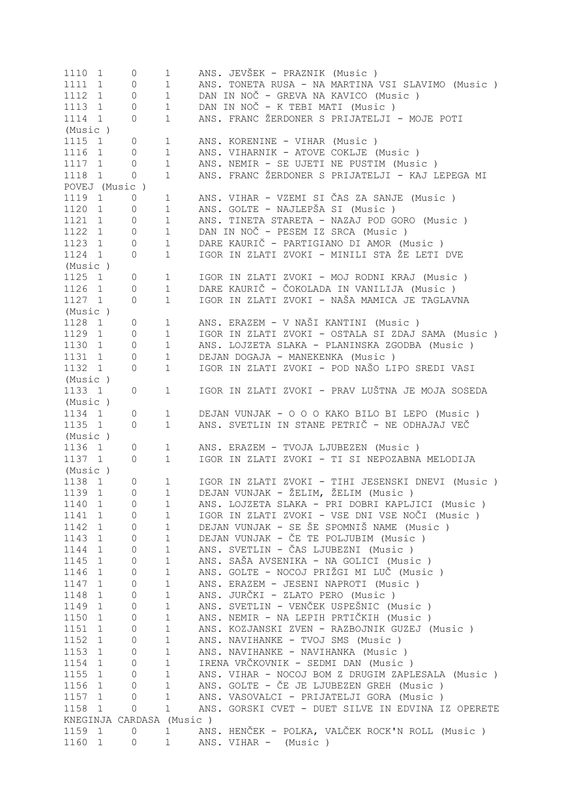| 1110 1               | 0                        | $\mathbf 1$  | ANS. JEVŠEK - PRAZNIK (Music)                      |
|----------------------|--------------------------|--------------|----------------------------------------------------|
| 1111 1               | $\circ$                  | $\mathbf 1$  | ANS. TONETA RUSA - NA MARTINA VSI SLAVIMO (Music ) |
| 1112 1               | $\circ$                  | $\mathbf{1}$ | DAN IN NOČ - GREVA NA KAVICO (Music )              |
| 1113 1               | $\mathbf{0}$             | $\mathbf{1}$ | DAN IN NOČ - K TEBI MATI (Music)                   |
| 1114 1               | $\circ$                  | $\mathbf{1}$ | ANS. FRANC ŽERDONER S PRIJATELJI - MOJE POTI       |
| (Music)              |                          |              |                                                    |
| 1115 1               | 0                        | $\mathbf{1}$ | ANS. KORENINE - VIHAR (Music)                      |
| 1116 1               | $\circ$                  | $\mathbf{1}$ | ANS. VIHARNIK - ATOVE COKLJE (Music)               |
| 1117 1               | $\circ$                  | $\mathbf{1}$ | ANS. NEMIR - SE UJETI NE PUSTIM (Music)            |
| 1118 1               | $\mathbf{0}$             | $\mathbf{1}$ | ANS. FRANC ŽERDONER S PRIJATELJI - KAJ LEPEGA MI   |
| POVEJ (Music)        |                          |              |                                                    |
| 1119 1               | $\circ$                  | $\mathbf 1$  | ANS. VIHAR - VZEMI SI ČAS ZA SANJE (Music )        |
| 1120 1               | 0                        | $\mathbf{1}$ | ANS. GOLTE - NAJLEPŠA SI (Music)                   |
| 1121 1               | 0                        | $\mathbf{1}$ | ANS. TINETA STARETA - NAZAJ POD GORO (Music )      |
| 1122 1               | $\circ$                  | $\mathbf{1}$ | DAN IN NOČ - PESEM IZ SRCA (Music)                 |
| 1123 1               | $\circ$                  | $\mathbf{1}$ | DARE KAURIČ - PARTIGIANO DI AMOR (Music)           |
| 1124 1               | $\circ$                  | $\mathbf{1}$ | IGOR IN ZLATI ZVOKI - MINILI STA ŽE LETI DVE       |
|                      |                          |              |                                                    |
| (Music)              |                          |              |                                                    |
| 1125 1               | 0                        | $\mathbf{1}$ | IGOR IN ZLATI ZVOKI - MOJ RODNI KRAJ (Music )      |
| 1126 1               | 0                        | $\mathbf 1$  | DARE KAURIČ - ČOKOLADA IN VANILIJA (Music)         |
| 1127 1               | 0                        | $\mathbf 1$  | IGOR IN ZLATI ZVOKI - NAŠA MAMICA JE TAGLAVNA      |
| (Music)              |                          |              |                                                    |
| 1128 1               | $\circ$                  | $\mathbf{1}$ | ANS. ERAZEM - V NAŠI KANTINI (Music )              |
| 1129 1               | $\circ$                  | $\mathbf 1$  | IGOR IN ZLATI ZVOKI - OSTALA SI ZDAJ SAMA (Music ) |
| 1130 1               | $\circ$                  | $\mathbf 1$  | ANS. LOJZETA SLAKA - PLANINSKA ZGODBA (Music )     |
| 1131 1               | $\mathbf{0}$             | $\mathbf{1}$ | DEJAN DOGAJA - MANEKENKA (Music)                   |
| 1132 1               | $\circ$                  | $\mathbf 1$  | IGOR IN ZLATI ZVOKI - POD NAŠO LIPO SREDI VASI     |
| (Music)              |                          |              |                                                    |
| 1133 1               | $\circ$                  | $\mathbf{1}$ | IGOR IN ZLATI ZVOKI - PRAV LUŠTNA JE MOJA SOSEDA   |
| (Music)              |                          |              |                                                    |
| 1134 1               | $\circ$                  | $\mathbf 1$  | DEJAN VUNJAK - O O O KAKO BILO BI LEPO (Music)     |
| 1135 1               | 0                        | $\mathbf 1$  | ANS. SVETLIN IN STANE PETRIČ - NE ODHAJAJ VEČ      |
| (Music)              |                          |              |                                                    |
| 1136 1               | 0                        | $\mathbf 1$  | ANS. ERAZEM - TVOJA LJUBEZEN (Music)               |
| 1137 1               | 0                        | $\mathbf{1}$ | IGOR IN ZLATI ZVOKI - TI SI NEPOZABNA MELODIJA     |
| (Music)              |                          |              |                                                    |
| 1138 1               | 0                        | $\mathbf{1}$ | IGOR IN ZLATI ZVOKI - TIHI JESENSKI DNEVI (Music ) |
| 1139 1               | 0                        | $\mathbf{1}$ | DEJAN VUNJAK - ŽELIM, ŽELIM (Music)                |
| 1140<br>1            | 0                        | $\mathbf 1$  | ANS. LOJZETA SLAKA - PRI DOBRI KAPLJICI (Music )   |
| 1141<br>$\mathbf{1}$ |                          |              | IGOR IN ZLATI ZVOKI - VSE DNI VSE NOČI (Music )    |
|                      | 0                        | $\mathbf 1$  |                                                    |
| 1142<br>$\mathbf{1}$ | 0                        | 1            | DEJAN VUNJAK - SE ŠE SPOMNIŠ NAME (Music)          |
| 1143<br>$\mathbf{1}$ | 0                        | 1            | DEJAN VUNJAK - ČE TE POLJUBIM (Music)              |
| 1144<br>$\mathbf{1}$ | 0                        | 1            | ANS. SVETLIN - ČAS LJUBEZNI (Music )               |
| 1145<br>$\mathbf{1}$ | 0                        | 1            | ANS. SAŠA AVSENIKA - NA GOLICI (Music )            |
| 1146<br>$\mathbf{1}$ | 0                        | 1            | ANS. GOLTE - NOCOJ PRIŽGI MI LUČ (Music )          |
| 1147<br>$\mathbf{1}$ | 0                        | 1            | ANS. ERAZEM - JESENI NAPROTI (Music)               |
| 1148<br>$\mathbf{1}$ | 0                        | 1            | ANS. JURČKI - ZLATO PERO (Music)                   |
| 1149<br>$\mathbf{1}$ | 0                        | 1            | ANS. SVETLIN - VENČEK USPEŠNIC (Music )            |
| 1150<br>$\mathbf{1}$ | 0                        | 1            | ANS. NEMIR - NA LEPIH PRTIČKIH (Music)             |
| 1151<br>$\mathbf{1}$ | 0                        | 1            | ANS. KOZJANSKI ZVEN - RAZBOJNIK GUZEJ (Music )     |
| 1152<br>$\mathbf{1}$ | 0                        | 1            | ANS. NAVIHANKE - TVOJ SMS (Music)                  |
| 1153<br>$\mathbf{1}$ | 0                        | 1            | ANS. NAVIHANKE - NAVIHANKA (Music)                 |
| 1154<br>$\mathbf{1}$ | 0                        | 1            | IRENA VRČKOVNIK - SEDMI DAN (Music)                |
| 1155<br>$\mathbf{1}$ | 0                        | $\mathbf 1$  | ANS. VIHAR - NOCOJ BOM Z DRUGIM ZAPLESALA (Music ) |
| 1156<br>$\mathbf{1}$ | 0                        | $\mathbf 1$  | ANS. GOLTE - ČE JE LJUBEZEN GREH (Music )          |
| 1157<br>$\mathbf{1}$ | 0                        | $\mathbf 1$  | ANS. VASOVALCI - PRIJATELJI GORA (Music)           |
| 1158<br>$\mathbf{1}$ | 0                        | $\mathbf 1$  | ANS. GORSKI CVET - DUET SILVE IN EDVINA IZ OPERETE |
|                      | KNEGINJA CARDASA (Music) |              |                                                    |
| 1159<br>$\mathbf{1}$ | $\mathsf{O}\xspace$      | $\mathbf{1}$ | ANS. HENČEK - POLKA, VALČEK ROCK'N ROLL (Music)    |
| 1160<br>$\mathbf{1}$ | 0                        | $\mathbf 1$  | ANS. VIHAR -<br>(Music)                            |
|                      |                          |              |                                                    |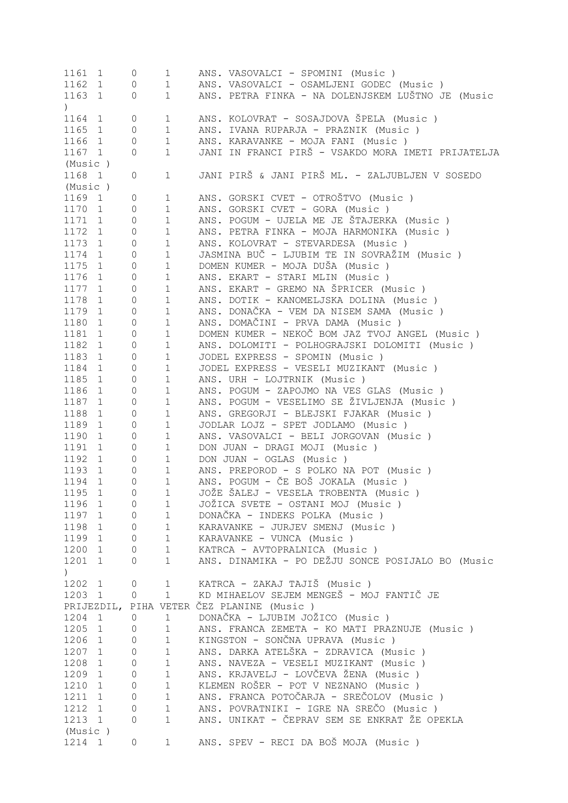| 1161 1           |              | 0                   | $\mathbf{1}$ | ANS. VASOVALCI - SPOMINI (Music)                   |
|------------------|--------------|---------------------|--------------|----------------------------------------------------|
| 1162 1           |              | 0                   | $\mathbf 1$  | ANS. VASOVALCI - OSAMLJENI GODEC (Music)           |
| 1163 1           |              | 0                   | $\mathbf 1$  | ANS. PETRA FINKA - NA DOLENJSKEM LUŠTNO JE (Music  |
| $\left( \right)$ |              |                     |              |                                                    |
| 1164 1           |              | 0                   | $\mathbf 1$  | ANS. KOLOVRAT - SOSAJDOVA ŠPELA (Music )           |
| 1165 1           |              | $\overline{0}$      | $\mathbf 1$  | ANS. IVANA RUPARJA - PRAZNIK (Music )              |
| 1166             | $\mathbf{1}$ | 0                   | $\mathbf 1$  | ANS. KARAVANKE - MOJA FANI (Music)                 |
| 1167 1           |              | 0                   | $\mathbf{1}$ | JANI IN FRANCI PIRŠ - VSAKDO MORA IMETI PRIJATELJA |
| (Music)          |              |                     |              |                                                    |
| 1168 1           |              | 0                   | $\mathbf 1$  | JANI PIRŠ & JANI PIRŠ ML. - ZALJUBLJEN V SOSEDO    |
| (Music)          |              |                     |              |                                                    |
| 1169 1           |              | 0                   | $\mathbf{1}$ | ANS. GORSKI CVET - OTROŠTVO (Music )               |
| 1170 1           |              | 0                   | $\mathbf 1$  | ANS. GORSKI CVET - GORA (Music)                    |
|                  |              |                     |              | ANS. POGUM - UJELA ME JE ŠTAJERKA (Music)          |
| 1171 1           |              | $\mathbb O$         | $\mathbf 1$  |                                                    |
| 1172 1           |              | 0                   | $\mathbf 1$  | ANS. PETRA FINKA - MOJA HARMONIKA (Music )         |
| 1173 1           |              | 0                   | $\mathbf 1$  | ANS. KOLOVRAT - STEVARDESA (Music)                 |
| 1174             | $\mathbf{1}$ | 0                   | $\mathbf 1$  | JASMINA BUČ - LJUBIM TE IN SOVRAŽIM (Music)        |
| 1175             | 1            | $\mathbb O$         | $\mathbf 1$  | DOMEN KUMER - MOJA DUŠA (Music)                    |
| 1176 1           |              | $\mathbb O$         | $\mathbf 1$  | ANS. EKART - STARI MLIN (Music)                    |
| 1177             | 1            | $\mathbb O$         | $\mathbf 1$  | ANS. EKART - GREMO NA ŠPRICER (Music)              |
| 1178             | 1            | $\circ$             | $\mathbf 1$  | ANS. DOTIK - KANOMELJSKA DOLINA (Music)            |
| 1179             | 1            | $\mathbb O$         | $\mathbf 1$  | ANS. DONAČKA - VEM DA NISEM SAMA (Music)           |
| 1180 1           |              | $\mathbb O$         | $\mathbf 1$  | ANS. DOMAČINI - PRVA DAMA (Music )                 |
| 1181 1           |              | $\mathbb O$         | $\mathbf 1$  | DOMEN KUMER - NEKOČ BOM JAZ TVOJ ANGEL (Music)     |
| 1182 1           |              | $\mathbb O$         | $\mathbf 1$  | ANS. DOLOMITI - POLHOGRAJSKI DOLOMITI (Music )     |
| 1183 1           |              | $\mathsf{O}\xspace$ | $\mathbf 1$  | JODEL EXPRESS - SPOMIN (Music)                     |
| 1184 1           |              | $\mathsf{O}\xspace$ | $\mathbf 1$  | JODEL EXPRESS - VESELI MUZIKANT (Music)            |
| 1185 1           |              |                     |              |                                                    |
|                  |              | $\mathsf{O}\xspace$ | $\mathbf 1$  | ANS. URH - LOJTRNIK (Music)                        |
| 1186             | 1            | $\mathsf{O}\xspace$ | $\mathbf 1$  | ANS. POGUM - ZAPOJMO NA VES GLAS (Music)           |
| 1187 1           |              | $\mathsf{O}\xspace$ | $\mathbf 1$  | ANS. POGUM - VESELIMO SE ŽIVLJENJA (Music )        |
| 1188             | 1            | $\mathsf{O}\xspace$ | $\mathbf 1$  | ANS. GREGORJI - BLEJSKI FJAKAR (Music)             |
| 1189             | 1            | $\mathsf{O}\xspace$ | $\mathbf 1$  | JODLAR LOJZ - SPET JODLAMO (Music)                 |
| 1190             | $\mathbf{1}$ | $\mathsf{O}\xspace$ | $\mathbf 1$  | ANS. VASOVALCI - BELI JORGOVAN (Music)             |
| 1191             | $\mathbf{1}$ | 0                   | $\mathbf 1$  | DON JUAN - DRAGI MOJI (Music)                      |
| 1192 1           |              | 0                   | $\mathbf{1}$ | DON JUAN - OGLAS (Music)                           |
| 1193             | 1            | 0                   | $\mathbf{1}$ | ANS. PREPOROD - S POLKO NA POT (Music)             |
| 1194             | $\mathbf{1}$ | 0                   | $\mathbf{1}$ | ANS. POGUM - ČE BOŠ JOKALA (Music )                |
| 1195<br>1        |              | 0                   | $\mathbf{1}$ | JOŽE ŠALEJ - VESELA TROBENTA (Music )              |
| 1196 1           |              | 0                   | $\mathbf 1$  | JOŽICA SVETE - OSTANI MOJ (Music )                 |
| 1197 1           |              | 0                   | $\mathbf 1$  | DONAČKA - INDEKS POLKA (Music)                     |
| 1198 1           |              | $\overline{0}$      | $1\,$        | KARAVANKE - JURJEV SMENJ (Music)                   |
| 1199 1           |              | $\overline{0}$      | $1\,$        | KARAVANKE - VUNCA (Music)                          |
| 1200 1           |              | $\overline{0}$      | $1\,$        | KATRCA - AVTOPRALNICA (Music)                      |
| 1201 1           |              | 0                   | $\mathbf{1}$ | ANS. DINAMIKA - PO DEŽJU SONCE POSIJALO BO (Music  |
| $\left( \right)$ |              |                     |              |                                                    |
| 1202 1           |              | 0                   | $\mathbf 1$  | KATRCA - ZAKAJ TAJIŠ (Music)                       |
|                  |              |                     | $\mathbf{1}$ | KD MIHAELOV SEJEM MENGEŠ - MOJ FANTIČ JE           |
| 1203 1           |              | 0                   |              |                                                    |
| PRIJEZDIL,       |              |                     |              | PIHA VETER ČEZ PLANINE (Music)                     |
| 1204 1           |              | $\circ$             | $\mathbf 1$  | DONAČKA - LJUBIM JOŽICO (Music)                    |
| 1205 1           |              | 0                   | $\mathbf 1$  | ANS. FRANCA ZEMETA - KO MATI PRAZNUJE (Music)      |
| 1206 1           |              | 0                   | $1\,$        | KINGSTON - SONČNA UPRAVA (Music)                   |
| 1207 1           |              | 0                   | $\mathbf 1$  | ANS. DARKA ATELŠKA - ZDRAVICA (Music )             |
| 1208 1           |              | 0                   | $\mathbf 1$  | ANS. NAVEZA - VESELI MUZIKANT (Music)              |
| 1209 1           |              | 0                   | $\mathbf 1$  | ANS. KRJAVELJ - LOVČEVA ŽENA (Music )              |
| 1210 1           |              | 0                   | $\mathbf 1$  | KLEMEN ROŠER - POT V NEZNANO (Music)               |
| 1211 1           |              | 0                   | $1\,$        | ANS. FRANCA POTOČARJA - SREČOLOV (Music )          |
| 1212 1           |              | 0                   | $1\,$        | ANS. POVRATNIKI - IGRE NA SREČO (Music)            |
| 1213 1           |              | 0                   | $\mathbf 1$  | ANS. UNIKAT - ČEPRAV SEM SE ENKRAT ŽE OPEKLA       |
| (Music)          |              |                     |              |                                                    |
| 1214 1           |              | 0                   | 1            | ANS. SPEV - RECI DA BOŠ MOJA (Music )              |
|                  |              |                     |              |                                                    |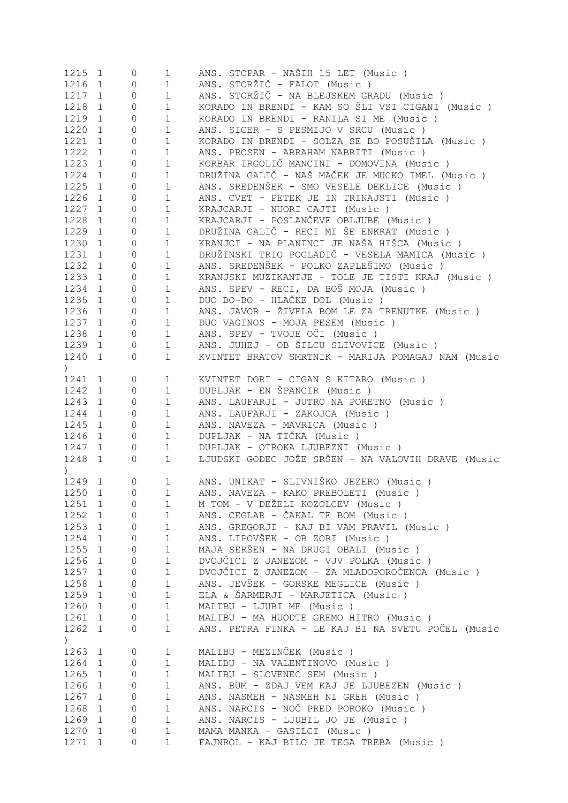| 1215                         | 1                 | $\circ$             | $\mathbf 1$  | ANS. STOPAR - NAŠIH 15 LET (Music)                                       |
|------------------------------|-------------------|---------------------|--------------|--------------------------------------------------------------------------|
| 1216                         | $\mathbf{1}$      | $\circ$             | $\mathbf 1$  | ANS. STORŽIČ - FALOT (Music)                                             |
| 1217                         | 1                 | $\mathbb O$         | $\mathbf 1$  | ANS. STORŽIČ - NA BLEJSKEM GRADU (Music )                                |
| 1218                         | $\mathbf{1}$      | $\mathbb O$         | $1\,$        | KORADO IN BRENDI - KAM SO ŠLI VSI CIGANI (Music )                        |
| 1219                         | $\mathbf{1}$      | $\mathbb O$         | $1\,$        | KORADO IN BRENDI - RANILA SI ME (Music)                                  |
| 1220                         | $\mathbf{1}$      | $\mathbb O$         | $1\,$        | ANS. SICER - S PESMIJO V SRCU (Music)                                    |
|                              |                   |                     |              |                                                                          |
| 1221                         | $\mathbf{1}$      | $\mathbb O$         | $1\,$        | KORADO IN BRENDI - SOLZA SE BO POSUŠILA (Music )                         |
| 1222                         | $\mathbf{1}$      | $\mathbb O$         | $1\,$        | ANS. PROSEN - ABRAHAM NABRITI (Music)                                    |
| 1223                         | $\mathbf{1}$      | $\mathbb O$         | $1\,$        | KORBAR IRGOLIČ MANCINI - DOMOVINA (Music )                               |
| 1224                         | $\mathbf{1}$      | $\mathbb O$         | $\mathbf 1$  | DRUŽINA GALIČ - NAŠ MAČEK JE MUCKO IMEL (Music)                          |
| 1225                         | 1                 | $\mathbb O$         | $\mathbf 1$  | ANS. SREDENŠEK - SMO VESELE DEKLICE (Music)                              |
| 1226                         | 1                 | $\mathbb O$         | $\mathbf 1$  | ANS. CVET - PETEK JE IN TRINAJSTI (Music)                                |
| 1227                         | 1                 | $\mathbb O$         | $\mathbf 1$  | KRAJCARJI - NUORI CAJTI (Music)                                          |
| 1228                         | $\mathbf{1}$      | $\mathbb O$         | $1\,$        | KRAJCARJI - POSLANČEVE OBLJUBE (Music)                                   |
| 1229                         | $\mathbf{1}$      | $\circ$             | $1\,$        | DRUŽINA GALIČ - RECI MI ŠE ENKRAT (Music )                               |
| 1230                         | $\mathbf{1}$      | $\circ$             | $\mathbf 1$  | KRANJCI - NA PLANINCI JE NAŠA HIŠCA (Music )                             |
|                              |                   |                     |              |                                                                          |
| 1231                         | $\mathbf{1}$      | $\circ$             | $\mathbf 1$  | DRUŽINSKI TRIO POGLADIČ - VESELA MAMICA (Music )                         |
| 1232                         | $\mathbf{1}$      | $\circ$             | $\mathbf 1$  | ANS. SREDENŠEK - POLKO ZAPLEŠIMO (Music )                                |
| 1233                         | $\mathbf{1}$      | $\circ$             | $\mathbf 1$  | KRANJSKI MUZIKANTJE - TOLE JE TISTI KRAJ (Music)                         |
| 1234                         | $\mathbf{1}$      | $\circ$             | $\mathbf 1$  | ANS. SPEV - RECI, DA BOŠ MOJA (Music)                                    |
| 1235                         | $\mathbf{1}$      | $\mathbb O$         | $\mathbf 1$  | DUO BO-BO - HLAČKE DOL (Music)                                           |
| 1236                         | $\mathbf{1}$      | $\mathbb O$         | $1\,$        | ANS. JAVOR - ŽIVELA BOM LE ZA TRENUTKE (Music)                           |
| 1237                         | 1                 | $\mathbb O$         | $1\,$        | DUO VAGINOS - MOJA PESEM (Music)                                         |
| 1238                         | 1                 | $\circledcirc$      | $\mathbf 1$  | ANS. SPEV - TVOJE OČI (Music)                                            |
| 1239                         | 1                 | $\circ$             | $\mathbf 1$  | ANS. JUHEJ - OB ŠILCU SLIVOVICE (Music)                                  |
| 1240                         |                   | $\circ$             | $\mathbf 1$  | KVINTET BRATOV SMRTNIK - MARIJA POMAGAJ NAM (Music                       |
|                              | $\mathbf{1}$      |                     |              |                                                                          |
| $\left( \right)$             |                   |                     |              |                                                                          |
| 1241 1                       |                   | $\circ$             | $\mathbf{1}$ | KVINTET DORI - CIGAN S KITARO (Music )                                   |
| 1242                         | 1                 | $\mathbb O$         | $\mathbf 1$  | DUPLJAK - EN ŠPANCIR (Music)                                             |
| 1243                         | 1                 | $\circ$             | $\mathbf 1$  | ANS. LAUFARJI - JUTRO NA PORETNO (Music)                                 |
| 1244                         | $\mathbf{1}$      | $\circ$             | $\mathbf 1$  | ANS. LAUFARJI - ZAKOJCA (Music)                                          |
| 1245                         | $\mathbf{1}$      | $\circ$             | $1\,$        | ANS. NAVEZA - MAVRICA (Music)                                            |
| 1246                         | 1                 | $\circ$             | $\mathbf 1$  | DUPLJAK - NA TIČKA (Music)                                               |
| 1247                         | 1                 | $\mathbb O$         | $\mathbf 1$  | DUPLJAK - OTROKA LJUBEZNI (Music )                                       |
| 1248                         | 1                 | $\circ$             | $\mathbf 1$  | LJUDSKI GODEC JOŽE SRŠEN - NA VALOVIH DRAVE (Music                       |
|                              |                   |                     |              |                                                                          |
| $\left( \frac{1}{2} \right)$ |                   |                     |              |                                                                          |
| 1249                         | 1                 | $\circ$             | $\mathbf 1$  | ANS. UNIKAT - SLIVNIŠKO JEZERO (Music)                                   |
| 1250                         | 1                 | $\Omega$            | $\mathbf{1}$ | ANS. NAVEZA - KAKO PREBOLETI (Music)                                     |
| 1251 1                       |                   | $\circ$             | $\mathbf 1$  | M TOM - V DEŽELI KOZOLCEV (Music )                                       |
| 1252 1                       |                   | $\mathbf{0}$        | $\mathbf 1$  | ANS. CEGLAR - ČAKAL TE BOM (Music)                                       |
| 1253 1                       |                   | 0                   | 1            | ANS. GREGORJI - KAJ BI VAM PRAVIL (Music)                                |
| 1254                         | 1                 | $\mathbf 0$         | $\mathbf 1$  | ANS. LIPOVŠEK - OB ZORI (Music)                                          |
| 1255                         | 1                 | $\mathbf 0$         | $\mathbf 1$  | MAJA SERŠEN - NA DRUGI OBALI (Music )                                    |
| 1256                         | $\mathbf{1}$      | $\mathbf 0$         | $\mathbf 1$  | DVOJČICI Z JANEZOM - VJV POLKA (Music )                                  |
| 1257                         | 1                 | $\mathbf{0}$        | $\mathbf 1$  | DVOJČICI Z JANEZOM - ZA MLADOPOROČENCA (Music)                           |
| 1258                         | $\mathbf{1}$      | $\mathbf{0}$        | $\mathbf 1$  | ANS. JEVŠEK - GORSKE MEGLICE (Music)                                     |
|                              |                   | $\circ$             | $\mathbf 1$  | ELA & ŠARMERJI - MARJETICA (Music)                                       |
| 1259                         | 1                 |                     |              |                                                                          |
| 1260                         | 1                 | $\circ$             | $\mathbf 1$  | MALIBU - LJUBI ME (Music)                                                |
| 1261                         | 1                 | 0                   | $\mathbf 1$  | MALIBU - MA HUODTE GREMO HITRO (Music)                                   |
| 1262 1                       |                   | 0                   | $\mathbf 1$  | ANS. PETRA FINKA - LE KAJ BI NA SVETU POČEL (Music                       |
| $\left( \right)$             |                   |                     |              |                                                                          |
| 1263                         | $\mathbf{1}$      | $\mathbb O$         | 1            | MALIBU - MEZINČEK (Music)                                                |
| 1264                         | $\mathbf{1}$      | 0                   | $\mathbf 1$  | MALIBU - NA VALENTINOVO (Music)                                          |
| 1265                         | $\mathbf{1}$      | $\mathbb O$         | $\mathbf 1$  | MALIBU - SLOVENEC SEM (Music)                                            |
| 1266                         | $\mathbf{1}$      | 0                   | $\mathbf 1$  | ANS. BUM - ZDAJ VEM KAJ JE LJUBEZEN (Music)                              |
| 1267                         | $\mathbf{1}$      | $\circ$             | $\mathbf 1$  | ANS. NASMEH - NASMEH NI GREH (Music)                                     |
|                              | $\mathbf{1}$      |                     | $\mathbf 1$  | ANS. NARCIS - NOČ PRED POROKO (Music)                                    |
| 1268                         |                   | $\circ$             |              |                                                                          |
|                              |                   |                     |              |                                                                          |
| 1269                         | $\mathbf{1}$      | $\circ$             | $\mathbf 1$  | ANS. NARCIS - LJUBIL JO JE (Music)                                       |
| 1270<br>1271                 | $\mathbf{1}$<br>1 | $\overline{0}$<br>0 | 1<br>1       | MAMA MANKA - GASILCI (Music)<br>FAJNROL - KAJ BILO JE TEGA TREBA (Music) |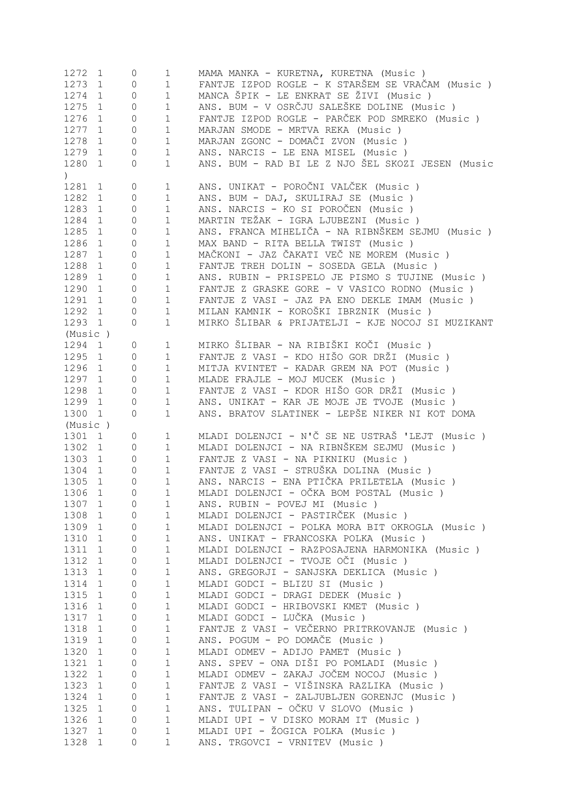| 1272             | $\mathbf{1}$                | 0                 | 1                | MAMA MANKA - KURETNA, KURETNA (Music)                              |
|------------------|-----------------------------|-------------------|------------------|--------------------------------------------------------------------|
| 1273             | $\mathbf{1}$                | 0                 | 1                | FANTJE IZPOD ROGLE - K STARŠEM SE VRAČAM (Music )                  |
| 1274             | $\mathbf{1}$                | 0                 | $\mathbf 1$      | MANCA ŠPIK - LE ENKRAT SE ŽIVI (Music )                            |
| 1275             | $\mathbf{1}$                | 0                 | $\mathbf 1$      | ANS. BUM - V OSRČJU SALEŠKE DOLINE (Music )                        |
| 1276             | $\mathbf{1}$                | 0                 | $\mathbf 1$      | FANTJE IZPOD ROGLE - PARČEK POD SMREKO (Music )                    |
| 1277             |                             |                   | $\mathbf 1$      | MARJAN SMODE - MRTVA REKA (Music)                                  |
|                  | $\mathbf{1}$                | 0                 |                  |                                                                    |
| 1278             | $\mathbf{1}$                | 0                 | $\mathbf 1$      | MARJAN ZGONC - DOMAČI ZVON (Music)                                 |
| 1279             | 1                           | 0                 | $\mathbf 1$      | ANS. NARCIS - LE ENA MISEL (Music)                                 |
| 1280             | $\mathbf{1}$                | $\circ$           | $\mathbf 1$      | ANS. BUM - RAD BI LE Z NJO ŠEL SKOZI JESEN (Music                  |
| $\left( \right)$ |                             |                   |                  |                                                                    |
| 1281             | $\mathbf{1}$                | 0                 | $\mathbf 1$      | ANS. UNIKAT - POROČNI VALČEK (Music)                               |
| 1282             | 1                           | $\circ$           | 1                | ANS. BUM - DAJ, SKULIRAJ SE (Music)                                |
| 1283             | 1                           | $\circ$           | 1                | ANS. NARCIS - KO SI POROČEN (Music)                                |
| 1284             | 1                           | $\circ$           | $\mathbf 1$      | MARTIN TEŽAK - IGRA LJUBEZNI (Music )                              |
| 1285             |                             |                   |                  | ANS. FRANCA MIHELIČA - NA RIBNŠKEM SEJMU (Music )                  |
|                  | 1                           | 0                 | $\mathbf 1$      |                                                                    |
| 1286             | $\mathbf{1}$                | 0                 | $\mathbf 1$      | MAX BAND - RITA BELLA TWIST (Music)                                |
| 1287             | 1                           | $\circ$           | $1\,$            | MAČKONI - JAZ ČAKATI VEČ NE MOREM (Music)                          |
| 1288             | 1                           | $\circ$           | $1\,$            | FANTJE TREH DOLIN - SOSEDA GELA (Music)                            |
| 1289             | 1                           | 0                 | $1\,$            | ANS. RUBIN - PRISPELO JE PISMO S TUJINE (Music )                   |
| 1290             | 1                           | $\circ$           | $1\,$            | FANTJE Z GRASKE GORE - V VASICO RODNO (Music)                      |
| 1291             | 1                           | $\circ$           | $1\,$            | FANTJE Z VASI - JAZ PA ENO DEKLE IMAM (Music)                      |
| 1292             | 1                           | 0                 | $1\,$            | MILAN KAMNIK - KOROŠKI IBRZNIK (Music )                            |
| 1293             | $\mathbf{1}$                | $\circ$           | $\mathbf 1$      | MIRKO ŠLIBAR & PRIJATELJI - KJE NOCOJ SI MUZIKANT                  |
|                  |                             |                   |                  |                                                                    |
| (Music)          |                             |                   |                  |                                                                    |
| 1294             | $\mathbf{1}$                | 0                 | $\mathbf 1$      | MIRKO ŠLIBAR - NA RIBIŠKI KOČI (Music )                            |
| 1295 1           |                             | $\circ$           | $\mathbf 1$      | FANTJE Z VASI - KDO HIŠO GOR DRŽI (Music )                         |
| 1296 1           |                             | $\circ$           | $\mathbf 1$      | MITJA KVINTET - KADAR GREM NA POT (Music)                          |
| 1297 1           |                             | $\circ$           | $\mathbf 1$      | MLADE FRAJLE - MOJ MUCEK (Music)                                   |
| 1298             | 1                           | $\circ$           | $\mathbf 1$      | FANTJE Z VASI - KDOR HIŠO GOR DRŽI (Music )                        |
| 1299 1           |                             | 0                 | 1                | ANS. UNIKAT - KAR JE MOJE JE TVOJE (Music)                         |
| 1300             | $\mathbf{1}$                | 0                 | 1                | ANS. BRATOV SLATINEK - LEPŠE NIKER NI KOT DOMA                     |
| (Music)          |                             |                   |                  |                                                                    |
| 1301 1           |                             |                   |                  |                                                                    |
|                  |                             |                   |                  |                                                                    |
|                  |                             | 0                 | 1                | MLADI DOLENJCI - N'Č SE NE USTRAŠ 'LEJT (Music )                   |
| 1302             | $\mathbf{1}$                | $\circ$           | 1                | MLADI DOLENJCI - NA RIBNŠKEM SEJMU (Music)                         |
| 1303             | 1                           | 0                 | 1                | FANTJE Z VASI - NA PIKNIKU (Music)                                 |
| 1304             | $\mathbf{1}$                | 0                 | $\mathbf 1$      | FANTJE Z VASI - STRUŠKA DOLINA (Music )                            |
| 1305             | 1                           | 0                 | $\mathbf 1$      | ANS. NARCIS - ENA PTIČKA PRILETELA (Music)                         |
| 1306             | 1                           | $\mathbf{0}$      | 1                | MLADI DOLENJCI - OČKA BOM POSTAL (Music )                          |
| 1307             | 1                           | 0                 | 1                |                                                                    |
|                  |                             |                   |                  | ANS. RUBIN - POVEJ MI (Music)                                      |
| 1308             | 1                           | 0                 | $\mathbf 1$      | MLADI DOLENJCI - PASTIRČEK (Music )                                |
| 1309             | 1                           | 0                 | 1                | MLADI DOLENJCI - POLKA MORA BIT OKROGLA (Music )                   |
| 1310             | $\mathbf{1}$                | 0                 | 1                | ANS. UNIKAT - FRANCOSKA POLKA (Music)                              |
| 1311             | $\mathbf 1$                 | 0                 | 1                | MLADI DOLENJCI - RAZPOSAJENA HARMONIKA (Music)                     |
| 1312             | $\mathbf{1}$                | 0                 | 1                | MLADI DOLENJCI - TVOJE OČI (Music )                                |
| 1313             | $\mathbf{1}$                | 0                 | 1                | ANS. GREGORJI - SANJSKA DEKLICA (Music)                            |
| 1314             | $\mathbf 1$                 | 0                 | 1                | MLADI GODCI - BLIZU SI (Music)                                     |
| 1315             | $\mathbf{1}$                | 0                 | 1                | MLADI GODCI - DRAGI DEDEK (Music)                                  |
|                  | $\mathbf 1$                 | 0                 | 1                |                                                                    |
| 1316             |                             |                   |                  | MLADI GODCI - HRIBOVSKI KMET (Music )                              |
| 1317             | $\mathbf{1}$                | 0                 | $\mathbf 1$      | MLADI GODCI - LUČKA (Music)                                        |
| 1318             | $\mathbf 1$                 | 0                 | $\mathbf 1$      | FANTJE Z VASI - VEČERNO PRITRKOVANJE (Music)                       |
| 1319             | $\mathbf{1}$                | 0                 | $\mathbf 1$      | ANS. POGUM - PO DOMAČE (Music)                                     |
| 1320             | $\mathbf{1}$                | 0                 | $\mathbf 1$      | MLADI ODMEV - ADIJO PAMET (Music)                                  |
| 1321             | $\mathbf{1}$                | 0                 | $\mathbf 1$      | ANS. SPEV - ONA DIŠI PO POMLADI (Music )                           |
| 1322             | $\mathbf{1}$                | 0                 | $\mathbf 1$      | MLADI ODMEV - ZAKAJ JOČEM NOCOJ (Music)                            |
| 1323             | $\mathbf{1}$                | 0                 | $\mathbf 1$      | FANTJE Z VASI - VIŠINSKA RAZLIKA (Music )                          |
| 1324             | $\mathbf 1$                 | 0                 | $\mathbf 1$      | FANTJE Z VASI - ZALJUBLJEN GORENJC (Music)                         |
| 1325             | $\mathbf 1$                 | 0                 | $\mathbf 1$      | ANS. TULIPAN - OČKU V SLOVO (Music )                               |
|                  | $\mathbf{1}$                |                   | $\mathbf 1$      |                                                                    |
| 1326             |                             | $\mathsf{O}$      |                  | MLADI UPI - V DISKO MORAM IT (Music)                               |
| 1327<br>1328     | $\mathbf{1}$<br>$\mathbf 1$ | $\mathsf{O}$<br>0 | $\mathbf 1$<br>1 | MLADI UPI - ŽOGICA POLKA (Music)<br>ANS. TRGOVCI - VRNITEV (Music) |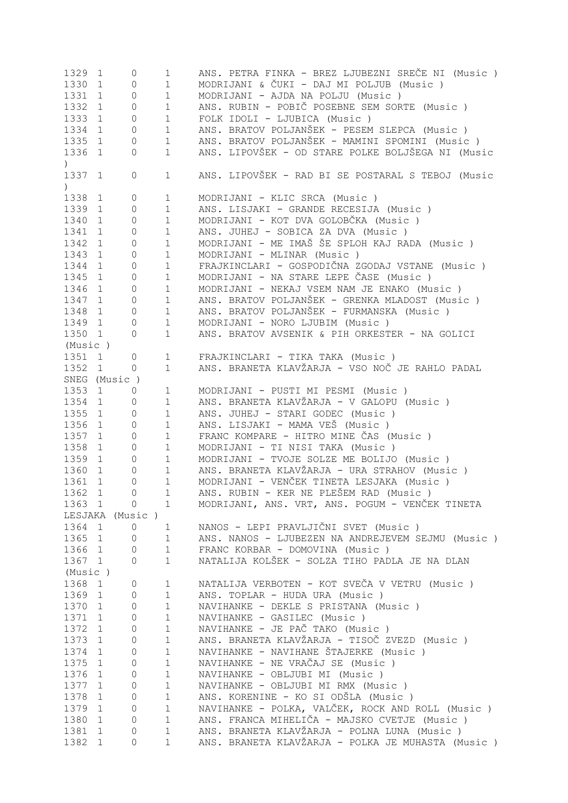| 1329             | $\mathbf{1}$    | 0                   | $\mathbf 1$  | ANS. PETRA FINKA - BREZ LJUBEZNI SREČE NI (Music ) |
|------------------|-----------------|---------------------|--------------|----------------------------------------------------|
| 1330             | $\mathbf{1}$    | 0                   | $\mathbf{1}$ | MODRIJANI & ČUKI - DAJ MI POLJUB (Music)           |
| 1331             | $\mathbf{1}$    | $\mathsf{O}$        | $\mathbf{1}$ | MODRIJANI - AJDA NA POLJU (Music)                  |
|                  |                 |                     |              |                                                    |
| 1332             | $\mathbf{1}$    | 0                   | $\mathbf{1}$ | ANS. RUBIN - POBIČ POSEBNE SEM SORTE (Music)       |
| 1333             | $\mathbf{1}$    | 0                   | $\mathbf 1$  | FOLK IDOLI - LJUBICA (Music)                       |
| 1334             | $\mathbf{1}$    | 0                   | $\mathbf 1$  | ANS. BRATOV POLJANŠEK - PESEM SLEPCA (Music)       |
| 1335             | 1               | 0                   | $\mathbf 1$  | ANS. BRATOV POLJANŠEK - MAMINI SPOMINI (Music)     |
| 1336             | $\mathbf{1}$    | $\overline{0}$      | $\mathbf 1$  | ANS. LIPOVŠEK - OD STARE POLKE BOLJŠEGA NI (Music  |
| $\left( \right)$ |                 |                     |              |                                                    |
|                  |                 |                     |              |                                                    |
| 1337             | $\mathbf{1}$    | 0                   | $\mathbf{1}$ | ANS. LIPOVŠEK - RAD BI SE POSTARAL S TEBOJ (Music  |
| $\left( \right)$ |                 |                     |              |                                                    |
| 1338             | 1               | 0                   | 1            | MODRIJANI - KLIC SRCA (Music)                      |
| 1339             | $\mathbf{1}$    | $\overline{0}$      | $\mathbf 1$  | ANS. LISJAKI - GRANDE RECESIJA (Music )            |
| 1340             | $\mathbf{1}$    | 0                   | $\mathbf 1$  | MODRIJANI - KOT DVA GOLOBČKA (Music )              |
| 1341             | $\mathbf{1}$    | 0                   | $1\,$        | ANS. JUHEJ - SOBICA ZA DVA (Music )                |
| 1342             | $\mathbf{1}$    | 0                   | $1\,$        | MODRIJANI - ME IMAŠ ŠE SPLOH KAJ RADA (Music )     |
|                  |                 |                     |              |                                                    |
| 1343             | $\mathbf{1}$    | 0                   | $1\,$        | MODRIJANI - MLINAR (Music)                         |
| 1344             | $\mathbf{1}$    | 0                   | $1\,$        | FRAJKINCLARI - GOSPODIČNA ZGODAJ VSTANE (Music )   |
| 1345             | 1               | 0                   | $1\,$        | MODRIJANI - NA STARE LEPE ČASE (Music )            |
| 1346             | $\mathbf{1}$    | 0                   | $1\,$        | MODRIJANI - NEKAJ VSEM NAM JE ENAKO (Music)        |
| 1347             | 1               | 0                   | $1\,$        | ANS. BRATOV POLJANŠEK - GRENKA MLADOST (Music )    |
| 1348             | 1               | 0                   | $1\,$        | ANS. BRATOV POLJANŠEK - FURMANSKA (Music)          |
|                  |                 |                     |              |                                                    |
| 1349             | 1               | 0                   | $1\,$        | MODRIJANI - NORO LJUBIM (Music)                    |
| 1350 1           |                 | 0                   | $\mathbf 1$  | ANS. BRATOV AVSENIK & PIH ORKESTER - NA GOLICI     |
| (Music)          |                 |                     |              |                                                    |
| 1351 1           |                 | $\mathsf{O}\xspace$ | $\mathbf 1$  | FRAJKINCLARI - TIKA TAKA (Music)                   |
| 1352 1           |                 | 0                   | $\mathbf 1$  | ANS. BRANETA KLAVŽARJA - VSO NOČ JE RAHLO PADAL    |
|                  | SNEG (Music)    |                     |              |                                                    |
| 1353             |                 |                     |              |                                                    |
|                  | $\mathbf{1}$    | 0                   | $\mathbf 1$  | MODRIJANI - PUSTI MI PESMI (Music)                 |
| 1354             | $\mathbf{1}$    | 0                   | $1\,$        | ANS. BRANETA KLAVŽARJA - V GALOPU (Music )         |
| 1355             | $\mathbf{1}$    | 0                   | $1\,$        | ANS. JUHEJ - STARI GODEC (Music)                   |
| 1356             | $\mathbf{1}$    | 0                   | $\mathbf 1$  | ANS. LISJAKI - MAMA VEŠ (Music)                    |
| 1357             | $\mathbf{1}$    | 0                   | $\mathbf 1$  | FRANC KOMPARE - HITRO MINE ČAS (Music)             |
| 1358             | $\mathbf{1}$    | 0                   | $\mathbf 1$  | MODRIJANI - TI NISI TAKA (Music)                   |
| 1359             | $\mathbf{1}$    | 0                   | $1\,$        | MODRIJANI - TVOJE SOLZE ME BOLIJO (Music )         |
| 1360             |                 |                     | $1\,$        | ANS. BRANETA KLAVŽARJA - URA STRAHOV (Music)       |
|                  | $\mathbf{1}$    | 0                   |              |                                                    |
| 1361             | $\mathbf{1}$    | 0                   | $\mathbf{1}$ | MODRIJANI - VENČEK TINETA LESJAKA (Music)          |
| 1362 1           |                 | 0                   | $\mathbf{1}$ | ANS. RUBIN - KER NE PLEŠEM RAD (Music )            |
| 1363 1           |                 | 0                   | $\mathbf{1}$ | MODRIJANI, ANS. VRT, ANS. POGUM - VENČEK TINETA    |
|                  | LESJAKA (Music) |                     |              |                                                    |
| 1364 1           |                 | 0                   | $\mathbf{1}$ | NANOS - LEPI PRAVLJIČNI SVET (Music)               |
| 1365 1           |                 | 0                   | $\mathbf 1$  | ANS. NANOS - LJUBEZEN NA ANDREJEVEM SEJMU (Music)  |
| 1366 1           |                 |                     |              | FRANC KORBAR - DOMOVINA (Music)                    |
|                  |                 | 0                   | $\mathbf 1$  |                                                    |
| 1367 1           |                 | $\mathbf{0}$        | $\mathbf 1$  | NATALIJA KOLŠEK - SOLZA TIHO PADLA JE NA DLAN      |
| (Music)          |                 |                     |              |                                                    |
| 1368             | $\mathbf{1}$    | 0                   | $\mathbf 1$  | NATALIJA VERBOTEN - KOT SVEČA V VETRU (Music )     |
| 1369 1           |                 | 0                   | $\mathbf{1}$ | ANS. TOPLAR - HUDA URA (Music)                     |
| 1370 1           |                 | 0                   | $\mathbf 1$  | NAVIHANKE - DEKLE S PRISTANA (Music)               |
| 1371             | 1               | 0                   | $1\,$        | NAVIHANKE - GASILEC (Music)                        |
|                  |                 |                     |              |                                                    |
| 1372             | $\mathbf{1}$    | 0                   | $\mathbf 1$  | NAVIHANKE - JE PAČ TAKO (Music)                    |
| 1373             | $\mathbf{1}$    | 0                   | $\mathbf 1$  | ANS. BRANETA KLAVŽARJA - TISOČ ZVEZD (Music )      |
| 1374             | $\mathbf{1}$    | 0                   | $\mathbf 1$  | NAVIHANKE - NAVIHANE ŠTAJERKE (Music)              |
| 1375             | $\mathbf{1}$    | 0                   | $\mathbf 1$  | NAVIHANKE - NE VRAČAJ SE (Music)                   |
| 1376             | $\mathbf{1}$    | 0                   | $1\,$        | NAVIHANKE - OBLJUBI MI (Music)                     |
| 1377             | $\mathbf{1}$    | 0                   | $\mathbf 1$  | NAVIHANKE - OBLJUBI MI RMX (Music)                 |
| 1378             | $\mathbf{1}$    | 0                   | $\mathbf 1$  | ANS. KORENINE - KO SI ODŠLA (Music )               |
|                  |                 |                     |              |                                                    |
| 1379             | $\mathbf{1}$    | 0                   | $\mathbf 1$  | NAVIHANKE - POLKA, VALČEK, ROCK AND ROLL (Music)   |
| 1380             | $\mathbf{1}$    | 0                   | $\mathbf 1$  | ANS. FRANCA MIHELIČA - MAJSKO CVETJE (Music)       |
| 1381             | $\mathbf{1}$    | 0                   | $\mathbf{1}$ | ANS. BRANETA KLAVŽARJA - POLNA LUNA (Music )       |
| 1382             | $\mathbf{1}$    | 0                   | $\mathbf 1$  | ANS. BRANETA KLAVŽARJA - POLKA JE MUHASTA (Music)  |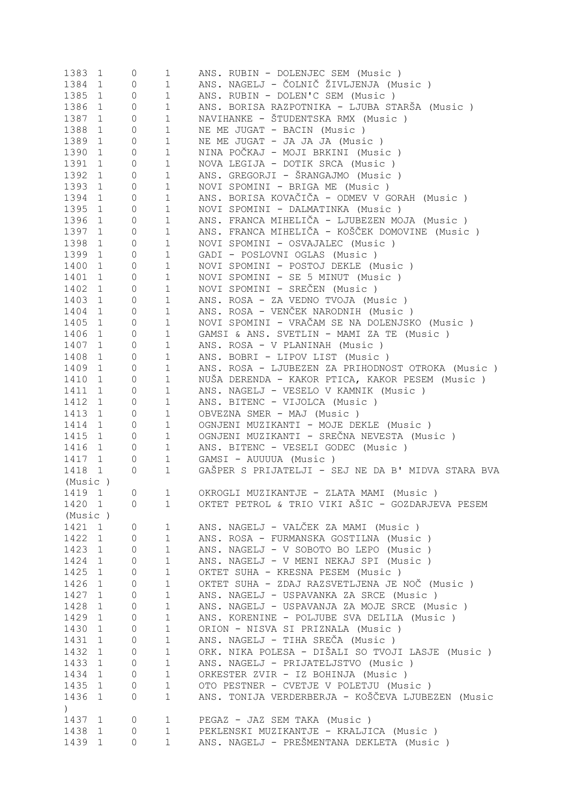| 1383             | 1            | 0            | $\mathbf 1$  | ANS. RUBIN - DOLENJEC SEM (Music)                  |
|------------------|--------------|--------------|--------------|----------------------------------------------------|
| 1384             | 1            | 0            | $\mathbf{1}$ | ANS. NAGELJ - ČOLNIČ ŽIVLJENJA (Music)             |
| 1385             | 1            | 0            | $\mathbf 1$  | ANS. RUBIN - DOLEN'C SEM (Music)                   |
| 1386             | $\mathbf{1}$ | $\mathbf 0$  | $\mathbf 1$  | ANS. BORISA RAZPOTNIKA - LJUBA STARŠA (Music )     |
| 1387             | $\mathbf{1}$ | $\circ$      | $\mathbf 1$  | NAVIHANKE - ŠTUDENTSKA RMX (Music)                 |
| 1388             | $\mathbf 1$  | $\circ$      | $1\,$        | NE ME JUGAT - BACIN (Music)                        |
| 1389             | $\mathbf{1}$ | $\mathbf 0$  | $\mathbf 1$  | NE ME JUGAT - JA JA JA (Music)                     |
| 1390             | $\mathbf{1}$ | $\mathbf 0$  | $1\,$        | NINA POČKAJ - MOJI BRKINI (Music )                 |
| 1391             | $\mathbf{1}$ | $\mathbf 0$  | $1\,$        | NOVA LEGIJA - DOTIK SRCA (Music)                   |
| 1392             | $\mathbf{1}$ | $\mathbf 0$  | $\mathbf 1$  | ANS. GREGORJI - ŠRANGAJMO (Music)                  |
| 1393             | $\mathbf{1}$ | 0            | $\mathbf 1$  | NOVI SPOMINI - BRIGA ME (Music)                    |
| 1394             | $\mathbf{1}$ | 0            | $\mathbf 1$  | ANS. BORISA KOVAČIČA - ODMEV V GORAH (Music )      |
| 1395             | $\mathbf{1}$ | 0            | $\mathbf 1$  | NOVI SPOMINI - DALMATINKA (Music)                  |
|                  |              |              |              | ANS. FRANCA MIHELIČA - LJUBEZEN MOJA (Music)       |
| 1396             | $\mathbf{1}$ | 0            | $1\,$        |                                                    |
| 1397             | $\mathbf{1}$ | 0            | $\mathbf 1$  | ANS. FRANCA MIHELIČA - KOŠČEK DOMOVINE (Music )    |
| 1398             | 1            | $\mathbb O$  | $\mathbf 1$  | NOVI SPOMINI - OSVAJALEC (Music)                   |
| 1399             | $\mathbf{1}$ | $\mathbb O$  | $\mathbf 1$  | GADI - POSLOVNI OGLAS (Music)                      |
| 1400             | $\mathbf{1}$ | $\mathbb O$  | $\mathbf 1$  | NOVI SPOMINI - POSTOJ DEKLE (Music)                |
| 1401             | 1            | $\mathbf{0}$ | $\mathbf 1$  | NOVI SPOMINI - SE 5 MINUT (Music)                  |
| 1402             | 1            | $\mathbf{0}$ | $\mathbf 1$  | NOVI SPOMINI - SREČEN (Music)                      |
| 1403             | 1            | $\mathbf{0}$ | $\mathbf 1$  | ANS. ROSA - ZA VEDNO TVOJA (Music)                 |
| 1404             | 1            | $\mathbf{0}$ | $\mathbf 1$  | ANS. ROSA - VENČEK NARODNIH (Music)                |
| 1405             | 1            | $\circ$      | $\mathbf 1$  | NOVI SPOMINI - VRAČAM SE NA DOLENJSKO (Music)      |
| 1406             | 1            | $\circ$      | $\mathbf 1$  | GAMSI & ANS. SVETLIN - MAMI ZA TE (Music)          |
| 1407             | 1            | $\circ$      | $\mathbf 1$  | ANS. ROSA - V PLANINAH (Music)                     |
| 1408             | 1            | $\circ$      | $\mathbf 1$  | ANS. BOBRI - LIPOV LIST (Music)                    |
| 1409             | 1            | $\circ$      | $\mathbf 1$  | ANS. ROSA - LJUBEZEN ZA PRIHODNOST OTROKA (Music ) |
| 1410             | 1            | $\circ$      | $\mathbf 1$  | NUŠA DERENDA - KAKOR PTICA, KAKOR PESEM (Music)    |
| 1411             | $\mathbf{1}$ | $\circ$      | $\mathbf{1}$ | ANS. NAGELJ - VESELO V KAMNIK (Music)              |
| 1412             | 1            | $\circ$      | $\mathbf 1$  | ANS. BITENC - VIJOLCA (Music)                      |
| 1413             | 1            | $\circ$      | $\mathbf 1$  | OBVEZNA SMER - MAJ (Music)                         |
| 1414             | 1            | $\circ$      | $\mathbf 1$  | OGNJENI MUZIKANTI - MOJE DEKLE (Music)             |
| 1415             | 1            | $\circ$      | $\mathbf 1$  | OGNJENI MUZIKANTI - SREČNA NEVESTA (Music)         |
| 1416             | 1            | 0            | $\mathbf 1$  | ANS. BITENC - VESELI GODEC (Music)                 |
| 1417             | 1            | $\mathbb O$  | $\mathbf 1$  | GAMSI - AUUUUA (Music)                             |
| 1418             |              | 0            | $\mathbf 1$  | GAŠPER S PRIJATELJI - SEJ NE DA B' MIDVA STARA BVA |
| (Music)          | 1            |              |              |                                                    |
|                  |              |              |              |                                                    |
| 1419 1           |              | 0            | $\mathbf{1}$ | OKROGLI MUZIKANTJE - ZLATA MAMI (Music)            |
| 1420 1           |              | $\circ$      | $\mathbf{1}$ | OKTET PETROL & TRIO VIKI AŠIC - GOZDARJEVA PESEM   |
| (Music)          |              |              |              |                                                    |
| 1421 1           |              | 0            | $\mathbf 1$  | ANS. NAGELJ - VALČEK ZA MAMI (Music)               |
| 1422 1           |              | 0            | $\mathbf 1$  | ANS. ROSA - FURMANSKA GOSTILNA (Music)             |
| 1423 1           |              | 0            | $1\,$        | ANS. NAGELJ - V SOBOTO BO LEPO (Music)             |
| 1424 1           |              | 0            | $\mathbf 1$  | ANS. NAGELJ - V MENI NEKAJ SPI (Music)             |
| 1425 1           |              | 0            | $\mathbf 1$  | OKTET SUHA - KRESNA PESEM (Music )                 |
| 1426 1           |              | $\mathbb O$  | $\mathbf 1$  | OKTET SUHA - ZDAJ RAZSVETLJENA JE NOČ (Music)      |
| 1427 1           |              | $\mathbb O$  | $\mathbf 1$  | ANS. NAGELJ - USPAVANKA ZA SRCE (Music)            |
| 1428 1           |              | $\circ$      | $\mathbf 1$  | ANS. NAGELJ - USPAVANJA ZA MOJE SRCE (Music)       |
| 1429 1           |              | $\circ$      | $1\,$        | ANS. KORENINE - POLJUBE SVA DELILA (Music )        |
| 1430 1           |              | $\circ$      | $1\,$        | ORION - NISVA SI PRIZNALA (Music)                  |
| 1431             | 1            | $\circ$      | $\mathbf 1$  | ANS. NAGELJ - TIHA SREČA (Music)                   |
| 1432             | 1            | $\circ$      | $\mathbf 1$  | ORK. NIKA POLESA - DIŠALI SO TVOJI LASJE (Music )  |
| 1433             | 1            | 0            | $1\,$        | ANS. NAGELJ - PRIJATELJSTVO (Music)                |
| 1434             | 1            | $\circ$      | $1\,$        | ORKESTER ZVIR - IZ BOHINJA (Music )                |
| 1435 1           |              | 0            | $\mathbf 1$  | OTO PESTNER - CVETJE V POLETJU (Music )            |
| 1436             | $\mathbf{1}$ | $\circ$      | $\mathbf 1$  | ANS. TONIJA VERDERBERJA - KOŠČEVA LJUBEZEN (Music  |
| $\left( \right)$ |              |              |              |                                                    |
| 1437 1           |              | $\circ$      | $\mathbf 1$  | PEGAZ - JAZ SEM TAKA (Music )                      |
| 1438             | $\mathbf{1}$ | $\circ$      | $\mathbf 1$  | PEKLENSKI MUZIKANTJE - KRALJICA (Music )           |
|                  |              |              |              | ANS. NAGELJ - PREŠMENTANA DEKLETA (Music)          |
| 1439             | $\mathbf{1}$ | 0            | $\mathbf{1}$ |                                                    |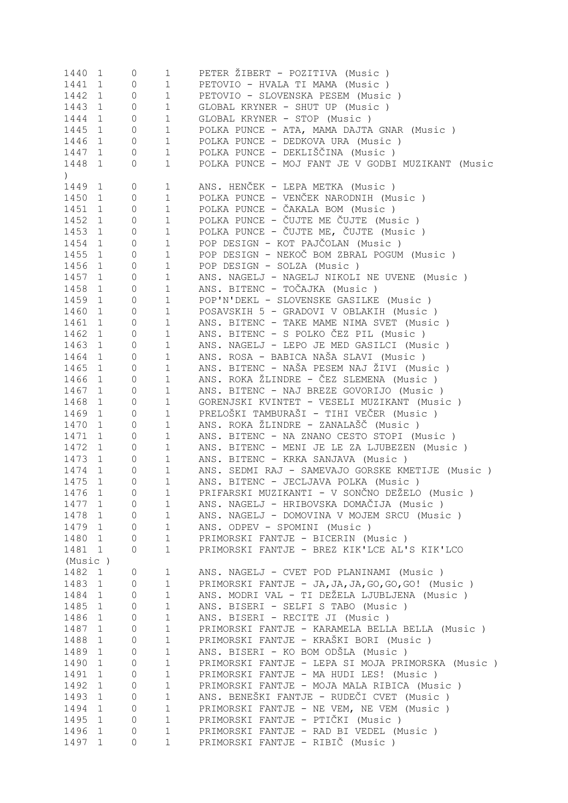| 1440 1                                          |                             | 0           | $\mathbf 1$            | PETER ŽIBERT - POZITIVA (Music)                    |
|-------------------------------------------------|-----------------------------|-------------|------------------------|----------------------------------------------------|
| 1441 1                                          |                             | 0           | $\mathbf 1$            | PETOVIO - HVALA TI MAMA (Music)                    |
| 1442                                            | 1                           | 0           | $\mathbf 1$            | PETOVIO - SLOVENSKA PESEM (Music)                  |
| 1443                                            | $\mathbf{1}$                | 0           | $\mathbf 1$            | GLOBAL KRYNER - SHUT UP (Music)                    |
| 1444                                            | 1                           | 0           | $\mathbf 1$            | GLOBAL KRYNER - STOP (Music)                       |
| 1445                                            | 1                           | 0           | $\mathbf 1$            | POLKA PUNCE - ATA, MAMA DAJTA GNAR (Music)         |
| 1446                                            | $\mathbf{1}$                | 0           | $\mathbf 1$            | POLKA PUNCE - DEDKOVA URA (Music)                  |
| 1447 1                                          |                             | 0           | $\mathbf 1$            | POLKA PUNCE - DEKLIŠČINA (Music )                  |
| 1448                                            | 1                           | 0           | $\mathbf 1$            | POLKA PUNCE - MOJ FANT JE V GODBI MUZIKANT (Music  |
| $\left( \begin{array}{c} 1 \end{array} \right)$ |                             |             |                        |                                                    |
| 1449                                            | 1                           | 0           | $\mathbf 1$            | ANS. HENČEK - LEPA METKA (Music)                   |
| 1450                                            | $\mathbf{1}$                | $\circ$     | $\mathbf 1$            | POLKA PUNCE - VENČEK NARODNIH (Music)              |
| 1451                                            | $\mathbf{1}$                | $\circ$     | $\mathbf{1}$           | POLKA PUNCE - ČAKALA BOM (Music)                   |
| 1452                                            | 1                           | 0           | $\mathbf 1$            | POLKA PUNCE - ČUJTE ME ČUJTE (Music)               |
| 1453                                            | 1                           | 0           | $\mathbf 1$            | POLKA PUNCE - ČUJTE ME, ČUJTE (Music)              |
| 1454                                            |                             |             | $\mathbf 1$            | POP DESIGN - KOT PAJČOLAN (Music)                  |
|                                                 | $\mathbf{1}$                | 0           |                        |                                                    |
| 1455                                            | 1                           | 0           | $\mathbf 1$            | POP DESIGN - NEKOČ BOM ZBRAL POGUM (Music)         |
| 1456                                            | 1                           | 0           | $\mathbf 1$            | POP DESIGN - SOLZA (Music)                         |
| 1457                                            | $\mathbf{1}$                | 0           | $\mathbf{1}$           | ANS. NAGELJ - NAGELJ NIKOLI NE UVENE (Music)       |
| 1458                                            | 1                           | $\circ$     | $\mathbf{1}$           | ANS. BITENC - TOČAJKA (Music)                      |
| 1459                                            | 1                           | $\circ$     | $\mathbf{1}$           | POP'N'DEKL - SLOVENSKE GASILKE (Music)             |
| 1460                                            | 1                           | $\circ$     | $\mathbf 1$            | POSAVSKIH 5 - GRADOVI V OBLAKIH (Music)            |
| 1461                                            | $\mathbf{1}$                | $\circ$     | $\mathbf 1$            | ANS. BITENC - TAKE MAME NIMA SVET (Music )         |
| 1462                                            | $\mathbf{1}$                | $\circ$     | $\mathbf 1$            | ANS. BITENC - S POLKO ČEZ PIL (Music )             |
| 1463                                            | $\mathbf{1}$                | $\circ$     | $\mathbf 1$            | ANS. NAGELJ - LEPO JE MED GASILCI (Music)          |
| 1464                                            | $\mathbf{1}$                | $\circ$     | $\mathbf{1}$           | ANS. ROSA - BABICA NAŠA SLAVI (Music )             |
| 1465                                            | 1                           | $\circ$     | $\mathbf 1$            | ANS. BITENC - NAŠA PESEM NAJ ŽIVI (Music)          |
| 1466                                            | 1                           | $\circ$     | $\mathbf 1$            | ANS. ROKA ŽLINDRE - ČEZ SLEMENA (Music )           |
| 1467                                            | 1                           | $\circ$     | $\mathbf 1$            | ANS. BITENC - NAJ BREZE GOVORIJO (Music)           |
| 1468                                            | $1 \quad \blacksquare$      | $\circ$     | $\mathbf 1$            | GORENJSKI KVINTET - VESELI MUZIKANT (Music )       |
| 1469                                            | $1 \quad \blacksquare$      | $\circ$     | $\mathbf 1$            | PRELOŠKI TAMBURAŠI - TIHI VEČER (Music )           |
| 1470                                            | $1 \qquad \qquad$           | $\circ$     | $\mathbf{1}$           | ANS. ROKA ŽLINDRE - ZANALAŠČ (Music )              |
|                                                 |                             |             |                        | ANS. BITENC - NA ZNANO CESTO STOPI (Music )        |
| 1471                                            | $1 \quad \blacksquare$      | $\circ$     | $\mathbf 1$            |                                                    |
| 1472                                            | $1 \quad \blacksquare$<br>1 | 0           | $\mathbf 1$            | ANS. BITENC - MENI JE LE ZA LJUBEZEN (Music)       |
| 1473                                            |                             | $\circ$     | $\mathbf{1}$           | ANS. BITENC - KRKA SANJAVA (Music)                 |
| 1474                                            | $1 \quad \blacksquare$      | $\circ$     | $\mathbf{1}$           | ANS. SEDMI RAJ - SAMEVAJO GORSKE KMETIJE (Music)   |
| 1475                                            | $1 \quad \blacksquare$      | $\circ$     | $\mathbf{1}$           | ANS. BITENC - JECLJAVA POLKA (Music)               |
|                                                 | 1476 1 0                    |             | $1 \quad \blacksquare$ | PRIFARSKI MUZIKANTI - V SONČNO DEŽELO (Music)      |
| 1477 1                                          |                             | $\circ$     | 1                      | ANS. NAGELJ - HRIBOVSKA DOMAČIJA (Music)           |
| 1478                                            | 1                           | $\circ$     | $\mathbf 1$            | ANS. NAGELJ - DOMOVINA V MOJEM SRCU (Music)        |
| 1479 1                                          |                             | 0           | $\mathbf 1$            | ANS. ODPEV - SPOMINI (Music)                       |
| 1480 1                                          |                             | $\mathbf 0$ | $1\,$                  | PRIMORSKI FANTJE - BICERIN (Music)                 |
| 1481 1                                          |                             | 0           | $\mathbf 1$            | PRIMORSKI FANTJE - BREZ KIK'LCE AL'S KIK'LCO       |
| (Music)                                         |                             |             |                        |                                                    |
| 1482                                            | 1                           | 0           | $\mathbf{1}$           | ANS. NAGELJ - CVET POD PLANINAMI (Music)           |
| 1483                                            | 1                           | 0           | $\mathbf 1$            | PRIMORSKI FANTJE - JA, JA, JA, GO, GO, GO! (Music) |
| 1484                                            | $\mathbf{1}$                | 0           | $\mathbf 1$            | ANS. MODRI VAL - TI DEŽELA LJUBLJENA (Music)       |
| 1485                                            | $\mathbf{1}$                | $\mathbf 0$ | $\mathbf 1$            | ANS. BISERI - SELFI S TABO (Music)                 |
| 1486                                            | $\mathbf{1}$                | 0           | $\mathbf 1$            | ANS. BISERI - RECITE JI (Music)                    |
| 1487                                            | $\mathbf{1}$                | 0           | $1\,$                  | PRIMORSKI FANTJE - KARAMELA BELLA BELLA (Music)    |
| 1488                                            | $\mathbf{1}$                | 0           | $\mathbf 1$            | PRIMORSKI FANTJE - KRAŠKI BORI (Music )            |
| 1489                                            | $\mathbf{1}$                | $\mathbf 0$ | $\mathbf 1$            | ANS. BISERI - KO BOM ODŠLA (Music )                |
|                                                 |                             |             | $1\,$                  |                                                    |
| 1490                                            | $\mathbf{1}$                | 0           |                        | PRIMORSKI FANTJE - LEPA SI MOJA PRIMORSKA (Music)  |
| 1491                                            | $\mathbf 1$                 | $\mathbb O$ | $\mathbf 1$            | PRIMORSKI FANTJE - MA HUDI LES! (Music)            |
| 1492                                            | $\mathbf 1$                 | $\mathbb O$ | $1\,$                  | PRIMORSKI FANTJE - MOJA MALA RIBICA (Music)        |
| 1493                                            | $\mathbf{1}$                | 0           | $1\,$                  | ANS. BENEŠKI FANTJE - RUDEČI CVET (Music )         |
| 1494                                            | $\mathbf{1}$                | 0           | $1\,$                  | PRIMORSKI FANTJE - NE VEM, NE VEM (Music)          |
| 1495                                            | $\mathbf{1}$                | 0           | $1\,$                  | PRIMORSKI FANTJE - PTIČKI (Music )                 |
| 1496                                            | 1                           | 0           | $\mathbf 1$            | PRIMORSKI FANTJE - RAD BI VEDEL (Music)            |
| 1497                                            | 1                           | 0           | $\mathbf 1$            | PRIMORSKI FANTJE - RIBIČ (Music)                   |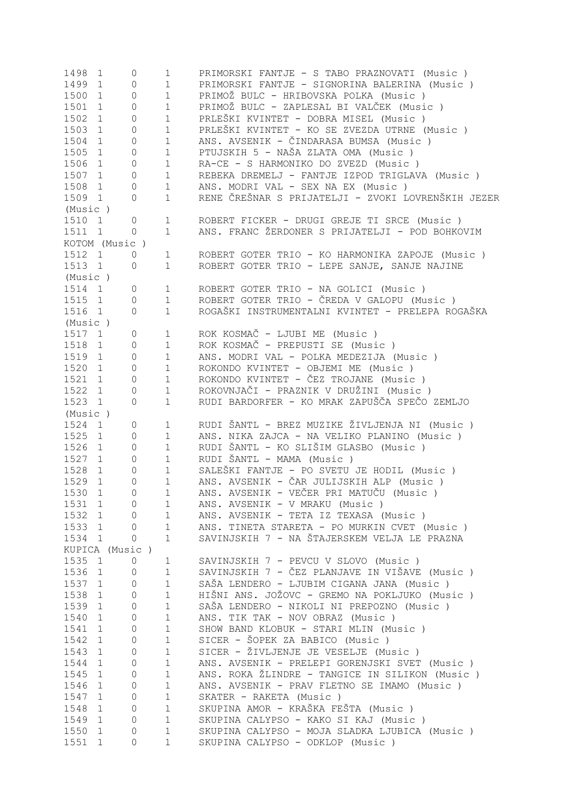| 1498 1           | $\circ$             | 1                            | PRIMORSKI FANTJE - S TABO PRAZNOVATI (Music )                                     |
|------------------|---------------------|------------------------------|-----------------------------------------------------------------------------------|
| 1499 1           | $\circ$             | 1                            | PRIMORSKI FANTJE - SIGNORINA BALERINA (Music)                                     |
| 1500 1           | $\circ$             | 1                            | PRIMOŽ BULC - HRIBOVSKA POLKA (Music)                                             |
| 1501 1           | $\mathsf{O}\xspace$ | 1                            | PRIMOŽ BULC - ZAPLESAL BI VALČEK (Music )                                         |
| 1502 1           | $\mathsf{O}\xspace$ | 1                            | PRLEŠKI KVINTET - DOBRA MISEL (Music )                                            |
| 1503 1           | $\mathsf{O}\xspace$ | 1                            | PRLEŠKI KVINTET - KO SE ZVEZDA UTRNE (Music )                                     |
| 1504 1           | $\circ$             | 1                            | ANS. AVSENIK - ČINDARASA BUMSA (Music )                                           |
| 1505 1           | $\circ$             | 1                            | PTUJSKIH 5 - NAŠA ZLATA OMA (Music)                                               |
| 1506 1           | $\circ$             | $1 \quad \blacksquare$       | RA-CE - S HARMONIKO DO ZVEZD (Music)                                              |
| 1507 1           | $\circ$             | 1                            | REBEKA DREMELJ - FANTJE IZPOD TRIGLAVA (Music)                                    |
| 1508 1           | $\circ$             | $1 \quad \blacksquare$       | ANS. MODRI VAL - SEX NA EX (Music)                                                |
| 1509 1           | $\circ$             | $1 \quad \blacksquare$       | RENE ČREŠNAR S PRIJATELJI - ZVOKI LOVRENŠKIH JEZER                                |
| (Music )         |                     |                              |                                                                                   |
|                  |                     |                              |                                                                                   |
| 1510 1           | $\circ$             | $1 \quad \blacksquare$       | ROBERT FICKER - DRUGI GREJE TI SRCE (Music)                                       |
| 1511 1           | $\overline{0}$      | $1 \quad \blacksquare$       | ANS. FRANC ŽERDONER S PRIJATELJI - POD BOHKOVIM                                   |
| KOTOM (Music)    |                     |                              |                                                                                   |
| 1512 1           | 0                   | $1 \quad \blacksquare$       | ROBERT GOTER TRIO - KO HARMONIKA ZAPOJE (Music)                                   |
| 1513 1           | $\overline{0}$      | $1 \quad \blacksquare$       | ROBERT GOTER TRIO - LEPE SANJE, SANJE NAJINE                                      |
| (Music )         |                     |                              |                                                                                   |
| 1514 1           | $\circ$             | $1 \quad \Box$               | ROBERT GOTER TRIO - NA GOLICI (Music)                                             |
| 1515 1           | $\circ$             |                              | 1 ROBERT GOTER TRIO - ČREDA V GALOPU (Music)                                      |
| 1516 1           | $\Omega$            | $1 \quad \blacksquare$       | ROGAŠKI INSTRUMENTALNI KVINTET - PRELEPA ROGAŠKA                                  |
| (Music )         |                     |                              |                                                                                   |
| 1517 1           | $\overline{0}$      | $1 \quad \Box$               | ROK KOSMAČ - LJUBI ME (Music)                                                     |
| 1518 1           | $\circ$             | $1 \quad \blacksquare$       | ROK KOSMAČ - PREPUSTI SE (Music)                                                  |
| 1519 1           | $\circ$             | $1 \quad \blacksquare$       | ANS. MODRI VAL - POLKA MEDEZIJA (Music)                                           |
| 1520 1           | $\circ$             | $1 \quad \blacksquare$       | ROKONDO KVINTET - OBJEMI ME (Music)                                               |
| 1521 1           | $\circ$             | $1 \quad \blacksquare$       | ROKONDO KVINTET - ČEZ TROJANE (Music)                                             |
| 1522 1           |                     |                              | ROKOVNJAČI - PRAZNIK V DRUŽINI (Music )                                           |
|                  | 0                   | $1 \quad \blacksquare$       |                                                                                   |
| 1523 1           | $\Omega$            | 1                            | RUDI BARDORFER - KO MRAK ZAPUŠČA SPEČO ZEMLJO                                     |
| (Music )         |                     |                              |                                                                                   |
| 1524 1           | 0                   | 1                            | RUDI ŠANTL - BREZ MUZIKE ŽIVLJENJA NI (Music )                                    |
| 1525 1           | 0                   | $1 \quad \blacksquare$       | ANS. NIKA ZAJCA - NA VELIKO PLANINO (Music)                                       |
| 1526 1           | 0                   | $1 \quad \blacksquare$       | RUDI ŠANTL - KO SLIŠIM GLASBO (Music )                                            |
| 1527 1           | $\circ$             | $1 \quad \blacksquare$       | RUDI ŠANTL - MAMA (Music)                                                         |
| 1528 1           | $\circ$             | $1 \quad \blacksquare$       | SALEŠKI FANTJE - PO SVETU JE HODIL (Music)                                        |
| 1529 1           | $\circ$             | $1 \quad \blacksquare$       | ANS. AVSENIK - ČAR JULIJSKIH ALP (Music)                                          |
| 1530 1           | $\Omega$            | 1                            | ANS. AVSENIK - VEČER PRI MATUČU (Music )                                          |
| 1531 1           | 0                   | $\mathbf 1$                  | ANS. AVSENIK - V MRAKU (Music)                                                    |
| 1532 1           | 0                   | $\mathbf{1}$                 | ANS. AVSENIK - TETA IZ TEXASA (Music)                                             |
| 1533 1           | 0                   | $\mathbf 1$                  | ANS. TINETA STARETA - PO MURKIN CVET (Music )                                     |
| 1534 1           | 0                   | $\mathbf{1}$                 | SAVINJSKIH 7 - NA ŠTAJERSKEM VELJA LE PRAZNA                                      |
| KUPICA (Music)   |                     |                              |                                                                                   |
| 1535 1           | $\circ$             | $\mathbf 1$                  | SAVINJSKIH 7 - PEVCU V SLOVO (Music)                                              |
| 1536 1           | 0                   | $\mathbf 1$                  | SAVINJSKIH 7 - ČEZ PLANJAVE IN VIŠAVE (Music )                                    |
| 1537 1           | 0                   | $\mathbf 1$                  | SAŠA LENDERO - LJUBIM CIGANA JANA (Music)                                         |
|                  |                     |                              |                                                                                   |
| 1538 1           | $\circ$             | $\mathbf 1$                  | HIŠNI ANS. JOŽOVC - GREMO NA POKLJUKO (Music )                                    |
| 1539 1           | $\circ$             | $\mathbf 1$                  | SAŠA LENDERO - NIKOLI NI PREPOZNO (Music)                                         |
| 1540 1           | $\mathbb O$         | $\mathbf 1$                  | ANS. TIK TAK - NOV OBRAZ (Music)                                                  |
| 1541 1           | $\mathbb O$         | $\mathbf 1$                  | SHOW BAND KLOBUK - STARI MLIN (Music)                                             |
| 1542 1           | $\mathbb O$         | $\mathbf 1$                  | SICER - ŠOPEK ZA BABICO (Music)                                                   |
| 1543 1           | $\mathbb O$         | $1\,$                        | SICER - ŽIVLJENJE JE VESELJE (Music)                                              |
| 1544 1           | 0                   | $1\,$                        | ANS. AVSENIK - PRELEPI GORENJSKI SVET (Music )                                    |
|                  |                     |                              |                                                                                   |
| 1545 1           | 0                   | $\mathbf 1$                  | ANS. ROKA ŽLINDRE - TANGICE IN SILIKON (Music )                                   |
| 1546 1           | 0                   | $\mathbf 1$                  | ANS. AVSENIK - PRAV FLETNO SE IMAMO (Music)                                       |
| 1547 1           | 0                   |                              |                                                                                   |
|                  | 0                   | $\mathbf 1$                  | SKATER - RAKETA (Music)                                                           |
| 1548 1           |                     | $\mathbf 1$                  | SKUPINA AMOR - KRAŠKA FEŠTA (Music )                                              |
| 1549 1           | $\circ$             | $\mathbf 1$                  | SKUPINA CALYPSO - KAKO SI KAJ (Music)                                             |
| 1550 1<br>1551 1 | 0<br>$\Omega$       | $\mathbf{1}$<br>$\mathbf{1}$ | SKUPINA CALYPSO - MOJA SLADKA LJUBICA (Music)<br>SKUPINA CALYPSO - ODKLOP (Music) |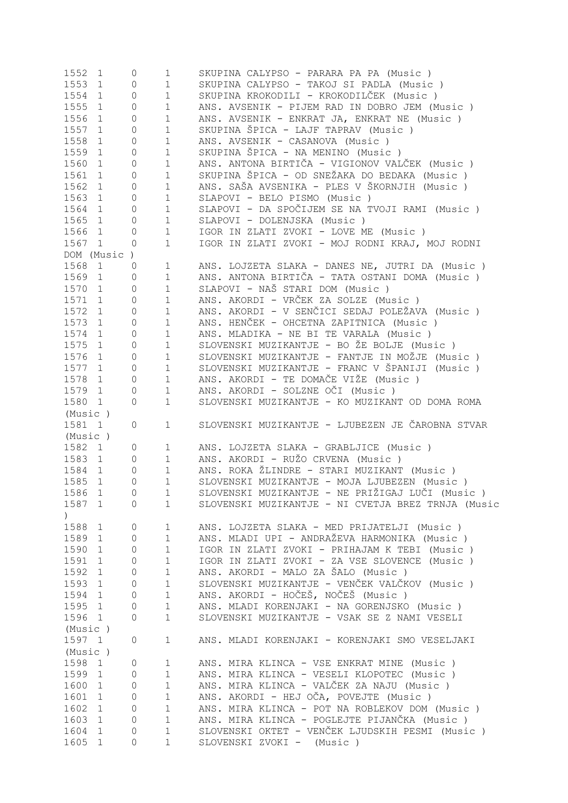| 1552 1           |                              | 0                   | $\mathbf 1$          | SKUPINA CALYPSO - PARARA PA PA (Music)                                        |
|------------------|------------------------------|---------------------|----------------------|-------------------------------------------------------------------------------|
| 1553             | $\mathbf{1}$                 | 0                   | $\mathbf 1$          | SKUPINA CALYPSO - TAKOJ SI PADLA (Music)                                      |
| 1554             | $\mathbf{1}$                 | $\mathsf{O}\xspace$ | $\mathbf 1$          | SKUPINA KROKODILI - KROKODILČEK (Music )                                      |
| 1555             | $\mathbf{1}$                 | 0                   | $\mathbf 1$          | ANS. AVSENIK - PIJEM RAD IN DOBRO JEM (Music)                                 |
| 1556             | $\mathbf{1}$                 | 0                   | $\mathbf 1$          | ANS. AVSENIK - ENKRAT JA, ENKRAT NE (Music)                                   |
| 1557             | $\mathbf{1}$                 | 0                   | $1\,$                | SKUPINA ŠPICA - LAJF TAPRAV (Music )                                          |
| 1558             | $\mathbf{1}$                 | 0                   | $1\,$                | ANS. AVSENIK - CASANOVA (Music)                                               |
| 1559             | $\mathbf{1}$                 | 0                   | $\mathbf 1$          | SKUPINA ŠPICA - NA MENINO (Music)                                             |
| 1560             | $\mathbf{1}$                 | 0                   | $1\,$                | ANS. ANTONA BIRTIČA - VIGIONOV VALČEK (Music )                                |
| 1561             | 1                            | 0                   | $1\,$                | SKUPINA ŠPICA - OD SNEŽAKA DO BEDAKA (Music )                                 |
| 1562             | $\mathbf{1}$                 | 0                   | $1\,$                | ANS. SAŠA AVSENIKA - PLES V ŠKORNJIH (Music )                                 |
| 1563             |                              |                     |                      | SLAPOVI - BELO PISMO (Music)                                                  |
|                  | $\mathbf{1}$                 | 0                   | $\mathbf 1$          |                                                                               |
| 1564             | 1                            | 0                   | $\mathbf 1$          | SLAPOVI - DA SPOČIJEM SE NA TVOJI RAMI (Music )                               |
| 1565             | $\mathbf{1}$                 | 0                   | $\mathbf 1$          | SLAPOVI - DOLENJSKA (Music)                                                   |
| 1566             | $\mathbf{1}$                 | 0                   | $\mathbf{1}$         | IGOR IN ZLATI ZVOKI - LOVE ME (Music)                                         |
| 1567 1           |                              | 0                   | $\mathbf 1$          | IGOR IN ZLATI ZVOKI - MOJ RODNI KRAJ, MOJ RODNI                               |
|                  | DOM (Music                   | $\left( \right)$    |                      |                                                                               |
| 1568             | 1                            | 0                   | $\mathbf{1}$         | ANS. LOJZETA SLAKA - DANES NE, JUTRI DA (Music )                              |
| 1569             | $\mathbf{1}$                 | 0                   | $\mathbf 1$          | ANS. ANTONA BIRTIČA - TATA OSTANI DOMA (Music )                               |
| 1570             | $\mathbf{1}$                 | 0                   | $\mathbf 1$          | SLAPOVI - NAŠ STARI DOM (Music)                                               |
| 1571             | $\mathbf{1}$                 | 0                   | $\mathbf 1$          | ANS. AKORDI - VRČEK ZA SOLZE (Music )                                         |
| 1572             | $\mathbf{1}$                 | 0                   | $\mathbf 1$          | ANS. AKORDI - V SENČICI SEDAJ POLEŽAVA (Music )                               |
| 1573             | 1                            | 0                   | $\mathbf 1$          | ANS. HENČEK - OHCETNA ZAPITNICA (Music)                                       |
| 1574             | $\mathbf{1}$                 | 0                   | $1\,$                | ANS. MLADIKA - NE BI TE VARALA (Music)                                        |
| 1575             | $\mathbf{1}$                 | 0                   | $1\,$                | SLOVENSKI MUZIKANTJE - BO ŽE BOLJE (Music)                                    |
| 1576             | $\mathbf{1}$                 | 0                   | $\mathbf 1$          | SLOVENSKI MUZIKANTJE - FANTJE IN MOŽJE (Music)                                |
| 1577 1           |                              | 0                   | $\mathbf 1$          | SLOVENSKI MUZIKANTJE - FRANC V ŠPANIJI (Music )                               |
| 1578             |                              |                     |                      |                                                                               |
|                  | $\mathbf{1}$                 | 0                   | $\mathbf{1}$         | ANS. AKORDI - TE DOMAČE VIŽE (Music )                                         |
| 1579 1           |                              | 0                   | $\mathbf{1}$         | ANS. AKORDI - SOLZNE OČI (Music )                                             |
| 1580 1           |                              |                     |                      |                                                                               |
|                  |                              | $\circ$             | $\mathbf{1}$         | SLOVENSKI MUZIKANTJE - KO MUZIKANT OD DOMA ROMA                               |
| (Music)          |                              |                     |                      |                                                                               |
| 1581 1           |                              | 0                   | $\mathbf 1$          | SLOVENSKI MUZIKANTJE - LJUBEZEN JE ČAROBNA STVAR                              |
| (Music)          |                              |                     |                      |                                                                               |
| 1582 1           |                              | 0                   | $\mathbf 1$          | ANS. LOJZETA SLAKA - GRABLJICE (Music)                                        |
| 1583 1           |                              | 0                   | $\mathbf{1}$         | ANS. AKORDI - RUŽO CRVENA (Music)                                             |
| 1584 1           |                              | 0                   | $\mathbf{1}$         | ANS. ROKA ŽLINDRE - STARI MUZIKANT (Music )                                   |
| 1585             | $\mathbf{1}$                 | 0                   | $\mathbf{1}$         | SLOVENSKI MUZIKANTJE - MOJA LJUBEZEN (Music)                                  |
|                  | 1                            | $\Omega$            | $\mathbf{1}$         |                                                                               |
| 1586             |                              |                     |                      | SLOVENSKI MUZIKANTJE - NE PRIŽIGAJ LUČI (Music )                              |
| 1587 1           |                              | $\circ$             | 1                    | SLOVENSKI MUZIKANTJE - NI CVETJA BREZ TRNJA (Music                            |
| $\left( \right)$ |                              |                     |                      |                                                                               |
| 1588             | 1                            | 0                   | 1                    | ANS. LOJZETA SLAKA - MED PRIJATELJI (Music)                                   |
| 1589             | 1                            | 0                   | $\mathbf 1$          | ANS. MLADI UPI - ANDRAŽEVA HARMONIKA (Music )                                 |
| 1590             | $\mathbf{1}$                 | 0                   | $\mathbf 1$          | IGOR IN ZLATI ZVOKI - PRIHAJAM K TEBI (Music )                                |
| 1591             | $\mathbf{1}$                 | 0                   | $1\,$                | IGOR IN ZLATI ZVOKI - ZA VSE SLOVENCE (Music )                                |
| 1592             | 1                            | 0                   | 1                    | ANS. AKORDI - MALO ZA ŠALO (Music )                                           |
| 1593 1           |                              | 0                   | 1                    | SLOVENSKI MUZIKANTJE - VENČEK VALČKOV (Music )                                |
| 1594             | 1                            | 0                   | $1\,$                | ANS. AKORDI - HOČEŠ, NOČEŠ (Music )                                           |
| 1595 1           |                              | 0                   | $1\,$                | ANS. MLADI KORENJAKI - NA GORENJSKO (Music)                                   |
| 1596 1           |                              | 0                   | $\mathbf 1$          | SLOVENSKI MUZIKANTJE - VSAK SE Z NAMI VESELI                                  |
| (Music)          |                              |                     |                      |                                                                               |
| 1597 1           |                              | 0                   | 1                    | ANS. MLADI KORENJAKI - KORENJAKI SMO VESELJAKI                                |
| (Music)          |                              |                     |                      |                                                                               |
| 1598             | $\overline{1}$               | 0                   | $\mathbf 1$          |                                                                               |
|                  |                              | 0                   |                      | ANS. MIRA KLINCA - VSE ENKRAT MINE (Music )                                   |
| 1599 1           |                              | 0                   | $1\,$                | ANS. MIRA KLINCA - VESELI KLOPOTEC (Music )                                   |
| 1600             | $\mathbf{1}$                 |                     | $1\,$                | ANS. MIRA KLINCA - VALČEK ZA NAJU (Music)                                     |
| 1601             | $\mathbf{1}$                 | 0                   | $1\,$                | ANS. AKORDI - HEJ OČA, POVEJTE (Music)                                        |
| 1602             | $\mathbf{1}$                 | 0                   | $1\,$                | ANS. MIRA KLINCA - POT NA ROBLEKOV DOM (Music )                               |
| 1603             | $\mathbf{1}$                 | 0                   | $1\,$                | ANS. MIRA KLINCA - POGLEJTE PIJANČKA (Music )                                 |
| 1604<br>1605     | $\mathbf{1}$<br>$\mathbf{1}$ | 0<br>0              | $1\,$<br>$\mathbf 1$ | SLOVENSKI OKTET - VENČEK LJUDSKIH PESMI (Music )<br>SLOVENSKI ZVOKI - (Music) |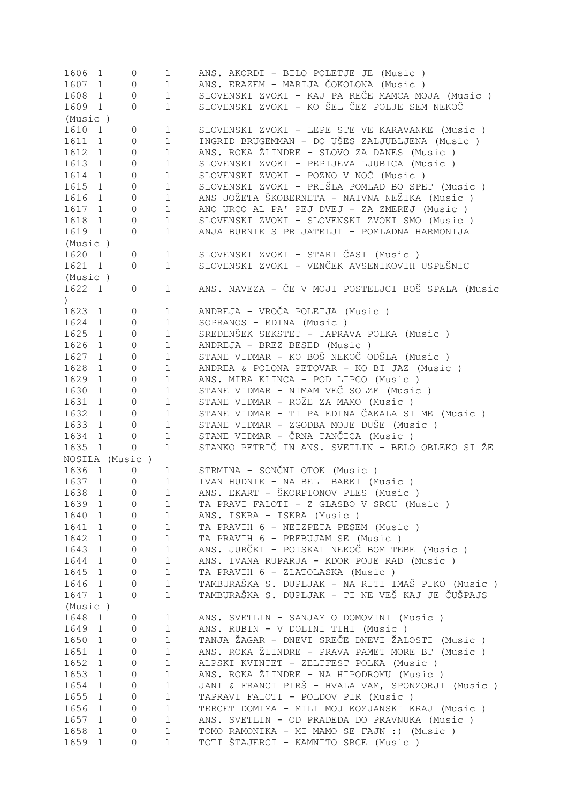| 1606                       | 1            | 0              | $\mathbf 1$  | ANS. AKORDI - BILO POLETJE JE (Music)              |
|----------------------------|--------------|----------------|--------------|----------------------------------------------------|
| 1607                       | 1            | 0              | $\mathbf 1$  | ANS. ERAZEM - MARIJA ČOKOLONA (Music)              |
| 1608                       | $\mathbf{1}$ | 0              | $\mathbf 1$  | SLOVENSKI ZVOKI - KAJ PA REČE MAMCA MOJA (Music)   |
| 1609 1                     |              | $\circ$        | $\mathbf{1}$ | SLOVENSKI ZVOKI - KO ŠEL ČEZ POLJE SEM NEKOČ       |
| (Music)                    |              |                |              |                                                    |
| 1610                       | $\mathbf{1}$ | 0              | $\mathbf{1}$ | SLOVENSKI ZVOKI - LEPE STE VE KARAVANKE (Music )   |
| 1611                       | $\mathbf{1}$ | $\overline{0}$ | $1\,$        | INGRID BRUGEMMAN - DO UŠES ZALJUBLJENA (Music)     |
| 1612                       | $\mathbf{1}$ | $\overline{0}$ | $\mathbf{1}$ | ANS. ROKA ŽLINDRE - SLOVO ZA DANES (Music )        |
|                            |              |                |              |                                                    |
| 1613                       | 1            | $\overline{0}$ | $\mathbf{1}$ | SLOVENSKI ZVOKI - PEPIJEVA LJUBICA (Music )        |
| 1614                       | $\mathbf{1}$ | $\overline{0}$ | $1\,$        | SLOVENSKI ZVOKI - POZNO V NOČ (Music)              |
| 1615                       | 1            | $\overline{0}$ | $1\,$        | SLOVENSKI ZVOKI - PRIŠLA POMLAD BO SPET (Music )   |
| 1616                       | 1            | 0              | $\mathbf{1}$ | ANS JOŽETA ŠKOBERNETA - NAIVNA NEŽIKA (Music )     |
| 1617                       | $\mathbf{1}$ | $\circ$        | $\mathbf{1}$ | ANO URCO AL PA' PEJ DVEJ - ZA ZMEREJ (Music)       |
| 1618                       | 1            | $\overline{0}$ | $\mathbf{1}$ | SLOVENSKI ZVOKI - SLOVENSKI ZVOKI SMO (Music )     |
| 1619 1                     |              | 0              | $\mathbf{1}$ | ANJA BURNIK S PRIJATELJI - POMLADNA HARMONIJA      |
| (Music)                    |              |                |              |                                                    |
| 1620 1                     |              | 0              | $\mathbf{1}$ | SLOVENSKI ZVOKI - STARI ČASI (Music )              |
| 1621 1                     |              | $\circ$        | $\mathbf{1}$ | SLOVENSKI ZVOKI - VENČEK AVSENIKOVIH USPEŠNIC      |
|                            |              |                |              |                                                    |
| (Music)                    |              |                |              |                                                    |
| 1622 1<br>$\left( \right)$ |              | 0              | $\mathbf{1}$ | ANS. NAVEZA - ČE V MOJI POSTELJCI BOŠ SPALA (Music |
| 1623 1                     |              | 0              | $\mathbf{1}$ | ANDREJA - VROČA POLETJA (Music)                    |
| 1624 1                     |              | 0              | $\mathbf 1$  | SOPRANOS - EDINA (Music)                           |
| 1625                       | 1            | 0              | $\mathbf{1}$ | SREDENŠEK SEKSTET - TAPRAVA POLKA (Music )         |
| 1626                       | $\mathbf{1}$ | 0              | $\mathbf{1}$ | ANDREJA - BREZ BESED (Music)                       |
| 1627 1                     |              | 0              | $1\,$        | STANE VIDMAR - KO BOŠ NEKOČ ODŠLA (Music )         |
| 1628                       |              |                | $\mathbf 1$  | ANDREA & POLONA PETOVAR - KO BI JAZ (Music)        |
|                            | $\mathbf{1}$ | 0              |              |                                                    |
| 1629 1                     |              | 0              | $\mathbf 1$  | ANS. MIRA KLINCA - POD LIPCO (Music)               |
| 1630 1                     |              | 0              | $\mathbf 1$  | STANE VIDMAR - NIMAM VEČ SOLZE (Music)             |
| 1631                       | 1            | 0              | $\mathbf 1$  | STANE VIDMAR - ROŽE ZA MAMO (Music )               |
| 1632 1                     |              | 0              | $\mathbf 1$  | STANE VIDMAR - TI PA EDINA ČAKALA SI ME (Music)    |
| 1633                       | $\mathbf{1}$ | 0              | $\mathbf 1$  | STANE VIDMAR - ZGODBA MOJE DUŠE (Music )           |
| 1634                       | $\mathbf{1}$ | 0              | $\mathbf 1$  | STANE VIDMAR - ČRNA TANČICA (Music )               |
| 1635 1                     |              | 0              | $\mathbf{1}$ | STANKO PETRIČ IN ANS. SVETLIN - BELO OBLEKO SI ŽE  |
|                            |              | NOSILA (Music) |              |                                                    |
| 1636 1                     |              | 0              |              | STRMINA - SONČNI OTOK (Music)                      |
|                            |              |                | $\mathbf 1$  |                                                    |
| 1637 1                     |              | 0              | $\mathbf{1}$ | IVAN HUDNIK - NA BELI BARKI (Music)                |
| 1638                       | $\mathbf{1}$ | 0              | $\mathbf{1}$ | ANS. EKART - ŠKORPIONOV PLES (Music)               |
| 1639                       | 1            | 0              | 1            | TA PRAVI FALOTI - Z GLASBO V SRCU (Music)          |
| 1640                       | $\mathbf{1}$ | 0              | $\mathbf 1$  | ANS. ISKRA - ISKRA (Music)                         |
| 1641                       | $\mathbf{1}$ | 0              | 1            | TA PRAVIH 6 - NEIZPETA PESEM (Music)               |
| 1642                       | 1            | 0              | 1            | TA PRAVIH 6 - PREBUJAM SE (Music)                  |
| 1643                       | 1            | 0              | 1            | ANS. JURČKI - POISKAL NEKOČ BOM TEBE (Music )      |
| 1644                       | 1            | 0              | 1            | ANS. IVANA RUPARJA - KDOR POJE RAD (Music )        |
| 1645                       | 1            | 0              | 1            | TA PRAVIH 6 - ZLATOLASKA (Music)                   |
| 1646                       | 1            | 0              | $\mathbf 1$  | TAMBURAŠKA S. DUPLJAK - NA RITI IMAŠ PIKO (Music ) |
|                            |              |                |              |                                                    |
| 1647 1                     |              | 0              | $\mathbf 1$  | TAMBURAŠKA S. DUPLJAK - TI NE VEŠ KAJ JE ČUŠPAJS   |
| (Music)                    |              |                |              |                                                    |
| 1648                       | $\mathbf{1}$ | 0              | $\mathbf 1$  | ANS. SVETLIN - SANJAM O DOMOVINI (Music )          |
| 1649                       | $\mathbf{1}$ | 0              | $\mathbf 1$  | ANS. RUBIN - V DOLINI TIHI (Music )                |
| 1650                       | 1            | 0              | $\mathbf 1$  | TANJA ŽAGAR - DNEVI SREČE DNEVI ŽALOSTI (Music )   |
| 1651                       | $\mathbf{1}$ | 0              | $\mathbf 1$  | ANS. ROKA ŽLINDRE - PRAVA PAMET MORE BT (Music )   |
| 1652                       | $\mathbf{1}$ | 0              | $\mathbf 1$  | ALPSKI KVINTET - ZELTFEST POLKA (Music )           |
| 1653                       | $\mathbf{1}$ | 0              | 1            | ANS. ROKA ŽLINDRE - NA HIPODROMU (Music )          |
| 1654                       | $\mathbf 1$  | 0              | $1\,$        | JANI & FRANCI PIRŠ - HVALA VAM, SPONZORJI (Music ) |
| 1655                       | $\mathbf 1$  | 0              | $\mathbf 1$  | TAPRAVI FALOTI - POLDOV PIR (Music)                |
|                            |              |                |              |                                                    |
| 1656                       | $\mathbf 1$  | 0              | $\mathbf 1$  | TERCET DOMIMA - MILI MOJ KOZJANSKI KRAJ (Music)    |
| 1657                       | $\mathbf 1$  | 0              | $\mathbf 1$  | ANS. SVETLIN - OD PRADEDA DO PRAVNUKA (Music)      |
| 1658                       | $\mathbf 1$  | 0              | 1            | TOMO RAMONIKA - MI MAMO SE FAJN :) (Music)         |
| 1659                       | 1            | 0              | $\mathbf 1$  | TOTI ŠTAJERCI - KAMNITO SRCE (Music )              |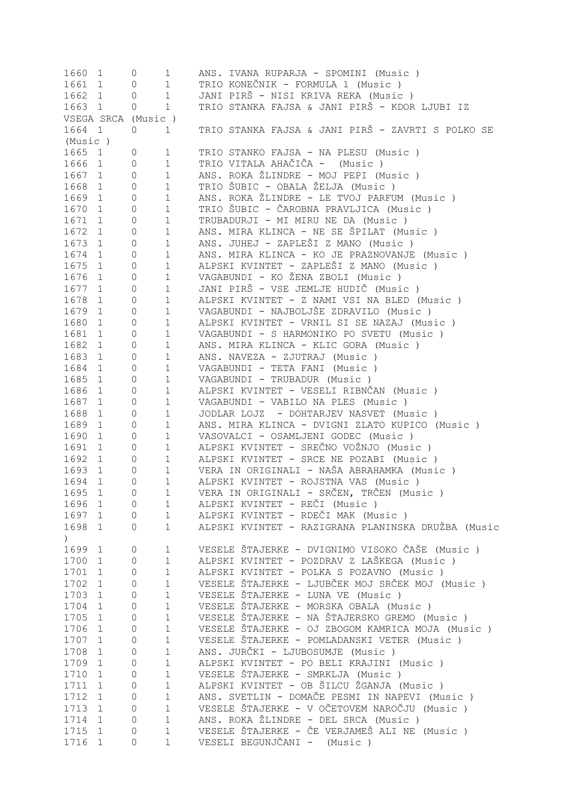| TRIO KONEČNIK - FORMULA 1 (Music )<br>1661<br>$\mathbf 1$<br>1<br>0<br>JANI PIRŠ - NISI KRIVA REKA (Music )<br>1662<br>$1\,$<br>1<br>$\circ$<br>TRIO STANKA FAJSA & JANI PIRŠ - KDOR LJUBI IZ<br>$\mathbf 1$<br>1663 1<br>0<br>VSEGA SRCA (Music)<br>TRIO STANKA FAJSA & JANI PIRŠ - ZAVRTI S POLKO SE<br>1664 1<br>0<br>$\mathbf 1$<br>(Music )<br>1665<br>TRIO STANKO FAJSA - NA PLESU (Music )<br>$\mathbf{1}$<br>0<br>$\mathbf 1$<br>TRIO VITALA AHAČIČA - (Music)<br>1666<br>$\mathbf 1$<br>1<br>0<br>ANS. ROKA ŽLINDRE - MOJ PEPI (Music )<br>1667<br>1<br>1<br>0<br>TRIO ŠUBIC - OBALA ŽELJA (Music)<br>1668<br>$\mathbf 1$<br>$\mathbf{1}$<br>$\mathbf 0$<br>ANS. ROKA ŽLINDRE - LE TVOJ PARFUM (Music)<br>1669<br>$\circ$<br>$\mathbf 1$<br>$\mathbf{1}$<br>TRIO ŠUBIC - ČAROBNA PRAVLJICA (Music )<br>1670<br>$\circ$<br>$\mathbf 1$<br>$\mathbf{1}$<br>TRUBADURJI - MI MIRU NE DA (Music)<br>1671<br>$\circ$<br>$\mathbf 1$<br>$\mathbf{1}$<br>ANS. MIRA KLINCA - NE SE ŠPILAT (Music )<br>1672<br>$\mathbf{1}$<br>0<br>$\mathbf 1$<br>ANS. JUHEJ - ZAPLEŠI Z MANO (Music )<br>1673<br>$\mathbf{1}$<br>0<br>1<br>1674<br>$\circ$<br>ANS. MIRA KLINCA - KO JE PRAZNOVANJE (Music )<br>$\mathbf{1}$<br>1<br>ALPSKI KVINTET - ZAPLEŠI Z MANO (Music)<br>1675<br>$\mathbf{1}$<br>0<br>$\mathbf 1$<br>VAGABUNDI - KO ŽENA ZBOLI (Music )<br>1676<br>$\mathbf 1$<br>$\mathbf{1}$<br>0<br>JANI PIRŠ - VSE JEMLJE HUDIČ (Music )<br>1677<br>$\mathbf 1$<br>$\mathbf{1}$<br>0<br>1678<br>ALPSKI KVINTET - Z NAMI VSI NA BLED (Music)<br>$\mathbf{1}$<br>$\circ$<br>$\mathbf 1$<br>1679<br>VAGABUNDI - NAJBOLJŠE ZDRAVILO (Music)<br>$\circ$<br>$\mathbf 1$<br>1<br>1680<br>$\mathbf 1$<br>ALPSKI KVINTET - VRNIL SI SE NAZAJ (Music )<br>$\mathbf{1}$<br>0<br>1681<br>$\mathbf 1$<br>VAGABUNDI - S HARMONIKO PO SVETU (Music)<br>$\mathbf{1}$<br>$\circ$<br>1682<br>$\mathbf 1$<br>ANS. MIRA KLINCA - KLIC GORA (Music )<br>$\mathbf{1}$<br>$\circ$<br>1683<br>$\mathbf 1$<br>$\mathbf{1}$<br>0<br>ANS. NAVEZA - ZJUTRAJ (Music)<br>1684<br>$\mathbf 1$<br>VAGABUNDI - TETA FANI (Music)<br>1<br>0<br>1685<br>$\mathbb O$<br>$\mathbf 1$<br>VAGABUNDI - TRUBADUR (Music)<br>1<br>1686<br>ALPSKI KVINTET - VESELI RIBNČAN (Music)<br>$\mathbb O$<br>$\mathbf 1$<br>1<br>1687<br>$\mathbb O$<br>$\mathbf 1$<br>VAGABUNDI - VABILO NA PLES (Music)<br>$\mathbf{1}$<br>1688<br>$\mathbb O$<br>$\mathbf 1$<br>JODLAR LOJZ - DOHTARJEV NASVET (Music)<br>1<br>1689<br>ANS. MIRA KLINCA - DVIGNI ZLATO KUPICO (Music )<br>$\mathbb O$<br>$\mathbf 1$<br>$\mathbf{1}$<br>1690<br>$\mathbb O$<br>$\mathbf 1$<br>VASOVALCI - OSAMLJENI GODEC (Music)<br>$\mathbf{1}$<br>ALPSKI KVINTET - SREČNO VOŽNJO (Music )<br>1691<br>$\mathbf 1$<br>$\mathbf{1}$<br>0<br>1692<br>$\mathbf 1$<br>ALPSKI KVINTET - SRCE NE POZABI (Music)<br>$\mathbf{1}$<br>0<br>VERA IN ORIGINALI - NAŠA ABRAHAMKA (Music)<br>1693<br>1<br>1<br>0<br>1694<br>ALPSKI KVINTET - ROJSTNA VAS (Music)<br>$\mathbf{1}$<br>$\mathbf{1}$<br>0<br>VERA IN ORIGINALI - SRČEN, TRČEN (Music )<br>1695<br>$\mathbf{1}$<br>$\Omega$<br>1<br>ALPSKI KVINTET - REČI (Music )<br>1696<br>$\circ$<br><sup>1</sup><br>1<br>ALPSKI KVINTET - RDEČI MAK (Music )<br>1697<br>$\mathbf 1$<br>1<br>0<br>ALPSKI KVINTET - RAZIGRANA PLANINSKA DRUŽBA (Music<br>1698<br>$\mathbf 1$<br>1<br>$\Omega$<br>$\left( \right)$<br>VESELE ŠTAJERKE - DVIGNIMO VISOKO ČAŠE (Music )<br>1699<br>$\circ$<br>1<br>1<br>ALPSKI KVINTET - POZDRAV Z LAŠKEGA (Music )<br>1700<br>1<br>1<br>0<br>1701<br>$\mathbf 1$<br>ALPSKI KVINTET - POLKA S POZAVNO (Music )<br>$\mathbf{1}$<br>$\circ$<br>VESELE ŠTAJERKE - LJUBČEK MOJ SRČEK MOJ (Music)<br>1702<br>$\mathbf 1$<br>$\mathbf{1}$<br>$\mathbf{0}$<br>1703<br>$\mathbf 1$<br>VESELE ŠTAJERKE - LUNA VE (Music)<br>$\mathbf{1}$<br>$\mathbf{0}$<br>1704<br>$\mathbf 1$<br>VESELE ŠTAJERKE - MORSKA OBALA (Music)<br>$\mathbf{1}$<br>$\mathbf{0}$<br>VESELE ŠTAJERKE - NA ŠTAJERSKO GREMO (Music)<br>1705<br>$\mathbf 1$<br>$\mathbf{1}$<br>$\circ$<br>$1\,$<br>1706<br>VESELE ŠTAJERKE - OJ ZBOGOM KAMRICA MOJA (Music)<br>$\circ$<br>$\mathbf 1$<br>$\mathbf 1$<br>1707<br>VESELE ŠTAJERKE - POMLADANSKI VETER (Music)<br>$\mathbf{1}$<br>$\circ$<br>1708<br>$1\,$<br>ANS. JURČKI - LJUBOSUMJE (Music)<br>$\mathbf{1}$<br>$\circ$<br>$1\,$<br>1709<br>ALPSKI KVINTET - PO BELI KRAJINI (Music )<br>$\mathbf{1}$<br>$\mathbb O$<br>$\mathbf 1$<br>VESELE ŠTAJERKE - SMRKLJA (Music )<br>1710<br>$\mathbf{1}$<br>$\mathbb O$<br>$\mathbf 1$<br>ALPSKI KVINTET - OB ŠILCU ŽGANJA (Music )<br>1711<br>$\mathbf{1}$<br>$\mathbb O$<br>$\mathbf 1$<br>ANS. SVETLIN - DOMAČE PESMI IN NAPEVI (Music )<br>1712<br>$\mathbf 1$<br>$\circ$<br>VESELE ŠTAJERKE - V OČETOVEM NAROČJU (Music)<br>$\mathbf 1$<br>1713<br>$\mathbf 1$<br>$\circ$<br>ANS. ROKA ŽLINDRE - DEL SRCA (Music)<br>1714<br>$\mathbf 1$<br>$\mathbf{1}$<br>$\circ$<br>VESELE ŠTAJERKE - ČE VERJAMEŠ ALI NE (Music)<br>1715<br>$\mathbf 1$<br>$\mathbf 1$<br>$\mathbb O$<br>VESELI BEGUNJČANI - (Music)<br>1716<br>$\mathbf 1$<br>$\mathbf{1}$<br>$\overline{0}$ | 1660 1 | 0 | 1 | ANS. IVANA RUPARJA - SPOMINI (Music ) |
|-----------------------------------------------------------------------------------------------------------------------------------------------------------------------------------------------------------------------------------------------------------------------------------------------------------------------------------------------------------------------------------------------------------------------------------------------------------------------------------------------------------------------------------------------------------------------------------------------------------------------------------------------------------------------------------------------------------------------------------------------------------------------------------------------------------------------------------------------------------------------------------------------------------------------------------------------------------------------------------------------------------------------------------------------------------------------------------------------------------------------------------------------------------------------------------------------------------------------------------------------------------------------------------------------------------------------------------------------------------------------------------------------------------------------------------------------------------------------------------------------------------------------------------------------------------------------------------------------------------------------------------------------------------------------------------------------------------------------------------------------------------------------------------------------------------------------------------------------------------------------------------------------------------------------------------------------------------------------------------------------------------------------------------------------------------------------------------------------------------------------------------------------------------------------------------------------------------------------------------------------------------------------------------------------------------------------------------------------------------------------------------------------------------------------------------------------------------------------------------------------------------------------------------------------------------------------------------------------------------------------------------------------------------------------------------------------------------------------------------------------------------------------------------------------------------------------------------------------------------------------------------------------------------------------------------------------------------------------------------------------------------------------------------------------------------------------------------------------------------------------------------------------------------------------------------------------------------------------------------------------------------------------------------------------------------------------------------------------------------------------------------------------------------------------------------------------------------------------------------------------------------------------------------------------------------------------------------------------------------------------------------------------------------------------------------------------------------------------------------------------------------------------------------------------------------------------------------------------------------------------------------------------------------------------------------------------------------------------------------------------------------------------------------------------------------------------------------------------------------------------------------------------------------------------------------------------------------------------------------------------------------------------------------------------------------------------------------------------------------------------------------------------------------------------------------------------------------------------------------------------------------------------------------------------------------------------------------------------------------------------------------------------------------------------------------------------------------------------------------------------------------------------------------------------------------------------------------------------------------------------------------------------------------------------------------------------------------------------------------------------------------------------------------------------------------------------------------------------------|--------|---|---|---------------------------------------|
|                                                                                                                                                                                                                                                                                                                                                                                                                                                                                                                                                                                                                                                                                                                                                                                                                                                                                                                                                                                                                                                                                                                                                                                                                                                                                                                                                                                                                                                                                                                                                                                                                                                                                                                                                                                                                                                                                                                                                                                                                                                                                                                                                                                                                                                                                                                                                                                                                                                                                                                                                                                                                                                                                                                                                                                                                                                                                                                                                                                                                                                                                                                                                                                                                                                                                                                                                                                                                                                                                                                                                                                                                                                                                                                                                                                                                                                                                                                                                                                                                                                                                                                                                                                                                                                                                                                                                                                                                                                                                                                                                                                                                                                                                                                                                                                                                                                                                                                                                                                                                                                                                                     |        |   |   |                                       |
|                                                                                                                                                                                                                                                                                                                                                                                                                                                                                                                                                                                                                                                                                                                                                                                                                                                                                                                                                                                                                                                                                                                                                                                                                                                                                                                                                                                                                                                                                                                                                                                                                                                                                                                                                                                                                                                                                                                                                                                                                                                                                                                                                                                                                                                                                                                                                                                                                                                                                                                                                                                                                                                                                                                                                                                                                                                                                                                                                                                                                                                                                                                                                                                                                                                                                                                                                                                                                                                                                                                                                                                                                                                                                                                                                                                                                                                                                                                                                                                                                                                                                                                                                                                                                                                                                                                                                                                                                                                                                                                                                                                                                                                                                                                                                                                                                                                                                                                                                                                                                                                                                                     |        |   |   |                                       |
|                                                                                                                                                                                                                                                                                                                                                                                                                                                                                                                                                                                                                                                                                                                                                                                                                                                                                                                                                                                                                                                                                                                                                                                                                                                                                                                                                                                                                                                                                                                                                                                                                                                                                                                                                                                                                                                                                                                                                                                                                                                                                                                                                                                                                                                                                                                                                                                                                                                                                                                                                                                                                                                                                                                                                                                                                                                                                                                                                                                                                                                                                                                                                                                                                                                                                                                                                                                                                                                                                                                                                                                                                                                                                                                                                                                                                                                                                                                                                                                                                                                                                                                                                                                                                                                                                                                                                                                                                                                                                                                                                                                                                                                                                                                                                                                                                                                                                                                                                                                                                                                                                                     |        |   |   |                                       |
|                                                                                                                                                                                                                                                                                                                                                                                                                                                                                                                                                                                                                                                                                                                                                                                                                                                                                                                                                                                                                                                                                                                                                                                                                                                                                                                                                                                                                                                                                                                                                                                                                                                                                                                                                                                                                                                                                                                                                                                                                                                                                                                                                                                                                                                                                                                                                                                                                                                                                                                                                                                                                                                                                                                                                                                                                                                                                                                                                                                                                                                                                                                                                                                                                                                                                                                                                                                                                                                                                                                                                                                                                                                                                                                                                                                                                                                                                                                                                                                                                                                                                                                                                                                                                                                                                                                                                                                                                                                                                                                                                                                                                                                                                                                                                                                                                                                                                                                                                                                                                                                                                                     |        |   |   |                                       |
|                                                                                                                                                                                                                                                                                                                                                                                                                                                                                                                                                                                                                                                                                                                                                                                                                                                                                                                                                                                                                                                                                                                                                                                                                                                                                                                                                                                                                                                                                                                                                                                                                                                                                                                                                                                                                                                                                                                                                                                                                                                                                                                                                                                                                                                                                                                                                                                                                                                                                                                                                                                                                                                                                                                                                                                                                                                                                                                                                                                                                                                                                                                                                                                                                                                                                                                                                                                                                                                                                                                                                                                                                                                                                                                                                                                                                                                                                                                                                                                                                                                                                                                                                                                                                                                                                                                                                                                                                                                                                                                                                                                                                                                                                                                                                                                                                                                                                                                                                                                                                                                                                                     |        |   |   |                                       |
|                                                                                                                                                                                                                                                                                                                                                                                                                                                                                                                                                                                                                                                                                                                                                                                                                                                                                                                                                                                                                                                                                                                                                                                                                                                                                                                                                                                                                                                                                                                                                                                                                                                                                                                                                                                                                                                                                                                                                                                                                                                                                                                                                                                                                                                                                                                                                                                                                                                                                                                                                                                                                                                                                                                                                                                                                                                                                                                                                                                                                                                                                                                                                                                                                                                                                                                                                                                                                                                                                                                                                                                                                                                                                                                                                                                                                                                                                                                                                                                                                                                                                                                                                                                                                                                                                                                                                                                                                                                                                                                                                                                                                                                                                                                                                                                                                                                                                                                                                                                                                                                                                                     |        |   |   |                                       |
|                                                                                                                                                                                                                                                                                                                                                                                                                                                                                                                                                                                                                                                                                                                                                                                                                                                                                                                                                                                                                                                                                                                                                                                                                                                                                                                                                                                                                                                                                                                                                                                                                                                                                                                                                                                                                                                                                                                                                                                                                                                                                                                                                                                                                                                                                                                                                                                                                                                                                                                                                                                                                                                                                                                                                                                                                                                                                                                                                                                                                                                                                                                                                                                                                                                                                                                                                                                                                                                                                                                                                                                                                                                                                                                                                                                                                                                                                                                                                                                                                                                                                                                                                                                                                                                                                                                                                                                                                                                                                                                                                                                                                                                                                                                                                                                                                                                                                                                                                                                                                                                                                                     |        |   |   |                                       |
|                                                                                                                                                                                                                                                                                                                                                                                                                                                                                                                                                                                                                                                                                                                                                                                                                                                                                                                                                                                                                                                                                                                                                                                                                                                                                                                                                                                                                                                                                                                                                                                                                                                                                                                                                                                                                                                                                                                                                                                                                                                                                                                                                                                                                                                                                                                                                                                                                                                                                                                                                                                                                                                                                                                                                                                                                                                                                                                                                                                                                                                                                                                                                                                                                                                                                                                                                                                                                                                                                                                                                                                                                                                                                                                                                                                                                                                                                                                                                                                                                                                                                                                                                                                                                                                                                                                                                                                                                                                                                                                                                                                                                                                                                                                                                                                                                                                                                                                                                                                                                                                                                                     |        |   |   |                                       |
|                                                                                                                                                                                                                                                                                                                                                                                                                                                                                                                                                                                                                                                                                                                                                                                                                                                                                                                                                                                                                                                                                                                                                                                                                                                                                                                                                                                                                                                                                                                                                                                                                                                                                                                                                                                                                                                                                                                                                                                                                                                                                                                                                                                                                                                                                                                                                                                                                                                                                                                                                                                                                                                                                                                                                                                                                                                                                                                                                                                                                                                                                                                                                                                                                                                                                                                                                                                                                                                                                                                                                                                                                                                                                                                                                                                                                                                                                                                                                                                                                                                                                                                                                                                                                                                                                                                                                                                                                                                                                                                                                                                                                                                                                                                                                                                                                                                                                                                                                                                                                                                                                                     |        |   |   |                                       |
|                                                                                                                                                                                                                                                                                                                                                                                                                                                                                                                                                                                                                                                                                                                                                                                                                                                                                                                                                                                                                                                                                                                                                                                                                                                                                                                                                                                                                                                                                                                                                                                                                                                                                                                                                                                                                                                                                                                                                                                                                                                                                                                                                                                                                                                                                                                                                                                                                                                                                                                                                                                                                                                                                                                                                                                                                                                                                                                                                                                                                                                                                                                                                                                                                                                                                                                                                                                                                                                                                                                                                                                                                                                                                                                                                                                                                                                                                                                                                                                                                                                                                                                                                                                                                                                                                                                                                                                                                                                                                                                                                                                                                                                                                                                                                                                                                                                                                                                                                                                                                                                                                                     |        |   |   |                                       |
|                                                                                                                                                                                                                                                                                                                                                                                                                                                                                                                                                                                                                                                                                                                                                                                                                                                                                                                                                                                                                                                                                                                                                                                                                                                                                                                                                                                                                                                                                                                                                                                                                                                                                                                                                                                                                                                                                                                                                                                                                                                                                                                                                                                                                                                                                                                                                                                                                                                                                                                                                                                                                                                                                                                                                                                                                                                                                                                                                                                                                                                                                                                                                                                                                                                                                                                                                                                                                                                                                                                                                                                                                                                                                                                                                                                                                                                                                                                                                                                                                                                                                                                                                                                                                                                                                                                                                                                                                                                                                                                                                                                                                                                                                                                                                                                                                                                                                                                                                                                                                                                                                                     |        |   |   |                                       |
|                                                                                                                                                                                                                                                                                                                                                                                                                                                                                                                                                                                                                                                                                                                                                                                                                                                                                                                                                                                                                                                                                                                                                                                                                                                                                                                                                                                                                                                                                                                                                                                                                                                                                                                                                                                                                                                                                                                                                                                                                                                                                                                                                                                                                                                                                                                                                                                                                                                                                                                                                                                                                                                                                                                                                                                                                                                                                                                                                                                                                                                                                                                                                                                                                                                                                                                                                                                                                                                                                                                                                                                                                                                                                                                                                                                                                                                                                                                                                                                                                                                                                                                                                                                                                                                                                                                                                                                                                                                                                                                                                                                                                                                                                                                                                                                                                                                                                                                                                                                                                                                                                                     |        |   |   |                                       |
|                                                                                                                                                                                                                                                                                                                                                                                                                                                                                                                                                                                                                                                                                                                                                                                                                                                                                                                                                                                                                                                                                                                                                                                                                                                                                                                                                                                                                                                                                                                                                                                                                                                                                                                                                                                                                                                                                                                                                                                                                                                                                                                                                                                                                                                                                                                                                                                                                                                                                                                                                                                                                                                                                                                                                                                                                                                                                                                                                                                                                                                                                                                                                                                                                                                                                                                                                                                                                                                                                                                                                                                                                                                                                                                                                                                                                                                                                                                                                                                                                                                                                                                                                                                                                                                                                                                                                                                                                                                                                                                                                                                                                                                                                                                                                                                                                                                                                                                                                                                                                                                                                                     |        |   |   |                                       |
|                                                                                                                                                                                                                                                                                                                                                                                                                                                                                                                                                                                                                                                                                                                                                                                                                                                                                                                                                                                                                                                                                                                                                                                                                                                                                                                                                                                                                                                                                                                                                                                                                                                                                                                                                                                                                                                                                                                                                                                                                                                                                                                                                                                                                                                                                                                                                                                                                                                                                                                                                                                                                                                                                                                                                                                                                                                                                                                                                                                                                                                                                                                                                                                                                                                                                                                                                                                                                                                                                                                                                                                                                                                                                                                                                                                                                                                                                                                                                                                                                                                                                                                                                                                                                                                                                                                                                                                                                                                                                                                                                                                                                                                                                                                                                                                                                                                                                                                                                                                                                                                                                                     |        |   |   |                                       |
|                                                                                                                                                                                                                                                                                                                                                                                                                                                                                                                                                                                                                                                                                                                                                                                                                                                                                                                                                                                                                                                                                                                                                                                                                                                                                                                                                                                                                                                                                                                                                                                                                                                                                                                                                                                                                                                                                                                                                                                                                                                                                                                                                                                                                                                                                                                                                                                                                                                                                                                                                                                                                                                                                                                                                                                                                                                                                                                                                                                                                                                                                                                                                                                                                                                                                                                                                                                                                                                                                                                                                                                                                                                                                                                                                                                                                                                                                                                                                                                                                                                                                                                                                                                                                                                                                                                                                                                                                                                                                                                                                                                                                                                                                                                                                                                                                                                                                                                                                                                                                                                                                                     |        |   |   |                                       |
|                                                                                                                                                                                                                                                                                                                                                                                                                                                                                                                                                                                                                                                                                                                                                                                                                                                                                                                                                                                                                                                                                                                                                                                                                                                                                                                                                                                                                                                                                                                                                                                                                                                                                                                                                                                                                                                                                                                                                                                                                                                                                                                                                                                                                                                                                                                                                                                                                                                                                                                                                                                                                                                                                                                                                                                                                                                                                                                                                                                                                                                                                                                                                                                                                                                                                                                                                                                                                                                                                                                                                                                                                                                                                                                                                                                                                                                                                                                                                                                                                                                                                                                                                                                                                                                                                                                                                                                                                                                                                                                                                                                                                                                                                                                                                                                                                                                                                                                                                                                                                                                                                                     |        |   |   |                                       |
|                                                                                                                                                                                                                                                                                                                                                                                                                                                                                                                                                                                                                                                                                                                                                                                                                                                                                                                                                                                                                                                                                                                                                                                                                                                                                                                                                                                                                                                                                                                                                                                                                                                                                                                                                                                                                                                                                                                                                                                                                                                                                                                                                                                                                                                                                                                                                                                                                                                                                                                                                                                                                                                                                                                                                                                                                                                                                                                                                                                                                                                                                                                                                                                                                                                                                                                                                                                                                                                                                                                                                                                                                                                                                                                                                                                                                                                                                                                                                                                                                                                                                                                                                                                                                                                                                                                                                                                                                                                                                                                                                                                                                                                                                                                                                                                                                                                                                                                                                                                                                                                                                                     |        |   |   |                                       |
|                                                                                                                                                                                                                                                                                                                                                                                                                                                                                                                                                                                                                                                                                                                                                                                                                                                                                                                                                                                                                                                                                                                                                                                                                                                                                                                                                                                                                                                                                                                                                                                                                                                                                                                                                                                                                                                                                                                                                                                                                                                                                                                                                                                                                                                                                                                                                                                                                                                                                                                                                                                                                                                                                                                                                                                                                                                                                                                                                                                                                                                                                                                                                                                                                                                                                                                                                                                                                                                                                                                                                                                                                                                                                                                                                                                                                                                                                                                                                                                                                                                                                                                                                                                                                                                                                                                                                                                                                                                                                                                                                                                                                                                                                                                                                                                                                                                                                                                                                                                                                                                                                                     |        |   |   |                                       |
|                                                                                                                                                                                                                                                                                                                                                                                                                                                                                                                                                                                                                                                                                                                                                                                                                                                                                                                                                                                                                                                                                                                                                                                                                                                                                                                                                                                                                                                                                                                                                                                                                                                                                                                                                                                                                                                                                                                                                                                                                                                                                                                                                                                                                                                                                                                                                                                                                                                                                                                                                                                                                                                                                                                                                                                                                                                                                                                                                                                                                                                                                                                                                                                                                                                                                                                                                                                                                                                                                                                                                                                                                                                                                                                                                                                                                                                                                                                                                                                                                                                                                                                                                                                                                                                                                                                                                                                                                                                                                                                                                                                                                                                                                                                                                                                                                                                                                                                                                                                                                                                                                                     |        |   |   |                                       |
|                                                                                                                                                                                                                                                                                                                                                                                                                                                                                                                                                                                                                                                                                                                                                                                                                                                                                                                                                                                                                                                                                                                                                                                                                                                                                                                                                                                                                                                                                                                                                                                                                                                                                                                                                                                                                                                                                                                                                                                                                                                                                                                                                                                                                                                                                                                                                                                                                                                                                                                                                                                                                                                                                                                                                                                                                                                                                                                                                                                                                                                                                                                                                                                                                                                                                                                                                                                                                                                                                                                                                                                                                                                                                                                                                                                                                                                                                                                                                                                                                                                                                                                                                                                                                                                                                                                                                                                                                                                                                                                                                                                                                                                                                                                                                                                                                                                                                                                                                                                                                                                                                                     |        |   |   |                                       |
|                                                                                                                                                                                                                                                                                                                                                                                                                                                                                                                                                                                                                                                                                                                                                                                                                                                                                                                                                                                                                                                                                                                                                                                                                                                                                                                                                                                                                                                                                                                                                                                                                                                                                                                                                                                                                                                                                                                                                                                                                                                                                                                                                                                                                                                                                                                                                                                                                                                                                                                                                                                                                                                                                                                                                                                                                                                                                                                                                                                                                                                                                                                                                                                                                                                                                                                                                                                                                                                                                                                                                                                                                                                                                                                                                                                                                                                                                                                                                                                                                                                                                                                                                                                                                                                                                                                                                                                                                                                                                                                                                                                                                                                                                                                                                                                                                                                                                                                                                                                                                                                                                                     |        |   |   |                                       |
|                                                                                                                                                                                                                                                                                                                                                                                                                                                                                                                                                                                                                                                                                                                                                                                                                                                                                                                                                                                                                                                                                                                                                                                                                                                                                                                                                                                                                                                                                                                                                                                                                                                                                                                                                                                                                                                                                                                                                                                                                                                                                                                                                                                                                                                                                                                                                                                                                                                                                                                                                                                                                                                                                                                                                                                                                                                                                                                                                                                                                                                                                                                                                                                                                                                                                                                                                                                                                                                                                                                                                                                                                                                                                                                                                                                                                                                                                                                                                                                                                                                                                                                                                                                                                                                                                                                                                                                                                                                                                                                                                                                                                                                                                                                                                                                                                                                                                                                                                                                                                                                                                                     |        |   |   |                                       |
|                                                                                                                                                                                                                                                                                                                                                                                                                                                                                                                                                                                                                                                                                                                                                                                                                                                                                                                                                                                                                                                                                                                                                                                                                                                                                                                                                                                                                                                                                                                                                                                                                                                                                                                                                                                                                                                                                                                                                                                                                                                                                                                                                                                                                                                                                                                                                                                                                                                                                                                                                                                                                                                                                                                                                                                                                                                                                                                                                                                                                                                                                                                                                                                                                                                                                                                                                                                                                                                                                                                                                                                                                                                                                                                                                                                                                                                                                                                                                                                                                                                                                                                                                                                                                                                                                                                                                                                                                                                                                                                                                                                                                                                                                                                                                                                                                                                                                                                                                                                                                                                                                                     |        |   |   |                                       |
|                                                                                                                                                                                                                                                                                                                                                                                                                                                                                                                                                                                                                                                                                                                                                                                                                                                                                                                                                                                                                                                                                                                                                                                                                                                                                                                                                                                                                                                                                                                                                                                                                                                                                                                                                                                                                                                                                                                                                                                                                                                                                                                                                                                                                                                                                                                                                                                                                                                                                                                                                                                                                                                                                                                                                                                                                                                                                                                                                                                                                                                                                                                                                                                                                                                                                                                                                                                                                                                                                                                                                                                                                                                                                                                                                                                                                                                                                                                                                                                                                                                                                                                                                                                                                                                                                                                                                                                                                                                                                                                                                                                                                                                                                                                                                                                                                                                                                                                                                                                                                                                                                                     |        |   |   |                                       |
|                                                                                                                                                                                                                                                                                                                                                                                                                                                                                                                                                                                                                                                                                                                                                                                                                                                                                                                                                                                                                                                                                                                                                                                                                                                                                                                                                                                                                                                                                                                                                                                                                                                                                                                                                                                                                                                                                                                                                                                                                                                                                                                                                                                                                                                                                                                                                                                                                                                                                                                                                                                                                                                                                                                                                                                                                                                                                                                                                                                                                                                                                                                                                                                                                                                                                                                                                                                                                                                                                                                                                                                                                                                                                                                                                                                                                                                                                                                                                                                                                                                                                                                                                                                                                                                                                                                                                                                                                                                                                                                                                                                                                                                                                                                                                                                                                                                                                                                                                                                                                                                                                                     |        |   |   |                                       |
|                                                                                                                                                                                                                                                                                                                                                                                                                                                                                                                                                                                                                                                                                                                                                                                                                                                                                                                                                                                                                                                                                                                                                                                                                                                                                                                                                                                                                                                                                                                                                                                                                                                                                                                                                                                                                                                                                                                                                                                                                                                                                                                                                                                                                                                                                                                                                                                                                                                                                                                                                                                                                                                                                                                                                                                                                                                                                                                                                                                                                                                                                                                                                                                                                                                                                                                                                                                                                                                                                                                                                                                                                                                                                                                                                                                                                                                                                                                                                                                                                                                                                                                                                                                                                                                                                                                                                                                                                                                                                                                                                                                                                                                                                                                                                                                                                                                                                                                                                                                                                                                                                                     |        |   |   |                                       |
|                                                                                                                                                                                                                                                                                                                                                                                                                                                                                                                                                                                                                                                                                                                                                                                                                                                                                                                                                                                                                                                                                                                                                                                                                                                                                                                                                                                                                                                                                                                                                                                                                                                                                                                                                                                                                                                                                                                                                                                                                                                                                                                                                                                                                                                                                                                                                                                                                                                                                                                                                                                                                                                                                                                                                                                                                                                                                                                                                                                                                                                                                                                                                                                                                                                                                                                                                                                                                                                                                                                                                                                                                                                                                                                                                                                                                                                                                                                                                                                                                                                                                                                                                                                                                                                                                                                                                                                                                                                                                                                                                                                                                                                                                                                                                                                                                                                                                                                                                                                                                                                                                                     |        |   |   |                                       |
|                                                                                                                                                                                                                                                                                                                                                                                                                                                                                                                                                                                                                                                                                                                                                                                                                                                                                                                                                                                                                                                                                                                                                                                                                                                                                                                                                                                                                                                                                                                                                                                                                                                                                                                                                                                                                                                                                                                                                                                                                                                                                                                                                                                                                                                                                                                                                                                                                                                                                                                                                                                                                                                                                                                                                                                                                                                                                                                                                                                                                                                                                                                                                                                                                                                                                                                                                                                                                                                                                                                                                                                                                                                                                                                                                                                                                                                                                                                                                                                                                                                                                                                                                                                                                                                                                                                                                                                                                                                                                                                                                                                                                                                                                                                                                                                                                                                                                                                                                                                                                                                                                                     |        |   |   |                                       |
|                                                                                                                                                                                                                                                                                                                                                                                                                                                                                                                                                                                                                                                                                                                                                                                                                                                                                                                                                                                                                                                                                                                                                                                                                                                                                                                                                                                                                                                                                                                                                                                                                                                                                                                                                                                                                                                                                                                                                                                                                                                                                                                                                                                                                                                                                                                                                                                                                                                                                                                                                                                                                                                                                                                                                                                                                                                                                                                                                                                                                                                                                                                                                                                                                                                                                                                                                                                                                                                                                                                                                                                                                                                                                                                                                                                                                                                                                                                                                                                                                                                                                                                                                                                                                                                                                                                                                                                                                                                                                                                                                                                                                                                                                                                                                                                                                                                                                                                                                                                                                                                                                                     |        |   |   |                                       |
|                                                                                                                                                                                                                                                                                                                                                                                                                                                                                                                                                                                                                                                                                                                                                                                                                                                                                                                                                                                                                                                                                                                                                                                                                                                                                                                                                                                                                                                                                                                                                                                                                                                                                                                                                                                                                                                                                                                                                                                                                                                                                                                                                                                                                                                                                                                                                                                                                                                                                                                                                                                                                                                                                                                                                                                                                                                                                                                                                                                                                                                                                                                                                                                                                                                                                                                                                                                                                                                                                                                                                                                                                                                                                                                                                                                                                                                                                                                                                                                                                                                                                                                                                                                                                                                                                                                                                                                                                                                                                                                                                                                                                                                                                                                                                                                                                                                                                                                                                                                                                                                                                                     |        |   |   |                                       |
|                                                                                                                                                                                                                                                                                                                                                                                                                                                                                                                                                                                                                                                                                                                                                                                                                                                                                                                                                                                                                                                                                                                                                                                                                                                                                                                                                                                                                                                                                                                                                                                                                                                                                                                                                                                                                                                                                                                                                                                                                                                                                                                                                                                                                                                                                                                                                                                                                                                                                                                                                                                                                                                                                                                                                                                                                                                                                                                                                                                                                                                                                                                                                                                                                                                                                                                                                                                                                                                                                                                                                                                                                                                                                                                                                                                                                                                                                                                                                                                                                                                                                                                                                                                                                                                                                                                                                                                                                                                                                                                                                                                                                                                                                                                                                                                                                                                                                                                                                                                                                                                                                                     |        |   |   |                                       |
|                                                                                                                                                                                                                                                                                                                                                                                                                                                                                                                                                                                                                                                                                                                                                                                                                                                                                                                                                                                                                                                                                                                                                                                                                                                                                                                                                                                                                                                                                                                                                                                                                                                                                                                                                                                                                                                                                                                                                                                                                                                                                                                                                                                                                                                                                                                                                                                                                                                                                                                                                                                                                                                                                                                                                                                                                                                                                                                                                                                                                                                                                                                                                                                                                                                                                                                                                                                                                                                                                                                                                                                                                                                                                                                                                                                                                                                                                                                                                                                                                                                                                                                                                                                                                                                                                                                                                                                                                                                                                                                                                                                                                                                                                                                                                                                                                                                                                                                                                                                                                                                                                                     |        |   |   |                                       |
|                                                                                                                                                                                                                                                                                                                                                                                                                                                                                                                                                                                                                                                                                                                                                                                                                                                                                                                                                                                                                                                                                                                                                                                                                                                                                                                                                                                                                                                                                                                                                                                                                                                                                                                                                                                                                                                                                                                                                                                                                                                                                                                                                                                                                                                                                                                                                                                                                                                                                                                                                                                                                                                                                                                                                                                                                                                                                                                                                                                                                                                                                                                                                                                                                                                                                                                                                                                                                                                                                                                                                                                                                                                                                                                                                                                                                                                                                                                                                                                                                                                                                                                                                                                                                                                                                                                                                                                                                                                                                                                                                                                                                                                                                                                                                                                                                                                                                                                                                                                                                                                                                                     |        |   |   |                                       |
|                                                                                                                                                                                                                                                                                                                                                                                                                                                                                                                                                                                                                                                                                                                                                                                                                                                                                                                                                                                                                                                                                                                                                                                                                                                                                                                                                                                                                                                                                                                                                                                                                                                                                                                                                                                                                                                                                                                                                                                                                                                                                                                                                                                                                                                                                                                                                                                                                                                                                                                                                                                                                                                                                                                                                                                                                                                                                                                                                                                                                                                                                                                                                                                                                                                                                                                                                                                                                                                                                                                                                                                                                                                                                                                                                                                                                                                                                                                                                                                                                                                                                                                                                                                                                                                                                                                                                                                                                                                                                                                                                                                                                                                                                                                                                                                                                                                                                                                                                                                                                                                                                                     |        |   |   |                                       |
|                                                                                                                                                                                                                                                                                                                                                                                                                                                                                                                                                                                                                                                                                                                                                                                                                                                                                                                                                                                                                                                                                                                                                                                                                                                                                                                                                                                                                                                                                                                                                                                                                                                                                                                                                                                                                                                                                                                                                                                                                                                                                                                                                                                                                                                                                                                                                                                                                                                                                                                                                                                                                                                                                                                                                                                                                                                                                                                                                                                                                                                                                                                                                                                                                                                                                                                                                                                                                                                                                                                                                                                                                                                                                                                                                                                                                                                                                                                                                                                                                                                                                                                                                                                                                                                                                                                                                                                                                                                                                                                                                                                                                                                                                                                                                                                                                                                                                                                                                                                                                                                                                                     |        |   |   |                                       |
|                                                                                                                                                                                                                                                                                                                                                                                                                                                                                                                                                                                                                                                                                                                                                                                                                                                                                                                                                                                                                                                                                                                                                                                                                                                                                                                                                                                                                                                                                                                                                                                                                                                                                                                                                                                                                                                                                                                                                                                                                                                                                                                                                                                                                                                                                                                                                                                                                                                                                                                                                                                                                                                                                                                                                                                                                                                                                                                                                                                                                                                                                                                                                                                                                                                                                                                                                                                                                                                                                                                                                                                                                                                                                                                                                                                                                                                                                                                                                                                                                                                                                                                                                                                                                                                                                                                                                                                                                                                                                                                                                                                                                                                                                                                                                                                                                                                                                                                                                                                                                                                                                                     |        |   |   |                                       |
|                                                                                                                                                                                                                                                                                                                                                                                                                                                                                                                                                                                                                                                                                                                                                                                                                                                                                                                                                                                                                                                                                                                                                                                                                                                                                                                                                                                                                                                                                                                                                                                                                                                                                                                                                                                                                                                                                                                                                                                                                                                                                                                                                                                                                                                                                                                                                                                                                                                                                                                                                                                                                                                                                                                                                                                                                                                                                                                                                                                                                                                                                                                                                                                                                                                                                                                                                                                                                                                                                                                                                                                                                                                                                                                                                                                                                                                                                                                                                                                                                                                                                                                                                                                                                                                                                                                                                                                                                                                                                                                                                                                                                                                                                                                                                                                                                                                                                                                                                                                                                                                                                                     |        |   |   |                                       |
|                                                                                                                                                                                                                                                                                                                                                                                                                                                                                                                                                                                                                                                                                                                                                                                                                                                                                                                                                                                                                                                                                                                                                                                                                                                                                                                                                                                                                                                                                                                                                                                                                                                                                                                                                                                                                                                                                                                                                                                                                                                                                                                                                                                                                                                                                                                                                                                                                                                                                                                                                                                                                                                                                                                                                                                                                                                                                                                                                                                                                                                                                                                                                                                                                                                                                                                                                                                                                                                                                                                                                                                                                                                                                                                                                                                                                                                                                                                                                                                                                                                                                                                                                                                                                                                                                                                                                                                                                                                                                                                                                                                                                                                                                                                                                                                                                                                                                                                                                                                                                                                                                                     |        |   |   |                                       |
|                                                                                                                                                                                                                                                                                                                                                                                                                                                                                                                                                                                                                                                                                                                                                                                                                                                                                                                                                                                                                                                                                                                                                                                                                                                                                                                                                                                                                                                                                                                                                                                                                                                                                                                                                                                                                                                                                                                                                                                                                                                                                                                                                                                                                                                                                                                                                                                                                                                                                                                                                                                                                                                                                                                                                                                                                                                                                                                                                                                                                                                                                                                                                                                                                                                                                                                                                                                                                                                                                                                                                                                                                                                                                                                                                                                                                                                                                                                                                                                                                                                                                                                                                                                                                                                                                                                                                                                                                                                                                                                                                                                                                                                                                                                                                                                                                                                                                                                                                                                                                                                                                                     |        |   |   |                                       |
|                                                                                                                                                                                                                                                                                                                                                                                                                                                                                                                                                                                                                                                                                                                                                                                                                                                                                                                                                                                                                                                                                                                                                                                                                                                                                                                                                                                                                                                                                                                                                                                                                                                                                                                                                                                                                                                                                                                                                                                                                                                                                                                                                                                                                                                                                                                                                                                                                                                                                                                                                                                                                                                                                                                                                                                                                                                                                                                                                                                                                                                                                                                                                                                                                                                                                                                                                                                                                                                                                                                                                                                                                                                                                                                                                                                                                                                                                                                                                                                                                                                                                                                                                                                                                                                                                                                                                                                                                                                                                                                                                                                                                                                                                                                                                                                                                                                                                                                                                                                                                                                                                                     |        |   |   |                                       |
|                                                                                                                                                                                                                                                                                                                                                                                                                                                                                                                                                                                                                                                                                                                                                                                                                                                                                                                                                                                                                                                                                                                                                                                                                                                                                                                                                                                                                                                                                                                                                                                                                                                                                                                                                                                                                                                                                                                                                                                                                                                                                                                                                                                                                                                                                                                                                                                                                                                                                                                                                                                                                                                                                                                                                                                                                                                                                                                                                                                                                                                                                                                                                                                                                                                                                                                                                                                                                                                                                                                                                                                                                                                                                                                                                                                                                                                                                                                                                                                                                                                                                                                                                                                                                                                                                                                                                                                                                                                                                                                                                                                                                                                                                                                                                                                                                                                                                                                                                                                                                                                                                                     |        |   |   |                                       |
|                                                                                                                                                                                                                                                                                                                                                                                                                                                                                                                                                                                                                                                                                                                                                                                                                                                                                                                                                                                                                                                                                                                                                                                                                                                                                                                                                                                                                                                                                                                                                                                                                                                                                                                                                                                                                                                                                                                                                                                                                                                                                                                                                                                                                                                                                                                                                                                                                                                                                                                                                                                                                                                                                                                                                                                                                                                                                                                                                                                                                                                                                                                                                                                                                                                                                                                                                                                                                                                                                                                                                                                                                                                                                                                                                                                                                                                                                                                                                                                                                                                                                                                                                                                                                                                                                                                                                                                                                                                                                                                                                                                                                                                                                                                                                                                                                                                                                                                                                                                                                                                                                                     |        |   |   |                                       |
|                                                                                                                                                                                                                                                                                                                                                                                                                                                                                                                                                                                                                                                                                                                                                                                                                                                                                                                                                                                                                                                                                                                                                                                                                                                                                                                                                                                                                                                                                                                                                                                                                                                                                                                                                                                                                                                                                                                                                                                                                                                                                                                                                                                                                                                                                                                                                                                                                                                                                                                                                                                                                                                                                                                                                                                                                                                                                                                                                                                                                                                                                                                                                                                                                                                                                                                                                                                                                                                                                                                                                                                                                                                                                                                                                                                                                                                                                                                                                                                                                                                                                                                                                                                                                                                                                                                                                                                                                                                                                                                                                                                                                                                                                                                                                                                                                                                                                                                                                                                                                                                                                                     |        |   |   |                                       |
|                                                                                                                                                                                                                                                                                                                                                                                                                                                                                                                                                                                                                                                                                                                                                                                                                                                                                                                                                                                                                                                                                                                                                                                                                                                                                                                                                                                                                                                                                                                                                                                                                                                                                                                                                                                                                                                                                                                                                                                                                                                                                                                                                                                                                                                                                                                                                                                                                                                                                                                                                                                                                                                                                                                                                                                                                                                                                                                                                                                                                                                                                                                                                                                                                                                                                                                                                                                                                                                                                                                                                                                                                                                                                                                                                                                                                                                                                                                                                                                                                                                                                                                                                                                                                                                                                                                                                                                                                                                                                                                                                                                                                                                                                                                                                                                                                                                                                                                                                                                                                                                                                                     |        |   |   |                                       |
|                                                                                                                                                                                                                                                                                                                                                                                                                                                                                                                                                                                                                                                                                                                                                                                                                                                                                                                                                                                                                                                                                                                                                                                                                                                                                                                                                                                                                                                                                                                                                                                                                                                                                                                                                                                                                                                                                                                                                                                                                                                                                                                                                                                                                                                                                                                                                                                                                                                                                                                                                                                                                                                                                                                                                                                                                                                                                                                                                                                                                                                                                                                                                                                                                                                                                                                                                                                                                                                                                                                                                                                                                                                                                                                                                                                                                                                                                                                                                                                                                                                                                                                                                                                                                                                                                                                                                                                                                                                                                                                                                                                                                                                                                                                                                                                                                                                                                                                                                                                                                                                                                                     |        |   |   |                                       |
|                                                                                                                                                                                                                                                                                                                                                                                                                                                                                                                                                                                                                                                                                                                                                                                                                                                                                                                                                                                                                                                                                                                                                                                                                                                                                                                                                                                                                                                                                                                                                                                                                                                                                                                                                                                                                                                                                                                                                                                                                                                                                                                                                                                                                                                                                                                                                                                                                                                                                                                                                                                                                                                                                                                                                                                                                                                                                                                                                                                                                                                                                                                                                                                                                                                                                                                                                                                                                                                                                                                                                                                                                                                                                                                                                                                                                                                                                                                                                                                                                                                                                                                                                                                                                                                                                                                                                                                                                                                                                                                                                                                                                                                                                                                                                                                                                                                                                                                                                                                                                                                                                                     |        |   |   |                                       |
|                                                                                                                                                                                                                                                                                                                                                                                                                                                                                                                                                                                                                                                                                                                                                                                                                                                                                                                                                                                                                                                                                                                                                                                                                                                                                                                                                                                                                                                                                                                                                                                                                                                                                                                                                                                                                                                                                                                                                                                                                                                                                                                                                                                                                                                                                                                                                                                                                                                                                                                                                                                                                                                                                                                                                                                                                                                                                                                                                                                                                                                                                                                                                                                                                                                                                                                                                                                                                                                                                                                                                                                                                                                                                                                                                                                                                                                                                                                                                                                                                                                                                                                                                                                                                                                                                                                                                                                                                                                                                                                                                                                                                                                                                                                                                                                                                                                                                                                                                                                                                                                                                                     |        |   |   |                                       |
|                                                                                                                                                                                                                                                                                                                                                                                                                                                                                                                                                                                                                                                                                                                                                                                                                                                                                                                                                                                                                                                                                                                                                                                                                                                                                                                                                                                                                                                                                                                                                                                                                                                                                                                                                                                                                                                                                                                                                                                                                                                                                                                                                                                                                                                                                                                                                                                                                                                                                                                                                                                                                                                                                                                                                                                                                                                                                                                                                                                                                                                                                                                                                                                                                                                                                                                                                                                                                                                                                                                                                                                                                                                                                                                                                                                                                                                                                                                                                                                                                                                                                                                                                                                                                                                                                                                                                                                                                                                                                                                                                                                                                                                                                                                                                                                                                                                                                                                                                                                                                                                                                                     |        |   |   |                                       |
|                                                                                                                                                                                                                                                                                                                                                                                                                                                                                                                                                                                                                                                                                                                                                                                                                                                                                                                                                                                                                                                                                                                                                                                                                                                                                                                                                                                                                                                                                                                                                                                                                                                                                                                                                                                                                                                                                                                                                                                                                                                                                                                                                                                                                                                                                                                                                                                                                                                                                                                                                                                                                                                                                                                                                                                                                                                                                                                                                                                                                                                                                                                                                                                                                                                                                                                                                                                                                                                                                                                                                                                                                                                                                                                                                                                                                                                                                                                                                                                                                                                                                                                                                                                                                                                                                                                                                                                                                                                                                                                                                                                                                                                                                                                                                                                                                                                                                                                                                                                                                                                                                                     |        |   |   |                                       |
|                                                                                                                                                                                                                                                                                                                                                                                                                                                                                                                                                                                                                                                                                                                                                                                                                                                                                                                                                                                                                                                                                                                                                                                                                                                                                                                                                                                                                                                                                                                                                                                                                                                                                                                                                                                                                                                                                                                                                                                                                                                                                                                                                                                                                                                                                                                                                                                                                                                                                                                                                                                                                                                                                                                                                                                                                                                                                                                                                                                                                                                                                                                                                                                                                                                                                                                                                                                                                                                                                                                                                                                                                                                                                                                                                                                                                                                                                                                                                                                                                                                                                                                                                                                                                                                                                                                                                                                                                                                                                                                                                                                                                                                                                                                                                                                                                                                                                                                                                                                                                                                                                                     |        |   |   |                                       |
|                                                                                                                                                                                                                                                                                                                                                                                                                                                                                                                                                                                                                                                                                                                                                                                                                                                                                                                                                                                                                                                                                                                                                                                                                                                                                                                                                                                                                                                                                                                                                                                                                                                                                                                                                                                                                                                                                                                                                                                                                                                                                                                                                                                                                                                                                                                                                                                                                                                                                                                                                                                                                                                                                                                                                                                                                                                                                                                                                                                                                                                                                                                                                                                                                                                                                                                                                                                                                                                                                                                                                                                                                                                                                                                                                                                                                                                                                                                                                                                                                                                                                                                                                                                                                                                                                                                                                                                                                                                                                                                                                                                                                                                                                                                                                                                                                                                                                                                                                                                                                                                                                                     |        |   |   |                                       |
|                                                                                                                                                                                                                                                                                                                                                                                                                                                                                                                                                                                                                                                                                                                                                                                                                                                                                                                                                                                                                                                                                                                                                                                                                                                                                                                                                                                                                                                                                                                                                                                                                                                                                                                                                                                                                                                                                                                                                                                                                                                                                                                                                                                                                                                                                                                                                                                                                                                                                                                                                                                                                                                                                                                                                                                                                                                                                                                                                                                                                                                                                                                                                                                                                                                                                                                                                                                                                                                                                                                                                                                                                                                                                                                                                                                                                                                                                                                                                                                                                                                                                                                                                                                                                                                                                                                                                                                                                                                                                                                                                                                                                                                                                                                                                                                                                                                                                                                                                                                                                                                                                                     |        |   |   |                                       |
|                                                                                                                                                                                                                                                                                                                                                                                                                                                                                                                                                                                                                                                                                                                                                                                                                                                                                                                                                                                                                                                                                                                                                                                                                                                                                                                                                                                                                                                                                                                                                                                                                                                                                                                                                                                                                                                                                                                                                                                                                                                                                                                                                                                                                                                                                                                                                                                                                                                                                                                                                                                                                                                                                                                                                                                                                                                                                                                                                                                                                                                                                                                                                                                                                                                                                                                                                                                                                                                                                                                                                                                                                                                                                                                                                                                                                                                                                                                                                                                                                                                                                                                                                                                                                                                                                                                                                                                                                                                                                                                                                                                                                                                                                                                                                                                                                                                                                                                                                                                                                                                                                                     |        |   |   |                                       |
|                                                                                                                                                                                                                                                                                                                                                                                                                                                                                                                                                                                                                                                                                                                                                                                                                                                                                                                                                                                                                                                                                                                                                                                                                                                                                                                                                                                                                                                                                                                                                                                                                                                                                                                                                                                                                                                                                                                                                                                                                                                                                                                                                                                                                                                                                                                                                                                                                                                                                                                                                                                                                                                                                                                                                                                                                                                                                                                                                                                                                                                                                                                                                                                                                                                                                                                                                                                                                                                                                                                                                                                                                                                                                                                                                                                                                                                                                                                                                                                                                                                                                                                                                                                                                                                                                                                                                                                                                                                                                                                                                                                                                                                                                                                                                                                                                                                                                                                                                                                                                                                                                                     |        |   |   |                                       |
|                                                                                                                                                                                                                                                                                                                                                                                                                                                                                                                                                                                                                                                                                                                                                                                                                                                                                                                                                                                                                                                                                                                                                                                                                                                                                                                                                                                                                                                                                                                                                                                                                                                                                                                                                                                                                                                                                                                                                                                                                                                                                                                                                                                                                                                                                                                                                                                                                                                                                                                                                                                                                                                                                                                                                                                                                                                                                                                                                                                                                                                                                                                                                                                                                                                                                                                                                                                                                                                                                                                                                                                                                                                                                                                                                                                                                                                                                                                                                                                                                                                                                                                                                                                                                                                                                                                                                                                                                                                                                                                                                                                                                                                                                                                                                                                                                                                                                                                                                                                                                                                                                                     |        |   |   |                                       |
|                                                                                                                                                                                                                                                                                                                                                                                                                                                                                                                                                                                                                                                                                                                                                                                                                                                                                                                                                                                                                                                                                                                                                                                                                                                                                                                                                                                                                                                                                                                                                                                                                                                                                                                                                                                                                                                                                                                                                                                                                                                                                                                                                                                                                                                                                                                                                                                                                                                                                                                                                                                                                                                                                                                                                                                                                                                                                                                                                                                                                                                                                                                                                                                                                                                                                                                                                                                                                                                                                                                                                                                                                                                                                                                                                                                                                                                                                                                                                                                                                                                                                                                                                                                                                                                                                                                                                                                                                                                                                                                                                                                                                                                                                                                                                                                                                                                                                                                                                                                                                                                                                                     |        |   |   |                                       |
|                                                                                                                                                                                                                                                                                                                                                                                                                                                                                                                                                                                                                                                                                                                                                                                                                                                                                                                                                                                                                                                                                                                                                                                                                                                                                                                                                                                                                                                                                                                                                                                                                                                                                                                                                                                                                                                                                                                                                                                                                                                                                                                                                                                                                                                                                                                                                                                                                                                                                                                                                                                                                                                                                                                                                                                                                                                                                                                                                                                                                                                                                                                                                                                                                                                                                                                                                                                                                                                                                                                                                                                                                                                                                                                                                                                                                                                                                                                                                                                                                                                                                                                                                                                                                                                                                                                                                                                                                                                                                                                                                                                                                                                                                                                                                                                                                                                                                                                                                                                                                                                                                                     |        |   |   |                                       |
|                                                                                                                                                                                                                                                                                                                                                                                                                                                                                                                                                                                                                                                                                                                                                                                                                                                                                                                                                                                                                                                                                                                                                                                                                                                                                                                                                                                                                                                                                                                                                                                                                                                                                                                                                                                                                                                                                                                                                                                                                                                                                                                                                                                                                                                                                                                                                                                                                                                                                                                                                                                                                                                                                                                                                                                                                                                                                                                                                                                                                                                                                                                                                                                                                                                                                                                                                                                                                                                                                                                                                                                                                                                                                                                                                                                                                                                                                                                                                                                                                                                                                                                                                                                                                                                                                                                                                                                                                                                                                                                                                                                                                                                                                                                                                                                                                                                                                                                                                                                                                                                                                                     |        |   |   |                                       |
|                                                                                                                                                                                                                                                                                                                                                                                                                                                                                                                                                                                                                                                                                                                                                                                                                                                                                                                                                                                                                                                                                                                                                                                                                                                                                                                                                                                                                                                                                                                                                                                                                                                                                                                                                                                                                                                                                                                                                                                                                                                                                                                                                                                                                                                                                                                                                                                                                                                                                                                                                                                                                                                                                                                                                                                                                                                                                                                                                                                                                                                                                                                                                                                                                                                                                                                                                                                                                                                                                                                                                                                                                                                                                                                                                                                                                                                                                                                                                                                                                                                                                                                                                                                                                                                                                                                                                                                                                                                                                                                                                                                                                                                                                                                                                                                                                                                                                                                                                                                                                                                                                                     |        |   |   |                                       |
|                                                                                                                                                                                                                                                                                                                                                                                                                                                                                                                                                                                                                                                                                                                                                                                                                                                                                                                                                                                                                                                                                                                                                                                                                                                                                                                                                                                                                                                                                                                                                                                                                                                                                                                                                                                                                                                                                                                                                                                                                                                                                                                                                                                                                                                                                                                                                                                                                                                                                                                                                                                                                                                                                                                                                                                                                                                                                                                                                                                                                                                                                                                                                                                                                                                                                                                                                                                                                                                                                                                                                                                                                                                                                                                                                                                                                                                                                                                                                                                                                                                                                                                                                                                                                                                                                                                                                                                                                                                                                                                                                                                                                                                                                                                                                                                                                                                                                                                                                                                                                                                                                                     |        |   |   |                                       |
|                                                                                                                                                                                                                                                                                                                                                                                                                                                                                                                                                                                                                                                                                                                                                                                                                                                                                                                                                                                                                                                                                                                                                                                                                                                                                                                                                                                                                                                                                                                                                                                                                                                                                                                                                                                                                                                                                                                                                                                                                                                                                                                                                                                                                                                                                                                                                                                                                                                                                                                                                                                                                                                                                                                                                                                                                                                                                                                                                                                                                                                                                                                                                                                                                                                                                                                                                                                                                                                                                                                                                                                                                                                                                                                                                                                                                                                                                                                                                                                                                                                                                                                                                                                                                                                                                                                                                                                                                                                                                                                                                                                                                                                                                                                                                                                                                                                                                                                                                                                                                                                                                                     |        |   |   |                                       |
|                                                                                                                                                                                                                                                                                                                                                                                                                                                                                                                                                                                                                                                                                                                                                                                                                                                                                                                                                                                                                                                                                                                                                                                                                                                                                                                                                                                                                                                                                                                                                                                                                                                                                                                                                                                                                                                                                                                                                                                                                                                                                                                                                                                                                                                                                                                                                                                                                                                                                                                                                                                                                                                                                                                                                                                                                                                                                                                                                                                                                                                                                                                                                                                                                                                                                                                                                                                                                                                                                                                                                                                                                                                                                                                                                                                                                                                                                                                                                                                                                                                                                                                                                                                                                                                                                                                                                                                                                                                                                                                                                                                                                                                                                                                                                                                                                                                                                                                                                                                                                                                                                                     |        |   |   |                                       |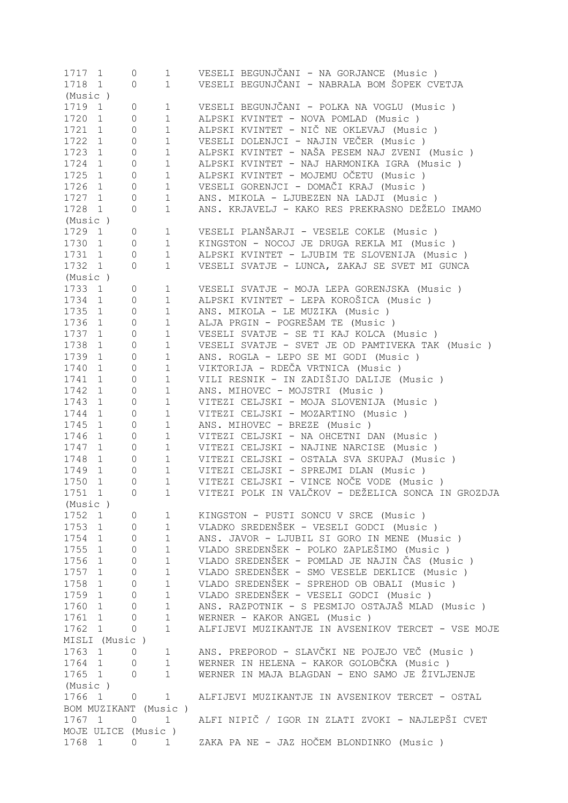| 1717 1  |                      | 0                   | 1              | VESELI BEGUNJČANI - NA GORJANCE (Music)            |
|---------|----------------------|---------------------|----------------|----------------------------------------------------|
| 1718 1  |                      | 0                   | 1              | VESELI BEGUNJČANI - NABRALA BOM ŠOPEK CVETJA       |
| (Music) |                      |                     |                |                                                    |
| 1719 1  |                      | 0                   | $\mathbf 1$    | VESELI BEGUNJČANI - POLKA NA VOGLU (Music )        |
| 1720 1  |                      | 0                   | $\mathbf 1$    | ALPSKI KVINTET - NOVA POMLAD (Music)               |
| 1721 1  |                      | 0                   | $\mathbf{1}$   | ALPSKI KVINTET - NIČ NE OKLEVAJ (Music)            |
| 1722 1  |                      | 0                   | $\mathbf 1$    | VESELI DOLENJCI - NAJIN VEČER (Music )             |
| 1723 1  |                      | 0                   | $\mathbf 1$    | ALPSKI KVINTET - NAŠA PESEM NAJ ZVENI (Music )     |
| 1724 1  |                      | 0                   | $\mathbf 1$    | ALPSKI KVINTET - NAJ HARMONIKA IGRA (Music )       |
| 1725 1  |                      | 0                   | $\mathbf 1$    | ALPSKI KVINTET - MOJEMU OČETU (Music)              |
| 1726 1  |                      | 0                   | $\mathbf 1$    | VESELI GORENJCI - DOMAČI KRAJ (Music )             |
| 1727 1  |                      | $\circ$             | $\mathbf 1$    | ANS. MIKOLA - LJUBEZEN NA LADJI (Music)            |
| 1728 1  |                      | $\circ$             | $\mathbf 1$    | ANS. KRJAVELJ - KAKO RES PREKRASNO DEŽELO IMAMO    |
| (Music) |                      |                     |                |                                                    |
|         |                      |                     |                |                                                    |
| 1729 1  |                      | 0                   | 1              | VESELI PLANŠARJI - VESELE COKLE (Music )           |
| 1730 1  |                      | $\circ$             | $\mathbf{1}$   | KINGSTON - NOCOJ JE DRUGA REKLA MI (Music)         |
| 1731 1  |                      | $\circ$             | $\mathbf 1$    | ALPSKI KVINTET - LJUBIM TE SLOVENIJA (Music)       |
| 1732 1  |                      | 0                   | $\mathbf 1$    | VESELI SVATJE - LUNCA, ZAKAJ SE SVET MI GUNCA      |
| (Music) |                      |                     |                |                                                    |
| 1733 1  |                      | 0                   | 1              | VESELI SVATJE - MOJA LEPA GORENJSKA (Music)        |
| 1734 1  |                      | $\circ$             | $\mathbf 1$    | ALPSKI KVINTET - LEPA KOROŠICA (Music )            |
| 1735 1  |                      | $\circ$             | $\mathbf 1$    | ANS. MIKOLA - LE MUZIKA (Music)                    |
| 1736 1  |                      | $\circ$             | $\mathbf{1}$   | ALJA PRGIN - POGREŠAM TE (Music)                   |
| 1737 1  |                      | $\circ$             | $\mathbf{1}$   | VESELI SVATJE - SE TI KAJ KOLCA (Music)            |
| 1738 1  |                      | $\mathsf{O}\xspace$ | $\mathbf 1$    | VESELI SVATJE - SVET JE OD PAMTIVEKA TAK (Music)   |
| 1739 1  |                      | $\circ$             | $\mathbf{1}$   | ANS. ROGLA - LEPO SE MI GODI (Music)               |
| 1740 1  |                      | $\circ$             | $\mathbf{1}$   | VIKTORIJA - RDEČA VRTNICA (Music)                  |
| 1741 1  |                      | $\circ$             | $\mathbf{1}$   | VILI RESNIK - IN ZADIŠIJO DALIJE (Music )          |
| 1742 1  |                      | $\circ$             | $\mathbf{1}$   | ANS. MIHOVEC - MOJSTRI (Music)                     |
| 1743 1  |                      | 0                   | $\mathbf 1$    | VITEZI CELJSKI - MOJA SLOVENIJA (Music)            |
| 1744 1  |                      | $\mathsf{O}$        | $\mathbf 1$    | VITEZI CELJSKI - MOZARTINO (Music )                |
| 1745 1  |                      | $\mathsf{O}$        | $\mathbf 1$    | ANS. MIHOVEC - BREZE (Music)                       |
|         |                      |                     |                |                                                    |
| 1746 1  |                      | 0                   | $\mathbf 1$    | VITEZI CELJSKI - NA OHCETNI DAN (Music)            |
| 1747    | 1                    | 0                   | $\mathbf 1$    | VITEZI CELJSKI - NAJINE NARCISE (Music)            |
| 1748    | 1                    | 0                   | $\mathbf 1$    | VITEZI CELJSKI - OSTALA SVA SKUPAJ (Music)         |
| 1749    | 1                    | 0                   | $\mathbf 1$    | VITEZI CELJSKI - SPREJMI DLAN (Music)              |
| 1750    | $\mathbf{1}$         | $\circ$             | $\mathbf{1}$   | VITEZI CELJSKI - VINCE NOČE VODE (Music)           |
| 1751    | 1                    | 0                   | 1              | VITEZI POLK IN VALČKOV - DEŽELICA SONCA IN GROZDJA |
| (Music) |                      |                     |                |                                                    |
| 1752 1  |                      | 0                   | $\mathbf{1}$   | KINGSTON - PUSTI SONCU V SRCE (Music)              |
| 1753 1  |                      | $\Omega$            | $\mathbf{1}$   | VLADKO SREDENŠEK - VESELI GODCI (Music)            |
| 1754 1  |                      | $\Omega$            | $\mathbf{1}$   | ANS. JAVOR - LJUBIL SI GORO IN MENE (Music)        |
| 1755 1  |                      | $\Omega$            | $\mathbf{1}$   | VLADO SREDENŠEK - POLKO ZAPLEŠIMO (Music)          |
| 1756 1  |                      | $\Omega$            | $\mathbf{1}$   | VLADO SREDENŠEK - POMLAD JE NAJIN ČAS (Music)      |
| 1757 1  |                      | $\Omega$            | $\mathbf{1}$   | VLADO SREDENŠEK - SMO VESELE DEKLICE (Music)       |
| 1758 1  |                      | $\Omega$            | $\mathbf{1}$   | VLADO SREDENŠEK - SPREHOD OB OBALI (Music )        |
| 1759 1  |                      | $\Omega$            | $\mathbf{1}$   | VLADO SREDENŠEK - VESELI GODCI (Music)             |
| 1760 1  |                      | $\Omega$            | $\mathbf{1}$   | ANS. RAZPOTNIK - S PESMIJO OSTAJAŠ MLAD (Music)    |
| 1761 1  |                      | 0                   | $\mathbf{1}$   | WERNER - KAKOR ANGEL (Music)                       |
| 1762 1  |                      | 0                   | $\mathbf{1}$   | ALFIJEVI MUZIKANTJE IN AVSENIKOV TERCET - VSE MOJE |
|         |                      |                     |                |                                                    |
|         | MISLI (Music)        |                     |                |                                                    |
| 1763 1  |                      | $\overline{0}$      | 1              | ANS. PREPOROD - SLAVČKI NE POJEJO VEČ (Music )     |
| 1764 1  |                      | 0                   | $\mathbf 1$    | WERNER IN HELENA - KAKOR GOLOBČKA (Music)          |
| 1765 1  |                      | 0                   | $\mathbf 1$    | WERNER IN MAJA BLAGDAN - ENO SAMO JE ŽIVLJENJE     |
| (Music) |                      |                     |                |                                                    |
| 1766 1  |                      | 0                   | 1              | ALFIJEVI MUZIKANTJE IN AVSENIKOV TERCET - OSTAL    |
|         | BOM MUZIKANT (Music) |                     |                |                                                    |
| 1767 1  |                      | $\circ$             | $1 \quad \Box$ | ALFI NIPIČ / IGOR IN ZLATI ZVOKI - NAJLEPŠI CVET   |
|         | MOJE ULICE (Music)   |                     |                |                                                    |
| 1768 1  |                      | $\circ$             |                | 1 – ZAKA PA NE – JAZ HOČEM BLONDINKO (Music )      |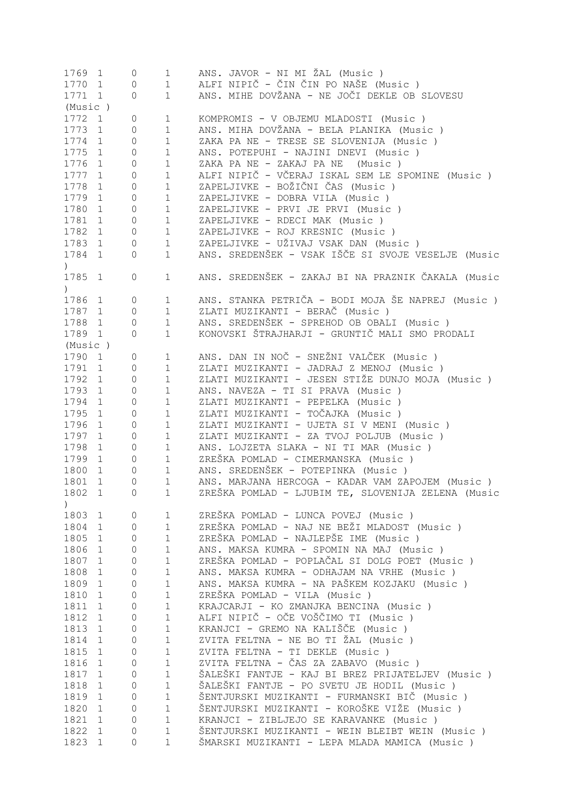| 1770 1<br>$\mathbf{1}$<br>0<br>ANS. MIHE DOVŽANA - NE JOČI DEKLE OB SLOVESU<br>1771 1<br>$\mathbf 1$<br>0<br>(Music )<br>1772 1<br>KOMPROMIS - V OBJEMU MLADOSTI (Music)<br>0<br>$\mathbf{1}$<br>ANS. MIHA DOVŽANA - BELA PLANIKA (Music )<br>1773 1<br>$\mathbf 1$<br>0<br>ZAKA PA NE - TRESE SE SLOVENIJA (Music)<br>1774 1<br>0<br>$\mathbf{1}$<br>ANS. POTEPUHI - NAJINI DNEVI (Music)<br>1775 1<br>0<br>$\mathbf{1}$<br>ZAKA PA NE - ZAKAJ PA NE (Music)<br>1776 1<br>0<br>$\mathbf{1}$<br>ALFI NIPIČ - VČERAJ ISKAL SEM LE SPOMINE (Music)<br>1777 1<br>$1\,$<br>0<br>ZAPELJIVKE - BOŽIČNI ČAS (Music )<br>1778<br>0<br>$\mathbf 1$<br>1<br>ZAPELJIVKE - DOBRA VILA (Music)<br>1779 1<br>0<br>$\mathbf{1}$<br>ZAPELJIVKE - PRVI JE PRVI (Music)<br>1780<br>0<br>$\mathbf{1}$<br>1<br>ZAPELJIVKE - RDECI MAK (Music)<br>1781<br>$\circ$<br>$\mathbf{1}$<br>$\mathbf{1}$<br>ZAPELJIVKE - ROJ KRESNIC (Music)<br>1782<br>$\mathbf{1}$<br>$\circ$<br>$\mathbf 1$<br>ZAPELJIVKE - UŽIVAJ VSAK DAN (Music)<br>1783 1<br>$\mathbf{1}$<br>$\circ$<br>ANS. SREDENŠEK - VSAK IŠČE SI SVOJE VESELJE (Music<br>1784 1<br>$\mathbf 1$<br>0<br>$\left( \right)$<br>ANS. SREDENŠEK - ZAKAJ BI NA PRAZNIK ČAKALA (Music<br>1785 1<br>$\mathbf 1$<br>0<br>$\left( \right)$<br>ANS. STANKA PETRIČA - BODI MOJA ŠE NAPREJ (Music)<br>1786 1<br>0<br>$\mathbf{1}$<br>ZLATI MUZIKANTI - BERAČ (Music)<br>1787 1<br>$\mathbf 1$<br>$\circ$<br>ANS. SREDENŠEK - SPREHOD OB OBALI (Music)<br>1788 1<br>0<br>$\mathbf{1}$<br>KONOVSKI ŠTRAJHARJI - GRUNTIČ MALI SMO PRODALI<br>1789 1<br>$\mathbf 1$<br>$\circ$<br>(Music)<br>ANS. DAN IN NOČ - SNEŽNI VALČEK (Music )<br>1790 1<br>0<br>$\mathbf{1}$<br>1791 1<br>ZLATI MUZIKANTI - JADRAJ Z MENOJ (Music)<br>0<br>$\mathbf{1}$<br>ZLATI MUZIKANTI - JESEN STIŽE DUNJO MOJA (Music)<br>1792 1<br>$\mathbf 1$<br>0<br>1793 1<br>$\mathbf 1$<br>ANS. NAVEZA - TI SI PRAVA (Music)<br>0<br>1794 1<br>$\mathbf 1$<br>0<br>ZLATI MUZIKANTI - PEPELKA (Music)<br>ZLATI MUZIKANTI - TOČAJKA (Music )<br>1795 1<br>$1\,$<br>0<br>ZLATI MUZIKANTI - UJETA SI V MENI (Music )<br>1796 1<br>$\mathbf 1$<br>0<br>ZLATI MUZIKANTI - ZA TVOJ POLJUB (Music)<br>1797 1<br>$\mathbf 1$<br>0<br>1798 1<br>ANS. LOJZETA SLAKA - NI TI MAR (Music)<br>0<br>$\mathbf{1}$<br>1799 1<br>$\mathbf 1$<br>ZREŠKA POMLAD - CIMERMANSKA (Music )<br>0<br>ANS. SREDENŠEK - POTEPINKA (Music )<br>1800<br>$\mathbf 1$<br>$\mathbf{1}$<br>0<br>1801<br>$\mathbf{1}$<br>ANS. MARJANA HERCOGA - KADAR VAM ZAPOJEM (Music)<br>$\mathbf{1}$<br>0<br>ZREŠKA POMLAD - LJUBIM TE, SLOVENIJA ZELENA (Music<br>1802<br>1<br>1<br>0<br>$\mathcal{E}$<br>1803<br>ZREŠKA POMLAD - LUNCA POVEJ (Music )<br>$\mathbf{1}$<br>1<br>0<br>ZREŠKA POMLAD - NAJ NE BEŽI MLADOST (Music)<br>$\mathbf{1}$<br>1804<br>$\mathbf{1}$<br>0<br>ZREŠKA POMLAD - NAJLEPŠE IME (Music )<br>1805<br>1<br>1<br>0<br>1806<br>ANS. MAKSA KUMRA - SPOMIN NA MAJ (Music)<br>1<br>1<br>0<br>ZREŠKA POMLAD - POPLAČAL SI DOLG POET (Music )<br>1807<br>$\mathbf{1}$<br>1<br>0<br>1808<br>ANS. MAKSA KUMRA - ODHAJAM NA VRHE (Music)<br>1<br>$\mathbf 1$<br>0<br>ANS. MAKSA KUMRA - NA PAŠKEM KOZJAKU (Music)<br>1809<br>1<br>$\mathbf 1$<br>0<br>ZREŠKA POMLAD - VILA (Music)<br>1810<br>1<br>1<br>0<br>KRAJCARJI - KO ZMANJKA BENCINA (Music)<br>1811<br>$\mathbf 1$<br>$\mathbf{1}$<br>0<br>ALFI NIPIČ - OČE VOŠČIMO TI (Music )<br>1812<br>1<br>$\mathbf{1}$<br>0<br>KRANJCI - GREMO NA KALIŠČE (Music )<br>1813<br>1<br>$\mathbf{1}$<br>0<br>ZVITA FELTNA - NE BO TI ŽAL (Music )<br>1814<br>$\mathbf{1}$<br>$\mathbf{1}$<br>0<br>1815<br>1<br>ZVITA FELTNA - TI DEKLE (Music)<br>$\mathbf{1}$<br>0<br>ZVITA FELTNA - ČAS ZA ZABAVO (Music )<br>1816<br>1<br>$\mathbf 1$<br>0<br>ŠALEŠKI FANTJE - KAJ BI BREZ PRIJATELJEV (Music )<br>1817<br>1<br>$\mathbf 1$<br>0<br>ŠALEŠKI FANTJE - PO SVETU JE HODIL (Music )<br>1818<br>1<br>$\mathbf 1$<br>0<br>ŠENTJURSKI MUZIKANTI - FURMANSKI BIČ (Music )<br>1819<br>1<br>$\mathbf 1$<br>0<br>ŠENTJURSKI MUZIKANTI - KOROŠKE VIŽE (Music )<br>1820<br>1<br>$\mathbf 1$<br>0<br>1821<br>$1\,$<br>KRANJCI - ZIBLJEJO SE KARAVANKE (Music)<br>$\mathbf 1$<br>0<br>1822<br>1<br>ŠENTJURSKI MUZIKANTI - WEIN BLEIBT WEIN (Music)<br>$\mathbf 1$<br>0<br>1823<br>ŠMARSKI MUZIKANTI - LEPA MLADA MAMICA (Music)<br>$\mathbf 1$<br>1<br>0 | 1769 1 | 0 | $\mathbf{1}$ | ANS. JAVOR - NI MI ŽAL (Music)        |
|--------------------------------------------------------------------------------------------------------------------------------------------------------------------------------------------------------------------------------------------------------------------------------------------------------------------------------------------------------------------------------------------------------------------------------------------------------------------------------------------------------------------------------------------------------------------------------------------------------------------------------------------------------------------------------------------------------------------------------------------------------------------------------------------------------------------------------------------------------------------------------------------------------------------------------------------------------------------------------------------------------------------------------------------------------------------------------------------------------------------------------------------------------------------------------------------------------------------------------------------------------------------------------------------------------------------------------------------------------------------------------------------------------------------------------------------------------------------------------------------------------------------------------------------------------------------------------------------------------------------------------------------------------------------------------------------------------------------------------------------------------------------------------------------------------------------------------------------------------------------------------------------------------------------------------------------------------------------------------------------------------------------------------------------------------------------------------------------------------------------------------------------------------------------------------------------------------------------------------------------------------------------------------------------------------------------------------------------------------------------------------------------------------------------------------------------------------------------------------------------------------------------------------------------------------------------------------------------------------------------------------------------------------------------------------------------------------------------------------------------------------------------------------------------------------------------------------------------------------------------------------------------------------------------------------------------------------------------------------------------------------------------------------------------------------------------------------------------------------------------------------------------------------------------------------------------------------------------------------------------------------------------------------------------------------------------------------------------------------------------------------------------------------------------------------------------------------------------------------------------------------------------------------------------------------------------------------------------------------------------------------------------------------------------------------------------------------------------------------------------------------------------------------------------------------------------------------------------------------------------------------------------------------------------------------------------------------------------------------------------------------------------------------------------------------------------------------------------------------------------------------------------------------------------------------------------------------------------------------------------------------------------------------------------------------------------------------------------|--------|---|--------------|---------------------------------------|
|                                                                                                                                                                                                                                                                                                                                                                                                                                                                                                                                                                                                                                                                                                                                                                                                                                                                                                                                                                                                                                                                                                                                                                                                                                                                                                                                                                                                                                                                                                                                                                                                                                                                                                                                                                                                                                                                                                                                                                                                                                                                                                                                                                                                                                                                                                                                                                                                                                                                                                                                                                                                                                                                                                                                                                                                                                                                                                                                                                                                                                                                                                                                                                                                                                                                                                                                                                                                                                                                                                                                                                                                                                                                                                                                                                                                                                                                                                                                                                                                                                                                                                                                                                                                                                                                                                                                            |        |   |              | ALFI NIPIČ - ČIN ČIN PO NAŠE (Music ) |
|                                                                                                                                                                                                                                                                                                                                                                                                                                                                                                                                                                                                                                                                                                                                                                                                                                                                                                                                                                                                                                                                                                                                                                                                                                                                                                                                                                                                                                                                                                                                                                                                                                                                                                                                                                                                                                                                                                                                                                                                                                                                                                                                                                                                                                                                                                                                                                                                                                                                                                                                                                                                                                                                                                                                                                                                                                                                                                                                                                                                                                                                                                                                                                                                                                                                                                                                                                                                                                                                                                                                                                                                                                                                                                                                                                                                                                                                                                                                                                                                                                                                                                                                                                                                                                                                                                                                            |        |   |              |                                       |
|                                                                                                                                                                                                                                                                                                                                                                                                                                                                                                                                                                                                                                                                                                                                                                                                                                                                                                                                                                                                                                                                                                                                                                                                                                                                                                                                                                                                                                                                                                                                                                                                                                                                                                                                                                                                                                                                                                                                                                                                                                                                                                                                                                                                                                                                                                                                                                                                                                                                                                                                                                                                                                                                                                                                                                                                                                                                                                                                                                                                                                                                                                                                                                                                                                                                                                                                                                                                                                                                                                                                                                                                                                                                                                                                                                                                                                                                                                                                                                                                                                                                                                                                                                                                                                                                                                                                            |        |   |              |                                       |
|                                                                                                                                                                                                                                                                                                                                                                                                                                                                                                                                                                                                                                                                                                                                                                                                                                                                                                                                                                                                                                                                                                                                                                                                                                                                                                                                                                                                                                                                                                                                                                                                                                                                                                                                                                                                                                                                                                                                                                                                                                                                                                                                                                                                                                                                                                                                                                                                                                                                                                                                                                                                                                                                                                                                                                                                                                                                                                                                                                                                                                                                                                                                                                                                                                                                                                                                                                                                                                                                                                                                                                                                                                                                                                                                                                                                                                                                                                                                                                                                                                                                                                                                                                                                                                                                                                                                            |        |   |              |                                       |
|                                                                                                                                                                                                                                                                                                                                                                                                                                                                                                                                                                                                                                                                                                                                                                                                                                                                                                                                                                                                                                                                                                                                                                                                                                                                                                                                                                                                                                                                                                                                                                                                                                                                                                                                                                                                                                                                                                                                                                                                                                                                                                                                                                                                                                                                                                                                                                                                                                                                                                                                                                                                                                                                                                                                                                                                                                                                                                                                                                                                                                                                                                                                                                                                                                                                                                                                                                                                                                                                                                                                                                                                                                                                                                                                                                                                                                                                                                                                                                                                                                                                                                                                                                                                                                                                                                                                            |        |   |              |                                       |
|                                                                                                                                                                                                                                                                                                                                                                                                                                                                                                                                                                                                                                                                                                                                                                                                                                                                                                                                                                                                                                                                                                                                                                                                                                                                                                                                                                                                                                                                                                                                                                                                                                                                                                                                                                                                                                                                                                                                                                                                                                                                                                                                                                                                                                                                                                                                                                                                                                                                                                                                                                                                                                                                                                                                                                                                                                                                                                                                                                                                                                                                                                                                                                                                                                                                                                                                                                                                                                                                                                                                                                                                                                                                                                                                                                                                                                                                                                                                                                                                                                                                                                                                                                                                                                                                                                                                            |        |   |              |                                       |
|                                                                                                                                                                                                                                                                                                                                                                                                                                                                                                                                                                                                                                                                                                                                                                                                                                                                                                                                                                                                                                                                                                                                                                                                                                                                                                                                                                                                                                                                                                                                                                                                                                                                                                                                                                                                                                                                                                                                                                                                                                                                                                                                                                                                                                                                                                                                                                                                                                                                                                                                                                                                                                                                                                                                                                                                                                                                                                                                                                                                                                                                                                                                                                                                                                                                                                                                                                                                                                                                                                                                                                                                                                                                                                                                                                                                                                                                                                                                                                                                                                                                                                                                                                                                                                                                                                                                            |        |   |              |                                       |
|                                                                                                                                                                                                                                                                                                                                                                                                                                                                                                                                                                                                                                                                                                                                                                                                                                                                                                                                                                                                                                                                                                                                                                                                                                                                                                                                                                                                                                                                                                                                                                                                                                                                                                                                                                                                                                                                                                                                                                                                                                                                                                                                                                                                                                                                                                                                                                                                                                                                                                                                                                                                                                                                                                                                                                                                                                                                                                                                                                                                                                                                                                                                                                                                                                                                                                                                                                                                                                                                                                                                                                                                                                                                                                                                                                                                                                                                                                                                                                                                                                                                                                                                                                                                                                                                                                                                            |        |   |              |                                       |
|                                                                                                                                                                                                                                                                                                                                                                                                                                                                                                                                                                                                                                                                                                                                                                                                                                                                                                                                                                                                                                                                                                                                                                                                                                                                                                                                                                                                                                                                                                                                                                                                                                                                                                                                                                                                                                                                                                                                                                                                                                                                                                                                                                                                                                                                                                                                                                                                                                                                                                                                                                                                                                                                                                                                                                                                                                                                                                                                                                                                                                                                                                                                                                                                                                                                                                                                                                                                                                                                                                                                                                                                                                                                                                                                                                                                                                                                                                                                                                                                                                                                                                                                                                                                                                                                                                                                            |        |   |              |                                       |
|                                                                                                                                                                                                                                                                                                                                                                                                                                                                                                                                                                                                                                                                                                                                                                                                                                                                                                                                                                                                                                                                                                                                                                                                                                                                                                                                                                                                                                                                                                                                                                                                                                                                                                                                                                                                                                                                                                                                                                                                                                                                                                                                                                                                                                                                                                                                                                                                                                                                                                                                                                                                                                                                                                                                                                                                                                                                                                                                                                                                                                                                                                                                                                                                                                                                                                                                                                                                                                                                                                                                                                                                                                                                                                                                                                                                                                                                                                                                                                                                                                                                                                                                                                                                                                                                                                                                            |        |   |              |                                       |
|                                                                                                                                                                                                                                                                                                                                                                                                                                                                                                                                                                                                                                                                                                                                                                                                                                                                                                                                                                                                                                                                                                                                                                                                                                                                                                                                                                                                                                                                                                                                                                                                                                                                                                                                                                                                                                                                                                                                                                                                                                                                                                                                                                                                                                                                                                                                                                                                                                                                                                                                                                                                                                                                                                                                                                                                                                                                                                                                                                                                                                                                                                                                                                                                                                                                                                                                                                                                                                                                                                                                                                                                                                                                                                                                                                                                                                                                                                                                                                                                                                                                                                                                                                                                                                                                                                                                            |        |   |              |                                       |
|                                                                                                                                                                                                                                                                                                                                                                                                                                                                                                                                                                                                                                                                                                                                                                                                                                                                                                                                                                                                                                                                                                                                                                                                                                                                                                                                                                                                                                                                                                                                                                                                                                                                                                                                                                                                                                                                                                                                                                                                                                                                                                                                                                                                                                                                                                                                                                                                                                                                                                                                                                                                                                                                                                                                                                                                                                                                                                                                                                                                                                                                                                                                                                                                                                                                                                                                                                                                                                                                                                                                                                                                                                                                                                                                                                                                                                                                                                                                                                                                                                                                                                                                                                                                                                                                                                                                            |        |   |              |                                       |
|                                                                                                                                                                                                                                                                                                                                                                                                                                                                                                                                                                                                                                                                                                                                                                                                                                                                                                                                                                                                                                                                                                                                                                                                                                                                                                                                                                                                                                                                                                                                                                                                                                                                                                                                                                                                                                                                                                                                                                                                                                                                                                                                                                                                                                                                                                                                                                                                                                                                                                                                                                                                                                                                                                                                                                                                                                                                                                                                                                                                                                                                                                                                                                                                                                                                                                                                                                                                                                                                                                                                                                                                                                                                                                                                                                                                                                                                                                                                                                                                                                                                                                                                                                                                                                                                                                                                            |        |   |              |                                       |
|                                                                                                                                                                                                                                                                                                                                                                                                                                                                                                                                                                                                                                                                                                                                                                                                                                                                                                                                                                                                                                                                                                                                                                                                                                                                                                                                                                                                                                                                                                                                                                                                                                                                                                                                                                                                                                                                                                                                                                                                                                                                                                                                                                                                                                                                                                                                                                                                                                                                                                                                                                                                                                                                                                                                                                                                                                                                                                                                                                                                                                                                                                                                                                                                                                                                                                                                                                                                                                                                                                                                                                                                                                                                                                                                                                                                                                                                                                                                                                                                                                                                                                                                                                                                                                                                                                                                            |        |   |              |                                       |
|                                                                                                                                                                                                                                                                                                                                                                                                                                                                                                                                                                                                                                                                                                                                                                                                                                                                                                                                                                                                                                                                                                                                                                                                                                                                                                                                                                                                                                                                                                                                                                                                                                                                                                                                                                                                                                                                                                                                                                                                                                                                                                                                                                                                                                                                                                                                                                                                                                                                                                                                                                                                                                                                                                                                                                                                                                                                                                                                                                                                                                                                                                                                                                                                                                                                                                                                                                                                                                                                                                                                                                                                                                                                                                                                                                                                                                                                                                                                                                                                                                                                                                                                                                                                                                                                                                                                            |        |   |              |                                       |
|                                                                                                                                                                                                                                                                                                                                                                                                                                                                                                                                                                                                                                                                                                                                                                                                                                                                                                                                                                                                                                                                                                                                                                                                                                                                                                                                                                                                                                                                                                                                                                                                                                                                                                                                                                                                                                                                                                                                                                                                                                                                                                                                                                                                                                                                                                                                                                                                                                                                                                                                                                                                                                                                                                                                                                                                                                                                                                                                                                                                                                                                                                                                                                                                                                                                                                                                                                                                                                                                                                                                                                                                                                                                                                                                                                                                                                                                                                                                                                                                                                                                                                                                                                                                                                                                                                                                            |        |   |              |                                       |
|                                                                                                                                                                                                                                                                                                                                                                                                                                                                                                                                                                                                                                                                                                                                                                                                                                                                                                                                                                                                                                                                                                                                                                                                                                                                                                                                                                                                                                                                                                                                                                                                                                                                                                                                                                                                                                                                                                                                                                                                                                                                                                                                                                                                                                                                                                                                                                                                                                                                                                                                                                                                                                                                                                                                                                                                                                                                                                                                                                                                                                                                                                                                                                                                                                                                                                                                                                                                                                                                                                                                                                                                                                                                                                                                                                                                                                                                                                                                                                                                                                                                                                                                                                                                                                                                                                                                            |        |   |              |                                       |
|                                                                                                                                                                                                                                                                                                                                                                                                                                                                                                                                                                                                                                                                                                                                                                                                                                                                                                                                                                                                                                                                                                                                                                                                                                                                                                                                                                                                                                                                                                                                                                                                                                                                                                                                                                                                                                                                                                                                                                                                                                                                                                                                                                                                                                                                                                                                                                                                                                                                                                                                                                                                                                                                                                                                                                                                                                                                                                                                                                                                                                                                                                                                                                                                                                                                                                                                                                                                                                                                                                                                                                                                                                                                                                                                                                                                                                                                                                                                                                                                                                                                                                                                                                                                                                                                                                                                            |        |   |              |                                       |
|                                                                                                                                                                                                                                                                                                                                                                                                                                                                                                                                                                                                                                                                                                                                                                                                                                                                                                                                                                                                                                                                                                                                                                                                                                                                                                                                                                                                                                                                                                                                                                                                                                                                                                                                                                                                                                                                                                                                                                                                                                                                                                                                                                                                                                                                                                                                                                                                                                                                                                                                                                                                                                                                                                                                                                                                                                                                                                                                                                                                                                                                                                                                                                                                                                                                                                                                                                                                                                                                                                                                                                                                                                                                                                                                                                                                                                                                                                                                                                                                                                                                                                                                                                                                                                                                                                                                            |        |   |              |                                       |
|                                                                                                                                                                                                                                                                                                                                                                                                                                                                                                                                                                                                                                                                                                                                                                                                                                                                                                                                                                                                                                                                                                                                                                                                                                                                                                                                                                                                                                                                                                                                                                                                                                                                                                                                                                                                                                                                                                                                                                                                                                                                                                                                                                                                                                                                                                                                                                                                                                                                                                                                                                                                                                                                                                                                                                                                                                                                                                                                                                                                                                                                                                                                                                                                                                                                                                                                                                                                                                                                                                                                                                                                                                                                                                                                                                                                                                                                                                                                                                                                                                                                                                                                                                                                                                                                                                                                            |        |   |              |                                       |
|                                                                                                                                                                                                                                                                                                                                                                                                                                                                                                                                                                                                                                                                                                                                                                                                                                                                                                                                                                                                                                                                                                                                                                                                                                                                                                                                                                                                                                                                                                                                                                                                                                                                                                                                                                                                                                                                                                                                                                                                                                                                                                                                                                                                                                                                                                                                                                                                                                                                                                                                                                                                                                                                                                                                                                                                                                                                                                                                                                                                                                                                                                                                                                                                                                                                                                                                                                                                                                                                                                                                                                                                                                                                                                                                                                                                                                                                                                                                                                                                                                                                                                                                                                                                                                                                                                                                            |        |   |              |                                       |
|                                                                                                                                                                                                                                                                                                                                                                                                                                                                                                                                                                                                                                                                                                                                                                                                                                                                                                                                                                                                                                                                                                                                                                                                                                                                                                                                                                                                                                                                                                                                                                                                                                                                                                                                                                                                                                                                                                                                                                                                                                                                                                                                                                                                                                                                                                                                                                                                                                                                                                                                                                                                                                                                                                                                                                                                                                                                                                                                                                                                                                                                                                                                                                                                                                                                                                                                                                                                                                                                                                                                                                                                                                                                                                                                                                                                                                                                                                                                                                                                                                                                                                                                                                                                                                                                                                                                            |        |   |              |                                       |
|                                                                                                                                                                                                                                                                                                                                                                                                                                                                                                                                                                                                                                                                                                                                                                                                                                                                                                                                                                                                                                                                                                                                                                                                                                                                                                                                                                                                                                                                                                                                                                                                                                                                                                                                                                                                                                                                                                                                                                                                                                                                                                                                                                                                                                                                                                                                                                                                                                                                                                                                                                                                                                                                                                                                                                                                                                                                                                                                                                                                                                                                                                                                                                                                                                                                                                                                                                                                                                                                                                                                                                                                                                                                                                                                                                                                                                                                                                                                                                                                                                                                                                                                                                                                                                                                                                                                            |        |   |              |                                       |
|                                                                                                                                                                                                                                                                                                                                                                                                                                                                                                                                                                                                                                                                                                                                                                                                                                                                                                                                                                                                                                                                                                                                                                                                                                                                                                                                                                                                                                                                                                                                                                                                                                                                                                                                                                                                                                                                                                                                                                                                                                                                                                                                                                                                                                                                                                                                                                                                                                                                                                                                                                                                                                                                                                                                                                                                                                                                                                                                                                                                                                                                                                                                                                                                                                                                                                                                                                                                                                                                                                                                                                                                                                                                                                                                                                                                                                                                                                                                                                                                                                                                                                                                                                                                                                                                                                                                            |        |   |              |                                       |
|                                                                                                                                                                                                                                                                                                                                                                                                                                                                                                                                                                                                                                                                                                                                                                                                                                                                                                                                                                                                                                                                                                                                                                                                                                                                                                                                                                                                                                                                                                                                                                                                                                                                                                                                                                                                                                                                                                                                                                                                                                                                                                                                                                                                                                                                                                                                                                                                                                                                                                                                                                                                                                                                                                                                                                                                                                                                                                                                                                                                                                                                                                                                                                                                                                                                                                                                                                                                                                                                                                                                                                                                                                                                                                                                                                                                                                                                                                                                                                                                                                                                                                                                                                                                                                                                                                                                            |        |   |              |                                       |
|                                                                                                                                                                                                                                                                                                                                                                                                                                                                                                                                                                                                                                                                                                                                                                                                                                                                                                                                                                                                                                                                                                                                                                                                                                                                                                                                                                                                                                                                                                                                                                                                                                                                                                                                                                                                                                                                                                                                                                                                                                                                                                                                                                                                                                                                                                                                                                                                                                                                                                                                                                                                                                                                                                                                                                                                                                                                                                                                                                                                                                                                                                                                                                                                                                                                                                                                                                                                                                                                                                                                                                                                                                                                                                                                                                                                                                                                                                                                                                                                                                                                                                                                                                                                                                                                                                                                            |        |   |              |                                       |
|                                                                                                                                                                                                                                                                                                                                                                                                                                                                                                                                                                                                                                                                                                                                                                                                                                                                                                                                                                                                                                                                                                                                                                                                                                                                                                                                                                                                                                                                                                                                                                                                                                                                                                                                                                                                                                                                                                                                                                                                                                                                                                                                                                                                                                                                                                                                                                                                                                                                                                                                                                                                                                                                                                                                                                                                                                                                                                                                                                                                                                                                                                                                                                                                                                                                                                                                                                                                                                                                                                                                                                                                                                                                                                                                                                                                                                                                                                                                                                                                                                                                                                                                                                                                                                                                                                                                            |        |   |              |                                       |
|                                                                                                                                                                                                                                                                                                                                                                                                                                                                                                                                                                                                                                                                                                                                                                                                                                                                                                                                                                                                                                                                                                                                                                                                                                                                                                                                                                                                                                                                                                                                                                                                                                                                                                                                                                                                                                                                                                                                                                                                                                                                                                                                                                                                                                                                                                                                                                                                                                                                                                                                                                                                                                                                                                                                                                                                                                                                                                                                                                                                                                                                                                                                                                                                                                                                                                                                                                                                                                                                                                                                                                                                                                                                                                                                                                                                                                                                                                                                                                                                                                                                                                                                                                                                                                                                                                                                            |        |   |              |                                       |
|                                                                                                                                                                                                                                                                                                                                                                                                                                                                                                                                                                                                                                                                                                                                                                                                                                                                                                                                                                                                                                                                                                                                                                                                                                                                                                                                                                                                                                                                                                                                                                                                                                                                                                                                                                                                                                                                                                                                                                                                                                                                                                                                                                                                                                                                                                                                                                                                                                                                                                                                                                                                                                                                                                                                                                                                                                                                                                                                                                                                                                                                                                                                                                                                                                                                                                                                                                                                                                                                                                                                                                                                                                                                                                                                                                                                                                                                                                                                                                                                                                                                                                                                                                                                                                                                                                                                            |        |   |              |                                       |
|                                                                                                                                                                                                                                                                                                                                                                                                                                                                                                                                                                                                                                                                                                                                                                                                                                                                                                                                                                                                                                                                                                                                                                                                                                                                                                                                                                                                                                                                                                                                                                                                                                                                                                                                                                                                                                                                                                                                                                                                                                                                                                                                                                                                                                                                                                                                                                                                                                                                                                                                                                                                                                                                                                                                                                                                                                                                                                                                                                                                                                                                                                                                                                                                                                                                                                                                                                                                                                                                                                                                                                                                                                                                                                                                                                                                                                                                                                                                                                                                                                                                                                                                                                                                                                                                                                                                            |        |   |              |                                       |
|                                                                                                                                                                                                                                                                                                                                                                                                                                                                                                                                                                                                                                                                                                                                                                                                                                                                                                                                                                                                                                                                                                                                                                                                                                                                                                                                                                                                                                                                                                                                                                                                                                                                                                                                                                                                                                                                                                                                                                                                                                                                                                                                                                                                                                                                                                                                                                                                                                                                                                                                                                                                                                                                                                                                                                                                                                                                                                                                                                                                                                                                                                                                                                                                                                                                                                                                                                                                                                                                                                                                                                                                                                                                                                                                                                                                                                                                                                                                                                                                                                                                                                                                                                                                                                                                                                                                            |        |   |              |                                       |
|                                                                                                                                                                                                                                                                                                                                                                                                                                                                                                                                                                                                                                                                                                                                                                                                                                                                                                                                                                                                                                                                                                                                                                                                                                                                                                                                                                                                                                                                                                                                                                                                                                                                                                                                                                                                                                                                                                                                                                                                                                                                                                                                                                                                                                                                                                                                                                                                                                                                                                                                                                                                                                                                                                                                                                                                                                                                                                                                                                                                                                                                                                                                                                                                                                                                                                                                                                                                                                                                                                                                                                                                                                                                                                                                                                                                                                                                                                                                                                                                                                                                                                                                                                                                                                                                                                                                            |        |   |              |                                       |
|                                                                                                                                                                                                                                                                                                                                                                                                                                                                                                                                                                                                                                                                                                                                                                                                                                                                                                                                                                                                                                                                                                                                                                                                                                                                                                                                                                                                                                                                                                                                                                                                                                                                                                                                                                                                                                                                                                                                                                                                                                                                                                                                                                                                                                                                                                                                                                                                                                                                                                                                                                                                                                                                                                                                                                                                                                                                                                                                                                                                                                                                                                                                                                                                                                                                                                                                                                                                                                                                                                                                                                                                                                                                                                                                                                                                                                                                                                                                                                                                                                                                                                                                                                                                                                                                                                                                            |        |   |              |                                       |
|                                                                                                                                                                                                                                                                                                                                                                                                                                                                                                                                                                                                                                                                                                                                                                                                                                                                                                                                                                                                                                                                                                                                                                                                                                                                                                                                                                                                                                                                                                                                                                                                                                                                                                                                                                                                                                                                                                                                                                                                                                                                                                                                                                                                                                                                                                                                                                                                                                                                                                                                                                                                                                                                                                                                                                                                                                                                                                                                                                                                                                                                                                                                                                                                                                                                                                                                                                                                                                                                                                                                                                                                                                                                                                                                                                                                                                                                                                                                                                                                                                                                                                                                                                                                                                                                                                                                            |        |   |              |                                       |
|                                                                                                                                                                                                                                                                                                                                                                                                                                                                                                                                                                                                                                                                                                                                                                                                                                                                                                                                                                                                                                                                                                                                                                                                                                                                                                                                                                                                                                                                                                                                                                                                                                                                                                                                                                                                                                                                                                                                                                                                                                                                                                                                                                                                                                                                                                                                                                                                                                                                                                                                                                                                                                                                                                                                                                                                                                                                                                                                                                                                                                                                                                                                                                                                                                                                                                                                                                                                                                                                                                                                                                                                                                                                                                                                                                                                                                                                                                                                                                                                                                                                                                                                                                                                                                                                                                                                            |        |   |              |                                       |
|                                                                                                                                                                                                                                                                                                                                                                                                                                                                                                                                                                                                                                                                                                                                                                                                                                                                                                                                                                                                                                                                                                                                                                                                                                                                                                                                                                                                                                                                                                                                                                                                                                                                                                                                                                                                                                                                                                                                                                                                                                                                                                                                                                                                                                                                                                                                                                                                                                                                                                                                                                                                                                                                                                                                                                                                                                                                                                                                                                                                                                                                                                                                                                                                                                                                                                                                                                                                                                                                                                                                                                                                                                                                                                                                                                                                                                                                                                                                                                                                                                                                                                                                                                                                                                                                                                                                            |        |   |              |                                       |
|                                                                                                                                                                                                                                                                                                                                                                                                                                                                                                                                                                                                                                                                                                                                                                                                                                                                                                                                                                                                                                                                                                                                                                                                                                                                                                                                                                                                                                                                                                                                                                                                                                                                                                                                                                                                                                                                                                                                                                                                                                                                                                                                                                                                                                                                                                                                                                                                                                                                                                                                                                                                                                                                                                                                                                                                                                                                                                                                                                                                                                                                                                                                                                                                                                                                                                                                                                                                                                                                                                                                                                                                                                                                                                                                                                                                                                                                                                                                                                                                                                                                                                                                                                                                                                                                                                                                            |        |   |              |                                       |
|                                                                                                                                                                                                                                                                                                                                                                                                                                                                                                                                                                                                                                                                                                                                                                                                                                                                                                                                                                                                                                                                                                                                                                                                                                                                                                                                                                                                                                                                                                                                                                                                                                                                                                                                                                                                                                                                                                                                                                                                                                                                                                                                                                                                                                                                                                                                                                                                                                                                                                                                                                                                                                                                                                                                                                                                                                                                                                                                                                                                                                                                                                                                                                                                                                                                                                                                                                                                                                                                                                                                                                                                                                                                                                                                                                                                                                                                                                                                                                                                                                                                                                                                                                                                                                                                                                                                            |        |   |              |                                       |
|                                                                                                                                                                                                                                                                                                                                                                                                                                                                                                                                                                                                                                                                                                                                                                                                                                                                                                                                                                                                                                                                                                                                                                                                                                                                                                                                                                                                                                                                                                                                                                                                                                                                                                                                                                                                                                                                                                                                                                                                                                                                                                                                                                                                                                                                                                                                                                                                                                                                                                                                                                                                                                                                                                                                                                                                                                                                                                                                                                                                                                                                                                                                                                                                                                                                                                                                                                                                                                                                                                                                                                                                                                                                                                                                                                                                                                                                                                                                                                                                                                                                                                                                                                                                                                                                                                                                            |        |   |              |                                       |
|                                                                                                                                                                                                                                                                                                                                                                                                                                                                                                                                                                                                                                                                                                                                                                                                                                                                                                                                                                                                                                                                                                                                                                                                                                                                                                                                                                                                                                                                                                                                                                                                                                                                                                                                                                                                                                                                                                                                                                                                                                                                                                                                                                                                                                                                                                                                                                                                                                                                                                                                                                                                                                                                                                                                                                                                                                                                                                                                                                                                                                                                                                                                                                                                                                                                                                                                                                                                                                                                                                                                                                                                                                                                                                                                                                                                                                                                                                                                                                                                                                                                                                                                                                                                                                                                                                                                            |        |   |              |                                       |
|                                                                                                                                                                                                                                                                                                                                                                                                                                                                                                                                                                                                                                                                                                                                                                                                                                                                                                                                                                                                                                                                                                                                                                                                                                                                                                                                                                                                                                                                                                                                                                                                                                                                                                                                                                                                                                                                                                                                                                                                                                                                                                                                                                                                                                                                                                                                                                                                                                                                                                                                                                                                                                                                                                                                                                                                                                                                                                                                                                                                                                                                                                                                                                                                                                                                                                                                                                                                                                                                                                                                                                                                                                                                                                                                                                                                                                                                                                                                                                                                                                                                                                                                                                                                                                                                                                                                            |        |   |              |                                       |
|                                                                                                                                                                                                                                                                                                                                                                                                                                                                                                                                                                                                                                                                                                                                                                                                                                                                                                                                                                                                                                                                                                                                                                                                                                                                                                                                                                                                                                                                                                                                                                                                                                                                                                                                                                                                                                                                                                                                                                                                                                                                                                                                                                                                                                                                                                                                                                                                                                                                                                                                                                                                                                                                                                                                                                                                                                                                                                                                                                                                                                                                                                                                                                                                                                                                                                                                                                                                                                                                                                                                                                                                                                                                                                                                                                                                                                                                                                                                                                                                                                                                                                                                                                                                                                                                                                                                            |        |   |              |                                       |
|                                                                                                                                                                                                                                                                                                                                                                                                                                                                                                                                                                                                                                                                                                                                                                                                                                                                                                                                                                                                                                                                                                                                                                                                                                                                                                                                                                                                                                                                                                                                                                                                                                                                                                                                                                                                                                                                                                                                                                                                                                                                                                                                                                                                                                                                                                                                                                                                                                                                                                                                                                                                                                                                                                                                                                                                                                                                                                                                                                                                                                                                                                                                                                                                                                                                                                                                                                                                                                                                                                                                                                                                                                                                                                                                                                                                                                                                                                                                                                                                                                                                                                                                                                                                                                                                                                                                            |        |   |              |                                       |
|                                                                                                                                                                                                                                                                                                                                                                                                                                                                                                                                                                                                                                                                                                                                                                                                                                                                                                                                                                                                                                                                                                                                                                                                                                                                                                                                                                                                                                                                                                                                                                                                                                                                                                                                                                                                                                                                                                                                                                                                                                                                                                                                                                                                                                                                                                                                                                                                                                                                                                                                                                                                                                                                                                                                                                                                                                                                                                                                                                                                                                                                                                                                                                                                                                                                                                                                                                                                                                                                                                                                                                                                                                                                                                                                                                                                                                                                                                                                                                                                                                                                                                                                                                                                                                                                                                                                            |        |   |              |                                       |
|                                                                                                                                                                                                                                                                                                                                                                                                                                                                                                                                                                                                                                                                                                                                                                                                                                                                                                                                                                                                                                                                                                                                                                                                                                                                                                                                                                                                                                                                                                                                                                                                                                                                                                                                                                                                                                                                                                                                                                                                                                                                                                                                                                                                                                                                                                                                                                                                                                                                                                                                                                                                                                                                                                                                                                                                                                                                                                                                                                                                                                                                                                                                                                                                                                                                                                                                                                                                                                                                                                                                                                                                                                                                                                                                                                                                                                                                                                                                                                                                                                                                                                                                                                                                                                                                                                                                            |        |   |              |                                       |
|                                                                                                                                                                                                                                                                                                                                                                                                                                                                                                                                                                                                                                                                                                                                                                                                                                                                                                                                                                                                                                                                                                                                                                                                                                                                                                                                                                                                                                                                                                                                                                                                                                                                                                                                                                                                                                                                                                                                                                                                                                                                                                                                                                                                                                                                                                                                                                                                                                                                                                                                                                                                                                                                                                                                                                                                                                                                                                                                                                                                                                                                                                                                                                                                                                                                                                                                                                                                                                                                                                                                                                                                                                                                                                                                                                                                                                                                                                                                                                                                                                                                                                                                                                                                                                                                                                                                            |        |   |              |                                       |
|                                                                                                                                                                                                                                                                                                                                                                                                                                                                                                                                                                                                                                                                                                                                                                                                                                                                                                                                                                                                                                                                                                                                                                                                                                                                                                                                                                                                                                                                                                                                                                                                                                                                                                                                                                                                                                                                                                                                                                                                                                                                                                                                                                                                                                                                                                                                                                                                                                                                                                                                                                                                                                                                                                                                                                                                                                                                                                                                                                                                                                                                                                                                                                                                                                                                                                                                                                                                                                                                                                                                                                                                                                                                                                                                                                                                                                                                                                                                                                                                                                                                                                                                                                                                                                                                                                                                            |        |   |              |                                       |
|                                                                                                                                                                                                                                                                                                                                                                                                                                                                                                                                                                                                                                                                                                                                                                                                                                                                                                                                                                                                                                                                                                                                                                                                                                                                                                                                                                                                                                                                                                                                                                                                                                                                                                                                                                                                                                                                                                                                                                                                                                                                                                                                                                                                                                                                                                                                                                                                                                                                                                                                                                                                                                                                                                                                                                                                                                                                                                                                                                                                                                                                                                                                                                                                                                                                                                                                                                                                                                                                                                                                                                                                                                                                                                                                                                                                                                                                                                                                                                                                                                                                                                                                                                                                                                                                                                                                            |        |   |              |                                       |
|                                                                                                                                                                                                                                                                                                                                                                                                                                                                                                                                                                                                                                                                                                                                                                                                                                                                                                                                                                                                                                                                                                                                                                                                                                                                                                                                                                                                                                                                                                                                                                                                                                                                                                                                                                                                                                                                                                                                                                                                                                                                                                                                                                                                                                                                                                                                                                                                                                                                                                                                                                                                                                                                                                                                                                                                                                                                                                                                                                                                                                                                                                                                                                                                                                                                                                                                                                                                                                                                                                                                                                                                                                                                                                                                                                                                                                                                                                                                                                                                                                                                                                                                                                                                                                                                                                                                            |        |   |              |                                       |
|                                                                                                                                                                                                                                                                                                                                                                                                                                                                                                                                                                                                                                                                                                                                                                                                                                                                                                                                                                                                                                                                                                                                                                                                                                                                                                                                                                                                                                                                                                                                                                                                                                                                                                                                                                                                                                                                                                                                                                                                                                                                                                                                                                                                                                                                                                                                                                                                                                                                                                                                                                                                                                                                                                                                                                                                                                                                                                                                                                                                                                                                                                                                                                                                                                                                                                                                                                                                                                                                                                                                                                                                                                                                                                                                                                                                                                                                                                                                                                                                                                                                                                                                                                                                                                                                                                                                            |        |   |              |                                       |
|                                                                                                                                                                                                                                                                                                                                                                                                                                                                                                                                                                                                                                                                                                                                                                                                                                                                                                                                                                                                                                                                                                                                                                                                                                                                                                                                                                                                                                                                                                                                                                                                                                                                                                                                                                                                                                                                                                                                                                                                                                                                                                                                                                                                                                                                                                                                                                                                                                                                                                                                                                                                                                                                                                                                                                                                                                                                                                                                                                                                                                                                                                                                                                                                                                                                                                                                                                                                                                                                                                                                                                                                                                                                                                                                                                                                                                                                                                                                                                                                                                                                                                                                                                                                                                                                                                                                            |        |   |              |                                       |
|                                                                                                                                                                                                                                                                                                                                                                                                                                                                                                                                                                                                                                                                                                                                                                                                                                                                                                                                                                                                                                                                                                                                                                                                                                                                                                                                                                                                                                                                                                                                                                                                                                                                                                                                                                                                                                                                                                                                                                                                                                                                                                                                                                                                                                                                                                                                                                                                                                                                                                                                                                                                                                                                                                                                                                                                                                                                                                                                                                                                                                                                                                                                                                                                                                                                                                                                                                                                                                                                                                                                                                                                                                                                                                                                                                                                                                                                                                                                                                                                                                                                                                                                                                                                                                                                                                                                            |        |   |              |                                       |
|                                                                                                                                                                                                                                                                                                                                                                                                                                                                                                                                                                                                                                                                                                                                                                                                                                                                                                                                                                                                                                                                                                                                                                                                                                                                                                                                                                                                                                                                                                                                                                                                                                                                                                                                                                                                                                                                                                                                                                                                                                                                                                                                                                                                                                                                                                                                                                                                                                                                                                                                                                                                                                                                                                                                                                                                                                                                                                                                                                                                                                                                                                                                                                                                                                                                                                                                                                                                                                                                                                                                                                                                                                                                                                                                                                                                                                                                                                                                                                                                                                                                                                                                                                                                                                                                                                                                            |        |   |              |                                       |
|                                                                                                                                                                                                                                                                                                                                                                                                                                                                                                                                                                                                                                                                                                                                                                                                                                                                                                                                                                                                                                                                                                                                                                                                                                                                                                                                                                                                                                                                                                                                                                                                                                                                                                                                                                                                                                                                                                                                                                                                                                                                                                                                                                                                                                                                                                                                                                                                                                                                                                                                                                                                                                                                                                                                                                                                                                                                                                                                                                                                                                                                                                                                                                                                                                                                                                                                                                                                                                                                                                                                                                                                                                                                                                                                                                                                                                                                                                                                                                                                                                                                                                                                                                                                                                                                                                                                            |        |   |              |                                       |
|                                                                                                                                                                                                                                                                                                                                                                                                                                                                                                                                                                                                                                                                                                                                                                                                                                                                                                                                                                                                                                                                                                                                                                                                                                                                                                                                                                                                                                                                                                                                                                                                                                                                                                                                                                                                                                                                                                                                                                                                                                                                                                                                                                                                                                                                                                                                                                                                                                                                                                                                                                                                                                                                                                                                                                                                                                                                                                                                                                                                                                                                                                                                                                                                                                                                                                                                                                                                                                                                                                                                                                                                                                                                                                                                                                                                                                                                                                                                                                                                                                                                                                                                                                                                                                                                                                                                            |        |   |              |                                       |
|                                                                                                                                                                                                                                                                                                                                                                                                                                                                                                                                                                                                                                                                                                                                                                                                                                                                                                                                                                                                                                                                                                                                                                                                                                                                                                                                                                                                                                                                                                                                                                                                                                                                                                                                                                                                                                                                                                                                                                                                                                                                                                                                                                                                                                                                                                                                                                                                                                                                                                                                                                                                                                                                                                                                                                                                                                                                                                                                                                                                                                                                                                                                                                                                                                                                                                                                                                                                                                                                                                                                                                                                                                                                                                                                                                                                                                                                                                                                                                                                                                                                                                                                                                                                                                                                                                                                            |        |   |              |                                       |
|                                                                                                                                                                                                                                                                                                                                                                                                                                                                                                                                                                                                                                                                                                                                                                                                                                                                                                                                                                                                                                                                                                                                                                                                                                                                                                                                                                                                                                                                                                                                                                                                                                                                                                                                                                                                                                                                                                                                                                                                                                                                                                                                                                                                                                                                                                                                                                                                                                                                                                                                                                                                                                                                                                                                                                                                                                                                                                                                                                                                                                                                                                                                                                                                                                                                                                                                                                                                                                                                                                                                                                                                                                                                                                                                                                                                                                                                                                                                                                                                                                                                                                                                                                                                                                                                                                                                            |        |   |              |                                       |
|                                                                                                                                                                                                                                                                                                                                                                                                                                                                                                                                                                                                                                                                                                                                                                                                                                                                                                                                                                                                                                                                                                                                                                                                                                                                                                                                                                                                                                                                                                                                                                                                                                                                                                                                                                                                                                                                                                                                                                                                                                                                                                                                                                                                                                                                                                                                                                                                                                                                                                                                                                                                                                                                                                                                                                                                                                                                                                                                                                                                                                                                                                                                                                                                                                                                                                                                                                                                                                                                                                                                                                                                                                                                                                                                                                                                                                                                                                                                                                                                                                                                                                                                                                                                                                                                                                                                            |        |   |              |                                       |
|                                                                                                                                                                                                                                                                                                                                                                                                                                                                                                                                                                                                                                                                                                                                                                                                                                                                                                                                                                                                                                                                                                                                                                                                                                                                                                                                                                                                                                                                                                                                                                                                                                                                                                                                                                                                                                                                                                                                                                                                                                                                                                                                                                                                                                                                                                                                                                                                                                                                                                                                                                                                                                                                                                                                                                                                                                                                                                                                                                                                                                                                                                                                                                                                                                                                                                                                                                                                                                                                                                                                                                                                                                                                                                                                                                                                                                                                                                                                                                                                                                                                                                                                                                                                                                                                                                                                            |        |   |              |                                       |
|                                                                                                                                                                                                                                                                                                                                                                                                                                                                                                                                                                                                                                                                                                                                                                                                                                                                                                                                                                                                                                                                                                                                                                                                                                                                                                                                                                                                                                                                                                                                                                                                                                                                                                                                                                                                                                                                                                                                                                                                                                                                                                                                                                                                                                                                                                                                                                                                                                                                                                                                                                                                                                                                                                                                                                                                                                                                                                                                                                                                                                                                                                                                                                                                                                                                                                                                                                                                                                                                                                                                                                                                                                                                                                                                                                                                                                                                                                                                                                                                                                                                                                                                                                                                                                                                                                                                            |        |   |              |                                       |
|                                                                                                                                                                                                                                                                                                                                                                                                                                                                                                                                                                                                                                                                                                                                                                                                                                                                                                                                                                                                                                                                                                                                                                                                                                                                                                                                                                                                                                                                                                                                                                                                                                                                                                                                                                                                                                                                                                                                                                                                                                                                                                                                                                                                                                                                                                                                                                                                                                                                                                                                                                                                                                                                                                                                                                                                                                                                                                                                                                                                                                                                                                                                                                                                                                                                                                                                                                                                                                                                                                                                                                                                                                                                                                                                                                                                                                                                                                                                                                                                                                                                                                                                                                                                                                                                                                                                            |        |   |              |                                       |
|                                                                                                                                                                                                                                                                                                                                                                                                                                                                                                                                                                                                                                                                                                                                                                                                                                                                                                                                                                                                                                                                                                                                                                                                                                                                                                                                                                                                                                                                                                                                                                                                                                                                                                                                                                                                                                                                                                                                                                                                                                                                                                                                                                                                                                                                                                                                                                                                                                                                                                                                                                                                                                                                                                                                                                                                                                                                                                                                                                                                                                                                                                                                                                                                                                                                                                                                                                                                                                                                                                                                                                                                                                                                                                                                                                                                                                                                                                                                                                                                                                                                                                                                                                                                                                                                                                                                            |        |   |              |                                       |
|                                                                                                                                                                                                                                                                                                                                                                                                                                                                                                                                                                                                                                                                                                                                                                                                                                                                                                                                                                                                                                                                                                                                                                                                                                                                                                                                                                                                                                                                                                                                                                                                                                                                                                                                                                                                                                                                                                                                                                                                                                                                                                                                                                                                                                                                                                                                                                                                                                                                                                                                                                                                                                                                                                                                                                                                                                                                                                                                                                                                                                                                                                                                                                                                                                                                                                                                                                                                                                                                                                                                                                                                                                                                                                                                                                                                                                                                                                                                                                                                                                                                                                                                                                                                                                                                                                                                            |        |   |              |                                       |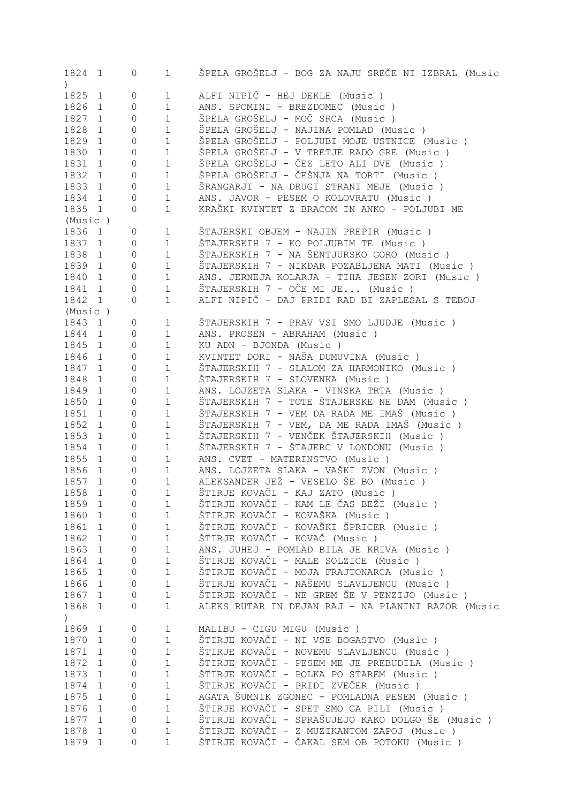| ALFI NIPIČ - HEJ DEKLE (Music)<br>1825<br>$\mathbf{1}$<br>$\mathbb O$<br>1<br>ANS. SPOMINI - BREZDOMEC (Music)<br>1826<br>$\mathbf{1}$<br>0<br>1<br>ŠPELA GROŠELJ - MOČ SRCA (Music )<br>1827<br>$\mathbf 1$<br>$\circ$<br>$\mathbf{1}$<br>ŠPELA GROŠELJ - NAJINA POMLAD (Music)<br>1828<br>$\circ$<br>1<br>$\mathbf{1}$<br>ŠPELA GROŠELJ - POLJUBI MOJE USTNICE (Music)<br>1829<br>$\circ$<br>$\mathbf 1$<br>$\mathbf{1}$<br>ŠPELA GROŠELJ - V TRETJE RADO GRE (Music )<br>1830<br>$1\,$<br>$\circ$<br>$\mathbf{1}$<br>ŠPELA GROŠELJ - ČEZ LETO ALI DVE (Music )<br>1831<br>$\mathbf 1$<br>$\circ$<br>$\mathbf{1}$<br>ŠPELA GROŠELJ - ČEŠNJA NA TORTI (Music )<br>1832<br>$\mathbf 1$<br>$\mathbf{1}$<br>$\circ$<br>1833<br>ŠRANGARJI - NA DRUGI STRANI MEJE (Music )<br>$\circ$<br>$\mathbf 1$<br>$\mathbf{1}$<br>1834<br>ANS. JAVOR - PESEM O KOLOVRATU (Music)<br>$\circ$<br>1<br>$\mathbf{1}$<br>1835 1<br>$\mathbf 1$<br>KRAŠKI KVINTET Z BRACOM IN ANKO - POLJUBI ME<br>$\circ$<br>(Music)<br>1836<br>ŠTAJERSKI OBJEM - NAJIN PREPIR (Music )<br>$\mathbf{1}$<br>0<br>1<br>1837<br>ŠTAJERSKIH 7 - KO POLJUBIM TE (Music)<br>$\mathbb O$<br>$\mathbf 1$<br>$\mathbf{1}$<br>ŠTAJERSKIH 7 - NA ŠENTJURSKO GORO (Music)<br>1838<br>$\mathbb O$<br>$\mathbf 1$<br>$\mathbf{1}$<br>1839<br>$\mathbb O$<br>$\mathbf 1$<br>ŠTAJERSKIH 7 - NIKDAR POZABLJENA MATI (Music )<br>1<br>1840<br>ANS. JERNEJA KOLARJA - TIHA JESEN ZORI (Music )<br>$\mathbf{1}$<br>$\mathbb O$<br>$\mathbf 1$<br>ŠTAJERSKIH 7 - OČE MI JE (Music )<br>1841<br>1<br>$\mathbb O$<br>1<br>ALFI NIPIČ - DAJ PRIDI RAD BI ZAPLESAL S TEBOJ<br>1842 1<br>$\mathbf 1$<br>$\circ$<br>(Music)<br>1843<br>$\circ$<br>ŠTAJERSKIH 7 - PRAV VSI SMO LJUDJE (Music )<br>1<br>1<br>1844<br>$\mathbf{1}$<br>$\circ$<br>$\mathbf 1$<br>ANS. PROSEN - ABRAHAM (Music)<br>1845<br>$\mathbf{1}$<br>$\mathbb O$<br>$\mathbf 1$<br>KU ADN - BJONDA (Music)<br>KVINTET DORI - NAŠA DUMUVINA (Music )<br>1846<br>$\mathbb O$<br>$\mathbf 1$<br>$\mathbf{1}$<br>1847<br>ŠTAJERSKIH 7 - SLALOM ZA HARMONIKO (Music)<br>$\mathbb O$<br>1<br>$\mathbf{1}$<br>1848<br>ŠTAJERSKIH 7 - SLOVENKA (Music)<br>$\mathbf{1}$<br>$\mathbb O$<br>1<br>1849<br>ANS. LOJZETA SLAKA - VINSKA TRTA (Music )<br>$\mathbf{1}$<br>$\mathbb O$<br>1<br>1850<br>ŠTAJERSKIH 7 - TOTE ŠTAJERSKE NE DAM (Music)<br>$\mathbb O$<br>1<br>1<br>ŠTAJERSKIH 7 - VEM DA RADA ME IMAŠ (Music)<br>1851<br>$\mathbb O$<br>1<br>1<br>1852<br>$\mathbf 1$<br>ŠTAJERSKIH 7 - VEM, DA ME RADA IMAŠ (Music)<br>$\mathbb O$<br>$\mathbf{1}$<br>1853<br>ŠTAJERSKIH 7 - VENČEK ŠTAJERSKIH (Music )<br>$\mathbf 1$<br>$\mathbb O$<br>$\mathbf{1}$<br>ŠTAJERSKIH 7 - ŠTAJERC V LONDONU (Music)<br>1854<br>$\mathbb O$<br>$\mathbf 1$<br>$\mathbf{1}$<br>1855<br>ANS. CVET - MATERINSTVO (Music)<br>$\mathbb O$<br>$\mathbf 1$<br>$\mathbf{1}$<br>1856<br>ANS. LOJZETA SLAKA - VAŠKI ZVON (Music )<br>$\mathbb O$<br>$\mathbf 1$<br>$\mathbf{1}$<br>ALEKSANDER JEŽ - VESELO ŠE BO (Music)<br>1857<br>$\mathbf 1$<br>$\mathbf{1}$<br>$\mathbf 0$<br>ŠTIRJE KOVAČI - KAJ ZATO (Music )<br>1858<br>1<br>1<br>0<br>ŠTIRJE KOVAČI - KAM LE ČAS BEŽI (Music )<br>1859<br>0<br>1<br>1<br>ŠTIRJE KOVAČI - KOVAŠKA (Music )<br>1860<br>$\mathbf 1$<br>$\mathbf 1$<br>0<br>ŠTIRJE KOVAČI - KOVAŠKI ŠPRICER (Music )<br>$\mathbf 1$<br>1861<br>$\mathbf 1$<br>0<br>ŠTIRJE KOVAČI - KOVAČ (Music )<br>1862<br>1<br>$\mathbf 1$<br>0<br>1863<br>ANS. JUHEJ - POMLAD BILA JE KRIVA (Music)<br>1<br>1<br>0<br>ŠTIRJE KOVAČI - MALE SOLZICE (Music )<br>1864<br>1<br>1<br>0<br>ŠTIRJE KOVAČI - MOJA FRAJTONARCA (Music )<br>1865<br>1<br>1<br>0<br>ŠTIRJE KOVAČI - NAŠEMU SLAVLJENCU (Music )<br>1866<br>1<br>1<br>0<br>ŠTIRJE KOVAČI - NE GREM ŠE V PENZIJO (Music )<br>1867<br>$\mathbf 1$<br>$\mathbf{1}$<br>0<br>ALEKS RUTAR IN DEJAN RAJ - NA PLANINI RAZOR (Music<br>1868<br>1<br>$\mathbf{1}$<br>0<br>$\mathcal{L}$<br>1869<br>MALIBU - CIGU MIGU (Music)<br>$\mathbf 0$<br>1<br>1<br>ŠTIRJE KOVAČI - NI VSE BOGASTVO (Music )<br>1870<br>1<br>$\mathbf 1$<br>0<br>ŠTIRJE KOVAČI - NOVEMU SLAVLJENCU (Music )<br>1871<br>$\mathbf 1$<br>$\mathbf{1}$<br>0<br>ŠTIRJE KOVAČI - PESEM ME JE PREBUDILA (Music )<br>1872<br>$\mathbf 1$<br>$\mathbf{1}$<br>0<br>ŠTIRJE KOVAČI - POLKA PO STAREM (Music )<br>1873<br>$\mathbf 1$<br>$\mathbf{1}$<br>0<br>ŠTIRJE KOVAČI - PRIDI ZVEČER (Music )<br>1874<br>$\mathbf 1$<br>$\mathbf{1}$<br>0<br>AGATA ŠUMNIK ZGONEC - POMLADNA PESEM (Music )<br>1875<br>$\mathbf 1$<br>$\mathbf{1}$<br>0<br>ŠTIRJE KOVAČI - SPET SMO GA PILI (Music )<br>1876<br>$\mathbf 1$<br>$\mathbf{1}$<br>0<br>ŠTIRJE KOVAČI - SPRAŠUJEJO KAKO DOLGO ŠE (Music )<br>1877<br>$\mathbf 1$<br>$\mathbf{1}$<br>0<br>ŠTIRJE KOVAČI - Z MUZIKANTOM ZAPOJ (Music )<br>1878<br>$\mathbf 1$<br>1<br>0<br>ŠTIRJE KOVAČI - ČAKAL SEM OB POTOKU (Music )<br>1879<br>$\mathbf{1}$<br>1<br>0 | 1824 1<br>$\left( \right)$ | 0 | $\mathbf 1$ | ŠPELA GROŠELJ - BOG ZA NAJU SREČE NI IZBRAL (Music |
|-----------------------------------------------------------------------------------------------------------------------------------------------------------------------------------------------------------------------------------------------------------------------------------------------------------------------------------------------------------------------------------------------------------------------------------------------------------------------------------------------------------------------------------------------------------------------------------------------------------------------------------------------------------------------------------------------------------------------------------------------------------------------------------------------------------------------------------------------------------------------------------------------------------------------------------------------------------------------------------------------------------------------------------------------------------------------------------------------------------------------------------------------------------------------------------------------------------------------------------------------------------------------------------------------------------------------------------------------------------------------------------------------------------------------------------------------------------------------------------------------------------------------------------------------------------------------------------------------------------------------------------------------------------------------------------------------------------------------------------------------------------------------------------------------------------------------------------------------------------------------------------------------------------------------------------------------------------------------------------------------------------------------------------------------------------------------------------------------------------------------------------------------------------------------------------------------------------------------------------------------------------------------------------------------------------------------------------------------------------------------------------------------------------------------------------------------------------------------------------------------------------------------------------------------------------------------------------------------------------------------------------------------------------------------------------------------------------------------------------------------------------------------------------------------------------------------------------------------------------------------------------------------------------------------------------------------------------------------------------------------------------------------------------------------------------------------------------------------------------------------------------------------------------------------------------------------------------------------------------------------------------------------------------------------------------------------------------------------------------------------------------------------------------------------------------------------------------------------------------------------------------------------------------------------------------------------------------------------------------------------------------------------------------------------------------------------------------------------------------------------------------------------------------------------------------------------------------------------------------------------------------------------------------------------------------------------------------------------------------------------------------------------------------------------------------------------------------------------------------------------------------------------------------------------------------------------------------------------------------------------------------------------------------------------------------------------------------------------------------------------------------------------------------------------------------------------------------------------------------------------------------------------------------------------------------------------------------------------------------------------------------------------------------------------------------------------------------------------------------------------------------------------------------------------------------------------------------------------------------------------------------------|----------------------------|---|-------------|----------------------------------------------------|
|                                                                                                                                                                                                                                                                                                                                                                                                                                                                                                                                                                                                                                                                                                                                                                                                                                                                                                                                                                                                                                                                                                                                                                                                                                                                                                                                                                                                                                                                                                                                                                                                                                                                                                                                                                                                                                                                                                                                                                                                                                                                                                                                                                                                                                                                                                                                                                                                                                                                                                                                                                                                                                                                                                                                                                                                                                                                                                                                                                                                                                                                                                                                                                                                                                                                                                                                                                                                                                                                                                                                                                                                                                                                                                                                                                                                                                                                                                                                                                                                                                                                                                                                                                                                                                                                                                                                                                                                                                                                                                                                                                                                                                                                                                                                                                                                                                                                                         |                            |   |             |                                                    |
|                                                                                                                                                                                                                                                                                                                                                                                                                                                                                                                                                                                                                                                                                                                                                                                                                                                                                                                                                                                                                                                                                                                                                                                                                                                                                                                                                                                                                                                                                                                                                                                                                                                                                                                                                                                                                                                                                                                                                                                                                                                                                                                                                                                                                                                                                                                                                                                                                                                                                                                                                                                                                                                                                                                                                                                                                                                                                                                                                                                                                                                                                                                                                                                                                                                                                                                                                                                                                                                                                                                                                                                                                                                                                                                                                                                                                                                                                                                                                                                                                                                                                                                                                                                                                                                                                                                                                                                                                                                                                                                                                                                                                                                                                                                                                                                                                                                                                         |                            |   |             |                                                    |
|                                                                                                                                                                                                                                                                                                                                                                                                                                                                                                                                                                                                                                                                                                                                                                                                                                                                                                                                                                                                                                                                                                                                                                                                                                                                                                                                                                                                                                                                                                                                                                                                                                                                                                                                                                                                                                                                                                                                                                                                                                                                                                                                                                                                                                                                                                                                                                                                                                                                                                                                                                                                                                                                                                                                                                                                                                                                                                                                                                                                                                                                                                                                                                                                                                                                                                                                                                                                                                                                                                                                                                                                                                                                                                                                                                                                                                                                                                                                                                                                                                                                                                                                                                                                                                                                                                                                                                                                                                                                                                                                                                                                                                                                                                                                                                                                                                                                                         |                            |   |             |                                                    |
|                                                                                                                                                                                                                                                                                                                                                                                                                                                                                                                                                                                                                                                                                                                                                                                                                                                                                                                                                                                                                                                                                                                                                                                                                                                                                                                                                                                                                                                                                                                                                                                                                                                                                                                                                                                                                                                                                                                                                                                                                                                                                                                                                                                                                                                                                                                                                                                                                                                                                                                                                                                                                                                                                                                                                                                                                                                                                                                                                                                                                                                                                                                                                                                                                                                                                                                                                                                                                                                                                                                                                                                                                                                                                                                                                                                                                                                                                                                                                                                                                                                                                                                                                                                                                                                                                                                                                                                                                                                                                                                                                                                                                                                                                                                                                                                                                                                                                         |                            |   |             |                                                    |
|                                                                                                                                                                                                                                                                                                                                                                                                                                                                                                                                                                                                                                                                                                                                                                                                                                                                                                                                                                                                                                                                                                                                                                                                                                                                                                                                                                                                                                                                                                                                                                                                                                                                                                                                                                                                                                                                                                                                                                                                                                                                                                                                                                                                                                                                                                                                                                                                                                                                                                                                                                                                                                                                                                                                                                                                                                                                                                                                                                                                                                                                                                                                                                                                                                                                                                                                                                                                                                                                                                                                                                                                                                                                                                                                                                                                                                                                                                                                                                                                                                                                                                                                                                                                                                                                                                                                                                                                                                                                                                                                                                                                                                                                                                                                                                                                                                                                                         |                            |   |             |                                                    |
|                                                                                                                                                                                                                                                                                                                                                                                                                                                                                                                                                                                                                                                                                                                                                                                                                                                                                                                                                                                                                                                                                                                                                                                                                                                                                                                                                                                                                                                                                                                                                                                                                                                                                                                                                                                                                                                                                                                                                                                                                                                                                                                                                                                                                                                                                                                                                                                                                                                                                                                                                                                                                                                                                                                                                                                                                                                                                                                                                                                                                                                                                                                                                                                                                                                                                                                                                                                                                                                                                                                                                                                                                                                                                                                                                                                                                                                                                                                                                                                                                                                                                                                                                                                                                                                                                                                                                                                                                                                                                                                                                                                                                                                                                                                                                                                                                                                                                         |                            |   |             |                                                    |
|                                                                                                                                                                                                                                                                                                                                                                                                                                                                                                                                                                                                                                                                                                                                                                                                                                                                                                                                                                                                                                                                                                                                                                                                                                                                                                                                                                                                                                                                                                                                                                                                                                                                                                                                                                                                                                                                                                                                                                                                                                                                                                                                                                                                                                                                                                                                                                                                                                                                                                                                                                                                                                                                                                                                                                                                                                                                                                                                                                                                                                                                                                                                                                                                                                                                                                                                                                                                                                                                                                                                                                                                                                                                                                                                                                                                                                                                                                                                                                                                                                                                                                                                                                                                                                                                                                                                                                                                                                                                                                                                                                                                                                                                                                                                                                                                                                                                                         |                            |   |             |                                                    |
|                                                                                                                                                                                                                                                                                                                                                                                                                                                                                                                                                                                                                                                                                                                                                                                                                                                                                                                                                                                                                                                                                                                                                                                                                                                                                                                                                                                                                                                                                                                                                                                                                                                                                                                                                                                                                                                                                                                                                                                                                                                                                                                                                                                                                                                                                                                                                                                                                                                                                                                                                                                                                                                                                                                                                                                                                                                                                                                                                                                                                                                                                                                                                                                                                                                                                                                                                                                                                                                                                                                                                                                                                                                                                                                                                                                                                                                                                                                                                                                                                                                                                                                                                                                                                                                                                                                                                                                                                                                                                                                                                                                                                                                                                                                                                                                                                                                                                         |                            |   |             |                                                    |
|                                                                                                                                                                                                                                                                                                                                                                                                                                                                                                                                                                                                                                                                                                                                                                                                                                                                                                                                                                                                                                                                                                                                                                                                                                                                                                                                                                                                                                                                                                                                                                                                                                                                                                                                                                                                                                                                                                                                                                                                                                                                                                                                                                                                                                                                                                                                                                                                                                                                                                                                                                                                                                                                                                                                                                                                                                                                                                                                                                                                                                                                                                                                                                                                                                                                                                                                                                                                                                                                                                                                                                                                                                                                                                                                                                                                                                                                                                                                                                                                                                                                                                                                                                                                                                                                                                                                                                                                                                                                                                                                                                                                                                                                                                                                                                                                                                                                                         |                            |   |             |                                                    |
|                                                                                                                                                                                                                                                                                                                                                                                                                                                                                                                                                                                                                                                                                                                                                                                                                                                                                                                                                                                                                                                                                                                                                                                                                                                                                                                                                                                                                                                                                                                                                                                                                                                                                                                                                                                                                                                                                                                                                                                                                                                                                                                                                                                                                                                                                                                                                                                                                                                                                                                                                                                                                                                                                                                                                                                                                                                                                                                                                                                                                                                                                                                                                                                                                                                                                                                                                                                                                                                                                                                                                                                                                                                                                                                                                                                                                                                                                                                                                                                                                                                                                                                                                                                                                                                                                                                                                                                                                                                                                                                                                                                                                                                                                                                                                                                                                                                                                         |                            |   |             |                                                    |
|                                                                                                                                                                                                                                                                                                                                                                                                                                                                                                                                                                                                                                                                                                                                                                                                                                                                                                                                                                                                                                                                                                                                                                                                                                                                                                                                                                                                                                                                                                                                                                                                                                                                                                                                                                                                                                                                                                                                                                                                                                                                                                                                                                                                                                                                                                                                                                                                                                                                                                                                                                                                                                                                                                                                                                                                                                                                                                                                                                                                                                                                                                                                                                                                                                                                                                                                                                                                                                                                                                                                                                                                                                                                                                                                                                                                                                                                                                                                                                                                                                                                                                                                                                                                                                                                                                                                                                                                                                                                                                                                                                                                                                                                                                                                                                                                                                                                                         |                            |   |             |                                                    |
|                                                                                                                                                                                                                                                                                                                                                                                                                                                                                                                                                                                                                                                                                                                                                                                                                                                                                                                                                                                                                                                                                                                                                                                                                                                                                                                                                                                                                                                                                                                                                                                                                                                                                                                                                                                                                                                                                                                                                                                                                                                                                                                                                                                                                                                                                                                                                                                                                                                                                                                                                                                                                                                                                                                                                                                                                                                                                                                                                                                                                                                                                                                                                                                                                                                                                                                                                                                                                                                                                                                                                                                                                                                                                                                                                                                                                                                                                                                                                                                                                                                                                                                                                                                                                                                                                                                                                                                                                                                                                                                                                                                                                                                                                                                                                                                                                                                                                         |                            |   |             |                                                    |
|                                                                                                                                                                                                                                                                                                                                                                                                                                                                                                                                                                                                                                                                                                                                                                                                                                                                                                                                                                                                                                                                                                                                                                                                                                                                                                                                                                                                                                                                                                                                                                                                                                                                                                                                                                                                                                                                                                                                                                                                                                                                                                                                                                                                                                                                                                                                                                                                                                                                                                                                                                                                                                                                                                                                                                                                                                                                                                                                                                                                                                                                                                                                                                                                                                                                                                                                                                                                                                                                                                                                                                                                                                                                                                                                                                                                                                                                                                                                                                                                                                                                                                                                                                                                                                                                                                                                                                                                                                                                                                                                                                                                                                                                                                                                                                                                                                                                                         |                            |   |             |                                                    |
|                                                                                                                                                                                                                                                                                                                                                                                                                                                                                                                                                                                                                                                                                                                                                                                                                                                                                                                                                                                                                                                                                                                                                                                                                                                                                                                                                                                                                                                                                                                                                                                                                                                                                                                                                                                                                                                                                                                                                                                                                                                                                                                                                                                                                                                                                                                                                                                                                                                                                                                                                                                                                                                                                                                                                                                                                                                                                                                                                                                                                                                                                                                                                                                                                                                                                                                                                                                                                                                                                                                                                                                                                                                                                                                                                                                                                                                                                                                                                                                                                                                                                                                                                                                                                                                                                                                                                                                                                                                                                                                                                                                                                                                                                                                                                                                                                                                                                         |                            |   |             |                                                    |
|                                                                                                                                                                                                                                                                                                                                                                                                                                                                                                                                                                                                                                                                                                                                                                                                                                                                                                                                                                                                                                                                                                                                                                                                                                                                                                                                                                                                                                                                                                                                                                                                                                                                                                                                                                                                                                                                                                                                                                                                                                                                                                                                                                                                                                                                                                                                                                                                                                                                                                                                                                                                                                                                                                                                                                                                                                                                                                                                                                                                                                                                                                                                                                                                                                                                                                                                                                                                                                                                                                                                                                                                                                                                                                                                                                                                                                                                                                                                                                                                                                                                                                                                                                                                                                                                                                                                                                                                                                                                                                                                                                                                                                                                                                                                                                                                                                                                                         |                            |   |             |                                                    |
|                                                                                                                                                                                                                                                                                                                                                                                                                                                                                                                                                                                                                                                                                                                                                                                                                                                                                                                                                                                                                                                                                                                                                                                                                                                                                                                                                                                                                                                                                                                                                                                                                                                                                                                                                                                                                                                                                                                                                                                                                                                                                                                                                                                                                                                                                                                                                                                                                                                                                                                                                                                                                                                                                                                                                                                                                                                                                                                                                                                                                                                                                                                                                                                                                                                                                                                                                                                                                                                                                                                                                                                                                                                                                                                                                                                                                                                                                                                                                                                                                                                                                                                                                                                                                                                                                                                                                                                                                                                                                                                                                                                                                                                                                                                                                                                                                                                                                         |                            |   |             |                                                    |
|                                                                                                                                                                                                                                                                                                                                                                                                                                                                                                                                                                                                                                                                                                                                                                                                                                                                                                                                                                                                                                                                                                                                                                                                                                                                                                                                                                                                                                                                                                                                                                                                                                                                                                                                                                                                                                                                                                                                                                                                                                                                                                                                                                                                                                                                                                                                                                                                                                                                                                                                                                                                                                                                                                                                                                                                                                                                                                                                                                                                                                                                                                                                                                                                                                                                                                                                                                                                                                                                                                                                                                                                                                                                                                                                                                                                                                                                                                                                                                                                                                                                                                                                                                                                                                                                                                                                                                                                                                                                                                                                                                                                                                                                                                                                                                                                                                                                                         |                            |   |             |                                                    |
|                                                                                                                                                                                                                                                                                                                                                                                                                                                                                                                                                                                                                                                                                                                                                                                                                                                                                                                                                                                                                                                                                                                                                                                                                                                                                                                                                                                                                                                                                                                                                                                                                                                                                                                                                                                                                                                                                                                                                                                                                                                                                                                                                                                                                                                                                                                                                                                                                                                                                                                                                                                                                                                                                                                                                                                                                                                                                                                                                                                                                                                                                                                                                                                                                                                                                                                                                                                                                                                                                                                                                                                                                                                                                                                                                                                                                                                                                                                                                                                                                                                                                                                                                                                                                                                                                                                                                                                                                                                                                                                                                                                                                                                                                                                                                                                                                                                                                         |                            |   |             |                                                    |
|                                                                                                                                                                                                                                                                                                                                                                                                                                                                                                                                                                                                                                                                                                                                                                                                                                                                                                                                                                                                                                                                                                                                                                                                                                                                                                                                                                                                                                                                                                                                                                                                                                                                                                                                                                                                                                                                                                                                                                                                                                                                                                                                                                                                                                                                                                                                                                                                                                                                                                                                                                                                                                                                                                                                                                                                                                                                                                                                                                                                                                                                                                                                                                                                                                                                                                                                                                                                                                                                                                                                                                                                                                                                                                                                                                                                                                                                                                                                                                                                                                                                                                                                                                                                                                                                                                                                                                                                                                                                                                                                                                                                                                                                                                                                                                                                                                                                                         |                            |   |             |                                                    |
|                                                                                                                                                                                                                                                                                                                                                                                                                                                                                                                                                                                                                                                                                                                                                                                                                                                                                                                                                                                                                                                                                                                                                                                                                                                                                                                                                                                                                                                                                                                                                                                                                                                                                                                                                                                                                                                                                                                                                                                                                                                                                                                                                                                                                                                                                                                                                                                                                                                                                                                                                                                                                                                                                                                                                                                                                                                                                                                                                                                                                                                                                                                                                                                                                                                                                                                                                                                                                                                                                                                                                                                                                                                                                                                                                                                                                                                                                                                                                                                                                                                                                                                                                                                                                                                                                                                                                                                                                                                                                                                                                                                                                                                                                                                                                                                                                                                                                         |                            |   |             |                                                    |
|                                                                                                                                                                                                                                                                                                                                                                                                                                                                                                                                                                                                                                                                                                                                                                                                                                                                                                                                                                                                                                                                                                                                                                                                                                                                                                                                                                                                                                                                                                                                                                                                                                                                                                                                                                                                                                                                                                                                                                                                                                                                                                                                                                                                                                                                                                                                                                                                                                                                                                                                                                                                                                                                                                                                                                                                                                                                                                                                                                                                                                                                                                                                                                                                                                                                                                                                                                                                                                                                                                                                                                                                                                                                                                                                                                                                                                                                                                                                                                                                                                                                                                                                                                                                                                                                                                                                                                                                                                                                                                                                                                                                                                                                                                                                                                                                                                                                                         |                            |   |             |                                                    |
|                                                                                                                                                                                                                                                                                                                                                                                                                                                                                                                                                                                                                                                                                                                                                                                                                                                                                                                                                                                                                                                                                                                                                                                                                                                                                                                                                                                                                                                                                                                                                                                                                                                                                                                                                                                                                                                                                                                                                                                                                                                                                                                                                                                                                                                                                                                                                                                                                                                                                                                                                                                                                                                                                                                                                                                                                                                                                                                                                                                                                                                                                                                                                                                                                                                                                                                                                                                                                                                                                                                                                                                                                                                                                                                                                                                                                                                                                                                                                                                                                                                                                                                                                                                                                                                                                                                                                                                                                                                                                                                                                                                                                                                                                                                                                                                                                                                                                         |                            |   |             |                                                    |
|                                                                                                                                                                                                                                                                                                                                                                                                                                                                                                                                                                                                                                                                                                                                                                                                                                                                                                                                                                                                                                                                                                                                                                                                                                                                                                                                                                                                                                                                                                                                                                                                                                                                                                                                                                                                                                                                                                                                                                                                                                                                                                                                                                                                                                                                                                                                                                                                                                                                                                                                                                                                                                                                                                                                                                                                                                                                                                                                                                                                                                                                                                                                                                                                                                                                                                                                                                                                                                                                                                                                                                                                                                                                                                                                                                                                                                                                                                                                                                                                                                                                                                                                                                                                                                                                                                                                                                                                                                                                                                                                                                                                                                                                                                                                                                                                                                                                                         |                            |   |             |                                                    |
|                                                                                                                                                                                                                                                                                                                                                                                                                                                                                                                                                                                                                                                                                                                                                                                                                                                                                                                                                                                                                                                                                                                                                                                                                                                                                                                                                                                                                                                                                                                                                                                                                                                                                                                                                                                                                                                                                                                                                                                                                                                                                                                                                                                                                                                                                                                                                                                                                                                                                                                                                                                                                                                                                                                                                                                                                                                                                                                                                                                                                                                                                                                                                                                                                                                                                                                                                                                                                                                                                                                                                                                                                                                                                                                                                                                                                                                                                                                                                                                                                                                                                                                                                                                                                                                                                                                                                                                                                                                                                                                                                                                                                                                                                                                                                                                                                                                                                         |                            |   |             |                                                    |
|                                                                                                                                                                                                                                                                                                                                                                                                                                                                                                                                                                                                                                                                                                                                                                                                                                                                                                                                                                                                                                                                                                                                                                                                                                                                                                                                                                                                                                                                                                                                                                                                                                                                                                                                                                                                                                                                                                                                                                                                                                                                                                                                                                                                                                                                                                                                                                                                                                                                                                                                                                                                                                                                                                                                                                                                                                                                                                                                                                                                                                                                                                                                                                                                                                                                                                                                                                                                                                                                                                                                                                                                                                                                                                                                                                                                                                                                                                                                                                                                                                                                                                                                                                                                                                                                                                                                                                                                                                                                                                                                                                                                                                                                                                                                                                                                                                                                                         |                            |   |             |                                                    |
|                                                                                                                                                                                                                                                                                                                                                                                                                                                                                                                                                                                                                                                                                                                                                                                                                                                                                                                                                                                                                                                                                                                                                                                                                                                                                                                                                                                                                                                                                                                                                                                                                                                                                                                                                                                                                                                                                                                                                                                                                                                                                                                                                                                                                                                                                                                                                                                                                                                                                                                                                                                                                                                                                                                                                                                                                                                                                                                                                                                                                                                                                                                                                                                                                                                                                                                                                                                                                                                                                                                                                                                                                                                                                                                                                                                                                                                                                                                                                                                                                                                                                                                                                                                                                                                                                                                                                                                                                                                                                                                                                                                                                                                                                                                                                                                                                                                                                         |                            |   |             |                                                    |
|                                                                                                                                                                                                                                                                                                                                                                                                                                                                                                                                                                                                                                                                                                                                                                                                                                                                                                                                                                                                                                                                                                                                                                                                                                                                                                                                                                                                                                                                                                                                                                                                                                                                                                                                                                                                                                                                                                                                                                                                                                                                                                                                                                                                                                                                                                                                                                                                                                                                                                                                                                                                                                                                                                                                                                                                                                                                                                                                                                                                                                                                                                                                                                                                                                                                                                                                                                                                                                                                                                                                                                                                                                                                                                                                                                                                                                                                                                                                                                                                                                                                                                                                                                                                                                                                                                                                                                                                                                                                                                                                                                                                                                                                                                                                                                                                                                                                                         |                            |   |             |                                                    |
|                                                                                                                                                                                                                                                                                                                                                                                                                                                                                                                                                                                                                                                                                                                                                                                                                                                                                                                                                                                                                                                                                                                                                                                                                                                                                                                                                                                                                                                                                                                                                                                                                                                                                                                                                                                                                                                                                                                                                                                                                                                                                                                                                                                                                                                                                                                                                                                                                                                                                                                                                                                                                                                                                                                                                                                                                                                                                                                                                                                                                                                                                                                                                                                                                                                                                                                                                                                                                                                                                                                                                                                                                                                                                                                                                                                                                                                                                                                                                                                                                                                                                                                                                                                                                                                                                                                                                                                                                                                                                                                                                                                                                                                                                                                                                                                                                                                                                         |                            |   |             |                                                    |
|                                                                                                                                                                                                                                                                                                                                                                                                                                                                                                                                                                                                                                                                                                                                                                                                                                                                                                                                                                                                                                                                                                                                                                                                                                                                                                                                                                                                                                                                                                                                                                                                                                                                                                                                                                                                                                                                                                                                                                                                                                                                                                                                                                                                                                                                                                                                                                                                                                                                                                                                                                                                                                                                                                                                                                                                                                                                                                                                                                                                                                                                                                                                                                                                                                                                                                                                                                                                                                                                                                                                                                                                                                                                                                                                                                                                                                                                                                                                                                                                                                                                                                                                                                                                                                                                                                                                                                                                                                                                                                                                                                                                                                                                                                                                                                                                                                                                                         |                            |   |             |                                                    |
|                                                                                                                                                                                                                                                                                                                                                                                                                                                                                                                                                                                                                                                                                                                                                                                                                                                                                                                                                                                                                                                                                                                                                                                                                                                                                                                                                                                                                                                                                                                                                                                                                                                                                                                                                                                                                                                                                                                                                                                                                                                                                                                                                                                                                                                                                                                                                                                                                                                                                                                                                                                                                                                                                                                                                                                                                                                                                                                                                                                                                                                                                                                                                                                                                                                                                                                                                                                                                                                                                                                                                                                                                                                                                                                                                                                                                                                                                                                                                                                                                                                                                                                                                                                                                                                                                                                                                                                                                                                                                                                                                                                                                                                                                                                                                                                                                                                                                         |                            |   |             |                                                    |
|                                                                                                                                                                                                                                                                                                                                                                                                                                                                                                                                                                                                                                                                                                                                                                                                                                                                                                                                                                                                                                                                                                                                                                                                                                                                                                                                                                                                                                                                                                                                                                                                                                                                                                                                                                                                                                                                                                                                                                                                                                                                                                                                                                                                                                                                                                                                                                                                                                                                                                                                                                                                                                                                                                                                                                                                                                                                                                                                                                                                                                                                                                                                                                                                                                                                                                                                                                                                                                                                                                                                                                                                                                                                                                                                                                                                                                                                                                                                                                                                                                                                                                                                                                                                                                                                                                                                                                                                                                                                                                                                                                                                                                                                                                                                                                                                                                                                                         |                            |   |             |                                                    |
|                                                                                                                                                                                                                                                                                                                                                                                                                                                                                                                                                                                                                                                                                                                                                                                                                                                                                                                                                                                                                                                                                                                                                                                                                                                                                                                                                                                                                                                                                                                                                                                                                                                                                                                                                                                                                                                                                                                                                                                                                                                                                                                                                                                                                                                                                                                                                                                                                                                                                                                                                                                                                                                                                                                                                                                                                                                                                                                                                                                                                                                                                                                                                                                                                                                                                                                                                                                                                                                                                                                                                                                                                                                                                                                                                                                                                                                                                                                                                                                                                                                                                                                                                                                                                                                                                                                                                                                                                                                                                                                                                                                                                                                                                                                                                                                                                                                                                         |                            |   |             |                                                    |
|                                                                                                                                                                                                                                                                                                                                                                                                                                                                                                                                                                                                                                                                                                                                                                                                                                                                                                                                                                                                                                                                                                                                                                                                                                                                                                                                                                                                                                                                                                                                                                                                                                                                                                                                                                                                                                                                                                                                                                                                                                                                                                                                                                                                                                                                                                                                                                                                                                                                                                                                                                                                                                                                                                                                                                                                                                                                                                                                                                                                                                                                                                                                                                                                                                                                                                                                                                                                                                                                                                                                                                                                                                                                                                                                                                                                                                                                                                                                                                                                                                                                                                                                                                                                                                                                                                                                                                                                                                                                                                                                                                                                                                                                                                                                                                                                                                                                                         |                            |   |             |                                                    |
|                                                                                                                                                                                                                                                                                                                                                                                                                                                                                                                                                                                                                                                                                                                                                                                                                                                                                                                                                                                                                                                                                                                                                                                                                                                                                                                                                                                                                                                                                                                                                                                                                                                                                                                                                                                                                                                                                                                                                                                                                                                                                                                                                                                                                                                                                                                                                                                                                                                                                                                                                                                                                                                                                                                                                                                                                                                                                                                                                                                                                                                                                                                                                                                                                                                                                                                                                                                                                                                                                                                                                                                                                                                                                                                                                                                                                                                                                                                                                                                                                                                                                                                                                                                                                                                                                                                                                                                                                                                                                                                                                                                                                                                                                                                                                                                                                                                                                         |                            |   |             |                                                    |
|                                                                                                                                                                                                                                                                                                                                                                                                                                                                                                                                                                                                                                                                                                                                                                                                                                                                                                                                                                                                                                                                                                                                                                                                                                                                                                                                                                                                                                                                                                                                                                                                                                                                                                                                                                                                                                                                                                                                                                                                                                                                                                                                                                                                                                                                                                                                                                                                                                                                                                                                                                                                                                                                                                                                                                                                                                                                                                                                                                                                                                                                                                                                                                                                                                                                                                                                                                                                                                                                                                                                                                                                                                                                                                                                                                                                                                                                                                                                                                                                                                                                                                                                                                                                                                                                                                                                                                                                                                                                                                                                                                                                                                                                                                                                                                                                                                                                                         |                            |   |             |                                                    |
|                                                                                                                                                                                                                                                                                                                                                                                                                                                                                                                                                                                                                                                                                                                                                                                                                                                                                                                                                                                                                                                                                                                                                                                                                                                                                                                                                                                                                                                                                                                                                                                                                                                                                                                                                                                                                                                                                                                                                                                                                                                                                                                                                                                                                                                                                                                                                                                                                                                                                                                                                                                                                                                                                                                                                                                                                                                                                                                                                                                                                                                                                                                                                                                                                                                                                                                                                                                                                                                                                                                                                                                                                                                                                                                                                                                                                                                                                                                                                                                                                                                                                                                                                                                                                                                                                                                                                                                                                                                                                                                                                                                                                                                                                                                                                                                                                                                                                         |                            |   |             |                                                    |
|                                                                                                                                                                                                                                                                                                                                                                                                                                                                                                                                                                                                                                                                                                                                                                                                                                                                                                                                                                                                                                                                                                                                                                                                                                                                                                                                                                                                                                                                                                                                                                                                                                                                                                                                                                                                                                                                                                                                                                                                                                                                                                                                                                                                                                                                                                                                                                                                                                                                                                                                                                                                                                                                                                                                                                                                                                                                                                                                                                                                                                                                                                                                                                                                                                                                                                                                                                                                                                                                                                                                                                                                                                                                                                                                                                                                                                                                                                                                                                                                                                                                                                                                                                                                                                                                                                                                                                                                                                                                                                                                                                                                                                                                                                                                                                                                                                                                                         |                            |   |             |                                                    |
|                                                                                                                                                                                                                                                                                                                                                                                                                                                                                                                                                                                                                                                                                                                                                                                                                                                                                                                                                                                                                                                                                                                                                                                                                                                                                                                                                                                                                                                                                                                                                                                                                                                                                                                                                                                                                                                                                                                                                                                                                                                                                                                                                                                                                                                                                                                                                                                                                                                                                                                                                                                                                                                                                                                                                                                                                                                                                                                                                                                                                                                                                                                                                                                                                                                                                                                                                                                                                                                                                                                                                                                                                                                                                                                                                                                                                                                                                                                                                                                                                                                                                                                                                                                                                                                                                                                                                                                                                                                                                                                                                                                                                                                                                                                                                                                                                                                                                         |                            |   |             |                                                    |
|                                                                                                                                                                                                                                                                                                                                                                                                                                                                                                                                                                                                                                                                                                                                                                                                                                                                                                                                                                                                                                                                                                                                                                                                                                                                                                                                                                                                                                                                                                                                                                                                                                                                                                                                                                                                                                                                                                                                                                                                                                                                                                                                                                                                                                                                                                                                                                                                                                                                                                                                                                                                                                                                                                                                                                                                                                                                                                                                                                                                                                                                                                                                                                                                                                                                                                                                                                                                                                                                                                                                                                                                                                                                                                                                                                                                                                                                                                                                                                                                                                                                                                                                                                                                                                                                                                                                                                                                                                                                                                                                                                                                                                                                                                                                                                                                                                                                                         |                            |   |             |                                                    |
|                                                                                                                                                                                                                                                                                                                                                                                                                                                                                                                                                                                                                                                                                                                                                                                                                                                                                                                                                                                                                                                                                                                                                                                                                                                                                                                                                                                                                                                                                                                                                                                                                                                                                                                                                                                                                                                                                                                                                                                                                                                                                                                                                                                                                                                                                                                                                                                                                                                                                                                                                                                                                                                                                                                                                                                                                                                                                                                                                                                                                                                                                                                                                                                                                                                                                                                                                                                                                                                                                                                                                                                                                                                                                                                                                                                                                                                                                                                                                                                                                                                                                                                                                                                                                                                                                                                                                                                                                                                                                                                                                                                                                                                                                                                                                                                                                                                                                         |                            |   |             |                                                    |
|                                                                                                                                                                                                                                                                                                                                                                                                                                                                                                                                                                                                                                                                                                                                                                                                                                                                                                                                                                                                                                                                                                                                                                                                                                                                                                                                                                                                                                                                                                                                                                                                                                                                                                                                                                                                                                                                                                                                                                                                                                                                                                                                                                                                                                                                                                                                                                                                                                                                                                                                                                                                                                                                                                                                                                                                                                                                                                                                                                                                                                                                                                                                                                                                                                                                                                                                                                                                                                                                                                                                                                                                                                                                                                                                                                                                                                                                                                                                                                                                                                                                                                                                                                                                                                                                                                                                                                                                                                                                                                                                                                                                                                                                                                                                                                                                                                                                                         |                            |   |             |                                                    |
|                                                                                                                                                                                                                                                                                                                                                                                                                                                                                                                                                                                                                                                                                                                                                                                                                                                                                                                                                                                                                                                                                                                                                                                                                                                                                                                                                                                                                                                                                                                                                                                                                                                                                                                                                                                                                                                                                                                                                                                                                                                                                                                                                                                                                                                                                                                                                                                                                                                                                                                                                                                                                                                                                                                                                                                                                                                                                                                                                                                                                                                                                                                                                                                                                                                                                                                                                                                                                                                                                                                                                                                                                                                                                                                                                                                                                                                                                                                                                                                                                                                                                                                                                                                                                                                                                                                                                                                                                                                                                                                                                                                                                                                                                                                                                                                                                                                                                         |                            |   |             |                                                    |
|                                                                                                                                                                                                                                                                                                                                                                                                                                                                                                                                                                                                                                                                                                                                                                                                                                                                                                                                                                                                                                                                                                                                                                                                                                                                                                                                                                                                                                                                                                                                                                                                                                                                                                                                                                                                                                                                                                                                                                                                                                                                                                                                                                                                                                                                                                                                                                                                                                                                                                                                                                                                                                                                                                                                                                                                                                                                                                                                                                                                                                                                                                                                                                                                                                                                                                                                                                                                                                                                                                                                                                                                                                                                                                                                                                                                                                                                                                                                                                                                                                                                                                                                                                                                                                                                                                                                                                                                                                                                                                                                                                                                                                                                                                                                                                                                                                                                                         |                            |   |             |                                                    |
|                                                                                                                                                                                                                                                                                                                                                                                                                                                                                                                                                                                                                                                                                                                                                                                                                                                                                                                                                                                                                                                                                                                                                                                                                                                                                                                                                                                                                                                                                                                                                                                                                                                                                                                                                                                                                                                                                                                                                                                                                                                                                                                                                                                                                                                                                                                                                                                                                                                                                                                                                                                                                                                                                                                                                                                                                                                                                                                                                                                                                                                                                                                                                                                                                                                                                                                                                                                                                                                                                                                                                                                                                                                                                                                                                                                                                                                                                                                                                                                                                                                                                                                                                                                                                                                                                                                                                                                                                                                                                                                                                                                                                                                                                                                                                                                                                                                                                         |                            |   |             |                                                    |
|                                                                                                                                                                                                                                                                                                                                                                                                                                                                                                                                                                                                                                                                                                                                                                                                                                                                                                                                                                                                                                                                                                                                                                                                                                                                                                                                                                                                                                                                                                                                                                                                                                                                                                                                                                                                                                                                                                                                                                                                                                                                                                                                                                                                                                                                                                                                                                                                                                                                                                                                                                                                                                                                                                                                                                                                                                                                                                                                                                                                                                                                                                                                                                                                                                                                                                                                                                                                                                                                                                                                                                                                                                                                                                                                                                                                                                                                                                                                                                                                                                                                                                                                                                                                                                                                                                                                                                                                                                                                                                                                                                                                                                                                                                                                                                                                                                                                                         |                            |   |             |                                                    |
|                                                                                                                                                                                                                                                                                                                                                                                                                                                                                                                                                                                                                                                                                                                                                                                                                                                                                                                                                                                                                                                                                                                                                                                                                                                                                                                                                                                                                                                                                                                                                                                                                                                                                                                                                                                                                                                                                                                                                                                                                                                                                                                                                                                                                                                                                                                                                                                                                                                                                                                                                                                                                                                                                                                                                                                                                                                                                                                                                                                                                                                                                                                                                                                                                                                                                                                                                                                                                                                                                                                                                                                                                                                                                                                                                                                                                                                                                                                                                                                                                                                                                                                                                                                                                                                                                                                                                                                                                                                                                                                                                                                                                                                                                                                                                                                                                                                                                         |                            |   |             |                                                    |
|                                                                                                                                                                                                                                                                                                                                                                                                                                                                                                                                                                                                                                                                                                                                                                                                                                                                                                                                                                                                                                                                                                                                                                                                                                                                                                                                                                                                                                                                                                                                                                                                                                                                                                                                                                                                                                                                                                                                                                                                                                                                                                                                                                                                                                                                                                                                                                                                                                                                                                                                                                                                                                                                                                                                                                                                                                                                                                                                                                                                                                                                                                                                                                                                                                                                                                                                                                                                                                                                                                                                                                                                                                                                                                                                                                                                                                                                                                                                                                                                                                                                                                                                                                                                                                                                                                                                                                                                                                                                                                                                                                                                                                                                                                                                                                                                                                                                                         |                            |   |             |                                                    |
|                                                                                                                                                                                                                                                                                                                                                                                                                                                                                                                                                                                                                                                                                                                                                                                                                                                                                                                                                                                                                                                                                                                                                                                                                                                                                                                                                                                                                                                                                                                                                                                                                                                                                                                                                                                                                                                                                                                                                                                                                                                                                                                                                                                                                                                                                                                                                                                                                                                                                                                                                                                                                                                                                                                                                                                                                                                                                                                                                                                                                                                                                                                                                                                                                                                                                                                                                                                                                                                                                                                                                                                                                                                                                                                                                                                                                                                                                                                                                                                                                                                                                                                                                                                                                                                                                                                                                                                                                                                                                                                                                                                                                                                                                                                                                                                                                                                                                         |                            |   |             |                                                    |
|                                                                                                                                                                                                                                                                                                                                                                                                                                                                                                                                                                                                                                                                                                                                                                                                                                                                                                                                                                                                                                                                                                                                                                                                                                                                                                                                                                                                                                                                                                                                                                                                                                                                                                                                                                                                                                                                                                                                                                                                                                                                                                                                                                                                                                                                                                                                                                                                                                                                                                                                                                                                                                                                                                                                                                                                                                                                                                                                                                                                                                                                                                                                                                                                                                                                                                                                                                                                                                                                                                                                                                                                                                                                                                                                                                                                                                                                                                                                                                                                                                                                                                                                                                                                                                                                                                                                                                                                                                                                                                                                                                                                                                                                                                                                                                                                                                                                                         |                            |   |             |                                                    |
|                                                                                                                                                                                                                                                                                                                                                                                                                                                                                                                                                                                                                                                                                                                                                                                                                                                                                                                                                                                                                                                                                                                                                                                                                                                                                                                                                                                                                                                                                                                                                                                                                                                                                                                                                                                                                                                                                                                                                                                                                                                                                                                                                                                                                                                                                                                                                                                                                                                                                                                                                                                                                                                                                                                                                                                                                                                                                                                                                                                                                                                                                                                                                                                                                                                                                                                                                                                                                                                                                                                                                                                                                                                                                                                                                                                                                                                                                                                                                                                                                                                                                                                                                                                                                                                                                                                                                                                                                                                                                                                                                                                                                                                                                                                                                                                                                                                                                         |                            |   |             |                                                    |
|                                                                                                                                                                                                                                                                                                                                                                                                                                                                                                                                                                                                                                                                                                                                                                                                                                                                                                                                                                                                                                                                                                                                                                                                                                                                                                                                                                                                                                                                                                                                                                                                                                                                                                                                                                                                                                                                                                                                                                                                                                                                                                                                                                                                                                                                                                                                                                                                                                                                                                                                                                                                                                                                                                                                                                                                                                                                                                                                                                                                                                                                                                                                                                                                                                                                                                                                                                                                                                                                                                                                                                                                                                                                                                                                                                                                                                                                                                                                                                                                                                                                                                                                                                                                                                                                                                                                                                                                                                                                                                                                                                                                                                                                                                                                                                                                                                                                                         |                            |   |             |                                                    |
|                                                                                                                                                                                                                                                                                                                                                                                                                                                                                                                                                                                                                                                                                                                                                                                                                                                                                                                                                                                                                                                                                                                                                                                                                                                                                                                                                                                                                                                                                                                                                                                                                                                                                                                                                                                                                                                                                                                                                                                                                                                                                                                                                                                                                                                                                                                                                                                                                                                                                                                                                                                                                                                                                                                                                                                                                                                                                                                                                                                                                                                                                                                                                                                                                                                                                                                                                                                                                                                                                                                                                                                                                                                                                                                                                                                                                                                                                                                                                                                                                                                                                                                                                                                                                                                                                                                                                                                                                                                                                                                                                                                                                                                                                                                                                                                                                                                                                         |                            |   |             |                                                    |
|                                                                                                                                                                                                                                                                                                                                                                                                                                                                                                                                                                                                                                                                                                                                                                                                                                                                                                                                                                                                                                                                                                                                                                                                                                                                                                                                                                                                                                                                                                                                                                                                                                                                                                                                                                                                                                                                                                                                                                                                                                                                                                                                                                                                                                                                                                                                                                                                                                                                                                                                                                                                                                                                                                                                                                                                                                                                                                                                                                                                                                                                                                                                                                                                                                                                                                                                                                                                                                                                                                                                                                                                                                                                                                                                                                                                                                                                                                                                                                                                                                                                                                                                                                                                                                                                                                                                                                                                                                                                                                                                                                                                                                                                                                                                                                                                                                                                                         |                            |   |             |                                                    |
|                                                                                                                                                                                                                                                                                                                                                                                                                                                                                                                                                                                                                                                                                                                                                                                                                                                                                                                                                                                                                                                                                                                                                                                                                                                                                                                                                                                                                                                                                                                                                                                                                                                                                                                                                                                                                                                                                                                                                                                                                                                                                                                                                                                                                                                                                                                                                                                                                                                                                                                                                                                                                                                                                                                                                                                                                                                                                                                                                                                                                                                                                                                                                                                                                                                                                                                                                                                                                                                                                                                                                                                                                                                                                                                                                                                                                                                                                                                                                                                                                                                                                                                                                                                                                                                                                                                                                                                                                                                                                                                                                                                                                                                                                                                                                                                                                                                                                         |                            |   |             |                                                    |
|                                                                                                                                                                                                                                                                                                                                                                                                                                                                                                                                                                                                                                                                                                                                                                                                                                                                                                                                                                                                                                                                                                                                                                                                                                                                                                                                                                                                                                                                                                                                                                                                                                                                                                                                                                                                                                                                                                                                                                                                                                                                                                                                                                                                                                                                                                                                                                                                                                                                                                                                                                                                                                                                                                                                                                                                                                                                                                                                                                                                                                                                                                                                                                                                                                                                                                                                                                                                                                                                                                                                                                                                                                                                                                                                                                                                                                                                                                                                                                                                                                                                                                                                                                                                                                                                                                                                                                                                                                                                                                                                                                                                                                                                                                                                                                                                                                                                                         |                            |   |             |                                                    |
|                                                                                                                                                                                                                                                                                                                                                                                                                                                                                                                                                                                                                                                                                                                                                                                                                                                                                                                                                                                                                                                                                                                                                                                                                                                                                                                                                                                                                                                                                                                                                                                                                                                                                                                                                                                                                                                                                                                                                                                                                                                                                                                                                                                                                                                                                                                                                                                                                                                                                                                                                                                                                                                                                                                                                                                                                                                                                                                                                                                                                                                                                                                                                                                                                                                                                                                                                                                                                                                                                                                                                                                                                                                                                                                                                                                                                                                                                                                                                                                                                                                                                                                                                                                                                                                                                                                                                                                                                                                                                                                                                                                                                                                                                                                                                                                                                                                                                         |                            |   |             |                                                    |
|                                                                                                                                                                                                                                                                                                                                                                                                                                                                                                                                                                                                                                                                                                                                                                                                                                                                                                                                                                                                                                                                                                                                                                                                                                                                                                                                                                                                                                                                                                                                                                                                                                                                                                                                                                                                                                                                                                                                                                                                                                                                                                                                                                                                                                                                                                                                                                                                                                                                                                                                                                                                                                                                                                                                                                                                                                                                                                                                                                                                                                                                                                                                                                                                                                                                                                                                                                                                                                                                                                                                                                                                                                                                                                                                                                                                                                                                                                                                                                                                                                                                                                                                                                                                                                                                                                                                                                                                                                                                                                                                                                                                                                                                                                                                                                                                                                                                                         |                            |   |             |                                                    |
|                                                                                                                                                                                                                                                                                                                                                                                                                                                                                                                                                                                                                                                                                                                                                                                                                                                                                                                                                                                                                                                                                                                                                                                                                                                                                                                                                                                                                                                                                                                                                                                                                                                                                                                                                                                                                                                                                                                                                                                                                                                                                                                                                                                                                                                                                                                                                                                                                                                                                                                                                                                                                                                                                                                                                                                                                                                                                                                                                                                                                                                                                                                                                                                                                                                                                                                                                                                                                                                                                                                                                                                                                                                                                                                                                                                                                                                                                                                                                                                                                                                                                                                                                                                                                                                                                                                                                                                                                                                                                                                                                                                                                                                                                                                                                                                                                                                                                         |                            |   |             |                                                    |